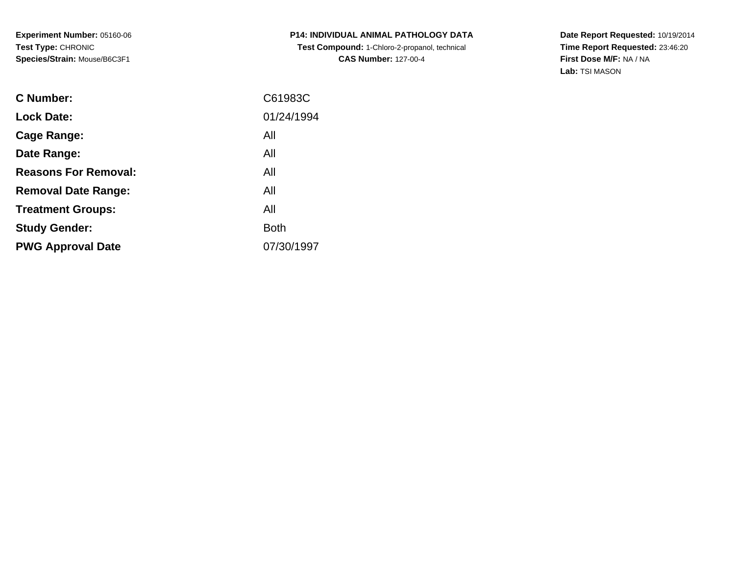**P14: INDIVIDUAL ANIMAL PATHOLOGY DATA Test Compound:** 1-Chloro-2-propanol, technical **CAS Number:** 127-00-4

**Date Report Requested:** 10/19/2014 **Time Report Requested:** 23:46:20**First Dose M/F:** NA / NA**Lab:** TSI MASON

| C61983C     |
|-------------|
| 01/24/1994  |
| All         |
| All         |
| All         |
| All         |
| All         |
| <b>Both</b> |
| 07/30/1997  |
|             |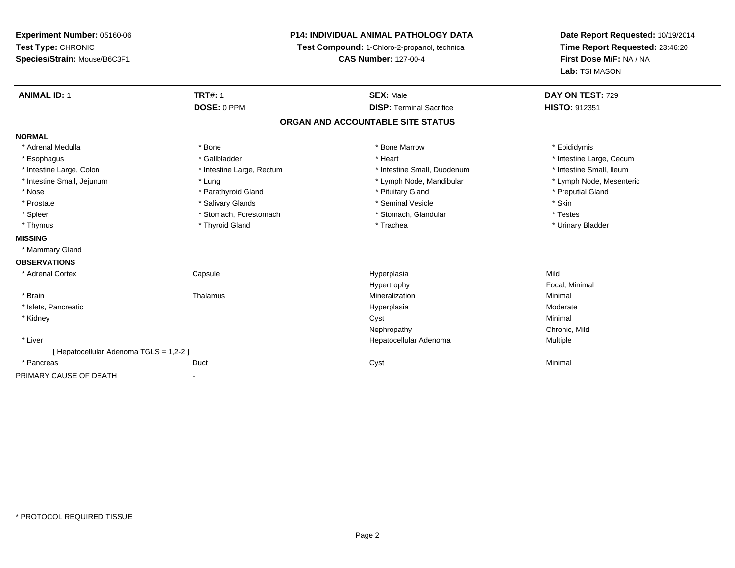## **P14: INDIVIDUAL ANIMAL PATHOLOGY DATA**

**Test Compound:** 1-Chloro-2-propanol, technical

**CAS Number:** 127-00-4

**Date Report Requested:** 10/19/2014**Time Report Requested:** 23:46:20**First Dose M/F:** NA / NA**Lab:** TSI MASON

| <b>ANIMAL ID: 1</b>                   | <b>TRT#: 1</b>            | <b>SEX: Male</b>                  | DAY ON TEST: 729         |
|---------------------------------------|---------------------------|-----------------------------------|--------------------------|
|                                       | DOSE: 0 PPM               | <b>DISP: Terminal Sacrifice</b>   | <b>HISTO: 912351</b>     |
|                                       |                           | ORGAN AND ACCOUNTABLE SITE STATUS |                          |
| <b>NORMAL</b>                         |                           |                                   |                          |
| * Adrenal Medulla                     | * Bone                    | * Bone Marrow                     | * Epididymis             |
| * Esophagus                           | * Gallbladder             | * Heart                           | * Intestine Large, Cecum |
| * Intestine Large, Colon              | * Intestine Large, Rectum | * Intestine Small, Duodenum       | * Intestine Small, Ileum |
| * Intestine Small, Jejunum            | * Lung                    | * Lymph Node, Mandibular          | * Lymph Node, Mesenteric |
| * Nose                                | * Parathyroid Gland       | * Pituitary Gland                 | * Preputial Gland        |
| * Prostate                            | * Salivary Glands         | * Seminal Vesicle                 | * Skin                   |
| * Spleen                              | * Stomach, Forestomach    | * Stomach, Glandular              | * Testes                 |
| * Thymus                              | * Thyroid Gland           | * Trachea                         | * Urinary Bladder        |
| <b>MISSING</b>                        |                           |                                   |                          |
| * Mammary Gland                       |                           |                                   |                          |
| <b>OBSERVATIONS</b>                   |                           |                                   |                          |
| * Adrenal Cortex                      | Capsule                   | Hyperplasia                       | Mild                     |
|                                       |                           | Hypertrophy                       | Focal, Minimal           |
| * Brain                               | Thalamus                  | Mineralization                    | Minimal                  |
| * Islets, Pancreatic                  |                           | Hyperplasia                       | Moderate                 |
| * Kidney                              |                           | Cyst                              | Minimal                  |
|                                       |                           | Nephropathy                       | Chronic, Mild            |
| * Liver                               |                           | Hepatocellular Adenoma            | Multiple                 |
| [Hepatocellular Adenoma TGLS = 1,2-2] |                           |                                   |                          |
| * Pancreas                            | Duct                      | Cyst                              | Minimal                  |
| PRIMARY CAUSE OF DEATH                | ٠                         |                                   |                          |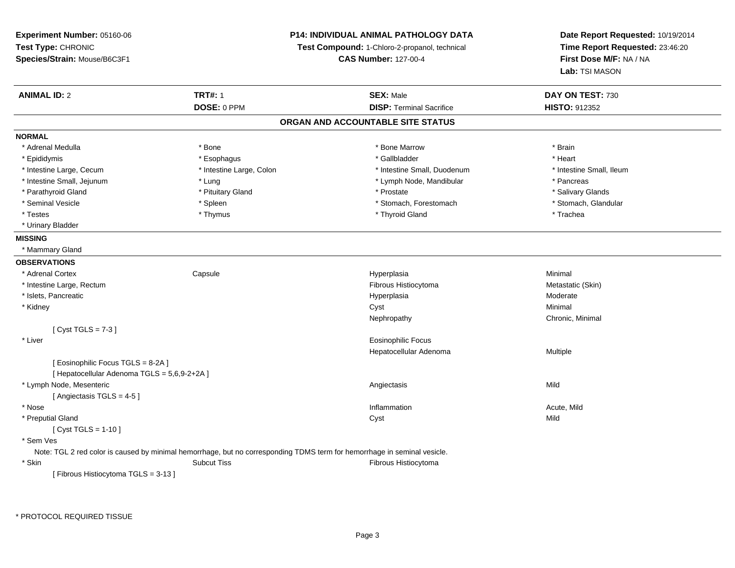**Experiment Number:** 05160-06**Test Type:** CHRONIC **Species/Strain:** Mouse/B6C3F1**P14: INDIVIDUAL ANIMAL PATHOLOGY DATATest Compound:** 1-Chloro-2-propanol, technical **CAS Number:** 127-00-4**Date Report Requested:** 10/19/2014**Time Report Requested:** 23:46:20**First Dose M/F:** NA / NA**Lab:** TSI MASON**ANIMAL ID:** 2**TRT#:** 1 **SEX:** Male **DAY ON TEST:** 730 **DOSE:** 0 PPM**DISP:** Terminal Sacrifice **HISTO:** 912352 **ORGAN AND ACCOUNTABLE SITE STATUSNORMAL**\* Adrenal Medulla \* \* Annual Medulla \* Brain \* Bone \* \* Bone Marrow \* Bone Marrow \* \* Brain \* Brain \* Brain \* Brain \* Brain \* Brain \* Brain \* Brain \* Brain \* Brain \* Brain \* Brain \* Brain \* Brain \* Brain \* Brain \* Brain \* \* Heart \* Epididymis \* Esophagus \* Gallbladder \* Heart\* Intestine Large, Cecum \* Intestine Large, Colon \* Intestine Small, Duodenum \* Intestine Small, Ileum \* Intestine Small, Ileum \* Intestine Small, Jejunum \* The matches of the state of the state of the state of the state of the state of the state of the state of the state of the state of the state of the state of the state of the state of the state \* Salivary Glands \* Parathyroid Gland \* \* \* Pituitary Gland \* \* Prostate \* \* Prostate \* \* Salivary Glands \* Salivary Glands \* Salivary Glands \* Salivary Glands \* Salivary Glands \* Salivary Glands \* Salivary Glands \* Salivary Glands \* Saliva \* Stomach, Glandular \* Seminal Vesicle \* Spleen \* Spleen \* Spleen \* Stomach, Forestomach \* Stomach, Forestomach \* Testes \* Thymus \* Thyroid Gland \* Trachea \* Urinary Bladder**MISSING** \* Mammary Gland**OBSERVATIONS** \* Adrenal Cortex**Capsule**  Hyperplasia Minimal \* Intestine Large, Rectumm and the state of the control of the Historytoma (Skin) and the Metastatic (Skin) and Metastatic (Skin) and Metastatic (Skin) \* Islets, Pancreaticc and the control of the control of the control of the control of the control of the control of the control of the control of the control of the control of the control of the control of the control of the control of the co Hyperplasia Moderate<br>Cyst Minimal \* Kidneyy the control of the control of the control of the control of the control of the control of the control of the control of the control of the control of the control of the control of the control of the control of the contro Nephropathy Chronic, Minimal  $[$  Cyst TGLS = 7-3  $]$  \* Liver Eosinophilic Focus Hepatocellular Adenoma Multiple [ Eosinophilic Focus TGLS = 8-2A ][ Hepatocellular Adenoma TGLS = 5,6,9-2+2A ] \* Lymph Node, Mesenteric Angiectasis Mild[ Angiectasis TGLS = 4-5 ] \* Nosee the contraction of the contraction of the contraction of the contraction of the contraction of the contraction  $\mathsf{Acute},\mathsf{Mild}$  \* Preputial Glandd and the control of the control of the control of the control of the control of the control of the control of the control of the control of the control of the control of the control of the control of the control of the co  $[$  Cyst TGLS = 1-10  $]$  \* Sem Ves Note: TGL 2 red color is caused by minimal hemorrhage, but no corresponding TDMS term for hemorrhage in seminal vesicle. \* SkinSubcut Tiss **Fibrous Histiocytoma** [ Fibrous Histiocytoma TGLS = 3-13 ]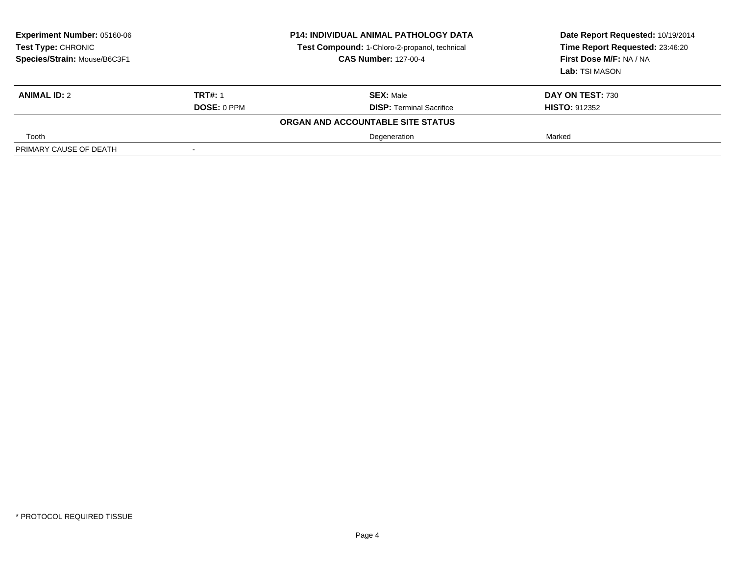| <b>Experiment Number: 05160-06</b><br>Test Type: CHRONIC<br>Species/Strain: Mouse/B6C3F1 |                    | <b>P14: INDIVIDUAL ANIMAL PATHOLOGY DATA</b><br>Test Compound: 1-Chloro-2-propanol, technical<br><b>CAS Number: 127-00-4</b> | Date Report Requested: 10/19/2014<br>Time Report Requested: 23:46:20<br>First Dose M/F: NA / NA<br><b>Lab:</b> TSI MASON |
|------------------------------------------------------------------------------------------|--------------------|------------------------------------------------------------------------------------------------------------------------------|--------------------------------------------------------------------------------------------------------------------------|
| <b>ANIMAL ID: 2</b>                                                                      | <b>TRT#: 1</b>     | <b>SEX: Male</b>                                                                                                             | DAY ON TEST: 730                                                                                                         |
|                                                                                          | <b>DOSE: 0 PPM</b> | <b>DISP: Terminal Sacrifice</b>                                                                                              | <b>HISTO: 912352</b>                                                                                                     |
|                                                                                          |                    | ORGAN AND ACCOUNTABLE SITE STATUS                                                                                            |                                                                                                                          |
| Tooth                                                                                    |                    | Degeneration                                                                                                                 | Marked                                                                                                                   |
| PRIMARY CAUSE OF DEATH                                                                   |                    |                                                                                                                              |                                                                                                                          |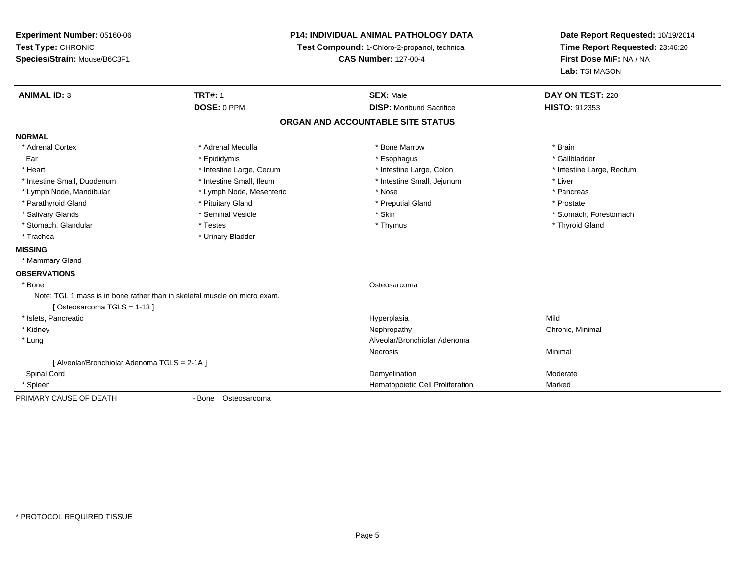**Experiment Number:** 05160-06**Test Type:** CHRONIC **Species/Strain:** Mouse/B6C3F1**P14: INDIVIDUAL ANIMAL PATHOLOGY DATATest Compound:** 1-Chloro-2-propanol, technical **CAS Number:** 127-00-4**Date Report Requested:** 10/19/2014**Time Report Requested:** 23:46:20**First Dose M/F:** NA / NA**Lab:** TSI MASON**ANIMAL ID:** 3**TRT#:** 1 **SEX:** Male **DAY ON TEST:** 220 **DOSE:** 0 PPM **DISP:** Moribund Sacrifice **HISTO:** <sup>912353</sup> **ORGAN AND ACCOUNTABLE SITE STATUSNORMAL**\* Adrenal Cortex \* Adrenal Medulla \* \* \* \* \* \* \* \* \* Bone Marrow \* \* \* \* \* \* \* \* Brain \* Gallbladder Ear \* \* Epididymis \* \* Epididymis \* \* \* Esophagus \* \* Esophagus \* \* Esophagus \* Gallbladder \* Heart **\*** Intestine Large, Cecum \* Intestine Large, Cecum \* Intestine Large, Colon \* <sup>\*</sup> Intestine Large, Rectum \* Intestine Small, Duodenum \* Intestine Small, Ileum \* Intestine Small, Jejunum \* Liver\* Lymph Node, Mandibular \* The state of the second text of the second text of the second text of the second text of the second text of the second text of the second text of the second text of the second text of text of tex \* Prostate \* Parathyroid Gland \* **All and \* Pituitary Gland \* Prostate and \* Preputial Gland** \* Preputial Gland \* Salivary Glands \* The state of the seminal Vesicle \* Skin \* Skin \* Skin \* Stomach, Forestomach, Forestomach, Forestomach, Forestomach, Forestomach, Forestomach, Forestomach, Forestomach, Forestomach, Forestomach, Foresto \* Stomach, Glandular \* Thestes \* Testes \* Thymus \* Thymus \* Thymus \* Thymus \* Thymus \* Thyroid Gland \* Trachea **\*** Urinary Bladder **MISSING** \* Mammary Gland**OBSERVATIONS** \* Bonee de la construction de la construction de la construction de la construction de la construction de la construction<br>La construction de la construction de la construction de la construction de la construction de la construc Note: TGL 1 mass is in bone rather than in skeletal muscle on micro exam.[ Osteosarcoma TGLS = 1-13 ] \* Islets, Pancreaticc and the control of the control of the control of the control of the control of the control of the control of the control of the control of the control of the control of the control of the control of the control of the co a Mild \* Kidneyy the controller of the controller of the controller of the Nephropathy Chronic, Minimal (Chronic, Minimal  $\mu$  \* Lung Alveolar/Bronchiolar Adenoma Necrosis Minimal [ Alveolar/Bronchiolar Adenoma TGLS = 2-1A ] Spinal Cordd and the control of the control of the control of the control of the control of the control of the control of the control of the control of the control of the control of the control of the control of the control of the co \* SpleenHematopoietic Cell Proliferation Marked

- Bone Osteosarcoma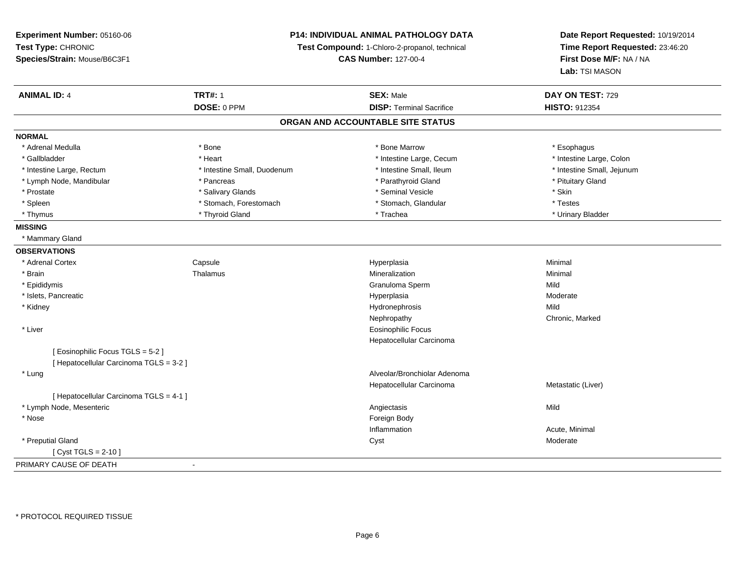**Experiment Number:** 05160-06**Test Type:** CHRONIC **Species/Strain:** Mouse/B6C3F1**P14: INDIVIDUAL ANIMAL PATHOLOGY DATATest Compound:** 1-Chloro-2-propanol, technical **CAS Number:** 127-00-4**Date Report Requested:** 10/19/2014**Time Report Requested:** 23:46:20**First Dose M/F:** NA / NA**Lab:** TSI MASON**ANIMAL ID:** 4**TRT#:** 1 **SEX:** Male **DAY ON TEST:** 729 **DOSE:** 0 PPM**DISP:** Terminal Sacrifice **HISTO:** 912354 **ORGAN AND ACCOUNTABLE SITE STATUSNORMAL**\* Adrenal Medulla \* Adrenal Medulla \* \* The matter of the state of the state of the state of the state of the state of the state of the state of the state of the state of the state of the state of the state of the state of the state of the \* Intestine Large, Colon \* Gallbladder \* The mode of the text \* Heart \* Intestine Large, Cecum \* Intestine Large, Cecum \* Intestine Large, Cecum \* Intestine Small, Jejunum \* Intestine Large, Rectum \* Intestine Small, Duodenum \* Intestine Small, Duodenum \* \* Intestine Small, Ileum \* Lymph Node, Mandibular \* The state of the state of the Parathyroid Gland \* Parathyroid Gland \* Pituitary Gland \* Pituitary Gland \* Prostate \* \* Salivary Glands \* \* Salivary Glands \* \* Seminal Vesicle \* \* \* Seminal Yestrich \* \* Skin \* \* Skin \* Testes \* Spleen \* Stomach, Forestomach \* Stomach, Forestomach \* Stomach, Slandular \* Stomach, Glandular \* Urinary Bladder \* Thymus \* Thyroid Gland \* Trachea \* Urinary Bladder \* **MISSING** \* Mammary Gland**OBSERVATIONS** \* Adrenal Cortex**Capsule**  Hyperplasia Minimal \* Brainn and the matter of the Thalamus and the Minimal of the Minimal of the Minimal of the Minimal of the Minimal o<br>Thalamus and the Minimal of the Minimal of the Minimal of the Minimal of the Minimal of the Minimal of the Min \* Epididymis Granuloma Spermm Mild \* Islets, Pancreaticc and the control of the control of the control of the control of the control of the control of the control of the control of the control of the control of the control of the control of the control of the control of the co Hyperplasia entrants and the Moderate Moderate<br>
Mild Mild \* Kidneyy the control of the control of the control of the control of the control of the control of the control of the control of the control of the control of the control of the control of the control of the control of the contro y Chronic, Marked Nephropathy \* Liver Eosinophilic Focus Hepatocellular Carcinoma[ Eosinophilic Focus TGLS = 5-2 ][ Hepatocellular Carcinoma TGLS = 3-2 ] \* Lung Alveolar/Bronchiolar Adenoma Hepatocellular Carcinoma Metastatic (Liver) [ Hepatocellular Carcinoma TGLS = 4-1 ] \* Lymph Node, Mesenteric Angiectasis Mild \* Nosee and the state of the state of the state of the state of the state of the state of the state of the state of the state of the state of the state of the state of the state of the state of the state of the state of the stat Inflammation Acute, Minimal \* Preputial Glandd and the control of the control of the control of the control of the control of the control of the control of the control of the control of the control of the control of the control of the control of the control of the co  $[$  Cyst TGLS = 2-10  $]$ PRIMARY CAUSE OF DEATH-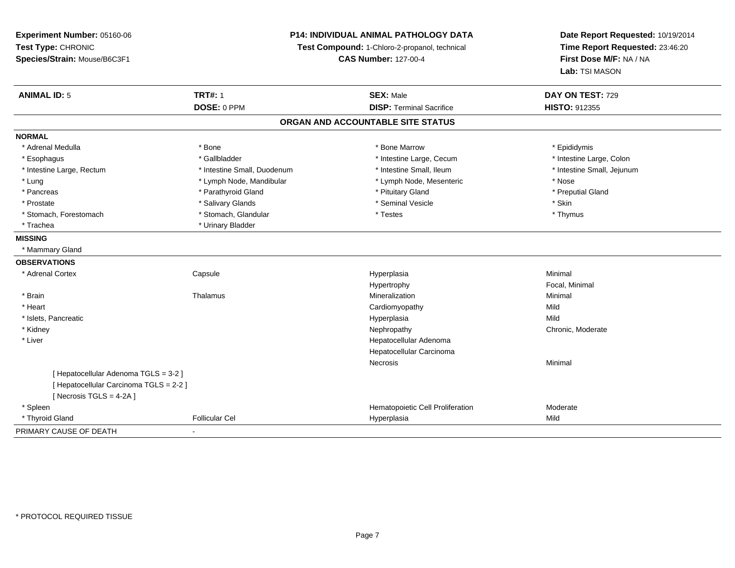**Experiment Number:** 05160-06**Test Type:** CHRONIC **Species/Strain:** Mouse/B6C3F1**P14: INDIVIDUAL ANIMAL PATHOLOGY DATATest Compound:** 1-Chloro-2-propanol, technical **CAS Number:** 127-00-4**Date Report Requested:** 10/19/2014**Time Report Requested:** 23:46:20**First Dose M/F:** NA / NA**Lab:** TSI MASON**ANIMAL ID:** 5 **TRT#:** <sup>1</sup> **SEX:** Male **DAY ON TEST:** <sup>729</sup> **DOSE:** 0 PPM**DISP:** Terminal Sacrifice **HISTO:** 912355 **ORGAN AND ACCOUNTABLE SITE STATUSNORMAL**\* Adrenal Medulla \* Adrenal Medulla \* \* The matter of the state of the state of the Marrow \* Bone Marrow \* Adrenal Medulla \* Epididymis \* Epididymis \* Bone Marrow \* Adrenal Medulla \* Epididymis \* Epididymis \* Epididymis \* Epididymis \* Epidi \* Intestine Large, Colon \* Esophagus \* Intestine Large, Cecum \* Callbladder \* 10 \* Intestine Large, Cecum \* Intestine Large, Cecum \* \* Intestine Large, Rectum \* Thestine Small, Duodenum \* Number of the small, Ileum \* Intestine Small, Jejunum \* Intestine Small, Jejunum \* Lung \* Lymph Node, Mandibular \* Nose \* Lymph Node, Mesenteric \* Nose \* Nose \* Preputial Gland \* Pancreas \* \* Parathyroid Gland \* \* Parathyroid Gland \* \* Pituitary Gland \* \* Preputial Gland \* \* Preputial Gland \* Prostate \* \* Salivary Glands \* \* Salivary Glands \* \* Seminal Vesicle \* \* \* Seminal Yestrich \* \* Skin \* \* Skin \* Thymus \* Stomach, Forestomach \* Testes \* Stomach, Glandular \* Testes \* Testes \* Testes \* Testes \* Testes \* Testes \* T \* Trachea \* Urinary Bladder**MISSING** \* Mammary Gland**OBSERVATIONS** \* Adrenal Cortex**Capsule**  Hyperplasia Minimal Hypertrophy Focal, Minimal \* Brainn and the matter of the Thalamus and the Minimal of the Minimal of the Minimal of the Minimal of the Minimal o<br>Thalamus and the Minimal of the Minimal of the Minimal of the Minimal of the Minimal of the Minimal of the Min \* Heart Cardiomyopathyy Mild Mild \* Islets, Pancreaticc and the control of the control of the control of the control of the control of the control of the control of the control of the control of the control of the control of the control of the control of the control of the co a Mild \* Kidneyy the chronic, Moderate and September 2011 of the Chronic Moderate and September 2012 of the Chronic, Moderate \* Liver Hepatocellular Adenoma Hepatocellular CarcinomaNecrosis Minimal [ Hepatocellular Adenoma TGLS = 3-2 ][ Hepatocellular Carcinoma TGLS = 2-2 ] $[$  Necrosis TGLS = 4-2A  $]$  \* Spleen Hematopoietic Cell Proliferation Moderate \* Thyroid Gland Follicular Cel Hyperplasia Mild PRIMARY CAUSE OF DEATH-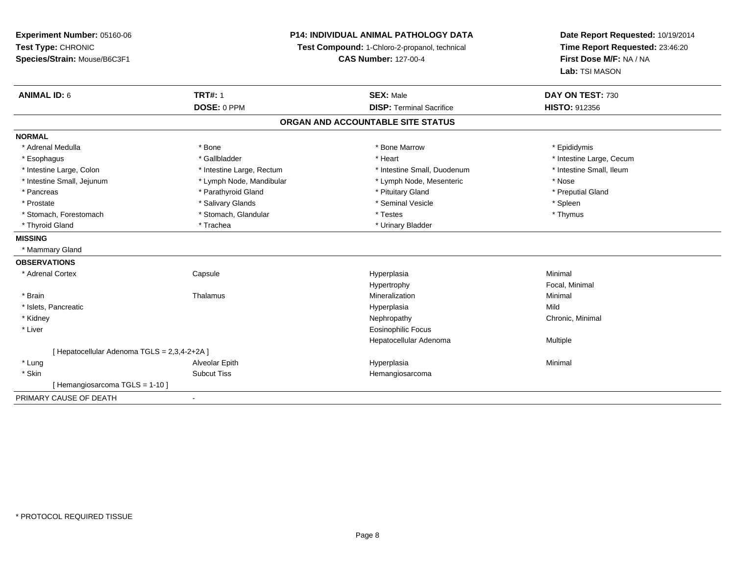**Experiment Number:** 05160-06**Test Type:** CHRONIC **Species/Strain:** Mouse/B6C3F1**P14: INDIVIDUAL ANIMAL PATHOLOGY DATATest Compound:** 1-Chloro-2-propanol, technical **CAS Number:** 127-00-4**Date Report Requested:** 10/19/2014**Time Report Requested:** 23:46:20**First Dose M/F:** NA / NA**Lab:** TSI MASON**ANIMAL ID:** 6**TRT#:** 1 **SEX:** Male **DAY ON TEST:** 730 **DOSE:** 0 PPM**DISP:** Terminal Sacrifice **HISTO:** 912356 **ORGAN AND ACCOUNTABLE SITE STATUSNORMAL**\* Adrenal Medulla \* Adrenal Medulla \* \* The matter of the state of the state of the Marrow \* Bone Marrow \* Adrenal Medulla \* Epididymis \* Epididymis \* Bone Marrow \* Adrenal Medulla \* Epididymis \* Epididymis \* Epididymis \* Epididymis \* Epidi \* Esophagus \* https://www.fragustage.com/web/2019/heart \* Heart \* Heart \* Heart \* Intestine Large, Cecum \* Intestine Large, Cecum \* Gallbladder \* Callbladder \* 11 and 12 and 12 and 12 and 12 and 12 and 12 and 12 and 12 and \* Intestine Small, Ileum \* Intestine Large, Colon \* Intestine Large, Rectum \* Intestine Small, Duodenum \* Intestine Small, Duodenum \* Intestine Small, Jejunum \* Lymph Node, Mandibular \* Lymph Node, Mesenteric \* Nose\* Preputial Gland \* Pancreas \* \* Parathyroid Gland \* \* Parathyroid Gland \* \* Pituitary Gland \* \* Preputial Gland \* \* Preputial Gland \* Prostate \* \* Seminal Vesicle \* \* Seminal Vesicle \* \* Seminal Vesicle \* \* Spleen \* \* Spleen \* \* Spleen \* \* Spleen \* \* Spleen \* \* Spleen \* \* Spleen \* \* Spleen \* \* Spleen \* \* Spleen \* \* Spleen \* \* Spleen \* \* Spleen \* \* Sple \* Thymus \* Stomach, Forestomach \* Testes \* Stomach, Glandular \* Testes \* Testes \* Testes \* Testes \* Testes \* Testes \* T \* Thyroid Gland \* Trachea \* Trachea \* Trachea \* Urinary Bladder **MISSING** \* Mammary Gland**OBSERVATIONS** \* Adrenal Cortex**Capsule**  Hyperplasia Minimal Hypertrophy Focal, Minimal \* Brainn and the matter of the Thalamus and the Minimal of the Minimal of the Minimal of the Minimal of the Minimal o<br>Thalamus and the Minimal of the Minimal of the Minimal of the Minimal of the Minimal of the Minimal of the Min \* Islets, Pancreaticc and the control of the control of the control of the control of the control of the control of the control of the control of the control of the control of the control of the control of the control of the control of the co a Mild \* Kidneyy the controller of the controller of the controller of the Nephropathy Chronic, Minimal (Chronic, Minimal  $\mu$  \* Liver Eosinophilic Focus Hepatocellular Adenoma Multiple [ Hepatocellular Adenoma TGLS = 2,3,4-2+2A ] \* Lung Alveolar Epith Hyperplasia Minimal \* Skinn and the subcut Tiss the Subcut Tiss of the Subcut Tiss and the Hemangiosarcoma [ Hemangiosarcoma TGLS = 1-10 ]PRIMARY CAUSE OF DEATH-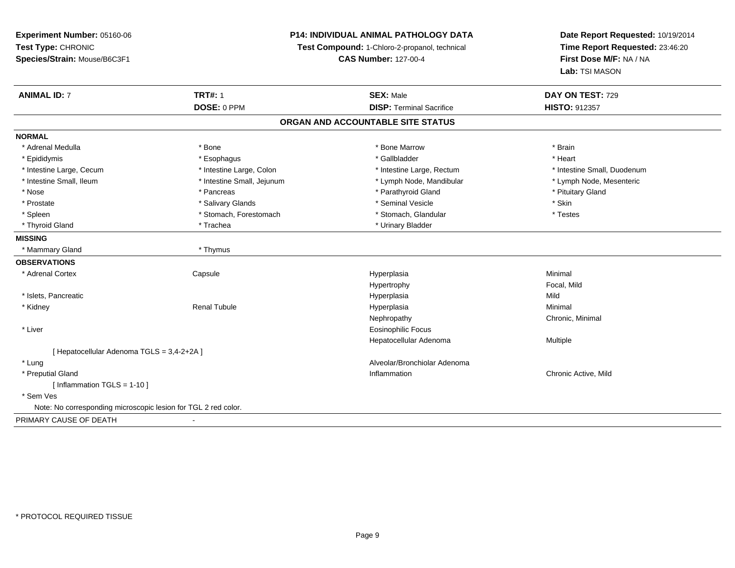| Experiment Number: 05160-06                                    | <b>P14: INDIVIDUAL ANIMAL PATHOLOGY DATA</b><br>Test Compound: 1-Chloro-2-propanol, technical |                                   | Date Report Requested: 10/19/2014<br>Time Report Requested: 23:46:20 |
|----------------------------------------------------------------|-----------------------------------------------------------------------------------------------|-----------------------------------|----------------------------------------------------------------------|
| Test Type: CHRONIC                                             |                                                                                               |                                   |                                                                      |
| Species/Strain: Mouse/B6C3F1                                   | <b>CAS Number: 127-00-4</b>                                                                   |                                   | First Dose M/F: NA / NA                                              |
|                                                                |                                                                                               |                                   | Lab: TSI MASON                                                       |
| <b>ANIMAL ID: 7</b>                                            | <b>TRT#: 1</b>                                                                                | <b>SEX: Male</b>                  | DAY ON TEST: 729                                                     |
|                                                                | DOSE: 0 PPM                                                                                   | <b>DISP: Terminal Sacrifice</b>   | HISTO: 912357                                                        |
|                                                                |                                                                                               | ORGAN AND ACCOUNTABLE SITE STATUS |                                                                      |
| NORMAL                                                         |                                                                                               |                                   |                                                                      |
| * Adrenal Medulla                                              | * Bone                                                                                        | * Bone Marrow                     | * Brain                                                              |
| * Epididymis                                                   | * Esophagus                                                                                   | * Gallbladder                     | * Heart                                                              |
| * Intestine Large, Cecum                                       | * Intestine Large, Colon                                                                      | * Intestine Large, Rectum         | * Intestine Small, Duodenum                                          |
| * Intestine Small, Ileum                                       | * Intestine Small, Jejunum                                                                    | * Lymph Node, Mandibular          | * Lymph Node, Mesenteric                                             |
| * Nose                                                         | * Pancreas                                                                                    | * Parathyroid Gland               | * Pituitary Gland                                                    |
| * Prostate                                                     | * Salivary Glands                                                                             | * Seminal Vesicle                 | * Skin                                                               |
| * Spleen                                                       | * Stomach, Forestomach                                                                        | * Stomach, Glandular              | * Testes                                                             |
| * Thyroid Gland                                                | * Trachea                                                                                     | * Urinary Bladder                 |                                                                      |
| <b>MISSING</b>                                                 |                                                                                               |                                   |                                                                      |
| * Mammary Gland                                                | * Thymus                                                                                      |                                   |                                                                      |
| <b>OBSERVATIONS</b>                                            |                                                                                               |                                   |                                                                      |
| * Adrenal Cortex                                               | Capsule                                                                                       | Hyperplasia                       | Minimal                                                              |
|                                                                |                                                                                               | Hypertrophy                       | Focal, Mild                                                          |
| * Islets, Pancreatic                                           |                                                                                               | Hyperplasia                       | Mild                                                                 |
| * Kidney                                                       | <b>Renal Tubule</b>                                                                           | Hyperplasia                       | Minimal                                                              |
|                                                                |                                                                                               | Nephropathy                       | Chronic, Minimal                                                     |
| * Liver                                                        |                                                                                               | <b>Eosinophilic Focus</b>         |                                                                      |
|                                                                |                                                                                               | Hepatocellular Adenoma            | Multiple                                                             |
| [ Hepatocellular Adenoma TGLS = 3,4-2+2A ]                     |                                                                                               |                                   |                                                                      |
| * Lung                                                         |                                                                                               | Alveolar/Bronchiolar Adenoma      |                                                                      |
| * Preputial Gland                                              |                                                                                               | Inflammation                      | Chronic Active, Mild                                                 |
| [ Inflammation TGLS = 1-10 ]                                   |                                                                                               |                                   |                                                                      |
| * Sem Ves                                                      |                                                                                               |                                   |                                                                      |
| Note: No corresponding microscopic lesion for TGL 2 red color. |                                                                                               |                                   |                                                                      |
| PRIMARY CAUSE OF DEATH                                         |                                                                                               |                                   |                                                                      |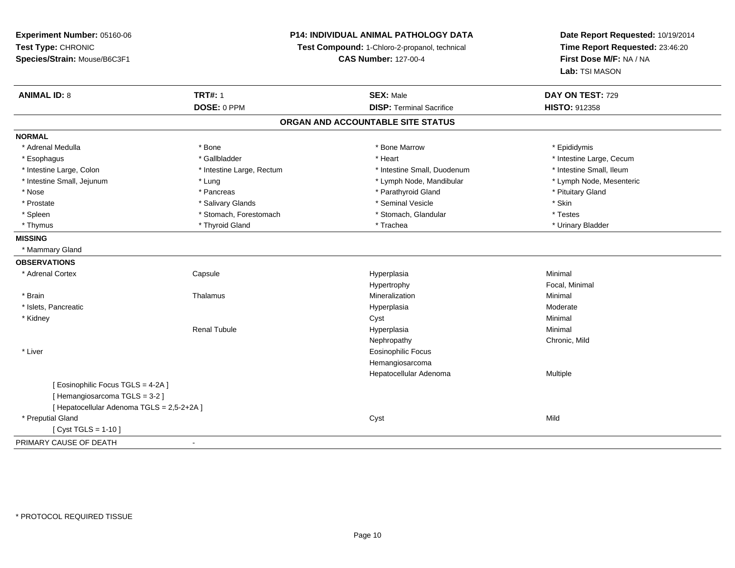## **P14: INDIVIDUAL ANIMAL PATHOLOGY DATA**

**Test Compound:** 1-Chloro-2-propanol, technical

**CAS Number:** 127-00-4

**Date Report Requested:** 10/19/2014 **Time Report Requested:** 23:46:20**First Dose M/F:** NA / NA**Lab:** TSI MASON

| <b>ANIMAL ID: 8</b>                        | <b>TRT#: 1</b>            | <b>SEX: Male</b>                  | DAY ON TEST: 729         |  |
|--------------------------------------------|---------------------------|-----------------------------------|--------------------------|--|
|                                            | DOSE: 0 PPM               | <b>DISP: Terminal Sacrifice</b>   | <b>HISTO: 912358</b>     |  |
|                                            |                           | ORGAN AND ACCOUNTABLE SITE STATUS |                          |  |
| <b>NORMAL</b>                              |                           |                                   |                          |  |
| * Adrenal Medulla                          | * Bone                    | * Bone Marrow                     | * Epididymis             |  |
| * Esophagus                                | * Gallbladder             | * Heart                           | * Intestine Large, Cecum |  |
| * Intestine Large, Colon                   | * Intestine Large, Rectum | * Intestine Small, Duodenum       | * Intestine Small, Ileum |  |
| * Intestine Small, Jejunum                 | * Lung                    | * Lymph Node, Mandibular          | * Lymph Node, Mesenteric |  |
| * Nose                                     | * Pancreas                | * Parathyroid Gland               | * Pituitary Gland        |  |
| * Prostate                                 | * Salivary Glands         | * Seminal Vesicle                 | * Skin                   |  |
| * Spleen                                   | * Stomach, Forestomach    | * Stomach, Glandular              | * Testes                 |  |
| * Thymus                                   | * Thyroid Gland           | * Trachea                         | * Urinary Bladder        |  |
| <b>MISSING</b>                             |                           |                                   |                          |  |
| * Mammary Gland                            |                           |                                   |                          |  |
| <b>OBSERVATIONS</b>                        |                           |                                   |                          |  |
| * Adrenal Cortex                           | Capsule                   | Hyperplasia                       | Minimal                  |  |
|                                            |                           | Hypertrophy                       | Focal, Minimal           |  |
| * Brain                                    | Thalamus                  | Mineralization                    | Minimal                  |  |
| * Islets, Pancreatic                       |                           | Hyperplasia                       | Moderate                 |  |
| * Kidney                                   |                           | Cyst                              | Minimal                  |  |
|                                            | <b>Renal Tubule</b>       | Hyperplasia                       | Minimal                  |  |
|                                            |                           | Nephropathy                       | Chronic, Mild            |  |
| * Liver                                    |                           | <b>Eosinophilic Focus</b>         |                          |  |
|                                            |                           | Hemangiosarcoma                   |                          |  |
|                                            |                           | Hepatocellular Adenoma            | Multiple                 |  |
| [Eosinophilic Focus TGLS = 4-2A]           |                           |                                   |                          |  |
| [Hemangiosarcoma TGLS = 3-2]               |                           |                                   |                          |  |
| [ Hepatocellular Adenoma TGLS = 2,5-2+2A ] |                           |                                   |                          |  |
| * Preputial Gland                          |                           | Cyst                              | Mild                     |  |
| [ Cyst TGLS = $1-10$ ]                     |                           |                                   |                          |  |
| PRIMARY CAUSE OF DEATH                     | $\blacksquare$            |                                   |                          |  |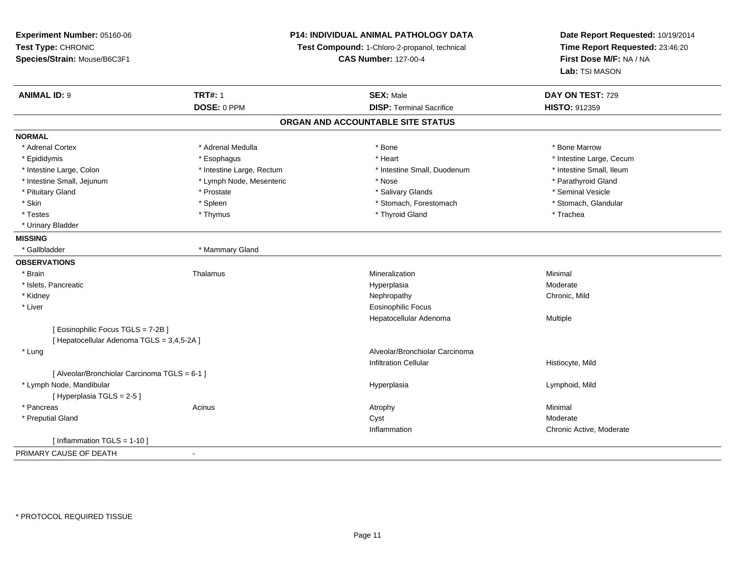| <b>P14: INDIVIDUAL ANIMAL PATHOLOGY DATA</b><br>Experiment Number: 05160-06 |                                               |                                   | Date Report Requested: 10/19/2014<br>Time Report Requested: 23:46:20 |
|-----------------------------------------------------------------------------|-----------------------------------------------|-----------------------------------|----------------------------------------------------------------------|
| Test Type: CHRONIC                                                          | Test Compound: 1-Chloro-2-propanol, technical |                                   |                                                                      |
| Species/Strain: Mouse/B6C3F1                                                |                                               | <b>CAS Number: 127-00-4</b>       | First Dose M/F: NA / NA                                              |
|                                                                             |                                               |                                   | <b>Lab: TSI MASON</b>                                                |
| <b>ANIMAL ID: 9</b>                                                         | <b>TRT#: 1</b>                                | <b>SEX: Male</b>                  | DAY ON TEST: 729                                                     |
|                                                                             | DOSE: 0 PPM                                   | <b>DISP: Terminal Sacrifice</b>   | HISTO: 912359                                                        |
|                                                                             |                                               | ORGAN AND ACCOUNTABLE SITE STATUS |                                                                      |
| <b>NORMAL</b>                                                               |                                               |                                   |                                                                      |
| * Adrenal Cortex                                                            | * Adrenal Medulla                             | * Bone                            | * Bone Marrow                                                        |
| * Epididymis                                                                | * Esophagus                                   | * Heart                           | * Intestine Large, Cecum                                             |
| * Intestine Large, Colon                                                    | * Intestine Large, Rectum                     | * Intestine Small, Duodenum       | * Intestine Small, Ileum                                             |
| * Intestine Small, Jejunum                                                  | * Lymph Node, Mesenteric                      | * Nose                            | * Parathyroid Gland                                                  |
| * Pituitary Gland                                                           | * Prostate                                    | * Salivary Glands                 | * Seminal Vesicle                                                    |
| * Skin                                                                      | * Spleen                                      | * Stomach, Forestomach            | * Stomach, Glandular                                                 |
| * Testes                                                                    | * Thymus                                      | * Thyroid Gland                   | * Trachea                                                            |
| * Urinary Bladder                                                           |                                               |                                   |                                                                      |
| <b>MISSING</b>                                                              |                                               |                                   |                                                                      |
| * Gallbladder                                                               | * Mammary Gland                               |                                   |                                                                      |
| <b>OBSERVATIONS</b>                                                         |                                               |                                   |                                                                      |
| * Brain                                                                     | Thalamus                                      | Mineralization                    | Minimal                                                              |
| * Islets, Pancreatic                                                        |                                               | Hyperplasia                       | Moderate                                                             |
| * Kidney                                                                    |                                               | Nephropathy                       | Chronic, Mild                                                        |
| * Liver                                                                     |                                               | <b>Eosinophilic Focus</b>         |                                                                      |
|                                                                             |                                               | Hepatocellular Adenoma            | Multiple                                                             |
| [ Eosinophilic Focus TGLS = 7-2B]                                           |                                               |                                   |                                                                      |
| [ Hepatocellular Adenoma TGLS = 3,4,5-2A ]                                  |                                               |                                   |                                                                      |
| * Lung                                                                      |                                               | Alveolar/Bronchiolar Carcinoma    |                                                                      |
|                                                                             |                                               | <b>Infiltration Cellular</b>      | Histiocyte, Mild                                                     |
| [ Alveolar/Bronchiolar Carcinoma TGLS = 6-1 ]                               |                                               |                                   |                                                                      |
| * Lymph Node, Mandibular                                                    |                                               | Hyperplasia                       | Lymphoid, Mild                                                       |
| [ Hyperplasia TGLS = 2-5 ]                                                  |                                               |                                   |                                                                      |
| * Pancreas                                                                  | Acinus                                        | Atrophy                           | Minimal                                                              |
| * Preputial Gland                                                           |                                               | Cyst                              | Moderate                                                             |
|                                                                             |                                               | Inflammation                      | Chronic Active, Moderate                                             |
| [Inflammation TGLS = $1-10$ ]                                               |                                               |                                   |                                                                      |
| PPIUIDUQUIQFQFQFIPTU                                                        |                                               |                                   |                                                                      |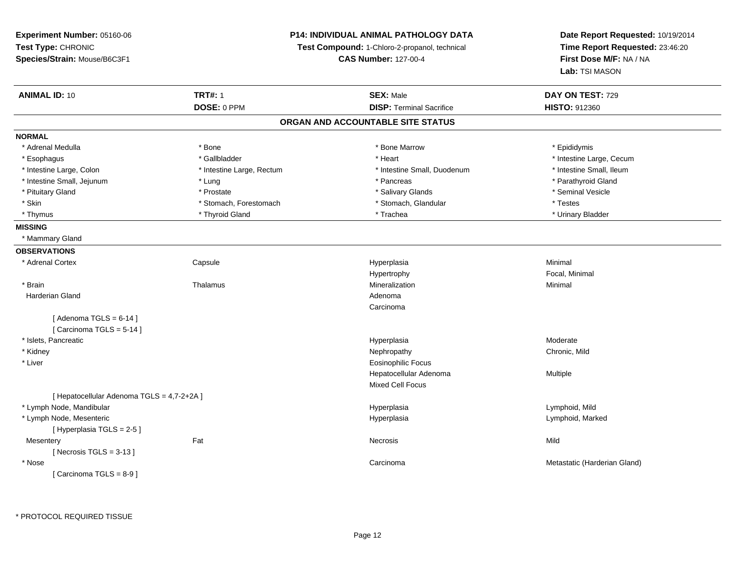**Experiment Number:** 05160-06**Test Type:** CHRONIC **Species/Strain:** Mouse/B6C3F1**P14: INDIVIDUAL ANIMAL PATHOLOGY DATATest Compound:** 1-Chloro-2-propanol, technical **CAS Number:** 127-00-4**Date Report Requested:** 10/19/2014**Time Report Requested:** 23:46:20**First Dose M/F:** NA / NA**Lab:** TSI MASON**ANIMAL ID:** 10**TRT#:** 1 **SEX:** Male **DAY ON TEST:** 729 **DOSE:** 0 PPM**DISP:** Terminal Sacrifice **HISTO:** 912360 **ORGAN AND ACCOUNTABLE SITE STATUSNORMAL**\* Adrenal Medulla \* Adrenal Medulla \* \* The matter of the state of the state of the Marrow \* Bone Marrow \* Adrenal Medulla \* Epididymis \* Epididymis \* Bone Marrow \* Adrenal Medulla \* Epididymis \* Epididymis \* Epididymis \* Epididymis \* Epidi \* Esophagus \* https://www.fragustage.com/web/2019/heart \* Heart \* Heart \* Heart \* Intestine Large, Cecum \* Intestine Large, Cecum \* Gallbladder \* Callbladder \* 11 and 12 and 12 and 12 and 12 and 12 and 12 and 12 and 12 and \* Intestine Small, Ileum \* Intestine Large, Colon \* Intestine Large, Rectum \* Intestine Small, Duodenum \* Intestine Small, Duodenum \* Intestine Small, Jejunum \* The state of the state of the state of the state of the state of the state of the state of the state of the state of the state of the state of the state of the state of the state of the state o \* Pituitary Gland \* \* \* \* Prostate \* \* Prostate \* \* Salivary Glands \* \* Salivary Glands \* \* Seminal Vesicle \* Skin \* Stomach, Forestomach \* Stomach, \* Stomach, \* Stomach, Glandular \* Testes \* Urinary Bladder \* Thymus \* Thyroid Gland \* Trachea \* Urinary Bladder \* **MISSING** \* Mammary Gland**OBSERVATIONS** \* Adrenal Cortex**Capsule**  Hyperplasia Minimal HypertrophyHypertrophy **Example 2018** Focal, Minimal Mineralization **Minimal**  \* Brainn and the matter of the Thalamus and the Minimal of the Minimal of the Minimal of the Minimal of the Minimal o<br>Thalamus and the Minimal of the Minimal of the Minimal of the Minimal of the Minimal of the Minimal of the Min Harderian Glandd and a state of the control of the control of the control of the control of the control of the control of the control of the control of the control of the control of the control of the control of the control of the contro Carcinoma $[$  Adenoma TGLS = 6-14  $]$ [ Carcinoma TGLS = 5-14 ] \* Islets, Pancreaticc and the control of the control of the control of the control of the control of the control of the control of the control of the control of the control of the control of the control of the control of the control of the co Moderate \* Kidneyy the controller of the controller of the controller of the controller of the controller of the chronic, Mild \* Liver Eosinophilic Focus Hepatocellular Adenoma Multiple Mixed Cell Focus[ Hepatocellular Adenoma TGLS = 4,7-2+2A ] \* Lymph Node, Mandibular Hyperplasia Lymphoid, Mild \* Lymph Node, Mesentericc and the contract of the contract of the contract of the contract of the contract of the contract of the contract of the contract of the contract of the contract of the contract of the contract of the contract of the cont Lymphoid, Marked [ Hyperplasia TGLS = 2-5 ] **Mesentery** y the contract of the contract of the contract of the contract of the contract of the contract of the contract of the contract of the contract of the contract of the contract of the contract of the contract of the contract  $[$  Necrosis TGLS = 3-13  $]$  \* Nosee and the contract of the contract of the contract of the contract of the contract of the contract of the contract of the contract of the contract of the contract of the contract of the contract of the contract of the cont [ Carcinoma TGLS = 8-9 ]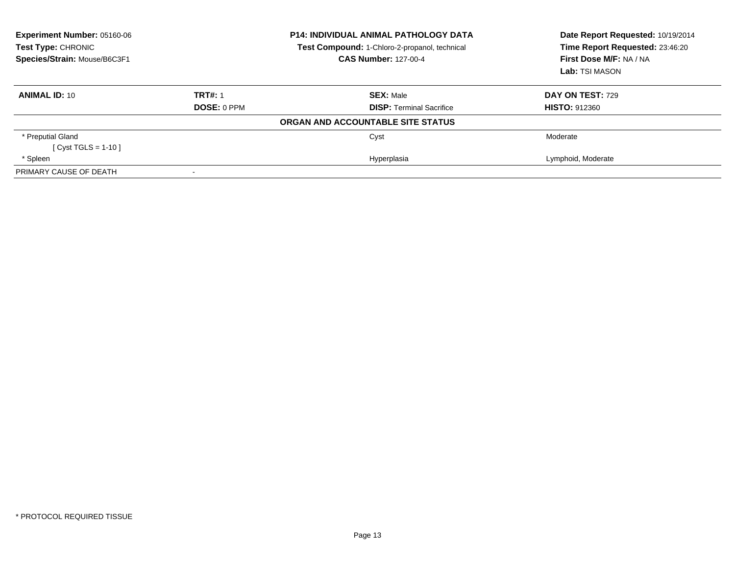| Experiment Number: 05160-06<br>Test Type: CHRONIC |                    | <b>P14: INDIVIDUAL ANIMAL PATHOLOGY DATA</b><br><b>Test Compound: 1-Chloro-2-propanol, technical</b> | Date Report Requested: 10/19/2014<br>Time Report Requested: 23:46:20 |
|---------------------------------------------------|--------------------|------------------------------------------------------------------------------------------------------|----------------------------------------------------------------------|
| Species/Strain: Mouse/B6C3F1                      |                    | <b>CAS Number: 127-00-4</b>                                                                          | First Dose M/F: NA / NA                                              |
|                                                   |                    |                                                                                                      | Lab: TSI MASON                                                       |
| <b>ANIMAL ID: 10</b>                              | <b>TRT#: 1</b>     | <b>SEX: Male</b>                                                                                     | DAY ON TEST: 729                                                     |
|                                                   | <b>DOSE: 0 PPM</b> | <b>DISP:</b> Terminal Sacrifice                                                                      | <b>HISTO: 912360</b>                                                 |
|                                                   |                    | ORGAN AND ACCOUNTABLE SITE STATUS                                                                    |                                                                      |
| * Preputial Gland                                 |                    | Cyst                                                                                                 | Moderate                                                             |
| $Cvst TGLS = 1-10$                                |                    |                                                                                                      |                                                                      |
| * Spleen                                          |                    | Hyperplasia                                                                                          | Lymphoid, Moderate                                                   |
| PRIMARY CAUSE OF DEATH                            |                    |                                                                                                      |                                                                      |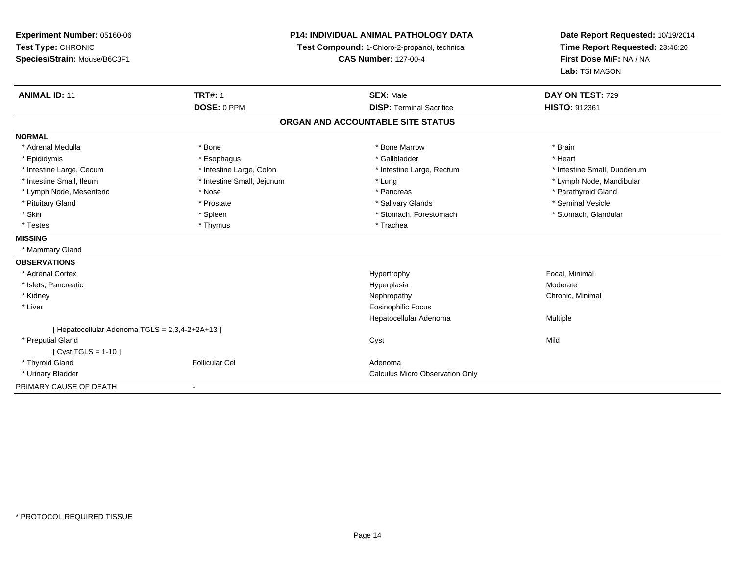| Experiment Number: 05160-06<br>Test Type: CHRONIC<br>Species/Strain: Mouse/B6C3F1 |                            | <b>P14: INDIVIDUAL ANIMAL PATHOLOGY DATA</b><br>Test Compound: 1-Chloro-2-propanol, technical<br><b>CAS Number: 127-00-4</b> | Date Report Requested: 10/19/2014<br>Time Report Requested: 23:46:20<br>First Dose M/F: NA / NA<br>Lab: TSI MASON |
|-----------------------------------------------------------------------------------|----------------------------|------------------------------------------------------------------------------------------------------------------------------|-------------------------------------------------------------------------------------------------------------------|
| <b>ANIMAL ID: 11</b>                                                              | <b>TRT#: 1</b>             | <b>SEX: Male</b>                                                                                                             | DAY ON TEST: 729                                                                                                  |
|                                                                                   | DOSE: 0 PPM                | <b>DISP: Terminal Sacrifice</b>                                                                                              | <b>HISTO: 912361</b>                                                                                              |
|                                                                                   |                            | ORGAN AND ACCOUNTABLE SITE STATUS                                                                                            |                                                                                                                   |
| <b>NORMAL</b>                                                                     |                            |                                                                                                                              |                                                                                                                   |
| * Adrenal Medulla                                                                 | * Bone                     | * Bone Marrow                                                                                                                | * Brain                                                                                                           |
| * Epididymis                                                                      | * Esophagus                | * Gallbladder                                                                                                                | * Heart                                                                                                           |
| * Intestine Large, Cecum                                                          | * Intestine Large, Colon   | * Intestine Large, Rectum                                                                                                    | * Intestine Small, Duodenum                                                                                       |
| * Intestine Small, Ileum                                                          | * Intestine Small, Jejunum | * Lung                                                                                                                       | * Lymph Node, Mandibular                                                                                          |
| * Lymph Node, Mesenteric                                                          | * Nose                     | * Pancreas                                                                                                                   | * Parathyroid Gland                                                                                               |
| * Pituitary Gland                                                                 | * Prostate                 | * Salivary Glands                                                                                                            | * Seminal Vesicle                                                                                                 |
| * Skin                                                                            | * Spleen                   | * Stomach, Forestomach                                                                                                       | * Stomach, Glandular                                                                                              |
| * Testes                                                                          | * Thymus                   | * Trachea                                                                                                                    |                                                                                                                   |
| <b>MISSING</b>                                                                    |                            |                                                                                                                              |                                                                                                                   |
| * Mammary Gland                                                                   |                            |                                                                                                                              |                                                                                                                   |
| <b>OBSERVATIONS</b>                                                               |                            |                                                                                                                              |                                                                                                                   |
| * Adrenal Cortex                                                                  |                            | Hypertrophy                                                                                                                  | Focal, Minimal                                                                                                    |
| * Islets, Pancreatic                                                              |                            | Hyperplasia                                                                                                                  | Moderate                                                                                                          |
| * Kidney                                                                          |                            | Nephropathy                                                                                                                  | Chronic, Minimal                                                                                                  |
| * Liver                                                                           |                            | <b>Eosinophilic Focus</b>                                                                                                    |                                                                                                                   |
|                                                                                   |                            | Hepatocellular Adenoma                                                                                                       | Multiple                                                                                                          |
| [Hepatocellular Adenoma TGLS = 2,3,4-2+2A+13]                                     |                            |                                                                                                                              |                                                                                                                   |
| * Preputial Gland                                                                 |                            | Cyst                                                                                                                         | Mild                                                                                                              |
| [ $Cyst TGLS = 1-10$ ]                                                            |                            |                                                                                                                              |                                                                                                                   |
| * Thyroid Gland                                                                   | <b>Follicular Cel</b>      | Adenoma                                                                                                                      |                                                                                                                   |
| * Urinary Bladder                                                                 |                            | Calculus Micro Observation Only                                                                                              |                                                                                                                   |
| PRIMARY CAUSE OF DEATH                                                            | $\blacksquare$             |                                                                                                                              |                                                                                                                   |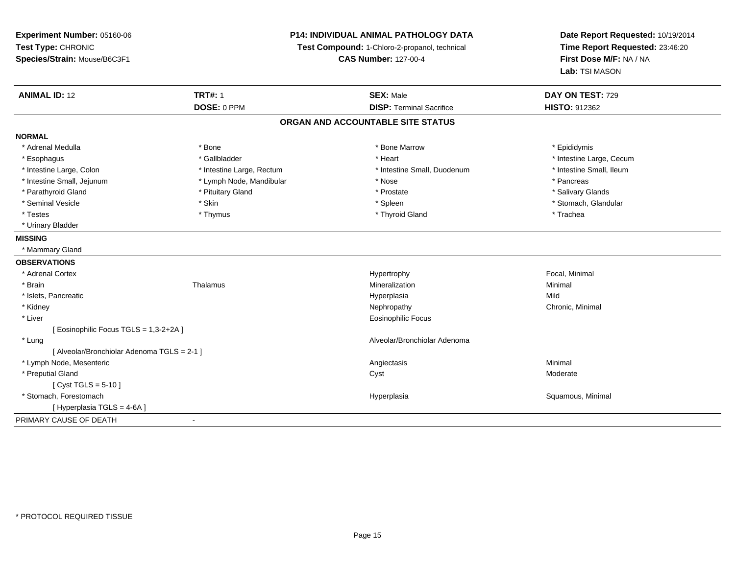| Experiment Number: 05160-06                 | <b>P14: INDIVIDUAL ANIMAL PATHOLOGY DATA</b><br>Test Compound: 1-Chloro-2-propanol, technical<br><b>CAS Number: 127-00-4</b> |                                   | Date Report Requested: 10/19/2014<br>Time Report Requested: 23:46:20 |
|---------------------------------------------|------------------------------------------------------------------------------------------------------------------------------|-----------------------------------|----------------------------------------------------------------------|
| Test Type: CHRONIC                          |                                                                                                                              |                                   |                                                                      |
| Species/Strain: Mouse/B6C3F1                |                                                                                                                              |                                   | First Dose M/F: NA / NA                                              |
|                                             |                                                                                                                              |                                   | Lab: TSI MASON                                                       |
| <b>ANIMAL ID: 12</b>                        | <b>TRT#: 1</b>                                                                                                               | <b>SEX: Male</b>                  | DAY ON TEST: 729                                                     |
|                                             | DOSE: 0 PPM                                                                                                                  | <b>DISP: Terminal Sacrifice</b>   | <b>HISTO: 912362</b>                                                 |
|                                             |                                                                                                                              | ORGAN AND ACCOUNTABLE SITE STATUS |                                                                      |
| <b>NORMAL</b>                               |                                                                                                                              |                                   |                                                                      |
| * Adrenal Medulla                           | * Bone                                                                                                                       | * Bone Marrow                     | * Epididymis                                                         |
| * Esophagus                                 | * Gallbladder                                                                                                                | * Heart                           | * Intestine Large, Cecum                                             |
| * Intestine Large, Colon                    | * Intestine Large, Rectum                                                                                                    | * Intestine Small, Duodenum       | * Intestine Small, Ileum                                             |
| * Intestine Small, Jejunum                  | * Lymph Node, Mandibular                                                                                                     | * Nose                            | * Pancreas                                                           |
| * Parathyroid Gland                         | * Pituitary Gland                                                                                                            | * Prostate                        | * Salivary Glands                                                    |
| * Seminal Vesicle                           | * Skin                                                                                                                       | * Spleen                          | * Stomach, Glandular                                                 |
| * Testes                                    | * Thymus                                                                                                                     | * Thyroid Gland                   | * Trachea                                                            |
| * Urinary Bladder                           |                                                                                                                              |                                   |                                                                      |
| <b>MISSING</b>                              |                                                                                                                              |                                   |                                                                      |
| * Mammary Gland                             |                                                                                                                              |                                   |                                                                      |
| <b>OBSERVATIONS</b>                         |                                                                                                                              |                                   |                                                                      |
| * Adrenal Cortex                            |                                                                                                                              | Hypertrophy                       | Focal, Minimal                                                       |
| * Brain                                     | Thalamus                                                                                                                     | Mineralization                    | Minimal                                                              |
| * Islets, Pancreatic                        |                                                                                                                              | Hyperplasia                       | Mild                                                                 |
| * Kidney                                    |                                                                                                                              | Nephropathy                       | Chronic, Minimal                                                     |
| * Liver                                     |                                                                                                                              | <b>Eosinophilic Focus</b>         |                                                                      |
| [ Eosinophilic Focus TGLS = 1,3-2+2A ]      |                                                                                                                              |                                   |                                                                      |
| * Lung                                      |                                                                                                                              | Alveolar/Bronchiolar Adenoma      |                                                                      |
| [ Alveolar/Bronchiolar Adenoma TGLS = 2-1 ] |                                                                                                                              |                                   |                                                                      |
| * Lymph Node, Mesenteric                    |                                                                                                                              | Angiectasis                       | Minimal                                                              |
| * Preputial Gland                           |                                                                                                                              | Cyst                              | Moderate                                                             |
| [ $Cyst TGLS = 5-10$ ]                      |                                                                                                                              |                                   |                                                                      |
| * Stomach, Forestomach                      |                                                                                                                              | Hyperplasia                       | Squamous, Minimal                                                    |
| [ Hyperplasia TGLS = 4-6A ]                 |                                                                                                                              |                                   |                                                                      |
| PRIMARY CAUSE OF DEATH                      | $\sim$                                                                                                                       |                                   |                                                                      |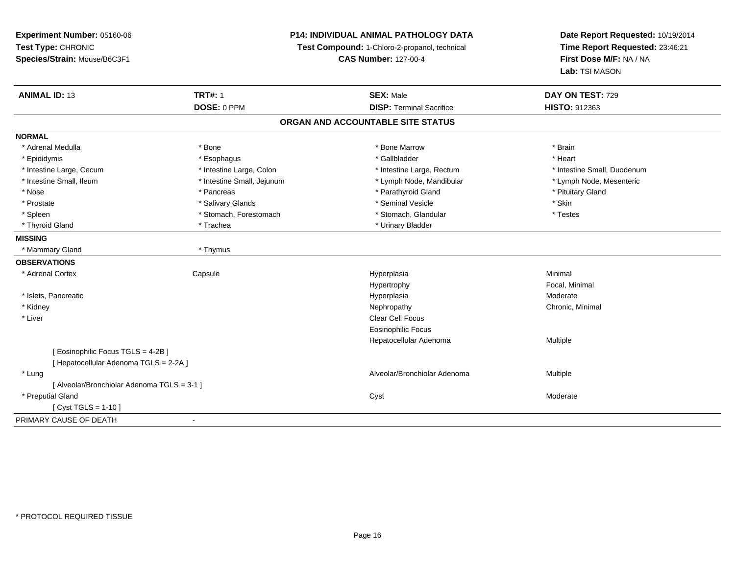| Experiment Number: 05160-06                 | <b>P14: INDIVIDUAL ANIMAL PATHOLOGY DATA</b><br>Test Compound: 1-Chloro-2-propanol, technical<br><b>CAS Number: 127-00-4</b> |                                   | Date Report Requested: 10/19/2014<br>Time Report Requested: 23:46:21 |
|---------------------------------------------|------------------------------------------------------------------------------------------------------------------------------|-----------------------------------|----------------------------------------------------------------------|
| Test Type: CHRONIC                          |                                                                                                                              |                                   |                                                                      |
| Species/Strain: Mouse/B6C3F1                |                                                                                                                              |                                   | First Dose M/F: NA / NA                                              |
|                                             |                                                                                                                              |                                   | Lab: TSI MASON                                                       |
| <b>ANIMAL ID: 13</b>                        | <b>TRT#: 1</b>                                                                                                               | <b>SEX: Male</b>                  | DAY ON TEST: 729                                                     |
|                                             | DOSE: 0 PPM                                                                                                                  | <b>DISP: Terminal Sacrifice</b>   | <b>HISTO: 912363</b>                                                 |
|                                             |                                                                                                                              | ORGAN AND ACCOUNTABLE SITE STATUS |                                                                      |
| <b>NORMAL</b>                               |                                                                                                                              |                                   |                                                                      |
| * Adrenal Medulla                           | * Bone                                                                                                                       | * Bone Marrow                     | * Brain                                                              |
| * Epididymis                                | * Esophagus                                                                                                                  | * Gallbladder                     | * Heart                                                              |
| * Intestine Large, Cecum                    | * Intestine Large, Colon                                                                                                     | * Intestine Large, Rectum         | * Intestine Small. Duodenum                                          |
| * Intestine Small, Ileum                    | * Intestine Small, Jejunum                                                                                                   | * Lymph Node, Mandibular          | * Lymph Node, Mesenteric                                             |
| * Nose                                      | * Pancreas                                                                                                                   | * Parathyroid Gland               | * Pituitary Gland                                                    |
| * Prostate                                  | * Salivary Glands                                                                                                            | * Seminal Vesicle                 | * Skin                                                               |
| * Spleen                                    | * Stomach, Forestomach                                                                                                       | * Stomach, Glandular              | * Testes                                                             |
| * Thyroid Gland                             | * Trachea                                                                                                                    | * Urinary Bladder                 |                                                                      |
| <b>MISSING</b>                              |                                                                                                                              |                                   |                                                                      |
| * Mammary Gland                             | * Thymus                                                                                                                     |                                   |                                                                      |
| <b>OBSERVATIONS</b>                         |                                                                                                                              |                                   |                                                                      |
| * Adrenal Cortex                            | Capsule                                                                                                                      | Hyperplasia                       | Minimal                                                              |
|                                             |                                                                                                                              | Hypertrophy                       | Focal, Minimal                                                       |
| * Islets, Pancreatic                        |                                                                                                                              | Hyperplasia                       | Moderate                                                             |
| * Kidney                                    |                                                                                                                              | Nephropathy                       | Chronic, Minimal                                                     |
| * Liver                                     |                                                                                                                              | Clear Cell Focus                  |                                                                      |
|                                             |                                                                                                                              | <b>Eosinophilic Focus</b>         |                                                                      |
|                                             |                                                                                                                              | Hepatocellular Adenoma            | Multiple                                                             |
| [ Eosinophilic Focus TGLS = 4-2B]           |                                                                                                                              |                                   |                                                                      |
| [ Hepatocellular Adenoma TGLS = 2-2A ]      |                                                                                                                              |                                   |                                                                      |
| * Lung                                      |                                                                                                                              | Alveolar/Bronchiolar Adenoma      | Multiple                                                             |
| [ Alveolar/Bronchiolar Adenoma TGLS = 3-1 ] |                                                                                                                              |                                   |                                                                      |
| * Preputial Gland                           |                                                                                                                              | Cyst                              | Moderate                                                             |
| [ $Cyst TGLS = 1-10$ ]                      |                                                                                                                              |                                   |                                                                      |
| PRIMARY CAUSE OF DEATH                      | $\blacksquare$                                                                                                               |                                   |                                                                      |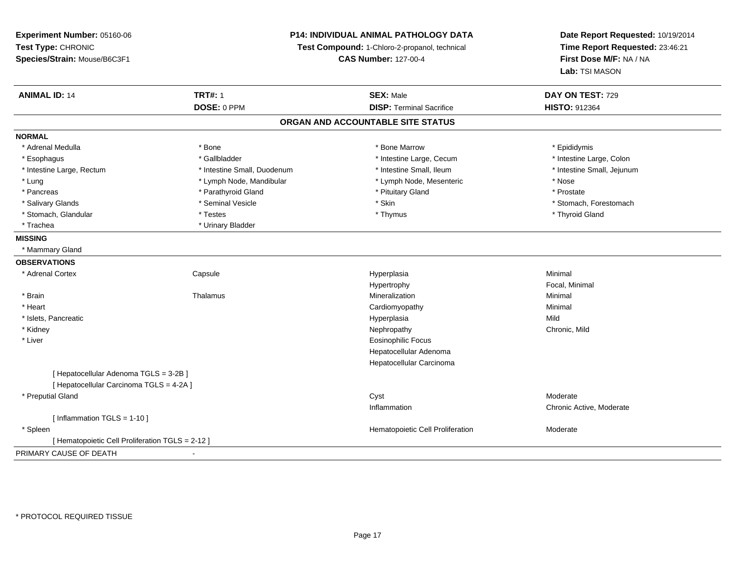**Experiment Number:** 05160-06**Test Type:** CHRONIC **Species/Strain:** Mouse/B6C3F1**P14: INDIVIDUAL ANIMAL PATHOLOGY DATATest Compound:** 1-Chloro-2-propanol, technical **CAS Number:** 127-00-4**Date Report Requested:** 10/19/2014**Time Report Requested:** 23:46:21**First Dose M/F:** NA / NA**Lab:** TSI MASON**ANIMAL ID:** 14**TRT#:** 1 **SEX:** Male **DAY ON TEST:** 729 **DOSE:** 0 PPM**DISP:** Terminal Sacrifice **HISTO:** 912364 **ORGAN AND ACCOUNTABLE SITE STATUSNORMAL**\* Adrenal Medulla \* Adrenal Medulla \* \* The matter of the state of the state of the Marrow \* Bone Marrow \* Adrenal Medulla \* Epididymis \* Epididymis \* Bone Marrow \* Adrenal Medulla \* Epididymis \* Epididymis \* Epididymis \* Epididymis \* Epidi \* Intestine Large, Colon \* Esophagus \* Intestine Large, Cecum \* Callbladder \* 10 \* Intestine Large, Cecum \* Intestine Large, Cecum \* \* Intestine Large, Rectum \* Thestine Small, Duodenum \* Number of the small, Ileum \* Intestine Small, Jejunum \* Intestine Small, Jejunum \* Lung \* Lymph Node, Mandibular \* Nose \* Lymph Node, Mesenteric \* Nose \* Nose \* Prostate \* Pancreas \* Parathyroid Gland \* Parathyroid Gland \* Parathyroid Gland \* Prituitary Gland \* Salivary Glands \* The state of the seminal Vesicle \* Skin \* Skin \* Skin \* Stomach, Forestomach, Forestomach, Forestomach, Forestomach, Forestomach, Forestomach, Forestomach, Forestomach, Forestomach, Forestomach, Foresto \* Stomach, Glandular \* Thyroid Gland \* Testes \* Thyroid Gland \* Thyroid Gland \* Thyroid Gland \* Thyroid Gland \* Trachea \* Urinary Bladder**MISSING** \* Mammary Gland**OBSERVATIONS** \* Adrenal Cortex**Capsule**  Hyperplasia Minimal Hypertrophy Focal, Minimal \* Brainn and the matter of the Thalamus and the Minimal of the Minimal of the Minimal of the Minimal of the Minimal o<br>Thalamus and the Minimal of the Minimal of the Minimal of the Minimal of the Minimal of the Minimal of the Min \* Heart Cardiomyopathy Minimal \* Islets, Pancreaticc and the control of the control of the control of the control of the control of the control of the control of the control of the control of the control of the control of the control of the control of the control of the co a Mild \* Kidneyy the controller of the controller of the controller of the controller of the controller of the chronic, Mild \* Liver Eosinophilic Focus Hepatocellular Adenoma Hepatocellular Carcinoma[ Hepatocellular Adenoma TGLS = 3-2B ][ Hepatocellular Carcinoma TGLS = 4-2A ] \* Preputial Glandd and the control of the control of the control of the control of the control of the control of the control of the control of the control of the control of the control of the control of the control of the control of the co Inflammation Chronic Active, Moderate [ Inflammation TGLS = 1-10 ] \* SpleenHematopoietic Cell Proliferation Moderate [ Hematopoietic Cell Proliferation TGLS = 2-12 ]PRIMARY CAUSE OF DEATH-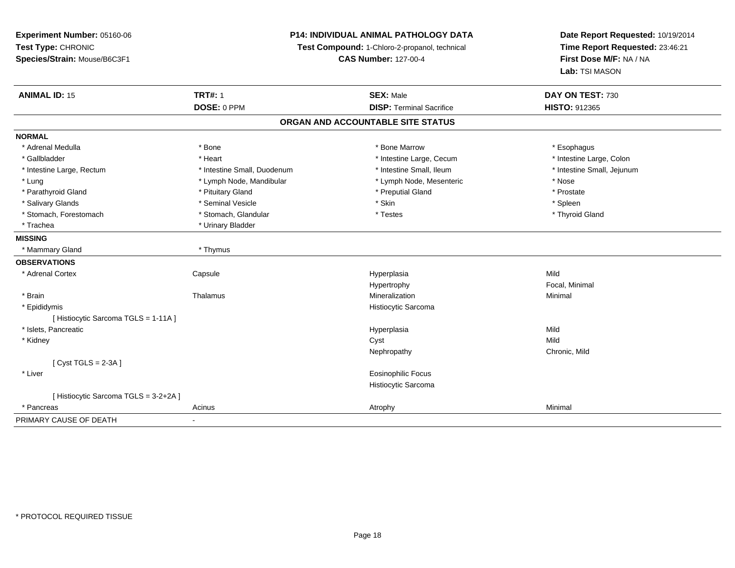**Experiment Number:** 05160-06**Test Type:** CHRONIC **Species/Strain:** Mouse/B6C3F1**P14: INDIVIDUAL ANIMAL PATHOLOGY DATATest Compound:** 1-Chloro-2-propanol, technical **CAS Number:** 127-00-4**Date Report Requested:** 10/19/2014**Time Report Requested:** 23:46:21**First Dose M/F:** NA / NA**Lab:** TSI MASON**ANIMAL ID:** 15**TRT#:** 1 **SEX:** Male **DAY ON TEST:** 730 **DOSE:** 0 PPM**DISP:** Terminal Sacrifice **HISTO:** 912365 **ORGAN AND ACCOUNTABLE SITE STATUSNORMAL**\* Adrenal Medulla \* Adrenal Medulla \* \* The matter of the state of the state of the state of the state of the state of the state of the state of the state of the state of the state of the state of the state of the state of the state of the \* Intestine Large, Colon \* Gallbladder \* The mode of the state of the state of the state of the state of the state of the state of the state of the state of the state of the state of the state of the state of the state of the state of the state of \* Intestine Large, Rectum \* Thestine Small, Duodenum \* Number of the small, Ileum \* Intestine Small, Jejunum \* Intestine Small, Jejunum \* Lung \* Lymph Node, Mandibular \* Nose \* Lymph Node, Mesenteric \* Nose \* Nose \* Prostate \* Parathyroid Gland \* **All and \* Pituitary Gland \* Prostate and \* Preputial Gland** \* Preputial Gland \* Spleen \* Salivary Glands \* \* \* Sheen \* Seminal Vesicle \* \* \* Stan \* \* Skin \* \* Skin \* \* Spleen \* \* Spleen \* \* Spleen \* \* Thyroid Gland \* Stomach, Forestomach \* Testes \* Stomach, Glandular \* Testes \* Testes \* Testes \* Testes \* Testes \* Testes \* T \* Trachea \* Urinary Bladder**MISSING** \* Mammary Gland \* Thymus**OBSERVATIONS** \* Adrenal Cortex**Capsule**  Hyperplasia Mild Hypertrophy Focal, Minimal \* Brainn and the matter of the Thalamus and the Minimal of the Minimal of the Minimal of the Minimal of the Minimal o<br>Thalamus and the Minimal of the Minimal of the Minimal of the Minimal of the Minimal of the Minimal of the Min \* Epididymis Histiocytic Sarcoma[ Histiocytic Sarcoma TGLS = 1-11A ] \* Islets, Pancreaticc and the control of the control of the control of the control of the control of the control of the control of the control of the control of the control of the control of the control of the control of the control of the co a Mild \* Kidneyy and the control of the control of the control of the control of the control of the control of the control of the control of the control of the control of the control of the control of the control of the control of the co y **Chronic, Mild** Nephropathy[ Cyst TGLS = 2-3A ] \* Liver Eosinophilic Focus Histiocytic Sarcoma[ Histiocytic Sarcoma TGLS = 3-2+2A ] \* Pancreass and the control of the control of the control of the control of the control of the control of the control of the control of the control of the control of the control of the control of the control of the control of the co PRIMARY CAUSE OF DEATH-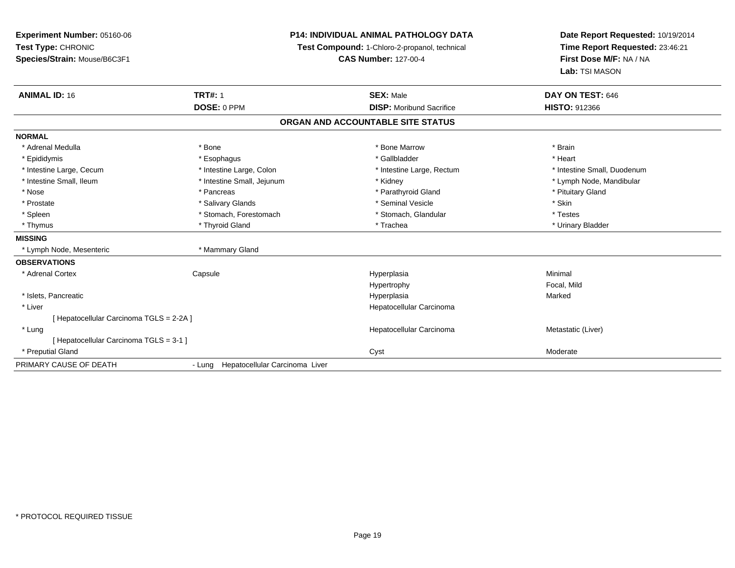| Experiment Number: 05160-06            | <b>P14: INDIVIDUAL ANIMAL PATHOLOGY DATA</b><br>Test Compound: 1-Chloro-2-propanol, technical |                                   | Date Report Requested: 10/19/2014 |
|----------------------------------------|-----------------------------------------------------------------------------------------------|-----------------------------------|-----------------------------------|
| Test Type: CHRONIC                     |                                                                                               |                                   | Time Report Requested: 23:46:21   |
| Species/Strain: Mouse/B6C3F1           |                                                                                               | <b>CAS Number: 127-00-4</b>       | First Dose M/F: NA / NA           |
|                                        |                                                                                               |                                   | Lab: TSI MASON                    |
| <b>ANIMAL ID: 16</b>                   | <b>TRT#: 1</b>                                                                                | <b>SEX: Male</b>                  | DAY ON TEST: 646                  |
|                                        | DOSE: 0 PPM                                                                                   | <b>DISP:</b> Moribund Sacrifice   | <b>HISTO: 912366</b>              |
|                                        |                                                                                               | ORGAN AND ACCOUNTABLE SITE STATUS |                                   |
| <b>NORMAL</b>                          |                                                                                               |                                   |                                   |
| * Adrenal Medulla                      | * Bone                                                                                        | * Bone Marrow                     | * Brain                           |
| * Epididymis                           | * Esophagus                                                                                   | * Gallbladder                     | * Heart                           |
| * Intestine Large, Cecum               | * Intestine Large, Colon                                                                      | * Intestine Large, Rectum         | * Intestine Small, Duodenum       |
| * Intestine Small, Ileum               | * Intestine Small, Jejunum                                                                    | * Kidney                          | * Lymph Node, Mandibular          |
| * Nose                                 | * Pancreas                                                                                    | * Parathyroid Gland               | * Pituitary Gland                 |
| * Prostate                             | * Salivary Glands                                                                             | * Seminal Vesicle                 | * Skin                            |
| * Spleen                               | * Stomach, Forestomach                                                                        | * Stomach, Glandular              | * Testes                          |
| * Thymus                               | * Thyroid Gland                                                                               | * Trachea                         | * Urinary Bladder                 |
| <b>MISSING</b>                         |                                                                                               |                                   |                                   |
| * Lymph Node, Mesenteric               | * Mammary Gland                                                                               |                                   |                                   |
| <b>OBSERVATIONS</b>                    |                                                                                               |                                   |                                   |
| * Adrenal Cortex                       | Capsule                                                                                       | Hyperplasia                       | Minimal                           |
|                                        |                                                                                               | Hypertrophy                       | Focal, Mild                       |
| * Islets, Pancreatic                   |                                                                                               | Hyperplasia                       | Marked                            |
| * Liver                                |                                                                                               | Hepatocellular Carcinoma          |                                   |
| [Hepatocellular Carcinoma TGLS = 2-2A] |                                                                                               |                                   |                                   |
| * Lung                                 |                                                                                               | Hepatocellular Carcinoma          | Metastatic (Liver)                |
| [Hepatocellular Carcinoma TGLS = 3-1]  |                                                                                               |                                   |                                   |
| * Preputial Gland                      |                                                                                               | Cyst                              | Moderate                          |
| PRIMARY CAUSE OF DEATH                 | - Lung Hepatocellular Carcinoma Liver                                                         |                                   |                                   |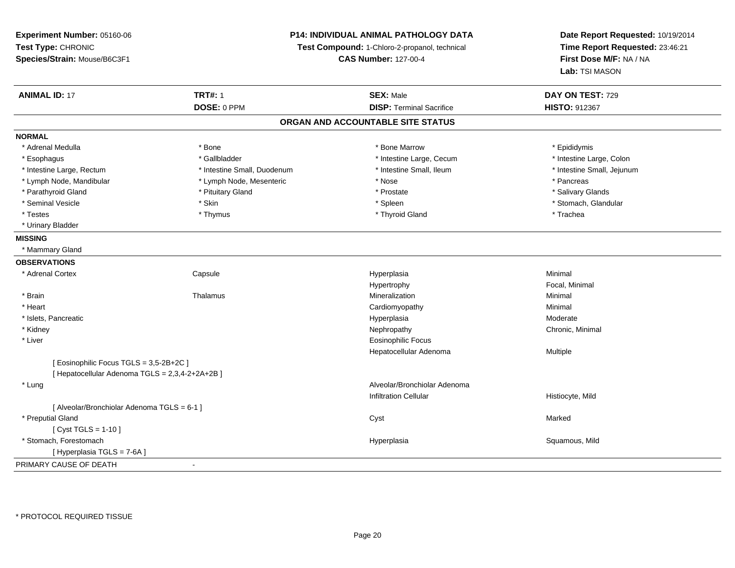| <b>TRT#: 1</b><br><b>ANIMAL ID: 17</b><br><b>SEX: Male</b><br>DAY ON TEST: 729<br>DOSE: 0 PPM<br><b>DISP: Terminal Sacrifice</b><br>HISTO: 912367<br>ORGAN AND ACCOUNTABLE SITE STATUS<br><b>NORMAL</b><br>* Bone Marrow<br>* Adrenal Medulla<br>* Bone<br>* Epididymis<br>* Gallbladder<br>* Intestine Large, Colon<br>* Esophagus<br>* Intestine Large, Cecum<br>* Intestine Small, Ileum<br>* Intestine Small, Jejunum<br>* Intestine Large, Rectum<br>* Intestine Small, Duodenum<br>* Lymph Node, Mandibular<br>* Lymph Node, Mesenteric<br>* Nose<br>* Pancreas<br>* Parathyroid Gland<br>* Pituitary Gland<br>* Salivary Glands<br>* Prostate<br>* Seminal Vesicle<br>* Skin<br>* Stomach, Glandular<br>* Spleen<br>* Testes<br>* Thymus<br>* Thyroid Gland<br>* Trachea<br>* Urinary Bladder<br>* Mammary Gland<br>* Adrenal Cortex<br>Capsule<br>Minimal<br>Hyperplasia<br>Hypertrophy<br>Focal, Minimal<br>* Brain<br>Thalamus<br>Mineralization<br>Minimal<br>* Heart<br>Cardiomyopathy<br>Minimal<br>* Islets, Pancreatic<br>Hyperplasia<br>Moderate<br>* Kidney<br>Nephropathy<br>Chronic, Minimal<br>* Liver<br><b>Eosinophilic Focus</b><br>Hepatocellular Adenoma<br>Multiple<br>[ Eosinophilic Focus TGLS = 3,5-2B+2C ]<br>[ Hepatocellular Adenoma TGLS = 2,3,4-2+2A+2B ]<br>Alveolar/Bronchiolar Adenoma<br>* Lung<br><b>Infiltration Cellular</b><br>Histiocyte, Mild<br>[ Alveolar/Bronchiolar Adenoma TGLS = 6-1 ]<br>* Preputial Gland<br>Cyst<br>Marked<br>[ $Cyst TGLS = 1-10$ ]<br>* Stomach, Forestomach<br>Squamous, Mild<br>Hyperplasia<br>[ Hyperplasia TGLS = 7-6A ]<br>PRIMARY CAUSE OF DEATH<br>$\blacksquare$ | Experiment Number: 05160-06<br>Test Type: CHRONIC<br>Species/Strain: Mouse/B6C3F1 | P14: INDIVIDUAL ANIMAL PATHOLOGY DATA<br>Test Compound: 1-Chloro-2-propanol, technical<br><b>CAS Number: 127-00-4</b> |  | Date Report Requested: 10/19/2014<br>Time Report Requested: 23:46:21<br>First Dose M/F: NA / NA<br>Lab: TSI MASON |
|-------------------------------------------------------------------------------------------------------------------------------------------------------------------------------------------------------------------------------------------------------------------------------------------------------------------------------------------------------------------------------------------------------------------------------------------------------------------------------------------------------------------------------------------------------------------------------------------------------------------------------------------------------------------------------------------------------------------------------------------------------------------------------------------------------------------------------------------------------------------------------------------------------------------------------------------------------------------------------------------------------------------------------------------------------------------------------------------------------------------------------------------------------------------------------------------------------------------------------------------------------------------------------------------------------------------------------------------------------------------------------------------------------------------------------------------------------------------------------------------------------------------------------------------------------------------------------------------------------------------------------------------------|-----------------------------------------------------------------------------------|-----------------------------------------------------------------------------------------------------------------------|--|-------------------------------------------------------------------------------------------------------------------|
|                                                                                                                                                                                                                                                                                                                                                                                                                                                                                                                                                                                                                                                                                                                                                                                                                                                                                                                                                                                                                                                                                                                                                                                                                                                                                                                                                                                                                                                                                                                                                                                                                                                 |                                                                                   |                                                                                                                       |  |                                                                                                                   |
|                                                                                                                                                                                                                                                                                                                                                                                                                                                                                                                                                                                                                                                                                                                                                                                                                                                                                                                                                                                                                                                                                                                                                                                                                                                                                                                                                                                                                                                                                                                                                                                                                                                 |                                                                                   |                                                                                                                       |  |                                                                                                                   |
|                                                                                                                                                                                                                                                                                                                                                                                                                                                                                                                                                                                                                                                                                                                                                                                                                                                                                                                                                                                                                                                                                                                                                                                                                                                                                                                                                                                                                                                                                                                                                                                                                                                 |                                                                                   |                                                                                                                       |  |                                                                                                                   |
|                                                                                                                                                                                                                                                                                                                                                                                                                                                                                                                                                                                                                                                                                                                                                                                                                                                                                                                                                                                                                                                                                                                                                                                                                                                                                                                                                                                                                                                                                                                                                                                                                                                 |                                                                                   |                                                                                                                       |  |                                                                                                                   |
|                                                                                                                                                                                                                                                                                                                                                                                                                                                                                                                                                                                                                                                                                                                                                                                                                                                                                                                                                                                                                                                                                                                                                                                                                                                                                                                                                                                                                                                                                                                                                                                                                                                 |                                                                                   |                                                                                                                       |  |                                                                                                                   |
|                                                                                                                                                                                                                                                                                                                                                                                                                                                                                                                                                                                                                                                                                                                                                                                                                                                                                                                                                                                                                                                                                                                                                                                                                                                                                                                                                                                                                                                                                                                                                                                                                                                 |                                                                                   |                                                                                                                       |  |                                                                                                                   |
|                                                                                                                                                                                                                                                                                                                                                                                                                                                                                                                                                                                                                                                                                                                                                                                                                                                                                                                                                                                                                                                                                                                                                                                                                                                                                                                                                                                                                                                                                                                                                                                                                                                 |                                                                                   |                                                                                                                       |  |                                                                                                                   |
|                                                                                                                                                                                                                                                                                                                                                                                                                                                                                                                                                                                                                                                                                                                                                                                                                                                                                                                                                                                                                                                                                                                                                                                                                                                                                                                                                                                                                                                                                                                                                                                                                                                 |                                                                                   |                                                                                                                       |  |                                                                                                                   |
|                                                                                                                                                                                                                                                                                                                                                                                                                                                                                                                                                                                                                                                                                                                                                                                                                                                                                                                                                                                                                                                                                                                                                                                                                                                                                                                                                                                                                                                                                                                                                                                                                                                 |                                                                                   |                                                                                                                       |  |                                                                                                                   |
|                                                                                                                                                                                                                                                                                                                                                                                                                                                                                                                                                                                                                                                                                                                                                                                                                                                                                                                                                                                                                                                                                                                                                                                                                                                                                                                                                                                                                                                                                                                                                                                                                                                 |                                                                                   |                                                                                                                       |  |                                                                                                                   |
|                                                                                                                                                                                                                                                                                                                                                                                                                                                                                                                                                                                                                                                                                                                                                                                                                                                                                                                                                                                                                                                                                                                                                                                                                                                                                                                                                                                                                                                                                                                                                                                                                                                 |                                                                                   |                                                                                                                       |  |                                                                                                                   |
|                                                                                                                                                                                                                                                                                                                                                                                                                                                                                                                                                                                                                                                                                                                                                                                                                                                                                                                                                                                                                                                                                                                                                                                                                                                                                                                                                                                                                                                                                                                                                                                                                                                 |                                                                                   |                                                                                                                       |  |                                                                                                                   |
|                                                                                                                                                                                                                                                                                                                                                                                                                                                                                                                                                                                                                                                                                                                                                                                                                                                                                                                                                                                                                                                                                                                                                                                                                                                                                                                                                                                                                                                                                                                                                                                                                                                 | <b>MISSING</b>                                                                    |                                                                                                                       |  |                                                                                                                   |
|                                                                                                                                                                                                                                                                                                                                                                                                                                                                                                                                                                                                                                                                                                                                                                                                                                                                                                                                                                                                                                                                                                                                                                                                                                                                                                                                                                                                                                                                                                                                                                                                                                                 |                                                                                   |                                                                                                                       |  |                                                                                                                   |
|                                                                                                                                                                                                                                                                                                                                                                                                                                                                                                                                                                                                                                                                                                                                                                                                                                                                                                                                                                                                                                                                                                                                                                                                                                                                                                                                                                                                                                                                                                                                                                                                                                                 | <b>OBSERVATIONS</b>                                                               |                                                                                                                       |  |                                                                                                                   |
|                                                                                                                                                                                                                                                                                                                                                                                                                                                                                                                                                                                                                                                                                                                                                                                                                                                                                                                                                                                                                                                                                                                                                                                                                                                                                                                                                                                                                                                                                                                                                                                                                                                 |                                                                                   |                                                                                                                       |  |                                                                                                                   |
|                                                                                                                                                                                                                                                                                                                                                                                                                                                                                                                                                                                                                                                                                                                                                                                                                                                                                                                                                                                                                                                                                                                                                                                                                                                                                                                                                                                                                                                                                                                                                                                                                                                 |                                                                                   |                                                                                                                       |  |                                                                                                                   |
|                                                                                                                                                                                                                                                                                                                                                                                                                                                                                                                                                                                                                                                                                                                                                                                                                                                                                                                                                                                                                                                                                                                                                                                                                                                                                                                                                                                                                                                                                                                                                                                                                                                 |                                                                                   |                                                                                                                       |  |                                                                                                                   |
|                                                                                                                                                                                                                                                                                                                                                                                                                                                                                                                                                                                                                                                                                                                                                                                                                                                                                                                                                                                                                                                                                                                                                                                                                                                                                                                                                                                                                                                                                                                                                                                                                                                 |                                                                                   |                                                                                                                       |  |                                                                                                                   |
|                                                                                                                                                                                                                                                                                                                                                                                                                                                                                                                                                                                                                                                                                                                                                                                                                                                                                                                                                                                                                                                                                                                                                                                                                                                                                                                                                                                                                                                                                                                                                                                                                                                 |                                                                                   |                                                                                                                       |  |                                                                                                                   |
|                                                                                                                                                                                                                                                                                                                                                                                                                                                                                                                                                                                                                                                                                                                                                                                                                                                                                                                                                                                                                                                                                                                                                                                                                                                                                                                                                                                                                                                                                                                                                                                                                                                 |                                                                                   |                                                                                                                       |  |                                                                                                                   |
|                                                                                                                                                                                                                                                                                                                                                                                                                                                                                                                                                                                                                                                                                                                                                                                                                                                                                                                                                                                                                                                                                                                                                                                                                                                                                                                                                                                                                                                                                                                                                                                                                                                 |                                                                                   |                                                                                                                       |  |                                                                                                                   |
|                                                                                                                                                                                                                                                                                                                                                                                                                                                                                                                                                                                                                                                                                                                                                                                                                                                                                                                                                                                                                                                                                                                                                                                                                                                                                                                                                                                                                                                                                                                                                                                                                                                 |                                                                                   |                                                                                                                       |  |                                                                                                                   |
|                                                                                                                                                                                                                                                                                                                                                                                                                                                                                                                                                                                                                                                                                                                                                                                                                                                                                                                                                                                                                                                                                                                                                                                                                                                                                                                                                                                                                                                                                                                                                                                                                                                 |                                                                                   |                                                                                                                       |  |                                                                                                                   |
|                                                                                                                                                                                                                                                                                                                                                                                                                                                                                                                                                                                                                                                                                                                                                                                                                                                                                                                                                                                                                                                                                                                                                                                                                                                                                                                                                                                                                                                                                                                                                                                                                                                 |                                                                                   |                                                                                                                       |  |                                                                                                                   |
|                                                                                                                                                                                                                                                                                                                                                                                                                                                                                                                                                                                                                                                                                                                                                                                                                                                                                                                                                                                                                                                                                                                                                                                                                                                                                                                                                                                                                                                                                                                                                                                                                                                 |                                                                                   |                                                                                                                       |  |                                                                                                                   |
|                                                                                                                                                                                                                                                                                                                                                                                                                                                                                                                                                                                                                                                                                                                                                                                                                                                                                                                                                                                                                                                                                                                                                                                                                                                                                                                                                                                                                                                                                                                                                                                                                                                 |                                                                                   |                                                                                                                       |  |                                                                                                                   |
|                                                                                                                                                                                                                                                                                                                                                                                                                                                                                                                                                                                                                                                                                                                                                                                                                                                                                                                                                                                                                                                                                                                                                                                                                                                                                                                                                                                                                                                                                                                                                                                                                                                 |                                                                                   |                                                                                                                       |  |                                                                                                                   |
|                                                                                                                                                                                                                                                                                                                                                                                                                                                                                                                                                                                                                                                                                                                                                                                                                                                                                                                                                                                                                                                                                                                                                                                                                                                                                                                                                                                                                                                                                                                                                                                                                                                 |                                                                                   |                                                                                                                       |  |                                                                                                                   |
|                                                                                                                                                                                                                                                                                                                                                                                                                                                                                                                                                                                                                                                                                                                                                                                                                                                                                                                                                                                                                                                                                                                                                                                                                                                                                                                                                                                                                                                                                                                                                                                                                                                 |                                                                                   |                                                                                                                       |  |                                                                                                                   |
|                                                                                                                                                                                                                                                                                                                                                                                                                                                                                                                                                                                                                                                                                                                                                                                                                                                                                                                                                                                                                                                                                                                                                                                                                                                                                                                                                                                                                                                                                                                                                                                                                                                 |                                                                                   |                                                                                                                       |  |                                                                                                                   |
|                                                                                                                                                                                                                                                                                                                                                                                                                                                                                                                                                                                                                                                                                                                                                                                                                                                                                                                                                                                                                                                                                                                                                                                                                                                                                                                                                                                                                                                                                                                                                                                                                                                 |                                                                                   |                                                                                                                       |  |                                                                                                                   |
|                                                                                                                                                                                                                                                                                                                                                                                                                                                                                                                                                                                                                                                                                                                                                                                                                                                                                                                                                                                                                                                                                                                                                                                                                                                                                                                                                                                                                                                                                                                                                                                                                                                 |                                                                                   |                                                                                                                       |  |                                                                                                                   |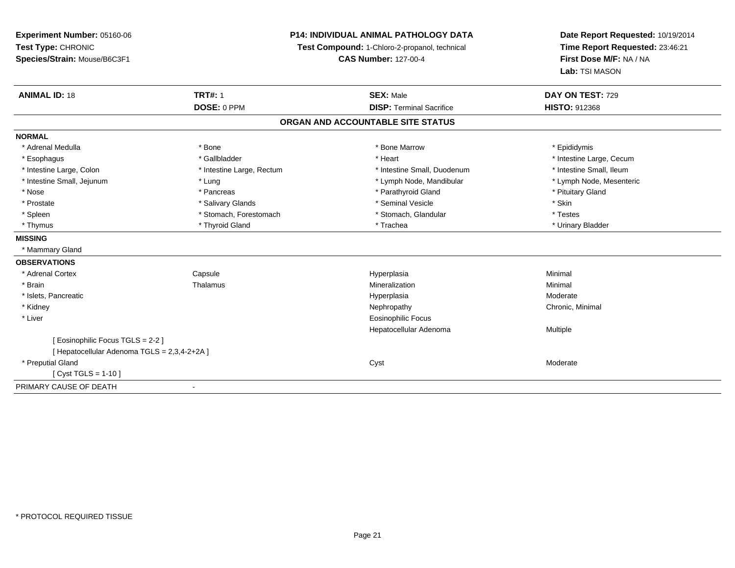## **P14: INDIVIDUAL ANIMAL PATHOLOGY DATA**

**Test Compound:** 1-Chloro-2-propanol, technical

**CAS Number:** 127-00-4

**Date Report Requested:** 10/19/2014**Time Report Requested:** 23:46:21**First Dose M/F:** NA / NA**Lab:** TSI MASON

| <b>ANIMAL ID: 18</b>                         | <b>TRT#: 1</b>            | <b>SEX: Male</b>                | DAY ON TEST: 729         |  |  |
|----------------------------------------------|---------------------------|---------------------------------|--------------------------|--|--|
|                                              | DOSE: 0 PPM               | <b>DISP: Terminal Sacrifice</b> | <b>HISTO: 912368</b>     |  |  |
| ORGAN AND ACCOUNTABLE SITE STATUS            |                           |                                 |                          |  |  |
| <b>NORMAL</b>                                |                           |                                 |                          |  |  |
| * Adrenal Medulla                            | * Bone                    | * Bone Marrow                   | * Epididymis             |  |  |
| * Esophagus                                  | * Gallbladder             | * Heart                         | * Intestine Large, Cecum |  |  |
| * Intestine Large, Colon                     | * Intestine Large, Rectum | * Intestine Small, Duodenum     | * Intestine Small, Ileum |  |  |
| * Intestine Small, Jejunum                   | * Lung                    | * Lymph Node, Mandibular        | * Lymph Node, Mesenteric |  |  |
| * Nose                                       | * Pancreas                | * Parathyroid Gland             | * Pituitary Gland        |  |  |
| * Prostate                                   | * Salivary Glands         | * Seminal Vesicle               | * Skin                   |  |  |
| * Spleen                                     | * Stomach, Forestomach    | * Stomach, Glandular            | * Testes                 |  |  |
| * Thymus                                     | * Thyroid Gland           | * Trachea                       | * Urinary Bladder        |  |  |
| <b>MISSING</b>                               |                           |                                 |                          |  |  |
| * Mammary Gland                              |                           |                                 |                          |  |  |
| <b>OBSERVATIONS</b>                          |                           |                                 |                          |  |  |
| * Adrenal Cortex                             | Capsule                   | Hyperplasia                     | Minimal                  |  |  |
| * Brain                                      | Thalamus                  | Mineralization                  | Minimal                  |  |  |
| * Islets, Pancreatic                         |                           | Hyperplasia                     | Moderate                 |  |  |
| * Kidney                                     |                           | Nephropathy                     | Chronic, Minimal         |  |  |
| * Liver                                      |                           | <b>Eosinophilic Focus</b>       |                          |  |  |
|                                              |                           | Hepatocellular Adenoma          | Multiple                 |  |  |
| [ Eosinophilic Focus TGLS = 2-2 ]            |                           |                                 |                          |  |  |
| [ Hepatocellular Adenoma TGLS = 2,3,4-2+2A ] |                           |                                 |                          |  |  |
| * Preputial Gland                            |                           | Cyst                            | Moderate                 |  |  |
| $Cvst TGLS = 1-10$                           |                           |                                 |                          |  |  |
| PRIMARY CAUSE OF DEATH                       | $\blacksquare$            |                                 |                          |  |  |
|                                              |                           |                                 |                          |  |  |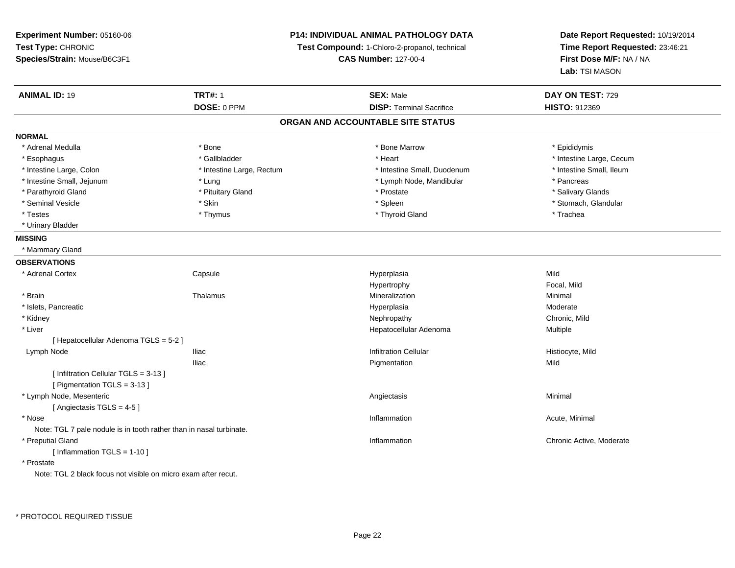**Experiment Number:** 05160-06**Test Type:** CHRONIC **Species/Strain:** Mouse/B6C3F1**P14: INDIVIDUAL ANIMAL PATHOLOGY DATATest Compound:** 1-Chloro-2-propanol, technical **CAS Number:** 127-00-4**Date Report Requested:** 10/19/2014**Time Report Requested:** 23:46:21**First Dose M/F:** NA / NA**Lab:** TSI MASON**ANIMAL ID:** 19 **TRT#:** <sup>1</sup> **SEX:** Male **DAY ON TEST:** <sup>729</sup> **DOSE:** 0 PPM**DISP:** Terminal Sacrifice **HISTO:** 912369 **ORGAN AND ACCOUNTABLE SITE STATUSNORMAL**\* Adrenal Medulla \* Adrenal Medulla \* \* The matter of the state of the state of the Marrow \* Bone Marrow \* Adrenal Medulla \* Epididymis \* Epididymis \* Bone Marrow \* Adrenal Medulla \* Epididymis \* Epididymis \* Epididymis \* Epididymis \* Epidi \* Esophagus \* https://www.fragustage.com/web/2019/heart \* Heart \* Heart \* Heart \* Intestine Large, Cecum \* Intestine Large, Cecum \* Gallbladder \* Callbladder \* 11 and 12 and 12 and 12 and 12 and 12 and 12 and 12 and 12 and \* Intestine Small, Ileum \* Intestine Large, Colon \* Intestine Large, Rectum \* Intestine Small, Duodenum \* Intestine Small, Duodenum \* Intestine Small, Jejunum \* Lung \* Lymph Node, Mandibular \* Pancreas\* Salivary Glands \* Parathyroid Gland \* \* \* Pituitary Gland \* \* Prostate \* \* Prostate \* \* Salivary Glands \* Salivary Glands \* Salivary Glands \* Salivary Glands \* Salivary Glands \* Salivary Glands \* Salivary Glands \* Salivary Glands \* Saliva \* Seminal Vesicle \* The store of the set of the set of the set of the set of the set of the set of the set of the set of the set of the set of the set of the set of the set of the set of the set of the set of the set of th \* Testes \* Thymus \* Thyroid Gland \* Trachea \* Urinary Bladder**MISSING** \* Mammary Gland**OBSERVATIONS** \* Adrenal Cortex**Capsule**  Hyperplasia Mild Hypertrophy Focal, Mild \* Brainn and the matter of the Thalamus and the Minimal of the Minimal of the Minimal of the Minimal of the Minimal o<br>Thalamus and the Minimal of the Minimal of the Minimal of the Minimal of the Minimal of the Minimal of the Min \* Islets, Pancreaticc and the control of the control of the control of the control of the control of the control of the control of the control of the control of the control of the control of the control of the control of the control of the co a **Moderate**  \* Kidneyy the controller of the controller of the controller of the controller of the controller of the chronic, Mild \* Liver Hepatocellular Adenoma Multiple [ Hepatocellular Adenoma TGLS = 5-2 ] Lymph Node Iliac Infiltration Cellular Histiocyte, Mild Iliac Pigmentationn Mild [ Infiltration Cellular TGLS = 3-13 ] [ Pigmentation TGLS = 3-13 ] \* Lymph Node, Mesentericc contract the contract of the contract of the contract of the contract of the contract of the contract of the contract of the contract of the contract of the contract of the contract of the contract of the contract of the [ Angiectasis TGLS = 4-5 ] \* Nosee the contraction of the contraction of the contraction of the contraction of the contraction of the contraction  $\mathsf{Acute}$ , Minimal Note: TGL 7 pale nodule is in tooth rather than in nasal turbinate. \* Preputial Gland Inflammation Chronic Active, Moderate [ Inflammation TGLS = 1-10 ] \* ProstateNote: TGL 2 black focus not visible on micro exam after recut.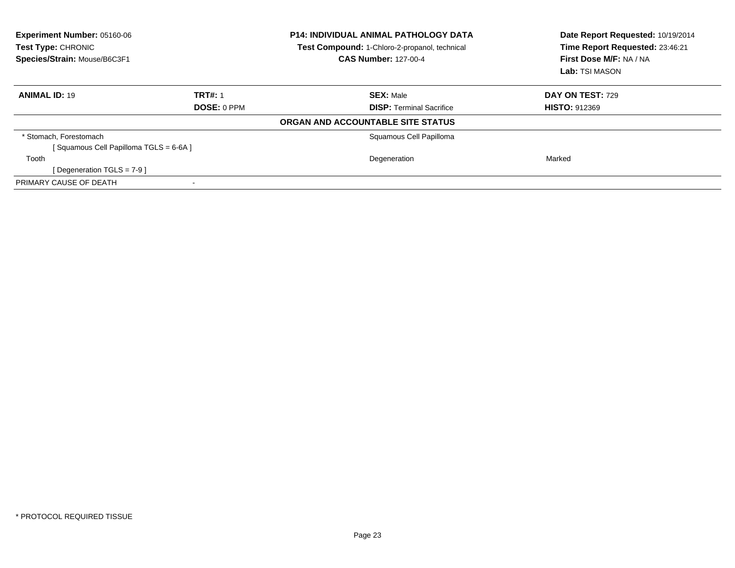| <b>Experiment Number: 05160-06</b><br>Test Type: CHRONIC<br>Species/Strain: Mouse/B6C3F1 |                    | <b>P14: INDIVIDUAL ANIMAL PATHOLOGY DATA</b><br>Test Compound: 1-Chloro-2-propanol, technical<br><b>CAS Number: 127-00-4</b> | Date Report Requested: 10/19/2014<br>Time Report Requested: 23:46:21<br>First Dose M/F: NA / NA<br>Lab: TSI MASON |
|------------------------------------------------------------------------------------------|--------------------|------------------------------------------------------------------------------------------------------------------------------|-------------------------------------------------------------------------------------------------------------------|
| <b>ANIMAL ID: 19</b>                                                                     | <b>TRT#: 1</b>     | <b>SEX: Male</b>                                                                                                             | <b>DAY ON TEST: 729</b>                                                                                           |
|                                                                                          | <b>DOSE: 0 PPM</b> | <b>DISP:</b> Terminal Sacrifice                                                                                              | <b>HISTO: 912369</b>                                                                                              |
|                                                                                          |                    | ORGAN AND ACCOUNTABLE SITE STATUS                                                                                            |                                                                                                                   |
| * Stomach, Forestomach                                                                   |                    | Squamous Cell Papilloma                                                                                                      |                                                                                                                   |
| [Squamous Cell Papilloma TGLS = 6-6A]                                                    |                    |                                                                                                                              |                                                                                                                   |
| Tooth                                                                                    |                    | Degeneration                                                                                                                 | Marked                                                                                                            |
| [Degeneration TGLS = $7-9$ ]                                                             |                    |                                                                                                                              |                                                                                                                   |
| PRIMARY CAUSE OF DEATH                                                                   |                    |                                                                                                                              |                                                                                                                   |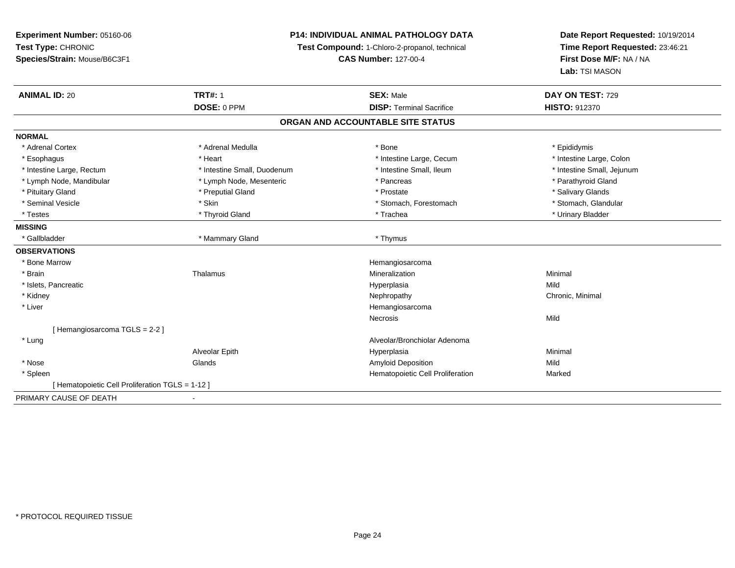**Experiment Number:** 05160-06**Test Type:** CHRONIC **Species/Strain:** Mouse/B6C3F1**P14: INDIVIDUAL ANIMAL PATHOLOGY DATATest Compound:** 1-Chloro-2-propanol, technical **CAS Number:** 127-00-4**Date Report Requested:** 10/19/2014**Time Report Requested:** 23:46:21**First Dose M/F:** NA / NA**Lab:** TSI MASON**ANIMAL ID:** 20**TRT#:** 1 **SEX:** Male **DAY ON TEST:** 729 **DOSE:** 0 PPM**DISP:** Terminal Sacrifice **HISTO:** 912370 **ORGAN AND ACCOUNTABLE SITE STATUSNORMAL**\* Adrenal Cortex \* Adrenal Cortex \* \* Adrenal Medulla \* \* Adrenal Medulla \* \* Bone \* \* Bone \* \* Epididymis \* Intestine Large, Colon \* Esophagus \* **Heart \* Intestine Large, Cecum \* Intestine Large, Cecum \*** Intestine Large, Cecum \* Intestine Large, Rectum \* Thestine Small, Duodenum \* Number of the small, Ileum \* Intestine Small, Jejunum \* Intestine Small, Jejunum \* Lymph Node, Mandibular \* The same \* Lymph Node, Mesenteric \* \* Pancreas \* Pancreas \* \* Pancreas \* \* Parathyroid Gland \* Pituitary Gland \* \* Then the state \* Preputial Gland \* Prosection \* Prostate \* \* Salivary Glands \* Salivary Glands \* Salivary Glands \* Salivary Glands \* Salivary Glands \* Salivary Glands \* Salivary Glands \* Salivary Glan \* Stomach, Glandular \* Seminal Vesicle \* Skin \* Skin \* Skin \* Stomach, Forestomach \* Stomach, Forestomach \* Testes \* \* Thyroid Gland \* \* Thyroid Gland \* \* Trachea \* \* Trachea \* \* \* Trachea \* Urinary Bladder \* \* Urinary Bladder \* \* Urinary Bladder \* \* Urinary Bladder \* \* Urinary Bladder \* \* Urinary Bladder \* \* Urinary Bladder \* **MISSING**\* Gallbladder \* Mammary Gland \* Thymus **OBSERVATIONS** \* Bone Marroww the contract of the contract of the contract of the contract of the Hemangiosarcoma<br>The contract of the contract of the contract of the contract of the contract of the contract of the contract of \* Brainn and the matter of the Thalamus and the Minimal of the Minimal of the Minimal of the Minimal of the Minimal o<br>Thalamus and the Minimal of the Minimal of the Minimal of the Minimal of the Minimal of the Minimal of the Min \* Islets, Pancreaticc and the control of the control of the control of the control of the control of the control of the control of the control of the control of the control of the control of the control of the control of the control of the co a Mild \* Kidneyy the controller of the controller of the controller of the Nephropathy Chronic, Minimal (Chronic, Minimal  $\mu$  \* Liver HemangiosarcomaNecrosiss and the contract of the Mild [ Hemangiosarcoma TGLS = 2-2 ] \* LungAlveolar/Bronchiolar Adenoma<br>Hyperplasia Alveolar Epithh anns an t-Imperplasia anns an t-Imperplasia anns an t-Imperplasia anns an t-Imperplasia anns an t-Imperplasi<br>Iomraidhean \* Nose Glands Amyloid Deposition Mild \* SpleenHematopoietic Cell Proliferation Marked [ Hematopoietic Cell Proliferation TGLS = 1-12 ]PRIMARY CAUSE OF DEATH-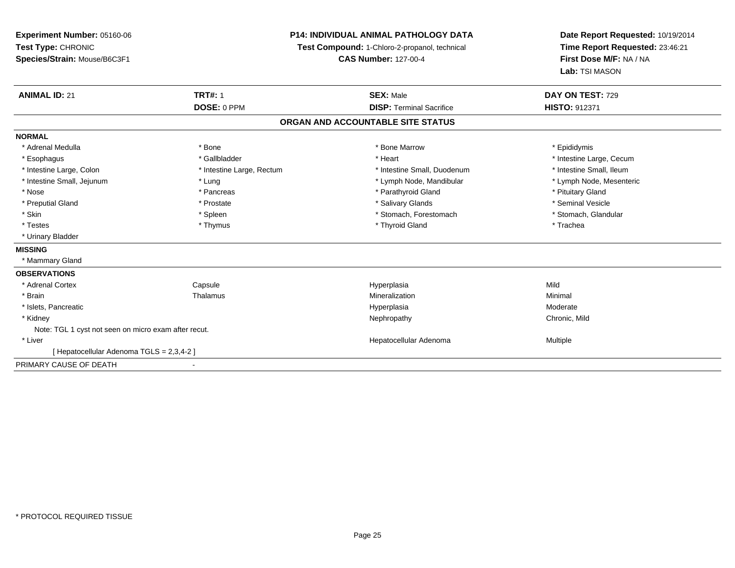**Experiment Number:** 05160-06**Test Type:** CHRONIC **Species/Strain:** Mouse/B6C3F1**P14: INDIVIDUAL ANIMAL PATHOLOGY DATATest Compound:** 1-Chloro-2-propanol, technical **CAS Number:** 127-00-4**Date Report Requested:** 10/19/2014**Time Report Requested:** 23:46:21**First Dose M/F:** NA / NA**Lab:** TSI MASON**ANIMAL ID:** 21**TRT#:** 1 **SEX:** Male **DAY ON TEST:** 729 **DOSE:** 0 PPM**DISP:** Terminal Sacrifice **HISTO:** 912371 **ORGAN AND ACCOUNTABLE SITE STATUSNORMAL**\* Adrenal Medulla \* Adrenal Medulla \* \* The matter of the state of the state of the Marrow \* Bone Marrow \* Adrenal Medulla \* Epididymis \* Epididymis \* Bone Marrow \* Adrenal Medulla \* Epididymis \* Epididymis \* Epididymis \* Epididymis \* Epidi \* Esophagus \* https://www.fragustage.com/web/2019/heart \* Heart \* Heart \* Heart \* Intestine Large, Cecum \* Intestine Large, Cecum \* Gallbladder \* Callbladder \* 11 and 12 and 12 and 12 and 12 and 12 and 12 and 12 and 12 and \* Intestine Small, Ileum \* Intestine Large, Colon \* Intestine Large, Rectum \* Intestine Small, Duodenum \* Intestine Small, Duodenum \* Lymph Node, Mesenteric \* Intestine Small, Jejunum \* The material and the state of the state of the state of the state of the state of the state of the state of the state of the state of the state of the state of the state of the state of the sta \* Nose \* Pancreas \* Pancreas \* Pancreas \* Parathyroid Gland \* Parathyroid Gland \* Pituitary Gland \* Pituitary Gland \* Seminal Vesicle \* Preputial Gland \* \* Annual vesicle \* \* Prostate \* \* Salivary Glands \* \* Salivary Glands \* \* Seminal Vesicle \* \* Stomach. Glandular \* Skin \* Spleen \* Spleen \* Stomach, Forestomach \* Stomach, Forestomach \* Stomach, Forestomach \* Testes \* Thymus \* Thyroid Gland \* Trachea \* Urinary Bladder**MISSING** \* Mammary Gland**OBSERVATIONS** \* Adrenal Cortex Capsule Hyperplasia Mild \* Brainn and the matter of the Thalamus and the Minimal of the Minimal of the Minimal of the Minimal of the Minimal o<br>Thalamus and the Minimal of the Minimal of the Minimal of the Minimal of the Minimal of the Minimal of the Min \* Islets, Pancreaticc and the control of the control of the control of the control of the control of the control of the control of the control of the control of the control of the control of the control of the control of the control of the co a **Moderate**  \* Kidneyy the controller of the controller of the controller of the controller of the controller of the chronic, Mild Note: TGL 1 cyst not seen on micro exam after recut. \* Liver Hepatocellular Adenoma Multiple [ Hepatocellular Adenoma TGLS = 2,3,4-2 ]PRIMARY CAUSE OF DEATH-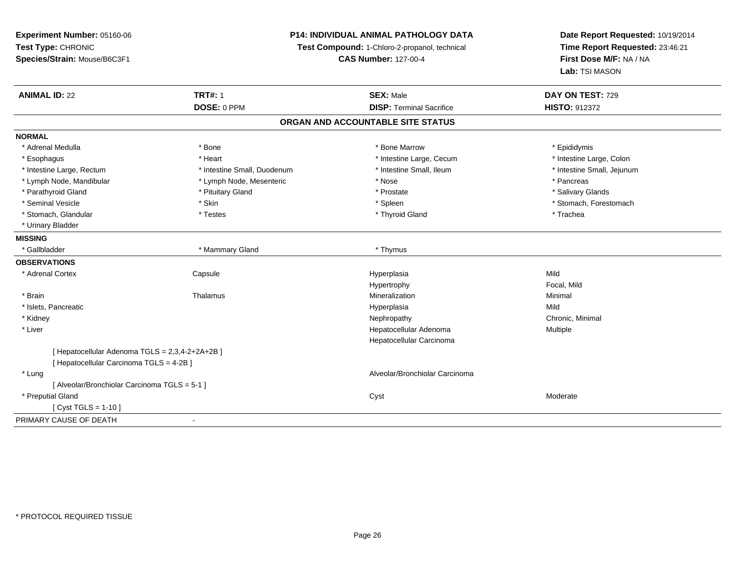**Experiment Number:** 05160-06**Test Type:** CHRONIC **Species/Strain:** Mouse/B6C3F1**P14: INDIVIDUAL ANIMAL PATHOLOGY DATATest Compound:** 1-Chloro-2-propanol, technical **CAS Number:** 127-00-4**Date Report Requested:** 10/19/2014**Time Report Requested:** 23:46:21**First Dose M/F:** NA / NA**Lab:** TSI MASON**ANIMAL ID:** 22 **TRT#:** <sup>1</sup> **SEX:** Male **DAY ON TEST:** <sup>729</sup> **DOSE:** 0 PPM**DISP:** Terminal Sacrifice **HISTO:** 912372 **ORGAN AND ACCOUNTABLE SITE STATUSNORMAL**\* Adrenal Medulla \* Adrenal Medulla \* \* The matter of the state of the state of the Marrow \* Bone Marrow \* Adrenal Medulla \* Epididymis \* Epididymis \* Bone Marrow \* Adrenal Medulla \* Epididymis \* Epididymis \* Epididymis \* Epididymis \* Epidi \* Intestine Large, Colon \* Esophagus \* **Heart \* Intestine Large, Cecum \* Intestine Large, Cecum \*** Intestine Large, Cecum \* Intestine Large, Rectum \* Thestine Small, Duodenum \* Number of the small, Ileum \* Intestine Small, Jejunum \* Intestine Small, Jejunum \* Lymph Node, Mandibular \* The state of the second text of the second text of the second text of the second version of the second of the second version of the second version of the second version of the second version of t \* Salivary Glands \* Parathyroid Gland \* **Example 20** \* Pituitary Gland \* Prostate \* Prostate \* Prostate \* Seminal Vesicle \* The state of the set of the set of the set of the set of the set of the set of the set of the set of the set of the set of the set of the set of the set of the set of the set of the set of the set of th \* Stomach, Glandular \* \* Trachea \* Testes \* Thyroid Gland \* Thyroid Gland \* Trachea \* Trachea \* Trachea \* Trachea \* Urinary Bladder**MISSING**\* Gallbladder \* Mammary Gland \* Thymus **OBSERVATIONS** \* Adrenal Cortex**Capsule**  Hyperplasia Mild Hypertrophy Focal, Mild \* Brainn and the matter of the Thalamus and the Minimal of the Minimal of the Minimal of the Minimal of the Minimal o<br>Thalamus and the Minimal of the Minimal of the Minimal of the Minimal of the Minimal of the Minimal of the Min \* Islets, Pancreaticc and the control of the control of the control of the control of the control of the control of the control of the control of the control of the control of the control of the control of the control of the control of the co a Mild \* Kidneyy the controller of the controller of the controller of the Nephropathy Chronic, Minimal (Chronic, Minimal  $\mu$  \* Liver Hepatocellular Adenoma Multiple Hepatocellular Carcinoma[ Hepatocellular Adenoma TGLS = 2,3,4-2+2A+2B ][ Hepatocellular Carcinoma TGLS = 4-2B ] \* Lung Alveolar/Bronchiolar Carcinoma [ Alveolar/Bronchiolar Carcinoma TGLS = 5-1 ] \* Preputial Glandd and the control of the control of the control of the control of the control of the control of the control of the control of the control of the control of the control of the control of the control of the control of the co [ Cyst TGLS = 1-10 ]PRIMARY CAUSE OF DEATH-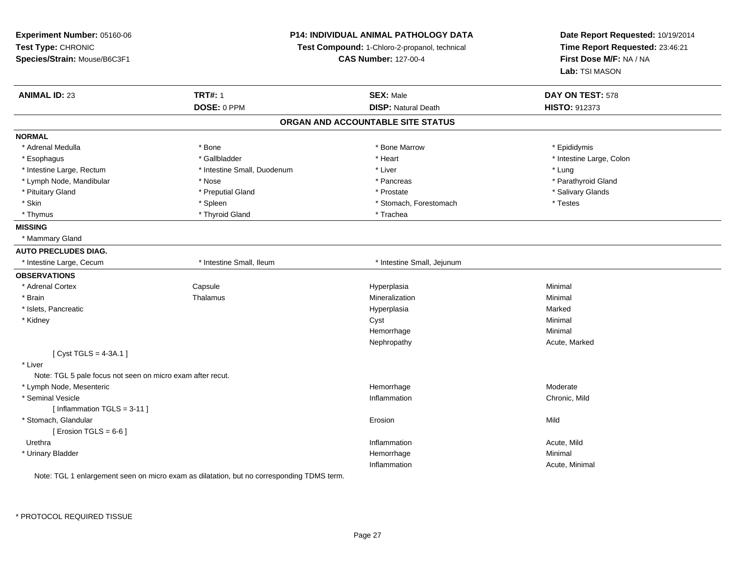| Experiment Number: 05160-06<br>Test Type: CHRONIC<br>Species/Strain: Mouse/B6C3F1 | P14: INDIVIDUAL ANIMAL PATHOLOGY DATA<br>Test Compound: 1-Chloro-2-propanol, technical<br><b>CAS Number: 127-00-4</b> |                                   | Date Report Requested: 10/19/2014<br>Time Report Requested: 23:46:21<br>First Dose M/F: NA / NA<br>Lab: TSI MASON |
|-----------------------------------------------------------------------------------|-----------------------------------------------------------------------------------------------------------------------|-----------------------------------|-------------------------------------------------------------------------------------------------------------------|
| <b>ANIMAL ID: 23</b>                                                              | <b>TRT#: 1</b>                                                                                                        | <b>SEX: Male</b>                  | DAY ON TEST: 578                                                                                                  |
|                                                                                   | DOSE: 0 PPM                                                                                                           | <b>DISP: Natural Death</b>        | HISTO: 912373                                                                                                     |
|                                                                                   |                                                                                                                       | ORGAN AND ACCOUNTABLE SITE STATUS |                                                                                                                   |
| <b>NORMAL</b>                                                                     |                                                                                                                       |                                   |                                                                                                                   |
| * Adrenal Medulla                                                                 | * Bone                                                                                                                | * Bone Marrow                     | * Epididymis                                                                                                      |
| * Esophagus                                                                       | * Gallbladder                                                                                                         | * Heart                           | * Intestine Large, Colon                                                                                          |
| * Intestine Large, Rectum                                                         | * Intestine Small, Duodenum                                                                                           | * Liver                           | * Lung                                                                                                            |
| * Lymph Node, Mandibular                                                          | * Nose                                                                                                                | * Pancreas                        | * Parathyroid Gland                                                                                               |
| * Pituitary Gland                                                                 | * Preputial Gland                                                                                                     | * Prostate                        | * Salivary Glands                                                                                                 |
| * Skin                                                                            | * Spleen                                                                                                              | * Stomach, Forestomach            | * Testes                                                                                                          |
| * Thymus                                                                          | * Thyroid Gland                                                                                                       | * Trachea                         |                                                                                                                   |
| <b>MISSING</b>                                                                    |                                                                                                                       |                                   |                                                                                                                   |
| * Mammary Gland                                                                   |                                                                                                                       |                                   |                                                                                                                   |
| <b>AUTO PRECLUDES DIAG.</b>                                                       |                                                                                                                       |                                   |                                                                                                                   |
| * Intestine Large, Cecum                                                          | * Intestine Small, Ileum                                                                                              | * Intestine Small, Jejunum        |                                                                                                                   |
| <b>OBSERVATIONS</b>                                                               |                                                                                                                       |                                   |                                                                                                                   |
| * Adrenal Cortex                                                                  | Capsule                                                                                                               | Hyperplasia                       | Minimal                                                                                                           |
| * Brain                                                                           | Thalamus                                                                                                              | Mineralization                    | Minimal                                                                                                           |
| * Islets, Pancreatic                                                              |                                                                                                                       | Hyperplasia                       | Marked                                                                                                            |
| * Kidney                                                                          |                                                                                                                       | Cyst                              | Minimal                                                                                                           |
|                                                                                   |                                                                                                                       | Hemorrhage                        | Minimal                                                                                                           |
|                                                                                   |                                                                                                                       | Nephropathy                       | Acute, Marked                                                                                                     |
| [ $Cyst TGLS = 4-3A.1$ ]                                                          |                                                                                                                       |                                   |                                                                                                                   |
| * Liver                                                                           |                                                                                                                       |                                   |                                                                                                                   |
| Note: TGL 5 pale focus not seen on micro exam after recut.                        |                                                                                                                       |                                   |                                                                                                                   |
| * Lymph Node, Mesenteric                                                          |                                                                                                                       | Hemorrhage                        | Moderate                                                                                                          |
| * Seminal Vesicle                                                                 |                                                                                                                       | Inflammation                      | Chronic, Mild                                                                                                     |
| [Inflammation $TGLS = 3-11$ ]                                                     |                                                                                                                       |                                   |                                                                                                                   |
| * Stomach, Glandular                                                              |                                                                                                                       | Erosion                           | Mild                                                                                                              |
| [ Erosion TGLS = $6-6$ ]                                                          |                                                                                                                       |                                   |                                                                                                                   |
| Urethra                                                                           |                                                                                                                       | Inflammation                      | Acute, Mild                                                                                                       |
| * Urinary Bladder                                                                 |                                                                                                                       | Hemorrhage                        | Minimal                                                                                                           |
|                                                                                   |                                                                                                                       | Inflammation                      | Acute, Minimal                                                                                                    |

Note: TGL 1 enlargement seen on micro exam as dilatation, but no corresponding TDMS term.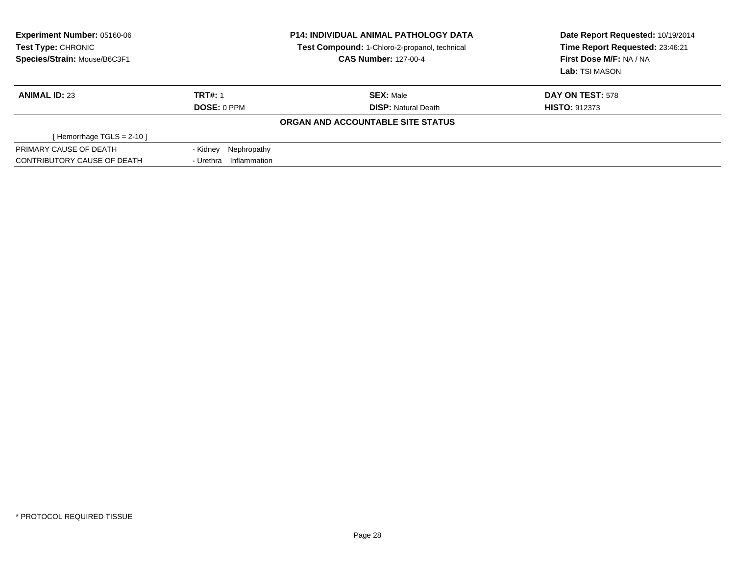| <b>Experiment Number: 05160-06</b><br>Test Type: CHRONIC<br>Species/Strain: Mouse/B6C3F1 |                        | <b>P14: INDIVIDUAL ANIMAL PATHOLOGY DATA</b><br>Test Compound: 1-Chloro-2-propanol, technical<br><b>CAS Number: 127-00-4</b> | Date Report Requested: 10/19/2014<br>Time Report Requested: 23:46:21<br>First Dose M/F: NA / NA<br>Lab: TSI MASON |
|------------------------------------------------------------------------------------------|------------------------|------------------------------------------------------------------------------------------------------------------------------|-------------------------------------------------------------------------------------------------------------------|
| <b>ANIMAL ID: 23</b>                                                                     | <b>TRT#: 1</b>         | <b>SEX: Male</b>                                                                                                             | DAY ON TEST: 578                                                                                                  |
|                                                                                          | DOSE: 0 PPM            | <b>DISP: Natural Death</b>                                                                                                   | <b>HISTO: 912373</b>                                                                                              |
|                                                                                          |                        | ORGAN AND ACCOUNTABLE SITE STATUS                                                                                            |                                                                                                                   |
| [Hemorrhage TGLS = $2-10$ ]                                                              |                        |                                                                                                                              |                                                                                                                   |
| PRIMARY CAUSE OF DEATH                                                                   | - Kidney Nephropathy   |                                                                                                                              |                                                                                                                   |
| CONTRIBUTORY CAUSE OF DEATH                                                              | - Urethra Inflammation |                                                                                                                              |                                                                                                                   |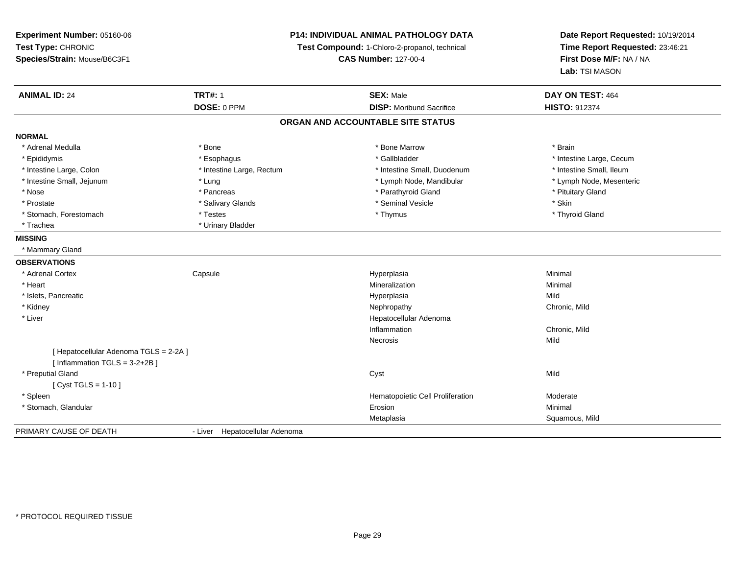**Experiment Number:** 05160-06**Test Type:** CHRONIC **Species/Strain:** Mouse/B6C3F1**P14: INDIVIDUAL ANIMAL PATHOLOGY DATATest Compound:** 1-Chloro-2-propanol, technical **CAS Number:** 127-00-4**Date Report Requested:** 10/19/2014**Time Report Requested:** 23:46:21**First Dose M/F:** NA / NA**Lab:** TSI MASON**ANIMAL ID:** 24**TRT#:** 1 **SEX:** Male **DAY ON TEST:** 464 **DOSE:** 0 PPM **DISP:** Moribund Sacrifice **HISTO:** <sup>912374</sup> **ORGAN AND ACCOUNTABLE SITE STATUSNORMAL**\* Adrenal Medulla \* \* Annual Medulla \* Brain \* Bone \* \* Bone Marrow \* Bone Marrow \* \* Brain \* Brain \* Brain \* Brain \* Brain \* Brain \* Brain \* Brain \* Brain \* Brain \* Brain \* Brain \* Brain \* Brain \* Brain \* Brain \* Brain \* \* Epididymis **\* Exophagus \* Execument \* Execument \* Gallbladder** \* Gallbladder \* \* Thtestine Large, Cecum \* Intestine Small, Ileum \* Intestine Large, Colon \* Intestine Large, Rectum \* Intestine Small, Duodenum \* Intestine Small, Duodenum \* Lymph Node, Mesenteric \* Intestine Small, Jejunum \* The matter of the state of the state of the state of the state of the state of the state of the state of the state of the state of the state of the state of the state of the state of the state \* Nose \* Pancreas \* Pancreas \* Pancreas \* Parathyroid Gland \* Parathyroid Gland \* Pituitary Gland \* Pituitary Gland \* Prostate \* \* Salivary Glands \* \* Salivary Glands \* \* Seminal Vesicle \* \* \* Seminal Yestrich \* \* Skin \* \* Skin \* Thyroid Gland \* Stomach, Forestomach \* Testes \* Testes \* Thymus \* Thymus \* Thymus \* Thymus \* Thymus \* Thymus \* Thymus \* Thymus \* Thymus \* Thymus \* Thymus \* Thymus \* Thymus \* Thymus \* Thymus \* Thymus \* Thymus \* Thymus \* Thymus \* Thymus \* \* Trachea \* Urinary Bladder**MISSING** \* Mammary Gland**OBSERVATIONS** \* Adrenal Cortex**Capsule**  Hyperplasia Minimal \* Heartt to the contract of the contract of the contract of the contract of the contract of the contract of the contract of the contract of the contract of the contract of the contract of the contract of the contract of the contr n Minimal \* Islets, Pancreaticc and the control of the control of the control of the control of the control of the control of the control of the control of the control of the control of the control of the control of the control of the control of the co a Mild \* Kidneyy the controller of the controller of the controller of the controller of the controller of the chronic, Mild \* Liver Hepatocellular AdenomaInflammation Chronic, Mild Necrosiss and the contract of the Mild [ Hepatocellular Adenoma TGLS = 2-2A ] $[$  Inflammation TGLS = 3-2+2B  $]$  \* Preputial Glandd and the control of the control of the control of the control of the control of the control of the control of the control of the control of the control of the control of the control of the control of the control of the co  $[$  Cyst TGLS = 1-10  $]$  \* SpleenHematopoietic Cell Proliferation<br>
Erosion Minimal \* Stomach, Glandularr and the contract of the contract of the contract of the contract of the contract of the contract of the contract of the contract of the contract of the contract of the contract of the contract of the contract of the cont n and a basic control of the Minimal Metaplasia Squamous, Mild PRIMARY CAUSE OF DEATH- Liver Hepatocellular Adenoma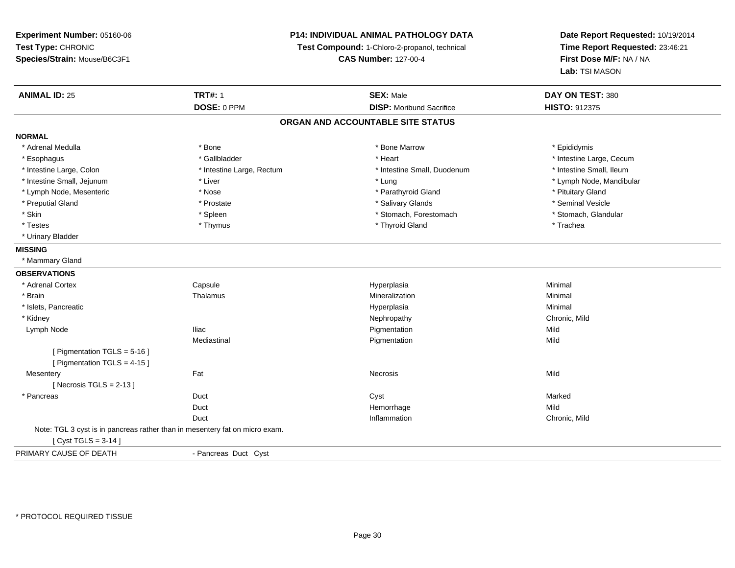**Experiment Number:** 05160-06**Test Type:** CHRONIC **Species/Strain:** Mouse/B6C3F1**P14: INDIVIDUAL ANIMAL PATHOLOGY DATATest Compound:** 1-Chloro-2-propanol, technical **CAS Number:** 127-00-4**Date Report Requested:** 10/19/2014**Time Report Requested:** 23:46:21**First Dose M/F:** NA / NA**Lab:** TSI MASON**ANIMAL ID:** 25**TRT#:** 1 **SEX:** Male **DAY ON TEST:** 380 **DOSE:** 0 PPM**DISP:** Moribund Sacrifice **HISTO:** 912375 **ORGAN AND ACCOUNTABLE SITE STATUSNORMAL**\* Adrenal Medulla \* Adrenal Medulla \* \* The matter of the state of the state of the Marrow \* Bone Marrow \* Adrenal Medulla \* Epididymis \* Epididymis \* Bone Marrow \* Adrenal Medulla \* Epididymis \* Epididymis \* Epididymis \* Epididymis \* Epidi \* Esophagus \* https://www.fragustage.com/web/2019/heart \* Heart \* Heart \* Heart \* Intestine Large, Cecum \* Intestine Large, Cecum \* Gallbladder \* Callbladder \* 11 and 12 and 12 and 12 and 12 and 12 and 12 and 12 and 12 and \* Intestine Small, Ileum \* Intestine Large, Colon \* Intestine Large, Rectum \* Intestine Small, Duodenum \* Intestine Small, Duodenum \* Intestine Small, Jejunum \* Liver \* Lung \* Lymph Node, Mandibular \* Lymph Node, Mesenteric \* The state of the state of the state of the state of the state of the state of the state of the state of the state of the state of the state of the state of the state of the state of the state of \* Seminal Vesicle \* Preputial Gland \* \* Annual vesicle \* \* Prostate \* \* Salivary Glands \* \* Salivary Glands \* \* Seminal Vesicle \* \* Stomach. Glandular \* Skin \* Stomach, Forestomach \* Spleen \* Stomach, Forestomach \* Stomach, Forestomach \* Testes \* Thymus \* Thyroid Gland \* Trachea \* Urinary Bladder**MISSING** \* Mammary Gland**OBSERVATIONS** \* Adrenal Cortex Capsule Hyperplasia Minimal \* Brainn and the matter of the Thalamus and the Minimal of the Minimal of the Minimal of the Minimal of the Minimal o<br>Thalamus and the Minimal of the Minimal of the Minimal of the Minimal of the Minimal of the Minimal of the Min \* Islets, Pancreaticc and the control of the control of the control of the control of the control of the control of the control of the control of the control of the control of the control of the control of the control of the control of the co a **Minimal**  \* Kidneyy the controller of the controller of the controller of the controller of the controller of the chronic, Mild Lymph Node Iliac Pigmentation Mild Mediastinal Pigmentationn Mild [ Pigmentation TGLS = 5-16 ][ Pigmentation TGLS = 4-15 ] Mesenteryy the contract of the contract of the contract of the contract of the contract of the contract of the contract of the contract of the contract of the contract of the contract of the contract of the contract of the contract  $[$  Necrosis TGLS = 2-13  $]$  \* Pancreas Duct Cyst MarkedDuct Hemorrhagee Mild Duct Inflammation Chronic, Mild Note: TGL 3 cyst is in pancreas rather than in mesentery fat on micro exam.[ Cyst TGLS = 3-14 ]PRIMARY CAUSE OF DEATH- Pancreas Duct Cyst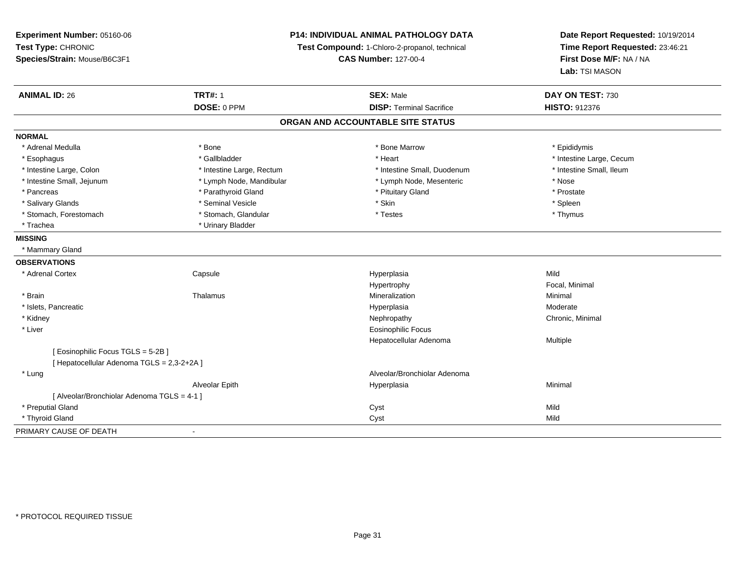**Experiment Number:** 05160-06**Test Type:** CHRONIC **Species/Strain:** Mouse/B6C3F1**P14: INDIVIDUAL ANIMAL PATHOLOGY DATATest Compound:** 1-Chloro-2-propanol, technical **CAS Number:** 127-00-4**Date Report Requested:** 10/19/2014**Time Report Requested:** 23:46:21**First Dose M/F:** NA / NA**Lab:** TSI MASON**ANIMAL ID:** 26**TRT#:** 1 **SEX:** Male **DAY ON TEST:** 730 **DOSE:** 0 PPM**DISP:** Terminal Sacrifice **HISTO:** 912376 **ORGAN AND ACCOUNTABLE SITE STATUSNORMAL**\* Adrenal Medulla \* Adrenal Medulla \* \* The matter of the state of the state of the Marrow \* Bone Marrow \* Adrenal Medulla \* Epididymis \* Epididymis \* Bone Marrow \* Adrenal Medulla \* Epididymis \* Epididymis \* Epididymis \* Epididymis \* Epidi \* Esophagus \* https://www.fragustage.com/web/2019/heart \* Heart \* Heart \* Heart \* Intestine Large, Cecum \* Intestine Large, Cecum \* Gallbladder \* Callbladder \* 11 and 12 and 12 and 12 and 12 and 12 and 12 and 12 and 12 and \* Intestine Small, Ileum \* Intestine Large, Colon \* Intestine Large, Rectum \* Intestine Small, Duodenum \* Intestine Small, Duodenum \* Intestine Small, Jejunum \* Lymph Node, Mandibular \* Lymph Node, Mesenteric \* Nose\* Prostate \* Pancreas \* Parathyroid Gland \* Parathyroid Gland \* Parathyroid Gland \* Prituitary Gland \* Spleen \* Salivary Glands \* \* \* Sheen \* Seminal Vesicle \* \* \* Stan \* \* Skin \* \* Skin \* \* Spleen \* \* Spleen \* \* Spleen \* \* Thymus \* Stomach, Forestomach \* Testes \* Stomach, Glandular \* Testes \* Testes \* Testes \* Testes \* Testes \* Testes \* T \* Trachea \* Urinary Bladder**MISSING** \* Mammary Gland**OBSERVATIONS** \* Adrenal Cortex**Capsule**  Hyperplasia Mild Hypertrophy Focal, Minimal \* Brainn and the matter of the Thalamus and the Minimal of the Minimal of the Minimal of the Minimal of the Minimal o<br>Thalamus and the Minimal of the Minimal of the Minimal of the Minimal of the Minimal of the Minimal of the Min \* Islets, Pancreaticc and the control of the control of the control of the control of the control of the control of the control of the control of the control of the control of the control of the control of the control of the control of the co a **Moderate**  \* Kidneyy the controller of the controller of the controller of the Nephropathy Chronic, Minimal (Chronic, Minimal  $\mu$  \* Liver Eosinophilic Focus Hepatocellular Adenoma Multiple [ Eosinophilic Focus TGLS = 5-2B ][ Hepatocellular Adenoma TGLS = 2,3-2+2A ] \* Lung Alveolar/Bronchiolar Adenoma Alveolar Epithh anns an t-Imperplasia anns an t-Imperplasia anns an t-Imperplasia anns an t-Imperplasia anns an t-Imperplasi<br>Iomraidhean [ Alveolar/Bronchiolar Adenoma TGLS = 4-1 ] \* Preputial Glandd and the control of the control of the control of the control of the control of the control of the control of the control of the control of the control of the control of the control of the control of the control of the co \* Thyroid Glandd Cyst Mild and Cyst Mild and Cyst Mild and Cyst Mild and Cyst Mild and Cyst Mild and Cyst Mild and Cyst Mild and Cyst Mild and Cyst Mild and Cyst Mild and Cyst Mild and Cyst Mild and Cyst Mild and Cyst Mild and Cyst Mild PRIMARY CAUSE OF DEATH-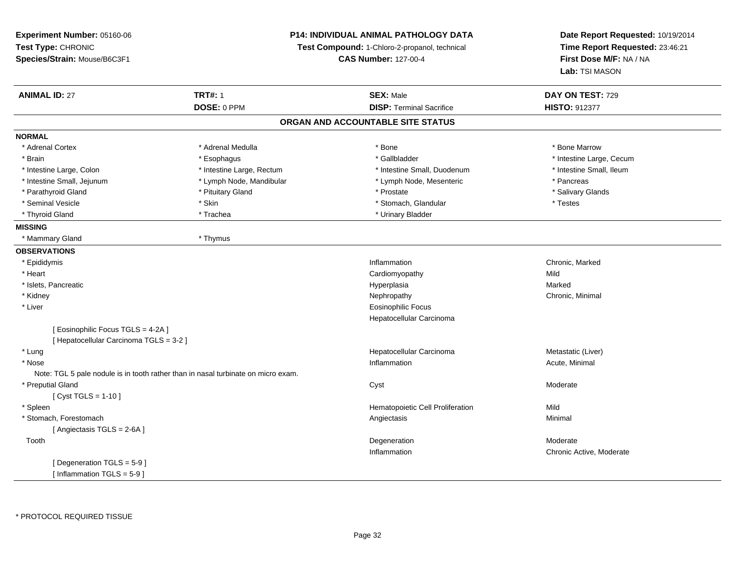| Experiment Number: 05160-06             |                                                                                   | P14: INDIVIDUAL ANIMAL PATHOLOGY DATA<br>Test Compound: 1-Chloro-2-propanol, technical |                                                                              |
|-----------------------------------------|-----------------------------------------------------------------------------------|----------------------------------------------------------------------------------------|------------------------------------------------------------------------------|
| Test Type: CHRONIC                      |                                                                                   |                                                                                        |                                                                              |
| Species/Strain: Mouse/B6C3F1            |                                                                                   | <b>CAS Number: 127-00-4</b>                                                            | Time Report Requested: 23:46:21<br>First Dose M/F: NA / NA<br>Lab: TSI MASON |
|                                         |                                                                                   |                                                                                        |                                                                              |
| <b>ANIMAL ID: 27</b>                    | <b>TRT#: 1</b>                                                                    | <b>SEX: Male</b>                                                                       | DAY ON TEST: 729                                                             |
|                                         | DOSE: 0 PPM                                                                       | <b>DISP: Terminal Sacrifice</b>                                                        | <b>HISTO: 912377</b>                                                         |
|                                         |                                                                                   | ORGAN AND ACCOUNTABLE SITE STATUS                                                      |                                                                              |
| <b>NORMAL</b>                           |                                                                                   |                                                                                        |                                                                              |
| * Adrenal Cortex                        | * Adrenal Medulla                                                                 | * Bone                                                                                 | * Bone Marrow                                                                |
| * Brain                                 | * Esophagus                                                                       | * Gallbladder                                                                          | * Intestine Large, Cecum                                                     |
| * Intestine Large, Colon                | * Intestine Large, Rectum                                                         | * Intestine Small, Duodenum                                                            | * Intestine Small, Ileum                                                     |
| * Intestine Small, Jejunum              | * Lymph Node, Mandibular                                                          | * Lymph Node, Mesenteric                                                               | * Pancreas                                                                   |
| * Parathyroid Gland                     | * Pituitary Gland                                                                 | * Prostate                                                                             | * Salivary Glands                                                            |
| * Seminal Vesicle                       | * Skin                                                                            | * Stomach, Glandular                                                                   | * Testes                                                                     |
| * Thyroid Gland                         | * Trachea                                                                         | * Urinary Bladder                                                                      |                                                                              |
| <b>MISSING</b>                          |                                                                                   |                                                                                        |                                                                              |
| * Mammary Gland                         | * Thymus                                                                          |                                                                                        |                                                                              |
| <b>OBSERVATIONS</b>                     |                                                                                   |                                                                                        |                                                                              |
| * Epididymis                            |                                                                                   | Inflammation                                                                           | Chronic, Marked                                                              |
| * Heart                                 |                                                                                   | Cardiomyopathy                                                                         | Mild                                                                         |
| * Islets, Pancreatic                    |                                                                                   | Hyperplasia                                                                            | Marked                                                                       |
| * Kidney                                |                                                                                   | Nephropathy                                                                            | Chronic, Minimal                                                             |
| * Liver                                 |                                                                                   | <b>Eosinophilic Focus</b>                                                              |                                                                              |
|                                         |                                                                                   | Hepatocellular Carcinoma                                                               |                                                                              |
| [ Eosinophilic Focus TGLS = 4-2A ]      |                                                                                   |                                                                                        |                                                                              |
| [ Hepatocellular Carcinoma TGLS = 3-2 ] |                                                                                   |                                                                                        |                                                                              |
| * Lung                                  |                                                                                   | Hepatocellular Carcinoma                                                               | Metastatic (Liver)                                                           |
| * Nose                                  |                                                                                   | Inflammation                                                                           | Acute, Minimal                                                               |
|                                         | Note: TGL 5 pale nodule is in tooth rather than in nasal turbinate on micro exam. |                                                                                        |                                                                              |
| * Preputial Gland                       |                                                                                   | Cyst                                                                                   | Moderate                                                                     |
| [ $Cyst TGLS = 1-10$ ]                  |                                                                                   |                                                                                        |                                                                              |
| * Spleen                                |                                                                                   | Hematopoietic Cell Proliferation                                                       | Mild                                                                         |
| * Stomach, Forestomach                  |                                                                                   | Angiectasis                                                                            | Minimal                                                                      |
| [Angiectasis TGLS = 2-6A]               |                                                                                   |                                                                                        |                                                                              |
| Tooth                                   |                                                                                   | Degeneration                                                                           | Moderate                                                                     |
|                                         |                                                                                   | Inflammation                                                                           | Chronic Active, Moderate                                                     |
| [ Degeneration TGLS = 5-9]              |                                                                                   |                                                                                        |                                                                              |
| [ Inflammation TGLS = 5-9 ]             |                                                                                   |                                                                                        |                                                                              |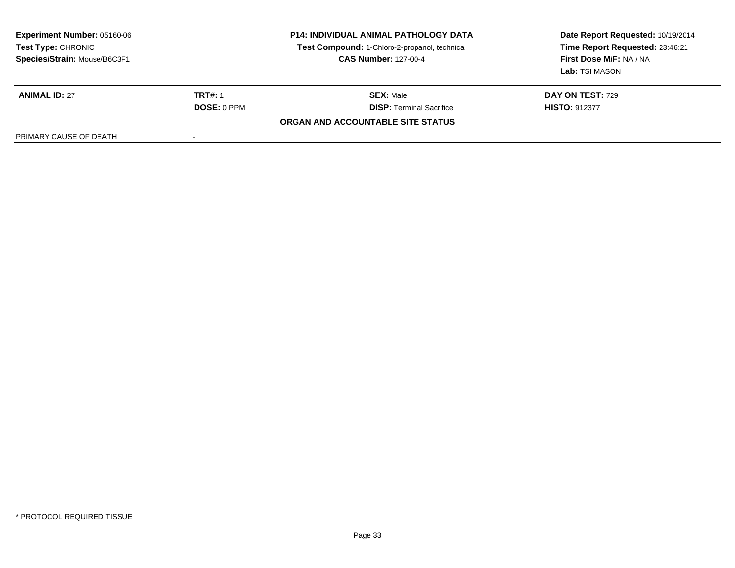| <b>Experiment Number: 05160-06</b><br>Test Type: CHRONIC<br>Species/Strain: Mouse/B6C3F1 | <b>P14: INDIVIDUAL ANIMAL PATHOLOGY DATA</b><br>Test Compound: 1-Chloro-2-propanol, technical<br><b>CAS Number: 127-00-4</b> |                                   | Date Report Requested: 10/19/2014<br>Time Report Requested: 23:46:21<br>First Dose M/F: NA / NA<br>Lab: TSI MASON |  |
|------------------------------------------------------------------------------------------|------------------------------------------------------------------------------------------------------------------------------|-----------------------------------|-------------------------------------------------------------------------------------------------------------------|--|
| <b>ANIMAL ID: 27</b>                                                                     | <b>TRT#: 1</b>                                                                                                               | <b>SEX: Male</b>                  | <b>DAY ON TEST: 729</b>                                                                                           |  |
|                                                                                          | <b>DOSE: 0 PPM</b>                                                                                                           | <b>DISP: Terminal Sacrifice</b>   | <b>HISTO: 912377</b>                                                                                              |  |
|                                                                                          |                                                                                                                              | ORGAN AND ACCOUNTABLE SITE STATUS |                                                                                                                   |  |
| PRIMARY CAUSE OF DEATH                                                                   |                                                                                                                              |                                   |                                                                                                                   |  |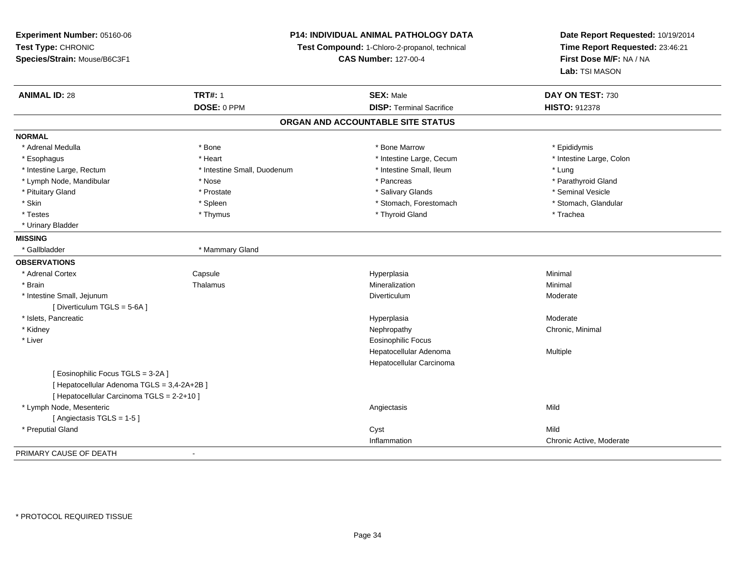**Experiment Number:** 05160-06**Test Type:** CHRONIC **Species/Strain:** Mouse/B6C3F1**P14: INDIVIDUAL ANIMAL PATHOLOGY DATATest Compound:** 1-Chloro-2-propanol, technical **CAS Number:** 127-00-4**Date Report Requested:** 10/19/2014**Time Report Requested:** 23:46:21**First Dose M/F:** NA / NA**Lab:** TSI MASON**ANIMAL ID:** 28**TRT#:** 1 **SEX:** Male **DAY ON TEST:** 730 **DOSE:** 0 PPM**DISP:** Terminal Sacrifice **HISTO:** 912378 **ORGAN AND ACCOUNTABLE SITE STATUSNORMAL**\* Adrenal Medulla \* Adrenal Medulla \* \* The matter of the state of the state of the Marrow \* Bone Marrow \* Adrenal Medulla \* Epididymis \* Epididymis \* Bone Marrow \* Adrenal Medulla \* Epididymis \* Epididymis \* Epididymis \* Epididymis \* Epidi \* Intestine Large, Colon \* Esophagus \* **Heart \* Intestine Large, Cecum \* Intestine Large, Cecum \*** Intestine Large, Cecum \* Intestine Large, Rectum \* Thestine Small, Duodenum \* Intestine Small, Ileum \* Intestine Small, Ileum \* Lung \* Parathyroid Gland \* Lymph Node, Mandibular \* Nose \* Nose \* Pancreas \* Pancreas \* Pancreas \* Pancreas \* Pancreas \* Pancreas \* Pancreas \* Pancreas \* Pancreas \* Pancreas \* Pancreas \* Pancreas \* Pancreas \* Pancreas \* Pancreas \* Pancreas \* Pancr \* Pituitary Gland \* \* \* \* Prostate \* \* Prostate \* \* Salivary Glands \* \* Salivary Glands \* \* Seminal Vesicle \* Stomach, Glandular \* Skin \* Spleen \* Spleen \* Spleen \* Stomach, Forestomach \* Stomach, Forestomach \* Testes \* Thymus \* Thyroid Gland \* Trachea \* Urinary Bladder**MISSING**\* Gallbladder \* Mammary Gland **OBSERVATIONS** \* Adrenal CortexCapsule<br>Thalamus Hyperplasia Minimal \* Brainn and the matter of the Thalamus and the Minimal of the Minimal of the Minimal of the Minimal of the Minimal o<br>Thalamus and the Minimal of the Minimal of the Minimal of the Minimal of the Minimal of the Minimal of the Min \* Intestine Small, Jejunumm<br>Diverticulum Moderate [ Diverticulum TGLS = 5-6A ] \* Islets, Pancreaticc and the control of the control of the control of the control of the control of the control of the control of the control of the control of the control of the control of the control of the control of the control of the co Moderate \* Kidneyy the controller of the controller of the controller of the Nephropathy Chronic, Minimal (Chronic, Minimal  $\mu$  \* Liver Eosinophilic Focus Hepatocellular Adenoma Multiple Hepatocellular Carcinoma[ Eosinophilic Focus TGLS = 3-2A ][ Hepatocellular Adenoma TGLS = 3,4-2A+2B ][ Hepatocellular Carcinoma TGLS = 2-2+10 ] \* Lymph Node, Mesenteric Angiectasis Mild[ Angiectasis TGLS = 1-5 ] \* Preputial Glandd and the control of the control of the control of the control of the control of the control of the control of the control of the control of the control of the control of the control of the control of the control of the co Inflammation Chronic Active, Moderate PRIMARY CAUSE OF DEATH-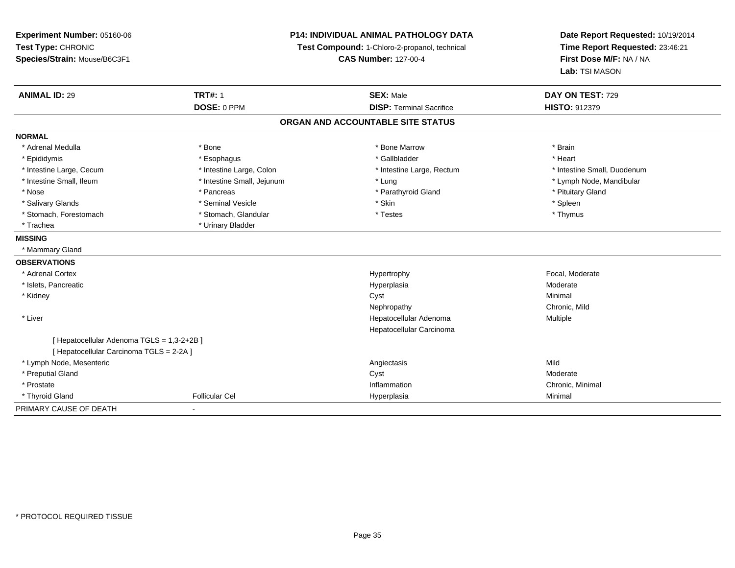| Experiment Number: 05160-06                | <b>P14: INDIVIDUAL ANIMAL PATHOLOGY DATA</b> |                                               | Date Report Requested: 10/19/2014                          |  |
|--------------------------------------------|----------------------------------------------|-----------------------------------------------|------------------------------------------------------------|--|
| Test Type: CHRONIC                         |                                              | Test Compound: 1-Chloro-2-propanol, technical |                                                            |  |
| Species/Strain: Mouse/B6C3F1               |                                              | <b>CAS Number: 127-00-4</b>                   | Time Report Requested: 23:46:21<br>First Dose M/F: NA / NA |  |
|                                            |                                              |                                               | Lab: TSI MASON                                             |  |
| <b>ANIMAL ID: 29</b>                       | <b>TRT#: 1</b>                               | <b>SEX: Male</b>                              | DAY ON TEST: 729                                           |  |
|                                            | DOSE: 0 PPM                                  | <b>DISP: Terminal Sacrifice</b>               | <b>HISTO: 912379</b>                                       |  |
|                                            |                                              | ORGAN AND ACCOUNTABLE SITE STATUS             |                                                            |  |
| <b>NORMAL</b>                              |                                              |                                               |                                                            |  |
| * Adrenal Medulla                          | * Bone                                       | * Bone Marrow                                 | * Brain                                                    |  |
| * Epididymis                               | * Esophagus                                  | * Gallbladder                                 | * Heart                                                    |  |
| * Intestine Large, Cecum                   | * Intestine Large, Colon                     | * Intestine Large, Rectum                     | * Intestine Small, Duodenum                                |  |
| * Intestine Small, Ileum                   | * Intestine Small, Jejunum                   | * Lung                                        | * Lymph Node, Mandibular                                   |  |
| * Nose                                     | * Pancreas                                   | * Parathyroid Gland                           | * Pituitary Gland                                          |  |
| * Salivary Glands                          | * Seminal Vesicle                            | * Skin                                        | * Spleen                                                   |  |
| * Stomach, Forestomach                     | * Stomach, Glandular                         | * Testes                                      | * Thymus                                                   |  |
| * Trachea                                  | * Urinary Bladder                            |                                               |                                                            |  |
| <b>MISSING</b>                             |                                              |                                               |                                                            |  |
| * Mammary Gland                            |                                              |                                               |                                                            |  |
| <b>OBSERVATIONS</b>                        |                                              |                                               |                                                            |  |
| * Adrenal Cortex                           |                                              | Hypertrophy                                   | Focal, Moderate                                            |  |
| * Islets, Pancreatic                       |                                              | Hyperplasia                                   | Moderate                                                   |  |
| * Kidney                                   |                                              | Cyst                                          | Minimal                                                    |  |
|                                            |                                              | Nephropathy                                   | Chronic. Mild                                              |  |
| * Liver                                    |                                              | Hepatocellular Adenoma                        | Multiple                                                   |  |
|                                            |                                              | Hepatocellular Carcinoma                      |                                                            |  |
| [ Hepatocellular Adenoma TGLS = 1,3-2+2B ] |                                              |                                               |                                                            |  |
| [ Hepatocellular Carcinoma TGLS = 2-2A ]   |                                              |                                               |                                                            |  |
| * Lymph Node, Mesenteric                   |                                              | Angiectasis                                   | Mild                                                       |  |
| * Preputial Gland                          |                                              | Cyst                                          | Moderate                                                   |  |
| * Prostate                                 |                                              | Inflammation                                  | Chronic, Minimal                                           |  |
| * Thyroid Gland                            | <b>Follicular Cel</b>                        | Hyperplasia                                   | Minimal                                                    |  |
| PRIMARY CAUSE OF DEATH                     | $\overline{\phantom{0}}$                     |                                               |                                                            |  |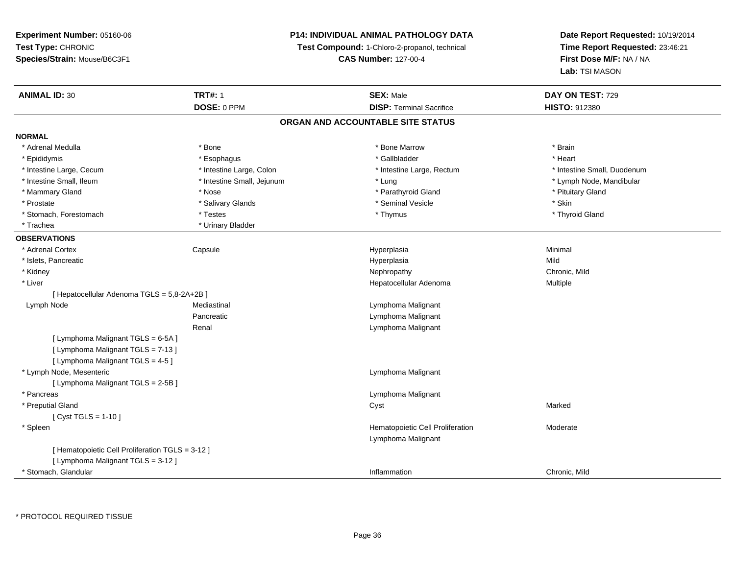## **P14: INDIVIDUAL ANIMAL PATHOLOGY DATA**

**Test Compound:** 1-Chloro-2-propanol, technical

**CAS Number:** 127-00-4

**Date Report Requested:** 10/19/2014**Time Report Requested:** 23:46:21**First Dose M/F:** NA / NA**Lab:** TSI MASON

| <b>ANIMAL ID: 30</b>                             | <b>TRT#: 1</b>             | <b>SEX: Male</b>                  | DAY ON TEST: 729            |
|--------------------------------------------------|----------------------------|-----------------------------------|-----------------------------|
|                                                  | DOSE: 0 PPM                | <b>DISP: Terminal Sacrifice</b>   | HISTO: 912380               |
|                                                  |                            | ORGAN AND ACCOUNTABLE SITE STATUS |                             |
| <b>NORMAL</b>                                    |                            |                                   |                             |
| * Adrenal Medulla                                | * Bone                     | * Bone Marrow                     | * Brain                     |
| * Epididymis                                     | * Esophagus                | * Gallbladder                     | * Heart                     |
| * Intestine Large, Cecum                         | * Intestine Large, Colon   | * Intestine Large, Rectum         | * Intestine Small, Duodenum |
| * Intestine Small, Ileum                         | * Intestine Small, Jejunum | * Lung                            | * Lymph Node, Mandibular    |
| * Mammary Gland                                  | * Nose                     | * Parathyroid Gland               | * Pituitary Gland           |
| * Prostate                                       | * Salivary Glands          | * Seminal Vesicle                 | * Skin                      |
| * Stomach, Forestomach                           | * Testes                   | * Thymus                          | * Thyroid Gland             |
| * Trachea                                        | * Urinary Bladder          |                                   |                             |
| <b>OBSERVATIONS</b>                              |                            |                                   |                             |
| * Adrenal Cortex                                 | Capsule                    | Hyperplasia                       | Minimal                     |
| * Islets, Pancreatic                             |                            | Hyperplasia                       | Mild                        |
| * Kidney                                         |                            | Nephropathy                       | Chronic, Mild               |
| * Liver                                          |                            | Hepatocellular Adenoma            | Multiple                    |
| [ Hepatocellular Adenoma TGLS = 5,8-2A+2B ]      |                            |                                   |                             |
| Lymph Node                                       | Mediastinal                | Lymphoma Malignant                |                             |
|                                                  | Pancreatic                 | Lymphoma Malignant                |                             |
|                                                  | Renal                      | Lymphoma Malignant                |                             |
| [ Lymphoma Malignant TGLS = 6-5A ]               |                            |                                   |                             |
| [ Lymphoma Malignant TGLS = 7-13 ]               |                            |                                   |                             |
| [ Lymphoma Malignant TGLS = 4-5 ]                |                            |                                   |                             |
| * Lymph Node, Mesenteric                         |                            | Lymphoma Malignant                |                             |
| [ Lymphoma Malignant TGLS = 2-5B ]               |                            |                                   |                             |
| * Pancreas                                       |                            | Lymphoma Malignant                |                             |
| * Preputial Gland                                |                            | Cyst                              | Marked                      |
| [ $Cyst TGLS = 1-10$ ]                           |                            |                                   |                             |
| * Spleen                                         |                            | Hematopoietic Cell Proliferation  | Moderate                    |
|                                                  |                            | Lymphoma Malignant                |                             |
| [ Hematopoietic Cell Proliferation TGLS = 3-12 ] |                            |                                   |                             |
| [ Lymphoma Malignant TGLS = 3-12 ]               |                            |                                   |                             |
| * Stomach, Glandular                             |                            | Inflammation                      | Chronic, Mild               |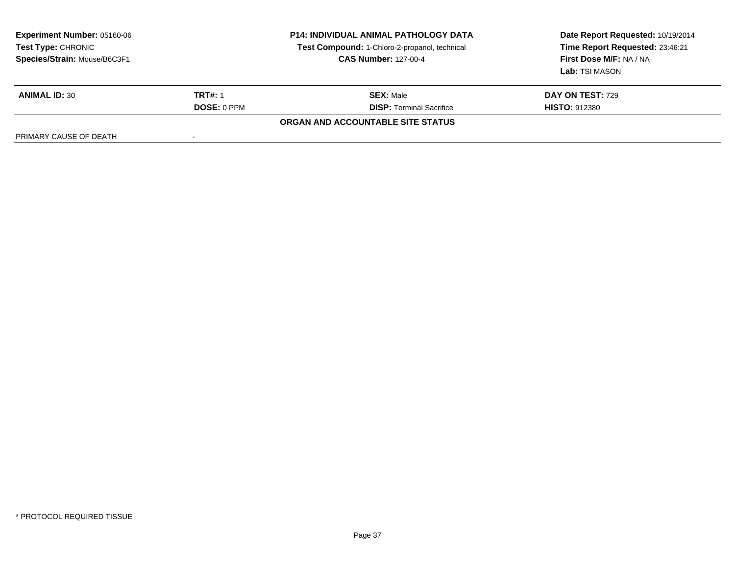| <b>Experiment Number: 05160-06</b><br>Test Type: CHRONIC<br>Species/Strain: Mouse/B6C3F1 |                    | <b>P14: INDIVIDUAL ANIMAL PATHOLOGY DATA</b><br>Test Compound: 1-Chloro-2-propanol, technical<br><b>CAS Number: 127-00-4</b> | Date Report Requested: 10/19/2014<br>Time Report Requested: 23:46:21<br>First Dose M/F: NA / NA<br>Lab: TSI MASON |
|------------------------------------------------------------------------------------------|--------------------|------------------------------------------------------------------------------------------------------------------------------|-------------------------------------------------------------------------------------------------------------------|
| <b>ANIMAL ID: 30</b>                                                                     | <b>TRT#: 1</b>     | <b>SEX: Male</b>                                                                                                             | <b>DAY ON TEST: 729</b>                                                                                           |
|                                                                                          | <b>DOSE: 0 PPM</b> | <b>DISP: Terminal Sacrifice</b>                                                                                              | <b>HISTO: 912380</b>                                                                                              |
|                                                                                          |                    | <b>ORGAN AND ACCOUNTABLE SITE STATUS</b>                                                                                     |                                                                                                                   |
| PRIMARY CAUSE OF DEATH                                                                   | $\,$               |                                                                                                                              |                                                                                                                   |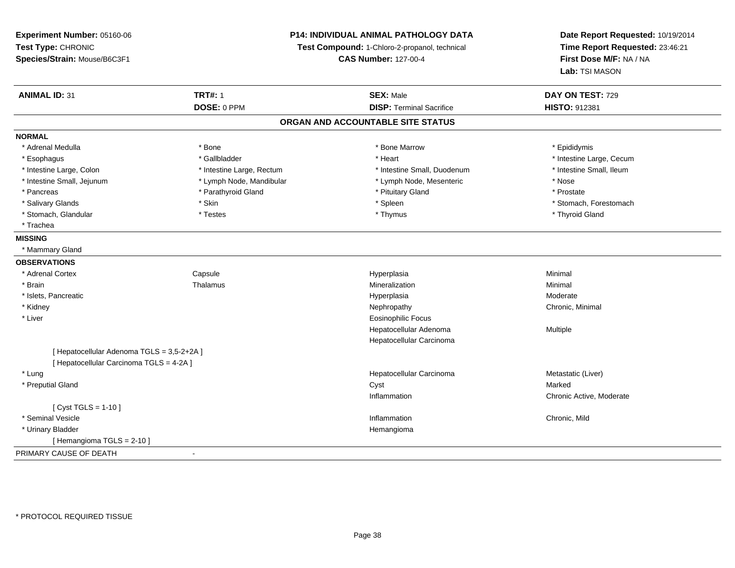**Experiment Number:** 05160-06**Test Type:** CHRONIC **Species/Strain:** Mouse/B6C3F1**P14: INDIVIDUAL ANIMAL PATHOLOGY DATATest Compound:** 1-Chloro-2-propanol, technical **CAS Number:** 127-00-4**Date Report Requested:** 10/19/2014**Time Report Requested:** 23:46:21**First Dose M/F:** NA / NA**Lab:** TSI MASON**ANIMAL ID:** 31**TRT#:** 1 **SEX:** Male **DAY ON TEST:** 729 **DOSE:** 0 PPM**DISP:** Terminal Sacrifice **HISTO:** 912381 **ORGAN AND ACCOUNTABLE SITE STATUSNORMAL**\* Adrenal Medulla \* Adrenal Medulla \* \* The matter of the state of the state of the Marrow \* Bone Marrow \* Adrenal Medulla \* Epididymis \* Epididymis \* Bone Marrow \* Adrenal Medulla \* Epididymis \* Epididymis \* Epididymis \* Epididymis \* Epidi \* Esophagus \* https://www.fragustage.com/web/2019/heart \* Heart \* Heart \* Heart \* Intestine Large, Cecum \* Intestine Large, Cecum \* Gallbladder \* Callbladder \* 11 and 12 and 12 and 12 and 12 and 12 and 12 and 12 and 12 and \* Intestine Small, Ileum \* Intestine Large, Colon \* Intestine Large, Rectum \* Intestine Small, Duodenum \* Intestine Small, Duodenum \* Intestine Small, Jejunum \* Lymph Node, Mandibular \* Lymph Node, Mesenteric \* Nose\* Prostate \* Pancreas \* Parathyroid Gland \* Parathyroid Gland \* Parathyroid Gland \* Prituitary Gland \* Salivary Glands \* The stomach \* Skin \* Spleen \* Spleen \* Stomach, Forestomach \* Stomach, Forestomach \* Stomach, Forestomach \* Stomach, Glandular \* Thyroid Gland \* Testes \* Thyroid Gland \* Thyroid Gland \* Thyroid Gland \* Thyroid Gland \* Trachea**MISSING** \* Mammary Gland**OBSERVATIONS** \* Adrenal CortexCapsule<br>Thalamus Hyperplasia Minimal \* Brainn and the matter of the Thalamus and the Minimal of the Minimal of the Minimal of the Minimal of the Minimal o<br>Thalamus and the Minimal of the Minimal of the Minimal of the Minimal of the Minimal of the Minimal of the Min \* Islets, Pancreaticc and the contract of the contract of the contract of the contract of the contract of the contract of the contract of the contract of the contract of the contract of the contract of the contract of the contract of the cont Moderate \* Kidneyy the controller of the controller of the controller of the Nephropathy Chronic, Minimal (Chronic, Minimal  $\mu$  \* Liver Eosinophilic Focus Hepatocellular Adenoma Multiple Hepatocellular Carcinoma[ Hepatocellular Adenoma TGLS = 3,5-2+2A ][ Hepatocellular Carcinoma TGLS = 4-2A ] \* Lungg and the state of the state of the state of the state of the Hepatocellular Carcinoma and the Metastatic (Liver) \* Preputial Glandd and the control of the control of the control of the control of the control of the control of the control of the control of the control of the control of the control of the control of the control of the control of the co Inflammation Chronic Active, Moderate  $[$  Cyst TGLS = 1-10  $]$  \* Seminal Vesiclee experience of the control of the control of the control of the control of the chronic, Mild and Chronic, Mild and Chronic, Mild and Chronic, Mild and Chronic, Mild and Chronic, Mild and Chronic, Mild and Chronic, Mild an \* Urinary Bladder Hemangioma[ Hemangioma TGLS = 2-10 ]PRIMARY CAUSE OF DEATH-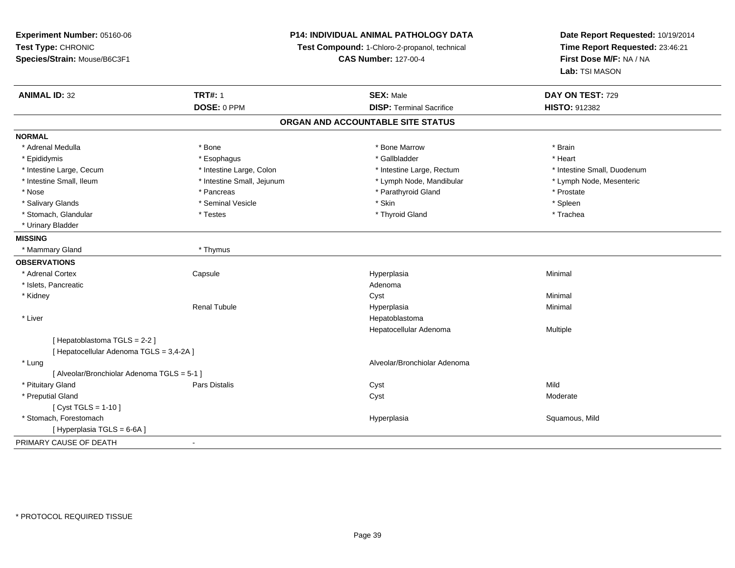| Experiment Number: 05160-06                 | <b>P14: INDIVIDUAL ANIMAL PATHOLOGY DATA</b><br>Test Compound: 1-Chloro-2-propanol, technical |                                   | Date Report Requested: 10/19/2014 |  |
|---------------------------------------------|-----------------------------------------------------------------------------------------------|-----------------------------------|-----------------------------------|--|
| Test Type: CHRONIC                          |                                                                                               |                                   | Time Report Requested: 23:46:21   |  |
| Species/Strain: Mouse/B6C3F1                |                                                                                               | <b>CAS Number: 127-00-4</b>       | First Dose M/F: NA / NA           |  |
|                                             |                                                                                               |                                   | Lab: TSI MASON                    |  |
| <b>ANIMAL ID: 32</b>                        | <b>TRT#: 1</b>                                                                                | <b>SEX: Male</b>                  | DAY ON TEST: 729                  |  |
|                                             | DOSE: 0 PPM                                                                                   | <b>DISP: Terminal Sacrifice</b>   | HISTO: 912382                     |  |
|                                             |                                                                                               | ORGAN AND ACCOUNTABLE SITE STATUS |                                   |  |
| <b>NORMAL</b>                               |                                                                                               |                                   |                                   |  |
| * Adrenal Medulla                           | * Bone                                                                                        | * Bone Marrow                     | * Brain                           |  |
| * Epididymis                                | * Esophagus                                                                                   | * Gallbladder                     | * Heart                           |  |
| * Intestine Large, Cecum                    | * Intestine Large, Colon                                                                      | * Intestine Large, Rectum         | * Intestine Small, Duodenum       |  |
| * Intestine Small, Ileum                    | * Intestine Small, Jejunum                                                                    | * Lymph Node, Mandibular          | * Lymph Node, Mesenteric          |  |
| * Nose                                      | * Pancreas                                                                                    | * Parathyroid Gland               | * Prostate                        |  |
| * Salivary Glands                           | * Seminal Vesicle                                                                             | * Skin                            | * Spleen                          |  |
| * Stomach, Glandular                        | * Testes                                                                                      | * Thyroid Gland                   | * Trachea                         |  |
| * Urinary Bladder                           |                                                                                               |                                   |                                   |  |
| <b>MISSING</b>                              |                                                                                               |                                   |                                   |  |
| * Mammary Gland                             | * Thymus                                                                                      |                                   |                                   |  |
| <b>OBSERVATIONS</b>                         |                                                                                               |                                   |                                   |  |
| * Adrenal Cortex                            | Capsule                                                                                       | Hyperplasia                       | Minimal                           |  |
| * Islets, Pancreatic                        |                                                                                               | Adenoma                           |                                   |  |
| * Kidney                                    |                                                                                               | Cyst                              | Minimal                           |  |
|                                             | <b>Renal Tubule</b>                                                                           | Hyperplasia                       | Minimal                           |  |
| * Liver                                     |                                                                                               | Hepatoblastoma                    |                                   |  |
|                                             |                                                                                               | Hepatocellular Adenoma            | Multiple                          |  |
| [Hepatoblastoma TGLS = 2-2]                 |                                                                                               |                                   |                                   |  |
| [ Hepatocellular Adenoma TGLS = 3,4-2A ]    |                                                                                               |                                   |                                   |  |
| * Lung                                      |                                                                                               | Alveolar/Bronchiolar Adenoma      |                                   |  |
| [ Alveolar/Bronchiolar Adenoma TGLS = 5-1 ] |                                                                                               |                                   |                                   |  |
| * Pituitary Gland                           | <b>Pars Distalis</b>                                                                          | Cyst                              | Mild                              |  |
| * Preputial Gland                           |                                                                                               | Cyst                              | Moderate                          |  |
| [ Cyst TGLS = $1-10$ ]                      |                                                                                               |                                   |                                   |  |
| * Stomach, Forestomach                      |                                                                                               | Hyperplasia                       | Squamous, Mild                    |  |
| [ Hyperplasia TGLS = 6-6A ]                 |                                                                                               |                                   |                                   |  |
| PRIMARY CAUSE OF DEATH                      | $\blacksquare$                                                                                |                                   |                                   |  |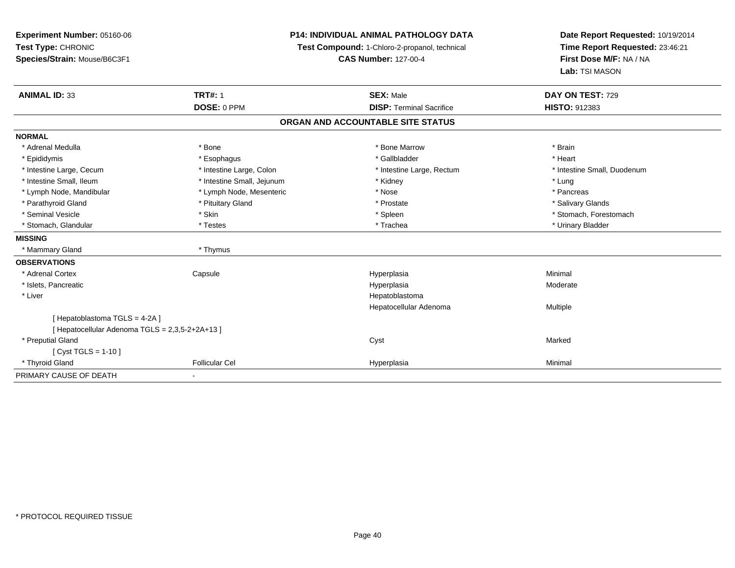| Experiment Number: 05160-06                     |                            | <b>P14: INDIVIDUAL ANIMAL PATHOLOGY DATA</b><br>Test Compound: 1-Chloro-2-propanol, technical |                                                            |
|-------------------------------------------------|----------------------------|-----------------------------------------------------------------------------------------------|------------------------------------------------------------|
| Test Type: CHRONIC                              |                            |                                                                                               |                                                            |
| Species/Strain: Mouse/B6C3F1                    |                            | <b>CAS Number: 127-00-4</b>                                                                   | Time Report Requested: 23:46:21<br>First Dose M/F: NA / NA |
|                                                 |                            |                                                                                               | Lab: TSI MASON                                             |
| <b>ANIMAL ID: 33</b>                            | <b>TRT#: 1</b>             | <b>SEX: Male</b>                                                                              | DAY ON TEST: 729                                           |
|                                                 | DOSE: 0 PPM                | <b>DISP: Terminal Sacrifice</b>                                                               | <b>HISTO: 912383</b>                                       |
|                                                 |                            | ORGAN AND ACCOUNTABLE SITE STATUS                                                             |                                                            |
| <b>NORMAL</b>                                   |                            |                                                                                               |                                                            |
| * Adrenal Medulla                               | * Bone                     | * Bone Marrow                                                                                 | * Brain                                                    |
| * Epididymis                                    | * Esophagus                | * Gallbladder                                                                                 | * Heart                                                    |
| * Intestine Large, Cecum                        | * Intestine Large, Colon   | * Intestine Large, Rectum                                                                     | * Intestine Small, Duodenum                                |
| * Intestine Small, Ileum                        | * Intestine Small, Jejunum | * Kidney                                                                                      | * Lung                                                     |
| * Lymph Node, Mandibular                        | * Lymph Node, Mesenteric   | * Nose                                                                                        | * Pancreas                                                 |
| * Parathyroid Gland                             | * Pituitary Gland          | * Prostate                                                                                    | * Salivary Glands                                          |
| * Seminal Vesicle                               | * Skin                     | * Spleen                                                                                      | * Stomach, Forestomach                                     |
| * Stomach, Glandular                            | * Testes                   | * Trachea                                                                                     | * Urinary Bladder                                          |
| <b>MISSING</b>                                  |                            |                                                                                               |                                                            |
| * Mammary Gland                                 | * Thymus                   |                                                                                               |                                                            |
| <b>OBSERVATIONS</b>                             |                            |                                                                                               |                                                            |
| * Adrenal Cortex                                | Capsule                    | Hyperplasia                                                                                   | Minimal                                                    |
| * Islets, Pancreatic                            |                            | Hyperplasia                                                                                   | Moderate                                                   |
| * Liver                                         |                            | Hepatoblastoma                                                                                |                                                            |
|                                                 |                            | Hepatocellular Adenoma                                                                        | Multiple                                                   |
| [Hepatoblastoma TGLS = 4-2A]                    |                            |                                                                                               |                                                            |
| [ Hepatocellular Adenoma TGLS = 2,3,5-2+2A+13 ] |                            |                                                                                               |                                                            |
| * Preputial Gland                               |                            | Cyst                                                                                          | Marked                                                     |
| [ Cyst TGLS = 1-10 ]                            |                            |                                                                                               |                                                            |
| * Thyroid Gland                                 | <b>Follicular Cel</b>      | Hyperplasia                                                                                   | Minimal                                                    |
| PRIMARY CAUSE OF DEATH                          |                            |                                                                                               |                                                            |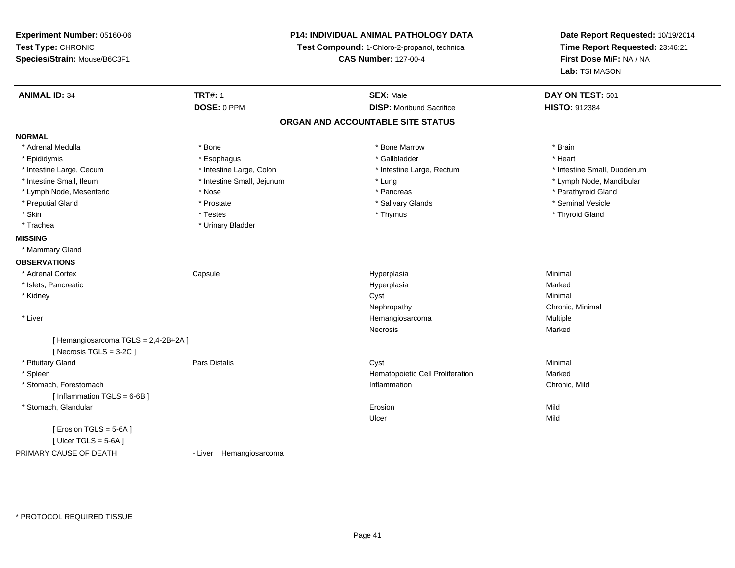**Experiment Number:** 05160-06**Test Type:** CHRONIC **Species/Strain:** Mouse/B6C3F1**P14: INDIVIDUAL ANIMAL PATHOLOGY DATATest Compound:** 1-Chloro-2-propanol, technical **CAS Number:** 127-00-4**Date Report Requested:** 10/19/2014**Time Report Requested:** 23:46:21**First Dose M/F:** NA / NA**Lab:** TSI MASON**ANIMAL ID:** 34**TRT#:** 1 **SEX:** Male **DAY ON TEST:** 501 **DOSE:** 0 PPM**DISP:** Moribund Sacrifice **HISTO:** 912384 **ORGAN AND ACCOUNTABLE SITE STATUSNORMAL**\* Adrenal Medulla \* \* Annual Medulla \* Brain \* Bone \* \* Bone Marrow \* Bone Marrow \* \* Brain \* Brain \* Brain \* Brain \* Brain \* Brain \* Brain \* Brain \* Brain \* Brain \* Brain \* Brain \* Brain \* Brain \* Brain \* Brain \* Brain \* \* Heart \* Epididymis \* Esophagus \* Gallbladder \* Heart \* Intestine Large, Cecum \* Intestine Large, Colon \* Intestine Large, Rectum \* Intestine Small, Duodenum \* Intestine Small, Ileum \* Intestine Small, Jejunum \* Lung \* Lymph Node, Mandibular\* Lymph Node, Mesenteric \* The state of the state of the state of the state of the state of the state of the state of the state of the state of the state of the state of the state of the state of the state of the state of \* Preputial Gland \* \* Annual vesicle \* \* Prostate \* \* Salivary Glands \* \* Salivary Glands \* \* Seminal Vesicle \* \* Skin \* \* Thyroid Gland \* Testes \* \* Testes \* \* Thymus \* Thymus \* Thymus \* Thyroid Gland \* Thyroid Gland \* \* Thyroid Gland \* Trachea \* Urinary Bladder**MISSING** \* Mammary Gland**OBSERVATIONS** \* Adrenal Cortex**Capsule**  Hyperplasia Minimal \* Islets, Pancreaticc and the contract of the contract of the contract of the contract of the contract of the contract of the contract of the contract of the contract of the contract of the contract of the contract of the contract of the cont a **Marked**  \* Kidneyy the control of the control of the control of the control of the control of the control of the control of the control of the control of the control of the control of the control of the control of the control of the contro Nephropathy Chronic, Minimal \* Liver HemangiosarcomaMultiple<br>Marked Necrosiss and the contract of the Marked [ Hemangiosarcoma TGLS = 2,4-2B+2A ][ Necrosis TGLS = 3-2C ] \* Pituitary Gland Pars Distalis Cyst Minimal \* SpleenHematopoietic Cell Proliferation<br>
Inflammation Marked<br>
Chronic, Mild \* Stomach, Forestomach**Inflammation** Chronic, Mild Chronic, Mild Chronic, Mild Chronic, Mild Chronic, Mild Chronic, Mild Chronic, Mild Chronic, Mild Chronic, Mild Chronic, Mild Chronic, Mild Chronic, Mild Chronic, Mild Chronic, Mild Chronic, Mi [ Inflammation TGLS = 6-6B ] \* Stomach, Glandularr and the contract of the contract of the contract of the contract of the contract of the contract of the contract of the contract of the contract of the contract of the contract of the contract of the contract of the cont n Mild Ulcerr **Mild**  $[$  Erosion TGLS = 5-6A  $]$  $[$  Ulcer TGLS = 5-6A ] PRIMARY CAUSE OF DEATH- Liver Hemangiosarcoma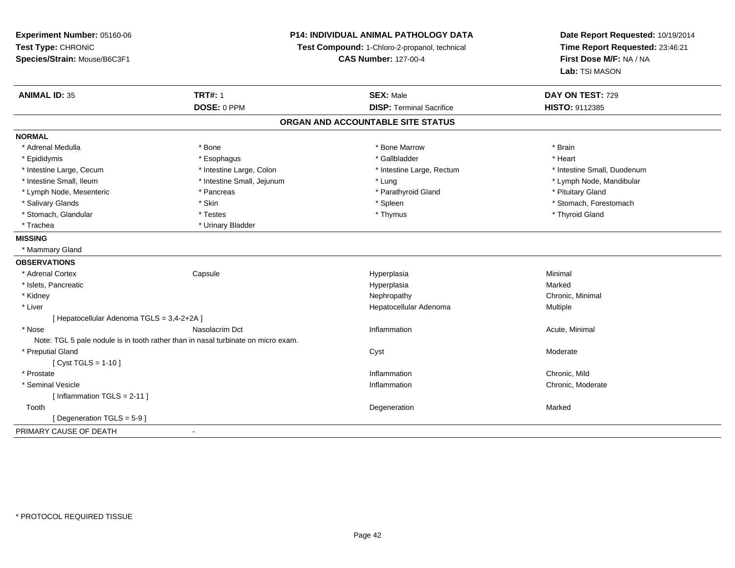| Experiment Number: 05160-06                                                       | P14: INDIVIDUAL ANIMAL PATHOLOGY DATA<br>Test Compound: 1-Chloro-2-propanol, technical<br><b>CAS Number: 127-00-4</b> |                                   | Date Report Requested: 10/19/2014<br>Time Report Requested: 23:46:21<br>First Dose M/F: NA / NA |
|-----------------------------------------------------------------------------------|-----------------------------------------------------------------------------------------------------------------------|-----------------------------------|-------------------------------------------------------------------------------------------------|
| Test Type: CHRONIC                                                                |                                                                                                                       |                                   |                                                                                                 |
| Species/Strain: Mouse/B6C3F1                                                      |                                                                                                                       |                                   |                                                                                                 |
|                                                                                   |                                                                                                                       |                                   | Lab: TSI MASON                                                                                  |
| <b>ANIMAL ID: 35</b>                                                              | <b>TRT#: 1</b>                                                                                                        | <b>SEX: Male</b>                  | DAY ON TEST: 729                                                                                |
|                                                                                   | DOSE: 0 PPM                                                                                                           | <b>DISP: Terminal Sacrifice</b>   | HISTO: 9112385                                                                                  |
|                                                                                   |                                                                                                                       | ORGAN AND ACCOUNTABLE SITE STATUS |                                                                                                 |
| <b>NORMAL</b>                                                                     |                                                                                                                       |                                   |                                                                                                 |
| * Adrenal Medulla                                                                 | * Bone                                                                                                                | * Bone Marrow                     | * Brain                                                                                         |
| * Epididymis                                                                      | * Esophagus                                                                                                           | * Gallbladder                     | * Heart                                                                                         |
| * Intestine Large, Cecum                                                          | * Intestine Large, Colon                                                                                              | * Intestine Large, Rectum         | * Intestine Small, Duodenum                                                                     |
| * Intestine Small, Ileum                                                          | * Intestine Small, Jejunum                                                                                            | * Lung                            | * Lymph Node, Mandibular                                                                        |
| * Lymph Node, Mesenteric                                                          | * Pancreas                                                                                                            | * Parathyroid Gland               | * Pituitary Gland                                                                               |
| * Salivary Glands                                                                 | * Skin                                                                                                                | * Spleen                          | * Stomach, Forestomach                                                                          |
| * Stomach, Glandular                                                              | * Testes                                                                                                              | * Thymus                          | * Thyroid Gland                                                                                 |
| * Trachea                                                                         | * Urinary Bladder                                                                                                     |                                   |                                                                                                 |
| <b>MISSING</b>                                                                    |                                                                                                                       |                                   |                                                                                                 |
| * Mammary Gland                                                                   |                                                                                                                       |                                   |                                                                                                 |
| <b>OBSERVATIONS</b>                                                               |                                                                                                                       |                                   |                                                                                                 |
| * Adrenal Cortex                                                                  | Capsule                                                                                                               | Hyperplasia                       | Minimal                                                                                         |
| * Islets, Pancreatic                                                              |                                                                                                                       | Hyperplasia                       | Marked                                                                                          |
| * Kidney                                                                          |                                                                                                                       | Nephropathy                       | Chronic, Minimal                                                                                |
| * Liver                                                                           |                                                                                                                       | Hepatocellular Adenoma            | Multiple                                                                                        |
| [ Hepatocellular Adenoma TGLS = 3,4-2+2A ]                                        |                                                                                                                       |                                   |                                                                                                 |
| * Nose                                                                            | Nasolacrim Dct                                                                                                        | Inflammation                      | Acute, Minimal                                                                                  |
| Note: TGL 5 pale nodule is in tooth rather than in nasal turbinate on micro exam. |                                                                                                                       |                                   |                                                                                                 |
| * Preputial Gland                                                                 |                                                                                                                       | Cyst                              | Moderate                                                                                        |
| [Cyst TGLS = $1-10$ ]                                                             |                                                                                                                       |                                   |                                                                                                 |
| * Prostate                                                                        |                                                                                                                       | Inflammation                      | Chronic, Mild                                                                                   |
| * Seminal Vesicle                                                                 |                                                                                                                       | Inflammation                      | Chronic, Moderate                                                                               |
| [Inflammation TGLS = $2-11$ ]                                                     |                                                                                                                       |                                   |                                                                                                 |
| Tooth                                                                             |                                                                                                                       | Degeneration                      | Marked                                                                                          |
| [ Degeneration TGLS = 5-9 ]                                                       |                                                                                                                       |                                   |                                                                                                 |
| PRIMARY CAUSE OF DEATH                                                            | $\blacksquare$                                                                                                        |                                   |                                                                                                 |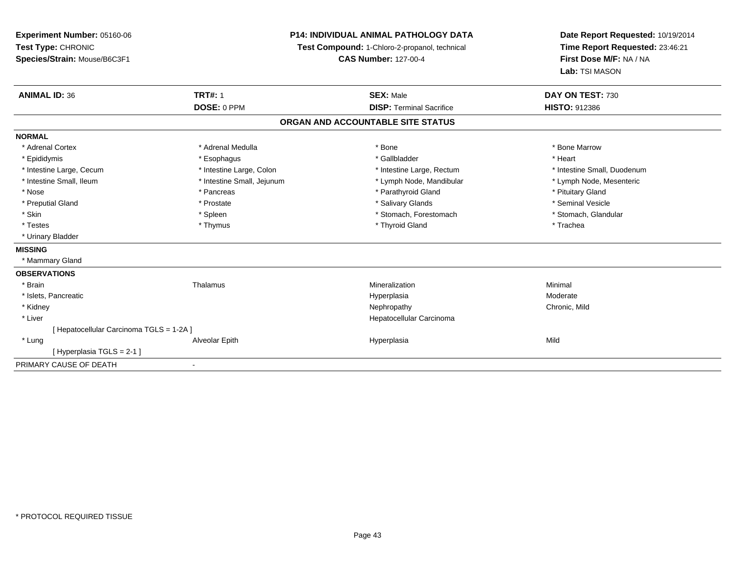| Experiment Number: 05160-06              | <b>P14: INDIVIDUAL ANIMAL PATHOLOGY DATA</b><br>Test Compound: 1-Chloro-2-propanol, technical |                                   | Date Report Requested: 10/19/2014 |  |
|------------------------------------------|-----------------------------------------------------------------------------------------------|-----------------------------------|-----------------------------------|--|
| Test Type: CHRONIC                       |                                                                                               |                                   | Time Report Requested: 23:46:21   |  |
| Species/Strain: Mouse/B6C3F1             |                                                                                               | <b>CAS Number: 127-00-4</b>       | First Dose M/F: NA / NA           |  |
|                                          |                                                                                               |                                   | Lab: TSI MASON                    |  |
| <b>ANIMAL ID: 36</b>                     | <b>TRT#: 1</b>                                                                                | <b>SEX: Male</b>                  | DAY ON TEST: 730                  |  |
|                                          | DOSE: 0 PPM                                                                                   | <b>DISP: Terminal Sacrifice</b>   | <b>HISTO: 912386</b>              |  |
|                                          |                                                                                               | ORGAN AND ACCOUNTABLE SITE STATUS |                                   |  |
| <b>NORMAL</b>                            |                                                                                               |                                   |                                   |  |
| * Adrenal Cortex                         | * Adrenal Medulla                                                                             | * Bone                            | * Bone Marrow                     |  |
| * Epididymis                             | * Esophagus                                                                                   | * Gallbladder                     | * Heart                           |  |
| * Intestine Large, Cecum                 | * Intestine Large, Colon                                                                      | * Intestine Large, Rectum         | * Intestine Small, Duodenum       |  |
| * Intestine Small, Ileum                 | * Intestine Small, Jejunum                                                                    | * Lymph Node, Mandibular          | * Lymph Node, Mesenteric          |  |
| * Nose                                   | * Pancreas                                                                                    | * Parathyroid Gland               | * Pituitary Gland                 |  |
| * Preputial Gland                        | * Prostate                                                                                    | * Salivary Glands                 | * Seminal Vesicle                 |  |
| * Skin                                   | * Spleen                                                                                      | * Stomach, Forestomach            | * Stomach, Glandular              |  |
| * Testes                                 | * Thymus                                                                                      | * Thyroid Gland                   | * Trachea                         |  |
| * Urinary Bladder                        |                                                                                               |                                   |                                   |  |
| <b>MISSING</b>                           |                                                                                               |                                   |                                   |  |
| * Mammary Gland                          |                                                                                               |                                   |                                   |  |
| <b>OBSERVATIONS</b>                      |                                                                                               |                                   |                                   |  |
| * Brain                                  | Thalamus                                                                                      | Mineralization                    | Minimal                           |  |
| * Islets, Pancreatic                     |                                                                                               | Hyperplasia                       | Moderate                          |  |
| * Kidney                                 |                                                                                               | Nephropathy                       | Chronic, Mild                     |  |
| * Liver                                  |                                                                                               | Hepatocellular Carcinoma          |                                   |  |
| [ Hepatocellular Carcinoma TGLS = 1-2A ] |                                                                                               |                                   |                                   |  |
| * Lung                                   | Alveolar Epith                                                                                | Hyperplasia                       | Mild                              |  |
| [Hyperplasia TGLS = 2-1]                 |                                                                                               |                                   |                                   |  |
| PRIMARY CAUSE OF DEATH                   | $\blacksquare$                                                                                |                                   |                                   |  |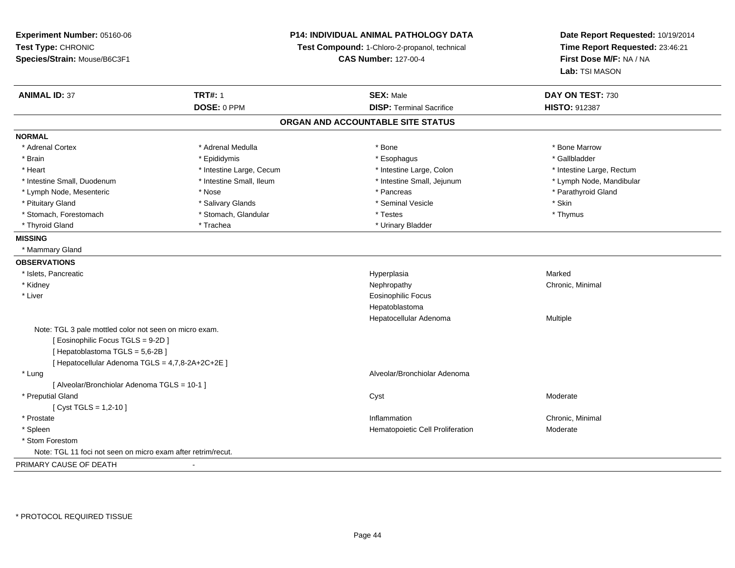**Experiment Number:** 05160-06**Test Type:** CHRONIC **Species/Strain:** Mouse/B6C3F1**P14: INDIVIDUAL ANIMAL PATHOLOGY DATATest Compound:** 1-Chloro-2-propanol, technical **CAS Number:** 127-00-4**Date Report Requested:** 10/19/2014**Time Report Requested:** 23:46:21**First Dose M/F:** NA / NA**Lab:** TSI MASON**ANIMAL ID:** 37**TRT#:** 1 **SEX:** Male **DAY ON TEST:** 730 **DOSE:** 0 PPM **DISP:** Terminal Sacrifice **HISTO:** <sup>912387</sup> **ORGAN AND ACCOUNTABLE SITE STATUSNORMAL**\* Adrenal Cortex \* Adrenal Medulla \* Adrenal Medulla \* Bone \* Bone \* Bone \* Bone \* Bone Marrow \* Gallbladder \* Brain \* Allen the state of the state of the state of the state of the state of the state of the state of the state of the state of the state of the state of the state of the state of the state of the state of the state o \* Heart **\*** Intestine Large, Cecum **\* Intestine Large, Cecum** \* Intestine Large, Colon \* Intestine Large, Rectum \* Intestine Large, Rectum \* Intestine Small, Duodenum \* Intestine Small, Ileum \* Intestine Small, Jejunum \* Lymph Node, Mandibular\* Lymph Node, Mesenteric \* The state of the state of the state of the state of the state of the state of the state of the state of the state of the state of the state of the state of the state of the state of the state of \* Pituitary Gland \* \* \* \* Salivary Glands \* \* \* Salivary Glands \* \* \$eminal Vesicle \* \* \* \* \* \* \$kin \* \* \$kin \* \* Thymus \* Stomach, Forestomach \* Testes \* Stomach, Glandular \* Testes \* Testes \* Testes \* Testes \* Testes \* Testes \* T \* Thyroid Gland \* Trachea \* Trachea \* Trachea \* Urinary Bladder **MISSING** \* Mammary Gland**OBSERVATIONS** \* Islets, Pancreaticc and the control of the control of the control of the control of the control of the control of the control of the control of the control of the control of the control of the control of the control of the control of the co a **Marked**  \* Kidneyy the controller of the controller of the controller of the Nephropathy Chronic, Minimal (Chronic, Minimal  $\mu$  \* Liver Eosinophilic FocusHepatoblastoma Hepatocellular Adenoma Multiple Note: TGL 3 pale mottled color not seen on micro exam.[ Eosinophilic Focus TGLS = 9-2D ][ Hepatoblastoma TGLS = 5,6-2B ][ Hepatocellular Adenoma TGLS = 4,7,8-2A+2C+2E ] \* Lung Alveolar/Bronchiolar Adenoma [ Alveolar/Bronchiolar Adenoma TGLS = 10-1 ] \* Preputial Glandd and the control of the control of the control of the control of the control of the control of the control of the control of the control of the control of the control of the control of the control of the control of the co  $[$  Cyst TGLS = 1,2-10  $]$  \* Prostatee inflammation and the control of the control of the control of the control of the chronic, Minimal of the chronic, Minimal of the chronic of the chronic of the chronic of the chronic of the chronic of the chronic of the c \* SpleenHematopoietic Cell Proliferation Moderate \* Stom Forestom Note: TGL 11 foci not seen on micro exam after retrim/recut.PRIMARY CAUSE OF DEATH-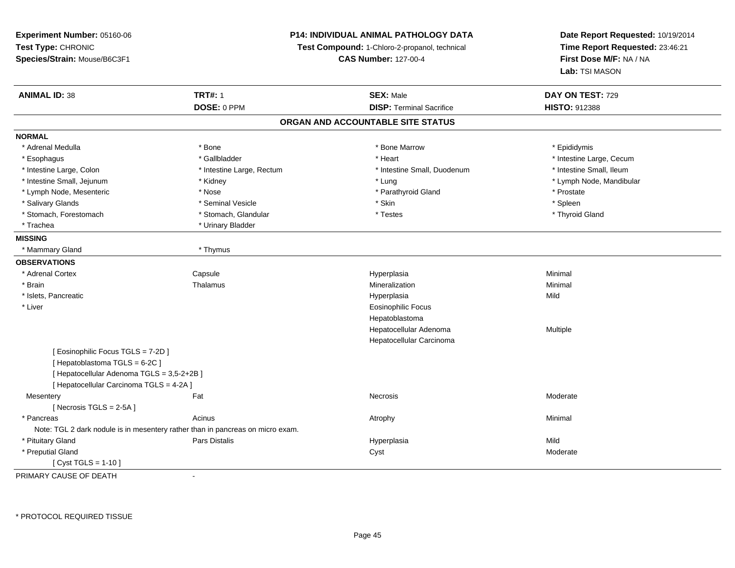**Experiment Number:** 05160-06**Test Type:** CHRONIC **Species/Strain:** Mouse/B6C3F1**P14: INDIVIDUAL ANIMAL PATHOLOGY DATATest Compound:** 1-Chloro-2-propanol, technical **CAS Number:** 127-00-4**Date Report Requested:** 10/19/2014**Time Report Requested:** 23:46:21**First Dose M/F:** NA / NA**Lab:** TSI MASON**ANIMAL ID:** 38**TRT#:** 1 **SEX:** Male **DAY ON TEST:** 729 **DOSE:** 0 PPM**DISP:** Terminal Sacrifice **HISTO:** 912388 **ORGAN AND ACCOUNTABLE SITE STATUSNORMAL**\* Adrenal Medulla \* Adrenal Medulla \* \* The matter of the state of the state of the Marrow \* Bone Marrow \* Adrenal Medulla \* Epididymis \* Epididymis \* Bone Marrow \* Adrenal Medulla \* Epididymis \* Epididymis \* Epididymis \* Epididymis \* Epidi \* Esophagus \* https://www.fragustage.com/web/2019/heart \* Heart \* Heart \* Heart \* Intestine Large, Cecum \* Intestine Large, Cecum \* Gallbladder \* Callbladder \* 11 and 12 and 12 and 12 and 12 and 12 and 12 and 12 and 12 and \* Intestine Small, Ileum \* Intestine Large, Colon \* Intestine Large, Rectum \* Intestine Small, Duodenum \* Intestine Small, Duodenum \* Intestine Small, Jejunum \* Kidney \* Lung \* Lymph Node, Mandibular\* Lymph Node, Mesenteric \* The state \* Nose \* Nose \* Nose \* Prostate \* Prostate \* Prostate \* Prostate \* Prostate \* Spleen \* Salivary Glands \* \* \* Sheen \* Seminal Vesicle \* \* \* Stan \* \* Skin \* \* Skin \* \* Spleen \* \* Spleen \* \* Spleen \* \* Thyroid Gland \* Stomach, Forestomach \* Testes \* Stomach, Glandular \* Testes \* Testes \* Testes \* Testes \* Testes \* Testes \* T \* Trachea \* Urinary Bladder**MISSING** \* Mammary Gland \* Thymus**OBSERVATIONS** \* Adrenal CortexCapsule<br>Thalamus Hyperplasia Minimal \* Brainn and the matter of the Thalamus and the Minimal of the Minimal of the Minimal of the Minimal of the Minimal o<br>Thalamus and the Minimal of the Minimal of the Minimal of the Minimal of the Minimal of the Minimal of the Min \* Islets, Pancreaticc and the control of the control of the control of the control of the control of the control of the control of the control of the control of the control of the control of the control of the control of the control of the co a Mild \* Liver Eosinophilic FocusHepatoblastoma Hepatocellular Adenoma Multiple Hepatocellular Carcinoma[ Eosinophilic Focus TGLS = 7-2D ] $[$  Hepatoblastoma TGLS = 6-2C  $]$ [ Hepatocellular Adenoma TGLS = 3,5-2+2B ][ Hepatocellular Carcinoma TGLS = 4-2A ]**Mesentery** y the control of the set of the control of the Moderate of the Moderate of the Moderate of the Moderate of the Moderate of the Moderate of the Moderate of the Moderate of the Moderate of the Moderate of the Moderate of the  $[$  Necrosis TGLS = 2-5A  $]$  \* Pancreass the control of the control of the control of the control of the control of the control of the control of the control of the control of the control of the control of the control of the control of the control of the contro Note: TGL 2 dark nodule is in mesentery rather than in pancreas on micro exam. \* Pituitary Gland Pars Distalis Hyperplasia Mild \* Preputial Glandd and the control of the control of the control of the control of the control of the control of the control of the control of the control of the control of the control of the control of the control of the control of the co [ Cyst TGLS = 1-10 ]PRIMARY CAUSE OF DEATH-

\* PROTOCOL REQUIRED TISSUE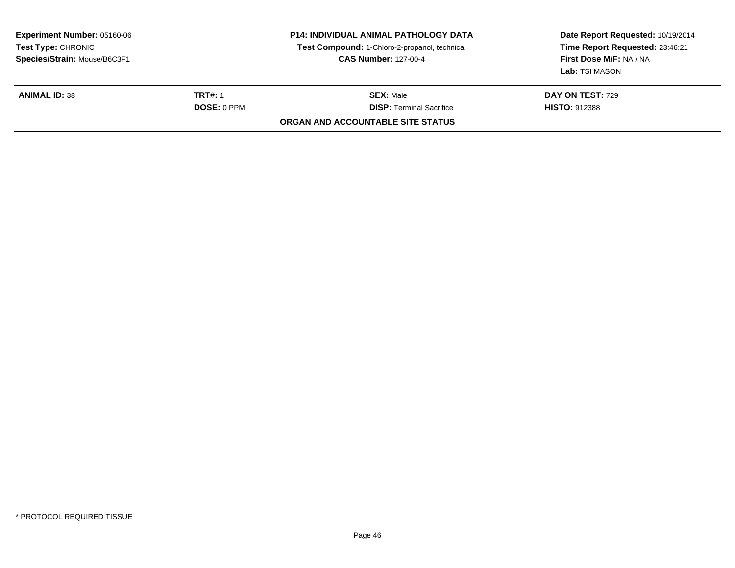| <b>Experiment Number: 05160-06</b><br><b>Test Type: CHRONIC</b><br>Species/Strain: Mouse/B6C3F1 |                                      | <b>P14: INDIVIDUAL ANIMAL PATHOLOGY DATA</b><br>Test Compound: 1-Chloro-2-propanol, technical<br><b>CAS Number: 127-00-4</b> | Date Report Requested: 10/19/2014<br>Time Report Requested: 23:46:21<br>First Dose M/F: NA / NA<br><b>Lab:</b> TSI MASON |
|-------------------------------------------------------------------------------------------------|--------------------------------------|------------------------------------------------------------------------------------------------------------------------------|--------------------------------------------------------------------------------------------------------------------------|
| <b>ANIMAL ID: 38</b>                                                                            | <b>TRT#: 1</b><br><b>DOSE: 0 PPM</b> | <b>SEX: Male</b><br><b>DISP: Terminal Sacrifice</b>                                                                          | <b>DAY ON TEST: 729</b><br><b>HISTO: 912388</b>                                                                          |
|                                                                                                 |                                      | ORGAN AND ACCOUNTABLE SITE STATUS                                                                                            |                                                                                                                          |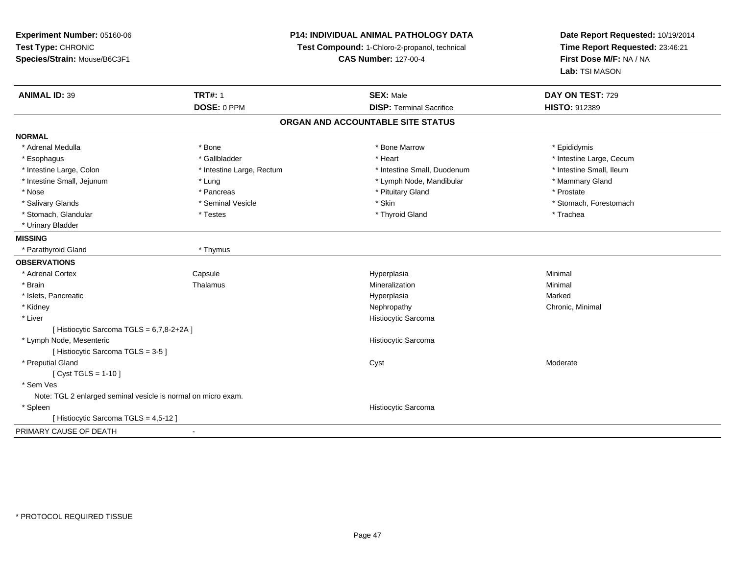**Experiment Number:** 05160-06**Test Type:** CHRONIC **Species/Strain:** Mouse/B6C3F1**P14: INDIVIDUAL ANIMAL PATHOLOGY DATATest Compound:** 1-Chloro-2-propanol, technical **CAS Number:** 127-00-4**Date Report Requested:** 10/19/2014**Time Report Requested:** 23:46:21**First Dose M/F:** NA / NA**Lab:** TSI MASON**ANIMAL ID:** 39 **TRT#:** <sup>1</sup> **SEX:** Male **DAY ON TEST:** <sup>729</sup> **DOSE:** 0 PPM**DISP:** Terminal Sacrifice **HISTO:** 912389 **ORGAN AND ACCOUNTABLE SITE STATUSNORMAL**\* Adrenal Medulla \* Adrenal Medulla \* \* The matter of the state of the state of the Marrow \* Bone Marrow \* Adrenal Medulla \* Epididymis \* Epididymis \* Bone Marrow \* Adrenal Medulla \* Epididymis \* Epididymis \* Epididymis \* Epididymis \* Epidi \* Esophagus \* https://www.fragustage.com/web/2019/heart \* Heart \* Heart \* Heart \* Intestine Large, Cecum \* Intestine Large, Cecum \* Gallbladder \* Callbladder \* 11 and 12 and 12 and 12 and 12 and 12 and 12 and 12 and 12 and \* Intestine Small, Ileum \* Intestine Large, Colon \* Intestine Large, Rectum \* Intestine Small, Duodenum \* Intestine Small, Duodenum \* Intestine Small, Jejunum \* The manner of the state of the state of the state of the state of the state of the state of the state of the state of the state of the state of the state of the state of the state of the state \* Nose \* Pancreas \* Pituitary Gland \* Prostate\* Salivary Glands \* The state of the seminal Vesicle \* Skin \* Skin \* Skin \* Stomach, Forestomach, Forestomach, Forestomach, Forestomach, Forestomach, Forestomach, Forestomach, Forestomach, Forestomach, Forestomach, Foresto \* Stomach, Glandular \* Trachea \* Testes \* Thyroid Gland \* Thyroid Gland \* The store \* Trachea \* Trachea \* Urinary Bladder**MISSING** \* Parathyroid Gland \* Thymus**OBSERVATIONS** \* Adrenal CortexCapsule<br>Thalamus Hyperplasia Minimal \* Brainn and the matter of the Thalamus and the Minimal of the Minimal of the Minimal of the Minimal of the Minimal o<br>Thalamus and the Minimal of the Minimal of the Minimal of the Minimal of the Minimal of the Minimal of the Min \* Islets, Pancreaticc and the control of the control of the control of the control of the control of the control of the control of the control of the control of the control of the control of the control of the control of the control of the co a **Marked**  \* Kidneyy the controller of the controller of the controller of the Nephropathy Chronic, Minimal (Chronic, Minimal  $\mu$  \* Liver Histiocytic Sarcoma[ Histiocytic Sarcoma TGLS = 6,7,8-2+2A ] \* Lymph Node, Mesenteric Histiocytic Sarcoma[ Histiocytic Sarcoma TGLS = 3-5 ] \* Preputial Glandd and the control of the control of the control of the control of the control of the control of the control of the control of the control of the control of the control of the control of the control of the control of the co [ Cyst TGLS = 1-10 ] \* Sem Ves Note: TGL 2 enlarged seminal vesicle is normal on micro exam. \* Spleen Histiocytic Sarcoma [ Histiocytic Sarcoma TGLS = 4,5-12 ]PRIMARY CAUSE OF DEATH-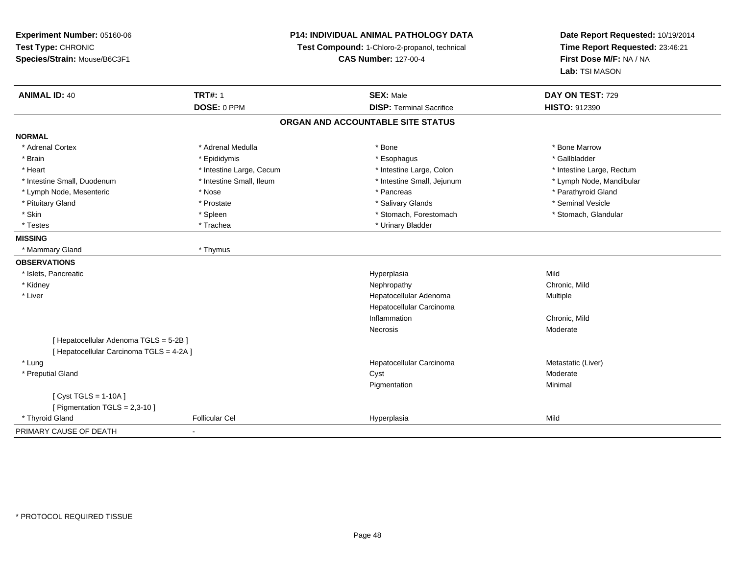| Experiment Number: 05160-06              |                          | P14: INDIVIDUAL ANIMAL PATHOLOGY DATA         | Date Report Requested: 10/19/2014<br>Time Report Requested: 23:46:21<br>First Dose M/F: NA / NA |
|------------------------------------------|--------------------------|-----------------------------------------------|-------------------------------------------------------------------------------------------------|
| Test Type: CHRONIC                       |                          | Test Compound: 1-Chloro-2-propanol, technical |                                                                                                 |
| Species/Strain: Mouse/B6C3F1             |                          | <b>CAS Number: 127-00-4</b>                   |                                                                                                 |
|                                          |                          |                                               | Lab: TSI MASON                                                                                  |
| <b>ANIMAL ID: 40</b>                     | <b>TRT#: 1</b>           | <b>SEX: Male</b>                              | DAY ON TEST: 729                                                                                |
|                                          | DOSE: 0 PPM              | <b>DISP: Terminal Sacrifice</b>               | <b>HISTO: 912390</b>                                                                            |
|                                          |                          | ORGAN AND ACCOUNTABLE SITE STATUS             |                                                                                                 |
| <b>NORMAL</b>                            |                          |                                               |                                                                                                 |
| * Adrenal Cortex                         | * Adrenal Medulla        | * Bone                                        | * Bone Marrow                                                                                   |
| * Brain                                  | * Epididymis             | * Esophagus                                   | * Gallbladder                                                                                   |
| * Heart                                  | * Intestine Large, Cecum | * Intestine Large, Colon                      | * Intestine Large, Rectum                                                                       |
| * Intestine Small, Duodenum              | * Intestine Small, Ileum | * Intestine Small, Jejunum                    | * Lymph Node, Mandibular                                                                        |
| * Lymph Node, Mesenteric                 | * Nose                   | * Pancreas                                    | * Parathyroid Gland                                                                             |
| * Pituitary Gland                        | * Prostate               | * Salivary Glands                             | * Seminal Vesicle                                                                               |
| * Skin                                   | $^*$ Spleen              | * Stomach, Forestomach                        | * Stomach, Glandular                                                                            |
| $^\star$ Testes                          | * Trachea                | * Urinary Bladder                             |                                                                                                 |
| <b>MISSING</b>                           |                          |                                               |                                                                                                 |
| * Mammary Gland                          | * Thymus                 |                                               |                                                                                                 |
| <b>OBSERVATIONS</b>                      |                          |                                               |                                                                                                 |
| * Islets, Pancreatic                     |                          | Hyperplasia                                   | Mild                                                                                            |
| * Kidney                                 |                          | Nephropathy                                   | Chronic, Mild                                                                                   |
| * Liver                                  |                          | Hepatocellular Adenoma                        | Multiple                                                                                        |
|                                          |                          | Hepatocellular Carcinoma                      |                                                                                                 |
|                                          |                          | Inflammation                                  | Chronic, Mild                                                                                   |
|                                          |                          | Necrosis                                      | Moderate                                                                                        |
| [ Hepatocellular Adenoma TGLS = 5-2B ]   |                          |                                               |                                                                                                 |
| [ Hepatocellular Carcinoma TGLS = 4-2A ] |                          |                                               |                                                                                                 |
| * Lung                                   |                          | Hepatocellular Carcinoma                      | Metastatic (Liver)                                                                              |
| * Preputial Gland                        |                          | Cyst                                          | Moderate                                                                                        |
|                                          |                          | Pigmentation                                  | Minimal                                                                                         |
| [Cyst TGLS = $1-10A$ ]                   |                          |                                               |                                                                                                 |
| [ Pigmentation TGLS = 2,3-10 ]           |                          |                                               |                                                                                                 |
| * Thyroid Gland                          | <b>Follicular Cel</b>    | Hyperplasia                                   | Mild                                                                                            |
| PRIMARY CAUSE OF DEATH                   |                          |                                               |                                                                                                 |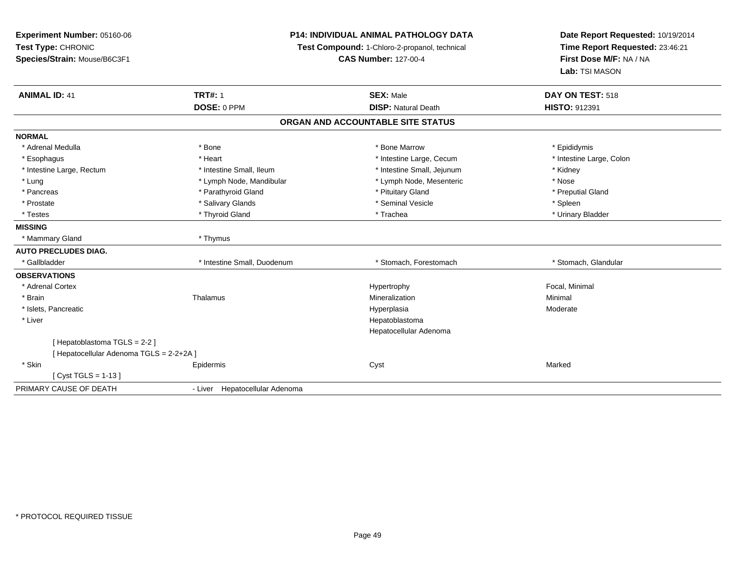**Experiment Number:** 05160-06**Test Type:** CHRONIC **Species/Strain:** Mouse/B6C3F1**P14: INDIVIDUAL ANIMAL PATHOLOGY DATATest Compound:** 1-Chloro-2-propanol, technical **CAS Number:** 127-00-4**Date Report Requested:** 10/19/2014**Time Report Requested:** 23:46:21**First Dose M/F:** NA / NA**Lab:** TSI MASON**ANIMAL ID:** 41**TRT#:** 1 **SEX:** Male **DAY ON TEST:** 518 **DOSE:** 0 PPM**DISP:** Natural Death **HISTO:** 912391 **ORGAN AND ACCOUNTABLE SITE STATUSNORMAL**\* Adrenal Medulla \* Adrenal Medulla \* \* The matter of the state of the state of the Marrow \* Bone Marrow \* Adrenal Medulla \* Epididymis \* Epididymis \* Bone Marrow \* Adrenal Medulla \* Epididymis \* Epididymis \* Epididymis \* Epididymis \* Epidi \* Intestine Large, Colon \* Esophagus \* **Example 2008** \* Intestine Large, Cecum \* Intestine Large, Cecum \* Intestine Large, Cecum \* Intestine Large, Rectum \* Thestine Small, Ileum \* Intestine Small, Ileum \* Intestine Small, Jejunum \* \* Kidney \* Lung \* Lymph Node, Mandibular \* Nose \* Lymph Node, Mesenteric \* Nose \* Nose \* Preputial Gland \* Pancreas \* \* Parathyroid Gland \* \* Parathyroid Gland \* \* Pituitary Gland \* \* Preputial Gland \* \* Preputial Gland \* Prostate \* \* Seminal Vesicle \* \* Seminal Vesicle \* \* Seminal Vesicle \* \* Spleen \* \* Spleen \* \* Spleen \* \* Spleen \* \* Spleen \* \* Spleen \* \* Spleen \* \* Spleen \* \* Spleen \* \* Spleen \* \* Spleen \* \* Spleen \* \* Spleen \* \* Sple \* Urinary Bladder \* Testes \* \* Thyroid Gland \* \* Thyroid Gland \* \* Trachea \* \* Trachea \* \* \* Trachea \* Urinary Bladder \* \* Urinary Bladder \* \* Urinary Bladder \* \* Urinary Bladder \* \* Urinary Bladder \* \* Urinary Bladder \* \* Urinary Bladder \* **MISSING** \* Mammary Gland \* Thymus**AUTO PRECLUDES DIAG.**\* Gallbladder **Franch Channel Small, Duodenum** 1997 (Stomach, Forestomach \* Stomach, The Stomach, Glandular **OBSERVATIONS** \* Adrenal Cortex Hypertrophy Focal, Minimal \* Brainn and the matter of the Thalamus and the Minimal of the Minimal of the Minimal of the Minimal of the Minimal o<br>Thalamus and the Minimal of the Minimal of the Minimal of the Minimal of the Minimal of the Minimal of the Min \* Islets, Pancreaticc and the control of the control of the control of the control of the control of the control of the control of the control of the control of the control of the control of the control of the control of the control of the co Hyperplasia Moderate \* Liver Hepatoblastoma Hepatocellular Adenoma[ Hepatoblastoma TGLS = 2-2 ][ Hepatocellular Adenoma TGLS = 2-2+2A ] \* Skinn and the extent of the extended of the extended of the extended of the extended of the extended of the extend<br>In the extended of the extended of the extended of the extended of the extended of the extended of the extended [ Cyst TGLS = 1-13 ]PRIMARY CAUSE OF DEATH- Liver Hepatocellular Adenoma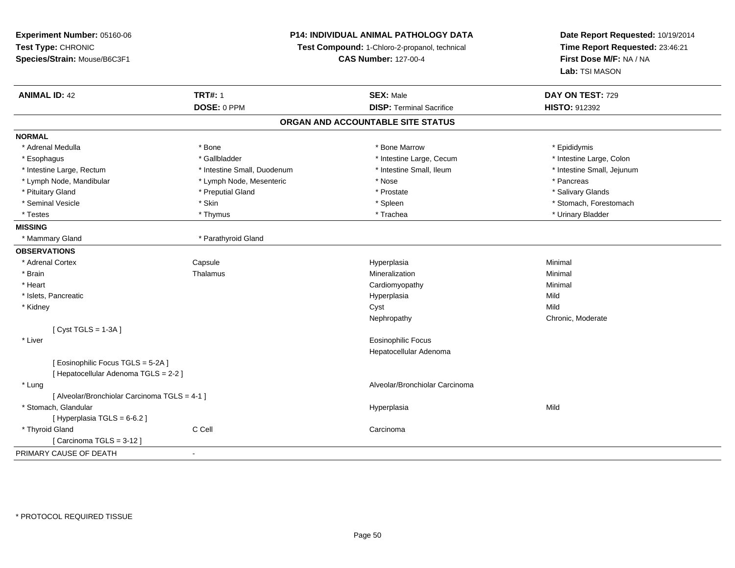| Experiment Number: 05160-06                   | P14: INDIVIDUAL ANIMAL PATHOLOGY DATA<br>Test Compound: 1-Chloro-2-propanol, technical<br><b>CAS Number: 127-00-4</b> |                                   | Date Report Requested: 10/19/2014                          |  |
|-----------------------------------------------|-----------------------------------------------------------------------------------------------------------------------|-----------------------------------|------------------------------------------------------------|--|
| Test Type: CHRONIC                            |                                                                                                                       |                                   | Time Report Requested: 23:46:21<br>First Dose M/F: NA / NA |  |
| Species/Strain: Mouse/B6C3F1                  |                                                                                                                       |                                   |                                                            |  |
|                                               |                                                                                                                       |                                   | Lab: TSI MASON                                             |  |
| <b>ANIMAL ID: 42</b>                          | <b>TRT#: 1</b>                                                                                                        | <b>SEX: Male</b>                  | DAY ON TEST: 729                                           |  |
|                                               | DOSE: 0 PPM                                                                                                           | <b>DISP: Terminal Sacrifice</b>   | HISTO: 912392                                              |  |
|                                               |                                                                                                                       | ORGAN AND ACCOUNTABLE SITE STATUS |                                                            |  |
| <b>NORMAL</b>                                 |                                                                                                                       |                                   |                                                            |  |
| * Adrenal Medulla                             | * Bone                                                                                                                | * Bone Marrow                     | * Epididymis                                               |  |
| * Esophagus                                   | * Gallbladder                                                                                                         | * Intestine Large, Cecum          | * Intestine Large, Colon                                   |  |
| * Intestine Large, Rectum                     | * Intestine Small, Duodenum                                                                                           | * Intestine Small, Ileum          | * Intestine Small, Jejunum                                 |  |
| * Lymph Node, Mandibular                      | * Lymph Node, Mesenteric                                                                                              | * Nose                            | * Pancreas                                                 |  |
| * Pituitary Gland                             | * Preputial Gland                                                                                                     | * Prostate                        | * Salivary Glands                                          |  |
| * Seminal Vesicle                             | * Skin                                                                                                                | * Spleen                          | * Stomach, Forestomach                                     |  |
| * Testes                                      | * Thymus                                                                                                              | * Trachea                         | * Urinary Bladder                                          |  |
| <b>MISSING</b>                                |                                                                                                                       |                                   |                                                            |  |
| * Mammary Gland                               | * Parathyroid Gland                                                                                                   |                                   |                                                            |  |
| <b>OBSERVATIONS</b>                           |                                                                                                                       |                                   |                                                            |  |
| * Adrenal Cortex                              | Capsule                                                                                                               | Hyperplasia                       | Minimal                                                    |  |
| * Brain                                       | Thalamus                                                                                                              | Mineralization                    | Minimal                                                    |  |
| * Heart                                       |                                                                                                                       | Cardiomyopathy                    | Minimal                                                    |  |
| * Islets, Pancreatic                          |                                                                                                                       | Hyperplasia                       | Mild                                                       |  |
| * Kidney                                      |                                                                                                                       | Cyst                              | Mild                                                       |  |
|                                               |                                                                                                                       | Nephropathy                       | Chronic, Moderate                                          |  |
| [Cyst TGLS = $1-3A$ ]                         |                                                                                                                       |                                   |                                                            |  |
| * Liver                                       |                                                                                                                       | <b>Eosinophilic Focus</b>         |                                                            |  |
|                                               |                                                                                                                       | Hepatocellular Adenoma            |                                                            |  |
| [Eosinophilic Focus TGLS = 5-2A]              |                                                                                                                       |                                   |                                                            |  |
| [ Hepatocellular Adenoma TGLS = 2-2 ]         |                                                                                                                       |                                   |                                                            |  |
| * Lung                                        |                                                                                                                       | Alveolar/Bronchiolar Carcinoma    |                                                            |  |
| [ Alveolar/Bronchiolar Carcinoma TGLS = 4-1 ] |                                                                                                                       |                                   |                                                            |  |
| * Stomach, Glandular                          |                                                                                                                       | Hyperplasia                       | Mild                                                       |  |
| [ Hyperplasia TGLS = 6-6.2 ]                  |                                                                                                                       |                                   |                                                            |  |
| * Thyroid Gland                               | C Cell                                                                                                                | Carcinoma                         |                                                            |  |
| [Carcinoma TGLS = 3-12]                       |                                                                                                                       |                                   |                                                            |  |
| PRIMARY CAUSE OF DEATH                        | $\blacksquare$                                                                                                        |                                   |                                                            |  |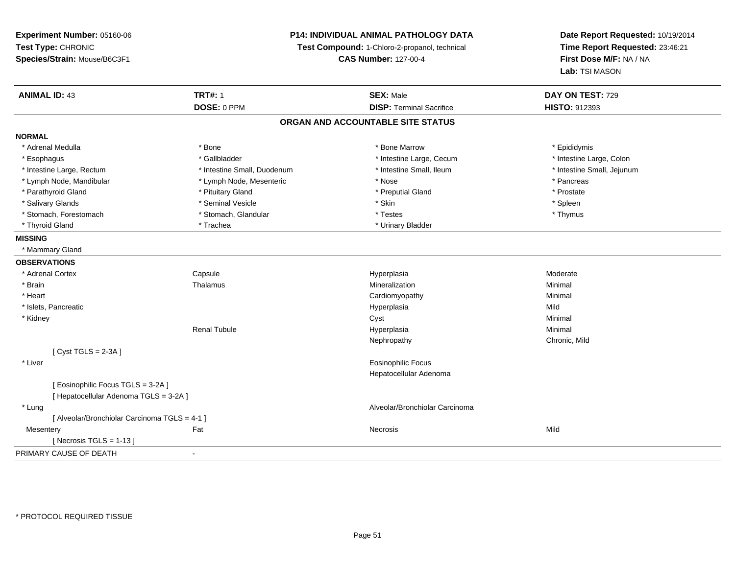**Experiment Number:** 05160-06**Test Type:** CHRONIC **Species/Strain:** Mouse/B6C3F1**P14: INDIVIDUAL ANIMAL PATHOLOGY DATATest Compound:** 1-Chloro-2-propanol, technical **CAS Number:** 127-00-4**Date Report Requested:** 10/19/2014**Time Report Requested:** 23:46:21**First Dose M/F:** NA / NA**Lab:** TSI MASON**ANIMAL ID:** 43**TRT#:** 1 **SEX:** Male **DAY ON TEST:** 729 **DOSE:** 0 PPM**DISP:** Terminal Sacrifice **HISTO:** 912393 **ORGAN AND ACCOUNTABLE SITE STATUSNORMAL**\* Adrenal Medulla \* Adrenal Medulla \* \* The matter of the state of the state of the Marrow \* Bone Marrow \* Adrenal Medulla \* Epididymis \* Epididymis \* Bone Marrow \* Adrenal Medulla \* Epididymis \* Epididymis \* Epididymis \* Epididymis \* Epidi \* Intestine Large, Colon \* Esophagus \* Intestine Large, Cecum \* Callbladder \* 10 \* Intestine Large, Cecum \* Intestine Large, Cecum \* \* Intestine Large, Rectum \* Thestine Small, Duodenum \* Number of the small, Ileum \* Intestine Small, Jejunum \* Intestine Small, Jejunum \* Lymph Node, Mandibular \* The state of the Mose \* Pancreas \* Pancreas \* Pancreas \* Pancreas \* Pancreas \* Pancreas \* Prostate \* Parathyroid Gland \* **All and \* Pituitary Gland \* Prostate and \* Preputial Gland** \* Preputial Gland \* Spleen \* Salivary Glands \* \* \* Sheen \* Seminal Vesicle \* \* \* Stan \* \* Skin \* \* Skin \* \* Spleen \* \* Spleen \* \* Spleen \* \* Thymus \* Stomach, Forestomach \* Testes \* Stomach, Glandular \* Testes \* Testes \* Testes \* Testes \* Testes \* Testes \* T \* Thyroid Gland \* Trachea \* Trachea \* Trachea \* Urinary Bladder **MISSING** \* Mammary Gland**OBSERVATIONS** \* Adrenal CortexCapsule<br>Thalamus e and the Hyperplasia Moderate Moderate and the Hyperplasia method of the Moderate Moderate  $\mathsf{M}$  \* Brainn and the matter of the Thalamus and the Minimal of the Minimal of the Minimal of the Minimal of the Minimal o<br>Thalamus and the Minimal of the Minimal of the Minimal of the Minimal of the Minimal of the Minimal of the Min \* Heart Cardiomyopathy Minimal \* Islets, Pancreaticc and the control of the control of the control of the control of the control of the control of the control of the control of the control of the control of the control of the control of the control of the control of the co a Mild \* Kidneyy the control of the control of the control of the control of the control of the control of the control of the control of the control of the control of the control of the control of the control of the control of the contro Renal Tubule Hyperplasia Minimal Nephropathy Chronic, Mild[ Cyst TGLS = 2-3A ] \* Liver Eosinophilic Focus Hepatocellular Adenoma[ Eosinophilic Focus TGLS = 3-2A ][ Hepatocellular Adenoma TGLS = 3-2A ] \* Lung Alveolar/Bronchiolar Carcinoma [ Alveolar/Bronchiolar Carcinoma TGLS = 4-1 ]**Mesentery** y the contract of the contract of the contract of the contract of the contract of the contract of the contract of the contract of the contract of the contract of the contract of the contract of the contract of the contract  $[$  Necrosis TGLS = 1-13  $]$ PRIMARY CAUSE OF DEATH-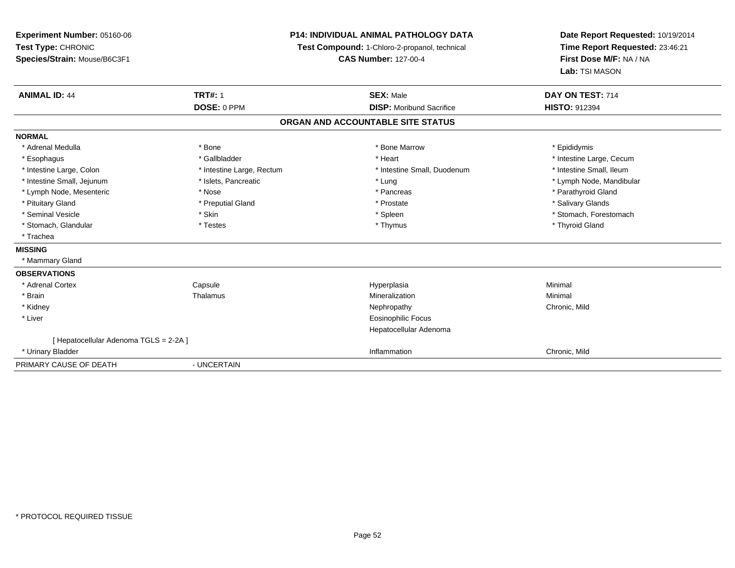**Experiment Number:** 05160-06**Test Type:** CHRONIC **Species/Strain:** Mouse/B6C3F1**P14: INDIVIDUAL ANIMAL PATHOLOGY DATATest Compound:** 1-Chloro-2-propanol, technical **CAS Number:** 127-00-4**Date Report Requested:** 10/19/2014**Time Report Requested:** 23:46:21**First Dose M/F:** NA / NA**Lab:** TSI MASON**ANIMAL ID:** 44**TRT#:** 1 **SEX:** Male **DAY ON TEST:** 714 **DOSE:** 0 PPM **DISP:** Moribund Sacrifice **HISTO:** <sup>912394</sup> **ORGAN AND ACCOUNTABLE SITE STATUSNORMAL**\* Adrenal Medulla \* Adrenal Medulla \* \* The matter of the state of the state of the Marrow \* Bone Marrow \* Adrenal Medulla \* Epididymis \* Epididymis \* Bone Marrow \* Adrenal Medulla \* Epididymis \* Epididymis \* Epididymis \* Epididymis \* Epidi \* Esophagus \* https://www.fragustage.com/web/2019/heart \* Heart \* Heart \* Heart \* Intestine Large, Cecum \* Intestine Large, Cecum \* Gallbladder \* Callbladder \* 11 and 12 and 12 and 12 and 12 and 12 and 12 and 12 and 12 and \* Intestine Small, Ileum \* Intestine Large, Colon \* Intestine Large, Rectum \* Intestine Small, Duodenum \* Intestine Small, Duodenum \* Intestine Small, Jejunum \* \* \* https://www.fat.com/setter/educition/setter/filesophysics.com/setter/filesophysics.com/setter/filesophysics.com/setter/filesophysics.com/setter/filesophysics.com/setter/filesophysics.com/se \* Lymph Node, Mesenteric \* The state of the state of the state of the state of the state of the state of the state of the state of the state of the state of the state of the state of the state of the state of the state of \* Pituitary Gland \* \* Then the state \* Preputial Gland \* Prosection \* Prostate \* \* Salivary Glands \* Salivary Glands \* Salivary Glands \* Salivary Glands \* Salivary Glands \* Salivary Glands \* Salivary Glands \* Salivary Glan \* Seminal Vesicle \* The state of the set of the set of the set of the set of the set of the set of the set of the set of the set of the set of the set of the set of the set of the set of the set of the set of the set of th \* Stomach, Glandular \* Thestes \* Testes \* Thymus \* Thymus \* Thymus \* Thymus \* Thymus \* Thyroid Gland \* Trachea**MISSING** \* Mammary Gland**OBSERVATIONS** \* Adrenal Cortex Capsule Hyperplasia Minimal \* Brainn and the matter of the Thalamus and the Minimal of the Minimal of the Minimal of the Minimal of the Minimal o<br>Thalamus and the Minimal of the Minimal of the Minimal of the Minimal of the Minimal of the Minimal of the Min \* Kidneyy the controller of the controller of the controller of the controller of the controller of the chronic, Mild \* Liver Eosinophilic Focus Hepatocellular Adenoma[ Hepatocellular Adenoma TGLS = 2-2A ] \* Urinary Bladderr and the control of the control of the control of the control of the control of the control of the control of Inflammation **Chronic, Mild** PRIMARY CAUSE OF DEATH- UNCERTAIN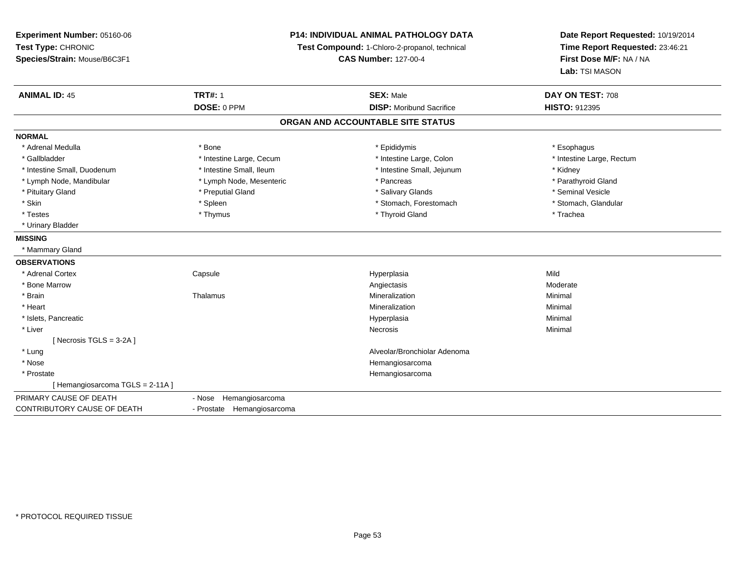| <b>Experiment Number: 05160-06</b> | <b>P14: INDIVIDUAL ANIMAL PATHOLOGY DATA</b><br>Test Compound: 1-Chloro-2-propanol, technical |                                   | Date Report Requested: 10/19/2014<br>Time Report Requested: 23:46:21 |  |
|------------------------------------|-----------------------------------------------------------------------------------------------|-----------------------------------|----------------------------------------------------------------------|--|
| Test Type: CHRONIC                 |                                                                                               |                                   |                                                                      |  |
| Species/Strain: Mouse/B6C3F1       |                                                                                               | <b>CAS Number: 127-00-4</b>       | First Dose M/F: NA / NA                                              |  |
|                                    |                                                                                               |                                   | Lab: TSI MASON                                                       |  |
| <b>ANIMAL ID: 45</b>               | <b>TRT#: 1</b>                                                                                | <b>SEX: Male</b>                  | DAY ON TEST: 708                                                     |  |
|                                    | DOSE: 0 PPM                                                                                   | <b>DISP:</b> Moribund Sacrifice   | <b>HISTO: 912395</b>                                                 |  |
|                                    |                                                                                               | ORGAN AND ACCOUNTABLE SITE STATUS |                                                                      |  |
| <b>NORMAL</b>                      |                                                                                               |                                   |                                                                      |  |
| * Adrenal Medulla                  | * Bone                                                                                        | * Epididymis                      | * Esophagus                                                          |  |
| * Gallbladder                      | * Intestine Large, Cecum                                                                      | * Intestine Large, Colon          | * Intestine Large, Rectum                                            |  |
| * Intestine Small, Duodenum        | * Intestine Small, Ileum                                                                      | * Intestine Small, Jejunum        | * Kidney                                                             |  |
| * Lymph Node, Mandibular           | * Lymph Node, Mesenteric                                                                      | * Pancreas                        | * Parathyroid Gland                                                  |  |
| * Pituitary Gland                  | * Preputial Gland                                                                             | * Salivary Glands                 | * Seminal Vesicle                                                    |  |
| * Skin                             | * Spleen                                                                                      | * Stomach, Forestomach            | * Stomach, Glandular                                                 |  |
| * Testes                           | * Thymus                                                                                      | * Thyroid Gland                   | * Trachea                                                            |  |
| * Urinary Bladder                  |                                                                                               |                                   |                                                                      |  |
| <b>MISSING</b>                     |                                                                                               |                                   |                                                                      |  |
| * Mammary Gland                    |                                                                                               |                                   |                                                                      |  |
| <b>OBSERVATIONS</b>                |                                                                                               |                                   |                                                                      |  |
| * Adrenal Cortex                   | Capsule                                                                                       | Hyperplasia                       | Mild                                                                 |  |
| * Bone Marrow                      |                                                                                               | Angiectasis                       | Moderate                                                             |  |
| * Brain                            | Thalamus                                                                                      | Mineralization                    | Minimal                                                              |  |
| * Heart                            |                                                                                               | Mineralization                    | Minimal                                                              |  |
| * Islets, Pancreatic               |                                                                                               | Hyperplasia                       | Minimal                                                              |  |
| * Liver                            |                                                                                               | Necrosis                          | Minimal                                                              |  |
| [ Necrosis $TGLS = 3-2A$ ]         |                                                                                               |                                   |                                                                      |  |
| * Lung                             |                                                                                               | Alveolar/Bronchiolar Adenoma      |                                                                      |  |
| * Nose                             |                                                                                               | Hemangiosarcoma                   |                                                                      |  |
| * Prostate                         |                                                                                               | Hemangiosarcoma                   |                                                                      |  |
| [Hemangiosarcoma TGLS = 2-11A]     |                                                                                               |                                   |                                                                      |  |
| PRIMARY CAUSE OF DEATH             | Hemangiosarcoma<br>- Nose                                                                     |                                   |                                                                      |  |
| CONTRIBUTORY CAUSE OF DEATH        | - Prostate Hemangiosarcoma                                                                    |                                   |                                                                      |  |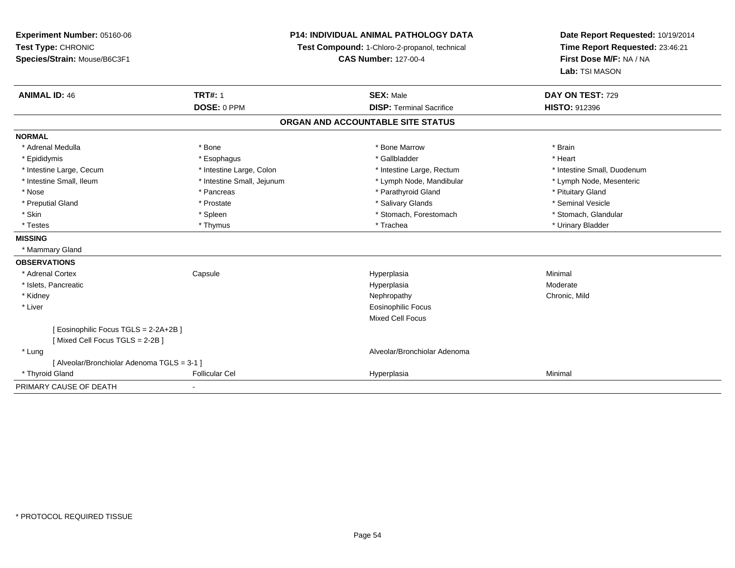| Experiment Number: 05160-06                 | <b>P14: INDIVIDUAL ANIMAL PATHOLOGY DATA</b> |                                               | Date Report Requested: 10/19/2014 |
|---------------------------------------------|----------------------------------------------|-----------------------------------------------|-----------------------------------|
| Test Type: CHRONIC                          |                                              | Test Compound: 1-Chloro-2-propanol, technical | Time Report Requested: 23:46:21   |
| Species/Strain: Mouse/B6C3F1                |                                              | <b>CAS Number: 127-00-4</b>                   | First Dose M/F: NA / NA           |
|                                             |                                              |                                               | Lab: TSI MASON                    |
| <b>ANIMAL ID: 46</b>                        | <b>TRT#: 1</b>                               | <b>SEX: Male</b>                              | DAY ON TEST: 729                  |
|                                             | DOSE: 0 PPM                                  | <b>DISP: Terminal Sacrifice</b>               | <b>HISTO: 912396</b>              |
|                                             |                                              | ORGAN AND ACCOUNTABLE SITE STATUS             |                                   |
| <b>NORMAL</b>                               |                                              |                                               |                                   |
| * Adrenal Medulla                           | * Bone                                       | * Bone Marrow                                 | * Brain                           |
| * Epididymis                                | * Esophagus                                  | * Gallbladder                                 | * Heart                           |
| * Intestine Large, Cecum                    | * Intestine Large, Colon                     | * Intestine Large, Rectum                     | * Intestine Small, Duodenum       |
| * Intestine Small, Ileum                    | * Intestine Small, Jejunum                   | * Lymph Node, Mandibular                      | * Lymph Node, Mesenteric          |
| * Nose                                      | * Pancreas                                   | * Parathyroid Gland                           | * Pituitary Gland                 |
| * Preputial Gland                           | * Prostate                                   | * Salivary Glands                             | * Seminal Vesicle                 |
| * Skin                                      | * Spleen                                     | * Stomach, Forestomach                        | * Stomach, Glandular              |
| * Testes                                    | * Thymus                                     | * Trachea                                     | * Urinary Bladder                 |
| <b>MISSING</b>                              |                                              |                                               |                                   |
| * Mammary Gland                             |                                              |                                               |                                   |
| <b>OBSERVATIONS</b>                         |                                              |                                               |                                   |
| * Adrenal Cortex                            | Capsule                                      | Hyperplasia                                   | Minimal                           |
| * Islets, Pancreatic                        |                                              | Hyperplasia                                   | Moderate                          |
| * Kidney                                    |                                              | Nephropathy                                   | Chronic, Mild                     |
| * Liver                                     |                                              | <b>Eosinophilic Focus</b>                     |                                   |
|                                             |                                              | <b>Mixed Cell Focus</b>                       |                                   |
| [ Eosinophilic Focus TGLS = 2-2A+2B ]       |                                              |                                               |                                   |
| [Mixed Cell Focus TGLS = 2-2B ]             |                                              |                                               |                                   |
| * Lung                                      |                                              | Alveolar/Bronchiolar Adenoma                  |                                   |
| [ Alveolar/Bronchiolar Adenoma TGLS = 3-1 ] |                                              |                                               |                                   |
| * Thyroid Gland                             | <b>Follicular Cel</b>                        | Hyperplasia                                   | Minimal                           |
| PRIMARY CAUSE OF DEATH                      |                                              |                                               |                                   |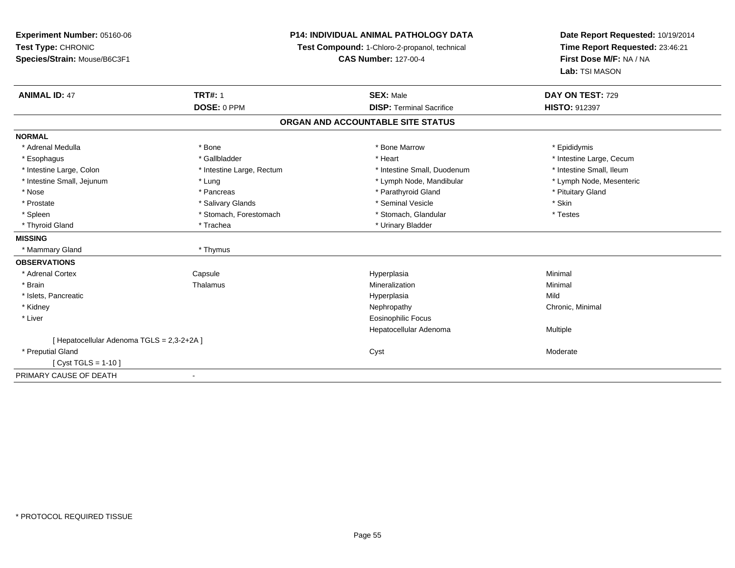**Experiment Number:** 05160-06**Test Type:** CHRONIC **Species/Strain:** Mouse/B6C3F1**P14: INDIVIDUAL ANIMAL PATHOLOGY DATATest Compound:** 1-Chloro-2-propanol, technical **CAS Number:** 127-00-4**Date Report Requested:** 10/19/2014**Time Report Requested:** 23:46:21**First Dose M/F:** NA / NA**Lab:** TSI MASON**ANIMAL ID:** 47**TRT#:** 1 **SEX:** Male **DAY ON TEST:** 729 **DOSE:** 0 PPM**DISP:** Terminal Sacrifice **HISTO:** 912397 **ORGAN AND ACCOUNTABLE SITE STATUSNORMAL**\* Adrenal Medulla \* Adrenal Medulla \* \* The matter of the state of the state of the Marrow \* Bone Marrow \* Adrenal Medulla \* Epididymis \* Epididymis \* Bone Marrow \* Adrenal Medulla \* Epididymis \* Epididymis \* Epididymis \* Epididymis \* Epidi \* Esophagus \* https://www.fragustage.com/web/2019/heart \* Heart \* Heart \* Heart \* Intestine Large, Cecum \* Intestine Large, Cecum \* Gallbladder \* Callbladder \* 11 and 12 and 12 and 12 and 12 and 12 and 12 and 12 and 12 and \* Intestine Small, Ileum \* Intestine Large, Colon \* Intestine Large, Rectum \* Intestine Small, Duodenum \* Intestine Small, Duodenum \* Lymph Node, Mesenteric \* Intestine Small, Jejunum \* The material and the state of the state of the state of the state of the state of the state of the state of the state of the state of the state of the state of the state of the state of the sta \* Nose \* Pancreas \* Pancreas \* Pancreas \* Parathyroid Gland \* Parathyroid Gland \* Pituitary Gland \* Pituitary Gland \* Prostate \* \* Salivary Glands \* \* Salivary Glands \* \* Seminal Vesicle \* \* \* Seminal Yestrich \* \* Skin \* \* Skin \* Testes \* Spleen \* Stomach, Forestomach \* Stomach \* Stomach, Glandular \* Stomach, Glandular \* Thyroid Gland \* Trachea \* Trachea \* Trachea \* Urinary Bladder **MISSING** \* Mammary Gland \* Thymus**OBSERVATIONS** \* Adrenal CortexCapsule<br>Thalamus Hyperplasia Minimal \* Brainn and the matter of the Thalamus and the Minimal of the Minimal of the Minimal of the Minimal of the Minimal o<br>Thalamus and the Minimal of the Minimal of the Minimal of the Minimal of the Minimal of the Minimal of the Min \* Islets, Pancreaticc and the control of the control of the control of the control of the control of the control of the control of the control of the control of the control of the control of the control of the control of the control of the co a Mild \* Kidneyy the controller of the controller of the controller of the Nephropathy Chronic, Minimal (Chronic, Minimal  $\mu$  \* Liver Eosinophilic Focus Hepatocellular Adenoma Multiple [ Hepatocellular Adenoma TGLS = 2,3-2+2A ] \* Preputial Glandd and the control of the control of the control of the control of the control of the control of the control of the control of the control of the control of the control of the control of the control of the control of the co [ Cyst TGLS = 1-10 ]PRIMARY CAUSE OF DEATH-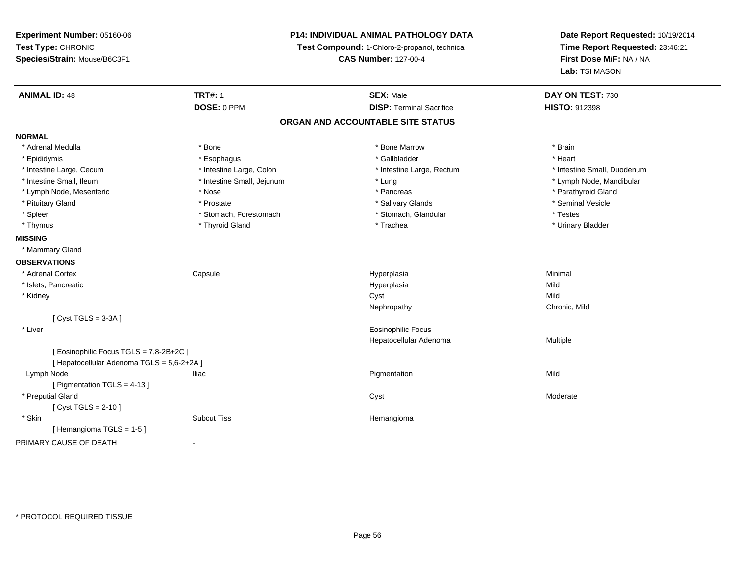**Experiment Number:** 05160-06**Test Type:** CHRONIC **Species/Strain:** Mouse/B6C3F1**P14: INDIVIDUAL ANIMAL PATHOLOGY DATATest Compound:** 1-Chloro-2-propanol, technical **CAS Number:** 127-00-4**Date Report Requested:** 10/19/2014**Time Report Requested:** 23:46:21**First Dose M/F:** NA / NA**Lab:** TSI MASON**ANIMAL ID:** 48**TRT#:** 1 **SEX:** Male **DAY ON TEST:** 730 **DOSE:** 0 PPM**DISP:** Terminal Sacrifice **HISTO:** 912398 **ORGAN AND ACCOUNTABLE SITE STATUSNORMAL**\* Adrenal Medulla \* \* Annual Medulla \* Brain \* Bone \* \* Bone Marrow \* Bone Marrow \* \* Brain \* Brain \* Brain \* Brain \* Brain \* Brain \* Brain \* Brain \* Brain \* Brain \* Brain \* Brain \* Brain \* Brain \* Brain \* Brain \* Brain \* \* Heart \* Epididymis \* Esophagus \* Gallbladder \* Heart\* Intestine Large, Cecum \* Intestine Large, Colon \* Intestine Large, Thestine Large, Rectum \* Intestine Small, Duodenum \* Intestine Small, Ileum \* Intestine Small, Jejunum \* Lung \* Lymph Node, Mandibular\* Lymph Node, Mesenteric \* The state of the state of the state of the state of the state of the state of the state of the state of the state of the state of the state of the state of the state of the state of the state of \* Pituitary Gland \* \* \* \* Prostate \* \* Prostate \* \* Salivary Glands \* \* Salivary Glands \* \* Seminal Vesicle \* Spleen \* Stomach, Forestomach \* Stomach \* Stomach, Slandular \* Testes \* Testes \* Urinary Bladder \* Thymus \* Thyroid Gland \* Trachea \* Urinary Bladder \* **MISSING** \* Mammary Gland**OBSERVATIONS** \* Adrenal Cortex**Capsule**  Hyperplasia Minimal \* Islets, Pancreaticc and the control of the control of the control of the control of the control of the control of the control of the control of the control of the control of the control of the control of the control of the control of the co a Mild \* Kidneyy and the control of the control of the control of the control of the control of the control of the control of the control of the control of the control of the control of the control of the control of the control of the co y Chronic, Mild Nephropathy[ Cyst TGLS = 3-3A ] \* Liver Eosinophilic Focus Hepatocellular Adenoma Multiple [ Eosinophilic Focus TGLS = 7,8-2B+2C ][ Hepatocellular Adenoma TGLS = 5,6-2+2A ] Lymph Node Iliac Pigmentation Mild [ Pigmentation TGLS = 4-13 ] \* Preputial Glandd and the control of the control of the control of the control of the control of the control of the control of the control of the control of the control of the control of the control of the control of the control of the co  $[$  Cyst TGLS = 2-10  $]$  \* Skinn and the subcut Tiss the subset of the Subcut Tiss and the subset of the Hemangioma [ Hemangioma TGLS = 1-5 ] PRIMARY CAUSE OF DEATH-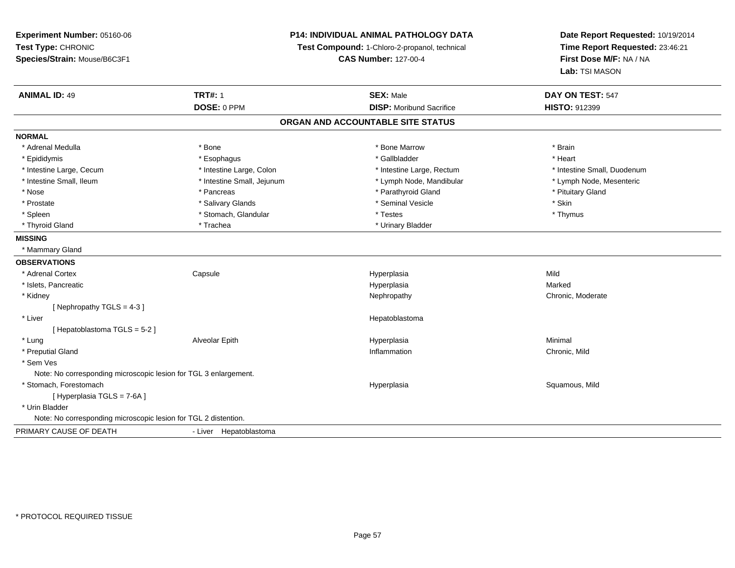| Experiment Number: 05160-06                                      | P14: INDIVIDUAL ANIMAL PATHOLOGY DATA |                                               | Date Report Requested: 10/19/2014                          |
|------------------------------------------------------------------|---------------------------------------|-----------------------------------------------|------------------------------------------------------------|
| Test Type: CHRONIC                                               |                                       | Test Compound: 1-Chloro-2-propanol, technical | Time Report Requested: 23:46:21<br>First Dose M/F: NA / NA |
| Species/Strain: Mouse/B6C3F1                                     |                                       | <b>CAS Number: 127-00-4</b>                   |                                                            |
|                                                                  |                                       |                                               | Lab: TSI MASON                                             |
| <b>ANIMAL ID: 49</b>                                             | <b>TRT#: 1</b>                        | <b>SEX: Male</b>                              | DAY ON TEST: 547                                           |
|                                                                  | DOSE: 0 PPM                           | <b>DISP:</b> Moribund Sacrifice               | <b>HISTO: 912399</b>                                       |
|                                                                  |                                       | ORGAN AND ACCOUNTABLE SITE STATUS             |                                                            |
| <b>NORMAL</b>                                                    |                                       |                                               |                                                            |
| * Adrenal Medulla                                                | * Bone                                | * Bone Marrow                                 | * Brain                                                    |
| * Epididymis                                                     | * Esophagus                           | * Gallbladder                                 | * Heart                                                    |
| * Intestine Large, Cecum                                         | * Intestine Large, Colon              | * Intestine Large, Rectum                     | * Intestine Small, Duodenum                                |
| * Intestine Small, Ileum                                         | * Intestine Small, Jejunum            | * Lymph Node, Mandibular                      | * Lymph Node, Mesenteric                                   |
| * Nose                                                           | * Pancreas                            | * Parathyroid Gland                           | * Pituitary Gland                                          |
| * Prostate                                                       | * Salivary Glands                     | * Seminal Vesicle                             | * Skin                                                     |
| * Spleen                                                         | * Stomach, Glandular                  | $*$ Testes                                    | * Thymus                                                   |
| * Thyroid Gland                                                  | * Trachea                             | * Urinary Bladder                             |                                                            |
| <b>MISSING</b>                                                   |                                       |                                               |                                                            |
| * Mammary Gland                                                  |                                       |                                               |                                                            |
| <b>OBSERVATIONS</b>                                              |                                       |                                               |                                                            |
| * Adrenal Cortex                                                 | Capsule                               | Hyperplasia                                   | Mild                                                       |
| * Islets, Pancreatic                                             |                                       | Hyperplasia                                   | Marked                                                     |
| * Kidney                                                         |                                       | Nephropathy                                   | Chronic, Moderate                                          |
| [ Nephropathy TGLS = $4-3$ ]                                     |                                       |                                               |                                                            |
| * Liver                                                          |                                       | Hepatoblastoma                                |                                                            |
| [Hepatoblastoma TGLS = 5-2]                                      |                                       |                                               |                                                            |
| * Lung                                                           | Alveolar Epith                        | Hyperplasia                                   | Minimal                                                    |
| * Preputial Gland                                                |                                       | Inflammation                                  | Chronic, Mild                                              |
| * Sem Ves                                                        |                                       |                                               |                                                            |
| Note: No corresponding microscopic lesion for TGL 3 enlargement. |                                       |                                               |                                                            |
| * Stomach, Forestomach                                           |                                       | Hyperplasia                                   | Squamous, Mild                                             |
| [ Hyperplasia TGLS = 7-6A]                                       |                                       |                                               |                                                            |
| * Urin Bladder                                                   |                                       |                                               |                                                            |
| Note: No corresponding microscopic lesion for TGL 2 distention.  |                                       |                                               |                                                            |
| PRIMARY CAUSE OF DEATH                                           | - Liver Hepatoblastoma                |                                               |                                                            |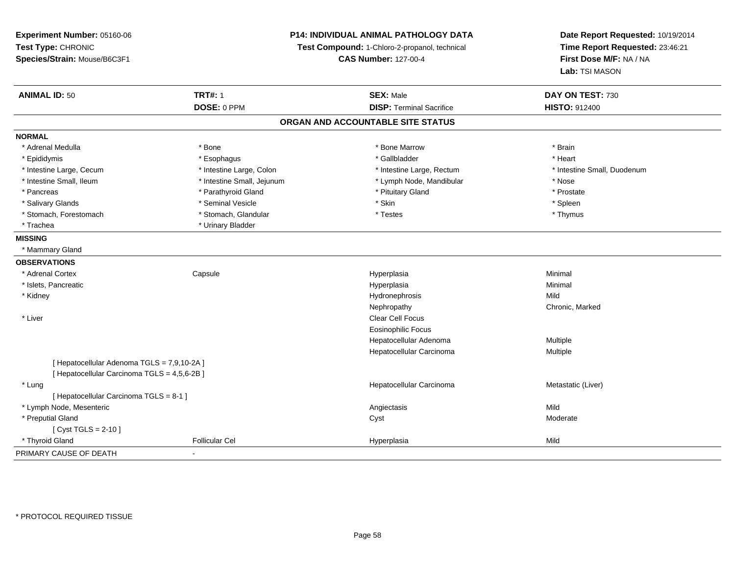| Experiment Number: 05160-06                  |                            | <b>P14: INDIVIDUAL ANIMAL PATHOLOGY DATA</b>  | Date Report Requested: 10/19/2014                          |  |
|----------------------------------------------|----------------------------|-----------------------------------------------|------------------------------------------------------------|--|
| Test Type: CHRONIC                           |                            | Test Compound: 1-Chloro-2-propanol, technical | Time Report Requested: 23:46:21<br>First Dose M/F: NA / NA |  |
| Species/Strain: Mouse/B6C3F1                 |                            | <b>CAS Number: 127-00-4</b>                   |                                                            |  |
|                                              |                            |                                               | Lab: TSI MASON                                             |  |
| <b>ANIMAL ID: 50</b>                         | <b>TRT#: 1</b>             | <b>SEX: Male</b>                              | DAY ON TEST: 730                                           |  |
|                                              | DOSE: 0 PPM                | <b>DISP: Terminal Sacrifice</b>               | <b>HISTO: 912400</b>                                       |  |
|                                              |                            | ORGAN AND ACCOUNTABLE SITE STATUS             |                                                            |  |
| <b>NORMAL</b>                                |                            |                                               |                                                            |  |
| * Adrenal Medulla                            | * Bone                     | * Bone Marrow                                 | * Brain                                                    |  |
| * Epididymis                                 | * Esophagus                | * Gallbladder                                 | * Heart                                                    |  |
| * Intestine Large, Cecum                     | * Intestine Large, Colon   | * Intestine Large, Rectum                     | * Intestine Small, Duodenum                                |  |
| * Intestine Small, Ileum                     | * Intestine Small, Jejunum | * Lymph Node, Mandibular                      | * Nose                                                     |  |
| * Pancreas                                   | * Parathyroid Gland        | * Pituitary Gland                             | * Prostate                                                 |  |
| * Salivary Glands                            | * Seminal Vesicle          | * Skin                                        | * Spleen                                                   |  |
| * Stomach, Forestomach                       | * Stomach, Glandular       | * Testes                                      | * Thymus                                                   |  |
| * Trachea                                    | * Urinary Bladder          |                                               |                                                            |  |
| <b>MISSING</b>                               |                            |                                               |                                                            |  |
| * Mammary Gland                              |                            |                                               |                                                            |  |
| <b>OBSERVATIONS</b>                          |                            |                                               |                                                            |  |
| * Adrenal Cortex                             | Capsule                    | Hyperplasia                                   | Minimal                                                    |  |
| * Islets, Pancreatic                         |                            | Hyperplasia                                   | Minimal                                                    |  |
| * Kidney                                     |                            | Hydronephrosis                                | Mild                                                       |  |
|                                              |                            | Nephropathy                                   | Chronic, Marked                                            |  |
| * Liver                                      |                            | Clear Cell Focus                              |                                                            |  |
|                                              |                            | <b>Eosinophilic Focus</b>                     |                                                            |  |
|                                              |                            | Hepatocellular Adenoma                        | Multiple                                                   |  |
|                                              |                            | Hepatocellular Carcinoma                      | Multiple                                                   |  |
| [Hepatocellular Adenoma TGLS = 7,9,10-2A]    |                            |                                               |                                                            |  |
| [ Hepatocellular Carcinoma TGLS = 4,5,6-2B ] |                            |                                               |                                                            |  |
| * Lung                                       |                            | Hepatocellular Carcinoma                      | Metastatic (Liver)                                         |  |
| [ Hepatocellular Carcinoma TGLS = 8-1 ]      |                            |                                               |                                                            |  |
| * Lymph Node, Mesenteric                     |                            | Angiectasis                                   | Mild                                                       |  |
| * Preputial Gland                            |                            | Cyst                                          | Moderate                                                   |  |
| [ Cyst TGLS = $2-10$ ]                       |                            |                                               |                                                            |  |
| * Thyroid Gland                              | <b>Follicular Cel</b>      | Hyperplasia                                   | Mild                                                       |  |
| PRIMARY CAUSE OF DEATH                       | ÷,                         |                                               |                                                            |  |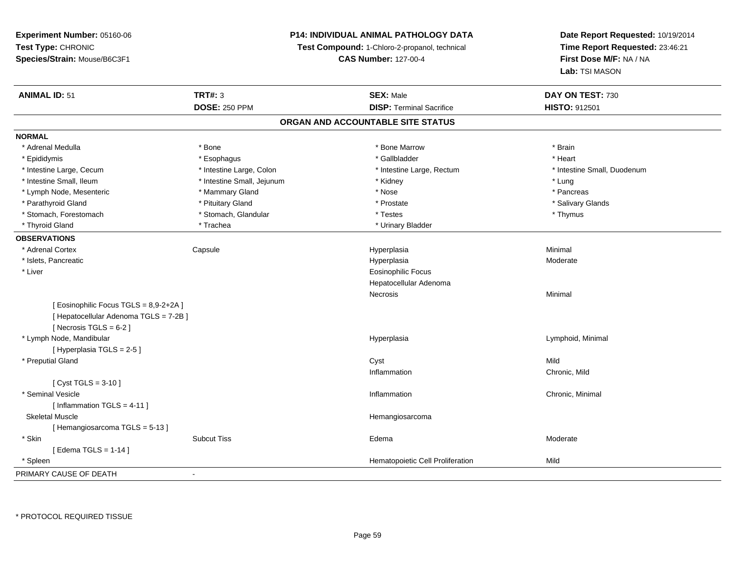**Experiment Number:** 05160-06**Test Type:** CHRONIC**Species/Strain:** Mouse/B6C3F1

## **P14: INDIVIDUAL ANIMAL PATHOLOGY DATA**

**Test Compound:** 1-Chloro-2-propanol, technical

**CAS Number:** 127-00-4

**Date Report Requested:** 10/19/2014**Time Report Requested:** 23:46:21**First Dose M/F:** NA / NA**Lab:** TSI MASON

| <b>ANIMAL ID: 51</b>                   | <b>TRT#: 3</b>             | <b>SEX: Male</b>                 | DAY ON TEST: 730            |  |  |
|----------------------------------------|----------------------------|----------------------------------|-----------------------------|--|--|
|                                        | <b>DOSE: 250 PPM</b>       | <b>DISP: Terminal Sacrifice</b>  | HISTO: 912501               |  |  |
| ORGAN AND ACCOUNTABLE SITE STATUS      |                            |                                  |                             |  |  |
| <b>NORMAL</b>                          |                            |                                  |                             |  |  |
| * Adrenal Medulla                      | * Bone                     | * Bone Marrow                    | * Brain                     |  |  |
| * Epididymis                           | * Esophagus                | * Gallbladder                    | * Heart                     |  |  |
| * Intestine Large, Cecum               | * Intestine Large, Colon   | * Intestine Large, Rectum        | * Intestine Small, Duodenum |  |  |
| * Intestine Small, Ileum               | * Intestine Small, Jejunum | * Kidney                         | * Lung                      |  |  |
| * Lymph Node, Mesenteric               | * Mammary Gland            | * Nose                           | * Pancreas                  |  |  |
| * Parathyroid Gland                    | * Pituitary Gland          | * Prostate                       | * Salivary Glands           |  |  |
| * Stomach, Forestomach                 | * Stomach, Glandular       | * Testes                         | * Thymus                    |  |  |
| * Thyroid Gland                        | * Trachea                  | * Urinary Bladder                |                             |  |  |
| <b>OBSERVATIONS</b>                    |                            |                                  |                             |  |  |
| * Adrenal Cortex                       | Capsule                    | Hyperplasia                      | Minimal                     |  |  |
| * Islets, Pancreatic                   |                            | Hyperplasia                      | Moderate                    |  |  |
| * Liver                                |                            | <b>Eosinophilic Focus</b>        |                             |  |  |
|                                        |                            | Hepatocellular Adenoma           |                             |  |  |
|                                        |                            | Necrosis                         | Minimal                     |  |  |
| [Eosinophilic Focus TGLS = 8,9-2+2A]   |                            |                                  |                             |  |  |
| [ Hepatocellular Adenoma TGLS = 7-2B ] |                            |                                  |                             |  |  |
| [ Necrosis TGLS = $6-2$ ]              |                            |                                  |                             |  |  |
| * Lymph Node, Mandibular               |                            | Hyperplasia                      | Lymphoid, Minimal           |  |  |
| [Hyperplasia TGLS = 2-5]               |                            |                                  |                             |  |  |
| * Preputial Gland                      |                            | Cyst                             | Mild                        |  |  |
|                                        |                            | Inflammation                     | Chronic, Mild               |  |  |
| [ $Cyst TGLS = 3-10$ ]                 |                            |                                  |                             |  |  |
| * Seminal Vesicle                      |                            | Inflammation                     | Chronic, Minimal            |  |  |
| [Inflammation TGLS = $4-11$ ]          |                            |                                  |                             |  |  |
| <b>Skeletal Muscle</b>                 |                            | Hemangiosarcoma                  |                             |  |  |
| [Hemangiosarcoma TGLS = 5-13]          |                            |                                  |                             |  |  |
| * Skin                                 | <b>Subcut Tiss</b>         | Edema                            | Moderate                    |  |  |
| [Edema TGLS = $1-14$ ]                 |                            |                                  |                             |  |  |
| * Spleen                               |                            | Hematopoietic Cell Proliferation | Mild                        |  |  |
| PRIMARY CAUSE OF DEATH                 | $\blacksquare$             |                                  |                             |  |  |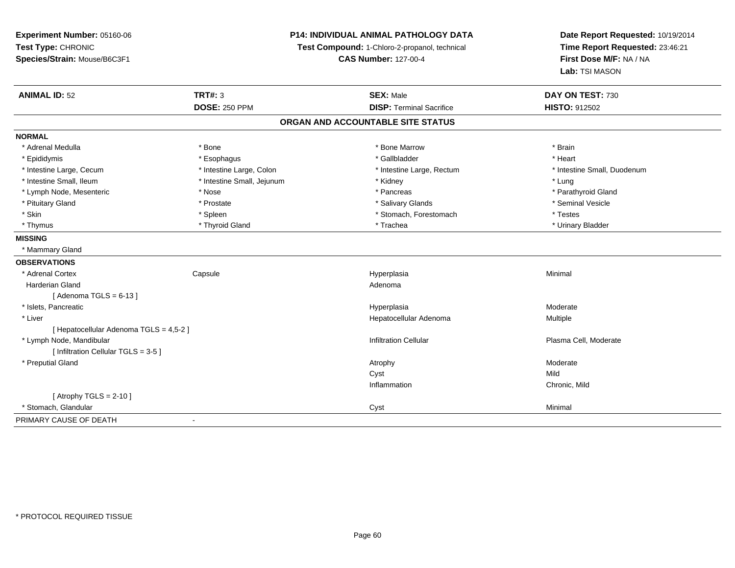**Experiment Number:** 05160-06**Test Type:** CHRONIC **Species/Strain:** Mouse/B6C3F1**P14: INDIVIDUAL ANIMAL PATHOLOGY DATATest Compound:** 1-Chloro-2-propanol, technical **CAS Number:** 127-00-4**Date Report Requested:** 10/19/2014**Time Report Requested:** 23:46:21**First Dose M/F:** NA / NA**Lab:** TSI MASON**ANIMAL ID:** 52 **TRT#:** <sup>3</sup> **SEX:** Male **DAY ON TEST:** <sup>730</sup> **DOSE:** 250 PPM**DISP:** Terminal Sacrifice **HISTO:** 912502 **ORGAN AND ACCOUNTABLE SITE STATUSNORMAL**\* Adrenal Medulla \* \* Annual Medulla \* Brain \* Bone \* \* Bone Marrow \* Bone Marrow \* \* Brain \* Brain \* Brain \* Brain \* Brain \* Brain \* Brain \* Brain \* Brain \* Brain \* Brain \* Brain \* Brain \* Brain \* Brain \* Brain \* Brain \* \* Heart \* Epididymis \* Esophagus \* Gallbladder \* Heart\* Intestine Large, Cecum \* Intestine Large, Colon \* Intestine Large, Rectum \* Intestine Small, Duodenum \* Intestine Small, Ileum \* Intestine Small, Jejunum \* Kidney \* Lung\* Parathyroid Gland \* Lymph Node, Mesenteric \* Nose \* Nose \* Nose \* Pancreas \* Pancreas \* Pancreas \* Pancreas \* Pancreas \* Pancreas \* Pancreas \* Pancreas \* Pancreas \* Pancreas \* Pancreas \* Pancreas \* Pancreas \* Pancreas \* Pancreas \* Pancreas \* Pituitary Gland \* \* \* \* Prostate \* \* Prostate \* \* Salivary Glands \* \* Salivary Glands \* \* Seminal Vesicle \* Skin \* Spleen \* Spleen \* Spleen \* Stomach, Forestomach \* Testes \* Testes \* Testes \* Urinary Bladder \* Thymus \* Thyroid Gland \* Trachea \* Urinary Bladder \* **MISSING** \* Mammary Gland**OBSERVATIONS** \* Adrenal Cortex**Capsule**  Hyperplasia Minimal Harderian Glandd and a state of the control of the control of the control of the control of the control of the control of the control of the control of the control of the control of the control of the control of the control of the contro  $[$  Adenoma TGLS = 6-13  $]$  \* Islets, Pancreaticc and the control of the control of the control of the control of the control of the control of the control of the control of the control of the control of the control of the control of the control of the control of the co a **Moderate**  \* Liver Hepatocellular Adenoma Multiple [ Hepatocellular Adenoma TGLS = 4,5-2 ] \* Lymph Node, MandibularInfiltration Cellular Plasma Cell, Moderate Plasma Cell, Moderate Plasma Cell, Moderate  $[$  Infiltration Cellular TGLS = 3-5 ] \* Preputial Glandd and the control of the control of the control of the control of the control of the control of the control of  $\lambda$ Cystt and the contract of the contract of the contract of the contract of the contract of the contract of the contract of the contract of the contract of the contract of the contract of the contract of the contract of the cont n Chronic, Mild Inflammation $[$  Atrophy TGLS = 2-10  $]$  \* Stomach, Glandularr and the control of the control of the control of the control of the control of the control of the control of the control of the control of the control of the control of the control of the control of the control of the co PRIMARY CAUSE OF DEATH-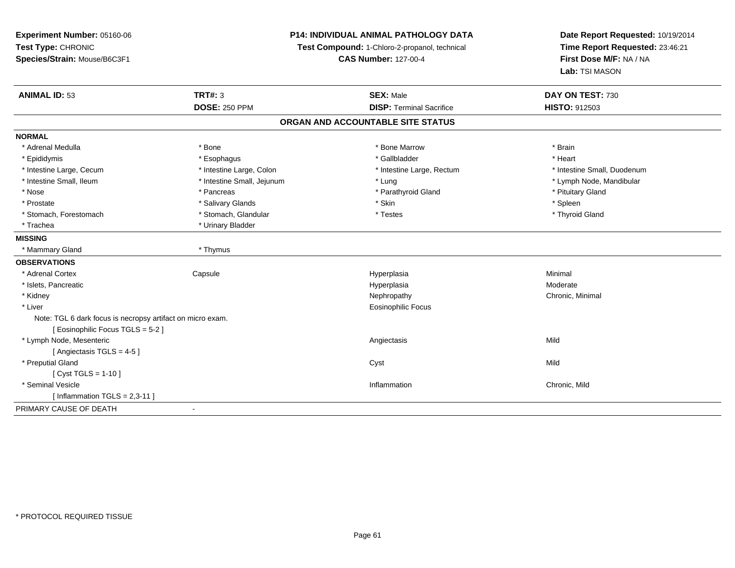| Experiment Number: 05160-06                                | <b>P14: INDIVIDUAL ANIMAL PATHOLOGY DATA</b> |                                               | Date Report Requested: 10/19/2014                          |  |
|------------------------------------------------------------|----------------------------------------------|-----------------------------------------------|------------------------------------------------------------|--|
| Test Type: CHRONIC                                         |                                              | Test Compound: 1-Chloro-2-propanol, technical | Time Report Requested: 23:46:21<br>First Dose M/F: NA / NA |  |
| Species/Strain: Mouse/B6C3F1                               |                                              | <b>CAS Number: 127-00-4</b>                   |                                                            |  |
|                                                            |                                              |                                               | Lab: TSI MASON                                             |  |
| <b>ANIMAL ID: 53</b>                                       | <b>TRT#: 3</b>                               | <b>SEX: Male</b>                              | DAY ON TEST: 730                                           |  |
|                                                            | <b>DOSE: 250 PPM</b>                         | <b>DISP: Terminal Sacrifice</b>               | HISTO: 912503                                              |  |
|                                                            |                                              | ORGAN AND ACCOUNTABLE SITE STATUS             |                                                            |  |
| <b>NORMAL</b>                                              |                                              |                                               |                                                            |  |
| * Adrenal Medulla                                          | * Bone                                       | * Bone Marrow                                 | * Brain                                                    |  |
| * Epididymis                                               | * Esophagus                                  | * Gallbladder                                 | * Heart                                                    |  |
| * Intestine Large, Cecum                                   | * Intestine Large, Colon                     | * Intestine Large, Rectum                     | * Intestine Small, Duodenum                                |  |
| * Intestine Small, Ileum                                   | * Intestine Small, Jejunum                   | * Lung                                        | * Lymph Node, Mandibular                                   |  |
| * Nose                                                     | * Pancreas                                   | * Parathyroid Gland                           | * Pituitary Gland                                          |  |
| * Prostate                                                 | * Salivary Glands                            | * Skin                                        | * Spleen                                                   |  |
| * Stomach, Forestomach                                     | * Stomach, Glandular                         | * Testes                                      | * Thyroid Gland                                            |  |
| * Trachea                                                  | * Urinary Bladder                            |                                               |                                                            |  |
| <b>MISSING</b>                                             |                                              |                                               |                                                            |  |
| * Mammary Gland                                            | * Thymus                                     |                                               |                                                            |  |
| <b>OBSERVATIONS</b>                                        |                                              |                                               |                                                            |  |
| * Adrenal Cortex                                           | Capsule                                      | Hyperplasia                                   | Minimal                                                    |  |
| * Islets, Pancreatic                                       |                                              | Hyperplasia                                   | Moderate                                                   |  |
| * Kidney                                                   |                                              | Nephropathy                                   | Chronic, Minimal                                           |  |
| * Liver                                                    |                                              | <b>Eosinophilic Focus</b>                     |                                                            |  |
| Note: TGL 6 dark focus is necropsy artifact on micro exam. |                                              |                                               |                                                            |  |
| [ Eosinophilic Focus TGLS = 5-2 ]                          |                                              |                                               |                                                            |  |
| * Lymph Node, Mesenteric                                   |                                              | Angiectasis                                   | Mild                                                       |  |
| [Angiectasis TGLS = 4-5]                                   |                                              |                                               |                                                            |  |
| * Preputial Gland                                          |                                              | Cyst                                          | Mild                                                       |  |
| [ $Cyst TGLS = 1-10$ ]                                     |                                              |                                               |                                                            |  |
| * Seminal Vesicle                                          |                                              | Inflammation                                  | Chronic, Mild                                              |  |
| [Inflammation TGLS = $2,3-11$ ]                            |                                              |                                               |                                                            |  |
| PRIMARY CAUSE OF DEATH                                     | $\blacksquare$                               |                                               |                                                            |  |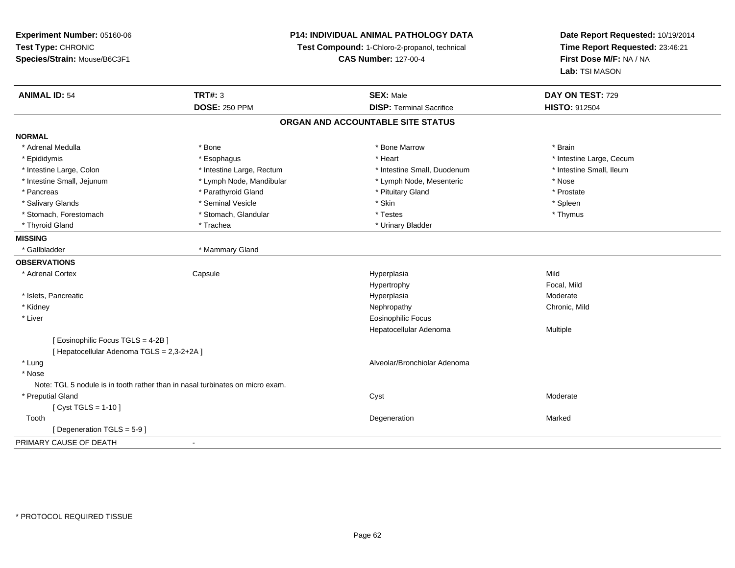**Experiment Number:** 05160-06**Test Type:** CHRONIC **Species/Strain:** Mouse/B6C3F1**P14: INDIVIDUAL ANIMAL PATHOLOGY DATATest Compound:** 1-Chloro-2-propanol, technical **CAS Number:** 127-00-4**Date Report Requested:** 10/19/2014**Time Report Requested:** 23:46:21**First Dose M/F:** NA / NA**Lab:** TSI MASON**ANIMAL ID:** 54**TRT#:** 3 **SEX:** Male **DAY ON TEST:** 729 **DOSE:** 250 PPM**DISP:** Terminal Sacrifice **HISTO:** 912504 **ORGAN AND ACCOUNTABLE SITE STATUSNORMAL**\* Adrenal Medulla \* \* Annual Medulla \* Brain \* Bone \* \* Bone Marrow \* Bone Marrow \* \* Brain \* Brain \* Brain \* Brain \* Brain \* Brain \* Brain \* Brain \* Brain \* Brain \* Brain \* Brain \* Brain \* Brain \* Brain \* Brain \* Brain \* \* Epididymis **Account 19 and 19 and 19 and 19 and 19 and 19 and 19 and 19 and 19 and 19 and 19 and 19 and 19 and 19 and 19 and 19 and 19 and 19 and 19 and 19 and 19 and 19 and 19 and 19 and 19 and 19 and 19 and 19 and 19 a** \* Intestine Small, Ileum \* Intestine Large, Colon \* Intestine Large, Rectum \* Intestine Small, Duodenum \* Intestine Small, Duodenum \* Intestine Small, Jejunum \* Lymph Node, Mandibular \* Lymph Node, Mesenteric \* Nose\* Prostate \* Pancreas \* Parathyroid Gland \* Parathyroid Gland \* Parathyroid Gland \* Prituitary Gland \* Spleen \* Salivary Glands \* \* \* Sheen \* Seminal Vesicle \* \* \* Stan \* \* Skin \* \* Skin \* \* Spleen \* \* Spleen \* \* Spleen \* \* Thymus \* Stomach, Forestomach \* Testes \* Stomach, Glandular \* Testes \* Testes \* Testes \* Testes \* Testes \* Testes \* T \* Thyroid Gland \* Trachea \* Trachea \* Trachea \* Urinary Bladder **MISSING**\* Gallbladder \* Mammary Gland **OBSERVATIONS** \* Adrenal Cortex**Capsule**  Hyperplasia Mild Hypertrophy Focal, Milda Moderate \* Islets, Pancreaticc and the control of the control of the control of the control of the control of the control of the control of the control of the control of the control of the control of the control of the control of the control of the co \* Kidneyy the controller of the controller of the controller of the controller of the controller of the chronic, Mild \* Liver Eosinophilic Focus Hepatocellular Adenoma Multiple [ Eosinophilic Focus TGLS = 4-2B ][ Hepatocellular Adenoma TGLS = 2,3-2+2A ] \* Lung Alveolar/Bronchiolar Adenoma \* Nose Note: TGL 5 nodule is in tooth rather than in nasal turbinates on micro exam. \* Preputial Glandd and the control of the control of the control of the control of the control of the control of the control of the control of the control of the control of the control of the control of the control of the control of the co  $[$  Cyst TGLS = 1-10  $]$  Toothh and the control of the control of the control of the control of the control of the control of the control of the control of the control of the control of the control of the control of the control of the control of the co [ Degeneration TGLS = 5-9 ] PRIMARY CAUSE OF DEATH-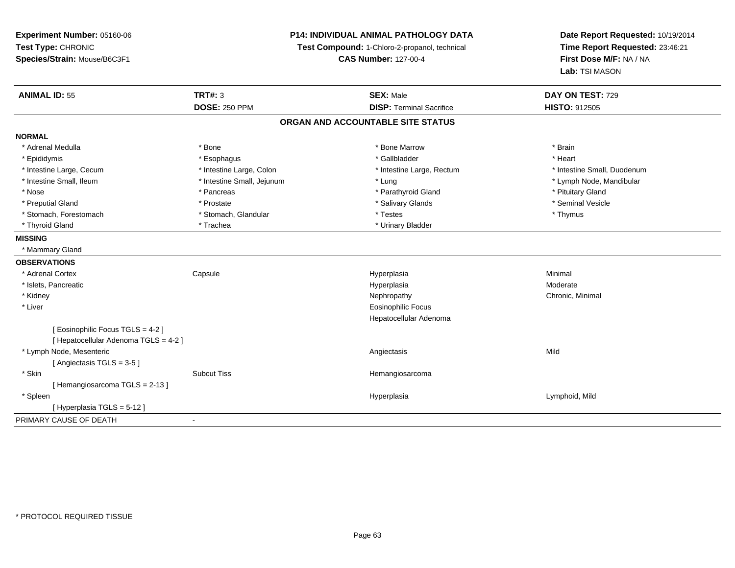**Experiment Number:** 05160-06**Test Type:** CHRONIC **Species/Strain:** Mouse/B6C3F1**P14: INDIVIDUAL ANIMAL PATHOLOGY DATATest Compound:** 1-Chloro-2-propanol, technical **CAS Number:** 127-00-4**Date Report Requested:** 10/19/2014**Time Report Requested:** 23:46:21**First Dose M/F:** NA / NA**Lab:** TSI MASON**ANIMAL ID:** 55 **TRT#:** <sup>3</sup> **SEX:** Male **DAY ON TEST:** <sup>729</sup> **DOSE:** 250 PPM**DISP:** Terminal Sacrifice **HISTO:** 912505 **ORGAN AND ACCOUNTABLE SITE STATUSNORMAL**\* Adrenal Medulla \* \* Annual Medulla \* Brain \* Bone \* \* Bone Marrow \* Bone Marrow \* \* Brain \* Brain \* Brain \* Brain \* Brain \* Brain \* Brain \* Brain \* Brain \* Brain \* Brain \* Brain \* Brain \* Brain \* Brain \* Brain \* Brain \* \* Heart \* Epididymis \* Esophagus \* Gallbladder \* Heart\* Intestine Large, Cecum \* Intestine Large, Colon \* Intestine Large, Thestine Large, Rectum \* Intestine Small, Duodenum \* Intestine Small, Ileum \* Intestine Small, Jejunum \* Lung \* Lymph Node, Mandibular\* Nose \* Pancreas \* Pancreas \* Pancreas \* Parathyroid Gland \* Parathyroid Gland \* Pituitary Gland \* Pituitary Gland \* Seminal Vesicle \* Preputial Gland \* \* Annual vesicle \* \* Prostate \* \* Salivary Glands \* \* Salivary Glands \* \* Seminal Vesicle \* \* Stomach, Forestomach \* Thymus \* Stomach, Glandular \* The \* Testes \* Thymus \* Thymus \* Thymus \* Thymus \* Thymus \* Thyroid Gland \* Trachea \* Trachea \* Trachea \* Urinary Bladder **MISSING** \* Mammary Gland**OBSERVATIONS** \* Adrenal Cortex**Capsule**  Hyperplasia Minimal \* Islets, Pancreaticc and the control of the control of the control of the control of the control of the control of the control of the control of the control of the control of the control of the control of the control of the control of the co a **Moderate**  \* Kidneyy the controller of the controller of the controller of the Nephropathy Chronic, Minimal (Chronic, Minimal  $\mu$  \* Liver Eosinophilic Focus Hepatocellular Adenoma[ Eosinophilic Focus TGLS = 4-2 ][ Hepatocellular Adenoma TGLS = 4-2 ] \* Lymph Node, Mesenteric Angiectasis Mild[ Angiectasis TGLS = 3-5 ] \* Skinn and the subcut Tiss the Subcut Tiss of the Subcut Tiss and the Hemangiosarcoma [ Hemangiosarcoma TGLS = 2-13 ] \* Spleenn and the settlement of the settlement of the settlement of the Hyperplasia  $\blacksquare$  Lymphoid, Mild [ Hyperplasia TGLS = 5-12 ]PRIMARY CAUSE OF DEATH-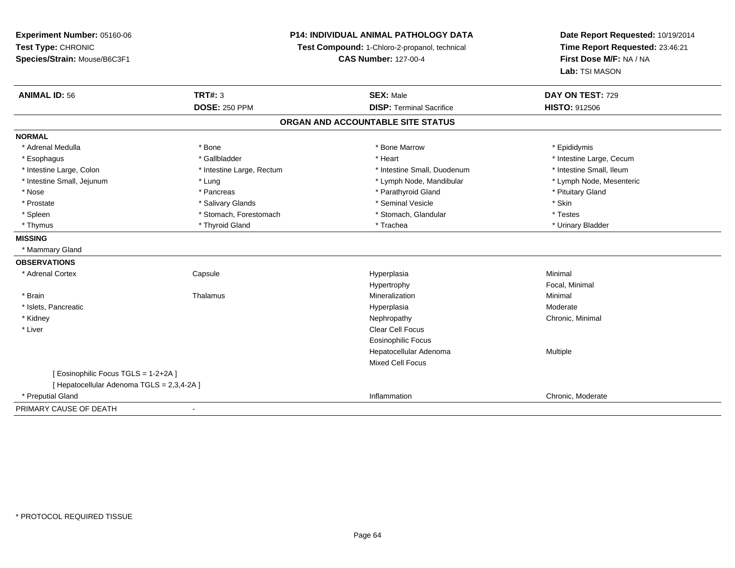**Experiment Number:** 05160-06**Test Type:** CHRONIC**Species/Strain:** Mouse/B6C3F1

## **P14: INDIVIDUAL ANIMAL PATHOLOGY DATA**

**Test Compound:** 1-Chloro-2-propanol, technical

**CAS Number:** 127-00-4

**Date Report Requested:** 10/19/2014**Time Report Requested:** 23:46:21**First Dose M/F:** NA / NA**Lab:** TSI MASON

| <b>ANIMAL ID: 56</b>                       | <b>TRT#: 3</b>            | <b>SEX: Male</b>                | DAY ON TEST: 729         |  |
|--------------------------------------------|---------------------------|---------------------------------|--------------------------|--|
|                                            | <b>DOSE: 250 PPM</b>      | <b>DISP: Terminal Sacrifice</b> | <b>HISTO: 912506</b>     |  |
| ORGAN AND ACCOUNTABLE SITE STATUS          |                           |                                 |                          |  |
| <b>NORMAL</b>                              |                           |                                 |                          |  |
| * Adrenal Medulla                          | * Bone                    | * Bone Marrow                   | * Epididymis             |  |
| * Esophagus                                | * Gallbladder             | * Heart                         | * Intestine Large, Cecum |  |
| * Intestine Large, Colon                   | * Intestine Large, Rectum | * Intestine Small, Duodenum     | * Intestine Small, Ileum |  |
| * Intestine Small, Jejunum                 | * Lung                    | * Lymph Node, Mandibular        | * Lymph Node, Mesenteric |  |
| * Nose                                     | * Pancreas                | * Parathyroid Gland             | * Pituitary Gland        |  |
| * Prostate                                 | * Salivary Glands         | * Seminal Vesicle               | * Skin                   |  |
| * Spleen                                   | * Stomach, Forestomach    | * Stomach, Glandular            | * Testes                 |  |
| * Thymus                                   | * Thyroid Gland           | * Trachea                       | * Urinary Bladder        |  |
| <b>MISSING</b>                             |                           |                                 |                          |  |
| * Mammary Gland                            |                           |                                 |                          |  |
| <b>OBSERVATIONS</b>                        |                           |                                 |                          |  |
| * Adrenal Cortex                           | Capsule                   | Hyperplasia                     | Minimal                  |  |
|                                            |                           | Hypertrophy                     | Focal, Minimal           |  |
| * Brain                                    | Thalamus                  | Mineralization                  | Minimal                  |  |
| * Islets, Pancreatic                       |                           | Hyperplasia                     | Moderate                 |  |
| * Kidney                                   |                           | Nephropathy                     | Chronic, Minimal         |  |
| * Liver                                    |                           | <b>Clear Cell Focus</b>         |                          |  |
|                                            |                           | Eosinophilic Focus              |                          |  |
|                                            |                           | Hepatocellular Adenoma          | Multiple                 |  |
|                                            |                           | <b>Mixed Cell Focus</b>         |                          |  |
| [ Eosinophilic Focus TGLS = 1-2+2A ]       |                           |                                 |                          |  |
| [ Hepatocellular Adenoma TGLS = 2,3,4-2A ] |                           |                                 |                          |  |
| * Preputial Gland                          |                           | Inflammation                    | Chronic, Moderate        |  |
| PRIMARY CAUSE OF DEATH                     |                           |                                 |                          |  |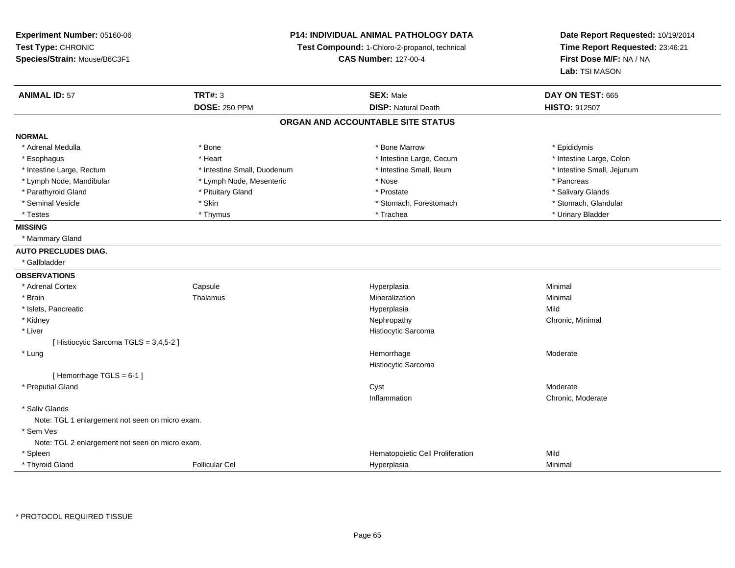**Experiment Number:** 05160-06**Test Type:** CHRONIC **Species/Strain:** Mouse/B6C3F1**P14: INDIVIDUAL ANIMAL PATHOLOGY DATATest Compound:** 1-Chloro-2-propanol, technical **CAS Number:** 127-00-4**Date Report Requested:** 10/19/2014**Time Report Requested:** 23:46:21**First Dose M/F:** NA / NA**Lab:** TSI MASON**ANIMAL ID:** 57 **TRT#:** <sup>3</sup> **SEX:** Male **DAY ON TEST:** <sup>665</sup> **DOSE:** 250 PPM**DISP:** Natural Death **HISTO:** 912507 **ORGAN AND ACCOUNTABLE SITE STATUSNORMAL**\* Adrenal Medulla \* Adrenal Medulla \* \* The matter of the state of the state of the Marrow \* Bone Marrow \* Adrenal Medulla \* Epididymis \* Epididymis \* Bone Marrow \* Adrenal Medulla \* Epididymis \* Epididymis \* Epididymis \* Epididymis \* Epidi \* Intestine Large, Colon \* Esophagus \* **Heart \* Intestine Large, Cecum \* Intestine Large, Cecum \*** Intestine Large, Cecum \* Intestine Large, Rectum \* Thestine Small, Duodenum \* Number of the small, Ileum \* Intestine Small, Jejunum \* Intestine Small, Jejunum \* Lymph Node, Mandibular \* The state of the second text of the second text of the second text of the second text of the second text of the second text of the second text of the second text of text of text of text of text o \* Salivary Glands \* Parathyroid Gland \* \* \* Pituitary Gland \* \* Prostate \* \* Prostate \* \* Salivary Glands \* Salivary Glands \* Salivary Glands \* Salivary Glands \* Salivary Glands \* Salivary Glands \* Salivary Glands \* Salivary Glands \* Saliva \* Stomach, Glandular \* Seminal Vesicle \* Stomach, Forestomach \* Skin \* Skin \* Stomach, Forestomach \* Stomach, Forestomach \* Testes \* Thymus \* Trachea \* Urinary Bladder **MISSING** \* Mammary Gland**AUTO PRECLUDES DIAG.** \* Gallbladder**OBSERVATIONS** \* Adrenal CortexCapsule<br>Thalamus Hyperplasia Minimal \* Brainn and the matter of the Thalamus and the Minimal of the Minimal of the Minimal of the Minimal of the Minimal o<br>Thalamus and the Minimal of the Minimal of the Minimal of the Minimal of the Minimal of the Minimal of the Min \* Islets, Pancreaticc and the control of the control of the control of the control of the control of the control of the control of the control of the control of the control of the control of the control of the control of the control of the co a Mild \* Kidneyy the controller of the controller of the controller of the Nephropathy Chronic, Minimal (Chronic, Minimal (Chronic, Minimal  $\alpha$  \* Liver Histiocytic Sarcoma[ Histiocytic Sarcoma TGLS = 3,4,5-2 ] \* Lungg and the state of the state of the state of the Moderate of the Moderate of the Moderate of the Moderate of the Moderate of the Moderate of the Moderate of the Moderate of the Moderate of the Moderate of the Moderate of t Histiocytic Sarcoma[ Hemorrhage TGLS = 6-1 ] \* Preputial Glandd and the control of the control of the control of the control of the control of the control of the control of the control of the control of the control of the control of the control of the control of the control of the co Inflammation Chronic, Moderate \* Saliv Glands Note: TGL 1 enlargement not seen on micro exam. \* Sem Ves Note: TGL 2 enlargement not seen on micro exam. \* SpleenHematopoietic Cell Proliferation Mild \* Thyroid GlandFollicular Cel Hyperplasia Minimal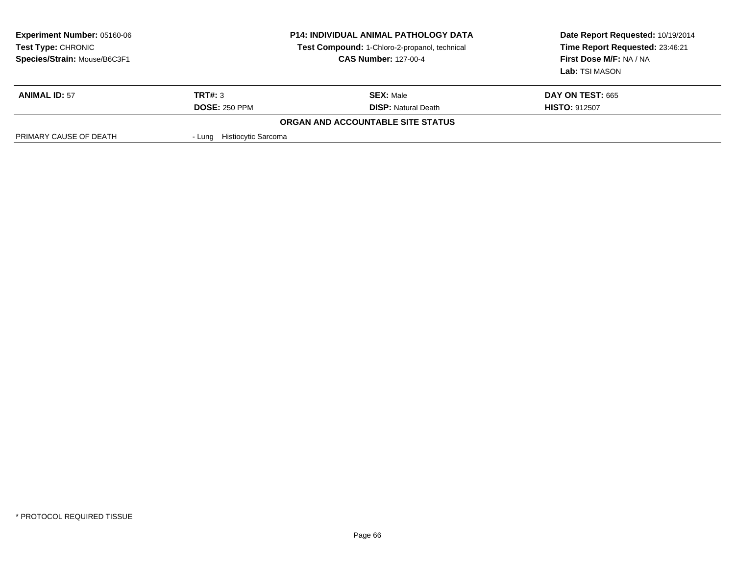| <b>Experiment Number: 05160-06</b><br>Test Type: CHRONIC<br>Species/Strain: Mouse/B6C3F1 | <b>P14: INDIVIDUAL ANIMAL PATHOLOGY DATA</b><br>Test Compound: 1-Chloro-2-propanol, technical<br><b>CAS Number: 127-00-4</b> |                            | Date Report Requested: 10/19/2014<br>Time Report Requested: 23:46:21<br>First Dose M/F: NA / NA<br>Lab: TSI MASON |  |  |
|------------------------------------------------------------------------------------------|------------------------------------------------------------------------------------------------------------------------------|----------------------------|-------------------------------------------------------------------------------------------------------------------|--|--|
| <b>ANIMAL ID: 57</b>                                                                     | TRT#: 3                                                                                                                      | <b>SEX: Male</b>           | <b>DAY ON TEST: 665</b>                                                                                           |  |  |
|                                                                                          | <b>DOSE: 250 PPM</b>                                                                                                         | <b>DISP:</b> Natural Death | <b>HISTO: 912507</b>                                                                                              |  |  |
| ORGAN AND ACCOUNTABLE SITE STATUS                                                        |                                                                                                                              |                            |                                                                                                                   |  |  |
| PRIMARY CAUSE OF DEATH                                                                   | - Lung Histiocytic Sarcoma                                                                                                   |                            |                                                                                                                   |  |  |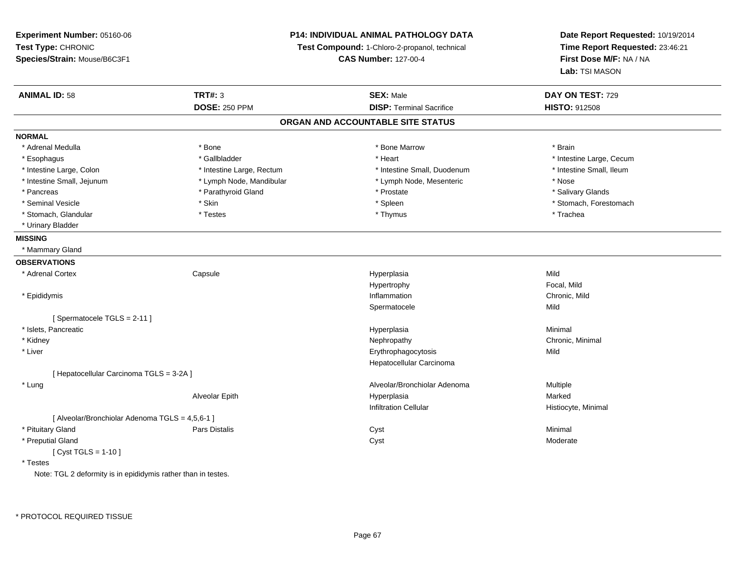**Experiment Number:** 05160-06**Test Type:** CHRONIC **Species/Strain:** Mouse/B6C3F1**P14: INDIVIDUAL ANIMAL PATHOLOGY DATATest Compound:** 1-Chloro-2-propanol, technical **CAS Number:** 127-00-4**Date Report Requested:** 10/19/2014**Time Report Requested:** 23:46:21**First Dose M/F:** NA / NA**Lab:** TSI MASON**ANIMAL ID:** 58**TRT#:** 3 **SEX:** Male **DAY ON TEST:** 729 **DOSE:** 250 PPM**DISP:** Terminal Sacrifice **HISTO:** 912508 **ORGAN AND ACCOUNTABLE SITE STATUSNORMAL**\* Adrenal Medulla \* \* Annual Medulla \* Brain \* Bone \* \* Bone Marrow \* Bone Marrow \* \* Brain \* Brain \* Brain \* Brain \* Brain \* Brain \* Brain \* Brain \* Brain \* Brain \* Brain \* Brain \* Brain \* Brain \* Brain \* Brain \* Brain \* \* Esophagus \* https://www.fragustage.com/web/2019/heart \* Heart \* Heart \* Heart \* Intestine Large, Cecum \* Intestine Large, Cecum \* Sallbladder \* The state of the state of the state of the state of the state of the state o \* Intestine Small. Ileum \* Intestine Large, Colon \* Intestine Large, Rectum \* Intestine Small, Duodenum \* Intestine Small, Duodenum \* Intestine Small, Jejunum \* Lymph Node, Mandibular \* Lymph Node, Mesenteric \* Nose\* Salivary Glands \* Pancreas \* And the second term in the second term in the second term in the second term in the second term in the second term in the second term in the second term in the second term in the second term in the second term \* Seminal Vesicle \* The state of the set of the set of the set of the set of the set of the set of the set of the set of the set of the set of the set of the set of the set of the set of the set of the set of the set of th \* Stomach, Glandular \* \* \* Trachea \* \* Testes \* \* Thymus \* Thymus \* Thymus \* Trachea \* Trachea \* Urinary Bladder**MISSING** \* Mammary Gland**OBSERVATIONS** \* Adrenal Cortex**Capsule**  Hyperplasia Mild Hypertrophy Focal, Mildn Chronic, Mild \* Epididymiss and the contract of the contract of the contract of the contract of the contract of the contract of the contract of the contract of the contract of the contract of the contract of the contract of the contract of the cont Spermatocelee Mild [ Spermatocele TGLS = 2-11 ] \* Islets, Pancreaticc and the control of the control of the control of the control of the control of the control of the control of the control of the control of the control of the control of the control of the control of the control of the co a **Minimal**  \* Kidneyy the controller of the controller of the controller of the Nephropathy Chronic, Minimal (Chronic, Minimal  $\mu$  \* Liver Erythrophagocytosiss Mild Hepatocellular Carcinoma[ Hepatocellular Carcinoma TGLS = 3-2A ] \* LungAlveolar/Bronchiolar Adenoma<br>
Hyperplasia Multiple Hyperplasia Alveolar Epith Hyperplasia Marked Infiltration Cellular Histiocyte, Minimal [ Alveolar/Bronchiolar Adenoma TGLS = 4,5,6-1 ] \* Pituitary Gland Pars Distalis Cyst Minimal \* Preputial Glandd and the control of the control of the control of the control of the control of the control of the control of the control of the control of the control of the control of the control of the control of the control of the co  $[$  Cyst TGLS = 1-10  $]$  \* TestesNote: TGL 2 deformity is in epididymis rather than in testes.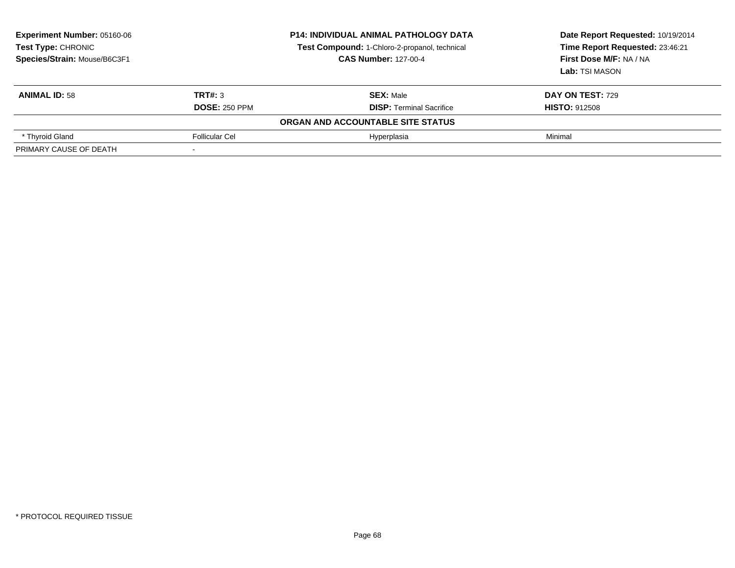| <b>Experiment Number: 05160-06</b><br>Test Type: CHRONIC<br>Species/Strain: Mouse/B6C3F1 |                                 | <b>P14: INDIVIDUAL ANIMAL PATHOLOGY DATA</b><br>Test Compound: 1-Chloro-2-propanol, technical<br><b>CAS Number: 127-00-4</b> | Date Report Requested: 10/19/2014<br>Time Report Requested: 23:46:21<br>First Dose M/F: NA / NA<br>Lab: TSI MASON |  |  |
|------------------------------------------------------------------------------------------|---------------------------------|------------------------------------------------------------------------------------------------------------------------------|-------------------------------------------------------------------------------------------------------------------|--|--|
| <b>ANIMAL ID: 58</b>                                                                     | TRT#: 3<br><b>DOSE: 250 PPM</b> | <b>SEX: Male</b><br><b>DISP: Terminal Sacrifice</b>                                                                          | <b>DAY ON TEST: 729</b><br><b>HISTO: 912508</b>                                                                   |  |  |
| ORGAN AND ACCOUNTABLE SITE STATUS                                                        |                                 |                                                                                                                              |                                                                                                                   |  |  |
| * Thyroid Gland                                                                          | Follicular Cel                  | Hyperplasia                                                                                                                  | Minimal                                                                                                           |  |  |
| PRIMARY CAUSE OF DEATH                                                                   |                                 |                                                                                                                              |                                                                                                                   |  |  |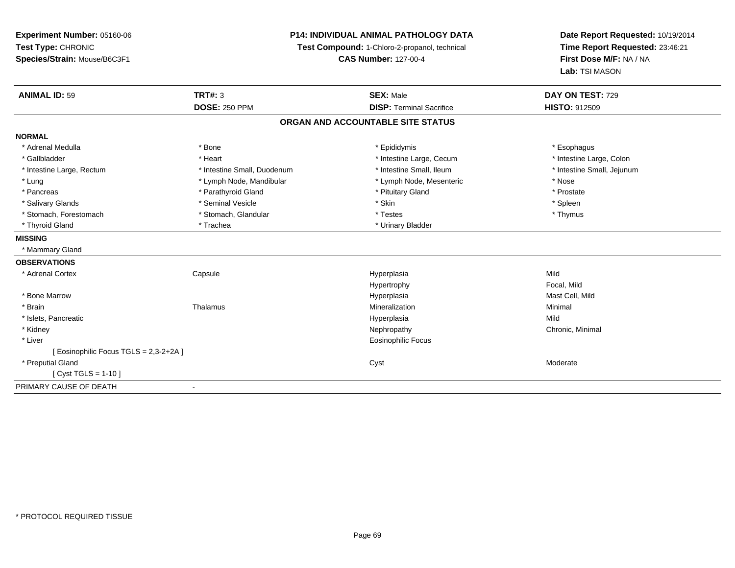**Experiment Number:** 05160-06**Test Type:** CHRONIC **Species/Strain:** Mouse/B6C3F1**P14: INDIVIDUAL ANIMAL PATHOLOGY DATATest Compound:** 1-Chloro-2-propanol, technical **CAS Number:** 127-00-4**Date Report Requested:** 10/19/2014**Time Report Requested:** 23:46:21**First Dose M/F:** NA / NA**Lab:** TSI MASON**ANIMAL ID:** 59 **TRT#:** <sup>3</sup> **SEX:** Male **DAY ON TEST:** <sup>729</sup> **DOSE:** 250 PPM**DISP:** Terminal Sacrifice **HISTO:** 912509 **ORGAN AND ACCOUNTABLE SITE STATUSNORMAL**\* Adrenal Medulla \* Adrenal Medulla \* \* \* example \* \* Bone \* \* \* Bone \* \* Epididymis \* \* Epididymis \* \* \* Esophagus \* Esophagus \* \* Esophagus \* \* Esophagus \* \* Esophagus \* \* Esophagus \* \* Esophagus \* \* Esophagus \* \* \* \* \* \* \* \* \* \* \* \* \* \* \* Intestine Large, Colon \* Gallbladder \* The matter \* Heart \* Heart \* Intestine Large, Cecum \* Intestine Large, Cecum \* \* Intestine Small, Jejunum \* Intestine Large, Rectum \* Intestine Small, Duodenum \* Intestine Small, Duodenum \* \* Intestine Small, Ileum \* Lung \* Lymph Node, Mandibular \* Nose \* Lymph Node, Mesenteric \* Nose \* Nose \* Prostate \* Pancreas \* Parathyroid Gland \* Parathyroid Gland \* \* Prituitary Gland \* Spleen \* Salivary Glands \* \* \* Sheen \* Seminal Vesicle \* \* \* Stan \* \* Skin \* \* Skin \* \* Spleen \* \* Spleen \* \* Spleen \* \* Thymus \* Stomach, Forestomach \* Testes \* Stomach, Glandular \* Testes \* Testes \* Testes \* Testes \* Testes \* Testes \* T \* Thyroid Gland \* Trachea \* Trachea \* Trachea \* Urinary Bladder **MISSING** \* Mammary Gland**OBSERVATIONS** \* Adrenal Cortex**Capsule**  Hyperplasia Mild Hypertrophy Focal, MildMast Cell, Mild \* Bone Marroww which is a matter of the Hyperplasia Mast Cell, Mild and Mast Cell, Mild and Mast Cell, Mild and Mast Cell, Mild and Mast Cell, Mild and Mast Cell, Mild and Mast Cell, Mild and Mast Cell, Mild and Mast Cell, Mild and Mas \* Brainn and the matter of the Thalamus and the Minimal of the Minimal of the Minimal of the Minimal of the Minimal o<br>Thalamus and the Minimal of the Minimal of the Minimal of the Minimal of the Minimal of the Minimal of the Min \* Islets, Pancreaticc and the control of the control of the control of the control of the control of the control of the control of the control of the control of the control of the control of the control of the control of the control of the co a Mild \* Kidneyy the controller of the controller of the controller of the Nephropathy Chronic, Minimal (Chronic, Minimal  $\mu$  \* Liver Eosinophilic Focus[ Eosinophilic Focus TGLS = 2,3-2+2A ] \* Preputial Glandd and the control of the control of the control of the control of the control of the control of the control of the control of the control of the control of the control of the control of the control of the control of the co [ Cyst TGLS = 1-10 ]PRIMARY CAUSE OF DEATH-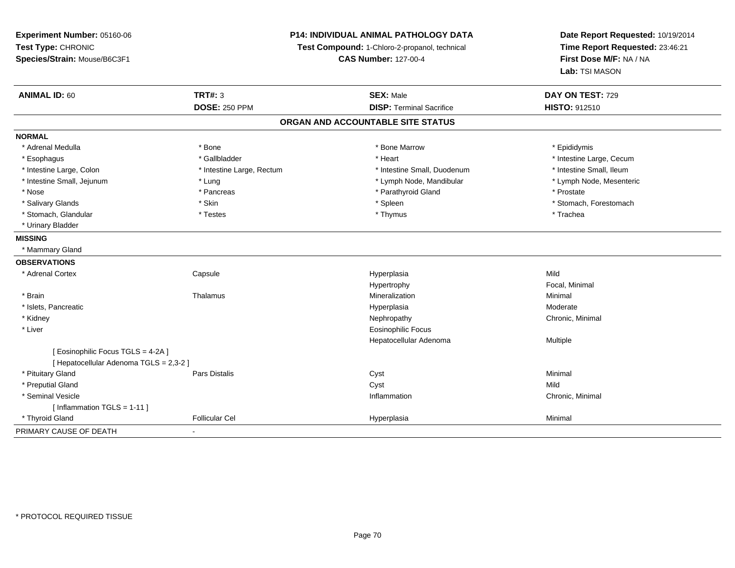**Experiment Number:** 05160-06**Test Type:** CHRONIC **Species/Strain:** Mouse/B6C3F1**P14: INDIVIDUAL ANIMAL PATHOLOGY DATATest Compound:** 1-Chloro-2-propanol, technical **CAS Number:** 127-00-4**Date Report Requested:** 10/19/2014**Time Report Requested:** 23:46:21**First Dose M/F:** NA / NA**Lab:** TSI MASON**ANIMAL ID:** 60**TRT#:** 3 **SEX:** Male **DAY ON TEST:** 729 **DOSE:** 250 PPM**DISP:** Terminal Sacrifice **HISTO:** 912510 **ORGAN AND ACCOUNTABLE SITE STATUSNORMAL**\* Adrenal Medulla \* Adrenal Medulla \* \* The matter of the state of the state of the Marrow \* Bone Marrow \* Adrenal Medulla \* Epididymis \* Epididymis \* Bone Marrow \* Adrenal Medulla \* Epididymis \* Epididymis \* Epididymis \* Epididymis \* Epidi \* Esophagus \* https://www.fragustage.com/web/2019/heart \* Heart \* Heart \* Heart \* Intestine Large, Cecum \* Intestine Large, Cecum \* Gallbladder \* Callbladder \* 11 and 12 and 12 and 12 and 12 and 12 and 12 and 12 and 12 and \* Intestine Small, Ileum \* Intestine Large, Colon \* Intestine Large, Rectum \* Intestine Small, Duodenum \* Intestine Small, Duodenum \* Lymph Node, Mesenteric \* Intestine Small, Jejunum \* The matter of the state of the state of the state of the state of the state of the state of the state of the state of the state of the state of the state of the state of the state of the state \* Nose \* Pancreas \* Pancreas \* Pancreas \* Parathyroid Gland \* Prostate \* Prostate \* Salivary Glands \* The stomach \* Skin \* Spleen \* Spleen \* Stomach, Forestomach \* Stomach, Forestomach \* Stomach, Forestomach \* Stomach, Glandular \* \* \* Trachea \* \* Testes \* \* Thymus \* Thymus \* Thymus \* Trachea \* Trachea \* Urinary Bladder**MISSING** \* Mammary Gland**OBSERVATIONS** \* Adrenal Cortex**Capsule**  Hyperplasia Mild Hypertrophy Focal, Minimal \* Brainn and the matter of the Thalamus and the Minimal of the Minimal of the Minimal of the Minimal of the Minimal o<br>Thalamus and the Minimal of the Minimal of the Minimal of the Minimal of the Minimal of the Minimal of the Min \* Islets, Pancreaticc and the control of the control of the control of the control of the control of the control of the control of the control of the control of the control of the control of the control of the control of the control of the co a **Moderate**  \* Kidneyy the controller of the controller of the controller of the Nephropathy Chronic, Minimal (Chronic, Minimal  $\mu$  \* Liver Eosinophilic Focus Hepatocellular Adenoma Multiple [ Eosinophilic Focus TGLS = 4-2A ][ Hepatocellular Adenoma TGLS = 2,3-2 ] \* Pituitary Gland Pars Distalis Cyst Minimal \* Preputial Glandd and the control of the control of the control of the control of the control of the control of the control of the control of the control of the control of the control of the control of the control of the control of the co \* Seminal Vesiclee and the contract of the contract of the contract of the contract of the contract of the contract of the contract of the contract of the contract of the contract of the contract of the contract of the contract of the cont [ Inflammation TGLS = 1-11 ] \* Thyroid Gland Follicular Cel Hyperplasia Minimal PRIMARY CAUSE OF DEATH-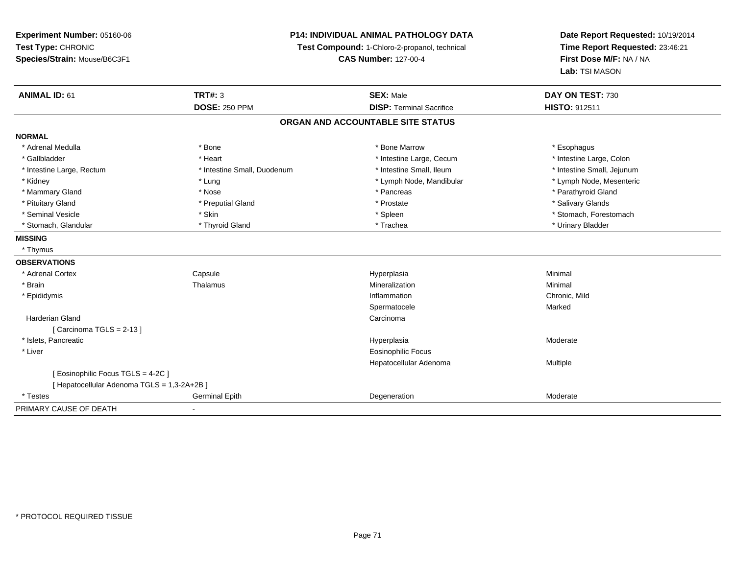**Experiment Number:** 05160-06**Test Type:** CHRONIC**Species/Strain:** Mouse/B6C3F1

## **P14: INDIVIDUAL ANIMAL PATHOLOGY DATA**

**Test Compound:** 1-Chloro-2-propanol, technical

**CAS Number:** 127-00-4

**Date Report Requested:** 10/19/2014**Time Report Requested:** 23:46:21**First Dose M/F:** NA / NA**Lab:** TSI MASON

| <b>ANIMAL ID: 61</b>                        | <b>TRT#: 3</b>              | <b>SEX: Male</b>                  | DAY ON TEST: 730           |  |
|---------------------------------------------|-----------------------------|-----------------------------------|----------------------------|--|
|                                             | <b>DOSE: 250 PPM</b>        | <b>DISP: Terminal Sacrifice</b>   | <b>HISTO: 912511</b>       |  |
|                                             |                             | ORGAN AND ACCOUNTABLE SITE STATUS |                            |  |
| <b>NORMAL</b>                               |                             |                                   |                            |  |
| * Adrenal Medulla                           | * Bone                      | * Bone Marrow                     | * Esophagus                |  |
| * Gallbladder                               | * Heart                     | * Intestine Large, Cecum          | * Intestine Large, Colon   |  |
| * Intestine Large, Rectum                   | * Intestine Small, Duodenum | * Intestine Small, Ileum          | * Intestine Small, Jejunum |  |
| * Kidney                                    | * Lung                      | * Lymph Node, Mandibular          | * Lymph Node, Mesenteric   |  |
| * Mammary Gland                             | * Nose                      | * Pancreas                        | * Parathyroid Gland        |  |
| * Pituitary Gland                           | * Preputial Gland           | * Prostate                        | * Salivary Glands          |  |
| * Seminal Vesicle                           | * Skin                      | * Spleen                          | * Stomach, Forestomach     |  |
| * Stomach, Glandular                        | * Thyroid Gland             | * Trachea                         | * Urinary Bladder          |  |
| <b>MISSING</b>                              |                             |                                   |                            |  |
| * Thymus                                    |                             |                                   |                            |  |
| <b>OBSERVATIONS</b>                         |                             |                                   |                            |  |
| * Adrenal Cortex                            | Capsule                     | Hyperplasia                       | Minimal                    |  |
| * Brain                                     | Thalamus                    | Mineralization                    | Minimal                    |  |
| * Epididymis                                |                             | Inflammation                      | Chronic, Mild              |  |
|                                             |                             | Spermatocele                      | Marked                     |  |
| Harderian Gland                             |                             | Carcinoma                         |                            |  |
| [Carcinoma TGLS = $2-13$ ]                  |                             |                                   |                            |  |
| * Islets, Pancreatic                        |                             | Hyperplasia                       | Moderate                   |  |
| * Liver                                     |                             | <b>Eosinophilic Focus</b>         |                            |  |
|                                             |                             | Hepatocellular Adenoma            | Multiple                   |  |
| [ Eosinophilic Focus TGLS = 4-2C ]          |                             |                                   |                            |  |
| [ Hepatocellular Adenoma TGLS = 1,3-2A+2B ] |                             |                                   |                            |  |
| * Testes                                    | Germinal Epith              | Degeneration                      | Moderate                   |  |
| PRIMARY CAUSE OF DEATH                      | $\overline{\phantom{a}}$    |                                   |                            |  |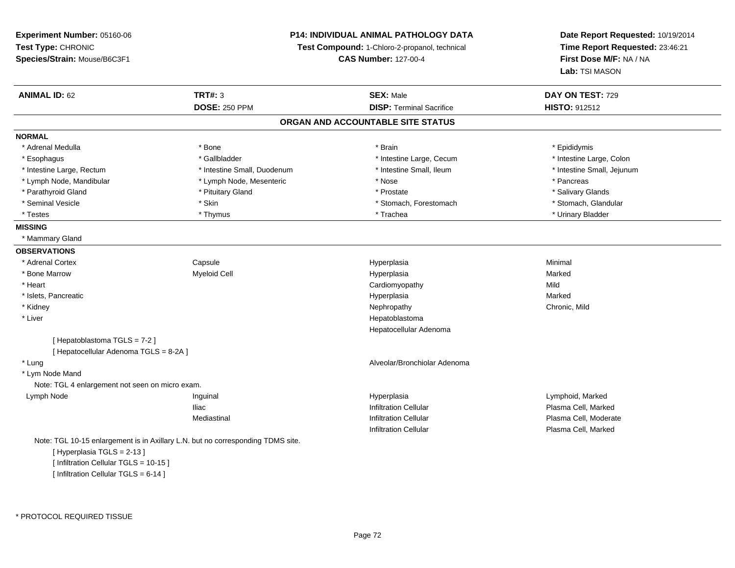**Experiment Number:** 05160-06**Test Type:** CHRONIC **Species/Strain:** Mouse/B6C3F1**P14: INDIVIDUAL ANIMAL PATHOLOGY DATATest Compound:** 1-Chloro-2-propanol, technical **CAS Number:** 127-00-4**Date Report Requested:** 10/19/2014**Time Report Requested:** 23:46:21**First Dose M/F:** NA / NA**Lab:** TSI MASON**ANIMAL ID:** 62 **TRT#:** <sup>3</sup> **SEX:** Male **DAY ON TEST:** <sup>729</sup> **DOSE:** 250 PPM**DISP:** Terminal Sacrifice **HISTO:** 912512 **ORGAN AND ACCOUNTABLE SITE STATUSNORMAL**\* Adrenal Medulla \* Adrenal Medulla \* \* \* Adrenal Medulla \* \* Epididymis \* Bone \* \* Brain \* \* Brain \* \* Brain \* \* Epididymis \* Epididymis \* Epididymis \* \* Epididymis \* \* Epididymis \* \* Epididymis \* \* Epididymis \* \* Epididymis \* \* Epididymis \* Intestine Large, Colon \* Esophagus \* Intestine Large, Cecum \* Callbladder \* 10 \* Intestine Large, Cecum \* Intestine Large, Cecum \* \* Intestine Large, Rectum \* Thestine Small, Duodenum \* Number of the small, Ileum \* Intestine Small, Jejunum \* Intestine Small, Jejunum \* Lymph Node, Mandibular \* The same \* Lymph Node, Mesenteric \* Nose \* Nose \* \* Pancreas \* Pancreas \* Pancreas \* Salivary Glands \* Parathyroid Gland \* \* \* Pituitary Gland \* \* Prostate \* \* Prostate \* \* Salivary Glands \* Salivary Glands \* Salivary Glands \* Salivary Glands \* Salivary Glands \* Salivary Glands \* Salivary Glands \* Salivary Glands \* Saliva \* Stomach, Glandular \* Seminal Vesicle \* Stomach, Forestomach \* Skin \* Skin \* Stomach, Forestomach \* Stomach, Forestomach \* Testes \* Thymus \* Trachea \* Urinary Bladder **MISSING** \* Mammary Gland**OBSERVATIONS** \* Adrenal Cortex**Capsule**  Hyperplasia Minimal \* Bone Marroww the matted of the Myeloid Cell the Marked of the Hyperplasia Marked Marked Marked Street and Marked Marked Street and Marked Street and Marked Street and Marked Street and Marked Street and Marked Street and Marked Stree \* Heart Cardiomyopathyy Mild Marked \* Islets, Pancreaticc and the control of the control of the control of the control of the control of the control of the control of the control of the control of the control of the control of the control of the control of the control of the co a **Marked**  \* Kidneyy the controller of the controller of the controller of the controller of the controller of the chronic, Mild \* Liver Hepatoblastoma Hepatocellular Adenoma[ Hepatoblastoma TGLS = 7-2 ][ Hepatocellular Adenoma TGLS = 8-2A ] \* Lung Alveolar/Bronchiolar Adenoma \* Lym Node Mand Note: TGL 4 enlargement not seen on micro exam. Lymph Node Inguinal Hyperplasia Lymphoid, Marked Iliac Infiltration Cellular Plasma Cell, Marked**Plasma Cell, Moderate** Mediastinal Infiltration CellularInfiltration Cellular Plasma Cell, MarkedNote: TGL 10-15 enlargement is in Axillary L.N. but no corresponding TDMS site.[ Hyperplasia TGLS = 2-13 ]

[ Infiltration Cellular TGLS = 10-15 ] [ Infiltration Cellular TGLS = 6-14 ]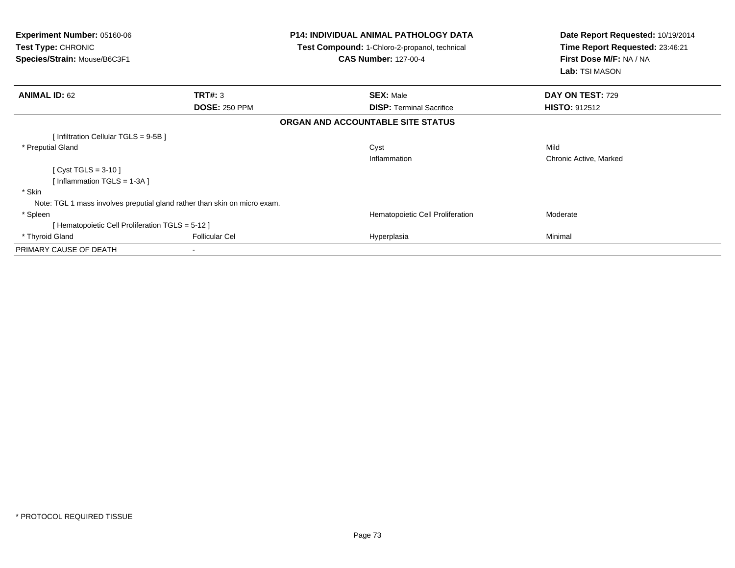| Experiment Number: 05160-06<br><b>Test Type: CHRONIC</b><br>Species/Strain: Mouse/B6C3F1 |                       | <b>P14: INDIVIDUAL ANIMAL PATHOLOGY DATA</b><br>Test Compound: 1-Chloro-2-propanol, technical<br><b>CAS Number: 127-00-4</b> | Date Report Requested: 10/19/2014<br>Time Report Requested: 23:46:21<br>First Dose M/F: NA / NA<br>Lab: TSI MASON |  |
|------------------------------------------------------------------------------------------|-----------------------|------------------------------------------------------------------------------------------------------------------------------|-------------------------------------------------------------------------------------------------------------------|--|
| <b>ANIMAL ID: 62</b>                                                                     | TRT#: 3               | <b>SEX: Male</b>                                                                                                             | DAY ON TEST: 729                                                                                                  |  |
|                                                                                          | <b>DOSE: 250 PPM</b>  | <b>DISP: Terminal Sacrifice</b>                                                                                              | <b>HISTO: 912512</b>                                                                                              |  |
|                                                                                          |                       | ORGAN AND ACCOUNTABLE SITE STATUS                                                                                            |                                                                                                                   |  |
| [Infiltration Cellular TGLS = 9-5B ]                                                     |                       |                                                                                                                              |                                                                                                                   |  |
| * Preputial Gland                                                                        |                       | Cyst<br>Inflammation                                                                                                         | Mild<br>Chronic Active, Marked                                                                                    |  |
| [ Cyst TGLS = $3-10$ ]                                                                   |                       |                                                                                                                              |                                                                                                                   |  |
| [Inflammation TGLS = $1-3A$ ]                                                            |                       |                                                                                                                              |                                                                                                                   |  |
| * Skin                                                                                   |                       |                                                                                                                              |                                                                                                                   |  |
| Note: TGL 1 mass involves preputial gland rather than skin on micro exam.                |                       |                                                                                                                              |                                                                                                                   |  |
| * Spleen                                                                                 |                       | Hematopoietic Cell Proliferation                                                                                             | Moderate                                                                                                          |  |
| [Hematopoietic Cell Proliferation TGLS = 5-12]                                           |                       |                                                                                                                              |                                                                                                                   |  |
| * Thyroid Gland                                                                          | <b>Follicular Cel</b> | Hyperplasia                                                                                                                  | Minimal                                                                                                           |  |
| PRIMARY CAUSE OF DEATH                                                                   |                       |                                                                                                                              |                                                                                                                   |  |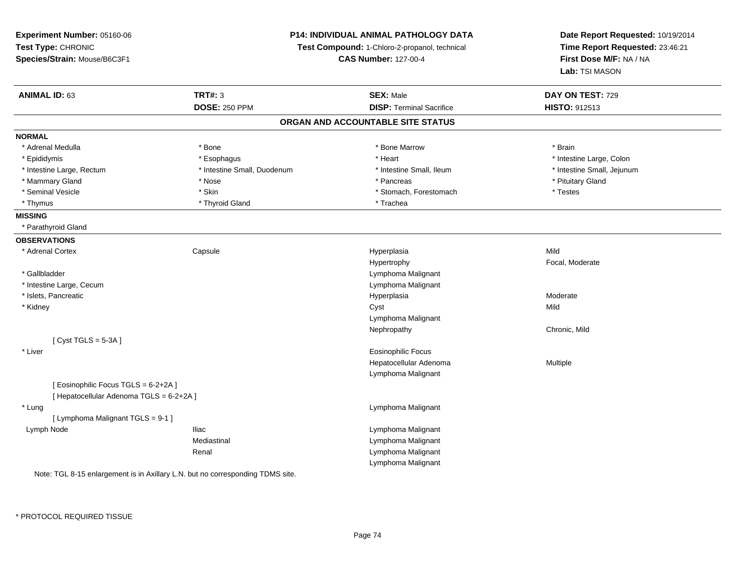| Experiment Number: 05160-06              |                             | P14: INDIVIDUAL ANIMAL PATHOLOGY DATA         | Date Report Requested: 10/19/2014<br>Time Report Requested: 23:46:21 |
|------------------------------------------|-----------------------------|-----------------------------------------------|----------------------------------------------------------------------|
| Test Type: CHRONIC                       |                             | Test Compound: 1-Chloro-2-propanol, technical |                                                                      |
| Species/Strain: Mouse/B6C3F1             |                             | <b>CAS Number: 127-00-4</b>                   |                                                                      |
|                                          |                             |                                               | First Dose M/F: NA / NA<br>Lab: TSI MASON                            |
| <b>ANIMAL ID: 63</b>                     | <b>TRT#: 3</b>              | <b>SEX: Male</b>                              | DAY ON TEST: 729                                                     |
|                                          | <b>DOSE: 250 PPM</b>        | <b>DISP: Terminal Sacrifice</b>               | HISTO: 912513                                                        |
|                                          |                             | ORGAN AND ACCOUNTABLE SITE STATUS             |                                                                      |
| <b>NORMAL</b>                            |                             |                                               |                                                                      |
| * Adrenal Medulla                        | * Bone                      | * Bone Marrow                                 | * Brain                                                              |
| * Epididymis                             | * Esophagus                 | * Heart                                       | * Intestine Large, Colon                                             |
| * Intestine Large, Rectum                | * Intestine Small, Duodenum | * Intestine Small, Ileum                      | * Intestine Small, Jejunum                                           |
| * Mammary Gland                          | * Nose                      | * Pancreas                                    | * Pituitary Gland                                                    |
| * Seminal Vesicle                        | * Skin                      | * Stomach, Forestomach                        | * Testes                                                             |
| * Thymus                                 | * Thyroid Gland             | * Trachea                                     |                                                                      |
| <b>MISSING</b>                           |                             |                                               |                                                                      |
| * Parathyroid Gland                      |                             |                                               |                                                                      |
| <b>OBSERVATIONS</b>                      |                             |                                               |                                                                      |
| * Adrenal Cortex                         | Capsule                     | Hyperplasia                                   | Mild                                                                 |
|                                          |                             | Hypertrophy                                   | Focal, Moderate                                                      |
| * Gallbladder                            |                             | Lymphoma Malignant                            |                                                                      |
| * Intestine Large, Cecum                 |                             | Lymphoma Malignant                            |                                                                      |
| * Islets, Pancreatic                     |                             | Hyperplasia                                   | Moderate                                                             |
| * Kidney                                 |                             | Cyst                                          | Mild                                                                 |
|                                          |                             | Lymphoma Malignant                            |                                                                      |
|                                          |                             | Nephropathy                                   | Chronic, Mild                                                        |
| [Cyst TGLS = $5-3A$ ]                    |                             |                                               |                                                                      |
| * Liver                                  |                             | <b>Eosinophilic Focus</b>                     |                                                                      |
|                                          |                             | Hepatocellular Adenoma                        | Multiple                                                             |
|                                          |                             | Lymphoma Malignant                            |                                                                      |
| [Eosinophilic Focus TGLS = 6-2+2A]       |                             |                                               |                                                                      |
| [ Hepatocellular Adenoma TGLS = 6-2+2A ] |                             |                                               |                                                                      |
| * Lung                                   |                             | Lymphoma Malignant                            |                                                                      |
| [ Lymphoma Malignant TGLS = 9-1 ]        |                             |                                               |                                                                      |
| Lymph Node                               | <b>Iliac</b>                | Lymphoma Malignant                            |                                                                      |
|                                          | Mediastinal                 | Lymphoma Malignant                            |                                                                      |
|                                          | Renal                       | Lymphoma Malignant                            |                                                                      |
|                                          |                             | Lymphoma Malignant                            |                                                                      |

Note: IGL 8-15 enlargement is in Axillary L.N. but no corresponding TDMS site.

\* PROTOCOL REQUIRED TISSUE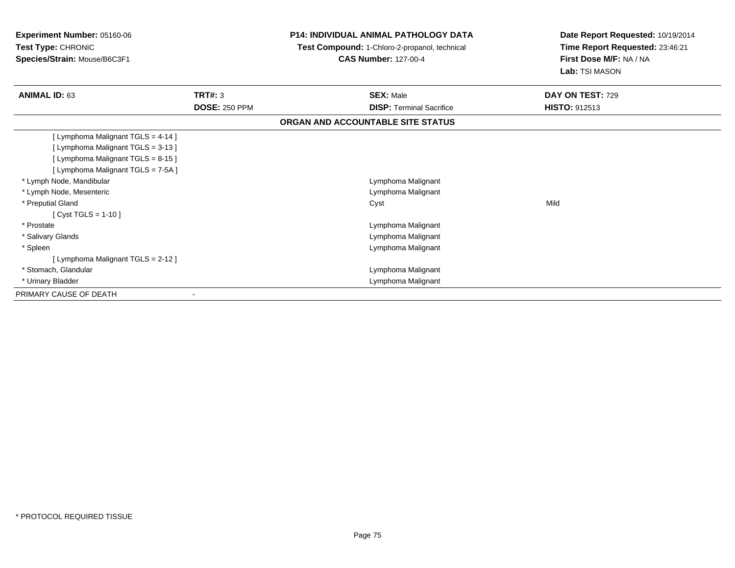| <b>Experiment Number: 05160-06</b><br><b>Test Type: CHRONIC</b><br>Species/Strain: Mouse/B6C3F1 |                                 | <b>P14: INDIVIDUAL ANIMAL PATHOLOGY DATA</b><br>Test Compound: 1-Chloro-2-propanol, technical<br><b>CAS Number: 127-00-4</b> | Date Report Requested: 10/19/2014<br>Time Report Requested: 23:46:21<br>First Dose M/F: NA / NA<br>Lab: TSI MASON |
|-------------------------------------------------------------------------------------------------|---------------------------------|------------------------------------------------------------------------------------------------------------------------------|-------------------------------------------------------------------------------------------------------------------|
| <b>ANIMAL ID: 63</b>                                                                            | TRT#: 3<br><b>DOSE: 250 PPM</b> | <b>SEX: Male</b><br><b>DISP: Terminal Sacrifice</b>                                                                          | DAY ON TEST: 729<br>HISTO: 912513                                                                                 |
|                                                                                                 |                                 |                                                                                                                              |                                                                                                                   |
|                                                                                                 |                                 | ORGAN AND ACCOUNTABLE SITE STATUS                                                                                            |                                                                                                                   |
| [ Lymphoma Malignant TGLS = 4-14 ]                                                              |                                 |                                                                                                                              |                                                                                                                   |
| [ Lymphoma Malignant TGLS = 3-13 ]                                                              |                                 |                                                                                                                              |                                                                                                                   |
| [ Lymphoma Malignant TGLS = 8-15 ]                                                              |                                 |                                                                                                                              |                                                                                                                   |
| [ Lymphoma Malignant TGLS = 7-5A ]                                                              |                                 |                                                                                                                              |                                                                                                                   |
| * Lymph Node, Mandibular                                                                        |                                 | Lymphoma Malignant                                                                                                           |                                                                                                                   |
| * Lymph Node, Mesenteric                                                                        |                                 | Lymphoma Malignant                                                                                                           |                                                                                                                   |
| * Preputial Gland                                                                               |                                 | Cyst                                                                                                                         | Mild                                                                                                              |
| [ Cyst TGLS = $1-10$ ]                                                                          |                                 |                                                                                                                              |                                                                                                                   |
| * Prostate                                                                                      |                                 | Lymphoma Malignant                                                                                                           |                                                                                                                   |
| * Salivary Glands                                                                               |                                 | Lymphoma Malignant                                                                                                           |                                                                                                                   |
| * Spleen                                                                                        |                                 | Lymphoma Malignant                                                                                                           |                                                                                                                   |
| [ Lymphoma Malignant TGLS = 2-12 ]                                                              |                                 |                                                                                                                              |                                                                                                                   |
| * Stomach, Glandular                                                                            |                                 | Lymphoma Malignant                                                                                                           |                                                                                                                   |
| * Urinary Bladder                                                                               |                                 | Lymphoma Malignant                                                                                                           |                                                                                                                   |
| PRIMARY CAUSE OF DEATH                                                                          |                                 |                                                                                                                              |                                                                                                                   |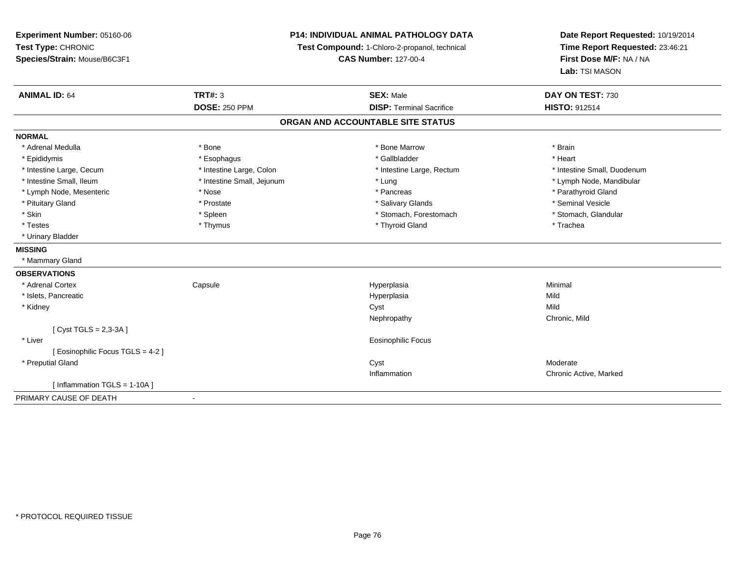**Experiment Number:** 05160-06**Test Type:** CHRONIC **Species/Strain:** Mouse/B6C3F1**P14: INDIVIDUAL ANIMAL PATHOLOGY DATATest Compound:** 1-Chloro-2-propanol, technical **CAS Number:** 127-00-4**Date Report Requested:** 10/19/2014**Time Report Requested:** 23:46:21**First Dose M/F:** NA / NA**Lab:** TSI MASON**ANIMAL ID:** 64 **TRT#:** <sup>3</sup> **SEX:** Male **DAY ON TEST:** <sup>730</sup> **DOSE:** 250 PPM**DISP:** Terminal Sacrifice **HISTO:** 912514 **ORGAN AND ACCOUNTABLE SITE STATUSNORMAL**\* Adrenal Medulla \* \* Annual Medulla \* Brain \* Bone \* \* Bone Marrow \* Bone Marrow \* \* Brain \* Brain \* Brain \* Brain \* Brain \* Brain \* Brain \* Brain \* Brain \* Brain \* Brain \* Brain \* Brain \* Brain \* Brain \* Brain \* Brain \* \* Heart \* Epididymis \* Esophagus \* Gallbladder \* Heart\* Intestine Large, Cecum \* Intestine Large, Colon \* Intestine Large, Rectum \* Intestine Small, Duodenum \* Intestine Small, Ileum \* Intestine Small, Jejunum \* Lung \* Lymph Node, Mandibular\* Lymph Node, Mesenteric \* The state of the state of the state of the state of the state of the state of the state of the state of the state of the state of the state of the state of the state of the state of the state of \* Pituitary Gland \* \* \* \* Prostate \* \* Prostate \* \* Salivary Glands \* \* Salivary Glands \* \* Seminal Vesicle \* Stomach. Glandular \* Skin \* Spleen \* Spleen \* Stomach, Forestomach \* Stomach, Forestomach \* Stomach, Forestomach \* Testes \* Thymus \* Thyroid Gland \* Trachea \* Urinary Bladder**MISSING** \* Mammary Gland**OBSERVATIONS** \* Adrenal Cortex Capsule Hyperplasia Minimal \* Islets, Pancreaticc and the control of the control of the control of the control of the control of the control of the control of the control of the control of the control of the control of the control of the control of the control of the co a Mild \* Kidneyy and the control of the control of the control of the control of the control of the control of the control of the control of the control of the control of the control of the control of the control of the control of the co y **Chronic, Mild** Nephropathy[ Cyst TGLS = 2,3-3A ] \* Liver Eosinophilic Focus[ Eosinophilic Focus TGLS = 4-2 ] \* Preputial Glandd and the control of the control of the control of the control of the control of the control of the control of the control of the control of the control of the control of the control of the control of the control of the co Inflammation Chronic Active, Marked [ Inflammation TGLS = 1-10A ]PRIMARY CAUSE OF DEATH-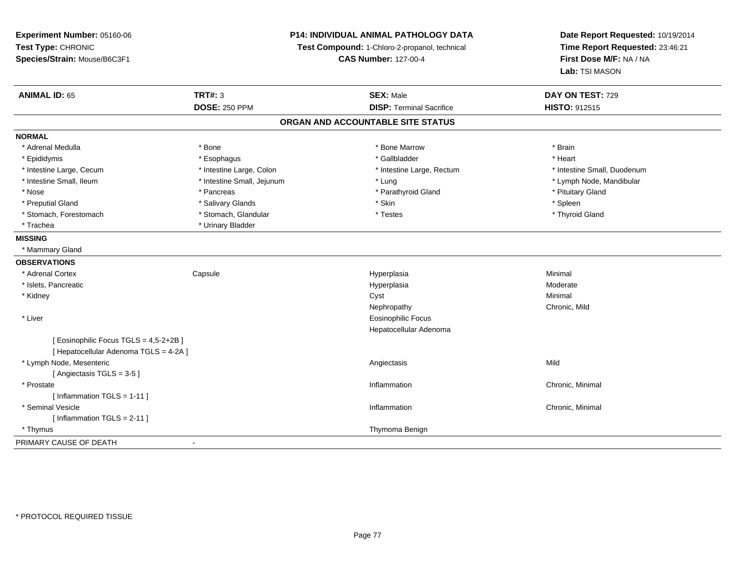| Experiment Number: 05160-06            |                            | <b>P14: INDIVIDUAL ANIMAL PATHOLOGY DATA</b>  | Date Report Requested: 10/19/2014<br>Time Report Requested: 23:46:21<br>First Dose M/F: NA / NA |
|----------------------------------------|----------------------------|-----------------------------------------------|-------------------------------------------------------------------------------------------------|
| Test Type: CHRONIC                     |                            | Test Compound: 1-Chloro-2-propanol, technical |                                                                                                 |
| Species/Strain: Mouse/B6C3F1           |                            | <b>CAS Number: 127-00-4</b>                   |                                                                                                 |
|                                        |                            |                                               | Lab: TSI MASON                                                                                  |
| <b>ANIMAL ID: 65</b>                   | <b>TRT#: 3</b>             | <b>SEX: Male</b>                              | DAY ON TEST: 729                                                                                |
|                                        | <b>DOSE: 250 PPM</b>       | <b>DISP: Terminal Sacrifice</b>               | <b>HISTO: 912515</b>                                                                            |
|                                        |                            | ORGAN AND ACCOUNTABLE SITE STATUS             |                                                                                                 |
| <b>NORMAL</b>                          |                            |                                               |                                                                                                 |
| * Adrenal Medulla                      | * Bone                     | * Bone Marrow                                 | * Brain                                                                                         |
| * Epididymis                           | * Esophagus                | * Gallbladder                                 | * Heart                                                                                         |
| * Intestine Large, Cecum               | * Intestine Large, Colon   | * Intestine Large, Rectum                     | * Intestine Small, Duodenum                                                                     |
| * Intestine Small, Ileum               | * Intestine Small, Jejunum | * Lung                                        | * Lymph Node, Mandibular                                                                        |
| * Nose                                 | * Pancreas                 | * Parathyroid Gland                           | * Pituitary Gland                                                                               |
| * Preputial Gland                      | * Salivary Glands          | * Skin                                        | * Spleen                                                                                        |
| * Stomach, Forestomach                 | * Stomach, Glandular       | * Testes                                      | * Thyroid Gland                                                                                 |
| * Trachea                              | * Urinary Bladder          |                                               |                                                                                                 |
| <b>MISSING</b>                         |                            |                                               |                                                                                                 |
| * Mammary Gland                        |                            |                                               |                                                                                                 |
| <b>OBSERVATIONS</b>                    |                            |                                               |                                                                                                 |
| * Adrenal Cortex                       | Capsule                    | Hyperplasia                                   | Minimal                                                                                         |
| * Islets, Pancreatic                   |                            | Hyperplasia                                   | Moderate                                                                                        |
| * Kidney                               |                            | Cyst                                          | Minimal                                                                                         |
|                                        |                            | Nephropathy                                   | Chronic, Mild                                                                                   |
| * Liver                                |                            | <b>Eosinophilic Focus</b>                     |                                                                                                 |
|                                        |                            | Hepatocellular Adenoma                        |                                                                                                 |
| [ Eosinophilic Focus TGLS = 4,5-2+2B ] |                            |                                               |                                                                                                 |
| [ Hepatocellular Adenoma TGLS = 4-2A ] |                            |                                               |                                                                                                 |
| * Lymph Node, Mesenteric               |                            | Angiectasis                                   | Mild                                                                                            |
| [Angiectasis TGLS = 3-5]               |                            |                                               |                                                                                                 |
| * Prostate                             |                            | Inflammation                                  | Chronic, Minimal                                                                                |
| [Inflammation TGLS = $1-11$ ]          |                            |                                               |                                                                                                 |
| * Seminal Vesicle                      |                            | Inflammation                                  | Chronic, Minimal                                                                                |
| [Inflammation TGLS = $2-11$ ]          |                            |                                               |                                                                                                 |
| * Thymus                               |                            | Thymoma Benign                                |                                                                                                 |
| PRIMARY CAUSE OF DEATH                 |                            |                                               |                                                                                                 |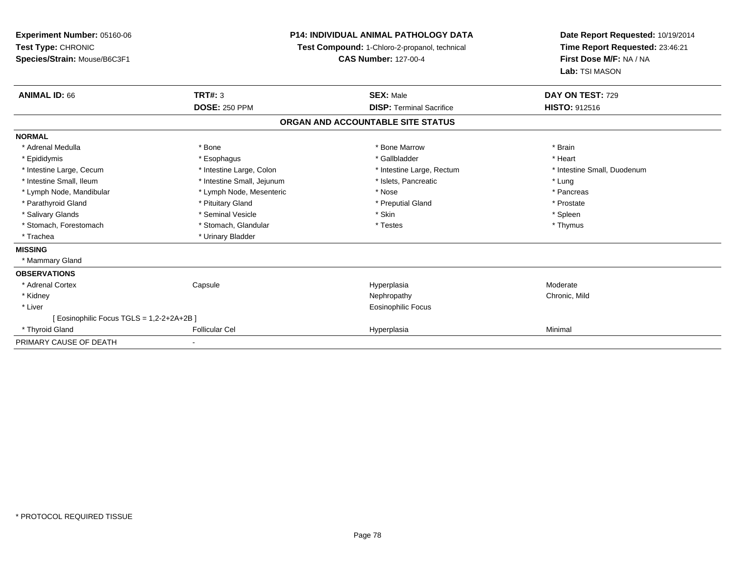| Experiment Number: 05160-06<br>Test Type: CHRONIC<br>Species/Strain: Mouse/B6C3F1 |                            | <b>P14: INDIVIDUAL ANIMAL PATHOLOGY DATA</b><br>Test Compound: 1-Chloro-2-propanol, technical<br><b>CAS Number: 127-00-4</b> | Date Report Requested: 10/19/2014<br>Time Report Requested: 23:46:21<br>First Dose M/F: NA / NA<br>Lab: TSI MASON |
|-----------------------------------------------------------------------------------|----------------------------|------------------------------------------------------------------------------------------------------------------------------|-------------------------------------------------------------------------------------------------------------------|
| <b>ANIMAL ID: 66</b>                                                              | <b>TRT#: 3</b>             | <b>SEX: Male</b>                                                                                                             | DAY ON TEST: 729                                                                                                  |
|                                                                                   | <b>DOSE: 250 PPM</b>       | <b>DISP: Terminal Sacrifice</b>                                                                                              | HISTO: 912516                                                                                                     |
|                                                                                   |                            | ORGAN AND ACCOUNTABLE SITE STATUS                                                                                            |                                                                                                                   |
| <b>NORMAL</b>                                                                     |                            |                                                                                                                              |                                                                                                                   |
| * Adrenal Medulla                                                                 | * Bone                     | * Bone Marrow                                                                                                                | * Brain                                                                                                           |
| * Epididymis                                                                      | * Esophagus                | * Gallbladder                                                                                                                | * Heart                                                                                                           |
| * Intestine Large, Cecum                                                          | * Intestine Large, Colon   | * Intestine Large, Rectum                                                                                                    | * Intestine Small, Duodenum                                                                                       |
| * Intestine Small. Ileum                                                          | * Intestine Small, Jejunum | * Islets. Pancreatic                                                                                                         | * Lung                                                                                                            |
| * Lymph Node, Mandibular                                                          | * Lymph Node, Mesenteric   | * Nose                                                                                                                       | * Pancreas                                                                                                        |
| * Parathyroid Gland                                                               | * Pituitary Gland          | * Preputial Gland                                                                                                            | * Prostate                                                                                                        |
| * Salivary Glands                                                                 | * Seminal Vesicle          | * Skin                                                                                                                       | * Spleen                                                                                                          |
| * Stomach, Forestomach                                                            | * Stomach, Glandular       | * Testes                                                                                                                     | * Thymus                                                                                                          |
| * Trachea                                                                         | * Urinary Bladder          |                                                                                                                              |                                                                                                                   |
| <b>MISSING</b>                                                                    |                            |                                                                                                                              |                                                                                                                   |
| * Mammary Gland                                                                   |                            |                                                                                                                              |                                                                                                                   |
| <b>OBSERVATIONS</b>                                                               |                            |                                                                                                                              |                                                                                                                   |
| * Adrenal Cortex                                                                  | Capsule                    | Hyperplasia                                                                                                                  | Moderate                                                                                                          |
| * Kidney                                                                          |                            | Nephropathy                                                                                                                  | Chronic, Mild                                                                                                     |
| * Liver                                                                           |                            | <b>Eosinophilic Focus</b>                                                                                                    |                                                                                                                   |
| [ Eosinophilic Focus TGLS = 1,2-2+2A+2B ]                                         |                            |                                                                                                                              |                                                                                                                   |
| * Thyroid Gland                                                                   | <b>Follicular Cel</b>      | Hyperplasia                                                                                                                  | Minimal                                                                                                           |
| PRIMARY CAUSE OF DEATH                                                            |                            |                                                                                                                              |                                                                                                                   |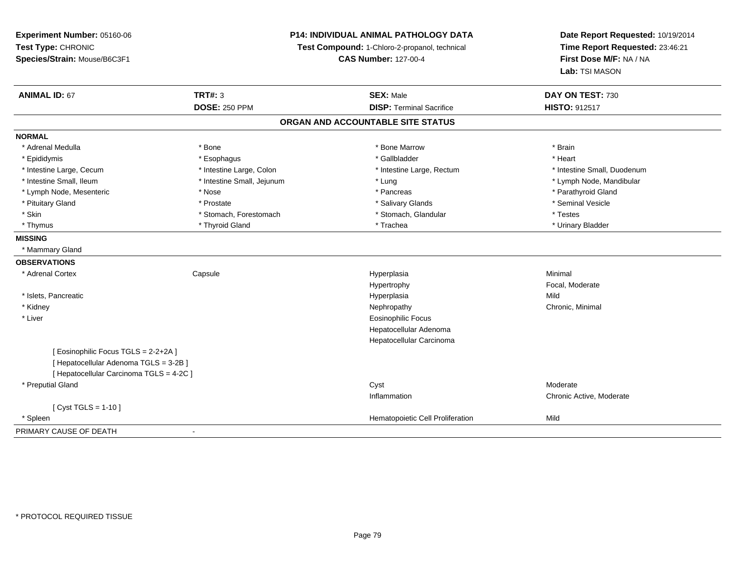**Experiment Number:** 05160-06**Test Type:** CHRONIC **Species/Strain:** Mouse/B6C3F1**P14: INDIVIDUAL ANIMAL PATHOLOGY DATATest Compound:** 1-Chloro-2-propanol, technical **CAS Number:** 127-00-4**Date Report Requested:** 10/19/2014**Time Report Requested:** 23:46:21**First Dose M/F:** NA / NA**Lab:** TSI MASON**ANIMAL ID:** 67**TRT#:** 3 **SEX:** Male **DAY ON TEST:** 730 **DOSE:** 250 PPM**DISP:** Terminal Sacrifice **HISTO:** 912517 **ORGAN AND ACCOUNTABLE SITE STATUSNORMAL**\* Adrenal Medulla \* \* Annual Medulla \* Brain \* Bone \* \* Bone Marrow \* Bone Marrow \* \* Brain \* Brain \* Brain \* Brain \* Brain \* Brain \* Brain \* Brain \* Brain \* Brain \* Brain \* Brain \* Brain \* Brain \* Brain \* Brain \* Brain \* \* Heart \* Epididymis \* Esophagus \* Gallbladder \* Heart \* Intestine Large, Cecum \* Intestine Large, Colon \* Intestine Large, Rectum \* Intestine Small, Duodenum \* Intestine Small, Ileum \* Intestine Small, Jejunum \* Lung \* Lymph Node, Mandibular\* Lymph Node, Mesenteric \* The state of the state of the state of the state of the state of the state of the state of the state of the state of the state of the state of the state of the state of the state of the state of \* Pituitary Gland \* \* \* \* Prostate \* \* Prostate \* \* Salivary Glands \* \* Salivary Glands \* \* Seminal Vesicle \* Skin \* Stomach, Forestomach \* Stomach \* Stomach, Stomach, Glandular \* Testes \* Testes \* Urinary Bladder \* Thymus \* Thyroid Gland \* Trachea \* Urinary Bladder \* **MISSING** \* Mammary Gland**OBSERVATIONS** \* Adrenal Cortex**Capsule**  Hyperplasia Minimal Hypertrophy Focal, Moderate \* Islets, Pancreaticc and the control of the control of the control of the control of the control of the control of the control of the control of the control of the control of the control of the control of the control of the control of the co a Mild \* Kidneyy the controller of the controller of the controller of the controller of the controller of the controller of the controller of the controller of the controller of the controller of the controller of the controller of the \* Liver Eosinophilic Focus Hepatocellular Adenoma Hepatocellular Carcinoma[ Eosinophilic Focus TGLS = 2-2+2A ][ Hepatocellular Adenoma TGLS = 3-2B ][ Hepatocellular Carcinoma TGLS = 4-2C ] \* Preputial Glandd and the control of the control of the control of the control of the control of the control of the control of the control of the control of the control of the control of the control of the control of the control of the co Inflammation Chronic Active, Moderate  $[$  Cyst TGLS = 1-10  $]$  \* SpleenHematopoietic Cell Proliferation Mild PRIMARY CAUSE OF DEATH-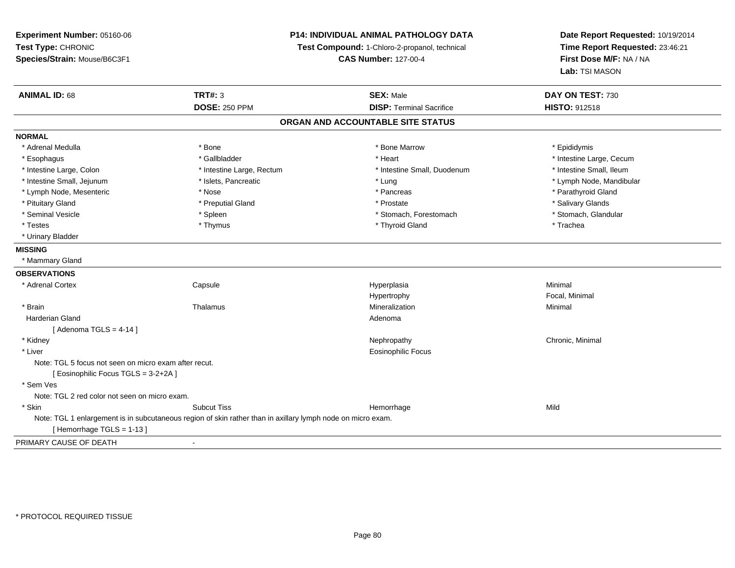**Experiment Number:** 05160-06**Test Type:** CHRONIC **Species/Strain:** Mouse/B6C3F1**P14: INDIVIDUAL ANIMAL PATHOLOGY DATATest Compound:** 1-Chloro-2-propanol, technical **CAS Number:** 127-00-4**Date Report Requested:** 10/19/2014**Time Report Requested:** 23:46:21**First Dose M/F:** NA / NA**Lab:** TSI MASON**ANIMAL ID:** 68**TRT#:** 3 **SEX:** Male **DAY ON TEST:** 730 **DOSE:** 250 PPM**DISP:** Terminal Sacrifice **HISTO:** 912518 **ORGAN AND ACCOUNTABLE SITE STATUSNORMAL**\* Adrenal Medulla \* Adrenal Medulla \* \* The matter of the state of the state of the Marrow \* Bone Marrow \* Adrenal Medulla \* Epididymis \* Epididymis \* Bone Marrow \* Adrenal Medulla \* Epididymis \* Epididymis \* Epididymis \* Epididymis \* Epidi \* Esophagus \* https://www.fragustage.com/web/2019/heart \* Heart \* Heart \* Heart \* Intestine Large, Cecum \* Intestine Large, Cecum \* Gallbladder \* Callbladder \* 11 and 12 and 12 and 12 and 12 and 12 and 12 and 12 and 12 and \* Intestine Small, Ileum \* Intestine Large, Colon \* Intestine Large, Rectum \* Intestine Small, Duodenum \* Intestine Small, Duodenum \* Intestine Small, Jejunum \* \* \* https://www.fat.com/setter/educition/setter/filesophysics.com/setter/filesophysics.com/setter/filesophysics.com/setter/filesophysics.com/setter/filesophysics.com/setter/filesophysics.com/se \* Lymph Node, Mesenteric \* The state of the state of the state of the state of the state of the state of the state of the state of the state of the state of the state of the state of the state of the state of the state of \* Pituitary Gland \* \* Then the state \* Preputial Gland \* Prosection \* Prostate \* \* Salivary Glands \* Salivary Glands \* Salivary Glands \* Salivary Glands \* Salivary Glands \* Salivary Glands \* Salivary Glands \* Salivary Glan \* Stomach, Glandular \* Seminal Vesicle \* Spleen \* Spleen \* Spleen \* Stomach, Forestomach \* Stomach, Forestomach \* Testes \* Thymus \* Thyroid Gland \* Trachea \* Urinary Bladder**MISSING** \* Mammary Gland**OBSERVATIONS** \* Adrenal Cortex Capsule Hyperplasia Minimal HypertrophyHypertrophy **Example 2018** Focal, Minimal Mineralization **Minimal**  \* Brainn and the matter of the Thalamus and the Minimal of the Minimal of the Minimal of the Minimal of the Minimal o<br>Thalamus and the Minimal of the Minimal of the Minimal of the Minimal of the Minimal of the Minimal of the Min Harderian Glandd and a state of the control of the control of the control of the control of the control of the control of the control of the control of the control of the control of the control of the control of the control of the contro  $[$  Adenoma TGLS = 4-14  $]$  \* Kidneyy the controller of the controller of the controller of the controller of the controller of the controller of the controller of the controller of the controller of the controller of the controller of the controller of the \* Liver Eosinophilic FocusNote: TGL 5 focus not seen on micro exam after recut.[ Eosinophilic Focus TGLS = 3-2+2A ] \* Sem Ves Note: TGL 2 red color not seen on micro exam. \* Skinn and the subcut Tiss the subset of the subset of the subset of the Subset of the Subset of the Subset of the Su Note: TGL 1 enlargement is in subcutaneous region of skin rather than in axillary lymph node on micro exam.[ Hemorrhage TGLS = 1-13 ]PRIMARY CAUSE OF DEATH-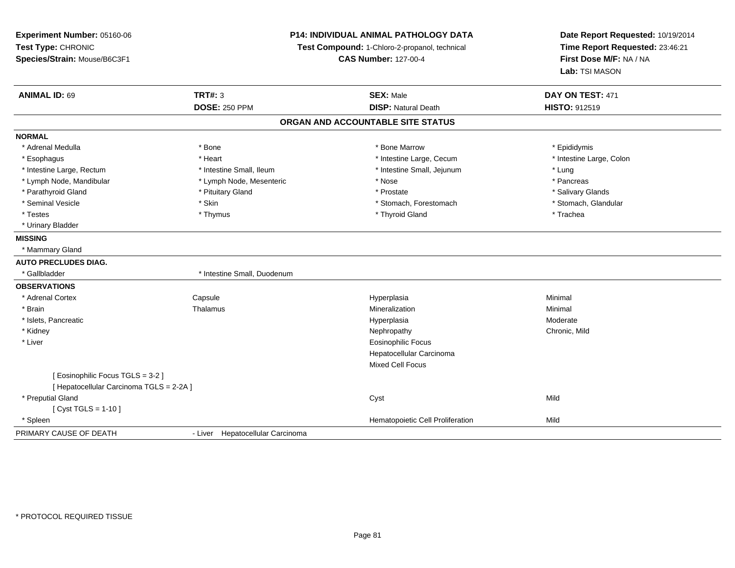| Experiment Number: 05160-06<br>Test Type: CHRONIC<br>Species/Strain: Mouse/B6C3F1 |                                  | <b>P14: INDIVIDUAL ANIMAL PATHOLOGY DATA</b><br>Test Compound: 1-Chloro-2-propanol, technical<br><b>CAS Number: 127-00-4</b> | Date Report Requested: 10/19/2014<br>Time Report Requested: 23:46:21<br>First Dose M/F: NA / NA<br>Lab: TSI MASON |
|-----------------------------------------------------------------------------------|----------------------------------|------------------------------------------------------------------------------------------------------------------------------|-------------------------------------------------------------------------------------------------------------------|
| <b>ANIMAL ID: 69</b>                                                              | <b>TRT#: 3</b>                   | <b>SEX: Male</b>                                                                                                             | DAY ON TEST: 471                                                                                                  |
|                                                                                   | <b>DOSE: 250 PPM</b>             | <b>DISP: Natural Death</b>                                                                                                   | HISTO: 912519                                                                                                     |
|                                                                                   |                                  | ORGAN AND ACCOUNTABLE SITE STATUS                                                                                            |                                                                                                                   |
| <b>NORMAL</b>                                                                     |                                  |                                                                                                                              |                                                                                                                   |
| * Adrenal Medulla                                                                 | * Bone                           | * Bone Marrow                                                                                                                | * Epididymis                                                                                                      |
| * Esophagus                                                                       | * Heart                          | * Intestine Large, Cecum                                                                                                     | * Intestine Large, Colon                                                                                          |
| * Intestine Large, Rectum                                                         | * Intestine Small, Ileum         | * Intestine Small, Jejunum                                                                                                   | * Lung                                                                                                            |
| * Lymph Node, Mandibular                                                          | * Lymph Node, Mesenteric         | * Nose                                                                                                                       | * Pancreas                                                                                                        |
| * Parathyroid Gland                                                               | * Pituitary Gland                | * Prostate                                                                                                                   | * Salivary Glands                                                                                                 |
| * Seminal Vesicle                                                                 | * Skin                           | * Stomach, Forestomach                                                                                                       | * Stomach, Glandular                                                                                              |
| * Testes                                                                          | * Thymus                         | * Thyroid Gland                                                                                                              | * Trachea                                                                                                         |
| * Urinary Bladder                                                                 |                                  |                                                                                                                              |                                                                                                                   |
| <b>MISSING</b>                                                                    |                                  |                                                                                                                              |                                                                                                                   |
| * Mammary Gland                                                                   |                                  |                                                                                                                              |                                                                                                                   |
| <b>AUTO PRECLUDES DIAG.</b>                                                       |                                  |                                                                                                                              |                                                                                                                   |
| * Gallbladder                                                                     | * Intestine Small, Duodenum      |                                                                                                                              |                                                                                                                   |
| <b>OBSERVATIONS</b>                                                               |                                  |                                                                                                                              |                                                                                                                   |
| * Adrenal Cortex                                                                  | Capsule                          | Hyperplasia                                                                                                                  | Minimal                                                                                                           |
| * Brain                                                                           | Thalamus                         | Mineralization                                                                                                               | Minimal                                                                                                           |
| * Islets, Pancreatic                                                              |                                  | Hyperplasia                                                                                                                  | Moderate                                                                                                          |
| * Kidney                                                                          |                                  | Nephropathy                                                                                                                  | Chronic, Mild                                                                                                     |
| * Liver                                                                           |                                  | <b>Eosinophilic Focus</b>                                                                                                    |                                                                                                                   |
|                                                                                   |                                  | Hepatocellular Carcinoma                                                                                                     |                                                                                                                   |
|                                                                                   |                                  | Mixed Cell Focus                                                                                                             |                                                                                                                   |
| [ Eosinophilic Focus TGLS = 3-2 ]                                                 |                                  |                                                                                                                              |                                                                                                                   |
| [ Hepatocellular Carcinoma TGLS = 2-2A ]                                          |                                  |                                                                                                                              |                                                                                                                   |
| * Preputial Gland                                                                 |                                  | Cyst                                                                                                                         | Mild                                                                                                              |
| [ $Cyst TGLS = 1-10$ ]                                                            |                                  |                                                                                                                              |                                                                                                                   |
| * Spleen                                                                          |                                  | Hematopoietic Cell Proliferation                                                                                             | Mild                                                                                                              |
| PRIMARY CAUSE OF DEATH                                                            | - Liver Hepatocellular Carcinoma |                                                                                                                              |                                                                                                                   |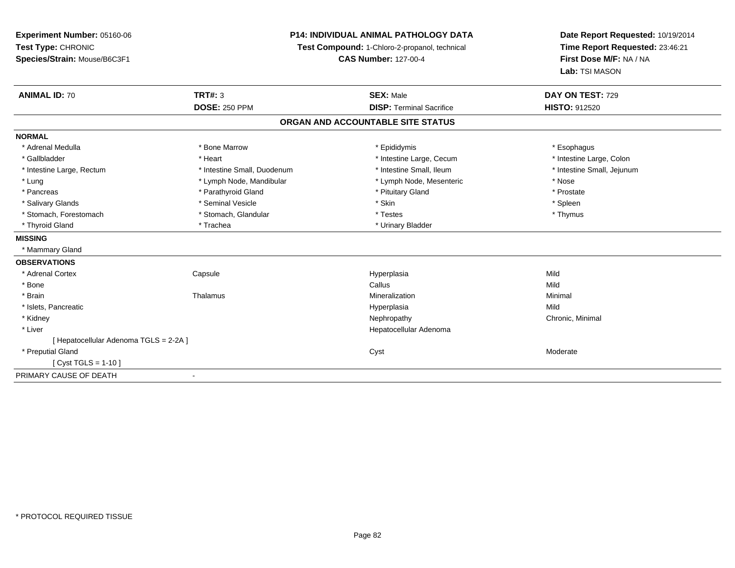**Experiment Number:** 05160-06**Test Type:** CHRONIC **Species/Strain:** Mouse/B6C3F1**P14: INDIVIDUAL ANIMAL PATHOLOGY DATATest Compound:** 1-Chloro-2-propanol, technical **CAS Number:** 127-00-4**Date Report Requested:** 10/19/2014**Time Report Requested:** 23:46:21**First Dose M/F:** NA / NA**Lab:** TSI MASON**ANIMAL ID:** 70**TRT#:** 3 **SEX:** Male **DAY ON TEST:** 729 **DOSE:** 250 PPM**DISP:** Terminal Sacrifice **HISTO:** 912520 **ORGAN AND ACCOUNTABLE SITE STATUSNORMAL**\* Adrenal Medulla \* Adrenal Medulla \* Bone Marrow \* Epididymis \* Esophagus\* Intestine Large, Colon \* Gallbladder \* The matter \* Heart \* Heart \* Intestine Large, Cecum \* Intestine Large, Cecum \* \* Intestine Small, Jejunum \* Intestine Large, Rectum \* Intestine Small, Duodenum \* Intestine Small, Duodenum \* \* Intestine Small, Ileum \* Lung \* Lymph Node, Mandibular \* Nose \* Lymph Node, Mesenteric \* Nose \* Nose \* Prostate \* Pancreas \* Parathyroid Gland \* Parathyroid Gland \* \* Prituitary Gland \* Spleen \* Salivary Glands \* \* \* Sheen \* Seminal Vesicle \* \* \* Stan \* \* Skin \* \* Skin \* \* Spleen \* \* Spleen \* \* Spleen \* \* Thymus \* Stomach, Forestomach \* Testes \* Stomach, Glandular \* Testes \* Testes \* Testes \* Testes \* Testes \* Testes \* T \* Thyroid Gland \* Trachea \* Trachea \* Trachea \* Urinary Bladder **MISSING** \* Mammary Gland**OBSERVATIONS** \* Adrenal Cortex**Capsule**  Hyperplasia Mild \* Bonee and the control of the control of the control of the control of the control of the control of the control of the control of the control of the control of the control of the control of the control of the control of the co \* Brainn and the matter of the Thalamus and the Minimal of the Minimal of the Minimal of the Minimal of the Minimal o<br>Thalamus and the Minimal of the Minimal of the Minimal of the Minimal of the Minimal of the Minimal of the Min \* Islets, Pancreaticc and the control of the control of the control of the control of the control of the control of the control of the control of the control of the control of the control of the control of the control of the control of the co a Mild \* Kidneyy the controller of the controller of the controller of the controller of the controller of the controller of the controller of the controller of the controller of the controller of the controller of the controller of the \* Liver Hepatocellular Adenoma[ Hepatocellular Adenoma TGLS = 2-2A ] \* Preputial Glandd and the control of the control of the control of the control of the control of the control of the control of the control of the control of the control of the control of the control of the control of the control of the co [ Cyst TGLS = 1-10 ]PRIMARY CAUSE OF DEATH-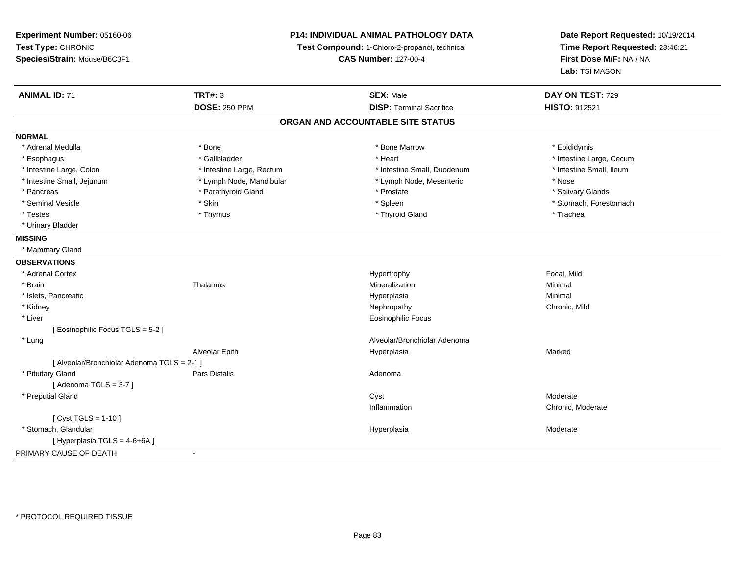**Experiment Number:** 05160-06**Test Type:** CHRONIC **Species/Strain:** Mouse/B6C3F1**P14: INDIVIDUAL ANIMAL PATHOLOGY DATATest Compound:** 1-Chloro-2-propanol, technical **CAS Number:** 127-00-4**Date Report Requested:** 10/19/2014**Time Report Requested:** 23:46:21**First Dose M/F:** NA / NA**Lab:** TSI MASON**ANIMAL ID:** 71**TRT#:** 3 **SEX:** Male **DAY ON TEST:** 729 **DOSE:** 250 PPM**DISP:** Terminal Sacrifice **HISTO:** 912521 **ORGAN AND ACCOUNTABLE SITE STATUSNORMAL**\* Adrenal Medulla \* Adrenal Medulla \* \* The matter of the state of the state of the Marrow \* Bone Marrow \* Adrenal Medulla \* Epididymis \* Epididymis \* Bone Marrow \* Adrenal Medulla \* Epididymis \* Epididymis \* Epididymis \* Epididymis \* Epidi \* Esophagus \* https://www.fragustage.com/web/2019/heart \* Heart \* Heart \* Heart \* Intestine Large, Cecum \* Intestine Large, Cecum \* Gallbladder \* Callbladder \* 11 and 12 and 12 and 12 and 12 and 12 and 12 and 12 and 12 and \* Intestine Small, Ileum \* Intestine Large, Colon \* Intestine Large, Rectum \* Intestine Small, Duodenum \* Intestine Small, Duodenum \* Intestine Small, Jejunum \* Lymph Node, Mandibular \* Lymph Node, Mesenteric \* Nose\* Salivary Glands \* Pancreas \* And the second term in the second term in the second term in the second term in the second term in the second term in the second term in the second term in the second term in the second term in the second term \* Seminal Vesicle \* The state of the set of the set of the set of the set of the set of the set of the set of the set of the set of the set of the set of the set of the set of the set of the set of the set of the set of th \* Testes \* Thymus \* Thyroid Gland \* Trachea \* Urinary Bladder**MISSING** \* Mammary Gland**OBSERVATIONS** \* Adrenal Cortexx and the state of the state of the state of the Hypertrophy Hypertrophy and the state of the Focal, Mild \* Brainn and the matter of the Thalamus and the Minimal of the Minimal of the Minimal of the Minimal of the Minimal o<br>Thalamus and the Minimal of the Minimal of the Minimal of the Minimal of the Minimal of the Minimal of the Min \* Islets, Pancreaticc and the control of the control of the control of the control of the control of the control of the control of the control of the control of the control of the control of the control of the control of the control of the co a **Minimal**  \* Kidneyy the controller of the controller of the controller of the controller of the controller of the chronic, Mild \* Liver Eosinophilic Focus[ Eosinophilic Focus TGLS = 5-2 ] \* LungAlveolar/Bronchiolar Adenoma<br>Hyperplasia Alveolar Epith Hyperplasia Marked [ Alveolar/Bronchiolar Adenoma TGLS = 2-1 ] \* Pituitary Glandd and the set of Pars Distalis and the Second Adenomal Adenomal Second Second Pars Distallis  $[$  Adenoma TGLS = 3-7  $]$  \* Preputial Glandd and the control of the control of the control of the control of the control of the control of the control of the control of the control of the control of the control of the control of the control of the control of the co Inflammation Chronic, Moderate  $[$  Cyst TGLS = 1-10  $]$  \* Stomach, Glandularr and the contract of the contract of the contract of the contract of the contract of the contract of the contract of the contract of the contract of the contract of the contract of the contract of the contract of the cont Hyperplasia Moderate [ Hyperplasia TGLS = 4-6+6A ]PRIMARY CAUSE OF DEATH-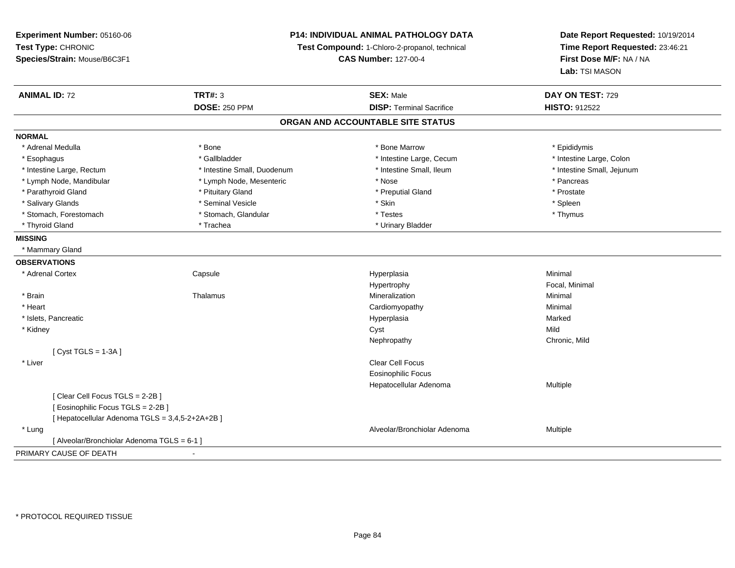**Experiment Number:** 05160-06**Test Type:** CHRONIC **Species/Strain:** Mouse/B6C3F1**P14: INDIVIDUAL ANIMAL PATHOLOGY DATATest Compound:** 1-Chloro-2-propanol, technical **CAS Number:** 127-00-4**Date Report Requested:** 10/19/2014**Time Report Requested:** 23:46:21**First Dose M/F:** NA / NA**Lab:** TSI MASON**ANIMAL ID:** 72 **TRT#:** <sup>3</sup> **SEX:** Male **DAY ON TEST:** <sup>729</sup> **DOSE:** 250 PPM**DISP:** Terminal Sacrifice **HISTO:** 912522 **ORGAN AND ACCOUNTABLE SITE STATUSNORMAL**\* Adrenal Medulla \* Adrenal Medulla \* \* The matter of the state of the state of the Marrow \* Bone Marrow \* Adrenal Medulla \* Epididymis \* Epididymis \* Bone Marrow \* Adrenal Medulla \* Epididymis \* Epididymis \* Epididymis \* Epididymis \* Epidi \* Intestine Large, Colon \* Esophagus \* Intestine Large, Cecum \* Callbladder \* 10 \* Intestine Large, Cecum \* Intestine Large, Cecum \* \* Intestine Large, Rectum \* Thestine Small, Duodenum \* Number of the small, Ileum \* Intestine Small, Jejunum \* Intestine Small, Jejunum \* Lymph Node, Mandibular \* The same \* Lymph Node, Mesenteric \* Nose \* Nose \* \* Nose \* \* Pancreas \* Pancreas \* Prostate \* Parathyroid Gland \* **All and \* Pituitary Gland \* Prostate and \* Preputial Gland** \* Preputial Gland \* Spleen \* Salivary Glands \* \* \* Sheen \* Seminal Vesicle \* \* \* Stan \* \* Skin \* \* Skin \* \* Spleen \* \* Spleen \* \* Spleen \* \* Thymus \* Stomach, Forestomach \* Testes \* Stomach, Glandular \* Testes \* Testes \* Testes \* Testes \* Testes \* Testes \* T \* Thyroid Gland \* Trachea \* Trachea \* Trachea \* Urinary Bladder **MISSING** \* Mammary Gland**OBSERVATIONS** \* Adrenal Cortex**Capsule**  Hyperplasia Minimal Hypertrophy Focal, Minimal \* Brainn and the matter of the Thalamus and the Minimal of the Minimal of the Minimal of the Minimal of the Minimal o<br>Thalamus and the Minimal of the Minimal of the Minimal of the Minimal of the Minimal of the Minimal of the Min \* Heart Cardiomyopathy Minimal \* Islets, Pancreaticc and the control of the control of the control of the control of the control of the control of the control of the control of the control of the control of the control of the control of the control of the control of the co a **Marked**  \* Kidneyy and the control of the control of the control of the control of the control of the control of the control of the control of the control of the control of the control of the control of the control of the control of the co y **Chronic, Mild** Nephropathy[ Cyst TGLS = 1-3A ] \* Liverr and the contract of the contract of the contract of the contract of the contract of the contract of the contract of the contract of the contract of the contract of the contract of the contract of the contract of the cont Eosinophilic Focus Hepatocellular Adenoma Multiple [ Clear Cell Focus TGLS = 2-2B ][ Eosinophilic Focus TGLS = 2-2B ][ Hepatocellular Adenoma TGLS = 3,4,5-2+2A+2B ] \* LungAlveolar/Bronchiolar Adenoma<br>
Multiple [ Alveolar/Bronchiolar Adenoma TGLS = 6-1 ]PRIMARY CAUSE OF DEATH-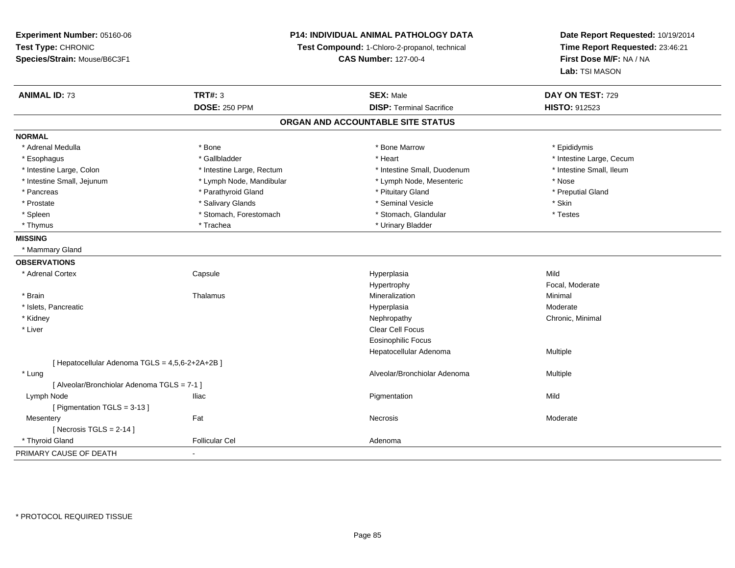**Experiment Number:** 05160-06**Test Type:** CHRONIC **Species/Strain:** Mouse/B6C3F1**P14: INDIVIDUAL ANIMAL PATHOLOGY DATATest Compound:** 1-Chloro-2-propanol, technical **CAS Number:** 127-00-4**ANIMAL ID:** 73 **TRT#:** <sup>3</sup> **SEX:** Male **DAY ON TEST:** <sup>729</sup> **DOSE:** 250 PPM**DISP:** Terminal Sacrifice **HISTO:** 912523 **ORGAN AND ACCOUNTABLE SITE STATUSNORMAL**\* Adrenal Medulla \* Adrenal Medulla \* \* The matter of the state of the state of the Marrow \* Bone Marrow \* Adrenal Medulla \* Epididymis \* Epididymis \* Bone Marrow \* Adrenal Medulla \* Epididymis \* Epididymis \* Epididymis \* Epididymis \* Epidi \* Esophagus \* https://www.fragustage.com/web/2019/heart \* Heart \* Heart \* Heart \* Intestine Large, Cecum \* Intestine Large, Cecum \* Gallbladder \* Callbladder \* 11 and 12 and 12 and 12 and 12 and 12 and 12 and 12 and 12 and \* Intestine Small, Ileum \* Intestine Large, Colon \* Intestine Large, Rectum \* Intestine Small, Duodenum \* Intestine Small, Duodenum \* Intestine Small, Jejunum \* Lymph Node, Mandibular \* Lymph Node, Mesenteric \* Nose\* Preputial Gland \* Pancreas \* \* Parathyroid Gland \* \* Parathyroid Gland \* \* Pituitary Gland \* \* Preputial Gland \* \* Preputial Gland \* Prostate \* \* Salivary Glands \* \* Salivary Glands \* \* Seminal Vesicle \* \* \* Seminal Yestrich \* \* Skin \* \* Skin \* Testes \* Spleen \* Stomach, Forestomach \* Stomach \* Stomach, Glandular \* Stomach, Glandular \* Thymus \* Trachea \* Urinary Bladder \* Urinary Bladder \* Urinary Bladder \* Urinary Bladder **MISSING** \* Mammary Gland**OBSERVATIONS** \* Adrenal Cortex**Capsule**  Hyperplasia Mild Hypertrophy Focal, Moderate \* Brainn and the matter of the Thalamus and the Minimal of the Minimal of the Minimal of the Minimal of the Minimal o<br>Thalamus and the Minimal of the Minimal of the Minimal of the Minimal of the Minimal of the Minimal of the Min \* Islets, Pancreaticc and the control of the control of the control of the control of the control of the control of the control of the control of the control of the control of the control of the control of the control of the control of the co a **Moderate**  \* Kidneyy the controller of the controller of the controller of the controller of the controller of the controller of the controller of the controller of the controller of the controller of the controller of the controller of the \* Liverr and the contract of the contract of the contract of the contract of the contract of the contract of the contract of the contract of the contract of the contract of the contract of the contract of the contract of the cont Eosinophilic Focus Hepatocellular Adenoma Multiple [ Hepatocellular Adenoma TGLS = 4,5,6-2+2A+2B ] \* Lungg and the state of the state of the state of the state of the Multiple of the Sheed and Alveolar/Bronchiolar Adenoma<br>Alveolar/Bronchiolar Adenoma and Multiple [ Alveolar/Bronchiolar Adenoma TGLS = 7-1 ] Lymph Node Iliac Pigmentation Mild [ Pigmentation TGLS = 3-13 ]**Mesentery** y the control of the set of the control of the Moderate of the Moderate of the Moderate of the Moderate of the Moderate of the Moderate of the Moderate of the Moderate of the Moderate of the Moderate of the Moderate of the  $[$  Necrosis TGLS = 2-14  $]$ 

d **Example 2018** Follicular Cel **Adenoma** Adenoma and Adenoma and Adenoma and Adenoma and Adenoma and Adenoma and Adenoma and Adenoma and Adenoma and Adenoma and Adenoma and Adenoma and Adenoma and Adenoma and Adenoma and

-

**Date Report Requested:** 10/19/2014**Time Report Requested:** 23:46:21**First Dose M/F:** NA / NA**Lab:** TSI MASON

PRIMARY CAUSE OF DEATH

\* Thyroid Gland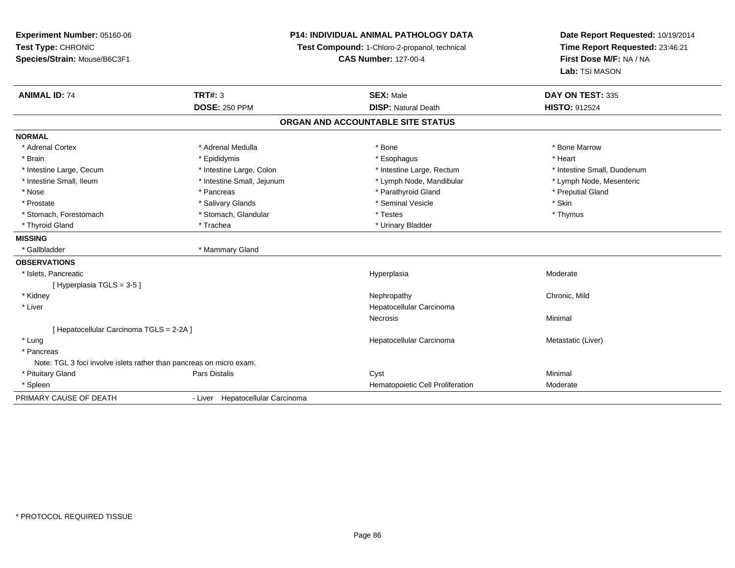**Experiment Number:** 05160-06**Test Type:** CHRONIC **Species/Strain:** Mouse/B6C3F1**P14: INDIVIDUAL ANIMAL PATHOLOGY DATATest Compound:** 1-Chloro-2-propanol, technical **CAS Number:** 127-00-4**Date Report Requested:** 10/19/2014**Time Report Requested:** 23:46:21**First Dose M/F:** NA / NA**Lab:** TSI MASON**ANIMAL ID:** 74 **TRT#:** <sup>3</sup> **SEX:** Male **DAY ON TEST:** <sup>335</sup> **DOSE:** 250 PPM**DISP:** Natural Death **HISTO:** 912524 **ORGAN AND ACCOUNTABLE SITE STATUSNORMAL**\* Adrenal Cortex \* Adrenal Medulla \* Adrenal Medulla \* Bone \* Bone \* Bone \* Bone \* Bone Marrow \* Brain \* \* Esophagus \* \* Esophagus \* \* Esophagus \* \* Esophagus \* \* Esophagus \* Heart \* Heart \* Heart \* Heart \* Intestine Large, Cecum \* Intestine Large, Colon \* Intestine Large, Rectum \* Intestine Small, Duodenum\* Lymph Node, Mesenteric \* Intestine Small, Ileum \* Intestine Small, Jejunum \* Lymph Node, Mandibular \* Lymph Node, Mandibular \* Nose \* Pancreas \* Parathyroid Gland \* Preputial Gland \* Prostate \* \* Salivary Glands \* \* Salivary Glands \* \* Seminal Vesicle \* \* \* Seminal Yestrich \* \* Skin \* \* Skin \* Thymus \* Stomach, Forestomach \* Testes \* Stomach, Glandular \* Testes \* Testes \* Testes \* Testes \* Testes \* Testes \* T \* Thyroid Gland \* Trachea \* Trachea \* Trachea \* Urinary Bladder **MISSING**\* Gallbladder \* Mammary Gland **OBSERVATIONS** \* Islets, Pancreaticc and the control of the control of the control of the control of the control of the control of the control of the control of the control of the control of the control of the control of the control of the control of the co Hyperplasia et al. et al. et al. et al. et al. et al. et al. et al. et al. et al. et al. et al. et al. et al. e [ Hyperplasia TGLS = 3-5 ] \* Kidneyy the controller of the controller of the controller of the controller of the controller of the chronic, Mild \* Liver Hepatocellular CarcinomaNecrosis Minimal [ Hepatocellular Carcinoma TGLS = 2-2A ] \* Lungg and the state of the state of the state of the state of the Hepatocellular Carcinoma and the Metastatic (Liver) \* Pancreas Note: TGL 3 foci involve islets rather than pancreas on micro exam. \* Pituitary Gland Pars Distalis Cyst Minimal \* SpleenHematopoietic Cell Proliferation Moderate PRIMARY CAUSE OF DEATH- Liver Hepatocellular Carcinoma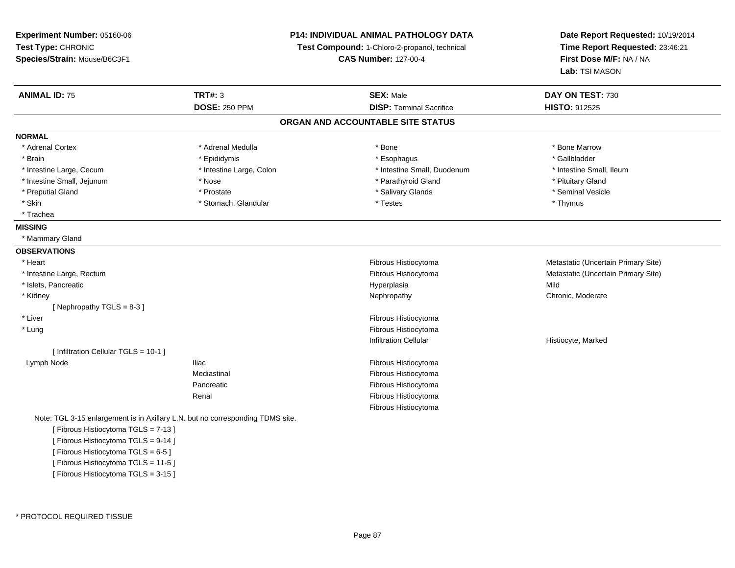| Experiment Number: 05160-06                                                    |                                                                              | P14: INDIVIDUAL ANIMAL PATHOLOGY DATA | Date Report Requested: 10/19/2014                          |
|--------------------------------------------------------------------------------|------------------------------------------------------------------------------|---------------------------------------|------------------------------------------------------------|
| Test Type: CHRONIC                                                             | Test Compound: 1-Chloro-2-propanol, technical<br><b>CAS Number: 127-00-4</b> |                                       | Time Report Requested: 23:46:21<br>First Dose M/F: NA / NA |
| Species/Strain: Mouse/B6C3F1                                                   |                                                                              |                                       |                                                            |
|                                                                                |                                                                              |                                       | Lab: TSI MASON                                             |
| <b>ANIMAL ID: 75</b>                                                           | <b>TRT#: 3</b>                                                               | <b>SEX: Male</b>                      | DAY ON TEST: 730                                           |
|                                                                                | <b>DOSE: 250 PPM</b>                                                         | <b>DISP: Terminal Sacrifice</b>       | HISTO: 912525                                              |
|                                                                                |                                                                              | ORGAN AND ACCOUNTABLE SITE STATUS     |                                                            |
| <b>NORMAL</b>                                                                  |                                                                              |                                       |                                                            |
| * Adrenal Cortex                                                               | * Adrenal Medulla                                                            | * Bone                                | * Bone Marrow                                              |
| * Brain                                                                        | * Epididymis                                                                 | * Esophagus                           | * Gallbladder                                              |
| * Intestine Large, Cecum                                                       | * Intestine Large, Colon                                                     | * Intestine Small, Duodenum           | * Intestine Small, Ileum                                   |
| * Intestine Small, Jejunum                                                     | * Nose                                                                       | * Parathyroid Gland                   | * Pituitary Gland                                          |
| * Preputial Gland                                                              | * Prostate                                                                   | * Salivary Glands                     | * Seminal Vesicle                                          |
| * Skin                                                                         | * Stomach, Glandular                                                         | * Testes                              | * Thymus                                                   |
| * Trachea                                                                      |                                                                              |                                       |                                                            |
| <b>MISSING</b>                                                                 |                                                                              |                                       |                                                            |
| * Mammary Gland                                                                |                                                                              |                                       |                                                            |
| <b>OBSERVATIONS</b>                                                            |                                                                              |                                       |                                                            |
| * Heart                                                                        |                                                                              | Fibrous Histiocytoma                  | Metastatic (Uncertain Primary Site)                        |
| * Intestine Large, Rectum                                                      |                                                                              | Fibrous Histiocytoma                  | Metastatic (Uncertain Primary Site)                        |
| * Islets, Pancreatic                                                           |                                                                              | Hyperplasia                           | Mild                                                       |
| * Kidney                                                                       |                                                                              | Nephropathy                           | Chronic, Moderate                                          |
| [Nephropathy TGLS = $8-3$ ]                                                    |                                                                              |                                       |                                                            |
| * Liver                                                                        |                                                                              | Fibrous Histiocytoma                  |                                                            |
| * Lung                                                                         |                                                                              | Fibrous Histiocytoma                  |                                                            |
|                                                                                |                                                                              | <b>Infiltration Cellular</b>          | Histiocyte, Marked                                         |
| [ Infiltration Cellular TGLS = 10-1 ]                                          |                                                                              |                                       |                                                            |
| Lymph Node                                                                     | Iliac                                                                        | Fibrous Histiocytoma                  |                                                            |
|                                                                                | Mediastinal                                                                  | Fibrous Histiocytoma                  |                                                            |
|                                                                                | Pancreatic                                                                   | Fibrous Histiocytoma                  |                                                            |
|                                                                                | Renal                                                                        | Fibrous Histiocytoma                  |                                                            |
|                                                                                |                                                                              | Fibrous Histiocytoma                  |                                                            |
| Note: TGL 3-15 enlargement is in Axillary L.N. but no corresponding TDMS site. |                                                                              |                                       |                                                            |
| [Fibrous Histiocytoma TGLS = 7-13]                                             |                                                                              |                                       |                                                            |
| [Fibrous Histiocytoma TGLS = 9-14]                                             |                                                                              |                                       |                                                            |
| [Fibrous Histiocytoma TGLS = 6-5]                                              |                                                                              |                                       |                                                            |
| [Fibrous Histiocytoma TGLS = 11-5]                                             |                                                                              |                                       |                                                            |

[ Fibrous Histiocytoma TGLS = 3-15 ]

\* PROTOCOL REQUIRED TISSUE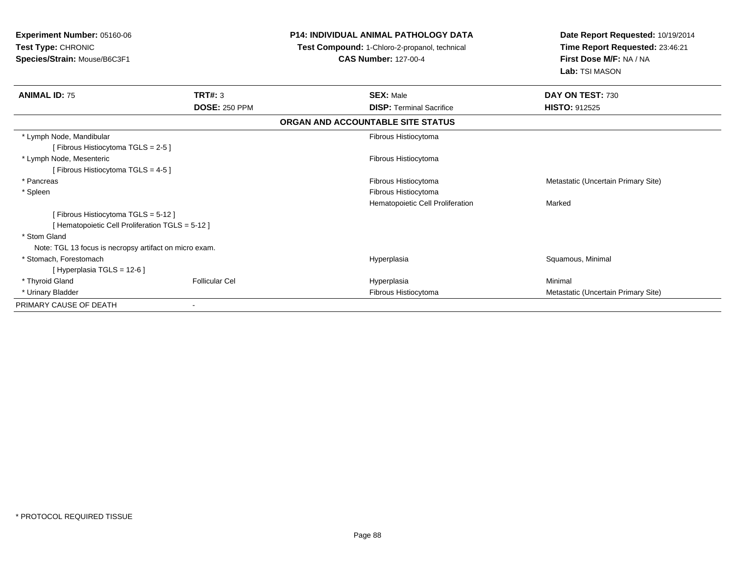| <b>Experiment Number: 05160-06</b><br>Test Type: CHRONIC<br>Species/Strain: Mouse/B6C3F1 |                       | <b>P14: INDIVIDUAL ANIMAL PATHOLOGY DATA</b>                                 | Date Report Requested: 10/19/2014                                            |
|------------------------------------------------------------------------------------------|-----------------------|------------------------------------------------------------------------------|------------------------------------------------------------------------------|
|                                                                                          |                       | Test Compound: 1-Chloro-2-propanol, technical<br><b>CAS Number: 127-00-4</b> | Time Report Requested: 23:46:21<br>First Dose M/F: NA / NA<br>Lab: TSI MASON |
| <b>ANIMAL ID: 75</b>                                                                     | <b>TRT#: 3</b>        | <b>SEX: Male</b>                                                             | DAY ON TEST: 730                                                             |
|                                                                                          | <b>DOSE: 250 PPM</b>  | <b>DISP: Terminal Sacrifice</b>                                              | <b>HISTO: 912525</b>                                                         |
|                                                                                          |                       | ORGAN AND ACCOUNTABLE SITE STATUS                                            |                                                                              |
| * Lymph Node, Mandibular                                                                 |                       | Fibrous Histiocytoma                                                         |                                                                              |
| [Fibrous Histiocytoma TGLS = 2-5]                                                        |                       |                                                                              |                                                                              |
| * Lymph Node, Mesenteric                                                                 |                       | Fibrous Histiocytoma                                                         |                                                                              |
| [Fibrous Histiocytoma TGLS = 4-5]                                                        |                       |                                                                              |                                                                              |
| * Pancreas                                                                               |                       | Fibrous Histiocytoma                                                         | Metastatic (Uncertain Primary Site)                                          |
| * Spleen                                                                                 |                       | Fibrous Histiocytoma                                                         |                                                                              |
|                                                                                          |                       | Hematopoietic Cell Proliferation                                             | Marked                                                                       |
| [Fibrous Histiocytoma TGLS = 5-12]                                                       |                       |                                                                              |                                                                              |
| [Hematopoietic Cell Proliferation TGLS = 5-12]                                           |                       |                                                                              |                                                                              |
| * Stom Gland                                                                             |                       |                                                                              |                                                                              |
| Note: TGL 13 focus is necropsy artifact on micro exam.                                   |                       |                                                                              |                                                                              |
| * Stomach, Forestomach                                                                   |                       | Hyperplasia                                                                  | Squamous, Minimal                                                            |
| [Hyperplasia TGLS = 12-6]                                                                |                       |                                                                              |                                                                              |
| * Thyroid Gland                                                                          | <b>Follicular Cel</b> | Hyperplasia                                                                  | Minimal                                                                      |
| * Urinary Bladder                                                                        |                       | Fibrous Histiocytoma                                                         | Metastatic (Uncertain Primary Site)                                          |
| PRIMARY CAUSE OF DEATH                                                                   |                       |                                                                              |                                                                              |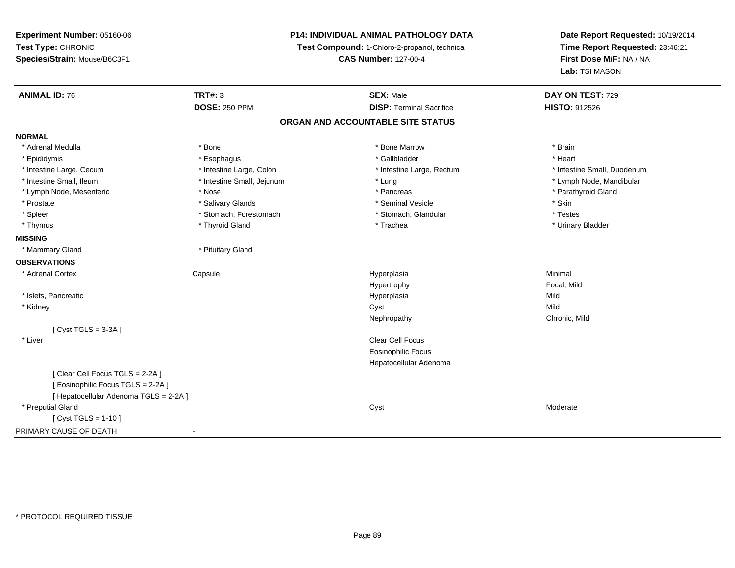**Experiment Number:** 05160-06**Test Type:** CHRONIC **Species/Strain:** Mouse/B6C3F1**P14: INDIVIDUAL ANIMAL PATHOLOGY DATATest Compound:** 1-Chloro-2-propanol, technical **CAS Number:** 127-00-4**Date Report Requested:** 10/19/2014**Time Report Requested:** 23:46:21**First Dose M/F:** NA / NA**Lab:** TSI MASON**ANIMAL ID:** 76 **TRT#:** <sup>3</sup> **SEX:** Male **DAY ON TEST:** <sup>729</sup> **DOSE:** 250 PPM**DISP:** Terminal Sacrifice **HISTO:** 912526 **ORGAN AND ACCOUNTABLE SITE STATUSNORMAL**\* Adrenal Medulla \* \* Annual Medulla \* Brain \* Bone \* \* Bone Marrow \* Bone Marrow \* \* Brain \* Brain \* Brain \* Brain \* Brain \* Brain \* Brain \* Brain \* Brain \* Brain \* Brain \* Brain \* Brain \* Brain \* Brain \* Brain \* Brain \* \* Heart \* Epididymis \* Esophagus \* Gallbladder \* Heart\* Intestine Large, Cecum \* Intestine Large, Colon \* Intestine Large, Thestine Large, Rectum \* Intestine Small, Duodenum \* Intestine Small, Ileum \* Intestine Small, Jejunum \* Lung \* Lymph Node, Mandibular\* Lymph Node, Mesenteric \* The state of the state of the state of the state of the state of the state of the state of the state of the state of the state of the state of the state of the state of the state of the state of \* Prostate \* \* Salivary Glands \* \* Salivary Glands \* \* Seminal Vesicle \* \* \* Seminal Yestrich \* \* Skin \* \* Skin \* Testes \* Spleen \* Stomach, Forestomach \* Stomach \* Stomach, Glandular \* Stomach, Glandular \* Urinary Bladder \* Thymus \* Thyroid Gland \* Trachea \* Urinary Bladder \* **MISSING** \* Mammary Gland \* Pituitary Gland**OBSERVATIONS** \* Adrenal Cortex**Capsule**  Hyperplasia Minimal Hypertrophy Focal, Mild \* Islets, Pancreaticc and the control of the control of the control of the control of the control of the control of the control of the control of the control of the control of the control of the control of the control of the control of the co a Mild \* Kidneyy and the control of the control of the control of the control of the control of the control of the control of the control of the control of the control of the control of the control of the control of the control of the co y **Chronic, Mild** Nephropathy $[$  Cyst TGLS = 3-3A  $]$  \* Liverr and the contract of the contract of the contract of the contract of the contract of the contract of the contract of the contract of the contract of the contract of the contract of the contract of the contract of the cont Eosinophilic Focus Hepatocellular Adenoma[ Clear Cell Focus TGLS = 2-2A ][ Eosinophilic Focus TGLS = 2-2A ][ Hepatocellular Adenoma TGLS = 2-2A ] \* Preputial Glandd and the control of the control of the control of the control of the control of the control of the control of the control of the control of the control of the control of the control of the control of the control of the co [ Cyst TGLS = 1-10 ]PRIMARY CAUSE OF DEATH-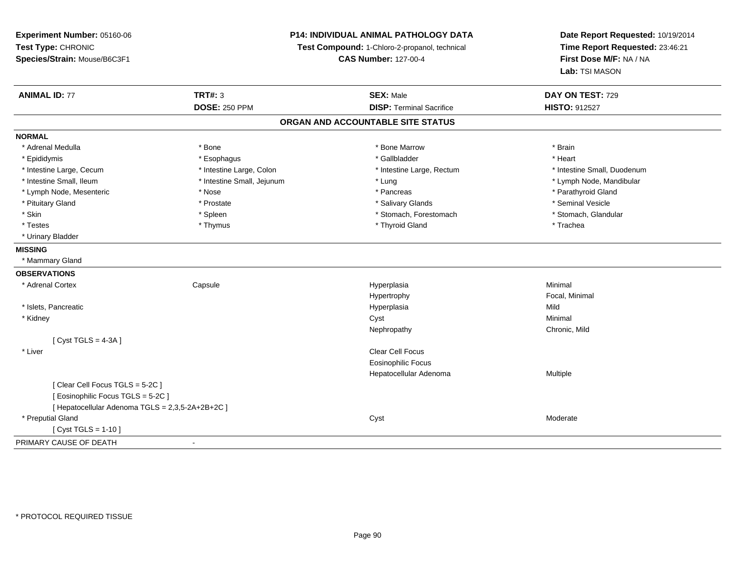| Experiment Number: 05160-06                      |                                               | <b>P14: INDIVIDUAL ANIMAL PATHOLOGY DATA</b> | Date Report Requested: 10/19/2014 |
|--------------------------------------------------|-----------------------------------------------|----------------------------------------------|-----------------------------------|
| Test Type: CHRONIC                               | Test Compound: 1-Chloro-2-propanol, technical |                                              | Time Report Requested: 23:46:21   |
| Species/Strain: Mouse/B6C3F1                     |                                               | <b>CAS Number: 127-00-4</b>                  | First Dose M/F: NA / NA           |
|                                                  |                                               |                                              | Lab: TSI MASON                    |
| <b>ANIMAL ID: 77</b>                             | <b>TRT#: 3</b>                                | <b>SEX: Male</b>                             | DAY ON TEST: 729                  |
|                                                  | <b>DOSE: 250 PPM</b>                          | <b>DISP: Terminal Sacrifice</b>              | HISTO: 912527                     |
|                                                  |                                               | ORGAN AND ACCOUNTABLE SITE STATUS            |                                   |
| <b>NORMAL</b>                                    |                                               |                                              |                                   |
| * Adrenal Medulla                                | * Bone                                        | * Bone Marrow                                | * Brain                           |
| * Epididymis                                     | * Esophagus                                   | * Gallbladder                                | * Heart                           |
| * Intestine Large, Cecum                         | * Intestine Large, Colon                      | * Intestine Large, Rectum                    | * Intestine Small, Duodenum       |
| * Intestine Small, Ileum                         | * Intestine Small, Jejunum                    | * Lung                                       | * Lymph Node, Mandibular          |
| * Lymph Node, Mesenteric                         | * Nose                                        | * Pancreas                                   | * Parathyroid Gland               |
| * Pituitary Gland                                | * Prostate                                    | * Salivary Glands                            | * Seminal Vesicle                 |
| * Skin                                           | * Spleen                                      | * Stomach, Forestomach                       | * Stomach, Glandular              |
| * Testes                                         | * Thymus                                      | * Thyroid Gland                              | * Trachea                         |
| * Urinary Bladder                                |                                               |                                              |                                   |
| <b>MISSING</b>                                   |                                               |                                              |                                   |
| * Mammary Gland                                  |                                               |                                              |                                   |
| <b>OBSERVATIONS</b>                              |                                               |                                              |                                   |
| * Adrenal Cortex                                 | Capsule                                       | Hyperplasia                                  | Minimal                           |
|                                                  |                                               | Hypertrophy                                  | Focal, Minimal                    |
| * Islets, Pancreatic                             |                                               | Hyperplasia                                  | Mild                              |
| * Kidney                                         |                                               | Cyst                                         | Minimal                           |
|                                                  |                                               | Nephropathy                                  | Chronic, Mild                     |
| [Cyst TGLS = $4-3A$ ]                            |                                               |                                              |                                   |
| * Liver                                          |                                               | Clear Cell Focus                             |                                   |
|                                                  |                                               | <b>Eosinophilic Focus</b>                    |                                   |
|                                                  |                                               | Hepatocellular Adenoma                       | Multiple                          |
| [Clear Cell Focus TGLS = 5-2C]                   |                                               |                                              |                                   |
| [Eosinophilic Focus TGLS = 5-2C]                 |                                               |                                              |                                   |
| [ Hepatocellular Adenoma TGLS = 2,3,5-2A+2B+2C ] |                                               |                                              |                                   |
| * Preputial Gland                                |                                               | Cyst                                         | Moderate                          |
| [Cyst TGLS = $1-10$ ]                            |                                               |                                              |                                   |
| PRIMARY CAUSE OF DEATH                           | $\blacksquare$                                |                                              |                                   |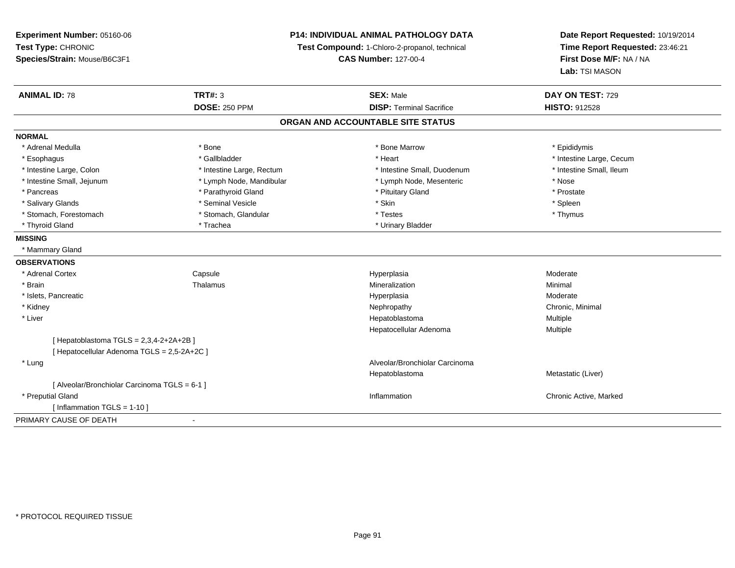**Experiment Number:** 05160-06**Test Type:** CHRONIC **Species/Strain:** Mouse/B6C3F1**P14: INDIVIDUAL ANIMAL PATHOLOGY DATATest Compound:** 1-Chloro-2-propanol, technical **CAS Number:** 127-00-4**Date Report Requested:** 10/19/2014**Time Report Requested:** 23:46:21**First Dose M/F:** NA / NA**Lab:** TSI MASON**ANIMAL ID:** 78**TRT#:** 3 **SEX:** Male **DAY ON TEST:** 729 **DOSE:** 250 PPM**DISP:** Terminal Sacrifice **HISTO:** 912528 **ORGAN AND ACCOUNTABLE SITE STATUSNORMAL**\* Adrenal Medulla \* Adrenal Medulla \* \* The matter of the state of the state of the Marrow \* Bone Marrow \* Adrenal Medulla \* Epididymis \* Epididymis \* Bone Marrow \* Adrenal Medulla \* Epididymis \* Epididymis \* Epididymis \* Epididymis \* Epidi \* Esophagus \* https://www.fragustage.com/web/2019/heart \* Heart \* Heart \* Heart \* Intestine Large, Cecum \* Intestine Large, Cecum \* Gallbladder \* Callbladder \* 11 and 12 and 12 and 12 and 12 and 12 and 12 and 12 and 12 and \* Intestine Small, Ileum \* Intestine Large, Colon \* Intestine Large, Rectum \* Intestine Small, Duodenum \* Intestine Small, Duodenum \* Intestine Small, Jejunum \* Lymph Node, Mandibular \* Lymph Node, Mesenteric \* Nose\* Prostate \* Pancreas \* Parathyroid Gland \* Parathyroid Gland \* Parathyroid Gland \* Prituitary Gland \* Spleen \* Salivary Glands \* \* \* Sheen \* Seminal Vesicle \* \* \* Stan \* \* Skin \* \* Skin \* \* Spleen \* \* Spleen \* \* Spleen \* \* Thymus \* Stomach, Forestomach \* Testes \* Stomach, Glandular \* Testes \* Testes \* Testes \* Testes \* Testes \* Testes \* T \* Thyroid Gland \* Trachea \* Trachea \* Trachea \* Urinary Bladder **MISSING** \* Mammary Gland**OBSERVATIONS** \* Adrenal CortexCapsule<br>Thalamus e and the Hyperplasia Moderate Moderate and the Hyperplasia method of the Moderate Moderate  $\mathsf{M}$  \* Brainn and the matter of the Thalamus and the Minimal of the Minimal of the Minimal of the Minimal of the Minimal o<br>Thalamus and the Minimal of the Minimal of the Minimal of the Minimal of the Minimal of the Minimal of the Min \* Islets, Pancreaticc and the control of the control of the control of the control of the control of the control of the control of the control of the control of the control of the control of the control of the control of the control of the co Moderate \* Kidneyy the controller of the controller of the controller of the controller of the controller of the controller of the controller of the controller of the controller of the controller of the controller of the controller of the \* Liver Hepatoblastoma Multiple Hepatocellular Adenoma Multiple [ Hepatoblastoma  $TGLS = 2,3,4-2+2A+2B$  ] [ Hepatocellular Adenoma TGLS = 2,5-2A+2C ] \* Lung Alveolar/Bronchiolar Carcinoma Hepatoblastoma Metastatic (Liver) [ Alveolar/Bronchiolar Carcinoma TGLS = 6-1 ] \* Preputial Glandd the controller controller controller that the controller controller controller controller controller controller controller controller controller controller controller controller controller controller controller controlle [ Inflammation TGLS = 1-10 ]PRIMARY CAUSE OF DEATH-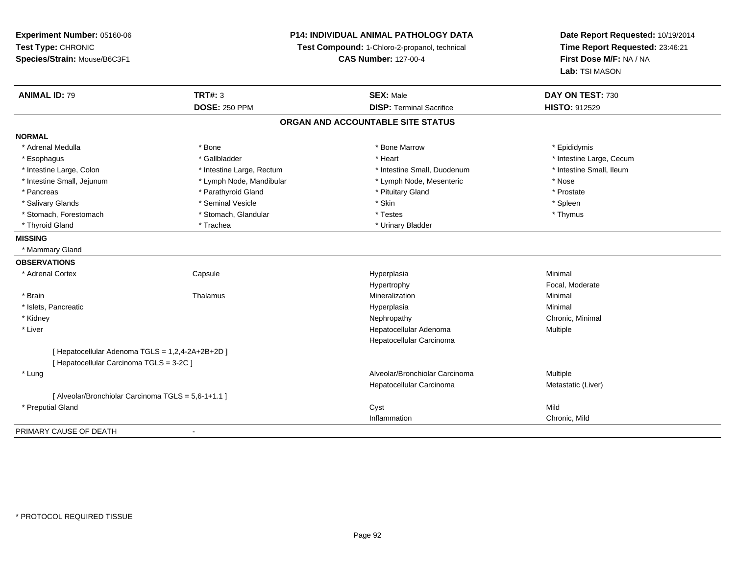**Experiment Number:** 05160-06**Test Type:** CHRONIC **Species/Strain:** Mouse/B6C3F1**P14: INDIVIDUAL ANIMAL PATHOLOGY DATATest Compound:** 1-Chloro-2-propanol, technical **CAS Number:** 127-00-4**Date Report Requested:** 10/19/2014**Time Report Requested:** 23:46:21**First Dose M/F:** NA / NA**Lab:** TSI MASON**ANIMAL ID:** 79 **TRT#:** <sup>3</sup> **SEX:** Male **DAY ON TEST:** <sup>730</sup> **DOSE:** 250 PPM**DISP:** Terminal Sacrifice **HISTO:** 912529 **ORGAN AND ACCOUNTABLE SITE STATUSNORMAL**\* Adrenal Medulla \* Adrenal Medulla \* \* The matter of the state of the state of the Marrow \* Bone Marrow \* Adrenal Medulla \* Epididymis \* Epididymis \* Bone Marrow \* Adrenal Medulla \* Epididymis \* Epididymis \* Epididymis \* Epididymis \* Epidi \* Esophagus \* https://www.fragustage.com/web/2019/heart \* Heart \* Heart \* Heart \* Intestine Large, Cecum \* Intestine Large, Cecum \* Gallbladder \* Callbladder \* 11 and 12 and 12 and 12 and 12 and 12 and 12 and 12 and 12 and \* Intestine Small, Ileum \* Intestine Large, Colon \* Intestine Large, Rectum \* Intestine Small, Duodenum \* Intestine Small, Duodenum \* Intestine Small, Jejunum \* Lymph Node, Mandibular \* Lymph Node, Mesenteric \* Nose\* Prostate \* Pancreas \* Parathyroid Gland \* Parathyroid Gland \* Parathyroid Gland \* Prituitary Gland \* Spleen \* Salivary Glands \* \* \* Sheen \* Seminal Vesicle \* \* \* Stan \* \* Skin \* \* Skin \* \* Spleen \* \* Spleen \* \* Spleen \* \* Thymus \* Stomach, Forestomach \* Testes \* Stomach, Glandular \* Testes \* Testes \* Testes \* Testes \* Testes \* Testes \* T \* Thyroid Gland \* Trachea \* Trachea \* Trachea \* Urinary Bladder **MISSING** \* Mammary Gland**OBSERVATIONS** \* Adrenal Cortex**Capsule**  Hyperplasia Minimal Hypertrophy Focal, Moderate \* Brainn and the matter of the Thalamus and the Minimal of the Minimal of the Minimal of the Minimal of the Minimal o<br>Thalamus and the Minimal of the Minimal of the Minimal of the Minimal of the Minimal of the Minimal of the Min \* Islets, Pancreaticc and the control of the control of the control of the control of the control of the control of the control of the control of the control of the control of the control of the control of the control of the control of the co a **Minimal**  \* Kidneyy the controller of the controller of the controller of the controller of the controller of the controller of the controller of the controller of the controller of the controller of the controller of the controller of the \* Liver Hepatocellular Adenoma Multiple Hepatocellular Carcinoma[ Hepatocellular Adenoma TGLS = 1,2,4-2A+2B+2D ][ Hepatocellular Carcinoma TGLS = 3-2C ] \* LungAlveolar/Bronchiolar Carcinoma<br>
Multiple Hepatocellular Carcinoma Metastatic (Liver) [ Alveolar/Bronchiolar Carcinoma TGLS = 5,6-1+1.1 ] \* Preputial Glandd and the control of the control of the control of the control of the control of the control of the control of the control of the control of the control of the control of the control of the control of the control of the co Inflammation Chronic, Mild PRIMARY CAUSE OF DEATH-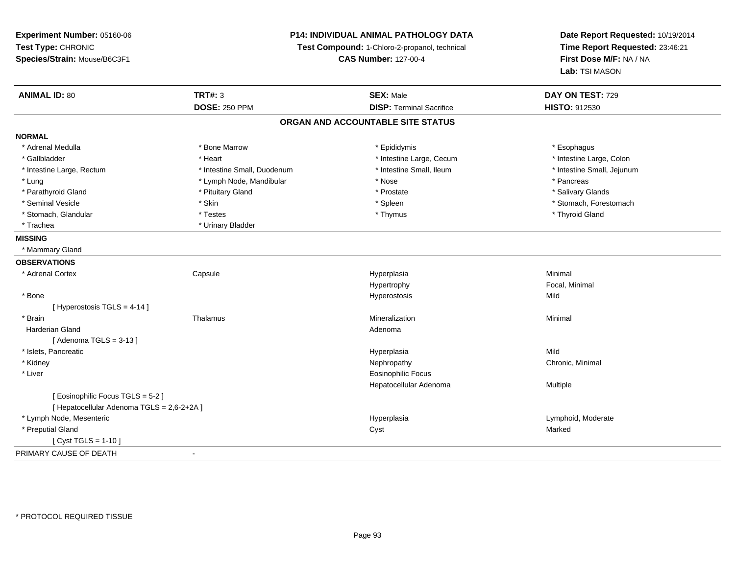**Experiment Number:** 05160-06**Test Type:** CHRONIC **Species/Strain:** Mouse/B6C3F1**P14: INDIVIDUAL ANIMAL PATHOLOGY DATATest Compound:** 1-Chloro-2-propanol, technical **CAS Number:** 127-00-4**Date Report Requested:** 10/19/2014**Time Report Requested:** 23:46:21**First Dose M/F:** NA / NA**Lab:** TSI MASON**ANIMAL ID:** 80**TRT#:** 3 **SEX:** Male **DAY ON TEST:** 729 **DOSE:** 250 PPM**DISP:** Terminal Sacrifice **HISTO:** 912530 **ORGAN AND ACCOUNTABLE SITE STATUSNORMAL**\* Adrenal Medulla \* Adrenal Medulla \* Bone Marrow \* Epididymis \* Esophagus\* Intestine Large, Colon \* Gallbladder \* The mode of the state of the state of the state of the state of the state of the state of the state of the state of the state of the state of the state of the state of the state of the state of the state of \* Intestine Large, Rectum \* Thestine Small, Duodenum \* Number of the small, Ileum \* Intestine Small, Jejunum \* Intestine Small, Jejunum \* Lung \* Lymph Node, Mandibular \* \* Nose \* \* Nose \* \* Pancreas \* Pancreas \* Pancreas \* Pancreas \* Pancreas \* Pancreas \* Pancreas \* Pancreas \* Pancreas \* Pancreas \* Pancreas \* Pancreas \* Pancreas \* Pancreas \* Pancreas \* Pan \* Salivary Glands \* Parathyroid Gland \* \* \* Pituitary Gland \* \* Prostate \* \* Prostate \* \* Salivary Glands \* Salivary Glands \* Salivary Glands \* Salivary Glands \* Salivary Glands \* Salivary Glands \* Salivary Glands \* Salivary Glands \* Saliva \* Seminal Vesicle \* The state of the set of the set of the set of the set of the set of the set of the set of the set of the set of the set of the set of the set of the set of the set of the set of the set of the set of th \* Stomach, Glandular \* \* \* Thyroid Glandular \* Thestes \* \* Thymus \* Thymus \* Thyroid Glandular \* Thyroid Gland \* Trachea \* Urinary Bladder**MISSING** \* Mammary Gland**OBSERVATIONS** \* Adrenal Cortex**Capsule**  Hyperplasia Minimal Hypertrophy Focal, Minimal \* Bone Hyperostosis Mild [ Hyperostosis TGLS = 4-14 ] \* Brainn and the matter of the Thalamus and the Minimal of the Minimal of the Minimal of the Minimal of the Minimal o<br>Thalamus and the Minimal of the Minimal of the Minimal of the Minimal of the Minimal of the Minimal of the Min Harderian Glandd and a state of the control of the control of the control of the control of the control of the control of the control of the control of the control of the control of the control of the control of the control of the contro  $[$  Adenoma TGLS = 3-13  $]$  \* Islets, Pancreaticc and the control of the control of the control of the control of the control of the control of the control of the control of the control of the control of the control of the control of the control of the control of the co a Mild \* Kidneyy the controller of the controller of the controller of the controller of the controller of the controller of the controller of the controller of the controller of the controller of the controller of the controller of the \* Liver Eosinophilic Focus Hepatocellular Adenoma Multiple [ Eosinophilic Focus TGLS = 5-2 ][ Hepatocellular Adenoma TGLS = 2,6-2+2A ] \* Lymph Node, Mesentericc and the contract of the contract of the contract of the contract of the contract of the contract of the contract of the contract of the contract of the contract of the contract of the contract of the contract of the cont Hyperplasia and a community controller that the Uymphoid, Moderate Cystal Cystal Cystal Cystal Marked \* Preputial Glandd and the control of the control of the control of the control of the control of the control of the control of the control of the control of the control of the control of the control of the control of the control of the co [ Cyst TGLS = 1-10 ]PRIMARY CAUSE OF DEATH-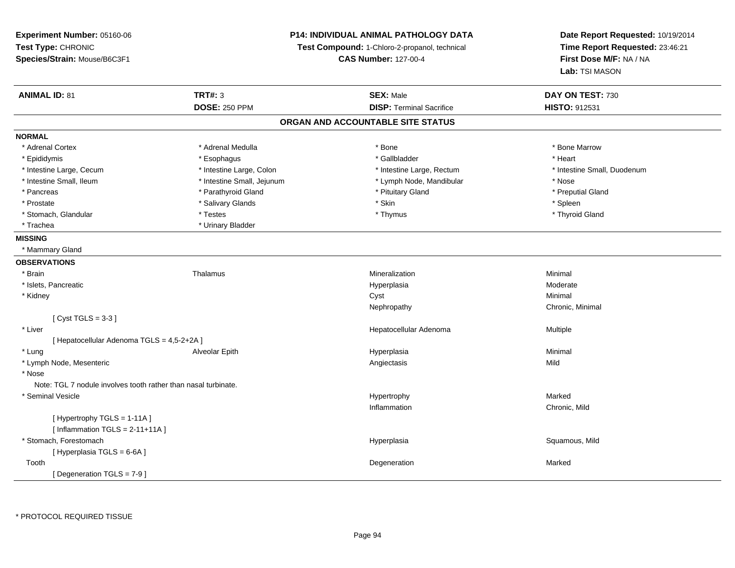**Experiment Number:** 05160-06**Test Type:** CHRONIC **Species/Strain:** Mouse/B6C3F1**P14: INDIVIDUAL ANIMAL PATHOLOGY DATATest Compound:** 1-Chloro-2-propanol, technical **CAS Number:** 127-00-4**Date Report Requested:** 10/19/2014**Time Report Requested:** 23:46:21**First Dose M/F:** NA / NA**Lab:** TSI MASON**ANIMAL ID:** 81**TRT#:** 3 **SEX:** Male **DAY ON TEST:** 730 **DOSE:** 250 PPM**DISP:** Terminal Sacrifice **HISTO:** 912531 **ORGAN AND ACCOUNTABLE SITE STATUSNORMAL**\* Adrenal Cortex \* Adrenal Medulla \* Adrenal Medulla \* Bone \* Bone \* Bone \* Bone \* Bone Marrow \* Epididymis \* Esophagus \* Gallbladder \* Heart \* Intestine Large, Cecum \* Intestine Large, Colon \* Intestine Large, Rectum \* Intestine Small, Duodenum \* Intestine Small, Ileum \* Intestine Small, Jejunum \* Lymph Node, Mandibular \* Nose\* Preputial Gland \* Pancreas \* \* Parathyroid Gland \* \* Parathyroid Gland \* \* Pituitary Gland \* \* Preputial Gland \* \* Preputial Gland \* Prostate \* \* Sheen \* Salivary Glands \* \* Salivary Glands \* \* Skin \* \* Skin \* \* Spleen \* Spleen \* Spleen \* Spleen \* Spleen \* \* Spleen \* \* Spleen \* \* Spleen \* \* Spleen \* \* Spleen \* \* Spleen \* \* Spleen \* \* Spleen \* \* Spleen \* Thyroid Gland \* Stomach, Glandular \* Thestes \* Testes \* The store \* Thymus \* Thymus \* Thymus \* Thymus \* Thymus \* Thymus \* Thymus \* Thymus \* Thymus \* Thymus \* Thymus \* Thymus \* Thymus \* Thymus \* Thymus \* Thymus \* Thymus \* Thymus \* Thymus \* Trachea \* Urinary Bladder**MISSING** \* Mammary Gland**OBSERVATIONS** \* Brainn and the matter of the Thalamus and the Minimal of the Minimal of the Minimal of the Minimal of the Minimal o<br>Thalamus and the Minimal of the Minimal of the Minimal of the Minimal of the Minimal of the Minimal of the Min \* Islets, Pancreaticc and the contract of the contract of the contract of the contract of the contract of the contract of the contract of the contract of the contract of the contract of the contract of the contract of the contract of the cont a **Moderate**  \* Kidneyy the control of the control of the control of the control of the control of the control of the control of the control of the control of the control of the control of the control of the control of the control of the contro Nephropathy Chronic, Minimal [ Cyst TGLS = 3-3 ] \* Liver Hepatocellular Adenoma Multiple [ Hepatocellular Adenoma TGLS = 4,5-2+2A ] \* Lung Alveolar Epith Hyperplasia Minimal \* Lymph Node, Mesenteric Angiectasis Mild \* Nose Note: TGL 7 nodule involves tooth rather than nasal turbinate. \* Seminal Vesiclee which is a state of the controller of the controller of the Hypertrophy controller that  $\mathsf{H}\mathsf{y}$  and  $\mathsf{H}\mathsf{y}$  and  $\mathsf{H}\mathsf{y}$  and  $\mathsf{H}\mathsf{y}$  and  $\mathsf{H}\mathsf{y}$  and  $\mathsf{H}\mathsf{y}$  and  $\mathsf{H}\mathsf{y}$  and  $\mathsf{H$ Inflammation Chronic, Mild [ Hypertrophy TGLS = 1-11A ] $[$  Inflammation TGLS = 2-11+11A  $]$  \* Stomach, Forestomachh ann an t-ìre ann an t-ìre ann an t-ìre ann an t-ìre ann an t-ìre ann an t-ìre ann an t-ìre ann an Squamous, Mild  $[$  Hyperplasia TGLS = 6-6A  $]$  Toothh and the control of the control of the control of the control of the control of the control of the control of the control of the control of the control of the control of the control of the control of the control of the co [ Degeneration TGLS = 7-9 ]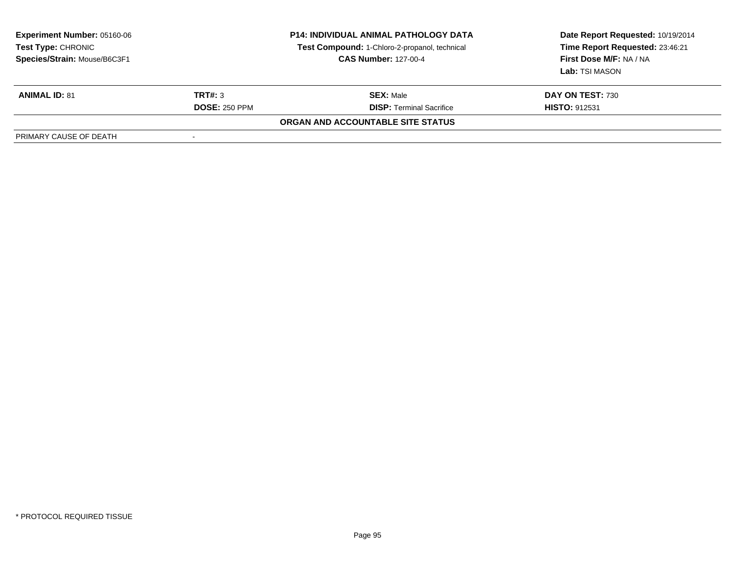| <b>Experiment Number: 05160-06</b><br>Test Type: CHRONIC<br>Species/Strain: Mouse/B6C3F1 | <b>P14: INDIVIDUAL ANIMAL PATHOLOGY DATA</b><br>Test Compound: 1-Chloro-2-propanol, technical<br><b>CAS Number: 127-00-4</b> |                                   | Date Report Requested: 10/19/2014<br>Time Report Requested: 23:46:21<br>First Dose M/F: NA / NA<br>Lab: TSI MASON |
|------------------------------------------------------------------------------------------|------------------------------------------------------------------------------------------------------------------------------|-----------------------------------|-------------------------------------------------------------------------------------------------------------------|
| <b>ANIMAL ID: 81</b>                                                                     | TRT#: 3                                                                                                                      | <b>SEX: Male</b>                  | <b>DAY ON TEST: 730</b>                                                                                           |
|                                                                                          | <b>DOSE: 250 PPM</b>                                                                                                         | <b>DISP:</b> Terminal Sacrifice   | <b>HISTO: 912531</b>                                                                                              |
|                                                                                          |                                                                                                                              | ORGAN AND ACCOUNTABLE SITE STATUS |                                                                                                                   |
| PRIMARY CAUSE OF DEATH                                                                   |                                                                                                                              |                                   |                                                                                                                   |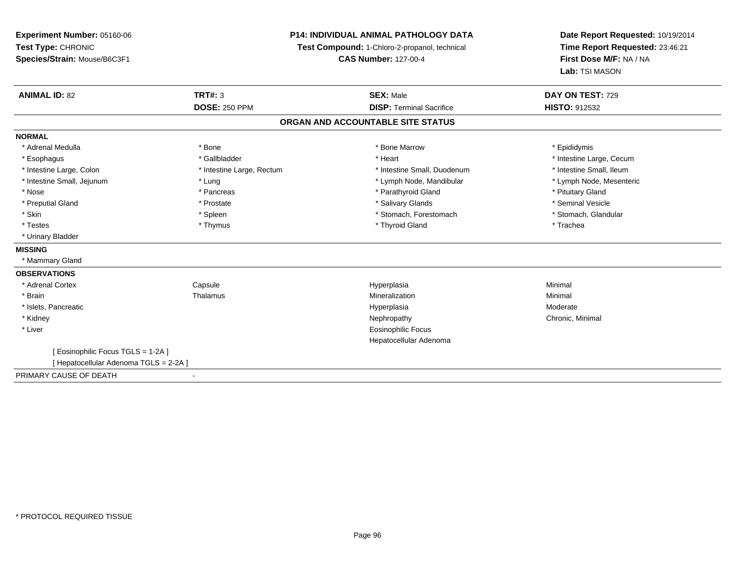**Experiment Number:** 05160-06**Test Type:** CHRONIC**Species/Strain:** Mouse/B6C3F1

## **P14: INDIVIDUAL ANIMAL PATHOLOGY DATA**

**Test Compound:** 1-Chloro-2-propanol, technical

**CAS Number:** 127-00-4

**Date Report Requested:** 10/19/2014**Time Report Requested:** 23:46:21**First Dose M/F:** NA / NA**Lab:** TSI MASON

| <b>ANIMAL ID: 82</b>                   | <b>TRT#: 3</b>            | <b>SEX: Male</b>                  | DAY ON TEST: 729         |
|----------------------------------------|---------------------------|-----------------------------------|--------------------------|
|                                        | <b>DOSE: 250 PPM</b>      | <b>DISP: Terminal Sacrifice</b>   | <b>HISTO: 912532</b>     |
|                                        |                           | ORGAN AND ACCOUNTABLE SITE STATUS |                          |
| <b>NORMAL</b>                          |                           |                                   |                          |
| * Adrenal Medulla                      | * Bone                    | * Bone Marrow                     | * Epididymis             |
| * Esophagus                            | * Gallbladder             | * Heart                           | * Intestine Large, Cecum |
| * Intestine Large, Colon               | * Intestine Large, Rectum | * Intestine Small, Duodenum       | * Intestine Small, Ileum |
| * Intestine Small, Jejunum             | * Lung                    | * Lymph Node, Mandibular          | * Lymph Node, Mesenteric |
| * Nose                                 | * Pancreas                | * Parathyroid Gland               | * Pituitary Gland        |
| * Preputial Gland                      | * Prostate                | * Salivary Glands                 | * Seminal Vesicle        |
| * Skin                                 | * Spleen                  | * Stomach, Forestomach            | * Stomach, Glandular     |
| * Testes                               | * Thymus                  | * Thyroid Gland                   | * Trachea                |
| * Urinary Bladder                      |                           |                                   |                          |
| <b>MISSING</b>                         |                           |                                   |                          |
| * Mammary Gland                        |                           |                                   |                          |
| <b>OBSERVATIONS</b>                    |                           |                                   |                          |
| * Adrenal Cortex                       | Capsule                   | Hyperplasia                       | Minimal                  |
| * Brain                                | Thalamus                  | Mineralization                    | Minimal                  |
| * Islets, Pancreatic                   |                           | Hyperplasia                       | Moderate                 |
| * Kidney                               |                           | Nephropathy                       | Chronic, Minimal         |
| * Liver                                |                           | <b>Eosinophilic Focus</b>         |                          |
|                                        |                           | Hepatocellular Adenoma            |                          |
| [ Eosinophilic Focus TGLS = 1-2A ]     |                           |                                   |                          |
| [ Hepatocellular Adenoma TGLS = 2-2A ] |                           |                                   |                          |
| PRIMARY CAUSE OF DEATH                 |                           |                                   |                          |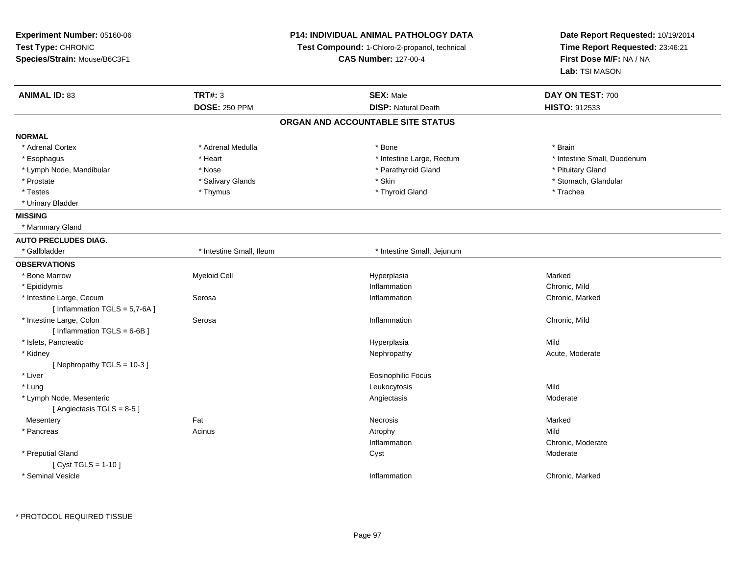| Experiment Number: 05160-06     |                                                                              | <b>P14: INDIVIDUAL ANIMAL PATHOLOGY DATA</b> | Date Report Requested: 10/19/2014                          |
|---------------------------------|------------------------------------------------------------------------------|----------------------------------------------|------------------------------------------------------------|
| Test Type: CHRONIC              | Test Compound: 1-Chloro-2-propanol, technical<br><b>CAS Number: 127-00-4</b> |                                              | Time Report Requested: 23:46:21<br>First Dose M/F: NA / NA |
| Species/Strain: Mouse/B6C3F1    |                                                                              |                                              |                                                            |
|                                 |                                                                              |                                              | Lab: TSI MASON                                             |
| <b>ANIMAL ID: 83</b>            | <b>TRT#: 3</b>                                                               | <b>SEX: Male</b>                             | DAY ON TEST: 700                                           |
|                                 | <b>DOSE: 250 PPM</b>                                                         | <b>DISP: Natural Death</b>                   | HISTO: 912533                                              |
|                                 |                                                                              | ORGAN AND ACCOUNTABLE SITE STATUS            |                                                            |
| <b>NORMAL</b>                   |                                                                              |                                              |                                                            |
| * Adrenal Cortex                | * Adrenal Medulla                                                            | $*$ Bone                                     | * Brain                                                    |
| * Esophagus                     | * Heart                                                                      | * Intestine Large, Rectum                    | * Intestine Small, Duodenum                                |
| * Lymph Node, Mandibular        | * Nose                                                                       | * Parathyroid Gland                          | * Pituitary Gland                                          |
| * Prostate                      | * Salivary Glands                                                            | * Skin                                       | * Stomach, Glandular                                       |
| * Testes                        | * Thymus                                                                     | * Thyroid Gland                              | * Trachea                                                  |
| * Urinary Bladder               |                                                                              |                                              |                                                            |
| <b>MISSING</b>                  |                                                                              |                                              |                                                            |
| * Mammary Gland                 |                                                                              |                                              |                                                            |
| <b>AUTO PRECLUDES DIAG.</b>     |                                                                              |                                              |                                                            |
| * Gallbladder                   | * Intestine Small, Ileum                                                     | * Intestine Small, Jejunum                   |                                                            |
| <b>OBSERVATIONS</b>             |                                                                              |                                              |                                                            |
| * Bone Marrow                   | <b>Myeloid Cell</b>                                                          | Hyperplasia                                  | Marked                                                     |
| * Epididymis                    |                                                                              | Inflammation                                 | Chronic, Mild                                              |
| * Intestine Large, Cecum        | Serosa                                                                       | Inflammation                                 | Chronic, Marked                                            |
| [Inflammation $TGLS = 5,7-6A$ ] |                                                                              |                                              |                                                            |
| * Intestine Large, Colon        | Serosa                                                                       | Inflammation                                 | Chronic, Mild                                              |
| [Inflammation $TGLS = 6-6B$ ]   |                                                                              |                                              |                                                            |
| * Islets, Pancreatic            |                                                                              | Hyperplasia                                  | Mild                                                       |
| * Kidney                        |                                                                              | Nephropathy                                  | Acute, Moderate                                            |
| [Nephropathy TGLS = 10-3]       |                                                                              |                                              |                                                            |
| * Liver                         |                                                                              | Eosinophilic Focus                           |                                                            |
| * Lung                          |                                                                              | Leukocytosis                                 | Mild                                                       |
| * Lymph Node, Mesenteric        |                                                                              | Angiectasis                                  | Moderate                                                   |
| [Angiectasis TGLS = 8-5]        |                                                                              |                                              |                                                            |
| Mesentery                       | Fat                                                                          | Necrosis                                     | Marked                                                     |
| * Pancreas                      | Acinus                                                                       | Atrophy                                      | Mild                                                       |
|                                 |                                                                              | Inflammation                                 | Chronic, Moderate                                          |
| * Preputial Gland               |                                                                              | Cyst                                         | Moderate                                                   |
| [ $Cyst TGLS = 1-10$ ]          |                                                                              |                                              |                                                            |
| * Seminal Vesicle               |                                                                              | Inflammation                                 | Chronic, Marked                                            |
|                                 |                                                                              |                                              |                                                            |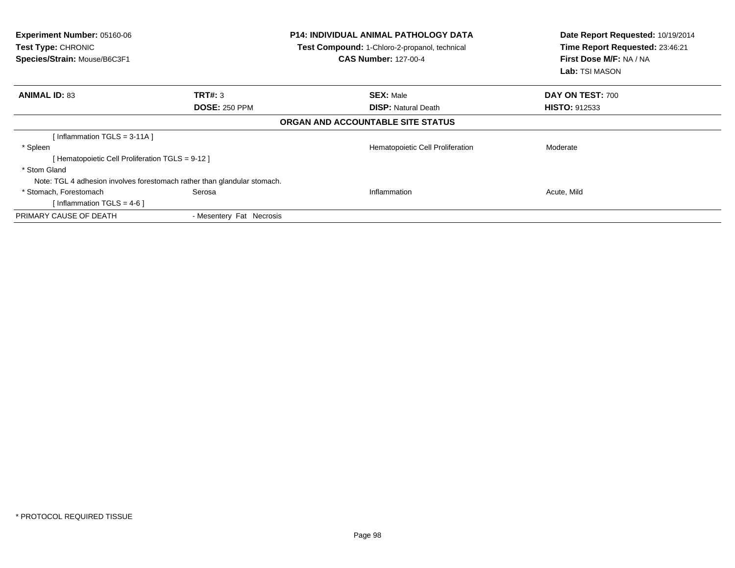| <b>Experiment Number: 05160-06</b><br>Test Type: CHRONIC<br>Species/Strain: Mouse/B6C3F1 |                          | <b>P14: INDIVIDUAL ANIMAL PATHOLOGY DATA</b><br>Test Compound: 1-Chloro-2-propanol, technical<br><b>CAS Number: 127-00-4</b> | Date Report Requested: 10/19/2014<br>Time Report Requested: 23:46:21<br>First Dose M/F: NA / NA<br><b>Lab: TSI MASON</b> |  |
|------------------------------------------------------------------------------------------|--------------------------|------------------------------------------------------------------------------------------------------------------------------|--------------------------------------------------------------------------------------------------------------------------|--|
| <b>ANIMAL ID: 83</b>                                                                     | TRT#: 3                  | <b>SEX: Male</b>                                                                                                             | DAY ON TEST: 700                                                                                                         |  |
|                                                                                          | <b>DOSE: 250 PPM</b>     | <b>DISP: Natural Death</b>                                                                                                   | <b>HISTO: 912533</b>                                                                                                     |  |
|                                                                                          |                          | ORGAN AND ACCOUNTABLE SITE STATUS                                                                                            |                                                                                                                          |  |
| Inflammation TGLS = 3-11A 1                                                              |                          |                                                                                                                              |                                                                                                                          |  |
| * Spleen                                                                                 |                          | Hematopoietic Cell Proliferation                                                                                             | Moderate                                                                                                                 |  |
| [Hematopoietic Cell Proliferation TGLS = 9-12 ]                                          |                          |                                                                                                                              |                                                                                                                          |  |
| * Stom Gland                                                                             |                          |                                                                                                                              |                                                                                                                          |  |
| Note: TGL 4 adhesion involves forestomach rather than glandular stomach.                 |                          |                                                                                                                              |                                                                                                                          |  |
| * Stomach, Forestomach                                                                   | Serosa                   | Inflammation                                                                                                                 | Acute, Mild                                                                                                              |  |
| [Inflammation TGLS = 4-6]                                                                |                          |                                                                                                                              |                                                                                                                          |  |
| PRIMARY CAUSE OF DEATH                                                                   | - Mesentery Fat Necrosis |                                                                                                                              |                                                                                                                          |  |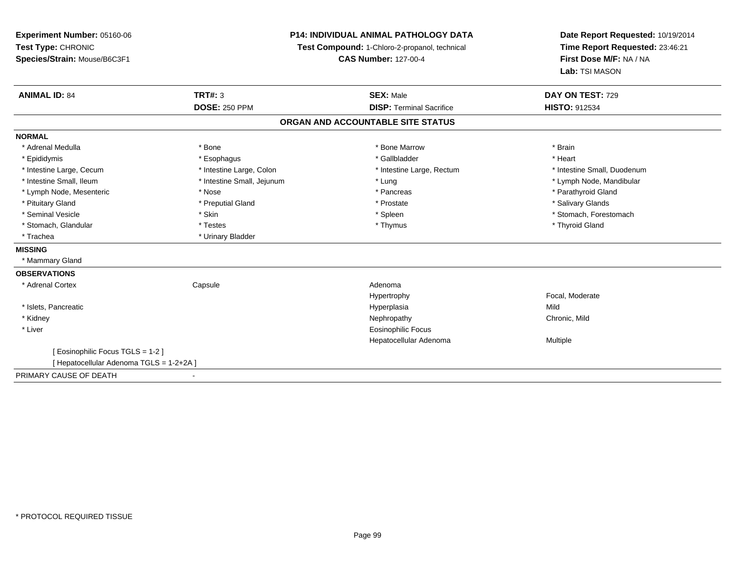| <b>Experiment Number: 05160-06</b>       | <b>P14: INDIVIDUAL ANIMAL PATHOLOGY DATA</b><br>Test Compound: 1-Chloro-2-propanol, technical |                                   | Date Report Requested: 10/19/2014 |  |
|------------------------------------------|-----------------------------------------------------------------------------------------------|-----------------------------------|-----------------------------------|--|
| Test Type: CHRONIC                       |                                                                                               |                                   | Time Report Requested: 23:46:21   |  |
| Species/Strain: Mouse/B6C3F1             |                                                                                               | <b>CAS Number: 127-00-4</b>       |                                   |  |
|                                          |                                                                                               |                                   | Lab: TSI MASON                    |  |
| <b>ANIMAL ID: 84</b>                     | TRT#: 3                                                                                       | <b>SEX: Male</b>                  | DAY ON TEST: 729                  |  |
|                                          | <b>DOSE: 250 PPM</b>                                                                          | <b>DISP: Terminal Sacrifice</b>   | <b>HISTO: 912534</b>              |  |
|                                          |                                                                                               | ORGAN AND ACCOUNTABLE SITE STATUS |                                   |  |
| <b>NORMAL</b>                            |                                                                                               |                                   |                                   |  |
| * Adrenal Medulla                        | * Bone                                                                                        | * Bone Marrow                     | * Brain                           |  |
| * Epididymis                             | * Esophagus                                                                                   | * Gallbladder                     | * Heart                           |  |
| * Intestine Large, Cecum                 | * Intestine Large, Colon                                                                      | * Intestine Large, Rectum         | * Intestine Small, Duodenum       |  |
| * Intestine Small, Ileum                 | * Intestine Small, Jejunum                                                                    | * Lung                            | * Lymph Node, Mandibular          |  |
| * Lymph Node, Mesenteric                 | * Nose                                                                                        | * Pancreas                        | * Parathyroid Gland               |  |
| * Pituitary Gland                        | * Preputial Gland                                                                             | * Prostate                        | * Salivary Glands                 |  |
| * Seminal Vesicle                        | * Skin                                                                                        | * Spleen                          | * Stomach, Forestomach            |  |
| * Stomach, Glandular                     | * Testes                                                                                      | * Thymus                          | * Thyroid Gland                   |  |
| * Trachea                                | * Urinary Bladder                                                                             |                                   |                                   |  |
| <b>MISSING</b>                           |                                                                                               |                                   |                                   |  |
| * Mammary Gland                          |                                                                                               |                                   |                                   |  |
| <b>OBSERVATIONS</b>                      |                                                                                               |                                   |                                   |  |
| * Adrenal Cortex                         | Capsule                                                                                       | Adenoma                           |                                   |  |
|                                          |                                                                                               | Hypertrophy                       | Focal, Moderate                   |  |
| * Islets, Pancreatic                     |                                                                                               | Hyperplasia                       | Mild                              |  |
| * Kidney                                 |                                                                                               | Nephropathy                       | Chronic, Mild                     |  |
| * Liver                                  |                                                                                               | <b>Eosinophilic Focus</b>         |                                   |  |
|                                          |                                                                                               | Hepatocellular Adenoma            | Multiple                          |  |
| [ Eosinophilic Focus TGLS = 1-2 ]        |                                                                                               |                                   |                                   |  |
| [ Hepatocellular Adenoma TGLS = 1-2+2A ] |                                                                                               |                                   |                                   |  |
| PRIMARY CAUSE OF DEATH                   |                                                                                               |                                   |                                   |  |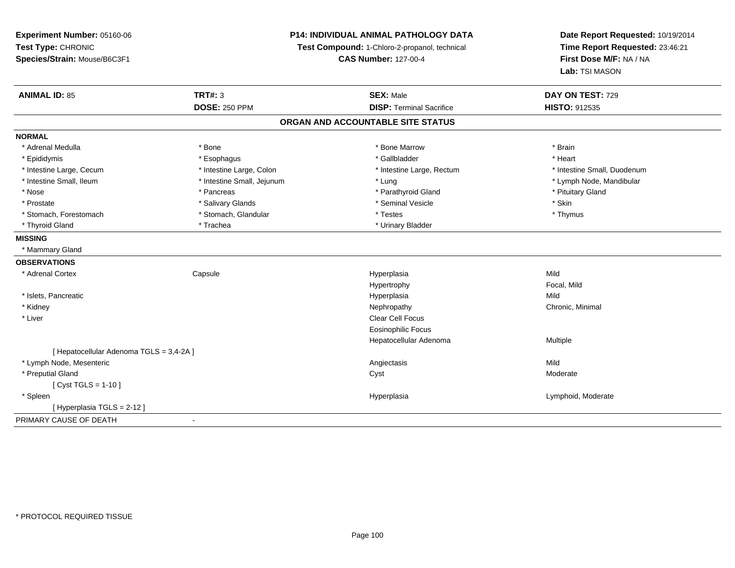| Experiment Number: 05160-06<br>Test Type: CHRONIC<br>Species/Strain: Mouse/B6C3F1 | P14: INDIVIDUAL ANIMAL PATHOLOGY DATA<br>Test Compound: 1-Chloro-2-propanol, technical<br><b>CAS Number: 127-00-4</b> |                                   | Date Report Requested: 10/19/2014<br>Time Report Requested: 23:46:21<br>First Dose M/F: NA / NA<br>Lab: TSI MASON |
|-----------------------------------------------------------------------------------|-----------------------------------------------------------------------------------------------------------------------|-----------------------------------|-------------------------------------------------------------------------------------------------------------------|
| <b>ANIMAL ID: 85</b>                                                              | <b>TRT#: 3</b>                                                                                                        | <b>SEX: Male</b>                  | DAY ON TEST: 729                                                                                                  |
|                                                                                   | <b>DOSE: 250 PPM</b>                                                                                                  | <b>DISP: Terminal Sacrifice</b>   | <b>HISTO: 912535</b>                                                                                              |
|                                                                                   |                                                                                                                       | ORGAN AND ACCOUNTABLE SITE STATUS |                                                                                                                   |
| <b>NORMAL</b>                                                                     |                                                                                                                       |                                   |                                                                                                                   |
| * Adrenal Medulla                                                                 | * Bone                                                                                                                | * Bone Marrow                     | * Brain                                                                                                           |
| * Epididymis                                                                      | * Esophagus                                                                                                           | * Gallbladder                     | * Heart                                                                                                           |
| * Intestine Large, Cecum                                                          | * Intestine Large, Colon                                                                                              | * Intestine Large, Rectum         | * Intestine Small, Duodenum                                                                                       |
| * Intestine Small, Ileum                                                          | * Intestine Small, Jejunum                                                                                            | * Lung                            | * Lymph Node, Mandibular                                                                                          |
| * Nose                                                                            | * Pancreas                                                                                                            | * Parathyroid Gland               | * Pituitary Gland                                                                                                 |
| * Prostate                                                                        | * Salivary Glands                                                                                                     | * Seminal Vesicle                 | * Skin                                                                                                            |
| * Stomach, Forestomach                                                            | * Stomach, Glandular                                                                                                  | * Testes                          | * Thymus                                                                                                          |
| * Thyroid Gland                                                                   | * Trachea                                                                                                             | * Urinary Bladder                 |                                                                                                                   |
| <b>MISSING</b>                                                                    |                                                                                                                       |                                   |                                                                                                                   |
| * Mammary Gland                                                                   |                                                                                                                       |                                   |                                                                                                                   |
| <b>OBSERVATIONS</b>                                                               |                                                                                                                       |                                   |                                                                                                                   |
| * Adrenal Cortex                                                                  | Capsule                                                                                                               | Hyperplasia                       | Mild                                                                                                              |
|                                                                                   |                                                                                                                       | Hypertrophy                       | Focal, Mild                                                                                                       |
| * Islets, Pancreatic                                                              |                                                                                                                       | Hyperplasia                       | Mild                                                                                                              |
| * Kidney                                                                          |                                                                                                                       | Nephropathy                       | Chronic, Minimal                                                                                                  |
| * Liver                                                                           |                                                                                                                       | Clear Cell Focus                  |                                                                                                                   |
|                                                                                   |                                                                                                                       | <b>Eosinophilic Focus</b>         |                                                                                                                   |
|                                                                                   |                                                                                                                       | Hepatocellular Adenoma            | Multiple                                                                                                          |
| [ Hepatocellular Adenoma TGLS = 3,4-2A ]                                          |                                                                                                                       |                                   |                                                                                                                   |
| * Lymph Node, Mesenteric                                                          |                                                                                                                       | Angiectasis                       | Mild                                                                                                              |
| * Preputial Gland                                                                 |                                                                                                                       | Cyst                              | Moderate                                                                                                          |
| [ $Cyst TGLS = 1-10$ ]                                                            |                                                                                                                       |                                   |                                                                                                                   |
| * Spleen                                                                          |                                                                                                                       | Hyperplasia                       | Lymphoid, Moderate                                                                                                |
| [ Hyperplasia TGLS = 2-12 ]                                                       |                                                                                                                       |                                   |                                                                                                                   |
| PRIMARY CAUSE OF DEATH                                                            |                                                                                                                       |                                   |                                                                                                                   |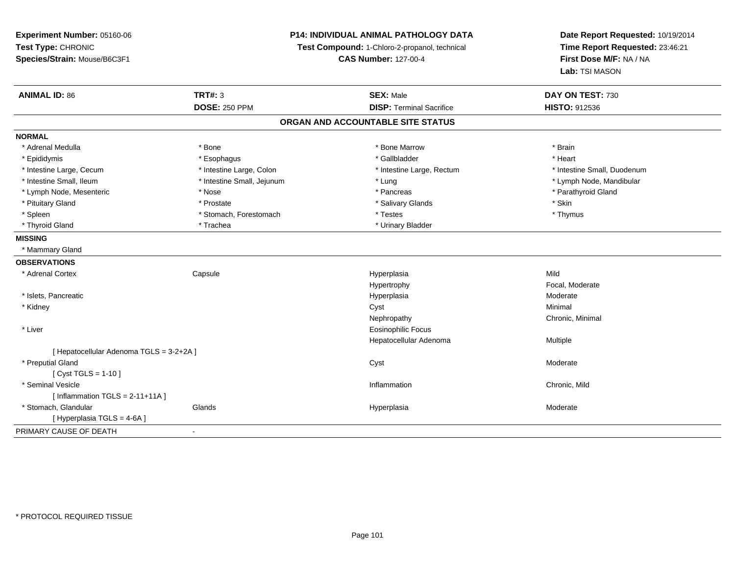| Experiment Number: 05160-06<br>Test Type: CHRONIC<br>Species/Strain: Mouse/B6C3F1 | P14: INDIVIDUAL ANIMAL PATHOLOGY DATA<br>Test Compound: 1-Chloro-2-propanol, technical<br><b>CAS Number: 127-00-4</b> |                                   | Date Report Requested: 10/19/2014<br>Time Report Requested: 23:46:21<br>First Dose M/F: NA / NA<br>Lab: TSI MASON |
|-----------------------------------------------------------------------------------|-----------------------------------------------------------------------------------------------------------------------|-----------------------------------|-------------------------------------------------------------------------------------------------------------------|
| <b>ANIMAL ID: 86</b>                                                              | <b>TRT#: 3</b>                                                                                                        | <b>SEX: Male</b>                  | DAY ON TEST: 730                                                                                                  |
|                                                                                   | <b>DOSE: 250 PPM</b>                                                                                                  | <b>DISP: Terminal Sacrifice</b>   | HISTO: 912536                                                                                                     |
|                                                                                   |                                                                                                                       | ORGAN AND ACCOUNTABLE SITE STATUS |                                                                                                                   |
| <b>NORMAL</b>                                                                     |                                                                                                                       |                                   |                                                                                                                   |
| * Adrenal Medulla                                                                 | * Bone                                                                                                                | * Bone Marrow                     | * Brain                                                                                                           |
| * Epididymis                                                                      | * Esophagus                                                                                                           | * Gallbladder                     | * Heart                                                                                                           |
| * Intestine Large, Cecum                                                          | * Intestine Large, Colon                                                                                              | * Intestine Large, Rectum         | * Intestine Small, Duodenum                                                                                       |
| * Intestine Small, Ileum                                                          | * Intestine Small, Jejunum                                                                                            | * Lung                            | * Lymph Node, Mandibular                                                                                          |
| * Lymph Node, Mesenteric                                                          | $*$ Nose                                                                                                              | * Pancreas                        | * Parathyroid Gland                                                                                               |
| * Pituitary Gland                                                                 | * Prostate                                                                                                            | * Salivary Glands                 | * Skin                                                                                                            |
| * Spleen                                                                          | * Stomach, Forestomach                                                                                                | * Testes                          | * Thymus                                                                                                          |
| * Thyroid Gland                                                                   | * Trachea                                                                                                             | * Urinary Bladder                 |                                                                                                                   |
| <b>MISSING</b>                                                                    |                                                                                                                       |                                   |                                                                                                                   |
| * Mammary Gland                                                                   |                                                                                                                       |                                   |                                                                                                                   |
| <b>OBSERVATIONS</b>                                                               |                                                                                                                       |                                   |                                                                                                                   |
| * Adrenal Cortex                                                                  | Capsule                                                                                                               | Hyperplasia                       | Mild                                                                                                              |
|                                                                                   |                                                                                                                       | Hypertrophy                       | Focal, Moderate                                                                                                   |
| * Islets, Pancreatic                                                              |                                                                                                                       | Hyperplasia                       | Moderate                                                                                                          |
| * Kidney                                                                          |                                                                                                                       | Cyst                              | Minimal                                                                                                           |
|                                                                                   |                                                                                                                       | Nephropathy                       | Chronic, Minimal                                                                                                  |
| * Liver                                                                           |                                                                                                                       | <b>Eosinophilic Focus</b>         |                                                                                                                   |
|                                                                                   |                                                                                                                       | Hepatocellular Adenoma            | Multiple                                                                                                          |
| [ Hepatocellular Adenoma TGLS = 3-2+2A ]                                          |                                                                                                                       |                                   |                                                                                                                   |
| * Preputial Gland                                                                 |                                                                                                                       | Cyst                              | Moderate                                                                                                          |
| [ $Cyst TGLS = 1-10$ ]                                                            |                                                                                                                       |                                   |                                                                                                                   |
| * Seminal Vesicle                                                                 |                                                                                                                       | Inflammation                      | Chronic, Mild                                                                                                     |
| [Inflammation TGLS = $2-11+11A$ ]                                                 |                                                                                                                       |                                   |                                                                                                                   |
| * Stomach, Glandular                                                              | Glands                                                                                                                | Hyperplasia                       | Moderate                                                                                                          |
| [ Hyperplasia TGLS = 4-6A]                                                        |                                                                                                                       |                                   |                                                                                                                   |
| PRIMARY CAUSE OF DEATH                                                            |                                                                                                                       |                                   |                                                                                                                   |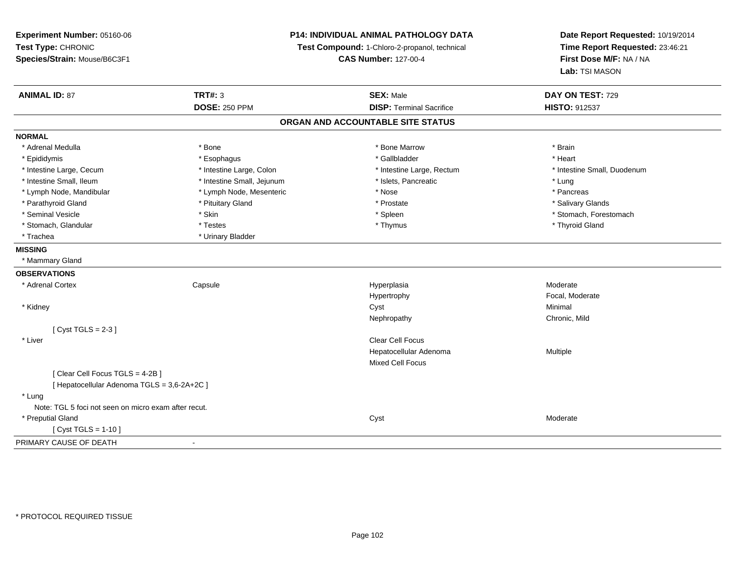| Experiment Number: 05160-06                          |                                               | <b>P14: INDIVIDUAL ANIMAL PATHOLOGY DATA</b> | Date Report Requested: 10/19/2014 |
|------------------------------------------------------|-----------------------------------------------|----------------------------------------------|-----------------------------------|
| Test Type: CHRONIC                                   | Test Compound: 1-Chloro-2-propanol, technical |                                              | Time Report Requested: 23:46:21   |
| Species/Strain: Mouse/B6C3F1                         |                                               | <b>CAS Number: 127-00-4</b>                  | First Dose M/F: NA / NA           |
|                                                      |                                               |                                              | Lab: TSI MASON                    |
| <b>ANIMAL ID: 87</b>                                 | <b>TRT#: 3</b>                                | <b>SEX: Male</b>                             | DAY ON TEST: 729                  |
|                                                      | <b>DOSE: 250 PPM</b>                          | <b>DISP: Terminal Sacrifice</b>              | <b>HISTO: 912537</b>              |
|                                                      |                                               | ORGAN AND ACCOUNTABLE SITE STATUS            |                                   |
| <b>NORMAL</b>                                        |                                               |                                              |                                   |
| * Adrenal Medulla                                    | * Bone                                        | * Bone Marrow                                | * Brain                           |
| * Epididymis                                         | * Esophagus                                   | * Gallbladder                                | * Heart                           |
| * Intestine Large, Cecum                             | * Intestine Large, Colon                      | * Intestine Large, Rectum                    | * Intestine Small, Duodenum       |
| * Intestine Small, Ileum                             | * Intestine Small, Jejunum                    | * Islets, Pancreatic                         | * Lung                            |
| * Lymph Node, Mandibular                             | * Lymph Node, Mesenteric                      | * Nose                                       | * Pancreas                        |
| * Parathyroid Gland                                  | * Pituitary Gland                             | * Prostate                                   | * Salivary Glands                 |
| * Seminal Vesicle                                    | * Skin                                        | * Spleen                                     | * Stomach, Forestomach            |
| * Stomach, Glandular                                 | * Testes                                      | * Thymus                                     | * Thyroid Gland                   |
| * Trachea                                            | * Urinary Bladder                             |                                              |                                   |
| <b>MISSING</b>                                       |                                               |                                              |                                   |
| * Mammary Gland                                      |                                               |                                              |                                   |
| <b>OBSERVATIONS</b>                                  |                                               |                                              |                                   |
| * Adrenal Cortex                                     | Capsule                                       | Hyperplasia                                  | Moderate                          |
|                                                      |                                               | Hypertrophy                                  | Focal, Moderate                   |
| * Kidney                                             |                                               | Cyst                                         | Minimal                           |
|                                                      |                                               | Nephropathy                                  | Chronic, Mild                     |
| [Cyst TGLS = $2-3$ ]                                 |                                               |                                              |                                   |
| * Liver                                              |                                               | <b>Clear Cell Focus</b>                      |                                   |
|                                                      |                                               | Hepatocellular Adenoma                       | Multiple                          |
|                                                      |                                               | Mixed Cell Focus                             |                                   |
| [Clear Cell Focus TGLS = 4-2B]                       |                                               |                                              |                                   |
| [ Hepatocellular Adenoma TGLS = 3,6-2A+2C ]          |                                               |                                              |                                   |
| * Lung                                               |                                               |                                              |                                   |
| Note: TGL 5 foci not seen on micro exam after recut. |                                               |                                              |                                   |
| * Preputial Gland                                    |                                               | Cyst                                         | Moderate                          |
| [ Cyst TGLS = $1-10$ ]                               |                                               |                                              |                                   |
| PRIMARY CAUSE OF DEATH                               |                                               |                                              |                                   |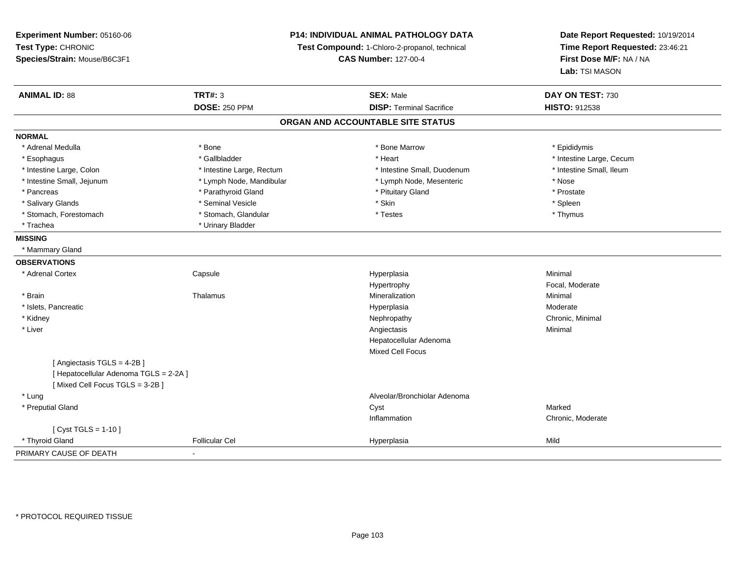**Experiment Number:** 05160-06**Test Type:** CHRONIC **Species/Strain:** Mouse/B6C3F1**P14: INDIVIDUAL ANIMAL PATHOLOGY DATATest Compound:** 1-Chloro-2-propanol, technical **CAS Number:** 127-00-4**Date Report Requested:** 10/19/2014**Time Report Requested:** 23:46:21**First Dose M/F:** NA / NA**Lab:** TSI MASON**ANIMAL ID:** 88**TRT#:** 3 **SEX:** Male **DAY ON TEST:** 730 **DOSE:** 250 PPM**DISP:** Terminal Sacrifice **HISTO:** 912538 **ORGAN AND ACCOUNTABLE SITE STATUSNORMAL**\* Adrenal Medulla \* Adrenal Medulla \* \* The matter of the state of the state of the Marrow \* Bone Marrow \* Adrenal Medulla \* Epididymis \* Epididymis \* Bone Marrow \* Adrenal Medulla \* Epididymis \* Epididymis \* Epididymis \* Epididymis \* Epidi \* Esophagus \* https://www.fragustage.com/web/2019/heart \* Heart \* Heart \* Heart \* Intestine Large, Cecum \* Intestine Large, Cecum \* Gallbladder \* Callbladder \* 11 and 12 and 12 and 12 and 12 and 12 and 12 and 12 and 12 and \* Intestine Small, Ileum \* Intestine Large, Colon \* Intestine Large, Rectum \* Intestine Small, Duodenum \* Intestine Small, Duodenum \* Intestine Small, Jejunum \* Lymph Node, Mandibular \* Lymph Node, Mesenteric \* Nose\* Prostate \* Pancreas \* Parathyroid Gland \* Parathyroid Gland \* Parathyroid Gland \* Prituitary Gland \* Spleen \* Salivary Glands \* \* \* Sheen \* Seminal Vesicle \* \* \* Stan \* \* Skin \* \* Skin \* \* Spleen \* \* Spleen \* \* Spleen \* \* Thymus \* Stomach, Forestomach \* Testes \* Stomach, Glandular \* Testes \* Testes \* Testes \* Testes \* Testes \* Testes \* T \* Trachea \* Urinary Bladder**MISSING** \* Mammary Gland**OBSERVATIONS** \* Adrenal Cortex**Capsule**  Hyperplasia Minimal Hypertrophy Focal, Moderate \* Brainn and the matter of the Thalamus and the Minimal of the Minimal of the Minimal of the Minimal of the Minimal o<br>Thalamus and the Minimal of the Minimal of the Minimal of the Minimal of the Minimal of the Minimal of the Min \* Islets, Pancreaticc and the contract of the contract of the contract of the contract of the contract of the contract of the contract of the contract of the contract of the contract of the contract of the contract of the contract of the cont a **Moderate**  \* Kidneyy the controller of the controller of the controller of the controller of the controller of the controller of the controller of the controller of the controller of the controller of the controller of the controller of the \* Liverr and the contract of the contract of the contract of the contract of the contract of the contract of the contract of the contract of the contract of the contract of the contract of the contract of the contract of the cont s **Support Contract Contract Contract Contract Contract Contract Contract Contract Contract Contract Contract Contract Contract Contract Contract Contract Contract Contract Contract Contract Contract Contract Contract Cont** Hepatocellular AdenomaMixed Cell Focus[ Angiectasis TGLS = 4-2B ][ Hepatocellular Adenoma TGLS = 2-2A ][ Mixed Cell Focus TGLS = 3-2B ] \* Lung Alveolar/Bronchiolar Adenoma \* Preputial Glandd and the control of the control of the control of the control of the control of the control of the control of the control of the control of the control of the control of the control of the control of the control of the co Inflammation Chronic, Moderate  $[$  Cyst TGLS = 1-10  $]$  \* Thyroid Gland Follicular Cel Hyperplasia Mild PRIMARY CAUSE OF DEATH-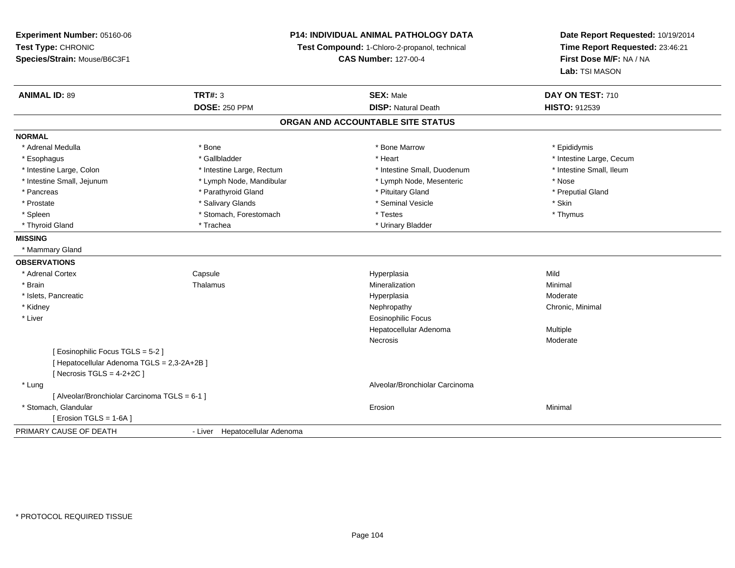**Experiment Number:** 05160-06**Test Type:** CHRONIC**Species/Strain:** Mouse/B6C3F1

## **P14: INDIVIDUAL ANIMAL PATHOLOGY DATA**

**Test Compound:** 1-Chloro-2-propanol, technical

**CAS Number:** 127-00-4

**Date Report Requested:** 10/19/2014**Time Report Requested:** 23:46:21**First Dose M/F:** NA / NA**Lab:** TSI MASON

| <b>ANIMAL ID: 89</b>                          | <b>TRT#: 3</b>                 | <b>SEX: Male</b>                  | DAY ON TEST: 710         |  |
|-----------------------------------------------|--------------------------------|-----------------------------------|--------------------------|--|
|                                               | <b>DOSE: 250 PPM</b>           | <b>DISP: Natural Death</b>        | <b>HISTO: 912539</b>     |  |
|                                               |                                | ORGAN AND ACCOUNTABLE SITE STATUS |                          |  |
| <b>NORMAL</b>                                 |                                |                                   |                          |  |
| * Adrenal Medulla                             | * Bone                         | * Bone Marrow                     | * Epididymis             |  |
| * Esophagus                                   | * Gallbladder                  | * Heart                           | * Intestine Large, Cecum |  |
| * Intestine Large, Colon                      | * Intestine Large, Rectum      | * Intestine Small, Duodenum       | * Intestine Small, Ileum |  |
| * Intestine Small, Jejunum                    | * Lymph Node, Mandibular       | * Lymph Node, Mesenteric          | * Nose                   |  |
| * Pancreas                                    | * Parathyroid Gland            | * Pituitary Gland                 | * Preputial Gland        |  |
| * Prostate                                    | * Salivary Glands              | * Seminal Vesicle                 | * Skin                   |  |
| * Spleen                                      | * Stomach, Forestomach         | * Testes                          | * Thymus                 |  |
| * Thyroid Gland                               | * Trachea                      | * Urinary Bladder                 |                          |  |
| <b>MISSING</b>                                |                                |                                   |                          |  |
| * Mammary Gland                               |                                |                                   |                          |  |
| <b>OBSERVATIONS</b>                           |                                |                                   |                          |  |
| * Adrenal Cortex                              | Capsule                        | Hyperplasia                       | Mild                     |  |
| * Brain                                       | Thalamus                       | Mineralization                    | Minimal                  |  |
| * Islets, Pancreatic                          |                                | Hyperplasia                       | Moderate                 |  |
| * Kidney                                      |                                | Nephropathy                       | Chronic, Minimal         |  |
| * Liver                                       |                                | <b>Eosinophilic Focus</b>         |                          |  |
|                                               |                                | Hepatocellular Adenoma            | <b>Multiple</b>          |  |
|                                               |                                | Necrosis                          | Moderate                 |  |
| Eosinophilic Focus TGLS = 5-2 ]               |                                |                                   |                          |  |
| [Hepatocellular Adenoma TGLS = 2,3-2A+2B]     |                                |                                   |                          |  |
| [Necrosis TGLS = $4-2+2C$ ]                   |                                |                                   |                          |  |
| * Lung                                        |                                | Alveolar/Bronchiolar Carcinoma    |                          |  |
| [ Alveolar/Bronchiolar Carcinoma TGLS = 6-1 ] |                                |                                   |                          |  |
| * Stomach, Glandular                          |                                | Erosion                           | Minimal                  |  |
| [Erosion TGLS = 1-6A]                         |                                |                                   |                          |  |
| PRIMARY CAUSE OF DEATH                        | - Liver Hepatocellular Adenoma |                                   |                          |  |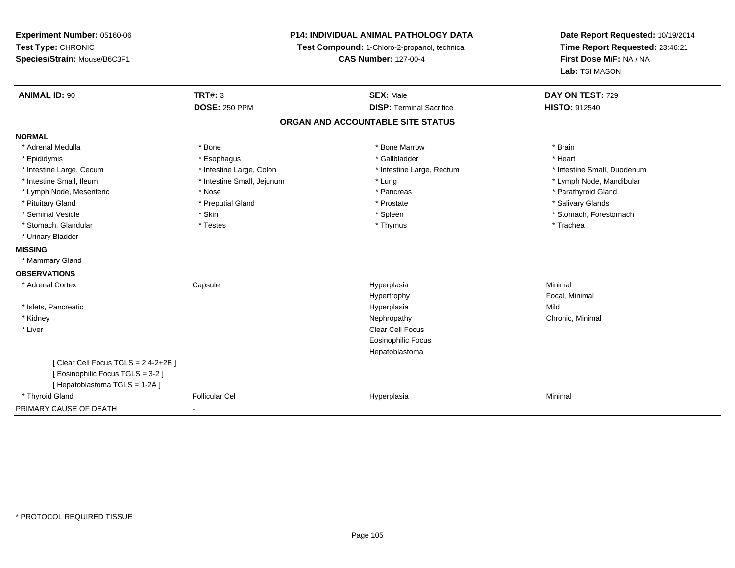| Experiment Number: 05160-06        | <b>P14: INDIVIDUAL ANIMAL PATHOLOGY DATA</b><br>Test Compound: 1-Chloro-2-propanol, technical |                                   | Date Report Requested: 10/19/2014 |  |
|------------------------------------|-----------------------------------------------------------------------------------------------|-----------------------------------|-----------------------------------|--|
| Test Type: CHRONIC                 |                                                                                               |                                   | Time Report Requested: 23:46:21   |  |
| Species/Strain: Mouse/B6C3F1       |                                                                                               | <b>CAS Number: 127-00-4</b>       | First Dose M/F: NA / NA           |  |
|                                    |                                                                                               |                                   | Lab: TSI MASON                    |  |
| <b>ANIMAL ID: 90</b>               | <b>TRT#: 3</b>                                                                                | <b>SEX: Male</b>                  | DAY ON TEST: 729                  |  |
|                                    | <b>DOSE: 250 PPM</b>                                                                          | <b>DISP: Terminal Sacrifice</b>   | <b>HISTO: 912540</b>              |  |
|                                    |                                                                                               | ORGAN AND ACCOUNTABLE SITE STATUS |                                   |  |
| <b>NORMAL</b>                      |                                                                                               |                                   |                                   |  |
| * Adrenal Medulla                  | * Bone                                                                                        | * Bone Marrow                     | * Brain                           |  |
| * Epididymis                       | * Esophagus                                                                                   | * Gallbladder                     | * Heart                           |  |
| * Intestine Large, Cecum           | * Intestine Large, Colon                                                                      | * Intestine Large, Rectum         | * Intestine Small, Duodenum       |  |
| * Intestine Small, Ileum           | * Intestine Small, Jejunum                                                                    | * Lung                            | * Lymph Node, Mandibular          |  |
| * Lymph Node, Mesenteric           | * Nose                                                                                        | * Pancreas                        | * Parathyroid Gland               |  |
| * Pituitary Gland                  | * Preputial Gland                                                                             | * Prostate                        | * Salivary Glands                 |  |
| * Seminal Vesicle                  | * Skin                                                                                        | * Spleen                          | * Stomach, Forestomach            |  |
| * Stomach, Glandular               | * Testes                                                                                      | * Thymus                          | * Trachea                         |  |
| * Urinary Bladder                  |                                                                                               |                                   |                                   |  |
| <b>MISSING</b>                     |                                                                                               |                                   |                                   |  |
| * Mammary Gland                    |                                                                                               |                                   |                                   |  |
| <b>OBSERVATIONS</b>                |                                                                                               |                                   |                                   |  |
| * Adrenal Cortex                   | Capsule                                                                                       | Hyperplasia                       | Minimal                           |  |
|                                    |                                                                                               | Hypertrophy                       | Focal, Minimal                    |  |
| * Islets, Pancreatic               |                                                                                               | Hyperplasia                       | Mild                              |  |
| * Kidney                           |                                                                                               | Nephropathy                       | Chronic, Minimal                  |  |
| * Liver                            |                                                                                               | Clear Cell Focus                  |                                   |  |
|                                    |                                                                                               | <b>Eosinophilic Focus</b>         |                                   |  |
|                                    |                                                                                               | Hepatoblastoma                    |                                   |  |
| [Clear Cell Focus TGLS = 2,4-2+2B] |                                                                                               |                                   |                                   |  |
| [Eosinophilic Focus TGLS = 3-2]    |                                                                                               |                                   |                                   |  |
| [Hepatoblastoma TGLS = 1-2A]       |                                                                                               |                                   |                                   |  |
| * Thyroid Gland                    | <b>Follicular Cel</b>                                                                         | Hyperplasia                       | Minimal                           |  |
| PRIMARY CAUSE OF DEATH             |                                                                                               |                                   |                                   |  |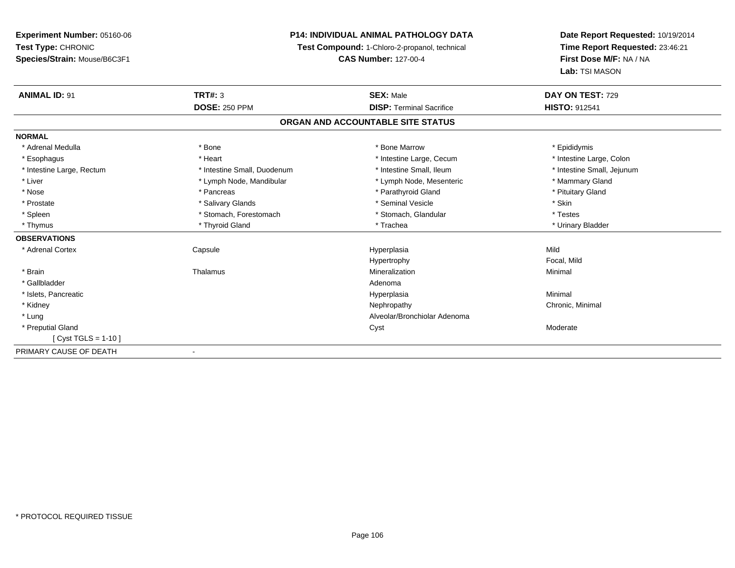**Experiment Number:** 05160-06**Test Type:** CHRONIC**Species/Strain:** Mouse/B6C3F1

## **P14: INDIVIDUAL ANIMAL PATHOLOGY DATA**

**Test Compound:** 1-Chloro-2-propanol, technical

**CAS Number:** 127-00-4

**Date Report Requested:** 10/19/2014**Time Report Requested:** 23:46:21**First Dose M/F:** NA / NA**Lab:** TSI MASON

| <b>ANIMAL ID: 91</b>      | <b>TRT#: 3</b>              | <b>SEX: Male</b>                  | DAY ON TEST: 729           |
|---------------------------|-----------------------------|-----------------------------------|----------------------------|
|                           | <b>DOSE: 250 PPM</b>        | <b>DISP: Terminal Sacrifice</b>   | <b>HISTO: 912541</b>       |
|                           |                             | ORGAN AND ACCOUNTABLE SITE STATUS |                            |
| <b>NORMAL</b>             |                             |                                   |                            |
| * Adrenal Medulla         | * Bone                      | * Bone Marrow                     | * Epididymis               |
| * Esophagus               | * Heart                     | * Intestine Large, Cecum          | * Intestine Large, Colon   |
| * Intestine Large, Rectum | * Intestine Small, Duodenum | * Intestine Small, Ileum          | * Intestine Small, Jejunum |
| * Liver                   | * Lymph Node, Mandibular    | * Lymph Node, Mesenteric          | * Mammary Gland            |
| * Nose                    | * Pancreas                  | * Parathyroid Gland               | * Pituitary Gland          |
| * Prostate                | * Salivary Glands           | * Seminal Vesicle                 | * Skin                     |
| * Spleen                  | * Stomach, Forestomach      | * Stomach, Glandular              | * Testes                   |
| * Thymus                  | * Thyroid Gland             | * Trachea                         | * Urinary Bladder          |
| <b>OBSERVATIONS</b>       |                             |                                   |                            |
| * Adrenal Cortex          | Capsule                     | Hyperplasia                       | Mild                       |
|                           |                             | Hypertrophy                       | Focal, Mild                |
| * Brain                   | Thalamus                    | Mineralization                    | Minimal                    |
| * Gallbladder             |                             | Adenoma                           |                            |
| * Islets, Pancreatic      |                             | Hyperplasia                       | Minimal                    |
| * Kidney                  |                             | Nephropathy                       | Chronic, Minimal           |
| * Lung                    |                             | Alveolar/Bronchiolar Adenoma      |                            |
| * Preputial Gland         |                             | Cyst                              | Moderate                   |
| [ $Cyst TGLS = 1-10$ ]    |                             |                                   |                            |
| PRIMARY CAUSE OF DEATH    |                             |                                   |                            |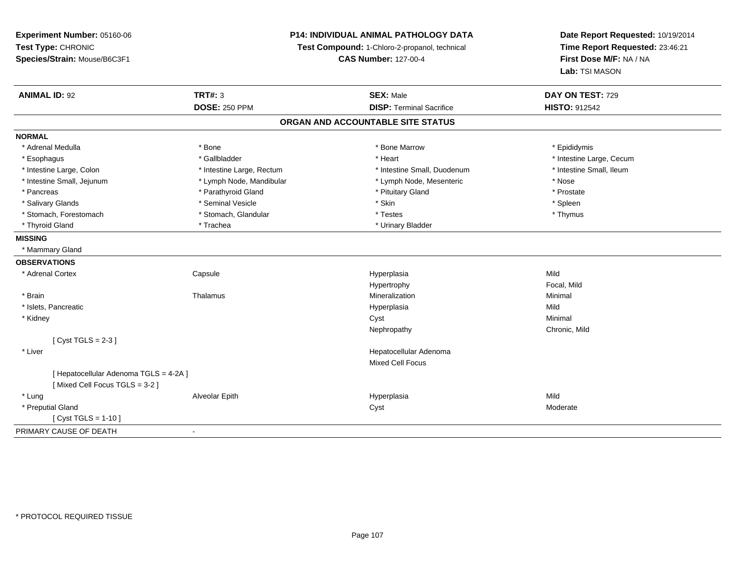**Experiment Number:** 05160-06**Test Type:** CHRONIC **Species/Strain:** Mouse/B6C3F1**P14: INDIVIDUAL ANIMAL PATHOLOGY DATATest Compound:** 1-Chloro-2-propanol, technical **CAS Number:** 127-00-4**Date Report Requested:** 10/19/2014**Time Report Requested:** 23:46:21**First Dose M/F:** NA / NA**Lab:** TSI MASON**ANIMAL ID:** 92 **TRT#:** <sup>3</sup> **SEX:** Male **DAY ON TEST:** <sup>729</sup> **DOSE:** 250 PPM**DISP:** Terminal Sacrifice **HISTO:** 912542 **ORGAN AND ACCOUNTABLE SITE STATUSNORMAL**\* Adrenal Medulla \* Adrenal Medulla \* \* The matter of the state of the state of the Marrow \* Bone Marrow \* Adrenal Medulla \* Epididymis \* Epididymis \* Bone Marrow \* Adrenal Medulla \* Epididymis \* Epididymis \* Epididymis \* Epididymis \* Epidi \* Esophagus \* https://www.fragustage.com/web/2019/heart \* Heart \* Heart \* Heart \* Intestine Large, Cecum \* Intestine Large, Cecum \* Gallbladder \* Callbladder \* 11 and 12 and 12 and 12 and 12 and 12 and 12 and 12 and 12 and \* Intestine Small, Ileum \* Intestine Large, Colon \* Intestine Large, Rectum \* Intestine Small, Duodenum \* Intestine Small, Duodenum \* Intestine Small, Jejunum \* Lymph Node, Mandibular \* Lymph Node, Mesenteric \* Nose\* Prostate \* Pancreas \* Parathyroid Gland \* Parathyroid Gland \* Parathyroid Gland \* Prituitary Gland \* Spleen \* Salivary Glands \* \* \* Sheen \* Seminal Vesicle \* \* \* Stan \* \* Skin \* \* Skin \* \* Spleen \* \* Spleen \* \* Spleen \* \* Thymus \* Stomach, Forestomach \* Testes \* Stomach, Glandular \* Testes \* Testes \* Testes \* Testes \* Testes \* Testes \* T \* Thyroid Gland \* Trachea \* Trachea \* Trachea \* Urinary Bladder **MISSING** \* Mammary Gland**OBSERVATIONS** \* Adrenal Cortex**Capsule**  Hyperplasia Mild Hypertrophy Focal, Mild \* Brainn and the matter of the Thalamus and the Minimal of the Minimal of the Minimal of the Minimal of the Minimal o<br>Thalamus and the Minimal of the Minimal of the Minimal of the Minimal of the Minimal of the Minimal of the Min \* Islets, Pancreaticc and the contract of the contract of the contract of the contract of the contract of the contract of the contract of the contract of the contract of the contract of the contract of the contract of the contract of the cont a Mild \* Kidneyy the control of the control of the control of the control of the control of the control of the control of the control of the control of the control of the control of the control of the control of the control of the contro Nephropathy Chronic, Mild $[$  Cyst TGLS = 2-3  $]$  \* Liver Hepatocellular AdenomaMixed Cell Focus[ Hepatocellular Adenoma TGLS = 4-2A ][ Mixed Cell Focus TGLS = 3-2 ] \* Lung Alveolar Epith Hyperplasia Mild \* Preputial Glandd and the control of the control of the control of the control of the control of the control of the control of the control of the control of the control of the control of the control of the control of the control of the co [ Cyst TGLS = 1-10 ]PRIMARY CAUSE OF DEATH-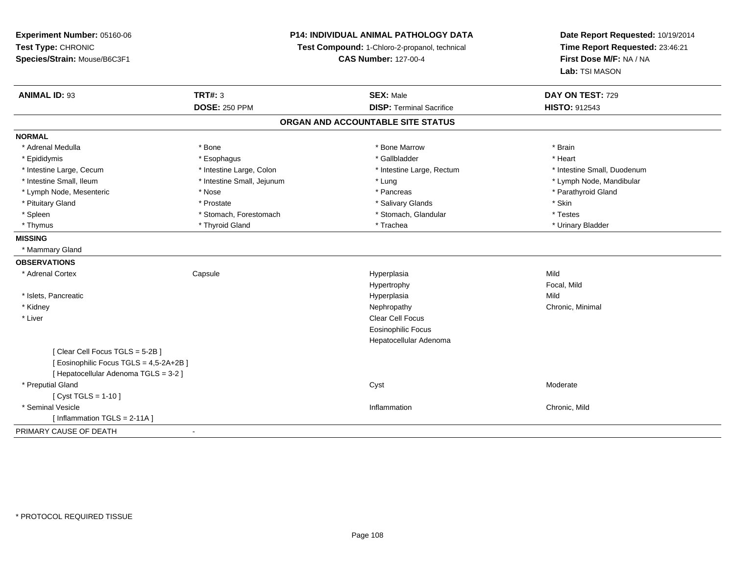| Experiment Number: 05160-06             | P14: INDIVIDUAL ANIMAL PATHOLOGY DATA<br>Test Compound: 1-Chloro-2-propanol, technical |                                   | Date Report Requested: 10/19/2014         |  |
|-----------------------------------------|----------------------------------------------------------------------------------------|-----------------------------------|-------------------------------------------|--|
| Test Type: CHRONIC                      |                                                                                        |                                   | Time Report Requested: 23:46:21           |  |
| Species/Strain: Mouse/B6C3F1            |                                                                                        | <b>CAS Number: 127-00-4</b>       | First Dose M/F: NA / NA<br>Lab: TSI MASON |  |
|                                         |                                                                                        |                                   |                                           |  |
| <b>ANIMAL ID: 93</b>                    | <b>TRT#: 3</b>                                                                         | <b>SEX: Male</b>                  | DAY ON TEST: 729                          |  |
|                                         | <b>DOSE: 250 PPM</b>                                                                   | <b>DISP: Terminal Sacrifice</b>   | <b>HISTO: 912543</b>                      |  |
|                                         |                                                                                        | ORGAN AND ACCOUNTABLE SITE STATUS |                                           |  |
| <b>NORMAL</b>                           |                                                                                        |                                   |                                           |  |
| * Adrenal Medulla                       | * Bone                                                                                 | * Bone Marrow                     | * Brain                                   |  |
| * Epididymis                            | * Esophagus                                                                            | * Gallbladder                     | * Heart                                   |  |
| * Intestine Large, Cecum                | * Intestine Large, Colon                                                               | * Intestine Large, Rectum         | * Intestine Small, Duodenum               |  |
| * Intestine Small, Ileum                | * Intestine Small, Jejunum                                                             | * Lung                            | * Lymph Node, Mandibular                  |  |
| * Lymph Node, Mesenteric                | * Nose                                                                                 | * Pancreas                        | * Parathyroid Gland                       |  |
| * Pituitary Gland                       | * Prostate                                                                             | * Salivary Glands                 | * Skin                                    |  |
| * Spleen                                | * Stomach, Forestomach                                                                 | * Stomach, Glandular              | * Testes                                  |  |
| * Thymus                                | * Thyroid Gland                                                                        | * Trachea                         | * Urinary Bladder                         |  |
| <b>MISSING</b>                          |                                                                                        |                                   |                                           |  |
| * Mammary Gland                         |                                                                                        |                                   |                                           |  |
| <b>OBSERVATIONS</b>                     |                                                                                        |                                   |                                           |  |
| * Adrenal Cortex                        | Capsule                                                                                | Hyperplasia                       | Mild                                      |  |
|                                         |                                                                                        | Hypertrophy                       | Focal, Mild                               |  |
| * Islets, Pancreatic                    |                                                                                        | Hyperplasia                       | Mild                                      |  |
| * Kidney                                |                                                                                        | Nephropathy                       | Chronic, Minimal                          |  |
| * Liver                                 |                                                                                        | Clear Cell Focus                  |                                           |  |
|                                         |                                                                                        | <b>Eosinophilic Focus</b>         |                                           |  |
|                                         |                                                                                        | Hepatocellular Adenoma            |                                           |  |
| [Clear Cell Focus TGLS = 5-2B]          |                                                                                        |                                   |                                           |  |
| [ Eosinophilic Focus TGLS = 4,5-2A+2B ] |                                                                                        |                                   |                                           |  |
| [ Hepatocellular Adenoma TGLS = 3-2 ]   |                                                                                        |                                   |                                           |  |
| * Preputial Gland                       |                                                                                        | Cyst                              | Moderate                                  |  |
| [ Cyst TGLS = 1-10 ]                    |                                                                                        |                                   |                                           |  |
| * Seminal Vesicle                       |                                                                                        | Inflammation                      | Chronic, Mild                             |  |
| [Inflammation TGLS = 2-11A]             |                                                                                        |                                   |                                           |  |
| PRIMARY CAUSE OF DEATH                  |                                                                                        |                                   |                                           |  |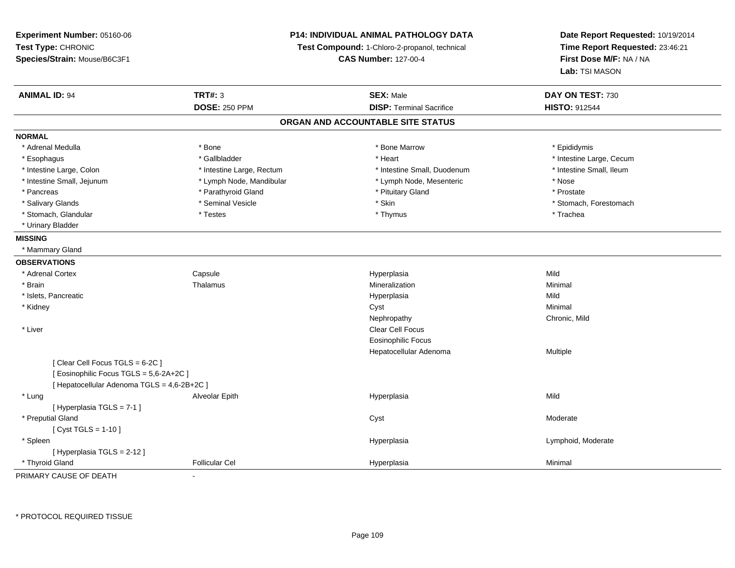**Experiment Number:** 05160-06**Test Type:** CHRONIC **Species/Strain:** Mouse/B6C3F1**P14: INDIVIDUAL ANIMAL PATHOLOGY DATATest Compound:** 1-Chloro-2-propanol, technical **CAS Number:** 127-00-4**Date Report Requested:** 10/19/2014**Time Report Requested:** 23:46:21**First Dose M/F:** NA / NA**Lab:** TSI MASON**ANIMAL ID:** 94 **TRT#:** <sup>3</sup> **SEX:** Male **DAY ON TEST:** <sup>730</sup> **DOSE:** 250 PPM**DISP:** Terminal Sacrifice **HISTO:** 912544 **ORGAN AND ACCOUNTABLE SITE STATUSNORMAL**\* Adrenal Medulla \* Adrenal Medulla \* \* The matter of the state of the state of the Marrow \* Bone Marrow \* Adrenal Medulla \* Epididymis \* Epididymis \* Bone Marrow \* Adrenal Medulla \* Epididymis \* Epididymis \* Epididymis \* Epididymis \* Epidi \* Esophagus \* https://www.fragustage.com/web/2019/heart \* Heart \* Heart \* Heart \* Intestine Large, Cecum \* Intestine Large, Cecum \* Gallbladder \* Callbladder \* 11 and 12 and 12 and 12 and 12 and 12 and 12 and 12 and 12 and \* Intestine Small, Ileum \* Intestine Large, Colon \* Intestine Large, Rectum \* Intestine Small, Duodenum \* Intestine Small, Duodenum \* Intestine Small, Jejunum \* Lymph Node, Mandibular \* Lymph Node, Mesenteric \* Nose\* Prostate \* Pancreas \* Parathyroid Gland \* Parathyroid Gland \* Parathyroid Gland \* Prituitary Gland \* Salivary Glands \* The state of the seminal Vesicle \* Skin \* Skin \* Skin \* Stomach, Forestomach, Forestomach, Forestomach, Forestomach, Forestomach, Forestomach, Forestomach, Forestomach, Forestomach, Forestomach, Foresto \* Stomach, Glandular \* Trachea \* Testes \* Thymus \* Thymus \* Thymus \* Thymus \* Trachea \* Trachea \* Urinary Bladder**MISSING** \* Mammary Gland**OBSERVATIONS** \* Adrenal CortexCapsule<br>Thalamus Hyperplasia Mild \* Brainn and the matter of the Thalamus and the Minimal of the Minimal of the Minimal of the Minimal of the Minimal o<br>Thalamus and the Minimal of the Minimal of the Minimal of the Minimal of the Minimal of the Minimal of the Min \* Islets, Pancreaticc and the contract of the contract of the contract of the contract of the contract of the contract of the contract of the contract of the contract of the contract of the contract of the contract of the contract of the cont a Mild \* Kidneyy the control of the control of the control of the control of the control of the control of the control of the control of the control of the control of the control of the control of the control of the control of the contro NephropathyNephropathy Chronic, Mild<br>Clear Cell Focus \* Liverr and the contract of the contract of the contract of the contract of the contract of the contract of the contract of the contract of the contract of the contract of the contract of the contract of the contract of the cont Eosinophilic Focus Hepatocellular Adenoma Multiple [ Clear Cell Focus TGLS = 6-2C ][ Eosinophilic Focus TGLS = 5,6-2A+2C ][ Hepatocellular Adenoma TGLS = 4,6-2B+2C ] \* Lung Alveolar Epith Hyperplasia Mild [ Hyperplasia TGLS = 7-1 ] \* Preputial Glandd and the control of the control of the control of the control of the control of the control of the control of the control of the control of the control of the control of the control of the control of the control of the co  $[$  Cyst TGLS = 1-10  $]$  \* Spleenn and the controller of the controller of the Hyperplasia controller to the controller of the controller of the Hyperplasia controller to  $\sim$  Lymphoid, Moderate [ Hyperplasia TGLS = 2-12 ] \* Thyroid GlandFollicular Cel Hyperplasia Minimal

PRIMARY CAUSE OF DEATH-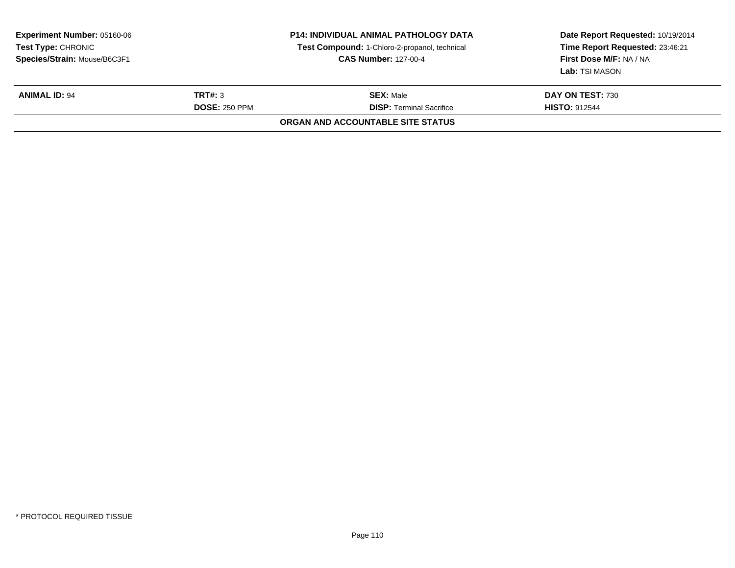| <b>Experiment Number: 05160-06</b><br>Test Type: CHRONIC<br>Species/Strain: Mouse/B6C3F1 |                                 | <b>P14: INDIVIDUAL ANIMAL PATHOLOGY DATA</b><br>Test Compound: 1-Chloro-2-propanol, technical<br><b>CAS Number: 127-00-4</b> | Date Report Requested: 10/19/2014<br>Time Report Requested: 23:46:21<br>First Dose M/F: NA / NA<br>Lab: TSI MASON |  |
|------------------------------------------------------------------------------------------|---------------------------------|------------------------------------------------------------------------------------------------------------------------------|-------------------------------------------------------------------------------------------------------------------|--|
| <b>ANIMAL ID: 94</b>                                                                     | TRT#: 3<br><b>DOSE: 250 PPM</b> | <b>SEX: Male</b><br><b>DISP: Terminal Sacrifice</b>                                                                          | DAY ON TEST: 730<br><b>HISTO: 912544</b>                                                                          |  |
|                                                                                          |                                 | ORGAN AND ACCOUNTABLE SITE STATUS                                                                                            |                                                                                                                   |  |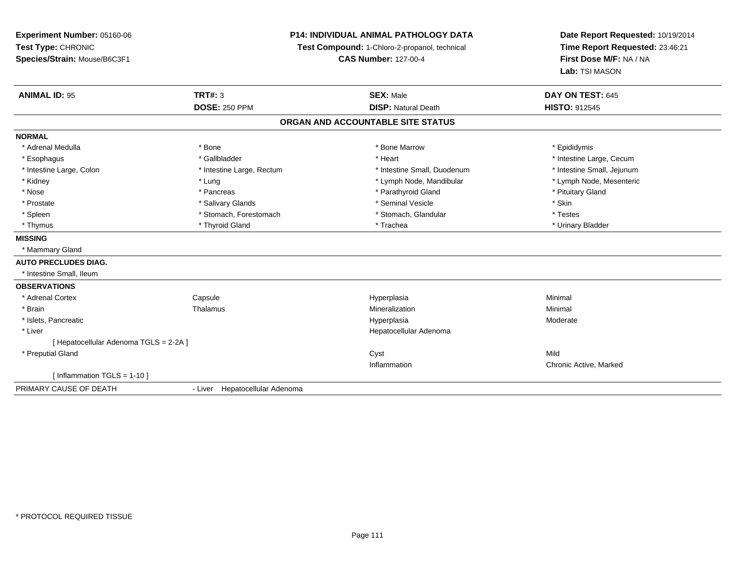# **P14: INDIVIDUAL ANIMAL PATHOLOGY DATA**

**Test Compound:** 1-Chloro-2-propanol, technical

**CAS Number:** 127-00-4

| <b>ANIMAL ID: 95</b>                   | <b>TRT#: 3</b>                 | <b>SEX: Male</b>                  | DAY ON TEST: 645           |
|----------------------------------------|--------------------------------|-----------------------------------|----------------------------|
|                                        | <b>DOSE: 250 PPM</b>           | <b>DISP: Natural Death</b>        | <b>HISTO: 912545</b>       |
|                                        |                                | ORGAN AND ACCOUNTABLE SITE STATUS |                            |
| <b>NORMAL</b>                          |                                |                                   |                            |
| * Adrenal Medulla                      | * Bone                         | * Bone Marrow                     | * Epididymis               |
| * Esophagus                            | * Gallbladder                  | * Heart                           | * Intestine Large, Cecum   |
| * Intestine Large, Colon               | * Intestine Large, Rectum      | * Intestine Small, Duodenum       | * Intestine Small, Jejunum |
| * Kidney                               | * Lung                         | * Lymph Node, Mandibular          | * Lymph Node, Mesenteric   |
| * Nose                                 | * Pancreas                     | * Parathyroid Gland               | * Pituitary Gland          |
| * Prostate                             | * Salivary Glands              | * Seminal Vesicle                 | * Skin                     |
| * Spleen                               | * Stomach, Forestomach         | * Stomach, Glandular              | * Testes                   |
| * Thymus                               | * Thyroid Gland                | * Trachea                         | * Urinary Bladder          |
| <b>MISSING</b>                         |                                |                                   |                            |
| * Mammary Gland                        |                                |                                   |                            |
| <b>AUTO PRECLUDES DIAG.</b>            |                                |                                   |                            |
| * Intestine Small, Ileum               |                                |                                   |                            |
| <b>OBSERVATIONS</b>                    |                                |                                   |                            |
| * Adrenal Cortex                       | Capsule                        | Hyperplasia                       | Minimal                    |
| * Brain                                | Thalamus                       | Mineralization                    | Minimal                    |
| * Islets, Pancreatic                   |                                | Hyperplasia                       | Moderate                   |
| * Liver                                |                                | Hepatocellular Adenoma            |                            |
| [ Hepatocellular Adenoma TGLS = 2-2A ] |                                |                                   |                            |
| * Preputial Gland                      |                                | Cyst                              | Mild                       |
|                                        |                                | Inflammation                      | Chronic Active, Marked     |
| [Inflammation TGLS = $1-10$ ]          |                                |                                   |                            |
| PRIMARY CAUSE OF DEATH                 | - Liver Hepatocellular Adenoma |                                   |                            |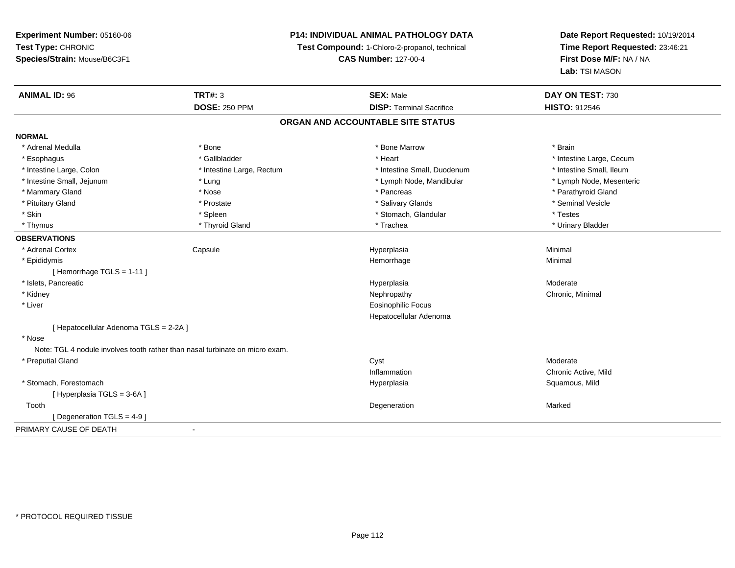# **P14: INDIVIDUAL ANIMAL PATHOLOGY DATA**

**Test Compound:** 1-Chloro-2-propanol, technical

**CAS Number:** 127-00-4

| <b>ANIMAL ID: 96</b>                   | <b>TRT#: 3</b>                                                               | <b>SEX: Male</b>                  | DAY ON TEST: 730         |  |
|----------------------------------------|------------------------------------------------------------------------------|-----------------------------------|--------------------------|--|
|                                        | <b>DOSE: 250 PPM</b>                                                         | <b>DISP: Terminal Sacrifice</b>   | <b>HISTO: 912546</b>     |  |
|                                        |                                                                              | ORGAN AND ACCOUNTABLE SITE STATUS |                          |  |
| <b>NORMAL</b>                          |                                                                              |                                   |                          |  |
| * Adrenal Medulla                      | * Bone                                                                       | * Bone Marrow                     | * Brain                  |  |
| * Esophagus                            | * Gallbladder                                                                | * Heart                           | * Intestine Large, Cecum |  |
| * Intestine Large, Colon               | * Intestine Large, Rectum                                                    | * Intestine Small, Duodenum       | * Intestine Small, Ileum |  |
| * Intestine Small, Jejunum             | * Lung                                                                       | * Lymph Node, Mandibular          | * Lymph Node, Mesenteric |  |
| * Mammary Gland                        | * Nose                                                                       | * Pancreas                        | * Parathyroid Gland      |  |
| * Pituitary Gland                      | * Prostate                                                                   | * Salivary Glands                 | * Seminal Vesicle        |  |
| * Skin                                 | * Spleen                                                                     | * Stomach, Glandular              | * Testes                 |  |
| * Thymus                               | * Thyroid Gland                                                              | * Trachea                         | * Urinary Bladder        |  |
| <b>OBSERVATIONS</b>                    |                                                                              |                                   |                          |  |
| * Adrenal Cortex                       | Capsule                                                                      | Hyperplasia                       | Minimal                  |  |
| * Epididymis                           |                                                                              | Hemorrhage                        | Minimal                  |  |
| [Hemorrhage TGLS = $1-11$ ]            |                                                                              |                                   |                          |  |
| * Islets, Pancreatic                   |                                                                              | Hyperplasia                       | Moderate                 |  |
| * Kidney                               |                                                                              | Nephropathy                       | Chronic, Minimal         |  |
| * Liver                                |                                                                              | Eosinophilic Focus                |                          |  |
|                                        |                                                                              | Hepatocellular Adenoma            |                          |  |
| [ Hepatocellular Adenoma TGLS = 2-2A ] |                                                                              |                                   |                          |  |
| * Nose                                 |                                                                              |                                   |                          |  |
|                                        | Note: TGL 4 nodule involves tooth rather than nasal turbinate on micro exam. |                                   |                          |  |
| * Preputial Gland                      |                                                                              | Cyst                              | Moderate                 |  |
|                                        |                                                                              | Inflammation                      | Chronic Active, Mild     |  |
| * Stomach, Forestomach                 |                                                                              | Hyperplasia                       | Squamous, Mild           |  |
| [ Hyperplasia TGLS = 3-6A]             |                                                                              |                                   |                          |  |
| Tooth                                  |                                                                              | Degeneration                      | Marked                   |  |
| [ Degeneration TGLS = $4-9$ ]          |                                                                              |                                   |                          |  |
| PRIMARY CAUSE OF DEATH                 | $\blacksquare$                                                               |                                   |                          |  |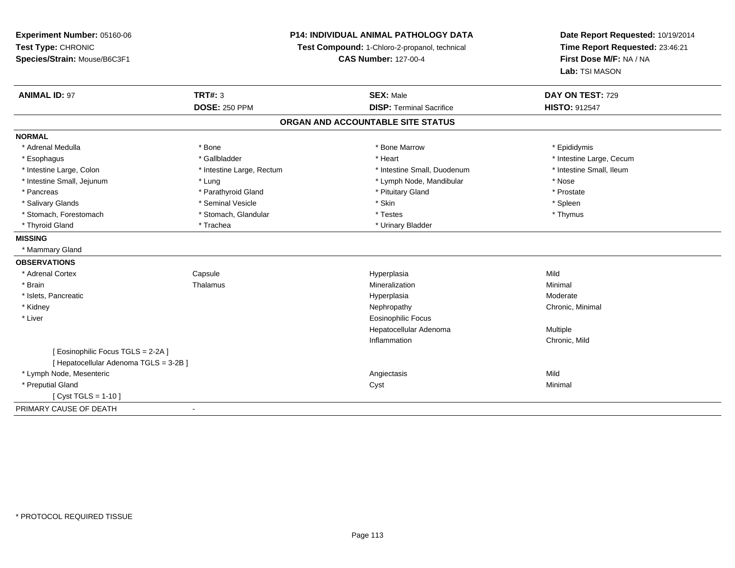**Experiment Number:** 05160-06**Test Type:** CHRONIC **Species/Strain:** Mouse/B6C3F1**P14: INDIVIDUAL ANIMAL PATHOLOGY DATATest Compound:** 1-Chloro-2-propanol, technical **CAS Number:** 127-00-4**Date Report Requested:** 10/19/2014**Time Report Requested:** 23:46:21**First Dose M/F:** NA / NA**Lab:** TSI MASON**ANIMAL ID:** 97**TRT#:** 3 **SEX:** Male **DAY ON TEST:** 729 **DOSE:** 250 PPM**DISP:** Terminal Sacrifice **HISTO:** 912547 **ORGAN AND ACCOUNTABLE SITE STATUSNORMAL**\* Adrenal Medulla \* Adrenal Medulla \* \* The matter of the state of the state of the Marrow \* Bone Marrow \* Adrenal Medulla \* Epididymis \* Epididymis \* Bone Marrow \* Adrenal Medulla \* Epididymis \* Epididymis \* Epididymis \* Epididymis \* Epidi \* Esophagus \* https://www.fragustage.com/web/2019/heart \* Heart \* Heart \* Heart \* Intestine Large, Cecum \* Intestine Large, Cecum \* Gallbladder \* Callbladder \* 11 and 12 and 12 and 12 and 12 and 12 and 12 and 12 and 12 and \* Intestine Small, Ileum \* Intestine Large, Colon \* Intestine Large, Rectum \* Intestine Small, Duodenum \* Intestine Small, Duodenum \* Intestine Small, Jejunum \* Lung \* Lymph Node, Mandibular \* Nose\* Prostate \* Pancreas \* Parathyroid Gland \* Parathyroid Gland \* \* Prituitary Gland \* Spleen \* Salivary Glands \* \* \* Sheen \* Seminal Vesicle \* \* \* Stan \* \* Skin \* \* Skin \* \* Spleen \* \* Spleen \* \* Spleen \* \* Thymus \* Stomach, Forestomach \* Testes \* Stomach, Glandular \* Testes \* Testes \* Testes \* Testes \* Testes \* Testes \* T \* Thyroid Gland \* Trachea \* Trachea \* Trachea \* Urinary Bladder **MISSING** \* Mammary Gland**OBSERVATIONS** \* Adrenal CortexCapsule<br>Thalamus Hyperplasia Mild \* Brainn and the matter of the Thalamus and the Minimal of the Minimal of the Minimal of the Minimal of the Minimal o<br>Thalamus and the Minimal of the Minimal of the Minimal of the Minimal of the Minimal of the Minimal of the Min \* Islets, Pancreaticc and the contract of the contract of the contract of the contract of the contract of the contract of the contract of the contract of the contract of the contract of the contract of the contract of the contract of the cont Moderate \* Kidneyy the controller of the controller of the controller of the controller of the controller of the controller of the controller of the controller of the controller of the controller of the controller of the controller of the \* Liver Eosinophilic Focus Hepatocellular Adenoma Multiple Inflammation Chronic, Mild [ Eosinophilic Focus TGLS = 2-2A ][ Hepatocellular Adenoma TGLS = 3-2B ] \* Lymph Node, Mesenteric Angiectasis MildMinimal \* Preputial Glandd and the control of the control of the control of the control of the control of the control of the control of the control of the control of the control of the control of the control of the control of the control of the co [ Cyst TGLS = 1-10 ]PRIMARY CAUSE OF DEATH-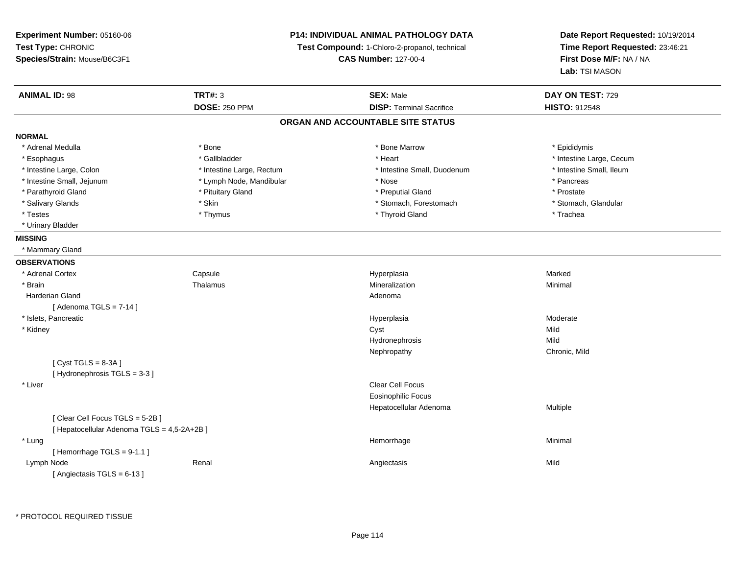**Experiment Number:** 05160-06**Test Type:** CHRONIC **Species/Strain:** Mouse/B6C3F1**P14: INDIVIDUAL ANIMAL PATHOLOGY DATATest Compound:** 1-Chloro-2-propanol, technical **CAS Number:** 127-00-4**Date Report Requested:** 10/19/2014**Time Report Requested:** 23:46:21**First Dose M/F:** NA / NA**Lab:** TSI MASON**ANIMAL ID:** 98**TRT#:** 3 **SEX:** Male **DAY ON TEST:** 729 **DOSE:** 250 PPM**DISP:** Terminal Sacrifice **HISTO:** 912548 **ORGAN AND ACCOUNTABLE SITE STATUSNORMAL**\* Adrenal Medulla \* Adrenal Medulla \* \* The matter of the state of the state of the Marrow \* Bone Marrow \* Adrenal Medulla \* Epididymis \* Epididymis \* Bone Marrow \* Adrenal Medulla \* Epididymis \* Epididymis \* Epididymis \* Epididymis \* Epidi \* Esophagus \* https://www.fragustage.com/web/2019/heart \* Heart \* Heart \* Heart \* Intestine Large, Cecum \* Intestine Large, Cecum \* Gallbladder \* Callbladder \* 11 and 12 and 12 and 12 and 12 and 12 and 12 and 12 and 12 and \* Intestine Small, Ileum \* Intestine Large, Colon \* Intestine Large, Rectum \* Intestine Small, Duodenum \* Intestine Small, Duodenum \* Intestine Small, Jejunum \* The matches \* Lymph Node, Mandibular \* \* Nose \* \* Pancreas \* Pancreas \* Pancreas \* Prostate \* Parathyroid Gland \* **All and \* Pituitary Gland \* Preputial Gland \* Preputial Gland** \* Preputial Gland \* Stomach, Glandular \* Salivary Glands \* Stomach, Forestomach \* Skin \* Skin \* Stomach, Forestomach \* Stomach, Forestomach \* Testes \* Thymus \* Thyroid Gland \* Trachea \* Urinary Bladder**MISSING** \* Mammary Gland**OBSERVATIONS** \* Adrenal CortexCapsule<br>Thalamus Hyperplasia Marked \* Brainn and the matter of the Thalamus and the Minimal of the Minimal of the Minimal of the Minimal of the Minimal o<br>Thalamus and the Minimal of the Minimal of the Minimal of the Minimal of the Minimal of the Minimal of the Min Harderian Glandd and a state of the control of the control of the control of the control of the control of the control of the control of the control of the control of the control of the control of the control of the control of the contro  $[$  Adenoma TGLS = 7-14  $]$  \* Islets, Pancreaticc and the contract of the contract of the contract of the contract of the contract of the contract of the contract of the contract of the contract of the contract of the contract of the contract of the contract of the cont Hyperplasia Moderate<br>Cyst Mild \* Kidneyy and the control of the control of the control of the control of the control of the control of the control of the control of the control of the control of the control of the control of the control of the control of the co Mild Hydronephrosiss Mild y Chronic, Mild Nephropathy $[$  Cyst TGLS = 8-3A  $]$ [ Hydronephrosis TGLS = 3-3 ] \* Liverr and the contract of the contract of the contract of the contract of the contract of the contract of the contract of the contract of the contract of the contract of the contract of the contract of the contract of the cont Eosinophilic Focus Hepatocellular Adenoma Multiple [ Clear Cell Focus TGLS = 5-2B ][ Hepatocellular Adenoma TGLS = 4,5-2A+2B ] \* Lungg and the state of the state of the state of the state of the Hemorrhage and the state of the Minimal State of [ Hemorrhage TGLS = 9-1.1 ] Lymph Node Renal Angiectasis Mild [ Angiectasis TGLS = 6-13 ]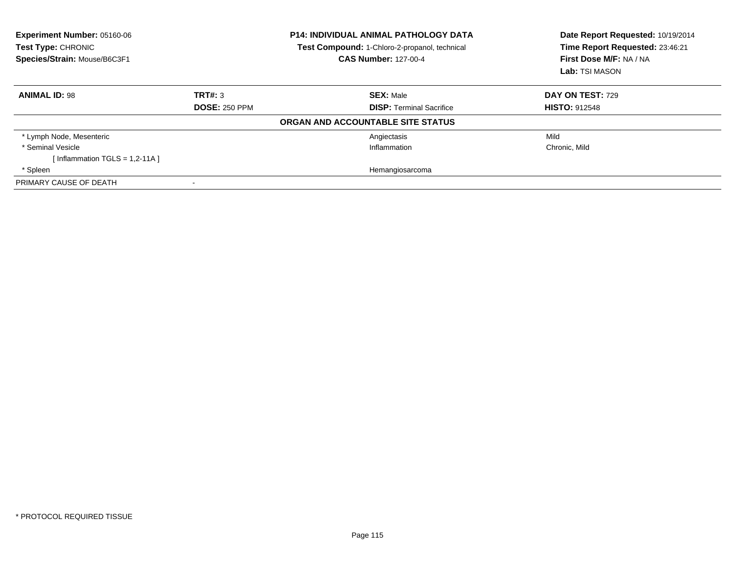| Experiment Number: 05160-06<br>Test Type: CHRONIC<br>Species/Strain: Mouse/B6C3F1 |                      | <b>P14: INDIVIDUAL ANIMAL PATHOLOGY DATA</b><br>Test Compound: 1-Chloro-2-propanol, technical<br><b>CAS Number: 127-00-4</b> | Date Report Requested: 10/19/2014<br>Time Report Requested: 23:46:21<br>First Dose M/F: NA / NA<br>Lab: TSI MASON |  |
|-----------------------------------------------------------------------------------|----------------------|------------------------------------------------------------------------------------------------------------------------------|-------------------------------------------------------------------------------------------------------------------|--|
| <b>ANIMAL ID: 98</b>                                                              | TRT#: 3              | <b>SEX: Male</b>                                                                                                             | DAY ON TEST: 729                                                                                                  |  |
|                                                                                   | <b>DOSE: 250 PPM</b> | <b>DISP: Terminal Sacrifice</b>                                                                                              | <b>HISTO: 912548</b>                                                                                              |  |
|                                                                                   |                      | ORGAN AND ACCOUNTABLE SITE STATUS                                                                                            |                                                                                                                   |  |
| * Lymph Node, Mesenteric                                                          |                      | Angiectasis                                                                                                                  | Mild                                                                                                              |  |
| * Seminal Vesicle                                                                 |                      | Inflammation                                                                                                                 | Chronic, Mild                                                                                                     |  |
| [Inflammation TGLS = $1,2-11A$ ]                                                  |                      |                                                                                                                              |                                                                                                                   |  |
| * Spleen                                                                          |                      | Hemangiosarcoma                                                                                                              |                                                                                                                   |  |
| PRIMARY CAUSE OF DEATH                                                            |                      |                                                                                                                              |                                                                                                                   |  |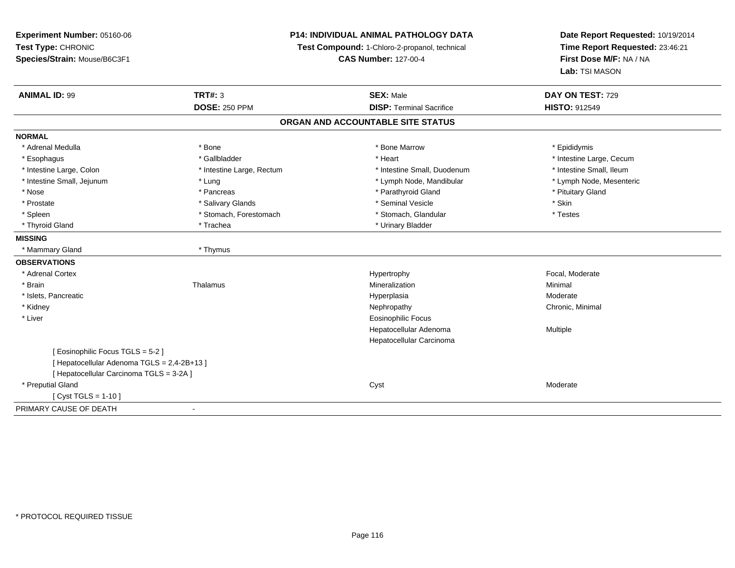**Experiment Number:** 05160-06**Test Type:** CHRONIC **Species/Strain:** Mouse/B6C3F1**P14: INDIVIDUAL ANIMAL PATHOLOGY DATATest Compound:** 1-Chloro-2-propanol, technical **CAS Number:** 127-00-4**Date Report Requested:** 10/19/2014**Time Report Requested:** 23:46:21**First Dose M/F:** NA / NA**Lab:** TSI MASON**ANIMAL ID:** 99 **TRT#:** <sup>3</sup> **SEX:** Male **DAY ON TEST:** <sup>729</sup> **DOSE:** 250 PPM**DISP:** Terminal Sacrifice **HISTO:** 912549 **ORGAN AND ACCOUNTABLE SITE STATUSNORMAL**\* Adrenal Medulla \* Adrenal Medulla \* \* The matter of the state of the state of the Marrow \* Bone Marrow \* Adrenal Medulla \* Epididymis \* Epididymis \* Bone Marrow \* Adrenal Medulla \* Epididymis \* Epididymis \* Epididymis \* Epididymis \* Epidi \* Esophagus \* https://www.fragustage.com/web/2019/heart \* Heart \* Heart \* Heart \* Intestine Large, Cecum \* Intestine Large, Cecum \* Gallbladder \* Callbladder \* 11 and 12 and 12 and 12 and 12 and 12 and 12 and 12 and 12 and \* Intestine Small, Ileum \* Intestine Large, Colon \* Intestine Large, Rectum \* Intestine Small, Duodenum \* Intestine Small, Duodenum \* Lymph Node, Mesenteric \* Intestine Small, Jejunum \* The material and the state of the state of the state of the state of the state of the state of the state of the state of the state of the state of the state of the state of the state of the sta \* Nose \* Pancreas \* Pancreas \* Pancreas \* Parathyroid Gland \* Parathyroid Gland \* Pituitary Gland \* Pituitary Gland \* Prostate \* \* Salivary Glands \* \* Salivary Glands \* \* Seminal Vesicle \* \* \* Seminal Yestrich \* \* Skin \* \* Skin \* Testes \* Spleen \* Stomach, Forestomach \* Stomach \* Stomach, Glandular \* Stomach, Glandular \* Thyroid Gland \* Trachea \* Trachea \* Trachea \* Urinary Bladder **MISSING** \* Mammary Gland \* Thymus**OBSERVATIONS** \* Adrenal Cortexx and the state of the state of the state of the Hypertrophy Separate Separate Separate Separate Separate Separate Separate Separate Separate Separate Separate Separate Separate Separate Separate Separate Separate Separate \* Brainn and the matter of the Thalamus and the Minimal of the Minimal of the Minimal of the Minimal of the Minimal o<br>Thalamus and the Minimal of the Minimal of the Minimal of the Minimal of the Minimal of the Minimal of the Min \* Islets, Pancreaticc and the contract of the contract of the contract of the contract of the contract of the contract of the contract of the contract of the contract of the contract of the contract of the contract of the contract of the cont Moderate \* Kidneyy the controller of the controller of the controller of the controller of the controller of the controller of the controller of the controller of the controller of the controller of the controller of the controller of the \* Liver Eosinophilic Focus Hepatocellular Adenoma Multiple Hepatocellular Carcinoma[ Eosinophilic Focus TGLS = 5-2 ][ Hepatocellular Adenoma TGLS = 2,4-2B+13 ][ Hepatocellular Carcinoma TGLS = 3-2A ] \* Preputial Glandd and the control of the control of the control of the control of the control of the control of the control of the control of the control of the control of the control of the control of the control of the control of the co [ Cyst TGLS = 1-10 ]PRIMARY CAUSE OF DEATH-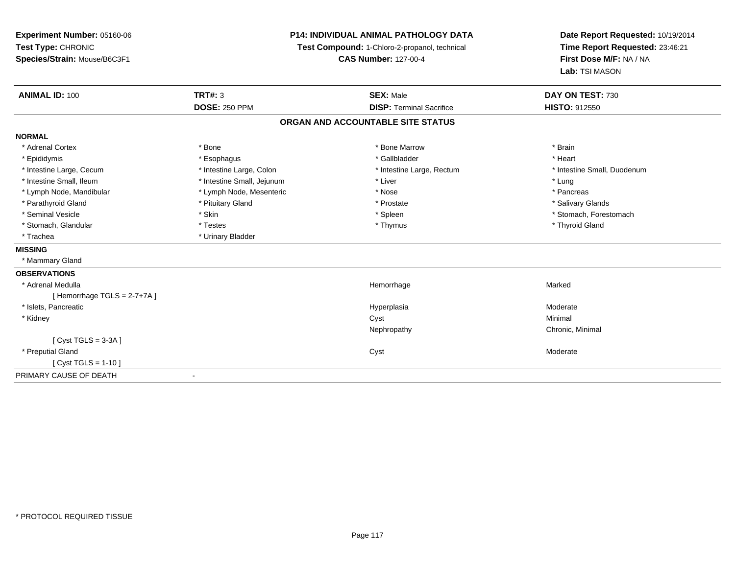| Experiment Number: 05160-06<br>Test Type: CHRONIC |                              | <b>P14: INDIVIDUAL ANIMAL PATHOLOGY DATA</b><br>Test Compound: 1-Chloro-2-propanol, technical | Date Report Requested: 10/19/2014<br>Time Report Requested: 23:46:21 |  |
|---------------------------------------------------|------------------------------|-----------------------------------------------------------------------------------------------|----------------------------------------------------------------------|--|
| Species/Strain: Mouse/B6C3F1                      |                              | <b>CAS Number: 127-00-4</b>                                                                   | First Dose M/F: NA / NA<br>Lab: TSI MASON                            |  |
| <b>ANIMAL ID: 100</b>                             | <b>TRT#: 3</b>               | <b>SEX: Male</b>                                                                              | DAY ON TEST: 730                                                     |  |
|                                                   | <b>DOSE: 250 PPM</b>         | <b>DISP: Terminal Sacrifice</b>                                                               | <b>HISTO: 912550</b>                                                 |  |
|                                                   |                              | ORGAN AND ACCOUNTABLE SITE STATUS                                                             |                                                                      |  |
| <b>NORMAL</b>                                     |                              |                                                                                               |                                                                      |  |
| * Adrenal Cortex                                  | * Bone                       | * Bone Marrow                                                                                 | * Brain                                                              |  |
| * Epididymis                                      | * Esophagus                  | * Gallbladder                                                                                 | * Heart                                                              |  |
| * Intestine Large, Cecum                          | * Intestine Large, Colon     | * Intestine Large, Rectum                                                                     | * Intestine Small, Duodenum                                          |  |
| * Intestine Small, Ileum                          | * Intestine Small, Jejunum   | * Liver                                                                                       | * Lung                                                               |  |
| * Lymph Node, Mandibular                          | * Lymph Node, Mesenteric     | * Nose                                                                                        | * Pancreas                                                           |  |
| * Parathyroid Gland                               | * Pituitary Gland            | * Prostate                                                                                    | * Salivary Glands                                                    |  |
| * Seminal Vesicle                                 | * Skin                       | * Spleen                                                                                      | * Stomach, Forestomach                                               |  |
| * Stomach, Glandular                              | * Testes                     | * Thymus                                                                                      | * Thyroid Gland                                                      |  |
| * Trachea                                         | * Urinary Bladder            |                                                                                               |                                                                      |  |
| <b>MISSING</b>                                    |                              |                                                                                               |                                                                      |  |
| * Mammary Gland                                   |                              |                                                                                               |                                                                      |  |
| <b>OBSERVATIONS</b>                               |                              |                                                                                               |                                                                      |  |
| * Adrenal Medulla                                 |                              | Hemorrhage                                                                                    | Marked                                                               |  |
| [Hemorrhage TGLS = $2-7+7A$ ]                     |                              |                                                                                               |                                                                      |  |
| * Islets, Pancreatic                              |                              | Hyperplasia                                                                                   | Moderate                                                             |  |
| * Kidney                                          |                              | Cyst                                                                                          | Minimal                                                              |  |
|                                                   |                              | Nephropathy                                                                                   | Chronic, Minimal                                                     |  |
| [Cyst TGLS = $3-3A$ ]                             |                              |                                                                                               |                                                                      |  |
| * Preputial Gland                                 |                              | Cyst                                                                                          | Moderate                                                             |  |
| [ $Cyst TGLS = 1-10$ ]                            |                              |                                                                                               |                                                                      |  |
| PRIMARY CAUSE OF DEATH                            | $\qquad \qquad \blacksquare$ |                                                                                               |                                                                      |  |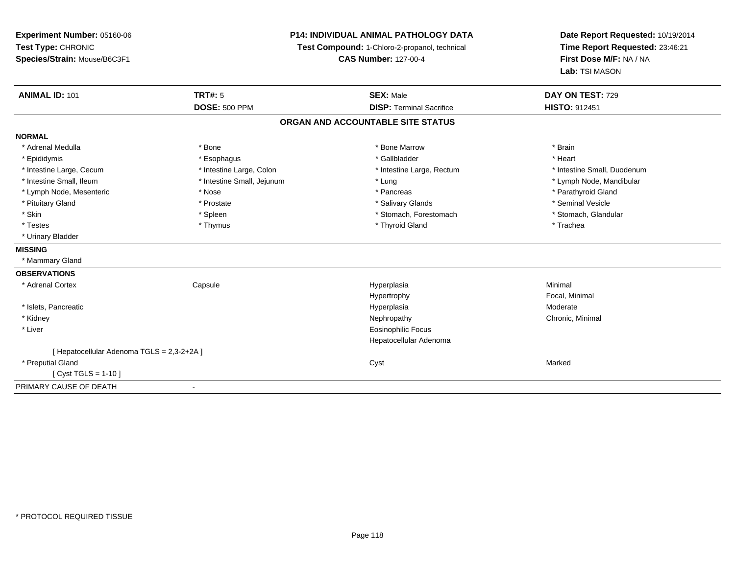**Experiment Number:** 05160-06**Test Type:** CHRONIC **Species/Strain:** Mouse/B6C3F1**P14: INDIVIDUAL ANIMAL PATHOLOGY DATATest Compound:** 1-Chloro-2-propanol, technical **CAS Number:** 127-00-4**Date Report Requested:** 10/19/2014**Time Report Requested:** 23:46:21**First Dose M/F:** NA / NA**Lab:** TSI MASON**ANIMAL ID:** 101**TRT#:** 5 **SEX:** Male **SEX:** Male **DAY ON TEST:** 729 **DOSE:** 500 PPM**DISP:** Terminal Sacrifice **HISTO:** 912451 **ORGAN AND ACCOUNTABLE SITE STATUSNORMAL**\* Adrenal Medulla \* \* Annual Medulla \* Brain \* Bone \* \* Bone Marrow \* Bone Marrow \* \* Brain \* Brain \* Brain \* Brain \* Brain \* Brain \* Brain \* Brain \* Brain \* Brain \* Brain \* Brain \* Brain \* Brain \* Brain \* Brain \* Brain \* \* Heart \* Epididymis \* Esophagus \* Gallbladder \* Heart\* Intestine Large, Cecum \* Intestine Large, Colon \* Intestine Large, Rectum \* Intestine Small, Duodenum \* Intestine Small, Ileum \* Intestine Small, Jejunum \* Lung \* Lymph Node, Mandibular\* Lymph Node, Mesenteric \* The state of the state of the state of the state of the state of the state of the state of the state of the state of the state of the state of the state of the state of the state of the state of \* Pituitary Gland \* \* \* \* Prostate \* \* Prostate \* \* Salivary Glands \* \* Salivary Glands \* \* Seminal Vesicle \* Stomach. Glandular \* Skin \* Spleen \* Spleen \* Spleen \* Stomach, Forestomach \* Stomach, Forestomach \* Testes \* Thymus \* Thyroid Gland \* Trachea \* Urinary Bladder**MISSING** \* Mammary Gland**OBSERVATIONS** \* Adrenal Cortex Capsule Hyperplasia Minimal Hypertrophy Focal, Minimal \* Islets, Pancreaticc and the contract of the contract of the contract of the contract of the contract of the contract of the contract of the contract of the contract of the contract of the contract of the contract of the contract of the cont a **Moderate**  \* Kidneyy the controller of the controller of the controller of the controller of the controller of the controller of the controller of the controller of the controller of the controller of the controller of the controller of the \* Liver Eosinophilic Focus Hepatocellular Adenoma[ Hepatocellular Adenoma TGLS = 2,3-2+2A ] \* Preputial Glandd and the control of the control of the control of the control of the control of the control of the control of the control of the control of the control of the control of the control of the control of the control of the co [ Cyst TGLS = 1-10 ]PRIMARY CAUSE OF DEATH-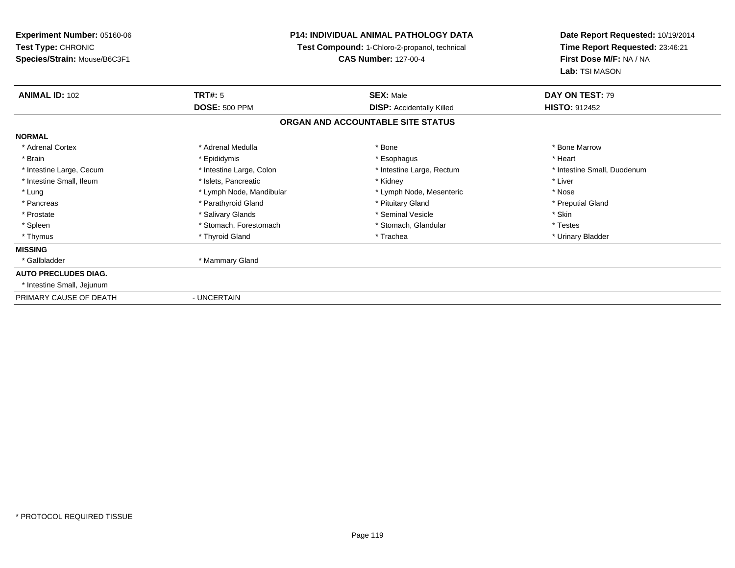**Experiment Number:** 05160-06**Test Type:** CHRONIC **Species/Strain:** Mouse/B6C3F1**P14: INDIVIDUAL ANIMAL PATHOLOGY DATA Test Compound:** 1-Chloro-2-propanol, technical **CAS Number:** 127-00-4**Date Report Requested:** 10/19/2014**Time Report Requested:** 23:46:21**First Dose M/F:** NA / NA**Lab:** TSI MASON**ANIMAL ID:** 102**TRT#:** 5 **SEX:** Male **DAY ON TEST:** 79 **DOSE:** 500 PPM**DISP:** Accidentally Killed **HISTO:** 912452 **ORGAN AND ACCOUNTABLE SITE STATUSNORMAL**\* Adrenal Cortex \* Adrenal Medulla \* Adrenal Medulla \* Bone \* Bone \* Bone \* Bone \* Bone Marrow \* Brain \* \* Esophagus \* \* Esophagus \* \* Esophagus \* \* Esophagus \* \* Esophagus \* Heart \* Heart \* Heart \* Heart \* Intestine Large, Cecum \* Intestine Large, Colon \* Intestine Large, Rectum \* Intestine Small, Duodenum \* Intestine Small, Ileum \* \* 19ets, Pancreatic \* \* Kidney \* Kidney \* Liver \* Liver \* Lung \* Lymph Node, Mandibular \* Nose \* Lymph Node, Mesenteric \* Nose \* Nose \* Preputial Gland \* Pancreas \* \* Parathyroid Gland \* \* Parathyroid Gland \* \* Pituitary Gland \* \* Preputial Gland \* \* Preputial Gland \* Prostate \* The state \* Salivary Glands \* Seminal Vesicle \* Seminal Vesicle \* Skin \* Skin \* Skin \* Skin \* Skin \* Testes \* Spleen \* Stomach, Forestomach \* Stomach, Spleen \* Stomach, Glandular \* Testestess \* Stomach, Glandular \* Urinary Bladder \* Thymus \* Thyroid Gland \* Trachea \* Urinary Bladder \* **MISSING**\* Gallbladder \* Mammary Gland **AUTO PRECLUDES DIAG.** \* Intestine Small, Jejunum PRIMARY CAUSE OF DEATH- UNCERTAIN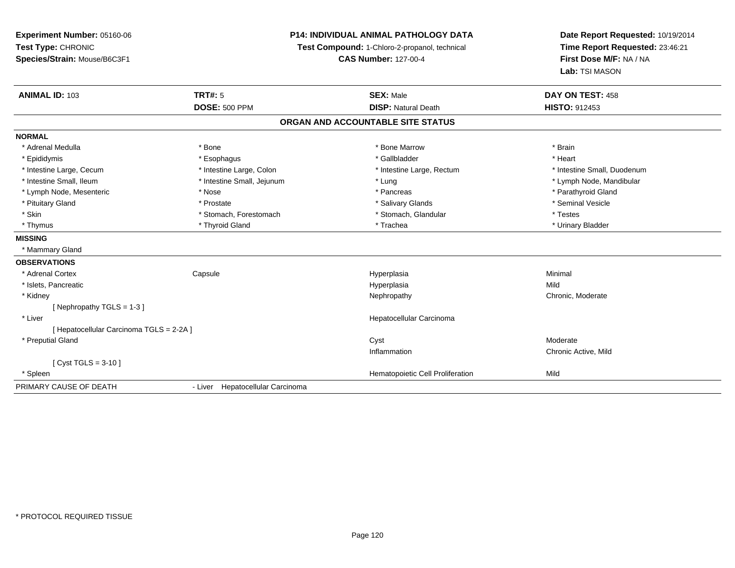**Experiment Number:** 05160-06**Test Type:** CHRONIC **Species/Strain:** Mouse/B6C3F1**P14: INDIVIDUAL ANIMAL PATHOLOGY DATATest Compound:** 1-Chloro-2-propanol, technical **CAS Number:** 127-00-4**Date Report Requested:** 10/19/2014**Time Report Requested:** 23:46:21**First Dose M/F:** NA / NA**Lab:** TSI MASON**ANIMAL ID:** 103**TRT#:** 5 **SEX:** Male **DAY ON TEST:** 458 **DOSE:** 500 PPM**DISP:** Natural Death **HISTO:** 912453 **ORGAN AND ACCOUNTABLE SITE STATUSNORMAL**\* Adrenal Medulla \* \* Annual Medulla \* Brain \* Bone \* \* Bone Marrow \* Bone Marrow \* \* Brain \* Brain \* Brain \* Brain \* Brain \* Brain \* Brain \* Brain \* Brain \* Brain \* Brain \* Brain \* Brain \* Brain \* Brain \* Brain \* Brain \* \* Heart \* Epididymis \* Esophagus \* Gallbladder \* Heart\* Intestine Large, Cecum \* Intestine Large, Colon \* Intestine Large, Rectum \* Intestine Small, Duodenum \* Intestine Small, Ileum \* Intestine Small, Jejunum \* Lung \* Lymph Node, Mandibular\* Lymph Node, Mesenteric \* The state of the state of the state of the state of the state of the state of the state of the state of the state of the state of the state of the state of the state of the state of the state of \* Pituitary Gland \* \* \* \* Prostate \* \* Prostate \* \* Salivary Glands \* \* Salivary Glands \* \* Seminal Vesicle \* Skin \* Stomach, Forestomach \* Stomach \* Stomach, Skin \* Stomach, Glandular \* Testes \* Testes \* Urinary Bladder \* Thymus \* Thyroid Gland \* Trachea \* Urinary Bladder \* **MISSING** \* Mammary Gland**OBSERVATIONS** \* Adrenal Cortex**Capsule**  Hyperplasia Minimal \* Islets, Pancreaticc and the contract of the contract of the contract of the contract of the contract of the contract of the contract of the contract of the contract of the contract of the contract of the contract of the contract of the cont a Mild \* Kidneyy the chronic, Moderate and September 2011 of the Chronic Moderate and September 2012 of the Chronic, Moderate  $[$  Nephropathy TGLS = 1-3  $]$  \* Liver Hepatocellular Carcinoma[ Hepatocellular Carcinoma TGLS = 2-2A ] \* Preputial Glandd and the control of the control of the control of the control of the control of the control of the control of the control of the control of the control of the control of the control of the control of the control of the co Inflammation Chronic Active, Mild [ Cyst TGLS = 3-10 ] \* SpleenHematopoietic Cell Proliferation Mild PRIMARY CAUSE OF DEATH- Liver Hepatocellular Carcinoma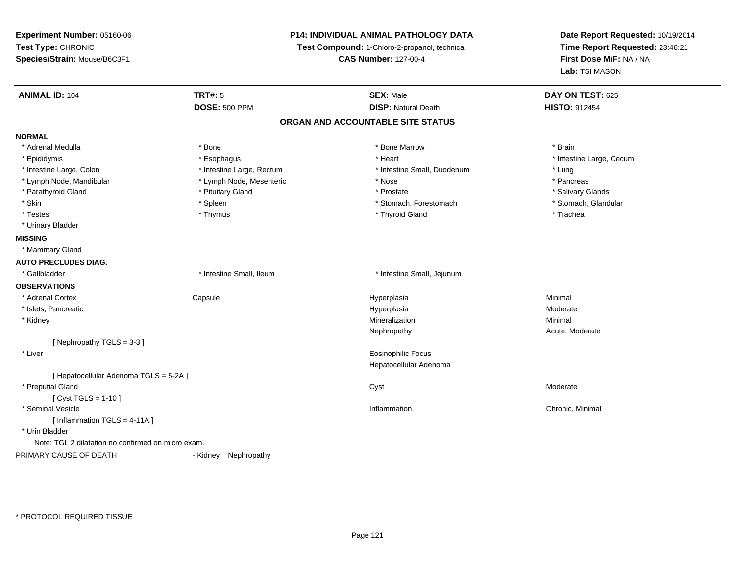**Experiment Number:** 05160-06**Test Type:** CHRONIC **Species/Strain:** Mouse/B6C3F1**P14: INDIVIDUAL ANIMAL PATHOLOGY DATATest Compound:** 1-Chloro-2-propanol, technical **CAS Number:** 127-00-4**Date Report Requested:** 10/19/2014**Time Report Requested:** 23:46:21**First Dose M/F:** NA / NA**Lab:** TSI MASON**ANIMAL ID:** 104**TRT#:** 5 **SEX:** Male **DAY ON TEST:** 625 **DOSE:** 500 PPM**DISP:** Natural Death **HISTO:** 912454 **ORGAN AND ACCOUNTABLE SITE STATUSNORMAL**\* Adrenal Medulla \* \* Annual Medulla \* Brain \* Bone \* \* Bone Marrow \* Bone Marrow \* \* Brain \* Brain \* Brain \* Brain \* Brain \* Brain \* Brain \* Brain \* Brain \* Brain \* Brain \* Brain \* Brain \* Brain \* Brain \* Brain \* Brain \* \* Epididymis **Account 19 and 19 and 19 and 19 and 19 and 19 and 19 and 19 and 19 and 19 and 19 and 19 and 19 and 19 and 19 and 19 and 19 and 19 and 19 and 19 and 19 and 19 and 19 and 19 and 19 and 19 and 19 and 19 and 19 a**  \* Intestine Large, Colon \* Intestine Large, Rectum \* Intestine Small, Duodenum \* Lung\* Pancreas \* Lymph Node, Mandibular \* Nose \* Lymph Node, Mesenteric \* \* Nose \* Nose \* Pancrease \* Pancrease \* Pancrease \* Pancrease \* Pancrease \* Pancrease \* Pancrease \* Pancrease \* Pancrease \* Pancrease \* Pancrease \* Pancrease \* Pan \* Salivary Glands \* Parathyroid Gland \* \* \* Pituitary Gland \* \* Prostate \* \* Prostate \* \* Salivary Glands \* Salivary Glands \* Salivary Glands \* Salivary Glands \* Salivary Glands \* Salivary Glands \* Salivary Glands \* Salivary Glands \* Saliva \* Stomach, Glandular \* Skin \* Spleen \* Spleen \* Spleen \* Stomach, Forestomach \* Stomach, Forestomach \* Testes \* Thymus \* Thyroid Gland \* Trachea \* Urinary Bladder**MISSING** \* Mammary Gland**AUTO PRECLUDES DIAG.**\* Gallbladder **\*** Intestine Small, Ileum \* Intestine Small, Ileum \* Intestine Small, Jejunum **OBSERVATIONS** \* Adrenal Cortex**Capsule**  Hyperplasia Minimal \* Islets, Pancreaticc and the contract of the contract of the contract of the contract of the contract of the contract of the contract of the contract of the contract of the contract of the contract of the contract of the contract of the cont Moderate \* Kidneyy the control of the control of the control of the control of the control of the control of the control of the control of the control of the control of the control of the control of the control of the control of the contro n Minimal Nephropathy Acute, Moderate[ Nephropathy TGLS = 3-3 ] \* Liver Eosinophilic Focus Hepatocellular Adenoma[ Hepatocellular Adenoma TGLS = 5-2A ] \* Preputial Glandd and the control of the control of the control of the control of the control of the control of the control of the control of the control of the control of the control of the control of the control of the control of the co [ Cyst TGLS = 1-10 ] \* Seminal Vesiclee inflammation and the control of the control of the control of the control of the control of the control of the control of the control of the control of the control of the control of the control of the control of the cont  $[$  Inflammation TGLS = 4-11A  $]$  \* Urin BladderNote: TGL 2 dilatation no confirmed on micro exam.PRIMARY CAUSE OF DEATH- Kidney Nephropathy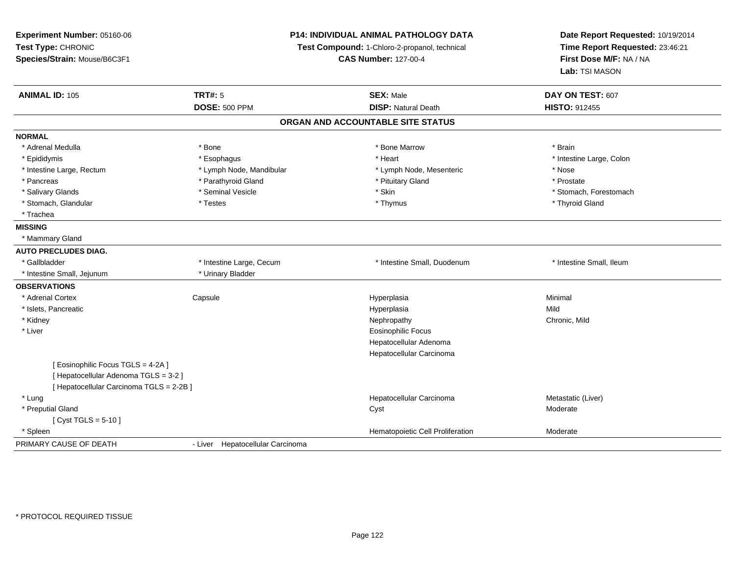| Experiment Number: 05160-06<br>Test Type: CHRONIC<br>Species/Strain: Mouse/B6C3F1 | <b>P14: INDIVIDUAL ANIMAL PATHOLOGY DATA</b><br>Test Compound: 1-Chloro-2-propanol, technical<br><b>CAS Number: 127-00-4</b> |                                   | Date Report Requested: 10/19/2014<br>Time Report Requested: 23:46:21<br>First Dose M/F: NA / NA<br>Lab: TSI MASON |  |
|-----------------------------------------------------------------------------------|------------------------------------------------------------------------------------------------------------------------------|-----------------------------------|-------------------------------------------------------------------------------------------------------------------|--|
| <b>ANIMAL ID: 105</b>                                                             | <b>TRT#: 5</b>                                                                                                               | <b>SEX: Male</b>                  | DAY ON TEST: 607                                                                                                  |  |
|                                                                                   | <b>DOSE: 500 PPM</b>                                                                                                         | <b>DISP: Natural Death</b>        | <b>HISTO: 912455</b>                                                                                              |  |
|                                                                                   |                                                                                                                              | ORGAN AND ACCOUNTABLE SITE STATUS |                                                                                                                   |  |
| <b>NORMAL</b>                                                                     |                                                                                                                              |                                   |                                                                                                                   |  |
| * Adrenal Medulla                                                                 | * Bone                                                                                                                       | * Bone Marrow                     | * Brain                                                                                                           |  |
| * Epididymis                                                                      | * Esophagus                                                                                                                  | * Heart                           | * Intestine Large, Colon                                                                                          |  |
| * Intestine Large, Rectum                                                         | * Lymph Node, Mandibular                                                                                                     | * Lymph Node, Mesenteric          | * Nose                                                                                                            |  |
| * Pancreas                                                                        | * Parathyroid Gland                                                                                                          | * Pituitary Gland                 | * Prostate                                                                                                        |  |
| * Salivary Glands                                                                 | * Seminal Vesicle                                                                                                            | * Skin                            | * Stomach, Forestomach                                                                                            |  |
| * Stomach, Glandular                                                              | * Testes                                                                                                                     | * Thymus                          | * Thyroid Gland                                                                                                   |  |
| * Trachea                                                                         |                                                                                                                              |                                   |                                                                                                                   |  |
| <b>MISSING</b>                                                                    |                                                                                                                              |                                   |                                                                                                                   |  |
| * Mammary Gland                                                                   |                                                                                                                              |                                   |                                                                                                                   |  |
| <b>AUTO PRECLUDES DIAG.</b>                                                       |                                                                                                                              |                                   |                                                                                                                   |  |
| * Gallbladder                                                                     | * Intestine Large, Cecum                                                                                                     | * Intestine Small, Duodenum       | * Intestine Small, Ileum                                                                                          |  |
| * Intestine Small, Jejunum                                                        | * Urinary Bladder                                                                                                            |                                   |                                                                                                                   |  |
| <b>OBSERVATIONS</b>                                                               |                                                                                                                              |                                   |                                                                                                                   |  |
| * Adrenal Cortex                                                                  | Capsule                                                                                                                      | Hyperplasia                       | Minimal                                                                                                           |  |
| * Islets, Pancreatic                                                              |                                                                                                                              | Hyperplasia                       | Mild                                                                                                              |  |
| * Kidney                                                                          |                                                                                                                              | Nephropathy                       | Chronic, Mild                                                                                                     |  |
| * Liver                                                                           |                                                                                                                              | <b>Eosinophilic Focus</b>         |                                                                                                                   |  |
|                                                                                   |                                                                                                                              | Hepatocellular Adenoma            |                                                                                                                   |  |
|                                                                                   |                                                                                                                              | Hepatocellular Carcinoma          |                                                                                                                   |  |
| [ Eosinophilic Focus TGLS = 4-2A ]                                                |                                                                                                                              |                                   |                                                                                                                   |  |
| [ Hepatocellular Adenoma TGLS = 3-2 ]                                             |                                                                                                                              |                                   |                                                                                                                   |  |
| [ Hepatocellular Carcinoma TGLS = 2-2B ]                                          |                                                                                                                              |                                   |                                                                                                                   |  |
| * Lung                                                                            |                                                                                                                              | Hepatocellular Carcinoma          | Metastatic (Liver)                                                                                                |  |
| * Preputial Gland                                                                 |                                                                                                                              | Cyst                              | Moderate                                                                                                          |  |
| [ $Cyst TGLS = 5-10$ ]                                                            |                                                                                                                              |                                   |                                                                                                                   |  |
| * Spleen                                                                          |                                                                                                                              | Hematopoietic Cell Proliferation  | Moderate                                                                                                          |  |
| PRIMARY CAUSE OF DEATH                                                            | - Liver Hepatocellular Carcinoma                                                                                             |                                   |                                                                                                                   |  |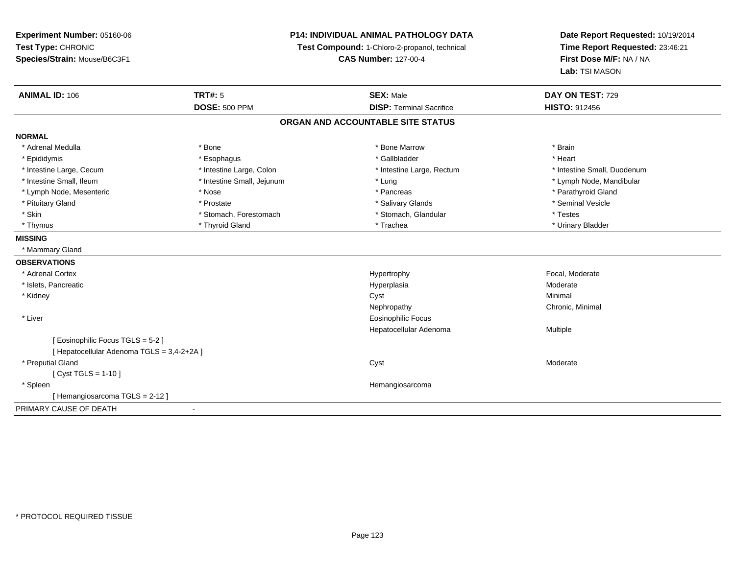**Experiment Number:** 05160-06**Test Type:** CHRONIC **Species/Strain:** Mouse/B6C3F1**P14: INDIVIDUAL ANIMAL PATHOLOGY DATATest Compound:** 1-Chloro-2-propanol, technical **CAS Number:** 127-00-4**Date Report Requested:** 10/19/2014**Time Report Requested:** 23:46:21**First Dose M/F:** NA / NA**Lab:** TSI MASON**ANIMAL ID:** 106**6 DAY ON TEST:** 729 **DOSE:** 500 PPM**DISP:** Terminal Sacrifice **HISTO:** 912456 **ORGAN AND ACCOUNTABLE SITE STATUSNORMAL**\* Adrenal Medulla \* \* Annual Medulla \* Brain \* Bone \* \* Bone Marrow \* Bone Marrow \* \* Brain \* Brain \* Brain \* Brain \* Brain \* Brain \* Brain \* Brain \* Brain \* Brain \* Brain \* Brain \* Brain \* Brain \* Brain \* Brain \* Brain \* \* Heart \* Epididymis \* Esophagus \* Gallbladder \* Heart\* Intestine Large, Cecum \* Intestine Large, Colon \* Intestine Large, Rectum \* Intestine Small, Duodenum \* Intestine Small, Ileum \* Intestine Small, Jejunum \* Lung \* Lymph Node, Mandibular\* Lymph Node, Mesenteric \* The state of the state of the state of the state of the state of the state of the state of the state of the state of the state of the state of the state of the state of the state of the state of \* Pituitary Gland \* \* \* \* Prostate \* \* Prostate \* \* Salivary Glands \* \* Salivary Glands \* \* Seminal Vesicle \* Skin \* Stomach, Forestomach \* Stomach \* Stomach, Skin \* Stomach, Glandular \* Testes \* Testes \* Urinary Bladder \* Thymus \* Thyroid Gland \* Trachea \* Urinary Bladder \* **MISSING** \* Mammary Gland**OBSERVATIONS** \* Adrenal Cortexx and the state of the state of the state of the Hypertrophy Separate Separate Separate Separate Separate Separate Separate Separate Separate Separate Separate Separate Separate Separate Separate Separate Separate Separate \* Islets, Pancreaticc and the contract of the contract of the contract of the contract of the contract of the contract of the contract of the contract of the contract of the contract of the contract of the contract of the contract of the cont a **Moderate**  \* Kidneyy the control of the control of the control of the control of the control of the control of the control of the control of the control of the control of the control of the control of the control of the control of the contro Nephropathy Chronic, Minimal \* Liver Eosinophilic Focus Hepatocellular Adenoma Multiple [ Eosinophilic Focus TGLS = 5-2 ][ Hepatocellular Adenoma TGLS = 3,4-2+2A ] \* Preputial Glandd and the control of the control of the control of the control of the control of the control of the control of the control of the control of the control of the control of the control of the control of the control of the co [ Cyst TGLS = 1-10 ] \* Spleen Hemangiosarcoma [ Hemangiosarcoma TGLS = 2-12 ]PRIMARY CAUSE OF DEATH-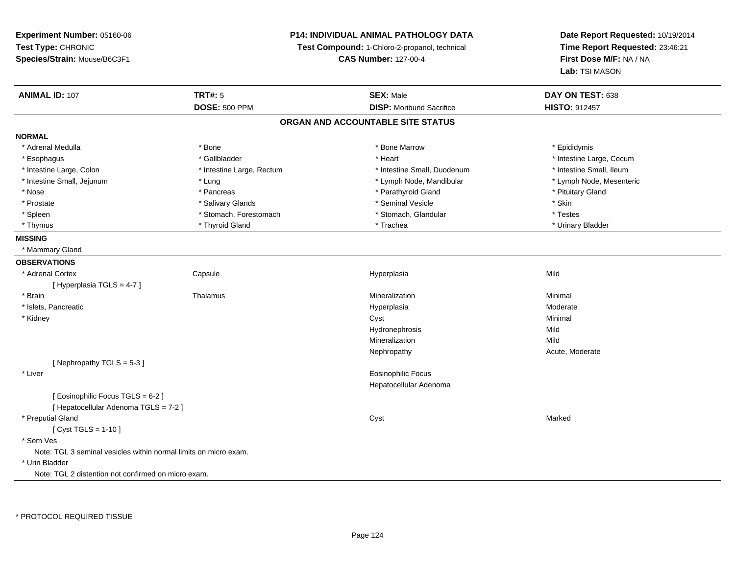# **P14: INDIVIDUAL ANIMAL PATHOLOGY DATA**

**Test Compound:** 1-Chloro-2-propanol, technical

**CAS Number:** 127-00-4

| <b>ANIMAL ID: 107</b>                                            | <b>TRT#: 5</b>            | <b>SEX: Male</b>                | DAY ON TEST: 638         |  |  |
|------------------------------------------------------------------|---------------------------|---------------------------------|--------------------------|--|--|
|                                                                  | <b>DOSE: 500 PPM</b>      | <b>DISP:</b> Moribund Sacrifice | <b>HISTO: 912457</b>     |  |  |
| ORGAN AND ACCOUNTABLE SITE STATUS                                |                           |                                 |                          |  |  |
| <b>NORMAL</b>                                                    |                           |                                 |                          |  |  |
| * Adrenal Medulla                                                | * Bone                    | * Bone Marrow                   | * Epididymis             |  |  |
| * Esophagus                                                      | * Gallbladder             | * Heart                         | * Intestine Large, Cecum |  |  |
| * Intestine Large, Colon                                         | * Intestine Large, Rectum | * Intestine Small, Duodenum     | * Intestine Small, Ileum |  |  |
| * Intestine Small, Jejunum                                       | * Lung                    | * Lymph Node, Mandibular        | * Lymph Node, Mesenteric |  |  |
| * Nose                                                           | * Pancreas                | * Parathyroid Gland             | * Pituitary Gland        |  |  |
| * Prostate                                                       | * Salivary Glands         | * Seminal Vesicle               | * Skin                   |  |  |
| * Spleen                                                         | * Stomach, Forestomach    | * Stomach, Glandular            | * Testes                 |  |  |
| * Thymus                                                         | * Thyroid Gland           | * Trachea                       | * Urinary Bladder        |  |  |
| <b>MISSING</b>                                                   |                           |                                 |                          |  |  |
| * Mammary Gland                                                  |                           |                                 |                          |  |  |
| <b>OBSERVATIONS</b>                                              |                           |                                 |                          |  |  |
| * Adrenal Cortex                                                 | Capsule                   | Hyperplasia                     | Mild                     |  |  |
| [Hyperplasia TGLS = 4-7]                                         |                           |                                 |                          |  |  |
| * Brain                                                          | Thalamus                  | Mineralization                  | Minimal                  |  |  |
| * Islets, Pancreatic                                             |                           | Hyperplasia                     | Moderate                 |  |  |
| * Kidney                                                         |                           | Cyst                            | Minimal                  |  |  |
|                                                                  |                           | Hydronephrosis                  | Mild                     |  |  |
|                                                                  |                           | Mineralization                  | Mild                     |  |  |
|                                                                  |                           | Nephropathy                     | Acute, Moderate          |  |  |
| [Nephropathy TGLS = 5-3]                                         |                           |                                 |                          |  |  |
| * Liver                                                          |                           | Eosinophilic Focus              |                          |  |  |
|                                                                  |                           | Hepatocellular Adenoma          |                          |  |  |
| [ Eosinophilic Focus TGLS = 6-2 ]                                |                           |                                 |                          |  |  |
| [ Hepatocellular Adenoma TGLS = 7-2 ]                            |                           |                                 |                          |  |  |
| * Preputial Gland                                                |                           | Cyst                            | Marked                   |  |  |
| [ $Cyst TGLS = 1-10$ ]                                           |                           |                                 |                          |  |  |
| * Sem Ves                                                        |                           |                                 |                          |  |  |
| Note: TGL 3 seminal vesicles within normal limits on micro exam. |                           |                                 |                          |  |  |
| * Urin Bladder                                                   |                           |                                 |                          |  |  |
| Note: TGL 2 distention not confirmed on micro exam.              |                           |                                 |                          |  |  |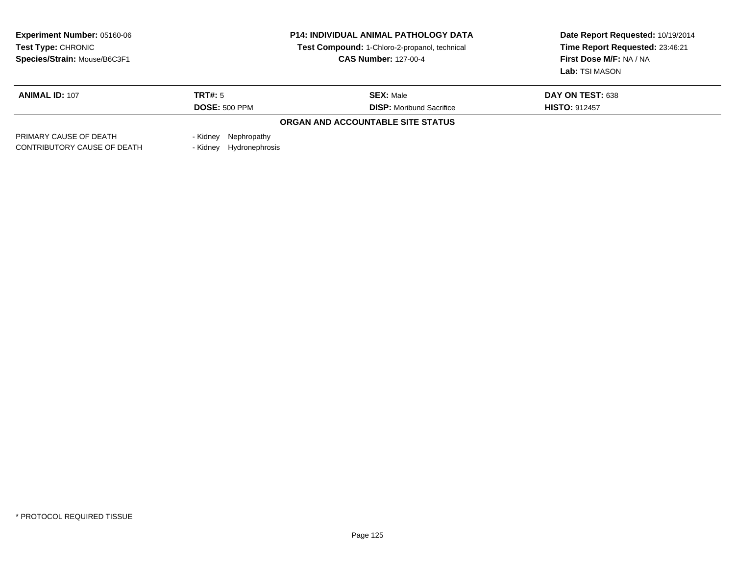| <b>Experiment Number: 05160-06</b><br>Test Type: CHRONIC<br>Species/Strain: Mouse/B6C3F1 | <b>P14: INDIVIDUAL ANIMAL PATHOLOGY DATA</b><br>Test Compound: 1-Chloro-2-propanol, technical<br><b>CAS Number: 127-00-4</b> |                                   | Date Report Requested: 10/19/2014<br>Time Report Requested: 23:46:21<br>First Dose M/F: NA / NA<br>Lab: TSI MASON |
|------------------------------------------------------------------------------------------|------------------------------------------------------------------------------------------------------------------------------|-----------------------------------|-------------------------------------------------------------------------------------------------------------------|
| <b>ANIMAL ID: 107</b>                                                                    | TRT#: 5                                                                                                                      | <b>SEX: Male</b>                  | DAY ON TEST: 638                                                                                                  |
|                                                                                          | <b>DOSE: 500 PPM</b>                                                                                                         | <b>DISP:</b> Moribund Sacrifice   | <b>HISTO: 912457</b>                                                                                              |
|                                                                                          |                                                                                                                              | ORGAN AND ACCOUNTABLE SITE STATUS |                                                                                                                   |
| PRIMARY CAUSE OF DEATH                                                                   | - Kidney Nephropathy                                                                                                         |                                   |                                                                                                                   |
| CONTRIBUTORY CAUSE OF DEATH                                                              | - Kidney Hydronephrosis                                                                                                      |                                   |                                                                                                                   |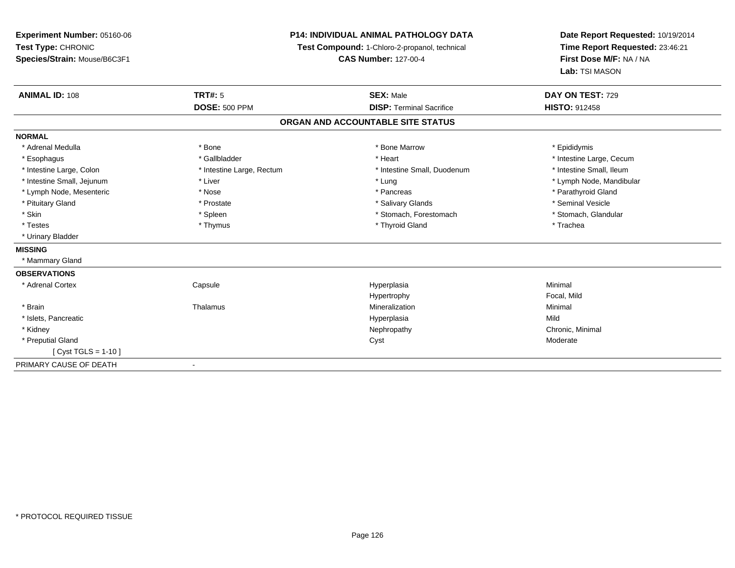**Experiment Number:** 05160-06**Test Type:** CHRONIC **Species/Strain:** Mouse/B6C3F1**P14: INDIVIDUAL ANIMAL PATHOLOGY DATATest Compound:** 1-Chloro-2-propanol, technical **CAS Number:** 127-00-4**Date Report Requested:** 10/19/2014**Time Report Requested:** 23:46:21**First Dose M/F:** NA / NA**Lab:** TSI MASON**ANIMAL ID:** 108**TRT#:** 5 **SEX:** Male **DAY ON TEST:** 729 **DOSE:** 500 PPM**DISP:** Terminal Sacrifice **HISTO:** 912458 **ORGAN AND ACCOUNTABLE SITE STATUSNORMAL**\* Adrenal Medulla \* Adrenal Medulla \* \* The matter of the state of the state of the Marrow \* Bone Marrow \* Adrenal Medulla \* Epididymis \* Epididymis \* Bone Marrow \* Adrenal Medulla \* Epididymis \* Epididymis \* Epididymis \* Epididymis \* Epidi \* Esophagus \* https://www.fragustage.com/web/2019/heart \* Heart \* Heart \* Heart \* Intestine Large, Cecum \* Intestine Large, Cecum \* Gallbladder \* Callbladder \* 11 and 12 and 12 and 12 and 12 and 12 and 12 and 12 and 12 and \* Intestine Small, Ileum \* Intestine Large, Colon \* Intestine Large, Rectum \* Intestine Small, Duodenum \* Intestine Small, Duodenum \* Intestine Small, Jejunum \* Liver \* Lung \* Lymph Node, Mandibular \* Lymph Node, Mesenteric \* The state of the state of the state of the state of the state of the state of the state of the state of the state of the state of the state of the state of the state of the state of the state of \* Pituitary Gland \* \* \* \* Prostate \* \* Prostate \* \* Salivary Glands \* \* Salivary Glands \* \* Seminal Vesicle \* Stomach. Glandular \* Skin \* Spleen \* Spleen \* Spleen \* Stomach, Forestomach \* Stomach, Forestomach \* Testes \* Thymus \* Thyroid Gland \* Trachea \* Urinary Bladder**MISSING** \* Mammary Gland**OBSERVATIONS** \* Adrenal Cortex Capsule Hyperplasia Minimal HypertrophyHypertrophy **Example 19 Transformation Focal, Mild** Mineralization \* Brainn and the matter of the Thalamus and the Minimal of the Minimal of the Minimal of the Minimal of the Minimal o<br>Thalamus and the Minimal of the Minimal of the Minimal of the Minimal of the Minimal of the Minimal of the Min \* Islets, Pancreaticc and the contract of the contract of the contract of the contract of the contract of the contract of the contract of the contract of the contract of the contract of the contract of the contract of the contract of the cont a Mild \* Kidneyy the controller of the controller of the controller of the controller of the controller of the controller of the controller of the controller of the controller of the controller of the controller of the controller of the \* Preputial Glandd and the control of the control of the control of the control of the control of the control of the control of the control of the control of the control of the control of the control of the control of the control of the co [ Cyst TGLS = 1-10 ]PRIMARY CAUSE OF DEATH-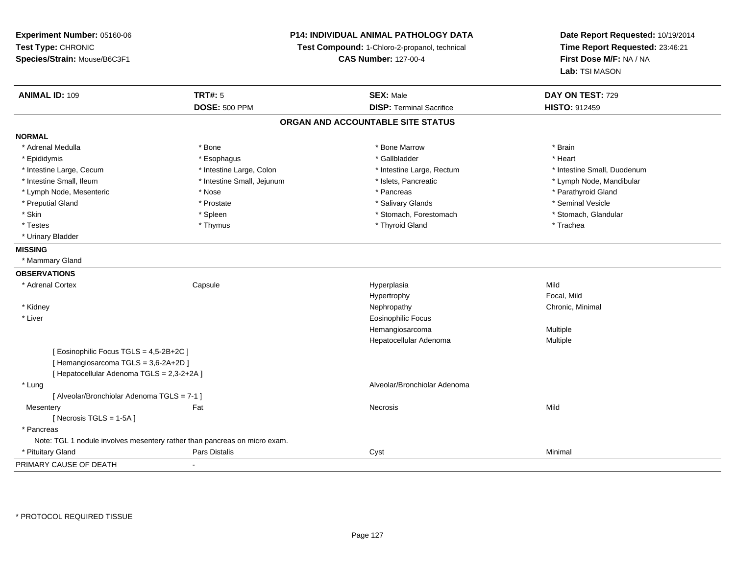**Experiment Number:** 05160-06**Test Type:** CHRONIC **Species/Strain:** Mouse/B6C3F1**P14: INDIVIDUAL ANIMAL PATHOLOGY DATATest Compound:** 1-Chloro-2-propanol, technical **CAS Number:** 127-00-4**Date Report Requested:** 10/19/2014**Time Report Requested:** 23:46:21**First Dose M/F:** NA / NA**Lab:** TSI MASON**ANIMAL ID:** 109**TRT#:** 5 **SEX:** Male **DAY ON TEST:** 729 **DOSE:** 500 PPM**DISP:** Terminal Sacrifice **HISTO:** 912459 **ORGAN AND ACCOUNTABLE SITE STATUSNORMAL**\* Adrenal Medulla \* \* Annual Medulla \* Brain \* Bone \* \* Bone Marrow \* Bone Marrow \* \* Brain \* Brain \* Brain \* Brain \* Brain \* Brain \* Brain \* Brain \* Brain \* Brain \* Brain \* Brain \* Brain \* Brain \* Brain \* Brain \* Brain \* \* Heart \* Epididymis \* Esophagus \* Gallbladder \* Heart \* Intestine Large, Cecum \* Intestine Large, Colon \* Intestine Large, Rectum \* Intestine Small, Duodenum\* Intestine Small, Ileum \* \* Thestine Small, Jejunum \* \* Sets, Pancreatic \* \* Thestine Small, Nejunum \* Lymph Node, Mandibular \* Lymph Node, Mesenteric \* The state of the state of the state of the state of the state of the state of the state of the state of the state of the state of the state of the state of the state of the state of the state of \* Preputial Gland \* \* Annual vesicle \* \* Prostate \* \* Salivary Glands \* \* Salivary Glands \* \* Seminal Vesicle \* \* Stomach. Glandular \* Skin \* Stomach, Forestomach \* Spleen \* Stomach, Forestomach \* Stomach, Forestomach \* Testes \* Thymus \* Thyroid Gland \* Trachea \* Urinary Bladder**MISSING** \* Mammary Gland**OBSERVATIONS** \* Adrenal Cortex Capsule Hyperplasia Mild Hypertrophy Focal, MildChronic, Minimal \* Kidneyy the controller of the controller of the controller of the controller of the controller of the controller of the controller of the controller of the controller of the controller of the controller of the controller of the \* Liver Eosinophilic Focus Hemangiosarcoma Multiple Hepatocellular Adenoma Multiple [ Eosinophilic Focus TGLS = 4,5-2B+2C ][ Hemangiosarcoma TGLS = 3,6-2A+2D ][ Hepatocellular Adenoma TGLS = 2,3-2+2A ] \* Lung Alveolar/Bronchiolar Adenoma [ Alveolar/Bronchiolar Adenoma TGLS = 7-1 ]**Mesentery** y the contract of the contract of the contract of the contract of the contract of the contract of the contract of the contract of the contract of the contract of the contract of the contract of the contract of the contract  $[$  Necrosis TGLS = 1-5A  $]$  \* Pancreas Note: TGL 1 nodule involves mesentery rather than pancreas on micro exam. \* Pituitary Gland Pars Distalis Cyst Minimal PRIMARY CAUSE OF DEATH-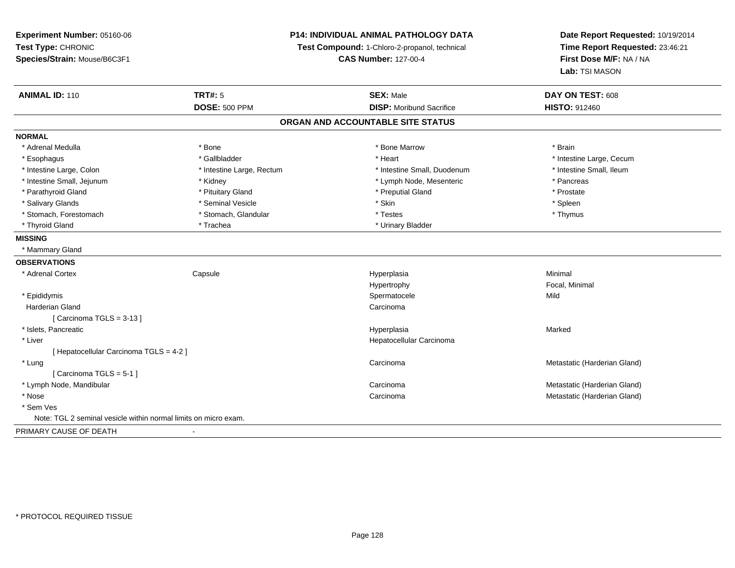**Experiment Number:** 05160-06**Test Type:** CHRONIC **Species/Strain:** Mouse/B6C3F1**P14: INDIVIDUAL ANIMAL PATHOLOGY DATATest Compound:** 1-Chloro-2-propanol, technical **CAS Number:** 127-00-4**Date Report Requested:** 10/19/2014**Time Report Requested:** 23:46:21**First Dose M/F:** NA / NA**Lab:** TSI MASON**ANIMAL ID:** 110**TRT#:** 5 **SEX:** Male **DAY ON TEST:** 608 **DOSE:** 500 PPM**DISP:** Moribund Sacrifice **HISTO:** 912460 **ORGAN AND ACCOUNTABLE SITE STATUSNORMAL**\* Adrenal Medulla \* \* Annual Medulla \* Brain \* Bone \* \* Bone Marrow \* Bone Marrow \* \* Brain \* Brain \* Brain \* Brain \* Brain \* Brain \* Brain \* Brain \* Brain \* Brain \* Brain \* Brain \* Brain \* Brain \* Brain \* Brain \* Brain \* \* Esophagus \* https://www.fragustage.com/web/2019/heart \* Heart \* Heart \* Heart \* Intestine Large, Cecum \* Intestine Large, Cecum \* Sallbladder \* The state of the state of the state of the state of the state of the state o \* Intestine Small, Ileum \* Intestine Large, Colon \* Intestine Large, Rectum \* Intestine Small, Duodenum \* Intestine Small, Duodenum \* Intestine Small, Jejunum \* The matches of the state of the Kidney \* Cymph Node, Mesenteric \* The matches \* Pancreas \* Pancreas \* Prostate \* Parathyroid Gland \* **All and \* Pituitary Gland \* Prostate and \* Preputial Gland \* Preputial Gland** \* Preputial Gland \* Spleen \* Salivary Glands \* \* \* Sheen \* Seminal Vesicle \* \* \* Stan \* \* Skin \* \* Skin \* \* Spleen \* \* Spleen \* \* Spleen \* \* Thymus \* Stomach, Forestomach \* Testes \* Stomach, Glandular \* Testes \* Testes \* Testes \* Testes \* Testes \* Testes \* T \* Thyroid Gland \* Trachea \* Trachea \* Trachea \* Urinary Bladder **MISSING** \* Mammary Gland**OBSERVATIONS** \* Adrenal Cortex**Capsule**  Hyperplasia Minimal Hypertrophy Focal, Minimal \* Epididymis Spermatocelee Mild Harderian Glandd<sub>d</sub> Carcinoma [ Carcinoma TGLS = 3-13 ] \* Islets, Pancreaticc and the contract of the contract of the contract of the contract of the contract of the contract of the contract of the contract of the contract of the contract of the contract of the contract of the contract of the cont a **Marked**  \* Liver Hepatocellular Carcinoma[ Hepatocellular Carcinoma TGLS = 4-2 ] \* Lungg and the contract of the contract of the contract of the contract of the contract of the contract of the contract of the contract of the contract of the contract of the contract of the contract of the contract of the cont [ Carcinoma TGLS = 5-1 ] \* Lymph Node, Mandibularr and the contract of the contract of the contract of the contract of the contract of the contract of the contract of the contract of the contract of the contract of the contract of the contract of the contract of the cont Carcinoma<br>Carcinoma<br>Metastatic (Harderian Gland)<br>Metastatic (Harderian Gland) \* Nosee and the contract of the contract of the contract of the contract of the contract of the contract of the contract of the contract of the contract of the contract of the contract of the contract of the contract of the cont \* Sem Ves Note: TGL 2 seminal vesicle within normal limits on micro exam.PRIMARY CAUSE OF DEATH-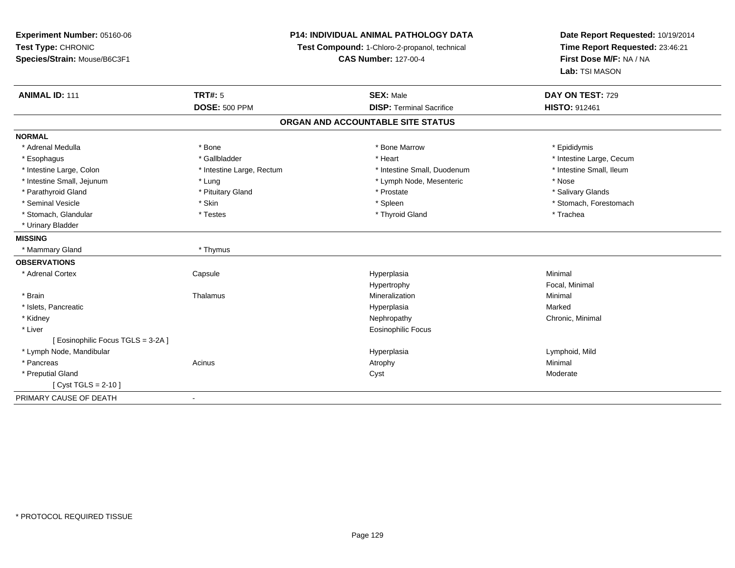**Experiment Number:** 05160-06**Test Type:** CHRONIC **Species/Strain:** Mouse/B6C3F1**P14: INDIVIDUAL ANIMAL PATHOLOGY DATATest Compound:** 1-Chloro-2-propanol, technical **CAS Number:** 127-00-4**Date Report Requested:** 10/19/2014**Time Report Requested:** 23:46:21**First Dose M/F:** NA / NA**Lab:** TSI MASON**ANIMAL ID:** 111**TRT#:** 5 **SEX:** Male **SEX:** Male **DAY ON TEST:** 729 **DOSE:** 500 PPM**DISP:** Terminal Sacrifice **HISTO:** 912461 **ORGAN AND ACCOUNTABLE SITE STATUSNORMAL**\* Adrenal Medulla \* Adrenal Medulla \* \* The matter of the state of the state of the Marrow \* Bone Marrow \* Adrenal Medulla \* Epididymis \* Epididymis \* Bone Marrow \* Adrenal Medulla \* Epididymis \* Epididymis \* Epididymis \* Epididymis \* Epidi \* Esophagus \* https://www.fragustage.com/web/2019/heart \* Heart \* Heart \* Heart \* Intestine Large, Cecum \* Intestine Large, Cecum \* Gallbladder \* Callbladder \* 11 and 12 and 12 and 12 and 12 and 12 and 12 and 12 and 12 and \* Intestine Small, Ileum \* Intestine Large, Colon \* Intestine Large, Rectum \* Intestine Small, Duodenum \* Intestine Small, Duodenum \* Intestine Small, Jejunum \* Lung \* Lymph Node, Mesenteric \* Nose\* Salivary Glands \* Parathyroid Gland \* **Example 20** \* Pituitary Gland \* Prostate \* Prostate \* Prostate \* Seminal Vesicle \* The state of the set of the set of the set of the set of the set of the set of the set of the set of the set of the set of the set of the set of the set of the set of the set of the set of the set of th \* Stomach, Glandular \* \* Trachea \* Testes \* Thyroid Gland \* Thyroid Gland \* Trachea \* Trachea \* Trachea \* Trachea \* Urinary Bladder**MISSING** \* Mammary Gland \* Thymus**OBSERVATIONS** \* Adrenal Cortex**Capsule**  Hyperplasia Minimal Hypertrophy Focal, Minimal \* Brainn and the matter of the Thalamus and the Minimal of the Minimal of the Minimal of the Minimal of the Minimal o<br>Thalamus and the Minimal of the Minimal of the Minimal of the Minimal of the Minimal of the Minimal of the Min \* Islets, Pancreaticc and the contract of the contract of the contract of the contract of the contract of the contract of the contract of the contract of the contract of the contract of the contract of the contract of the contract of the cont a **Marked**  \* Kidneyy the controller of the controller of the controller of the controller of the controller of the controller of the controller of the controller of the controller of the controller of the controller of the controller of the \* Liver Eosinophilic Focus[ Eosinophilic Focus TGLS = 3-2A ] \* Lymph Node, Mandibular Hyperplasia Lymphoid, Mild \* Pancreass the control of the control of the control of the control of the control of the control of the control of the control of the control of the control of the control of the control of the control of the control of the contro \* Preputial Glandd and the control of the control of the control of the control of the control of the control of the control of the control of the control of the control of the control of the control of the control of the control of the co  $[$  Cyst TGLS = 2-10  $]$ PRIMARY CAUSE OF DEATH-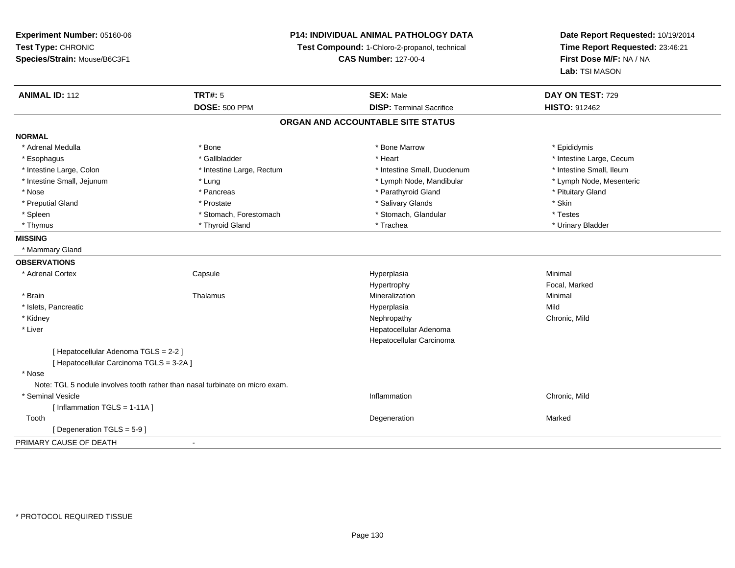# **P14: INDIVIDUAL ANIMAL PATHOLOGY DATA**

**Test Compound:** 1-Chloro-2-propanol, technical

**CAS Number:** 127-00-4

| <b>ANIMAL ID: 112</b>                    | <b>TRT#: 5</b>                                                               | <b>SEX: Male</b>                | DAY ON TEST: 729         |  |  |
|------------------------------------------|------------------------------------------------------------------------------|---------------------------------|--------------------------|--|--|
|                                          | <b>DOSE: 500 PPM</b>                                                         | <b>DISP: Terminal Sacrifice</b> | <b>HISTO: 912462</b>     |  |  |
| ORGAN AND ACCOUNTABLE SITE STATUS        |                                                                              |                                 |                          |  |  |
| <b>NORMAL</b>                            |                                                                              |                                 |                          |  |  |
| * Adrenal Medulla                        | * Bone                                                                       | * Bone Marrow                   | * Epididymis             |  |  |
| * Esophagus                              | * Gallbladder                                                                | * Heart                         | * Intestine Large, Cecum |  |  |
| * Intestine Large, Colon                 | * Intestine Large, Rectum                                                    | * Intestine Small, Duodenum     | * Intestine Small, Ileum |  |  |
| * Intestine Small, Jejunum               | * Lung                                                                       | * Lymph Node, Mandibular        | * Lymph Node, Mesenteric |  |  |
| * Nose                                   | * Pancreas                                                                   | * Parathyroid Gland             | * Pituitary Gland        |  |  |
| * Preputial Gland                        | * Prostate                                                                   | * Salivary Glands               | * Skin                   |  |  |
| * Spleen                                 | * Stomach, Forestomach                                                       | * Stomach, Glandular            | * Testes                 |  |  |
| * Thymus                                 | * Thyroid Gland                                                              | * Trachea                       | * Urinary Bladder        |  |  |
| <b>MISSING</b>                           |                                                                              |                                 |                          |  |  |
| * Mammary Gland                          |                                                                              |                                 |                          |  |  |
| <b>OBSERVATIONS</b>                      |                                                                              |                                 |                          |  |  |
| * Adrenal Cortex                         | Capsule                                                                      | Hyperplasia                     | Minimal                  |  |  |
|                                          |                                                                              | Hypertrophy                     | Focal, Marked            |  |  |
| * Brain                                  | Thalamus                                                                     | Mineralization                  | Minimal                  |  |  |
| * Islets, Pancreatic                     |                                                                              | Hyperplasia                     | Mild                     |  |  |
| * Kidney                                 |                                                                              | Nephropathy                     | Chronic, Mild            |  |  |
| * Liver                                  |                                                                              | Hepatocellular Adenoma          |                          |  |  |
|                                          |                                                                              | Hepatocellular Carcinoma        |                          |  |  |
| [ Hepatocellular Adenoma TGLS = 2-2 ]    |                                                                              |                                 |                          |  |  |
| [ Hepatocellular Carcinoma TGLS = 3-2A ] |                                                                              |                                 |                          |  |  |
| * Nose                                   |                                                                              |                                 |                          |  |  |
|                                          | Note: TGL 5 nodule involves tooth rather than nasal turbinate on micro exam. |                                 |                          |  |  |
| * Seminal Vesicle                        |                                                                              | Inflammation                    | Chronic, Mild            |  |  |
| [Inflammation TGLS = 1-11A]              |                                                                              |                                 |                          |  |  |
| Tooth                                    |                                                                              | Degeneration                    | Marked                   |  |  |
| [Degeneration TGLS = 5-9]                |                                                                              |                                 |                          |  |  |
| PRIMARY CAUSE OF DEATH                   |                                                                              |                                 |                          |  |  |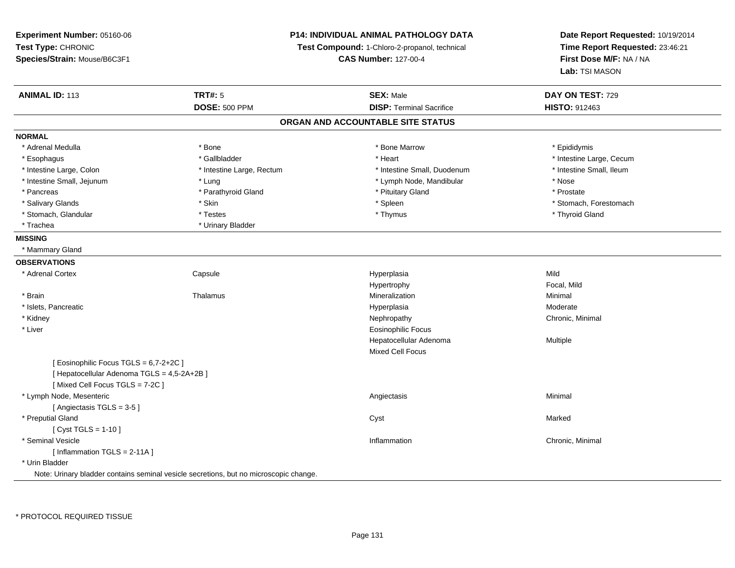**Experiment Number:** 05160-06**Test Type:** CHRONIC **Species/Strain:** Mouse/B6C3F1**ANIMAL ID:** 113**DOSE:** 500 PPM**NORMAL**

# **P14: INDIVIDUAL ANIMAL PATHOLOGY DATA**

**Test Compound:** 1-Chloro-2-propanol, technical

**CAS Number:** 127-00-4

| <b>ANIMAL ID: 113</b>                       | <b>TRT#: 5</b>                                                                        | <b>SEX: Male</b>                  | DAY ON TEST: 729         |  |
|---------------------------------------------|---------------------------------------------------------------------------------------|-----------------------------------|--------------------------|--|
|                                             | <b>DOSE: 500 PPM</b>                                                                  | <b>DISP: Terminal Sacrifice</b>   | <b>HISTO: 912463</b>     |  |
|                                             |                                                                                       | ORGAN AND ACCOUNTABLE SITE STATUS |                          |  |
| <b>NORMAL</b>                               |                                                                                       |                                   |                          |  |
| * Adrenal Medulla                           | * Bone                                                                                | * Bone Marrow                     | * Epididymis             |  |
| * Esophagus                                 | * Gallbladder                                                                         | * Heart                           | * Intestine Large, Cecum |  |
| * Intestine Large, Colon                    | * Intestine Large, Rectum                                                             | * Intestine Small, Duodenum       | * Intestine Small, Ileum |  |
| * Intestine Small, Jejunum                  | * Lung                                                                                | * Lymph Node, Mandibular          | * Nose                   |  |
| * Pancreas                                  | * Parathyroid Gland                                                                   | * Pituitary Gland                 | * Prostate               |  |
| * Salivary Glands                           | * Skin                                                                                | * Spleen                          | * Stomach, Forestomach   |  |
| * Stomach, Glandular                        | * Testes                                                                              | * Thymus                          | * Thyroid Gland          |  |
| * Trachea                                   | * Urinary Bladder                                                                     |                                   |                          |  |
| <b>MISSING</b>                              |                                                                                       |                                   |                          |  |
| * Mammary Gland                             |                                                                                       |                                   |                          |  |
| <b>OBSERVATIONS</b>                         |                                                                                       |                                   |                          |  |
| * Adrenal Cortex                            | Capsule                                                                               | Hyperplasia                       | Mild                     |  |
|                                             |                                                                                       | Hypertrophy                       | Focal, Mild              |  |
| * Brain                                     | Thalamus                                                                              | Mineralization                    | Minimal                  |  |
| * Islets, Pancreatic                        |                                                                                       | Hyperplasia                       | Moderate                 |  |
| * Kidney                                    |                                                                                       | Nephropathy                       | Chronic, Minimal         |  |
| * Liver                                     |                                                                                       | <b>Eosinophilic Focus</b>         |                          |  |
|                                             |                                                                                       | Hepatocellular Adenoma            | Multiple                 |  |
|                                             |                                                                                       | <b>Mixed Cell Focus</b>           |                          |  |
| [ Eosinophilic Focus TGLS = 6,7-2+2C ]      |                                                                                       |                                   |                          |  |
| [ Hepatocellular Adenoma TGLS = 4,5-2A+2B ] |                                                                                       |                                   |                          |  |
| [Mixed Cell Focus TGLS = 7-2C]              |                                                                                       |                                   |                          |  |
| * Lymph Node, Mesenteric                    |                                                                                       | Angiectasis                       | Minimal                  |  |
| [Angiectasis TGLS = 3-5]                    |                                                                                       |                                   |                          |  |
| * Preputial Gland                           |                                                                                       | Cyst                              | Marked                   |  |
| [ $Cyst TGLS = 1-10$ ]                      |                                                                                       |                                   |                          |  |
| * Seminal Vesicle                           |                                                                                       | Inflammation                      | Chronic, Minimal         |  |
| [Inflammation TGLS = 2-11A]                 |                                                                                       |                                   |                          |  |
| * Urin Bladder                              |                                                                                       |                                   |                          |  |
|                                             | Note: Urinary bladder contains seminal vesicle secretions, but no microscopic change. |                                   |                          |  |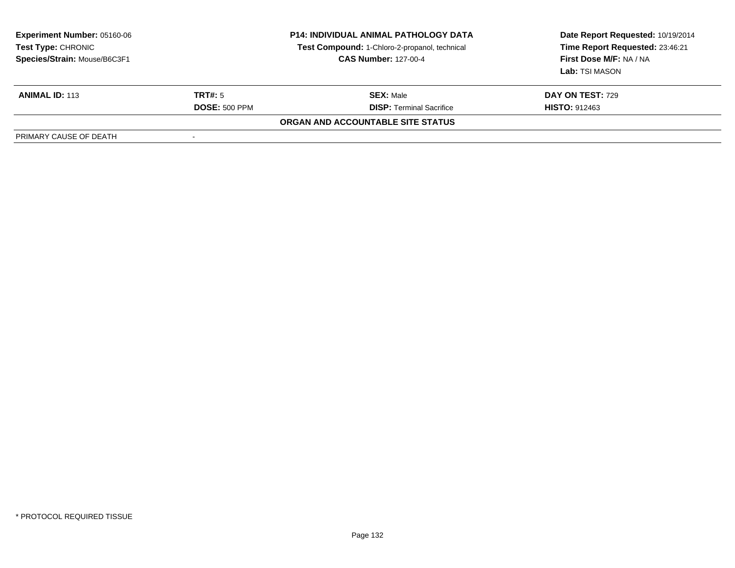| <b>Experiment Number: 05160-06</b><br><b>Test Type: CHRONIC</b><br>Species/Strain: Mouse/B6C3F1 | <b>P14: INDIVIDUAL ANIMAL PATHOLOGY DATA</b><br>Test Compound: 1-Chloro-2-propanol, technical<br><b>CAS Number: 127-00-4</b> |                                   | Date Report Requested: 10/19/2014<br>Time Report Requested: 23:46:21<br>First Dose M/F: NA / NA<br>Lab: TSI MASON |  |
|-------------------------------------------------------------------------------------------------|------------------------------------------------------------------------------------------------------------------------------|-----------------------------------|-------------------------------------------------------------------------------------------------------------------|--|
| <b>ANIMAL ID: 113</b>                                                                           | TRT#: 5                                                                                                                      | <b>SEX: Male</b>                  | <b>DAY ON TEST: 729</b>                                                                                           |  |
|                                                                                                 | <b>DOSE: 500 PPM</b>                                                                                                         | <b>DISP: Terminal Sacrifice</b>   | <b>HISTO: 912463</b>                                                                                              |  |
|                                                                                                 |                                                                                                                              | ORGAN AND ACCOUNTABLE SITE STATUS |                                                                                                                   |  |
| PRIMARY CAUSE OF DEATH                                                                          |                                                                                                                              |                                   |                                                                                                                   |  |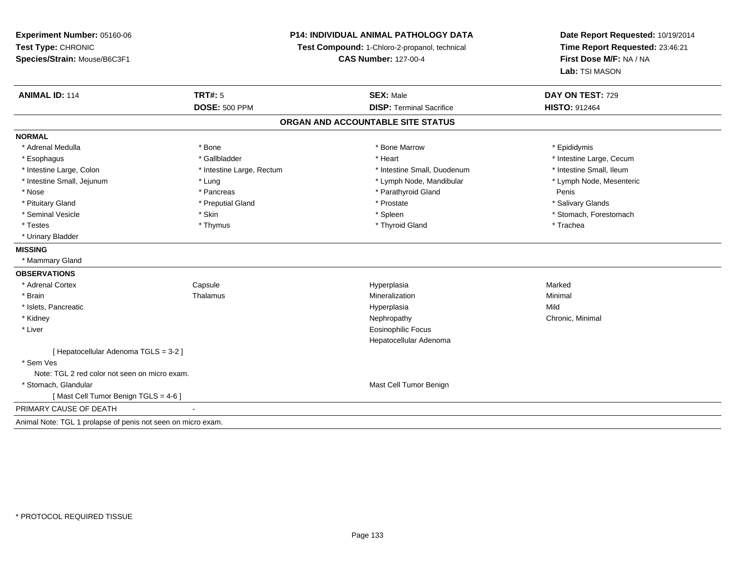# **P14: INDIVIDUAL ANIMAL PATHOLOGY DATA**

**Test Compound:** 1-Chloro-2-propanol, technical

**CAS Number:** 127-00-4

| <b>ANIMAL ID: 114</b>                                        | <b>TRT#: 5</b>            | <b>SEX: Male</b>                  | DAY ON TEST: 729         |
|--------------------------------------------------------------|---------------------------|-----------------------------------|--------------------------|
|                                                              | <b>DOSE: 500 PPM</b>      | <b>DISP: Terminal Sacrifice</b>   | <b>HISTO: 912464</b>     |
|                                                              |                           | ORGAN AND ACCOUNTABLE SITE STATUS |                          |
| <b>NORMAL</b>                                                |                           |                                   |                          |
| * Adrenal Medulla                                            | * Bone                    | * Bone Marrow                     | * Epididymis             |
| * Esophagus                                                  | * Gallbladder             | * Heart                           | * Intestine Large, Cecum |
| * Intestine Large, Colon                                     | * Intestine Large, Rectum | * Intestine Small, Duodenum       | * Intestine Small, Ileum |
| * Intestine Small, Jejunum                                   | * Lung                    | * Lymph Node, Mandibular          | * Lymph Node, Mesenteric |
| * Nose                                                       | * Pancreas                | * Parathyroid Gland               | Penis                    |
| * Pituitary Gland                                            | * Preputial Gland         | * Prostate                        | * Salivary Glands        |
| * Seminal Vesicle                                            | * Skin                    | * Spleen                          | * Stomach, Forestomach   |
| * Testes                                                     | * Thymus                  | * Thyroid Gland                   | * Trachea                |
| * Urinary Bladder                                            |                           |                                   |                          |
| <b>MISSING</b>                                               |                           |                                   |                          |
| * Mammary Gland                                              |                           |                                   |                          |
| <b>OBSERVATIONS</b>                                          |                           |                                   |                          |
| * Adrenal Cortex                                             | Capsule                   | Hyperplasia                       | Marked                   |
| * Brain                                                      | Thalamus                  | Mineralization                    | Minimal                  |
| * Islets, Pancreatic                                         |                           | Hyperplasia                       | Mild                     |
| * Kidney                                                     |                           | Nephropathy                       | Chronic, Minimal         |
| * Liver                                                      |                           | <b>Eosinophilic Focus</b>         |                          |
|                                                              |                           | Hepatocellular Adenoma            |                          |
| [Hepatocellular Adenoma TGLS = 3-2]                          |                           |                                   |                          |
| * Sem Ves                                                    |                           |                                   |                          |
| Note: TGL 2 red color not seen on micro exam.                |                           |                                   |                          |
| * Stomach, Glandular                                         |                           | Mast Cell Tumor Benign            |                          |
| [Mast Cell Tumor Benign TGLS = 4-6]                          |                           |                                   |                          |
| PRIMARY CAUSE OF DEATH                                       | $\blacksquare$            |                                   |                          |
| Animal Note: TGL 1 prolapse of penis not seen on micro exam. |                           |                                   |                          |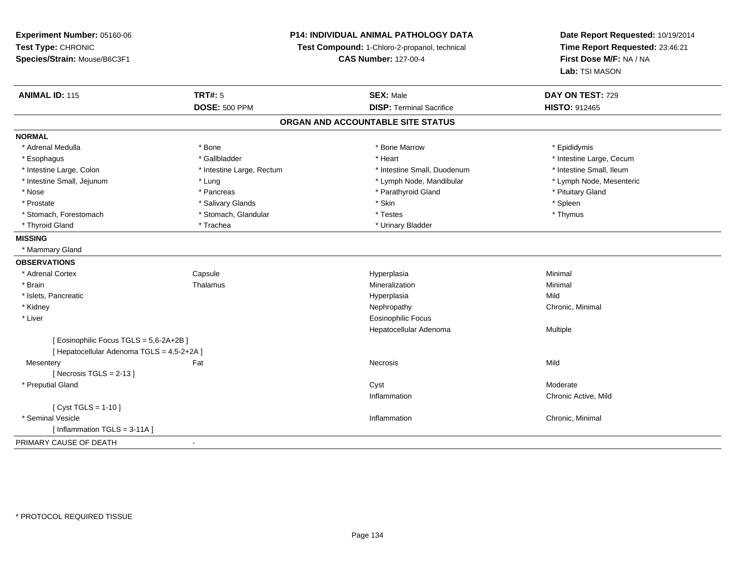# **P14: INDIVIDUAL ANIMAL PATHOLOGY DATA**

**Test Compound:** 1-Chloro-2-propanol, technical

**CAS Number:** 127-00-4

| <b>ANIMAL ID: 115</b>                    | <b>TRT#: 5</b>            | <b>SEX: Male</b>                  | DAY ON TEST: 729         |  |
|------------------------------------------|---------------------------|-----------------------------------|--------------------------|--|
|                                          | <b>DOSE: 500 PPM</b>      | <b>DISP: Terminal Sacrifice</b>   | <b>HISTO: 912465</b>     |  |
|                                          |                           | ORGAN AND ACCOUNTABLE SITE STATUS |                          |  |
| <b>NORMAL</b>                            |                           |                                   |                          |  |
| * Adrenal Medulla                        | * Bone                    | * Bone Marrow                     | * Epididymis             |  |
| * Esophagus                              | * Gallbladder             | * Heart                           | * Intestine Large, Cecum |  |
| * Intestine Large, Colon                 | * Intestine Large, Rectum | * Intestine Small, Duodenum       | * Intestine Small, Ileum |  |
| * Intestine Small, Jejunum               | * Lung                    | * Lymph Node, Mandibular          | * Lymph Node, Mesenteric |  |
| * Nose                                   | * Pancreas                | * Parathyroid Gland               | * Pituitary Gland        |  |
| * Prostate                               | * Salivary Glands         | * Skin                            | * Spleen                 |  |
| * Stomach, Forestomach                   | * Stomach, Glandular      | * Testes                          | * Thymus                 |  |
| * Thyroid Gland                          | * Trachea                 | * Urinary Bladder                 |                          |  |
| <b>MISSING</b>                           |                           |                                   |                          |  |
| * Mammary Gland                          |                           |                                   |                          |  |
| <b>OBSERVATIONS</b>                      |                           |                                   |                          |  |
| * Adrenal Cortex                         | Capsule                   | Hyperplasia                       | Minimal                  |  |
| * Brain                                  | Thalamus                  | Mineralization                    | Minimal                  |  |
| * Islets, Pancreatic                     |                           | Hyperplasia                       | Mild                     |  |
| * Kidney                                 |                           | Nephropathy                       | Chronic, Minimal         |  |
| * Liver                                  |                           | <b>Eosinophilic Focus</b>         |                          |  |
|                                          |                           | Hepatocellular Adenoma            | Multiple                 |  |
| [Eosinophilic Focus TGLS = 5,6-2A+2B]    |                           |                                   |                          |  |
| [Hepatocellular Adenoma TGLS = 4,5-2+2A] |                           |                                   |                          |  |
| Mesentery                                | Fat                       | Necrosis                          | Mild                     |  |
| [Necrosis TGLS = $2-13$ ]                |                           |                                   |                          |  |
| * Preputial Gland                        |                           | Cyst                              | Moderate                 |  |
|                                          |                           | Inflammation                      | Chronic Active, Mild     |  |
| [ $Cyst TGLS = 1-10$ ]                   |                           |                                   |                          |  |
| * Seminal Vesicle                        |                           | Inflammation                      | Chronic, Minimal         |  |
| [Inflammation TGLS = 3-11A]              |                           |                                   |                          |  |
| PRIMARY CAUSE OF DEATH                   | $\blacksquare$            |                                   |                          |  |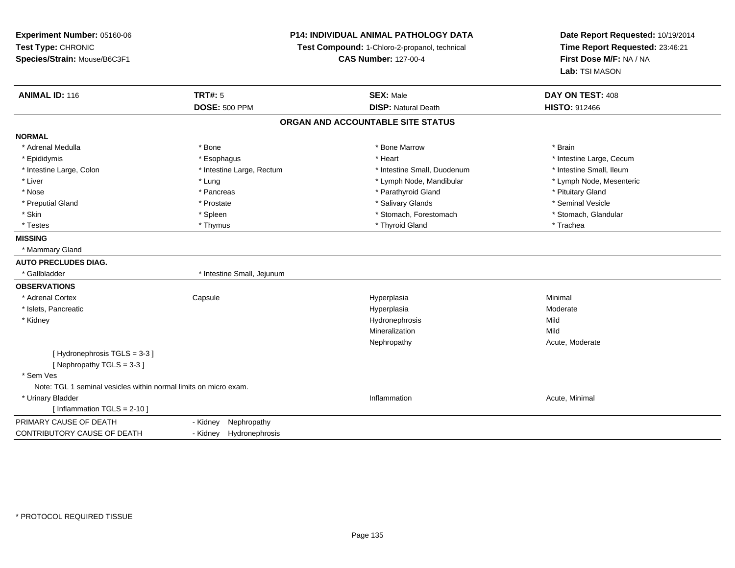**Experiment Number:** 05160-06**Test Type:** CHRONIC **Species/Strain:** Mouse/B6C3F1**P14: INDIVIDUAL ANIMAL PATHOLOGY DATATest Compound:** 1-Chloro-2-propanol, technical **CAS Number:** 127-00-4**Date Report Requested:** 10/19/2014**Time Report Requested:** 23:46:21**First Dose M/F:** NA / NA**Lab:** TSI MASON**ANIMAL ID:** 116**TRT#:** 5 **SEX:** Male **DAY ON TEST:** 408 **DOSE:** 500 PPM**DISP:** Natural Death **HISTO:** 912466 **ORGAN AND ACCOUNTABLE SITE STATUSNORMAL**\* Adrenal Medulla \* \* Annual Medulla \* Brain \* Bone \* \* Bone Marrow \* Bone Marrow \* \* Brain \* Brain \* Brain \* Brain \* Brain \* Brain \* Brain \* Brain \* Brain \* Brain \* Brain \* Brain \* Brain \* Brain \* Brain \* Brain \* Brain \* \* Epididymis **Account 19 and 19 and 19 and 19 and 19 and 19 and 19 and 19 and 19 and 19 and 19 and 19 and 19 and 19 and 19 and 19 and 19 and 19 and 19 and 19 and 19 and 19 and 19 and 19 and 19 and 19 and 19 and 19 and 19 a** \* Intestine Small, Ileum \* Intestine Large, Colon \* Intestine Large, Rectum \* Intestine Small, Duodenum \* Intestine Small, Duodenum \* Lymph Node, Mesenteric \* Liver \* Lung \* Lung \* Lung \* Lung \* Lymph Node, Mandibular \* Lymph Node, Mandibular \* Nose \* Pancreas \* Pancreas \* Pancreas \* Parathyroid Gland \* Parathyroid Gland \* Pituitary Gland \* Pituitary Gland \* Seminal Vesicle \* Preputial Gland \* \* Annual vesicle \* \* Prostate \* \* Salivary Glands \* \* Salivary Glands \* \* Seminal Vesicle \* \* Stomach. Glandular \* Skin \* Stomach, Forestomach \* Spleen \* Stomach, Forestomach \* Stomach, Forestomach \* Testes \* Thymus \* Thyroid Gland \* Trachea **MISSING** \* Mammary Gland**AUTO PRECLUDES DIAG.**\* Gallbladder \* 1ntestine Small, Jejunum **OBSERVATIONS** \* Adrenal Cortex**Capsule**  Hyperplasia Minimal \* Islets, Pancreaticc and the contract of the contract of the contract of the contract of the contract of the contract of the contract of the contract of the contract of the contract of the contract of the contract of the contract of the cont a **Moderate**  \* Kidneyy the control of the control of the control of the control of the control of the control of the control of the control of the control of the control of the control of the control of the control of the control of the contro Mild Mineralizationn Mild Nephropathy Acute, Moderate[ Hydronephrosis TGLS = 3-3 ][ Nephropathy TGLS = 3-3 ] \* Sem Ves Note: TGL 1 seminal vesicles within normal limits on micro exam. \* Urinary Bladder**Inflammation Inflammation** Inflammation **Acute**, Minimal [ Inflammation TGLS = 2-10 ]PRIMARY CAUSE OF DEATH- Kidney Nephropathy<br>- Kidney Hydronephros CONTRIBUTORY CAUSE OF DEATHHydronephrosis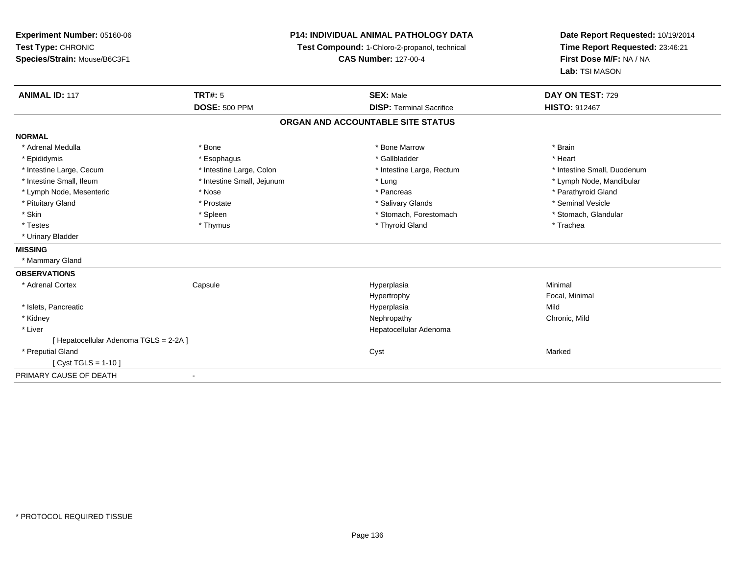| <b>Experiment Number: 05160-06</b>     | P14: INDIVIDUAL ANIMAL PATHOLOGY DATA<br>Test Compound: 1-Chloro-2-propanol, technical |                                   | Date Report Requested: 10/19/2014 |  |
|----------------------------------------|----------------------------------------------------------------------------------------|-----------------------------------|-----------------------------------|--|
| Test Type: CHRONIC                     |                                                                                        |                                   | Time Report Requested: 23:46:21   |  |
| Species/Strain: Mouse/B6C3F1           |                                                                                        | <b>CAS Number: 127-00-4</b>       | First Dose M/F: NA / NA           |  |
|                                        |                                                                                        |                                   | Lab: TSI MASON                    |  |
| <b>ANIMAL ID: 117</b>                  | <b>TRT#: 5</b>                                                                         | <b>SEX: Male</b>                  | DAY ON TEST: 729                  |  |
|                                        | <b>DOSE: 500 PPM</b>                                                                   | <b>DISP: Terminal Sacrifice</b>   | <b>HISTO: 912467</b>              |  |
|                                        |                                                                                        | ORGAN AND ACCOUNTABLE SITE STATUS |                                   |  |
| <b>NORMAL</b>                          |                                                                                        |                                   |                                   |  |
| * Adrenal Medulla                      | * Bone                                                                                 | * Bone Marrow                     | * Brain                           |  |
| * Epididymis                           | * Esophagus                                                                            | * Gallbladder                     | * Heart                           |  |
| * Intestine Large, Cecum               | * Intestine Large, Colon                                                               | * Intestine Large, Rectum         | * Intestine Small, Duodenum       |  |
| * Intestine Small, Ileum               | * Intestine Small, Jejunum                                                             | * Lung                            | * Lymph Node, Mandibular          |  |
| * Lymph Node, Mesenteric               | * Nose                                                                                 | * Pancreas                        | * Parathyroid Gland               |  |
| * Pituitary Gland                      | * Prostate                                                                             | * Salivary Glands                 | * Seminal Vesicle                 |  |
| * Skin                                 | * Spleen                                                                               | * Stomach, Forestomach            | * Stomach, Glandular              |  |
| * Testes                               | * Thymus                                                                               | * Thyroid Gland                   | * Trachea                         |  |
| * Urinary Bladder                      |                                                                                        |                                   |                                   |  |
| <b>MISSING</b>                         |                                                                                        |                                   |                                   |  |
| * Mammary Gland                        |                                                                                        |                                   |                                   |  |
| <b>OBSERVATIONS</b>                    |                                                                                        |                                   |                                   |  |
| * Adrenal Cortex                       | Capsule                                                                                | Hyperplasia                       | Minimal                           |  |
|                                        |                                                                                        | Hypertrophy                       | Focal, Minimal                    |  |
| * Islets, Pancreatic                   |                                                                                        | Hyperplasia                       | Mild                              |  |
| * Kidney                               |                                                                                        | Nephropathy                       | Chronic, Mild                     |  |
| * Liver                                |                                                                                        | Hepatocellular Adenoma            |                                   |  |
| [ Hepatocellular Adenoma TGLS = 2-2A ] |                                                                                        |                                   |                                   |  |
| * Preputial Gland                      |                                                                                        | Cyst                              | Marked                            |  |
| [ Cyst TGLS = $1-10$ ]                 |                                                                                        |                                   |                                   |  |
| PRIMARY CAUSE OF DEATH                 |                                                                                        |                                   |                                   |  |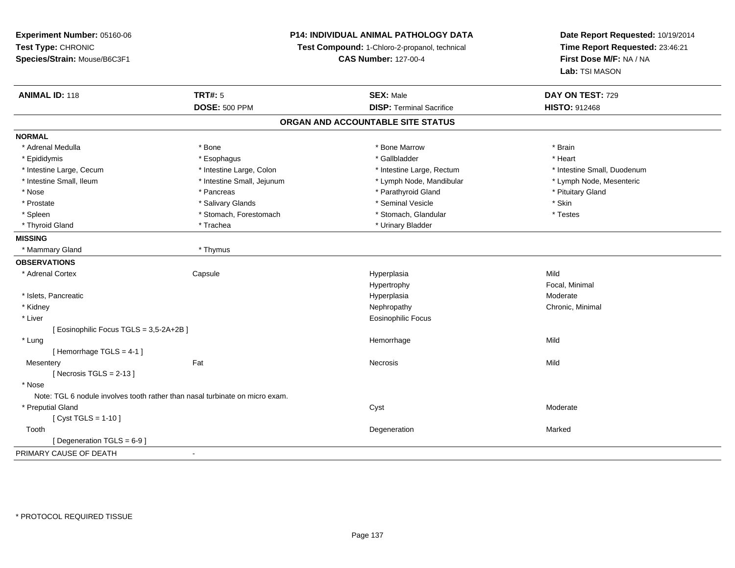| Experiment Number: 05160-06                                                  | P14: INDIVIDUAL ANIMAL PATHOLOGY DATA<br>Test Compound: 1-Chloro-2-propanol, technical |                                   | Date Report Requested: 10/19/2014 |
|------------------------------------------------------------------------------|----------------------------------------------------------------------------------------|-----------------------------------|-----------------------------------|
| Test Type: CHRONIC                                                           |                                                                                        |                                   | Time Report Requested: 23:46:21   |
| Species/Strain: Mouse/B6C3F1                                                 |                                                                                        | <b>CAS Number: 127-00-4</b>       | First Dose M/F: NA / NA           |
|                                                                              |                                                                                        |                                   | Lab: TSI MASON                    |
| <b>ANIMAL ID: 118</b>                                                        | <b>TRT#: 5</b>                                                                         | <b>SEX: Male</b>                  | DAY ON TEST: 729                  |
|                                                                              | <b>DOSE: 500 PPM</b>                                                                   | <b>DISP: Terminal Sacrifice</b>   | <b>HISTO: 912468</b>              |
|                                                                              |                                                                                        | ORGAN AND ACCOUNTABLE SITE STATUS |                                   |
| <b>NORMAL</b>                                                                |                                                                                        |                                   |                                   |
| * Adrenal Medulla                                                            | * Bone                                                                                 | * Bone Marrow                     | * Brain                           |
| * Epididymis                                                                 | * Esophagus                                                                            | * Gallbladder                     | * Heart                           |
| * Intestine Large, Cecum                                                     | * Intestine Large, Colon                                                               | * Intestine Large, Rectum         | * Intestine Small, Duodenum       |
| * Intestine Small, Ileum                                                     | * Intestine Small, Jejunum                                                             | * Lymph Node, Mandibular          | * Lymph Node, Mesenteric          |
| * Nose                                                                       | * Pancreas                                                                             | * Parathyroid Gland               | * Pituitary Gland                 |
| * Prostate                                                                   | * Salivary Glands                                                                      | * Seminal Vesicle                 | * Skin                            |
| * Spleen                                                                     | * Stomach, Forestomach                                                                 | * Stomach, Glandular              | * Testes                          |
| * Thyroid Gland                                                              | * Trachea                                                                              | * Urinary Bladder                 |                                   |
| <b>MISSING</b>                                                               |                                                                                        |                                   |                                   |
| * Mammary Gland                                                              | * Thymus                                                                               |                                   |                                   |
| <b>OBSERVATIONS</b>                                                          |                                                                                        |                                   |                                   |
| * Adrenal Cortex                                                             | Capsule                                                                                | Hyperplasia                       | Mild                              |
|                                                                              |                                                                                        | Hypertrophy                       | Focal, Minimal                    |
| * Islets, Pancreatic                                                         |                                                                                        | Hyperplasia                       | Moderate                          |
| * Kidney                                                                     |                                                                                        | Nephropathy                       | Chronic, Minimal                  |
| * Liver                                                                      |                                                                                        | <b>Eosinophilic Focus</b>         |                                   |
| [Eosinophilic Focus TGLS = 3,5-2A+2B]                                        |                                                                                        |                                   |                                   |
| * Lung                                                                       |                                                                                        | Hemorrhage                        | Mild                              |
| [Hemorrhage TGLS = $4-1$ ]                                                   |                                                                                        |                                   |                                   |
| Mesentery                                                                    | Fat                                                                                    | <b>Necrosis</b>                   | Mild                              |
| [Necrosis TGLS = $2-13$ ]                                                    |                                                                                        |                                   |                                   |
| * Nose                                                                       |                                                                                        |                                   |                                   |
| Note: TGL 6 nodule involves tooth rather than nasal turbinate on micro exam. |                                                                                        |                                   |                                   |
| * Preputial Gland                                                            |                                                                                        | Cyst                              | Moderate                          |
| [ $Cyst TGLS = 1-10$ ]                                                       |                                                                                        |                                   |                                   |
| Tooth                                                                        |                                                                                        | Degeneration                      | Marked                            |
| [Degeneration TGLS = 6-9]                                                    |                                                                                        |                                   |                                   |
| PRIMARY CAUSE OF DEATH                                                       | $\blacksquare$                                                                         |                                   |                                   |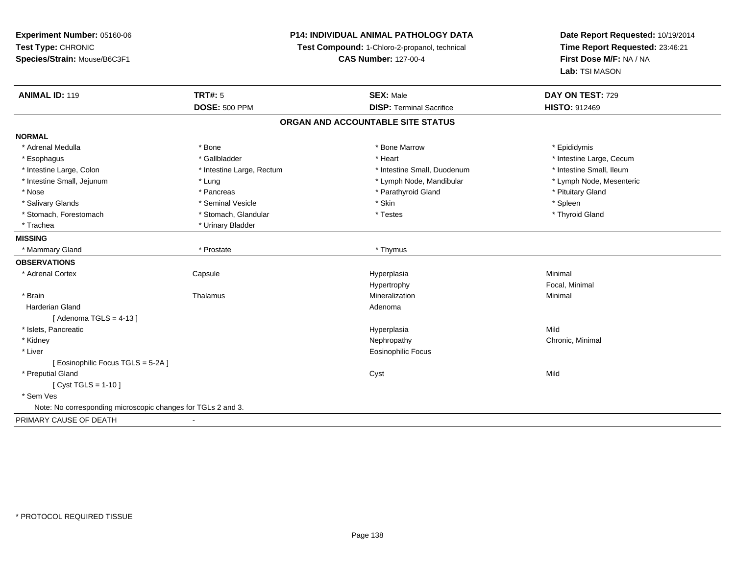# **P14: INDIVIDUAL ANIMAL PATHOLOGY DATA**

**Test Compound:** 1-Chloro-2-propanol, technical

**CAS Number:** 127-00-4

| <b>ANIMAL ID: 119</b>                                        | <b>TRT#: 5</b>            | <b>SEX: Male</b>                  | DAY ON TEST: 729         |
|--------------------------------------------------------------|---------------------------|-----------------------------------|--------------------------|
|                                                              | <b>DOSE: 500 PPM</b>      | <b>DISP: Terminal Sacrifice</b>   | <b>HISTO: 912469</b>     |
|                                                              |                           | ORGAN AND ACCOUNTABLE SITE STATUS |                          |
| <b>NORMAL</b>                                                |                           |                                   |                          |
| * Adrenal Medulla                                            | * Bone                    | * Bone Marrow                     | * Epididymis             |
| * Esophagus                                                  | * Gallbladder             | * Heart                           | * Intestine Large, Cecum |
| * Intestine Large, Colon                                     | * Intestine Large, Rectum | * Intestine Small, Duodenum       | * Intestine Small, Ileum |
| * Intestine Small, Jejunum                                   | * Lung                    | * Lymph Node, Mandibular          | * Lymph Node, Mesenteric |
| * Nose                                                       | * Pancreas                | * Parathyroid Gland               | * Pituitary Gland        |
| * Salivary Glands                                            | * Seminal Vesicle         | * Skin                            | * Spleen                 |
| * Stomach, Forestomach                                       | * Stomach, Glandular      | * Testes                          | * Thyroid Gland          |
| * Trachea                                                    | * Urinary Bladder         |                                   |                          |
| <b>MISSING</b>                                               |                           |                                   |                          |
| * Mammary Gland                                              | * Prostate                | * Thymus                          |                          |
| <b>OBSERVATIONS</b>                                          |                           |                                   |                          |
| * Adrenal Cortex                                             | Capsule                   | Hyperplasia                       | Minimal                  |
|                                                              |                           | Hypertrophy                       | Focal, Minimal           |
| * Brain                                                      | Thalamus                  | Mineralization                    | Minimal                  |
| <b>Harderian Gland</b>                                       |                           | Adenoma                           |                          |
| [Adenoma TGLS = $4-13$ ]                                     |                           |                                   |                          |
| * Islets, Pancreatic                                         |                           | Hyperplasia                       | Mild                     |
| * Kidney                                                     |                           | Nephropathy                       | Chronic, Minimal         |
| * Liver                                                      |                           | <b>Eosinophilic Focus</b>         |                          |
| [Eosinophilic Focus TGLS = 5-2A]                             |                           |                                   |                          |
| * Preputial Gland                                            |                           | Cyst                              | Mild                     |
| [ Cyst TGLS = 1-10 ]                                         |                           |                                   |                          |
| * Sem Ves                                                    |                           |                                   |                          |
| Note: No corresponding microscopic changes for TGLs 2 and 3. |                           |                                   |                          |
| PRIMARY CAUSE OF DEATH                                       |                           |                                   |                          |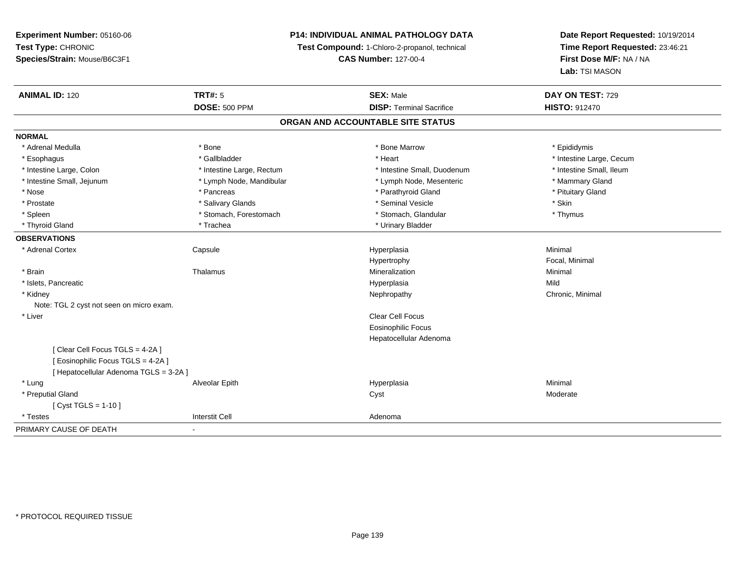# **P14: INDIVIDUAL ANIMAL PATHOLOGY DATA**

**Test Compound:** 1-Chloro-2-propanol, technical

**CAS Number:** 127-00-4

| <b>ANIMAL ID: 120</b>                    | <b>TRT#: 5</b>            | <b>SEX: Male</b>                  | DAY ON TEST: 729         |
|------------------------------------------|---------------------------|-----------------------------------|--------------------------|
|                                          | <b>DOSE: 500 PPM</b>      | <b>DISP: Terminal Sacrifice</b>   | <b>HISTO: 912470</b>     |
|                                          |                           | ORGAN AND ACCOUNTABLE SITE STATUS |                          |
| <b>NORMAL</b>                            |                           |                                   |                          |
| * Adrenal Medulla                        | * Bone                    | * Bone Marrow                     | * Epididymis             |
| * Esophagus                              | * Gallbladder             | * Heart                           | * Intestine Large, Cecum |
| * Intestine Large, Colon                 | * Intestine Large, Rectum | * Intestine Small, Duodenum       | * Intestine Small, Ileum |
| * Intestine Small, Jejunum               | * Lymph Node, Mandibular  | * Lymph Node, Mesenteric          | * Mammary Gland          |
| * Nose                                   | * Pancreas                | * Parathyroid Gland               | * Pituitary Gland        |
| * Prostate                               | * Salivary Glands         | * Seminal Vesicle                 | * Skin                   |
| * Spleen                                 | * Stomach, Forestomach    | * Stomach, Glandular              | * Thymus                 |
| * Thyroid Gland                          | * Trachea                 | * Urinary Bladder                 |                          |
| <b>OBSERVATIONS</b>                      |                           |                                   |                          |
| * Adrenal Cortex                         | Capsule                   | Hyperplasia                       | Minimal                  |
|                                          |                           | Hypertrophy                       | Focal, Minimal           |
| * Brain                                  | Thalamus                  | Mineralization                    | Minimal                  |
| * Islets, Pancreatic                     |                           | Hyperplasia                       | Mild                     |
| * Kidney                                 |                           | Nephropathy                       | Chronic, Minimal         |
| Note: TGL 2 cyst not seen on micro exam. |                           |                                   |                          |
| * Liver                                  |                           | Clear Cell Focus                  |                          |
|                                          |                           | <b>Eosinophilic Focus</b>         |                          |
|                                          |                           | Hepatocellular Adenoma            |                          |
| [Clear Cell Focus TGLS = 4-2A]           |                           |                                   |                          |
| [ Eosinophilic Focus TGLS = 4-2A ]       |                           |                                   |                          |
| [ Hepatocellular Adenoma TGLS = 3-2A ]   |                           |                                   |                          |
| * Lung                                   | Alveolar Epith            | Hyperplasia                       | Minimal                  |
| * Preputial Gland                        |                           | Cyst                              | Moderate                 |
| [ $Cyst TGLS = 1-10$ ]                   |                           |                                   |                          |
| * Testes                                 | <b>Interstit Cell</b>     | Adenoma                           |                          |
| PRIMARY CAUSE OF DEATH                   | $\overline{\phantom{a}}$  |                                   |                          |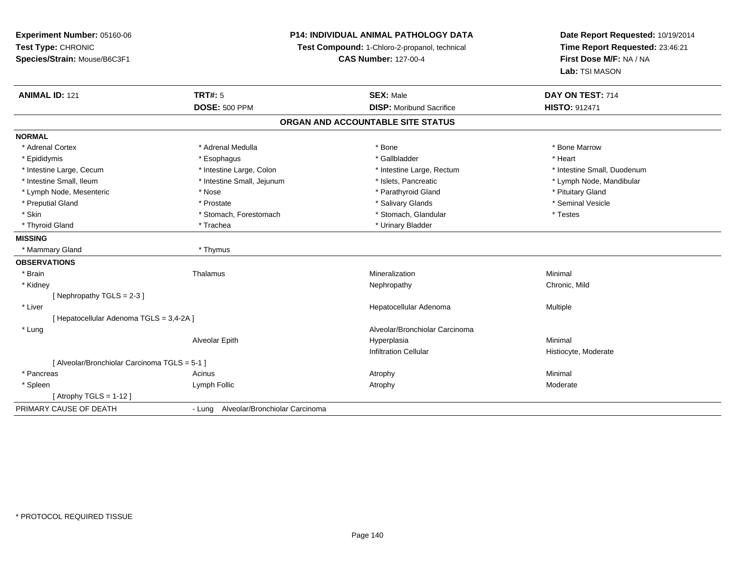| Experiment Number: 05160-06                   | <b>P14: INDIVIDUAL ANIMAL PATHOLOGY DATA</b><br>Test Compound: 1-Chloro-2-propanol, technical |                                   | Date Report Requested: 10/19/2014<br>Time Report Requested: 23:46:21 |
|-----------------------------------------------|-----------------------------------------------------------------------------------------------|-----------------------------------|----------------------------------------------------------------------|
| Test Type: CHRONIC                            |                                                                                               |                                   |                                                                      |
| Species/Strain: Mouse/B6C3F1                  |                                                                                               | <b>CAS Number: 127-00-4</b>       | First Dose M/F: NA / NA                                              |
|                                               |                                                                                               |                                   | Lab: TSI MASON                                                       |
| <b>ANIMAL ID: 121</b>                         | TRT#: 5                                                                                       | <b>SEX: Male</b>                  | DAY ON TEST: 714                                                     |
|                                               | <b>DOSE: 500 PPM</b>                                                                          | <b>DISP:</b> Moribund Sacrifice   | HISTO: 912471                                                        |
|                                               |                                                                                               | ORGAN AND ACCOUNTABLE SITE STATUS |                                                                      |
| <b>NORMAL</b>                                 |                                                                                               |                                   |                                                                      |
| * Adrenal Cortex                              | * Adrenal Medulla                                                                             | * Bone                            | * Bone Marrow                                                        |
| * Epididymis                                  | * Esophagus                                                                                   | * Gallbladder                     | * Heart                                                              |
| * Intestine Large, Cecum                      | * Intestine Large, Colon                                                                      | * Intestine Large, Rectum         | * Intestine Small, Duodenum                                          |
| * Intestine Small, Ileum                      | * Intestine Small, Jejunum                                                                    | * Islets, Pancreatic              | * Lymph Node, Mandibular                                             |
| * Lymph Node, Mesenteric                      | * Nose                                                                                        | * Parathyroid Gland               | * Pituitary Gland                                                    |
| * Preputial Gland                             | * Prostate                                                                                    | * Salivary Glands                 | * Seminal Vesicle                                                    |
| * Skin                                        | * Stomach, Forestomach                                                                        | * Stomach, Glandular              | * Testes                                                             |
| * Thyroid Gland                               | * Trachea                                                                                     | * Urinary Bladder                 |                                                                      |
| <b>MISSING</b>                                |                                                                                               |                                   |                                                                      |
| * Mammary Gland                               | * Thymus                                                                                      |                                   |                                                                      |
| <b>OBSERVATIONS</b>                           |                                                                                               |                                   |                                                                      |
| * Brain                                       | Thalamus                                                                                      | Mineralization                    | Minimal                                                              |
| * Kidney                                      |                                                                                               | Nephropathy                       | Chronic, Mild                                                        |
| [Nephropathy TGLS = 2-3]                      |                                                                                               |                                   |                                                                      |
| * Liver                                       |                                                                                               | Hepatocellular Adenoma            | Multiple                                                             |
| [Hepatocellular Adenoma TGLS = 3,4-2A]        |                                                                                               |                                   |                                                                      |
| * Lung                                        |                                                                                               | Alveolar/Bronchiolar Carcinoma    |                                                                      |
|                                               | Alveolar Epith                                                                                | Hyperplasia                       | Minimal                                                              |
|                                               |                                                                                               | <b>Infiltration Cellular</b>      | Histiocyte, Moderate                                                 |
| [ Alveolar/Bronchiolar Carcinoma TGLS = 5-1 ] |                                                                                               |                                   |                                                                      |
| * Pancreas                                    | Acinus                                                                                        | Atrophy                           | Minimal                                                              |
| * Spleen                                      | Lymph Follic                                                                                  | Atrophy                           | Moderate                                                             |
| [Atrophy TGLS = $1-12$ ]                      |                                                                                               |                                   |                                                                      |
| PRIMARY CAUSE OF DEATH                        | - Lung Alveolar/Bronchiolar Carcinoma                                                         |                                   |                                                                      |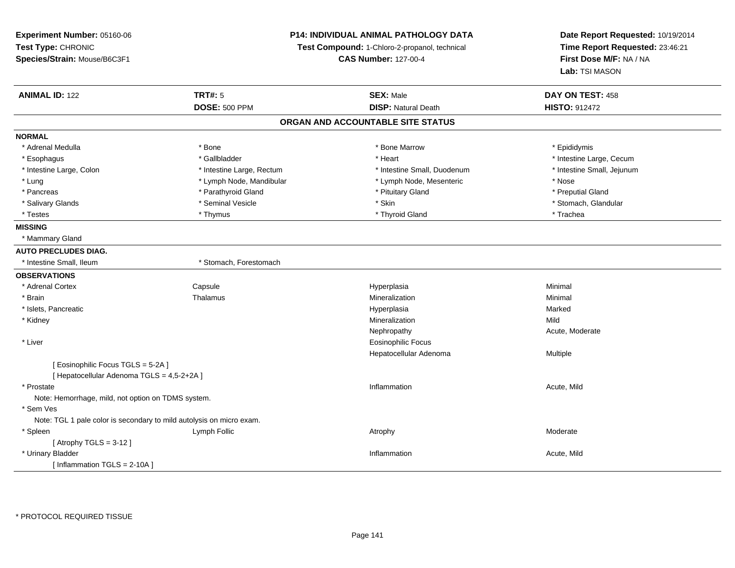**Experiment Number:** 05160-06**Test Type:** CHRONIC **Species/Strain:** Mouse/B6C3F1**P14: INDIVIDUAL ANIMAL PATHOLOGY DATATest Compound:** 1-Chloro-2-propanol, technical **CAS Number:** 127-00-4**Date Report Requested:** 10/19/2014**Time Report Requested:** 23:46:21**First Dose M/F:** NA / NA**Lab:** TSI MASON**ANIMAL ID:** 122**TRT#:** 5 **SEX:** Male **DAY ON TEST:** 458 **DOSE:** 500 PPM**DISP:** Natural Death **HISTO:** 912472 **ORGAN AND ACCOUNTABLE SITE STATUSNORMAL**\* Adrenal Medulla \* Adrenal Medulla \* \* The matter of the state of the state of the Marrow \* Bone Marrow \* Adrenal Medulla \* Epididymis \* Epididymis \* Bone Marrow \* Adrenal Medulla \* Epididymis \* Epididymis \* Epididymis \* Epididymis \* Epidi \* Esophagus \* https://www.fragustage.com/web/2019/heart \* Heart \* Heart \* Heart \* Intestine Large, Cecum \* Intestine Large, Cecum \* Gallbladder \* Callbladder \* 11 and 12 and 12 and 12 and 12 and 12 and 12 and 12 and 12 and \* Intestine Large, Colon \* Intestine Large, Rectum \* Intestine Small, Duodenum \* Intestine Small, Jejunum\* Lung \* Lymph Node, Mandibular \* Nose \* Lymph Node, Mesenteric \* Nose \* Nose \* Preputial Gland \* Pancreas \* \* Parathyroid Gland \* \* Parathyroid Gland \* \* Pituitary Gland \* \* Preputial Gland \* \* Preputial Gland \* Salivary Glands \* The storm of the seminal Vesicle the second term in the second term in the second term in the second second term in the second second term in the second second term in the second second term in the seco \* Testes \* Thymus \* Thyroid Gland \* Trachea **MISSING** \* Mammary Gland**AUTO PRECLUDES DIAG.**\* Intestine Small, Ileum \* \* Stomach, Forestomach **OBSERVATIONS** \* Adrenal CortexCapsule<br>Thalamus Hyperplasia Minimal \* Brainn and the matter of the Thalamus and the Minimal of the Minimal of the Minimal of the Minimal of the Minimal o<br>Thalamus and the Minimal of the Minimal of the Minimal of the Minimal of the Minimal of the Minimal of the Min \* Islets, Pancreaticc and the contract of the contract of the contract of the contract of the contract of the contract of the contract of the contract of the contract of the contract of the contract of the contract of the contract of the cont a **Marked**  \* Kidneyy the control of the control of the control of the control of the control of the control of the control of the control of the control of the control of the control of the control of the control of the control of the contro n Mild Nephropathy Acute, Moderate \* Liver Eosinophilic Focus Hepatocellular Adenoma Multiple [ Eosinophilic Focus TGLS = 5-2A ][ Hepatocellular Adenoma TGLS = 4,5-2+2A ] \* Prostatee the contraction of the contraction of the contraction of the contraction of the contraction of the contraction  $\mathsf{Acute},\mathsf{Mild}$ Note: Hemorrhage, mild, not option on TDMS system. \* Sem Ves Note: TGL 1 pale color is secondary to mild autolysis on micro exam. \* Spleenn and the sumplement of the sumplement of the sum of the sum of the sum of the sum of the sum of the sum of the sum of the sum of the sum of the sum of the sum of the sum of the sum of the sum of the sum of the sum of the  $[$  Atrophy TGLS = 3-12  $]$  \* Urinary Bladder**Inflammation Inflammation** Inflammation **Acute**, Mild [ Inflammation TGLS = 2-10A ]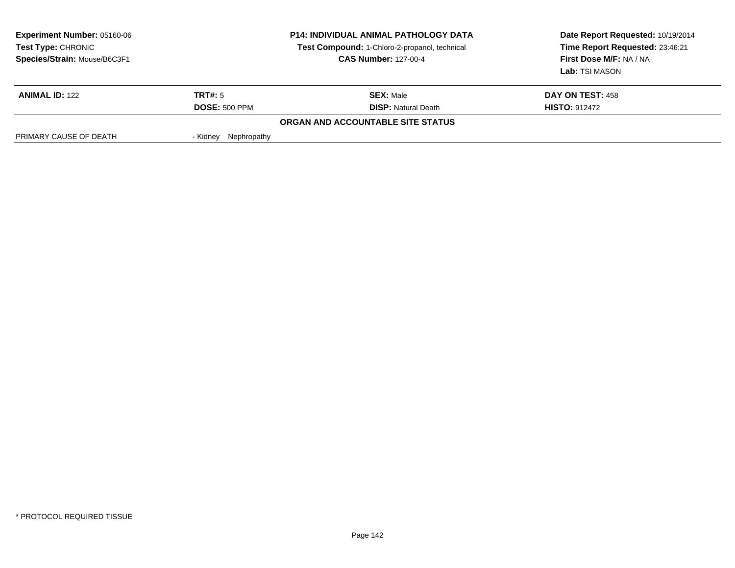| <b>Experiment Number: 05160-06</b><br>Test Type: CHRONIC<br>Species/Strain: Mouse/B6C3F1 | <b>P14: INDIVIDUAL ANIMAL PATHOLOGY DATA</b><br>Test Compound: 1-Chloro-2-propanol, technical<br><b>CAS Number: 127-00-4</b> |                                   | Date Report Requested: 10/19/2014<br>Time Report Requested: 23:46:21<br>First Dose M/F: NA / NA<br>Lab: TSI MASON |
|------------------------------------------------------------------------------------------|------------------------------------------------------------------------------------------------------------------------------|-----------------------------------|-------------------------------------------------------------------------------------------------------------------|
| <b>ANIMAL ID: 122</b>                                                                    | TRT#: 5                                                                                                                      | <b>SEX: Male</b>                  | DAY ON TEST: 458                                                                                                  |
|                                                                                          | <b>DOSE: 500 PPM</b>                                                                                                         | <b>DISP:</b> Natural Death        | <b>HISTO: 912472</b>                                                                                              |
|                                                                                          |                                                                                                                              | ORGAN AND ACCOUNTABLE SITE STATUS |                                                                                                                   |
| PRIMARY CAUSE OF DEATH                                                                   | Nephropathy<br>- Kidnev                                                                                                      |                                   |                                                                                                                   |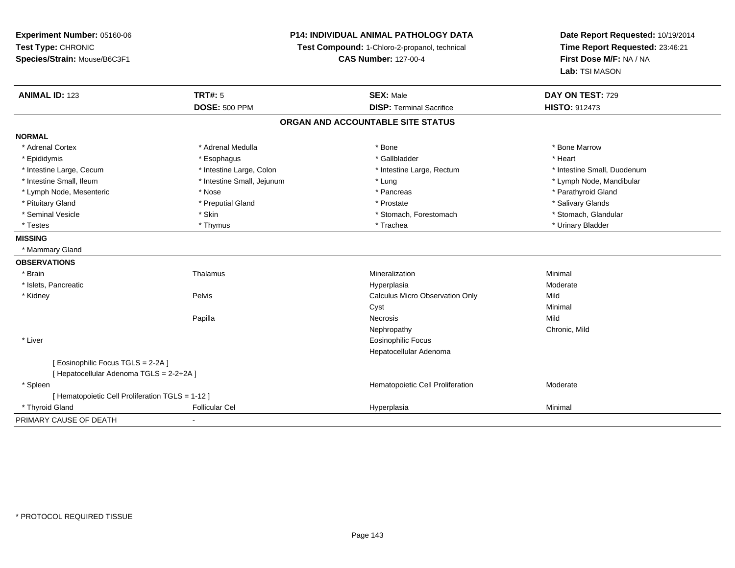**Experiment Number:** 05160-06**Test Type:** CHRONIC **Species/Strain:** Mouse/B6C3F1**P14: INDIVIDUAL ANIMAL PATHOLOGY DATATest Compound:** 1-Chloro-2-propanol, technical **CAS Number:** 127-00-4**Date Report Requested:** 10/19/2014**Time Report Requested:** 23:46:21**First Dose M/F:** NA / NA**Lab:** TSI MASON**ANIMAL ID:** 123**TRT#:** 5 **SEX:** Male **DAY ON TEST:** 729 **DOSE:** 500 PPM **DISP:** Terminal Sacrifice **HISTO:** <sup>912473</sup> **ORGAN AND ACCOUNTABLE SITE STATUSNORMAL**\* Adrenal Cortex \* Adrenal Medulla \* Adrenal Medulla \* Bone \* Bone \* Bone \* Bone \* Bone Marrow \* Epididymis \* Esophagus \* Gallbladder \* Heart\* Intestine Large, Cecum \* Intestine Large, Colon \* Intestine Large, Rectum \* Intestine Small, Duodenum \* Intestine Small, Ileum \* Intestine Small, Jejunum \* Lung \* Lymph Node, Mandibular\* Lymph Node, Mesenteric \* The state of the state of the state of the state of the state of the state of the state of the state of the state of the state of the state of the state of the state of the state of the state of \* Pituitary Gland \* \* Then the state \* Preputial Gland \* Prosection \* Prostate \* \* Salivary Glands \* Salivary Glands \* Salivary Glands \* Salivary Glands \* Salivary Glands \* Salivary Glands \* Salivary Glands \* Salivary Glan \* Stomach. Glandular \* Seminal Vesicle \* Skin \* Skin \* Skin \* Stomach, Forestomach \* Stomach, Forestomach \* Testes \* Thymus \* Trachea \* Urinary Bladder **MISSING** \* Mammary Gland**OBSERVATIONS** \* Brainn and the matter of the Thalamus and the Minimal of the Minimal of the Minimal of the Minimal of the Minimal o<br>Thalamus and the Minimal of the Minimal of the Minimal of the Minimal of the Minimal of the Minimal of the Min \* Islets, Pancreaticc and the contract of the contract of the contract of the contract of the contract of the contract of the contract of the contract of the contract of the contract of the contract of the contract of the contract of the cont a **Moderate**  \* Kidney Pelvis Calculus Micro Observation Only MildMinimal Cystt **the contract of the contract of the contract of the contract of the contract of the contract of the contract of the contract of the contract of the contract of the contract of the contract of the contract of the contrac** Papillaa meeting of the experiment of the Necrosis of the extension of the Mild of the Mild of the Mild of the Mild o Nephropathy Chronic, Mild \* Liver Eosinophilic Focus Hepatocellular Adenoma[ Eosinophilic Focus TGLS = 2-2A ][ Hepatocellular Adenoma TGLS = 2-2+2A ] \* SpleenHematopoietic Cell Proliferation Moderate [ Hematopoietic Cell Proliferation TGLS = 1-12 ] \* Thyroid Gland Follicular Cel Hyperplasia Minimal PRIMARY CAUSE OF DEATH-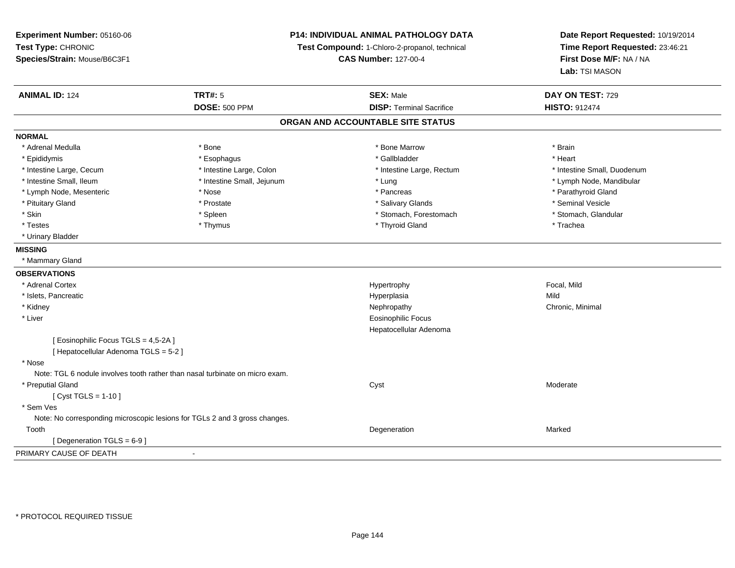**Experiment Number:** 05160-06**Test Type:** CHRONIC **Species/Strain:** Mouse/B6C3F1**P14: INDIVIDUAL ANIMAL PATHOLOGY DATATest Compound:** 1-Chloro-2-propanol, technical **CAS Number:** 127-00-4**Date Report Requested:** 10/19/2014**Time Report Requested:** 23:46:21**First Dose M/F:** NA / NA**Lab:** TSI MASON**ANIMAL ID:** 124**TRT#:** 5 **SEX:** Male **DAY ON TEST:** 729 **DOSE:** 500 PPM**DISP:** Terminal Sacrifice **HISTO:** 912474 **ORGAN AND ACCOUNTABLE SITE STATUSNORMAL**\* Adrenal Medulla \* \* Annual Medulla \* Brain \* Bone \* \* Bone Marrow \* Bone Marrow \* \* Brain \* Brain \* Brain \* Brain \* Brain \* Brain \* Brain \* Brain \* Brain \* Brain \* Brain \* Brain \* Brain \* Brain \* Brain \* Brain \* Brain \* \* Heart \* Epididymis \* Esophagus \* Gallbladder \* Heart\* Intestine Large, Cecum \* Intestine Large, Colon \* Intestine Large, Thestine Large, Rectum \* Intestine Small, Duodenum \* Intestine Small, Ileum \* Intestine Small, Jejunum \* Lung \* Lymph Node, Mandibular\* Lymph Node, Mesenteric \* The state of the state of the state of the state of the state of the state of the state of the state of the state of the state of the state of the state of the state of the state of the state of \* Pituitary Gland \* \* \* \* Prostate \* \* Prostate \* \* Salivary Glands \* \* Salivary Glands \* \* Seminal Vesicle \* Stomach. Glandular \* Skin \* Stomach, Forestomach \* Spleen \* Stomach, Forestomach \* Stomach, Forestomach \* Testes \* Thymus \* Thyroid Gland \* Trachea \* Urinary Bladder**MISSING** \* Mammary Gland**OBSERVATIONS** \* Adrenal Cortexx and the state of the state of the state of the Hypertrophy Secondary of the Secondary Second, Mild \* Islets, Pancreaticc and the contract of the contract of the contract of the contract of the contract of the contract of the contract of the contract of the contract of the contract of the contract of the contract of the contract of the cont a Mild \* Kidneyy the controller of the controller of the controller of the controller of the controller of the controller of the controller of the controller of the controller of the controller of the controller of the controller of the \* Liver Eosinophilic Focus Hepatocellular Adenoma[ Eosinophilic Focus TGLS = 4,5-2A ][ Hepatocellular Adenoma TGLS = 5-2 ] \* Nose Note: TGL 6 nodule involves tooth rather than nasal turbinate on micro exam. \* Preputial Glandd and the control of the control of the control of the control of the control of the control of the control of the control of the control of the control of the control of the control of the control of the control of the co  $[$  Cyst TGLS = 1-10  $]$  \* Sem Ves Note: No corresponding microscopic lesions for TGLs 2 and 3 gross changes. Toothh and the control of the control of the control of the control of the control of the control of the control of the control of the control of the control of the control of the control of the control of the control of the co [ Degeneration TGLS = 6-9 ]PRIMARY CAUSE OF DEATH-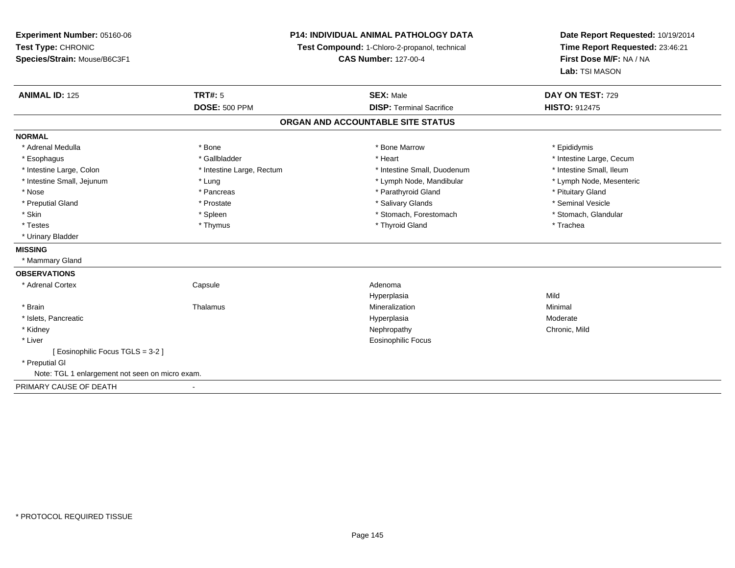**Experiment Number:** 05160-06**Test Type:** CHRONIC **Species/Strain:** Mouse/B6C3F1**P14: INDIVIDUAL ANIMAL PATHOLOGY DATATest Compound:** 1-Chloro-2-propanol, technical **CAS Number:** 127-00-4**Date Report Requested:** 10/19/2014**Time Report Requested:** 23:46:21**First Dose M/F:** NA / NA**Lab:** TSI MASON**ANIMAL ID:** 125**TRT#:** 5 **SEX:** Male **DAY ON TEST:** 729 **DOSE:** 500 PPM**DISP:** Terminal Sacrifice **HISTO:** 912475 **ORGAN AND ACCOUNTABLE SITE STATUSNORMAL**\* Adrenal Medulla \* Adrenal Medulla \* \* The matter of the state of the state of the Marrow \* Bone Marrow \* Adrenal Medulla \* Epididymis \* Epididymis \* Bone Marrow \* Adrenal Medulla \* Epididymis \* Epididymis \* Epididymis \* Epididymis \* Epidi \* Esophagus \* https://www.fragustage.com/web/2019/heart \* Heart \* Heart \* Heart \* Intestine Large, Cecum \* Intestine Large, Cecum \* Gallbladder \* Callbladder \* 11 and 12 and 12 and 12 and 12 and 12 and 12 and 12 and 12 and \* Intestine Small, Ileum \* Intestine Large, Colon \* Intestine Large, Rectum \* Intestine Small, Duodenum \* Intestine Small, Duodenum \* Lymph Node, Mesenteric \* Intestine Small, Jejunum \* The material and the state of the state of the state of the state of the state of the state of the state of the state of the state of the state of the state of the state of the state of the sta \* Nose \* Pancreas \* Pancreas \* Pancreas \* Parathyroid Gland \* Parathyroid Gland \* Pituitary Gland \* Pituitary Gland \* Seminal Vesicle \* Preputial Gland \* \* Annual vesicle \* \* Prostate \* \* Salivary Glands \* \* Salivary Glands \* \* Seminal Vesicle \* \* Stomach. Glandular \* Skin \* Spleen \* Spleen \* Stomach, Forestomach \* Stomach, Forestomach \* Stomach, Forestomach \* Testes \* Thymus \* Thyroid Gland \* Trachea \* Urinary Bladder**MISSING** \* Mammary Gland**OBSERVATIONS** \* Adrenal Cortex Capsule Adenoma Hyperplasiaa Mild \* Brainn and the matter of the Thalamus and the Minimal of the Minimal of the Minimal of the Minimal of the Minimal o<br>Thalamus and the Minimal of the Minimal of the Minimal of the Minimal of the Minimal of the Minimal of the Min \* Islets, Pancreaticc and the contract of the contract of the contract of the contract of the contract of the contract of the contract of the contract of the contract of the contract of the contract of the contract of the contract of the cont Moderate \* Kidneyy the controller of the controller of the controller of the controller of the controller of the chronic, Mild \* Liver Eosinophilic Focus[ Eosinophilic Focus TGLS = 3-2 ] \* Preputial GlNote: TGL 1 enlargement not seen on micro exam.PRIMARY CAUSE OF DEATH-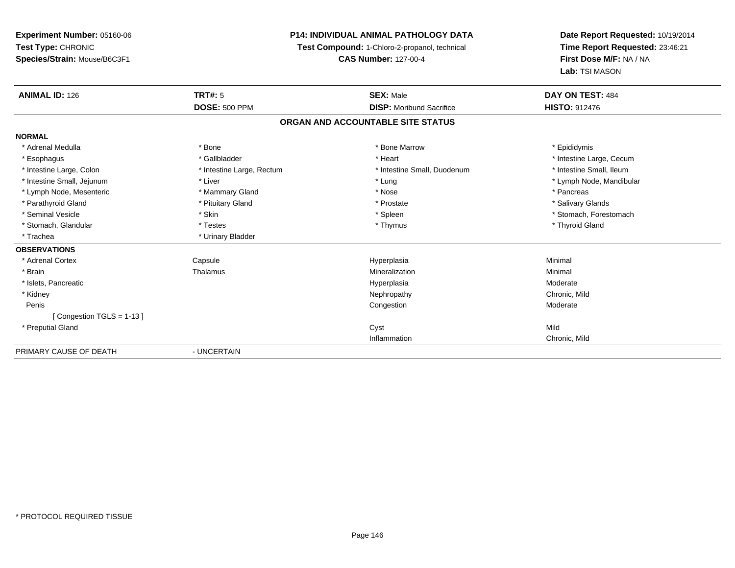# **P14: INDIVIDUAL ANIMAL PATHOLOGY DATA**

**Test Compound:** 1-Chloro-2-propanol, technical

**CAS Number:** 127-00-4

**Date Report Requested:** 10/19/2014**Time Report Requested:** 23:46:21**First Dose M/F:** NA / NA**Lab:** TSI MASON

| <b>ANIMAL ID: 126</b>       | <b>TRT#: 5</b>            | <b>SEX: Male</b>                  | DAY ON TEST: 484         |
|-----------------------------|---------------------------|-----------------------------------|--------------------------|
|                             | <b>DOSE: 500 PPM</b>      | <b>DISP:</b> Moribund Sacrifice   | <b>HISTO: 912476</b>     |
|                             |                           | ORGAN AND ACCOUNTABLE SITE STATUS |                          |
| <b>NORMAL</b>               |                           |                                   |                          |
| * Adrenal Medulla           | * Bone                    | * Bone Marrow                     | * Epididymis             |
| * Esophagus                 | * Gallbladder             | * Heart                           | * Intestine Large, Cecum |
| * Intestine Large, Colon    | * Intestine Large, Rectum | * Intestine Small, Duodenum       | * Intestine Small, Ileum |
| * Intestine Small, Jejunum  | * Liver                   | * Lung                            | * Lymph Node, Mandibular |
| * Lymph Node, Mesenteric    | * Mammary Gland           | * Nose                            | * Pancreas               |
| * Parathyroid Gland         | * Pituitary Gland         | * Prostate                        | * Salivary Glands        |
| * Seminal Vesicle           | * Skin                    | * Spleen                          | * Stomach, Forestomach   |
| * Stomach, Glandular        | * Testes                  | * Thymus                          | * Thyroid Gland          |
| * Trachea                   | * Urinary Bladder         |                                   |                          |
| <b>OBSERVATIONS</b>         |                           |                                   |                          |
| * Adrenal Cortex            | Capsule                   | Hyperplasia                       | Minimal                  |
| * Brain                     | Thalamus                  | Mineralization                    | Minimal                  |
| * Islets, Pancreatic        |                           | Hyperplasia                       | Moderate                 |
| * Kidney                    |                           | Nephropathy                       | Chronic, Mild            |
| Penis                       |                           | Congestion                        | Moderate                 |
| [Congestion TGLS = $1-13$ ] |                           |                                   |                          |
| * Preputial Gland           |                           | Cyst                              | Mild                     |
|                             |                           | Inflammation                      | Chronic, Mild            |
| PRIMARY CAUSE OF DEATH      | - UNCERTAIN               |                                   |                          |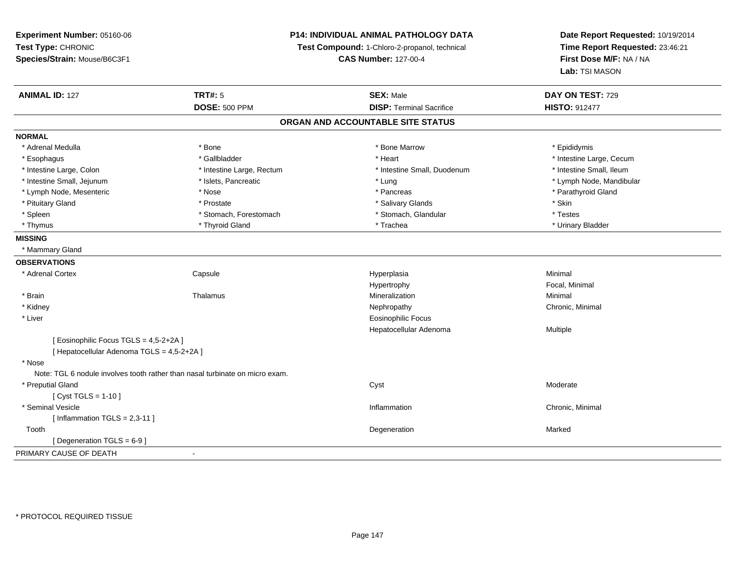**Experiment Number:** 05160-06**Test Type:** CHRONIC **Species/Strain:** Mouse/B6C3F1**P14: INDIVIDUAL ANIMAL PATHOLOGY DATATest Compound:** 1-Chloro-2-propanol, technical **CAS Number:** 127-00-4**Date Report Requested:** 10/19/2014**Time Report Requested:** 23:46:21**First Dose M/F:** NA / NA**Lab:** TSI MASON**ANIMAL ID:** 127**TRT#:** 5 **SEX:** Male **DAY ON TEST:** 729 **DOSE:** 500 PPM **DISP:** Terminal Sacrifice **HISTO:** <sup>912477</sup> **ORGAN AND ACCOUNTABLE SITE STATUSNORMAL**\* Adrenal Medulla \* Adrenal Medulla \* \* The matter of the state of the state of the Marrow \* Bone Marrow \* Adrenal Medulla \* Epididymis \* Epididymis \* Bone Marrow \* Adrenal Medulla \* Epididymis \* Epididymis \* Epididymis \* Epididymis \* Epidi \* Esophagus \* https://www.fragustage.com/web/2019/heart \* Heart \* Heart \* Heart \* Intestine Large, Cecum \* Intestine Large, Cecum \* Gallbladder \* Callbladder \* 11 and 12 and 12 and 12 and 12 and 12 and 12 and 12 and 12 and \* Intestine Small, Ileum \* Intestine Large, Colon \* Intestine Large, Rectum \* Intestine Small, Duodenum \* Intestine Small, Duodenum \* Intestine Small, Jejunum \* \* \* https://www.fat.com/setter/educition/setter/filesophysics.com/setter/filesophysics.com/setter/filesophysics.com/setter/filesophysics.com/setter/filesophysics.com/setter/filesophysics.com/se \* Lymph Node, Mesenteric \* The state of the state of the state of the state of the state of the state of the state of the state of the state of the state of the state of the state of the state of the state of the state of \* Pituitary Gland \* \* \* Prostate \* \* Prostate \* \* Salivary Glands \* \* Stin \* \* Skin \* Testes \* Spleen \* Stomach, Forestomach \* Stomach, Forestomach \* Stomach, Glandular \* Stomach, Glandular \* Urinary Bladder \* Thymus \* Thyroid Gland \* Trachea \* Urinary Bladder \* **MISSING** \* Mammary Gland**OBSERVATIONS** \* Adrenal Cortex**Capsule**  Hyperplasia Minimal Hypertrophy Focal, Minimal \* Brainn and the matter of the Thalamus and the Minimal of the Minimal of the Minimal of the Minimal of the Minimal o<br>Thalamus and the Minimal of the Minimal of the Minimal of the Minimal of the Minimal of the Minimal of the Min \* Kidneyy the controller of the controller of the controller of the Nephropathy Chronic, Minimal (Chronic, Minimal  $\mu$  \* Liver Eosinophilic Focus Hepatocellular Adenoma Multiple [ Eosinophilic Focus TGLS = 4,5-2+2A ][ Hepatocellular Adenoma TGLS = 4,5-2+2A ] \* Nose Note: TGL 6 nodule involves tooth rather than nasal turbinate on micro exam. \* Preputial Glandd and the control of the control of the control of the control of the control of the control of the control of the control of the control of the control of the control of the control of the control of the control of the co  $[$  Cyst TGLS = 1-10  $]$  \* Seminal Vesiclee and the contract of the contract of the contract of the contract of the contract of the contract of the contract of the contract of the contract of the contract of the contract of the contract of the contract of the cont  $[$  Inflammation TGLS = 2,3-11  $]$  Toothh and the control of the control of the control of the control of the control of the control of the control of the control of the control of the control of the control of the control of the control of the control of the co [ Degeneration TGLS = 6-9 ]PRIMARY CAUSE OF DEATH-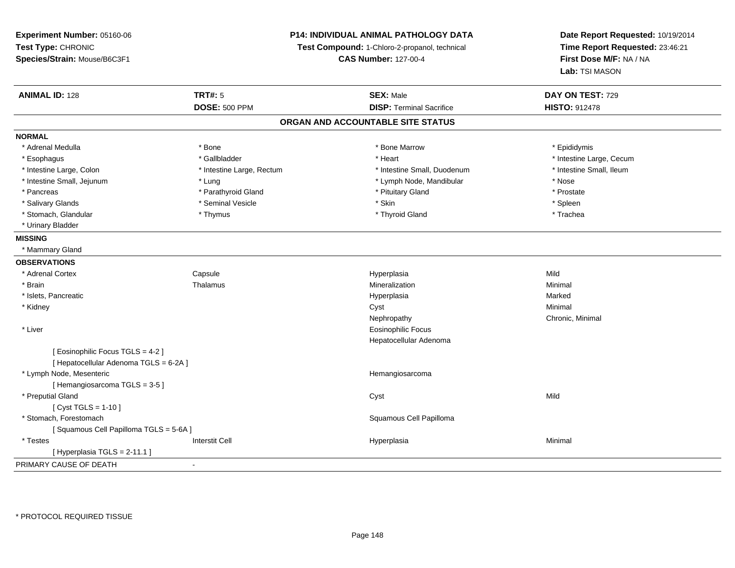**Experiment Number:** 05160-06**Test Type:** CHRONIC **Species/Strain:** Mouse/B6C3F1**P14: INDIVIDUAL ANIMAL PATHOLOGY DATATest Compound:** 1-Chloro-2-propanol, technical **CAS Number:** 127-00-4**Date Report Requested:** 10/19/2014**Time Report Requested:** 23:46:21**First Dose M/F:** NA / NA**Lab:** TSI MASON**ANIMAL ID:** 128**TRT#:** 5 **SEX:** Male **DAY ON TEST:** 729 **DOSE:** 500 PPM**DISP:** Terminal Sacrifice **HISTO:** 912478 **ORGAN AND ACCOUNTABLE SITE STATUSNORMAL**\* Adrenal Medulla \* Adrenal Medulla \* \* The matter of the state of the state of the Marrow \* Bone Marrow \* Adrenal Medulla \* Epididymis \* Epididymis \* Bone Marrow \* Adrenal Medulla \* Epididymis \* Epididymis \* Epididymis \* Epididymis \* Epidi \* Esophagus \* https://www.fragustage.com/web/2019/heart \* Heart \* Heart \* Heart \* Intestine Large, Cecum \* Intestine Large, Cecum \* Gallbladder \* Callbladder \* 11 and 12 and 12 and 12 and 12 and 12 and 12 and 12 and 12 and \* Intestine Small, Ileum \* Intestine Large, Colon \* Intestine Large, Rectum \* Intestine Small, Duodenum \* Intestine Small, Duodenum \* Intestine Small, Jejunum \* Lung \* Lymph Node, Mandibular \* Nose\* Prostate \* Pancreas \* Parathyroid Gland \* Parathyroid Gland \* \* Prituitary Gland \* Spleen \* Salivary Glands \* \* \* Sheen \* Seminal Vesicle \* \* \* Stan \* \* Skin \* \* Skin \* \* Spleen \* \* Spleen \* \* Spleen \* \* Trachea \* Stomach, Glandular \* Thymus \* Thymus \* Thymus \* Thymus \* Thyroid Gland \* Thyroid Gland \* \* Urinary Bladder**MISSING** \* Mammary Gland**OBSERVATIONS** \* Adrenal CortexCapsule<br>Thalamus Hyperplasia Mild \* Brainn and the matter of the Thalamus and the Minimal of the Minimal of the Minimal of the Minimal of the Minimal o<br>Thalamus and the Minimal of the Minimal of the Minimal of the Minimal of the Minimal of the Minimal of the Min \* Islets, Pancreaticc and the contract of the contract of the contract of the contract of the contract of the contract of the contract of the contract of the contract of the contract of the contract of the contract of the contract of the cont a **Marked**  \* Kidneyy the control of the control of the control of the control of the control of the control of the control of the control of the control of the control of the control of the control of the control of the control of the contro Nephropathy Chronic, Minimal \* Liver Eosinophilic Focus Hepatocellular Adenoma[ Eosinophilic Focus TGLS = 4-2 ][ Hepatocellular Adenoma TGLS = 6-2A ] \* Lymph Node, Mesenteric Hemangiosarcoma[ Hemangiosarcoma TGLS = 3-5 ] \* Preputial Glandd and the control of the control of the control of the control of the control of the control of the control of the control of the control of the control of the control of the control of the control of the control of the co  $[$  Cyst TGLS = 1-10  $]$  \* Stomach, Forestomach Squamous Cell Papilloma [ Squamous Cell Papilloma TGLS = 5-6A ] \* Testess Interstit Cell Hyperplasia a **Minimal**  $[$  Hyperplasia TGLS = 2-11.1 ] PRIMARY CAUSE OF DEATH-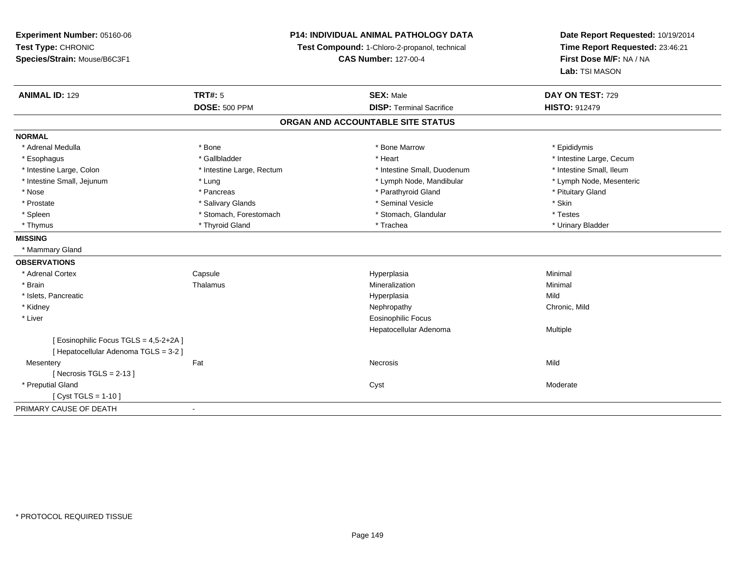# **P14: INDIVIDUAL ANIMAL PATHOLOGY DATA**

**Test Compound:** 1-Chloro-2-propanol, technical

**CAS Number:** 127-00-4

**Date Report Requested:** 10/19/2014**Time Report Requested:** 23:46:21**First Dose M/F:** NA / NA**Lab:** TSI MASON

| <b>ANIMAL ID: 129</b>                                                           | <b>TRT#: 5</b>            | <b>SEX: Male</b>                  | DAY ON TEST: 729         |
|---------------------------------------------------------------------------------|---------------------------|-----------------------------------|--------------------------|
|                                                                                 | <b>DOSE: 500 PPM</b>      | <b>DISP: Terminal Sacrifice</b>   | <b>HISTO: 912479</b>     |
|                                                                                 |                           | ORGAN AND ACCOUNTABLE SITE STATUS |                          |
| <b>NORMAL</b>                                                                   |                           |                                   |                          |
| * Adrenal Medulla                                                               | * Bone                    | * Bone Marrow                     | * Epididymis             |
| * Esophagus                                                                     | * Gallbladder             | * Heart                           | * Intestine Large, Cecum |
| * Intestine Large, Colon                                                        | * Intestine Large, Rectum | * Intestine Small, Duodenum       | * Intestine Small, Ileum |
| * Intestine Small, Jejunum                                                      | * Lung                    | * Lymph Node, Mandibular          | * Lymph Node, Mesenteric |
| * Nose                                                                          | * Pancreas                | * Parathyroid Gland               | * Pituitary Gland        |
| * Prostate                                                                      | * Salivary Glands         | * Seminal Vesicle                 | * Skin                   |
| * Spleen                                                                        | * Stomach, Forestomach    | * Stomach, Glandular              | * Testes                 |
| * Thymus                                                                        | * Thyroid Gland           | * Trachea                         | * Urinary Bladder        |
| <b>MISSING</b>                                                                  |                           |                                   |                          |
| * Mammary Gland                                                                 |                           |                                   |                          |
| <b>OBSERVATIONS</b>                                                             |                           |                                   |                          |
| * Adrenal Cortex                                                                | Capsule                   | Hyperplasia                       | Minimal                  |
| * Brain                                                                         | Thalamus                  | Mineralization                    | Minimal                  |
| * Islets, Pancreatic                                                            |                           | Hyperplasia                       | Mild                     |
| * Kidney                                                                        |                           | Nephropathy                       | Chronic, Mild            |
| * Liver                                                                         |                           | <b>Eosinophilic Focus</b>         |                          |
|                                                                                 |                           | Hepatocellular Adenoma            | Multiple                 |
| [ Eosinophilic Focus TGLS = 4,5-2+2A ]<br>[ Hepatocellular Adenoma TGLS = 3-2 ] |                           |                                   |                          |
| Mesentery                                                                       | Fat                       | <b>Necrosis</b>                   | Mild                     |
| [Necrosis TGLS = $2-13$ ]                                                       |                           |                                   |                          |
| * Preputial Gland                                                               |                           | Cyst                              | Moderate                 |
| [ $Cyst TGLS = 1-10$ ]                                                          |                           |                                   |                          |
| PRIMARY CAUSE OF DEATH                                                          |                           |                                   |                          |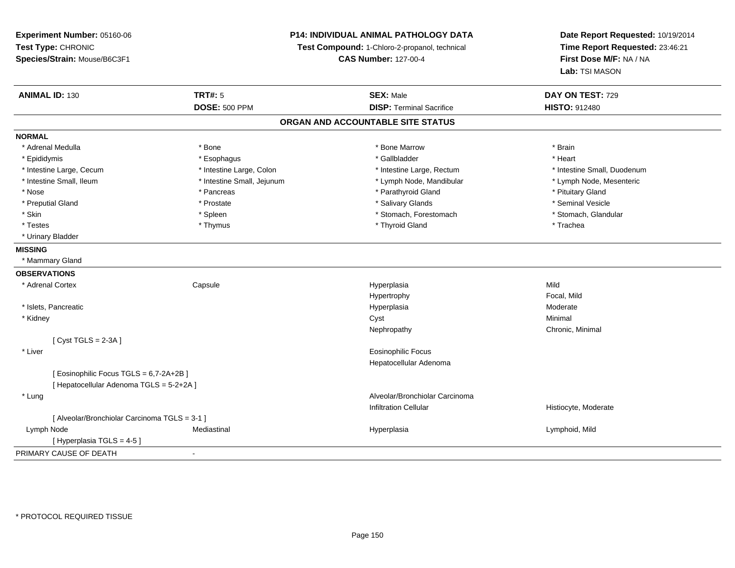**Experiment Number:** 05160-06**Test Type:** CHRONIC **Species/Strain:** Mouse/B6C3F1**P14: INDIVIDUAL ANIMAL PATHOLOGY DATATest Compound:** 1-Chloro-2-propanol, technical **CAS Number:** 127-00-4**Date Report Requested:** 10/19/2014**Time Report Requested:** 23:46:21**First Dose M/F:** NA / NA**Lab:** TSI MASON**ANIMAL ID:** 130**TRT#:** 5 **SEX:** Male **DAY ON TEST:** 729 **DOSE:** 500 PPM**DISP:** Terminal Sacrifice **HISTO:** 912480 **ORGAN AND ACCOUNTABLE SITE STATUSNORMAL**\* Adrenal Medulla \* \* Annual Medulla \* Brain \* Bone \* \* Bone Marrow \* Bone Marrow \* \* Brain \* Brain \* Brain \* Brain \* Brain \* Brain \* Brain \* Brain \* Brain \* Brain \* Brain \* Brain \* Brain \* Brain \* Brain \* Brain \* Brain \* \* Heart \* Epididymis \* Esophagus \* Gallbladder \* Heart \* Intestine Large, Cecum \* Intestine Large, Colon \* Intestine Large, Rectum \* Intestine Small, Duodenum\* Lymph Node, Mesenteric \* Intestine Small, Ileum \* Intestine Small, Jejunum \* Lymph Node, Mandibular \* Lymph Node, Mandibular \* Nose \* Pancreas \* Pancreas \* Pancreas \* Parathyroid Gland \* Parathyroid Gland \* Pituitary Gland \* Pituitary Gland \* Seminal Vesicle \* Preputial Gland \* \* Annual vesicle \* \* Prostate \* \* Salivary Glands \* \* Salivary Glands \* \* Seminal Vesicle \* \* Stomach, Glandular \* Skin \* Stomach, Forestomach \* Spleen \* Stomach, Forestomach \* Stomach, Forestomach \* Testes \* Thymus \* Thyroid Gland \* Trachea \* Urinary Bladder**MISSING** \* Mammary Gland**OBSERVATIONS** \* Adrenal Cortex Capsule Hyperplasia Mild Hypertrophy Focal, MildModerate \* Islets, Pancreaticc and the contract of the contract of the contract of the contract of the contract of the contract of the contract of the contract of the contract of the contract of the contract of the contract of the contract of the cont a **Moderate**  \* Kidneyy the control of the control of the control of the control of the control of the control of the control of the control of the control of the control of the control of the control of the control of the control of the contro Nephropathy Chronic, Minimal [ Cyst TGLS = 2-3A ] \* Liver Eosinophilic Focus Hepatocellular Adenoma[ Eosinophilic Focus TGLS = 6,7-2A+2B ][ Hepatocellular Adenoma TGLS = 5-2+2A ] \* Lung Alveolar/Bronchiolar Carcinoma Infiltration Cellular Histiocyte, Moderate[ Alveolar/Bronchiolar Carcinoma TGLS = 3-1 ] Lymph Node Mediastinal Hyperplasia Lymphoid, Mild [ Hyperplasia TGLS = 4-5 ]PRIMARY CAUSE OF DEATH-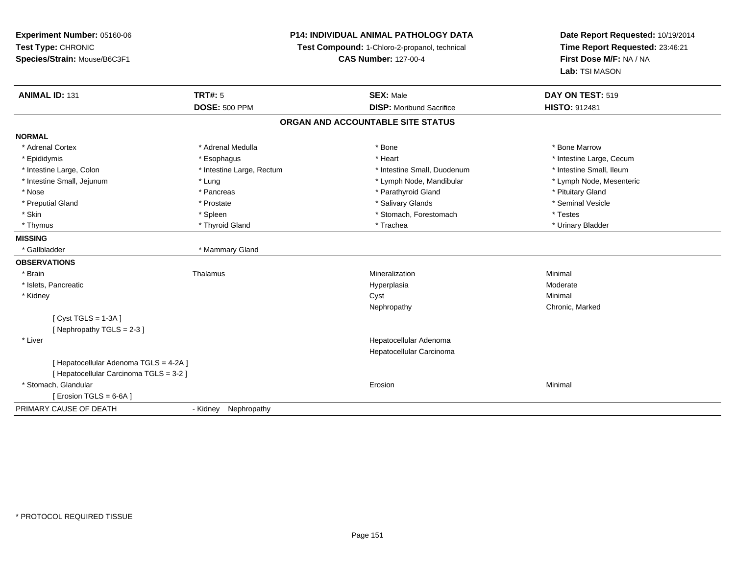**Experiment Number:** 05160-06**Test Type:** CHRONIC **Species/Strain:** Mouse/B6C3F1**P14: INDIVIDUAL ANIMAL PATHOLOGY DATATest Compound:** 1-Chloro-2-propanol, technical **CAS Number:** 127-00-4**Date Report Requested:** 10/19/2014**Time Report Requested:** 23:46:21**First Dose M/F:** NA / NA**Lab:** TSI MASON**ANIMAL ID:** 131**TRT#:** 5 **SEX:** Male **DAY ON TEST:** 519 **DOSE:** 500 PPM **DISP:** Moribund Sacrifice **HISTO:** <sup>912481</sup> **ORGAN AND ACCOUNTABLE SITE STATUSNORMAL**\* Adrenal Cortex \* Adrenal Medulla \* Adrenal Medulla \* Bone \* Bone \* Bone \* Bone \* Bone Marrow \* Epididymis \* https://www.fragusta.com/windows/windows/windows/windows/windows/windows/windows/windows/windows/ \* Intestine Small, Ileum \* Intestine Large, Colon \* Intestine Large, Rectum \* Intestine Small, Duodenum \* Intestine Small, Duodenum \* Lymph Node, Mesenteric \* Intestine Small, Jejunum \* The matter of the state of the state of the state of the state of the state of the state of the state of the state of the state of the state of the state of the state of the state of the state \* Nose \* Pancreas \* Pancreas \* Pancreas \* Parathyroid Gland \* Parathyroid Gland \* Pituitary Gland \* Pituitary Gland \* Seminal Vesicle \* Preputial Gland \* \* Annual vesicle \* \* Prostate \* \* Salivary Glands \* \* Salivary Glands \* \* Seminal Vesicle \* \* Skin \* Spleen \* Spleen \* Spleen \* Stomach, Forestomach \* Testes \* Testes \* Testes \* Urinary Bladder \* Thymus \* Thyroid Gland \* Trachea \* Urinary Bladder \* **MISSING**\* Gallbladder \* Mammary Gland **OBSERVATIONS** \* Brainn and the matter of the Thalamus and the Minimal of the Minimal of the Minimal of the Minimal of the Minimal o<br>Thalamus and the Minimal of the Minimal of the Minimal of the Minimal of the Minimal of the Minimal of the Min \* Islets, Pancreaticc and the contract of the contract of the contract of the contract of the contract of the contract of the contract of the contract of the contract of the contract of the contract of the contract of the contract of the cont a **Moderate**  \* Kidneyy the control of the control of the control of the control of the control of the control of the control of the control of the control of the control of the control of the control of the control of the control of the contro Nephropathy Chronic, Marked[ Cyst TGLS = 1-3A ][ Nephropathy TGLS = 2-3 ] \* Liver Hepatocellular Adenoma Hepatocellular Carcinoma[ Hepatocellular Adenoma TGLS = 4-2A ][ Hepatocellular Carcinoma TGLS = 3-2 ] \* Stomach, Glandularr and the contract of the contract of the contract of the contract of the contract of the contract of the contract of the contract of the contract of the contract of the contract of the contract of the contract of the cont n and a basic control of the Minimal  $[$  Erosion TGLS = 6-6A  $]$ PRIMARY CAUSE OF DEATH- Kidney Nephropathy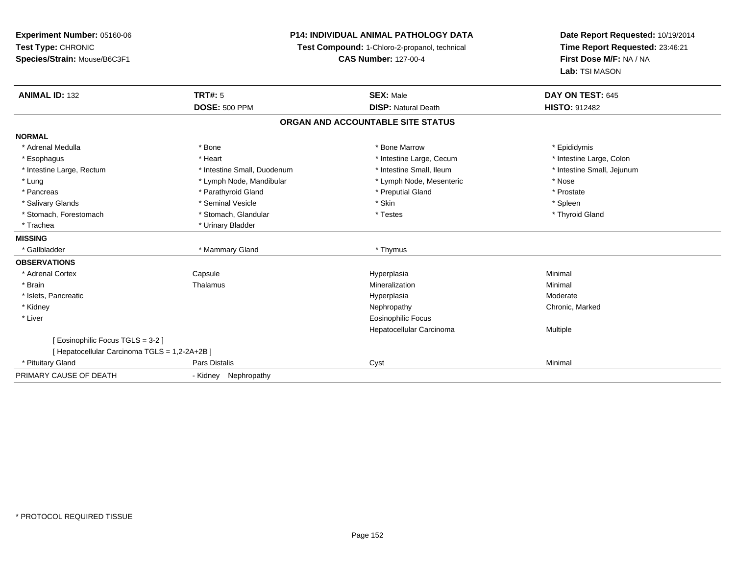# **P14: INDIVIDUAL ANIMAL PATHOLOGY DATA**

**Test Compound:** 1-Chloro-2-propanol, technical

**CAS Number:** 127-00-4

**Date Report Requested:** 10/19/2014**Time Report Requested:** 23:46:21**First Dose M/F:** NA / NA**Lab:** TSI MASON

| <b>ANIMAL ID: 132</b>                         | <b>TRT#: 5</b>              | <b>SEX: Male</b>                  | DAY ON TEST: 645           |
|-----------------------------------------------|-----------------------------|-----------------------------------|----------------------------|
|                                               | <b>DOSE: 500 PPM</b>        | <b>DISP: Natural Death</b>        | <b>HISTO: 912482</b>       |
|                                               |                             | ORGAN AND ACCOUNTABLE SITE STATUS |                            |
| <b>NORMAL</b>                                 |                             |                                   |                            |
| * Adrenal Medulla                             | * Bone                      | * Bone Marrow                     | * Epididymis               |
| * Esophagus                                   | * Heart                     | * Intestine Large, Cecum          | * Intestine Large, Colon   |
| * Intestine Large, Rectum                     | * Intestine Small, Duodenum | * Intestine Small, Ileum          | * Intestine Small, Jejunum |
| * Lung                                        | * Lymph Node, Mandibular    | * Lymph Node, Mesenteric          | * Nose                     |
| * Pancreas                                    | * Parathyroid Gland         | * Preputial Gland                 | * Prostate                 |
| * Salivary Glands                             | * Seminal Vesicle           | * Skin                            | * Spleen                   |
| * Stomach, Forestomach                        | * Stomach, Glandular        | * Testes                          | * Thyroid Gland            |
| * Trachea                                     | * Urinary Bladder           |                                   |                            |
| <b>MISSING</b>                                |                             |                                   |                            |
| * Gallbladder                                 | * Mammary Gland             | * Thymus                          |                            |
| <b>OBSERVATIONS</b>                           |                             |                                   |                            |
| * Adrenal Cortex                              | Capsule                     | Hyperplasia                       | Minimal                    |
| * Brain                                       | Thalamus                    | Mineralization                    | Minimal                    |
| * Islets, Pancreatic                          |                             | Hyperplasia                       | Moderate                   |
| * Kidney                                      |                             | Nephropathy                       | Chronic, Marked            |
| * Liver                                       |                             | <b>Eosinophilic Focus</b>         |                            |
|                                               |                             | Hepatocellular Carcinoma          | Multiple                   |
| [ Eosinophilic Focus TGLS = 3-2 ]             |                             |                                   |                            |
| [ Hepatocellular Carcinoma TGLS = 1,2-2A+2B ] |                             |                                   |                            |
| * Pituitary Gland                             | Pars Distalis               | Cyst                              | Minimal                    |
| PRIMARY CAUSE OF DEATH                        | Nephropathy<br>- Kidney     |                                   |                            |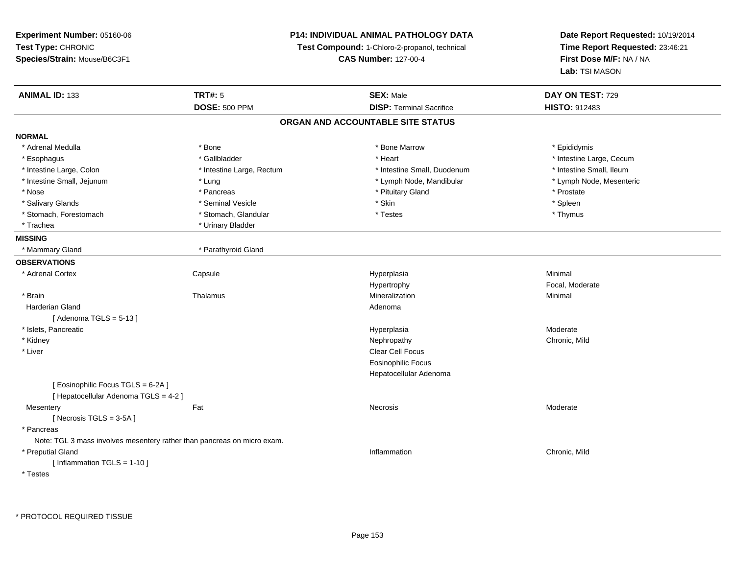# **P14: INDIVIDUAL ANIMAL PATHOLOGY DATA**

**Test Compound:** 1-Chloro-2-propanol, technical

**CAS Number:** 127-00-4

**Date Report Requested:** 10/19/2014**Time Report Requested:** 23:46:21**First Dose M/F:** NA / NA**Lab:** TSI MASON

| <b>ANIMAL ID: 133</b>                                                   | <b>TRT#: 5</b>            | <b>SEX: Male</b>                  | DAY ON TEST: 729         |
|-------------------------------------------------------------------------|---------------------------|-----------------------------------|--------------------------|
|                                                                         | <b>DOSE: 500 PPM</b>      | <b>DISP: Terminal Sacrifice</b>   | <b>HISTO: 912483</b>     |
|                                                                         |                           | ORGAN AND ACCOUNTABLE SITE STATUS |                          |
| <b>NORMAL</b>                                                           |                           |                                   |                          |
| * Adrenal Medulla                                                       | * Bone                    | * Bone Marrow                     | * Epididymis             |
| * Esophagus                                                             | * Gallbladder             | * Heart                           | * Intestine Large, Cecum |
| * Intestine Large, Colon                                                | * Intestine Large, Rectum | * Intestine Small, Duodenum       | * Intestine Small, Ileum |
| * Intestine Small, Jejunum                                              | $*$ Lung                  | * Lymph Node, Mandibular          | * Lymph Node, Mesenteric |
| * Nose                                                                  | * Pancreas                | * Pituitary Gland                 | * Prostate               |
| * Salivary Glands                                                       | * Seminal Vesicle         | * Skin                            | * Spleen                 |
| * Stomach, Forestomach                                                  | * Stomach, Glandular      | * Testes                          | * Thymus                 |
| * Trachea                                                               | * Urinary Bladder         |                                   |                          |
| <b>MISSING</b>                                                          |                           |                                   |                          |
| * Mammary Gland                                                         | * Parathyroid Gland       |                                   |                          |
| <b>OBSERVATIONS</b>                                                     |                           |                                   |                          |
| * Adrenal Cortex                                                        | Capsule                   | Hyperplasia                       | Minimal                  |
|                                                                         |                           | Hypertrophy                       | Focal, Moderate          |
| * Brain                                                                 | Thalamus                  | Mineralization                    | Minimal                  |
| <b>Harderian Gland</b>                                                  |                           | Adenoma                           |                          |
| [Adenoma TGLS = $5-13$ ]                                                |                           |                                   |                          |
| * Islets, Pancreatic                                                    |                           | Hyperplasia                       | Moderate                 |
| * Kidney                                                                |                           | Nephropathy                       | Chronic, Mild            |
| * Liver                                                                 |                           | Clear Cell Focus                  |                          |
|                                                                         |                           | <b>Eosinophilic Focus</b>         |                          |
|                                                                         |                           | Hepatocellular Adenoma            |                          |
| [ Eosinophilic Focus TGLS = 6-2A ]                                      |                           |                                   |                          |
| [ Hepatocellular Adenoma TGLS = 4-2 ]                                   |                           |                                   |                          |
| Mesentery                                                               | Fat                       | Necrosis                          | Moderate                 |
| [ Necrosis $TGLS = 3-5A$ ]                                              |                           |                                   |                          |
| * Pancreas                                                              |                           |                                   |                          |
| Note: TGL 3 mass involves mesentery rather than pancreas on micro exam. |                           |                                   |                          |
| * Preputial Gland                                                       |                           | Inflammation                      | Chronic, Mild            |
| [Inflammation TGLS = $1-10$ ]                                           |                           |                                   |                          |
| * Testes                                                                |                           |                                   |                          |

\* PROTOCOL REQUIRED TISSUE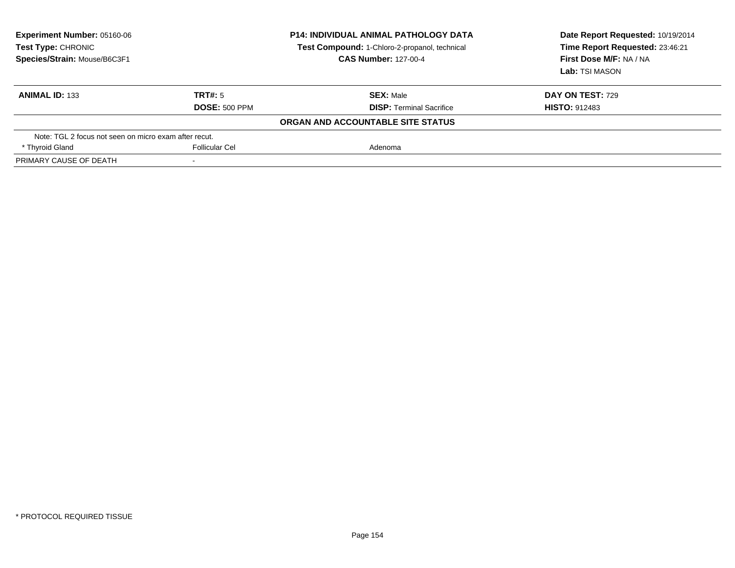| <b>Experiment Number: 05160-06</b><br>Test Type: CHRONIC<br>Species/Strain: Mouse/B6C3F1 |                      | <b>P14: INDIVIDUAL ANIMAL PATHOLOGY DATA</b><br>Test Compound: 1-Chloro-2-propanol, technical<br><b>CAS Number: 127-00-4</b> | Date Report Requested: 10/19/2014<br>Time Report Requested: 23:46:21<br>First Dose M/F: NA / NA<br>Lab: TSI MASON |
|------------------------------------------------------------------------------------------|----------------------|------------------------------------------------------------------------------------------------------------------------------|-------------------------------------------------------------------------------------------------------------------|
| <b>ANIMAL ID: 133</b>                                                                    | TRT#: 5              | <b>SEX: Male</b>                                                                                                             | <b>DAY ON TEST: 729</b>                                                                                           |
|                                                                                          | <b>DOSE: 500 PPM</b> | <b>DISP: Terminal Sacrifice</b><br>ORGAN AND ACCOUNTABLE SITE STATUS                                                         | <b>HISTO: 912483</b>                                                                                              |
| Note: TGL 2 focus not seen on micro exam after recut.                                    |                      |                                                                                                                              |                                                                                                                   |
| * Thyroid Gland                                                                          | Follicular Cel       | Adenoma                                                                                                                      |                                                                                                                   |
| PRIMARY CAUSE OF DEATH                                                                   |                      |                                                                                                                              |                                                                                                                   |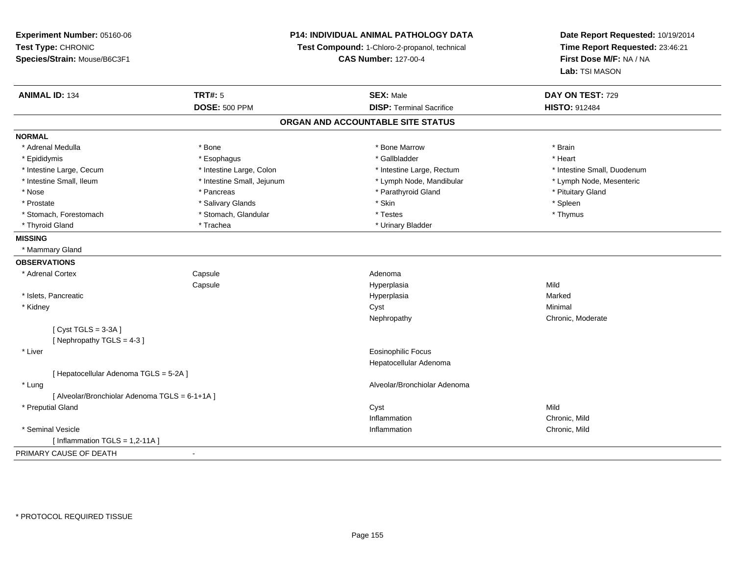**Experiment Number:** 05160-06**Test Type:** CHRONIC **Species/Strain:** Mouse/B6C3F1**P14: INDIVIDUAL ANIMAL PATHOLOGY DATATest Compound:** 1-Chloro-2-propanol, technical **CAS Number:** 127-00-4**Date Report Requested:** 10/19/2014**Time Report Requested:** 23:46:21**First Dose M/F:** NA / NA**Lab:** TSI MASON**ANIMAL ID:** 134**TRT#:** 5 **SEX:** Male **DAY ON TEST:** 729 **DOSE:** 500 PPM**DISP:** Terminal Sacrifice **HISTO:** 912484 **ORGAN AND ACCOUNTABLE SITE STATUSNORMAL**\* Adrenal Medulla \* \* Annual Medulla \* Brain \* Bone \* \* Bone Marrow \* Bone Marrow \* \* Brain \* Brain \* Brain \* Brain \* Brain \* Brain \* Brain \* Brain \* Brain \* Brain \* Brain \* Brain \* Brain \* Brain \* Brain \* Brain \* Brain \* \* Heart \* Epididymis \* Esophagus \* Gallbladder \* Heart\* Intestine Large, Cecum \* Intestine Large, Colon \* Intestine Large, Thestine Large, Rectum \* Intestine Small, Duodenum \* Lymph Node, Mesenteric \* Intestine Small, Ileum \* Intestine Small, Jejunum \* Lymph Node, Mandibular \* Lymph Node, Mandibular \* Nose \* Pancreas \* Pancreas \* Pancreas \* Parathyroid Gland \* Parathyroid Gland \* Pituitary Gland \* Pituitary Gland \* Prostate \* \* Sheen \* Salivary Glands \* \* Salivary Glands \* \* Skin \* \* Skin \* \* Spleen \* Spleen \* Spleen \* Spleen \* Spleen \* \* Spleen \* \* Spleen \* \* Spleen \* \* Spleen \* \* Spleen \* \* Spleen \* \* Spleen \* \* Spleen \* \* Spleen \* Thymus \* Stomach, Forestomach \* Testes \* Stomach, Glandular \* Testes \* Testes \* Testes \* Testes \* Testes \* Testes \* T \* Thyroid Gland \* Trachea \* Trachea \* Trachea \* Urinary Bladder **MISSING** \* Mammary Gland**OBSERVATIONS** \* Adrenal Cortex**Capsule** e and a state of the state of the Adenoma **Capsule**  Hyperplasia Mild \* Islets, Pancreaticc and the contract of the contract of the contract of the contract of the contract of the contract of the contract of the contract of the contract of the contract of the contract of the contract of the contract of the cont a **Marked**  \* Kidneyy the control of the control of the control of the control of the control of the control of the control of the control of the control of the control of the control of the control of the control of the control of the contro Nephropathy Chronic, Moderate $[$  Cyst TGLS = 3-3A  $]$ [ Nephropathy TGLS = 4-3 ] \* Liver Eosinophilic Focus Hepatocellular Adenoma[ Hepatocellular Adenoma TGLS = 5-2A ] \* Lung Alveolar/Bronchiolar Adenoma [ Alveolar/Bronchiolar Adenoma TGLS = 6-1+1A ] \* Preputial Glandd and the control of the control of the control of the control of the control of the control of the control of the control of the control of the control of the control of the control of the control of the control of the co InflammationInflammation **Chronic, Mild**<br>
Inflammation **Chronic, Mild**<br>
Chronic, Mild \* Seminal Vesiclee experience of the control of the control of the control of the control of the chronic, Mild and Chronic, Mild and Chronic, Mild and Chronic, Mild and Chronic, Mild and Chronic, Mild and Chronic, Mild and Chronic, Mild an  $[$  Inflammation TGLS = 1,2-11A  $]$ PRIMARY CAUSE OF DEATH-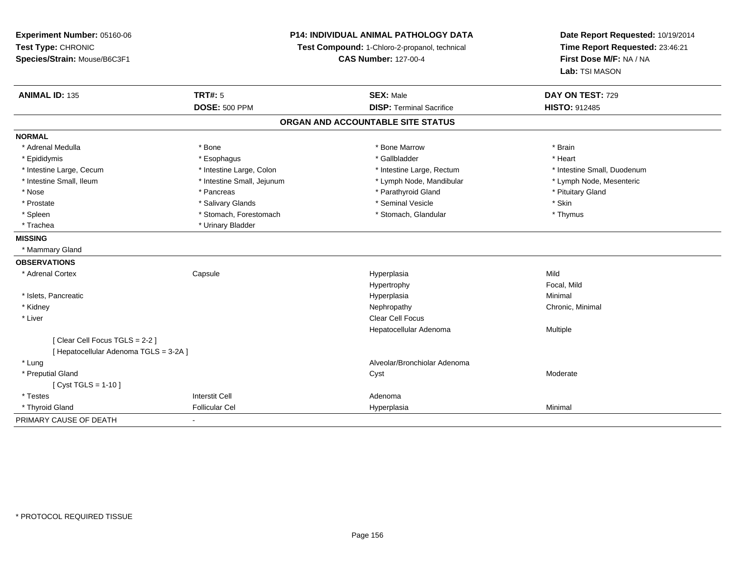| Experiment Number: 05160-06<br>Test Type: CHRONIC<br>Species/Strain: Mouse/B6C3F1 | P14: INDIVIDUAL ANIMAL PATHOLOGY DATA<br>Test Compound: 1-Chloro-2-propanol, technical<br><b>CAS Number: 127-00-4</b> |                                   | Date Report Requested: 10/19/2014<br>Time Report Requested: 23:46:21<br>First Dose M/F: NA / NA<br>Lab: TSI MASON |
|-----------------------------------------------------------------------------------|-----------------------------------------------------------------------------------------------------------------------|-----------------------------------|-------------------------------------------------------------------------------------------------------------------|
| <b>ANIMAL ID: 135</b>                                                             | <b>TRT#: 5</b>                                                                                                        | <b>SEX: Male</b>                  | DAY ON TEST: 729                                                                                                  |
|                                                                                   | <b>DOSE: 500 PPM</b>                                                                                                  | <b>DISP: Terminal Sacrifice</b>   | <b>HISTO: 912485</b>                                                                                              |
|                                                                                   |                                                                                                                       | ORGAN AND ACCOUNTABLE SITE STATUS |                                                                                                                   |
| <b>NORMAL</b>                                                                     |                                                                                                                       |                                   |                                                                                                                   |
| * Adrenal Medulla                                                                 | * Bone                                                                                                                | * Bone Marrow                     | * Brain                                                                                                           |
| * Epididymis                                                                      | * Esophagus                                                                                                           | * Gallbladder                     | * Heart                                                                                                           |
| * Intestine Large, Cecum                                                          | * Intestine Large, Colon                                                                                              | * Intestine Large, Rectum         | * Intestine Small, Duodenum                                                                                       |
| * Intestine Small, Ileum                                                          | * Intestine Small, Jejunum                                                                                            | * Lymph Node, Mandibular          | * Lymph Node, Mesenteric                                                                                          |
| * Nose                                                                            | * Pancreas                                                                                                            | * Parathyroid Gland               | * Pituitary Gland                                                                                                 |
| * Prostate                                                                        | * Salivary Glands                                                                                                     | * Seminal Vesicle                 | * Skin                                                                                                            |
| * Spleen                                                                          | * Stomach, Forestomach                                                                                                | * Stomach, Glandular              | * Thymus                                                                                                          |
| * Trachea                                                                         | * Urinary Bladder                                                                                                     |                                   |                                                                                                                   |
| <b>MISSING</b>                                                                    |                                                                                                                       |                                   |                                                                                                                   |
| * Mammary Gland                                                                   |                                                                                                                       |                                   |                                                                                                                   |
| <b>OBSERVATIONS</b>                                                               |                                                                                                                       |                                   |                                                                                                                   |
| * Adrenal Cortex                                                                  | Capsule                                                                                                               | Hyperplasia                       | Mild                                                                                                              |
|                                                                                   |                                                                                                                       | Hypertrophy                       | Focal, Mild                                                                                                       |
| * Islets, Pancreatic                                                              |                                                                                                                       | Hyperplasia                       | Minimal                                                                                                           |
| * Kidney                                                                          |                                                                                                                       | Nephropathy                       | Chronic, Minimal                                                                                                  |
| * Liver                                                                           |                                                                                                                       | <b>Clear Cell Focus</b>           |                                                                                                                   |
|                                                                                   |                                                                                                                       | Hepatocellular Adenoma            | <b>Multiple</b>                                                                                                   |
| [Clear Cell Focus TGLS = 2-2]                                                     |                                                                                                                       |                                   |                                                                                                                   |
| [ Hepatocellular Adenoma TGLS = 3-2A ]                                            |                                                                                                                       |                                   |                                                                                                                   |
| * Lung                                                                            |                                                                                                                       | Alveolar/Bronchiolar Adenoma      |                                                                                                                   |
| * Preputial Gland                                                                 |                                                                                                                       | Cyst                              | Moderate                                                                                                          |
| [ Cyst TGLS = $1-10$ ]                                                            |                                                                                                                       |                                   |                                                                                                                   |
| * Testes                                                                          | <b>Interstit Cell</b>                                                                                                 | Adenoma                           |                                                                                                                   |
| * Thyroid Gland                                                                   | <b>Follicular Cel</b>                                                                                                 | Hyperplasia                       | Minimal                                                                                                           |
| PRIMARY CAUSE OF DEATH                                                            |                                                                                                                       |                                   |                                                                                                                   |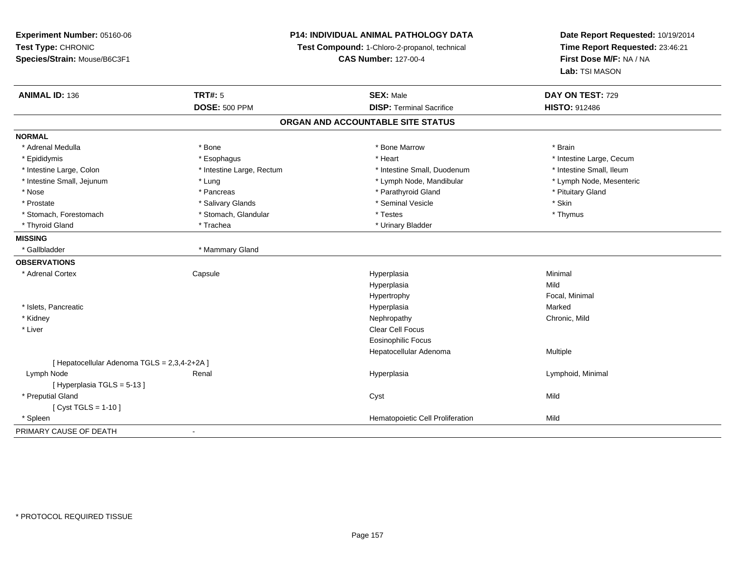**Experiment Number:** 05160-06**Test Type:** CHRONIC **Species/Strain:** Mouse/B6C3F1**P14: INDIVIDUAL ANIMAL PATHOLOGY DATATest Compound:** 1-Chloro-2-propanol, technical **CAS Number:** 127-00-4**Date Report Requested:** 10/19/2014**Time Report Requested:** 23:46:21**First Dose M/F:** NA / NA**Lab:** TSI MASON**ANIMAL ID:** 136**TRT#:** 5 **SEX:** Male **DAY ON TEST:** 729 **DOSE:** 500 PPM**DISP:** Terminal Sacrifice **HISTO:** 912486 **ORGAN AND ACCOUNTABLE SITE STATUSNORMAL**\* Adrenal Medulla \* \* Annual Medulla \* Brain \* Bone \* \* Bone Marrow \* Bone Marrow \* \* Brain \* Brain \* Brain \* Brain \* Brain \* Brain \* Brain \* Brain \* Brain \* Brain \* Brain \* Brain \* Brain \* Brain \* Brain \* Brain \* Brain \* \* Epididymis **Account 19 and 19 and 19 and 19 and 19 and 19 and 19 and 19 and 19 and 19 and 19 and 19 and 19 and 19 and 19 and 19 and 19 and 19 and 19 and 19 and 19 and 19 and 19 and 19 and 19 and 19 and 19 and 19 and 19 a** \* Intestine Small, Ileum \* Intestine Large, Colon \* Intestine Large, Rectum \* Intestine Small, Duodenum \* Intestine Small, Duodenum \* Lymph Node, Mesenteric \* Intestine Small, Jejunum \* The material and the state of the state of the state of the state of the state of the state of the state of the state of the state of the state of the state of the state of the state of the sta \* Nose \* Pancreas \* Pancreas \* Pancreas \* Parathyroid Gland \* Parathyroid Gland \* Pituitary Gland \* Pituitary Gland \* Prostate \* \* Salivary Glands \* \* Salivary Glands \* \* Seminal Vesicle \* \* \* Seminal Yestrich \* \* Skin \* \* Skin \* Thymus \* Stomach, Forestomach \* Testes \* Stomach, Glandular \* Testes \* Testes \* Testes \* Testes \* Testes \* \* Testes \*  $\sim$  \* Testes \*  $\sim$  \* Testes \*  $\sim$  \* Testes \* \* Testes \* \* Testes \* \* \* Testes \* \* \* Testes \* \* \* \* \* \* \* \* \* \* Thyroid Gland \* Trachea \* Trachea \* Trachea \* Urinary Bladder **MISSING**\* Gallbladder \* Mammary Gland **OBSERVATIONS** \* Adrenal Cortex**Capsule**  Hyperplasia Minimal Hyperplasiaa Mild Hypertrophy Focal, Minimal \* Islets, Pancreaticc and the contract of the contract of the contract of the contract of the contract of the contract of the contract of the contract of the contract of the contract of the contract of the contract of the contract of the cont a **Marked**  \* Kidneyy the controller of the controller of the controller of the controller of the controller of the chronic, Mild \* Liverr and the contract of the contract of the contract of the contract of the contract of the contract of the contract of the contract of the contract of the contract of the contract of the contract of the contract of the cont Eosinophilic Focus Hepatocellular Adenoma Multiple [ Hepatocellular Adenoma TGLS = 2,3,4-2+2A ] Lymph Node Renal Hyperplasia Lymphoid, Minimal [ Hyperplasia TGLS = 5-13 ] \* Preputial Glandd and the control of the control of the control of the control of the control of the control of the control of the control of the control of the control of the control of the control of the control of the control of the co  $[$  Cyst TGLS = 1-10  $]$  \* SpleenHematopoietic Cell Proliferation Mild PRIMARY CAUSE OF DEATH-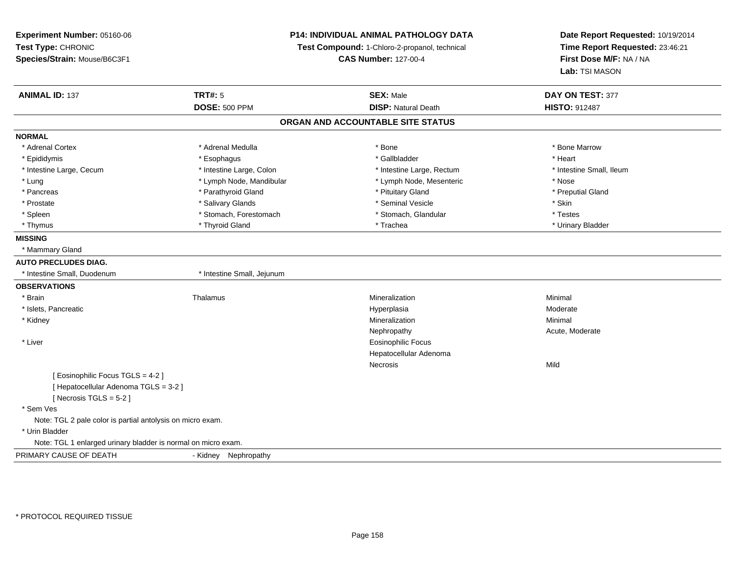# **P14: INDIVIDUAL ANIMAL PATHOLOGY DATA**

**Test Compound:** 1-Chloro-2-propanol, technical

**CAS Number:** 127-00-4

**Date Report Requested:** 10/19/2014**Time Report Requested:** 23:46:21**First Dose M/F:** NA / NA**Lab:** TSI MASON

| <b>ANIMAL ID: 137</b>                                         | <b>TRT#: 5</b>             | <b>SEX: Male</b>                  | DAY ON TEST: 377         |
|---------------------------------------------------------------|----------------------------|-----------------------------------|--------------------------|
|                                                               | <b>DOSE: 500 PPM</b>       | <b>DISP: Natural Death</b>        | <b>HISTO: 912487</b>     |
|                                                               |                            | ORGAN AND ACCOUNTABLE SITE STATUS |                          |
| <b>NORMAL</b>                                                 |                            |                                   |                          |
| * Adrenal Cortex                                              | * Adrenal Medulla          | * Bone                            | * Bone Marrow            |
| * Epididymis                                                  | * Esophagus                | * Gallbladder                     | * Heart                  |
| * Intestine Large, Cecum                                      | * Intestine Large, Colon   | * Intestine Large, Rectum         | * Intestine Small, Ileum |
| * Lung                                                        | * Lymph Node, Mandibular   | * Lymph Node, Mesenteric          | * Nose                   |
| * Pancreas                                                    | * Parathyroid Gland        | * Pituitary Gland                 | * Preputial Gland        |
| * Prostate                                                    | * Salivary Glands          | * Seminal Vesicle                 | * Skin                   |
| * Spleen                                                      | * Stomach, Forestomach     | * Stomach, Glandular              | * Testes                 |
| * Thymus                                                      | * Thyroid Gland            | * Trachea                         | * Urinary Bladder        |
| <b>MISSING</b>                                                |                            |                                   |                          |
| * Mammary Gland                                               |                            |                                   |                          |
| <b>AUTO PRECLUDES DIAG.</b>                                   |                            |                                   |                          |
| * Intestine Small, Duodenum                                   | * Intestine Small, Jejunum |                                   |                          |
| <b>OBSERVATIONS</b>                                           |                            |                                   |                          |
| * Brain                                                       | Thalamus                   | Mineralization                    | Minimal                  |
| * Islets, Pancreatic                                          |                            | Hyperplasia                       | Moderate                 |
| * Kidney                                                      |                            | Mineralization                    | Minimal                  |
|                                                               |                            | Nephropathy                       | Acute, Moderate          |
| * Liver                                                       |                            | <b>Eosinophilic Focus</b>         |                          |
|                                                               |                            | Hepatocellular Adenoma            |                          |
|                                                               |                            | Necrosis                          | Mild                     |
| [ Eosinophilic Focus TGLS = 4-2 ]                             |                            |                                   |                          |
| [ Hepatocellular Adenoma TGLS = 3-2 ]                         |                            |                                   |                          |
| [ Necrosis TGLS = $5-2$ ]                                     |                            |                                   |                          |
| * Sem Ves                                                     |                            |                                   |                          |
| Note: TGL 2 pale color is partial antolysis on micro exam.    |                            |                                   |                          |
| * Urin Bladder                                                |                            |                                   |                          |
| Note: TGL 1 enlarged urinary bladder is normal on micro exam. |                            |                                   |                          |
| PRIMARY CAUSE OF DEATH                                        | - Kidney<br>Nephropathy    |                                   |                          |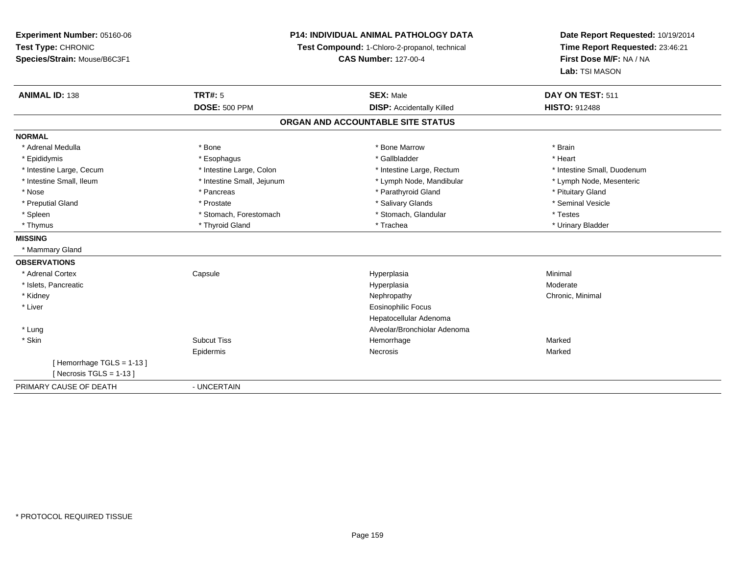**Experiment Number:** 05160-06**Test Type:** CHRONIC **Species/Strain:** Mouse/B6C3F1**P14: INDIVIDUAL ANIMAL PATHOLOGY DATATest Compound:** 1-Chloro-2-propanol, technical **CAS Number:** 127-00-4**Date Report Requested:** 10/19/2014**Time Report Requested:** 23:46:21**First Dose M/F:** NA / NA**Lab:** TSI MASON**ANIMAL ID:** 138**TRT#:** 5 **SEX:** Male **DAY ON TEST:** 511 **DOSE:** 500 PPM**DISP:** Accidentally Killed **HISTO:** 912488 **ORGAN AND ACCOUNTABLE SITE STATUSNORMAL**\* Adrenal Medulla \* \* Annual Medulla \* Brain \* Bone \* \* Bone Marrow \* Bone Marrow \* \* Brain \* Brain \* Brain \* Brain \* Brain \* Brain \* Brain \* Brain \* Brain \* Brain \* Brain \* Brain \* Brain \* Brain \* Brain \* Brain \* Brain \* \* Heart \* Epididymis \* Esophagus \* Gallbladder \* Heart\* Intestine Large, Cecum \* Intestine Large, Colon \* Intestine Large, Rectum \* Intestine Small, Duodenum \* Lymph Node, Mesenteric \* Intestine Small, Ileum \* Intestine Small, Jejunum \* Lymph Node, Mandibular \* Lymph Node, Mandibular \* Nose \* Pancreas \* Pancreas \* Pancreas \* Parathyroid Gland \* Parathyroid Gland \* Pituitary Gland \* Pituitary Gland \* Seminal Vesicle \* Preputial Gland \* \* Annual vesicle \* \* Prostate \* \* Salivary Glands \* \* Salivary Glands \* \* Seminal Vesicle \* \* Spleen \* Stomach, Forestomach \* Stomach \* Stomach, Shandular \* Testes \* Testes \* Urinary Bladder \* Thymus \* Thyroid Gland \* Trachea \* Urinary Bladder \* **MISSING** \* Mammary Gland**OBSERVATIONS** \* Adrenal Cortex**Capsule**  Hyperplasia Minimal \* Islets, Pancreaticc and the contract of the contract of the contract of the contract of the contract of the contract of the contract of the contract of the contract of the contract of the contract of the contract of the contract of the cont a **Moderate**  \* Kidneyy the controller of the controller of the controller of the Nephropathy Chronic, Minimal (Chronic, Minimal  $\mu$  \* Liver Eosinophilic Focus Hepatocellular Adenoma Alveolar/Bronchiolar Adenoma \* Lung \* Skinn and the Subcut Tiss the Subcut of the Subcut Tiss and the Marked Subcut Tiss and the Marked Subcut Tiss and Marked Subcut Tiss and Marked Subcut Tiss and Marked Subcut Tiss and Marked Subcut Tiss and Marked Subcut Tiss a Epidermis Necrosis Marked[ Hemorrhage TGLS = 1-13 ] $[$  Necrosis TGLS = 1-13  $]$ PRIMARY CAUSE OF DEATH- UNCERTAIN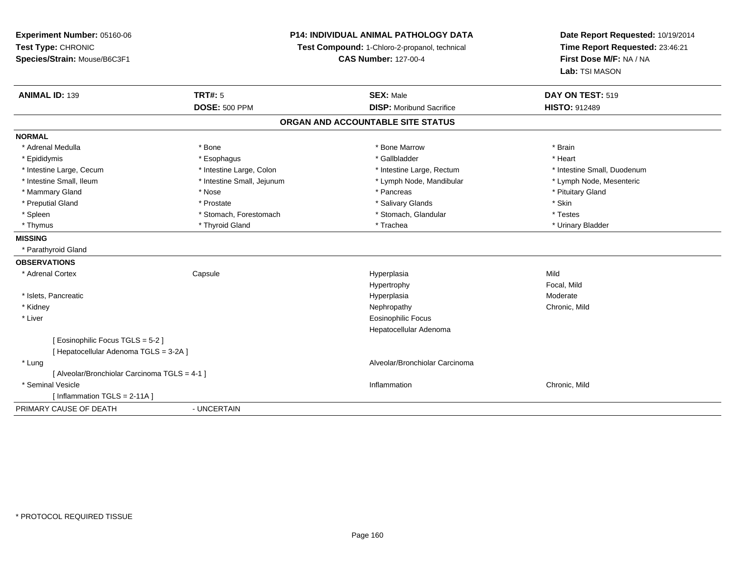**Experiment Number:** 05160-06**Test Type:** CHRONIC **Species/Strain:** Mouse/B6C3F1**P14: INDIVIDUAL ANIMAL PATHOLOGY DATATest Compound:** 1-Chloro-2-propanol, technical **CAS Number:** 127-00-4**Date Report Requested:** 10/19/2014**Time Report Requested:** 23:46:21**First Dose M/F:** NA / NA**Lab:** TSI MASON**ANIMAL ID:** 139**TRT#:** 5 **SEX:** Male **DAY ON TEST:** 519 **DOSE:** 500 PPM **DISP:** Moribund Sacrifice **HISTO:** <sup>912489</sup> **ORGAN AND ACCOUNTABLE SITE STATUSNORMAL**\* Adrenal Medulla \* \* Annual Medulla \* Brain \* Bone \* \* Bone Marrow \* Bone Marrow \* \* Brain \* Brain \* Brain \* Brain \* Brain \* Brain \* Brain \* Brain \* Brain \* Brain \* Brain \* Brain \* Brain \* Brain \* Brain \* Brain \* Brain \* \* Heart \* Epididymis \* Esophagus \* Gallbladder \* Heart \* Intestine Large, Cecum \* Intestine Large, Colon \* Intestine Large, Rectum \* Intestine Small, Duodenum\* Lymph Node, Mesenteric \* Intestine Small, Ileum \* Intestine Small, Jejunum \* Lymph Node, Mandibular \* Lymph Node, Mandibular \* Mammary Gland \* \* Amery \* Nose \* \* Pancreas \* Pancreas \* Pancreas \* Pancreas \* Pituitary Gland \* Pituitary Gland \* Pancreas \* \* Pancreas \* \* Pancreas \* \* Pituitary Gland \* Pituitary Gland \* \* Pancreas \* \* Pancreas \* \* \* \* Preputial Gland \* \* \* Prostate \* \* Prostate \* \* Salivary Glands \* \* Stringer \* Stringer \* Skin \* Skin \* Skin \* Testes \* Spleen \* Stomach, Forestomach \* Stomach, Forestomach \* Stomach, Glandular \* Stomach, Glandular \* Urinary Bladder \* Thymus \* Thyroid Gland \* Trachea \* Urinary Bladder \* **MISSING** \* Parathyroid Gland**OBSERVATIONS** \* Adrenal Cortex**Capsule**  Hyperplasia Mild Hypertrophy Focal, Milda Moderate \* Islets, Pancreaticc and the contract of the contract of the contract of the contract of the contract of the contract of the contract of the contract of the contract of the contract of the contract of the contract of the contract of the cont \* Kidneyy the controller of the controller of the controller of the controller of the controller of the chronic, Mild \* Liver Eosinophilic Focus Hepatocellular Adenoma[ Eosinophilic Focus TGLS = 5-2 ][ Hepatocellular Adenoma TGLS = 3-2A ] \* Lung Alveolar/Bronchiolar Carcinoma [ Alveolar/Bronchiolar Carcinoma TGLS = 4-1 ] \* Seminal Vesiclee experience of the control of the control of the control of the control of the chronic, Mild and Chronic, Mild and Chronic, Mild and Chronic, Mild and Chronic, Mild and Chronic, Mild and Chronic, Mild and Chronic, Mild an [ Inflammation TGLS = 2-11A ] PRIMARY CAUSE OF DEATH- UNCERTAIN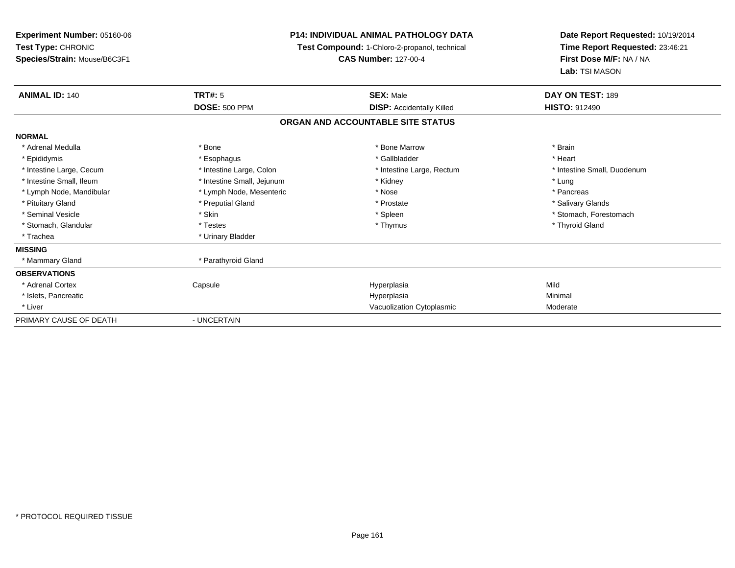| Experiment Number: 05160-06<br><b>Test Type: CHRONIC</b><br>Species/Strain: Mouse/B6C3F1 | <b>P14: INDIVIDUAL ANIMAL PATHOLOGY DATA</b><br>Test Compound: 1-Chloro-2-propanol, technical<br><b>CAS Number: 127-00-4</b> |                                   | Date Report Requested: 10/19/2014<br>Time Report Requested: 23:46:21<br>First Dose M/F: NA / NA<br>Lab: TSI MASON |
|------------------------------------------------------------------------------------------|------------------------------------------------------------------------------------------------------------------------------|-----------------------------------|-------------------------------------------------------------------------------------------------------------------|
| <b>ANIMAL ID: 140</b>                                                                    | <b>TRT#: 5</b>                                                                                                               | <b>SEX: Male</b>                  | DAY ON TEST: 189                                                                                                  |
|                                                                                          | <b>DOSE: 500 PPM</b>                                                                                                         | <b>DISP:</b> Accidentally Killed  | <b>HISTO: 912490</b>                                                                                              |
|                                                                                          |                                                                                                                              | ORGAN AND ACCOUNTABLE SITE STATUS |                                                                                                                   |
| <b>NORMAL</b>                                                                            |                                                                                                                              |                                   |                                                                                                                   |
| * Adrenal Medulla                                                                        | * Bone                                                                                                                       | * Bone Marrow                     | * Brain                                                                                                           |
| * Epididymis                                                                             | * Esophagus                                                                                                                  | * Gallbladder                     | * Heart                                                                                                           |
| * Intestine Large, Cecum                                                                 | * Intestine Large, Colon                                                                                                     | * Intestine Large, Rectum         | * Intestine Small, Duodenum                                                                                       |
| * Intestine Small, Ileum                                                                 | * Intestine Small, Jejunum                                                                                                   | * Kidney                          | * Lung                                                                                                            |
| * Lymph Node, Mandibular                                                                 | * Lymph Node, Mesenteric                                                                                                     | * Nose                            | * Pancreas                                                                                                        |
| * Pituitary Gland                                                                        | * Preputial Gland                                                                                                            | * Prostate                        | * Salivary Glands                                                                                                 |
| * Seminal Vesicle                                                                        | * Skin                                                                                                                       | * Spleen                          | * Stomach, Forestomach                                                                                            |
| * Stomach, Glandular                                                                     | * Testes                                                                                                                     | * Thymus                          | * Thyroid Gland                                                                                                   |
| * Trachea                                                                                | * Urinary Bladder                                                                                                            |                                   |                                                                                                                   |
| <b>MISSING</b>                                                                           |                                                                                                                              |                                   |                                                                                                                   |
| * Mammary Gland                                                                          | * Parathyroid Gland                                                                                                          |                                   |                                                                                                                   |
| <b>OBSERVATIONS</b>                                                                      |                                                                                                                              |                                   |                                                                                                                   |
| * Adrenal Cortex                                                                         | Capsule                                                                                                                      | Hyperplasia                       | Mild                                                                                                              |
| * Islets, Pancreatic                                                                     |                                                                                                                              | Hyperplasia                       | Minimal                                                                                                           |
| * Liver                                                                                  |                                                                                                                              | Vacuolization Cytoplasmic         | Moderate                                                                                                          |
| PRIMARY CAUSE OF DEATH                                                                   | - UNCERTAIN                                                                                                                  |                                   |                                                                                                                   |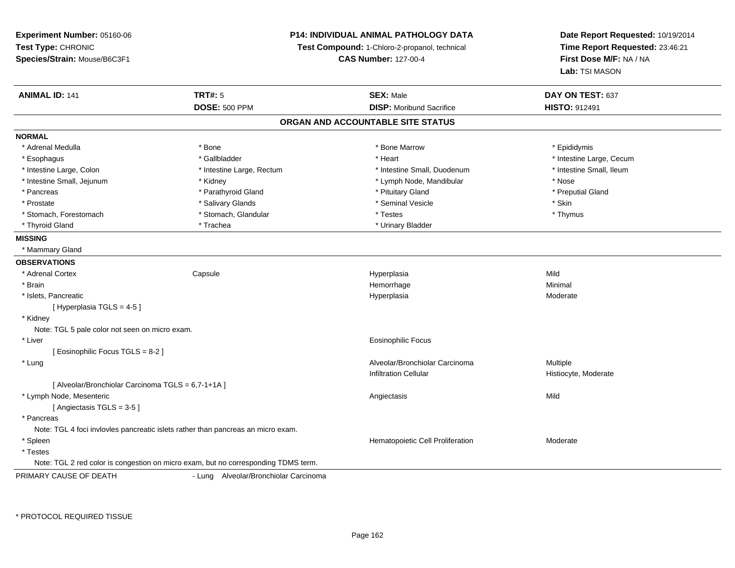**Experiment Number:** 05160-06**Test Type:** CHRONIC **Species/Strain:** Mouse/B6C3F1**P14: INDIVIDUAL ANIMAL PATHOLOGY DATATest Compound:** 1-Chloro-2-propanol, technical **CAS Number:** 127-00-4**Date Report Requested:** 10/19/2014**Time Report Requested:** 23:46:21**First Dose M/F:** NA / NA**Lab:** TSI MASON**ANIMAL ID:** 141**TRT#:** 5 **SEX:** Male **DAY ON TEST:** 637 **DOSE:** 500 PPM**DISP:** Moribund Sacrifice **HISTO:** 912491 **ORGAN AND ACCOUNTABLE SITE STATUSNORMAL**\* Adrenal Medulla \* Adrenal Medulla \* \* The matter of the state of the state of the Marrow \* Bone Marrow \* Adrenal Medulla \* Epididymis \* Epididymis \* Bone Marrow \* Adrenal Medulla \* Epididymis \* Epididymis \* Epididymis \* Epididymis \* Epidi \* Esophagus \* https://www.fragustage.com/web/2019/heart \* Heart \* Heart \* Heart \* Intestine Large, Cecum \* Intestine Large, Cecum \* Gallbladder \* Callbladder \* 11 and 12 and 12 and 12 and 12 and 12 and 12 and 12 and 12 and \* Intestine Small. Ileum \* Intestine Large, Colon \* Intestine Large, Rectum \* Intestine Small, Duodenum \* Intestine Small, Duodenum \* Intestine Small, Jejunum \* Kidney \* Lymph Node, Mandibular \* Nose\* Preputial Gland \* Pancreas \* \* Parathyroid Gland \* \* Parathyroid Gland \* \* Pituitary Gland \* \* Preputial Gland \* \* Preputial Gland \* Prostate \* \* Salivary Glands \* \* Salivary Glands \* \* Seminal Vesicle \* \* \* Seminal Yestrich \* \* Skin \* \* Skin \* Thymus \* Stomach, Forestomach \* Testes \* Stomach, Glandular \* Testes \* Testes \* Testes \* Testes \* Testes \* Testes \* T \* Thyroid Gland \* Trachea \* Trachea \* Trachea \* Urinary Bladder **MISSING** \* Mammary Gland**OBSERVATIONS** \* Adrenal Cortex**Capsule**  Hyperplasia Mild \* Brainn and the state of the state of the state of the state of the Minimal Section 1, the Minimal Section 1, the Minimal Section 1, the state of the state of the state of the state of the state of the state of the state of the \* Islets, Pancreaticc and the contract of the contract of the contract of the contract of the contract of the contract of the contract of the contract of the contract of the contract of the contract of the contract of the contract of the cont Hyperplasia eta alderate eta alderate eta alderate eta alderate eta alderate eta alderate eta alderate  $[$  Hyperplasia TGLS = 4-5  $]$  \* Kidney Note: TGL 5 pale color not seen on micro exam. \* Liver Eosinophilic Focus[ Eosinophilic Focus TGLS = 8-2 ] \* LungAlveolar/Bronchiolar Carcinoma Multiple Infiltration Cellular Histiocyte, Moderate[ Alveolar/Bronchiolar Carcinoma TGLS = 6,7-1+1A ] \* Lymph Node, Mesenteric Angiectasis Mild[ Angiectasis TGLS = 3-5 ] \* Pancreas Note: TGL 4 foci invlovles pancreatic islets rather than pancreas an micro exam. \* SpleenHematopoietic Cell Proliferation Moderate \* Testes Note: TGL 2 red color is congestion on micro exam, but no corresponding TDMS term.PRIMARY CAUSE OF DEATH- Lung Alveolar/Bronchiolar Carcinoma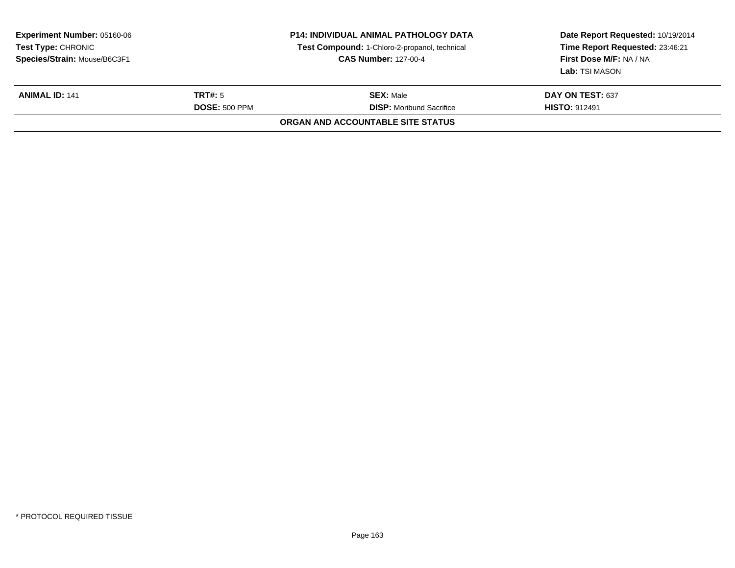| <b>Experiment Number: 05160-06</b><br>Test Type: CHRONIC<br>Species/Strain: Mouse/B6C3F1<br><b>TRT#:</b> 5<br><b>ANIMAL ID: 141</b><br><b>DOSE: 500 PPM</b> |  | <b>P14: INDIVIDUAL ANIMAL PATHOLOGY DATA</b><br>Test Compound: 1-Chloro-2-propanol, technical<br><b>CAS Number: 127-00-4</b> | Date Report Requested: 10/19/2014<br>Time Report Requested: 23:46:21<br>First Dose M/F: NA / NA<br>Lab: TSI MASON<br><b>DAY ON TEST: 637</b><br><b>HISTO: 912491</b> |
|-------------------------------------------------------------------------------------------------------------------------------------------------------------|--|------------------------------------------------------------------------------------------------------------------------------|----------------------------------------------------------------------------------------------------------------------------------------------------------------------|
|                                                                                                                                                             |  | <b>SEX:</b> Male<br><b>DISP:</b> Moribund Sacrifice                                                                          |                                                                                                                                                                      |
|                                                                                                                                                             |  | ORGAN AND ACCOUNTABLE SITE STATUS                                                                                            |                                                                                                                                                                      |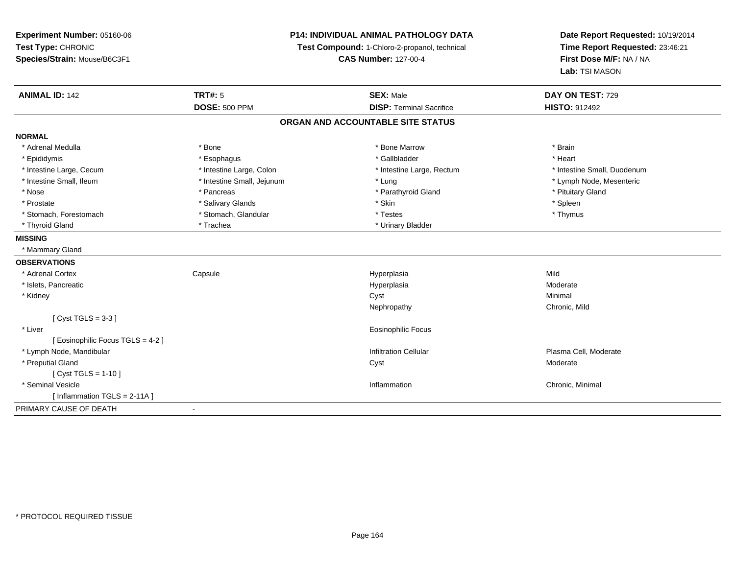| Experiment Number: 05160-06       | <b>P14: INDIVIDUAL ANIMAL PATHOLOGY DATA</b><br>Test Compound: 1-Chloro-2-propanol, technical |                                   | Date Report Requested: 10/19/2014 |  |
|-----------------------------------|-----------------------------------------------------------------------------------------------|-----------------------------------|-----------------------------------|--|
| Test Type: CHRONIC                |                                                                                               |                                   | Time Report Requested: 23:46:21   |  |
| Species/Strain: Mouse/B6C3F1      |                                                                                               | <b>CAS Number: 127-00-4</b>       | First Dose M/F: NA / NA           |  |
|                                   |                                                                                               |                                   | Lab: TSI MASON                    |  |
| <b>ANIMAL ID: 142</b>             | <b>TRT#: 5</b>                                                                                | <b>SEX: Male</b>                  | DAY ON TEST: 729                  |  |
|                                   | <b>DOSE: 500 PPM</b>                                                                          | <b>DISP: Terminal Sacrifice</b>   | <b>HISTO: 912492</b>              |  |
|                                   |                                                                                               | ORGAN AND ACCOUNTABLE SITE STATUS |                                   |  |
| <b>NORMAL</b>                     |                                                                                               |                                   |                                   |  |
| * Adrenal Medulla                 | * Bone                                                                                        | * Bone Marrow                     | * Brain                           |  |
| * Epididymis                      | * Esophagus                                                                                   | * Gallbladder                     | * Heart                           |  |
| * Intestine Large, Cecum          | * Intestine Large, Colon                                                                      | * Intestine Large, Rectum         | * Intestine Small, Duodenum       |  |
| * Intestine Small, Ileum          | * Intestine Small, Jejunum                                                                    | * Lung                            | * Lymph Node, Mesenteric          |  |
| * Nose                            | * Pancreas                                                                                    | * Parathyroid Gland               | * Pituitary Gland                 |  |
| * Prostate                        | * Salivary Glands                                                                             | * Skin                            | * Spleen                          |  |
| * Stomach, Forestomach            | * Stomach, Glandular                                                                          | * Testes                          | * Thymus                          |  |
| * Thyroid Gland                   | * Trachea                                                                                     | * Urinary Bladder                 |                                   |  |
| <b>MISSING</b>                    |                                                                                               |                                   |                                   |  |
| * Mammary Gland                   |                                                                                               |                                   |                                   |  |
| <b>OBSERVATIONS</b>               |                                                                                               |                                   |                                   |  |
| * Adrenal Cortex                  | Capsule                                                                                       | Hyperplasia                       | Mild                              |  |
| * Islets, Pancreatic              |                                                                                               | Hyperplasia                       | Moderate                          |  |
| * Kidney                          |                                                                                               | Cyst                              | Minimal                           |  |
|                                   |                                                                                               | Nephropathy                       | Chronic, Mild                     |  |
| [Cyst TGLS = $3-3$ ]              |                                                                                               |                                   |                                   |  |
| * Liver                           |                                                                                               | Eosinophilic Focus                |                                   |  |
| [ Eosinophilic Focus TGLS = 4-2 ] |                                                                                               |                                   |                                   |  |
| * Lymph Node, Mandibular          |                                                                                               | <b>Infiltration Cellular</b>      | Plasma Cell, Moderate             |  |
| * Preputial Gland                 |                                                                                               | Cyst                              | Moderate                          |  |
| [ $Cyst TGLS = 1-10$ ]            |                                                                                               |                                   |                                   |  |
| * Seminal Vesicle                 |                                                                                               | Inflammation                      | Chronic, Minimal                  |  |
| [ Inflammation TGLS = 2-11A ]     |                                                                                               |                                   |                                   |  |
| PRIMARY CAUSE OF DEATH            |                                                                                               |                                   |                                   |  |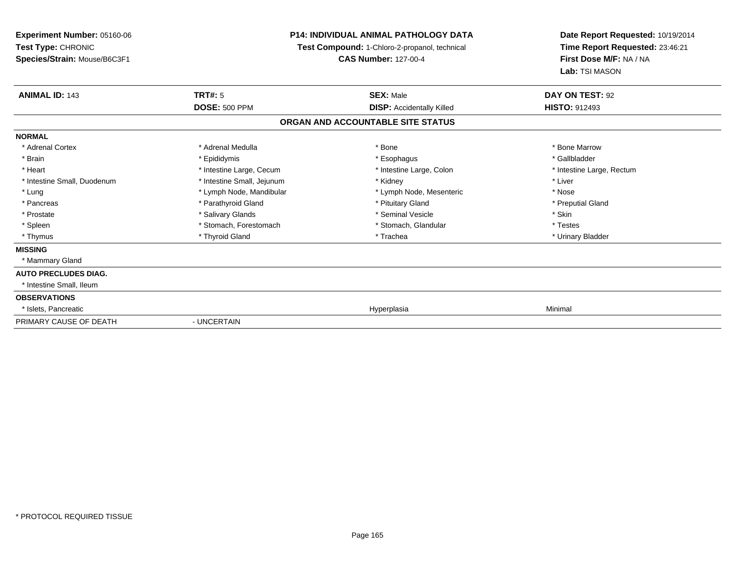**Experiment Number:** 05160-06**Test Type:** CHRONIC **Species/Strain:** Mouse/B6C3F1**P14: INDIVIDUAL ANIMAL PATHOLOGY DATA Test Compound:** 1-Chloro-2-propanol, technical **CAS Number:** 127-00-4**Date Report Requested:** 10/19/2014**Time Report Requested:** 23:46:21**First Dose M/F:** NA / NA**Lab:** TSI MASON**ANIMAL ID:** 143**TRT#:** 5 **SEX:** Male **DAY ON TEST:** 92 **DOSE:** 500 PPM**DISP:** Accidentally Killed **HISTO:** 912493 **ORGAN AND ACCOUNTABLE SITE STATUSNORMAL**\* Adrenal Cortex \* Adrenal Medulla \* Adrenal Medulla \* Bone \* Bone \* Bone \* Bone \* Bone Marrow \* Gallbladder \* Brain \* Allen the state of the state of the state of the state of the state of the state of the state of the state of the state of the state of the state of the state of the state of the state of the state of the state o \* Heart **\*** Intestine Large, Cecum \* Intestine Large, Cecum \* Intestine Large, Colon \* <sup>\*</sup> Intestine Large, Rectum \* Intestine Small, Duodenum \* Intestine Small, Jejunum \* Kidney \* Liver\* Lung \* Lymph Node, Mandibular \* Nose \* Lymph Node, Mesenteric \* Nose \* Nose \* Preputial Gland \* Pancreas \* \* Parathyroid Gland \* \* Parathyroid Gland \* \* Pituitary Gland \* \* Preputial Gland \* \* Preputial Gland \* Prostate \* The state \* Salivary Glands \* Seminal Vesicle \* Seminal Vesicle \* Skin \* Skin \* Skin \* Skin \* Skin \* Testes \* Spleen \* Stomach, Forestomach \* Stomach, Spleen \* Stomach, Glandular \* Testestess \* Stomach, Glandular \* Urinary Bladder \* Thymus \* Thyroid Gland \* Trachea \* Urinary Bladder \* **MISSING** \* Mammary Gland**AUTO PRECLUDES DIAG.** \* Intestine Small, Ileum**OBSERVATIONS** \* Islets, Pancreaticc and the contract of the contract of the contract of the contract of the contract of the contract of the contract of the contract of the contract of the contract of the contract of the contract of the contract of the cont a Minimal PRIMARY CAUSE OF DEATH- UNCERTAIN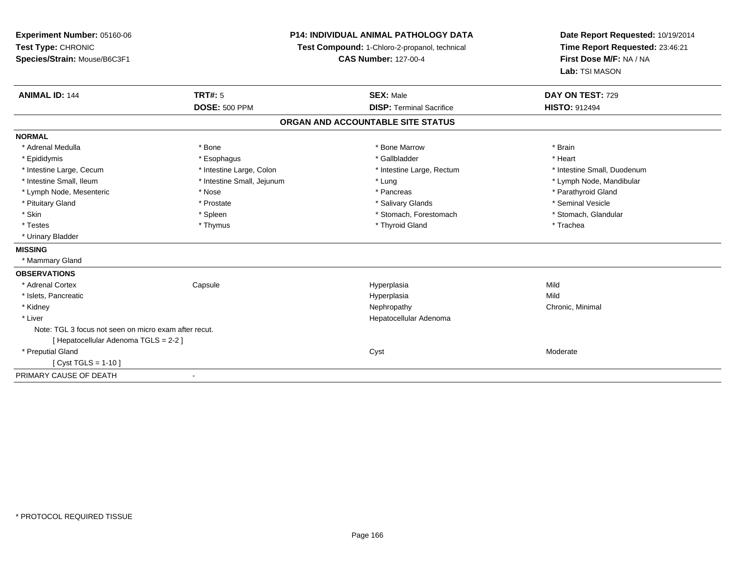| <b>Experiment Number: 05160-06</b>                    | <b>P14: INDIVIDUAL ANIMAL PATHOLOGY DATA</b> |                                               | Date Report Requested: 10/19/2014                          |  |
|-------------------------------------------------------|----------------------------------------------|-----------------------------------------------|------------------------------------------------------------|--|
| Test Type: CHRONIC                                    |                                              | Test Compound: 1-Chloro-2-propanol, technical | Time Report Requested: 23:46:21<br>First Dose M/F: NA / NA |  |
| Species/Strain: Mouse/B6C3F1                          |                                              | <b>CAS Number: 127-00-4</b>                   |                                                            |  |
|                                                       |                                              |                                               | Lab: TSI MASON                                             |  |
| <b>ANIMAL ID: 144</b>                                 | TRT#: 5                                      | <b>SEX: Male</b>                              | DAY ON TEST: 729                                           |  |
|                                                       | <b>DOSE: 500 PPM</b>                         | <b>DISP: Terminal Sacrifice</b>               | <b>HISTO: 912494</b>                                       |  |
|                                                       |                                              | ORGAN AND ACCOUNTABLE SITE STATUS             |                                                            |  |
| <b>NORMAL</b>                                         |                                              |                                               |                                                            |  |
| * Adrenal Medulla                                     | * Bone                                       | * Bone Marrow                                 | * Brain                                                    |  |
| * Epididymis                                          | * Esophagus                                  | * Gallbladder                                 | * Heart                                                    |  |
| * Intestine Large, Cecum                              | * Intestine Large, Colon                     | * Intestine Large, Rectum                     | * Intestine Small, Duodenum                                |  |
| * Intestine Small, Ileum                              | * Intestine Small, Jejunum                   | * Lung                                        | * Lymph Node, Mandibular                                   |  |
| * Lymph Node, Mesenteric                              | * Nose                                       | * Pancreas                                    | * Parathyroid Gland                                        |  |
| * Pituitary Gland                                     | * Prostate                                   | * Salivary Glands                             | * Seminal Vesicle                                          |  |
| * Skin                                                | * Spleen                                     | * Stomach, Forestomach                        | * Stomach, Glandular                                       |  |
| * Testes                                              | * Thymus                                     | * Thyroid Gland                               | * Trachea                                                  |  |
| * Urinary Bladder                                     |                                              |                                               |                                                            |  |
| <b>MISSING</b>                                        |                                              |                                               |                                                            |  |
| * Mammary Gland                                       |                                              |                                               |                                                            |  |
| <b>OBSERVATIONS</b>                                   |                                              |                                               |                                                            |  |
| * Adrenal Cortex                                      | Capsule                                      | Hyperplasia                                   | Mild                                                       |  |
| * Islets, Pancreatic                                  |                                              | Hyperplasia                                   | Mild                                                       |  |
| * Kidney                                              |                                              | Nephropathy                                   | Chronic, Minimal                                           |  |
| * Liver                                               |                                              | Hepatocellular Adenoma                        |                                                            |  |
| Note: TGL 3 focus not seen on micro exam after recut. |                                              |                                               |                                                            |  |
| [ Hepatocellular Adenoma TGLS = 2-2 ]                 |                                              |                                               |                                                            |  |
| * Preputial Gland                                     |                                              | Cyst                                          | Moderate                                                   |  |
| [ Cyst TGLS = $1-10$ ]                                |                                              |                                               |                                                            |  |
| PRIMARY CAUSE OF DEATH                                |                                              |                                               |                                                            |  |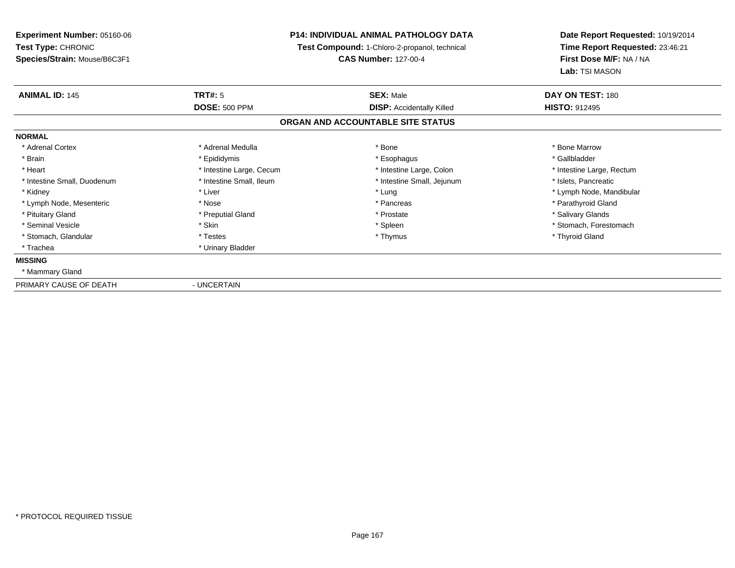**Experiment Number:** 05160-06**Test Type:** CHRONIC **Species/Strain:** Mouse/B6C3F1**P14: INDIVIDUAL ANIMAL PATHOLOGY DATA Test Compound:** 1-Chloro-2-propanol, technical **CAS Number:** 127-00-4**Date Report Requested:** 10/19/2014**Time Report Requested:** 23:46:21**First Dose M/F:** NA / NA**Lab:** TSI MASON**ANIMAL ID:** 145**TRT#:** 5 **SEX:** Male **DAY ON TEST:** 180 **DOSE:** 500 PPM**DISP:** Accidentally Killed **HISTO:** 912495 **ORGAN AND ACCOUNTABLE SITE STATUSNORMAL**\* Adrenal Cortex \* Adrenal Medulla \* Adrenal Medulla \* Bone \* Bone \* Bone \* Bone \* Bone Marrow \* Gallbladder \* Brain \* Allen the state of the state of the state of the state of the state of the state of the state of the state of the state of the state of the state of the state of the state of the state of the state of the state o \* Heart **\*** Intestine Large, Cecum \* Intestine Large, Cecum \* Intestine Large, Colon \* <sup>\*</sup> Intestine Large, Rectum \* Intestine Small, Duodenum \* Intestine Small, Ileum \* 1ntestine Small, Intestine Small, Jejunum \* Islets, Pancreatic \* Kidney \* Noting the second term of the second term of the second term of the second term of the second term of terms and term of terms of terms and terms terms of terms of terms of terms of terms of terms of terms of ter \* Lymph Node, Mesenteric \* The state of the state of the state of the state of the state of the state of the state of the state of the state of the state of the state of the state of the state of the state of the state of \* Pituitary Gland \* \* Then the state \* Preputial Gland \* Prosection \* Prostate \* \* Salivary Glands \* Salivary Glands \* Salivary Glands \* Salivary Glands \* Salivary Glands \* Salivary Glands \* Salivary Glands \* Salivary Glan \* Seminal Vesicle \* The state of the set of the set of the set of the set of the set of the set of the set of the set of the set of the set of the set of the set of the set of the set of the set of the set of the set of th \* Stomach, Glandular \* \* \* Thyroid Glandular \* Thestes \* \* Thymus \* Thymus \* Thyroid Glandular \* Thyroid Gland \* Trachea \* Urinary Bladder**MISSING** \* Mammary GlandPRIMARY CAUSE OF DEATH- UNCERTAIN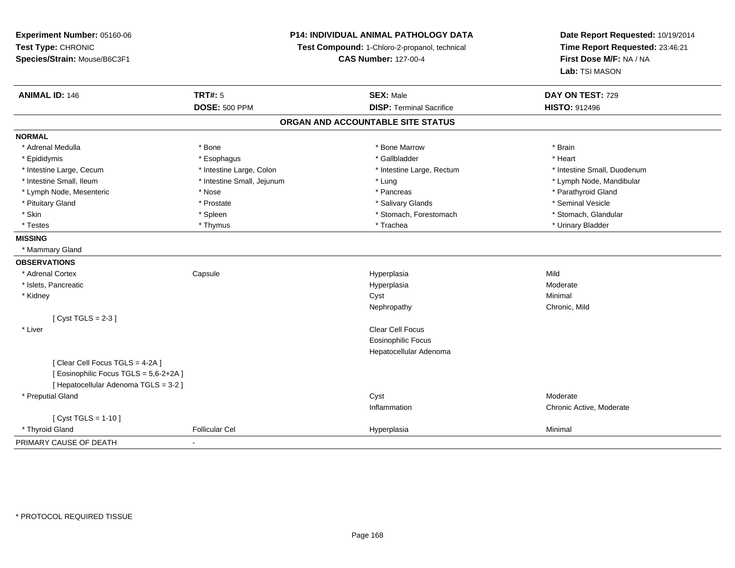**Experiment Number:** 05160-06**Test Type:** CHRONIC **Species/Strain:** Mouse/B6C3F1**P14: INDIVIDUAL ANIMAL PATHOLOGY DATATest Compound:** 1-Chloro-2-propanol, technical **CAS Number:** 127-00-4**Date Report Requested:** 10/19/2014**Time Report Requested:** 23:46:21**First Dose M/F:** NA / NA**Lab:** TSI MASON**ANIMAL ID:** 146**TRT#:** 5 **SEX:** Male **DAY ON TEST:** 729 **DOSE:** 500 PPM**DISP:** Terminal Sacrifice **HISTO:** 912496 **ORGAN AND ACCOUNTABLE SITE STATUSNORMAL**\* Adrenal Medulla \* \* Annual Medulla \* Brain \* Bone \* \* Bone Marrow \* Bone Marrow \* \* Brain \* Brain \* Brain \* Brain \* Brain \* Brain \* Brain \* Brain \* Brain \* Brain \* Brain \* Brain \* Brain \* Brain \* Brain \* Brain \* Brain \* \* Heart \* Epididymis \* Esophagus \* Gallbladder \* Heart\* Intestine Large, Cecum \* Intestine Large, Colon \* Intestine Large, Thestine Large, Rectum \* Intestine Small, Duodenum \* Intestine Small, Ileum \* Intestine Small, Jejunum \* Lung \* Lymph Node, Mandibular\* Lymph Node, Mesenteric \* The state of the state of the state of the state of the state of the state of the state of the state of the state of the state of the state of the state of the state of the state of the state of \* Pituitary Gland \* \* \* \* Prostate \* \* Prostate \* \* Salivary Glands \* \* Salivary Glands \* \* Seminal Vesicle \* Stomach. Glandular \* Skin \* Stomach, Forestomach \* Spleen \* Stomach, Stomach, Forestomach \* Stomach, Forestomach \* Testes \* Thymus \* Trachea \* Urinary Bladder **MISSING** \* Mammary Gland**OBSERVATIONS** \* Adrenal Cortex**Capsule**  Hyperplasia Mild \* Islets, Pancreaticc and the contract of the contract of the contract of the contract of the contract of the contract of the contract of the contract of the contract of the contract of the contract of the contract of the contract of the cont a **Moderate**  \* Kidneyy the control of the control of the control of the control of the control of the control of the control of the control of the control of the control of the control of the control of the control of the control of the contro Nephropathy Chronic, Mild[ Cyst TGLS = 2-3 ] \* Liverr and the contract of the contract of the contract of the contract of the contract of the contract of the contract of the contract of the contract of the contract of the contract of the contract of the contract of the cont Eosinophilic Focus Hepatocellular Adenoma[ Clear Cell Focus TGLS = 4-2A ][ Eosinophilic Focus TGLS = 5,6-2+2A ][ Hepatocellular Adenoma TGLS = 3-2 ] \* Preputial Glandd and the control of the control of the control of the control of the control of the control of the control of the control of the control of the control of the control of the control of the control of the control of the co Inflammation Chronic Active, Moderate [ Cyst TGLS = 1-10 ] \* Thyroid Gland Follicular Cel Hyperplasia Minimal PRIMARY CAUSE OF DEATH-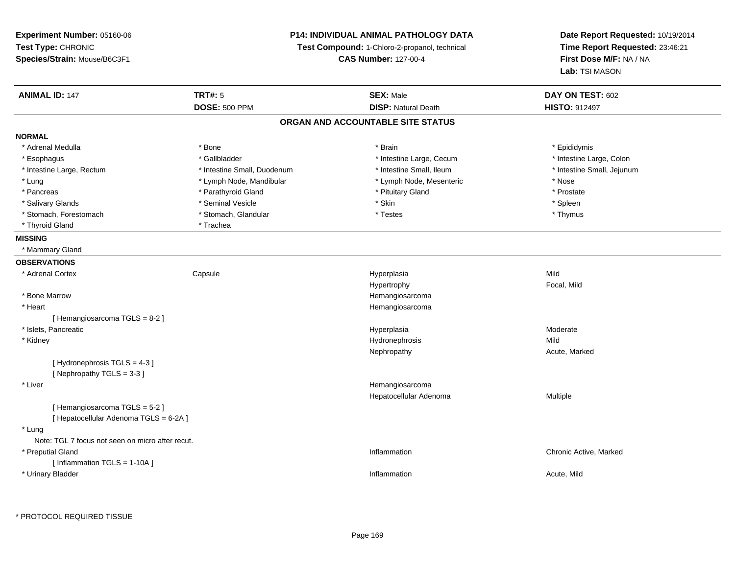# **P14: INDIVIDUAL ANIMAL PATHOLOGY DATA**

**Test Compound:** 1-Chloro-2-propanol, technical

**CAS Number:** 127-00-4

**Date Report Requested:** 10/19/2014**Time Report Requested:** 23:46:21**First Dose M/F:** NA / NA**Lab:** TSI MASON

| <b>ANIMAL ID: 147</b>                            | <b>TRT#: 5</b>              | <b>SEX: Male</b>                  | DAY ON TEST: 602           |
|--------------------------------------------------|-----------------------------|-----------------------------------|----------------------------|
|                                                  | <b>DOSE: 500 PPM</b>        | <b>DISP: Natural Death</b>        | <b>HISTO: 912497</b>       |
|                                                  |                             | ORGAN AND ACCOUNTABLE SITE STATUS |                            |
| <b>NORMAL</b>                                    |                             |                                   |                            |
| * Adrenal Medulla                                | * Bone                      | * Brain                           | * Epididymis               |
| * Esophagus                                      | * Gallbladder               | * Intestine Large, Cecum          | * Intestine Large, Colon   |
| * Intestine Large, Rectum                        | * Intestine Small, Duodenum | * Intestine Small, Ileum          | * Intestine Small, Jejunum |
| * Lung                                           | * Lymph Node, Mandibular    | * Lymph Node, Mesenteric          | * Nose                     |
| * Pancreas                                       | * Parathyroid Gland         | * Pituitary Gland                 | * Prostate                 |
| * Salivary Glands                                | * Seminal Vesicle           | * Skin                            | * Spleen                   |
| * Stomach, Forestomach                           | * Stomach, Glandular        | * Testes                          | * Thymus                   |
| * Thyroid Gland                                  | * Trachea                   |                                   |                            |
| <b>MISSING</b>                                   |                             |                                   |                            |
| * Mammary Gland                                  |                             |                                   |                            |
| <b>OBSERVATIONS</b>                              |                             |                                   |                            |
| * Adrenal Cortex                                 | Capsule                     | Hyperplasia                       | Mild                       |
|                                                  |                             | Hypertrophy                       | Focal, Mild                |
| * Bone Marrow                                    |                             | Hemangiosarcoma                   |                            |
| * Heart                                          |                             | Hemangiosarcoma                   |                            |
| [Hemangiosarcoma TGLS = 8-2]                     |                             |                                   |                            |
| * Islets, Pancreatic                             |                             | Hyperplasia                       | Moderate                   |
| * Kidney                                         |                             | Hydronephrosis                    | Mild                       |
|                                                  |                             | Nephropathy                       | Acute, Marked              |
| [Hydronephrosis TGLS = 4-3]                      |                             |                                   |                            |
| [Nephropathy TGLS = 3-3]                         |                             |                                   |                            |
| * Liver                                          |                             | Hemangiosarcoma                   |                            |
|                                                  |                             | Hepatocellular Adenoma            | Multiple                   |
| [Hemangiosarcoma TGLS = 5-2]                     |                             |                                   |                            |
| [ Hepatocellular Adenoma TGLS = 6-2A ]           |                             |                                   |                            |
| * Lung                                           |                             |                                   |                            |
| Note: TGL 7 focus not seen on micro after recut. |                             |                                   |                            |
| * Preputial Gland                                |                             | Inflammation                      | Chronic Active, Marked     |
| [ Inflammation TGLS = 1-10A ]                    |                             |                                   |                            |
| * Urinary Bladder                                |                             | Inflammation                      | Acute, Mild                |
|                                                  |                             |                                   |                            |

\* PROTOCOL REQUIRED TISSUE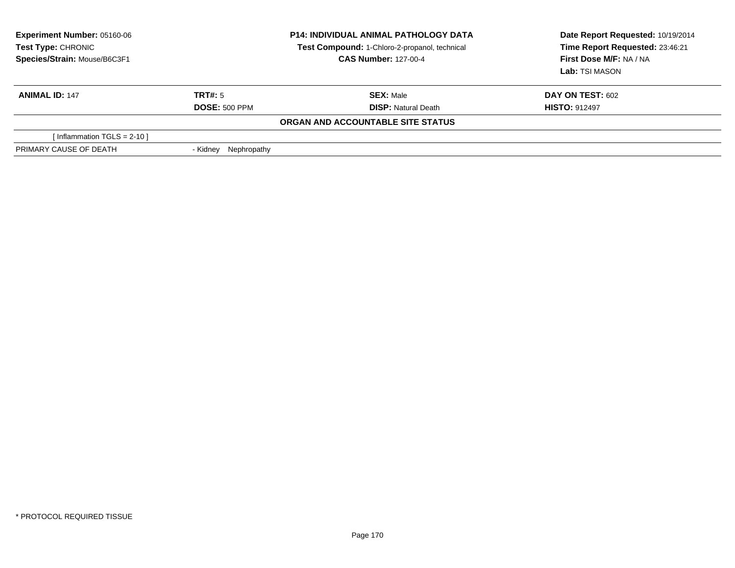| <b>Experiment Number: 05160-06</b><br>Test Type: CHRONIC<br>Species/Strain: Mouse/B6C3F1 |                         | <b>P14: INDIVIDUAL ANIMAL PATHOLOGY DATA</b><br>Test Compound: 1-Chloro-2-propanol, technical<br><b>CAS Number: 127-00-4</b> | Date Report Requested: 10/19/2014<br>Time Report Requested: 23:46:21<br>First Dose M/F: NA / NA<br>Lab: TSI MASON |
|------------------------------------------------------------------------------------------|-------------------------|------------------------------------------------------------------------------------------------------------------------------|-------------------------------------------------------------------------------------------------------------------|
| <b>ANIMAL ID: 147</b>                                                                    | TRT#: 5                 | <b>SEX: Male</b>                                                                                                             | <b>DAY ON TEST: 602</b>                                                                                           |
|                                                                                          | <b>DOSE: 500 PPM</b>    | <b>DISP: Natural Death</b>                                                                                                   | <b>HISTO: 912497</b>                                                                                              |
|                                                                                          |                         | ORGAN AND ACCOUNTABLE SITE STATUS                                                                                            |                                                                                                                   |
| [Inflammation TGLS = $2-10$ ]                                                            |                         |                                                                                                                              |                                                                                                                   |
| PRIMARY CAUSE OF DEATH                                                                   | Nephropathy<br>- Kidnev |                                                                                                                              |                                                                                                                   |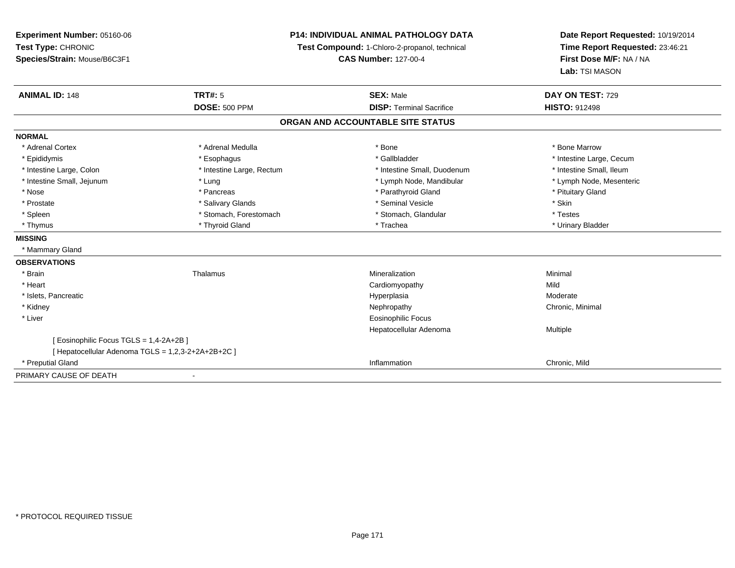**Experiment Number:** 05160-06**Test Type:** CHRONIC **Species/Strain:** Mouse/B6C3F1**P14: INDIVIDUAL ANIMAL PATHOLOGY DATATest Compound:** 1-Chloro-2-propanol, technical **CAS Number:** 127-00-4**Date Report Requested:** 10/19/2014**Time Report Requested:** 23:46:21**First Dose M/F:** NA / NA**Lab:** TSI MASON**ANIMAL ID:** 148**TRT#:** 5 **SEX:** Male **DAY ON TEST:** 729 **DOSE:** 500 PPM**DISP:** Terminal Sacrifice **HISTO:** 912498 **ORGAN AND ACCOUNTABLE SITE STATUSNORMAL**\* Adrenal Cortex \* Adrenal Medulla \* Adrenal Medulla \* Bone \* Bone \* Bone \* Bone \* Bone Marrow \* Epididymis \* https://www.fragusta.com/web/2019/to/solution.com/web/2019/to/solution/state/solution/text/intestine Large, Cecum \* Intestine Large, Cecum \* Large, Cecum \* Large, Cecum \* Large, Cecum \* Large, Cecum \* Large, \* Intestine Small. Ileum \* Intestine Large, Colon \* Intestine Large, Rectum \* Intestine Small, Duodenum \* Intestine Small, Duodenum \* Lymph Node, Mesenteric \* Intestine Small, Jejunum \* The matter of the state of the state of the state of the state of the state of the state of the state of the state of the state of the state of the state of the state of the state of the state \* Nose \* Pancreas \* Pancreas \* Pancreas \* Parathyroid Gland \* Parathyroid Gland \* Pituitary Gland \* Pituitary Gland \* Prostate \* \* Salivary Glands \* \* Salivary Glands \* \* Seminal Vesicle \* \* \* Seminal Yestrich \* \* Skin \* \* Skin \* Testes \* Spleen \* Stomach, Forestomach \* Stomach, Forestomach \* Stomach, Glandular \* Stomach, Glandular \* Urinary Bladder \* Thymus \* Thyroid Gland \* Trachea \* Urinary Bladder \* **MISSING** \* Mammary Gland**OBSERVATIONS** \* Brainn and the matter of the Thalamus and the Minimal of the Minimal of the Minimal of the Minimal of the Minimal o<br>Thalamus and the Minimal of the Minimal of the Minimal of the Minimal of the Minimal of the Minimal of the Min \* Heart Cardiomyopathyy Mild a Moderate \* Islets, Pancreaticc and the contract of the contract of the contract of the contract of the contract of the contract of the contract of the contract of the contract of the contract of the contract of the contract of the contract of the cont \* Kidneyy the controller of the controller of the controller of the Nephropathy Chronic, Minimal (Chronic, Minimal  $\mu$  \* Liver Eosinophilic Focus Hepatocellular Adenoma Multiple [ Eosinophilic Focus TGLS = 1,4-2A+2B ][ Hepatocellular Adenoma TGLS = 1,2,3-2+2A+2B+2C ] \* Preputial Gland Inflammation Chronic, Mild PRIMARY CAUSE OF DEATH

-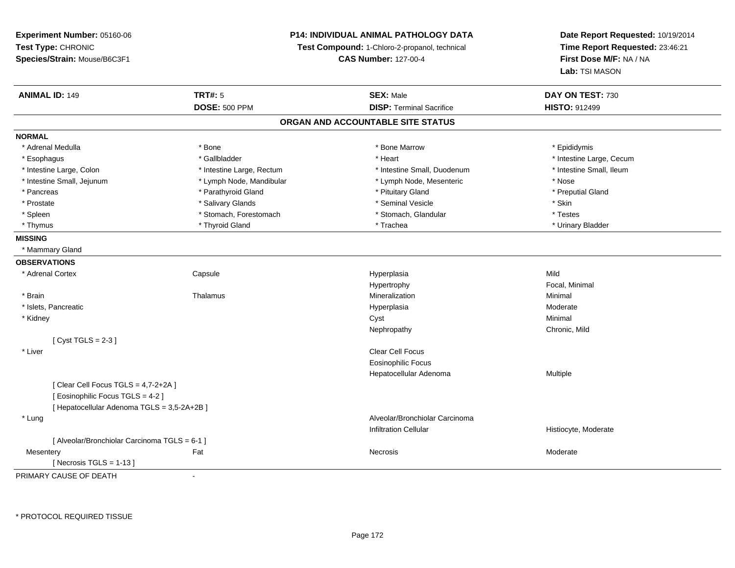# **P14: INDIVIDUAL ANIMAL PATHOLOGY DATA**

**Test Compound:** 1-Chloro-2-propanol, technical

**CAS Number:** 127-00-4

**Date Report Requested:** 10/19/2014**Time Report Requested:** 23:46:21**First Dose M/F:** NA / NA**Lab:** TSI MASON

| <b>ANIMAL ID: 149</b>                         | <b>TRT#: 5</b>            | <b>SEX: Male</b>                  | DAY ON TEST: 730         |  |
|-----------------------------------------------|---------------------------|-----------------------------------|--------------------------|--|
|                                               | <b>DOSE: 500 PPM</b>      | <b>DISP: Terminal Sacrifice</b>   | <b>HISTO: 912499</b>     |  |
|                                               |                           | ORGAN AND ACCOUNTABLE SITE STATUS |                          |  |
| <b>NORMAL</b>                                 |                           |                                   |                          |  |
| * Adrenal Medulla                             | * Bone                    | * Bone Marrow                     | * Epididymis             |  |
| * Esophagus                                   | * Gallbladder             | * Heart                           | * Intestine Large, Cecum |  |
| * Intestine Large, Colon                      | * Intestine Large, Rectum | * Intestine Small, Duodenum       | * Intestine Small, Ileum |  |
| * Intestine Small, Jejunum                    | * Lymph Node, Mandibular  | * Lymph Node, Mesenteric          | * Nose                   |  |
| * Pancreas                                    | * Parathyroid Gland       | * Pituitary Gland                 | * Preputial Gland        |  |
| * Prostate                                    | * Salivary Glands         | * Seminal Vesicle                 | * Skin                   |  |
| * Spleen                                      | * Stomach, Forestomach    | * Stomach, Glandular              | * Testes                 |  |
| * Thymus                                      | * Thyroid Gland           | * Trachea                         | * Urinary Bladder        |  |
| <b>MISSING</b>                                |                           |                                   |                          |  |
| * Mammary Gland                               |                           |                                   |                          |  |
| <b>OBSERVATIONS</b>                           |                           |                                   |                          |  |
| * Adrenal Cortex                              | Capsule                   | Hyperplasia                       | Mild                     |  |
|                                               |                           | Hypertrophy                       | Focal, Minimal           |  |
| * Brain                                       | Thalamus                  | Mineralization                    | Minimal                  |  |
| * Islets, Pancreatic                          |                           | Hyperplasia                       | Moderate                 |  |
| * Kidney                                      |                           | Cyst                              | Minimal                  |  |
|                                               |                           | Nephropathy                       | Chronic, Mild            |  |
| [Cyst TGLS = $2-3$ ]                          |                           |                                   |                          |  |
| * Liver                                       |                           | <b>Clear Cell Focus</b>           |                          |  |
|                                               |                           | Eosinophilic Focus                |                          |  |
|                                               |                           | Hepatocellular Adenoma            | Multiple                 |  |
| [Clear Cell Focus TGLS = 4,7-2+2A]            |                           |                                   |                          |  |
| [Eosinophilic Focus TGLS = 4-2]               |                           |                                   |                          |  |
| [ Hepatocellular Adenoma TGLS = 3,5-2A+2B ]   |                           |                                   |                          |  |
| * Lung                                        |                           | Alveolar/Bronchiolar Carcinoma    |                          |  |
|                                               |                           | <b>Infiltration Cellular</b>      | Histiocyte, Moderate     |  |
| [ Alveolar/Bronchiolar Carcinoma TGLS = 6-1 ] |                           |                                   |                          |  |
| Mesentery                                     | Fat                       | Necrosis                          | Moderate                 |  |
| [Necrosis TGLS = $1-13$ ]                     |                           |                                   |                          |  |

PRIMARY CAUSE OF DEATH-

\* PROTOCOL REQUIRED TISSUE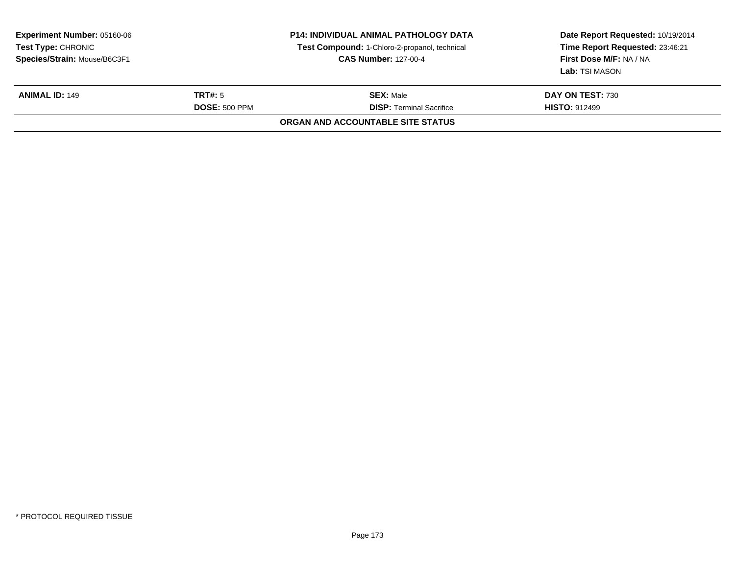| <b>Experiment Number: 05160-06</b><br>Test Type: CHRONIC<br>Species/Strain: Mouse/B6C3F1 |                                        | <b>P14: INDIVIDUAL ANIMAL PATHOLOGY DATA</b><br>Test Compound: 1-Chloro-2-propanol, technical<br><b>CAS Number: 127-00-4</b> | Date Report Requested: 10/19/2014<br>Time Report Requested: 23:46:21<br>First Dose M/F: NA / NA<br>Lab: TSI MASON |
|------------------------------------------------------------------------------------------|----------------------------------------|------------------------------------------------------------------------------------------------------------------------------|-------------------------------------------------------------------------------------------------------------------|
| <b>ANIMAL ID: 149</b>                                                                    | <b>TRT#: 5</b><br><b>DOSE: 500 PPM</b> | <b>SEX: Male</b><br><b>DISP: Terminal Sacrifice</b>                                                                          | DAY ON TEST: 730<br><b>HISTO: 912499</b>                                                                          |
|                                                                                          |                                        | ORGAN AND ACCOUNTABLE SITE STATUS                                                                                            |                                                                                                                   |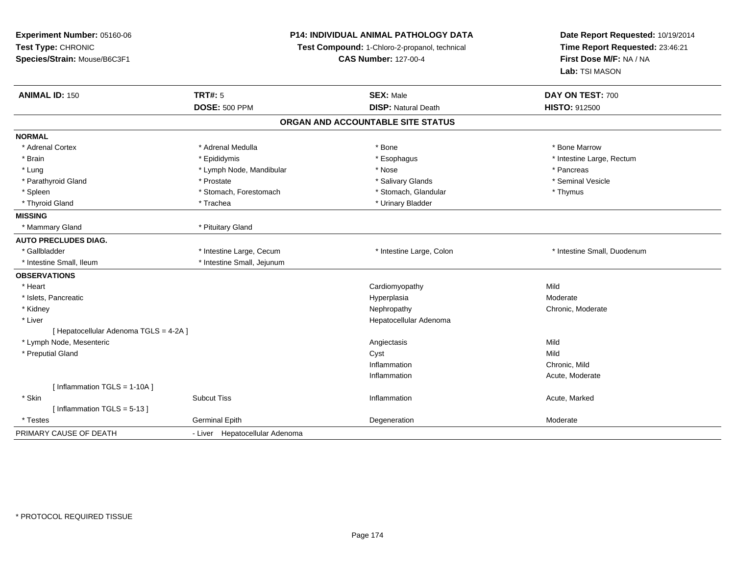| Experiment Number: 05160-06            | P14: INDIVIDUAL ANIMAL PATHOLOGY DATA<br>Test Compound: 1-Chloro-2-propanol, technical |                                   | Date Report Requested: 10/19/2014<br>Time Report Requested: 23:46:21 |
|----------------------------------------|----------------------------------------------------------------------------------------|-----------------------------------|----------------------------------------------------------------------|
| Test Type: CHRONIC                     |                                                                                        |                                   |                                                                      |
| Species/Strain: Mouse/B6C3F1           |                                                                                        | <b>CAS Number: 127-00-4</b>       | First Dose M/F: NA / NA<br>Lab: TSI MASON                            |
|                                        |                                                                                        |                                   |                                                                      |
| <b>ANIMAL ID: 150</b>                  | <b>TRT#: 5</b>                                                                         | <b>SEX: Male</b>                  | DAY ON TEST: 700                                                     |
|                                        | <b>DOSE: 500 PPM</b>                                                                   | <b>DISP: Natural Death</b>        | HISTO: 912500                                                        |
|                                        |                                                                                        | ORGAN AND ACCOUNTABLE SITE STATUS |                                                                      |
| <b>NORMAL</b>                          |                                                                                        |                                   |                                                                      |
| * Adrenal Cortex                       | * Adrenal Medulla                                                                      | * Bone                            | * Bone Marrow                                                        |
| * Brain                                | * Epididymis                                                                           | * Esophagus                       | * Intestine Large, Rectum                                            |
| * Lung                                 | * Lymph Node, Mandibular                                                               | * Nose                            | * Pancreas                                                           |
| * Parathyroid Gland                    | * Prostate                                                                             | * Salivary Glands                 | * Seminal Vesicle                                                    |
| * Spleen                               | * Stomach, Forestomach                                                                 | * Stomach, Glandular              | * Thymus                                                             |
| * Thyroid Gland                        | * Trachea                                                                              | * Urinary Bladder                 |                                                                      |
| <b>MISSING</b>                         |                                                                                        |                                   |                                                                      |
| * Mammary Gland                        | * Pituitary Gland                                                                      |                                   |                                                                      |
| <b>AUTO PRECLUDES DIAG.</b>            |                                                                                        |                                   |                                                                      |
| * Gallbladder                          | * Intestine Large, Cecum                                                               | * Intestine Large, Colon          | * Intestine Small, Duodenum                                          |
| * Intestine Small, Ileum               | * Intestine Small, Jejunum                                                             |                                   |                                                                      |
| <b>OBSERVATIONS</b>                    |                                                                                        |                                   |                                                                      |
| * Heart                                |                                                                                        | Cardiomyopathy                    | Mild                                                                 |
| * Islets, Pancreatic                   |                                                                                        | Hyperplasia                       | Moderate                                                             |
| * Kidney                               |                                                                                        | Nephropathy                       | Chronic, Moderate                                                    |
| * Liver                                |                                                                                        | Hepatocellular Adenoma            |                                                                      |
| [ Hepatocellular Adenoma TGLS = 4-2A ] |                                                                                        |                                   |                                                                      |
| * Lymph Node, Mesenteric               |                                                                                        | Angiectasis                       | Mild                                                                 |
| * Preputial Gland                      |                                                                                        | Cyst                              | Mild                                                                 |
|                                        |                                                                                        | Inflammation                      | Chronic, Mild                                                        |
|                                        |                                                                                        | Inflammation                      | Acute, Moderate                                                      |
| [ Inflammation TGLS = 1-10A ]          |                                                                                        |                                   |                                                                      |
| * Skin                                 | <b>Subcut Tiss</b>                                                                     | Inflammation                      | Acute, Marked                                                        |
| [Inflammation TGLS = $5-13$ ]          |                                                                                        |                                   |                                                                      |
| * Testes                               | <b>Germinal Epith</b>                                                                  | Degeneration                      | Moderate                                                             |
| PRIMARY CAUSE OF DEATH                 | - Liver Hepatocellular Adenoma                                                         |                                   |                                                                      |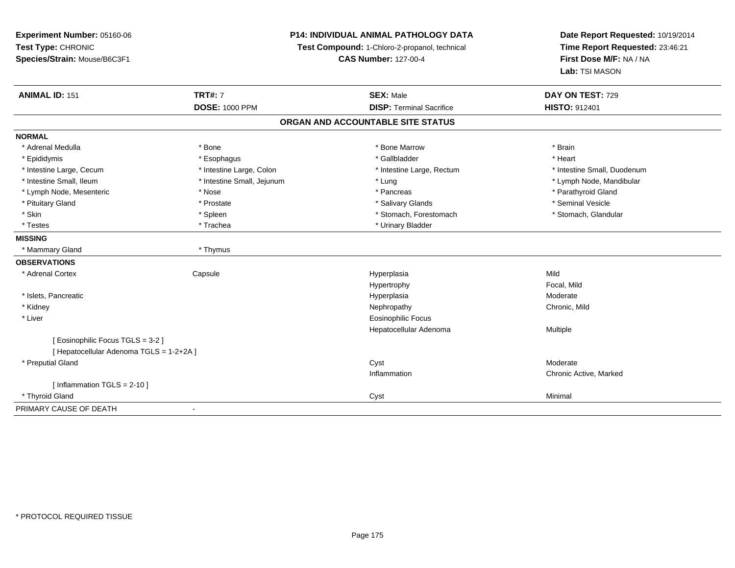| Experiment Number: 05160-06                                         | P14: INDIVIDUAL ANIMAL PATHOLOGY DATA |                                   | Date Report Requested: 10/19/2014 |  |
|---------------------------------------------------------------------|---------------------------------------|-----------------------------------|-----------------------------------|--|
| Test Type: CHRONIC<br>Test Compound: 1-Chloro-2-propanol, technical |                                       |                                   | Time Report Requested: 23:46:21   |  |
| Species/Strain: Mouse/B6C3F1                                        |                                       | <b>CAS Number: 127-00-4</b>       |                                   |  |
|                                                                     |                                       |                                   | Lab: TSI MASON                    |  |
| <b>ANIMAL ID: 151</b>                                               | <b>TRT#: 7</b>                        | <b>SEX: Male</b>                  | DAY ON TEST: 729                  |  |
|                                                                     | <b>DOSE: 1000 PPM</b>                 | <b>DISP: Terminal Sacrifice</b>   | HISTO: 912401                     |  |
|                                                                     |                                       | ORGAN AND ACCOUNTABLE SITE STATUS |                                   |  |
| <b>NORMAL</b>                                                       |                                       |                                   |                                   |  |
| * Adrenal Medulla                                                   | * Bone                                | * Bone Marrow                     | * Brain                           |  |
| * Epididymis                                                        | * Esophagus                           | * Gallbladder                     | * Heart                           |  |
| * Intestine Large, Cecum                                            | * Intestine Large, Colon              | * Intestine Large, Rectum         | * Intestine Small, Duodenum       |  |
| * Intestine Small, Ileum                                            | * Intestine Small, Jejunum            | * Lung                            | * Lymph Node, Mandibular          |  |
| * Lymph Node, Mesenteric                                            | * Nose                                | * Pancreas                        | * Parathyroid Gland               |  |
| * Pituitary Gland                                                   | * Prostate                            | * Salivary Glands                 | * Seminal Vesicle                 |  |
| * Skin                                                              | * Spleen                              | * Stomach, Forestomach            | * Stomach, Glandular              |  |
| * Testes                                                            | * Trachea                             | * Urinary Bladder                 |                                   |  |
| <b>MISSING</b>                                                      |                                       |                                   |                                   |  |
| * Mammary Gland                                                     | * Thymus                              |                                   |                                   |  |
| <b>OBSERVATIONS</b>                                                 |                                       |                                   |                                   |  |
| * Adrenal Cortex                                                    | Capsule                               | Hyperplasia                       | Mild                              |  |
|                                                                     |                                       | Hypertrophy                       | Focal, Mild                       |  |
| * Islets, Pancreatic                                                |                                       | Hyperplasia                       | Moderate                          |  |
| * Kidney                                                            |                                       | Nephropathy                       | Chronic, Mild                     |  |
| * Liver                                                             |                                       | <b>Eosinophilic Focus</b>         |                                   |  |
|                                                                     |                                       | Hepatocellular Adenoma            | Multiple                          |  |
| [ Eosinophilic Focus TGLS = 3-2 ]                                   |                                       |                                   |                                   |  |
| [ Hepatocellular Adenoma TGLS = 1-2+2A ]                            |                                       |                                   |                                   |  |
| * Preputial Gland                                                   |                                       | Cyst                              | Moderate                          |  |
|                                                                     |                                       | Inflammation                      | Chronic Active, Marked            |  |
| [ Inflammation $TGLS = 2-10$ ]                                      |                                       |                                   |                                   |  |
| * Thyroid Gland                                                     |                                       | Cyst                              | Minimal                           |  |
| PRIMARY CAUSE OF DEATH                                              | ÷,                                    |                                   |                                   |  |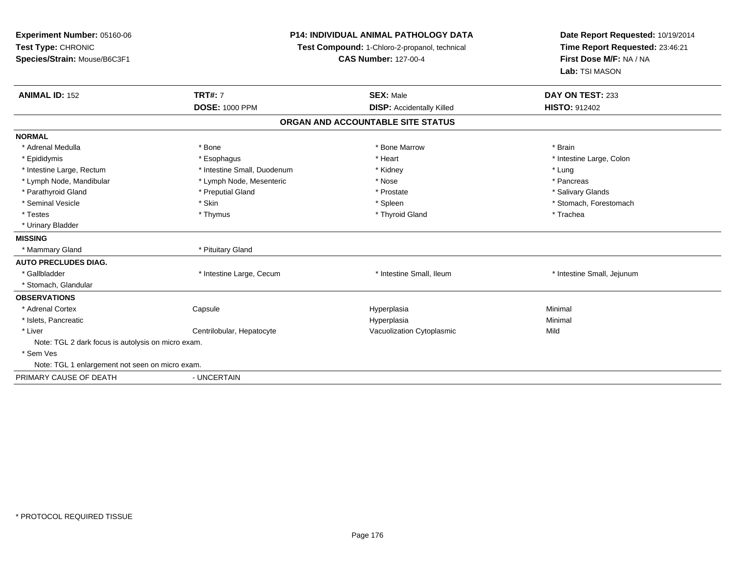| Experiment Number: 05160-06<br>Test Type: CHRONIC<br>Species/Strain: Mouse/B6C3F1 | <b>P14: INDIVIDUAL ANIMAL PATHOLOGY DATA</b><br>Test Compound: 1-Chloro-2-propanol, technical<br><b>CAS Number: 127-00-4</b> |                                   | Date Report Requested: 10/19/2014<br>Time Report Requested: 23:46:21<br>First Dose M/F: NA / NA<br>Lab: TSI MASON |
|-----------------------------------------------------------------------------------|------------------------------------------------------------------------------------------------------------------------------|-----------------------------------|-------------------------------------------------------------------------------------------------------------------|
| <b>ANIMAL ID: 152</b>                                                             | <b>TRT#: 7</b>                                                                                                               | <b>SEX: Male</b>                  | DAY ON TEST: 233<br><b>HISTO: 912402</b>                                                                          |
|                                                                                   | <b>DOSE: 1000 PPM</b>                                                                                                        | <b>DISP:</b> Accidentally Killed  |                                                                                                                   |
|                                                                                   |                                                                                                                              | ORGAN AND ACCOUNTABLE SITE STATUS |                                                                                                                   |
| <b>NORMAL</b>                                                                     |                                                                                                                              |                                   |                                                                                                                   |
| * Adrenal Medulla                                                                 | * Bone                                                                                                                       | * Bone Marrow                     | * Brain                                                                                                           |
| * Epididymis                                                                      | * Esophagus                                                                                                                  | * Heart                           | * Intestine Large, Colon                                                                                          |
| * Intestine Large, Rectum                                                         | * Intestine Small, Duodenum                                                                                                  | * Kidney                          | * Lung                                                                                                            |
| * Lymph Node, Mandibular                                                          | * Lymph Node, Mesenteric                                                                                                     | * Nose                            | * Pancreas                                                                                                        |
| * Parathyroid Gland                                                               | * Preputial Gland                                                                                                            | * Prostate                        | * Salivary Glands                                                                                                 |
| * Seminal Vesicle                                                                 | * Skin                                                                                                                       | * Spleen                          | * Stomach, Forestomach                                                                                            |
| * Testes                                                                          | * Thymus                                                                                                                     | * Thyroid Gland                   | * Trachea                                                                                                         |
| * Urinary Bladder                                                                 |                                                                                                                              |                                   |                                                                                                                   |
| <b>MISSING</b>                                                                    |                                                                                                                              |                                   |                                                                                                                   |
| * Mammary Gland                                                                   | * Pituitary Gland                                                                                                            |                                   |                                                                                                                   |
| <b>AUTO PRECLUDES DIAG.</b>                                                       |                                                                                                                              |                                   |                                                                                                                   |
| * Gallbladder                                                                     | * Intestine Large, Cecum                                                                                                     | * Intestine Small, Ileum          | * Intestine Small, Jejunum                                                                                        |
| * Stomach, Glandular                                                              |                                                                                                                              |                                   |                                                                                                                   |
| <b>OBSERVATIONS</b>                                                               |                                                                                                                              |                                   |                                                                                                                   |
| * Adrenal Cortex                                                                  | Capsule                                                                                                                      | Hyperplasia                       | Minimal                                                                                                           |
| * Islets, Pancreatic                                                              |                                                                                                                              | Hyperplasia                       | Minimal                                                                                                           |
| * Liver                                                                           | Centrilobular, Hepatocyte                                                                                                    | Vacuolization Cytoplasmic         | Mild                                                                                                              |
| Note: TGL 2 dark focus is autolysis on micro exam.                                |                                                                                                                              |                                   |                                                                                                                   |
| * Sem Ves                                                                         |                                                                                                                              |                                   |                                                                                                                   |
| Note: TGL 1 enlargement not seen on micro exam.                                   |                                                                                                                              |                                   |                                                                                                                   |
| PRIMARY CAUSE OF DEATH                                                            | - UNCERTAIN                                                                                                                  |                                   |                                                                                                                   |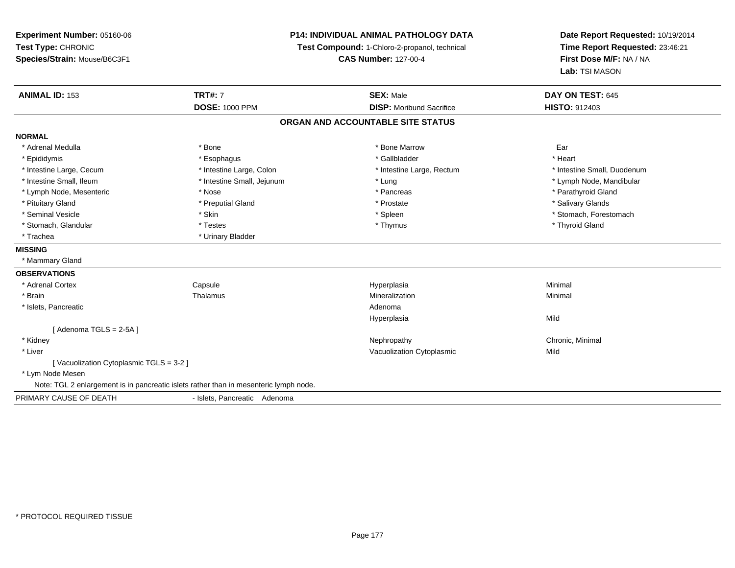**Experiment Number:** 05160-06**Test Type:** CHRONIC **Species/Strain:** Mouse/B6C3F1**P14: INDIVIDUAL ANIMAL PATHOLOGY DATATest Compound:** 1-Chloro-2-propanol, technical **CAS Number:** 127-00-4**Date Report Requested:** 10/19/2014**Time Report Requested:** 23:46:21**First Dose M/F:** NA / NA**Lab:** TSI MASON**ANIMAL ID:** 153**TRT#:** 7 **SEX:** Male **DAY ON TEST:** 645 **DOSE:** 1000 PPM **DISP:** Moribund Sacrifice **HISTO:** <sup>912403</sup> **ORGAN AND ACCOUNTABLE SITE STATUSNORMAL**\* Adrenal Medulla \* \* Bone \* Bone \* Bone \* Bone \* Bone \* Bone Marrow \* Bone Marrow \* Bone Marrow Ear \* Epididymis \* Esophagus \* Gallbladder \* Heart\* Intestine Large, Cecum \* Intestine Large, Colon \* Intestine Large, Thestine Large, Rectum \* Intestine Small, Duodenum \* Intestine Small, Ileum \* Intestine Small, Jejunum \* Lung \* Lymph Node, Mandibular\* Lymph Node, Mesenteric \* The state of the state of the state of the state of the state of the state of the state of the state of the state of the state of the state of the state of the state of the state of the state of \* Pituitary Gland \* \* Then the state \* Preputial Gland \* Prosection \* Prostate \* \* Salivary Glands \* Salivary Glands \* Salivary Glands \* Salivary Glands \* Salivary Glands \* Salivary Glands \* Salivary Glands \* Salivary Glan \* Seminal Vesicle \* The state of the set of the set of the set of the set of the set of the set of the set of the set of the set of the set of the set of the set of the set of the set of the set of the set of the set of th \* Stomach, Glandular \* Thestes \* Testes \* Thymus \* Thymus \* Thymus \* Thymus \* Thyroid Gland \* Trachea **\*** Urinary Bladder **MISSING** \* Mammary Gland**OBSERVATIONS** \* Adrenal Cortex Capsule Hyperplasia Minimal \* Brainn and the matter of the Thalamus and the Minimal of the Minimal of the Minimal of the Minimal of the Minimal o<br>Thalamus and the Minimal of the Minimal of the Minimal of the Minimal of the Minimal of the Minimal of the Min \* Islets, Pancreaticc and the contract of the contract of the contract of the contract of the contract of the contract of the contract of the contract of the contract of the contract of the contract of the contract of the contract of the cont Hyperplasiaa Mild  $[$  Adenoma TGLS = 2-5A  $]$  \* Kidneyy the controller of the controller of the controller of the Nephropathy Chronic, Minimal (Chronic, Minimal  $\mu$  \* Liver Vacuolization Cytoplasmicc Mild [ Vacuolization Cytoplasmic TGLS = 3-2 ] \* Lym Node Mesen Note: TGL 2 enlargement is in pancreatic islets rather than in mesenteric lymph node.PRIMARY CAUSE OF DEATH- Islets, Pancreatic Adenoma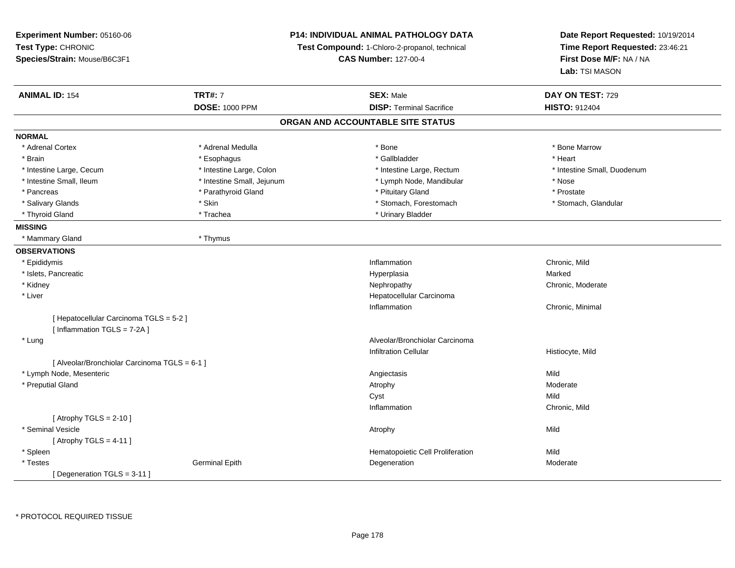| Experiment Number: 05160-06<br>Test Type: CHRONIC<br>Species/Strain: Mouse/B6C3F1 |                            | <b>P14: INDIVIDUAL ANIMAL PATHOLOGY DATA</b><br>Test Compound: 1-Chloro-2-propanol, technical<br><b>CAS Number: 127-00-4</b> | Date Report Requested: 10/19/2014<br>Time Report Requested: 23:46:21<br>First Dose M/F: NA / NA<br>Lab: TSI MASON |
|-----------------------------------------------------------------------------------|----------------------------|------------------------------------------------------------------------------------------------------------------------------|-------------------------------------------------------------------------------------------------------------------|
|                                                                                   |                            |                                                                                                                              |                                                                                                                   |
| <b>ANIMAL ID: 154</b>                                                             | <b>TRT#: 7</b>             | <b>SEX: Male</b>                                                                                                             | DAY ON TEST: 729                                                                                                  |
|                                                                                   | <b>DOSE: 1000 PPM</b>      | <b>DISP: Terminal Sacrifice</b>                                                                                              | <b>HISTO: 912404</b>                                                                                              |
|                                                                                   |                            | ORGAN AND ACCOUNTABLE SITE STATUS                                                                                            |                                                                                                                   |
| <b>NORMAL</b>                                                                     |                            |                                                                                                                              |                                                                                                                   |
| * Adrenal Cortex                                                                  | * Adrenal Medulla          | * Bone                                                                                                                       | * Bone Marrow                                                                                                     |
| * Brain                                                                           | * Esophagus                | * Gallbladder                                                                                                                | * Heart                                                                                                           |
| * Intestine Large, Cecum                                                          | * Intestine Large, Colon   | * Intestine Large, Rectum                                                                                                    | * Intestine Small, Duodenum                                                                                       |
| * Intestine Small, Ileum                                                          | * Intestine Small, Jejunum | * Lymph Node, Mandibular                                                                                                     | * Nose                                                                                                            |
| * Pancreas                                                                        | * Parathyroid Gland        | * Pituitary Gland                                                                                                            | * Prostate                                                                                                        |
| * Salivary Glands                                                                 | * Skin                     | * Stomach, Forestomach                                                                                                       | * Stomach, Glandular                                                                                              |
| * Thyroid Gland                                                                   | * Trachea                  | * Urinary Bladder                                                                                                            |                                                                                                                   |
| <b>MISSING</b>                                                                    |                            |                                                                                                                              |                                                                                                                   |
| * Mammary Gland                                                                   | * Thymus                   |                                                                                                                              |                                                                                                                   |
| <b>OBSERVATIONS</b>                                                               |                            |                                                                                                                              |                                                                                                                   |
| * Epididymis                                                                      |                            | Inflammation                                                                                                                 | Chronic, Mild                                                                                                     |
| * Islets, Pancreatic                                                              |                            | Hyperplasia                                                                                                                  | Marked                                                                                                            |
| * Kidney                                                                          |                            | Nephropathy                                                                                                                  | Chronic, Moderate                                                                                                 |
| * Liver                                                                           |                            | Hepatocellular Carcinoma                                                                                                     |                                                                                                                   |
|                                                                                   |                            | Inflammation                                                                                                                 | Chronic, Minimal                                                                                                  |
| [ Hepatocellular Carcinoma TGLS = 5-2 ]                                           |                            |                                                                                                                              |                                                                                                                   |
| [Inflammation TGLS = 7-2A]                                                        |                            |                                                                                                                              |                                                                                                                   |
| * Lung                                                                            |                            | Alveolar/Bronchiolar Carcinoma                                                                                               |                                                                                                                   |
|                                                                                   |                            | <b>Infiltration Cellular</b>                                                                                                 | Histiocyte, Mild                                                                                                  |
| [ Alveolar/Bronchiolar Carcinoma TGLS = 6-1 ]                                     |                            |                                                                                                                              |                                                                                                                   |
| * Lymph Node, Mesenteric                                                          |                            | Angiectasis                                                                                                                  | Mild                                                                                                              |
| * Preputial Gland                                                                 |                            | Atrophy                                                                                                                      | Moderate                                                                                                          |
|                                                                                   |                            | Cyst                                                                                                                         | Mild                                                                                                              |
|                                                                                   |                            | Inflammation                                                                                                                 | Chronic, Mild                                                                                                     |
| [Atrophy TGLS = $2-10$ ]                                                          |                            |                                                                                                                              |                                                                                                                   |
| * Seminal Vesicle                                                                 |                            | Atrophy                                                                                                                      | Mild                                                                                                              |
| [Atrophy TGLS = 4-11]                                                             |                            |                                                                                                                              |                                                                                                                   |
| * Spleen                                                                          |                            | Hematopoietic Cell Proliferation                                                                                             | Mild                                                                                                              |
| $^\star$ Testes                                                                   | <b>Germinal Epith</b>      | Degeneration                                                                                                                 | Moderate                                                                                                          |
| [ Degeneration TGLS = 3-11 ]                                                      |                            |                                                                                                                              |                                                                                                                   |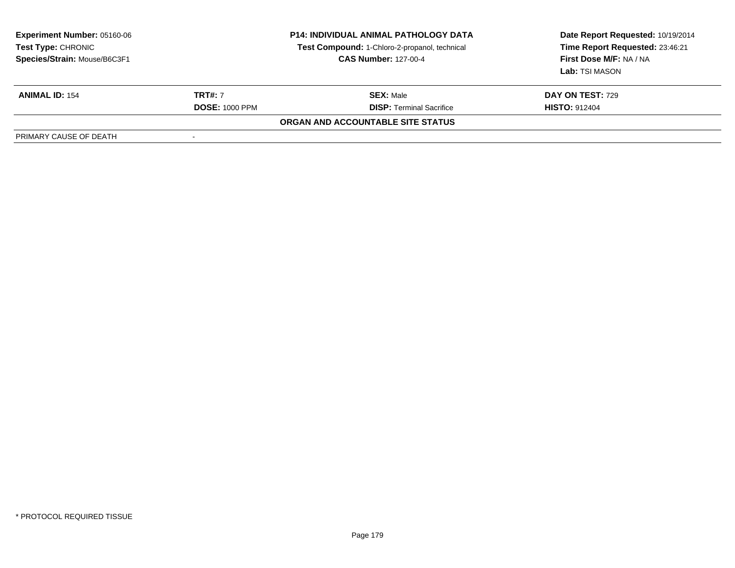| <b>Experiment Number: 05160-06</b><br><b>Test Type: CHRONIC</b><br>Species/Strain: Mouse/B6C3F1 | <b>P14: INDIVIDUAL ANIMAL PATHOLOGY DATA</b><br><b>Test Compound: 1-Chloro-2-propanol, technical</b><br><b>CAS Number: 127-00-4</b> |                                   | Date Report Requested: 10/19/2014<br>Time Report Requested: 23:46:21<br>First Dose M/F: NA / NA<br>Lab: TSI MASON |
|-------------------------------------------------------------------------------------------------|-------------------------------------------------------------------------------------------------------------------------------------|-----------------------------------|-------------------------------------------------------------------------------------------------------------------|
| <b>ANIMAL ID: 154</b>                                                                           | <b>TRT#: 7</b>                                                                                                                      | <b>SEX: Male</b>                  | <b>DAY ON TEST: 729</b>                                                                                           |
|                                                                                                 | <b>DOSE: 1000 PPM</b>                                                                                                               | <b>DISP: Terminal Sacrifice</b>   | <b>HISTO: 912404</b>                                                                                              |
|                                                                                                 |                                                                                                                                     | ORGAN AND ACCOUNTABLE SITE STATUS |                                                                                                                   |
| PRIMARY CAUSE OF DEATH                                                                          | -                                                                                                                                   |                                   |                                                                                                                   |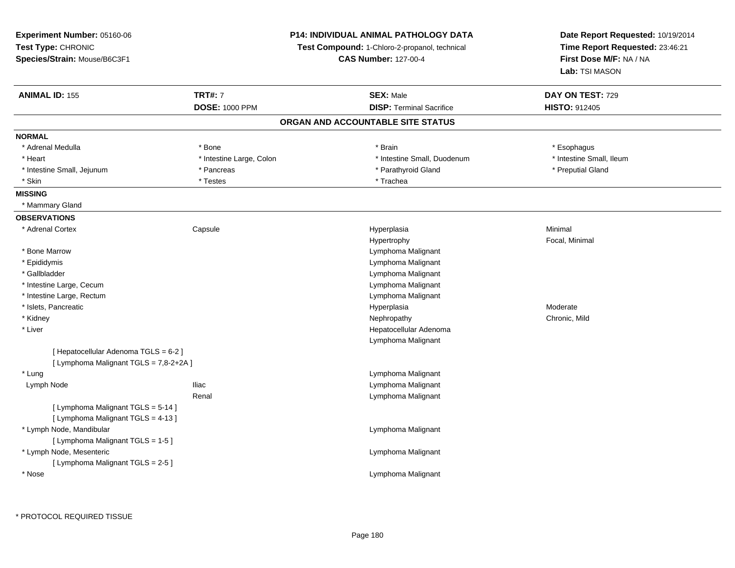| <b>Experiment Number: 05160-06</b>     | <b>P14: INDIVIDUAL ANIMAL PATHOLOGY DATA</b><br><b>Test Compound:</b> 1-Chloro-2-propanol, technical<br><b>CAS Number: 127-00-4</b> |                                   | Date Report Requested: 10/19/2014<br>Time Report Requested: 23:46:21<br>First Dose M/F: NA / NA |  |
|----------------------------------------|-------------------------------------------------------------------------------------------------------------------------------------|-----------------------------------|-------------------------------------------------------------------------------------------------|--|
| Test Type: CHRONIC                     |                                                                                                                                     |                                   |                                                                                                 |  |
| Species/Strain: Mouse/B6C3F1           |                                                                                                                                     |                                   |                                                                                                 |  |
|                                        |                                                                                                                                     |                                   | Lab: TSI MASON                                                                                  |  |
| <b>ANIMAL ID: 155</b>                  | <b>TRT#: 7</b>                                                                                                                      | <b>SEX: Male</b>                  | DAY ON TEST: 729                                                                                |  |
|                                        | <b>DOSE: 1000 PPM</b>                                                                                                               | <b>DISP: Terminal Sacrifice</b>   | HISTO: 912405                                                                                   |  |
|                                        |                                                                                                                                     | ORGAN AND ACCOUNTABLE SITE STATUS |                                                                                                 |  |
| <b>NORMAL</b>                          |                                                                                                                                     |                                   |                                                                                                 |  |
| * Adrenal Medulla                      | * Bone                                                                                                                              | * Brain                           | * Esophagus                                                                                     |  |
| * Heart                                | * Intestine Large, Colon                                                                                                            | * Intestine Small, Duodenum       | * Intestine Small, Ileum                                                                        |  |
| * Intestine Small, Jejunum             | * Pancreas                                                                                                                          | * Parathyroid Gland               | * Preputial Gland                                                                               |  |
| * Skin                                 | * Testes                                                                                                                            | * Trachea                         |                                                                                                 |  |
| <b>MISSING</b>                         |                                                                                                                                     |                                   |                                                                                                 |  |
| * Mammary Gland                        |                                                                                                                                     |                                   |                                                                                                 |  |
| <b>OBSERVATIONS</b>                    |                                                                                                                                     |                                   |                                                                                                 |  |
| * Adrenal Cortex                       | Capsule                                                                                                                             | Hyperplasia                       | Minimal                                                                                         |  |
|                                        |                                                                                                                                     | Hypertrophy                       | Focal, Minimal                                                                                  |  |
| * Bone Marrow                          |                                                                                                                                     | Lymphoma Malignant                |                                                                                                 |  |
| * Epididymis                           |                                                                                                                                     | Lymphoma Malignant                |                                                                                                 |  |
| * Gallbladder                          |                                                                                                                                     | Lymphoma Malignant                |                                                                                                 |  |
| * Intestine Large, Cecum               |                                                                                                                                     | Lymphoma Malignant                |                                                                                                 |  |
| * Intestine Large, Rectum              |                                                                                                                                     | Lymphoma Malignant                |                                                                                                 |  |
| * Islets, Pancreatic                   |                                                                                                                                     | Hyperplasia                       | Moderate                                                                                        |  |
| * Kidney                               |                                                                                                                                     | Nephropathy                       | Chronic, Mild                                                                                   |  |
| * Liver                                |                                                                                                                                     | Hepatocellular Adenoma            |                                                                                                 |  |
|                                        |                                                                                                                                     | Lymphoma Malignant                |                                                                                                 |  |
| [ Hepatocellular Adenoma TGLS = 6-2 ]  |                                                                                                                                     |                                   |                                                                                                 |  |
| [ Lymphoma Malignant TGLS = 7,8-2+2A ] |                                                                                                                                     |                                   |                                                                                                 |  |
| * Lung                                 |                                                                                                                                     | Lymphoma Malignant                |                                                                                                 |  |
| Lymph Node                             | <b>Iliac</b>                                                                                                                        | Lymphoma Malignant                |                                                                                                 |  |
|                                        | Renal                                                                                                                               | Lymphoma Malignant                |                                                                                                 |  |
| [ Lymphoma Malignant TGLS = 5-14 ]     |                                                                                                                                     |                                   |                                                                                                 |  |
| [ Lymphoma Malignant TGLS = 4-13 ]     |                                                                                                                                     |                                   |                                                                                                 |  |
| * Lymph Node, Mandibular               |                                                                                                                                     | Lymphoma Malignant                |                                                                                                 |  |
| [ Lymphoma Malignant TGLS = 1-5 ]      |                                                                                                                                     |                                   |                                                                                                 |  |
| * Lymph Node, Mesenteric               |                                                                                                                                     | Lymphoma Malignant                |                                                                                                 |  |
| [ Lymphoma Malignant TGLS = 2-5 ]      |                                                                                                                                     |                                   |                                                                                                 |  |
| * Nose                                 |                                                                                                                                     | Lymphoma Malignant                |                                                                                                 |  |
|                                        |                                                                                                                                     |                                   |                                                                                                 |  |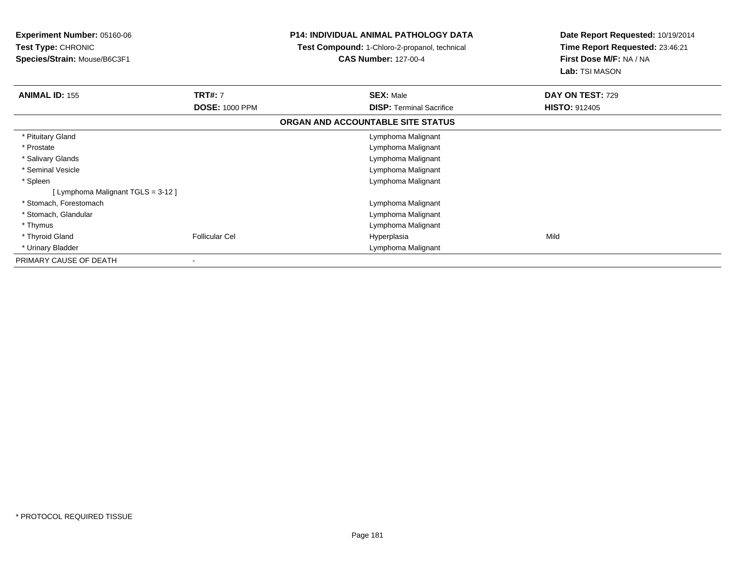| <b>Experiment Number: 05160-06</b><br><b>Test Type: CHRONIC</b><br>Species/Strain: Mouse/B6C3F1 |                                         | <b>P14: INDIVIDUAL ANIMAL PATHOLOGY DATA</b><br><b>Test Compound: 1-Chloro-2-propanol, technical</b><br><b>CAS Number: 127-00-4</b> | Date Report Requested: 10/19/2014<br>Time Report Requested: 23:46:21<br>First Dose M/F: NA / NA<br>Lab: TSI MASON |  |
|-------------------------------------------------------------------------------------------------|-----------------------------------------|-------------------------------------------------------------------------------------------------------------------------------------|-------------------------------------------------------------------------------------------------------------------|--|
| <b>ANIMAL ID: 155</b>                                                                           | <b>TRT#: 7</b><br><b>DOSE: 1000 PPM</b> | <b>SEX: Male</b><br><b>DISP:</b> Terminal Sacrifice                                                                                 | DAY ON TEST: 729<br><b>HISTO: 912405</b>                                                                          |  |
|                                                                                                 |                                         | ORGAN AND ACCOUNTABLE SITE STATUS                                                                                                   |                                                                                                                   |  |
|                                                                                                 |                                         |                                                                                                                                     |                                                                                                                   |  |
| * Pituitary Gland                                                                               |                                         | Lymphoma Malignant                                                                                                                  |                                                                                                                   |  |
| * Prostate                                                                                      |                                         | Lymphoma Malignant                                                                                                                  |                                                                                                                   |  |
| * Salivary Glands                                                                               |                                         | Lymphoma Malignant                                                                                                                  |                                                                                                                   |  |
| * Seminal Vesicle                                                                               |                                         | Lymphoma Malignant                                                                                                                  |                                                                                                                   |  |
| * Spleen                                                                                        |                                         | Lymphoma Malignant                                                                                                                  |                                                                                                                   |  |
| [ Lymphoma Malignant TGLS = 3-12 ]                                                              |                                         |                                                                                                                                     |                                                                                                                   |  |
| * Stomach, Forestomach                                                                          |                                         | Lymphoma Malignant                                                                                                                  |                                                                                                                   |  |
| * Stomach, Glandular                                                                            |                                         | Lymphoma Malignant                                                                                                                  |                                                                                                                   |  |
| * Thymus                                                                                        |                                         | Lymphoma Malignant                                                                                                                  |                                                                                                                   |  |
| * Thyroid Gland                                                                                 | <b>Follicular Cel</b>                   | Hyperplasia                                                                                                                         | Mild                                                                                                              |  |
| * Urinary Bladder                                                                               |                                         | Lymphoma Malignant                                                                                                                  |                                                                                                                   |  |
| PRIMARY CAUSE OF DEATH                                                                          |                                         |                                                                                                                                     |                                                                                                                   |  |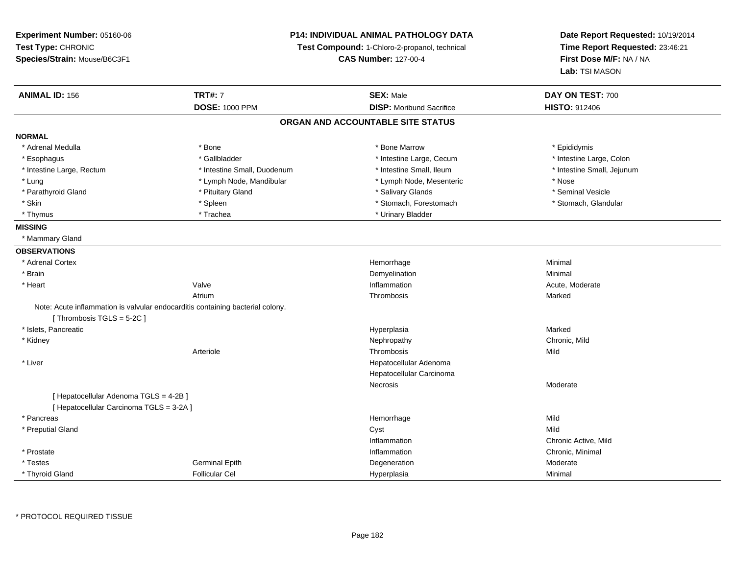**Experiment Number:** 05160-06**Test Type:** CHRONIC **Species/Strain:** Mouse/B6C3F1**P14: INDIVIDUAL ANIMAL PATHOLOGY DATATest Compound:** 1-Chloro-2-propanol, technical **CAS Number:** 127-00-4**Date Report Requested:** 10/19/2014**Time Report Requested:** 23:46:21**First Dose M/F:** NA / NA**Lab:** TSI MASON**ANIMAL ID:** 156**TRT#:** 7 **SEX:** Male **DAY ON TEST:** 700 **DOSE:** 1000 PPM**DISP:** Moribund Sacrifice **HISTO:** 912406 **ORGAN AND ACCOUNTABLE SITE STATUSNORMAL**\* Adrenal Medulla \* Adrenal Medulla \* \* The matter of the state of the state of the Marrow \* Bone Marrow \* Adrenal Medulla \* Epididymis \* Epididymis \* Bone Marrow \* Adrenal Medulla \* Epididymis \* Epididymis \* Epididymis \* Epididymis \* Epidi \* Intestine Large, Colon \* Esophagus \* Intestine Large, Cecum \* Callbladder \* 10 \* Intestine Large, Cecum \* Intestine Large, Cecum \* \* Intestine Large, Rectum \* Thestine Small, Duodenum \* Number of the small, Ileum \* Intestine Small, Jejunum \* Intestine Small, Jejunum \* Lung \* Lymph Node, Mandibular \* Nose \* Lymph Node, Mesenteric \* Nose \* Nose \* Seminal Vesicle \* Parathyroid Gland \* \* \* Animal Vesicle \* \* Pituitary Gland \* \* \* \* Salivary Glands \* \* Seminal Vesicle \* \* Seminal Vesicle \* Stomach, Glandular \* Skin \* Stomach, Forestomach \* Spleen \* Spleen \* Stomach, Forestomach \* Stomach, Forestomach \* Thymus \* The many Bladder \* Trachea \* Trachea \* Urinary Bladder \* Urinary Bladder **MISSING** \* Mammary Gland**OBSERVATIONS** \* Adrenal Cortex**x Hemorrhage** e Minimal \* Brainn and the control of the control of the control of the control of the control of the control of the control of the control of the control of the control of the control of the control of the control of the control of the co \* Heartt **Valve** e and the settlement of the Inflammation and the settlement of the Acute, Moderate Atriumm and the control of the Thrombosis and the Marked Marked School and the Marked School and the Marked School and the Marked School and the Marked School and the Marked School and the Marked School and the Marked School and Note: Acute inflammation is valvular endocarditis containing bacterial colony.[ Thrombosis  $TGLS = 5-2C$  ] \* Islets, Pancreaticc and the control of the control of the control of the control of the control of the control of the control of the control of the control of the control of the control of the control of the control of the control of the co a **Marked**  \* Kidneyy the controller of the controller of the controller of the controller of the controller of the chronic, Mild Arteriolee the contract of the contract of the contract of the contract of the contract of the contract of the contract of the contract of the contract of the contract of the contract of the contract of the contract of the contract \* Liver Hepatocellular Adenoma Hepatocellular CarcinomaNecrosis Moderate[ Hepatocellular Adenoma TGLS = 4-2B ][ Hepatocellular Carcinoma TGLS = 3-2A ] \* Pancreass and the control of the control of the control of the control of the control of the control of the control of the control of the control of the control of the control of the control of the control of the control of the co e Mild \* Preputial Glandd and the control of the control of the control of the control of the control of the control of the control of the control of the control of the control of the control of the control of the control of the control of the co InflammationInflammation **Example 2018** Chronic Active, Mild<br>
Inflammation **Chronic Active**  \* Prostatee inflammation and the control of the control of the control of the control of the chronic, Minimal of the chronic, Minimal of the chronic of the chronic of the chronic of the chronic of the chronic of the chronic of the c \* TestesGerminal Epith<br>Follicular Cel h and the Degeneration and the Moderate Moderate of the Degeneration and the Moderate Moderate of the Moderate  $\sim$  \* Thyroid GlandFollicular Cel Hyperplasia Minimal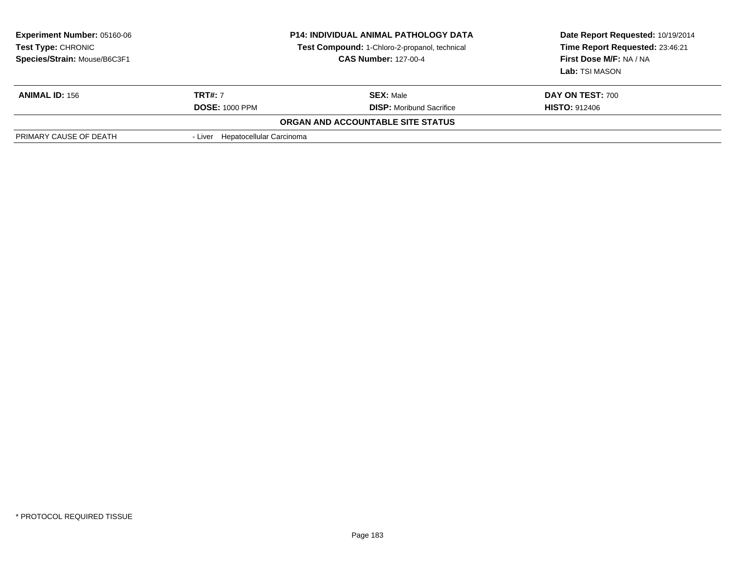| <b>Experiment Number: 05160-06</b><br><b>Test Type: CHRONIC</b><br>Species/Strain: Mouse/B6C3F1 | <b>P14: INDIVIDUAL ANIMAL PATHOLOGY DATA</b><br>Test Compound: 1-Chloro-2-propanol, technical<br><b>CAS Number: 127-00-4</b> |                                   | Date Report Requested: 10/19/2014<br>Time Report Requested: 23:46:21<br>First Dose M/F: NA / NA<br>Lab: TSI MASON |  |
|-------------------------------------------------------------------------------------------------|------------------------------------------------------------------------------------------------------------------------------|-----------------------------------|-------------------------------------------------------------------------------------------------------------------|--|
| <b>ANIMAL ID: 156</b>                                                                           | <b>TRT#:</b> 7                                                                                                               | <b>SEX: Male</b>                  | <b>DAY ON TEST: 700</b>                                                                                           |  |
|                                                                                                 | <b>DOSE: 1000 PPM</b>                                                                                                        | <b>DISP:</b> Moribund Sacrifice   | <b>HISTO: 912406</b>                                                                                              |  |
|                                                                                                 |                                                                                                                              | ORGAN AND ACCOUNTABLE SITE STATUS |                                                                                                                   |  |
| PRIMARY CAUSE OF DEATH                                                                          | - Liver Hepatocellular Carcinoma                                                                                             |                                   |                                                                                                                   |  |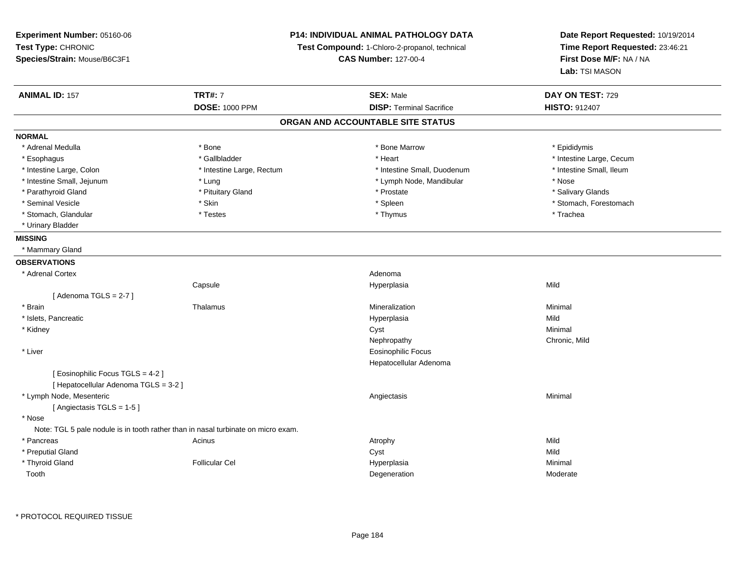**Experiment Number:** 05160-06**Test Type:** CHRONIC **Species/Strain:** Mouse/B6C3F1**P14: INDIVIDUAL ANIMAL PATHOLOGY DATATest Compound:** 1-Chloro-2-propanol, technical **CAS Number:** 127-00-4**Date Report Requested:** 10/19/2014**Time Report Requested:** 23:46:21**First Dose M/F:** NA / NA**Lab:** TSI MASON**ANIMAL ID:** 157**TRT#:** 7 **SEX:** Male **DAY ON TEST:** 729 **DOSE:** 1000 PPM **DISP:** Terminal Sacrifice **HISTO:** <sup>912407</sup> **ORGAN AND ACCOUNTABLE SITE STATUSNORMAL**\* Adrenal Medulla \* Adrenal Medulla \* \* The matter of the state of the state of the Marrow \* Bone Marrow \* Adrenal Medulla \* Epididymis \* Epididymis \* Bone Marrow \* Adrenal Medulla \* Epididymis \* Epididymis \* Epididymis \* Epididymis \* Epidi \* Esophagus \* https://www.fragustage.com/web/2019/heart \* Heart \* Heart \* Heart \* Intestine Large, Cecum \* Intestine Large, Cecum \* Gallbladder \* Callbladder \* 11 and 12 and 12 and 12 and 12 and 12 and 12 and 12 and 12 and \* Intestine Small, Ileum \* Intestine Large, Colon \* Intestine Large, Rectum \* Intestine Small, Duodenum \* Intestine Small, Duodenum \* Intestine Small, Jejunum \* Lung \* Lymph Node, Mandibular \* Nose\* Salivary Glands \* Parathyroid Gland \* \* \* Pituitary Gland \* \* Prostate \* \* Prostate \* \* Salivary Glands \* Salivary Glands \* Salivary Glands \* Salivary Glands \* Salivary Glands \* Salivary Glands \* Salivary Glands \* Salivary Glands \* Saliva \* Seminal Vesicle \* The state of the set of the set of the set of the set of the set of the set of the set of the set of the set of the set of the set of the set of the set of the set of the set of the set of the set of th \* Stomach, Glandular \* \* \* Trachea \* \* Testes \* \* Thymus \* Thymus \* Thymus \* Trachea \* Trachea \* Urinary Bladder**MISSING** \* Mammary Gland**OBSERVATIONS** \* Adrenal Cortex**x** Adenoma and Adenoma and Adenoma and Adenoma and Adenoma and Adenoma and Adenoma and Adenoma and Adenoma and A Hyperplasia Capsule Hyperplasia Mild  $[$  Adenoma TGLS = 2-7  $]$  \* Brainn and the matter of the Thalamus and the Minimal of the Minimal of the Minimal of the Minimal of the Minimal o<br>Thalamus and the Minimal of the Minimal of the Minimal of the Minimal of the Minimal of the Minimal of the Min \* Islets, Pancreaticc and the control of the control of the control of the control of the control of the control of the control of the control of the control of the control of the control of the control of the control of the control of the co a Mild \* Kidneyy the control of the control of the control of the control of the control of the control of the control of the control of the control of the control of the control of the control of the control of the control of the contro Nephropathy Chronic, Mild \* Liver Eosinophilic Focus Hepatocellular Adenoma[ Eosinophilic Focus TGLS = 4-2 ][ Hepatocellular Adenoma TGLS = 3-2 ] \* Lymph Node, Mesentericc contract the contract of the contract of the contract of the contract of the contract of the contract of the contract of the contract of the contract of the contract of the contract of the contract of the contract of the [ Angiectasis TGLS = 1-5 ] \* Nose Note: TGL 5 pale nodule is in tooth rather than in nasal turbinate on micro exam. \* Pancreass the contract of the contract of the contract of the contract of the contract of the contract of the contract of the contract of the contract of the contract of the contract of the contract of the contract of the contract **Mild**  \* Preputial Glandd and the control of the control of the control of the control of the control of the control of the control of the control of the control of the control of the control of the control of the control of the control of the co \* Thyroid Gland Follicular Cel Hyperplasia Minimal Toothh and the control of the control of the control of the control of the control of the control of the control of the control of the control of the control of the control of the control of the control of the control of the co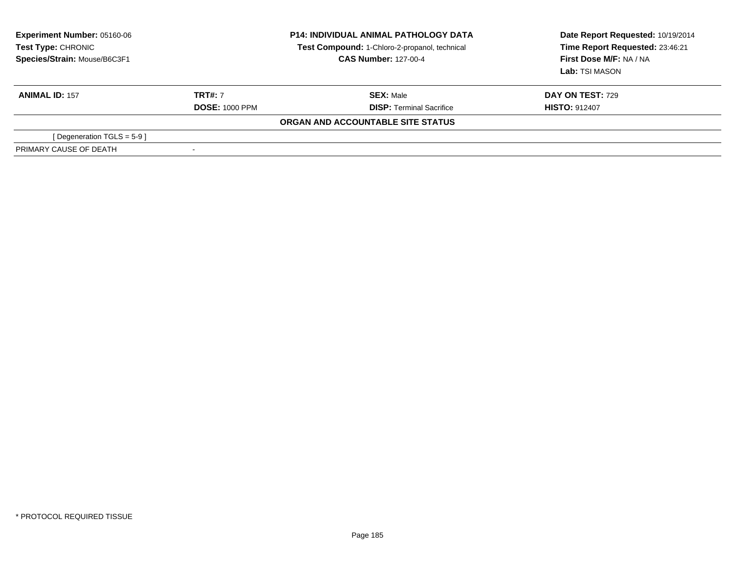| <b>Experiment Number: 05160-06</b><br>Test Type: CHRONIC<br>Species/Strain: Mouse/B6C3F1 | <b>P14: INDIVIDUAL ANIMAL PATHOLOGY DATA</b><br>Test Compound: 1-Chloro-2-propanol, technical<br><b>CAS Number: 127-00-4</b> |                                   | Date Report Requested: 10/19/2014<br>Time Report Requested: 23:46:21<br>First Dose M/F: NA / NA<br>Lab: TSI MASON |  |
|------------------------------------------------------------------------------------------|------------------------------------------------------------------------------------------------------------------------------|-----------------------------------|-------------------------------------------------------------------------------------------------------------------|--|
| <b>ANIMAL ID: 157</b>                                                                    | <b>TRT#: 7</b>                                                                                                               | <b>SEX: Male</b>                  | <b>DAY ON TEST: 729</b>                                                                                           |  |
|                                                                                          | <b>DOSE: 1000 PPM</b>                                                                                                        | <b>DISP: Terminal Sacrifice</b>   | <b>HISTO: 912407</b>                                                                                              |  |
|                                                                                          |                                                                                                                              | ORGAN AND ACCOUNTABLE SITE STATUS |                                                                                                                   |  |
| [Degeneration TGLS = 5-9]                                                                |                                                                                                                              |                                   |                                                                                                                   |  |
| PRIMARY CAUSE OF DEATH                                                                   |                                                                                                                              |                                   |                                                                                                                   |  |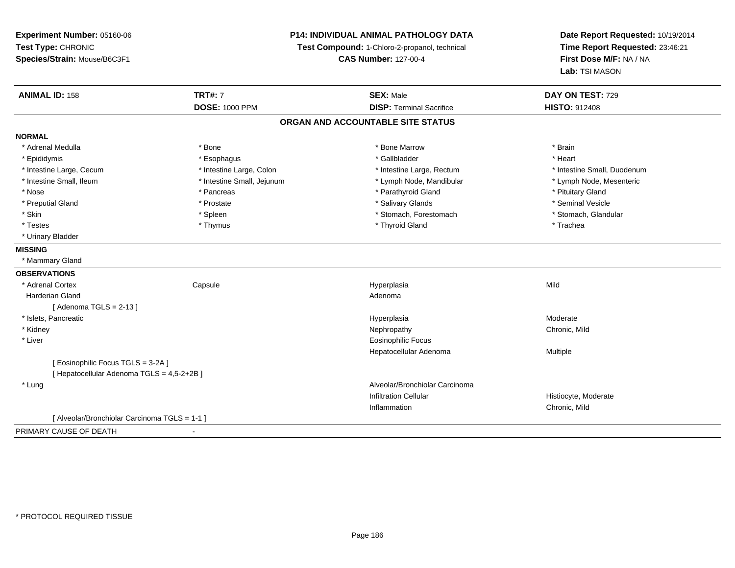**Experiment Number:** 05160-06**Test Type:** CHRONIC **Species/Strain:** Mouse/B6C3F1**P14: INDIVIDUAL ANIMAL PATHOLOGY DATATest Compound:** 1-Chloro-2-propanol, technical **CAS Number:** 127-00-4**Date Report Requested:** 10/19/2014**Time Report Requested:** 23:46:21**First Dose M/F:** NA / NA**Lab:** TSI MASON**ANIMAL ID:** 158**TRT#:** 7 **SEX:** Male **DAY ON TEST:** 729 **DOSE:** 1000 PPM**DISP:** Terminal Sacrifice **HISTO:** 912408 **ORGAN AND ACCOUNTABLE SITE STATUSNORMAL**\* Adrenal Medulla \* \* Annual Medulla \* Brain \* Bone \* \* Bone Marrow \* Bone Marrow \* \* Brain \* Brain \* Brain \* Brain \* Brain \* Brain \* Brain \* Brain \* Brain \* Brain \* Brain \* Brain \* Brain \* Brain \* Brain \* Brain \* Brain \* \* Heart \* Epididymis \* Esophagus \* Gallbladder \* Heart \* Intestine Large, Cecum \* Intestine Large, Colon \* Intestine Large, Rectum \* Intestine Small, Duodenum\* Lymph Node, Mesenteric \* Intestine Small, Ileum \* Intestine Small, Jejunum \* Lymph Node, Mandibular \* Lymph Node, Mandibular \* Nose \* Pancreas \* Pancreas \* Pancreas \* Parathyroid Gland \* Parathyroid Gland \* Pituitary Gland \* Pituitary Gland \* Seminal Vesicle \* Preputial Gland \* \* Annual vesicle \* \* Prostate \* \* Salivary Glands \* \* Salivary Glands \* \* Seminal Vesicle \* \* Stomach. Glandular \* Skin \* Stomach, Forestomach \* Spleen \* Stomach, Forestomach \* Stomach, Forestomach \* Testes \* Thymus \* Thyroid Gland \* Trachea \* Urinary Bladder**MISSING** \* Mammary Gland**OBSERVATIONS** \* Adrenal Cortex Capsule Hyperplasia Mild Harderian Glandd and a state of the control of the control of the control of the control of the control of the control of the control of the control of the control of the control of the control of the control of the control of the contro  $[$  Adenoma TGLS = 2-13  $]$  \* Islets, Pancreaticc and the control of the control of the control of the control of the control of the control of the control of the control of the control of the control of the control of the control of the control of the control of the co a **Moderate**  \* Kidneyy the controller of the controller of the controller of the controller of the controller of the chronic, Mild \* Liver Eosinophilic Focus Hepatocellular Adenoma Multiple [ Eosinophilic Focus TGLS = 3-2A ][ Hepatocellular Adenoma TGLS = 4,5-2+2B ] \* Lung Alveolar/Bronchiolar Carcinoma Infiltration Cellular Histiocyte, ModerateInflammation Chronic, Mild [ Alveolar/Bronchiolar Carcinoma TGLS = 1-1 ]PRIMARY CAUSE OF DEATH-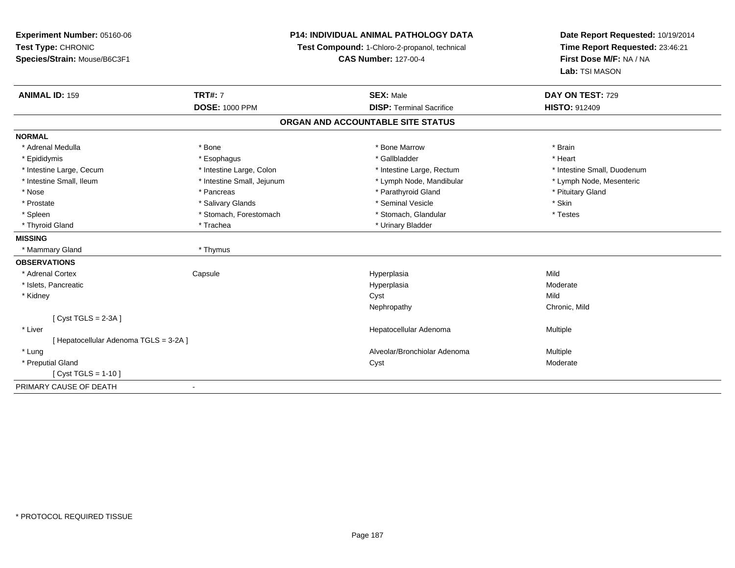| Experiment Number: 05160-06            | <b>P14: INDIVIDUAL ANIMAL PATHOLOGY DATA</b><br>Test Compound: 1-Chloro-2-propanol, technical |                                   | Date Report Requested: 10/19/2014 |
|----------------------------------------|-----------------------------------------------------------------------------------------------|-----------------------------------|-----------------------------------|
| Test Type: CHRONIC                     |                                                                                               |                                   | Time Report Requested: 23:46:21   |
| Species/Strain: Mouse/B6C3F1           |                                                                                               | <b>CAS Number: 127-00-4</b>       | First Dose M/F: NA / NA           |
|                                        |                                                                                               |                                   | Lab: TSI MASON                    |
| <b>ANIMAL ID: 159</b>                  | <b>TRT#: 7</b>                                                                                | <b>SEX: Male</b>                  | DAY ON TEST: 729                  |
|                                        | <b>DOSE: 1000 PPM</b>                                                                         | <b>DISP: Terminal Sacrifice</b>   | <b>HISTO: 912409</b>              |
|                                        |                                                                                               | ORGAN AND ACCOUNTABLE SITE STATUS |                                   |
| <b>NORMAL</b>                          |                                                                                               |                                   |                                   |
| * Adrenal Medulla                      | * Bone                                                                                        | * Bone Marrow                     | * Brain                           |
| * Epididymis                           | * Esophagus                                                                                   | * Gallbladder                     | * Heart                           |
| * Intestine Large, Cecum               | * Intestine Large, Colon                                                                      | * Intestine Large, Rectum         | * Intestine Small, Duodenum       |
| * Intestine Small, Ileum               | * Intestine Small, Jejunum                                                                    | * Lymph Node, Mandibular          | * Lymph Node, Mesenteric          |
| * Nose                                 | * Pancreas                                                                                    | * Parathyroid Gland               | * Pituitary Gland                 |
| * Prostate                             | * Salivary Glands                                                                             | * Seminal Vesicle                 | * Skin                            |
| * Spleen                               | * Stomach, Forestomach                                                                        | * Stomach, Glandular              | * Testes                          |
| * Thyroid Gland                        | * Trachea                                                                                     | * Urinary Bladder                 |                                   |
| <b>MISSING</b>                         |                                                                                               |                                   |                                   |
| * Mammary Gland                        | * Thymus                                                                                      |                                   |                                   |
| <b>OBSERVATIONS</b>                    |                                                                                               |                                   |                                   |
| * Adrenal Cortex                       | Capsule                                                                                       | Hyperplasia                       | Mild                              |
| * Islets, Pancreatic                   |                                                                                               | Hyperplasia                       | Moderate                          |
| * Kidney                               |                                                                                               | Cyst                              | Mild                              |
|                                        |                                                                                               | Nephropathy                       | Chronic, Mild                     |
| [Cyst TGLS = $2-3A$ ]                  |                                                                                               |                                   |                                   |
| * Liver                                |                                                                                               | Hepatocellular Adenoma            | Multiple                          |
| [ Hepatocellular Adenoma TGLS = 3-2A ] |                                                                                               |                                   |                                   |
| * Lung                                 |                                                                                               | Alveolar/Bronchiolar Adenoma      | Multiple                          |
| * Preputial Gland                      |                                                                                               | Cyst                              | Moderate                          |
| [ Cyst TGLS = $1-10$ ]                 |                                                                                               |                                   |                                   |
| PRIMARY CAUSE OF DEATH                 | $\blacksquare$                                                                                |                                   |                                   |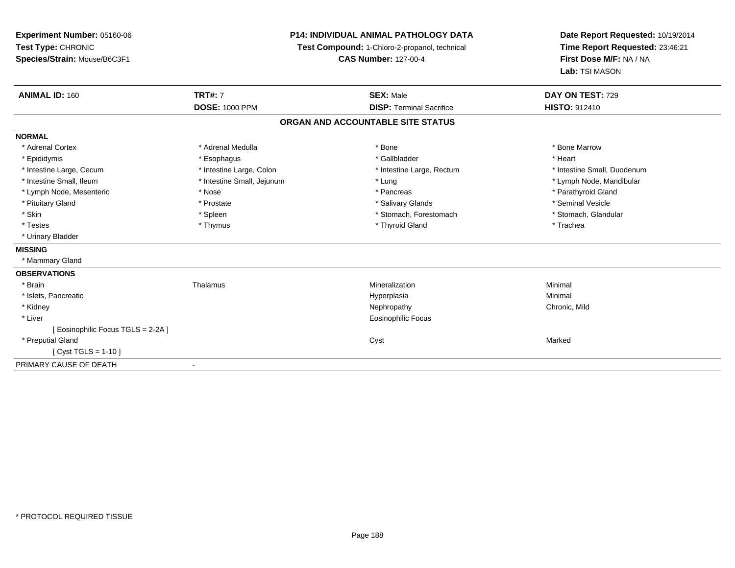| Experiment Number: 05160-06        | <b>P14: INDIVIDUAL ANIMAL PATHOLOGY DATA</b><br>Test Compound: 1-Chloro-2-propanol, technical<br><b>CAS Number: 127-00-4</b> |                                   | Date Report Requested: 10/19/2014 |  |
|------------------------------------|------------------------------------------------------------------------------------------------------------------------------|-----------------------------------|-----------------------------------|--|
| Test Type: CHRONIC                 |                                                                                                                              |                                   | Time Report Requested: 23:46:21   |  |
| Species/Strain: Mouse/B6C3F1       |                                                                                                                              |                                   | First Dose M/F: NA / NA           |  |
|                                    |                                                                                                                              |                                   | Lab: TSI MASON                    |  |
| <b>ANIMAL ID: 160</b>              | <b>TRT#: 7</b>                                                                                                               | <b>SEX: Male</b>                  | DAY ON TEST: 729                  |  |
|                                    | <b>DOSE: 1000 PPM</b>                                                                                                        | <b>DISP: Terminal Sacrifice</b>   | <b>HISTO: 912410</b>              |  |
|                                    |                                                                                                                              | ORGAN AND ACCOUNTABLE SITE STATUS |                                   |  |
| <b>NORMAL</b>                      |                                                                                                                              |                                   |                                   |  |
| * Adrenal Cortex                   | * Adrenal Medulla                                                                                                            | * Bone                            | * Bone Marrow                     |  |
| * Epididymis                       | * Esophagus                                                                                                                  | * Gallbladder                     | * Heart                           |  |
| * Intestine Large, Cecum           | * Intestine Large, Colon                                                                                                     | * Intestine Large, Rectum         | * Intestine Small, Duodenum       |  |
| * Intestine Small, Ileum           | * Intestine Small, Jejunum                                                                                                   | * Lung                            | * Lymph Node, Mandibular          |  |
| * Lymph Node, Mesenteric           | * Nose                                                                                                                       | * Pancreas                        | * Parathyroid Gland               |  |
| * Pituitary Gland                  | * Prostate                                                                                                                   | * Salivary Glands                 | * Seminal Vesicle                 |  |
| * Skin                             | * Spleen                                                                                                                     | * Stomach, Forestomach            | * Stomach, Glandular              |  |
| * Testes                           | * Thymus                                                                                                                     | * Thyroid Gland                   | * Trachea                         |  |
| * Urinary Bladder                  |                                                                                                                              |                                   |                                   |  |
| <b>MISSING</b>                     |                                                                                                                              |                                   |                                   |  |
| * Mammary Gland                    |                                                                                                                              |                                   |                                   |  |
| <b>OBSERVATIONS</b>                |                                                                                                                              |                                   |                                   |  |
| * Brain                            | Thalamus                                                                                                                     | Mineralization                    | Minimal                           |  |
| * Islets, Pancreatic               |                                                                                                                              | Hyperplasia                       | Minimal                           |  |
| * Kidney                           |                                                                                                                              | Nephropathy                       | Chronic, Mild                     |  |
| * Liver                            |                                                                                                                              | <b>Eosinophilic Focus</b>         |                                   |  |
| [ Eosinophilic Focus TGLS = 2-2A ] |                                                                                                                              |                                   |                                   |  |
| * Preputial Gland                  |                                                                                                                              | Cyst                              | Marked                            |  |
| [ Cyst TGLS = $1-10$ ]             |                                                                                                                              |                                   |                                   |  |
| PRIMARY CAUSE OF DEATH             |                                                                                                                              |                                   |                                   |  |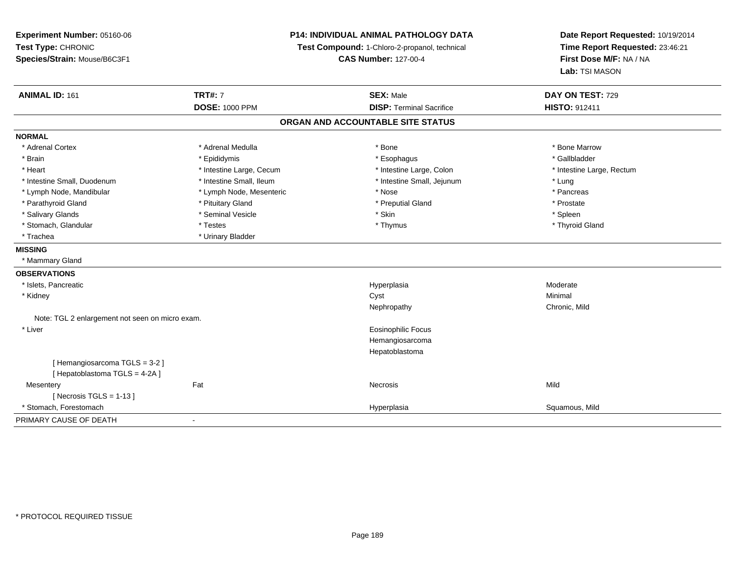| Experiment Number: 05160-06<br>Test Type: CHRONIC<br>Species/Strain: Mouse/B6C3F1 | <b>P14: INDIVIDUAL ANIMAL PATHOLOGY DATA</b><br>Test Compound: 1-Chloro-2-propanol, technical<br><b>CAS Number: 127-00-4</b> |                                   | Date Report Requested: 10/19/2014<br>Time Report Requested: 23:46:21<br>First Dose M/F: NA / NA |  |
|-----------------------------------------------------------------------------------|------------------------------------------------------------------------------------------------------------------------------|-----------------------------------|-------------------------------------------------------------------------------------------------|--|
|                                                                                   |                                                                                                                              |                                   | Lab: TSI MASON                                                                                  |  |
| <b>ANIMAL ID: 161</b>                                                             | <b>TRT#: 7</b>                                                                                                               | <b>SEX: Male</b>                  | DAY ON TEST: 729                                                                                |  |
|                                                                                   | <b>DOSE: 1000 PPM</b>                                                                                                        | <b>DISP: Terminal Sacrifice</b>   | HISTO: 912411                                                                                   |  |
|                                                                                   |                                                                                                                              | ORGAN AND ACCOUNTABLE SITE STATUS |                                                                                                 |  |
| <b>NORMAL</b>                                                                     |                                                                                                                              |                                   |                                                                                                 |  |
| * Adrenal Cortex                                                                  | * Adrenal Medulla                                                                                                            | * Bone                            | * Bone Marrow                                                                                   |  |
| * Brain                                                                           | * Epididymis                                                                                                                 | * Esophagus                       | * Gallbladder                                                                                   |  |
| * Heart                                                                           | * Intestine Large, Cecum                                                                                                     | * Intestine Large, Colon          | * Intestine Large, Rectum                                                                       |  |
| * Intestine Small, Duodenum                                                       | * Intestine Small, Ileum                                                                                                     | * Intestine Small, Jejunum        | * Lung                                                                                          |  |
| * Lymph Node, Mandibular                                                          | * Lymph Node, Mesenteric                                                                                                     | * Nose                            | * Pancreas                                                                                      |  |
| * Parathyroid Gland                                                               | * Pituitary Gland                                                                                                            | * Preputial Gland                 | * Prostate                                                                                      |  |
| * Salivary Glands                                                                 | * Seminal Vesicle                                                                                                            | * Skin                            | * Spleen                                                                                        |  |
| * Stomach, Glandular                                                              | * Testes                                                                                                                     | * Thymus                          | * Thyroid Gland                                                                                 |  |
| * Trachea                                                                         | * Urinary Bladder                                                                                                            |                                   |                                                                                                 |  |
| <b>MISSING</b>                                                                    |                                                                                                                              |                                   |                                                                                                 |  |
| * Mammary Gland                                                                   |                                                                                                                              |                                   |                                                                                                 |  |
| <b>OBSERVATIONS</b>                                                               |                                                                                                                              |                                   |                                                                                                 |  |
| * Islets, Pancreatic                                                              |                                                                                                                              | Hyperplasia                       | Moderate                                                                                        |  |
| * Kidney                                                                          |                                                                                                                              | Cyst                              | Minimal                                                                                         |  |
|                                                                                   |                                                                                                                              | Nephropathy                       | Chronic, Mild                                                                                   |  |
| Note: TGL 2 enlargement not seen on micro exam.                                   |                                                                                                                              |                                   |                                                                                                 |  |
| * Liver                                                                           |                                                                                                                              | Eosinophilic Focus                |                                                                                                 |  |
|                                                                                   |                                                                                                                              | Hemangiosarcoma                   |                                                                                                 |  |
|                                                                                   |                                                                                                                              | Hepatoblastoma                    |                                                                                                 |  |
| [Hemangiosarcoma TGLS = 3-2]                                                      |                                                                                                                              |                                   |                                                                                                 |  |
| [Hepatoblastoma TGLS = 4-2A]                                                      |                                                                                                                              |                                   |                                                                                                 |  |
| Mesentery                                                                         | Fat                                                                                                                          | Necrosis                          | Mild                                                                                            |  |
| [ Necrosis TGLS = $1-13$ ]                                                        |                                                                                                                              |                                   |                                                                                                 |  |
| * Stomach, Forestomach                                                            |                                                                                                                              | Hyperplasia                       | Squamous, Mild                                                                                  |  |
| PRIMARY CAUSE OF DEATH                                                            | $\blacksquare$                                                                                                               |                                   |                                                                                                 |  |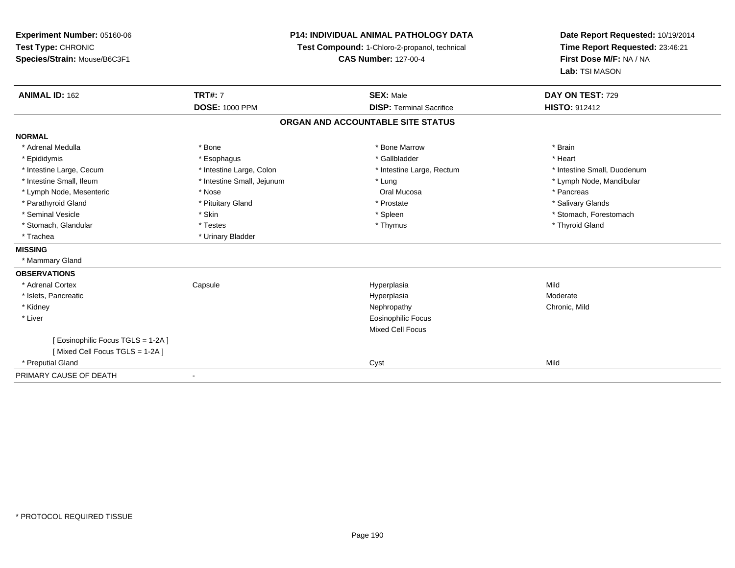| Experiment Number: 05160-06      | <b>P14: INDIVIDUAL ANIMAL PATHOLOGY DATA</b> |                                               | Date Report Requested: 10/19/2014 |
|----------------------------------|----------------------------------------------|-----------------------------------------------|-----------------------------------|
| Test Type: CHRONIC               |                                              | Test Compound: 1-Chloro-2-propanol, technical | Time Report Requested: 23:46:21   |
| Species/Strain: Mouse/B6C3F1     |                                              | <b>CAS Number: 127-00-4</b>                   | First Dose M/F: NA / NA           |
|                                  |                                              |                                               | Lab: TSI MASON                    |
| <b>ANIMAL ID: 162</b>            | <b>TRT#: 7</b>                               | <b>SEX: Male</b>                              | DAY ON TEST: 729                  |
|                                  | <b>DOSE: 1000 PPM</b>                        | <b>DISP: Terminal Sacrifice</b>               | <b>HISTO: 912412</b>              |
|                                  |                                              | ORGAN AND ACCOUNTABLE SITE STATUS             |                                   |
| <b>NORMAL</b>                    |                                              |                                               |                                   |
| * Adrenal Medulla                | * Bone                                       | * Bone Marrow                                 | * Brain                           |
| * Epididymis                     | * Esophagus                                  | * Gallbladder                                 | * Heart                           |
| * Intestine Large, Cecum         | * Intestine Large, Colon                     | * Intestine Large, Rectum                     | * Intestine Small, Duodenum       |
| * Intestine Small, Ileum         | * Intestine Small, Jejunum                   | * Lung                                        | * Lymph Node, Mandibular          |
| * Lymph Node, Mesenteric         | * Nose                                       | Oral Mucosa                                   | * Pancreas                        |
| * Parathyroid Gland              | * Pituitary Gland                            | * Prostate                                    | * Salivary Glands                 |
| * Seminal Vesicle                | * Skin                                       | * Spleen                                      | * Stomach, Forestomach            |
| * Stomach, Glandular             | * Testes                                     | * Thymus                                      | * Thyroid Gland                   |
| * Trachea                        | * Urinary Bladder                            |                                               |                                   |
| <b>MISSING</b>                   |                                              |                                               |                                   |
| * Mammary Gland                  |                                              |                                               |                                   |
| <b>OBSERVATIONS</b>              |                                              |                                               |                                   |
| * Adrenal Cortex                 | Capsule                                      | Hyperplasia                                   | Mild                              |
| * Islets, Pancreatic             |                                              | Hyperplasia                                   | Moderate                          |
| * Kidney                         |                                              | Nephropathy                                   | Chronic, Mild                     |
| * Liver                          |                                              | Eosinophilic Focus                            |                                   |
|                                  |                                              | Mixed Cell Focus                              |                                   |
| [Eosinophilic Focus TGLS = 1-2A] |                                              |                                               |                                   |
| [Mixed Cell Focus TGLS = 1-2A]   |                                              |                                               |                                   |
| * Preputial Gland                |                                              | Cyst                                          | Mild                              |
| PRIMARY CAUSE OF DEATH           |                                              |                                               |                                   |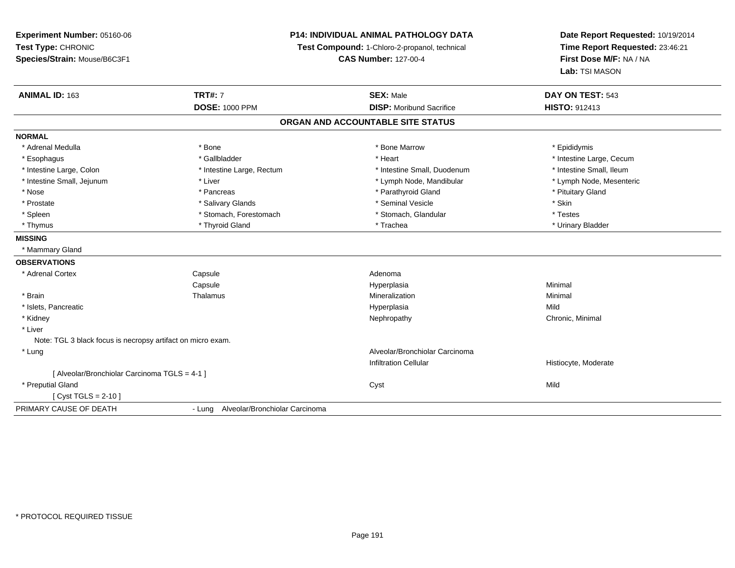**Experiment Number:** 05160-06**Test Type:** CHRONIC**Species/Strain:** Mouse/B6C3F1

## **P14: INDIVIDUAL ANIMAL PATHOLOGY DATA**

**Test Compound:** 1-Chloro-2-propanol, technical

**CAS Number:** 127-00-4

**Date Report Requested:** 10/19/2014**Time Report Requested:** 23:46:21**First Dose M/F:** NA / NA**Lab:** TSI MASON

| <b>ANIMAL ID: 163</b>                                       | <b>TRT#: 7</b>                        | <b>SEX: Male</b>                  | DAY ON TEST: 543         |
|-------------------------------------------------------------|---------------------------------------|-----------------------------------|--------------------------|
|                                                             | <b>DOSE: 1000 PPM</b>                 | <b>DISP:</b> Moribund Sacrifice   | <b>HISTO: 912413</b>     |
|                                                             |                                       | ORGAN AND ACCOUNTABLE SITE STATUS |                          |
| <b>NORMAL</b>                                               |                                       |                                   |                          |
| * Adrenal Medulla                                           | * Bone                                | * Bone Marrow                     | * Epididymis             |
| * Esophagus                                                 | * Gallbladder                         | * Heart                           | * Intestine Large, Cecum |
| * Intestine Large, Colon                                    | * Intestine Large, Rectum             | * Intestine Small, Duodenum       | * Intestine Small, Ileum |
| * Intestine Small, Jejunum                                  | * Liver                               | * Lymph Node, Mandibular          | * Lymph Node, Mesenteric |
| * Nose                                                      | * Pancreas                            | * Parathyroid Gland               | * Pituitary Gland        |
| * Prostate                                                  | * Salivary Glands                     | * Seminal Vesicle                 | * Skin                   |
| * Spleen                                                    | * Stomach, Forestomach                | * Stomach, Glandular              | * Testes                 |
| * Thymus                                                    | * Thyroid Gland                       | * Trachea                         | * Urinary Bladder        |
| <b>MISSING</b>                                              |                                       |                                   |                          |
| * Mammary Gland                                             |                                       |                                   |                          |
| <b>OBSERVATIONS</b>                                         |                                       |                                   |                          |
| * Adrenal Cortex                                            | Capsule                               | Adenoma                           |                          |
|                                                             | Capsule                               | Hyperplasia                       | Minimal                  |
| * Brain                                                     | Thalamus                              | Mineralization                    | Minimal                  |
| * Islets, Pancreatic                                        |                                       | Hyperplasia                       | Mild                     |
| * Kidney                                                    |                                       | Nephropathy                       | Chronic, Minimal         |
| * Liver                                                     |                                       |                                   |                          |
| Note: TGL 3 black focus is necropsy artifact on micro exam. |                                       |                                   |                          |
| * Lung                                                      |                                       | Alveolar/Bronchiolar Carcinoma    |                          |
|                                                             |                                       | <b>Infiltration Cellular</b>      | Histiocyte, Moderate     |
| [ Alveolar/Bronchiolar Carcinoma TGLS = 4-1 ]               |                                       |                                   |                          |
| * Preputial Gland                                           |                                       | Cyst                              | Mild                     |
| $Cvst TGLS = 2-10$                                          |                                       |                                   |                          |
| PRIMARY CAUSE OF DEATH                                      | - Lung Alveolar/Bronchiolar Carcinoma |                                   |                          |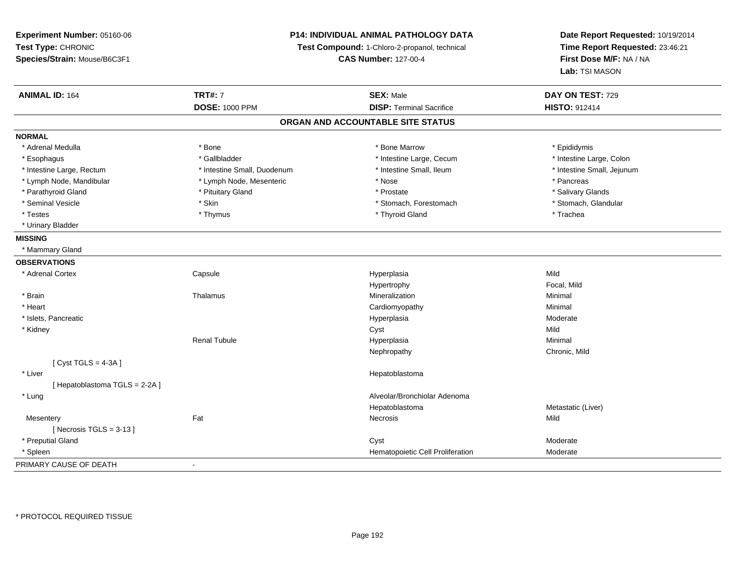**Experiment Number:** 05160-06**Test Type:** CHRONIC **Species/Strain:** Mouse/B6C3F1**P14: INDIVIDUAL ANIMAL PATHOLOGY DATATest Compound:** 1-Chloro-2-propanol, technical **CAS Number:** 127-00-4**Date Report Requested:** 10/19/2014**Time Report Requested:** 23:46:21**First Dose M/F:** NA / NA**Lab:** TSI MASON**ANIMAL ID:** 164**TRT#:** 7 **SEX:** Male **DAY ON TEST:** 729 **DOSE:** 1000 PPM**DISP:** Terminal Sacrifice **HISTO:** 912414 **ORGAN AND ACCOUNTABLE SITE STATUSNORMAL**\* Adrenal Medulla \* Adrenal Medulla \* \* The matter of the state of the state of the Marrow \* Bone Marrow \* Adrenal Medulla \* Epididymis \* Epididymis \* Bone Marrow \* Adrenal Medulla \* Epididymis \* Epididymis \* Epididymis \* Epididymis \* Epidi \* Intestine Large, Colon \* Esophagus \* Intestine Large, Cecum \* Callbladder \* 10 \* Intestine Large, Cecum \* Intestine Large, Cecum \* \* Intestine Large, Rectum \* Thestine Small, Duodenum \* Number of the small, Ileum \* Intestine Small, Jejunum \* Intestine Small, Jejunum \* Lymph Node, Mandibular \* The state of the second text of the second text of the second text of the second version of the second of the second version of the second version of the second version of the second version of t \* Salivary Glands \* Parathyroid Gland \* \* \* Pituitary Gland \* \* Prostate \* \* Prostate \* \* Salivary Glands \* Salivary Glands \* Salivary Glands \* Salivary Glands \* Salivary Glands \* Salivary Glands \* Salivary Glands \* Salivary Glands \* Saliva \* Stomach, Glandular \* Seminal Vesicle \* Stomach, Forestomach \* Skin \* Skin \* Stomach, Forestomach \* Stomach, Forestomach \* Testes \* Thymus \* Thyroid Gland \* Trachea \* Urinary Bladder**MISSING** \* Mammary Gland**OBSERVATIONS** \* Adrenal Cortex**Capsule**  Hyperplasia Mild Hypertrophy Focal, Mild \* Brainn and the matter of the Thalamus and the Minimal of the Minimal of the Minimal of the Minimal of the Minimal o<br>Thalamus and the Minimal of the Minimal of the Minimal of the Minimal of the Minimal of the Minimal of the Min \* Heart Cardiomyopathy Minimal \* Islets, Pancreaticc and the control of the control of the control of the control of the control of the control of the control of the control of the control of the control of the control of the control of the control of the control of the co Hyperplasia Moderate<br>Cyst Mild \* Kidneyy and the control of the control of the control of the control of the control of the control of the control of the control of the control of the control of the control of the control of the control of the control of the co Minimal Renal Tubule Hyperplasia Minimal Nephropathy Chronic, Mild $[$  Cyst TGLS = 4-3A  $]$  \* Liver Hepatoblastoma[ Hepatoblastoma TGLS = 2-2A ] \* Lung Alveolar/Bronchiolar Adenoma HepatoblastomaMetastatic (Liver)<br>Mild **Mesentery** y the contract of the contract of the contract of the contract of the contract of the contract of the contract of the contract of the contract of the contract of the contract of the contract of the contract of the contract  $[$  Necrosis TGLS = 3-13  $]$  \* Preputial Glandd and the control of the control of the control of the control of the control of the control of the control of the control of the control of the control of the control of the control of the control of the control of the co \* SpleenHematopoietic Cell Proliferation Moderate PRIMARY CAUSE OF DEATH-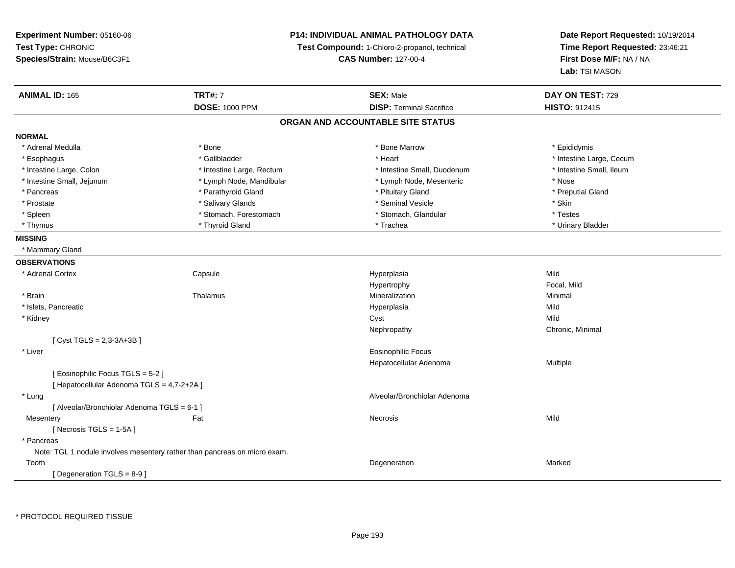**Experiment Number:** 05160-06**Test Type:** CHRONIC**Species/Strain:** Mouse/B6C3F1

## **P14: INDIVIDUAL ANIMAL PATHOLOGY DATA**

**Test Compound:** 1-Chloro-2-propanol, technical

**CAS Number:** 127-00-4

**Date Report Requested:** 10/19/2014**Time Report Requested:** 23:46:21**First Dose M/F:** NA / NA**Lab:** TSI MASON

| <b>ANIMAL ID: 165</b>                       | <b>TRT#: 7</b>                                                            | <b>SEX: Male</b>                  | DAY ON TEST: 729         |  |
|---------------------------------------------|---------------------------------------------------------------------------|-----------------------------------|--------------------------|--|
|                                             | <b>DOSE: 1000 PPM</b>                                                     | <b>DISP: Terminal Sacrifice</b>   | HISTO: 912415            |  |
|                                             |                                                                           | ORGAN AND ACCOUNTABLE SITE STATUS |                          |  |
| <b>NORMAL</b>                               |                                                                           |                                   |                          |  |
| * Adrenal Medulla                           | * Bone                                                                    | * Bone Marrow                     | * Epididymis             |  |
| * Esophagus                                 | * Gallbladder                                                             | * Heart                           | * Intestine Large, Cecum |  |
| * Intestine Large, Colon                    | * Intestine Large, Rectum                                                 | * Intestine Small, Duodenum       | * Intestine Small, Ileum |  |
| * Intestine Small, Jejunum                  | * Lymph Node, Mandibular                                                  | * Lymph Node, Mesenteric          | * Nose                   |  |
| * Pancreas                                  | * Parathyroid Gland                                                       | * Pituitary Gland                 | * Preputial Gland        |  |
| * Prostate                                  | * Salivary Glands                                                         | * Seminal Vesicle                 | * Skin                   |  |
| * Spleen                                    | * Stomach, Forestomach                                                    | * Stomach, Glandular              | * Testes                 |  |
| * Thymus                                    | * Thyroid Gland                                                           | * Trachea                         | * Urinary Bladder        |  |
| <b>MISSING</b>                              |                                                                           |                                   |                          |  |
| * Mammary Gland                             |                                                                           |                                   |                          |  |
| <b>OBSERVATIONS</b>                         |                                                                           |                                   |                          |  |
| * Adrenal Cortex                            | Capsule                                                                   | Hyperplasia                       | Mild                     |  |
|                                             |                                                                           | Hypertrophy                       | Focal, Mild              |  |
| * Brain                                     | Thalamus                                                                  | Mineralization                    | Minimal                  |  |
| * Islets, Pancreatic                        |                                                                           | Hyperplasia                       | Mild                     |  |
| * Kidney                                    |                                                                           | Cyst                              | Mild                     |  |
|                                             |                                                                           | Nephropathy                       | Chronic, Minimal         |  |
| [Cyst TGLS = $2,3-3A+3B$ ]                  |                                                                           |                                   |                          |  |
| * Liver                                     |                                                                           | <b>Eosinophilic Focus</b>         |                          |  |
|                                             |                                                                           | Hepatocellular Adenoma            | Multiple                 |  |
| [ Eosinophilic Focus TGLS = 5-2 ]           |                                                                           |                                   |                          |  |
| [ Hepatocellular Adenoma TGLS = 4,7-2+2A ]  |                                                                           |                                   |                          |  |
| * Lung                                      |                                                                           | Alveolar/Bronchiolar Adenoma      |                          |  |
| [ Alveolar/Bronchiolar Adenoma TGLS = 6-1 ] |                                                                           |                                   |                          |  |
| Mesentery                                   | Fat                                                                       | Necrosis                          | Mild                     |  |
| [Necrosis $TGLS = 1-5A$ ]                   |                                                                           |                                   |                          |  |
| * Pancreas                                  |                                                                           |                                   |                          |  |
|                                             | Note: TGL 1 nodule involves mesentery rather than pancreas on micro exam. |                                   |                          |  |
| Tooth                                       |                                                                           | Degeneration                      | Marked                   |  |
| [Degeneration TGLS = 8-9]                   |                                                                           |                                   |                          |  |

\* PROTOCOL REQUIRED TISSUE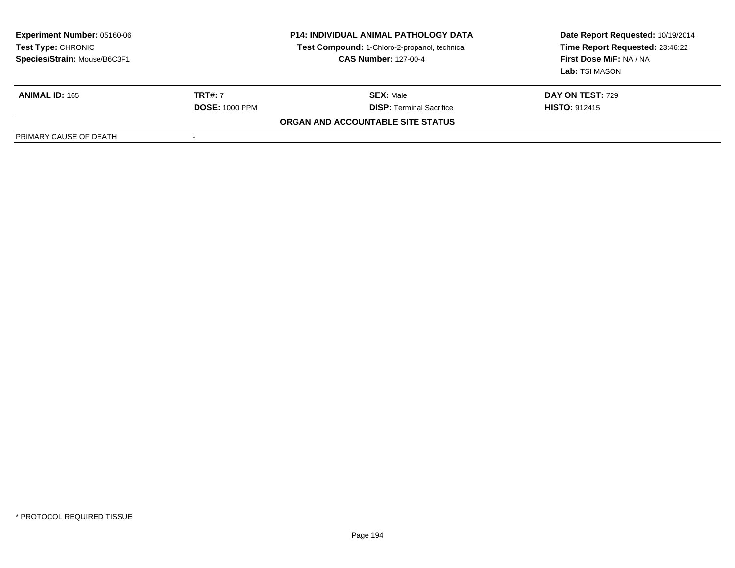| <b>Experiment Number: 05160-06</b><br>Test Type: CHRONIC<br>Species/Strain: Mouse/B6C3F1 | <b>P14: INDIVIDUAL ANIMAL PATHOLOGY DATA</b><br>Test Compound: 1-Chloro-2-propanol, technical<br><b>CAS Number: 127-00-4</b> |                                   | Date Report Requested: 10/19/2014<br>Time Report Requested: 23:46:22<br>First Dose M/F: NA / NA<br>Lab: TSI MASON |  |
|------------------------------------------------------------------------------------------|------------------------------------------------------------------------------------------------------------------------------|-----------------------------------|-------------------------------------------------------------------------------------------------------------------|--|
| <b>ANIMAL ID: 165</b>                                                                    | <b>TRT#: 7</b>                                                                                                               | <b>SEX: Male</b>                  | <b>DAY ON TEST: 729</b>                                                                                           |  |
|                                                                                          | <b>DOSE: 1000 PPM</b>                                                                                                        | <b>DISP: Terminal Sacrifice</b>   | <b>HISTO: 912415</b>                                                                                              |  |
|                                                                                          |                                                                                                                              | ORGAN AND ACCOUNTABLE SITE STATUS |                                                                                                                   |  |
| PRIMARY CAUSE OF DEATH                                                                   |                                                                                                                              |                                   |                                                                                                                   |  |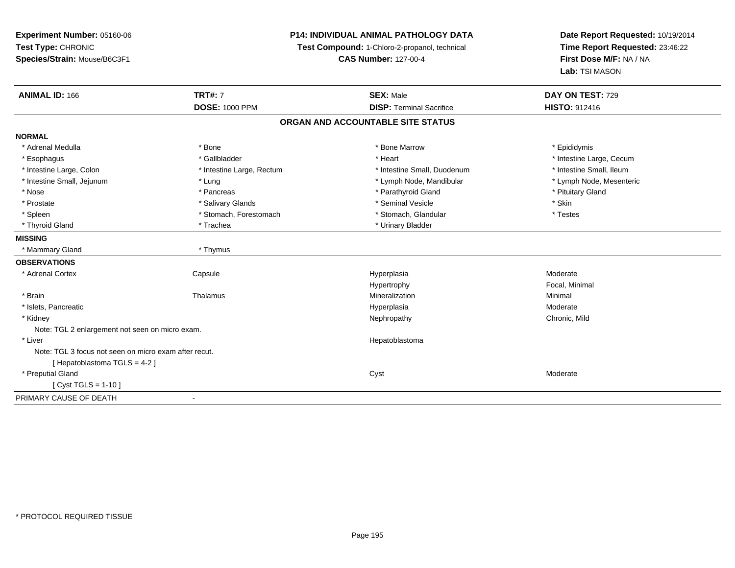**Experiment Number:** 05160-06**Test Type:** CHRONIC **Species/Strain:** Mouse/B6C3F1**P14: INDIVIDUAL ANIMAL PATHOLOGY DATATest Compound:** 1-Chloro-2-propanol, technical **CAS Number:** 127-00-4**Date Report Requested:** 10/19/2014**Time Report Requested:** 23:46:22**First Dose M/F:** NA / NA**Lab:** TSI MASON**ANIMAL ID:** 166**TRT#:** 7 **SEX:** Male **DAY ON TEST:** 729 **DOSE:** 1000 PPM**DISP:** Terminal Sacrifice **HISTO:** 912416 **ORGAN AND ACCOUNTABLE SITE STATUSNORMAL**\* Adrenal Medulla \* Adrenal Medulla \* \* The matter of the state of the state of the Marrow \* Bone Marrow \* Adrenal Medulla \* Epididymis \* Epididymis \* Bone Marrow \* Adrenal Medulla \* Epididymis \* Epididymis \* Epididymis \* Epididymis \* Epidi \* Esophagus \* https://www.fragustage.com/web/2019/heart \* Heart \* Heart \* Heart \* Intestine Large, Cecum \* Intestine Large, Cecum \* Gallbladder \* Callbladder \* 11 and 12 and 12 and 12 and 12 and 12 and 12 and 12 and 12 and \* Intestine Small, Ileum \* Intestine Large, Colon \* Intestine Large, Rectum \* Intestine Small, Duodenum \* Intestine Small, Duodenum \* Lymph Node, Mesenteric \* Intestine Small, Jejunum \* The matter of the state of the state of the state of the state of the state of the state of the state of the state of the state of the state of the state of the state of the state of the state \* Nose \* Pancreas \* Pancreas \* Pancreas \* Parathyroid Gland \* Parathyroid Gland \* Pituitary Gland \* Pituitary Gland \* Prostate \* \* Salivary Glands \* \* Salivary Glands \* \* Seminal Vesicle \* \* \* Seminal Yestrich \* \* Skin \* \* Skin \* Testes \* Spleen \* Stomach, Forestomach \* Stomach \* Stomach, Glandular \* Stomach, Glandular \* Thyroid Gland \* Trachea \* Trachea \* Trachea \* Urinary Bladder **MISSING** \* Mammary Gland \* Thymus**OBSERVATIONS** \* Adrenal Cortex**Capsule** e and the Hyperplasia Moderate Moderate and the Hyperplasia method of the Moderate Moderate  $\mathsf{M}$ Hypertrophy Focal, Minimal \* Brainn and the matter of the Thalamus and the Minimal of the Minimal of the Minimal of the Minimal of the Minimal o<br>Thalamus and the Minimal of the Minimal of the Minimal of the Minimal of the Minimal of the Minimal of the Min \* Islets, Pancreaticc and the control of the control of the control of the control of the control of the control of the control of the control of the control of the control of the control of the control of the control of the control of the co a **Moderate**  \* Kidneyy the controller of the controller of the controller of the controller of the controller of the chronic, Mild Note: TGL 2 enlargement not seen on micro exam. \* Liver HepatoblastomaNote: TGL 3 focus not seen on micro exam after recut.[ Hepatoblastoma TGLS = 4-2 ] \* Preputial Glandd and the control of the control of the control of the control of the control of the control of the control of the control of the control of the control of the control of the control of the control of the control of the co  $[$  Cyst TGLS = 1-10  $]$ PRIMARY CAUSE OF DEATH-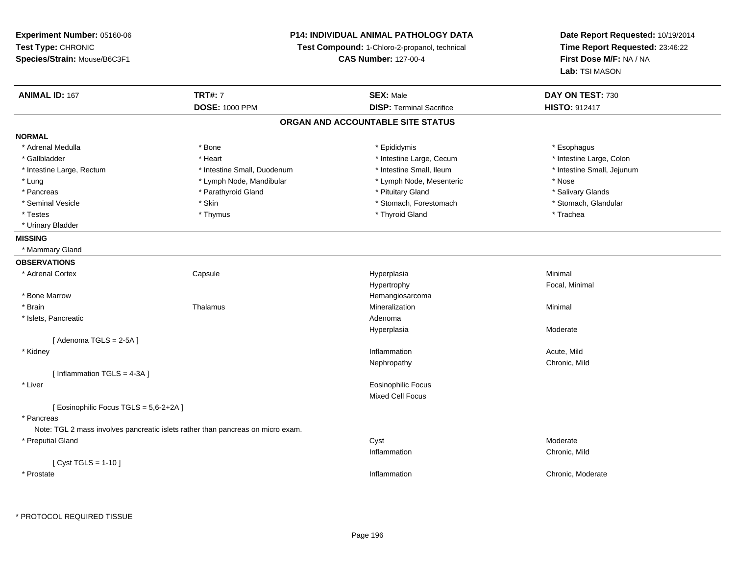**Experiment Number:** 05160-06**Test Type:** CHRONIC **Species/Strain:** Mouse/B6C3F1**P14: INDIVIDUAL ANIMAL PATHOLOGY DATATest Compound:** 1-Chloro-2-propanol, technical **CAS Number:** 127-00-4**Date Report Requested:** 10/19/2014**Time Report Requested:** 23:46:22**First Dose M/F:** NA / NA**Lab:** TSI MASON**ANIMAL ID:** 167**TRT#:** 7 **SEX:** Male **DAY ON TEST:** 730 **DOSE:** 1000 PPM**DISP:** Terminal Sacrifice **HISTO:** 912417 **ORGAN AND ACCOUNTABLE SITE STATUSNORMAL**\* Adrenal Medulla \* Adrenal Medulla \* \* \* example \* \* Bone \* \* \* Bone \* \* Epididymis \* \* Epididymis \* \* \* Esophagus \* Esophagus \* \* Esophagus \* \* Esophagus \* \* Esophagus \* \* Esophagus \* \* Esophagus \* \* Esophagus \* \* \* \* \* \* \* \* \* \* \* \* \* \* \* Intestine Large, Colon \* Gallbladder \* The mode of the text \* Heart \* Intestine Large, Cecum \* Intestine Large, Cecum \* Intestine Large, Cecum \* Intestine Large, Rectum \* Thestine Small, Duodenum \* Number of the small, Ileum \* Intestine Small, Jejunum \* Intestine Small, Jejunum \* Lung \* Lymph Node, Mandibular \* Nose \* Lymph Node, Mesenteric \* Nose \* Nose \* Salivary Glands \* Pancreas \* And the section of the section of the section of the section of the section of the section of the section of the section of the section of the section of the section of the section of the section of the sectio \* Stomach, Glandular \* Seminal Vesicle \* Skin \* Skin \* Skin \* Stomach, Forestomach \* Stomach, Forestomach \* Testes \* Thymus \* Thyroid Gland \* Trachea \* Urinary Bladder**MISSING** \* Mammary Gland**OBSERVATIONS** \* Adrenal Cortex**Capsule**  Hyperplasia Minimal Hypertrophy Focal, Minimal \* Bone Marroww the contract of the contract of the contract of the contract of the Hemangiosarcoma<br>The contract of the contract of the contract of the contract of the contract of the contract of the contract of \* Brainn and the matter of the Thalamus and the Minimal of the Minimal of the Minimal of the Minimal of the Minimal o<br>Thalamus and the Minimal of the Minimal of the Minimal of the Minimal of the Minimal of the Minimal of the Min \* Islets, Pancreaticc and the contract of the contract of the contract of the contract of the contract of the contract of the contract of the contract of the contract of the contract of the contract of the contract of the contract of the cont Hyperplasia Moderate  $[$  Adenoma TGLS = 2-5A  $]$  \* Kidneyy the control of the control of the control of the control of the control of the control of the control of the control of the control of the control of the control of the control of the control of the control of the contro Inflammation **Acute**, Mild Nephropathy Chronic, Mild[ Inflammation TGLS = 4-3A ] \* Liver Eosinophilic FocusMixed Cell Focus[ Eosinophilic Focus TGLS = 5,6-2+2A ] \* Pancreas Note: TGL 2 mass involves pancreatic islets rather than pancreas on micro exam. \* Preputial Glandd and the control of the control of the control of the control of the control of the control of the control of the control of the control of the control of the control of the control of the control of the control of the co Inflammation Chronic, Mild [ Cyst TGLS = 1-10 ] \* Prostatee and the chronic, Moderate and the chronic method of the chronic method of the chronic method of the chronic, Moderate  $\epsilon$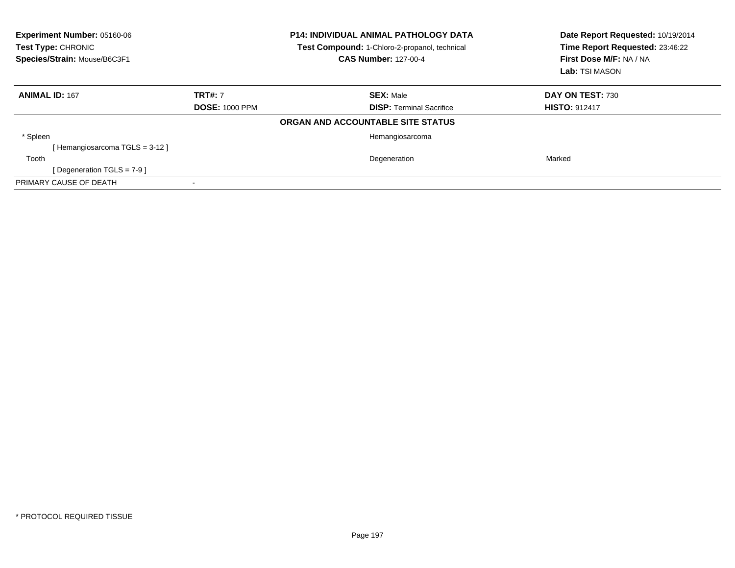| <b>Experiment Number: 05160-06</b><br>Test Type: CHRONIC<br>Species/Strain: Mouse/B6C3F1 | <b>P14: INDIVIDUAL ANIMAL PATHOLOGY DATA</b><br><b>Test Compound: 1-Chloro-2-propanol, technical</b><br><b>CAS Number: 127-00-4</b> |                                   | Date Report Requested: 10/19/2014<br>Time Report Requested: 23:46:22<br>First Dose M/F: NA / NA<br>Lab: TSI MASON |  |
|------------------------------------------------------------------------------------------|-------------------------------------------------------------------------------------------------------------------------------------|-----------------------------------|-------------------------------------------------------------------------------------------------------------------|--|
| <b>ANIMAL ID: 167</b>                                                                    | <b>TRT#: 7</b>                                                                                                                      | <b>SEX: Male</b>                  | DAY ON TEST: 730                                                                                                  |  |
|                                                                                          | <b>DOSE: 1000 PPM</b>                                                                                                               | <b>DISP:</b> Terminal Sacrifice   | <b>HISTO: 912417</b>                                                                                              |  |
|                                                                                          |                                                                                                                                     | ORGAN AND ACCOUNTABLE SITE STATUS |                                                                                                                   |  |
| * Spleen                                                                                 |                                                                                                                                     | Hemangiosarcoma                   |                                                                                                                   |  |
| [Hemangiosarcoma TGLS = 3-12]                                                            |                                                                                                                                     |                                   |                                                                                                                   |  |
| Tooth                                                                                    |                                                                                                                                     | Degeneration                      | Marked                                                                                                            |  |
| [ Degeneration TGLS = $7-9$ ]                                                            |                                                                                                                                     |                                   |                                                                                                                   |  |
| PRIMARY CAUSE OF DEATH                                                                   |                                                                                                                                     |                                   |                                                                                                                   |  |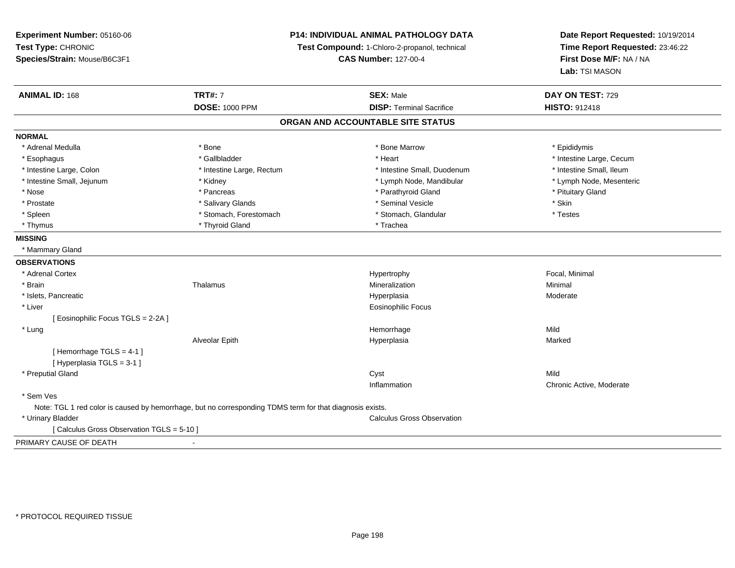**Experiment Number:** 05160-06**Test Type:** CHRONIC **Species/Strain:** Mouse/B6C3F1**P14: INDIVIDUAL ANIMAL PATHOLOGY DATATest Compound:** 1-Chloro-2-propanol, technical **CAS Number:** 127-00-4**Date Report Requested:** 10/19/2014**Time Report Requested:** 23:46:22**First Dose M/F:** NA / NA**Lab:** TSI MASON**ANIMAL ID:** 168**TRT#:** 7 **SEX:** Male **DAY ON TEST:** 729 **DOSE:** 1000 PPM**DISP:** Terminal Sacrifice **HISTO:** 912418 **ORGAN AND ACCOUNTABLE SITE STATUSNORMAL**\* Adrenal Medulla \* Adrenal Medulla \* \* The matter of the state of the state of the Marrow \* Bone Marrow \* Adrenal Medulla \* Epididymis \* Epididymis \* Bone Marrow \* Adrenal Medulla \* Epididymis \* Epididymis \* Epididymis \* Epididymis \* Epidi \* Esophagus \* https://www.fragustage.com/web/2019/heart \* Heart \* Heart \* Heart \* Intestine Large, Cecum \* Intestine Large, Cecum \* Gallbladder \* Callbladder \* 11 and 12 and 12 and 12 and 12 and 12 and 12 and 12 and 12 and \* Intestine Small, Ileum \* Intestine Large, Colon \* Intestine Large, Rectum \* Intestine Small, Duodenum \* Intestine Small, Duodenum \* Lymph Node, Mesenteric \* Intestine Small, Jejunum \* Michael \* Kidney \* Kidney \* Lymph Node, Mandibular \* Lymph Node, Mandibular \* Nose \* Pancreas \* Pancreas \* Pancreas \* Parathyroid Gland \* Parathyroid Gland \* Pituitary Gland \* Pituitary Gland \* Prostate \* \* Salivary Glands \* \* Salivary Glands \* \* Seminal Vesicle \* \* \* Seminal Yestrich \* \* Skin \* \* Skin \* Testes \* Spleen \* Stomach, Forestomach \* Stomach \* Stomach \* Stomach, Glandular \* Stomach, Glandular \* Thyrnus \* Thyroid Gland \* Thyroid Gland \* The \* Trachea **MISSING** \* Mammary Gland**OBSERVATIONS** \* Adrenal Cortex Hypertrophy Focal, Minimal \* Brainn and the matter of the Thalamus and the Minimal of the Minimal of the Minimal of the Minimal of the Minimal o<br>Thalamus and the Minimal of the Minimal of the Minimal of the Minimal of the Minimal of the Minimal of the Min \* Islets, Pancreaticc and the control of the control of the control of the control of the control of the control of the control of the control of the control of the control of the control of the control of the control of the control of the co Hyperplasia Moderate \* Liver Eosinophilic Focus[ Eosinophilic Focus TGLS = 2-2A ] \* Lungg and the state of the state of the state of the state of the Hemorrhage state of the Mild state of the Mild state of the State of the State of the State of the State of the State of the State of the State of the State of Alveolar Epith Hyperplasia Marked [ Hemorrhage TGLS = 4-1 ][ Hyperplasia TGLS = 3-1 ] \* Preputial Glandd and the control of the control of the control of the control of the control of the control of the control of the control of the control of the control of the control of the control of the control of the control of the co Inflammation Chronic Active, Moderate \* Sem Ves Note: TGL 1 red color is caused by hemorrhage, but no corresponding TDMS term for that diagnosis exists. \* Urinary Bladder Calculus Gross Observation[ Calculus Gross Observation TGLS = 5-10 ]PRIMARY CAUSE OF DEATH-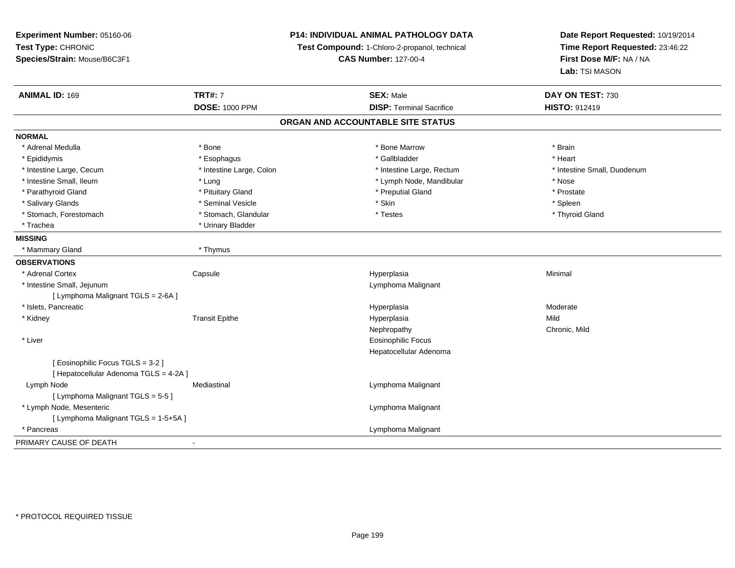| Experiment Number: 05160-06            | P14: INDIVIDUAL ANIMAL PATHOLOGY DATA |                                               | Date Report Requested: 10/19/2014 |  |
|----------------------------------------|---------------------------------------|-----------------------------------------------|-----------------------------------|--|
| Test Type: CHRONIC                     |                                       | Test Compound: 1-Chloro-2-propanol, technical | Time Report Requested: 23:46:22   |  |
| Species/Strain: Mouse/B6C3F1           |                                       | <b>CAS Number: 127-00-4</b>                   | First Dose M/F: NA / NA           |  |
|                                        |                                       |                                               | Lab: TSI MASON                    |  |
| <b>ANIMAL ID: 169</b>                  | <b>TRT#: 7</b>                        | <b>SEX: Male</b>                              | DAY ON TEST: 730                  |  |
|                                        | <b>DOSE: 1000 PPM</b>                 | <b>DISP: Terminal Sacrifice</b>               | <b>HISTO: 912419</b>              |  |
|                                        |                                       | ORGAN AND ACCOUNTABLE SITE STATUS             |                                   |  |
| <b>NORMAL</b>                          |                                       |                                               |                                   |  |
| * Adrenal Medulla                      | * Bone                                | * Bone Marrow                                 | * Brain                           |  |
| * Epididymis                           | * Esophagus                           | * Gallbladder                                 | * Heart                           |  |
| * Intestine Large, Cecum               | * Intestine Large, Colon              | * Intestine Large, Rectum                     | * Intestine Small, Duodenum       |  |
| * Intestine Small, Ileum               | * Lung                                | * Lymph Node, Mandibular                      | * Nose                            |  |
| * Parathyroid Gland                    | * Pituitary Gland                     | * Preputial Gland                             | * Prostate                        |  |
| * Salivary Glands                      | * Seminal Vesicle                     | * Skin                                        | * Spleen                          |  |
| * Stomach, Forestomach                 | * Stomach, Glandular                  | * Testes                                      | * Thyroid Gland                   |  |
| * Trachea                              | * Urinary Bladder                     |                                               |                                   |  |
| <b>MISSING</b>                         |                                       |                                               |                                   |  |
| * Mammary Gland                        | * Thymus                              |                                               |                                   |  |
| <b>OBSERVATIONS</b>                    |                                       |                                               |                                   |  |
| * Adrenal Cortex                       | Capsule                               | Hyperplasia                                   | Minimal                           |  |
| * Intestine Small, Jejunum             |                                       | Lymphoma Malignant                            |                                   |  |
| [ Lymphoma Malignant TGLS = 2-6A ]     |                                       |                                               |                                   |  |
| * Islets, Pancreatic                   |                                       | Hyperplasia                                   | Moderate                          |  |
| * Kidney                               | <b>Transit Epithe</b>                 | Hyperplasia                                   | Mild                              |  |
|                                        |                                       | Nephropathy                                   | Chronic, Mild                     |  |
| * Liver                                |                                       | Eosinophilic Focus                            |                                   |  |
|                                        |                                       | Hepatocellular Adenoma                        |                                   |  |
| [ Eosinophilic Focus TGLS = 3-2 ]      |                                       |                                               |                                   |  |
| [ Hepatocellular Adenoma TGLS = 4-2A ] |                                       |                                               |                                   |  |
| Lymph Node                             | Mediastinal                           | Lymphoma Malignant                            |                                   |  |
| [ Lymphoma Malignant TGLS = 5-5]       |                                       |                                               |                                   |  |
| * Lymph Node, Mesenteric               |                                       | Lymphoma Malignant                            |                                   |  |
| [ Lymphoma Malignant TGLS = 1-5+5A ]   |                                       |                                               |                                   |  |
| * Pancreas                             |                                       | Lymphoma Malignant                            |                                   |  |
| PRIMARY CAUSE OF DEATH                 |                                       |                                               |                                   |  |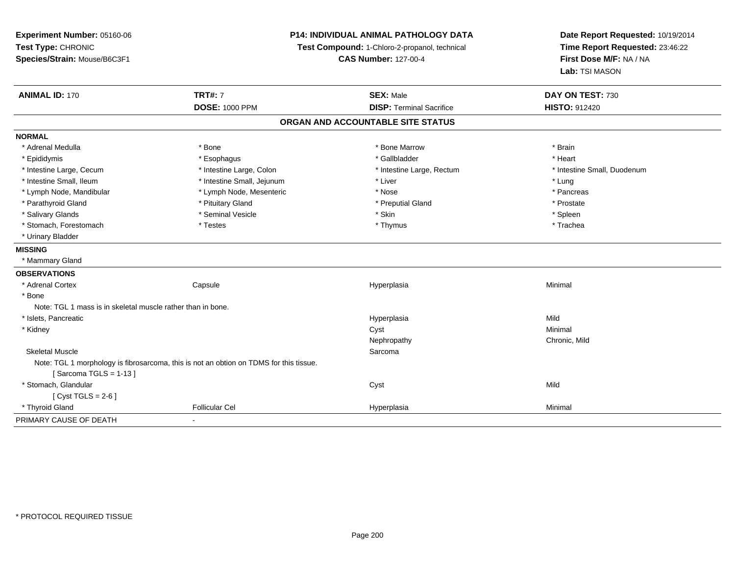| Experiment Number: 05160-06<br>Test Type: CHRONIC<br>Species/Strain: Mouse/B6C3F1 |                                                                                        | <b>P14: INDIVIDUAL ANIMAL PATHOLOGY DATA</b><br>Test Compound: 1-Chloro-2-propanol, technical<br><b>CAS Number: 127-00-4</b> |                             |
|-----------------------------------------------------------------------------------|----------------------------------------------------------------------------------------|------------------------------------------------------------------------------------------------------------------------------|-----------------------------|
| <b>ANIMAL ID: 170</b>                                                             | <b>TRT#: 7</b>                                                                         | <b>SEX: Male</b>                                                                                                             | DAY ON TEST: 730            |
|                                                                                   | <b>DOSE: 1000 PPM</b>                                                                  | <b>DISP: Terminal Sacrifice</b>                                                                                              | <b>HISTO: 912420</b>        |
|                                                                                   |                                                                                        | ORGAN AND ACCOUNTABLE SITE STATUS                                                                                            |                             |
| <b>NORMAL</b>                                                                     |                                                                                        |                                                                                                                              |                             |
| * Adrenal Medulla                                                                 | * Bone                                                                                 | * Bone Marrow                                                                                                                | * Brain                     |
| * Epididymis                                                                      | * Esophagus                                                                            | * Gallbladder                                                                                                                | * Heart                     |
| * Intestine Large, Cecum                                                          | * Intestine Large, Colon                                                               | * Intestine Large, Rectum                                                                                                    | * Intestine Small, Duodenum |
| * Intestine Small, Ileum                                                          | * Intestine Small, Jejunum                                                             | * Liver                                                                                                                      | * Lung                      |
| * Lymph Node, Mandibular                                                          | * Lymph Node, Mesenteric                                                               | * Nose                                                                                                                       | * Pancreas                  |
| * Parathyroid Gland                                                               | * Pituitary Gland                                                                      | * Preputial Gland                                                                                                            | * Prostate                  |
| * Salivary Glands                                                                 | * Seminal Vesicle                                                                      | * Skin                                                                                                                       | * Spleen                    |
| * Stomach, Forestomach                                                            | * Testes                                                                               | * Thymus                                                                                                                     | * Trachea                   |
| * Urinary Bladder                                                                 |                                                                                        |                                                                                                                              |                             |
| <b>MISSING</b>                                                                    |                                                                                        |                                                                                                                              |                             |
| * Mammary Gland                                                                   |                                                                                        |                                                                                                                              |                             |
| <b>OBSERVATIONS</b>                                                               |                                                                                        |                                                                                                                              |                             |
| * Adrenal Cortex                                                                  | Capsule                                                                                | Hyperplasia                                                                                                                  | Minimal                     |
| * Bone                                                                            |                                                                                        |                                                                                                                              |                             |
| Note: TGL 1 mass is in skeletal muscle rather than in bone.                       |                                                                                        |                                                                                                                              |                             |
| * Islets, Pancreatic                                                              |                                                                                        | Hyperplasia                                                                                                                  | Mild                        |
| * Kidney                                                                          |                                                                                        | Cyst                                                                                                                         | Minimal                     |
|                                                                                   |                                                                                        | Nephropathy                                                                                                                  | Chronic, Mild               |
| <b>Skeletal Muscle</b>                                                            |                                                                                        | Sarcoma                                                                                                                      |                             |
|                                                                                   | Note: TGL 1 morphology is fibrosarcoma, this is not an obtion on TDMS for this tissue. |                                                                                                                              |                             |
| [Sarcoma TGLS = $1-13$ ]                                                          |                                                                                        |                                                                                                                              |                             |
| * Stomach, Glandular                                                              |                                                                                        | Cyst                                                                                                                         | Mild                        |
| [Cyst TGLS = $2-6$ ]                                                              |                                                                                        |                                                                                                                              |                             |
| * Thyroid Gland                                                                   | <b>Follicular Cel</b>                                                                  | Hyperplasia                                                                                                                  | Minimal                     |
| PRIMARY CAUSE OF DEATH                                                            | $\blacksquare$                                                                         |                                                                                                                              |                             |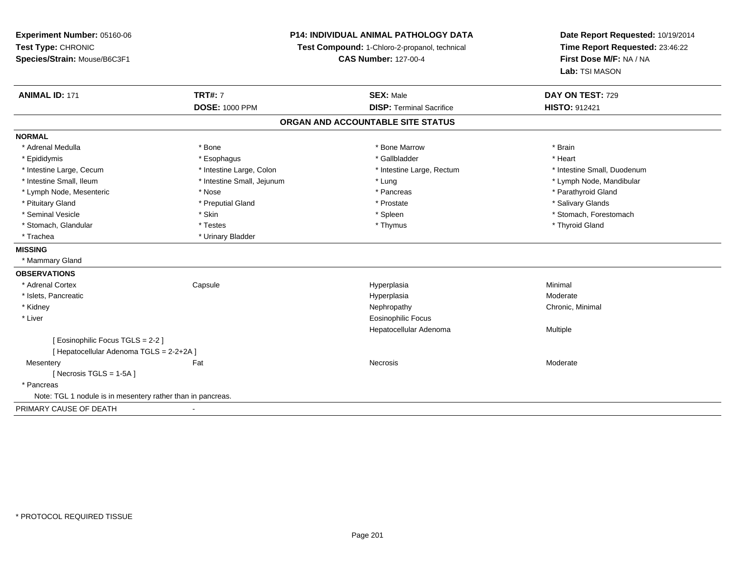| Experiment Number: 05160-06                                 | <b>P14: INDIVIDUAL ANIMAL PATHOLOGY DATA</b>  |                                   | Date Report Requested: 10/19/2014 |  |
|-------------------------------------------------------------|-----------------------------------------------|-----------------------------------|-----------------------------------|--|
| Test Type: CHRONIC                                          | Test Compound: 1-Chloro-2-propanol, technical | Time Report Requested: 23:46:22   |                                   |  |
| Species/Strain: Mouse/B6C3F1                                |                                               | <b>CAS Number: 127-00-4</b>       | First Dose M/F: NA / NA           |  |
|                                                             |                                               |                                   | Lab: TSI MASON                    |  |
| <b>ANIMAL ID: 171</b>                                       | <b>TRT#: 7</b>                                | <b>SEX: Male</b>                  | DAY ON TEST: 729                  |  |
|                                                             | <b>DOSE: 1000 PPM</b>                         | <b>DISP: Terminal Sacrifice</b>   | <b>HISTO: 912421</b>              |  |
|                                                             |                                               | ORGAN AND ACCOUNTABLE SITE STATUS |                                   |  |
| <b>NORMAL</b>                                               |                                               |                                   |                                   |  |
| * Adrenal Medulla                                           | * Bone                                        | * Bone Marrow                     | * Brain                           |  |
| * Epididymis                                                | * Esophagus                                   | * Gallbladder                     | * Heart                           |  |
| * Intestine Large, Cecum                                    | * Intestine Large, Colon                      | * Intestine Large, Rectum         | * Intestine Small, Duodenum       |  |
| * Intestine Small, Ileum                                    | * Intestine Small, Jejunum                    | * Lung                            | * Lymph Node, Mandibular          |  |
| * Lymph Node, Mesenteric                                    | * Nose                                        | * Pancreas                        | * Parathyroid Gland               |  |
| * Pituitary Gland                                           | * Preputial Gland                             | * Prostate                        | * Salivary Glands                 |  |
| * Seminal Vesicle                                           | * Skin                                        | * Spleen                          | * Stomach, Forestomach            |  |
| * Stomach, Glandular                                        | * Testes                                      | * Thymus                          | * Thyroid Gland                   |  |
| * Trachea                                                   | * Urinary Bladder                             |                                   |                                   |  |
| <b>MISSING</b>                                              |                                               |                                   |                                   |  |
| * Mammary Gland                                             |                                               |                                   |                                   |  |
| <b>OBSERVATIONS</b>                                         |                                               |                                   |                                   |  |
| * Adrenal Cortex                                            | Capsule                                       | Hyperplasia                       | Minimal                           |  |
| * Islets, Pancreatic                                        |                                               | Hyperplasia                       | Moderate                          |  |
| * Kidney                                                    |                                               | Nephropathy                       | Chronic, Minimal                  |  |
| * Liver                                                     |                                               | <b>Eosinophilic Focus</b>         |                                   |  |
|                                                             |                                               | Hepatocellular Adenoma            | Multiple                          |  |
| [ Eosinophilic Focus TGLS = 2-2 ]                           |                                               |                                   |                                   |  |
| [ Hepatocellular Adenoma TGLS = 2-2+2A ]                    |                                               |                                   |                                   |  |
| Mesentery                                                   | Fat                                           | <b>Necrosis</b>                   | Moderate                          |  |
| [Necrosis $TGLS = 1-5A$ ]                                   |                                               |                                   |                                   |  |
| * Pancreas                                                  |                                               |                                   |                                   |  |
| Note: TGL 1 nodule is in mesentery rather than in pancreas. |                                               |                                   |                                   |  |
| PRIMARY CAUSE OF DEATH                                      |                                               |                                   |                                   |  |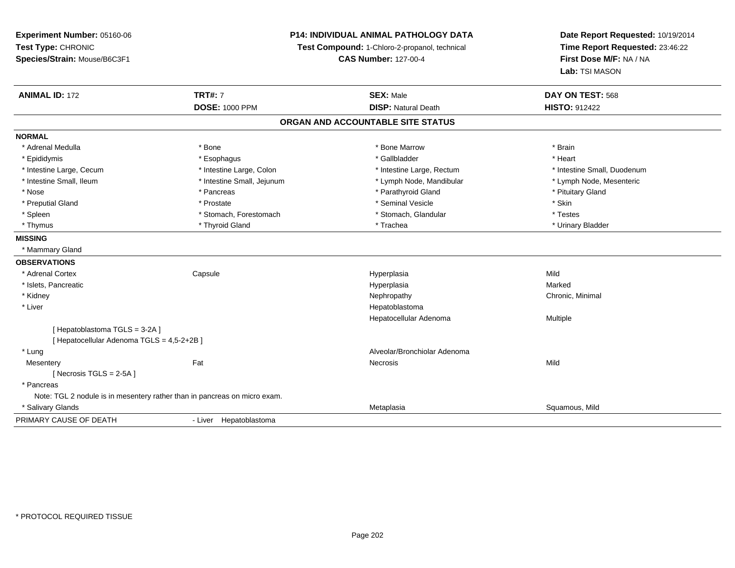**Experiment Number:** 05160-06**Test Type:** CHRONIC **Species/Strain:** Mouse/B6C3F1**P14: INDIVIDUAL ANIMAL PATHOLOGY DATATest Compound:** 1-Chloro-2-propanol, technical **CAS Number:** 127-00-4**Date Report Requested:** 10/19/2014**Time Report Requested:** 23:46:22**First Dose M/F:** NA / NA**Lab:** TSI MASON**ANIMAL ID:** 172**TRT#:** 7 **SEX:** Male **DAY ON TEST:** 568 **DOSE:** 1000 PPM**DISP:** Natural Death **HISTO:** 912422 **ORGAN AND ACCOUNTABLE SITE STATUSNORMAL**\* Adrenal Medulla \* \* Annual Medulla \* Brain \* Bone \* \* Bone Marrow \* Bone Marrow \* \* Brain \* Brain \* Brain \* Brain \* Brain \* Brain \* Brain \* Brain \* Brain \* Brain \* Brain \* Brain \* Brain \* Brain \* Brain \* Brain \* Brain \* \* Heart \* Epididymis \* Esophagus \* Gallbladder \* Heart \* Intestine Large, Cecum \* Intestine Large, Colon \* Intestine Large, Rectum \* Intestine Small, Duodenum\* Lymph Node, Mesenteric \* Intestine Small, Ileum \* Intestine Small, Jejunum \* Lymph Node, Mandibular \* Lymph Node, Mandibular \* Nose \* Pancreas \* Pancreas \* Pancreas \* Parathyroid Gland \* Parathyroid Gland \* Pituitary Gland \* Pituitary Gland \* Preputial Gland \* \* \* Prostate \* \* Prostate \* \* Seminal Vesicle \* \* Seminal Vesicle \* \* \* Skin \* Testes \* Spleen \* Stomach, Forestomach \* Stomach, Forestomach \* Stomach, Slandular \* Stomach, Glandular \* Urinary Bladder \* Thymus \* Thyroid Gland \* Trachea \* Urinary Bladder \* **MISSING** \* Mammary Gland**OBSERVATIONS** \* Adrenal Cortex**Capsule**  Hyperplasia Mild \* Islets, Pancreaticc and the control of the control of the control of the control of the control of the control of the control of the control of the control of the control of the control of the control of the control of the control of the co a **Marked**  \* Kidneyy the controller of the controller of the controller of the Nephropathy Chronic, Minimal (Chronic, Minimal  $\mu$  \* Liver Hepatoblastoma Hepatocellular Adenoma Multiple [ Hepatoblastoma TGLS = 3-2A ][ Hepatocellular Adenoma TGLS = 4,5-2+2B ] \* LungAlveolar/Bronchiolar Adenoma<br>
Recrosis<br>
Necrosis **Mesentery** y the contract of the contract of the contract of the contract of the contract of the contract of the contract of the contract of the contract of the contract of the contract of the contract of the contract of the contract  $[$  Necrosis TGLS = 2-5A  $]$  \* Pancreas Note: TGL 2 nodule is in mesentery rather than in pancreas on micro exam. \* Salivary Glandss and the contract of the contract of the contract of the contract of the contract of the contract of the contract of the contract of the contract of the contract of the contract of the contract of the contract of the cont Metaplasia et al. et al. et al. et al. et al. et al. et al. et al. et al. et al. et al. et al. et al. et al. e PRIMARY CAUSE OF DEATH- Liver Hepatoblastoma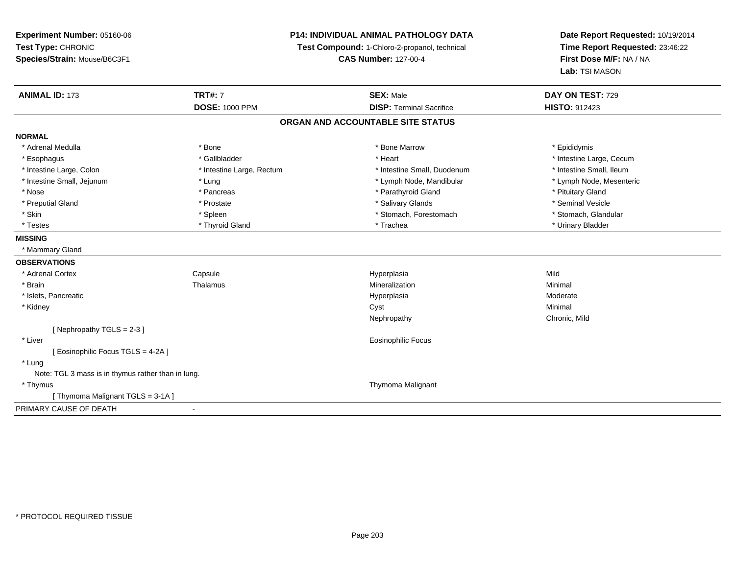**Experiment Number:** 05160-06**Test Type:** CHRONIC **Species/Strain:** Mouse/B6C3F1**P14: INDIVIDUAL ANIMAL PATHOLOGY DATATest Compound:** 1-Chloro-2-propanol, technical **CAS Number:** 127-00-4**Date Report Requested:** 10/19/2014**Time Report Requested:** 23:46:22**First Dose M/F:** NA / NA**Lab:** TSI MASON**ANIMAL ID:** 173**TRT#:** 7 **SEX:** Male **DAY ON TEST:** 729 **DOSE:** 1000 PPM**DISP:** Terminal Sacrifice **HISTO:** 912423 **ORGAN AND ACCOUNTABLE SITE STATUSNORMAL**\* Adrenal Medulla \* Adrenal Medulla \* \* The matter of the state of the state of the Marrow \* Bone Marrow \* Adrenal Medulla \* Epididymis \* Epididymis \* Bone Marrow \* Adrenal Medulla \* Epididymis \* Epididymis \* Epididymis \* Epididymis \* Epidi \* Esophagus \* https://www.fragustage.com/web/2019/heart \* Heart \* Heart \* Heart \* Intestine Large, Cecum \* Intestine Large, Cecum \* Gallbladder \* Callbladder \* 11 and 12 and 12 and 12 and 12 and 12 and 12 and 12 and 12 and \* Intestine Small, Ileum \* Intestine Large, Colon \* Intestine Large, Rectum \* Intestine Small, Duodenum \* Intestine Small, Duodenum \* Lymph Node, Mesenteric \* Intestine Small, Jejunum \* The material and the state of the state of the state of the state of the state of the state of the state of the state of the state of the state of the state of the state of the state of the sta \* Nose \* Pancreas \* Pancreas \* Pancreas \* Parathyroid Gland \* Parathyroid Gland \* Pituitary Gland \* Pituitary Gland \* Seminal Vesicle \* Preputial Gland \* \* Annual vesicle \* \* Prostate \* \* Salivary Glands \* \* Salivary Glands \* \* Seminal Vesicle \* \* Stomach. Glandular \* Skin \* Stomach, Forestomach \* Spleen \* Stomach, Forestomach \* Stomach, Forestomach \* Testes \* \* Thyroid Gland \* \* Thyroid Gland \* \* Trachea \* \* Trachea \* \* \* Trachea \* Urinary Bladder \* \* Urinary Bladder \* \* Urinary Bladder \* \* Urinary Bladder \* \* Urinary Bladder \* \* Urinary Bladder \* \* Urinary Bladder \* **MISSING** \* Mammary Gland**OBSERVATIONS** \* Adrenal CortexCapsule<br>Thalamus Hyperplasia Mild \* Brainn and the matter of the Thalamus and the Minimal of the Minimal of the Minimal of the Minimal of the Minimal o<br>Thalamus and the Minimal of the Minimal of the Minimal of the Minimal of the Minimal of the Minimal of the Min \* Islets, Pancreaticc and the control of the control of the control of the control of the control of the control of the control of the control of the control of the control of the control of the control of the control of the control of the co Hyperplasia Moderate<br>Cyst Minimal \* Kidneyy the control of the control of the control of the control of the control of the control of the control of the control of the control of the control of the control of the control of the control of the control of the contro Nephropathy Chronic, Mild[ Nephropathy TGLS = 2-3 ] \* Liver Eosinophilic Focus[ Eosinophilic Focus TGLS = 4-2A ] \* Lung Note: TGL 3 mass is in thymus rather than in lung. \* Thymus Thymoma Malignant [ Thymoma Malignant TGLS = 3-1A ]PRIMARY CAUSE OF DEATH-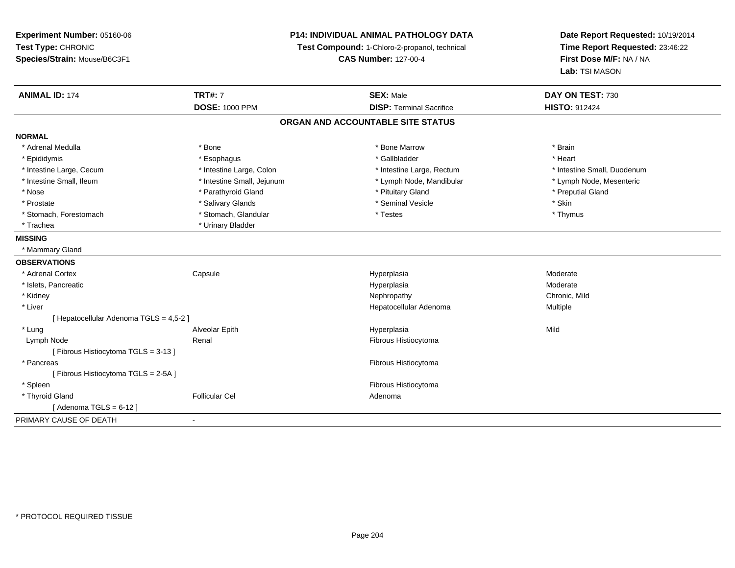| Experiment Number: 05160-06             | <b>P14: INDIVIDUAL ANIMAL PATHOLOGY DATA</b><br>Test Compound: 1-Chloro-2-propanol, technical |                                   | Date Report Requested: 10/19/2014<br>Time Report Requested: 23:46:22 |
|-----------------------------------------|-----------------------------------------------------------------------------------------------|-----------------------------------|----------------------------------------------------------------------|
| Test Type: CHRONIC                      |                                                                                               |                                   |                                                                      |
| Species/Strain: Mouse/B6C3F1            |                                                                                               | <b>CAS Number: 127-00-4</b>       | First Dose M/F: NA / NA<br>Lab: TSI MASON                            |
|                                         |                                                                                               |                                   |                                                                      |
| <b>ANIMAL ID: 174</b>                   | <b>TRT#: 7</b>                                                                                | <b>SEX: Male</b>                  | DAY ON TEST: 730                                                     |
|                                         | <b>DOSE: 1000 PPM</b>                                                                         | <b>DISP: Terminal Sacrifice</b>   | <b>HISTO: 912424</b>                                                 |
|                                         |                                                                                               | ORGAN AND ACCOUNTABLE SITE STATUS |                                                                      |
| <b>NORMAL</b>                           |                                                                                               |                                   |                                                                      |
| * Adrenal Medulla                       | * Bone                                                                                        | * Bone Marrow                     | * Brain                                                              |
| * Epididymis                            | * Esophagus                                                                                   | * Gallbladder                     | * Heart                                                              |
| * Intestine Large, Cecum                | * Intestine Large, Colon                                                                      | * Intestine Large, Rectum         | * Intestine Small, Duodenum                                          |
| * Intestine Small, Ileum                | * Intestine Small, Jejunum                                                                    | * Lymph Node, Mandibular          | * Lymph Node, Mesenteric                                             |
| * Nose                                  | * Parathyroid Gland                                                                           | * Pituitary Gland                 | * Preputial Gland                                                    |
| * Prostate                              | * Salivary Glands                                                                             | * Seminal Vesicle                 | * Skin                                                               |
| * Stomach, Forestomach                  | * Stomach, Glandular                                                                          | * Testes                          | * Thymus                                                             |
| * Trachea                               | * Urinary Bladder                                                                             |                                   |                                                                      |
| <b>MISSING</b>                          |                                                                                               |                                   |                                                                      |
| * Mammary Gland                         |                                                                                               |                                   |                                                                      |
| <b>OBSERVATIONS</b>                     |                                                                                               |                                   |                                                                      |
| * Adrenal Cortex                        | Capsule                                                                                       | Hyperplasia                       | Moderate                                                             |
| * Islets, Pancreatic                    |                                                                                               | Hyperplasia                       | Moderate                                                             |
| * Kidney                                |                                                                                               | Nephropathy                       | Chronic, Mild                                                        |
| * Liver                                 |                                                                                               | Hepatocellular Adenoma            | Multiple                                                             |
| [ Hepatocellular Adenoma TGLS = 4,5-2 ] |                                                                                               |                                   |                                                                      |
| * Lung                                  | Alveolar Epith                                                                                | Hyperplasia                       | Mild                                                                 |
| Lymph Node                              | Renal                                                                                         | Fibrous Histiocytoma              |                                                                      |
| [Fibrous Histiocytoma TGLS = 3-13]      |                                                                                               |                                   |                                                                      |
| * Pancreas                              |                                                                                               | Fibrous Histiocytoma              |                                                                      |
| [Fibrous Histiocytoma TGLS = 2-5A]      |                                                                                               |                                   |                                                                      |
| * Spleen                                |                                                                                               | Fibrous Histiocytoma              |                                                                      |
| * Thyroid Gland                         | <b>Follicular Cel</b>                                                                         | Adenoma                           |                                                                      |
| [Adenoma TGLS = $6-12$ ]                |                                                                                               |                                   |                                                                      |
| PRIMARY CAUSE OF DEATH                  | $\blacksquare$                                                                                |                                   |                                                                      |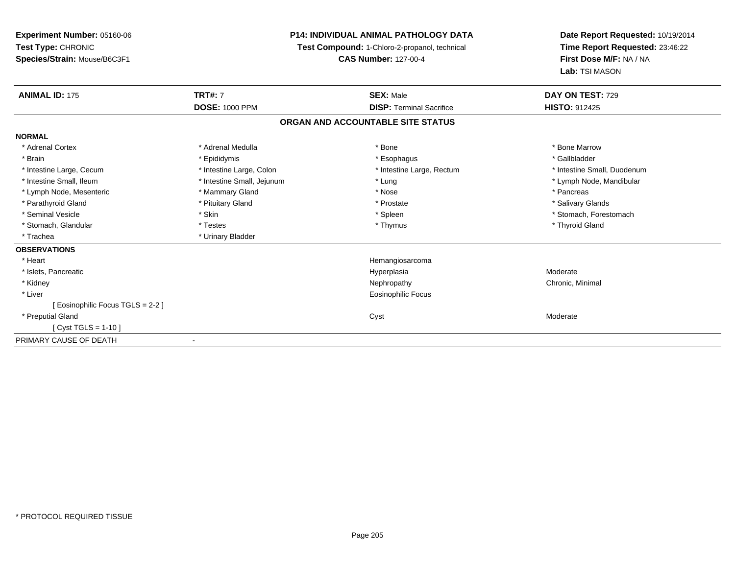| <b>P14: INDIVIDUAL ANIMAL PATHOLOGY DATA</b><br><b>Experiment Number: 05160-06</b> |                                                                              | Date Report Requested: 10/19/2014 |                                           |  |
|------------------------------------------------------------------------------------|------------------------------------------------------------------------------|-----------------------------------|-------------------------------------------|--|
| Test Type: CHRONIC                                                                 | Test Compound: 1-Chloro-2-propanol, technical<br><b>CAS Number: 127-00-4</b> |                                   | Time Report Requested: 23:46:22           |  |
| Species/Strain: Mouse/B6C3F1                                                       |                                                                              |                                   | First Dose M/F: NA / NA<br>Lab: TSI MASON |  |
|                                                                                    |                                                                              |                                   |                                           |  |
| <b>ANIMAL ID: 175</b>                                                              | <b>TRT#: 7</b>                                                               | <b>SEX: Male</b>                  | DAY ON TEST: 729                          |  |
|                                                                                    | <b>DOSE: 1000 PPM</b>                                                        | <b>DISP: Terminal Sacrifice</b>   | <b>HISTO: 912425</b>                      |  |
|                                                                                    |                                                                              | ORGAN AND ACCOUNTABLE SITE STATUS |                                           |  |
| <b>NORMAL</b>                                                                      |                                                                              |                                   |                                           |  |
| * Adrenal Cortex                                                                   | * Adrenal Medulla                                                            | * Bone                            | * Bone Marrow                             |  |
| * Brain                                                                            | * Epididymis                                                                 | * Esophagus                       | * Gallbladder                             |  |
| * Intestine Large, Cecum                                                           | * Intestine Large, Colon                                                     | * Intestine Large, Rectum         | * Intestine Small, Duodenum               |  |
| * Intestine Small, Ileum                                                           | * Intestine Small, Jejunum                                                   | * Lung                            | * Lymph Node, Mandibular                  |  |
| * Lymph Node, Mesenteric                                                           | * Mammary Gland                                                              | * Nose                            | * Pancreas                                |  |
| * Parathyroid Gland                                                                | * Pituitary Gland                                                            | * Prostate                        | * Salivary Glands                         |  |
| * Seminal Vesicle                                                                  | * Skin                                                                       | * Spleen                          | * Stomach, Forestomach                    |  |
| * Stomach, Glandular                                                               | * Testes                                                                     | * Thymus                          | * Thyroid Gland                           |  |
| * Trachea                                                                          | * Urinary Bladder                                                            |                                   |                                           |  |
| <b>OBSERVATIONS</b>                                                                |                                                                              |                                   |                                           |  |
| * Heart                                                                            |                                                                              | Hemangiosarcoma                   |                                           |  |
| * Islets, Pancreatic                                                               |                                                                              | Hyperplasia                       | Moderate                                  |  |
| * Kidney                                                                           |                                                                              | Nephropathy                       | Chronic, Minimal                          |  |
| * Liver                                                                            |                                                                              | <b>Eosinophilic Focus</b>         |                                           |  |
| [ Eosinophilic Focus TGLS = 2-2 ]                                                  |                                                                              |                                   |                                           |  |
| * Preputial Gland                                                                  |                                                                              | Cyst                              | Moderate                                  |  |
| [ Cyst TGLS = 1-10 ]                                                               |                                                                              |                                   |                                           |  |
| PRIMARY CAUSE OF DEATH                                                             |                                                                              |                                   |                                           |  |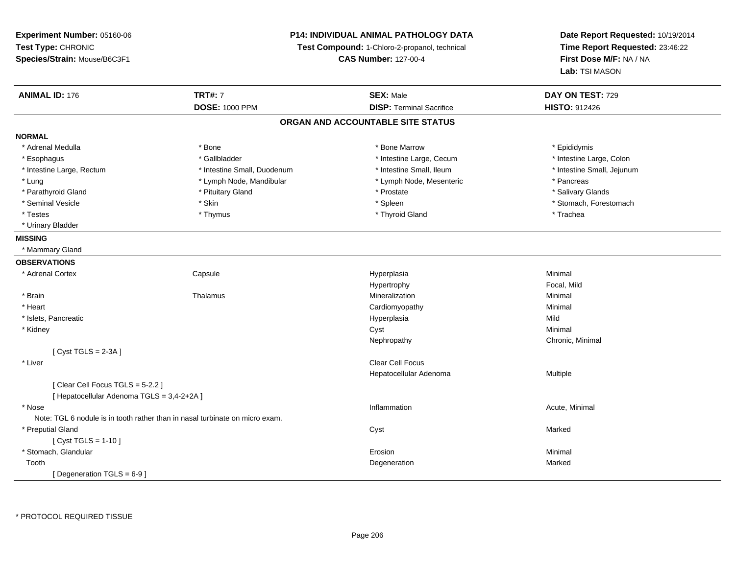**Experiment Number:** 05160-06**Test Type:** CHRONIC **Species/Strain:** Mouse/B6C3F1**P14: INDIVIDUAL ANIMAL PATHOLOGY DATATest Compound:** 1-Chloro-2-propanol, technical **CAS Number:** 127-00-4**Date Report Requested:** 10/19/2014**Time Report Requested:** 23:46:22**First Dose M/F:** NA / NA**Lab:** TSI MASON**ANIMAL ID:** 176**TRT#:** 7 **SEX:** Male **DAY ON TEST:** 729 **DOSE:** 1000 PPM**DISP:** Terminal Sacrifice **HISTO:** 912426 **ORGAN AND ACCOUNTABLE SITE STATUSNORMAL**\* Adrenal Medulla \* Adrenal Medulla \* \* The matter of the state of the state of the Marrow \* Bone Marrow \* Adrenal Medulla \* Epididymis \* Epididymis \* Bone Marrow \* Adrenal Medulla \* Epididymis \* Epididymis \* Epididymis \* Epididymis \* Epidi \* Intestine Large, Colon \* Esophagus \* Intestine Large, Cecum \* Callbladder \* 10 \* Intestine Large, Cecum \* Intestine Large, Cecum \* \* Intestine Large, Rectum \* Thestine Small, Duodenum \* Number of the small, Ileum \* Intestine Small, Jejunum \* Intestine Small, Jejunum \* Lung metal term in the state of the Lymph Node, Mandibular term is the state of the state of the state of the state of the state of the state of the state of the state of the state of the state of the state of the state \* Salivary Glands \* Parathyroid Gland \* \* \* Pituitary Gland \* \* Prostate \* \* Prostate \* \* Salivary Glands \* Salivary Glands \* Salivary Glands \* Salivary Glands \* Salivary Glands \* Salivary Glands \* Salivary Glands \* Salivary Glands \* Saliva \* Seminal Vesicle \* The state of the set of the set of the set of the set of the set of the set of the set of the set of the set of the set of the set of the set of the set of the set of the set of the set of the set of th \* Testes \* Thymus \* Thyroid Gland \* Trachea \* Urinary Bladder**MISSING** \* Mammary Gland**OBSERVATIONS** \* Adrenal Cortex**Capsule**  Hyperplasia Minimal HypertrophyFocal, Mild<br>Minimal \* Brainn and the matter of the Thalamus and the Minimal of the Minimal of the Minimal of the Minimal of the Minimal o<br>Thalamus and the Minimal of the Minimal of the Minimal of the Minimal of the Minimal of the Minimal of the Min \* Heart Cardiomyopathy Minimal \* Islets, Pancreaticc and the control of the control of the control of the control of the control of the control of the control of the control of the control of the control of the control of the control of the control of the control of the co a Mild \* Kidneyy the control of the control of the control of the control of the control of the control of the control of the control of the control of the control of the control of the control of the control of the control of the contro Nephropathy Chronic, Minimal [ Cyst TGLS = 2-3A ] \* Liverr and the contract of the contract of the contract of the contract of the contract of the contract of the contract of the contract of the contract of the contract of the contract of the contract of the contract of the cont Hepatocellular Adenoma Multiple [ Clear Cell Focus TGLS = 5-2.2 ][ Hepatocellular Adenoma TGLS = 3,4-2+2A ] \* Nosee the contraction of the contraction of the contraction of the contraction of the contraction of the contraction  $\mathsf{Acute}$ , Minimal Note: TGL 6 nodule is in tooth rather than in nasal turbinate on micro exam. \* Preputial Glandd and the control of the control of the control of the control of the control of the control of the control of the control of the control of the control of the control of the control of the control of the control of the co  $[$  Cyst TGLS = 1-10  $]$  \* Stomach, Glandularr and the contract of the contract of the contract of the contract of the contract of the contract of the contract of the contract of the contract of the contract of the contract of the contract of the contract of the cont n and a basic control of the Minimal Toothh and the control of the control of the control of the control of the control of the control of the control of the control of the control of the control of the control of the control of the control of the control of the co [ Degeneration TGLS = 6-9 ]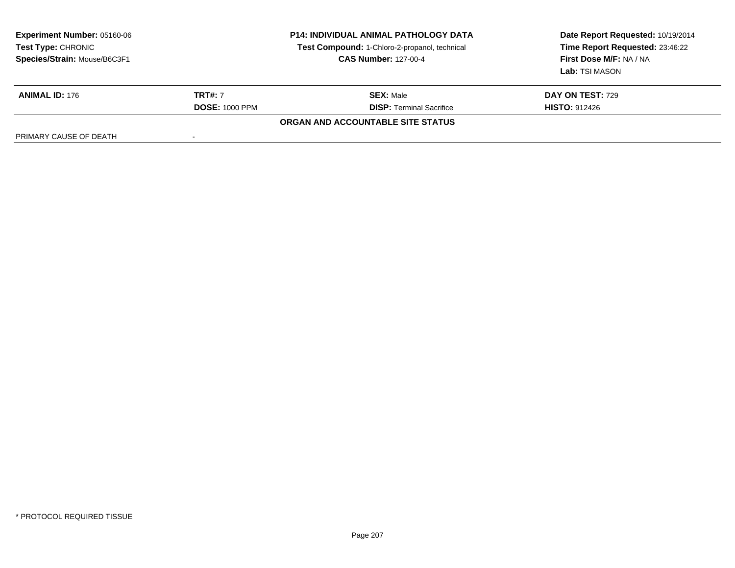| <b>Experiment Number: 05160-06</b><br><b>Test Type: CHRONIC</b><br>Species/Strain: Mouse/B6C3F1 | <b>P14: INDIVIDUAL ANIMAL PATHOLOGY DATA</b><br><b>Test Compound: 1-Chloro-2-propanol, technical</b><br><b>CAS Number: 127-00-4</b> |                                   | Date Report Requested: 10/19/2014<br>Time Report Requested: 23:46:22<br>First Dose M/F: NA / NA<br>Lab: TSI MASON |
|-------------------------------------------------------------------------------------------------|-------------------------------------------------------------------------------------------------------------------------------------|-----------------------------------|-------------------------------------------------------------------------------------------------------------------|
| <b>ANIMAL ID: 176</b>                                                                           | <b>TRT#: 7</b>                                                                                                                      | <b>SEX: Male</b>                  | <b>DAY ON TEST: 729</b>                                                                                           |
|                                                                                                 | <b>DOSE: 1000 PPM</b>                                                                                                               | <b>DISP: Terminal Sacrifice</b>   | <b>HISTO: 912426</b>                                                                                              |
|                                                                                                 |                                                                                                                                     | ORGAN AND ACCOUNTABLE SITE STATUS |                                                                                                                   |
| PRIMARY CAUSE OF DEATH                                                                          | -                                                                                                                                   |                                   |                                                                                                                   |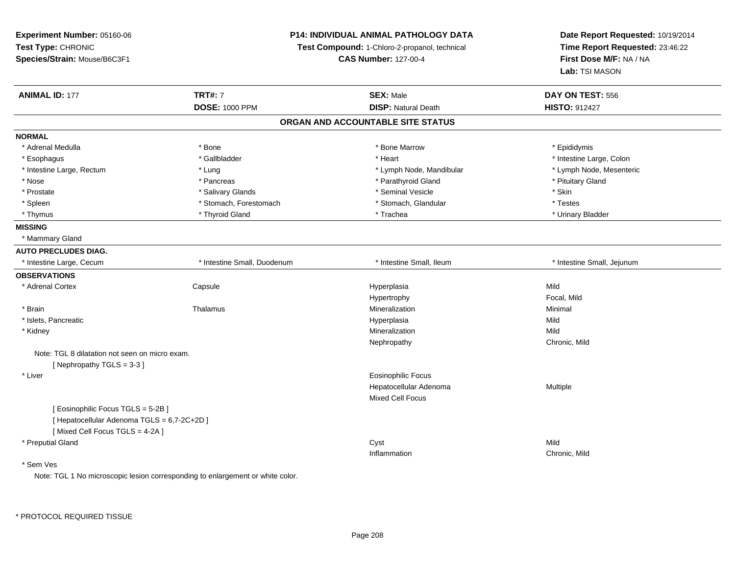**Experiment Number:** 05160-06**Test Type:** CHRONIC **Species/Strain:** Mouse/B6C3F1**P14: INDIVIDUAL ANIMAL PATHOLOGY DATATest Compound:** 1-Chloro-2-propanol, technical **CAS Number:** 127-00-4**Date Report Requested:** 10/19/2014**Time Report Requested:** 23:46:22**First Dose M/F:** NA / NA**Lab:** TSI MASON**ANIMAL ID:** 177 **TRT#:** <sup>7</sup> **SEX:** Male **DAY ON TEST:** <sup>556</sup> **DOSE:** 1000 PPM**DISP:** Natural Death **HISTO:** 912427 **ORGAN AND ACCOUNTABLE SITE STATUSNORMAL**\* Adrenal Medulla \* Adrenal Medulla \* \* The matter of the state of the state of the Marrow \* Bone Marrow \* Adrenal Medulla \* Epididymis \* Epididymis \* Bone Marrow \* Adrenal Medulla \* Epididymis \* Epididymis \* Epididymis \* Epididymis \* Epidi \* Esophagus \* The metallocom to the settlement of the settlement of the settlement of the settlement of the settlement of the settlement of the settlement of the settlement of the settlement of the settlement of the settle \* Lymph Node, Mesenteric \* Intestine Large, Rectum \* Lung \* Lung \* Lung \* Lymph Node, Mandibular \* Lymph Node, Mandibular \* Nose \* Pancreas \* Pancreas \* Pancreas \* Parathyroid Gland \* Parathyroid Gland \* Pituitary Gland \* Pituitary Gland \* Prostate \* \* Salivary Glands \* \* Salivary Glands \* \* Seminal Vesicle \* \* \* Seminal Yestrich \* \* Skin \* \* Skin \* Testes \* Spleen \* Stomach, Forestomach \* Stomach, Forestomach \* Stomach, Slandular \* Stomach, Glandular \* Urinary Bladder \* Thymus \* Thyroid Gland \* Trachea \* Urinary Bladder \* **MISSING** \* Mammary Gland**AUTO PRECLUDES DIAG.** \* Intestine Large, Cecum \* Intestine Small, Duodenum \* Intestine Small, Ileum \* Intestine Small, Jejunum**OBSERVATIONS** \* Adrenal Cortex**Capsule**  Hyperplasia Mild Hypertrophy Focal, Mild \* Brainn and the matter of the Thalamus and the Minimal of the Minimal of the Minimal of the Minimal of the Minimal o<br>Thalamus and the Minimal of the Minimal of the Minimal of the Minimal of the Minimal of the Minimal of the Min \* Islets, Pancreaticc and the contract of the contract of the contract of the contract of the contract of the contract of the contract of the contract of the contract of the contract of the contract of the contract of the contract of the cont a Mild \* Kidneyy the control of the control of the control of the control of the control of the control of the control of the control of the control of the control of the control of the control of the control of the control of the contro n Mild Nephropathy Chronic, MildNote: TGL 8 dilatation not seen on micro exam.[ Nephropathy TGLS = 3-3 ] \* Liver Eosinophilic Focus Hepatocellular Adenoma Multiple Mixed Cell Focus[ Eosinophilic Focus TGLS = 5-2B ][ Hepatocellular Adenoma TGLS = 6,7-2C+2D ][ Mixed Cell Focus TGLS = 4-2A ] \* Preputial Glandd and the control of the control of the control of the control of the control of the control of the control of the control of the control of the control of the control of the control of the control of the control of the co Inflammation Chronic, Mild \* Sem Ves

Note: TGL 1 No microscopic lesion corresponding to enlargement or white color.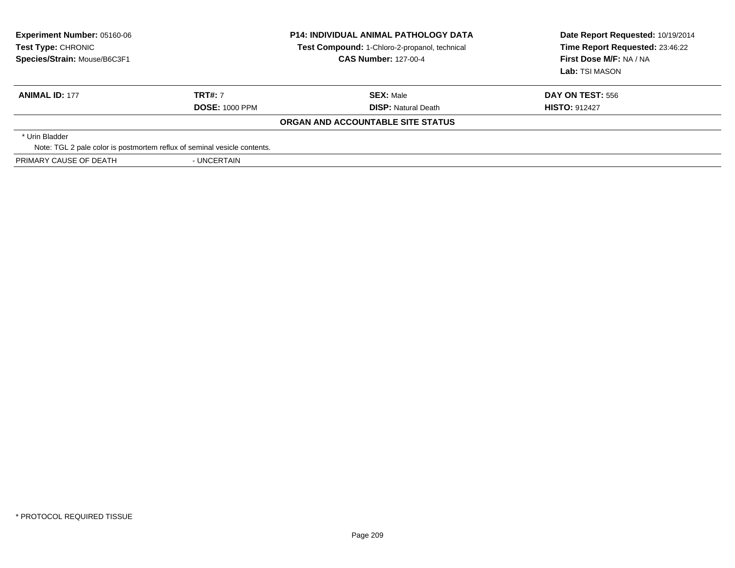| <b>Experiment Number: 05160-06</b><br>Test Type: CHRONIC<br>Species/Strain: Mouse/B6C3F1 | <b>P14: INDIVIDUAL ANIMAL PATHOLOGY DATA</b><br>Test Compound: 1-Chloro-2-propanol, technical<br><b>CAS Number: 127-00-4</b> |                                   | Date Report Requested: 10/19/2014<br>Time Report Requested: 23:46:22<br>First Dose M/F: NA / NA<br><b>Lab:</b> TSI MASON |
|------------------------------------------------------------------------------------------|------------------------------------------------------------------------------------------------------------------------------|-----------------------------------|--------------------------------------------------------------------------------------------------------------------------|
| <b>ANIMAL ID: 177</b>                                                                    | <b>TRT#: 7</b>                                                                                                               | <b>SEX: Male</b>                  | DAY ON TEST: 556                                                                                                         |
|                                                                                          | <b>DOSE: 1000 PPM</b>                                                                                                        | <b>DISP: Natural Death</b>        | <b>HISTO: 912427</b>                                                                                                     |
|                                                                                          |                                                                                                                              | ORGAN AND ACCOUNTABLE SITE STATUS |                                                                                                                          |
| * Urin Bladder                                                                           |                                                                                                                              |                                   |                                                                                                                          |
| Note: TGL 2 pale color is postmortem reflux of seminal vesicle contents.                 |                                                                                                                              |                                   |                                                                                                                          |
| PRIMARY CAUSE OF DEATH                                                                   | - UNCERTAIN                                                                                                                  |                                   |                                                                                                                          |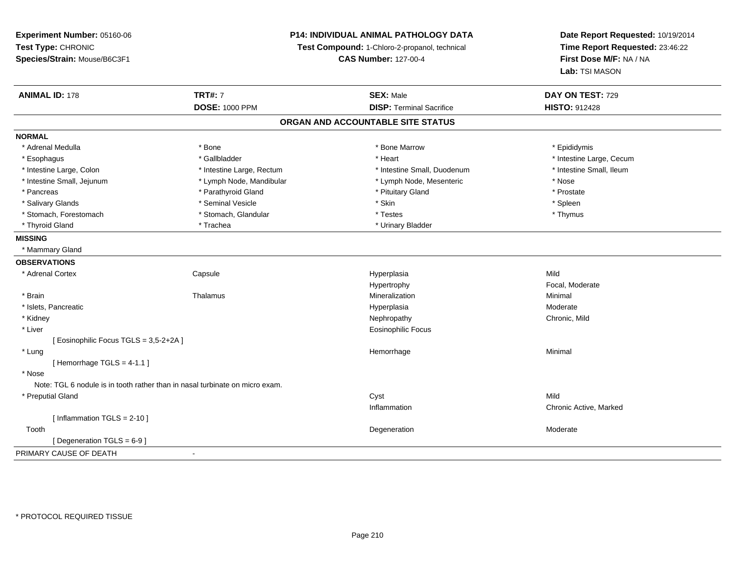**Experiment Number:** 05160-06**Test Type:** CHRONIC **Species/Strain:** Mouse/B6C3F1**P14: INDIVIDUAL ANIMAL PATHOLOGY DATATest Compound:** 1-Chloro-2-propanol, technical **CAS Number:** 127-00-4**Date Report Requested:** 10/19/2014**Time Report Requested:** 23:46:22**First Dose M/F:** NA / NA**Lab:** TSI MASON**ANIMAL ID:** 178**TRT#:** 7 **SEX:** Male **DAY ON TEST:** 729 **DOSE:** 1000 PPM**DISP:** Terminal Sacrifice **HISTO:** 912428 **ORGAN AND ACCOUNTABLE SITE STATUSNORMAL**\* Adrenal Medulla \* Adrenal Medulla \* \* The matter of the state of the state of the Marrow \* Bone Marrow \* Adrenal Medulla \* Epididymis \* Epididymis \* Bone Marrow \* Adrenal Medulla \* Epididymis \* Epididymis \* Epididymis \* Epididymis \* Epidi \* Esophagus \* https://www.fragustage.com/web/2019/heart \* Heart \* Heart \* Heart \* Intestine Large, Cecum \* Intestine Large, Cecum \* Gallbladder \* Callbladder \* 11 and 12 and 12 and 12 and 12 and 12 and 12 and 12 and 12 and \* Intestine Small, Ileum \* Intestine Large, Colon \* Intestine Large, Rectum \* Intestine Small, Duodenum \* Intestine Small, Duodenum \* Intestine Small, Jejunum \* Lymph Node, Mandibular \* Lymph Node, Mesenteric \* Nose\* Prostate \* Pancreas \* Parathyroid Gland \* Parathyroid Gland \* Parathyroid Gland \* Prituitary Gland \* Spleen \* Salivary Glands \* \* \* Sheen \* Seminal Vesicle \* \* \* Stan \* \* Skin \* \* Skin \* \* Spleen \* \* Spleen \* \* Spleen \* \* Thymus \* Stomach, Forestomach \* Testes \* Stomach, Glandular \* Testes \* Testes \* Testes \* Testes \* Testes \* Testes \* T \* Thyroid Gland \* Trachea \* Trachea \* Trachea \* Urinary Bladder **MISSING** \* Mammary Gland**OBSERVATIONS** \* Adrenal Cortex**Capsule**  Hyperplasia Mild Hypertrophy Focal, Moderate \* Brainn and the matter of the Thalamus and the Minimal of the Minimal of the Minimal of the Minimal of the Minimal o<br>Thalamus and the Minimal of the Minimal of the Minimal of the Minimal of the Minimal of the Minimal of the Min \* Islets, Pancreaticc and the contract of the contract of the contract of the contract of the contract of the contract of the contract of the contract of the contract of the contract of the contract of the contract of the contract of the cont a **Moderate**  \* Kidneyy the controller of the controller of the controller of the controller of the controller of the chronic, Mild \* Liver Eosinophilic Focus[ Eosinophilic Focus TGLS = 3,5-2+2A ] \* Lungg and the state of the state of the state of the state of the Minimal Section 1, and the state of the state of the state of the state of the state of the state of the state of the state of the state of the state of the sta  $[$  Hemorrhage TGLS = 4-1.1  $]$  \* Nose Note: TGL 6 nodule is in tooth rather than in nasal turbinate on micro exam. \* Preputial Glandd and the control of the control of the control of the control of the control of the control of the control of the control of the control of the control of the control of the control of the control of the control of the co Inflammation Chronic Active, Marked [ Inflammation TGLS = 2-10 ] Toothh and the control of the control of the control of the control of the control of the control of the control of the control of the control of the control of the control of the control of the control of the control of the co [ Degeneration TGLS = 6-9 ]PRIMARY CAUSE OF DEATH-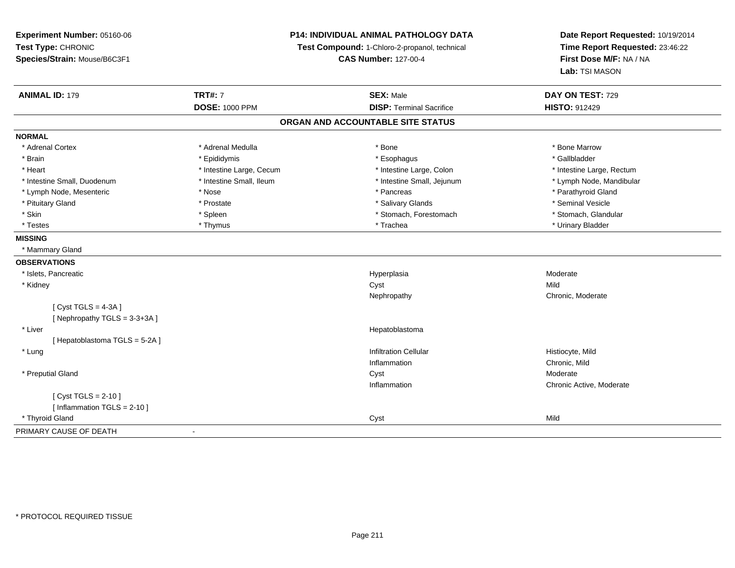**Experiment Number:** 05160-06**Test Type:** CHRONIC **Species/Strain:** Mouse/B6C3F1**P14: INDIVIDUAL ANIMAL PATHOLOGY DATATest Compound:** 1-Chloro-2-propanol, technical **CAS Number:** 127-00-4**Date Report Requested:** 10/19/2014**Time Report Requested:** 23:46:22**First Dose M/F:** NA / NA**Lab:** TSI MASON**ANIMAL ID:** 179**TRT#:** 7 **SEX:** Male **DAY ON TEST:** 729 **DOSE:** 1000 PPM**DISP:** Terminal Sacrifice **HISTO:** 912429 **ORGAN AND ACCOUNTABLE SITE STATUSNORMAL**\* Adrenal Cortex \* Adrenal Medulla \* Adrenal Medulla \* Bone \* Bone \* Bone \* Bone \* Bone Marrow \* Gallbladder \* Brain \* Allen the state of the state of the state of the state of the state of the state of the state of the state of the state of the state of the state of the state of the state of the state of the state of the state o \* Heart **\*** Intestine Large, Cecum \* Intestine Large, Cecum \* Intestine Large, Colon \* <sup>\*</sup> Intestine Large, Rectum \* Lymph Node, Mandibular \* Intestine Small, Duodenum \* 100 \* Intestine Small, Ileum \* 100 \* 100 \* 100 \* 100 \* 100 \* 100 \* 100 \* 100 \* 100 \* 100 \* 100 \* 100 \* 100 \* 100 \* 100 \* 100 \* 100 \* 100 \* 100 \* 100 \* 100 \* 100 \* 100 \* 100 \* 100 \* 100 \* 100 \* \* Lymph Node, Mesenteric \* The state of the state of the state of the state of the state of the state of the state of the state of the state of the state of the state of the state of the state of the state of the state of \* Pituitary Gland \* \* \* \* Prostate \* \* Prostate \* \* Salivary Glands \* \* Salivary Glands \* \* Seminal Vesicle \* Stomach. Glandular \* Skin \* Stomach, Forestomach \* Spleen \* Stomach, Forestomach \* Stomach, Forestomach \* Testes \* Thymus \* Trachea \* Urinary Bladder **MISSING** \* Mammary Gland**OBSERVATIONS** \* Islets, Pancreaticc and the contract of the contract of the contract of the contract of the contract of the contract of the contract of the contract of the contract of the contract of the contract of the contract of the contract of the cont Hyperplasia Moderate<br>Cyst Mild \* Kidneyy and the control of the control of the control of the control of the control of the control of the control of the control of the control of the control of the control of the control of the control of the control of the co y **Chronic, Moderate** Nephropathy $[$  Cyst TGLS = 4-3A  $]$ [ Nephropathy TGLS = 3-3+3A ] \* Liver Hepatoblastoma[ Hepatoblastoma TGLS = 5-2A ] \* Lungg is a contract of the contract of the contract of the contract of the contract of the contract of the contract of the contract of the contract of the contract of the contract of the contract of the contract of the contrac Inflammation Chronic, Mild \* Preputial Glandd and the control of the control of the control of the control of the control of the control of the control of the control of the control of the control of the control of the control of the control of the control of the co Inflammation Chronic Active, Moderate [ Cyst TGLS = 2-10 ][ Inflammation TGLS = 2-10 ] \* Thyroid Glandd Cyst Mild and Cyst Mild and Cyst Mild and Cyst Mild and Cyst Mild and Cyst Mild and Cyst Mild and Cyst Mild and Cyst Mild and Cyst Mild and Cyst Mild and Cyst Mild and Cyst Mild and Cyst Mild and Cyst Mild and Cyst Mild PRIMARY CAUSE OF DEATH-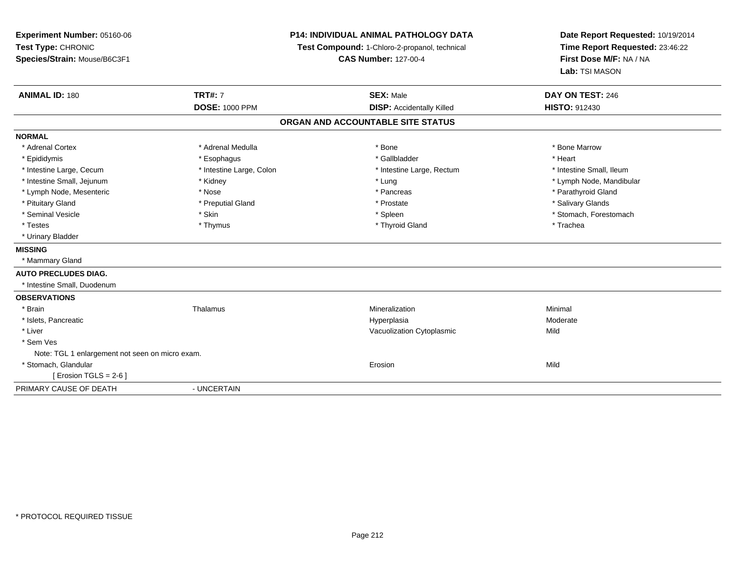**Experiment Number:** 05160-06**Test Type:** CHRONIC **Species/Strain:** Mouse/B6C3F1**P14: INDIVIDUAL ANIMAL PATHOLOGY DATATest Compound:** 1-Chloro-2-propanol, technical **CAS Number:** 127-00-4**Date Report Requested:** 10/19/2014**Time Report Requested:** 23:46:22**First Dose M/F:** NA / NA**Lab:** TSI MASON**ANIMAL ID:** 180**TRT#:** 7 **SEX:** Male **DAY ON TEST:** 246 **DOSE:** 1000 PPM**DISP:** Accidentally Killed **HISTO:** 912430 **ORGAN AND ACCOUNTABLE SITE STATUSNORMAL**\* Adrenal Cortex \* Adrenal Medulla \* Adrenal Medulla \* Bone \* Bone \* Bone \* Bone \* Bone Marrow \* Epididymis \* Esophagus \* Gallbladder \* Heart\* Intestine Large, Cecum \* Intestine Large, Colon \* Intestine Large, Rectum \* Intestine Small, Ileum \* Intestine Small, Jejunum \* Kidney \* Lung \* Lymph Node, Mandibular\* Lymph Node, Mesenteric \* The state of the state of the state of the state of the state of the state of the state of the state of the state of the state of the state of the state of the state of the state of the state of \* Pituitary Gland \* \* Then the state \* Preputial Gland \* Prosection \* Prostate \* \* Salivary Glands \* Salivary Glands \* Salivary Glands \* Salivary Glands \* Salivary Glands \* Salivary Glands \* Salivary Glands \* Salivary Glan \* Seminal Vesicle \* The state of the set of the set of the set of the set of the set of the set of the set of the set of the set of the set of the set of the set of the set of the set of the set of the set of the set of th \* Testes \* Thymus \* Thyroid Gland \* Trachea \* Urinary Bladder**MISSING** \* Mammary Gland**AUTO PRECLUDES DIAG.** \* Intestine Small, Duodenum**OBSERVATIONS** \* Brainn and the matter of the Thalamus and the Minimal of the Minimal of the Minimal of the Minimal of the Minimal o<br>Thalamus and the Minimal of the Minimal of the Minimal of the Minimal of the Minimal of the Minimal of the Min \* Islets, Pancreaticc and the contract of the contract of the contract of the contract of the contract of the contract of the contract of the contract of the contract of the contract of the contract of the contract of the contract of the cont a **Moderate**  \* Liver Vacuolization Cytoplasmicc Mild \* Sem Ves Note: TGL 1 enlargement not seen on micro exam. \* Stomach, Glandularr and the contract of the contract of the contract of the contract of the contract of the contract of the contract of the contract of the contract of the contract of the contract of the contract of the contract of the cont n Mild  $[$  Erosion TGLS = 2-6  $]$ PRIMARY CAUSE OF DEATH- UNCERTAIN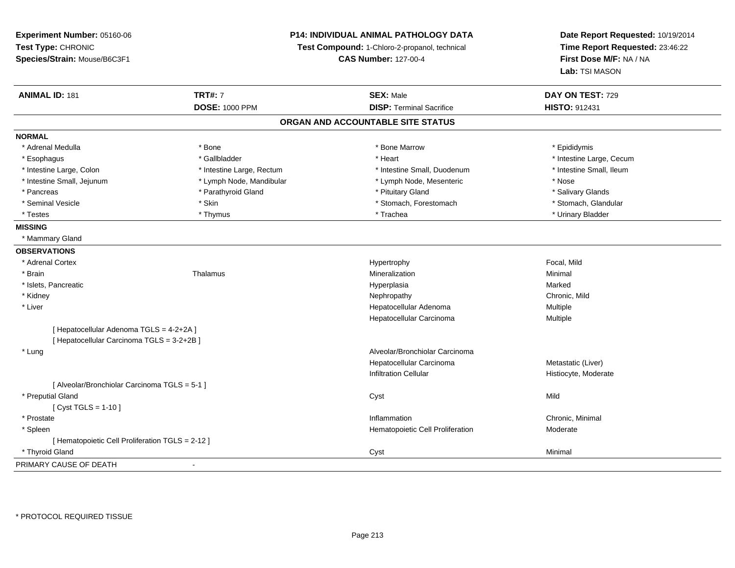**Experiment Number:** 05160-06**Test Type:** CHRONIC **Species/Strain:** Mouse/B6C3F1**P14: INDIVIDUAL ANIMAL PATHOLOGY DATATest Compound:** 1-Chloro-2-propanol, technical **CAS Number:** 127-00-4**Date Report Requested:** 10/19/2014**Time Report Requested:** 23:46:22**First Dose M/F:** NA / NA**Lab:** TSI MASON**ANIMAL ID:** 181**TRT#:** 7 **SEX:** Male **DAY ON TEST:** 729 **DOSE:** 1000 PPM**DISP:** Terminal Sacrifice **HISTO:** 912431 **ORGAN AND ACCOUNTABLE SITE STATUSNORMAL**\* Adrenal Medulla \* Adrenal Medulla \* \* The matter of the state of the state of the Marrow \* Bone Marrow \* Adrenal Medulla \* Epididymis \* Epididymis \* Bone Marrow \* Adrenal Medulla \* Epididymis \* Epididymis \* Epididymis \* Epididymis \* Epidi \* Esophagus \* https://www.fragustage.com/web/2019/heart \* Heart \* Heart \* Heart \* Intestine Large, Cecum \* Intestine Large, Cecum \* Gallbladder \* Callbladder \* 11 and 12 and 12 and 12 and 12 and 12 and 12 and 12 and 12 and \* Intestine Small, Ileum \* Intestine Large, Colon \* Intestine Large, Rectum \* Intestine Small, Duodenum \* Intestine Small, Duodenum \* Intestine Small, Jejunum \* Lymph Node, Mandibular \* Lymph Node, Mesenteric \* Nose\* Salivary Glands \* Pancreas \* And the section of the section of the section of the section of the section of the section of the section of the section of the section of the section of the section of the section of the section of the sectio \* Stomach, Glandular \* Seminal Vesicle \* Stomach, Forestomach \* Skin \* Skin \* Stomach, Forestomach \* Stomach, Forestomach \* Testes \* Thymus \* Trachea \* Urinary Bladder **MISSING** \* Mammary Gland**OBSERVATIONS** \* Adrenal Cortexx and the state of the state of the state of the Hypertrophy Hypertrophy and the state of the Focal, Mild \* Brainn and the matter of the Thalamus and the Minimal of the Minimal of the Minimal of the Minimal of the Minimal o<br>Thalamus and the Minimal of the Minimal of the Minimal of the Minimal of the Minimal of the Minimal of the Min \* Islets, Pancreaticc and the contract of the contract of the contract of the contract of the contract of the contract of the contract of the contract of the contract of the contract of the contract of the contract of the contract of the cont a **Marked**  \* Kidneyy the controller of the controller of the controller of the controller of the controller of the chronic, Mild \* Liver Hepatocellular Adenoma Multiple Hepatocellular Carcinoma Multiple [ Hepatocellular Adenoma TGLS = 4-2+2A ][ Hepatocellular Carcinoma TGLS = 3-2+2B ] \* Lung Alveolar/Bronchiolar Carcinoma Hepatocellular Carcinoma Metastatic (Liver) Infiltration Cellular Histiocyte, Moderate[ Alveolar/Bronchiolar Carcinoma TGLS = 5-1 ] \* Preputial Glandd and the control of the control of the control of the control of the control of the control of the control of the control of the control of the control of the control of the control of the control of the control of the co  $[$  Cyst TGLS = 1-10  $]$  \* Prostatee inflammation and the control of the control of the control of the control of the control of the control of the control of the control of the control of the control of the control of the control of the control of the cont \* SpleenHematopoietic Cell Proliferation Moderate [ Hematopoietic Cell Proliferation TGLS = 2-12 ] \* Thyroid Gland Cyst Minimal PRIMARY CAUSE OF DEATH-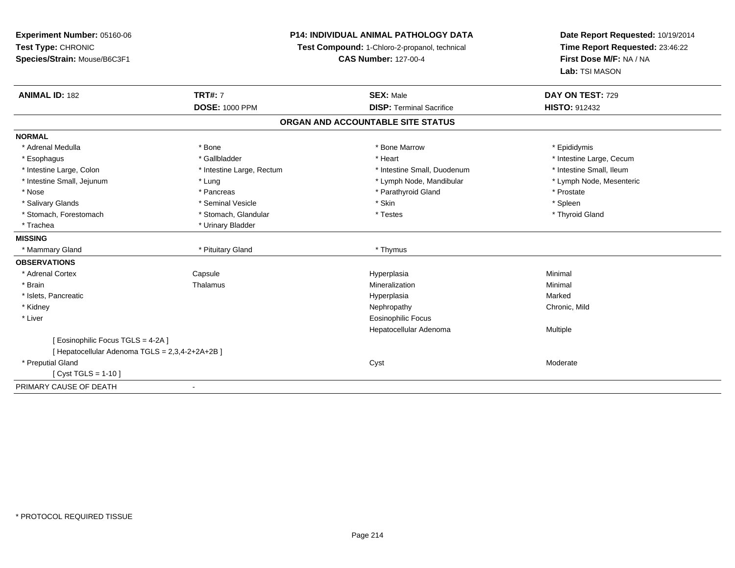**Experiment Number:** 05160-06**Test Type:** CHRONIC **Species/Strain:** Mouse/B6C3F1**P14: INDIVIDUAL ANIMAL PATHOLOGY DATATest Compound:** 1-Chloro-2-propanol, technical **CAS Number:** 127-00-4**Date Report Requested:** 10/19/2014**Time Report Requested:** 23:46:22**First Dose M/F:** NA / NA**Lab:** TSI MASON**ANIMAL ID:** 182**TRT#:** 7 **SEX:** Male **DAY ON TEST:** 729 **DOSE:** 1000 PPM**DISP:** Terminal Sacrifice **HISTO:** 912432 **ORGAN AND ACCOUNTABLE SITE STATUSNORMAL**\* Adrenal Medulla \* Adrenal Medulla \* \* The matter of the state of the state of the Marrow \* Bone Marrow \* Adrenal Medulla \* Epididymis \* Epididymis \* Bone Marrow \* Adrenal Medulla \* Epididymis \* Epididymis \* Epididymis \* Epididymis \* Epidi \* Esophagus \* https://www.fragustage.com/web/2019/heart \* Heart \* Heart \* Heart \* Intestine Large, Cecum \* Intestine Large, Cecum \* Gallbladder \* Callbladder \* 11 and 12 and 12 and 12 and 12 and 12 and 12 and 12 and 12 and \* Intestine Small, Ileum \* Intestine Large, Colon \* Intestine Large, Rectum \* Intestine Small, Duodenum \* Intestine Small, Duodenum \* Lymph Node, Mesenteric \* Intestine Small, Jejunum \* The material and the state of the state of the state of the state of the state of the state of the state of the state of the state of the state of the state of the state of the state of the sta \* Nose \* Pancreas \* Pancreas \* Pancreas \* Parathyroid Gland \* Prostate \* Prostate \* Spleen \* Salivary Glands \* \* \* Sheen \* Seminal Vesicle \* \* \* Stan \* \* Skin \* \* Skin \* \* Spleen \* \* Spleen \* \* Spleen \* \* Thyroid Gland \* Stomach, Forestomach \* Testes \* Stomach, Glandular \* Testes \* Testes \* Testes \* Testes \* Testes \* Testes \* T \* Trachea \* Urinary Bladder**MISSING**\* Mammary Gland \* \* Pituitary Gland \* Pituitary Gland \* \* Phymus **OBSERVATIONS** \* Adrenal CortexCapsule<br>Thalamus Hyperplasia Minimal \* Brainn and the matter of the Thalamus and the Minimal of the Minimal of the Minimal of the Minimal of the Minimal o<br>Thalamus and the Minimal of the Minimal of the Minimal of the Minimal of the Minimal of the Minimal of the Min \* Islets, Pancreaticc and the contract of the contract of the contract of the contract of the contract of the contract of the contract of the contract of the contract of the contract of the contract of the contract of the contract of the cont a **Marked**  \* Kidneyy the controller of the controller of the controller of the controller of the controller of the chronic, Mild \* Liver Eosinophilic Focus Hepatocellular Adenoma Multiple [ Eosinophilic Focus TGLS = 4-2A ][ Hepatocellular Adenoma TGLS = 2,3,4-2+2A+2B ] \* Preputial Glandd and the control of the control of the control of the control of the control of the control of the control of the control of the control of the control of the control of the control of the control of the control of the co [ Cyst TGLS = 1-10 ]PRIMARY CAUSE OF DEATH-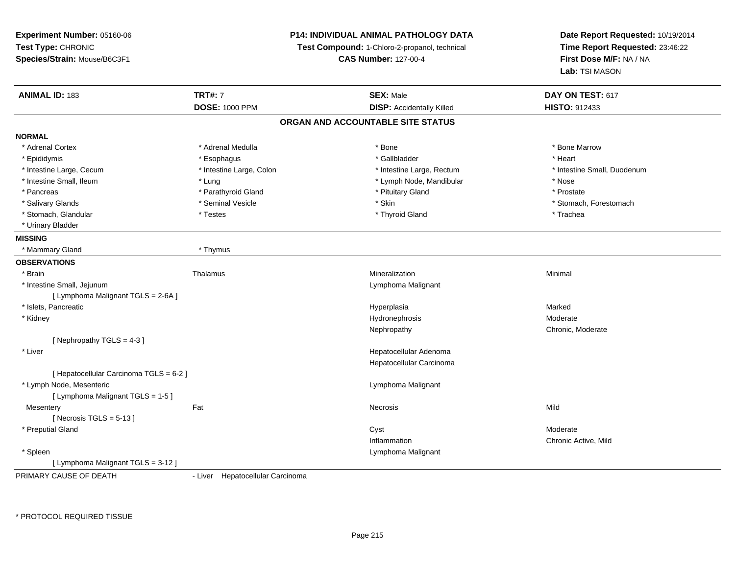**Experiment Number:** 05160-06**Test Type:** CHRONIC **Species/Strain:** Mouse/B6C3F1**P14: INDIVIDUAL ANIMAL PATHOLOGY DATATest Compound:** 1-Chloro-2-propanol, technical **CAS Number:** 127-00-4**Date Report Requested:** 10/19/2014**Time Report Requested:** 23:46:22**First Dose M/F:** NA / NA**Lab:** TSI MASON**ANIMAL ID:** 183**TRT#:** 7 **SEX:** Male **DAY ON TEST:** 617 **DOSE:** 1000 PPM**DISP:** Accidentally Killed **HISTO:** 912433 **ORGAN AND ACCOUNTABLE SITE STATUSNORMAL**\* Adrenal Cortex \* Adrenal Medulla \* Adrenal Medulla \* Bone \* Bone \* Bone \* Bone \* Bone Marrow \* Epididymis \* Esophagus \* Gallbladder \* Heart \* Intestine Large, Cecum \* Intestine Large, Colon \* Intestine Large, Rectum \* Intestine Small, Duodenum \* Intestine Small, Ileum \* Lung \* Lymph Node, Mandibular \* Nose\* Prostate \* Pancreas \* Parathyroid Gland \* Parathyroid Gland \* \* Prituitary Gland \* Salivary Glands \* The state of the seminal Vesicle \* Skin \* Skin \* Skin \* Stomach, Forestomach, Forestomach, Forestomach, Forestomach, Forestomach, Forestomach, Forestomach, Forestomach, Forestomach, Forestomach, Foresto \* Stomach, Glandular \* Trachea \* Testes \* Thyroid Gland \* Thyroid Gland \* The store \* Trachea \* Urinary Bladder**MISSING** \* Mammary Gland \* Thymus**OBSERVATIONS** \* Brainn and the matter of the Thalamus and the Minimal of the Minimal of the Minimal of the Minimal of the Minimal o<br>Thalamus and the Minimal of the Minimal of the Minimal of the Minimal of the Minimal of the Minimal of the Min \* Intestine Small, Jejunum Lymphoma Malignant [ Lymphoma Malignant TGLS = 2-6A ] \* Islets, Pancreaticc and the contract of the contract of the contract of the contract of the contract of the contract of the contract of the contract of the contract of the contract of the contract of the contract of the contract of the cont a **Marked**  \* Kidneyy which is a state of the state of the state of the Hydronephrosis and the Moderate of the Moderate of the Moderate  $\mu$ y **Chronic, Moderate** Nephropathy[ Nephropathy TGLS = 4-3 ] \* Liver Hepatocellular Adenoma Hepatocellular Carcinoma[ Hepatocellular Carcinoma TGLS = 6-2 ] \* Lymph Node, Mesenteric Lymphoma Malignant [ Lymphoma Malignant TGLS = 1-5 ]**Mesentery** y the contract of the contract of the contract of the contract of the contract of the contract of the contract of the contract of the contract of the contract of the contract of the contract of the contract of the contract  $[$  Necrosis TGLS = 5-13  $]$  \* Preputial Glandd and the control of the control of the control of the control of the control of the control of the control of the control of the control of the control of the control of the control of the control of the control of the co Inflammation Chronic Active, Mild \* Spleen Lymphoma Malignant [ Lymphoma Malignant TGLS = 3-12 ]

PRIMARY CAUSE OF DEATH

- Liver Hepatocellular Carcinoma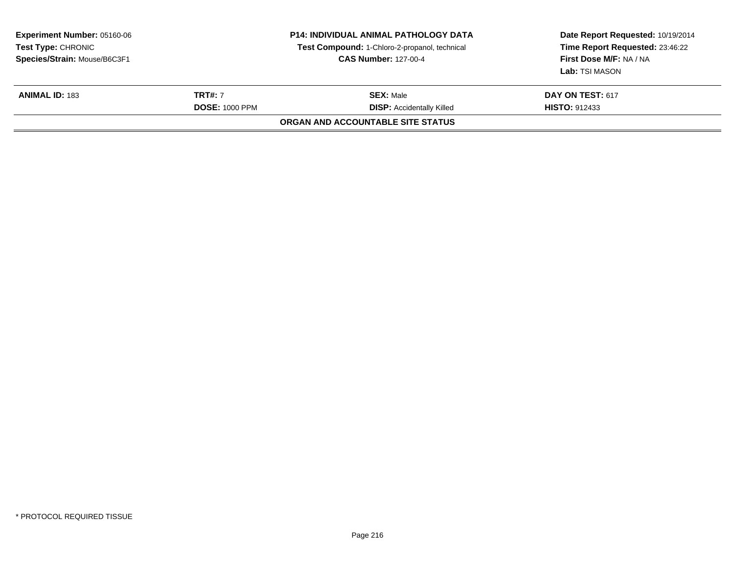| <b>Experiment Number: 05160-06</b><br>Test Type: CHRONIC<br>Species/Strain: Mouse/B6C3F1 |                                         | <b>P14: INDIVIDUAL ANIMAL PATHOLOGY DATA</b><br>Test Compound: 1-Chloro-2-propanol, technical<br><b>CAS Number: 127-00-4</b> | Date Report Requested: 10/19/2014<br>Time Report Requested: 23:46:22<br>First Dose M/F: NA / NA<br>Lab: TSI MASON |
|------------------------------------------------------------------------------------------|-----------------------------------------|------------------------------------------------------------------------------------------------------------------------------|-------------------------------------------------------------------------------------------------------------------|
| <b>ANIMAL ID: 183</b>                                                                    | <b>TRT#: 7</b><br><b>DOSE: 1000 PPM</b> | <b>SEX:</b> Male<br><b>DISP: Accidentally Killed</b>                                                                         | DAY ON TEST: 617<br><b>HISTO: 912433</b>                                                                          |
|                                                                                          |                                         | ORGAN AND ACCOUNTABLE SITE STATUS                                                                                            |                                                                                                                   |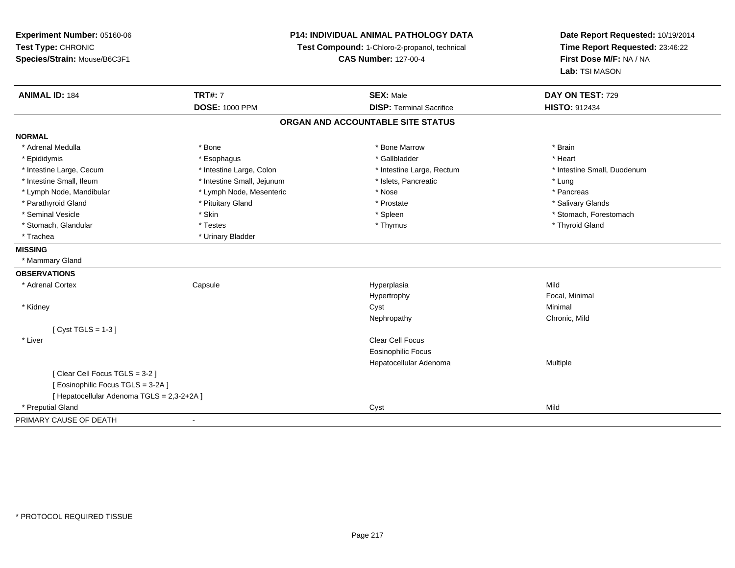| Experiment Number: 05160-06<br>Test Type: CHRONIC<br>Species/Strain: Mouse/B6C3F1 | <b>P14: INDIVIDUAL ANIMAL PATHOLOGY DATA</b><br>Test Compound: 1-Chloro-2-propanol, technical<br><b>CAS Number: 127-00-4</b> |                                   | Date Report Requested: 10/19/2014<br>Time Report Requested: 23:46:22<br>First Dose M/F: NA / NA<br>Lab: TSI MASON |  |
|-----------------------------------------------------------------------------------|------------------------------------------------------------------------------------------------------------------------------|-----------------------------------|-------------------------------------------------------------------------------------------------------------------|--|
| <b>ANIMAL ID: 184</b>                                                             | <b>TRT#: 7</b>                                                                                                               | <b>SEX: Male</b>                  | DAY ON TEST: 729                                                                                                  |  |
|                                                                                   | <b>DOSE: 1000 PPM</b>                                                                                                        | <b>DISP: Terminal Sacrifice</b>   | <b>HISTO: 912434</b>                                                                                              |  |
|                                                                                   |                                                                                                                              | ORGAN AND ACCOUNTABLE SITE STATUS |                                                                                                                   |  |
| <b>NORMAL</b>                                                                     |                                                                                                                              |                                   |                                                                                                                   |  |
| * Adrenal Medulla                                                                 | * Bone                                                                                                                       | * Bone Marrow                     | * Brain                                                                                                           |  |
| * Epididymis                                                                      | * Esophagus                                                                                                                  | * Gallbladder                     | * Heart                                                                                                           |  |
| * Intestine Large, Cecum                                                          | * Intestine Large, Colon                                                                                                     | * Intestine Large, Rectum         | * Intestine Small, Duodenum                                                                                       |  |
| * Intestine Small, Ileum                                                          | * Intestine Small, Jejunum                                                                                                   | * Islets, Pancreatic              | * Lung                                                                                                            |  |
| * Lymph Node, Mandibular                                                          | * Lymph Node, Mesenteric                                                                                                     | * Nose                            | * Pancreas                                                                                                        |  |
| * Parathyroid Gland                                                               | * Pituitary Gland                                                                                                            | * Prostate                        | * Salivary Glands                                                                                                 |  |
| * Seminal Vesicle                                                                 | * Skin                                                                                                                       | * Spleen                          | * Stomach, Forestomach                                                                                            |  |
| * Stomach, Glandular                                                              | * Testes                                                                                                                     | * Thymus                          | * Thyroid Gland                                                                                                   |  |
| * Trachea                                                                         | * Urinary Bladder                                                                                                            |                                   |                                                                                                                   |  |
| <b>MISSING</b>                                                                    |                                                                                                                              |                                   |                                                                                                                   |  |
| * Mammary Gland                                                                   |                                                                                                                              |                                   |                                                                                                                   |  |
| <b>OBSERVATIONS</b>                                                               |                                                                                                                              |                                   |                                                                                                                   |  |
| * Adrenal Cortex                                                                  | Capsule                                                                                                                      | Hyperplasia                       | Mild                                                                                                              |  |
|                                                                                   |                                                                                                                              | Hypertrophy                       | Focal, Minimal                                                                                                    |  |
| * Kidney                                                                          |                                                                                                                              | Cyst                              | Minimal                                                                                                           |  |
|                                                                                   |                                                                                                                              | Nephropathy                       | Chronic, Mild                                                                                                     |  |
| [Cyst TGLS = $1-3$ ]                                                              |                                                                                                                              |                                   |                                                                                                                   |  |
| * Liver                                                                           |                                                                                                                              | Clear Cell Focus                  |                                                                                                                   |  |
|                                                                                   |                                                                                                                              | <b>Eosinophilic Focus</b>         |                                                                                                                   |  |
|                                                                                   |                                                                                                                              | Hepatocellular Adenoma            | Multiple                                                                                                          |  |
| [Clear Cell Focus TGLS = 3-2]                                                     |                                                                                                                              |                                   |                                                                                                                   |  |
| [Eosinophilic Focus TGLS = 3-2A]                                                  |                                                                                                                              |                                   |                                                                                                                   |  |
| [ Hepatocellular Adenoma TGLS = 2,3-2+2A ]                                        |                                                                                                                              |                                   |                                                                                                                   |  |
| * Preputial Gland                                                                 |                                                                                                                              | Cyst                              | Mild                                                                                                              |  |
| PRIMARY CAUSE OF DEATH                                                            | $\blacksquare$                                                                                                               |                                   |                                                                                                                   |  |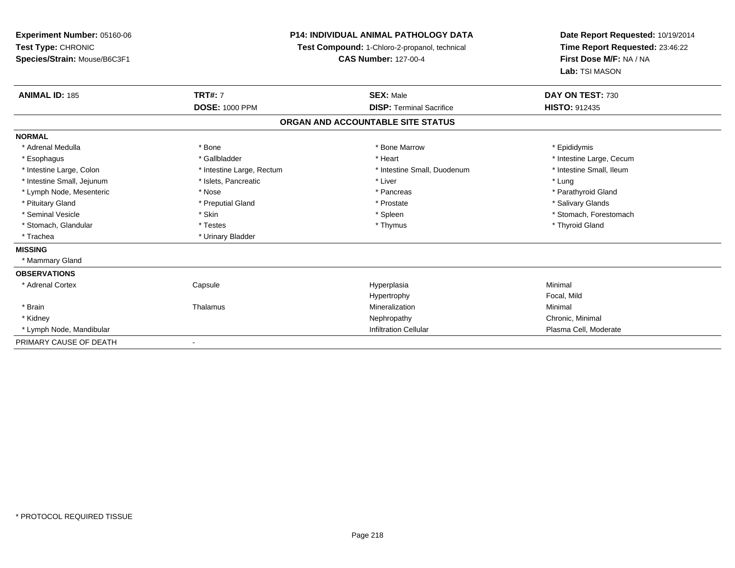**Experiment Number:** 05160-06**Test Type:** CHRONIC **Species/Strain:** Mouse/B6C3F1**P14: INDIVIDUAL ANIMAL PATHOLOGY DATATest Compound:** 1-Chloro-2-propanol, technical **CAS Number:** 127-00-4**Date Report Requested:** 10/19/2014**Time Report Requested:** 23:46:22**First Dose M/F:** NA / NA**Lab:** TSI MASON**ANIMAL ID:** 185**TRT#:** 7 **SEX:** Male **DAY ON TEST:** 730 **DOSE:** 1000 PPM**DISP:** Terminal Sacrifice **HISTO:** 912435 **ORGAN AND ACCOUNTABLE SITE STATUSNORMAL**\* Adrenal Medulla \* Adrenal Medulla \* \* The matter of the state of the state of the Marrow \* Bone Marrow \* Adrenal Medulla \* Epididymis \* Epididymis \* Bone Marrow \* Adrenal Medulla \* Epididymis \* Epididymis \* Epididymis \* Epididymis \* Epidi \* Esophagus \* https://www.fragustage.com/web/2019/heart \* Heart \* Heart \* Heart \* Intestine Large, Cecum \* Intestine Large, Cecum \* Gallbladder \* Callbladder \* 11 and 12 and 12 and 12 and 12 and 12 and 12 and 12 and 12 and \* Intestine Small, Ileum \* Intestine Large, Colon \* Intestine Large, Rectum \* Intestine Small, Duodenum \* Intestine Small, Duodenum \* Intestine Small, Jejunum \* 1997 \* The state of the state of the state of the state of the state of the state  $*$  Lung \* Parathyroid Gland \* Lymph Node, Mesenteric \* Nose \* Nose \* Nose \* Pancreas \* Pancreas \* Pancreas \* Pancreas \* Pancreas \* Pancreas \* Pancreas \* Pancreas \* Pancreas \* Pancreas \* Pancreas \* Pancreas \* Pancreas \* Pancreas \* Pancreas \* Pancreas \* Pituitary Gland \* \* Then the state \* Preputial Gland \* Prosection \* Prostate \* \* Salivary Glands \* Salivary Glands \* Salivary Glands \* Salivary Glands \* Salivary Glands \* Salivary Glands \* Salivary Glands \* Salivary Glan \* Seminal Vesicle \* The state of the set of the set of the set of the set of the set of the set of the set of the set of the set of the set of the set of the set of the set of the set of the set of the set of the set of th \* Stomach, Glandular \* Thyroid Gland \* Testes \* Thyroid Gland \* Thyroid Gland \* Thyroid Gland \* Thyroid Gland \* Trachea **\*** Urinary Bladder **MISSING** \* Mammary Gland**OBSERVATIONS** \* Adrenal Cortex**Capsule**  Hyperplasia Minimal HypertrophyHypertrophy **Example 19 Transformation Focal, Mild** Mineralization \* Brainn and the matter of the Thalamus and the Minimal of the Minimal of the Minimal of the Minimal of the Minimal o<br>Thalamus and the Minimal of the Minimal of the Minimal of the Minimal of the Minimal of the Minimal of the Min \* Kidneyy the controller of the controller of the controller of the controller of the controller of the controller of the controller of the controller of the controller of the controller of the controller of the controller of the \* Lymph Node, MandibularInfiltration Cellular **Plasma Cell**, Moderate PRIMARY CAUSE OF DEATH-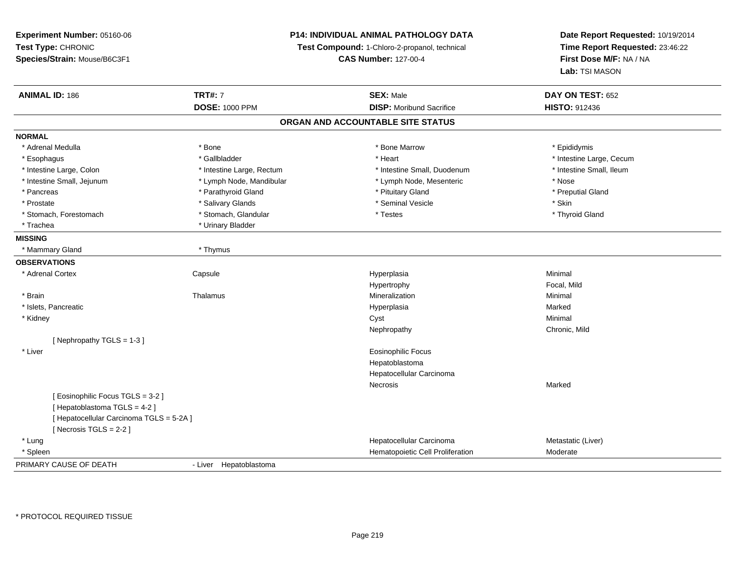**Experiment Number:** 05160-06**Test Type:** CHRONIC **Species/Strain:** Mouse/B6C3F1**P14: INDIVIDUAL ANIMAL PATHOLOGY DATATest Compound:** 1-Chloro-2-propanol, technical **CAS Number:** 127-00-4**Date Report Requested:** 10/19/2014**Time Report Requested:** 23:46:22**First Dose M/F:** NA / NA**Lab:** TSI MASON**ANIMAL ID:** 186**TRT#:** 7 **SEX:** Male **DAY ON TEST:** 652 **DOSE:** 1000 PPM**DISP:** Moribund Sacrifice **HISTO:** 912436 **ORGAN AND ACCOUNTABLE SITE STATUSNORMAL**\* Adrenal Medulla \* Adrenal Medulla \* \* The matter of the state of the state of the Marrow \* Bone Marrow \* Adrenal Medulla \* Epididymis \* Epididymis \* Bone Marrow \* Adrenal Medulla \* Epididymis \* Epididymis \* Epididymis \* Epididymis \* Epidi \* Esophagus \* https://www.fragustage.com/web/2019/heart \* Heart \* Heart \* Heart \* Intestine Large, Cecum \* Intestine Large, Cecum \* Gallbladder \* Callbladder \* 11 and 12 and 12 and 12 and 12 and 12 and 12 and 12 and 12 and \* Intestine Small, Ileum \* Intestine Large, Colon \* Intestine Large, Rectum \* Intestine Small, Duodenum \* Intestine Small, Duodenum \* Intestine Small, Jejunum \* Lymph Node, Mandibular \* Lymph Node, Mesenteric \* Nose\* Preputial Gland \* Pancreas \* \* Parathyroid Gland \* \* Parathyroid Gland \* \* Pituitary Gland \* \* Preputial Gland \* \* Preputial Gland \* Prostate \* \* Salivary Glands \* \* Salivary Glands \* \* Seminal Vesicle \* \* \* Seminal Yestrich \* \* Skin \* \* Skin \* Thyroid Gland \* Stomach, Forestomach \* Testes \* Stomach, Glandular \* Testes \* Testes \* Testes \* Testes \* Testes \* Testes \* T \* Trachea \* Urinary Bladder**MISSING** \* Mammary Gland \* Thymus**OBSERVATIONS** \* Adrenal Cortex**Capsule**  Hyperplasia Minimal Hypertrophy Focal, Mild \* Brainn and the matter of the Thalamus and the Minimal of the Minimal of the Minimal of the Minimal of the Minimal o<br>Thalamus and the Minimal of the Minimal of the Minimal of the Minimal of the Minimal of the Minimal of the Min \* Islets, Pancreaticc and the contract of the contract of the contract of the contract of the contract of the contract of the contract of the contract of the contract of the contract of the contract of the contract of the contract of the cont a **Marked**  \* Kidneyy the control of the control of the control of the control of the control of the control of the control of the control of the control of the control of the control of the control of the control of the control of the contro Nephropathy Chronic, Mild[ Nephropathy TGLS = 1-3 ] \* Liver Eosinophilic FocusHepatoblastoma Hepatocellular CarcinomaNecrosiss and the contract of the Marked [ Eosinophilic Focus TGLS = 3-2 ][ Hepatoblastoma TGLS = 4-2 ][ Hepatocellular Carcinoma TGLS = 5-2A ][ Necrosis TGLS = 2-2 ] \* Lungg and the state of the state of the state of the state of the Hepatocellular Carcinoma and the Metastatic (Liver) \* SpleenHematopoietic Cell Proliferation Moderate PRIMARY CAUSE OF DEATH- Liver Hepatoblastoma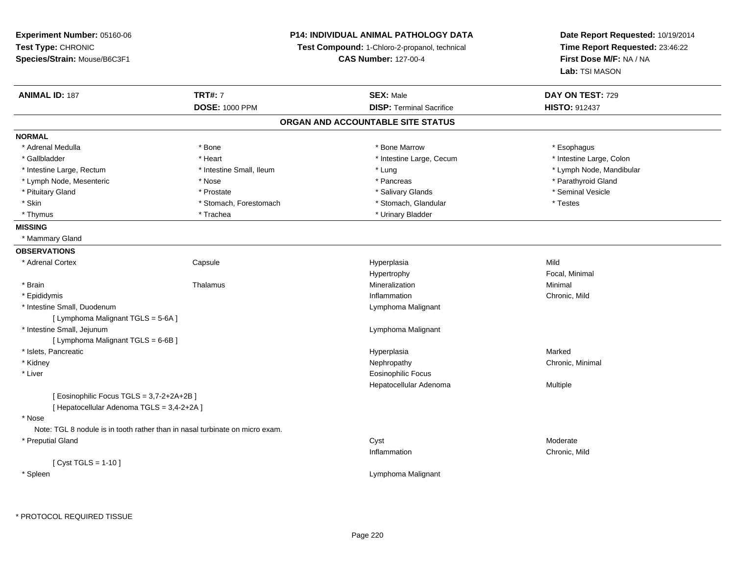| Experiment Number: 05160-06<br>Test Type: CHRONIC<br>Species/Strain: Mouse/B6C3F1 |                          | <b>P14: INDIVIDUAL ANIMAL PATHOLOGY DATA</b><br>Test Compound: 1-Chloro-2-propanol, technical<br><b>CAS Number: 127-00-4</b> | Date Report Requested: 10/19/2014<br>Time Report Requested: 23:46:22<br>First Dose M/F: NA / NA<br>Lab: TSI MASON |
|-----------------------------------------------------------------------------------|--------------------------|------------------------------------------------------------------------------------------------------------------------------|-------------------------------------------------------------------------------------------------------------------|
| <b>ANIMAL ID: 187</b>                                                             | <b>TRT#: 7</b>           | <b>SEX: Male</b>                                                                                                             | DAY ON TEST: 729                                                                                                  |
|                                                                                   | <b>DOSE: 1000 PPM</b>    | <b>DISP: Terminal Sacrifice</b>                                                                                              | HISTO: 912437                                                                                                     |
|                                                                                   |                          | ORGAN AND ACCOUNTABLE SITE STATUS                                                                                            |                                                                                                                   |
| <b>NORMAL</b>                                                                     |                          |                                                                                                                              |                                                                                                                   |
| * Adrenal Medulla                                                                 | * Bone                   | * Bone Marrow                                                                                                                | * Esophagus                                                                                                       |
| * Gallbladder                                                                     | * Heart                  | * Intestine Large, Cecum                                                                                                     | * Intestine Large, Colon                                                                                          |
| * Intestine Large, Rectum                                                         | * Intestine Small, Ileum | * Lung                                                                                                                       | * Lymph Node, Mandibular                                                                                          |
| * Lymph Node, Mesenteric                                                          | * Nose                   | * Pancreas                                                                                                                   | * Parathyroid Gland                                                                                               |
| * Pituitary Gland                                                                 | * Prostate               | * Salivary Glands                                                                                                            | * Seminal Vesicle                                                                                                 |
| * Skin                                                                            | * Stomach, Forestomach   | * Stomach, Glandular                                                                                                         | * Testes                                                                                                          |
| * Thymus                                                                          | * Trachea                | * Urinary Bladder                                                                                                            |                                                                                                                   |
| <b>MISSING</b>                                                                    |                          |                                                                                                                              |                                                                                                                   |
| * Mammary Gland                                                                   |                          |                                                                                                                              |                                                                                                                   |
| <b>OBSERVATIONS</b>                                                               |                          |                                                                                                                              |                                                                                                                   |
| * Adrenal Cortex                                                                  | Capsule                  | Hyperplasia                                                                                                                  | Mild                                                                                                              |
|                                                                                   |                          | Hypertrophy                                                                                                                  | Focal, Minimal                                                                                                    |
| * Brain                                                                           | Thalamus                 | Mineralization                                                                                                               | Minimal                                                                                                           |
| * Epididymis                                                                      |                          | Inflammation                                                                                                                 | Chronic, Mild                                                                                                     |
| * Intestine Small, Duodenum                                                       |                          | Lymphoma Malignant                                                                                                           |                                                                                                                   |
| [ Lymphoma Malignant TGLS = 5-6A ]                                                |                          |                                                                                                                              |                                                                                                                   |
| * Intestine Small, Jejunum                                                        |                          | Lymphoma Malignant                                                                                                           |                                                                                                                   |
| [ Lymphoma Malignant TGLS = 6-6B ]                                                |                          |                                                                                                                              |                                                                                                                   |
| * Islets, Pancreatic                                                              |                          | Hyperplasia                                                                                                                  | Marked                                                                                                            |
| * Kidney                                                                          |                          | Nephropathy                                                                                                                  | Chronic, Minimal                                                                                                  |
| * Liver                                                                           |                          | <b>Eosinophilic Focus</b>                                                                                                    |                                                                                                                   |
|                                                                                   |                          | Hepatocellular Adenoma                                                                                                       | Multiple                                                                                                          |
| [Eosinophilic Focus TGLS = 3,7-2+2A+2B]                                           |                          |                                                                                                                              |                                                                                                                   |
| [ Hepatocellular Adenoma TGLS = 3,4-2+2A ]                                        |                          |                                                                                                                              |                                                                                                                   |
| * Nose                                                                            |                          |                                                                                                                              |                                                                                                                   |
| Note: TGL 8 nodule is in tooth rather than in nasal turbinate on micro exam.      |                          |                                                                                                                              |                                                                                                                   |
| * Preputial Gland                                                                 |                          | Cyst                                                                                                                         | Moderate                                                                                                          |
|                                                                                   |                          | Inflammation                                                                                                                 | Chronic, Mild                                                                                                     |
| [ Cyst TGLS = 1-10 ]                                                              |                          |                                                                                                                              |                                                                                                                   |
| * Spleen                                                                          |                          | Lymphoma Malignant                                                                                                           |                                                                                                                   |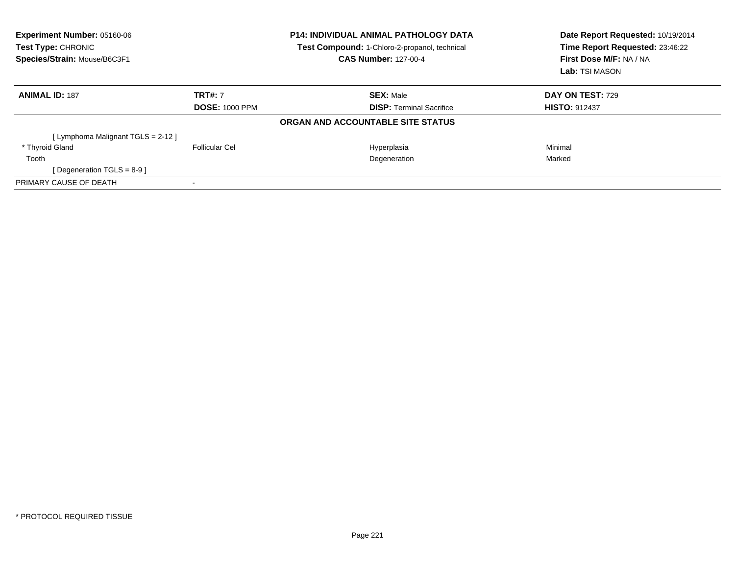| Experiment Number: 05160-06<br>Test Type: CHRONIC<br>Species/Strain: Mouse/B6C3F1 |                       | <b>P14: INDIVIDUAL ANIMAL PATHOLOGY DATA</b><br>Test Compound: 1-Chloro-2-propanol, technical<br><b>CAS Number: 127-00-4</b> | Date Report Requested: 10/19/2014<br>Time Report Requested: 23:46:22<br>First Dose M/F: NA / NA |  |
|-----------------------------------------------------------------------------------|-----------------------|------------------------------------------------------------------------------------------------------------------------------|-------------------------------------------------------------------------------------------------|--|
|                                                                                   |                       |                                                                                                                              | Lab: TSI MASON                                                                                  |  |
| <b>ANIMAL ID: 187</b>                                                             | <b>TRT#: 7</b>        | <b>SEX: Male</b>                                                                                                             | DAY ON TEST: 729                                                                                |  |
|                                                                                   | <b>DOSE: 1000 PPM</b> | <b>DISP:</b> Terminal Sacrifice                                                                                              | <b>HISTO: 912437</b>                                                                            |  |
|                                                                                   |                       | ORGAN AND ACCOUNTABLE SITE STATUS                                                                                            |                                                                                                 |  |
| [ Lymphoma Malignant TGLS = 2-12 ]                                                |                       |                                                                                                                              |                                                                                                 |  |
| * Thyroid Gland                                                                   | Follicular Cel        | Hyperplasia                                                                                                                  | Minimal                                                                                         |  |
| Tooth                                                                             |                       | Degeneration                                                                                                                 | Marked                                                                                          |  |
| [ Degeneration TGLS = $8-9$ ]                                                     |                       |                                                                                                                              |                                                                                                 |  |
| PRIMARY CAUSE OF DEATH                                                            |                       |                                                                                                                              |                                                                                                 |  |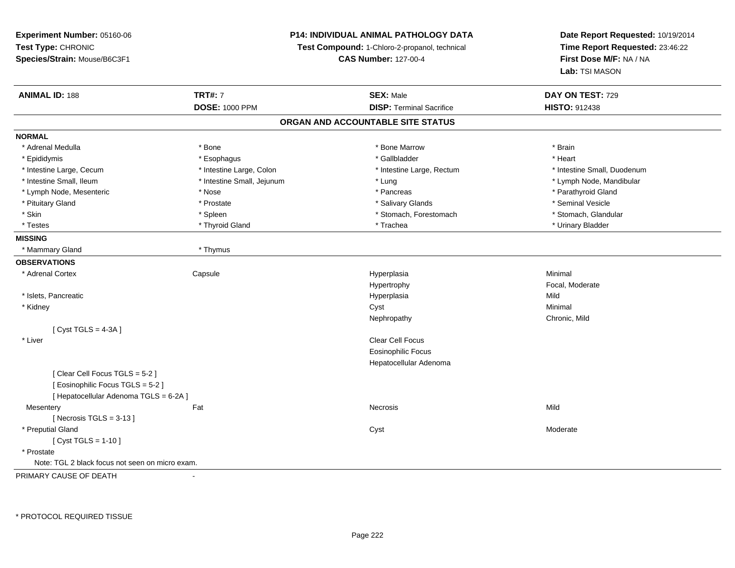**Experiment Number:** 05160-06**Test Type:** CHRONIC **Species/Strain:** Mouse/B6C3F1**P14: INDIVIDUAL ANIMAL PATHOLOGY DATATest Compound:** 1-Chloro-2-propanol, technical **CAS Number:** 127-00-4**Date Report Requested:** 10/19/2014**Time Report Requested:** 23:46:22**First Dose M/F:** NA / NA**Lab:** TSI MASON**ANIMAL ID:** 188**TRT#:** 7 **SEX:** Male **DAY ON TEST:** 729 **DOSE:** 1000 PPM**DISP:** Terminal Sacrifice **HISTO:** 912438 **ORGAN AND ACCOUNTABLE SITE STATUSNORMAL**\* Adrenal Medulla \* \* Annual Medulla \* Brain \* Bone \* \* Bone Marrow \* Bone Marrow \* \* Brain \* Brain \* Brain \* Brain \* Brain \* Brain \* Brain \* Brain \* Brain \* Brain \* Brain \* Brain \* Brain \* Brain \* Brain \* Brain \* Brain \* \* Heart \* Epididymis \* Esophagus \* Gallbladder \* Heart \* Intestine Large, Cecum \* Intestine Large, Colon \* Intestine Large, Rectum \* Intestine Small, Duodenum \* Intestine Small, Ileum \* Intestine Small, Jejunum \* Lung \* Lymph Node, Mandibular\* Lymph Node, Mesenteric \* The state of the state of the state of the state of the state of the state of the state of the state of the state of the state of the state of the state of the state of the state of the state of \* Pituitary Gland \* \* \* \* Prostate \* \* Prostate \* \* Salivary Glands \* \* Salivary Glands \* \* Seminal Vesicle \* Stomach. Glandular \* Skin \* Stomach, Forestomach \* Spleen \* Stomach, Forestomach \* Stomach, Forestomach \* Testes \* \* Thyroid Gland \* \* Thyroid Gland \* \* Trachea \* \* Trachea \* \* \* Trachea \* Urinary Bladder \* \* Urinary Bladder \* \* Urinary Bladder \* \* Urinary Bladder \* \* Urinary Bladder \* \* Urinary Bladder \* \* Urinary Bladder \* **MISSING** \* Mammary Gland \* Thymus**OBSERVATIONS** \* Adrenal Cortex**Capsule**  Hyperplasia Minimal Hypertrophy Focal, Moderate \* Islets, Pancreaticc and the contract of the contract of the contract of the contract of the contract of the contract of the contract of the contract of the contract of the contract of the contract of the contract of the contract of the cont a Mild \* Kidneyy the control of the control of the control of the control of the control of the control of the control of the control of the control of the control of the control of the control of the control of the control of the contro Nephropathy Chronic, Mild $[$  Cyst TGLS = 4-3A  $]$  \* Liverr and the contract of the contract of the contract of the contract of the contract of the contract of the contract of the contract of the contract of the contract of the contract of the contract of the contract of the cont Eosinophilic Focus Hepatocellular Adenoma[ Clear Cell Focus TGLS = 5-2 ][ Eosinophilic Focus TGLS = 5-2 ][ Hepatocellular Adenoma TGLS = 6-2A ]**Mesentery** y the contract of the contract of the contract of the contract of the contract of the contract of the contract of the contract of the contract of the contract of the contract of the contract of the contract of the contract  $[$  Necrosis TGLS = 3-13  $]$  \* Preputial Glandd and the control of the control of the control of the control of the control of the control of the control of the control of the control of the control of the control of the control of the control of the control of the co  $[$  Cyst TGLS = 1-10  $]$  \* Prostate Note: TGL 2 black focus not seen on micro exam.PRIMARY CAUSE OF DEATH-

\* PROTOCOL REQUIRED TISSUE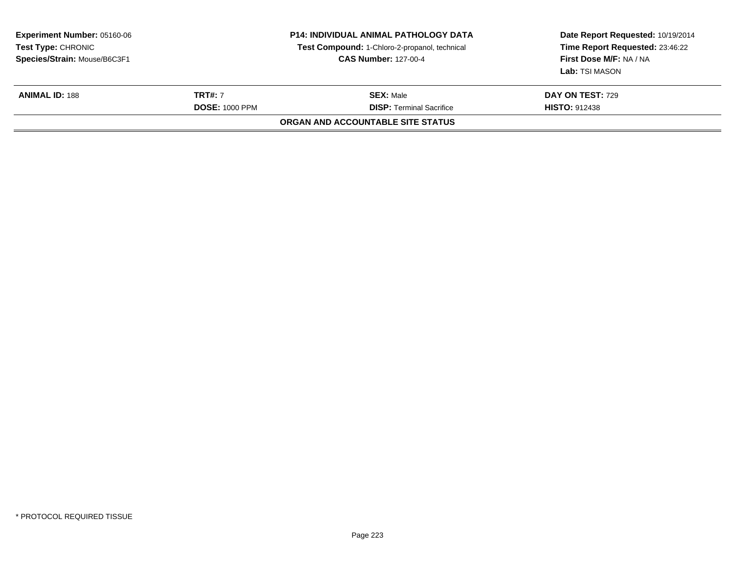| <b>Experiment Number: 05160-06</b><br>Test Type: CHRONIC<br>Species/Strain: Mouse/B6C3F1 |  | <b>P14: INDIVIDUAL ANIMAL PATHOLOGY DATA</b><br>Test Compound: 1-Chloro-2-propanol, technical<br><b>CAS Number: 127-00-4</b> | Date Report Requested: 10/19/2014<br>Time Report Requested: 23:46:22<br>First Dose M/F: NA / NA<br><b>Lab:</b> TSI MASON |
|------------------------------------------------------------------------------------------|--|------------------------------------------------------------------------------------------------------------------------------|--------------------------------------------------------------------------------------------------------------------------|
| <b>TRT#: 7</b><br><b>ANIMAL ID: 188</b><br><b>DOSE: 1000 PPM</b>                         |  | <b>SEX: Male</b><br><b>DISP: Terminal Sacrifice</b>                                                                          | <b>DAY ON TEST: 729</b><br><b>HISTO: 912438</b>                                                                          |
|                                                                                          |  | ORGAN AND ACCOUNTABLE SITE STATUS                                                                                            |                                                                                                                          |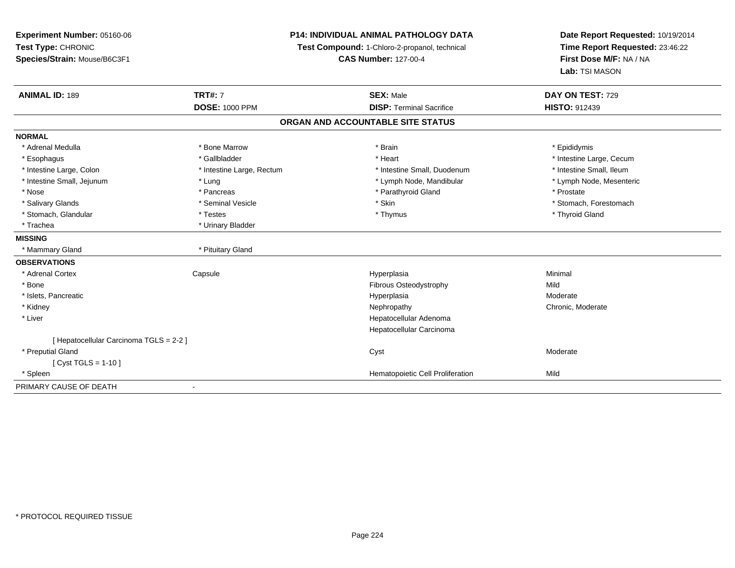**Experiment Number:** 05160-06**Test Type:** CHRONIC **Species/Strain:** Mouse/B6C3F1**P14: INDIVIDUAL ANIMAL PATHOLOGY DATATest Compound:** 1-Chloro-2-propanol, technical **CAS Number:** 127-00-4**Date Report Requested:** 10/19/2014**Time Report Requested:** 23:46:22**First Dose M/F:** NA / NA**Lab:** TSI MASON**ANIMAL ID:** 189**TRT#:** 7 **SEX:** Male **DAY ON TEST:** 729 **DOSE:** 1000 PPM**DISP:** Terminal Sacrifice **HISTO:** 912439 **ORGAN AND ACCOUNTABLE SITE STATUSNORMAL**\* Adrenal Medulla \* Adrenal Medulla \* \* The matter of the state of the state of the state of the state of the state of the state of the state of the state of the state of the state of the state of the state of the state of the state of the \* Esophagus \* https://www.fragustage.com/web/2019/heart \* Heart \* Heart \* Heart \* Intestine Large, Cecum \* Intestine Large, Cecum \* Gallbladder \* Callbladder \* 11 and 12 and 12 and 12 and 12 and 12 and 12 and 12 and 12 and \* Intestine Small, Ileum \* Intestine Large, Colon \* Intestine Large, Rectum \* Intestine Small, Duodenum \* Intestine Small, Duodenum \* Lymph Node, Mesenteric \* Intestine Small, Jejunum \* The material and the state of the state of the state of the state of the state of the state of the state of the state of the state of the state of the state of the state of the state of the sta \* Nose \* Pancreas \* Pancreas \* Pancreas \* Parathyroid Gland \* Prostate \* Prostate \* Salivary Glands \* The state of the seminal Vesicle \* Skin \* Skin \* Skin \* Stomach, Forestomach, Forestomach, Forestomach, Forestomach, Forestomach, Forestomach, Forestomach, Forestomach, Forestomach, Forestomach, Foresto \* Stomach, Glandular \* Thyroid Gland \* Testes \* Thyroid Gland \* Thyroid Gland \* Thyroid Gland \* Thyroid Gland \* Trachea \* Urinary Bladder**MISSING** \* Mammary Gland \* Pituitary Gland**OBSERVATIONS** \* Adrenal Cortex**Capsule**  Hyperplasia Minimal \* Bone Fibrous Osteodystrophy Mild \* Islets, Pancreaticc and the contract of the contract of the contract of the contract of the contract of the contract of the contract of the contract of the contract of the contract of the contract of the contract of the contract of the cont Moderate \* Kidneyy the chronic, Moderate and September 2011 of the Chronic Moderate and September 2012 of the Chronic, Moderate \* Liver Hepatocellular Adenoma Hepatocellular Carcinoma[ Hepatocellular Carcinoma TGLS = 2-2 ] \* Preputial Glandd and the control of the control of the control of the control of the control of the control of the control of the control of the control of the control of the control of the control of the control of the control of the co [ Cyst TGLS = 1-10 ] \* SpleenHematopoietic Cell Proliferation Mild PRIMARY CAUSE OF DEATH-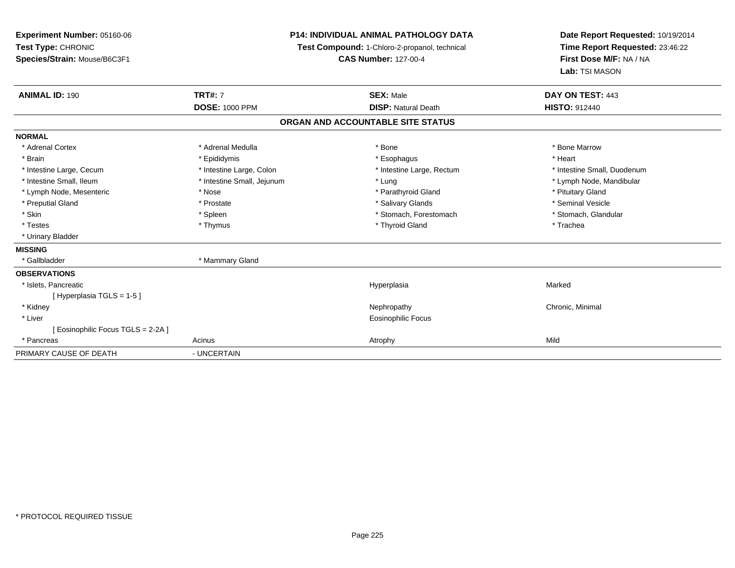| Experiment Number: 05160-06        |                                               | <b>P14: INDIVIDUAL ANIMAL PATHOLOGY DATA</b> | Date Report Requested: 10/19/2014 |  |
|------------------------------------|-----------------------------------------------|----------------------------------------------|-----------------------------------|--|
| Test Type: CHRONIC                 | Test Compound: 1-Chloro-2-propanol, technical |                                              | Time Report Requested: 23:46:22   |  |
| Species/Strain: Mouse/B6C3F1       |                                               | <b>CAS Number: 127-00-4</b>                  | First Dose M/F: NA / NA           |  |
|                                    |                                               |                                              | Lab: TSI MASON                    |  |
| <b>ANIMAL ID: 190</b>              | <b>TRT#: 7</b>                                | <b>SEX: Male</b>                             | DAY ON TEST: 443                  |  |
|                                    | <b>DOSE: 1000 PPM</b>                         | <b>DISP: Natural Death</b>                   | HISTO: 912440                     |  |
|                                    |                                               | ORGAN AND ACCOUNTABLE SITE STATUS            |                                   |  |
| <b>NORMAL</b>                      |                                               |                                              |                                   |  |
| * Adrenal Cortex                   | * Adrenal Medulla                             | * Bone                                       | * Bone Marrow                     |  |
| * Brain                            | * Epididymis                                  | * Esophagus                                  | * Heart                           |  |
| * Intestine Large, Cecum           | * Intestine Large, Colon                      | * Intestine Large, Rectum                    | * Intestine Small, Duodenum       |  |
| * Intestine Small, Ileum           | * Intestine Small, Jejunum                    | * Lung                                       | * Lymph Node, Mandibular          |  |
| * Lymph Node, Mesenteric           | * Nose                                        | * Parathyroid Gland                          | * Pituitary Gland                 |  |
| * Preputial Gland                  | * Prostate                                    | * Salivary Glands                            | * Seminal Vesicle                 |  |
| * Skin                             | * Spleen                                      | * Stomach, Forestomach                       | * Stomach, Glandular              |  |
| * Testes                           | * Thymus                                      | * Thyroid Gland                              | * Trachea                         |  |
| * Urinary Bladder                  |                                               |                                              |                                   |  |
| <b>MISSING</b>                     |                                               |                                              |                                   |  |
| * Gallbladder                      | * Mammary Gland                               |                                              |                                   |  |
| <b>OBSERVATIONS</b>                |                                               |                                              |                                   |  |
| * Islets, Pancreatic               |                                               | Hyperplasia                                  | Marked                            |  |
| [Hyperplasia TGLS = 1-5]           |                                               |                                              |                                   |  |
| * Kidney                           |                                               | Nephropathy                                  | Chronic, Minimal                  |  |
| * Liver                            |                                               | <b>Eosinophilic Focus</b>                    |                                   |  |
| [ Eosinophilic Focus TGLS = 2-2A ] |                                               |                                              |                                   |  |
| * Pancreas                         | Acinus                                        | Atrophy                                      | Mild                              |  |
| PRIMARY CAUSE OF DEATH             | - UNCERTAIN                                   |                                              |                                   |  |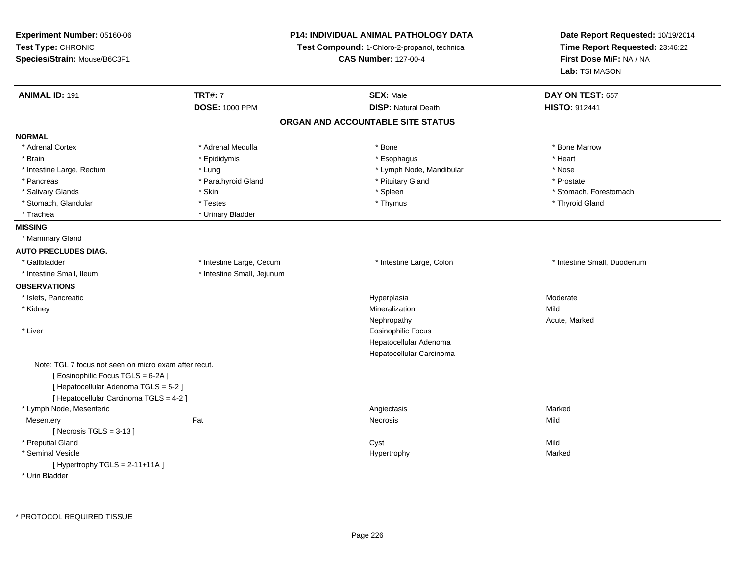| Experiment Number: 05160-06<br>Test Type: CHRONIC<br>Species/Strain: Mouse/B6C3F1 |                            | P14: INDIVIDUAL ANIMAL PATHOLOGY DATA<br>Test Compound: 1-Chloro-2-propanol, technical<br><b>CAS Number: 127-00-4</b> | Date Report Requested: 10/19/2014<br>Time Report Requested: 23:46:22<br>First Dose M/F: NA / NA<br>Lab: TSI MASON |
|-----------------------------------------------------------------------------------|----------------------------|-----------------------------------------------------------------------------------------------------------------------|-------------------------------------------------------------------------------------------------------------------|
| <b>ANIMAL ID: 191</b>                                                             | <b>TRT#: 7</b>             | <b>SEX: Male</b>                                                                                                      | DAY ON TEST: 657                                                                                                  |
|                                                                                   | <b>DOSE: 1000 PPM</b>      | <b>DISP: Natural Death</b>                                                                                            | <b>HISTO: 912441</b>                                                                                              |
|                                                                                   |                            | ORGAN AND ACCOUNTABLE SITE STATUS                                                                                     |                                                                                                                   |
| <b>NORMAL</b>                                                                     |                            |                                                                                                                       |                                                                                                                   |
| * Adrenal Cortex                                                                  | * Adrenal Medulla          | * Bone                                                                                                                | * Bone Marrow                                                                                                     |
| * Brain                                                                           | * Epididymis               | * Esophagus                                                                                                           | * Heart                                                                                                           |
| * Intestine Large, Rectum                                                         | * Lung                     | * Lymph Node, Mandibular                                                                                              | * Nose                                                                                                            |
| * Pancreas                                                                        | * Parathyroid Gland        | * Pituitary Gland                                                                                                     | * Prostate                                                                                                        |
| * Salivary Glands                                                                 | * Skin                     | * Spleen                                                                                                              | * Stomach, Forestomach                                                                                            |
| * Stomach, Glandular                                                              | * Testes                   | * Thymus                                                                                                              | * Thyroid Gland                                                                                                   |
| * Trachea                                                                         | * Urinary Bladder          |                                                                                                                       |                                                                                                                   |
| <b>MISSING</b>                                                                    |                            |                                                                                                                       |                                                                                                                   |
| * Mammary Gland                                                                   |                            |                                                                                                                       |                                                                                                                   |
| <b>AUTO PRECLUDES DIAG.</b>                                                       |                            |                                                                                                                       |                                                                                                                   |
| * Gallbladder                                                                     | * Intestine Large, Cecum   | * Intestine Large, Colon                                                                                              | * Intestine Small, Duodenum                                                                                       |
| * Intestine Small, Ileum                                                          | * Intestine Small, Jejunum |                                                                                                                       |                                                                                                                   |
| <b>OBSERVATIONS</b>                                                               |                            |                                                                                                                       |                                                                                                                   |
| * Islets, Pancreatic                                                              |                            | Hyperplasia                                                                                                           | Moderate                                                                                                          |
| * Kidney                                                                          |                            | Mineralization                                                                                                        | Mild                                                                                                              |
|                                                                                   |                            | Nephropathy                                                                                                           | Acute, Marked                                                                                                     |
| * Liver                                                                           |                            | Eosinophilic Focus                                                                                                    |                                                                                                                   |
|                                                                                   |                            | Hepatocellular Adenoma                                                                                                |                                                                                                                   |
|                                                                                   |                            | Hepatocellular Carcinoma                                                                                              |                                                                                                                   |
| Note: TGL 7 focus not seen on micro exam after recut.                             |                            |                                                                                                                       |                                                                                                                   |
| [Eosinophilic Focus TGLS = 6-2A]                                                  |                            |                                                                                                                       |                                                                                                                   |
| [ Hepatocellular Adenoma TGLS = 5-2 ]                                             |                            |                                                                                                                       |                                                                                                                   |
| [ Hepatocellular Carcinoma TGLS = 4-2 ]                                           |                            |                                                                                                                       |                                                                                                                   |
| * Lymph Node, Mesenteric                                                          |                            | Angiectasis                                                                                                           | Marked                                                                                                            |
| Mesentery                                                                         | Fat                        | Necrosis                                                                                                              | Mild                                                                                                              |
| [Necrosis $TGLS = 3-13$ ]                                                         |                            |                                                                                                                       |                                                                                                                   |
| * Preputial Gland                                                                 |                            | Cyst                                                                                                                  | Mild                                                                                                              |
| * Seminal Vesicle                                                                 |                            | Hypertrophy                                                                                                           | Marked                                                                                                            |
| [Hypertrophy TGLS = $2-11+11A$ ]                                                  |                            |                                                                                                                       |                                                                                                                   |
| * Urin Bladder                                                                    |                            |                                                                                                                       |                                                                                                                   |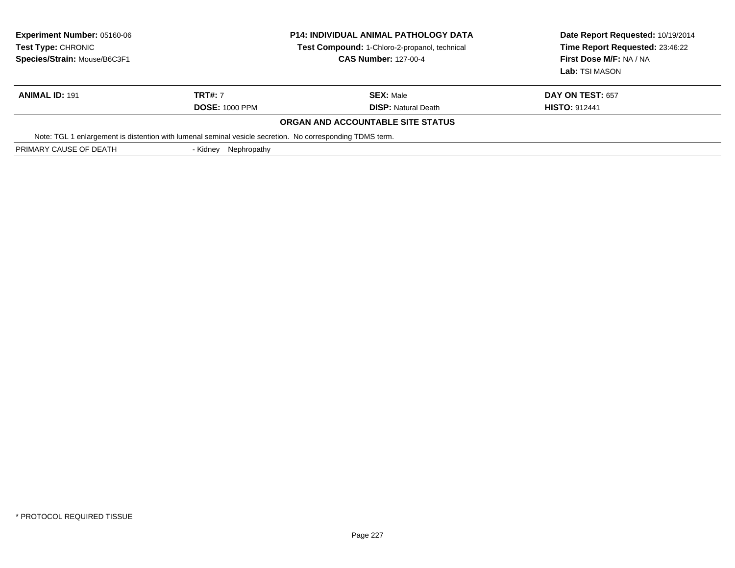| <b>Experiment Number: 05160-06</b><br>Test Type: CHRONIC<br>Species/Strain: Mouse/B6C3F1 |                         | <b>P14: INDIVIDUAL ANIMAL PATHOLOGY DATA</b><br>Test Compound: 1-Chloro-2-propanol, technical<br><b>CAS Number: 127-00-4</b> | Date Report Requested: 10/19/2014<br>Time Report Requested: 23:46:22<br>First Dose M/F: NA / NA<br>Lab: TSI MASON |
|------------------------------------------------------------------------------------------|-------------------------|------------------------------------------------------------------------------------------------------------------------------|-------------------------------------------------------------------------------------------------------------------|
| <b>ANIMAL ID: 191</b>                                                                    | <b>TRT#: 7</b>          | <b>SEX: Male</b>                                                                                                             | <b>DAY ON TEST: 657</b>                                                                                           |
|                                                                                          | <b>DOSE: 1000 PPM</b>   | <b>DISP:</b> Natural Death                                                                                                   | <b>HISTO: 912441</b>                                                                                              |
|                                                                                          |                         | ORGAN AND ACCOUNTABLE SITE STATUS                                                                                            |                                                                                                                   |
|                                                                                          |                         | Note: TGL 1 enlargement is distention with lumenal seminal vesicle secretion. No corresponding TDMS term.                    |                                                                                                                   |
| PRIMARY CAUSE OF DEATH                                                                   | Nephropathy<br>- Kidnev |                                                                                                                              |                                                                                                                   |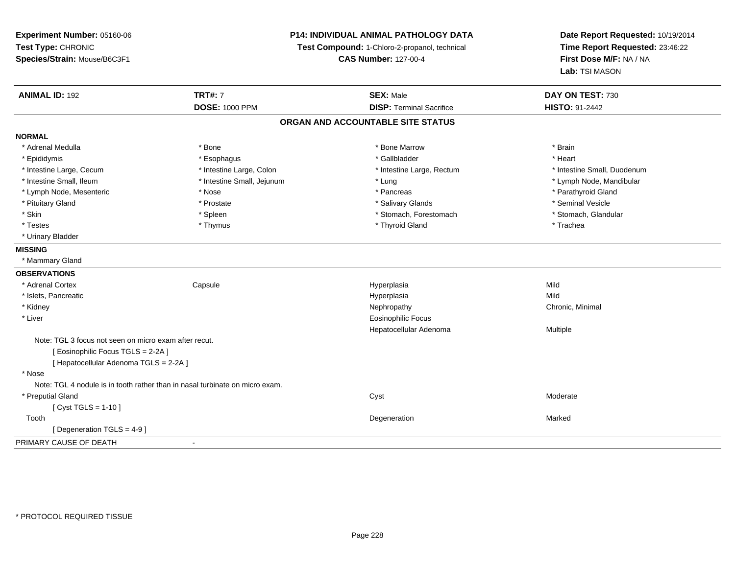| Experiment Number: 05160-06                                                  | <b>P14: INDIVIDUAL ANIMAL PATHOLOGY DATA</b><br>Test Compound: 1-Chloro-2-propanol, technical |                                   | Date Report Requested: 10/19/2014 |  |
|------------------------------------------------------------------------------|-----------------------------------------------------------------------------------------------|-----------------------------------|-----------------------------------|--|
| Test Type: CHRONIC                                                           |                                                                                               |                                   | Time Report Requested: 23:46:22   |  |
| Species/Strain: Mouse/B6C3F1                                                 |                                                                                               | <b>CAS Number: 127-00-4</b>       | First Dose M/F: NA / NA           |  |
|                                                                              |                                                                                               |                                   | Lab: TSI MASON                    |  |
| <b>ANIMAL ID: 192</b>                                                        | <b>TRT#: 7</b>                                                                                | <b>SEX: Male</b>                  | DAY ON TEST: 730                  |  |
|                                                                              | <b>DOSE: 1000 PPM</b>                                                                         | <b>DISP: Terminal Sacrifice</b>   | HISTO: 91-2442                    |  |
|                                                                              |                                                                                               | ORGAN AND ACCOUNTABLE SITE STATUS |                                   |  |
| <b>NORMAL</b>                                                                |                                                                                               |                                   |                                   |  |
| * Adrenal Medulla                                                            | * Bone                                                                                        | * Bone Marrow                     | * Brain                           |  |
| * Epididymis                                                                 | * Esophagus                                                                                   | * Gallbladder                     | * Heart                           |  |
| * Intestine Large, Cecum                                                     | * Intestine Large, Colon                                                                      | * Intestine Large, Rectum         | * Intestine Small, Duodenum       |  |
| * Intestine Small, Ileum                                                     | * Intestine Small, Jejunum                                                                    | * Lung                            | * Lymph Node, Mandibular          |  |
| * Lymph Node, Mesenteric                                                     | * Nose                                                                                        | * Pancreas                        | * Parathyroid Gland               |  |
| * Pituitary Gland                                                            | * Prostate                                                                                    | * Salivary Glands                 | * Seminal Vesicle                 |  |
| * Skin                                                                       | * Spleen                                                                                      | * Stomach, Forestomach            | * Stomach, Glandular              |  |
| * Testes                                                                     | * Thymus                                                                                      | * Thyroid Gland                   | * Trachea                         |  |
| * Urinary Bladder                                                            |                                                                                               |                                   |                                   |  |
| <b>MISSING</b>                                                               |                                                                                               |                                   |                                   |  |
| * Mammary Gland                                                              |                                                                                               |                                   |                                   |  |
| <b>OBSERVATIONS</b>                                                          |                                                                                               |                                   |                                   |  |
| * Adrenal Cortex                                                             | Capsule                                                                                       | Hyperplasia                       | Mild                              |  |
| * Islets, Pancreatic                                                         |                                                                                               | Hyperplasia                       | Mild                              |  |
| * Kidney                                                                     |                                                                                               | Nephropathy                       | Chronic, Minimal                  |  |
| * Liver                                                                      |                                                                                               | <b>Eosinophilic Focus</b>         |                                   |  |
|                                                                              |                                                                                               | Hepatocellular Adenoma            | Multiple                          |  |
| Note: TGL 3 focus not seen on micro exam after recut.                        |                                                                                               |                                   |                                   |  |
| [Eosinophilic Focus TGLS = 2-2A]                                             |                                                                                               |                                   |                                   |  |
| [ Hepatocellular Adenoma TGLS = 2-2A ]                                       |                                                                                               |                                   |                                   |  |
| * Nose                                                                       |                                                                                               |                                   |                                   |  |
| Note: TGL 4 nodule is in tooth rather than in nasal turbinate on micro exam. |                                                                                               |                                   |                                   |  |
| * Preputial Gland                                                            |                                                                                               | Cyst                              | Moderate                          |  |
| [ Cyst TGLS = $1-10$ ]                                                       |                                                                                               |                                   |                                   |  |
| Tooth                                                                        |                                                                                               | Degeneration                      | Marked                            |  |
| [Degeneration TGLS = 4-9]                                                    |                                                                                               |                                   |                                   |  |
| PRIMARY CAUSE OF DEATH                                                       | $\overline{a}$                                                                                |                                   |                                   |  |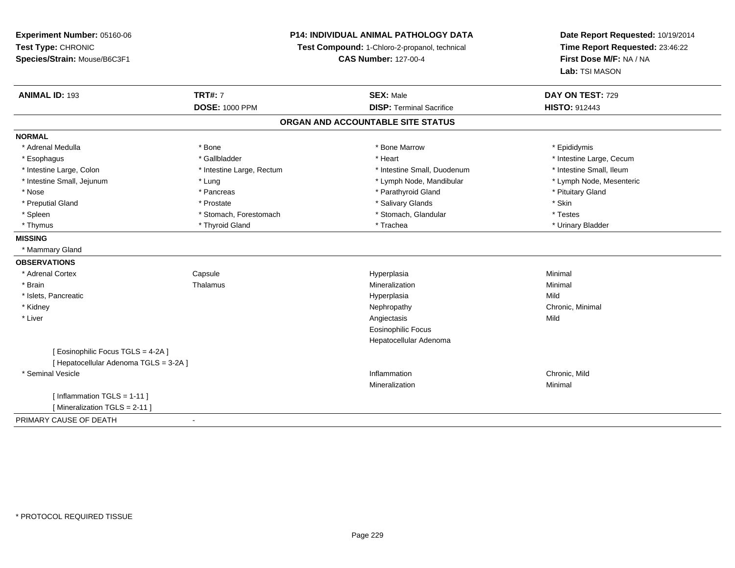## **P14: INDIVIDUAL ANIMAL PATHOLOGY DATA**

**Test Compound:** 1-Chloro-2-propanol, technical

**CAS Number:** 127-00-4

| <b>ANIMAL ID: 193</b>                  | <b>TRT#: 7</b>            | <b>SEX: Male</b>                | DAY ON TEST: 729         |  |  |
|----------------------------------------|---------------------------|---------------------------------|--------------------------|--|--|
|                                        | <b>DOSE: 1000 PPM</b>     | <b>DISP: Terminal Sacrifice</b> | <b>HISTO: 912443</b>     |  |  |
| ORGAN AND ACCOUNTABLE SITE STATUS      |                           |                                 |                          |  |  |
| <b>NORMAL</b>                          |                           |                                 |                          |  |  |
| * Adrenal Medulla                      | * Bone                    | * Bone Marrow                   | * Epididymis             |  |  |
| * Esophagus                            | * Gallbladder             | * Heart                         | * Intestine Large, Cecum |  |  |
| * Intestine Large, Colon               | * Intestine Large, Rectum | * Intestine Small, Duodenum     | * Intestine Small, Ileum |  |  |
| * Intestine Small, Jejunum             | * Lung                    | * Lymph Node, Mandibular        | * Lymph Node, Mesenteric |  |  |
| * Nose                                 | * Pancreas                | * Parathyroid Gland             | * Pituitary Gland        |  |  |
| * Preputial Gland                      | * Prostate                | * Salivary Glands               | * Skin                   |  |  |
| * Spleen                               | * Stomach, Forestomach    | * Stomach, Glandular            | * Testes                 |  |  |
| * Thymus                               | * Thyroid Gland           | * Trachea                       | * Urinary Bladder        |  |  |
| <b>MISSING</b>                         |                           |                                 |                          |  |  |
| * Mammary Gland                        |                           |                                 |                          |  |  |
| <b>OBSERVATIONS</b>                    |                           |                                 |                          |  |  |
| * Adrenal Cortex                       | Capsule                   | Hyperplasia                     | Minimal                  |  |  |
| * Brain                                | Thalamus                  | Mineralization                  | Minimal                  |  |  |
| * Islets, Pancreatic                   |                           | Hyperplasia                     | Mild                     |  |  |
| * Kidney                               |                           | Nephropathy                     | Chronic, Minimal         |  |  |
| * Liver                                |                           | Angiectasis                     | Mild                     |  |  |
|                                        |                           | <b>Eosinophilic Focus</b>       |                          |  |  |
|                                        |                           | Hepatocellular Adenoma          |                          |  |  |
| [ Eosinophilic Focus TGLS = 4-2A ]     |                           |                                 |                          |  |  |
| [ Hepatocellular Adenoma TGLS = 3-2A ] |                           |                                 |                          |  |  |
| * Seminal Vesicle                      |                           | Inflammation                    | Chronic, Mild            |  |  |
|                                        |                           | Mineralization                  | Minimal                  |  |  |
| [ Inflammation TGLS = 1-11 ]           |                           |                                 |                          |  |  |
| [Mineralization TGLS = 2-11]           |                           |                                 |                          |  |  |
| PRIMARY CAUSE OF DEATH                 |                           |                                 |                          |  |  |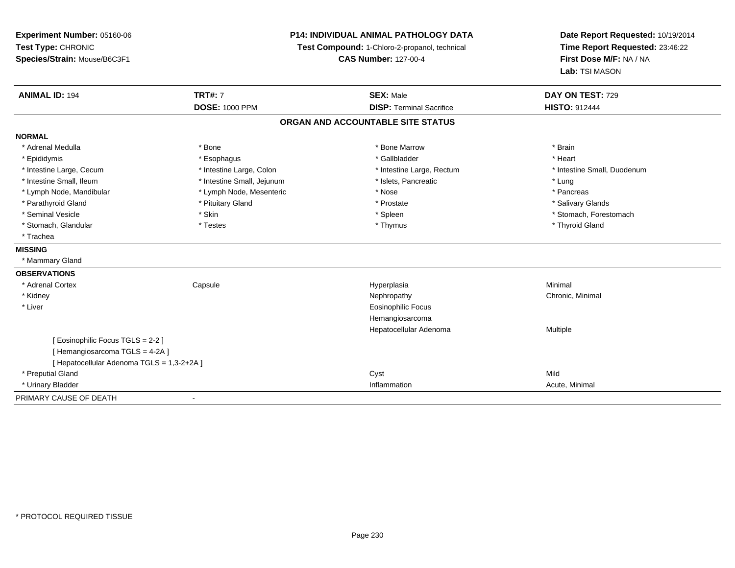| Experiment Number: 05160-06<br>Test Type: CHRONIC<br>Species/Strain: Mouse/B6C3F1 | <b>P14: INDIVIDUAL ANIMAL PATHOLOGY DATA</b><br>Test Compound: 1-Chloro-2-propanol, technical<br><b>CAS Number: 127-00-4</b> |                                                     | Date Report Requested: 10/19/2014<br>Time Report Requested: 23:46:22<br>First Dose M/F: NA / NA<br>Lab: TSI MASON |  |
|-----------------------------------------------------------------------------------|------------------------------------------------------------------------------------------------------------------------------|-----------------------------------------------------|-------------------------------------------------------------------------------------------------------------------|--|
| <b>ANIMAL ID: 194</b>                                                             | <b>TRT#: 7</b><br><b>DOSE: 1000 PPM</b>                                                                                      | <b>SEX: Male</b><br><b>DISP: Terminal Sacrifice</b> | DAY ON TEST: 729<br><b>HISTO: 912444</b>                                                                          |  |
|                                                                                   |                                                                                                                              |                                                     |                                                                                                                   |  |
|                                                                                   |                                                                                                                              | ORGAN AND ACCOUNTABLE SITE STATUS                   |                                                                                                                   |  |
| <b>NORMAL</b>                                                                     |                                                                                                                              |                                                     |                                                                                                                   |  |
| * Adrenal Medulla                                                                 | * Bone                                                                                                                       | * Bone Marrow                                       | * Brain                                                                                                           |  |
| * Epididymis                                                                      | * Esophagus                                                                                                                  | * Gallbladder                                       | * Heart                                                                                                           |  |
| * Intestine Large, Cecum                                                          | * Intestine Large, Colon                                                                                                     | * Intestine Large, Rectum                           | * Intestine Small, Duodenum                                                                                       |  |
| * Intestine Small, Ileum                                                          | * Intestine Small, Jejunum                                                                                                   | * Islets, Pancreatic                                | * Lung                                                                                                            |  |
| * Lymph Node, Mandibular                                                          | * Lymph Node, Mesenteric                                                                                                     | * Nose                                              | * Pancreas                                                                                                        |  |
| * Parathyroid Gland                                                               | * Pituitary Gland                                                                                                            | * Prostate                                          | * Salivary Glands                                                                                                 |  |
| * Seminal Vesicle                                                                 | * Skin                                                                                                                       | * Spleen                                            | * Stomach, Forestomach                                                                                            |  |
| * Stomach, Glandular                                                              | * Testes                                                                                                                     | * Thymus                                            | * Thyroid Gland                                                                                                   |  |
| * Trachea                                                                         |                                                                                                                              |                                                     |                                                                                                                   |  |
| <b>MISSING</b>                                                                    |                                                                                                                              |                                                     |                                                                                                                   |  |
| * Mammary Gland                                                                   |                                                                                                                              |                                                     |                                                                                                                   |  |
| <b>OBSERVATIONS</b>                                                               |                                                                                                                              |                                                     |                                                                                                                   |  |
| * Adrenal Cortex                                                                  | Capsule                                                                                                                      | Hyperplasia                                         | Minimal                                                                                                           |  |
| * Kidney                                                                          |                                                                                                                              | Nephropathy                                         | Chronic, Minimal                                                                                                  |  |
| * Liver                                                                           |                                                                                                                              | <b>Eosinophilic Focus</b>                           |                                                                                                                   |  |
|                                                                                   |                                                                                                                              | Hemangiosarcoma                                     |                                                                                                                   |  |
|                                                                                   |                                                                                                                              | Hepatocellular Adenoma                              | Multiple                                                                                                          |  |
| [ Eosinophilic Focus TGLS = 2-2 ]                                                 |                                                                                                                              |                                                     |                                                                                                                   |  |
| [Hemangiosarcoma TGLS = 4-2A]                                                     |                                                                                                                              |                                                     |                                                                                                                   |  |
| [ Hepatocellular Adenoma TGLS = 1,3-2+2A ]                                        |                                                                                                                              |                                                     |                                                                                                                   |  |
| * Preputial Gland                                                                 |                                                                                                                              | Cyst                                                | Mild                                                                                                              |  |
| * Urinary Bladder                                                                 |                                                                                                                              | Inflammation                                        | Acute, Minimal                                                                                                    |  |
| PRIMARY CAUSE OF DEATH                                                            |                                                                                                                              |                                                     |                                                                                                                   |  |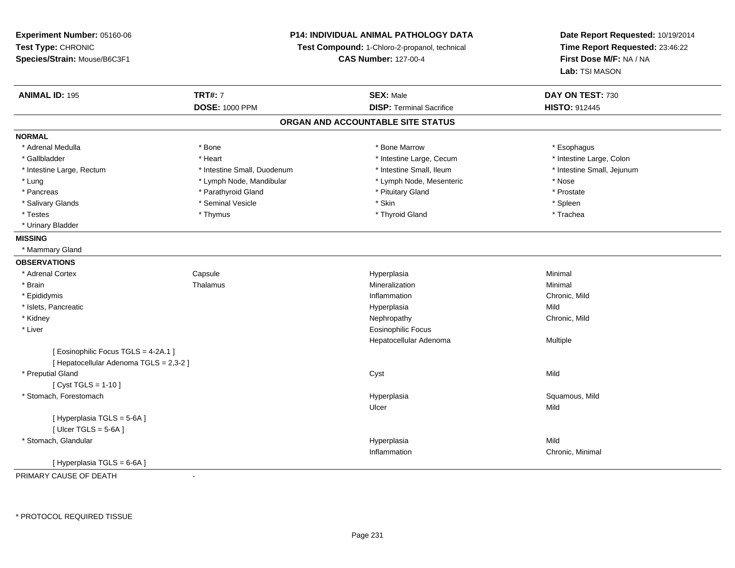**Experiment Number:** 05160-06**Test Type:** CHRONIC **Species/Strain:** Mouse/B6C3F1**P14: INDIVIDUAL ANIMAL PATHOLOGY DATATest Compound:** 1-Chloro-2-propanol, technical **CAS Number:** 127-00-4**Date Report Requested:** 10/19/2014**Time Report Requested:** 23:46:22**First Dose M/F:** NA / NA**Lab:** TSI MASON**ANIMAL ID:** 195**TRT#:** 7 **SEX:** Male **DAY ON TEST:** 730 **DOSE:** 1000 PPM**DISP:** Terminal Sacrifice **HISTO:** 912445 **ORGAN AND ACCOUNTABLE SITE STATUSNORMAL**\* Adrenal Medulla \* Adrenal Medulla \* \* The matter of the state of the state of the state of the state of the state of the state of the state of the state of the state of the state of the state of the state of the state of the state of the \* Intestine Large, Colon \* Gallbladder \* The mode of the term \* Heart \* Intestine Large, Cecum \* Intestine Large, Cecum \* Intestine Large, Cecum \* Intestine Large, Rectum \* Thestine Small, Duodenum \* Number of the small, Ileum \* Intestine Small, Jejunum \* Intestine Small, Jejunum \* Lung \* Lymph Node, Mandibular \* Nose \* Lymph Node, Mesenteric \* Nose \* Nose \* Prostate \* Pancreas \* Parathyroid Gland \* Parathyroid Gland \* Parathyroid Gland \* Prituitary Gland \* Spleen \* Salivary Glands \* \* \* Sheen \* Seminal Vesicle \* \* \* Stan \* \* Skin \* \* Skin \* \* Spleen \* \* Spleen \* \* Spleen \* \* Trachea \* Testes \* Thymus \* Thyroid Gland \* Trachea \* Urinary Bladder**MISSING** \* Mammary Gland**OBSERVATIONS** \* Adrenal CortexCapsule<br>Thalamus Hyperplasia Minimal \* Brainn and the matter of the Thalamus and the Minimal of the Minimal of the Minimal of the Minimal of the Minimal o<br>Thalamus and the Minimal of the Minimal of the Minimal of the Minimal of the Minimal of the Minimal of the Min \* Epididymiss and the contract of the contract of the contract of the contract of the contract of the contract of the contract of the contract of the contract of the contract of the contract of the contract of the contract of the cont Inflammation **Example 2** Chronic, Mild<br>
Hyperplasia<br>
Mild \* Islets, Pancreaticc and the contract of the contract of the contract of the contract of the contract of the contract of the contract of the contract of the contract of the contract of the contract of the contract of the contract of the cont a Mild \* Kidneyy the controller of the controller of the controller of the controller of the controller of the chronic, Mild \* Liver Eosinophilic Focus Hepatocellular Adenoma Multiple [ Eosinophilic Focus TGLS = 4-2A.1 ] [ Hepatocellular Adenoma TGLS = 2,3-2 ] \* Preputial Glandd and the control of the control of the control of the control of the control of the control of the control of the control of the control of the control of the control of the control of the control of the control of the co  $[$  Cyst TGLS = 1-10  $]$  \* Stomach, Forestomachh ann an t-ìre ann an t-ìre ann an t-ìre ann an t-ìre ann an t-ìre ann an t-ìre ann an t-ìre ann an Squamous, Mild Ulcerr **Mild** [ Hyperplasia TGLS = 5-6A ]  $[$  Ulcer TGLS = 5-6A  $]$  \* Stomach, Glandularr and the contract of the contract of the contract of the contract of the contract of the contract of the contract of the contract of the contract of the contract of the contract of the contract of the contract of the cont a Mild Inflammation Chronic, Minimal [ Hyperplasia TGLS = 6-6A ]

PRIMARY CAUSE OF DEATH-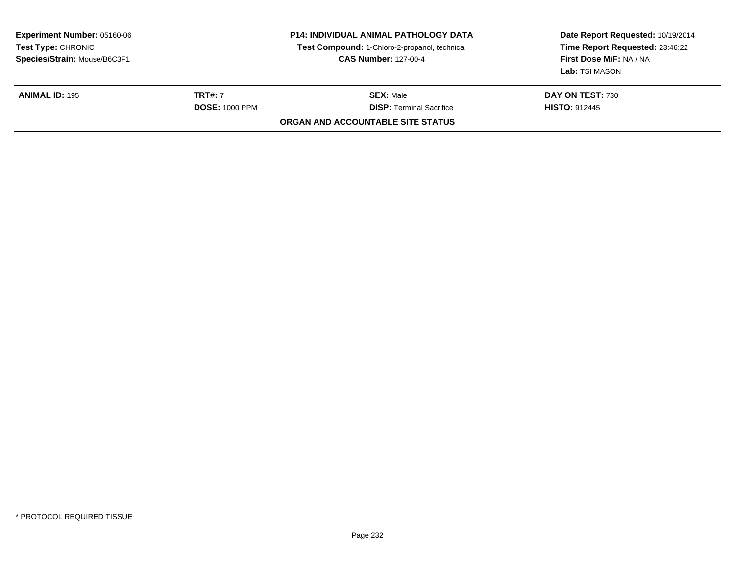| <b>Experiment Number: 05160-06</b><br>Test Type: CHRONIC<br>Species/Strain: Mouse/B6C3F1 |                                         | <b>P14: INDIVIDUAL ANIMAL PATHOLOGY DATA</b><br>Test Compound: 1-Chloro-2-propanol, technical<br><b>CAS Number: 127-00-4</b> | Date Report Requested: 10/19/2014<br>Time Report Requested: 23:46:22<br>First Dose M/F: NA / NA<br>Lab: TSI MASON |
|------------------------------------------------------------------------------------------|-----------------------------------------|------------------------------------------------------------------------------------------------------------------------------|-------------------------------------------------------------------------------------------------------------------|
| <b>ANIMAL ID: 195</b>                                                                    | <b>TRT#: 7</b><br><b>DOSE: 1000 PPM</b> | <b>SEX: Male</b><br><b>DISP:</b> Terminal Sacrifice                                                                          | DAY ON TEST: 730<br><b>HISTO: 912445</b>                                                                          |
|                                                                                          |                                         | ORGAN AND ACCOUNTABLE SITE STATUS                                                                                            |                                                                                                                   |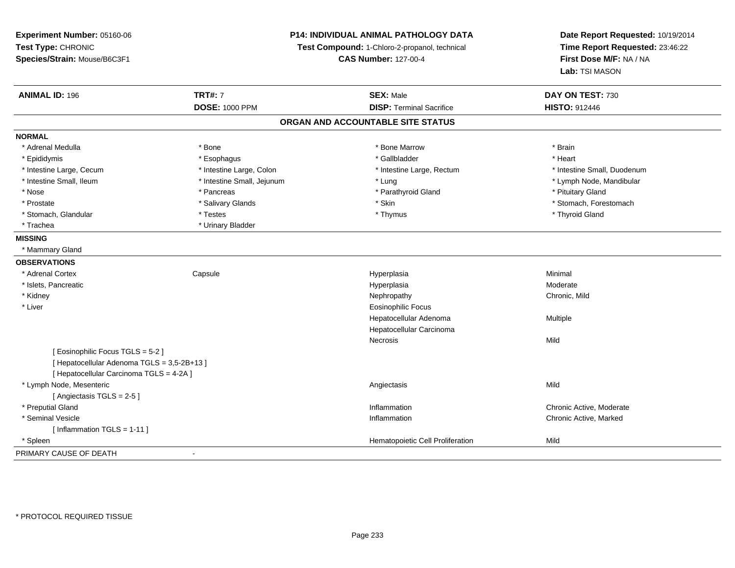| Experiment Number: 05160-06                 | <b>P14: INDIVIDUAL ANIMAL PATHOLOGY DATA</b><br>Test Compound: 1-Chloro-2-propanol, technical<br><b>CAS Number: 127-00-4</b> |                                   | Date Report Requested: 10/19/2014<br>Time Report Requested: 23:46:22<br>First Dose M/F: NA / NA |
|---------------------------------------------|------------------------------------------------------------------------------------------------------------------------------|-----------------------------------|-------------------------------------------------------------------------------------------------|
| Test Type: CHRONIC                          |                                                                                                                              |                                   |                                                                                                 |
| Species/Strain: Mouse/B6C3F1                |                                                                                                                              |                                   |                                                                                                 |
|                                             |                                                                                                                              |                                   | Lab: TSI MASON                                                                                  |
| <b>ANIMAL ID: 196</b>                       | <b>TRT#: 7</b>                                                                                                               | <b>SEX: Male</b>                  | DAY ON TEST: 730                                                                                |
|                                             | <b>DOSE: 1000 PPM</b>                                                                                                        | <b>DISP: Terminal Sacrifice</b>   | <b>HISTO: 912446</b>                                                                            |
|                                             |                                                                                                                              | ORGAN AND ACCOUNTABLE SITE STATUS |                                                                                                 |
| <b>NORMAL</b>                               |                                                                                                                              |                                   |                                                                                                 |
| * Adrenal Medulla                           | * Bone                                                                                                                       | * Bone Marrow                     | * Brain                                                                                         |
| * Epididymis                                | * Esophagus                                                                                                                  | * Gallbladder                     | * Heart                                                                                         |
| * Intestine Large, Cecum                    | * Intestine Large, Colon                                                                                                     | * Intestine Large, Rectum         | * Intestine Small, Duodenum                                                                     |
| * Intestine Small, Ileum                    | * Intestine Small, Jejunum                                                                                                   | * Lung                            | * Lymph Node, Mandibular                                                                        |
| * Nose                                      | * Pancreas                                                                                                                   | * Parathyroid Gland               | * Pituitary Gland                                                                               |
| * Prostate                                  | * Salivary Glands                                                                                                            | * Skin                            | * Stomach, Forestomach                                                                          |
| * Stomach, Glandular                        | * Testes                                                                                                                     | * Thymus                          | * Thyroid Gland                                                                                 |
| * Trachea                                   | * Urinary Bladder                                                                                                            |                                   |                                                                                                 |
| <b>MISSING</b>                              |                                                                                                                              |                                   |                                                                                                 |
| * Mammary Gland                             |                                                                                                                              |                                   |                                                                                                 |
| <b>OBSERVATIONS</b>                         |                                                                                                                              |                                   |                                                                                                 |
| * Adrenal Cortex                            | Capsule                                                                                                                      | Hyperplasia                       | Minimal                                                                                         |
| * Islets, Pancreatic                        |                                                                                                                              | Hyperplasia                       | Moderate                                                                                        |
| * Kidney                                    |                                                                                                                              | Nephropathy                       | Chronic, Mild                                                                                   |
| * Liver                                     |                                                                                                                              | Eosinophilic Focus                |                                                                                                 |
|                                             |                                                                                                                              | Hepatocellular Adenoma            | Multiple                                                                                        |
|                                             |                                                                                                                              | Hepatocellular Carcinoma          |                                                                                                 |
|                                             |                                                                                                                              | Necrosis                          | Mild                                                                                            |
| [Eosinophilic Focus TGLS = 5-2]             |                                                                                                                              |                                   |                                                                                                 |
| [ Hepatocellular Adenoma TGLS = 3,5-2B+13 ] |                                                                                                                              |                                   |                                                                                                 |
| [ Hepatocellular Carcinoma TGLS = 4-2A ]    |                                                                                                                              |                                   |                                                                                                 |
| * Lymph Node, Mesenteric                    |                                                                                                                              | Angiectasis                       | Mild                                                                                            |
| [Angiectasis TGLS = 2-5]                    |                                                                                                                              |                                   |                                                                                                 |
| * Preputial Gland                           |                                                                                                                              | Inflammation                      | Chronic Active, Moderate                                                                        |
| * Seminal Vesicle                           |                                                                                                                              | Inflammation                      | Chronic Active, Marked                                                                          |
| [Inflammation TGLS = 1-11]                  |                                                                                                                              |                                   |                                                                                                 |
| * Spleen                                    |                                                                                                                              | Hematopoietic Cell Proliferation  | Mild                                                                                            |
| PRIMARY CAUSE OF DEATH                      | $\blacksquare$                                                                                                               |                                   |                                                                                                 |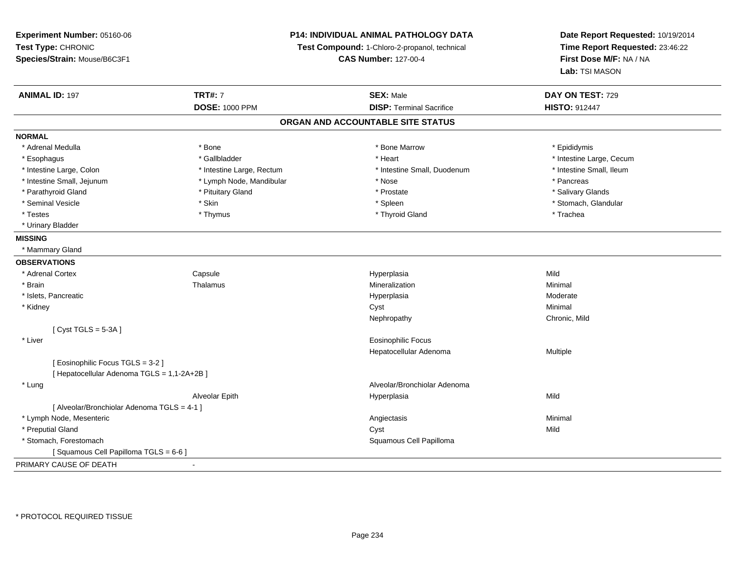**Experiment Number:** 05160-06**Test Type:** CHRONIC **Species/Strain:** Mouse/B6C3F1**P14: INDIVIDUAL ANIMAL PATHOLOGY DATATest Compound:** 1-Chloro-2-propanol, technical **CAS Number:** 127-00-4**Date Report Requested:** 10/19/2014**Time Report Requested:** 23:46:22**First Dose M/F:** NA / NA**Lab:** TSI MASON**ANIMAL ID:** 197**TRT#:** 7 **SEX:** Male **DAY ON TEST:** 729 **DOSE:** 1000 PPM **DISP:** Terminal Sacrifice **HISTO:** <sup>912447</sup> **ORGAN AND ACCOUNTABLE SITE STATUSNORMAL**\* Adrenal Medulla \* Adrenal Medulla \* \* The matter of the state of the state of the Marrow \* Bone Marrow \* Adrenal Medulla \* Epididymis \* Epididymis \* Bone Marrow \* Adrenal Medulla \* Epididymis \* Epididymis \* Epididymis \* Epididymis \* Epidi \* Esophagus \* https://www.fragustage.com/web/2019/heart \* Heart \* Heart \* Heart \* Intestine Large, Cecum \* Intestine Large, Cecum \* Gallbladder \* Callbladder \* 11 and 12 and 12 and 12 and 12 and 12 and 12 and 12 and 12 and \* Intestine Small, Ileum \* Intestine Large, Colon \* Intestine Large, Rectum \* Intestine Small, Duodenum \* Intestine Small, Duodenum \* Intestine Small, Jejunum \* The matches \* Lymph Node, Mandibular \* \* Nose \* \* Pancreas \* Pancreas \* Pancreas \* Salivary Glands \* Parathyroid Gland \* \* \* Pituitary Gland \* \* Prostate \* \* Prostate \* \* Salivary Glands \* Salivary Glands \* Salivary Glands \* Salivary Glands \* Salivary Glands \* Salivary Glands \* Salivary Glands \* Salivary Glands \* Saliva \* Seminal Vesicle \* The store of the set of the set of the set of the set of the set of the set of the set of the set of the set of the set of the set of the set of the set of the set of the set of the set of the set of th \* Testes \* Thymus \* Thyroid Gland \* Trachea \* Urinary Bladder**MISSING** \* Mammary Gland**OBSERVATIONS** \* Adrenal CortexCapsule<br>Thalamus Hyperplasia Mild \* Brainn and the matter of the Thalamus and the Minimal of the Minimal of the Minimal of the Minimal of the Minimal o<br>Thalamus and the Minimal of the Minimal of the Minimal of the Minimal of the Minimal of the Minimal of the Min \* Islets, Pancreaticc and the contract of the contract of the contract of the contract of the contract of the contract of the contract of the contract of the contract of the contract of the contract of the contract of the contract of the cont a **Moderate**  \* Kidneyy the control of the control of the control of the control of the control of the control of the control of the control of the control of the control of the control of the control of the control of the control of the contro Nephropathy Chronic, Mild $[$  Cyst TGLS = 5-3A  $]$  \* Liver Eosinophilic Focus Hepatocellular Adenoma Multiple [ Eosinophilic Focus TGLS = 3-2 ][ Hepatocellular Adenoma TGLS = 1,1-2A+2B ] \* Lung Alveolar/Bronchiolar Adenoma Alveolar Epithh anns an t-India anns an t-India anns an t-India anns an t-India anns an t-India anns an t-India anns an t-In [ Alveolar/Bronchiolar Adenoma TGLS = 4-1 ] \* Lymph Node, Mesentericc contract the contract of the contract of the contract of the contract of the contract of the contract of the contract of the contract of the contract of the contract of the contract of the contract of the contract of the \* Preputial Glandd and the control of the control of the control of the control of the control of the control of the control of the control of the control of the control of the control of the control of the control of the control of the co \* Stomach, Forestomach Squamous Cell Papilloma [ Squamous Cell Papilloma TGLS = 6-6 ]PRIMARY CAUSE OF DEATH-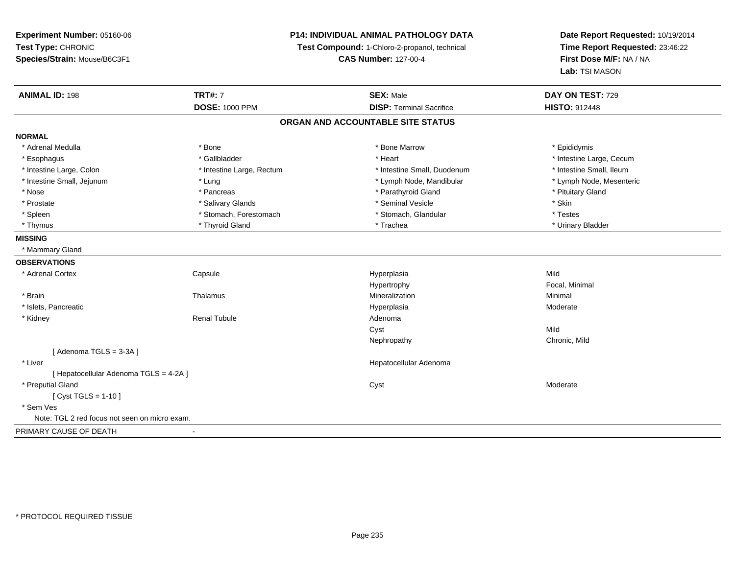## **P14: INDIVIDUAL ANIMAL PATHOLOGY DATA**

**Test Compound:** 1-Chloro-2-propanol, technical

**CAS Number:** 127-00-4

| <b>ANIMAL ID: 198</b>                         | <b>TRT#: 7</b>            | <b>SEX: Male</b>                  | DAY ON TEST: 729         |
|-----------------------------------------------|---------------------------|-----------------------------------|--------------------------|
|                                               | <b>DOSE: 1000 PPM</b>     | <b>DISP: Terminal Sacrifice</b>   | <b>HISTO: 912448</b>     |
|                                               |                           | ORGAN AND ACCOUNTABLE SITE STATUS |                          |
| <b>NORMAL</b>                                 |                           |                                   |                          |
| * Adrenal Medulla                             | * Bone                    | * Bone Marrow                     | * Epididymis             |
| * Esophagus                                   | * Gallbladder             | * Heart                           | * Intestine Large, Cecum |
| * Intestine Large, Colon                      | * Intestine Large, Rectum | * Intestine Small, Duodenum       | * Intestine Small, Ileum |
| * Intestine Small, Jejunum                    | * Lung                    | * Lymph Node, Mandibular          | * Lymph Node, Mesenteric |
| * Nose                                        | * Pancreas                | * Parathyroid Gland               | * Pituitary Gland        |
| * Prostate                                    | * Salivary Glands         | * Seminal Vesicle                 | * Skin                   |
| * Spleen                                      | * Stomach, Forestomach    | * Stomach, Glandular              | * Testes                 |
| * Thymus                                      | * Thyroid Gland           | * Trachea                         | * Urinary Bladder        |
| <b>MISSING</b>                                |                           |                                   |                          |
| * Mammary Gland                               |                           |                                   |                          |
| <b>OBSERVATIONS</b>                           |                           |                                   |                          |
| * Adrenal Cortex                              | Capsule                   | Hyperplasia                       | Mild                     |
|                                               |                           | Hypertrophy                       | Focal, Minimal           |
| * Brain                                       | Thalamus                  | Mineralization                    | Minimal                  |
| * Islets, Pancreatic                          |                           | Hyperplasia                       | Moderate                 |
| * Kidney                                      | <b>Renal Tubule</b>       | Adenoma                           |                          |
|                                               |                           | Cyst                              | Mild                     |
|                                               |                           | Nephropathy                       | Chronic, Mild            |
| [Adenoma TGLS = $3-3A$ ]                      |                           |                                   |                          |
| * Liver                                       |                           | Hepatocellular Adenoma            |                          |
| [ Hepatocellular Adenoma TGLS = 4-2A ]        |                           |                                   |                          |
| * Preputial Gland                             |                           | Cyst                              | Moderate                 |
| [ $Cyst TGLS = 1-10$ ]                        |                           |                                   |                          |
| * Sem Ves                                     |                           |                                   |                          |
| Note: TGL 2 red focus not seen on micro exam. |                           |                                   |                          |
| PRIMARY CAUSE OF DEATH                        | $\overline{\phantom{a}}$  |                                   |                          |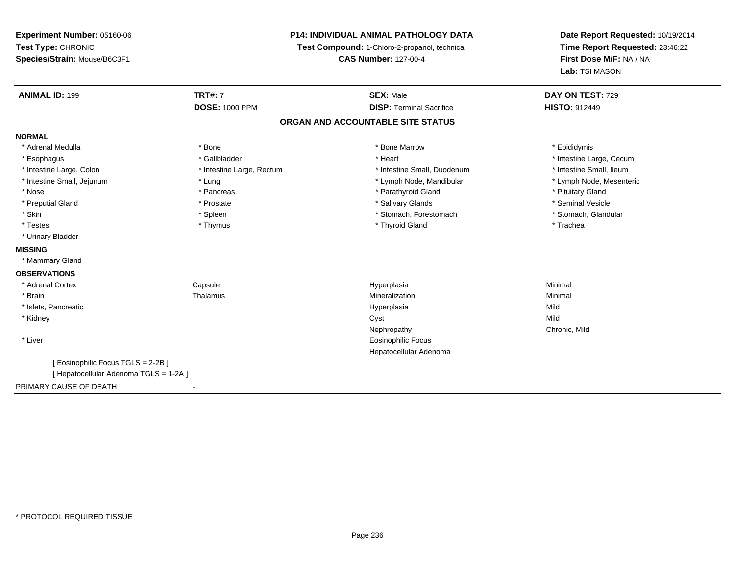**Experiment Number:** 05160-06**Test Type:** CHRONIC **Species/Strain:** Mouse/B6C3F1**P14: INDIVIDUAL ANIMAL PATHOLOGY DATATest Compound:** 1-Chloro-2-propanol, technical **CAS Number:** 127-00-4**Date Report Requested:** 10/19/2014**Time Report Requested:** 23:46:22**First Dose M/F:** NA / NA**Lab:** TSI MASON**ANIMAL ID:** 199**TRT#:** 7 **SEX:** Male **DAY ON TEST:** 729 **DOSE:** 1000 PPM**DISP:** Terminal Sacrifice **HISTO:** 912449 **ORGAN AND ACCOUNTABLE SITE STATUSNORMAL**\* Adrenal Medulla \* Adrenal Medulla \* \* The matter of the state of the state of the Marrow \* Bone Marrow \* Adrenal Medulla \* Epididymis \* Epididymis \* Bone Marrow \* Adrenal Medulla \* Epididymis \* Epididymis \* Epididymis \* Epididymis \* Epidi \* Esophagus \* https://www.fragustage.com/web/2019/heart \* Heart \* Heart \* Heart \* Intestine Large, Cecum \* Intestine Large, Cecum \* Gallbladder \* Callbladder \* 11 and 12 and 12 and 12 and 12 and 12 and 12 and 12 and 12 and \* Intestine Small, Ileum \* Intestine Large, Colon \* Intestine Large, Rectum \* Intestine Small, Duodenum \* Intestine Small, Duodenum \* Lymph Node, Mesenteric \* Intestine Small, Jejunum \* The material and the state of the state of the state of the state of the state of the state of the state of the state of the state of the state of the state of the state of the state of the sta \* Nose \* Pancreas \* Pancreas \* Pancreas \* Parathyroid Gland \* Parathyroid Gland \* Pituitary Gland \* Pituitary Gland \* Seminal Vesicle \* Preputial Gland \* \* Annual vesicle \* \* Prostate \* \* Salivary Glands \* \* Salivary Glands \* \* Seminal Vesicle \* \* Stomach. Glandular \* Skin \* Spleen \* Spleen \* Stomach, Forestomach \* Stomach, Forestomach \* Stomach, Forestomach \* Testes \* Thymus \* Thyroid Gland \* Trachea \* Urinary Bladder**MISSING** \* Mammary Gland**OBSERVATIONS** \* Adrenal Cortex Capsule Hyperplasia Minimal \* Brainn and the matter of the Thalamus and the Minimal of the Minimal of the Minimal of the Minimal of the Minimal o<br>Thalamus and the Minimal of the Minimal of the Minimal of the Minimal of the Minimal of the Minimal of the Min \* Islets, Pancreaticc and the contract of the contract of the contract of the contract of the contract of the contract of the contract of the contract of the contract of the contract of the contract of the contract of the contract of the cont a Mild \* Kidneyy and the control of the control of the control of the control of the control of the control of the control of the control of the control of the control of the control of the control of the control of the control of the co y **Chronic, Mild** Nephropathy \* Liver Eosinophilic Focus Hepatocellular Adenoma[ Eosinophilic Focus TGLS = 2-2B ][ Hepatocellular Adenoma TGLS = 1-2A ]PRIMARY CAUSE OF DEATH-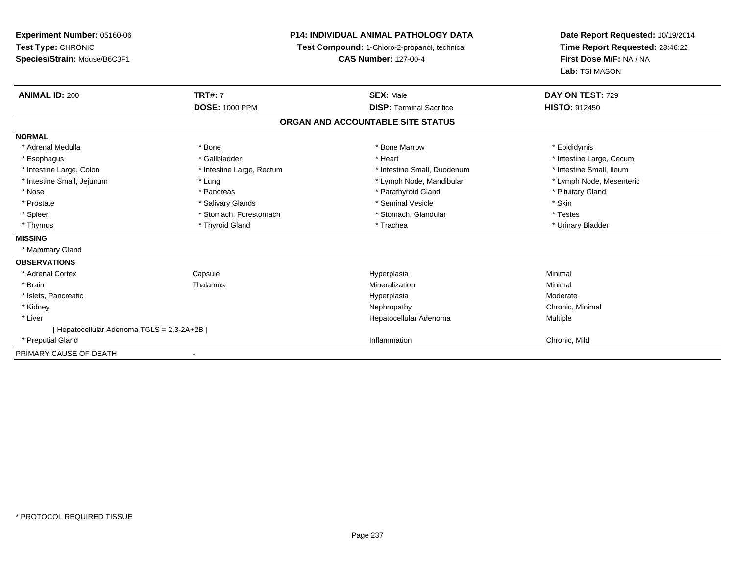**Experiment Number:** 05160-06**Test Type:** CHRONIC **Species/Strain:** Mouse/B6C3F1**P14: INDIVIDUAL ANIMAL PATHOLOGY DATATest Compound:** 1-Chloro-2-propanol, technical **CAS Number:** 127-00-4**Date Report Requested:** 10/19/2014**Time Report Requested:** 23:46:22**First Dose M/F:** NA / NA**Lab:** TSI MASON**ANIMAL ID:** 200**TRT#:** 7 **SEX:** Male **DAY ON TEST:** 729 **DOSE:** 1000 PPM**DISP:** Terminal Sacrifice **HISTO:** 912450 **ORGAN AND ACCOUNTABLE SITE STATUSNORMAL**\* Adrenal Medulla \* Adrenal Medulla \* \* The matter of the state of the state of the Marrow \* Bone Marrow \* Adrenal Medulla \* Epididymis \* Epididymis \* Bone Marrow \* Adrenal Medulla \* Epididymis \* Epididymis \* Epididymis \* Epididymis \* Epidi \* Esophagus \* https://www.fragustage.com/web/2019/heart \* Heart \* Heart \* Heart \* Intestine Large, Cecum \* Intestine Large, Cecum \* Gallbladder \* Callbladder \* 11 and 12 and 12 and 12 and 12 and 12 and 12 and 12 and 12 and \* Intestine Small, Ileum \* Intestine Large, Colon \* Intestine Large, Rectum \* Intestine Small, Duodenum \* Intestine Small, Duodenum \* Lymph Node, Mesenteric \* Intestine Small, Jejunum \* The matter of the state of the state of the state of the state of the state of the state of the state of the state of the state of the state of the state of the state of the state of the state \* Nose \* Pancreas \* Pancreas \* Pancreas \* Parathyroid Gland \* Parathyroid Gland \* Pituitary Gland \* Pituitary Gland \* Prostate \* \* Salivary Glands \* \* Salivary Glands \* \* Seminal Vesicle \* \* \* Seminal Yestrich \* \* Skin \* \* Skin \* Testes \* Spleen \* Stomach, Forestomach \* Stomach, Forestomach \* Stomach, Glandular \* Stomach, Glandular \* Urinary Bladder \* Thymus \* Thyroid Gland \* Trachea \* Urinary Bladder \* **MISSING** \* Mammary Gland**OBSERVATIONS** \* Adrenal CortexCapsule<br>Thalamus Hyperplasia Minimal \* Brainn and the matter of the Thalamus and the Minimal of the Minimal of the Minimal of the Minimal of the Minimal o<br>Thalamus and the Minimal of the Minimal of the Minimal of the Minimal of the Minimal of the Minimal of the Min \* Islets, Pancreaticc and the contract of the contract of the contract of the contract of the contract of the contract of the contract of the contract of the contract of the contract of the contract of the contract of the contract of the cont Moderate \* Kidneyy the controller of the controller of the controller of the controller of the controller of the controller of the controller of the controller of the controller of the controller of the controller of the controller of the \* Liver Hepatocellular Adenoma Multiple [ Hepatocellular Adenoma TGLS = 2,3-2A+2B ] \* Preputial Gland Inflammation Chronic, Mild PRIMARY CAUSE OF DEATH-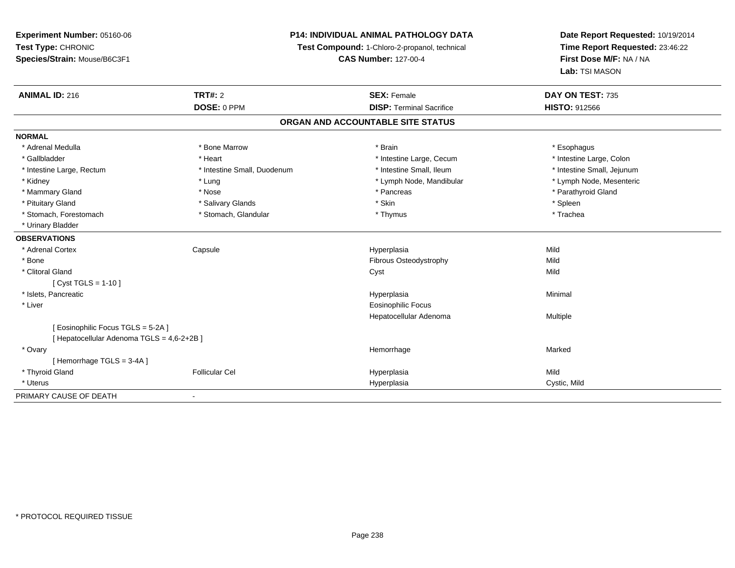## **P14: INDIVIDUAL ANIMAL PATHOLOGY DATA**

**Test Compound:** 1-Chloro-2-propanol, technical

**CAS Number:** 127-00-4

| <b>ANIMAL ID: 216</b>                      | <b>TRT#: 2</b>              | <b>SEX: Female</b>                | DAY ON TEST: 735           |
|--------------------------------------------|-----------------------------|-----------------------------------|----------------------------|
|                                            | DOSE: 0 PPM                 | <b>DISP: Terminal Sacrifice</b>   | <b>HISTO: 912566</b>       |
|                                            |                             | ORGAN AND ACCOUNTABLE SITE STATUS |                            |
| <b>NORMAL</b>                              |                             |                                   |                            |
| * Adrenal Medulla                          | * Bone Marrow               | * Brain                           | * Esophagus                |
| * Gallbladder                              | * Heart                     | * Intestine Large, Cecum          | * Intestine Large, Colon   |
| * Intestine Large, Rectum                  | * Intestine Small, Duodenum | * Intestine Small, Ileum          | * Intestine Small, Jejunum |
| * Kidney                                   | * Lung                      | * Lymph Node, Mandibular          | * Lymph Node, Mesenteric   |
| * Mammary Gland                            | * Nose                      | * Pancreas                        | * Parathyroid Gland        |
| * Pituitary Gland                          | * Salivary Glands           | * Skin                            | * Spleen                   |
| * Stomach, Forestomach                     | * Stomach, Glandular        | * Thymus                          | * Trachea                  |
| * Urinary Bladder                          |                             |                                   |                            |
| <b>OBSERVATIONS</b>                        |                             |                                   |                            |
| * Adrenal Cortex                           | Capsule                     | Hyperplasia                       | Mild                       |
| * Bone                                     |                             | Fibrous Osteodystrophy            | Mild                       |
| * Clitoral Gland                           |                             | Cyst                              | Mild                       |
| [ $Cyst TGLS = 1-10$ ]                     |                             |                                   |                            |
| * Islets, Pancreatic                       |                             | Hyperplasia                       | Minimal                    |
| * Liver                                    |                             | Eosinophilic Focus                |                            |
|                                            |                             | Hepatocellular Adenoma            | Multiple                   |
| [Eosinophilic Focus TGLS = 5-2A]           |                             |                                   |                            |
| [ Hepatocellular Adenoma TGLS = 4,6-2+2B ] |                             |                                   |                            |
| * Ovary                                    |                             | Hemorrhage                        | Marked                     |
| [Hemorrhage TGLS = 3-4A]                   |                             |                                   |                            |
| * Thyroid Gland                            | <b>Follicular Cel</b>       | Hyperplasia                       | Mild                       |
| * Uterus                                   |                             | Hyperplasia                       | Cystic, Mild               |
| PRIMARY CAUSE OF DEATH                     | $\blacksquare$              |                                   |                            |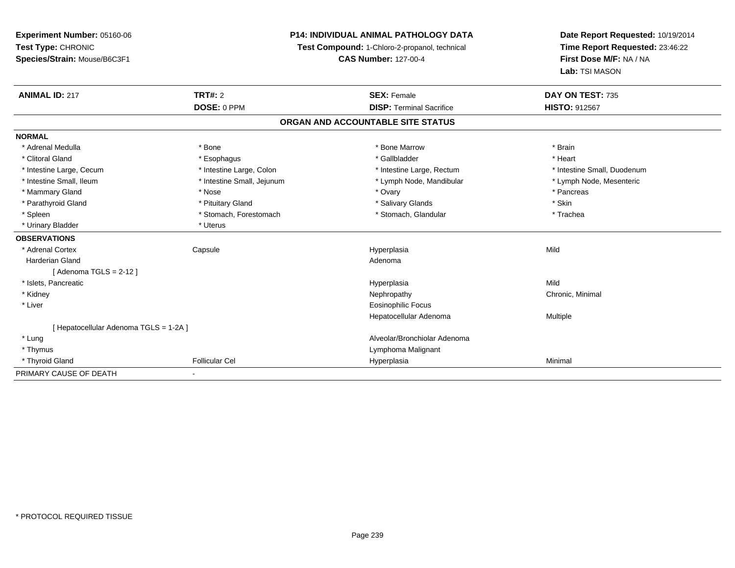| Experiment Number: 05160-06            |                            | <b>P14: INDIVIDUAL ANIMAL PATHOLOGY DATA</b>  | Date Report Requested: 10/19/2014 |  |
|----------------------------------------|----------------------------|-----------------------------------------------|-----------------------------------|--|
| Test Type: CHRONIC                     |                            | Test Compound: 1-Chloro-2-propanol, technical | Time Report Requested: 23:46:22   |  |
| Species/Strain: Mouse/B6C3F1           |                            | <b>CAS Number: 127-00-4</b>                   | First Dose M/F: NA / NA           |  |
|                                        |                            |                                               | Lab: TSI MASON                    |  |
| <b>ANIMAL ID: 217</b>                  | <b>TRT#: 2</b>             | <b>SEX: Female</b>                            | DAY ON TEST: 735                  |  |
|                                        | DOSE: 0 PPM                | <b>DISP: Terminal Sacrifice</b>               | HISTO: 912567                     |  |
|                                        |                            | ORGAN AND ACCOUNTABLE SITE STATUS             |                                   |  |
| <b>NORMAL</b>                          |                            |                                               |                                   |  |
| * Adrenal Medulla                      | * Bone                     | * Bone Marrow                                 | * Brain                           |  |
| * Clitoral Gland                       | * Esophagus                | * Gallbladder                                 | * Heart                           |  |
| * Intestine Large, Cecum               | * Intestine Large, Colon   | * Intestine Large, Rectum                     | * Intestine Small, Duodenum       |  |
| * Intestine Small, Ileum               | * Intestine Small, Jejunum | * Lymph Node, Mandibular                      | * Lymph Node, Mesenteric          |  |
| * Mammary Gland                        | * Nose                     | * Ovary                                       | * Pancreas                        |  |
| * Parathyroid Gland                    | * Pituitary Gland          | * Salivary Glands                             | * Skin                            |  |
| * Spleen                               | * Stomach, Forestomach     | * Stomach, Glandular                          | * Trachea                         |  |
| * Urinary Bladder                      | * Uterus                   |                                               |                                   |  |
| <b>OBSERVATIONS</b>                    |                            |                                               |                                   |  |
| * Adrenal Cortex                       | Capsule                    | Hyperplasia                                   | Mild                              |  |
| <b>Harderian Gland</b>                 |                            | Adenoma                                       |                                   |  |
| [Adenoma TGLS = $2-12$ ]               |                            |                                               |                                   |  |
| * Islets, Pancreatic                   |                            | Hyperplasia                                   | Mild                              |  |
| * Kidney                               |                            | Nephropathy                                   | Chronic, Minimal                  |  |
| * Liver                                |                            | <b>Eosinophilic Focus</b>                     |                                   |  |
|                                        |                            | Hepatocellular Adenoma                        | Multiple                          |  |
| [ Hepatocellular Adenoma TGLS = 1-2A ] |                            |                                               |                                   |  |
| * Lung                                 |                            | Alveolar/Bronchiolar Adenoma                  |                                   |  |
| * Thymus                               |                            | Lymphoma Malignant                            |                                   |  |
| * Thyroid Gland                        | <b>Follicular Cel</b>      | Hyperplasia                                   | Minimal                           |  |
| PRIMARY CAUSE OF DEATH                 | $\blacksquare$             |                                               |                                   |  |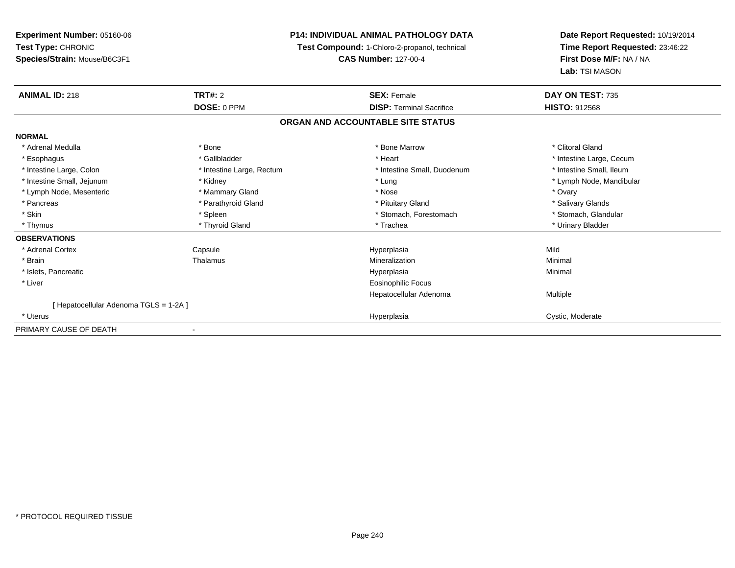**Experiment Number:** 05160-06**Test Type:** CHRONIC **Species/Strain:** Mouse/B6C3F1**P14: INDIVIDUAL ANIMAL PATHOLOGY DATATest Compound:** 1-Chloro-2-propanol, technical **CAS Number:** 127-00-4**Date Report Requested:** 10/19/2014**Time Report Requested:** 23:46:22**First Dose M/F:** NA / NA**Lab:** TSI MASON**ANIMAL ID:** 218**TRT#:** 2 **SEX:** Female **DAY ON TEST:** 735 **DOSE:** 0 PPM**DISP:** Terminal Sacrifice **HISTO:** 912568 **ORGAN AND ACCOUNTABLE SITE STATUSNORMAL**\* Adrenal Medulla \* The state of the state of the state of the state of the Marrow \* Bone Marrow \* Clitoral Gland \* Clitoral Gland \* Esophagus \* https://www.fragustage.com/web/2019/heart \* Heart \* Heart \* Heart \* Intestine Large, Cecum \* Intestine Large, Cecum \* Sallbladder \* The state of the state of the state of the state of the state of the state o \* Intestine Small, Ileum \* Intestine Large, Colon \* Intestine Large, Rectum \* Intestine Small, Duodenum \* Intestine Small, Duodenum \* Intestine Small, Jejunum \* Kidney \* Lung \* Lymph Node, Mandibular\* Lymph Node, Mesenteric \* \* \* Mammary Gland \* \* Nose \* \* Nose \* \* Nose \* \* Nose \* Ovary \* Ovary \* Salivary Glands \* Pancreas \* And the section of the section of the section of the section of the section of the section of the section of the section of the section of the section of the section of the section of the section of the sectio \* Stomach. Glandular \* Skin \* Stomach, Forestomach \* Spleen \* Spleen \* Stomach, Forestomach \* Stomach, Forestomach \* Thymus \* Thyroid Gland \* Trachea \* Urinary Bladder \* **OBSERVATIONS** \* Adrenal Cortex Capsule Hyperplasia Mild \* Brainn and the Thalamus and the Minimal and Mineralization and Minimal Minimal and Minimal and Minimal and Minimal  $\mu$  \* Islets, Pancreaticc description of the control of the control of the control of the control of the control of the control of the control of the control of the control of the control of the control of the control of the control of the contro a and a studies of the studies of the Minimal \* Liver Eosinophilic Focus Hepatocellular Adenoma Multiple [ Hepatocellular Adenoma TGLS = 1-2A ] \* Uteruss and the contract of the contract of the contract of the contract of the contract of the contract of the contract of the contract of the contract of the contract of the contract of the contract of the contract of the cont Hyperplasia Cystic, Moderate PRIMARY CAUSE OF DEATH-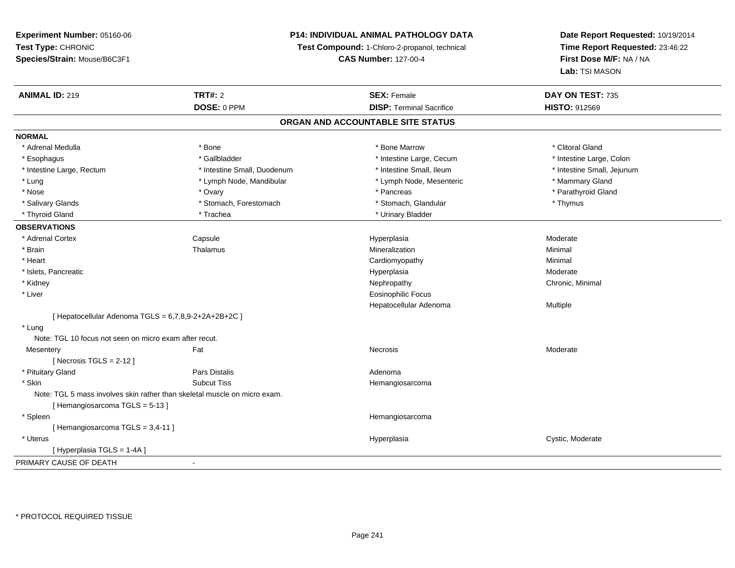## **P14: INDIVIDUAL ANIMAL PATHOLOGY DATA**

**Test Compound:** 1-Chloro-2-propanol, technical

**CAS Number:** 127-00-4

| <b>ANIMAL ID: 219</b>                                  | <b>TRT#: 2</b>                                                            | <b>SEX: Female</b>                | DAY ON TEST: 735           |  |
|--------------------------------------------------------|---------------------------------------------------------------------------|-----------------------------------|----------------------------|--|
|                                                        | DOSE: 0 PPM                                                               | <b>DISP: Terminal Sacrifice</b>   | HISTO: 912569              |  |
|                                                        |                                                                           | ORGAN AND ACCOUNTABLE SITE STATUS |                            |  |
| <b>NORMAL</b>                                          |                                                                           |                                   |                            |  |
| * Adrenal Medulla                                      | * Bone                                                                    | * Bone Marrow                     | * Clitoral Gland           |  |
| * Esophagus                                            | * Gallbladder                                                             | * Intestine Large, Cecum          | * Intestine Large, Colon   |  |
| * Intestine Large, Rectum                              | * Intestine Small, Duodenum                                               | * Intestine Small, Ileum          | * Intestine Small, Jejunum |  |
| * Lung                                                 | * Lymph Node, Mandibular                                                  | * Lymph Node, Mesenteric          | * Mammary Gland            |  |
| * Nose                                                 | * Ovary                                                                   | * Pancreas                        | * Parathyroid Gland        |  |
| * Salivary Glands                                      | * Stomach, Forestomach                                                    | * Stomach, Glandular              | * Thymus                   |  |
| * Thyroid Gland                                        | * Trachea                                                                 | * Urinary Bladder                 |                            |  |
| <b>OBSERVATIONS</b>                                    |                                                                           |                                   |                            |  |
| * Adrenal Cortex                                       | Capsule                                                                   | Hyperplasia                       | Moderate                   |  |
| * Brain                                                | Thalamus                                                                  | Mineralization                    | Minimal                    |  |
| * Heart                                                |                                                                           | Cardiomyopathy                    | Minimal                    |  |
| * Islets, Pancreatic                                   |                                                                           | Hyperplasia                       | Moderate                   |  |
| * Kidney                                               |                                                                           | Nephropathy                       | Chronic, Minimal           |  |
| * Liver                                                |                                                                           | <b>Eosinophilic Focus</b>         |                            |  |
|                                                        |                                                                           | Hepatocellular Adenoma            | Multiple                   |  |
| [ Hepatocellular Adenoma TGLS = 6,7,8,9-2+2A+2B+2C ]   |                                                                           |                                   |                            |  |
| * Lung                                                 |                                                                           |                                   |                            |  |
| Note: TGL 10 focus not seen on micro exam after recut. |                                                                           |                                   |                            |  |
| Mesentery                                              | Fat                                                                       | Necrosis                          | Moderate                   |  |
| [ Necrosis TGLS = $2-12$ ]                             |                                                                           |                                   |                            |  |
| * Pituitary Gland                                      | Pars Distalis                                                             | Adenoma                           |                            |  |
| * Skin                                                 | <b>Subcut Tiss</b>                                                        | Hemangiosarcoma                   |                            |  |
|                                                        | Note: TGL 5 mass involves skin rather than skeletal muscle on micro exam. |                                   |                            |  |
| [Hemangiosarcoma TGLS = 5-13]                          |                                                                           |                                   |                            |  |
| * Spleen                                               |                                                                           | Hemangiosarcoma                   |                            |  |
| [Hemangiosarcoma TGLS = 3,4-11]                        |                                                                           |                                   |                            |  |
| * Uterus                                               |                                                                           | Hyperplasia                       | Cystic, Moderate           |  |
| [Hyperplasia TGLS = 1-4A]                              |                                                                           |                                   |                            |  |
| PRIMARY CAUSE OF DEATH                                 |                                                                           |                                   |                            |  |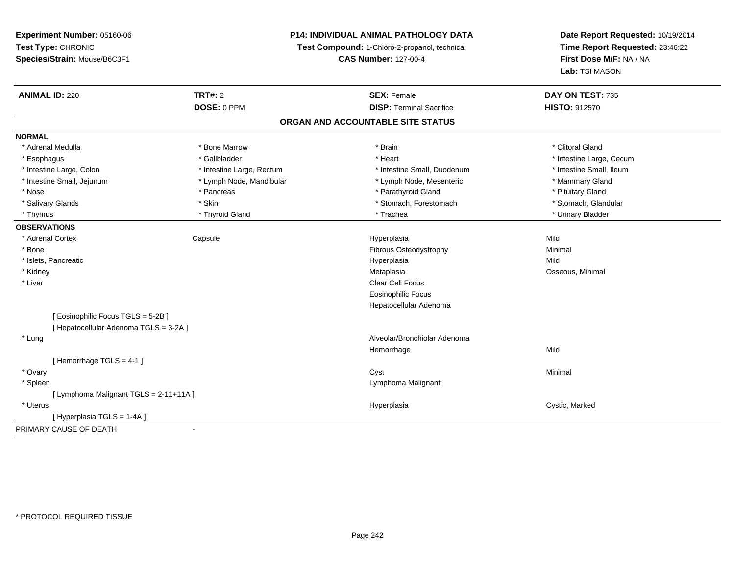**Test Type:** CHRONIC **Species/Strain:** Mouse/B6C3F1**Test Compound:** 1-Chloro-2-propanol, technical **CAS Number:** 127-00-4**Time Report Requested:** 23:46:22**First Dose M/F:** NA / NA**Lab:** TSI MASON**ANIMAL ID:** 220**C TRT#:** 2 **SEX:** Female **DAY ON TEST:** 735 **DOSE:** 0 PPM**DISP:** Terminal Sacrifice **HISTO:** 912570 **ORGAN AND ACCOUNTABLE SITE STATUSNORMAL**\* Adrenal Medulla \* The state of the state of the state of the state of the state of the state of the state of the state of the state of the state of the state of the state of the state of the state of the state of the sta \* Esophagus \* https://www.fragustage.com/web/2019/heart \* Heart \* Heart \* Heart \* Intestine Large, Cecum \* Intestine Large, Cecum \* Sallbladder \* The state of the state of the state of the state of the state of the state o \* Intestine Small, Ileum \* Intestine Large, Colon \* Intestine Large, Rectum \* Intestine Small, Duodenum \* Intestine Small, Duodenum \* Intestine Small, Jejunum \* The mannery Gland \* Lymph Node, Mandibular \* The mannery Stand \* Mammary Gland \* Mammary Gland \* Nose \* Pancreas \* Pancreas \* Pancreas \* Parathyroid Gland \* Parathyroid Gland \* Pituitary Gland \* Pituitary Gland \* Stomach, Glandular \* Salivary Glands \* Stomach, Forestomach \* Skin \* Skin \* Stomach, Forestomach \* Stomach, Forestomach \* Thymus \* Thyroid Gland \* Trachea \* Urinary Bladder \* **OBSERVATIONS** \* Adrenal Cortex Capsule Hyperplasia Mild \* BoneFibrous Osteodystrophy **Minimal**<br>
Hyperplasia Mild \* Islets, Pancreaticc description of the control of the control of the control of the control of the control of the control of the control of the control of the control of the control of the control of the control of the control of the contro a Mild \* Kidneyy and the control of the control of the control of the control of the control of the control of the control of the control of the control of the control of the control of the control of the control of the control of the co Metaplasia **Matagazia alla Contra Matagazia alla Contra Contra Contra Contra Contra Contra Contra Contra Contra Contra Contra Contra Contra Contra Contra Contra Contra Contra Contra Contra Contra Contra Contra Contra Contr**  \* Liver Clear Cell Focus Eosinophilic Focus Hepatocellular Adenoma[ Eosinophilic Focus TGLS = 5-2B ][ Hepatocellular Adenoma TGLS = 3-2A ] \* Lung Alveolar/Bronchiolar Adenoma Hemorrhagee Mild [ Hemorrhage TGLS = 4-1 ] \* Ovaryy the control of the control of the control of the control of the control of the control of the control of the control of the control of the control of the control of the control of the control of the control of the contro \* Spleen Lymphoma Malignant [ Lymphoma Malignant TGLS = 2-11+11A ] \* Uteruss and the contract of the contract of the contract of the contract of the contract of the contract of the contract of the contract of the contract of the contract of the contract of the contract of the contract of the cont Hyperplasia **Cystic, Marked** [ Hyperplasia TGLS = 1-4A ]

**P14: INDIVIDUAL ANIMAL PATHOLOGY DATA**

**Date Report Requested:** 10/19/2014

PRIMARY CAUSE OF DEATH-

**Experiment Number:** 05160-06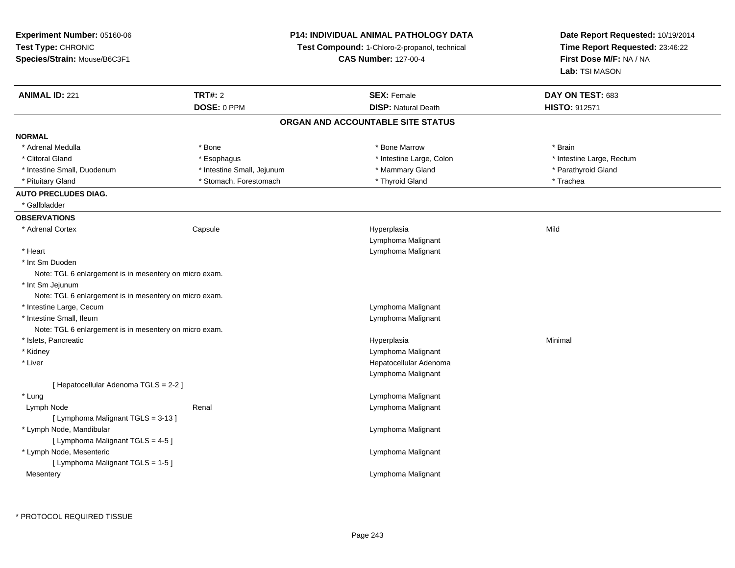| <b>Experiment Number: 05160-06</b>                     |                            | <b>P14: INDIVIDUAL ANIMAL PATHOLOGY DATA</b>  | Date Report Requested: 10/19/2014 |  |
|--------------------------------------------------------|----------------------------|-----------------------------------------------|-----------------------------------|--|
| Test Type: CHRONIC                                     |                            | Test Compound: 1-Chloro-2-propanol, technical | Time Report Requested: 23:46:22   |  |
| Species/Strain: Mouse/B6C3F1                           |                            | <b>CAS Number: 127-00-4</b>                   | First Dose M/F: NA / NA           |  |
|                                                        |                            |                                               | Lab: TSI MASON                    |  |
| <b>ANIMAL ID: 221</b>                                  | <b>TRT#: 2</b>             | <b>SEX: Female</b>                            | DAY ON TEST: 683                  |  |
|                                                        | DOSE: 0 PPM                | <b>DISP: Natural Death</b>                    | HISTO: 912571                     |  |
|                                                        |                            | ORGAN AND ACCOUNTABLE SITE STATUS             |                                   |  |
| <b>NORMAL</b>                                          |                            |                                               |                                   |  |
| * Adrenal Medulla                                      | * Bone                     | * Bone Marrow                                 | * Brain                           |  |
| * Clitoral Gland                                       | * Esophagus                | * Intestine Large, Colon                      | * Intestine Large, Rectum         |  |
| * Intestine Small, Duodenum                            | * Intestine Small, Jejunum | * Mammary Gland                               | * Parathyroid Gland               |  |
| * Pituitary Gland                                      | * Stomach, Forestomach     | * Thyroid Gland                               | * Trachea                         |  |
| <b>AUTO PRECLUDES DIAG.</b>                            |                            |                                               |                                   |  |
| * Gallbladder                                          |                            |                                               |                                   |  |
| <b>OBSERVATIONS</b>                                    |                            |                                               |                                   |  |
| * Adrenal Cortex                                       | Capsule                    | Hyperplasia                                   | Mild                              |  |
|                                                        |                            | Lymphoma Malignant                            |                                   |  |
| * Heart                                                |                            | Lymphoma Malignant                            |                                   |  |
| * Int Sm Duoden                                        |                            |                                               |                                   |  |
| Note: TGL 6 enlargement is in mesentery on micro exam. |                            |                                               |                                   |  |
| * Int Sm Jejunum                                       |                            |                                               |                                   |  |
| Note: TGL 6 enlargement is in mesentery on micro exam. |                            |                                               |                                   |  |
| * Intestine Large, Cecum                               |                            | Lymphoma Malignant                            |                                   |  |
| * Intestine Small, Ileum                               |                            | Lymphoma Malignant                            |                                   |  |
| Note: TGL 6 enlargement is in mesentery on micro exam. |                            |                                               |                                   |  |
| * Islets, Pancreatic                                   |                            | Hyperplasia                                   | Minimal                           |  |
| * Kidney                                               |                            | Lymphoma Malignant                            |                                   |  |
| * Liver                                                |                            | Hepatocellular Adenoma                        |                                   |  |
|                                                        |                            | Lymphoma Malignant                            |                                   |  |
| [Hepatocellular Adenoma TGLS = 2-2]                    |                            |                                               |                                   |  |
| * Lung                                                 |                            | Lymphoma Malignant                            |                                   |  |
| Lymph Node                                             | Renal                      | Lymphoma Malignant                            |                                   |  |
| [ Lymphoma Malignant TGLS = 3-13 ]                     |                            |                                               |                                   |  |
| * Lymph Node, Mandibular                               |                            | Lymphoma Malignant                            |                                   |  |
| [ Lymphoma Malignant TGLS = 4-5 ]                      |                            |                                               |                                   |  |
| * Lymph Node, Mesenteric                               |                            | Lymphoma Malignant                            |                                   |  |
| [ Lymphoma Malignant TGLS = 1-5 ]                      |                            |                                               |                                   |  |
| Mesentery                                              |                            | Lymphoma Malignant                            |                                   |  |
|                                                        |                            |                                               |                                   |  |
|                                                        |                            |                                               |                                   |  |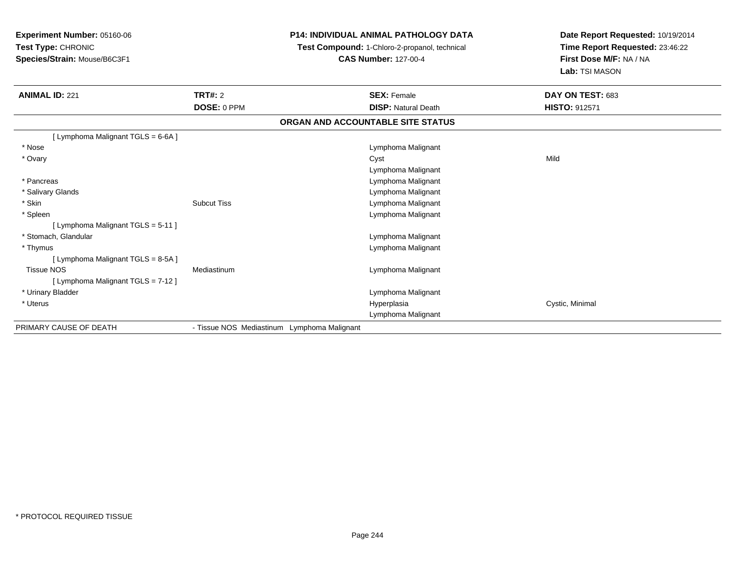# **P14: INDIVIDUAL ANIMAL PATHOLOGY DATA**

**Test Compound:** 1-Chloro-2-propanol, technical

**CAS Number:** 127-00-4

| <b>ANIMAL ID: 221</b>              | <b>TRT#: 2</b>                              | <b>SEX: Female</b>                | DAY ON TEST: 683     |
|------------------------------------|---------------------------------------------|-----------------------------------|----------------------|
|                                    | DOSE: 0 PPM                                 | <b>DISP: Natural Death</b>        | <b>HISTO: 912571</b> |
|                                    |                                             | ORGAN AND ACCOUNTABLE SITE STATUS |                      |
| [ Lymphoma Malignant TGLS = 6-6A ] |                                             |                                   |                      |
| * Nose                             |                                             | Lymphoma Malignant                |                      |
| * Ovary                            |                                             | Cyst                              | Mild                 |
|                                    |                                             | Lymphoma Malignant                |                      |
| * Pancreas                         |                                             | Lymphoma Malignant                |                      |
| * Salivary Glands                  |                                             | Lymphoma Malignant                |                      |
| * Skin                             | <b>Subcut Tiss</b>                          | Lymphoma Malignant                |                      |
| * Spleen                           |                                             | Lymphoma Malignant                |                      |
| [ Lymphoma Malignant TGLS = 5-11 ] |                                             |                                   |                      |
| * Stomach, Glandular               |                                             | Lymphoma Malignant                |                      |
| * Thymus                           |                                             | Lymphoma Malignant                |                      |
| [ Lymphoma Malignant TGLS = 8-5A ] |                                             |                                   |                      |
| <b>Tissue NOS</b>                  | Mediastinum                                 | Lymphoma Malignant                |                      |
| [ Lymphoma Malignant TGLS = 7-12 ] |                                             |                                   |                      |
| * Urinary Bladder                  |                                             | Lymphoma Malignant                |                      |
| * Uterus                           |                                             | Hyperplasia                       | Cystic, Minimal      |
|                                    |                                             | Lymphoma Malignant                |                      |
| PRIMARY CAUSE OF DEATH             | - Tissue NOS Mediastinum Lymphoma Malignant |                                   |                      |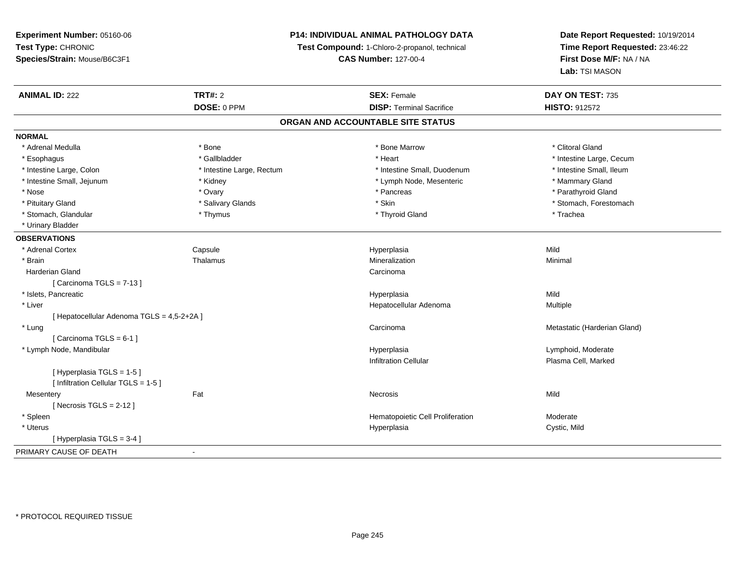## **P14: INDIVIDUAL ANIMAL PATHOLOGY DATA**

**Test Compound:** 1-Chloro-2-propanol, technical

**CAS Number:** 127-00-4

| <b>ANIMAL ID: 222</b>                      | <b>TRT#: 2</b>            | <b>SEX: Female</b>                | DAY ON TEST: 735             |
|--------------------------------------------|---------------------------|-----------------------------------|------------------------------|
|                                            | DOSE: 0 PPM               | <b>DISP: Terminal Sacrifice</b>   | HISTO: 912572                |
|                                            |                           | ORGAN AND ACCOUNTABLE SITE STATUS |                              |
| <b>NORMAL</b>                              |                           |                                   |                              |
| * Adrenal Medulla                          | * Bone                    | * Bone Marrow                     | * Clitoral Gland             |
| * Esophagus                                | * Gallbladder             | * Heart                           | * Intestine Large, Cecum     |
| * Intestine Large, Colon                   | * Intestine Large, Rectum | * Intestine Small, Duodenum       | * Intestine Small, Ileum     |
| * Intestine Small, Jejunum                 | * Kidney                  | * Lymph Node, Mesenteric          | * Mammary Gland              |
| * Nose                                     | * Ovary                   | * Pancreas                        | * Parathyroid Gland          |
| * Pituitary Gland                          | * Salivary Glands         | * Skin                            | * Stomach, Forestomach       |
| * Stomach, Glandular                       | * Thymus                  | * Thyroid Gland                   | * Trachea                    |
| * Urinary Bladder                          |                           |                                   |                              |
| <b>OBSERVATIONS</b>                        |                           |                                   |                              |
| * Adrenal Cortex                           | Capsule                   | Hyperplasia                       | Mild                         |
| * Brain                                    | Thalamus                  | Mineralization                    | Minimal                      |
| <b>Harderian Gland</b>                     |                           | Carcinoma                         |                              |
| [Carcinoma TGLS = 7-13]                    |                           |                                   |                              |
| * Islets, Pancreatic                       |                           | Hyperplasia                       | Mild                         |
| * Liver                                    |                           | Hepatocellular Adenoma            | Multiple                     |
| [ Hepatocellular Adenoma TGLS = 4,5-2+2A ] |                           |                                   |                              |
| * Lung                                     |                           | Carcinoma                         | Metastatic (Harderian Gland) |
| [Carcinoma TGLS = 6-1]                     |                           |                                   |                              |
| * Lymph Node, Mandibular                   |                           | Hyperplasia                       | Lymphoid, Moderate           |
|                                            |                           | <b>Infiltration Cellular</b>      | Plasma Cell, Marked          |
| [Hyperplasia TGLS = 1-5]                   |                           |                                   |                              |
| [ Infiltration Cellular TGLS = 1-5 ]       |                           |                                   |                              |
| Mesentery                                  | Fat                       | Necrosis                          | Mild                         |
| [Necrosis TGLS = $2-12$ ]                  |                           |                                   |                              |
| * Spleen                                   |                           | Hematopoietic Cell Proliferation  | Moderate                     |
| * Uterus                                   |                           | Hyperplasia                       | Cystic, Mild                 |
| [Hyperplasia TGLS = 3-4]                   |                           |                                   |                              |
| PRIMARY CAUSE OF DEATH                     |                           |                                   |                              |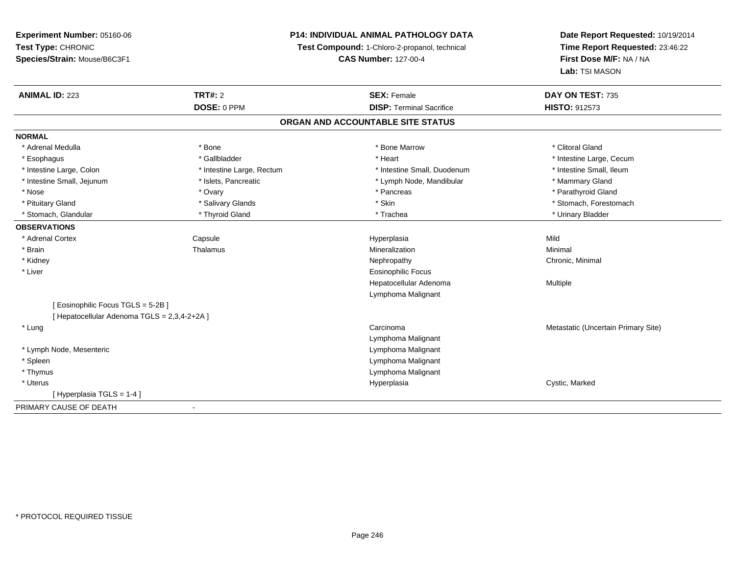## **P14: INDIVIDUAL ANIMAL PATHOLOGY DATA**

**Test Compound:** 1-Chloro-2-propanol, technical

**CAS Number:** 127-00-4

| <b>ANIMAL ID: 223</b>                        | <b>TRT#: 2</b>            | <b>SEX: Female</b>                | DAY ON TEST: 735                    |
|----------------------------------------------|---------------------------|-----------------------------------|-------------------------------------|
|                                              | DOSE: 0 PPM               | <b>DISP: Terminal Sacrifice</b>   | <b>HISTO: 912573</b>                |
|                                              |                           | ORGAN AND ACCOUNTABLE SITE STATUS |                                     |
| <b>NORMAL</b>                                |                           |                                   |                                     |
| * Adrenal Medulla                            | * Bone                    | * Bone Marrow                     | * Clitoral Gland                    |
| * Esophagus                                  | * Gallbladder             | * Heart                           | * Intestine Large, Cecum            |
| * Intestine Large, Colon                     | * Intestine Large, Rectum | * Intestine Small, Duodenum       | * Intestine Small, Ileum            |
| * Intestine Small, Jejunum                   | * Islets, Pancreatic      | * Lymph Node, Mandibular          | * Mammary Gland                     |
| * Nose                                       | * Ovary                   | * Pancreas                        | * Parathyroid Gland                 |
| * Pituitary Gland                            | * Salivary Glands         | * Skin                            | * Stomach, Forestomach              |
| * Stomach, Glandular                         | * Thyroid Gland           | * Trachea                         | * Urinary Bladder                   |
| <b>OBSERVATIONS</b>                          |                           |                                   |                                     |
| * Adrenal Cortex                             | Capsule                   | Hyperplasia                       | Mild                                |
| * Brain                                      | Thalamus                  | Mineralization                    | Minimal                             |
| * Kidney                                     |                           | Nephropathy                       | Chronic, Minimal                    |
| * Liver                                      |                           | <b>Eosinophilic Focus</b>         |                                     |
|                                              |                           | Hepatocellular Adenoma            | Multiple                            |
|                                              |                           | Lymphoma Malignant                |                                     |
| [ Eosinophilic Focus TGLS = 5-2B]            |                           |                                   |                                     |
| [ Hepatocellular Adenoma TGLS = 2,3,4-2+2A ] |                           |                                   |                                     |
| * Lung                                       |                           | Carcinoma                         | Metastatic (Uncertain Primary Site) |
|                                              |                           | Lymphoma Malignant                |                                     |
| * Lymph Node, Mesenteric                     |                           | Lymphoma Malignant                |                                     |
| * Spleen                                     |                           | Lymphoma Malignant                |                                     |
| * Thymus                                     |                           | Lymphoma Malignant                |                                     |
| * Uterus                                     |                           | Hyperplasia                       | Cystic, Marked                      |
| [Hyperplasia TGLS = $1-4$ ]                  |                           |                                   |                                     |
| PRIMARY CAUSE OF DEATH                       |                           |                                   |                                     |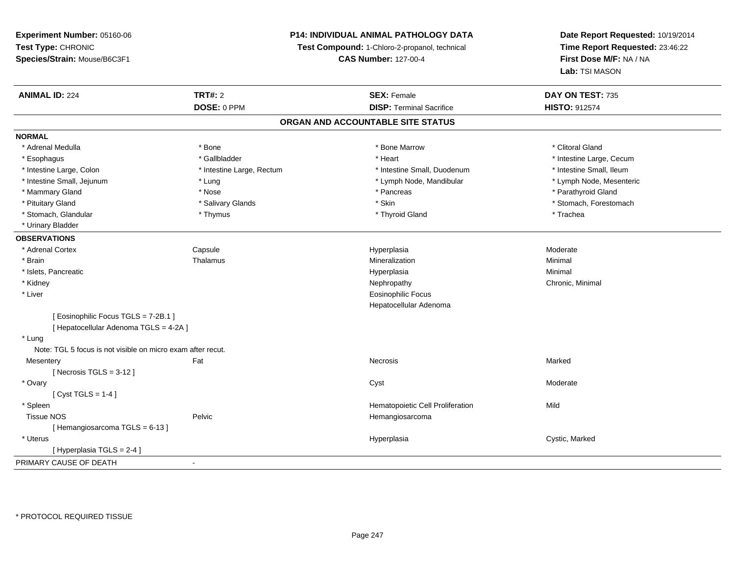## **P14: INDIVIDUAL ANIMAL PATHOLOGY DATA**

**Test Compound:** 1-Chloro-2-propanol, technical

**CAS Number:** 127-00-4

| <b>ANIMAL ID: 224</b>                                       | <b>TRT#: 2</b>            | <b>SEX: Female</b>                | DAY ON TEST: 735         |
|-------------------------------------------------------------|---------------------------|-----------------------------------|--------------------------|
|                                                             | DOSE: 0 PPM               | <b>DISP: Terminal Sacrifice</b>   | <b>HISTO: 912574</b>     |
|                                                             |                           | ORGAN AND ACCOUNTABLE SITE STATUS |                          |
| <b>NORMAL</b>                                               |                           |                                   |                          |
| * Adrenal Medulla                                           | * Bone                    | * Bone Marrow                     | * Clitoral Gland         |
| * Esophagus                                                 | * Gallbladder             | * Heart                           | * Intestine Large, Cecum |
| * Intestine Large, Colon                                    | * Intestine Large, Rectum | * Intestine Small, Duodenum       | * Intestine Small, Ileum |
| * Intestine Small, Jejunum                                  | * Lung                    | * Lymph Node, Mandibular          | * Lymph Node, Mesenteric |
| * Mammary Gland                                             | * Nose                    | * Pancreas                        | * Parathyroid Gland      |
| * Pituitary Gland                                           | * Salivary Glands         | * Skin                            | * Stomach, Forestomach   |
| * Stomach, Glandular                                        | * Thymus                  | * Thyroid Gland                   | * Trachea                |
| * Urinary Bladder                                           |                           |                                   |                          |
| <b>OBSERVATIONS</b>                                         |                           |                                   |                          |
| * Adrenal Cortex                                            | Capsule                   | Hyperplasia                       | Moderate                 |
| * Brain                                                     | Thalamus                  | Mineralization                    | Minimal                  |
| * Islets, Pancreatic                                        |                           | Hyperplasia                       | Minimal                  |
| * Kidney                                                    |                           | Nephropathy                       | Chronic, Minimal         |
| * Liver                                                     |                           | <b>Eosinophilic Focus</b>         |                          |
|                                                             |                           | Hepatocellular Adenoma            |                          |
| [ Eosinophilic Focus TGLS = 7-2B.1 ]                        |                           |                                   |                          |
| [ Hepatocellular Adenoma TGLS = 4-2A ]                      |                           |                                   |                          |
| * Lung                                                      |                           |                                   |                          |
| Note: TGL 5 focus is not visible on micro exam after recut. |                           |                                   |                          |
| Mesentery                                                   | Fat                       | Necrosis                          | Marked                   |
| [Necrosis TGLS = $3-12$ ]                                   |                           |                                   |                          |
| * Ovary                                                     |                           | Cyst                              | Moderate                 |
| [Cyst TGLS = $1-4$ ]                                        |                           |                                   |                          |
| * Spleen                                                    |                           | Hematopoietic Cell Proliferation  | Mild                     |
| <b>Tissue NOS</b>                                           | Pelvic                    | Hemangiosarcoma                   |                          |
| [Hemangiosarcoma TGLS = 6-13]                               |                           |                                   |                          |
| * Uterus                                                    |                           | Hyperplasia                       | Cystic, Marked           |
| [Hyperplasia TGLS = 2-4]                                    |                           |                                   |                          |
| PRIMARY CAUSE OF DEATH                                      | $\blacksquare$            |                                   |                          |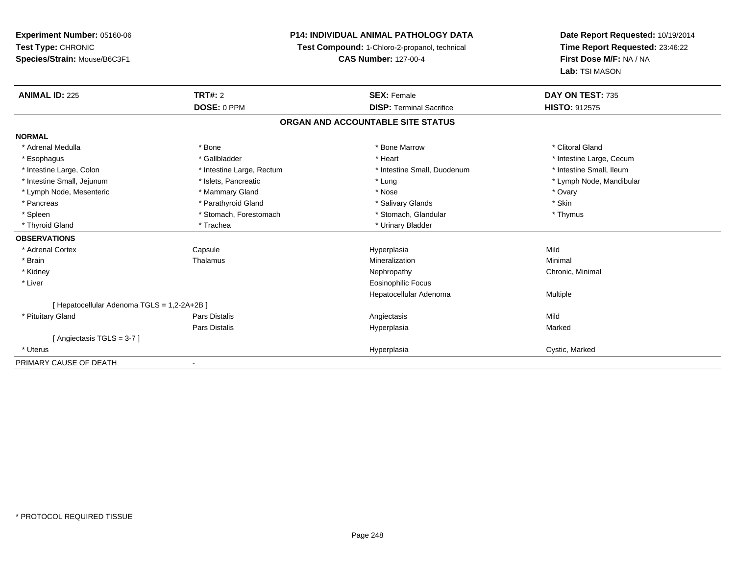**Experiment Number:** 05160-06**Test Type:** CHRONIC **Species/Strain:** Mouse/B6C3F1**P14: INDIVIDUAL ANIMAL PATHOLOGY DATATest Compound:** 1-Chloro-2-propanol, technical **CAS Number:** 127-00-4**Date Report Requested:** 10/19/2014**Time Report Requested:** 23:46:22**First Dose M/F:** NA / NA**Lab:** TSI MASON**ANIMAL ID:** 225**TRT#:** 2 **SEX:** Female **DAY ON TEST:** 735 **DOSE:** 0 PPM**DISP:** Terminal Sacrifice **HISTO:** 912575 **ORGAN AND ACCOUNTABLE SITE STATUSNORMAL**\* Adrenal Medulla \* The state of the state of the state of the state of the Marrow \* Bone Marrow \* Clitoral Gland \* Clitoral Gland \* Esophagus \* https://www.fragustage.com/web/2019/heart \* Heart \* Heart \* Heart \* Intestine Large, Cecum \* Intestine Large, Cecum \* Sallbladder \* The state of the state of the state of the state of the state of the state o \* Intestine Small, Ileum \* Intestine Large, Colon \* Intestine Large, Rectum \* Intestine Small, Duodenum \* Intestine Small, Duodenum \* Intestine Small, Jejunum \* \* \* https://www.fat.com/setter/educition/setter/filesophysics.com/setter/filesophysics.com/setter/filesophysics.com/setter/filesophysics.com/setter/filesophysics.com/setter/filesophysics.com/se \* Lymph Node, Mesenteric \* \* \* Mammary Gland \* \* Nose \* Nose \* Ovary \* Ovary \* Ovary \* Ovary \* Ovary \* Ovary \* Ovary \* Skin \* Pancreas \* Pancreas \* Parathyroid Gland \* The state of the set of the set of the set of the set of the set of the set of the set of the set of the set of the set of the set of the set of the set of the set of the set of \* Thymus \* Spleen \* Stomach, Forestomach \* Stomach \* Stomach, Glandular \* Stomach, Glandular \* Thyroid Gland \* Trachea \* Trachea \* Trachea \* Urinary Bladder **OBSERVATIONS** \* Adrenal Cortex Capsule Hyperplasia Mild \* Brainn and the Thalamus and the Minimal and Mineralization and Minimal Minimal and Minimal and Minimal and Minimal  $\mu$  \* Kidneyy the controller of the controller of the controller of the controller of the controller of the controller of the controller of the controller of the controller of the controller of the controller of the controller of the \* Liver Eosinophilic Focus Hepatocellular Adenoma Multiple [ Hepatocellular Adenoma TGLS = 1,2-2A+2B ] \* Pituitary Gland Pars Distalis Angiectasis Mild Pars Distalis Hyperplasiaa and a study of the state of the Marked [ Angiectasis TGLS = 3-7 ] \* Uteruss and the contract of the contract of the contract of the contract of the contract of the contract of the contract of the contract of the contract of the contract of the contract of the contract of the contract of the cont Hyperplasia **Cystic, Marked** PRIMARY CAUSE OF DEATH-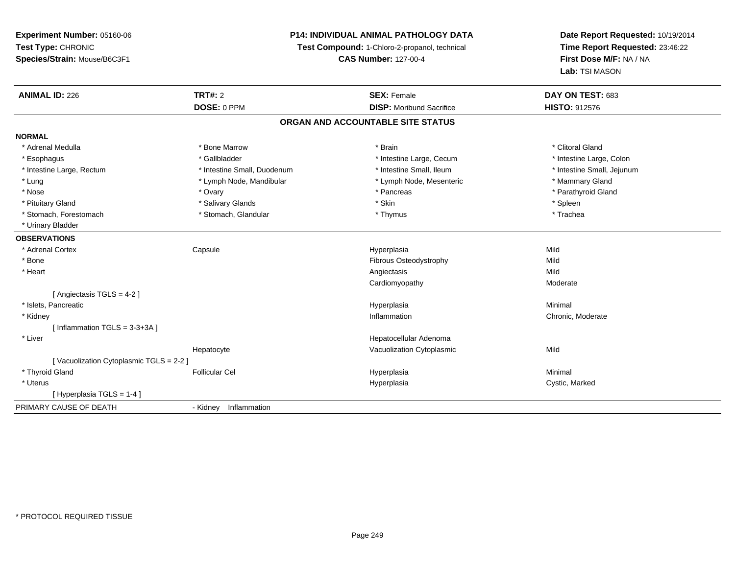## **P14: INDIVIDUAL ANIMAL PATHOLOGY DATA**

**Test Compound:** 1-Chloro-2-propanol, technical

**CAS Number:** 127-00-4

| <b>ANIMAL ID: 226</b>                   | <b>TRT#: 2</b>              | <b>SEX: Female</b>                | DAY ON TEST: 683           |  |
|-----------------------------------------|-----------------------------|-----------------------------------|----------------------------|--|
|                                         | DOSE: 0 PPM                 | <b>DISP:</b> Moribund Sacrifice   | <b>HISTO: 912576</b>       |  |
|                                         |                             | ORGAN AND ACCOUNTABLE SITE STATUS |                            |  |
| <b>NORMAL</b>                           |                             |                                   |                            |  |
| * Adrenal Medulla                       | * Bone Marrow               | * Brain                           | * Clitoral Gland           |  |
| * Esophagus                             | * Gallbladder               | * Intestine Large, Cecum          | * Intestine Large, Colon   |  |
| * Intestine Large, Rectum               | * Intestine Small, Duodenum | * Intestine Small, Ileum          | * Intestine Small, Jejunum |  |
| * Lung                                  | * Lymph Node, Mandibular    | * Lymph Node, Mesenteric          | * Mammary Gland            |  |
| * Nose                                  | * Ovary                     | * Pancreas                        | * Parathyroid Gland        |  |
| * Pituitary Gland                       | * Salivary Glands           | * Skin                            | * Spleen                   |  |
| * Stomach, Forestomach                  | * Stomach, Glandular        | * Thymus                          | * Trachea                  |  |
| * Urinary Bladder                       |                             |                                   |                            |  |
| <b>OBSERVATIONS</b>                     |                             |                                   |                            |  |
| * Adrenal Cortex                        | Capsule                     | Hyperplasia                       | Mild                       |  |
| * Bone                                  |                             | Fibrous Osteodystrophy            | Mild                       |  |
| * Heart                                 |                             | Angiectasis                       | Mild                       |  |
|                                         |                             | Cardiomyopathy                    | Moderate                   |  |
| [ Angiectasis TGLS = 4-2 ]              |                             |                                   |                            |  |
| * Islets, Pancreatic                    |                             | Hyperplasia                       | Minimal                    |  |
| * Kidney                                |                             | Inflammation                      | Chronic, Moderate          |  |
| [Inflammation TGLS = $3-3+3A$ ]         |                             |                                   |                            |  |
| * Liver                                 |                             | Hepatocellular Adenoma            |                            |  |
|                                         | Hepatocyte                  | Vacuolization Cytoplasmic         | Mild                       |  |
| [Vacuolization Cytoplasmic TGLS = 2-2 ] |                             |                                   |                            |  |
| * Thyroid Gland                         | <b>Follicular Cel</b>       | Hyperplasia                       | Minimal                    |  |
| * Uterus                                |                             | Hyperplasia                       | Cystic, Marked             |  |
| [Hyperplasia TGLS = 1-4]                |                             |                                   |                            |  |
| PRIMARY CAUSE OF DEATH                  | - Kidney Inflammation       |                                   |                            |  |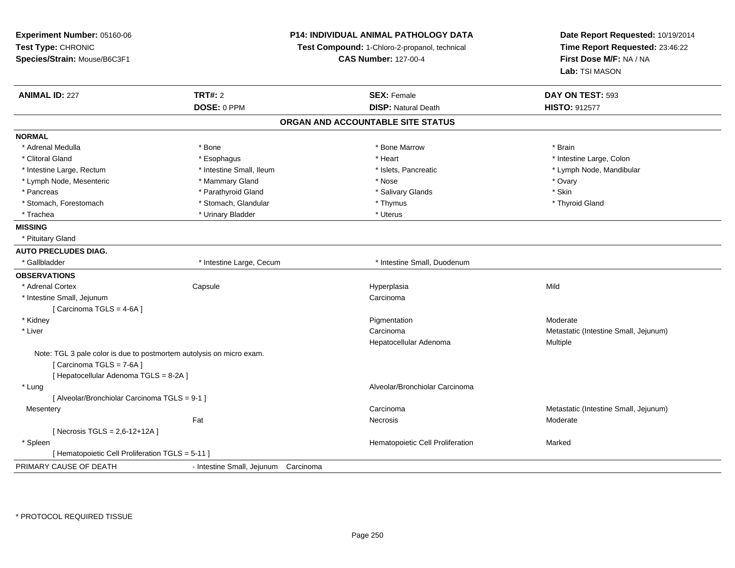| Experiment Number: 05160-06<br>Test Type: CHRONIC<br>Species/Strain: Mouse/B6C3F1                                                         |                                      | <b>P14: INDIVIDUAL ANIMAL PATHOLOGY DATA</b><br>Test Compound: 1-Chloro-2-propanol, technical<br><b>CAS Number: 127-00-4</b> | Date Report Requested: 10/19/2014<br>Time Report Requested: 23:46:22<br>First Dose M/F: NA / NA<br>Lab: TSI MASON |
|-------------------------------------------------------------------------------------------------------------------------------------------|--------------------------------------|------------------------------------------------------------------------------------------------------------------------------|-------------------------------------------------------------------------------------------------------------------|
| <b>ANIMAL ID: 227</b>                                                                                                                     | <b>TRT#: 2</b>                       | <b>SEX: Female</b>                                                                                                           | DAY ON TEST: 593                                                                                                  |
|                                                                                                                                           | DOSE: 0 PPM                          | <b>DISP: Natural Death</b>                                                                                                   | <b>HISTO: 912577</b>                                                                                              |
|                                                                                                                                           |                                      | ORGAN AND ACCOUNTABLE SITE STATUS                                                                                            |                                                                                                                   |
| <b>NORMAL</b>                                                                                                                             |                                      |                                                                                                                              |                                                                                                                   |
| * Adrenal Medulla                                                                                                                         | * Bone                               | * Bone Marrow                                                                                                                | * Brain                                                                                                           |
| * Clitoral Gland                                                                                                                          | * Esophagus                          | * Heart                                                                                                                      | * Intestine Large, Colon                                                                                          |
| * Intestine Large, Rectum                                                                                                                 | * Intestine Small, Ileum             | * Islets, Pancreatic                                                                                                         | * Lymph Node, Mandibular                                                                                          |
| * Lymph Node, Mesenteric                                                                                                                  | * Mammary Gland                      | * Nose                                                                                                                       | * Ovary                                                                                                           |
| * Pancreas                                                                                                                                | * Parathyroid Gland                  | * Salivary Glands                                                                                                            | * Skin                                                                                                            |
| * Stomach, Forestomach                                                                                                                    | * Stomach, Glandular                 | * Thymus                                                                                                                     | * Thyroid Gland                                                                                                   |
| * Trachea                                                                                                                                 | * Urinary Bladder                    | * Uterus                                                                                                                     |                                                                                                                   |
| <b>MISSING</b>                                                                                                                            |                                      |                                                                                                                              |                                                                                                                   |
| * Pituitary Gland                                                                                                                         |                                      |                                                                                                                              |                                                                                                                   |
| <b>AUTO PRECLUDES DIAG.</b>                                                                                                               |                                      |                                                                                                                              |                                                                                                                   |
| * Gallbladder                                                                                                                             | * Intestine Large, Cecum             | * Intestine Small, Duodenum                                                                                                  |                                                                                                                   |
| <b>OBSERVATIONS</b>                                                                                                                       |                                      |                                                                                                                              |                                                                                                                   |
| * Adrenal Cortex                                                                                                                          | Capsule                              | Hyperplasia                                                                                                                  | Mild                                                                                                              |
| * Intestine Small, Jejunum                                                                                                                |                                      | Carcinoma                                                                                                                    |                                                                                                                   |
| [Carcinoma TGLS = 4-6A]                                                                                                                   |                                      |                                                                                                                              |                                                                                                                   |
| * Kidney                                                                                                                                  |                                      | Pigmentation                                                                                                                 | Moderate                                                                                                          |
| * Liver                                                                                                                                   |                                      | Carcinoma                                                                                                                    | Metastatic (Intestine Small, Jejunum)                                                                             |
|                                                                                                                                           |                                      | Hepatocellular Adenoma                                                                                                       | Multiple                                                                                                          |
| Note: TGL 3 pale color is due to postmortem autolysis on micro exam.<br>[Carcinoma TGLS = 7-6A]<br>[ Hepatocellular Adenoma TGLS = 8-2A ] |                                      |                                                                                                                              |                                                                                                                   |
| * Lung                                                                                                                                    |                                      | Alveolar/Bronchiolar Carcinoma                                                                                               |                                                                                                                   |
| [ Alveolar/Bronchiolar Carcinoma TGLS = 9-1 ]                                                                                             |                                      |                                                                                                                              |                                                                                                                   |
| Mesentery                                                                                                                                 |                                      | Carcinoma                                                                                                                    | Metastatic (Intestine Small, Jejunum)                                                                             |
|                                                                                                                                           | Fat                                  | Necrosis                                                                                                                     | Moderate                                                                                                          |
| [Necrosis TGLS = $2,6-12+12A$ ]                                                                                                           |                                      |                                                                                                                              |                                                                                                                   |
| * Spleen                                                                                                                                  |                                      | Hematopoietic Cell Proliferation                                                                                             | Marked                                                                                                            |
| [ Hematopoietic Cell Proliferation TGLS = 5-11 ]                                                                                          |                                      |                                                                                                                              |                                                                                                                   |
| PRIMARY CAUSE OF DEATH                                                                                                                    | - Intestine Small, Jejunum Carcinoma |                                                                                                                              |                                                                                                                   |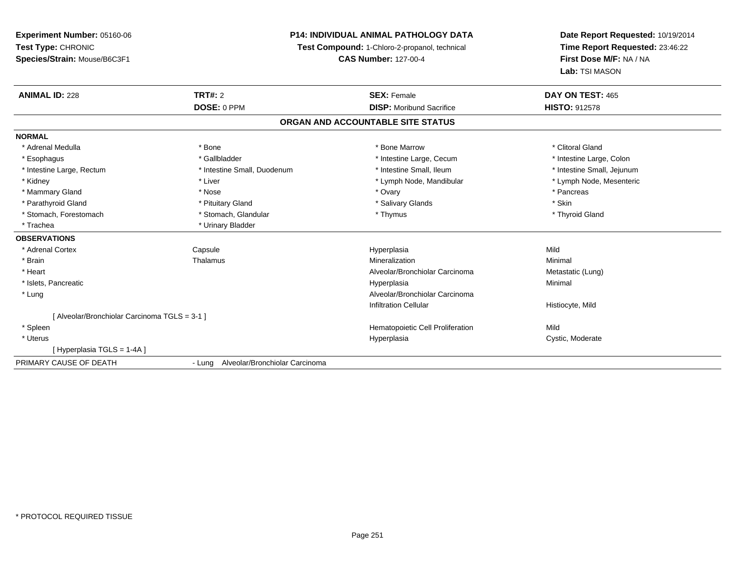## **P14: INDIVIDUAL ANIMAL PATHOLOGY DATA**

**Test Compound:** 1-Chloro-2-propanol, technical

**CAS Number:** 127-00-4

| <b>ANIMAL ID: 228</b>                       | <b>TRT#: 2</b>                           | <b>SEX: Female</b>                | DAY ON TEST: 465           |  |
|---------------------------------------------|------------------------------------------|-----------------------------------|----------------------------|--|
|                                             | DOSE: 0 PPM                              | <b>DISP:</b> Moribund Sacrifice   | <b>HISTO: 912578</b>       |  |
|                                             |                                          | ORGAN AND ACCOUNTABLE SITE STATUS |                            |  |
| <b>NORMAL</b>                               |                                          |                                   |                            |  |
| * Adrenal Medulla                           | * Bone                                   | * Bone Marrow                     | * Clitoral Gland           |  |
| * Esophagus                                 | * Gallbladder                            | * Intestine Large, Cecum          | * Intestine Large, Colon   |  |
| * Intestine Large, Rectum                   | * Intestine Small, Duodenum              | * Intestine Small, Ileum          | * Intestine Small, Jejunum |  |
| * Kidney                                    | * Liver                                  | * Lymph Node, Mandibular          | * Lymph Node, Mesenteric   |  |
| * Mammary Gland                             | * Nose                                   | * Ovary                           | * Pancreas                 |  |
| * Parathyroid Gland                         | * Pituitary Gland                        | * Salivary Glands                 | * Skin                     |  |
| * Stomach, Forestomach                      | * Stomach, Glandular                     | * Thymus                          | * Thyroid Gland            |  |
| * Trachea                                   | * Urinary Bladder                        |                                   |                            |  |
| <b>OBSERVATIONS</b>                         |                                          |                                   |                            |  |
| * Adrenal Cortex                            | Capsule                                  | Hyperplasia                       | Mild                       |  |
| * Brain                                     | Thalamus                                 | Mineralization                    | Minimal                    |  |
| * Heart                                     |                                          | Alveolar/Bronchiolar Carcinoma    | Metastatic (Lung)          |  |
| * Islets, Pancreatic                        |                                          | Hyperplasia                       | Minimal                    |  |
| * Lung                                      |                                          | Alveolar/Bronchiolar Carcinoma    |                            |  |
|                                             |                                          | <b>Infiltration Cellular</b>      | Histiocyte, Mild           |  |
| [Alveolar/Bronchiolar Carcinoma TGLS = 3-1] |                                          |                                   |                            |  |
| * Spleen                                    |                                          | Hematopoietic Cell Proliferation  | Mild                       |  |
| * Uterus                                    |                                          | Hyperplasia                       | Cystic, Moderate           |  |
| [Hyperplasia TGLS = 1-4A]                   |                                          |                                   |                            |  |
| PRIMARY CAUSE OF DEATH                      | Alveolar/Bronchiolar Carcinoma<br>- Lung |                                   |                            |  |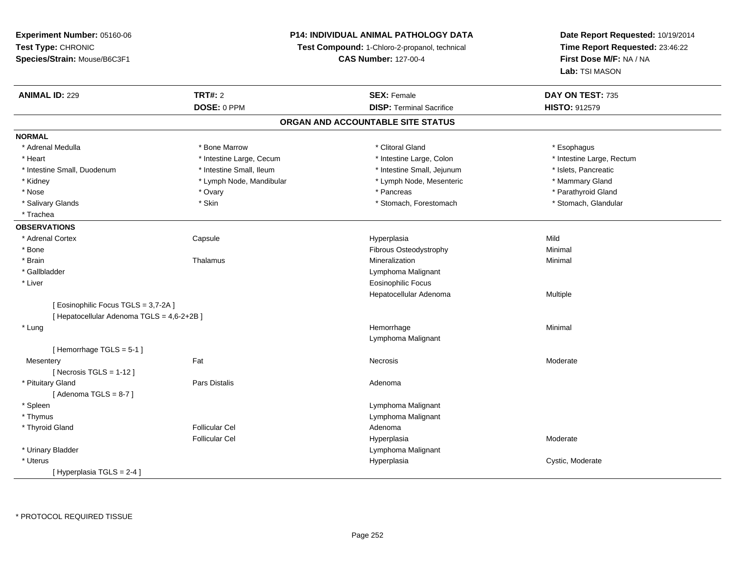**Test Type:** CHRONIC **Species/Strain:** Mouse/B6C3F1**Test Compound:** 1-Chloro-2-propanol, technical **CAS Number:** 127-00-4**Time Report Requested:** 23:46:22**First Dose M/F:** NA / NA**Lab:** TSI MASON**ANIMAL ID:** 229**TRT#:** 2 **SEX:** Female **DAY ON TEST:** 735 **DOSE:** 0 PPM**DISP:** Terminal Sacrifice **HISTO:** 912579 **ORGAN AND ACCOUNTABLE SITE STATUSNORMAL**\* Adrenal Medulla \* Adrenal Medulla \* \* Attack the second term in the second term in the second of the second of the second of the second of the second of the second of the second of the second of the second of the second of the second of t \* Heart Thestine Large, Cecum Thestine Large, Cecum Assessment Carge, Colon Thestine Large, Rectum \* Intestine Large, Rectum \* Intestine Large, Rectum \* Intestine Small, Duodenum \* Intestine Small, Ileum \* Intestine Small, Jejunum \* Islets, Pancreatic\* Mammary Gland \* Kidney \* Lymph Node, Mandibular \* Mammary \* Lymph Node, Mesenteric \* Lymph Node, Mesenteric \* Parathyroid Gland \* Nose \* Ovary \* Pancreas \* Parathyroid Gland \* Stomach, Glandular \* Salivary Glands \* Stomach, Forestomach \* Skin \* Skin \* Stomach, Forestomach \* Stomach, Forestomach \* Trachea**OBSERVATIONS** \* Adrenal Cortex Capsule Hyperplasia Mild \* BoneFibrous Osteodystrophy **Minimal**<br>Mineralization Minimal \* Brainn and the Thalamus and the Minimal and Mineralization and Minimal Minimal and Minimal and Minimal and Minimal  $\mu$  \* Gallbladder Lymphoma Malignant \* Liver Eosinophilic Focus Hepatocellular Adenoma Multiple [ Eosinophilic Focus TGLS = 3,7-2A ][ Hepatocellular Adenoma TGLS = 4,6-2+2B ] \* Lungg and the state of the state of the state of the state of the Hemorrhage and the Minimal of the Minimal of the S Lymphoma Malignant[ Hemorrhage TGLS = 5-1 ]**Mesentery** y the control of the control of the control of the control of the control of the control of the control of the control of the control of the control of the control of the control of the control of the control of the contro  $[$  Necrosis TGLS = 1-12  $]$  \* Pituitary Glandd and the contract of Pars Distalis and the contract of Adenoma and Adenoma and the Adenoma and the Adenoma and  $\lambda$  $[$  Adenoma TGLS = 8-7  $]$  \* Spleen Lymphoma Malignant \* Thymus Lymphoma Malignant \* Thyroid Glandd and the set of the Follicular Cel the set of the Second Adenomal Adenomal Second Second Second Second Second Second Second Second Second Second Second Second Second Second Second Second Second Second Second Second Second Follicular Cel Hyperplasia Moderate \* Urinary Bladder Lymphoma Malignant \* Uteruss and the contract of the contract of the contract of the contract of the contract of the contract of the contract of the contract of the contract of the contract of the contract of the contract of the contract of the cont Hyperplasia Cystic, Moderate [ Hyperplasia TGLS = 2-4 ]

**Experiment Number:** 05160-06

**P14: INDIVIDUAL ANIMAL PATHOLOGY DATA**

**Date Report Requested:** 10/19/2014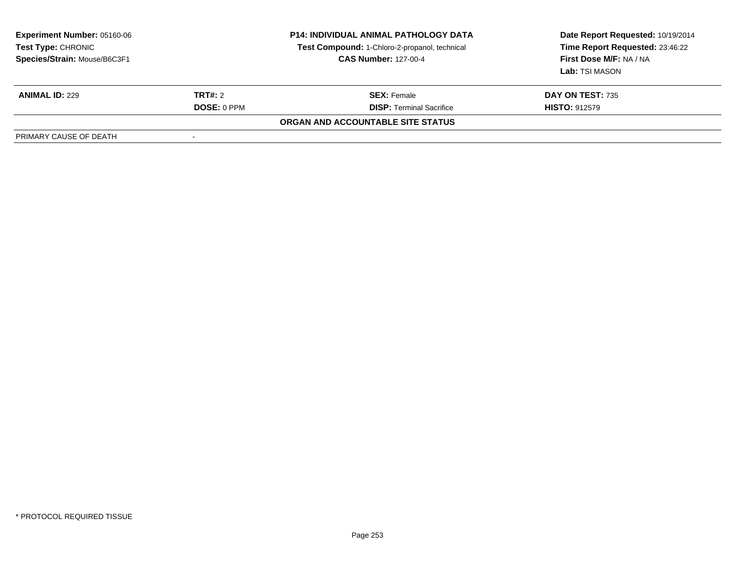| <b>Experiment Number: 05160-06</b><br>Test Type: CHRONIC<br>Species/Strain: Mouse/B6C3F1 | <b>P14: INDIVIDUAL ANIMAL PATHOLOGY DATA</b><br>Test Compound: 1-Chloro-2-propanol, technical<br><b>CAS Number: 127-00-4</b> |                                   | Date Report Requested: 10/19/2014<br>Time Report Requested: 23:46:22<br>First Dose M/F: NA / NA<br>Lab: TSI MASON |
|------------------------------------------------------------------------------------------|------------------------------------------------------------------------------------------------------------------------------|-----------------------------------|-------------------------------------------------------------------------------------------------------------------|
| <b>ANIMAL ID: 229</b>                                                                    | <b>TRT#: 2</b>                                                                                                               | <b>SEX: Female</b>                | <b>DAY ON TEST: 735</b>                                                                                           |
|                                                                                          | <b>DOSE: 0 PPM</b>                                                                                                           | <b>DISP:</b> Terminal Sacrifice   | <b>HISTO: 912579</b>                                                                                              |
|                                                                                          |                                                                                                                              | ORGAN AND ACCOUNTABLE SITE STATUS |                                                                                                                   |
| PRIMARY CAUSE OF DEATH                                                                   |                                                                                                                              |                                   |                                                                                                                   |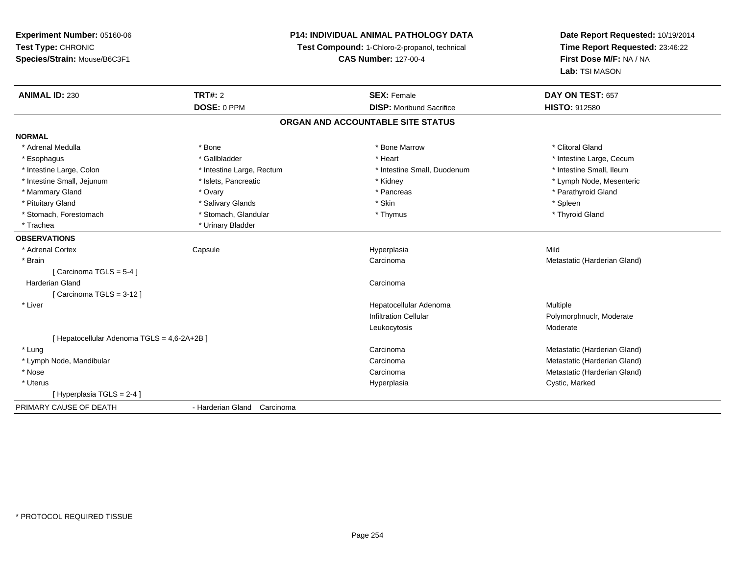### **P14: INDIVIDUAL ANIMAL PATHOLOGY DATA**

**Test Compound:** 1-Chloro-2-propanol, technical

**CAS Number:** 127-00-4

| <b>ANIMAL ID: 230</b>                       | <b>TRT#: 2</b>              | <b>SEX: Female</b>                | DAY ON TEST: 657             |
|---------------------------------------------|-----------------------------|-----------------------------------|------------------------------|
|                                             | DOSE: 0 PPM                 | <b>DISP:</b> Moribund Sacrifice   | <b>HISTO: 912580</b>         |
|                                             |                             | ORGAN AND ACCOUNTABLE SITE STATUS |                              |
| <b>NORMAL</b>                               |                             |                                   |                              |
| * Adrenal Medulla                           | * Bone                      | * Bone Marrow                     | * Clitoral Gland             |
| * Esophagus                                 | * Gallbladder               | * Heart                           | * Intestine Large, Cecum     |
| * Intestine Large, Colon                    | * Intestine Large, Rectum   | * Intestine Small, Duodenum       | * Intestine Small, Ileum     |
| * Intestine Small, Jejunum                  | * Islets, Pancreatic        | * Kidney                          | * Lymph Node, Mesenteric     |
| * Mammary Gland                             | * Ovary                     | * Pancreas                        | * Parathyroid Gland          |
| * Pituitary Gland                           | * Salivary Glands           | * Skin                            | * Spleen                     |
| * Stomach, Forestomach                      | * Stomach, Glandular        | * Thymus                          | * Thyroid Gland              |
| * Trachea                                   | * Urinary Bladder           |                                   |                              |
| <b>OBSERVATIONS</b>                         |                             |                                   |                              |
| * Adrenal Cortex                            | Capsule                     | Hyperplasia                       | Mild                         |
| * Brain                                     |                             | Carcinoma                         | Metastatic (Harderian Gland) |
| [Carcinoma TGLS = $5-4$ ]                   |                             |                                   |                              |
| <b>Harderian Gland</b>                      |                             | Carcinoma                         |                              |
| [Carcinoma TGLS = $3-12$ ]                  |                             |                                   |                              |
| * Liver                                     |                             | Hepatocellular Adenoma            | Multiple                     |
|                                             |                             | <b>Infiltration Cellular</b>      | Polymorphnuclr, Moderate     |
|                                             |                             | Leukocytosis                      | Moderate                     |
| [ Hepatocellular Adenoma TGLS = 4,6-2A+2B ] |                             |                                   |                              |
| * Lung                                      |                             | Carcinoma                         | Metastatic (Harderian Gland) |
| * Lymph Node, Mandibular                    |                             | Carcinoma                         | Metastatic (Harderian Gland) |
| * Nose                                      |                             | Carcinoma                         | Metastatic (Harderian Gland) |
| * Uterus                                    |                             | Hyperplasia                       | Cystic, Marked               |
| [Hyperplasia TGLS = 2-4]                    |                             |                                   |                              |
| PRIMARY CAUSE OF DEATH                      | - Harderian Gland Carcinoma |                                   |                              |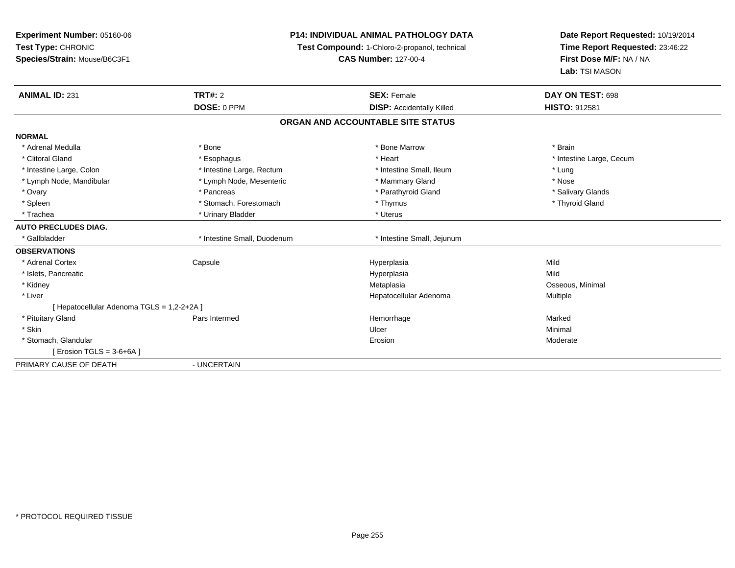| Experiment Number: 05160-06                |                                               | <b>P14: INDIVIDUAL ANIMAL PATHOLOGY DATA</b> | Date Report Requested: 10/19/2014 |
|--------------------------------------------|-----------------------------------------------|----------------------------------------------|-----------------------------------|
| Test Type: CHRONIC                         | Test Compound: 1-Chloro-2-propanol, technical |                                              | Time Report Requested: 23:46:22   |
| Species/Strain: Mouse/B6C3F1               |                                               | <b>CAS Number: 127-00-4</b>                  | First Dose M/F: NA / NA           |
|                                            |                                               |                                              | Lab: TSI MASON                    |
| <b>ANIMAL ID: 231</b>                      | <b>TRT#: 2</b>                                | <b>SEX: Female</b>                           | DAY ON TEST: 698                  |
|                                            | DOSE: 0 PPM                                   | <b>DISP:</b> Accidentally Killed             | <b>HISTO: 912581</b>              |
|                                            |                                               | ORGAN AND ACCOUNTABLE SITE STATUS            |                                   |
| <b>NORMAL</b>                              |                                               |                                              |                                   |
| * Adrenal Medulla                          | * Bone                                        | * Bone Marrow                                | * Brain                           |
| * Clitoral Gland                           | * Esophagus                                   | * Heart                                      | * Intestine Large, Cecum          |
| * Intestine Large, Colon                   | * Intestine Large, Rectum                     | * Intestine Small. Ileum                     | * Lung                            |
| * Lymph Node, Mandibular                   | * Lymph Node, Mesenteric                      | * Mammary Gland                              | * Nose                            |
| * Ovary                                    | * Pancreas                                    | * Parathyroid Gland                          | * Salivary Glands                 |
| * Spleen                                   | * Stomach, Forestomach                        | * Thymus                                     | * Thyroid Gland                   |
| * Trachea                                  | * Urinary Bladder                             | * Uterus                                     |                                   |
| <b>AUTO PRECLUDES DIAG.</b>                |                                               |                                              |                                   |
| * Gallbladder                              | * Intestine Small, Duodenum                   | * Intestine Small, Jejunum                   |                                   |
| <b>OBSERVATIONS</b>                        |                                               |                                              |                                   |
| * Adrenal Cortex                           | Capsule                                       | Hyperplasia                                  | Mild                              |
| * Islets, Pancreatic                       |                                               | Hyperplasia                                  | Mild                              |
| * Kidney                                   |                                               | Metaplasia                                   | Osseous, Minimal                  |
| * Liver                                    |                                               | Hepatocellular Adenoma                       | Multiple                          |
| [ Hepatocellular Adenoma TGLS = 1,2-2+2A ] |                                               |                                              |                                   |
| * Pituitary Gland                          | Pars Intermed                                 | Hemorrhage                                   | Marked                            |
| * Skin                                     |                                               | Ulcer                                        | Minimal                           |
| * Stomach, Glandular                       |                                               | Erosion                                      | Moderate                          |
| [ Erosion TGLS = $3-6+6A$ ]                |                                               |                                              |                                   |
| PRIMARY CAUSE OF DEATH                     | - UNCERTAIN                                   |                                              |                                   |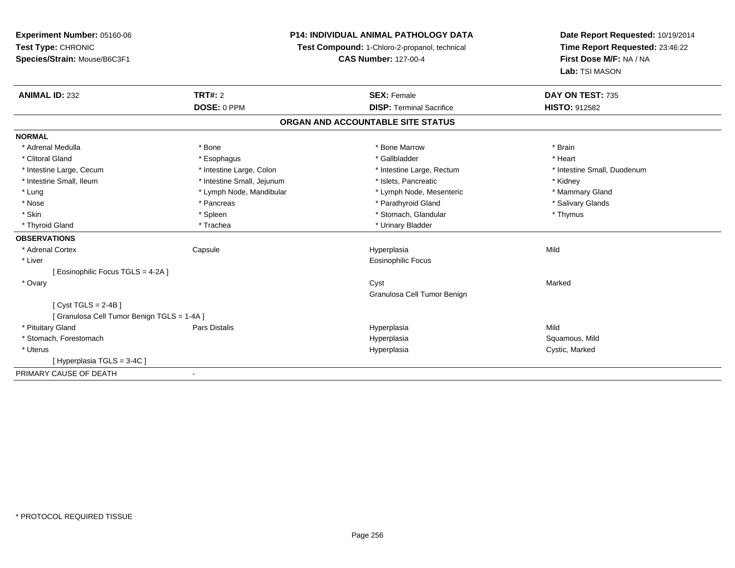| Experiment Number: 05160-06                 | <b>P14: INDIVIDUAL ANIMAL PATHOLOGY DATA</b> |                                               | Date Report Requested: 10/19/2014 |
|---------------------------------------------|----------------------------------------------|-----------------------------------------------|-----------------------------------|
| Test Type: CHRONIC                          |                                              | Test Compound: 1-Chloro-2-propanol, technical | Time Report Requested: 23:46:22   |
| Species/Strain: Mouse/B6C3F1                |                                              | <b>CAS Number: 127-00-4</b>                   | First Dose M/F: NA / NA           |
|                                             |                                              |                                               | Lab: TSI MASON                    |
| <b>ANIMAL ID: 232</b>                       | TRT#: 2                                      | <b>SEX: Female</b>                            | DAY ON TEST: 735                  |
|                                             | DOSE: 0 PPM                                  | <b>DISP: Terminal Sacrifice</b>               | HISTO: 912582                     |
|                                             |                                              | ORGAN AND ACCOUNTABLE SITE STATUS             |                                   |
| <b>NORMAL</b>                               |                                              |                                               |                                   |
| * Adrenal Medulla                           | * Bone                                       | * Bone Marrow                                 | * Brain                           |
| * Clitoral Gland                            | * Esophagus                                  | * Gallbladder                                 | * Heart                           |
| * Intestine Large, Cecum                    | * Intestine Large, Colon                     | * Intestine Large, Rectum                     | * Intestine Small, Duodenum       |
| * Intestine Small, Ileum                    | * Intestine Small, Jejunum                   | * Islets, Pancreatic                          | * Kidney                          |
| * Lung                                      | * Lymph Node, Mandibular                     | * Lymph Node, Mesenteric                      | * Mammary Gland                   |
| * Nose                                      | * Pancreas                                   | * Parathyroid Gland                           | * Salivary Glands                 |
| * Skin                                      | * Spleen                                     | * Stomach, Glandular                          | * Thymus                          |
| * Thyroid Gland                             | * Trachea                                    | * Urinary Bladder                             |                                   |
| <b>OBSERVATIONS</b>                         |                                              |                                               |                                   |
| * Adrenal Cortex                            | Capsule                                      | Hyperplasia                                   | Mild                              |
| * Liver                                     |                                              | <b>Eosinophilic Focus</b>                     |                                   |
| [ Eosinophilic Focus TGLS = 4-2A ]          |                                              |                                               |                                   |
| * Ovary                                     |                                              | Cyst                                          | Marked                            |
|                                             |                                              | Granulosa Cell Tumor Benign                   |                                   |
| [Cyst TGLS = $2-4B$ ]                       |                                              |                                               |                                   |
| [ Granulosa Cell Tumor Benign TGLS = 1-4A ] |                                              |                                               |                                   |
| * Pituitary Gland                           | Pars Distalis                                | Hyperplasia                                   | Mild                              |
| * Stomach, Forestomach                      |                                              | Hyperplasia                                   | Squamous, Mild                    |
| * Uterus                                    |                                              | Hyperplasia                                   | Cystic, Marked                    |
| [Hyperplasia TGLS = 3-4C]                   |                                              |                                               |                                   |
| PRIMARY CAUSE OF DEATH                      | $\blacksquare$                               |                                               |                                   |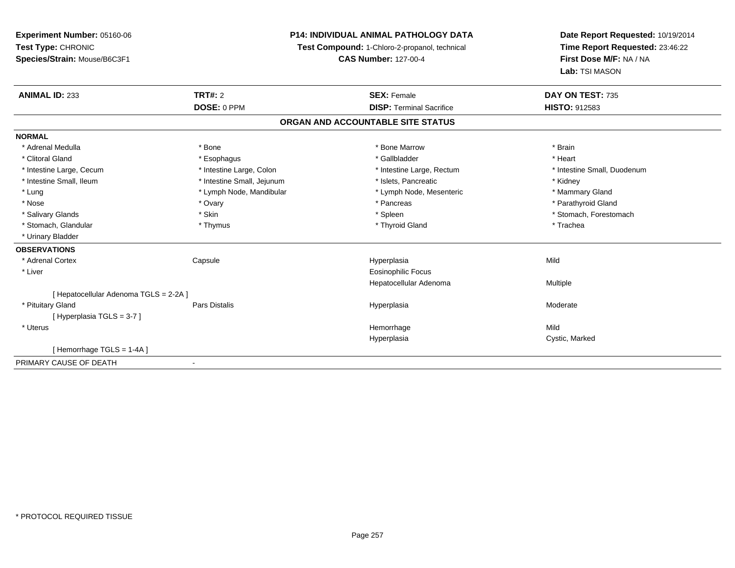| Experiment Number: 05160-06          | <b>P14: INDIVIDUAL ANIMAL PATHOLOGY DATA</b><br>Test Compound: 1-Chloro-2-propanol, technical |                                   | Date Report Requested: 10/19/2014 |
|--------------------------------------|-----------------------------------------------------------------------------------------------|-----------------------------------|-----------------------------------|
| Test Type: CHRONIC                   |                                                                                               |                                   | Time Report Requested: 23:46:22   |
| Species/Strain: Mouse/B6C3F1         |                                                                                               | <b>CAS Number: 127-00-4</b>       | First Dose M/F: NA / NA           |
|                                      |                                                                                               |                                   | Lab: TSI MASON                    |
| <b>ANIMAL ID: 233</b>                | TRT#: 2                                                                                       | <b>SEX: Female</b>                | DAY ON TEST: 735                  |
|                                      | DOSE: 0 PPM                                                                                   | <b>DISP: Terminal Sacrifice</b>   | <b>HISTO: 912583</b>              |
|                                      |                                                                                               | ORGAN AND ACCOUNTABLE SITE STATUS |                                   |
| <b>NORMAL</b>                        |                                                                                               |                                   |                                   |
| * Adrenal Medulla                    | * Bone                                                                                        | * Bone Marrow                     | * Brain                           |
| * Clitoral Gland                     | * Esophagus                                                                                   | * Gallbladder                     | * Heart                           |
| * Intestine Large, Cecum             | * Intestine Large, Colon                                                                      | * Intestine Large, Rectum         | * Intestine Small, Duodenum       |
| * Intestine Small, Ileum             | * Intestine Small, Jejunum                                                                    | * Islets, Pancreatic              | * Kidney                          |
| * Lung                               | * Lymph Node, Mandibular                                                                      | * Lymph Node, Mesenteric          | * Mammary Gland                   |
| * Nose                               | * Ovary                                                                                       | * Pancreas                        | * Parathyroid Gland               |
| * Salivary Glands                    | * Skin                                                                                        | * Spleen                          | * Stomach, Forestomach            |
| * Stomach, Glandular                 | * Thymus                                                                                      | * Thyroid Gland                   | * Trachea                         |
| * Urinary Bladder                    |                                                                                               |                                   |                                   |
| <b>OBSERVATIONS</b>                  |                                                                                               |                                   |                                   |
| * Adrenal Cortex                     | Capsule                                                                                       | Hyperplasia                       | Mild                              |
| * Liver                              |                                                                                               | <b>Eosinophilic Focus</b>         |                                   |
|                                      |                                                                                               | Hepatocellular Adenoma            | Multiple                          |
| [Hepatocellular Adenoma TGLS = 2-2A] |                                                                                               |                                   |                                   |
| * Pituitary Gland                    | Pars Distalis                                                                                 | Hyperplasia                       | Moderate                          |
| [Hyperplasia TGLS = 3-7]             |                                                                                               |                                   |                                   |
| * Uterus                             |                                                                                               | Hemorrhage                        | Mild                              |
|                                      |                                                                                               | Hyperplasia                       | Cystic, Marked                    |
| [Hemorrhage TGLS = 1-4A]             |                                                                                               |                                   |                                   |
| PRIMARY CAUSE OF DEATH               | $\blacksquare$                                                                                |                                   |                                   |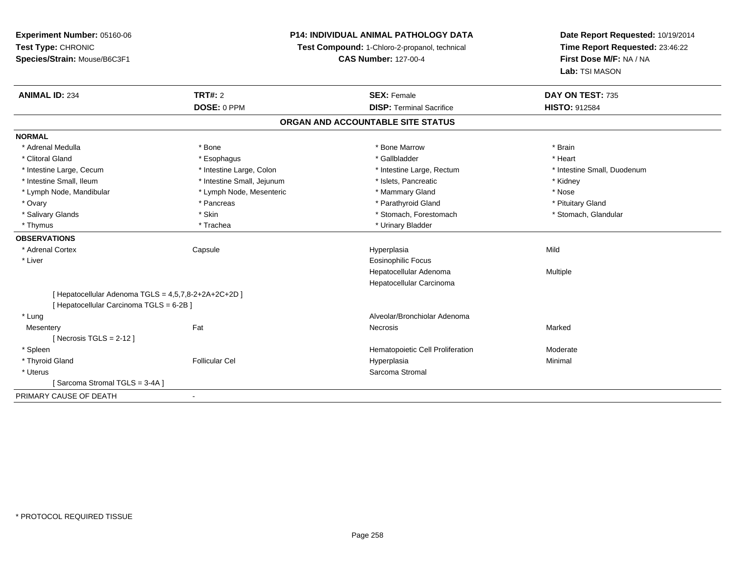**Experiment Number:** 05160-06**Test Type:** CHRONIC **Species/Strain:** Mouse/B6C3F1**P14: INDIVIDUAL ANIMAL PATHOLOGY DATATest Compound:** 1-Chloro-2-propanol, technical **CAS Number:** 127-00-4**Date Report Requested:** 10/19/2014**Time Report Requested:** 23:46:22**First Dose M/F:** NA / NA**Lab:** TSI MASON**ANIMAL ID:** 234**TRT#:** 2 **SEX:** Female **DAY ON TEST:** 735 **DOSE:** 0 PPM**DISP:** Terminal Sacrifice **HISTO:** 912584 **ORGAN AND ACCOUNTABLE SITE STATUSNORMAL**\* Adrenal Medulla \* \* Annual Medulla \* Brain \* Bone \* \* Bone Marrow \* Bone Marrow \* \* Brain \* Brain \* Brain \* Brain \* Brain \* Brain \* Brain \* Brain \* Brain \* Brain \* Brain \* Brain \* Brain \* Brain \* Brain \* Brain \* Brain \* \* Heart \* Clitoral Gland \* \* \* heart \* \* Esophagus \* \* \* \* \* \* \* \* \* \* \* Gallbladder \* \* \* \* \* \* \* \* \* \* \* \* Heart \* Intestine Large, Cecum \* Intestine Large, Colon \* Intestine Large, Thestine Large, Rectum \* Intestine Small, Duodenum \* Intestine Small, Ileum \* Thestine Small, Jejunum \* 1998, Pancreatic \* Kidney \* Kidney \* Kidney \* Kidney \* Lymph Node, Mandibular \* The same \* Lymph Node, Mesenteric \* Mammary Gland \* Mammary Gland \* Nose \* Pituitary Gland \* Ovary \* Pancreas \* Pancreas \* Pancreas \* Parathyroid Gland \* Parathyroid Gland \* Stomach, Glandular \* Salivary Glands \* Stomach, Forestomach \* Stomach, Forestomach \* Stomach, Forestomach \* Stomach, Forestomach \* Thymus \* Trachea \* Trachea \* Urinary Bladder **OBSERVATIONS** \* Adrenal Cortex Capsule Hyperplasia Mild \* Liver Eosinophilic Focus Hepatocellular Adenoma Multiple Hepatocellular Carcinoma[ Hepatocellular Adenoma TGLS = 4,5,7,8-2+2A+2C+2D ][ Hepatocellular Carcinoma TGLS = 6-2B ] \* Lung Alveolar/Bronchiolar Adenoma **Mesentery** y the control of the Marked States of the Marked States of the Marked States of the Marked States of the Marked States of the Marked States of the Marked States of the Marked States of the Marked States of the Marked State  $[$  Necrosis TGLS = 2-12  $]$  \* SpleenHematopoietic Cell Proliferation Moderate \* Thyroid Gland Follicular Cel Hyperplasia Minimal \* Uteruss and the stromal stromal stromal stromal stromal stromal stromal stromal stromal stromal stromal stromal stroma [ Sarcoma Stromal TGLS = 3-4A ]PRIMARY CAUSE OF DEATH-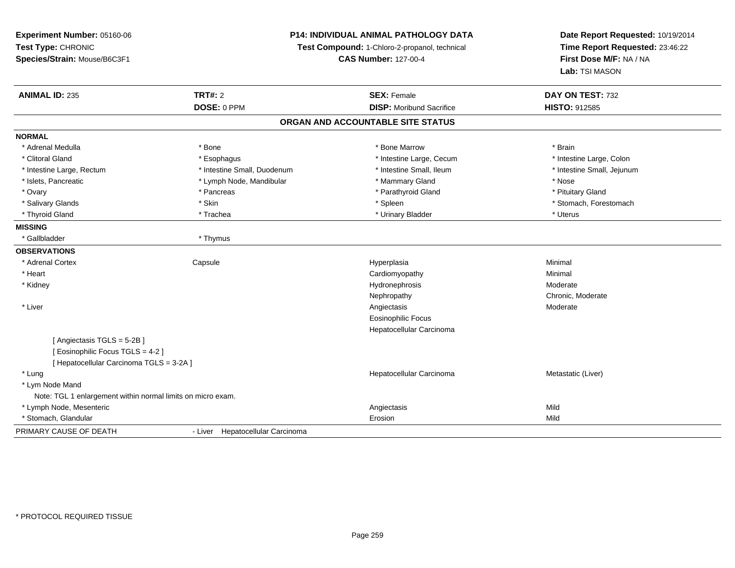| Experiment Number: 05160-06<br>Test Type: CHRONIC<br>Species/Strain: Mouse/B6C3F1 |                                  | P14: INDIVIDUAL ANIMAL PATHOLOGY DATA<br>Test Compound: 1-Chloro-2-propanol, technical<br><b>CAS Number: 127-00-4</b> | Date Report Requested: 10/19/2014<br>Time Report Requested: 23:46:22<br>First Dose M/F: NA / NA<br>Lab: TSI MASON |  |
|-----------------------------------------------------------------------------------|----------------------------------|-----------------------------------------------------------------------------------------------------------------------|-------------------------------------------------------------------------------------------------------------------|--|
| <b>ANIMAL ID: 235</b>                                                             | TRT#: 2                          | <b>SEX: Female</b>                                                                                                    | DAY ON TEST: 732                                                                                                  |  |
|                                                                                   | DOSE: 0 PPM                      | <b>DISP:</b> Moribund Sacrifice                                                                                       | HISTO: 912585                                                                                                     |  |
|                                                                                   |                                  | ORGAN AND ACCOUNTABLE SITE STATUS                                                                                     |                                                                                                                   |  |
| <b>NORMAL</b>                                                                     |                                  |                                                                                                                       |                                                                                                                   |  |
| * Adrenal Medulla                                                                 | * Bone                           | * Bone Marrow                                                                                                         | * Brain                                                                                                           |  |
| * Clitoral Gland                                                                  | * Esophagus                      | * Intestine Large, Cecum                                                                                              | * Intestine Large, Colon                                                                                          |  |
| * Intestine Large, Rectum                                                         | * Intestine Small, Duodenum      | * Intestine Small, Ileum                                                                                              | * Intestine Small, Jejunum                                                                                        |  |
| * Islets, Pancreatic                                                              | * Lymph Node, Mandibular         | * Mammary Gland                                                                                                       | * Nose                                                                                                            |  |
| * Ovary                                                                           | * Pancreas                       | * Parathyroid Gland                                                                                                   | * Pituitary Gland                                                                                                 |  |
| * Salivary Glands                                                                 | * Skin                           | * Spleen                                                                                                              | * Stomach, Forestomach                                                                                            |  |
| * Thyroid Gland                                                                   | * Trachea                        | * Urinary Bladder                                                                                                     | * Uterus                                                                                                          |  |
| <b>MISSING</b>                                                                    |                                  |                                                                                                                       |                                                                                                                   |  |
| * Gallbladder                                                                     | * Thymus                         |                                                                                                                       |                                                                                                                   |  |
| <b>OBSERVATIONS</b>                                                               |                                  |                                                                                                                       |                                                                                                                   |  |
| * Adrenal Cortex                                                                  | Capsule                          | Hyperplasia                                                                                                           | Minimal                                                                                                           |  |
| * Heart                                                                           |                                  | Cardiomyopathy                                                                                                        | Minimal                                                                                                           |  |
| * Kidney                                                                          |                                  | Hydronephrosis                                                                                                        | Moderate                                                                                                          |  |
|                                                                                   |                                  | Nephropathy                                                                                                           | Chronic, Moderate                                                                                                 |  |
| * Liver                                                                           |                                  | Angiectasis                                                                                                           | Moderate                                                                                                          |  |
|                                                                                   |                                  | <b>Eosinophilic Focus</b>                                                                                             |                                                                                                                   |  |
|                                                                                   |                                  | Hepatocellular Carcinoma                                                                                              |                                                                                                                   |  |
| [Angiectasis TGLS = 5-2B]                                                         |                                  |                                                                                                                       |                                                                                                                   |  |
| [Eosinophilic Focus TGLS = 4-2]                                                   |                                  |                                                                                                                       |                                                                                                                   |  |
| [ Hepatocellular Carcinoma TGLS = 3-2A ]                                          |                                  |                                                                                                                       |                                                                                                                   |  |
| * Lung                                                                            |                                  | Hepatocellular Carcinoma                                                                                              | Metastatic (Liver)                                                                                                |  |
| * Lym Node Mand                                                                   |                                  |                                                                                                                       |                                                                                                                   |  |
| Note: TGL 1 enlargement within normal limits on micro exam.                       |                                  |                                                                                                                       |                                                                                                                   |  |
| * Lymph Node, Mesenteric                                                          |                                  | Angiectasis                                                                                                           | Mild                                                                                                              |  |
| * Stomach, Glandular                                                              |                                  | Erosion                                                                                                               | Mild                                                                                                              |  |
| PRIMARY CAUSE OF DEATH                                                            | - Liver Hepatocellular Carcinoma |                                                                                                                       |                                                                                                                   |  |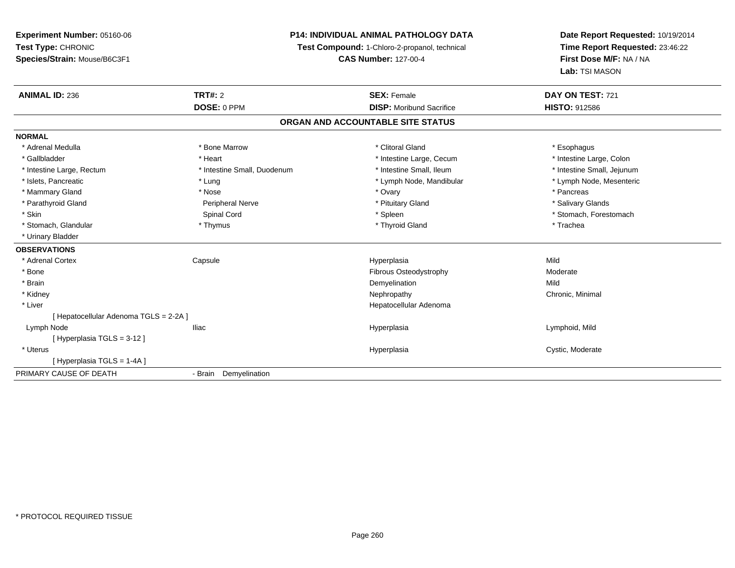### **P14: INDIVIDUAL ANIMAL PATHOLOGY DATA**

**Test Compound:** 1-Chloro-2-propanol, technical

**CAS Number:** 127-00-4

| <b>ANIMAL ID: 236</b>                  | TRT#: 2                     | <b>SEX: Female</b>                | DAY ON TEST: 721           |
|----------------------------------------|-----------------------------|-----------------------------------|----------------------------|
|                                        | DOSE: 0 PPM                 | <b>DISP:</b> Moribund Sacrifice   | <b>HISTO: 912586</b>       |
|                                        |                             | ORGAN AND ACCOUNTABLE SITE STATUS |                            |
| <b>NORMAL</b>                          |                             |                                   |                            |
| * Adrenal Medulla                      | * Bone Marrow               | * Clitoral Gland                  | * Esophagus                |
| * Gallbladder                          | * Heart                     | * Intestine Large, Cecum          | * Intestine Large, Colon   |
| * Intestine Large, Rectum              | * Intestine Small, Duodenum | * Intestine Small, Ileum          | * Intestine Small, Jejunum |
| * Islets, Pancreatic                   | * Lung                      | * Lymph Node, Mandibular          | * Lymph Node, Mesenteric   |
| * Mammary Gland                        | * Nose                      | * Ovary                           | * Pancreas                 |
| * Parathyroid Gland                    | Peripheral Nerve            | * Pituitary Gland                 | * Salivary Glands          |
| * Skin                                 | Spinal Cord                 | * Spleen                          | * Stomach, Forestomach     |
| * Stomach, Glandular                   | * Thymus                    | * Thyroid Gland                   | * Trachea                  |
| * Urinary Bladder                      |                             |                                   |                            |
| <b>OBSERVATIONS</b>                    |                             |                                   |                            |
| * Adrenal Cortex                       | Capsule                     | Hyperplasia                       | Mild                       |
| * Bone                                 |                             | Fibrous Osteodystrophy            | Moderate                   |
| * Brain                                |                             | Demyelination                     | Mild                       |
| * Kidney                               |                             | Nephropathy                       | Chronic, Minimal           |
| * Liver                                |                             | Hepatocellular Adenoma            |                            |
| [ Hepatocellular Adenoma TGLS = 2-2A ] |                             |                                   |                            |
| Lymph Node                             | <b>Iliac</b>                | Hyperplasia                       | Lymphoid, Mild             |
| [Hyperplasia TGLS = 3-12]              |                             |                                   |                            |
| * Uterus                               |                             | Hyperplasia                       | Cystic, Moderate           |
| [Hyperplasia TGLS = 1-4A]              |                             |                                   |                            |
| PRIMARY CAUSE OF DEATH                 | - Brain Demyelination       |                                   |                            |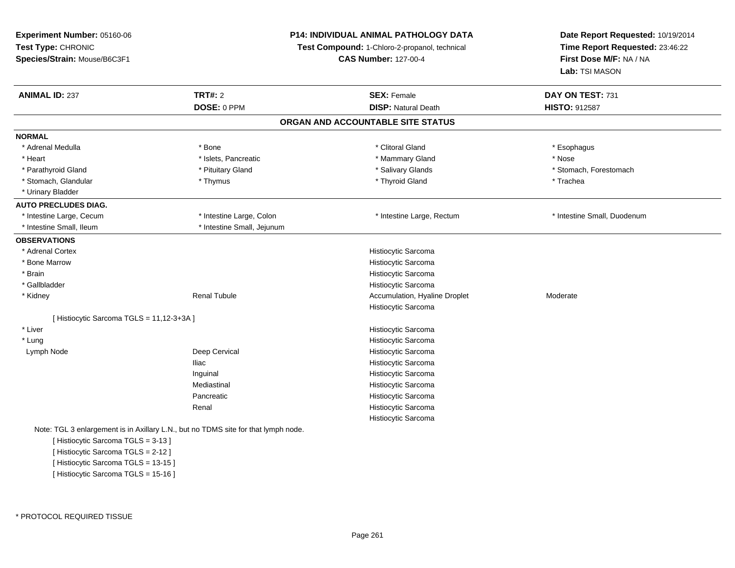| Experiment Number: 05160-06                        |                                                                                    | P14: INDIVIDUAL ANIMAL PATHOLOGY DATA                                        |                                                            |  |
|----------------------------------------------------|------------------------------------------------------------------------------------|------------------------------------------------------------------------------|------------------------------------------------------------|--|
| Test Type: CHRONIC<br>Species/Strain: Mouse/B6C3F1 |                                                                                    | Test Compound: 1-Chloro-2-propanol, technical<br><b>CAS Number: 127-00-4</b> | Time Report Requested: 23:46:22<br>First Dose M/F: NA / NA |  |
|                                                    |                                                                                    |                                                                              | Lab: TSI MASON                                             |  |
| <b>ANIMAL ID: 237</b>                              | <b>TRT#: 2</b>                                                                     | <b>SEX: Female</b>                                                           | DAY ON TEST: 731                                           |  |
|                                                    | DOSE: 0 PPM                                                                        | <b>DISP: Natural Death</b>                                                   | <b>HISTO: 912587</b>                                       |  |
|                                                    |                                                                                    | ORGAN AND ACCOUNTABLE SITE STATUS                                            |                                                            |  |
| <b>NORMAL</b>                                      |                                                                                    |                                                                              |                                                            |  |
| * Adrenal Medulla                                  | * Bone                                                                             | * Clitoral Gland                                                             | * Esophagus                                                |  |
| * Heart                                            | * Islets, Pancreatic                                                               | * Mammary Gland                                                              | * Nose                                                     |  |
| * Parathyroid Gland                                | * Pituitary Gland                                                                  | * Salivary Glands                                                            | * Stomach, Forestomach                                     |  |
| * Stomach, Glandular                               | * Thymus                                                                           | * Thyroid Gland                                                              | * Trachea                                                  |  |
| * Urinary Bladder                                  |                                                                                    |                                                                              |                                                            |  |
| <b>AUTO PRECLUDES DIAG.</b>                        |                                                                                    |                                                                              |                                                            |  |
| * Intestine Large, Cecum                           | * Intestine Large, Colon                                                           | * Intestine Large, Rectum                                                    | * Intestine Small, Duodenum                                |  |
| * Intestine Small, Ileum                           | * Intestine Small, Jejunum                                                         |                                                                              |                                                            |  |
| <b>OBSERVATIONS</b>                                |                                                                                    |                                                                              |                                                            |  |
| * Adrenal Cortex                                   |                                                                                    | Histiocytic Sarcoma                                                          |                                                            |  |
| * Bone Marrow                                      |                                                                                    | Histiocytic Sarcoma                                                          |                                                            |  |
| * Brain                                            |                                                                                    | Histiocytic Sarcoma                                                          |                                                            |  |
| * Gallbladder                                      |                                                                                    | Histiocytic Sarcoma                                                          |                                                            |  |
| * Kidney                                           | <b>Renal Tubule</b>                                                                | Accumulation, Hyaline Droplet                                                | Moderate                                                   |  |
|                                                    |                                                                                    | Histiocytic Sarcoma                                                          |                                                            |  |
| [ Histiocytic Sarcoma TGLS = 11,12-3+3A ]          |                                                                                    |                                                                              |                                                            |  |
| * Liver                                            |                                                                                    | Histiocytic Sarcoma                                                          |                                                            |  |
| * Lung                                             |                                                                                    | Histiocytic Sarcoma                                                          |                                                            |  |
| Lymph Node                                         | Deep Cervical                                                                      | Histiocytic Sarcoma                                                          |                                                            |  |
|                                                    | <b>Iliac</b>                                                                       | Histiocytic Sarcoma                                                          |                                                            |  |
|                                                    | Inguinal                                                                           | Histiocytic Sarcoma                                                          |                                                            |  |
|                                                    | Mediastinal                                                                        | Histiocytic Sarcoma                                                          |                                                            |  |
|                                                    | Pancreatic                                                                         | Histiocytic Sarcoma                                                          |                                                            |  |
|                                                    | Renal                                                                              | Histiocytic Sarcoma                                                          |                                                            |  |
|                                                    |                                                                                    | Histiocytic Sarcoma                                                          |                                                            |  |
|                                                    | Note: TGL 3 enlargement is in Axillary L.N., but no TDMS site for that lymph node. |                                                                              |                                                            |  |
| [Histiocytic Sarcoma TGLS = 3-13]                  |                                                                                    |                                                                              |                                                            |  |
| [Histiocytic Sarcoma TGLS = 2-12]                  |                                                                                    |                                                                              |                                                            |  |
| [Histiocytic Sarcoma TGLS = 13-15]                 |                                                                                    |                                                                              |                                                            |  |
| [Histiocytic Sarcoma TGLS = 15-16]                 |                                                                                    |                                                                              |                                                            |  |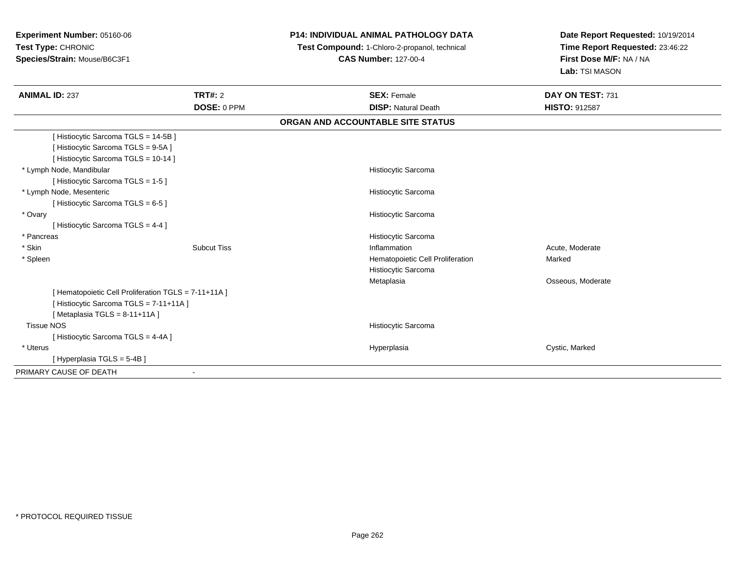# **P14: INDIVIDUAL ANIMAL PATHOLOGY DATA**

 **Test Compound:** 1-Chloro-2-propanol, technical **CAS Number:** 127-00-4

| <b>ANIMAL ID: 237</b>                              | <b>TRT#: 2</b>     | <b>SEX: Female</b>                | DAY ON TEST: 731     |  |
|----------------------------------------------------|--------------------|-----------------------------------|----------------------|--|
|                                                    | DOSE: 0 PPM        | <b>DISP: Natural Death</b>        | <b>HISTO: 912587</b> |  |
|                                                    |                    | ORGAN AND ACCOUNTABLE SITE STATUS |                      |  |
| [Histiocytic Sarcoma TGLS = 14-5B]                 |                    |                                   |                      |  |
| [Histiocytic Sarcoma TGLS = 9-5A]                  |                    |                                   |                      |  |
| [Histiocytic Sarcoma TGLS = 10-14]                 |                    |                                   |                      |  |
| * Lymph Node, Mandibular                           |                    | Histiocytic Sarcoma               |                      |  |
| [Histiocytic Sarcoma TGLS = 1-5]                   |                    |                                   |                      |  |
| * Lymph Node, Mesenteric                           |                    | Histiocytic Sarcoma               |                      |  |
| [Histiocytic Sarcoma TGLS = 6-5 ]                  |                    |                                   |                      |  |
| * Ovary                                            |                    | Histiocytic Sarcoma               |                      |  |
| [Histiocytic Sarcoma TGLS = 4-4]                   |                    |                                   |                      |  |
| * Pancreas                                         |                    | Histiocytic Sarcoma               |                      |  |
| * Skin                                             | <b>Subcut Tiss</b> | Inflammation                      | Acute, Moderate      |  |
| * Spleen                                           |                    | Hematopoietic Cell Proliferation  | Marked               |  |
|                                                    |                    | Histiocytic Sarcoma               |                      |  |
|                                                    |                    | Metaplasia                        | Osseous, Moderate    |  |
| [Hematopoietic Cell Proliferation TGLS = 7-11+11A] |                    |                                   |                      |  |
| [Histiocytic Sarcoma TGLS = 7-11+11A]              |                    |                                   |                      |  |
| [Metaplasia TGLS = $8-11+11A$ ]                    |                    |                                   |                      |  |
| <b>Tissue NOS</b>                                  |                    | Histiocytic Sarcoma               |                      |  |
| [Histiocytic Sarcoma TGLS = 4-4A]                  |                    |                                   |                      |  |
| * Uterus                                           |                    | Hyperplasia                       | Cystic, Marked       |  |
| [Hyperplasia TGLS = 5-4B]                          |                    |                                   |                      |  |
| PRIMARY CAUSE OF DEATH                             | $\blacksquare$     |                                   |                      |  |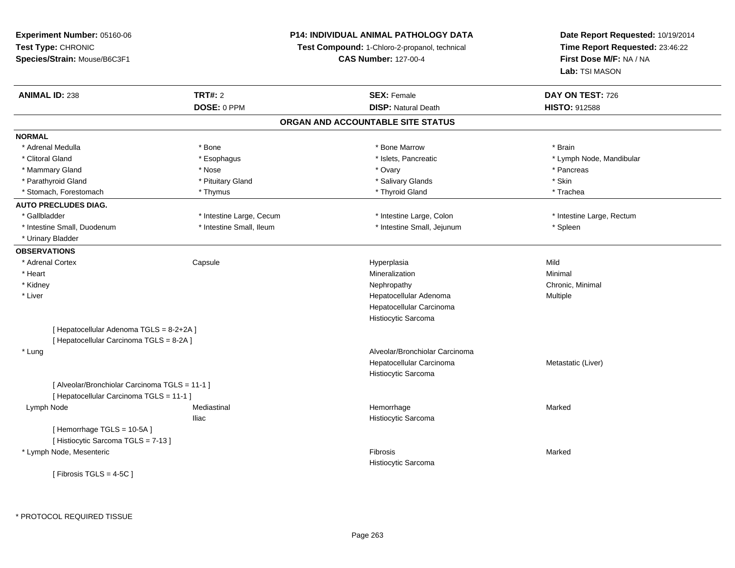### **P14: INDIVIDUAL ANIMAL PATHOLOGY DATA**

**Test Compound:** 1-Chloro-2-propanol, technical

**CAS Number:** 127-00-4

| <b>ANIMAL ID: 238</b>                          | <b>TRT#: 2</b>           | <b>SEX: Female</b>                | DAY ON TEST: 726          |
|------------------------------------------------|--------------------------|-----------------------------------|---------------------------|
|                                                | DOSE: 0 PPM              | <b>DISP: Natural Death</b>        | <b>HISTO: 912588</b>      |
|                                                |                          | ORGAN AND ACCOUNTABLE SITE STATUS |                           |
| <b>NORMAL</b>                                  |                          |                                   |                           |
| * Adrenal Medulla                              | * Bone                   | * Bone Marrow                     | * Brain                   |
| * Clitoral Gland                               | * Esophagus              | * Islets, Pancreatic              | * Lymph Node, Mandibular  |
| * Mammary Gland                                | * Nose                   | * Ovary                           | * Pancreas                |
| * Parathyroid Gland                            | * Pituitary Gland        | * Salivary Glands                 | * Skin                    |
| * Stomach, Forestomach                         | * Thymus                 | * Thyroid Gland                   | * Trachea                 |
| <b>AUTO PRECLUDES DIAG.</b>                    |                          |                                   |                           |
| * Gallbladder                                  | * Intestine Large, Cecum | * Intestine Large, Colon          | * Intestine Large, Rectum |
| * Intestine Small, Duodenum                    | * Intestine Small, Ileum | * Intestine Small, Jejunum        | * Spleen                  |
| * Urinary Bladder                              |                          |                                   |                           |
| <b>OBSERVATIONS</b>                            |                          |                                   |                           |
| * Adrenal Cortex                               | Capsule                  | Hyperplasia                       | Mild                      |
| * Heart                                        |                          | Mineralization                    | Minimal                   |
| * Kidney                                       |                          | Nephropathy                       | Chronic, Minimal          |
| * Liver                                        |                          | Hepatocellular Adenoma            | Multiple                  |
|                                                |                          | Hepatocellular Carcinoma          |                           |
|                                                |                          | Histiocytic Sarcoma               |                           |
| [ Hepatocellular Adenoma TGLS = 8-2+2A ]       |                          |                                   |                           |
| [ Hepatocellular Carcinoma TGLS = 8-2A ]       |                          |                                   |                           |
| * Lung                                         |                          | Alveolar/Bronchiolar Carcinoma    |                           |
|                                                |                          | Hepatocellular Carcinoma          | Metastatic (Liver)        |
|                                                |                          | Histiocytic Sarcoma               |                           |
| [ Alveolar/Bronchiolar Carcinoma TGLS = 11-1 ] |                          |                                   |                           |
| [ Hepatocellular Carcinoma TGLS = 11-1 ]       |                          |                                   |                           |
| Lymph Node                                     | Mediastinal              | Hemorrhage                        | Marked                    |
|                                                | <b>Iliac</b>             | Histiocytic Sarcoma               |                           |
| [Hemorrhage TGLS = 10-5A]                      |                          |                                   |                           |
| [ Histiocytic Sarcoma TGLS = 7-13 ]            |                          |                                   |                           |
| * Lymph Node, Mesenteric                       |                          | Fibrosis                          | Marked                    |
|                                                |                          | Histiocytic Sarcoma               |                           |
| [ Fibrosis TGLS = $4-5C$ ]                     |                          |                                   |                           |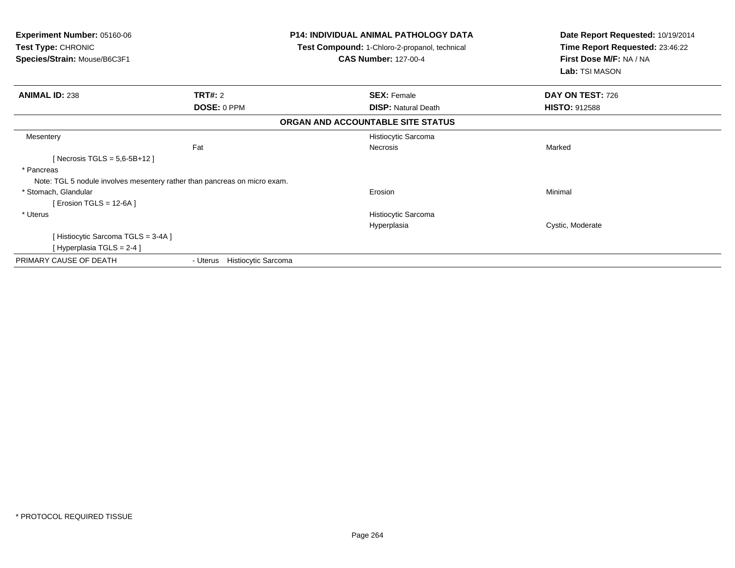| <b>Experiment Number: 05160-06</b><br><b>Test Type: CHRONIC</b><br>Species/Strain: Mouse/B6C3F1 |                                        | P14: INDIVIDUAL ANIMAL PATHOLOGY DATA<br>Test Compound: 1-Chloro-2-propanol, technical<br><b>CAS Number: 127-00-4</b> | Date Report Requested: 10/19/2014<br>Time Report Requested: 23:46:22<br>First Dose M/F: NA / NA<br>Lab: TSI MASON |
|-------------------------------------------------------------------------------------------------|----------------------------------------|-----------------------------------------------------------------------------------------------------------------------|-------------------------------------------------------------------------------------------------------------------|
| <b>ANIMAL ID: 238</b>                                                                           | <b>TRT#:</b> 2                         | <b>SEX: Female</b>                                                                                                    | DAY ON TEST: 726                                                                                                  |
|                                                                                                 | DOSE: 0 PPM                            | <b>DISP: Natural Death</b>                                                                                            | <b>HISTO: 912588</b>                                                                                              |
|                                                                                                 |                                        | ORGAN AND ACCOUNTABLE SITE STATUS                                                                                     |                                                                                                                   |
| Mesentery                                                                                       |                                        | Histiocytic Sarcoma                                                                                                   |                                                                                                                   |
|                                                                                                 | Fat                                    | <b>Necrosis</b>                                                                                                       | Marked                                                                                                            |
| [Necrosis TGLS = $5,6-5B+12$ ]                                                                  |                                        |                                                                                                                       |                                                                                                                   |
| * Pancreas                                                                                      |                                        |                                                                                                                       |                                                                                                                   |
| Note: TGL 5 nodule involves mesentery rather than pancreas on micro exam.                       |                                        |                                                                                                                       |                                                                                                                   |
| * Stomach, Glandular                                                                            |                                        | Erosion                                                                                                               | Minimal                                                                                                           |
| [ Erosion TGLS = 12-6A ]                                                                        |                                        |                                                                                                                       |                                                                                                                   |
| * Uterus                                                                                        |                                        | Histiocytic Sarcoma                                                                                                   |                                                                                                                   |
|                                                                                                 |                                        | Hyperplasia                                                                                                           | Cystic, Moderate                                                                                                  |
| [Histiocytic Sarcoma TGLS = 3-4A]                                                               |                                        |                                                                                                                       |                                                                                                                   |
| [Hyperplasia TGLS = 2-4 ]                                                                       |                                        |                                                                                                                       |                                                                                                                   |
| PRIMARY CAUSE OF DEATH                                                                          | <b>Histiocytic Sarcoma</b><br>- Uterus |                                                                                                                       |                                                                                                                   |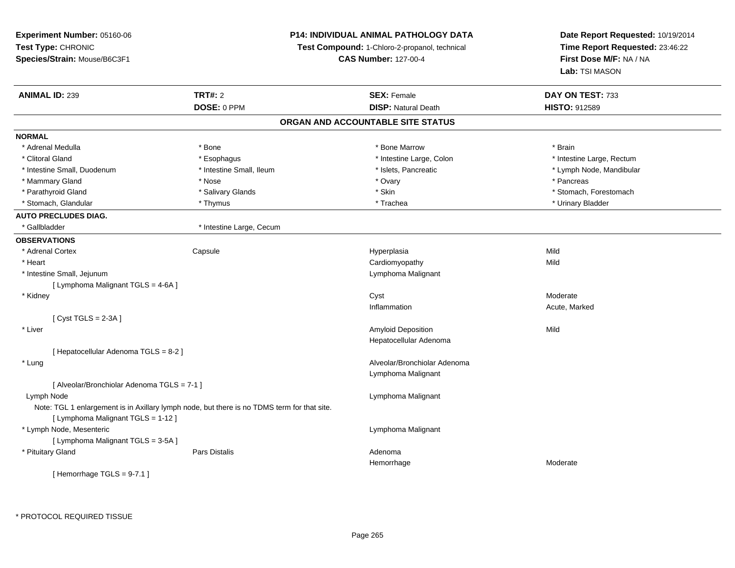**Experiment Number:** 05160-06**Test Type:** CHRONIC **Species/Strain:** Mouse/B6C3F1**P14: INDIVIDUAL ANIMAL PATHOLOGY DATATest Compound:** 1-Chloro-2-propanol, technical **CAS Number:** 127-00-4**Date Report Requested:** 10/19/2014**Time Report Requested:** 23:46:22**First Dose M/F:** NA / NA**Lab:** TSI MASON**ANIMAL ID:** 239**TRT#:** 2 **SEX:** Female **DAY ON TEST:** 733 **DOSE:** 0 PPM**DISP:** Natural Death **HISTO:** 912589 **ORGAN AND ACCOUNTABLE SITE STATUSNORMAL**\* Adrenal Medulla \* \* Annual Medulla \* Brain \* Bone \* \* Bone Marrow \* Bone Marrow \* \* Brain \* Brain \* Brain \* Brain \* Brain \* Brain \* Brain \* Brain \* Brain \* Brain \* Brain \* Brain \* Brain \* Brain \* Brain \* Brain \* Brain \* \* Clitoral Gland \* \* Muslim to the subset of the subset of the subset of the subset of the subset of the subset of the subset of the subset of the subset of the subset of the subset of the subset of the subset of the subse \* Intestine Small, Duodenum \* \* Thestine Small, Ileum \* \* Stets, Pancreatic \* \* Lymph Node, Mandibular \* Lymph Node, Mandibular \* Mammary Gland \* \* Andrew \* Nose \* \* Nose \* \* Ovary \* Ovary \* Ovary \* \* Ovary \* \* Pancreas \* \* Pancreas \* \* Pancreas \* \* Pancreas \* \* Pancreas \* \* Pancreas \* \* Pancreas \* \* Pancreas \* \* Pancreas \* \* Pancreas \* \* Pancreas \* Parathyroid Gland \* \* Salivary Glands \* Salivary Glands \* Skin \* \* Skin \* \* Stomach, Forestomach, Forestomach \* Stomach, Glandular \* Thymus \* Thymus \* Thwnus \* Trachea \* Trachea \* Trachea \* Urinary Bladder **AUTO PRECLUDES DIAG.** \* Gallbladder \* Intestine Large, Cecum**OBSERVATIONS** \* Adrenal Cortex**Capsule**  Hyperplasia Mild \* Heart Cardiomyopathyy Mild \* Intestine Small, Jejunum Lymphoma Malignant [ Lymphoma Malignant TGLS = 4-6A ] \* Kidneyy which is a state of the control of the control of the control of the control of the control of the control of the control of the control of the control of the control of the control of the control of the control of the c n and Acute, Marked Inflammation[ Cyst TGLS = 2-3A ] \* Liver Amyloid Depositionn Mild Hepatocellular Adenoma[ Hepatocellular Adenoma TGLS = 8-2 ] \* Lung Alveolar/Bronchiolar Adenoma Lymphoma Malignant[ Alveolar/Bronchiolar Adenoma TGLS = 7-1 ] Lymph Node Lymphoma Malignant Note: TGL 1 enlargement is in Axillary lymph node, but there is no TDMS term for that site.[ Lymphoma Malignant TGLS = 1-12 ] \* Lymph Node, Mesenteric Lymphoma Malignant [ Lymphoma Malignant TGLS = 3-5A ] \* Pituitary Glandd and the set of Pars Distalis and the Second Adenomal Adenomal Second Second Pars Distallis Hemorrhage Moderate [ Hemorrhage TGLS = 9-7.1 ]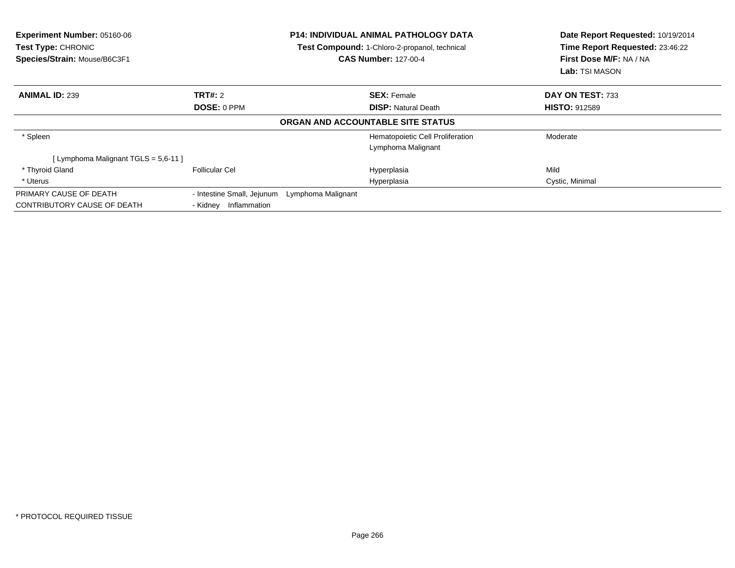| <b>Experiment Number: 05160-06</b><br><b>Test Type: CHRONIC</b><br>Species/Strain: Mouse/B6C3F1 |                                                  | <b>P14: INDIVIDUAL ANIMAL PATHOLOGY DATA</b><br>Test Compound: 1-Chloro-2-propanol, technical<br><b>CAS Number: 127-00-4</b> | Date Report Requested: 10/19/2014<br>Time Report Requested: 23:46:22<br>First Dose M/F: NA / NA<br>Lab: TSI MASON |  |
|-------------------------------------------------------------------------------------------------|--------------------------------------------------|------------------------------------------------------------------------------------------------------------------------------|-------------------------------------------------------------------------------------------------------------------|--|
| <b>ANIMAL ID: 239</b>                                                                           | TRT#: 2                                          | <b>SEX: Female</b>                                                                                                           | DAY ON TEST: 733                                                                                                  |  |
|                                                                                                 | DOSE: 0 PPM                                      | <b>DISP:</b> Natural Death                                                                                                   | <b>HISTO: 912589</b>                                                                                              |  |
|                                                                                                 |                                                  | ORGAN AND ACCOUNTABLE SITE STATUS                                                                                            |                                                                                                                   |  |
| * Spleen                                                                                        |                                                  | Hematopoietic Cell Proliferation                                                                                             | Moderate                                                                                                          |  |
|                                                                                                 |                                                  | Lymphoma Malignant                                                                                                           |                                                                                                                   |  |
| [ Lymphoma Malignant TGLS = 5,6-11 ]                                                            |                                                  |                                                                                                                              |                                                                                                                   |  |
| * Thyroid Gland                                                                                 | <b>Follicular Cel</b>                            | Hyperplasia                                                                                                                  | Mild                                                                                                              |  |
| * Uterus                                                                                        |                                                  | Hyperplasia                                                                                                                  | Cystic, Minimal                                                                                                   |  |
| PRIMARY CAUSE OF DEATH                                                                          | - Intestine Small, Jejunum<br>Lymphoma Malignant |                                                                                                                              |                                                                                                                   |  |
| CONTRIBUTORY CAUSE OF DEATH                                                                     | Inflammation<br>- Kidney                         |                                                                                                                              |                                                                                                                   |  |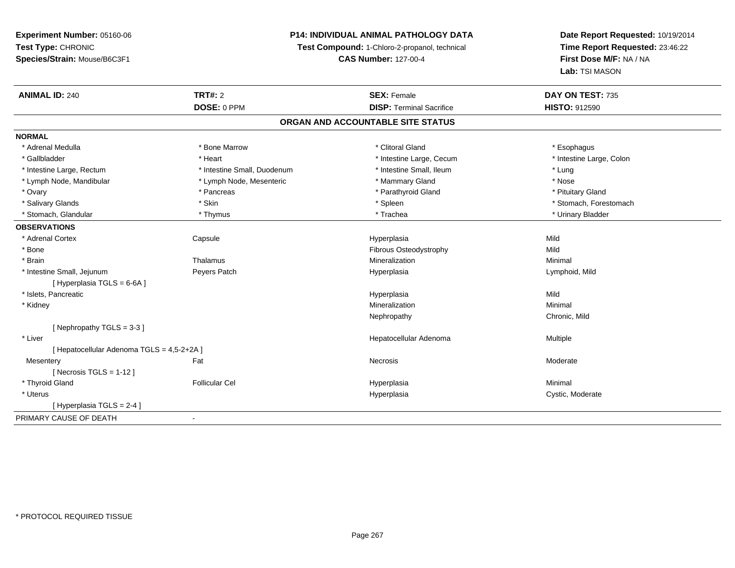### **P14: INDIVIDUAL ANIMAL PATHOLOGY DATA**

**Test Compound:** 1-Chloro-2-propanol, technical

**CAS Number:** 127-00-4

| <b>ANIMAL ID: 240</b>                      | <b>TRT#: 2</b>                    | <b>SEX: Female</b>              | DAY ON TEST: 735         |  |  |  |  |
|--------------------------------------------|-----------------------------------|---------------------------------|--------------------------|--|--|--|--|
|                                            | DOSE: 0 PPM                       | <b>DISP: Terminal Sacrifice</b> | <b>HISTO: 912590</b>     |  |  |  |  |
|                                            | ORGAN AND ACCOUNTABLE SITE STATUS |                                 |                          |  |  |  |  |
| <b>NORMAL</b>                              |                                   |                                 |                          |  |  |  |  |
| * Adrenal Medulla                          | * Bone Marrow                     | * Clitoral Gland                | * Esophagus              |  |  |  |  |
| * Gallbladder                              | * Heart                           | * Intestine Large, Cecum        | * Intestine Large, Colon |  |  |  |  |
| * Intestine Large, Rectum                  | * Intestine Small, Duodenum       | * Intestine Small, Ileum        | * Lung                   |  |  |  |  |
| * Lymph Node, Mandibular                   | * Lymph Node, Mesenteric          | * Mammary Gland                 | * Nose                   |  |  |  |  |
| * Ovary                                    | * Pancreas                        | * Parathyroid Gland             | * Pituitary Gland        |  |  |  |  |
| * Salivary Glands                          | * Skin                            | * Spleen                        | * Stomach, Forestomach   |  |  |  |  |
| * Stomach, Glandular                       | * Thymus                          | * Trachea                       | * Urinary Bladder        |  |  |  |  |
| <b>OBSERVATIONS</b>                        |                                   |                                 |                          |  |  |  |  |
| * Adrenal Cortex                           | Capsule                           | Hyperplasia                     | Mild                     |  |  |  |  |
| * Bone                                     |                                   | Fibrous Osteodystrophy          | Mild                     |  |  |  |  |
| * Brain                                    | Thalamus                          | Mineralization                  | Minimal                  |  |  |  |  |
| * Intestine Small, Jejunum                 | Peyers Patch                      | Hyperplasia                     | Lymphoid, Mild           |  |  |  |  |
| [ Hyperplasia TGLS = 6-6A ]                |                                   |                                 |                          |  |  |  |  |
| * Islets. Pancreatic                       |                                   | Hyperplasia                     | Mild                     |  |  |  |  |
| * Kidney                                   |                                   | Mineralization                  | Minimal                  |  |  |  |  |
|                                            |                                   | Nephropathy                     | Chronic, Mild            |  |  |  |  |
| [ Nephropathy $TGLS = 3-3$ ]               |                                   |                                 |                          |  |  |  |  |
| * Liver                                    |                                   | Hepatocellular Adenoma          | Multiple                 |  |  |  |  |
| [ Hepatocellular Adenoma TGLS = 4,5-2+2A ] |                                   |                                 |                          |  |  |  |  |
| Mesentery                                  | Fat                               | Necrosis                        | Moderate                 |  |  |  |  |
| [ Necrosis TGLS = $1-12$ ]                 |                                   |                                 |                          |  |  |  |  |
| * Thyroid Gland                            | <b>Follicular Cel</b>             | Hyperplasia                     | Minimal                  |  |  |  |  |
| * Uterus                                   |                                   | Hyperplasia                     | Cystic, Moderate         |  |  |  |  |
| [Hyperplasia TGLS = $2-4$ ]                |                                   |                                 |                          |  |  |  |  |
| PRIMARY CAUSE OF DEATH                     | $\blacksquare$                    |                                 |                          |  |  |  |  |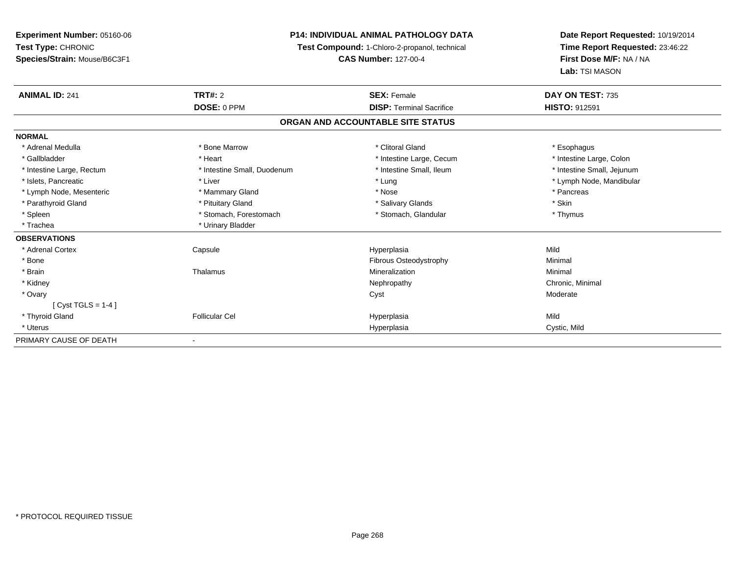**Experiment Number:** 05160-06**Test Type:** CHRONIC **Species/Strain:** Mouse/B6C3F1**P14: INDIVIDUAL ANIMAL PATHOLOGY DATATest Compound:** 1-Chloro-2-propanol, technical **CAS Number:** 127-00-4**Date Report Requested:** 10/19/2014**Time Report Requested:** 23:46:22**First Dose M/F:** NA / NA**Lab:** TSI MASON**ANIMAL ID:** 241**TRT#:** 2 **SEX:** Female **DAY ON TEST:** 735 **DOSE:** 0 PPM**DISP:** Terminal Sacrifice **HISTO:** 912591 **ORGAN AND ACCOUNTABLE SITE STATUSNORMAL**\* Adrenal Medulla \* Adrenal Medulla \* \* Attack the second term in the second term in the second of the second of the second of the second of the second of the second of the second of the second of the second of the second of the second of t \* Intestine Large, Colon \* Gallbladder \* The matter \* Heart \* Heart \* Intestine Large, Cecum \* Intestine Large, Cecum \* \* Intestine Small, Jejunum \* Intestine Large, Rectum \* Intestine Small, Duodenum \* Intestine Small, Duodenum \* \* Intestine Small, Ileum \* Islets, Pancreatic \* Liver \* Lung \* Lymph Node, Mandibular \* Lymph Node, Mesenteric \* \* The mannery Gland \* Mammary Gland \* Nose \* Nose \* \* Pancreas \* Pancreas \* Pancreas \* Parathyroid Gland \* \* Pituitary Gland \* Thuitary Gland \* Salivary Glands \* Stin \* Skin \* Skin \* Skin \* Skin \* Skin \* Skin \* Skin \* Skin \* Skin \* Skin \* Skin \* Skin \* Skin \* Skin \* Skin \* Skin \* Skin \* Skin \* Skin \* Skin \* Thymus \* Spleen \* Stomach, Forestomach \* Stomach \* Stomach \* Stomach \* Stomach \* Thus \* Stomach, Glandular \* Trachea \* Urinary Bladder**OBSERVATIONS** \* Adrenal Cortex Capsule Hyperplasia Mild \* BoneFibrous Osteodystrophy **Minimal**<br>Mineralization Minimal \* Brainn and the Thalamus and the Minimal and Mineralization and Minimal Minimal and Minimal and Minimal and Minimal  $\mu$  \* Kidneyy the controller of the controller of the controller of the controller of the controller of the controller of the controller of the controller of the controller of the controller of the controller of the controller of the \* Ovaryy and the control of the control of the control of the control of the control of the control of the control of the control of the control of the control of the control of the control of the control of the control of the co [ Cyst TGLS = 1-4 ] \* Thyroid Gland Follicular Cel Hyperplasia Mild \* Uteruss and the contract of the contract of the contract of the contract of the contract of the contract of the contract of the contract of the contract of the contract of the contract of the contract of the contract of the cont Hyperplasia Cystic, Mild PRIMARY CAUSE OF DEATH-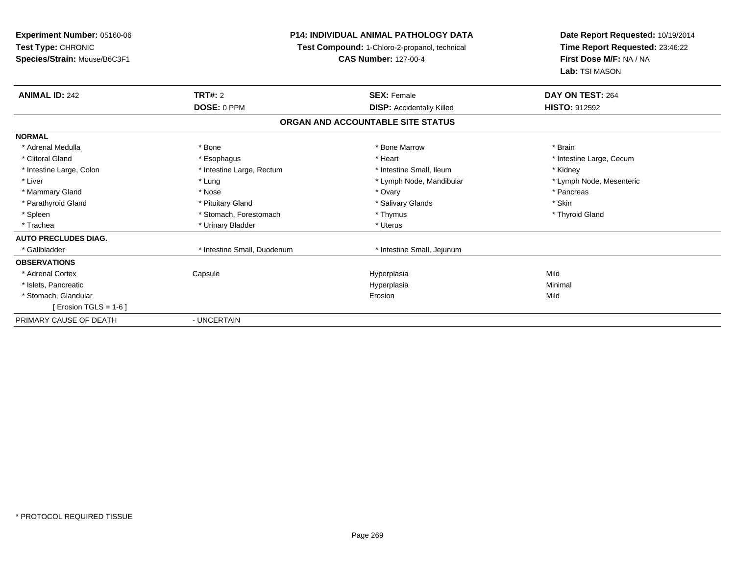**Experiment Number:** 05160-06**Test Type:** CHRONIC **Species/Strain:** Mouse/B6C3F1**P14: INDIVIDUAL ANIMAL PATHOLOGY DATA Test Compound:** 1-Chloro-2-propanol, technical **CAS Number:** 127-00-4**Date Report Requested:** 10/19/2014**Time Report Requested:** 23:46:22**First Dose M/F:** NA / NA**Lab:** TSI MASON**ANIMAL ID:** 242**TRT#:** 2 **SEX:** Female **DAY ON TEST:** 264 **DOSE:** 0 PPM**DISP:** Accidentally Killed **HISTO:** 912592 **ORGAN AND ACCOUNTABLE SITE STATUSNORMAL**\* Adrenal Medulla \* \* Annual Medulla \* Brain \* Bone \* \* Bone Marrow \* Bone Marrow \* \* Brain \* Brain \* Brain \* Brain \* Brain \* Brain \* Brain \* Brain \* Brain \* Brain \* Brain \* Brain \* Brain \* Brain \* Brain \* Brain \* Brain \* \* Clitoral Gland \* \* exphagus \* Esophagus \* \* Heart \* Heart \* Intestine Large, Cecum \* Intestine Large, Colon \* Intestine Large, The Small, Ileum \* Intestine Small, Ileum \* Kidney \* Kidney \* Lymph Node, Mesenteric \* Liver \* Lung \* Lung \* Lung \* Lung \* Lymph Node, Mandibular \* Lymph Node, Mandibular \* Mammary Gland \* \* Andrew \* Nose \* \* Nose \* \* Ovary \* Ovary \* Ovary \* \* Ovary \* \* Pancreas \* \* Pancreas \* \* Pancreas \* \* Pancreas \* \* Pancreas \* \* Pancreas \* \* Pancreas \* \* Pancreas \* \* Pancreas \* \* Pancreas \* \* Pancreas \* Parathyroid Gland \* \* Pituitary Gland \* Thuitary Gland \* Salivary Glands \* Stin \* Skin \* Skin \* Skin \* Skin \* Skin \* Skin \* Skin \* Skin \* Skin \* Skin \* Skin \* Skin \* Skin \* Skin \* Skin \* Skin \* Skin \* Skin \* Skin \* Skin \* Thyroid Gland \* Spleen \* Stomach, Forestomach \* Thymus \* Thymus \* Thymus \* Thymus \* Thymus \* Thymus \* Thymus \* Thymus \* Thymus \* Thymus \* Thymus \* Thymus \* Thymus \* Thymus \* Thymus \* Thymus \* Thymus \* Thymus \* Thymus \* Thymus \* Thymus \* \* Trachea \* Urinary Bladder \* Urinary Bladder \* Urinary Bladder \* Urinary Bladder \* Urinary Bladder **AUTO PRECLUDES DIAG.**\* Gallbladder **\*** Intestine Small, Duodenum \* Intestine Small, Duodenum \* 1ntestine Small, Jejunum **OBSERVATIONS** \* Adrenal Cortex**Capsule**  Hyperplasia Mild \* Islets, Pancreaticc and the control of the control of the control of the control of the control of the control of the control of the control of the control of the control of the control of the control of the control of the control of the co a **Minimal**  \* Stomach, Glandularr and the contract of the contract of the contract of the contract of the contract of the contract of the contract of the contract of the contract of the contract of the contract of the contract of the contract of the cont n Mild  $[$  Erosion TGLS = 1-6  $]$ PRIMARY CAUSE OF DEATH- UNCERTAIN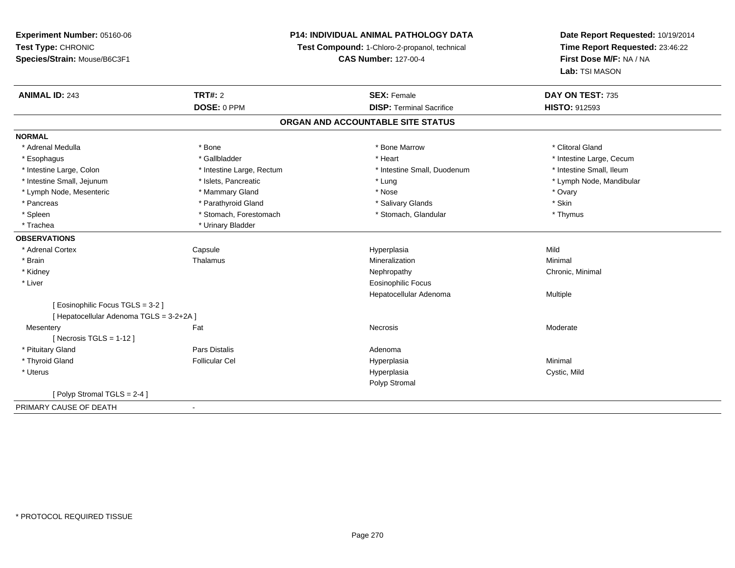## **P14: INDIVIDUAL ANIMAL PATHOLOGY DATA**

**Test Compound:** 1-Chloro-2-propanol, technical

**CAS Number:** 127-00-4

| <b>ANIMAL ID: 243</b>                                                         | <b>TRT#: 2</b>            | <b>SEX: Female</b>                | DAY ON TEST: 735         |
|-------------------------------------------------------------------------------|---------------------------|-----------------------------------|--------------------------|
|                                                                               | DOSE: 0 PPM               | <b>DISP: Terminal Sacrifice</b>   | <b>HISTO: 912593</b>     |
|                                                                               |                           | ORGAN AND ACCOUNTABLE SITE STATUS |                          |
| <b>NORMAL</b>                                                                 |                           |                                   |                          |
| * Adrenal Medulla                                                             | * Bone                    | * Bone Marrow                     | * Clitoral Gland         |
| * Esophagus                                                                   | * Gallbladder             | * Heart                           | * Intestine Large, Cecum |
| * Intestine Large, Colon                                                      | * Intestine Large, Rectum | * Intestine Small, Duodenum       | * Intestine Small, Ileum |
| * Intestine Small, Jejunum                                                    | * Islets, Pancreatic      | * Lung                            | * Lymph Node, Mandibular |
| * Lymph Node, Mesenteric                                                      | * Mammary Gland           | * Nose                            | * Ovary                  |
| * Pancreas                                                                    | * Parathyroid Gland       | * Salivary Glands                 | * Skin                   |
| * Spleen                                                                      | * Stomach, Forestomach    | * Stomach, Glandular              | * Thymus                 |
| * Trachea                                                                     | * Urinary Bladder         |                                   |                          |
| <b>OBSERVATIONS</b>                                                           |                           |                                   |                          |
| * Adrenal Cortex                                                              | Capsule                   | Hyperplasia                       | Mild                     |
| * Brain                                                                       | Thalamus                  | Mineralization                    | Minimal                  |
| * Kidney                                                                      |                           | Nephropathy                       | Chronic, Minimal         |
| * Liver                                                                       |                           | <b>Eosinophilic Focus</b>         |                          |
|                                                                               |                           | Hepatocellular Adenoma            | Multiple                 |
| [ Eosinophilic Focus TGLS = 3-2 ]<br>[ Hepatocellular Adenoma TGLS = 3-2+2A ] |                           |                                   |                          |
| Mesentery                                                                     | Fat                       | Necrosis                          | Moderate                 |
| [Necrosis TGLS = $1-12$ ]                                                     |                           |                                   |                          |
| * Pituitary Gland                                                             | <b>Pars Distalis</b>      | Adenoma                           |                          |
| * Thyroid Gland                                                               | <b>Follicular Cel</b>     | Hyperplasia                       | Minimal                  |
| * Uterus                                                                      |                           | Hyperplasia                       | Cystic, Mild             |
|                                                                               |                           | Polyp Stromal                     |                          |
| [ Polyp Stromal TGLS = $2-4$ ]                                                |                           |                                   |                          |
| PRIMARY CAUSE OF DEATH                                                        |                           |                                   |                          |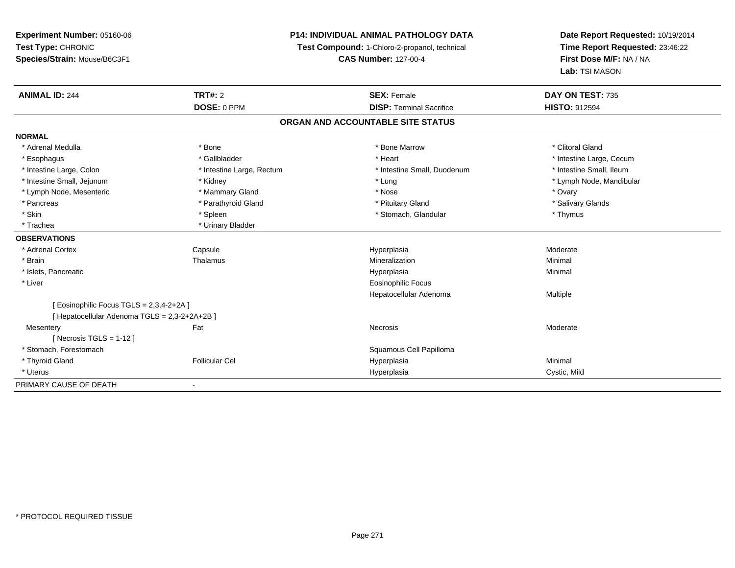### **P14: INDIVIDUAL ANIMAL PATHOLOGY DATA**

**Test Compound:** 1-Chloro-2-propanol, technical

**CAS Number:** 127-00-4

| <b>ANIMAL ID: 244</b>                         | TRT#: 2                   | <b>SEX: Female</b>                | DAY ON TEST: 735         |
|-----------------------------------------------|---------------------------|-----------------------------------|--------------------------|
|                                               | DOSE: 0 PPM               | <b>DISP: Terminal Sacrifice</b>   | <b>HISTO: 912594</b>     |
|                                               |                           | ORGAN AND ACCOUNTABLE SITE STATUS |                          |
| <b>NORMAL</b>                                 |                           |                                   |                          |
| * Adrenal Medulla                             | * Bone                    | * Bone Marrow                     | * Clitoral Gland         |
| * Esophagus                                   | * Gallbladder             | * Heart                           | * Intestine Large, Cecum |
| * Intestine Large, Colon                      | * Intestine Large, Rectum | * Intestine Small, Duodenum       | * Intestine Small, Ileum |
| * Intestine Small, Jejunum                    | * Kidney                  | * Lung                            | * Lymph Node, Mandibular |
| * Lymph Node, Mesenteric                      | * Mammary Gland           | * Nose                            | * Ovary                  |
| * Pancreas                                    | * Parathyroid Gland       | * Pituitary Gland                 | * Salivary Glands        |
| * Skin                                        | * Spleen                  | * Stomach, Glandular              | * Thymus                 |
| * Trachea                                     | * Urinary Bladder         |                                   |                          |
| <b>OBSERVATIONS</b>                           |                           |                                   |                          |
| * Adrenal Cortex                              | Capsule                   | Hyperplasia                       | Moderate                 |
| * Brain                                       | Thalamus                  | Mineralization                    | Minimal                  |
| * Islets, Pancreatic                          |                           | Hyperplasia                       | Minimal                  |
| * Liver                                       |                           | <b>Eosinophilic Focus</b>         |                          |
|                                               |                           | Hepatocellular Adenoma            | Multiple                 |
| [ Eosinophilic Focus TGLS = 2,3,4-2+2A ]      |                           |                                   |                          |
| [ Hepatocellular Adenoma TGLS = 2,3-2+2A+2B ] |                           |                                   |                          |
| Mesentery                                     | Fat                       | Necrosis                          | Moderate                 |
| [ Necrosis TGLS = $1-12$ ]                    |                           |                                   |                          |
| * Stomach. Forestomach                        |                           | Squamous Cell Papilloma           |                          |
| * Thyroid Gland                               | <b>Follicular Cel</b>     | Hyperplasia                       | Minimal                  |
| * Uterus                                      |                           | Hyperplasia                       | Cystic, Mild             |
| PRIMARY CAUSE OF DEATH                        |                           |                                   |                          |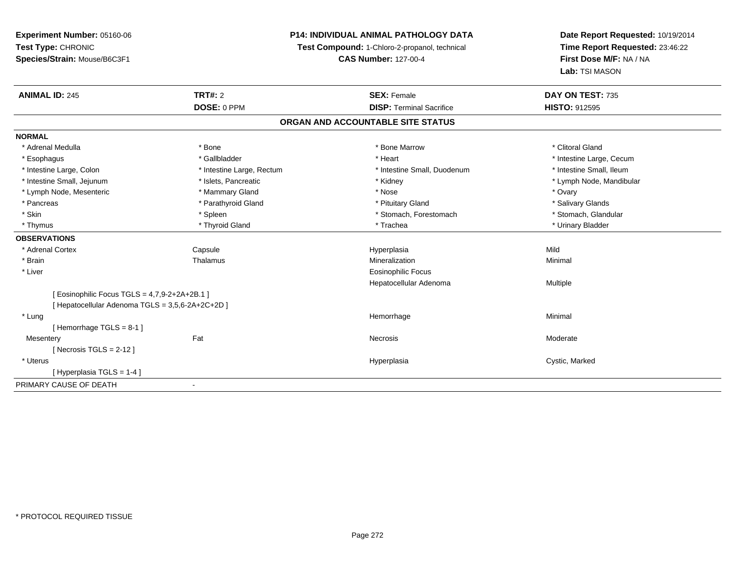### **P14: INDIVIDUAL ANIMAL PATHOLOGY DATA**

**Test Compound:** 1-Chloro-2-propanol, technical

**CAS Number:** 127-00-4

| <b>ANIMAL ID: 245</b>                            | <b>TRT#: 2</b>            | <b>SEX: Female</b>                | DAY ON TEST: 735         |  |
|--------------------------------------------------|---------------------------|-----------------------------------|--------------------------|--|
|                                                  | DOSE: 0 PPM               | <b>DISP: Terminal Sacrifice</b>   | <b>HISTO: 912595</b>     |  |
|                                                  |                           | ORGAN AND ACCOUNTABLE SITE STATUS |                          |  |
| <b>NORMAL</b>                                    |                           |                                   |                          |  |
| * Adrenal Medulla                                | * Bone                    | * Bone Marrow                     | * Clitoral Gland         |  |
| * Esophagus                                      | * Gallbladder             | * Heart                           | * Intestine Large, Cecum |  |
| * Intestine Large, Colon                         | * Intestine Large, Rectum | * Intestine Small, Duodenum       | * Intestine Small, Ileum |  |
| * Intestine Small, Jejunum                       | * Islets, Pancreatic      | * Kidney                          | * Lymph Node, Mandibular |  |
| * Lymph Node, Mesenteric                         | * Mammary Gland           | * Nose                            | * Ovary                  |  |
| * Pancreas                                       | * Parathyroid Gland       | * Pituitary Gland                 | * Salivary Glands        |  |
| * Skin                                           | * Spleen                  | * Stomach, Forestomach            | * Stomach, Glandular     |  |
| * Thymus                                         | * Thyroid Gland           | * Trachea                         | * Urinary Bladder        |  |
| <b>OBSERVATIONS</b>                              |                           |                                   |                          |  |
| * Adrenal Cortex                                 | Capsule                   | Hyperplasia                       | Mild                     |  |
| * Brain                                          | Thalamus                  | Mineralization                    | Minimal                  |  |
| * Liver                                          |                           | <b>Eosinophilic Focus</b>         |                          |  |
|                                                  |                           | Hepatocellular Adenoma            | Multiple                 |  |
| [Eosinophilic Focus TGLS = 4,7,9-2+2A+2B.1]      |                           |                                   |                          |  |
| [ Hepatocellular Adenoma TGLS = 3,5,6-2A+2C+2D ] |                           |                                   |                          |  |
| * Lung                                           |                           | Hemorrhage                        | Minimal                  |  |
| [Hemorrhage TGLS = $8-1$ ]                       |                           |                                   |                          |  |
| Mesentery                                        | Fat                       | Necrosis                          | Moderate                 |  |
| [Necrosis TGLS = $2-12$ ]                        |                           |                                   |                          |  |
| * Uterus                                         |                           | Hyperplasia                       | Cystic, Marked           |  |
| [Hyperplasia TGLS = 1-4]                         |                           |                                   |                          |  |
| PRIMARY CAUSE OF DEATH                           |                           |                                   |                          |  |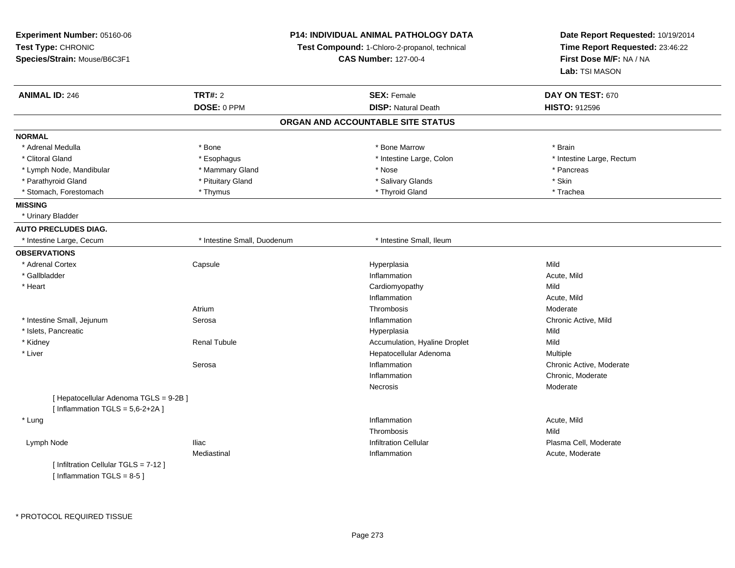| Experiment Number: 05160-06            |                             | P14: INDIVIDUAL ANIMAL PATHOLOGY DATA         | Date Report Requested: 10/19/2014 |
|----------------------------------------|-----------------------------|-----------------------------------------------|-----------------------------------|
| Test Type: CHRONIC                     |                             | Test Compound: 1-Chloro-2-propanol, technical | Time Report Requested: 23:46:22   |
| Species/Strain: Mouse/B6C3F1           |                             | <b>CAS Number: 127-00-4</b>                   |                                   |
|                                        |                             |                                               | Lab: TSI MASON                    |
| <b>ANIMAL ID: 246</b>                  | <b>TRT#: 2</b>              | <b>SEX: Female</b>                            | DAY ON TEST: 670                  |
|                                        | DOSE: 0 PPM                 | <b>DISP: Natural Death</b>                    | <b>HISTO: 912596</b>              |
|                                        |                             | ORGAN AND ACCOUNTABLE SITE STATUS             |                                   |
| <b>NORMAL</b>                          |                             |                                               |                                   |
| * Adrenal Medulla                      | * Bone                      | * Bone Marrow                                 | * Brain                           |
| * Clitoral Gland                       | * Esophagus                 | * Intestine Large, Colon                      | * Intestine Large, Rectum         |
| * Lymph Node, Mandibular               | * Mammary Gland             | * Nose                                        | * Pancreas                        |
| * Parathyroid Gland                    | * Pituitary Gland           | * Salivary Glands                             | * Skin                            |
| * Stomach, Forestomach                 | * Thymus                    | * Thyroid Gland                               | * Trachea                         |
| <b>MISSING</b>                         |                             |                                               |                                   |
| * Urinary Bladder                      |                             |                                               |                                   |
| <b>AUTO PRECLUDES DIAG.</b>            |                             |                                               |                                   |
| * Intestine Large, Cecum               | * Intestine Small, Duodenum | * Intestine Small, Ileum                      |                                   |
| <b>OBSERVATIONS</b>                    |                             |                                               |                                   |
| * Adrenal Cortex                       | Capsule                     | Hyperplasia                                   | Mild                              |
| * Gallbladder                          |                             | Inflammation                                  | Acute, Mild                       |
| * Heart                                |                             | Cardiomyopathy                                | Mild                              |
|                                        |                             | Inflammation                                  | Acute, Mild                       |
|                                        | Atrium                      | Thrombosis                                    | Moderate                          |
| * Intestine Small, Jejunum             | Serosa                      | Inflammation                                  | Chronic Active, Mild              |
| * Islets, Pancreatic                   |                             | Hyperplasia                                   | Mild                              |
| * Kidney                               | <b>Renal Tubule</b>         | Accumulation, Hyaline Droplet                 | Mild                              |
| * Liver                                |                             | Hepatocellular Adenoma                        | Multiple                          |
|                                        | Serosa                      | Inflammation                                  | Chronic Active, Moderate          |
|                                        |                             | Inflammation                                  | Chronic, Moderate                 |
|                                        |                             | Necrosis                                      | Moderate                          |
| [ Hepatocellular Adenoma TGLS = 9-2B ] |                             |                                               |                                   |
| [Inflammation TGLS = $5,6-2+2A$ ]      |                             |                                               |                                   |
| * Lung                                 |                             | Inflammation                                  | Acute, Mild                       |
|                                        |                             | Thrombosis                                    | Mild                              |
| Lymph Node                             | <b>Iliac</b>                | <b>Infiltration Cellular</b>                  | Plasma Cell, Moderate             |
|                                        | Mediastinal                 | Inflammation                                  | Acute, Moderate                   |
| [ Infiltration Cellular TGLS = 7-12 ]  |                             |                                               |                                   |
| [Inflammation $TGLS = 8-5$ ]           |                             |                                               |                                   |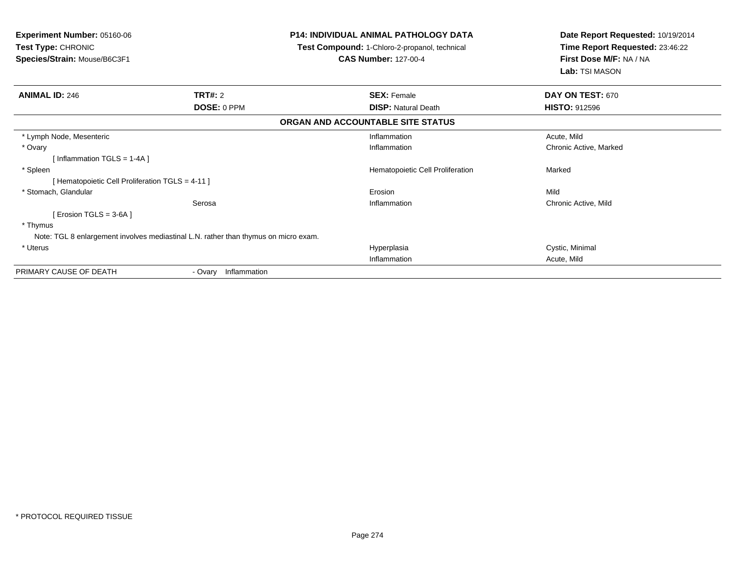| <b>Experiment Number: 05160-06</b><br>Test Type: CHRONIC<br>Species/Strain: Mouse/B6C3F1 |                      | <b>P14: INDIVIDUAL ANIMAL PATHOLOGY DATA</b><br>Test Compound: 1-Chloro-2-propanol, technical<br><b>CAS Number: 127-00-4</b> | Date Report Requested: 10/19/2014<br>Time Report Requested: 23:46:22<br>First Dose M/F: NA / NA<br>Lab: TSI MASON |  |
|------------------------------------------------------------------------------------------|----------------------|------------------------------------------------------------------------------------------------------------------------------|-------------------------------------------------------------------------------------------------------------------|--|
| <b>ANIMAL ID: 246</b>                                                                    | <b>TRT#: 2</b>       | <b>SEX: Female</b>                                                                                                           | DAY ON TEST: 670                                                                                                  |  |
|                                                                                          | DOSE: 0 PPM          | <b>DISP:</b> Natural Death                                                                                                   | <b>HISTO: 912596</b>                                                                                              |  |
|                                                                                          |                      | ORGAN AND ACCOUNTABLE SITE STATUS                                                                                            |                                                                                                                   |  |
| * Lymph Node, Mesenteric                                                                 |                      | Inflammation                                                                                                                 | Acute, Mild                                                                                                       |  |
| * Ovary                                                                                  |                      | Inflammation                                                                                                                 | Chronic Active, Marked                                                                                            |  |
| Inflammation TGLS = 1-4A ]                                                               |                      |                                                                                                                              |                                                                                                                   |  |
| * Spleen                                                                                 |                      | Hematopoietic Cell Proliferation                                                                                             | Marked                                                                                                            |  |
| [Hematopoietic Cell Proliferation TGLS = 4-11]                                           |                      |                                                                                                                              |                                                                                                                   |  |
| * Stomach, Glandular                                                                     |                      | Erosion                                                                                                                      | Mild                                                                                                              |  |
|                                                                                          | Serosa               | Inflammation                                                                                                                 | Chronic Active, Mild                                                                                              |  |
| [ Erosion TGLS = 3-6A ]                                                                  |                      |                                                                                                                              |                                                                                                                   |  |
| * Thymus                                                                                 |                      |                                                                                                                              |                                                                                                                   |  |
| Note: TGL 8 enlargement involves mediastinal L.N. rather than thymus on micro exam.      |                      |                                                                                                                              |                                                                                                                   |  |
| * Uterus                                                                                 |                      | Hyperplasia                                                                                                                  | Cystic, Minimal                                                                                                   |  |
|                                                                                          |                      | Inflammation                                                                                                                 | Acute, Mild                                                                                                       |  |
| PRIMARY CAUSE OF DEATH                                                                   | - Ovary Inflammation |                                                                                                                              |                                                                                                                   |  |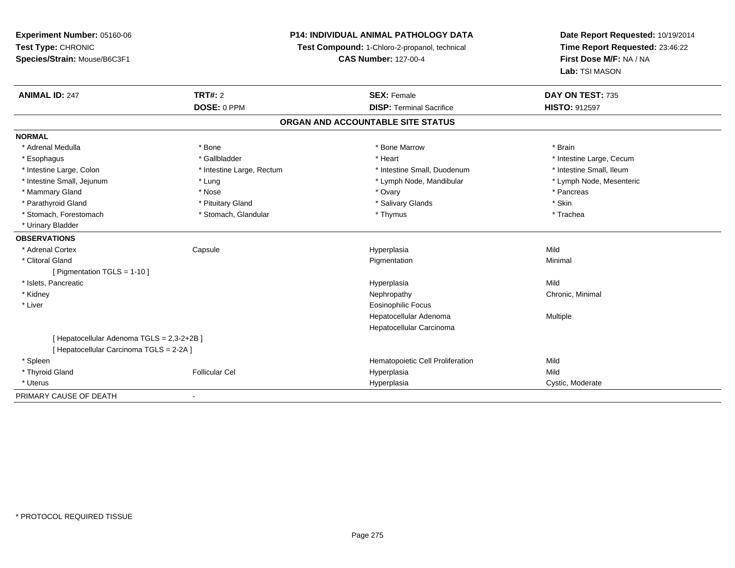**Experiment Number:** 05160-06**Test Type:** CHRONIC **Species/Strain:** Mouse/B6C3F1**P14: INDIVIDUAL ANIMAL PATHOLOGY DATATest Compound:** 1-Chloro-2-propanol, technical **CAS Number:** 127-00-4**Date Report Requested:** 10/19/2014**Time Report Requested:** 23:46:22**First Dose M/F:** NA / NA**Lab:** TSI MASON**ANIMAL ID:** 247**TRT#:** 2 **SEX:** Female **DAY ON TEST:** 735 **DOSE:** 0 PPM**DISP:** Terminal Sacrifice **HISTO:** 912597 **ORGAN AND ACCOUNTABLE SITE STATUSNORMAL**\* Adrenal Medulla \* \* Annual Medulla \* Brain \* Bone \* \* Bone Marrow \* Bone Marrow \* \* Brain \* Brain \* Brain \* Brain \* Brain \* Brain \* Brain \* Brain \* Brain \* Brain \* Brain \* Brain \* Brain \* Brain \* Brain \* Brain \* Brain \* \* Esophagus \* https://www.fragustage.com/web/2019/heart \* Heart \* Heart \* Heart \* Intestine Large, Cecum \* Intestine Large, Cecum \* Sallbladder \* The state of the state of the state of the state of the state of the state o \* Intestine Small, Ileum \* Intestine Large, Colon \* Intestine Large, Rectum \* Intestine Small, Duodenum \* Intestine Small, Duodenum \* Lymph Node, Mesenteric \* Intestine Small, Jejunum \* The material and the state of the state of the state of the state of the state of the state of the state of the state of the state of the state of the state of the state of the state of the sta \* Mammary Gland \* \* Andrew \* Nose \* \* Nose \* \* Ovary \* Ovary \* Ovary \* \* Ovary \* \* Pancreas \* \* Pancreas \* \* Pancreas \* \* Pancreas \* \* Pancreas \* \* Pancreas \* \* Pancreas \* \* Pancreas \* \* Pancreas \* \* Pancreas \* \* Pancreas \* Parathyroid Gland \* \* Pituitary Gland \* Thuitary Gland \* Salivary Glands \* Stin \* Skin \* Skin \* Skin \* Skin \* Skin \* Skin \* Skin \* Skin \* Skin \* Skin \* Skin \* Skin \* Skin \* Skin \* Skin \* Skin \* Skin \* Skin \* Skin \* Skin \* Trachea \* Stomach, Forestomach \* Thymus \* Stomach, Glandular \* Thymus \* Thymus \* Thymus \* Thymus \* Thymus \* Thymus \* Thymus \* Thymus \* Thymus \* Thymus \* Thymus \* Thymus \* Thymus \* Thymus \* Thymus \* Thymus \* Thymus \* Thymus \* Thymu \* Urinary Bladder**OBSERVATIONS** \* Adrenal Cortex Capsule Hyperplasia Mild \* Clitoral Glandd and the control of the control of the control of the Pigmentation and the control of the Minimal of the control of the control of the control of the control of the control of the control of the control of the control of [ Pigmentation TGLS = 1-10 ] \* Islets, Pancreaticc description of the control of the control of the control of the control of the control of the control of the control of the control of the control of the control of the control of the control of the control of the contro a Mild \* Kidneyy the controller of the controller of the controller of the controller of the controller of the controller of the controller of the controller of the controller of the controller of the controller of the controller of the \* Liver Eosinophilic Focus Hepatocellular Adenoma Multiple Hepatocellular Carcinoma[ Hepatocellular Adenoma TGLS = 2,3-2+2B ][ Hepatocellular Carcinoma TGLS = 2-2A ] \* Spleen Hematopoietic Cell Proliferation Mild \* Thyroid Gland Follicular Cel Hyperplasia Mild \* Uteruss and the contract of the contract of the contract of the contract of the contract of the contract of the contract of the contract of the contract of the contract of the contract of the contract of the contract of the cont Hyperplasia **Cystic, Moderate** PRIMARY CAUSE OF DEATH-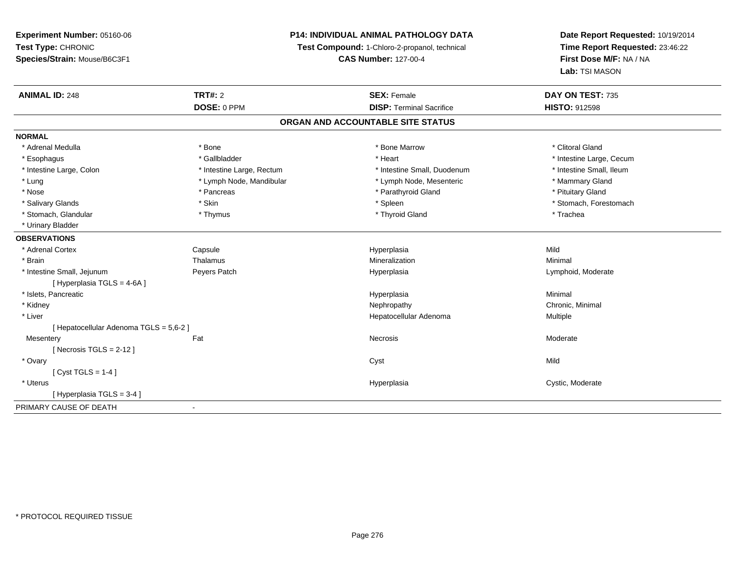### **P14: INDIVIDUAL ANIMAL PATHOLOGY DATA**

**Test Compound:** 1-Chloro-2-propanol, technical

**CAS Number:** 127-00-4

| <b>ANIMAL ID: 248</b>                 | <b>TRT#: 2</b>            | <b>SEX: Female</b>                | DAY ON TEST: 735         |  |
|---------------------------------------|---------------------------|-----------------------------------|--------------------------|--|
|                                       | DOSE: 0 PPM               | <b>DISP: Terminal Sacrifice</b>   | <b>HISTO: 912598</b>     |  |
|                                       |                           | ORGAN AND ACCOUNTABLE SITE STATUS |                          |  |
| <b>NORMAL</b>                         |                           |                                   |                          |  |
| * Adrenal Medulla                     | * Bone                    | * Bone Marrow                     | * Clitoral Gland         |  |
| * Esophagus                           | * Gallbladder             | * Heart                           | * Intestine Large, Cecum |  |
| * Intestine Large, Colon              | * Intestine Large, Rectum | * Intestine Small, Duodenum       | * Intestine Small, Ileum |  |
| * Lung                                | * Lymph Node, Mandibular  | * Lymph Node, Mesenteric          | * Mammary Gland          |  |
| * Nose                                | * Pancreas                | * Parathyroid Gland               | * Pituitary Gland        |  |
| * Salivary Glands                     | * Skin                    | * Spleen                          | * Stomach, Forestomach   |  |
| * Stomach, Glandular                  | * Thymus                  | * Thyroid Gland                   | * Trachea                |  |
| * Urinary Bladder                     |                           |                                   |                          |  |
| <b>OBSERVATIONS</b>                   |                           |                                   |                          |  |
| * Adrenal Cortex                      | Capsule                   | Hyperplasia                       | Mild                     |  |
| * Brain                               | Thalamus                  | Mineralization                    | Minimal                  |  |
| * Intestine Small, Jejunum            | Peyers Patch              | Hyperplasia                       | Lymphoid, Moderate       |  |
| [ Hyperplasia TGLS = 4-6A ]           |                           |                                   |                          |  |
| * Islets, Pancreatic                  |                           | Hyperplasia                       | Minimal                  |  |
| * Kidney                              |                           | Nephropathy                       | Chronic, Minimal         |  |
| * Liver                               |                           | Hepatocellular Adenoma            | <b>Multiple</b>          |  |
| [Hepatocellular Adenoma TGLS = 5,6-2] |                           |                                   |                          |  |
| Mesentery                             | Fat                       | Necrosis                          | Moderate                 |  |
| [Necrosis TGLS = $2-12$ ]             |                           |                                   |                          |  |
| * Ovary                               |                           | Cyst                              | Mild                     |  |
| $[Cyst TGLS = 1-4]$                   |                           |                                   |                          |  |
| * Uterus                              |                           | Hyperplasia                       | Cystic, Moderate         |  |
| [Hyperplasia TGLS = 3-4]              |                           |                                   |                          |  |
| PRIMARY CAUSE OF DEATH                | $\overline{\phantom{a}}$  |                                   |                          |  |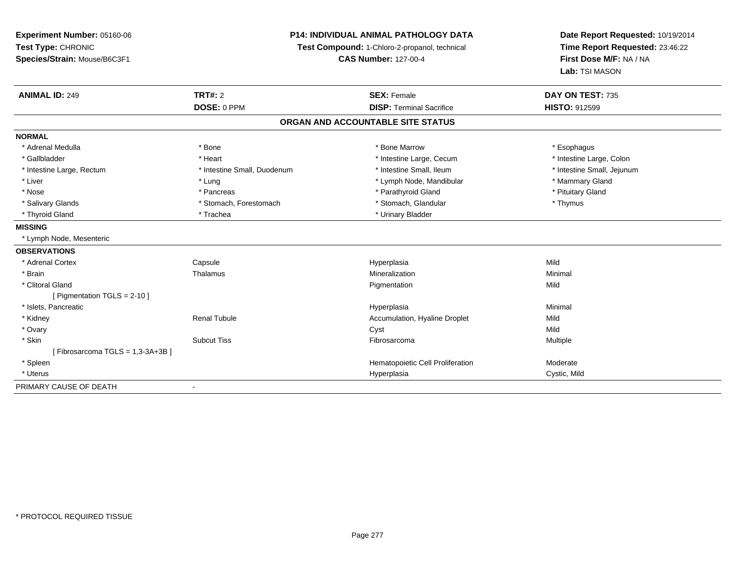| Experiment Number: 05160-06     | <b>P14: INDIVIDUAL ANIMAL PATHOLOGY DATA</b> |                                               | Date Report Requested: 10/19/2014 |
|---------------------------------|----------------------------------------------|-----------------------------------------------|-----------------------------------|
| Test Type: CHRONIC              |                                              | Test Compound: 1-Chloro-2-propanol, technical | Time Report Requested: 23:46:22   |
| Species/Strain: Mouse/B6C3F1    |                                              | <b>CAS Number: 127-00-4</b>                   | First Dose M/F: NA / NA           |
|                                 |                                              |                                               | Lab: TSI MASON                    |
| <b>ANIMAL ID: 249</b>           | <b>TRT#: 2</b>                               | <b>SEX: Female</b>                            | DAY ON TEST: 735                  |
|                                 | DOSE: 0 PPM                                  | <b>DISP: Terminal Sacrifice</b>               | <b>HISTO: 912599</b>              |
|                                 |                                              | ORGAN AND ACCOUNTABLE SITE STATUS             |                                   |
| <b>NORMAL</b>                   |                                              |                                               |                                   |
| * Adrenal Medulla               | * Bone                                       | * Bone Marrow                                 | * Esophagus                       |
| * Gallbladder                   | * Heart                                      | * Intestine Large, Cecum                      | * Intestine Large, Colon          |
| * Intestine Large, Rectum       | * Intestine Small, Duodenum                  | * Intestine Small, Ileum                      | * Intestine Small, Jejunum        |
| * Liver                         | * Lung                                       | * Lymph Node, Mandibular                      | * Mammary Gland                   |
| * Nose                          | * Pancreas                                   | * Parathyroid Gland                           | * Pituitary Gland                 |
| * Salivary Glands               | * Stomach, Forestomach                       | * Stomach, Glandular                          | * Thymus                          |
| * Thyroid Gland                 | * Trachea                                    | * Urinary Bladder                             |                                   |
| <b>MISSING</b>                  |                                              |                                               |                                   |
| * Lymph Node, Mesenteric        |                                              |                                               |                                   |
| <b>OBSERVATIONS</b>             |                                              |                                               |                                   |
| * Adrenal Cortex                | Capsule                                      | Hyperplasia                                   | Mild                              |
| * Brain                         | Thalamus                                     | Mineralization                                | Minimal                           |
| * Clitoral Gland                |                                              | Pigmentation                                  | Mild                              |
| [ Pigmentation TGLS = 2-10 ]    |                                              |                                               |                                   |
| * Islets, Pancreatic            |                                              | Hyperplasia                                   | Minimal                           |
| * Kidney                        | <b>Renal Tubule</b>                          | Accumulation, Hyaline Droplet                 | Mild                              |
| * Ovary                         |                                              | Cyst                                          | Mild                              |
| * Skin                          | <b>Subcut Tiss</b>                           | Fibrosarcoma                                  | Multiple                          |
| [Fibrosarcoma TGLS = 1,3-3A+3B] |                                              |                                               |                                   |
| * Spleen                        |                                              | Hematopoietic Cell Proliferation              | Moderate                          |
| * Uterus                        |                                              | Hyperplasia                                   | Cystic, Mild                      |
| PRIMARY CAUSE OF DEATH          | $\blacksquare$                               |                                               |                                   |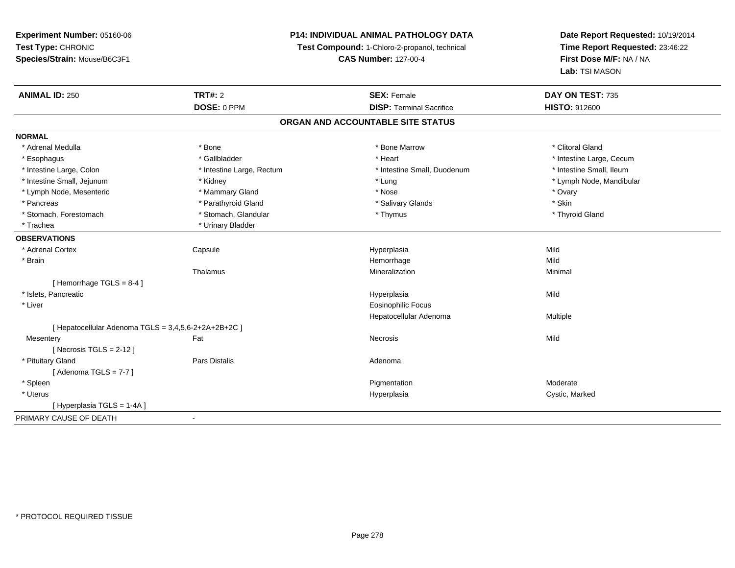### **P14: INDIVIDUAL ANIMAL PATHOLOGY DATA**

**Test Compound:** 1-Chloro-2-propanol, technical

**CAS Number:** 127-00-4

| <b>ANIMAL ID: 250</b>                                | <b>TRT#: 2</b>            | <b>SEX: Female</b>                | DAY ON TEST: 735         |  |
|------------------------------------------------------|---------------------------|-----------------------------------|--------------------------|--|
|                                                      | DOSE: 0 PPM               | <b>DISP: Terminal Sacrifice</b>   | <b>HISTO: 912600</b>     |  |
|                                                      |                           | ORGAN AND ACCOUNTABLE SITE STATUS |                          |  |
| <b>NORMAL</b>                                        |                           |                                   |                          |  |
| * Adrenal Medulla                                    | * Bone                    | * Bone Marrow                     | * Clitoral Gland         |  |
| * Esophagus                                          | * Gallbladder             | * Heart                           | * Intestine Large, Cecum |  |
| * Intestine Large, Colon                             | * Intestine Large, Rectum | * Intestine Small, Duodenum       | * Intestine Small, Ileum |  |
| * Intestine Small, Jejunum                           | * Kidney                  | * Lung                            | * Lymph Node, Mandibular |  |
| * Lymph Node, Mesenteric                             | * Mammary Gland           | * Nose                            | * Ovary                  |  |
| * Pancreas                                           | * Parathyroid Gland       | * Salivary Glands                 | * Skin                   |  |
| * Stomach, Forestomach                               | * Stomach, Glandular      | * Thymus                          | * Thyroid Gland          |  |
| * Trachea                                            | * Urinary Bladder         |                                   |                          |  |
| <b>OBSERVATIONS</b>                                  |                           |                                   |                          |  |
| * Adrenal Cortex                                     | Capsule                   | Hyperplasia                       | Mild                     |  |
| * Brain                                              |                           | Hemorrhage                        | Mild                     |  |
|                                                      | Thalamus                  | Mineralization                    | Minimal                  |  |
| [Hemorrhage TGLS = $8-4$ ]                           |                           |                                   |                          |  |
| * Islets. Pancreatic                                 |                           | Hyperplasia                       | Mild                     |  |
| * Liver                                              |                           | <b>Eosinophilic Focus</b>         |                          |  |
|                                                      |                           | Hepatocellular Adenoma            | Multiple                 |  |
| [ Hepatocellular Adenoma TGLS = 3,4,5,6-2+2A+2B+2C ] |                           |                                   |                          |  |
| Mesentery                                            | Fat                       | Necrosis                          | Mild                     |  |
| [Necrosis TGLS = $2-12$ ]                            |                           |                                   |                          |  |
| * Pituitary Gland                                    | <b>Pars Distalis</b>      | Adenoma                           |                          |  |
| [Adenoma TGLS = $7-7$ ]                              |                           |                                   |                          |  |
| * Spleen                                             |                           | Pigmentation                      | Moderate                 |  |
| * Uterus                                             |                           | Hyperplasia                       | Cystic, Marked           |  |
| [Hyperplasia TGLS = 1-4A]                            |                           |                                   |                          |  |
| PRIMARY CAUSE OF DEATH                               | $\blacksquare$            |                                   |                          |  |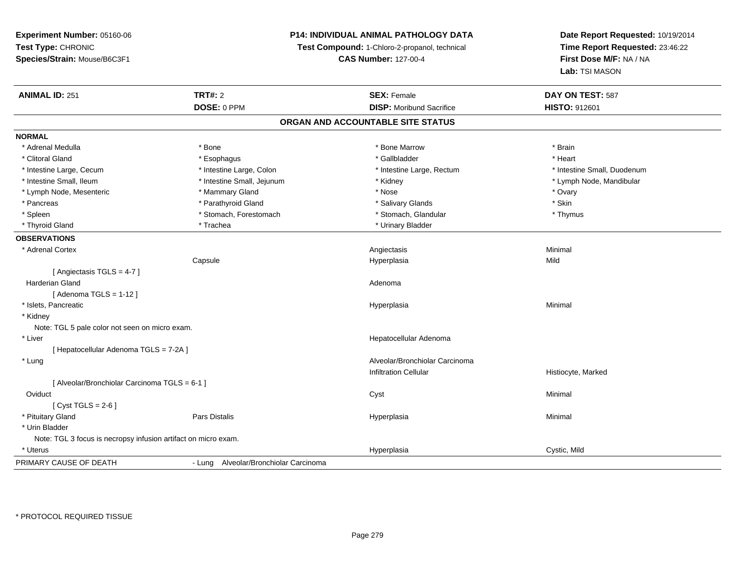**Experiment Number:** 05160-06**Test Type:** CHRONIC **Species/Strain:** Mouse/B6C3F1**P14: INDIVIDUAL ANIMAL PATHOLOGY DATATest Compound:** 1-Chloro-2-propanol, technical **CAS Number:** 127-00-4**Date Report Requested:** 10/19/2014**Time Report Requested:** 23:46:22**First Dose M/F:** NA / NA**Lab:** TSI MASON**ANIMAL ID:** 251**TRT#:** 2 **SEX:** Female **DAY ON TEST:** 587 **DOSE:** 0 PPM**DISP:** Moribund Sacrifice **HISTO:** 912601 **ORGAN AND ACCOUNTABLE SITE STATUSNORMAL**\* Adrenal Medulla \* \* Annual Medulla \* Brain \* Bone \* \* Bone Marrow \* Bone Marrow \* \* Brain \* Brain \* Brain \* Brain \* Brain \* Brain \* Brain \* Brain \* Brain \* Brain \* Brain \* Brain \* Brain \* Brain \* Brain \* Brain \* Brain \* \* Heart \* Clitoral Gland \* \* \* heart \* \* Esophagus \* \* \* \* \* \* \* \* \* \* \* Gallbladder \* \* \* \* \* \* \* \* \* \* \* \* Heart \* Intestine Large, Cecum \* Intestine Large, Colon \* Intestine Large, Rectum \* Intestine Small, Duodenum \* Intestine Small, Ileum \* Intestine Small, Jejunum \* Kidney \* Lymph Node, Mandibular\* Lymph Node, Mesenteric \* \* \* Mammary Gland \* \* Nose \* \* Nose \* \* Nose \* Ovary \* Ovary \* Ovary \* Ovary \* Ovary \* Skin \* Pancreas \* Pancreas \* Parathyroid Gland \* The state of the set of the set of the set of the set of the set of the set of the set of the set of the set of the set of the set of the set of the set of the set of the set of \* Thymus \* Spleen \* Stomach, Forestomach \* Stomach \* Stomach \* Stomach, Glandular \* Stomach, Glandular \* Thyroid Gland \* Trachea \* Trachea \* Trachea \* Urinary Bladder **OBSERVATIONS** \* Adrenal Cortex Angiectasis Minimal Capsule Hyperplasia Mild [ Angiectasis TGLS = 4-7 ] Harderian Glandd and a state of the control of the control of the control of the control of the control of the control of the control of the control of the control of the control of the control of the control of the control of the contro  $[$  Adenoma TGLS = 1-12  $]$  \* Islets, Pancreaticc description of the control of the control of the control of the control of the control of the control of the control of the control of the control of the control of the control of the control of the control of the contro a and a studies of the studies of the Minimal \* Kidney Note: TGL 5 pale color not seen on micro exam. \* Liver Hepatocellular Adenoma[ Hepatocellular Adenoma TGLS = 7-2A ] \* Lung Alveolar/Bronchiolar Carcinoma Infiltration Cellular Histiocyte, Marked[ Alveolar/Bronchiolar Carcinoma TGLS = 6-1 ]**Oviduct** t and the control of the control of the control of the control of the control of the control of the control of the control of the control of the control of the control of the control of the control of the control of the co  $[$  Cyst TGLS = 2-6  $]$  \* Pituitary Gland Pars Distalis Hyperplasia Minimal \* Urin BladderNote: TGL 3 focus is necropsy infusion artifact on micro exam. \* Uteruss and the contract of the contract of the contract of the contract of the contract of the contract of the contract of the contract of the contract of the contract of the contract of the contract of the contract of the cont Hyperplasia **Cystic, Mild** PRIMARY CAUSE OF DEATH- Lung Alveolar/Bronchiolar Carcinoma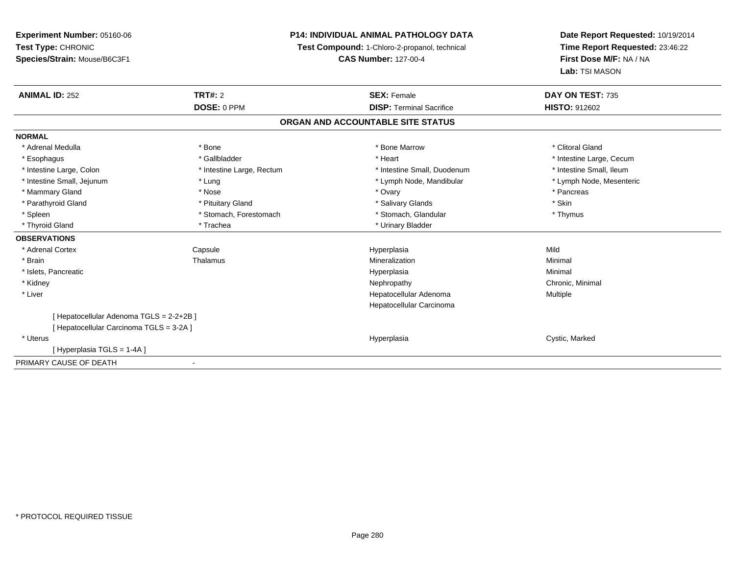### **P14: INDIVIDUAL ANIMAL PATHOLOGY DATA**

**Test Compound:** 1-Chloro-2-propanol, technical

**CAS Number:** 127-00-4

| <b>ANIMAL ID: 252</b>                    | TRT#: 2                   | <b>SEX: Female</b>                | DAY ON TEST: 735         |  |
|------------------------------------------|---------------------------|-----------------------------------|--------------------------|--|
|                                          | DOSE: 0 PPM               | <b>DISP: Terminal Sacrifice</b>   | <b>HISTO: 912602</b>     |  |
|                                          |                           | ORGAN AND ACCOUNTABLE SITE STATUS |                          |  |
| <b>NORMAL</b>                            |                           |                                   |                          |  |
| * Adrenal Medulla                        | * Bone                    | * Bone Marrow                     | * Clitoral Gland         |  |
| * Esophagus                              | * Gallbladder             | * Heart                           | * Intestine Large, Cecum |  |
| * Intestine Large, Colon                 | * Intestine Large, Rectum | * Intestine Small, Duodenum       | * Intestine Small, Ileum |  |
| * Intestine Small, Jejunum               | * Lung                    | * Lymph Node, Mandibular          | * Lymph Node, Mesenteric |  |
| * Mammary Gland                          | * Nose                    | * Ovary                           | * Pancreas               |  |
| * Parathyroid Gland                      | * Pituitary Gland         | * Salivary Glands                 | * Skin                   |  |
| * Spleen                                 | * Stomach, Forestomach    | * Stomach, Glandular              | * Thymus                 |  |
| * Thyroid Gland                          | * Trachea                 | * Urinary Bladder                 |                          |  |
| <b>OBSERVATIONS</b>                      |                           |                                   |                          |  |
| * Adrenal Cortex                         | Capsule                   | Hyperplasia                       | Mild                     |  |
| * Brain                                  | Thalamus                  | Mineralization                    | Minimal                  |  |
| * Islets, Pancreatic                     |                           | Hyperplasia                       | Minimal                  |  |
| * Kidney                                 |                           | Nephropathy                       | Chronic, Minimal         |  |
| * Liver                                  |                           | Hepatocellular Adenoma            | Multiple                 |  |
|                                          |                           | Hepatocellular Carcinoma          |                          |  |
| [ Hepatocellular Adenoma TGLS = 2-2+2B ] |                           |                                   |                          |  |
| [ Hepatocellular Carcinoma TGLS = 3-2A ] |                           |                                   |                          |  |
| * Uterus                                 |                           | Hyperplasia                       | Cystic, Marked           |  |
| [Hyperplasia TGLS = 1-4A]                |                           |                                   |                          |  |
| PRIMARY CAUSE OF DEATH                   |                           |                                   |                          |  |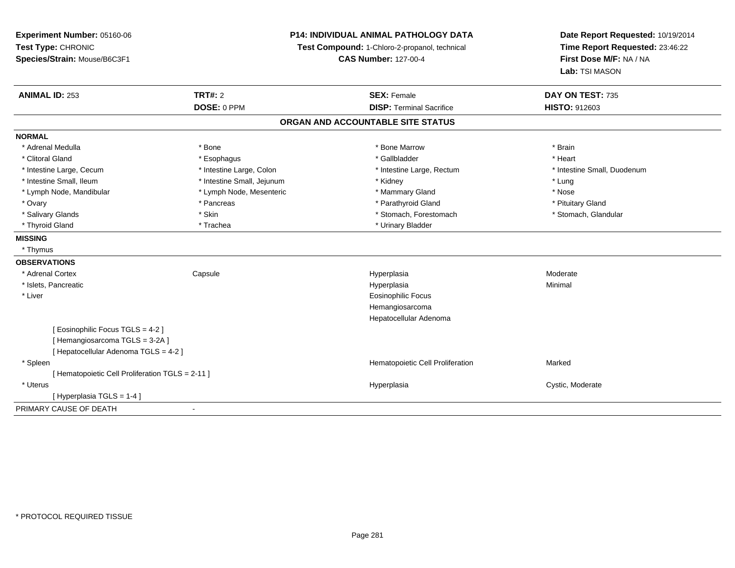| Experiment Number: 05160-06<br>Test Type: CHRONIC<br>Species/Strain: Mouse/B6C3F1 |                            | P14: INDIVIDUAL ANIMAL PATHOLOGY DATA<br>Test Compound: 1-Chloro-2-propanol, technical<br><b>CAS Number: 127-00-4</b> | Date Report Requested: 10/19/2014<br>Time Report Requested: 23:46:22<br>First Dose M/F: NA / NA<br>Lab: TSI MASON |
|-----------------------------------------------------------------------------------|----------------------------|-----------------------------------------------------------------------------------------------------------------------|-------------------------------------------------------------------------------------------------------------------|
| <b>ANIMAL ID: 253</b>                                                             | TRT#: 2                    | <b>SEX: Female</b>                                                                                                    | DAY ON TEST: 735                                                                                                  |
|                                                                                   | DOSE: 0 PPM                | <b>DISP: Terminal Sacrifice</b>                                                                                       | <b>HISTO: 912603</b>                                                                                              |
|                                                                                   |                            | ORGAN AND ACCOUNTABLE SITE STATUS                                                                                     |                                                                                                                   |
| <b>NORMAL</b>                                                                     |                            |                                                                                                                       |                                                                                                                   |
| * Adrenal Medulla                                                                 | * Bone                     | * Bone Marrow                                                                                                         | * Brain                                                                                                           |
| * Clitoral Gland                                                                  | * Esophagus                | * Gallbladder                                                                                                         | * Heart                                                                                                           |
| * Intestine Large, Cecum                                                          | * Intestine Large, Colon   | * Intestine Large, Rectum                                                                                             | * Intestine Small, Duodenum                                                                                       |
| * Intestine Small, Ileum                                                          | * Intestine Small, Jejunum | * Kidney                                                                                                              | * Lung                                                                                                            |
| * Lymph Node, Mandibular                                                          | * Lymph Node, Mesenteric   | * Mammary Gland                                                                                                       | * Nose                                                                                                            |
| * Ovary                                                                           | * Pancreas                 | * Parathyroid Gland                                                                                                   | * Pituitary Gland                                                                                                 |
| * Salivary Glands                                                                 | * Skin                     | * Stomach, Forestomach                                                                                                | * Stomach, Glandular                                                                                              |
| * Thyroid Gland                                                                   | * Trachea                  | * Urinary Bladder                                                                                                     |                                                                                                                   |
| <b>MISSING</b>                                                                    |                            |                                                                                                                       |                                                                                                                   |
| * Thymus                                                                          |                            |                                                                                                                       |                                                                                                                   |
| <b>OBSERVATIONS</b>                                                               |                            |                                                                                                                       |                                                                                                                   |
| * Adrenal Cortex                                                                  | Capsule                    | Hyperplasia                                                                                                           | Moderate                                                                                                          |
| * Islets, Pancreatic                                                              |                            | Hyperplasia                                                                                                           | Minimal                                                                                                           |
| * Liver                                                                           |                            | <b>Eosinophilic Focus</b>                                                                                             |                                                                                                                   |
|                                                                                   |                            | Hemangiosarcoma                                                                                                       |                                                                                                                   |
|                                                                                   |                            | Hepatocellular Adenoma                                                                                                |                                                                                                                   |
| [Eosinophilic Focus TGLS = 4-2]                                                   |                            |                                                                                                                       |                                                                                                                   |
| [Hemangiosarcoma TGLS = 3-2A]                                                     |                            |                                                                                                                       |                                                                                                                   |
| [Hepatocellular Adenoma TGLS = 4-2]                                               |                            |                                                                                                                       |                                                                                                                   |
| * Spleen                                                                          |                            | Hematopoietic Cell Proliferation                                                                                      | Marked                                                                                                            |
| [ Hematopoietic Cell Proliferation TGLS = 2-11 ]                                  |                            |                                                                                                                       |                                                                                                                   |
| * Uterus                                                                          |                            | Hyperplasia                                                                                                           | Cystic, Moderate                                                                                                  |
| [Hyperplasia TGLS = 1-4]                                                          |                            |                                                                                                                       |                                                                                                                   |
| PRIMARY CAUSE OF DEATH                                                            | $\blacksquare$             |                                                                                                                       |                                                                                                                   |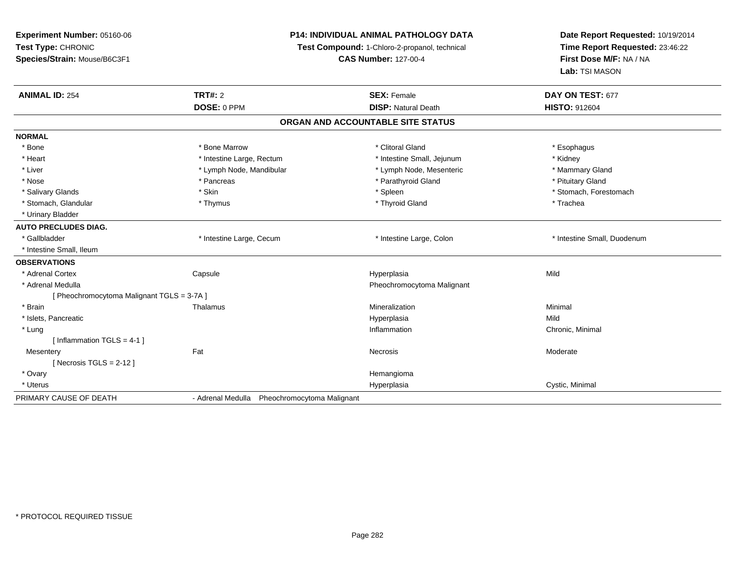**Experiment Number:** 05160-06**Test Type:** CHRONIC **Species/Strain:** Mouse/B6C3F1**P14: INDIVIDUAL ANIMAL PATHOLOGY DATATest Compound:** 1-Chloro-2-propanol, technical **CAS Number:** 127-00-4**Date Report Requested:** 10/19/2014**Time Report Requested:** 23:46:22**First Dose M/F:** NA / NA**Lab:** TSI MASON**ANIMAL ID:** 254**TRT#:** 2 **SEX:** Female **DAY ON TEST:** 677 **DOSE:** 0 PPM**DISP:** Natural Death **HISTO:** 912604 **ORGAN AND ACCOUNTABLE SITE STATUSNORMAL**\* Bone \* Bone \* Bone Marrow \* Clitoral Gland \* Esophagus \* Heart **\*** Intestine Large, Rectum \* Intestine Small, Jejunum \* Meart \* Kidney \* Kidney \* Mammary Gland \* Liver \* Lymph Node, Mandibular \* Mammary Americ \* Lymph Node, Mesenteric \* Mammary Glandibular \* Mammary Glandian \* Nose \* Pancreas \* Pancreas \* Parathyroid Gland \* Parathyroid Gland \* Pituitary Gland \* Pituitary Gland \* Pituitary Computer \* Parathyroid Gland \* Pituitary Gland \* Pituitary Gland \* Pituitary Gland \* Pituitary Gland \* Pi \* Salivary Glands \* The stomach \* Skin \* Spleen \* Spleen \* Stomach, Forestomach \* Stomach, Forestomach \* Stomach, Forestomach \* Stomach, Glandular \* Thymus \* Thymus \* Thymus \* Thyroid Gland \* Thyroid Gland \* Thachea \* Urinary Bladder**AUTO PRECLUDES DIAG.**\* Gallbladder **\* Intestine Large, Cecum** \* Intestine Large, Cecum \* Intestine Large, Colon \* <sup>\*</sup> Intestine Small, Duodenum \* Intestine Small, Ileum**OBSERVATIONS** \* Adrenal Cortex**Capsule**  Hyperplasia Mild \* Adrenal Medulla Pheochromocytoma Malignant [ Pheochromocytoma Malignant TGLS = 3-7A ] \* Brainn and the matter of the Thalamus and the Minimal of the Minimal of the Minimal of the Minimal of the Minimal o<br>Thalamus and the Minimal of the Minimal of the Minimal of the Minimal of the Minimal of the Minimal of the Min \* Islets, Pancreaticc and the control of the control of the control of the control of the control of the control of the control of the control of the control of the control of the control of the control of the control of the control of the co a Mild \* Lungg is a controlled to the controller of the controller of the controller of the controller of the controller of the controller of the controller of the controller of the controller of the controller of the controller of the [ Inflammation TGLS = 4-1 ]**Mesentery** y the control of the set of the control of the Moderate of the Moderate of the Moderate of the Moderate of the Moderate of the Moderate of the Moderate of the Moderate of the Moderate of the Moderate of the Moderate of the [ Necrosis TGLS = 2-12 ] \* Ovaryy the control of the control of the control of the control of the control of the control of the control of the control of the control of the control of the control of the control of the control of the control of the contro \* Uteruss and the contract of the contract of the contract of the contract of the contract of the contract of the contract of the contract of the contract of the contract of the contract of the contract of the contract of the cont Hyperplasia **Cystic, Minimal** PRIMARY CAUSE OF DEATH- Adrenal Medulla Pheochromocytoma Malignant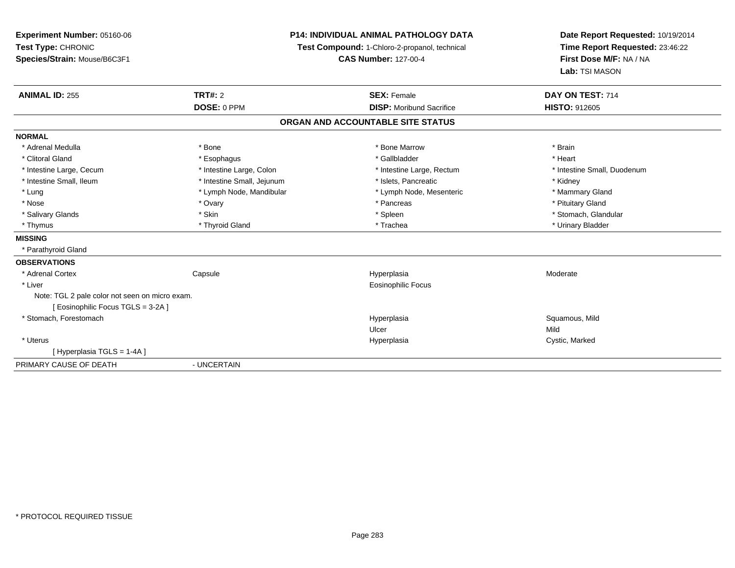| Experiment Number: 05160-06<br>Test Type: CHRONIC<br>Species/Strain: Mouse/B6C3F1 |                            | <b>P14: INDIVIDUAL ANIMAL PATHOLOGY DATA</b><br>Test Compound: 1-Chloro-2-propanol, technical<br><b>CAS Number: 127-00-4</b> | Date Report Requested: 10/19/2014<br>Time Report Requested: 23:46:22<br>First Dose M/F: NA / NA<br>Lab: TSI MASON |  |
|-----------------------------------------------------------------------------------|----------------------------|------------------------------------------------------------------------------------------------------------------------------|-------------------------------------------------------------------------------------------------------------------|--|
| <b>ANIMAL ID: 255</b>                                                             | <b>TRT#: 2</b>             | <b>SEX: Female</b>                                                                                                           | DAY ON TEST: 714                                                                                                  |  |
|                                                                                   | DOSE: 0 PPM                | <b>DISP:</b> Moribund Sacrifice                                                                                              | <b>HISTO: 912605</b>                                                                                              |  |
|                                                                                   |                            | ORGAN AND ACCOUNTABLE SITE STATUS                                                                                            |                                                                                                                   |  |
| <b>NORMAL</b>                                                                     |                            |                                                                                                                              |                                                                                                                   |  |
| * Adrenal Medulla                                                                 | * Bone                     | * Bone Marrow                                                                                                                | * Brain                                                                                                           |  |
| * Clitoral Gland                                                                  | * Esophagus                | * Gallbladder                                                                                                                | * Heart                                                                                                           |  |
| * Intestine Large, Cecum                                                          | * Intestine Large, Colon   | * Intestine Large, Rectum                                                                                                    | * Intestine Small, Duodenum                                                                                       |  |
| * Intestine Small, Ileum                                                          | * Intestine Small, Jejunum | * Islets, Pancreatic                                                                                                         | * Kidney                                                                                                          |  |
| * Lung                                                                            | * Lymph Node, Mandibular   | * Lymph Node, Mesenteric                                                                                                     | * Mammary Gland                                                                                                   |  |
| * Nose                                                                            | * Ovary                    | * Pancreas                                                                                                                   | * Pituitary Gland                                                                                                 |  |
| * Salivary Glands                                                                 | * Skin                     | * Spleen                                                                                                                     | * Stomach, Glandular                                                                                              |  |
| * Thymus                                                                          | * Thyroid Gland            | * Trachea                                                                                                                    | * Urinary Bladder                                                                                                 |  |
| <b>MISSING</b>                                                                    |                            |                                                                                                                              |                                                                                                                   |  |
| * Parathyroid Gland                                                               |                            |                                                                                                                              |                                                                                                                   |  |
| <b>OBSERVATIONS</b>                                                               |                            |                                                                                                                              |                                                                                                                   |  |
| * Adrenal Cortex                                                                  | Capsule                    | Hyperplasia                                                                                                                  | Moderate                                                                                                          |  |
| * Liver                                                                           |                            | <b>Eosinophilic Focus</b>                                                                                                    |                                                                                                                   |  |
| Note: TGL 2 pale color not seen on micro exam.                                    |                            |                                                                                                                              |                                                                                                                   |  |
| [Eosinophilic Focus TGLS = 3-2A]                                                  |                            |                                                                                                                              |                                                                                                                   |  |
| * Stomach, Forestomach                                                            |                            | Hyperplasia                                                                                                                  | Squamous, Mild                                                                                                    |  |
|                                                                                   |                            | Ulcer                                                                                                                        | Mild                                                                                                              |  |
| * Uterus                                                                          |                            | Hyperplasia                                                                                                                  | Cystic, Marked                                                                                                    |  |
| [Hyperplasia TGLS = 1-4A]                                                         |                            |                                                                                                                              |                                                                                                                   |  |
| PRIMARY CAUSE OF DEATH                                                            | - UNCERTAIN                |                                                                                                                              |                                                                                                                   |  |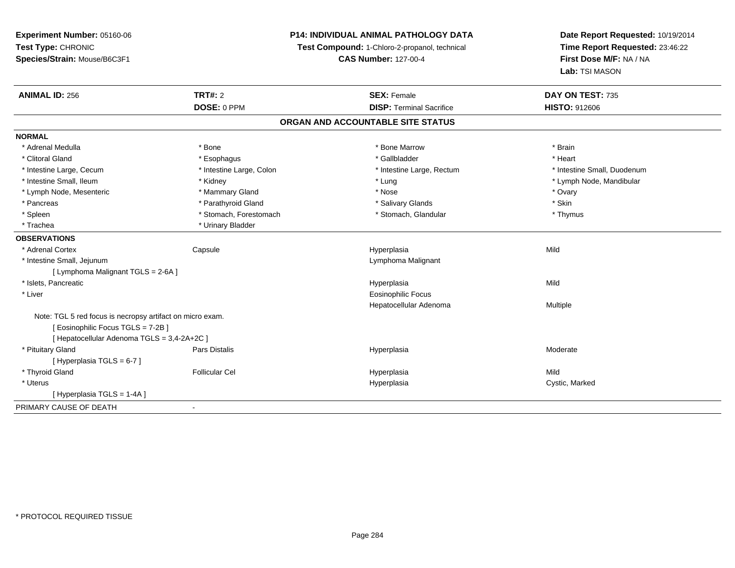**Experiment Number:** 05160-06**Test Type:** CHRONIC **Species/Strain:** Mouse/B6C3F1**P14: INDIVIDUAL ANIMAL PATHOLOGY DATATest Compound:** 1-Chloro-2-propanol, technical **CAS Number:** 127-00-4**Date Report Requested:** 10/19/2014**Time Report Requested:** 23:46:22**First Dose M/F:** NA / NA**Lab:** TSI MASON**ANIMAL ID:** 256**6 DAY ON TEST:** 735 **DOSE:** 0 PPM**DISP:** Terminal Sacrifice **HISTO:** 912606 **ORGAN AND ACCOUNTABLE SITE STATUSNORMAL**\* Adrenal Medulla \* \* Annual Medulla \* Brain \* Bone \* \* Bone Marrow \* Bone Marrow \* \* Brain \* Brain \* Brain \* Brain \* Brain \* Brain \* Brain \* Brain \* Brain \* Brain \* Brain \* Brain \* Brain \* Brain \* Brain \* Brain \* Brain \* \* Heart \* Clitoral Gland \* \* \* heart \* \* Esophagus \* \* \* \* \* \* \* \* \* \* \* Gallbladder \* \* \* \* \* \* \* \* \* \* \* \* Heart \* Intestine Large, Cecum \* Intestine Large, Colon \* Intestine Large, Thestine Large, Rectum \* Intestine Small, Duodenum \* Intestine Small, Ileum \* \* Andrew \* Kidney \* Kidney \* Andrew \* Lung \* Lung \* Lung \* Notestine Small, Ileum \* Lymph Node, Mandibular \* Lymph Node, Mesenteric \* \* \* Mammary Gland \* \* Nose \* Nose \* Ovary \* Ovary \* Ovary \* Ovary \* Ovary \* Ovary \* Ovary \* Skin \* Pancreas \* Pancreas \* Parathyroid Gland \* The state of the set of the set of the set of the set of the set of the set of the set of the set of the set of the set of the set of the set of the set of the set of the set of \* Thymus \* Spleen \* Stomach, Forestomach \* Stomach \* Stomach, Glandular \* Stomach, Glandular \* Trachea \* Urinary Bladder**OBSERVATIONS** \* Adrenal Cortex Capsule Hyperplasia Mild \* Intestine Small, Jejunum Lymphoma Malignant [ Lymphoma Malignant TGLS = 2-6A ] \* Islets, Pancreaticc description of the control of the control of the control of the control of the control of the control of the control of the control of the control of the control of the control of the control of the control of the contro a Mild \* Liver Eosinophilic Focus Hepatocellular Adenoma Multiple Note: TGL 5 red focus is necropsy artifact on micro exam.[ Eosinophilic Focus TGLS = 7-2B ][ Hepatocellular Adenoma TGLS = 3,4-2A+2C ] \* Pituitary Gland Pars Distalis Hyperplasia Moderate [ Hyperplasia TGLS = 6-7 ] \* Thyroid Gland Follicular Cel Hyperplasia Mild \* Uteruss and the contract of the contract of the contract of the contract of the contract of the contract of the contract of the contract of the contract of the contract of the contract of the contract of the contract of the cont Hyperplasia **Cystic, Marked** [ Hyperplasia TGLS = 1-4A ]PRIMARY CAUSE OF DEATH-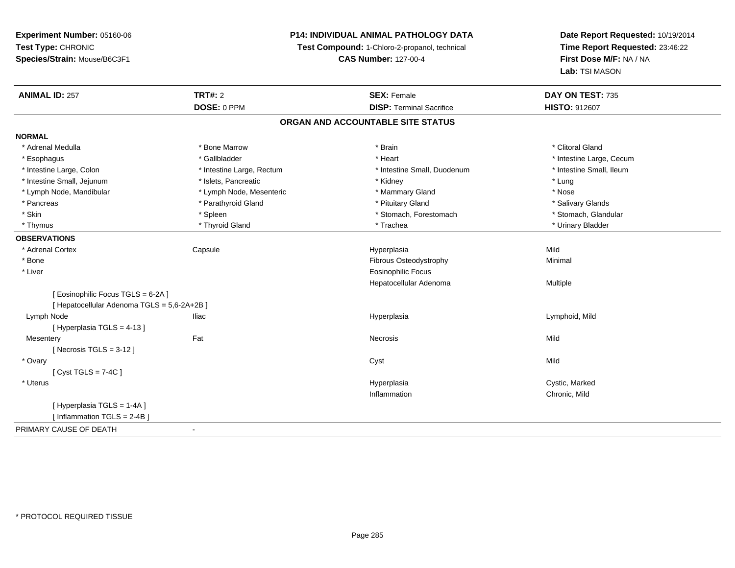### **P14: INDIVIDUAL ANIMAL PATHOLOGY DATA**

**Test Compound:** 1-Chloro-2-propanol, technical

**CAS Number:** 127-00-4

| <b>ANIMAL ID: 257</b>                     | <b>TRT#: 2</b>            | <b>SEX: Female</b>                | DAY ON TEST: 735         |  |
|-------------------------------------------|---------------------------|-----------------------------------|--------------------------|--|
|                                           | DOSE: 0 PPM               | <b>DISP: Terminal Sacrifice</b>   | <b>HISTO: 912607</b>     |  |
|                                           |                           | ORGAN AND ACCOUNTABLE SITE STATUS |                          |  |
| <b>NORMAL</b>                             |                           |                                   |                          |  |
| * Adrenal Medulla                         | * Bone Marrow             | * Brain                           | * Clitoral Gland         |  |
| * Esophagus                               | * Gallbladder             | * Heart                           | * Intestine Large, Cecum |  |
| * Intestine Large, Colon                  | * Intestine Large, Rectum | * Intestine Small, Duodenum       | * Intestine Small, Ileum |  |
| * Intestine Small, Jejunum                | * Islets, Pancreatic      | * Kidney                          | * Lung                   |  |
| * Lymph Node, Mandibular                  | * Lymph Node, Mesenteric  | * Mammary Gland                   | * Nose                   |  |
| * Pancreas                                | * Parathyroid Gland       | * Pituitary Gland                 | * Salivary Glands        |  |
| * Skin                                    | * Spleen                  | * Stomach, Forestomach            | * Stomach, Glandular     |  |
| * Thymus                                  | * Thyroid Gland           | * Trachea                         | * Urinary Bladder        |  |
| <b>OBSERVATIONS</b>                       |                           |                                   |                          |  |
| * Adrenal Cortex                          | Capsule                   | Hyperplasia                       | Mild                     |  |
| * Bone                                    |                           | Fibrous Osteodystrophy            | Minimal                  |  |
| * Liver                                   |                           | <b>Eosinophilic Focus</b>         |                          |  |
|                                           |                           | Hepatocellular Adenoma            | Multiple                 |  |
| [Eosinophilic Focus TGLS = 6-2A]          |                           |                                   |                          |  |
| [Hepatocellular Adenoma TGLS = 5,6-2A+2B] |                           |                                   |                          |  |
| Lymph Node                                | <b>Iliac</b>              | Hyperplasia                       | Lymphoid, Mild           |  |
| [Hyperplasia TGLS = 4-13]                 |                           |                                   |                          |  |
| Mesentery                                 | Fat                       | <b>Necrosis</b>                   | Mild                     |  |
| [Necrosis TGLS = $3-12$ ]                 |                           |                                   |                          |  |
| * Ovary                                   |                           | Cyst                              | Mild                     |  |
| [Cyst TGLS = $7-4C$ ]                     |                           |                                   |                          |  |
| * Uterus                                  |                           | Hyperplasia                       | Cystic, Marked           |  |
|                                           |                           | Inflammation                      | Chronic, Mild            |  |
| [Hyperplasia TGLS = 1-4A]                 |                           |                                   |                          |  |
| [Inflammation TGLS = 2-4B]                |                           |                                   |                          |  |
| PRIMARY CAUSE OF DEATH                    | $\overline{\phantom{a}}$  |                                   |                          |  |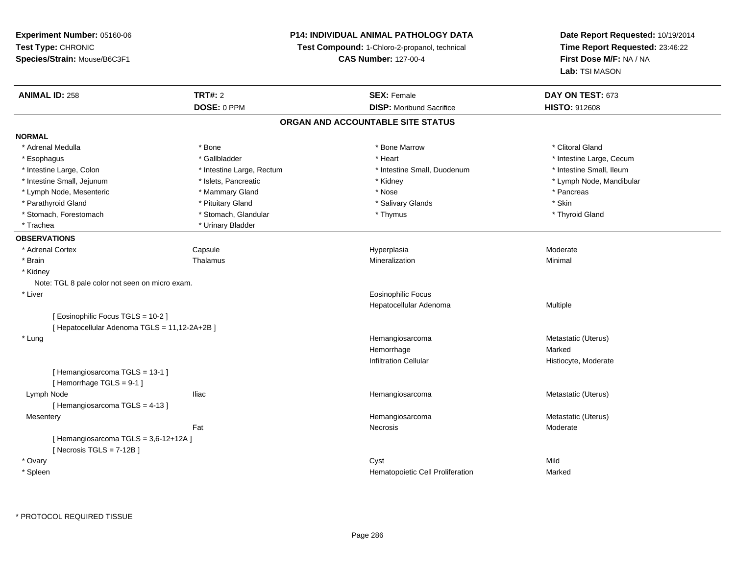### **P14: INDIVIDUAL ANIMAL PATHOLOGY DATA**

**Test Compound:** 1-Chloro-2-propanol, technical

**CAS Number:** 127-00-4

| <b>ANIMAL ID: 258</b>                          | <b>TRT#: 2</b>            | <b>SEX: Female</b>                | DAY ON TEST: 673         |
|------------------------------------------------|---------------------------|-----------------------------------|--------------------------|
|                                                | DOSE: 0 PPM               | <b>DISP:</b> Moribund Sacrifice   | <b>HISTO: 912608</b>     |
|                                                |                           | ORGAN AND ACCOUNTABLE SITE STATUS |                          |
| <b>NORMAL</b>                                  |                           |                                   |                          |
| * Adrenal Medulla                              | * Bone                    | * Bone Marrow                     | * Clitoral Gland         |
| * Esophagus                                    | * Gallbladder             | * Heart                           | * Intestine Large, Cecum |
| * Intestine Large, Colon                       | * Intestine Large, Rectum | * Intestine Small, Duodenum       | * Intestine Small, Ileum |
| * Intestine Small, Jejunum                     | * Islets, Pancreatic      | * Kidney                          | * Lymph Node, Mandibular |
| * Lymph Node, Mesenteric                       | * Mammary Gland           | * Nose                            | * Pancreas               |
| * Parathyroid Gland                            | * Pituitary Gland         | * Salivary Glands                 | * Skin                   |
| * Stomach, Forestomach                         | * Stomach, Glandular      | * Thymus                          | * Thyroid Gland          |
| * Trachea                                      | * Urinary Bladder         |                                   |                          |
| <b>OBSERVATIONS</b>                            |                           |                                   |                          |
| * Adrenal Cortex                               | Capsule                   | Hyperplasia                       | Moderate                 |
| * Brain                                        | Thalamus                  | Mineralization                    | Minimal                  |
| * Kidney                                       |                           |                                   |                          |
| Note: TGL 8 pale color not seen on micro exam. |                           |                                   |                          |
| * Liver                                        |                           | Eosinophilic Focus                |                          |
|                                                |                           | Hepatocellular Adenoma            | Multiple                 |
| [Eosinophilic Focus TGLS = 10-2]               |                           |                                   |                          |
| [ Hepatocellular Adenoma TGLS = 11,12-2A+2B ]  |                           |                                   |                          |
| * Lung                                         |                           | Hemangiosarcoma                   | Metastatic (Uterus)      |
|                                                |                           | Hemorrhage                        | Marked                   |
|                                                |                           | <b>Infiltration Cellular</b>      | Histiocyte, Moderate     |
| [Hemangiosarcoma TGLS = 13-1]                  |                           |                                   |                          |
| [Hemorrhage TGLS = 9-1]                        |                           |                                   |                          |
| Lymph Node                                     | lliac                     | Hemangiosarcoma                   | Metastatic (Uterus)      |
| [Hemangiosarcoma TGLS = 4-13]                  |                           |                                   |                          |
| Mesentery                                      |                           | Hemangiosarcoma                   | Metastatic (Uterus)      |
|                                                | Fat                       | Necrosis                          | Moderate                 |
| [Hemangiosarcoma TGLS = 3,6-12+12A]            |                           |                                   |                          |
| [Necrosis $TGLS = 7-12B$ ]                     |                           |                                   |                          |
| * Ovary                                        |                           | Cyst                              | Mild                     |
| * Spleen                                       |                           | Hematopoietic Cell Proliferation  | Marked                   |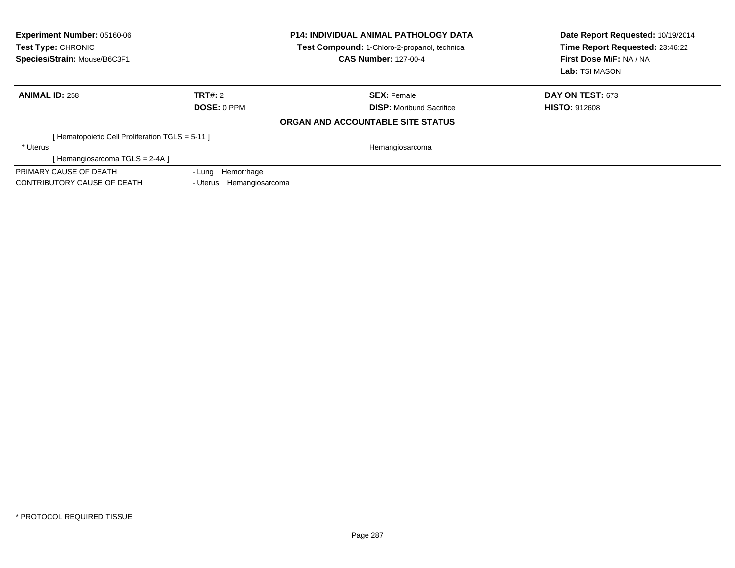| Experiment Number: 05160-06<br>Test Type: CHRONIC<br>Species/Strain: Mouse/B6C3F1 |                             | <b>P14: INDIVIDUAL ANIMAL PATHOLOGY DATA</b><br>Test Compound: 1-Chloro-2-propanol, technical<br><b>CAS Number: 127-00-4</b> | Date Report Requested: 10/19/2014<br>Time Report Requested: 23:46:22<br>First Dose M/F: NA / NA<br>Lab: TSI MASON |
|-----------------------------------------------------------------------------------|-----------------------------|------------------------------------------------------------------------------------------------------------------------------|-------------------------------------------------------------------------------------------------------------------|
| <b>ANIMAL ID: 258</b>                                                             | TRT#: 2                     | <b>SEX: Female</b>                                                                                                           | <b>DAY ON TEST: 673</b>                                                                                           |
|                                                                                   | <b>DOSE: 0 PPM</b>          | <b>DISP:</b> Moribund Sacrifice                                                                                              | <b>HISTO: 912608</b>                                                                                              |
|                                                                                   |                             | ORGAN AND ACCOUNTABLE SITE STATUS                                                                                            |                                                                                                                   |
| [Hematopoietic Cell Proliferation TGLS = 5-11]                                    |                             |                                                                                                                              |                                                                                                                   |
| * Uterus                                                                          |                             | Hemangiosarcoma                                                                                                              |                                                                                                                   |
| [Hemangiosarcoma TGLS = 2-4A]                                                     |                             |                                                                                                                              |                                                                                                                   |
| PRIMARY CAUSE OF DEATH                                                            | Hemorrhage<br>- Luna        |                                                                                                                              |                                                                                                                   |
| CONTRIBUTORY CAUSE OF DEATH                                                       | Hemangiosarcoma<br>- Uterus |                                                                                                                              |                                                                                                                   |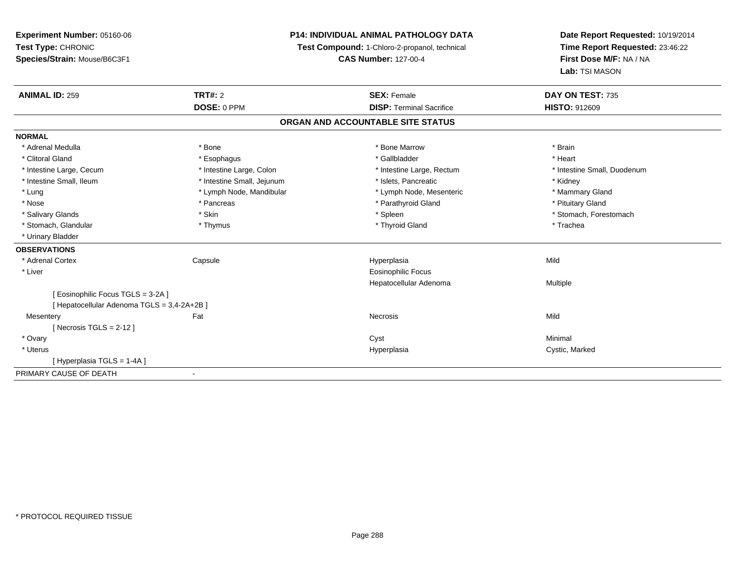**Experiment Number:** 05160-06**Test Type:** CHRONIC **Species/Strain:** Mouse/B6C3F1**P14: INDIVIDUAL ANIMAL PATHOLOGY DATATest Compound:** 1-Chloro-2-propanol, technical **CAS Number:** 127-00-4**Date Report Requested:** 10/19/2014**Time Report Requested:** 23:46:22**First Dose M/F:** NA / NA**Lab:** TSI MASON**ANIMAL ID:** 259**TRT#:** 2 **SEX:** Female **DAY ON TEST:** 735 **DOSE:** 0 PPM**DISP:** Terminal Sacrifice **HISTO:** 912609 **ORGAN AND ACCOUNTABLE SITE STATUSNORMAL**\* Adrenal Medulla \* \* Annual Medulla \* Brain \* Bone \* \* Bone Marrow \* Bone Marrow \* \* Brain \* Brain \* Brain \* Brain \* Brain \* Brain \* Brain \* Brain \* Brain \* Brain \* Brain \* Brain \* Brain \* Brain \* Brain \* Brain \* Brain \* \* Heart \* Clitoral Gland \* \* \* heart \* \* Esophagus \* \* \* \* \* \* \* \* \* \* \* Gallbladder \* \* \* \* \* \* \* \* \* \* \* \* Heart \* Intestine Large, Cecum \* Intestine Large, Colon \* Intestine Large, Rectum \* Intestine Small, Duodenum \* Intestine Small, Ileum \* **Alleman \* Intestine Small, Jejunum** \* The \* Islets, Pancreatic \* \* Kidney \* Kidney \* Mammary Gland \* Lung \* Lymph Node, Mandibular \* Mammary \* Lymph Node, Mesenteric \* Mammary Glands \* Mammary Glands \* Mammary G \* Nose \* Pancreas \* Pancreas \* Pancreas \* Parathyroid Gland \* Parathyroid Gland \* Pituitary Gland \* Pituitary Gland \* Salivary Glands \* The stomach \* Skin \* Spleen \* Spleen \* Stomach, Forestomach \* Stomach, Forestomach \* Stomach, Forestomach \* Stomach, Glandular \* Thymus \* Thymus \* Thymus \* Thyroid Gland \* Thyroid Gland \* Thachea \* Urinary Bladder**OBSERVATIONS** \* Adrenal Cortex Capsule Hyperplasia Mild \* Liver Eosinophilic Focus Hepatocellular Adenoma Multiple [ Eosinophilic Focus TGLS = 3-2A ][ Hepatocellular Adenoma TGLS = 3,4-2A+2B ]**Mesentery** y the contract of the contract of the contract of the contract of the contract of the contract of the contract of the contract of the contract of the contract of the contract of the contract of the contract of the contract  $[$  Necrosis TGLS = 2-12  $]$  \* Ovaryy the control of the control of the control of the control of the control of the control of the control of the control of the control of the control of the control of the control of the control of the control of the contro \* Uteruss and the contract of the contract of the contract of the contract of the contract of the contract of the contract of the contract of the contract of the contract of the contract of the contract of the contract of the cont Hyperplasia **Cystic, Marked** [ Hyperplasia TGLS = 1-4A ]PRIMARY CAUSE OF DEATH-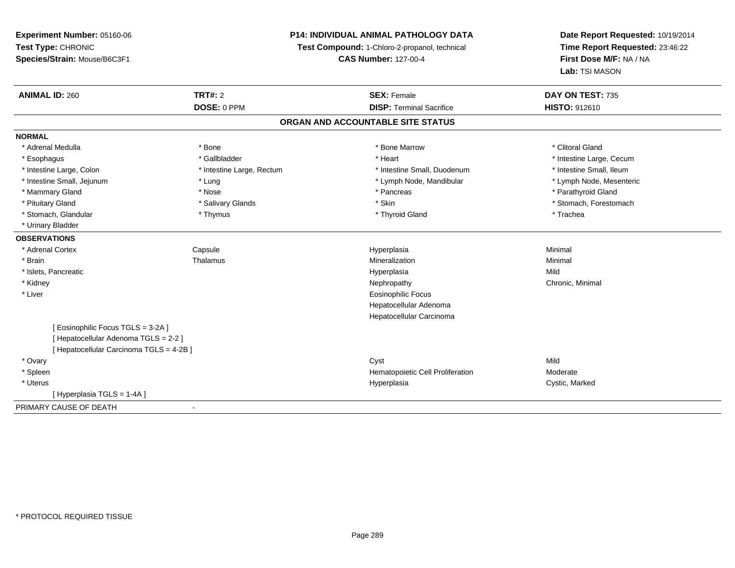# **P14: INDIVIDUAL ANIMAL PATHOLOGY DATA**

**Test Compound:** 1-Chloro-2-propanol, technical

**CAS Number:** 127-00-4

| <b>ANIMAL ID: 260</b>                  | TRT#: 2                   | <b>SEX: Female</b>                | DAY ON TEST: 735         |
|----------------------------------------|---------------------------|-----------------------------------|--------------------------|
|                                        | DOSE: 0 PPM               | <b>DISP: Terminal Sacrifice</b>   | HISTO: 912610            |
|                                        |                           | ORGAN AND ACCOUNTABLE SITE STATUS |                          |
| <b>NORMAL</b>                          |                           |                                   |                          |
| * Adrenal Medulla                      | * Bone                    | * Bone Marrow                     | * Clitoral Gland         |
| * Esophagus                            | * Gallbladder             | * Heart                           | * Intestine Large, Cecum |
| * Intestine Large, Colon               | * Intestine Large, Rectum | * Intestine Small, Duodenum       | * Intestine Small, Ileum |
| * Intestine Small, Jejunum             | * Lung                    | * Lymph Node, Mandibular          | * Lymph Node, Mesenteric |
| * Mammary Gland                        | * Nose                    | * Pancreas                        | * Parathyroid Gland      |
| * Pituitary Gland                      | * Salivary Glands         | * Skin                            | * Stomach, Forestomach   |
| * Stomach, Glandular                   | * Thymus                  | * Thyroid Gland                   | * Trachea                |
| * Urinary Bladder                      |                           |                                   |                          |
| <b>OBSERVATIONS</b>                    |                           |                                   |                          |
| * Adrenal Cortex                       | Capsule                   | Hyperplasia                       | Minimal                  |
| * Brain                                | Thalamus                  | Mineralization                    | Minimal                  |
| * Islets, Pancreatic                   |                           | Hyperplasia                       | Mild                     |
| * Kidney                               |                           | Nephropathy                       | Chronic, Minimal         |
| * Liver                                |                           | Eosinophilic Focus                |                          |
|                                        |                           | Hepatocellular Adenoma            |                          |
|                                        |                           | Hepatocellular Carcinoma          |                          |
| Eosinophilic Focus TGLS = 3-2A ]       |                           |                                   |                          |
| [Hepatocellular Adenoma TGLS = 2-2]    |                           |                                   |                          |
| [Hepatocellular Carcinoma TGLS = 4-2B] |                           |                                   |                          |
| * Ovary                                |                           | Cyst                              | Mild                     |
| * Spleen                               |                           | Hematopoietic Cell Proliferation  | Moderate                 |
| * Uterus                               |                           | Hyperplasia                       | Cystic, Marked           |
| [Hyperplasia TGLS = 1-4A]              |                           |                                   |                          |
| PRIMARY CAUSE OF DEATH                 | $\blacksquare$            |                                   |                          |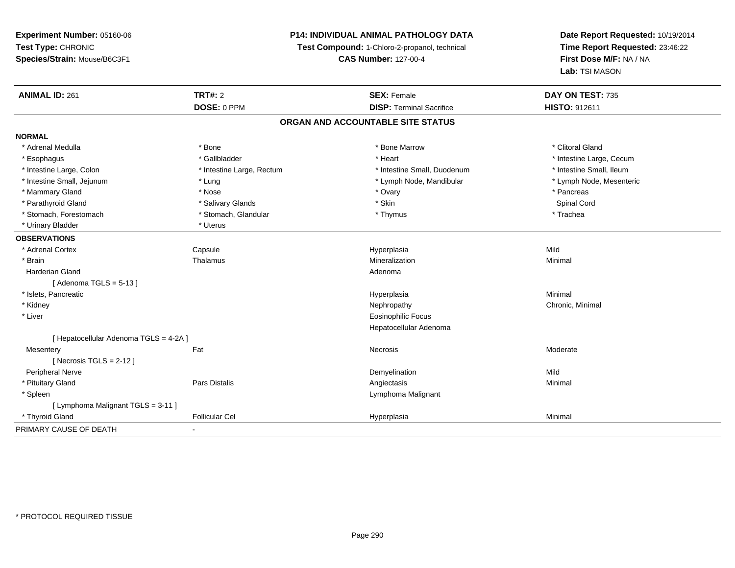# **P14: INDIVIDUAL ANIMAL PATHOLOGY DATA**

**Test Compound:** 1-Chloro-2-propanol, technical

**CAS Number:** 127-00-4

| <b>ANIMAL ID: 261</b>                  | <b>TRT#: 2</b><br>DOSE: 0 PPM | <b>SEX: Female</b><br><b>DISP: Terminal Sacrifice</b> | DAY ON TEST: 735<br>HISTO: 912611 |  |  |  |
|----------------------------------------|-------------------------------|-------------------------------------------------------|-----------------------------------|--|--|--|
| ORGAN AND ACCOUNTABLE SITE STATUS      |                               |                                                       |                                   |  |  |  |
| <b>NORMAL</b>                          |                               |                                                       |                                   |  |  |  |
| * Adrenal Medulla                      | * Bone                        | * Bone Marrow                                         | * Clitoral Gland                  |  |  |  |
| * Esophagus                            | * Gallbladder                 | * Heart                                               | * Intestine Large, Cecum          |  |  |  |
| * Intestine Large, Colon               | * Intestine Large, Rectum     | * Intestine Small, Duodenum                           | * Intestine Small, Ileum          |  |  |  |
| * Intestine Small, Jejunum             | * Lung                        | * Lymph Node, Mandibular                              | * Lymph Node, Mesenteric          |  |  |  |
| * Mammary Gland                        | * Nose                        | * Ovary                                               | * Pancreas                        |  |  |  |
| * Parathyroid Gland                    | * Salivary Glands             | * Skin                                                | Spinal Cord                       |  |  |  |
| * Stomach, Forestomach                 | * Stomach, Glandular          | * Thymus                                              | * Trachea                         |  |  |  |
| * Urinary Bladder                      | * Uterus                      |                                                       |                                   |  |  |  |
| <b>OBSERVATIONS</b>                    |                               |                                                       |                                   |  |  |  |
| * Adrenal Cortex                       | Capsule                       | Hyperplasia                                           | Mild                              |  |  |  |
| * Brain                                | Thalamus                      | Mineralization                                        | Minimal                           |  |  |  |
| <b>Harderian Gland</b>                 |                               | Adenoma                                               |                                   |  |  |  |
| [Adenoma TGLS = $5-13$ ]               |                               |                                                       |                                   |  |  |  |
| * Islets, Pancreatic                   |                               | Hyperplasia                                           | Minimal                           |  |  |  |
| * Kidney                               |                               | Nephropathy                                           | Chronic, Minimal                  |  |  |  |
| * Liver                                |                               | <b>Eosinophilic Focus</b>                             |                                   |  |  |  |
|                                        |                               | Hepatocellular Adenoma                                |                                   |  |  |  |
| [ Hepatocellular Adenoma TGLS = 4-2A ] |                               |                                                       |                                   |  |  |  |
| Mesentery                              | Fat                           | Necrosis                                              | Moderate                          |  |  |  |
| [Necrosis TGLS = $2-12$ ]              |                               |                                                       |                                   |  |  |  |
| Peripheral Nerve                       |                               | Demyelination                                         | Mild                              |  |  |  |
| * Pituitary Gland                      | <b>Pars Distalis</b>          | Angiectasis                                           | Minimal                           |  |  |  |
| * Spleen                               |                               | Lymphoma Malignant                                    |                                   |  |  |  |
| [ Lymphoma Malignant TGLS = 3-11 ]     |                               |                                                       |                                   |  |  |  |
| * Thyroid Gland                        | <b>Follicular Cel</b>         | Hyperplasia                                           | Minimal                           |  |  |  |
| PRIMARY CAUSE OF DEATH                 | $\blacksquare$                |                                                       |                                   |  |  |  |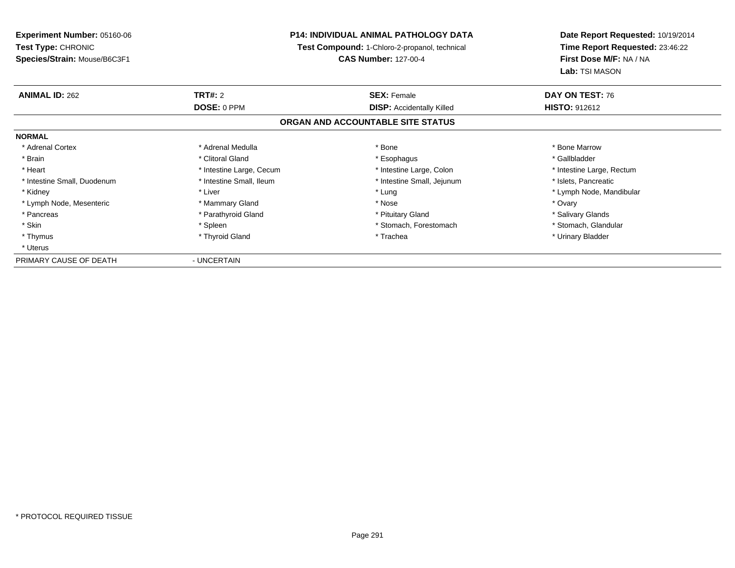**Experiment Number:** 05160-06**Test Type:** CHRONIC **Species/Strain:** Mouse/B6C3F1**P14: INDIVIDUAL ANIMAL PATHOLOGY DATA Test Compound:** 1-Chloro-2-propanol, technical **CAS Number:** 127-00-4**Date Report Requested:** 10/19/2014**Time Report Requested:** 23:46:22**First Dose M/F:** NA / NA**Lab:** TSI MASON**ANIMAL ID:** 262**TRT#:** 2 **SEX:** Female **DAY ON TEST:** 76 **DOSE:** 0 PPM**DISP:** Accidentally Killed **HISTO:** 912612 **ORGAN AND ACCOUNTABLE SITE STATUSNORMAL**\* Adrenal Cortex \* Adrenal Medulla \* Adrenal Medulla \* Bone \* Bone \* Bone \* Bone \* Bone Marrow \* Gallbladder \* Brain \* Allen the second of the second of the second of the second of the second of the second of the second terms of the second of the second of the second of the second of the second of the second of the second of the \* Heart **\*** Intestine Large, Cecum \* Intestine Large, Cecum \* Intestine Large, Colon \* <sup>\*</sup> Intestine Large, Rectum \* Intestine Small, Duodenum \* Intestine Small, Ileum \* 1ntestine Small, Intestine Small, Jejunum \* Islets, Pancreatic \* Kidney \* Noting the second term of the second term of the second term of the second term of the second term of terms and term of terms of terms and terms terms of terms of terms of terms of terms of terms of terms of ter \* Lymph Node, Mesenteric \* \* \* Mammary Gland \* \* Nose \* Nose \* \* Nose \* \* Nose \* Ovary \* Ovary \* Ovary \* Ovary \* Salivary Glands \* Pancreas \* Parathyroid Gland \* Parathyroid Gland \* \* Pituitary Gland \* Stomach, Glandular \* Skin \* Spleen \* Spleen \* Spleen \* Stomach, Forestomach \* Stomach, Forestomach \* Thymus \* Thyroid Gland \* Trachea \* Urinary Bladder \* \* UterusPRIMARY CAUSE OF DEATH- UNCERTAIN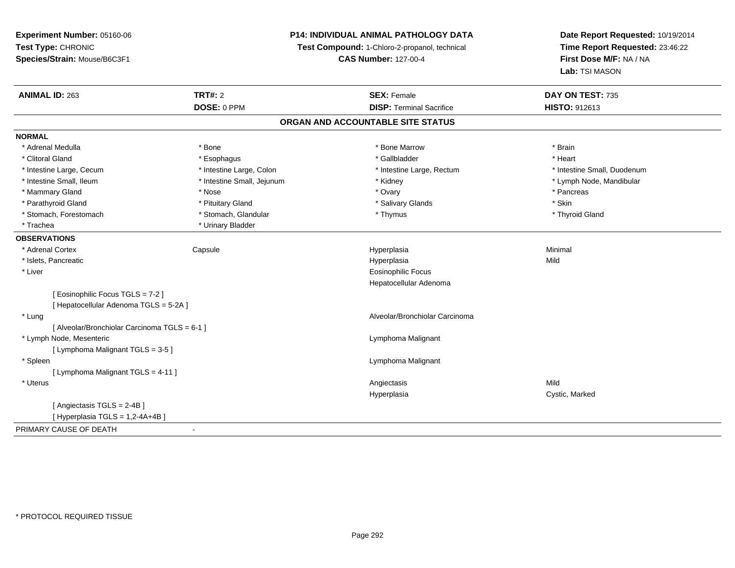**Experiment Number:** 05160-06**Test Type:** CHRONIC **Species/Strain:** Mouse/B6C3F1**P14: INDIVIDUAL ANIMAL PATHOLOGY DATATest Compound:** 1-Chloro-2-propanol, technical **CAS Number:** 127-00-4**Date Report Requested:** 10/19/2014**Time Report Requested:** 23:46:22**First Dose M/F:** NA / NA**Lab:** TSI MASON**ANIMAL ID:** 263**TRT#:** 2 **SEX:** Female **DAY ON TEST:** 735 **DOSE:** 0 PPM**DISP:** Terminal Sacrifice **HISTO:** 912613 **ORGAN AND ACCOUNTABLE SITE STATUSNORMAL**\* Adrenal Medulla \* \* Annual Medulla \* Brain \* Bone \* \* Bone Marrow \* Bone Marrow \* \* Brain \* Brain \* Brain \* Brain \* Brain \* Brain \* Brain \* Brain \* Brain \* Brain \* Brain \* Brain \* Brain \* Brain \* Brain \* Brain \* Brain \* \* Heart \* Clitoral Gland \* \* \* heart \* \* Esophagus \* \* \* \* \* \* \* \* \* \* \* Gallbladder \* \* \* \* \* \* \* \* \* \* \* \* Heart \* Intestine Large, Cecum \* Intestine Large, Colon \* Intestine Large, Rectum \* Intestine Small, Duodenum \* Intestine Small, Ileum \* Intestine Small, Jejunum \* Kidney \* Lymph Node, Mandibular\* Mammary Gland \* \* Andrew \* Nose \* \* Nose \* \* Ovary \* Ovary \* Ovary \* \* Ovary \* \* Pancreas \* \* Pancreas \* \* Pancreas \* \* Pancreas \* \* Pancreas \* \* Pancreas \* \* Pancreas \* \* Pancreas \* \* Pancreas \* \* Pancreas \* \* Pancreas \* Parathyroid Gland \* \* Pituitary Gland \* Thuitary Gland \* Salivary Glands \* Stin \* Skin \* Skin \* Skin \* Skin \* Skin \* Skin \* Skin \* Skin \* Skin \* Skin \* Skin \* Skin \* Skin \* Skin \* Skin \* Skin \* Skin \* Skin \* Skin \* Skin \* Thyroid Gland \* Stomach, Forestomach \* Thymus \* Stomach, Glandular \* Thymus \* Thymus \* Thymus \* Thymus \* Thymus \* Thymus \* Thymus \* Thymus \* Thymus \* Thymus \* Thymus \* Thymus \* Thymus \* Thymus \* Thymus \* Thymus \* Thymus \* Thymus \* Thymu \* Trachea \* Urinary Bladder**OBSERVATIONS** \* Adrenal Cortex Capsulee and the Hyperplasia Minimal Minimal Service and the Hyperplasia Minimal Minimal Service and Minimal Service and Minimal Service and Minimal Service and Minimal Service and Minimal Service and Minimal Service and Minimal \* Islets, Pancreaticc description of the control of the control of the control of the control of the control of the control of the control of the control of the control of the control of the control of the control of the control of the contro a Mild \* Liver Eosinophilic Focus Hepatocellular Adenoma[ Eosinophilic Focus TGLS = 7-2 ][ Hepatocellular Adenoma TGLS = 5-2A ] \* Lung Alveolar/Bronchiolar Carcinoma [ Alveolar/Bronchiolar Carcinoma TGLS = 6-1 ] \* Lymph Node, Mesenteric Lymphoma Malignant [ Lymphoma Malignant TGLS = 3-5 ] \* Spleen Lymphoma Malignant [ Lymphoma Malignant TGLS = 4-11 ] \* Uteruss and the control of the control of the control of the control of the control of the control of the control of the control of the control of the control of the control of the control of the control of the control of the co Cystic, Marked Hyperplasia[ Angiectasis TGLS = 2-4B ] $[$  Hyperplasia TGLS = 1,2-4A+4B  $]$ PRIMARY CAUSE OF DEATH-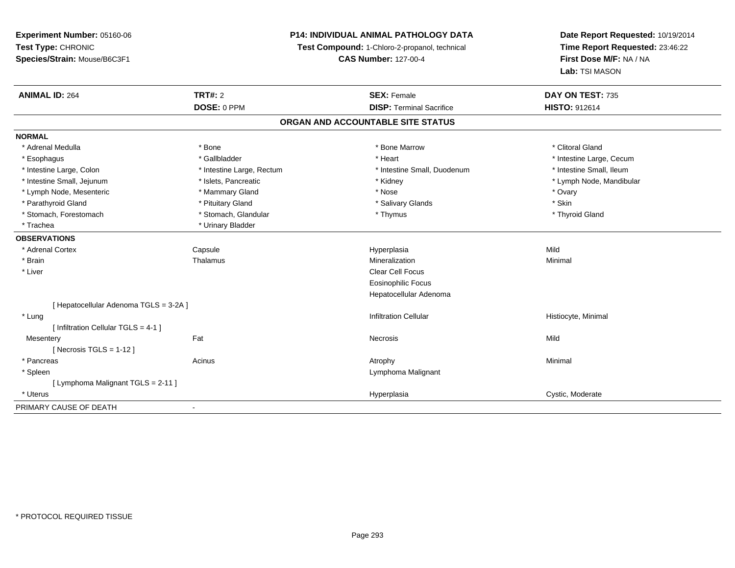**Experiment Number:** 05160-06**Test Type:** CHRONIC **Species/Strain:** Mouse/B6C3F1**P14: INDIVIDUAL ANIMAL PATHOLOGY DATATest Compound:** 1-Chloro-2-propanol, technical **CAS Number:** 127-00-4**Date Report Requested:** 10/19/2014**Time Report Requested:** 23:46:22**First Dose M/F:** NA / NA**Lab:** TSI MASON**ANIMAL ID:** 264**TRT#:** 2 **SEX:** Female **DAY ON TEST:** 735 **DOSE:** 0 PPM**DISP:** Terminal Sacrifice **HISTO:** 912614 **ORGAN AND ACCOUNTABLE SITE STATUSNORMAL**\* Adrenal Medulla \* The state of the state of the state of the state of the Marrow \* Bone Marrow \* Clitoral Gland \* Clitoral Gland \* Esophagus \* https://www.fragustage.com/web/2019/heart \* Heart \* Heart \* Heart \* Intestine Large, Cecum \* Intestine Large, Cecum \* Sallbladder \* The state of the state of the state of the state of the state of the state o \* Intestine Small. Ileum \* Intestine Large, Colon \* Intestine Large, Rectum \* Intestine Small, Duodenum \* Intestine Small, Duodenum \* Intestine Small, Jejunum \* \* \* https://www.fat.com/setter/educitions/mandibular \* Kidney \* Mandibular \* Lymph Node, Mandibular \* Lymph Node, Mandibular \* Lymph Node, Mandibular \* Lymph Node, Mesenteric \* \* Mammary Gland \* Mammary Gland \* Nose \* Nose \* Ovary \* Ovary \* Ovary \* Ovary \* Skin \* Parathyroid Gland \* **All and \* Skinner \* Pituitary Gland \* Skinner \* Skinner \* Skinner \* Skinner \* Skinner \* Skinner \* Skinner \* Skinner \* Skinner \* Skinner \* Skinner \* Skinner \* Skinner \* Skinner \* Skinner \* Skinner \* S** \* Thyroid Gland \* Stomach, Forestomach \* Thymus \* Stomach, Glandular \* Thymus \* Thymus \* Thymus \* Thymus \* Thymus \* Thymus \* Thymus \* Thymus \* Thymus \* Thymus \* Thymus \* Thymus \* Thymus \* Thymus \* Thymus \* Thymus \* Thymus \* Thymus \* Thymu \* Trachea \* Urinary Bladder**OBSERVATIONS** \* Adrenal Cortex Capsule Hyperplasia Mild \* Brainn and the Thalamus and the Minimal and Mineralization and Minimal Minimal and Minimal and Minimal and Minimal  $\mu$  \* Liver Clear Cell Focus Eosinophilic Focus Hepatocellular Adenoma[ Hepatocellular Adenoma TGLS = 3-2A ] \* Lungg is a construction Cellular Historyte, Minimal (1990) and the set of the construction Cellular Historyte, Minimal (1990) and the set of the construction Cellular (1990) and Historyte, Minimal (1990) and the construction [ Infiltration Cellular TGLS = 4-1 ]**Mesentery** y the contract of the contract of the contract of the contract of the contract of the contract of the contract of the contract of the contract of the contract of the contract of the contract of the contract of the contract  $[$  Necrosis TGLS = 1-12  $]$  \* Pancreass the control of the control of the control of the control of the control of the control of the control of the control of the control of the control of the control of the control of the control of the control of the contro \* Spleen Lymphoma Malignant [ Lymphoma Malignant TGLS = 2-11 ] \* Uteruss and the contract of the contract of the contract of the contract of the contract of the contract of the contract of the contract of the contract of the contract of the contract of the contract of the contract of the cont Hyperplasia Cystic, Moderate PRIMARY CAUSE OF DEATH

-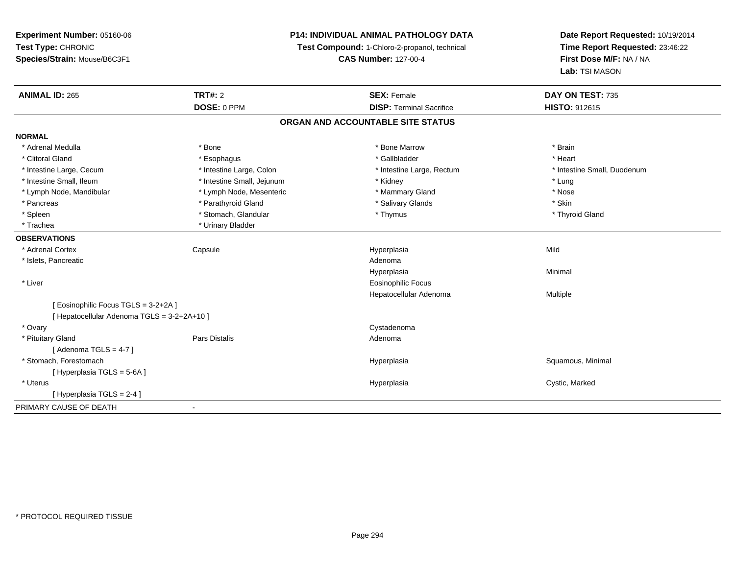| Time Report Requested: 23:46:22<br>Test Compound: 1-Chloro-2-propanol, technical<br>First Dose M/F: NA / NA<br>Species/Strain: Mouse/B6C3F1<br><b>CAS Number: 127-00-4</b><br>Lab: TSI MASON<br><b>TRT#: 2</b><br><b>SEX: Female</b><br>DAY ON TEST: 735<br>DOSE: 0 PPM<br><b>DISP: Terminal Sacrifice</b><br>HISTO: 912615<br>ORGAN AND ACCOUNTABLE SITE STATUS<br>* Adrenal Medulla<br>* Bone<br>* Bone Marrow<br>* Brain<br>* Clitoral Gland<br>* Gallbladder<br>* Heart<br>* Esophagus<br>* Intestine Large, Colon<br>* Intestine Small, Duodenum<br>* Intestine Large, Cecum<br>* Intestine Large, Rectum<br>* Intestine Small, Ileum<br>* Intestine Small, Jejunum<br>* Lung<br>* Kidney<br>* Lymph Node, Mesenteric<br>* Mammary Gland<br>* Nose<br>* Lymph Node, Mandibular<br>* Parathyroid Gland<br>* Salivary Glands<br>* Skin<br>* Pancreas<br>* Stomach, Glandular<br>* Spleen<br>* Thymus<br>* Thyroid Gland<br>* Trachea<br>* Urinary Bladder<br>* Adrenal Cortex<br>Mild<br>Capsule<br>Hyperplasia<br>* Islets, Pancreatic<br>Adenoma<br>Hyperplasia<br>Minimal | <b>Experiment Number: 05160-06</b> | <b>P14: INDIVIDUAL ANIMAL PATHOLOGY DATA</b> |  | Date Report Requested: 10/19/2014 |  |
|---------------------------------------------------------------------------------------------------------------------------------------------------------------------------------------------------------------------------------------------------------------------------------------------------------------------------------------------------------------------------------------------------------------------------------------------------------------------------------------------------------------------------------------------------------------------------------------------------------------------------------------------------------------------------------------------------------------------------------------------------------------------------------------------------------------------------------------------------------------------------------------------------------------------------------------------------------------------------------------------------------------------------------------------------------------------------------|------------------------------------|----------------------------------------------|--|-----------------------------------|--|
|                                                                                                                                                                                                                                                                                                                                                                                                                                                                                                                                                                                                                                                                                                                                                                                                                                                                                                                                                                                                                                                                                 | Test Type: CHRONIC                 |                                              |  |                                   |  |
|                                                                                                                                                                                                                                                                                                                                                                                                                                                                                                                                                                                                                                                                                                                                                                                                                                                                                                                                                                                                                                                                                 |                                    |                                              |  |                                   |  |
|                                                                                                                                                                                                                                                                                                                                                                                                                                                                                                                                                                                                                                                                                                                                                                                                                                                                                                                                                                                                                                                                                 |                                    |                                              |  |                                   |  |
|                                                                                                                                                                                                                                                                                                                                                                                                                                                                                                                                                                                                                                                                                                                                                                                                                                                                                                                                                                                                                                                                                 | <b>ANIMAL ID: 265</b>              |                                              |  |                                   |  |
|                                                                                                                                                                                                                                                                                                                                                                                                                                                                                                                                                                                                                                                                                                                                                                                                                                                                                                                                                                                                                                                                                 |                                    |                                              |  |                                   |  |
|                                                                                                                                                                                                                                                                                                                                                                                                                                                                                                                                                                                                                                                                                                                                                                                                                                                                                                                                                                                                                                                                                 |                                    |                                              |  |                                   |  |
|                                                                                                                                                                                                                                                                                                                                                                                                                                                                                                                                                                                                                                                                                                                                                                                                                                                                                                                                                                                                                                                                                 | <b>NORMAL</b>                      |                                              |  |                                   |  |
|                                                                                                                                                                                                                                                                                                                                                                                                                                                                                                                                                                                                                                                                                                                                                                                                                                                                                                                                                                                                                                                                                 |                                    |                                              |  |                                   |  |
|                                                                                                                                                                                                                                                                                                                                                                                                                                                                                                                                                                                                                                                                                                                                                                                                                                                                                                                                                                                                                                                                                 |                                    |                                              |  |                                   |  |
|                                                                                                                                                                                                                                                                                                                                                                                                                                                                                                                                                                                                                                                                                                                                                                                                                                                                                                                                                                                                                                                                                 |                                    |                                              |  |                                   |  |
|                                                                                                                                                                                                                                                                                                                                                                                                                                                                                                                                                                                                                                                                                                                                                                                                                                                                                                                                                                                                                                                                                 |                                    |                                              |  |                                   |  |
|                                                                                                                                                                                                                                                                                                                                                                                                                                                                                                                                                                                                                                                                                                                                                                                                                                                                                                                                                                                                                                                                                 |                                    |                                              |  |                                   |  |
|                                                                                                                                                                                                                                                                                                                                                                                                                                                                                                                                                                                                                                                                                                                                                                                                                                                                                                                                                                                                                                                                                 |                                    |                                              |  |                                   |  |
|                                                                                                                                                                                                                                                                                                                                                                                                                                                                                                                                                                                                                                                                                                                                                                                                                                                                                                                                                                                                                                                                                 |                                    |                                              |  |                                   |  |
|                                                                                                                                                                                                                                                                                                                                                                                                                                                                                                                                                                                                                                                                                                                                                                                                                                                                                                                                                                                                                                                                                 |                                    |                                              |  |                                   |  |
|                                                                                                                                                                                                                                                                                                                                                                                                                                                                                                                                                                                                                                                                                                                                                                                                                                                                                                                                                                                                                                                                                 | <b>OBSERVATIONS</b>                |                                              |  |                                   |  |
|                                                                                                                                                                                                                                                                                                                                                                                                                                                                                                                                                                                                                                                                                                                                                                                                                                                                                                                                                                                                                                                                                 |                                    |                                              |  |                                   |  |
|                                                                                                                                                                                                                                                                                                                                                                                                                                                                                                                                                                                                                                                                                                                                                                                                                                                                                                                                                                                                                                                                                 |                                    |                                              |  |                                   |  |
|                                                                                                                                                                                                                                                                                                                                                                                                                                                                                                                                                                                                                                                                                                                                                                                                                                                                                                                                                                                                                                                                                 |                                    |                                              |  |                                   |  |
| * Liver<br><b>Eosinophilic Focus</b>                                                                                                                                                                                                                                                                                                                                                                                                                                                                                                                                                                                                                                                                                                                                                                                                                                                                                                                                                                                                                                            |                                    |                                              |  |                                   |  |
| Hepatocellular Adenoma<br>Multiple                                                                                                                                                                                                                                                                                                                                                                                                                                                                                                                                                                                                                                                                                                                                                                                                                                                                                                                                                                                                                                              |                                    |                                              |  |                                   |  |
| [Eosinophilic Focus TGLS = 3-2+2A]                                                                                                                                                                                                                                                                                                                                                                                                                                                                                                                                                                                                                                                                                                                                                                                                                                                                                                                                                                                                                                              |                                    |                                              |  |                                   |  |
| [ Hepatocellular Adenoma TGLS = 3-2+2A+10 ]                                                                                                                                                                                                                                                                                                                                                                                                                                                                                                                                                                                                                                                                                                                                                                                                                                                                                                                                                                                                                                     |                                    |                                              |  |                                   |  |
| Cystadenoma<br>* Ovary                                                                                                                                                                                                                                                                                                                                                                                                                                                                                                                                                                                                                                                                                                                                                                                                                                                                                                                                                                                                                                                          |                                    |                                              |  |                                   |  |
| <b>Pars Distalis</b><br>* Pituitary Gland<br>Adenoma                                                                                                                                                                                                                                                                                                                                                                                                                                                                                                                                                                                                                                                                                                                                                                                                                                                                                                                                                                                                                            |                                    |                                              |  |                                   |  |
| [Adenoma TGLS = $4-7$ ]                                                                                                                                                                                                                                                                                                                                                                                                                                                                                                                                                                                                                                                                                                                                                                                                                                                                                                                                                                                                                                                         |                                    |                                              |  |                                   |  |
| * Stomach, Forestomach<br>Squamous, Minimal<br>Hyperplasia                                                                                                                                                                                                                                                                                                                                                                                                                                                                                                                                                                                                                                                                                                                                                                                                                                                                                                                                                                                                                      |                                    |                                              |  |                                   |  |
| [Hyperplasia TGLS = 5-6A]                                                                                                                                                                                                                                                                                                                                                                                                                                                                                                                                                                                                                                                                                                                                                                                                                                                                                                                                                                                                                                                       |                                    |                                              |  |                                   |  |
| * Uterus<br>Cystic, Marked<br>Hyperplasia                                                                                                                                                                                                                                                                                                                                                                                                                                                                                                                                                                                                                                                                                                                                                                                                                                                                                                                                                                                                                                       |                                    |                                              |  |                                   |  |
| [Hyperplasia TGLS = $2-4$ ]                                                                                                                                                                                                                                                                                                                                                                                                                                                                                                                                                                                                                                                                                                                                                                                                                                                                                                                                                                                                                                                     |                                    |                                              |  |                                   |  |
| $\blacksquare$                                                                                                                                                                                                                                                                                                                                                                                                                                                                                                                                                                                                                                                                                                                                                                                                                                                                                                                                                                                                                                                                  | PRIMARY CAUSE OF DEATH             |                                              |  |                                   |  |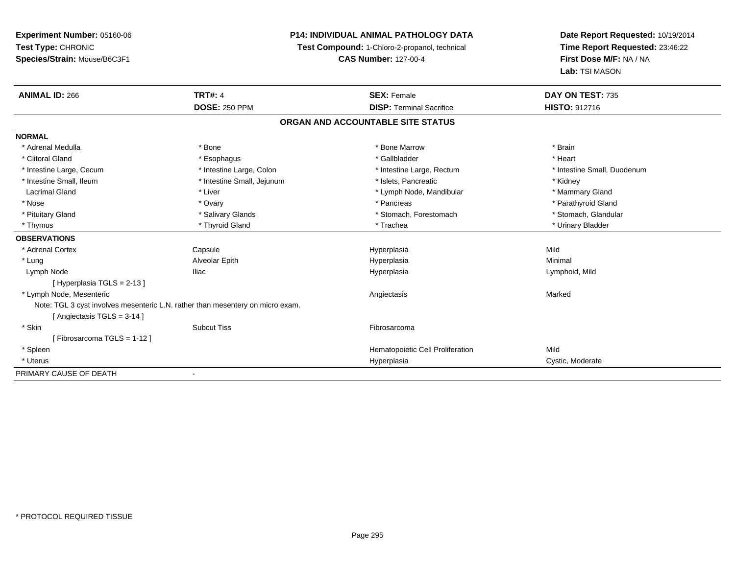# **P14: INDIVIDUAL ANIMAL PATHOLOGY DATA**

**Test Compound:** 1-Chloro-2-propanol, technical

**CAS Number:** 127-00-4

| <b>ANIMAL ID: 266</b>                                                          | <b>TRT#: 4</b>             | <b>SEX: Female</b>                | DAY ON TEST: 735            |
|--------------------------------------------------------------------------------|----------------------------|-----------------------------------|-----------------------------|
|                                                                                | <b>DOSE: 250 PPM</b>       | <b>DISP: Terminal Sacrifice</b>   | <b>HISTO: 912716</b>        |
|                                                                                |                            | ORGAN AND ACCOUNTABLE SITE STATUS |                             |
| <b>NORMAL</b>                                                                  |                            |                                   |                             |
| * Adrenal Medulla                                                              | * Bone                     | * Bone Marrow                     | * Brain                     |
| * Clitoral Gland                                                               | * Esophagus                | * Gallbladder                     | * Heart                     |
| * Intestine Large, Cecum                                                       | * Intestine Large, Colon   | * Intestine Large, Rectum         | * Intestine Small, Duodenum |
| * Intestine Small, Ileum                                                       | * Intestine Small, Jejunum | * Islets, Pancreatic              | * Kidney                    |
| <b>Lacrimal Gland</b>                                                          | * Liver                    | * Lymph Node, Mandibular          | * Mammary Gland             |
| * Nose                                                                         | * Ovary                    | * Pancreas                        | * Parathyroid Gland         |
| * Pituitary Gland                                                              | * Salivary Glands          | * Stomach, Forestomach            | * Stomach, Glandular        |
| * Thymus                                                                       | * Thyroid Gland            | * Trachea                         | * Urinary Bladder           |
| <b>OBSERVATIONS</b>                                                            |                            |                                   |                             |
| * Adrenal Cortex                                                               | Capsule                    | Hyperplasia                       | Mild                        |
| * Lung                                                                         | Alveolar Epith             | Hyperplasia                       | Minimal                     |
| Lymph Node                                                                     | lliac                      | Hyperplasia                       | Lymphoid, Mild              |
| [Hyperplasia TGLS = 2-13]                                                      |                            |                                   |                             |
| * Lymph Node, Mesenteric                                                       |                            | Angiectasis                       | Marked                      |
| Note: TGL 3 cyst involves mesenteric L.N. rather than mesentery on micro exam. |                            |                                   |                             |
| [Angiectasis TGLS = 3-14]                                                      |                            |                                   |                             |
| * Skin                                                                         | <b>Subcut Tiss</b>         | Fibrosarcoma                      |                             |
| [Fibrosarcoma TGLS = 1-12]                                                     |                            |                                   |                             |
| * Spleen                                                                       |                            | Hematopoietic Cell Proliferation  | Mild                        |
| * Uterus                                                                       |                            | Hyperplasia                       | Cystic, Moderate            |
| PRIMARY CAUSE OF DEATH                                                         |                            |                                   |                             |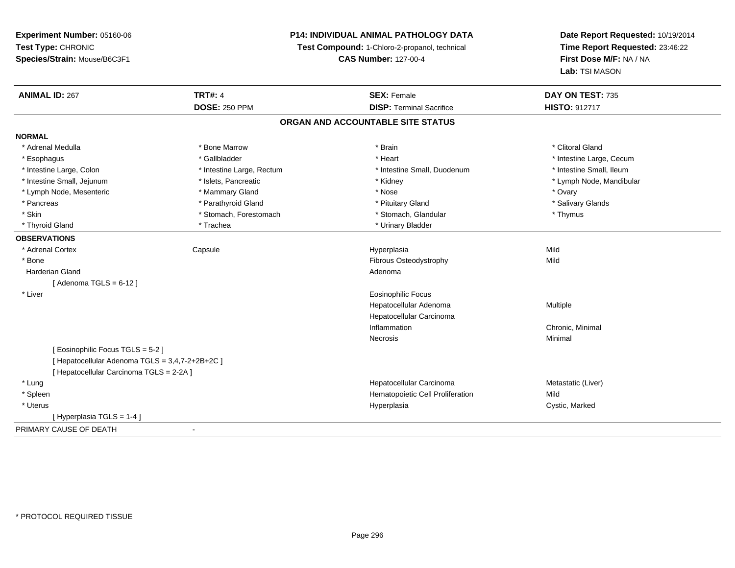**Experiment Number:** 05160-06**Test Type:** CHRONIC **Species/Strain:** Mouse/B6C3F1**P14: INDIVIDUAL ANIMAL PATHOLOGY DATATest Compound:** 1-Chloro-2-propanol, technical **CAS Number:** 127-00-4**Date Report Requested:** 10/19/2014**Time Report Requested:** 23:46:22**First Dose M/F:** NA / NA**Lab:** TSI MASON**ANIMAL ID:** 267**TRT#:** 4 **SEX:** Female **SEX: Female DAY ON TEST:** 735 **DOSE:** 250 PPM**DISP:** Terminal Sacrifice **HISTO:** 912717 **ORGAN AND ACCOUNTABLE SITE STATUSNORMAL**\* Adrenal Medulla \* The state of the state of the state of the state of the state of the state of the state of the state of the state of the state of the state of the state of the state of the state of the state of the sta \* Esophagus \* https://www.fragustage.com/web/2019/heart \* Heart \* Heart \* Heart \* Intestine Large, Cecum \* Intestine Large, Cecum \* Sallbladder \* The state of the state of the state of the state of the state of the state o \* Intestine Small. Ileum \* Intestine Large, Colon \* Intestine Large, Rectum \* Intestine Small, Duodenum \* Intestine Small, Duodenum \* Intestine Small, Jejunum \* \* \* https://www.fat.com/setter/educitions/mandibular \* Kidney \* Mandibular \* Lymph Node, Mandibular \* Lymph Node, Mandibular \* Lymph Node, Mandibular \* Lymph Node, Mesenteric \* \* \* Mammary Gland \* \* Nose \* \* Nose \* \* Nose \* Ovary \* Ovary \* Ovary \* Ovary \* Ovary \* Salivary Glands \* Pancreas \* And the section of the section of the section of the section of the section of the section of the section of the section of the section of the section of the section of the section of the section of the sectio \* Skin \* Stomach, Forestomach \* Stomach \* Stomach, Glandular \* Thymus \* Thymus \* Thyroid Gland \* Trachea \* Trachea \* Trachea \* Urinary Bladder **OBSERVATIONS** \* Adrenal Cortex Capsule Hyperplasia Mild \* BoneFibrous Osteodystrophy Mild Harderian Glandd and a state of the control of the control of the control of the control of the control of the control of the control of the control of the control of the control of the control of the control of the control of the contro  $[$  Adenoma TGLS = 6-12  $]$  \* Liver Eosinophilic Focus Hepatocellular Adenoma Multiple Hepatocellular CarcinomaInflammation Chronic, Minimal Necrosiss and the contract of the Minimal [ Eosinophilic Focus TGLS = 5-2 ][ Hepatocellular Adenoma TGLS = 3,4,7-2+2B+2C ][ Hepatocellular Carcinoma TGLS = 2-2A ]Hepatocellular Carcinoma Metastatic (Liver)

\* Lung

\* Spleen

 \* Uteruss and the contract of the contract of the contract of the contract of the contract of the contract of the contract of the contract of the contract of the contract of the contract of the contract of the contract of the cont

[ Hyperplasia TGLS = 1-4 ]

PRIMARY CAUSE OF DEATH- Hematopoietic Cell Proliferation Mild

Hyperplasia **Cystic, Marked**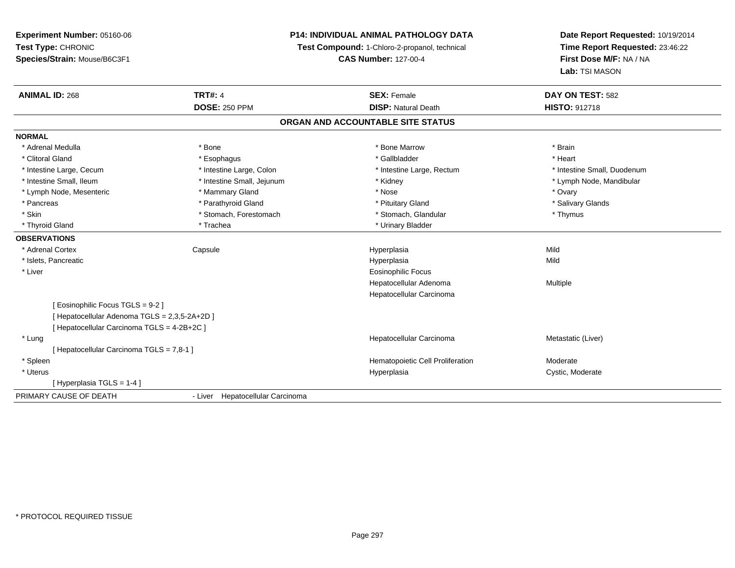# **P14: INDIVIDUAL ANIMAL PATHOLOGY DATA**

**Test Compound:** 1-Chloro-2-propanol, technical

**CAS Number:** 127-00-4

| <b>ANIMAL ID: 268</b>                       | <b>TRT#: 4</b>                   | <b>SEX: Female</b>                | DAY ON TEST: 582            |
|---------------------------------------------|----------------------------------|-----------------------------------|-----------------------------|
|                                             | <b>DOSE: 250 PPM</b>             | <b>DISP: Natural Death</b>        | <b>HISTO: 912718</b>        |
|                                             |                                  | ORGAN AND ACCOUNTABLE SITE STATUS |                             |
| <b>NORMAL</b>                               |                                  |                                   |                             |
| * Adrenal Medulla                           | * Bone                           | * Bone Marrow                     | * Brain                     |
| * Clitoral Gland                            | * Esophagus                      | * Gallbladder                     | * Heart                     |
| * Intestine Large, Cecum                    | * Intestine Large, Colon         | * Intestine Large, Rectum         | * Intestine Small, Duodenum |
| * Intestine Small, Ileum                    | * Intestine Small, Jejunum       | * Kidney                          | * Lymph Node, Mandibular    |
| * Lymph Node, Mesenteric                    | * Mammary Gland                  | * Nose                            | * Ovary                     |
| * Pancreas                                  | * Parathyroid Gland              | * Pituitary Gland                 | * Salivary Glands           |
| * Skin                                      | * Stomach, Forestomach           | * Stomach, Glandular              | * Thymus                    |
| * Thyroid Gland                             | * Trachea                        | * Urinary Bladder                 |                             |
| <b>OBSERVATIONS</b>                         |                                  |                                   |                             |
| * Adrenal Cortex                            | Capsule                          | Hyperplasia                       | Mild                        |
| * Islets, Pancreatic                        |                                  | Hyperplasia                       | Mild                        |
| * Liver                                     |                                  | <b>Eosinophilic Focus</b>         |                             |
|                                             |                                  | Hepatocellular Adenoma            | Multiple                    |
|                                             |                                  | Hepatocellular Carcinoma          |                             |
| Eosinophilic Focus TGLS = 9-2 ]             |                                  |                                   |                             |
| [Hepatocellular Adenoma TGLS = 2,3,5-2A+2D] |                                  |                                   |                             |
| [Hepatocellular Carcinoma TGLS = 4-2B+2C]   |                                  |                                   |                             |
| * Lung                                      |                                  | Hepatocellular Carcinoma          | Metastatic (Liver)          |
| [Hepatocellular Carcinoma TGLS = 7,8-1]     |                                  |                                   |                             |
| * Spleen                                    |                                  | Hematopoietic Cell Proliferation  | Moderate                    |
| * Uterus                                    |                                  | Hyperplasia                       | Cystic, Moderate            |
| Hyperplasia TGLS = 1-4 ]                    |                                  |                                   |                             |
| PRIMARY CAUSE OF DEATH                      | - Liver Hepatocellular Carcinoma |                                   |                             |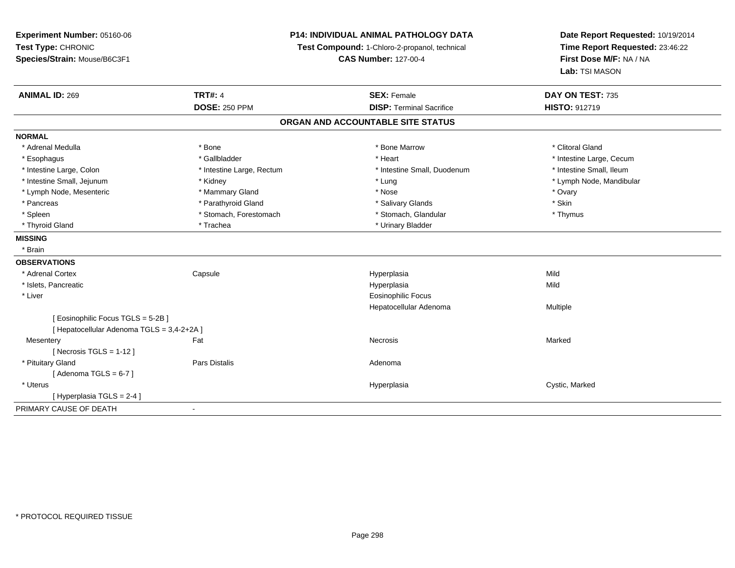**Experiment Number:** 05160-06**Test Type:** CHRONIC **Species/Strain:** Mouse/B6C3F1**P14: INDIVIDUAL ANIMAL PATHOLOGY DATATest Compound:** 1-Chloro-2-propanol, technical **CAS Number:** 127-00-4**Date Report Requested:** 10/19/2014**Time Report Requested:** 23:46:22**First Dose M/F:** NA / NA**Lab:** TSI MASON**ANIMAL ID:** 269**TRT#:** 4 **SEX:** Female **SEX: Female DAY ON TEST:** 735 **DOSE:** 250 PPM**DISP:** Terminal Sacrifice **HISTO:** 912719 **ORGAN AND ACCOUNTABLE SITE STATUSNORMAL**\* Adrenal Medulla \* The state of the state of the state of the state of the Marrow \* Bone Marrow \* Clitoral Gland \* Clitoral Gland \* Esophagus \* https://www.fragustage.com/web/2019/heart \* Heart \* Heart \* Heart \* Intestine Large, Cecum \* Intestine Large, Cecum \* Sallbladder \* The state of the state of the state of the state of the state of the state o \* Intestine Small, Ileum \* Intestine Large, Colon \* Intestine Large, Rectum \* Intestine Small, Duodenum \* Intestine Small, Duodenum \* Intestine Small, Jejunum \* Kidney \* Lung \* Lymph Node, Mandibular\* Lymph Node, Mesenteric \* \* \* Mammary Gland \* \* Nose \* Nose \* Ovary \* Ovary \* Ovary \* Ovary \* Ovary \* Ovary \* Ovary \* Skin \* Pancreas \* Pancreas \* Parathyroid Gland \* The state of the set of the set of the set of the set of the set of the set of the set of the set of the set of the set of the set of the set of the set of the set of the set of \* Thymus \* Spleen \* Stomach, Forestomach \* Stomach \* Stomach, Glandular \* Stomach, Glandular \* Thyroid Gland \* Trachea \* Trachea \* Trachea \* Urinary Bladder **MISSING** \* Brain**OBSERVATIONS** \* Adrenal Cortex**Capsule**  Hyperplasia Mild \* Islets, Pancreaticc and the control of the control of the control of the control of the control of the control of the control of the control of the control of the control of the control of the control of the control of the control of the co a Mild \* Liver Eosinophilic Focus Hepatocellular Adenoma Multiple [ Eosinophilic Focus TGLS = 5-2B ][ Hepatocellular Adenoma TGLS = 3,4-2+2A ]**Mesentery** y the controller of the state of the controller of the Marked State of the Marked State of the Marked State of  $[$  Necrosis TGLS = 1-12  $]$  \* Pituitary Glandd and the set of Pars Distalis and the Second Adenomal Adenomal Second Second Pars Distallis  $[$  Adenoma TGLS = 6-7  $]$  \* Uteruss and the control of the control of the control of the control of the control of the control of the control of the control of the control of the control of the control of the control of the control of the control of the co Cystic, Marked [ Hyperplasia TGLS = 2-4 ]PRIMARY CAUSE OF DEATH-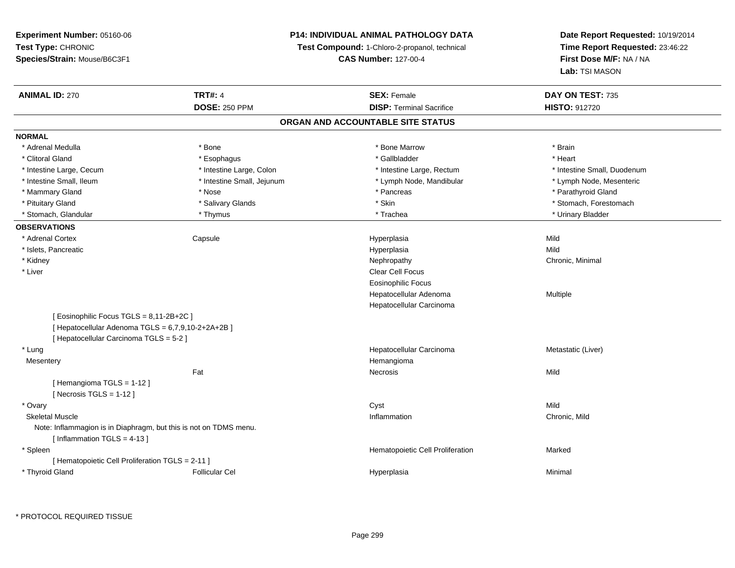# **P14: INDIVIDUAL ANIMAL PATHOLOGY DATA**

**Test Compound:** 1-Chloro-2-propanol, technical

**CAS Number:** 127-00-4

**Date Report Requested:** 10/19/2014 **Time Report Requested:** 23:46:22**First Dose M/F:** NA / NA**Lab:** TSI MASON

| <b>ANIMAL ID: 270</b>                                             | <b>TRT#: 4</b>             | <b>SEX: Female</b>                | DAY ON TEST: 735            |
|-------------------------------------------------------------------|----------------------------|-----------------------------------|-----------------------------|
|                                                                   | <b>DOSE: 250 PPM</b>       | <b>DISP: Terminal Sacrifice</b>   | <b>HISTO: 912720</b>        |
|                                                                   |                            | ORGAN AND ACCOUNTABLE SITE STATUS |                             |
| <b>NORMAL</b>                                                     |                            |                                   |                             |
| * Adrenal Medulla                                                 | * Bone                     | * Bone Marrow                     | * Brain                     |
| * Clitoral Gland                                                  | * Esophagus                | * Gallbladder                     | * Heart                     |
| * Intestine Large, Cecum                                          | * Intestine Large, Colon   | * Intestine Large, Rectum         | * Intestine Small, Duodenum |
| * Intestine Small, Ileum                                          | * Intestine Small, Jejunum | * Lymph Node, Mandibular          | * Lymph Node, Mesenteric    |
| * Mammary Gland                                                   | * Nose                     | * Pancreas                        | * Parathyroid Gland         |
| * Pituitary Gland                                                 | * Salivary Glands          | * Skin                            | * Stomach, Forestomach      |
| * Stomach, Glandular                                              | * Thymus                   | * Trachea                         | * Urinary Bladder           |
| <b>OBSERVATIONS</b>                                               |                            |                                   |                             |
| * Adrenal Cortex                                                  | Capsule                    | Hyperplasia                       | Mild                        |
| * Islets, Pancreatic                                              |                            | Hyperplasia                       | Mild                        |
| * Kidney                                                          |                            | Nephropathy                       | Chronic, Minimal            |
| * Liver                                                           |                            | Clear Cell Focus                  |                             |
|                                                                   |                            | <b>Eosinophilic Focus</b>         |                             |
|                                                                   |                            | Hepatocellular Adenoma            | Multiple                    |
|                                                                   |                            | Hepatocellular Carcinoma          |                             |
| [ Eosinophilic Focus TGLS = 8,11-2B+2C ]                          |                            |                                   |                             |
| [ Hepatocellular Adenoma TGLS = 6,7,9,10-2+2A+2B ]                |                            |                                   |                             |
| [ Hepatocellular Carcinoma TGLS = 5-2 ]                           |                            |                                   |                             |
| * Lung                                                            |                            | Hepatocellular Carcinoma          | Metastatic (Liver)          |
| Mesentery                                                         |                            | Hemangioma                        |                             |
|                                                                   | Fat                        | <b>Necrosis</b>                   | Mild                        |
| [Hemangioma TGLS = 1-12]                                          |                            |                                   |                             |
| [ Necrosis TGLS = $1-12$ ]                                        |                            |                                   |                             |
| * Ovary                                                           |                            | Cyst                              | Mild                        |
| <b>Skeletal Muscle</b>                                            |                            | Inflammation                      | Chronic, Mild               |
| Note: Inflammagion is in Diaphragm, but this is not on TDMS menu. |                            |                                   |                             |
| [Inflammation $TGLS = 4-13$ ]                                     |                            |                                   |                             |
| * Spleen                                                          |                            | Hematopoietic Cell Proliferation  | Marked                      |
| [ Hematopoietic Cell Proliferation TGLS = 2-11 ]                  |                            |                                   |                             |
| * Thyroid Gland                                                   | <b>Follicular Cel</b>      | Hyperplasia                       | Minimal                     |

\* PROTOCOL REQUIRED TISSUE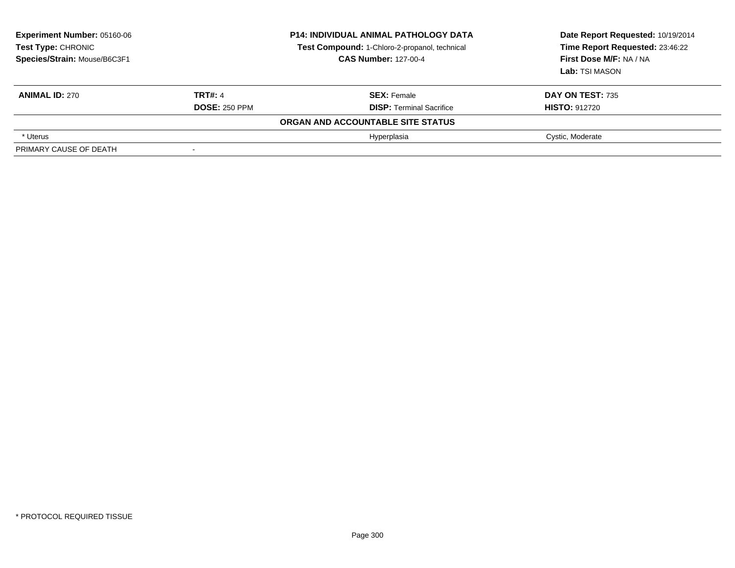| <b>Experiment Number: 05160-06</b><br>Test Type: CHRONIC<br>Species/Strain: Mouse/B6C3F1 | <b>P14: INDIVIDUAL ANIMAL PATHOLOGY DATA</b><br>Test Compound: 1-Chloro-2-propanol, technical<br><b>CAS Number: 127-00-4</b> |                                   | Date Report Requested: 10/19/2014<br>Time Report Requested: 23:46:22<br>First Dose M/F: NA / NA<br><b>Lab:</b> TSI MASON |
|------------------------------------------------------------------------------------------|------------------------------------------------------------------------------------------------------------------------------|-----------------------------------|--------------------------------------------------------------------------------------------------------------------------|
| <b>ANIMAL ID: 270</b>                                                                    | <b>TRT#: 4</b>                                                                                                               | <b>SEX: Female</b>                | <b>DAY ON TEST: 735</b>                                                                                                  |
|                                                                                          | <b>DOSE: 250 PPM</b>                                                                                                         | <b>DISP: Terminal Sacrifice</b>   | <b>HISTO: 912720</b>                                                                                                     |
|                                                                                          |                                                                                                                              | ORGAN AND ACCOUNTABLE SITE STATUS |                                                                                                                          |
| * Uterus                                                                                 |                                                                                                                              | Hyperplasia                       | Cystic, Moderate                                                                                                         |
| PRIMARY CAUSE OF DEATH                                                                   |                                                                                                                              |                                   |                                                                                                                          |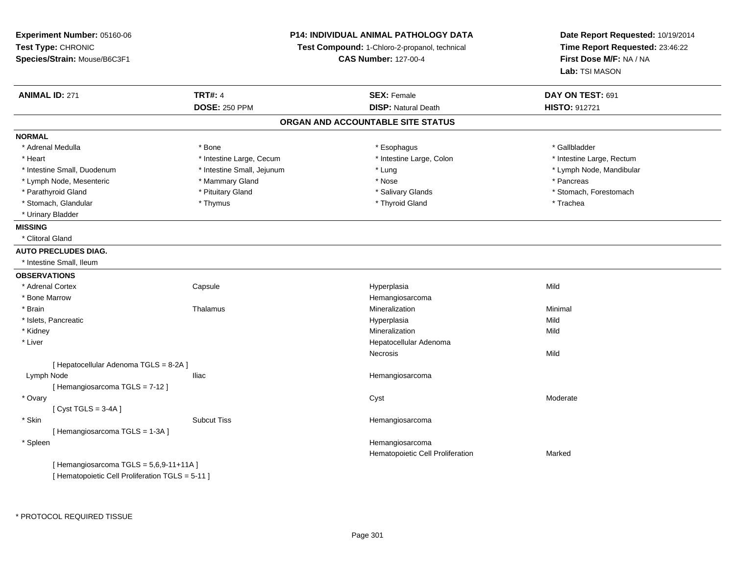| Experiment Number: 05160-06<br>Test Type: CHRONIC<br>Species/Strain: Mouse/B6C3F1 | <b>P14: INDIVIDUAL ANIMAL PATHOLOGY DATA</b><br>Test Compound: 1-Chloro-2-propanol, technical<br><b>CAS Number: 127-00-4</b> |                                   | Date Report Requested: 10/19/2014<br>Time Report Requested: 23:46:22<br>First Dose M/F: NA / NA<br>Lab: TSI MASON |  |
|-----------------------------------------------------------------------------------|------------------------------------------------------------------------------------------------------------------------------|-----------------------------------|-------------------------------------------------------------------------------------------------------------------|--|
| <b>ANIMAL ID: 271</b>                                                             | <b>TRT#: 4</b>                                                                                                               | <b>SEX: Female</b>                | DAY ON TEST: 691                                                                                                  |  |
|                                                                                   | <b>DOSE: 250 PPM</b>                                                                                                         | <b>DISP: Natural Death</b>        | HISTO: 912721                                                                                                     |  |
|                                                                                   |                                                                                                                              | ORGAN AND ACCOUNTABLE SITE STATUS |                                                                                                                   |  |
| <b>NORMAL</b>                                                                     |                                                                                                                              |                                   |                                                                                                                   |  |
| * Adrenal Medulla                                                                 | * Bone                                                                                                                       | * Esophagus                       | * Gallbladder                                                                                                     |  |
| * Heart                                                                           | * Intestine Large, Cecum                                                                                                     | * Intestine Large, Colon          | * Intestine Large, Rectum                                                                                         |  |
| * Intestine Small, Duodenum                                                       | * Intestine Small, Jejunum                                                                                                   | * Lung                            | * Lymph Node, Mandibular                                                                                          |  |
| * Lymph Node, Mesenteric                                                          | * Mammary Gland                                                                                                              | * Nose                            | * Pancreas                                                                                                        |  |
| * Parathyroid Gland                                                               | * Pituitary Gland                                                                                                            | * Salivary Glands                 | * Stomach, Forestomach                                                                                            |  |
| * Stomach, Glandular                                                              | * Thymus                                                                                                                     | * Thyroid Gland                   | * Trachea                                                                                                         |  |
| * Urinary Bladder                                                                 |                                                                                                                              |                                   |                                                                                                                   |  |
| <b>MISSING</b>                                                                    |                                                                                                                              |                                   |                                                                                                                   |  |
| * Clitoral Gland                                                                  |                                                                                                                              |                                   |                                                                                                                   |  |
| <b>AUTO PRECLUDES DIAG.</b>                                                       |                                                                                                                              |                                   |                                                                                                                   |  |
| * Intestine Small, Ileum                                                          |                                                                                                                              |                                   |                                                                                                                   |  |
| <b>OBSERVATIONS</b>                                                               |                                                                                                                              |                                   |                                                                                                                   |  |
| * Adrenal Cortex                                                                  | Capsule                                                                                                                      | Hyperplasia                       | Mild                                                                                                              |  |
| * Bone Marrow                                                                     |                                                                                                                              | Hemangiosarcoma                   |                                                                                                                   |  |
| * Brain                                                                           | Thalamus                                                                                                                     | Mineralization                    | Minimal                                                                                                           |  |
| * Islets, Pancreatic                                                              |                                                                                                                              | Hyperplasia                       | Mild                                                                                                              |  |
| * Kidney                                                                          |                                                                                                                              | Mineralization                    | Mild                                                                                                              |  |
| * Liver                                                                           |                                                                                                                              | Hepatocellular Adenoma            |                                                                                                                   |  |
|                                                                                   |                                                                                                                              | Necrosis                          | Mild                                                                                                              |  |
| [ Hepatocellular Adenoma TGLS = 8-2A ]                                            |                                                                                                                              |                                   |                                                                                                                   |  |
| Lymph Node                                                                        | <b>Iliac</b>                                                                                                                 | Hemangiosarcoma                   |                                                                                                                   |  |
| [Hemangiosarcoma TGLS = 7-12]                                                     |                                                                                                                              |                                   |                                                                                                                   |  |
| * Ovary                                                                           |                                                                                                                              | Cyst                              | Moderate                                                                                                          |  |
| [Cyst TGLS = $3-4A$ ]                                                             |                                                                                                                              |                                   |                                                                                                                   |  |
| * Skin                                                                            | <b>Subcut Tiss</b>                                                                                                           | Hemangiosarcoma                   |                                                                                                                   |  |
| [Hemangiosarcoma TGLS = 1-3A]                                                     |                                                                                                                              |                                   |                                                                                                                   |  |
| * Spleen                                                                          |                                                                                                                              | Hemangiosarcoma                   |                                                                                                                   |  |
|                                                                                   |                                                                                                                              | Hematopoietic Cell Proliferation  | Marked                                                                                                            |  |
| [Hemangiosarcoma TGLS = 5,6,9-11+11A]                                             |                                                                                                                              |                                   |                                                                                                                   |  |

[ Hematopoietic Cell Proliferation TGLS = 5-11 ]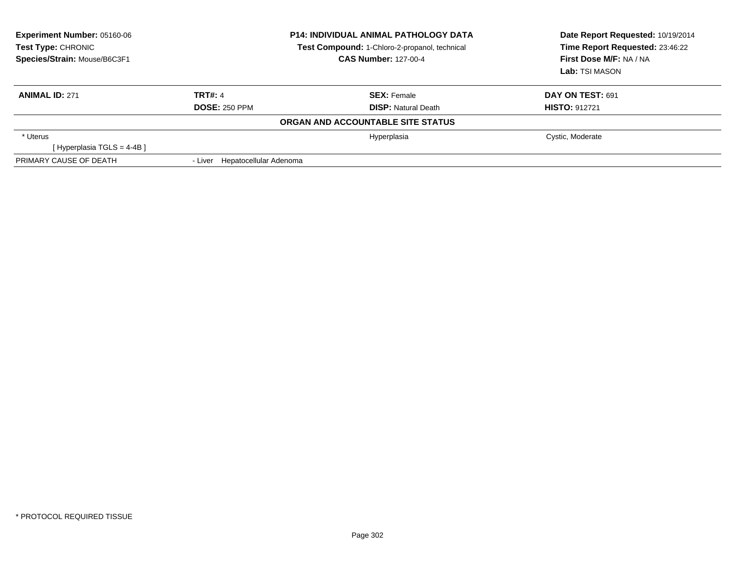| <b>Experiment Number: 05160-06</b><br>Test Type: CHRONIC<br>Species/Strain: Mouse/B6C3F1 |                                | <b>P14: INDIVIDUAL ANIMAL PATHOLOGY DATA</b><br>Test Compound: 1-Chloro-2-propanol, technical<br><b>CAS Number: 127-00-4</b> | Date Report Requested: 10/19/2014<br>Time Report Requested: 23:46:22<br>First Dose M/F: NA / NA<br>Lab: TSI MASON |
|------------------------------------------------------------------------------------------|--------------------------------|------------------------------------------------------------------------------------------------------------------------------|-------------------------------------------------------------------------------------------------------------------|
| <b>ANIMAL ID: 271</b>                                                                    | <b>TRT#: 4</b>                 | <b>SEX:</b> Female                                                                                                           | DAY ON TEST: 691                                                                                                  |
|                                                                                          | <b>DOSE: 250 PPM</b>           | <b>DISP:</b> Natural Death                                                                                                   | <b>HISTO: 912721</b>                                                                                              |
|                                                                                          |                                | ORGAN AND ACCOUNTABLE SITE STATUS                                                                                            |                                                                                                                   |
| * Uterus                                                                                 |                                | Hyperplasia                                                                                                                  | Cystic, Moderate                                                                                                  |
| [Hyperplasia TGLS = 4-4B]                                                                |                                |                                                                                                                              |                                                                                                                   |
| PRIMARY CAUSE OF DEATH                                                                   | - Liver Hepatocellular Adenoma |                                                                                                                              |                                                                                                                   |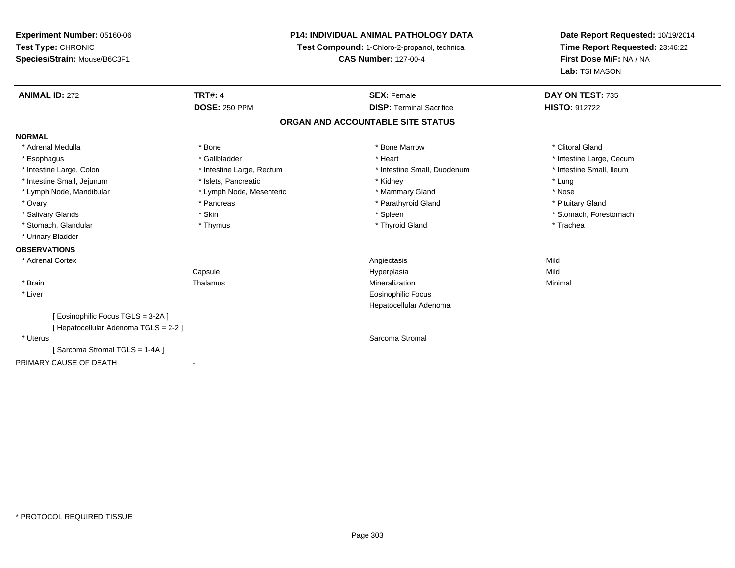**Experiment Number:** 05160-06**Test Type:** CHRONIC **Species/Strain:** Mouse/B6C3F1**P14: INDIVIDUAL ANIMAL PATHOLOGY DATATest Compound:** 1-Chloro-2-propanol, technical **CAS Number:** 127-00-4**Date Report Requested:** 10/19/2014**Time Report Requested:** 23:46:22**First Dose M/F:** NA / NA**Lab:** TSI MASON**ANIMAL ID:** 272**TRT#:** 4 **SEX:** Female **SEX: Female DAY ON TEST:** 735 **DOSE:** 250 PPM**DISP:** Terminal Sacrifice **HISTO:** 912722 **ORGAN AND ACCOUNTABLE SITE STATUSNORMAL**\* Adrenal Medulla \* The state of the state of the state of the state of the Marrow \* Bone Marrow \* Clitoral Gland \* Clitoral Gland \* Esophagus \* https://www.fragustage.com/web/2019/heart \* Heart \* Heart \* Heart \* Intestine Large, Cecum \* Intestine Large, Cecum \* Sallbladder \* The state of the state of the state of the state of the state of the state o \* Intestine Small, Ileum \* Intestine Large, Colon \* Intestine Large, Rectum \* Intestine Small, Duodenum \* Intestine Small, Duodenum \* Intestine Small, Jejunum \* The matches of the state of the state of the state of the state of the state of the state of the state of the state of the state of the state of the state of the state of the state of the state \* Nose \* Lymph Node, Mandibular \* Lymph Node, Mesenteric \* Mammary Gland \* Mammary Gland \* Pituitary Gland \* Ovary \* Pancreas \* Pancreas \* Pancreas \* Parathyroid Gland \* Parathyroid Gland \* Salivary Glands \* The stomach \* Skin \* Spleen \* Spleen \* Stomach, Forestomach \* Stomach, Forestomach \* Stomach, Forestomach \* Stomach, Glandular \* Thymus \* Thymus \* Thymus \* Thyroid Gland \* Thyroid Gland \* Thachea \* Urinary Bladder**OBSERVATIONS** \* Adrenal Cortexx and the control of the control of the control of the control of the control of the control of the control of the control of the control of the control of the control of the control of the control of the control of the co Mild Capsule Hyperplasia Mild \* Brainn and the Thalamus and the Minimal and Mineralization and Minimal Minimal and Minimal and Minimal and Minimal  $\mu$  \* Liver Eosinophilic Focus Hepatocellular Adenoma[ Eosinophilic Focus TGLS = 3-2A ][ Hepatocellular Adenoma TGLS = 2-2 ] \* Uteruss and the stromal stromal stromal stromal stromal stromal stromal stromal stromal stromal stromal stromal stroma [ Sarcoma Stromal TGLS = 1-4A ]PRIMARY CAUSE OF DEATH-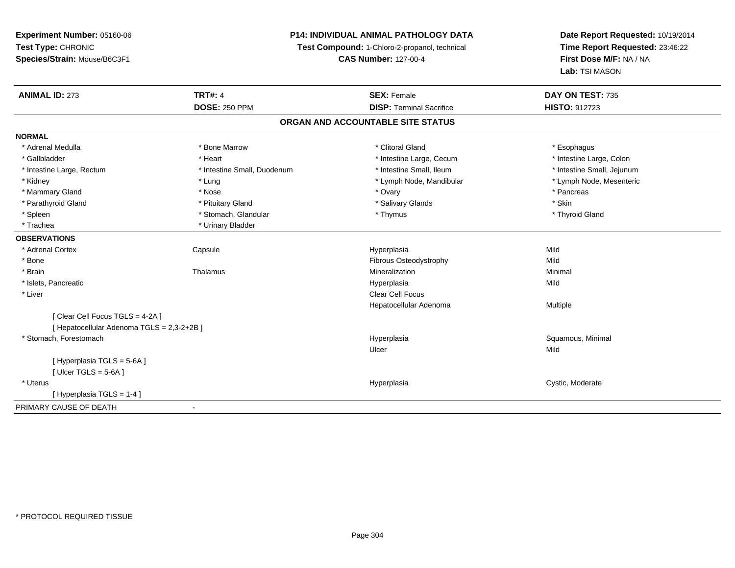# **P14: INDIVIDUAL ANIMAL PATHOLOGY DATA**

**Test Compound:** 1-Chloro-2-propanol, technical

**CAS Number:** 127-00-4

| <b>ANIMAL ID: 273</b>                      | <b>TRT#: 4</b>              | <b>SEX: Female</b>                | DAY ON TEST: 735           |
|--------------------------------------------|-----------------------------|-----------------------------------|----------------------------|
|                                            | <b>DOSE: 250 PPM</b>        | <b>DISP: Terminal Sacrifice</b>   | <b>HISTO: 912723</b>       |
|                                            |                             | ORGAN AND ACCOUNTABLE SITE STATUS |                            |
| <b>NORMAL</b>                              |                             |                                   |                            |
| * Adrenal Medulla                          | * Bone Marrow               | * Clitoral Gland                  | * Esophagus                |
| * Gallbladder                              | * Heart                     | * Intestine Large, Cecum          | * Intestine Large, Colon   |
| * Intestine Large, Rectum                  | * Intestine Small, Duodenum | * Intestine Small, Ileum          | * Intestine Small, Jejunum |
| * Kidney                                   | * Lung                      | * Lymph Node, Mandibular          | * Lymph Node, Mesenteric   |
| * Mammary Gland                            | * Nose                      | * Ovary                           | * Pancreas                 |
| * Parathyroid Gland                        | * Pituitary Gland           | * Salivary Glands                 | * Skin                     |
| * Spleen                                   | * Stomach, Glandular        | * Thymus                          | * Thyroid Gland            |
| * Trachea                                  | * Urinary Bladder           |                                   |                            |
| <b>OBSERVATIONS</b>                        |                             |                                   |                            |
| * Adrenal Cortex                           | Capsule                     | Hyperplasia                       | Mild                       |
| * Bone                                     |                             | Fibrous Osteodystrophy            | Mild                       |
| * Brain                                    | Thalamus                    | Mineralization                    | Minimal                    |
| * Islets, Pancreatic                       |                             | Hyperplasia                       | Mild                       |
| * Liver                                    |                             | <b>Clear Cell Focus</b>           |                            |
|                                            |                             | Hepatocellular Adenoma            | Multiple                   |
| [Clear Cell Focus TGLS = 4-2A]             |                             |                                   |                            |
| [ Hepatocellular Adenoma TGLS = 2,3-2+2B ] |                             |                                   |                            |
| * Stomach, Forestomach                     |                             | Hyperplasia                       | Squamous, Minimal          |
|                                            |                             | Ulcer                             | Mild                       |
| [ Hyperplasia TGLS = 5-6A ]                |                             |                                   |                            |
| [Ulcer TGLS = $5-6A$ ]                     |                             |                                   |                            |
| * Uterus                                   |                             | Hyperplasia                       | Cystic, Moderate           |
| [Hyperplasia TGLS = 1-4]                   |                             |                                   |                            |
| PRIMARY CAUSE OF DEATH                     |                             |                                   |                            |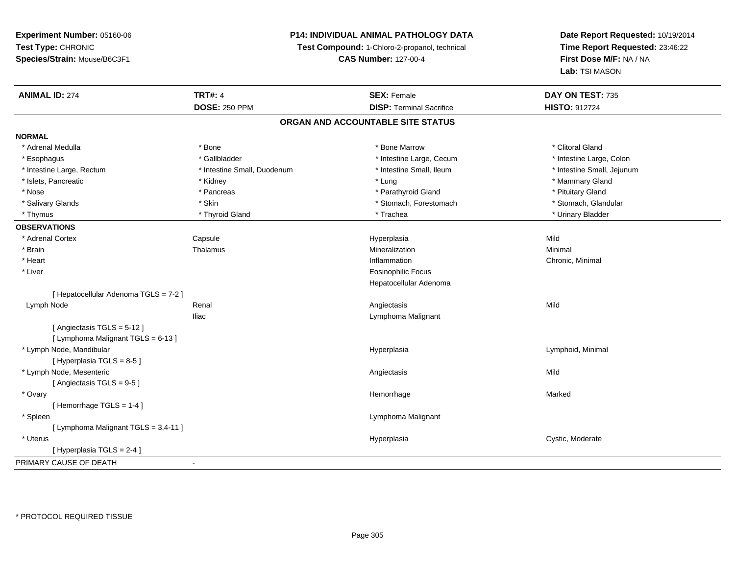# **P14: INDIVIDUAL ANIMAL PATHOLOGY DATA**

**Test Compound:** 1-Chloro-2-propanol, technical

**CAS Number:** 127-00-4

| <b>ANIMAL ID: 274</b>                | <b>TRT#: 4</b>              | <b>SEX: Female</b>                | DAY ON TEST: 735           |
|--------------------------------------|-----------------------------|-----------------------------------|----------------------------|
|                                      | <b>DOSE: 250 PPM</b>        | <b>DISP: Terminal Sacrifice</b>   | HISTO: 912724              |
|                                      |                             | ORGAN AND ACCOUNTABLE SITE STATUS |                            |
| <b>NORMAL</b>                        |                             |                                   |                            |
| * Adrenal Medulla                    | * Bone                      | * Bone Marrow                     | * Clitoral Gland           |
| * Esophagus                          | * Gallbladder               | * Intestine Large, Cecum          | * Intestine Large, Colon   |
| * Intestine Large, Rectum            | * Intestine Small, Duodenum | * Intestine Small, Ileum          | * Intestine Small, Jejunum |
| * Islets, Pancreatic                 | * Kidney                    | * Lung                            | * Mammary Gland            |
| * Nose                               | * Pancreas                  | * Parathyroid Gland               | * Pituitary Gland          |
| * Salivary Glands                    | * Skin                      | * Stomach, Forestomach            | * Stomach, Glandular       |
| * Thymus                             | * Thyroid Gland             | * Trachea                         | * Urinary Bladder          |
| <b>OBSERVATIONS</b>                  |                             |                                   |                            |
| * Adrenal Cortex                     | Capsule                     | Hyperplasia                       | Mild                       |
| * Brain                              | Thalamus                    | Mineralization                    | Minimal                    |
| * Heart                              |                             | Inflammation                      | Chronic, Minimal           |
| * Liver                              |                             | <b>Eosinophilic Focus</b>         |                            |
|                                      |                             | Hepatocellular Adenoma            |                            |
| [Hepatocellular Adenoma TGLS = 7-2]  |                             |                                   |                            |
| Lymph Node                           | Renal                       | Angiectasis                       | Mild                       |
|                                      | <b>Iliac</b>                | Lymphoma Malignant                |                            |
| [Angiectasis TGLS = $5-12$ ]         |                             |                                   |                            |
| [ Lymphoma Malignant TGLS = 6-13 ]   |                             |                                   |                            |
| * Lymph Node, Mandibular             |                             | Hyperplasia                       | Lymphoid, Minimal          |
| [Hyperplasia TGLS = 8-5]             |                             |                                   |                            |
| * Lymph Node, Mesenteric             |                             | Angiectasis                       | Mild                       |
| [Angiectasis TGLS = 9-5]             |                             |                                   |                            |
| * Ovary                              |                             | Hemorrhage                        | Marked                     |
| [Hemorrhage TGLS = 1-4]              |                             |                                   |                            |
| * Spleen                             |                             | Lymphoma Malignant                |                            |
| [ Lymphoma Malignant TGLS = 3,4-11 ] |                             |                                   |                            |
| * Uterus                             |                             | Hyperplasia                       | Cystic, Moderate           |
| [ Hyperplasia TGLS = 2-4 ]           |                             |                                   |                            |
| PRIMARY CAUSE OF DEATH               | $\blacksquare$              |                                   |                            |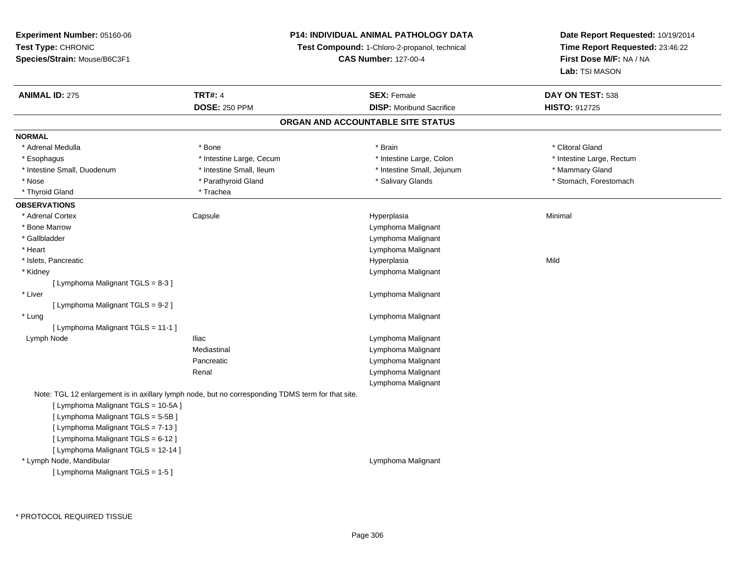# **P14: INDIVIDUAL ANIMAL PATHOLOGY DATA**

**Test Compound:** 1-Chloro-2-propanol, technical

**CAS Number:** 127-00-4

| <b>ANIMAL ID: 275</b>               | <b>TRT#: 4</b><br><b>DOSE: 250 PPM</b>                                                            | <b>SEX: Female</b><br><b>DISP:</b> Moribund Sacrifice | DAY ON TEST: 538<br><b>HISTO: 912725</b> |  |  |  |  |
|-------------------------------------|---------------------------------------------------------------------------------------------------|-------------------------------------------------------|------------------------------------------|--|--|--|--|
|                                     | ORGAN AND ACCOUNTABLE SITE STATUS                                                                 |                                                       |                                          |  |  |  |  |
| <b>NORMAL</b>                       |                                                                                                   |                                                       |                                          |  |  |  |  |
| * Adrenal Medulla                   | * Bone                                                                                            | * Brain                                               | * Clitoral Gland                         |  |  |  |  |
| * Esophagus                         | * Intestine Large, Cecum                                                                          | * Intestine Large, Colon                              | * Intestine Large, Rectum                |  |  |  |  |
| * Intestine Small, Duodenum         | * Intestine Small, Ileum                                                                          | * Intestine Small, Jejunum                            | * Mammary Gland                          |  |  |  |  |
| * Nose                              | * Parathyroid Gland                                                                               | * Salivary Glands                                     | * Stomach, Forestomach                   |  |  |  |  |
| * Thyroid Gland                     | * Trachea                                                                                         |                                                       |                                          |  |  |  |  |
| <b>OBSERVATIONS</b>                 |                                                                                                   |                                                       |                                          |  |  |  |  |
| * Adrenal Cortex                    | Capsule                                                                                           | Hyperplasia                                           | Minimal                                  |  |  |  |  |
| * Bone Marrow                       |                                                                                                   | Lymphoma Malignant                                    |                                          |  |  |  |  |
| * Gallbladder                       |                                                                                                   | Lymphoma Malignant                                    |                                          |  |  |  |  |
| * Heart                             |                                                                                                   | Lymphoma Malignant                                    |                                          |  |  |  |  |
| * Islets, Pancreatic                |                                                                                                   | Hyperplasia                                           | Mild                                     |  |  |  |  |
| * Kidney                            |                                                                                                   | Lymphoma Malignant                                    |                                          |  |  |  |  |
| [ Lymphoma Malignant TGLS = 8-3 ]   |                                                                                                   |                                                       |                                          |  |  |  |  |
| * Liver                             |                                                                                                   | Lymphoma Malignant                                    |                                          |  |  |  |  |
| [ Lymphoma Malignant TGLS = 9-2 ]   |                                                                                                   |                                                       |                                          |  |  |  |  |
| * Lung                              |                                                                                                   | Lymphoma Malignant                                    |                                          |  |  |  |  |
| [ Lymphoma Malignant TGLS = 11-1 ]  |                                                                                                   |                                                       |                                          |  |  |  |  |
| Lymph Node                          | <b>Iliac</b>                                                                                      | Lymphoma Malignant                                    |                                          |  |  |  |  |
|                                     | Mediastinal                                                                                       | Lymphoma Malignant                                    |                                          |  |  |  |  |
|                                     | Pancreatic                                                                                        | Lymphoma Malignant                                    |                                          |  |  |  |  |
|                                     | Renal                                                                                             | Lymphoma Malignant                                    |                                          |  |  |  |  |
|                                     |                                                                                                   | Lymphoma Malignant                                    |                                          |  |  |  |  |
|                                     | Note: TGL 12 enlargement is in axillary lymph node, but no corresponding TDMS term for that site. |                                                       |                                          |  |  |  |  |
| [ Lymphoma Malignant TGLS = 10-5A]  |                                                                                                   |                                                       |                                          |  |  |  |  |
| [ Lymphoma Malignant TGLS = 5-5B ]  |                                                                                                   |                                                       |                                          |  |  |  |  |
| [ Lymphoma Malignant TGLS = 7-13 ]  |                                                                                                   |                                                       |                                          |  |  |  |  |
| [ Lymphoma Malignant TGLS = 6-12 ]  |                                                                                                   |                                                       |                                          |  |  |  |  |
| [ Lymphoma Malignant TGLS = 12-14 ] |                                                                                                   |                                                       |                                          |  |  |  |  |
| * Lymph Node, Mandibular            |                                                                                                   | Lymphoma Malignant                                    |                                          |  |  |  |  |
| [ Lymphoma Malignant TGLS = 1-5 ]   |                                                                                                   |                                                       |                                          |  |  |  |  |
|                                     |                                                                                                   |                                                       |                                          |  |  |  |  |
|                                     |                                                                                                   |                                                       |                                          |  |  |  |  |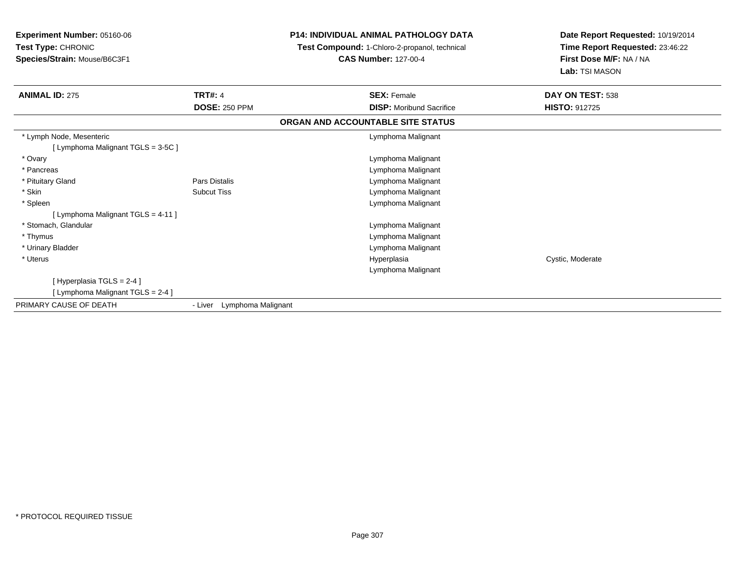**Experiment Number:** 05160-06**Test Type:** CHRONIC **Species/Strain:** Mouse/B6C3F1**P14: INDIVIDUAL ANIMAL PATHOLOGY DATA Test Compound:** 1-Chloro-2-propanol, technical **CAS Number:** 127-00-4**Date Report Requested:** 10/19/2014**Time Report Requested:** 23:46:22**First Dose M/F:** NA / NA**Lab:** TSI MASON**ANIMAL ID:** 275**TRT#:** 4 **SEX:** Female **SEX: Female DAY ON TEST:** 538 **DOSE:** 250 PPM **DISP:** Moribund Sacrifice **HISTO:** <sup>912725</sup> **ORGAN AND ACCOUNTABLE SITE STATUS** \* Lymph Node, Mesenteric Lymphoma Malignant [ Lymphoma Malignant TGLS = 3-5C ] \* Ovary Lymphoma Malignant \* Pancreas Lymphoma Malignant \* Pituitary GlandPars Distalis **Pars Distalis Lymphoma Malignant**<br>
Subcut Tiss **Reserves Controller Subcut Tiss**  \* SkinLymphoma Malignant \* Spleen Lymphoma Malignant [ Lymphoma Malignant TGLS = 4-11 ] \* Stomach, Glandular Lymphoma Malignant \* Thymus Lymphoma Malignant \* Urinary Bladder Lymphoma Malignant \* Uteruss and the control of the control of the control of the control of the control of the control of the control of the control of the control of the control of the control of the control of the control of the control of the co Hyperplasia **Cystic, Moderate** Lymphoma Malignant[ Hyperplasia TGLS = 2-4 ][ Lymphoma Malignant TGLS = 2-4 ]PRIMARY CAUSE OF DEATH- Liver Lymphoma Malignant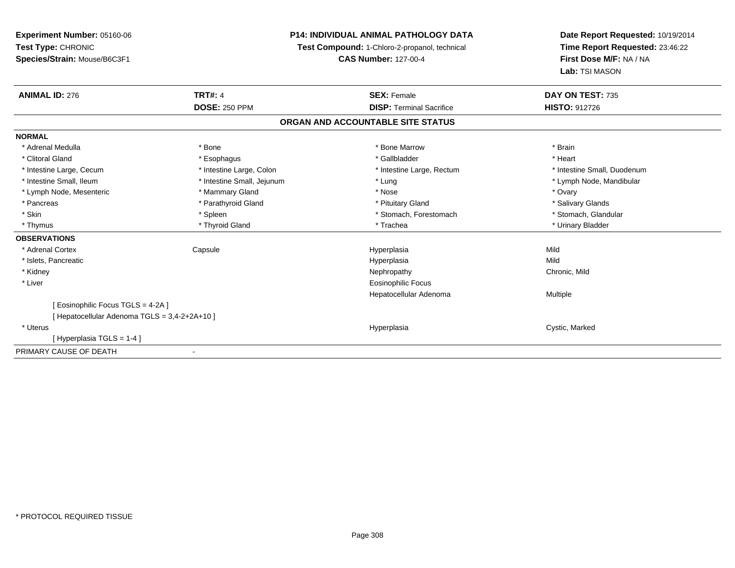**Experiment Number:** 05160-06**Test Type:** CHRONIC **Species/Strain:** Mouse/B6C3F1**P14: INDIVIDUAL ANIMAL PATHOLOGY DATATest Compound:** 1-Chloro-2-propanol, technical **CAS Number:** 127-00-4**Date Report Requested:** 10/19/2014**Time Report Requested:** 23:46:22**First Dose M/F:** NA / NA**Lab:** TSI MASON**ANIMAL ID:** 276**6 DAY ON TEST:** 735 **DOSE:** 250 PPM**DISP:** Terminal Sacrifice **HISTO:** 912726 **ORGAN AND ACCOUNTABLE SITE STATUSNORMAL**\* Adrenal Medulla \* \* Annual Medulla \* Brain \* Bone \* \* Bone Marrow \* Bone Marrow \* \* Brain \* Brain \* Brain \* Brain \* Brain \* Brain \* Brain \* Brain \* Brain \* Brain \* Brain \* Brain \* Brain \* Brain \* Brain \* Brain \* Brain \* \* Heart \* Clitoral Gland \* \* \* heart \* \* Esophagus \* \* \* \* \* \* \* \* \* \* \* Gallbladder \* \* \* \* \* \* \* \* \* \* \* \* Heart \* Intestine Large, Cecum \* Intestine Large, Colon \* Intestine Large, Rectum \* Intestine Small, Duodenum \* Intestine Small, Ileum \* Intestine Small, Jejunum \* Lung \* Lymph Node, Mandibular\* Lymph Node, Mesenteric \* \* \* Mammary Gland \* \* Nose \* \* Nose \* \* Nose \* Ovary \* Ovary \* Ovary \* Ovary \* Ovary \* Salivary Glands \* Pancreas \* And the section of the section of the section of the section of the section of the section of the section of the section of the section of the section of the section of the section of the section of the sectio \* Stomach. Glandular \* Skin \* Spleen \* Spleen \* Spleen \* Stomach, Forestomach \* Stomach, Suite and the storage \* Stomach, Glandular \* Thymus \* Thyroid Gland \* Trachea \* Urinary Bladder \* **OBSERVATIONS** \* Adrenal Cortex Capsule Hyperplasia Mild \* Islets, Pancreaticc description of the control of the control of the control of the control of the control of the control of the control of the control of the control of the control of the control of the control of the control of the contro a Mild \* Kidneyy the controller of the controller of the controller of the controller of the controller of the chronic, Mild \* Liver Eosinophilic Focus Hepatocellular Adenoma Multiple [ Eosinophilic Focus TGLS = 4-2A ][ Hepatocellular Adenoma TGLS = 3,4-2+2A+10 ] \* Uteruss and the contract of the contract of the contract of the contract of the contract of the contract of the contract of the contract of the contract of the contract of the contract of the contract of the contract of the cont Hyperplasia **Cystic, Marked** [ Hyperplasia TGLS = 1-4 ]PRIMARY CAUSE OF DEATH-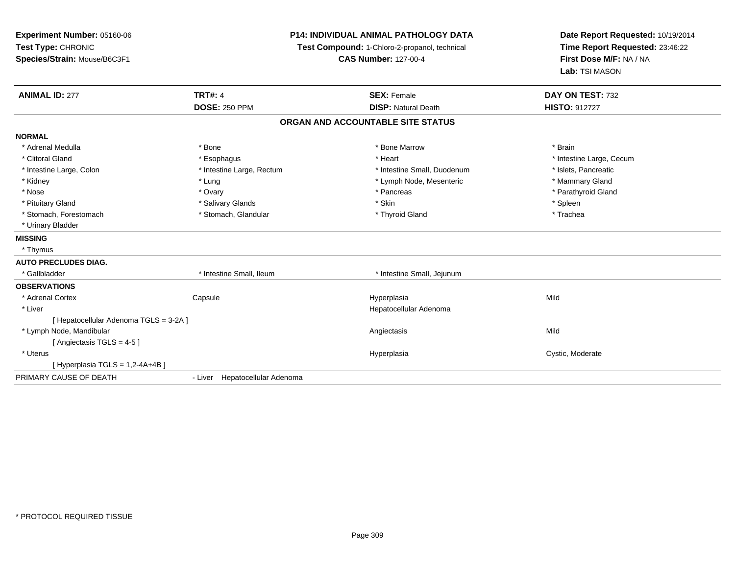| Experiment Number: 05160-06<br>Test Type: CHRONIC<br>Species/Strain: Mouse/B6C3F1 | P14: INDIVIDUAL ANIMAL PATHOLOGY DATA<br>Test Compound: 1-Chloro-2-propanol, technical<br><b>CAS Number: 127-00-4</b> |                                   | Date Report Requested: 10/19/2014<br>Time Report Requested: 23:46:22<br>First Dose M/F: NA / NA<br>Lab: TSI MASON |
|-----------------------------------------------------------------------------------|-----------------------------------------------------------------------------------------------------------------------|-----------------------------------|-------------------------------------------------------------------------------------------------------------------|
| <b>ANIMAL ID: 277</b>                                                             | <b>TRT#: 4</b>                                                                                                        | <b>SEX: Female</b>                | DAY ON TEST: 732                                                                                                  |
|                                                                                   | <b>DOSE: 250 PPM</b>                                                                                                  | <b>DISP: Natural Death</b>        | <b>HISTO: 912727</b>                                                                                              |
|                                                                                   |                                                                                                                       | ORGAN AND ACCOUNTABLE SITE STATUS |                                                                                                                   |
| <b>NORMAL</b>                                                                     |                                                                                                                       |                                   |                                                                                                                   |
| * Adrenal Medulla                                                                 | * Bone                                                                                                                | * Bone Marrow                     | * Brain                                                                                                           |
| * Clitoral Gland                                                                  | * Esophagus                                                                                                           | * Heart                           | * Intestine Large, Cecum                                                                                          |
| * Intestine Large, Colon                                                          | * Intestine Large, Rectum                                                                                             | * Intestine Small, Duodenum       | * Islets, Pancreatic                                                                                              |
| * Kidney                                                                          | * Lung                                                                                                                | * Lymph Node, Mesenteric          | * Mammary Gland                                                                                                   |
| * Nose                                                                            | * Ovary                                                                                                               | * Pancreas                        | * Parathyroid Gland                                                                                               |
| * Pituitary Gland                                                                 | * Salivary Glands                                                                                                     | * Skin                            | * Spleen                                                                                                          |
| * Stomach, Forestomach                                                            | * Stomach, Glandular                                                                                                  | * Thyroid Gland                   | * Trachea                                                                                                         |
| * Urinary Bladder                                                                 |                                                                                                                       |                                   |                                                                                                                   |
| <b>MISSING</b>                                                                    |                                                                                                                       |                                   |                                                                                                                   |
| * Thymus                                                                          |                                                                                                                       |                                   |                                                                                                                   |
| <b>AUTO PRECLUDES DIAG.</b>                                                       |                                                                                                                       |                                   |                                                                                                                   |
| * Gallbladder                                                                     | * Intestine Small, Ileum                                                                                              | * Intestine Small, Jejunum        |                                                                                                                   |
| <b>OBSERVATIONS</b>                                                               |                                                                                                                       |                                   |                                                                                                                   |
| * Adrenal Cortex                                                                  | Capsule                                                                                                               | Hyperplasia                       | Mild                                                                                                              |
| * Liver                                                                           |                                                                                                                       | Hepatocellular Adenoma            |                                                                                                                   |
| [ Hepatocellular Adenoma TGLS = 3-2A ]                                            |                                                                                                                       |                                   |                                                                                                                   |
| * Lymph Node, Mandibular                                                          |                                                                                                                       | Angiectasis                       | Mild                                                                                                              |
| [Angiectasis TGLS = 4-5]                                                          |                                                                                                                       |                                   |                                                                                                                   |
| * Uterus                                                                          |                                                                                                                       | Hyperplasia                       | Cystic, Moderate                                                                                                  |
| [ Hyperplasia TGLS = 1,2-4A+4B ]                                                  |                                                                                                                       |                                   |                                                                                                                   |
| PRIMARY CAUSE OF DEATH                                                            | - Liver Hepatocellular Adenoma                                                                                        |                                   |                                                                                                                   |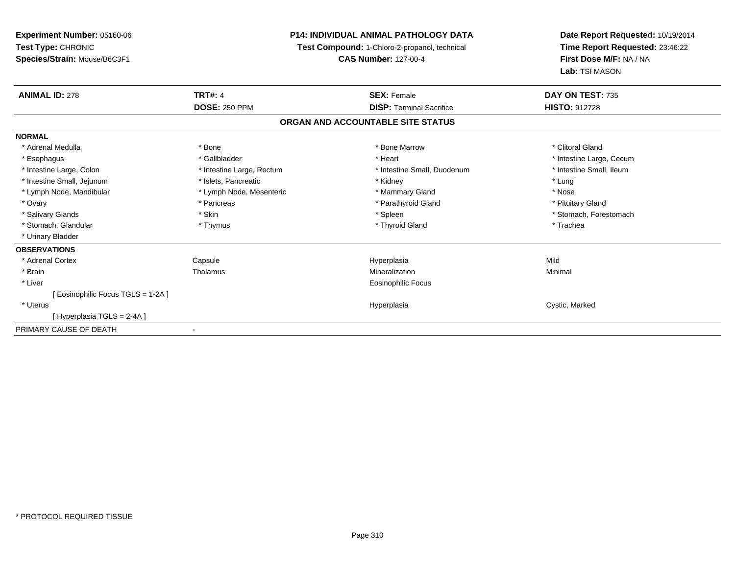| Experiment Number: 05160-06      | <b>P14: INDIVIDUAL ANIMAL PATHOLOGY DATA</b><br>Test Compound: 1-Chloro-2-propanol, technical |                                   | Date Report Requested: 10/19/2014 |  |
|----------------------------------|-----------------------------------------------------------------------------------------------|-----------------------------------|-----------------------------------|--|
| Test Type: CHRONIC               |                                                                                               |                                   | Time Report Requested: 23:46:22   |  |
| Species/Strain: Mouse/B6C3F1     |                                                                                               | <b>CAS Number: 127-00-4</b>       | First Dose M/F: NA / NA           |  |
|                                  |                                                                                               |                                   | Lab: TSI MASON                    |  |
| <b>ANIMAL ID: 278</b>            | <b>TRT#: 4</b>                                                                                | <b>SEX: Female</b>                | DAY ON TEST: 735                  |  |
|                                  | <b>DOSE: 250 PPM</b>                                                                          | <b>DISP: Terminal Sacrifice</b>   | <b>HISTO: 912728</b>              |  |
|                                  |                                                                                               | ORGAN AND ACCOUNTABLE SITE STATUS |                                   |  |
| <b>NORMAL</b>                    |                                                                                               |                                   |                                   |  |
| * Adrenal Medulla                | * Bone                                                                                        | * Bone Marrow                     | * Clitoral Gland                  |  |
| * Esophagus                      | * Gallbladder                                                                                 | * Heart                           | * Intestine Large, Cecum          |  |
| * Intestine Large, Colon         | * Intestine Large, Rectum                                                                     | * Intestine Small, Duodenum       | * Intestine Small, Ileum          |  |
| * Intestine Small, Jejunum       | * Islets, Pancreatic                                                                          | * Kidney                          | * Lung                            |  |
| * Lymph Node, Mandibular         | * Lymph Node, Mesenteric                                                                      | * Mammary Gland                   | * Nose                            |  |
| * Ovary                          | * Pancreas                                                                                    | * Parathyroid Gland               | * Pituitary Gland                 |  |
| * Salivary Glands                | * Skin                                                                                        | * Spleen                          | * Stomach, Forestomach            |  |
| * Stomach, Glandular             | * Thymus                                                                                      | * Thyroid Gland                   | * Trachea                         |  |
| * Urinary Bladder                |                                                                                               |                                   |                                   |  |
| <b>OBSERVATIONS</b>              |                                                                                               |                                   |                                   |  |
| * Adrenal Cortex                 | Capsule                                                                                       | Hyperplasia                       | Mild                              |  |
| * Brain                          | Thalamus                                                                                      | Mineralization                    | Minimal                           |  |
| * Liver                          |                                                                                               | <b>Eosinophilic Focus</b>         |                                   |  |
| [Eosinophilic Focus TGLS = 1-2A] |                                                                                               |                                   |                                   |  |
| * Uterus                         |                                                                                               | Hyperplasia                       | Cystic, Marked                    |  |
| [Hyperplasia TGLS = 2-4A ]       |                                                                                               |                                   |                                   |  |
| PRIMARY CAUSE OF DEATH           |                                                                                               |                                   |                                   |  |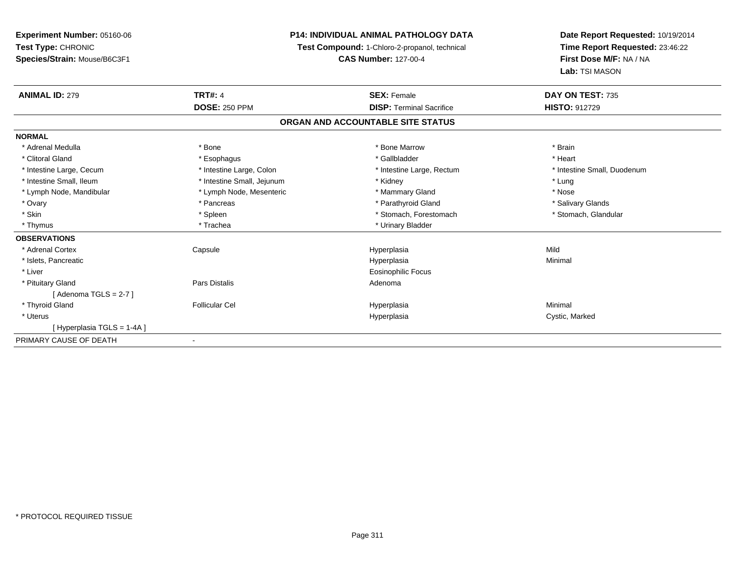| <b>Experiment Number: 05160-06</b> | <b>P14: INDIVIDUAL ANIMAL PATHOLOGY DATA</b><br>Test Compound: 1-Chloro-2-propanol, technical<br><b>CAS Number: 127-00-4</b> |                                   | Date Report Requested: 10/19/2014                          |  |
|------------------------------------|------------------------------------------------------------------------------------------------------------------------------|-----------------------------------|------------------------------------------------------------|--|
| Test Type: CHRONIC                 |                                                                                                                              |                                   | Time Report Requested: 23:46:22<br>First Dose M/F: NA / NA |  |
| Species/Strain: Mouse/B6C3F1       |                                                                                                                              |                                   |                                                            |  |
|                                    |                                                                                                                              |                                   | Lab: TSI MASON                                             |  |
| <b>ANIMAL ID: 279</b>              | <b>TRT#: 4</b>                                                                                                               | <b>SEX: Female</b>                | DAY ON TEST: 735                                           |  |
|                                    | <b>DOSE: 250 PPM</b>                                                                                                         | <b>DISP: Terminal Sacrifice</b>   | HISTO: 912729                                              |  |
|                                    |                                                                                                                              | ORGAN AND ACCOUNTABLE SITE STATUS |                                                            |  |
| <b>NORMAL</b>                      |                                                                                                                              |                                   |                                                            |  |
| * Adrenal Medulla                  | * Bone                                                                                                                       | * Bone Marrow                     | * Brain                                                    |  |
| * Clitoral Gland                   | * Esophagus                                                                                                                  | * Gallbladder                     | * Heart                                                    |  |
| * Intestine Large, Cecum           | * Intestine Large, Colon                                                                                                     | * Intestine Large, Rectum         | * Intestine Small, Duodenum                                |  |
| * Intestine Small, Ileum           | * Intestine Small, Jejunum                                                                                                   | * Kidney                          | * Lung                                                     |  |
| * Lymph Node, Mandibular           | * Lymph Node, Mesenteric                                                                                                     | * Mammary Gland                   | * Nose                                                     |  |
| * Ovary                            | * Pancreas                                                                                                                   | * Parathyroid Gland               | * Salivary Glands                                          |  |
| * Skin                             | * Spleen                                                                                                                     | * Stomach, Forestomach            | * Stomach, Glandular                                       |  |
| * Thymus                           | * Trachea                                                                                                                    | * Urinary Bladder                 |                                                            |  |
| <b>OBSERVATIONS</b>                |                                                                                                                              |                                   |                                                            |  |
| * Adrenal Cortex                   | Capsule                                                                                                                      | Hyperplasia                       | Mild                                                       |  |
| * Islets, Pancreatic               |                                                                                                                              | Hyperplasia                       | Minimal                                                    |  |
| * Liver                            |                                                                                                                              | <b>Eosinophilic Focus</b>         |                                                            |  |
| * Pituitary Gland                  | Pars Distalis                                                                                                                | Adenoma                           |                                                            |  |
| [Adenoma TGLS = $2-7$ ]            |                                                                                                                              |                                   |                                                            |  |
| * Thyroid Gland                    | <b>Follicular Cel</b>                                                                                                        | Hyperplasia                       | Minimal                                                    |  |
| * Uterus                           |                                                                                                                              | Hyperplasia                       | Cystic, Marked                                             |  |
| [Hyperplasia TGLS = 1-4A]          |                                                                                                                              |                                   |                                                            |  |
| PRIMARY CAUSE OF DEATH             |                                                                                                                              |                                   |                                                            |  |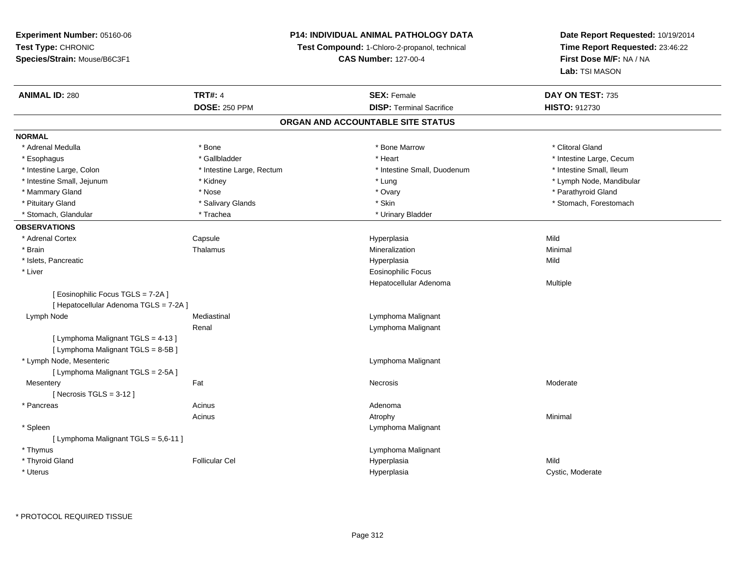# **P14: INDIVIDUAL ANIMAL PATHOLOGY DATA**

**Test Compound:** 1-Chloro-2-propanol, technical

**CAS Number:** 127-00-4

| <b>ANIMAL ID: 280</b>                  | <b>TRT#: 4</b>            | <b>SEX: Female</b>                | DAY ON TEST: 735         |
|----------------------------------------|---------------------------|-----------------------------------|--------------------------|
|                                        | <b>DOSE: 250 PPM</b>      | <b>DISP: Terminal Sacrifice</b>   | <b>HISTO: 912730</b>     |
|                                        |                           | ORGAN AND ACCOUNTABLE SITE STATUS |                          |
| <b>NORMAL</b>                          |                           |                                   |                          |
| * Adrenal Medulla                      | * Bone                    | * Bone Marrow                     | * Clitoral Gland         |
| * Esophagus                            | * Gallbladder             | * Heart                           | * Intestine Large, Cecum |
| * Intestine Large, Colon               | * Intestine Large, Rectum | * Intestine Small, Duodenum       | * Intestine Small, Ileum |
| * Intestine Small, Jejunum             | * Kidney                  | * Lung                            | * Lymph Node, Mandibular |
| * Mammary Gland                        | * Nose                    | * Ovary                           | * Parathyroid Gland      |
| * Pituitary Gland                      | * Salivary Glands         | * Skin                            | * Stomach, Forestomach   |
| * Stomach, Glandular                   | * Trachea                 | * Urinary Bladder                 |                          |
| <b>OBSERVATIONS</b>                    |                           |                                   |                          |
| * Adrenal Cortex                       | Capsule                   | Hyperplasia                       | Mild                     |
| * Brain                                | Thalamus                  | Mineralization                    | Minimal                  |
| * Islets, Pancreatic                   |                           | Hyperplasia                       | Mild                     |
| * Liver                                |                           | <b>Eosinophilic Focus</b>         |                          |
|                                        |                           | Hepatocellular Adenoma            | Multiple                 |
| [ Eosinophilic Focus TGLS = 7-2A ]     |                           |                                   |                          |
| [ Hepatocellular Adenoma TGLS = 7-2A ] |                           |                                   |                          |
| Lymph Node                             | Mediastinal               | Lymphoma Malignant                |                          |
|                                        | Renal                     | Lymphoma Malignant                |                          |
| [ Lymphoma Malignant TGLS = 4-13 ]     |                           |                                   |                          |
| [ Lymphoma Malignant TGLS = 8-5B ]     |                           |                                   |                          |
| * Lymph Node, Mesenteric               |                           | Lymphoma Malignant                |                          |
| [ Lymphoma Malignant TGLS = 2-5A ]     |                           |                                   |                          |
| Mesentery                              | Fat                       | Necrosis                          | Moderate                 |
| [Necrosis TGLS = $3-12$ ]              |                           |                                   |                          |
| * Pancreas                             | Acinus                    | Adenoma                           |                          |
|                                        | Acinus                    | Atrophy                           | Minimal                  |
| * Spleen                               |                           | Lymphoma Malignant                |                          |
| [ Lymphoma Malignant TGLS = 5,6-11 ]   |                           |                                   |                          |
| * Thymus                               |                           | Lymphoma Malignant                |                          |
| * Thyroid Gland                        | <b>Follicular Cel</b>     | Hyperplasia                       | Mild                     |
| * Uterus                               |                           | Hyperplasia                       | Cystic, Moderate         |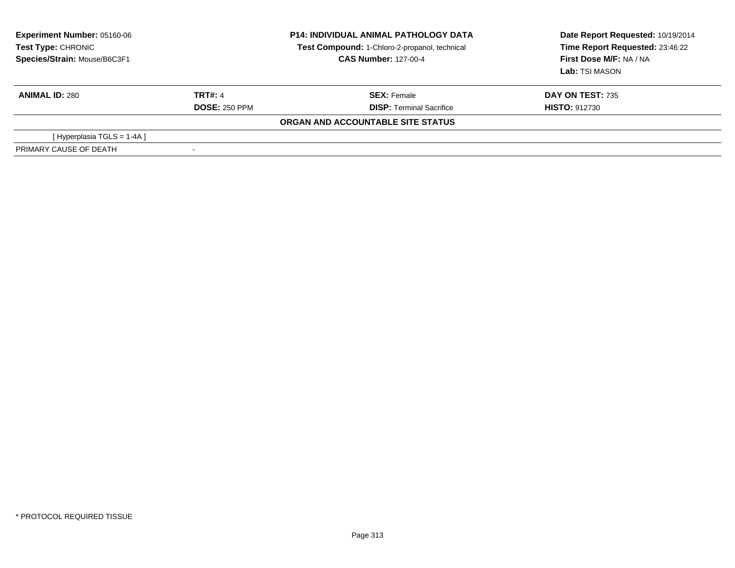| <b>Experiment Number: 05160-06</b><br>Test Type: CHRONIC<br>Species/Strain: Mouse/B6C3F1 |                          | <b>P14: INDIVIDUAL ANIMAL PATHOLOGY DATA</b><br>Test Compound: 1-Chloro-2-propanol, technical<br><b>CAS Number: 127-00-4</b> | Date Report Requested: 10/19/2014<br>Time Report Requested: 23:46:22<br>First Dose M/F: NA / NA<br>Lab: TSI MASON |
|------------------------------------------------------------------------------------------|--------------------------|------------------------------------------------------------------------------------------------------------------------------|-------------------------------------------------------------------------------------------------------------------|
| <b>ANIMAL ID: 280</b>                                                                    | <b>TRT#: 4</b>           | <b>SEX: Female</b>                                                                                                           | <b>DAY ON TEST: 735</b>                                                                                           |
|                                                                                          | <b>DOSE: 250 PPM</b>     | <b>DISP:</b> Terminal Sacrifice                                                                                              | <b>HISTO: 912730</b>                                                                                              |
|                                                                                          |                          | ORGAN AND ACCOUNTABLE SITE STATUS                                                                                            |                                                                                                                   |
| [Hyperplasia TGLS = 1-4A]                                                                |                          |                                                                                                                              |                                                                                                                   |
| PRIMARY CAUSE OF DEATH                                                                   | $\overline{\phantom{a}}$ |                                                                                                                              |                                                                                                                   |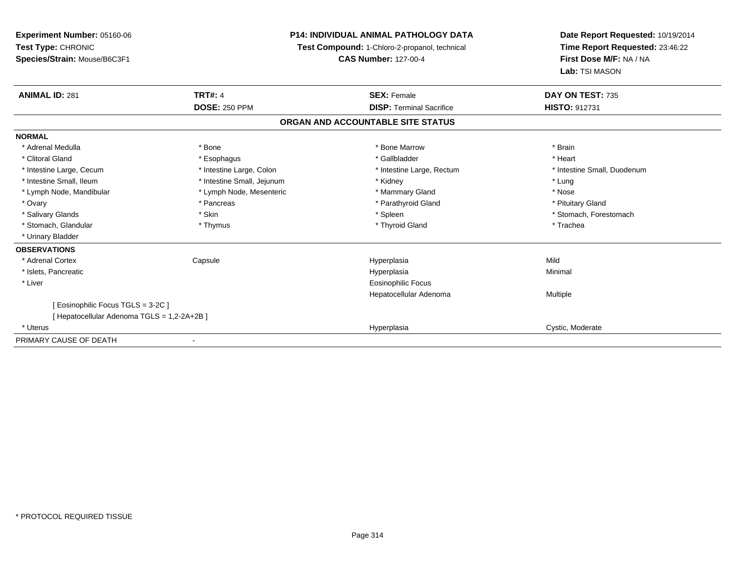| Experiment Number: 05160-06<br>Test Type: CHRONIC<br>Species/Strain: Mouse/B6C3F1 |                                        | <b>P14: INDIVIDUAL ANIMAL PATHOLOGY DATA</b><br>Test Compound: 1-Chloro-2-propanol, technical<br><b>CAS Number: 127-00-4</b> | Date Report Requested: 10/19/2014<br>Time Report Requested: 23:46:22<br>First Dose M/F: NA / NA<br>Lab: TSI MASON |  |
|-----------------------------------------------------------------------------------|----------------------------------------|------------------------------------------------------------------------------------------------------------------------------|-------------------------------------------------------------------------------------------------------------------|--|
| <b>ANIMAL ID: 281</b>                                                             | <b>TRT#: 4</b><br><b>DOSE: 250 PPM</b> | <b>SEX: Female</b><br><b>DISP: Terminal Sacrifice</b>                                                                        | DAY ON TEST: 735<br><b>HISTO: 912731</b>                                                                          |  |
|                                                                                   |                                        |                                                                                                                              |                                                                                                                   |  |
|                                                                                   |                                        | ORGAN AND ACCOUNTABLE SITE STATUS                                                                                            |                                                                                                                   |  |
| <b>NORMAL</b>                                                                     |                                        |                                                                                                                              |                                                                                                                   |  |
| * Adrenal Medulla                                                                 | * Bone                                 | * Bone Marrow                                                                                                                | * Brain                                                                                                           |  |
| * Clitoral Gland                                                                  | * Esophagus                            | * Gallbladder                                                                                                                | * Heart                                                                                                           |  |
| * Intestine Large, Cecum                                                          | * Intestine Large, Colon               | * Intestine Large, Rectum                                                                                                    | * Intestine Small, Duodenum                                                                                       |  |
| * Intestine Small, Ileum                                                          | * Intestine Small, Jejunum             | * Kidney                                                                                                                     | * Lung                                                                                                            |  |
| * Lymph Node, Mandibular                                                          | * Lymph Node, Mesenteric               | * Mammary Gland                                                                                                              | * Nose                                                                                                            |  |
| * Ovary                                                                           | * Pancreas                             | * Parathyroid Gland                                                                                                          | * Pituitary Gland                                                                                                 |  |
| * Salivary Glands                                                                 | * Skin                                 | * Spleen                                                                                                                     | * Stomach, Forestomach                                                                                            |  |
| * Stomach, Glandular                                                              | * Thymus                               | * Thyroid Gland                                                                                                              | * Trachea                                                                                                         |  |
| * Urinary Bladder                                                                 |                                        |                                                                                                                              |                                                                                                                   |  |
| <b>OBSERVATIONS</b>                                                               |                                        |                                                                                                                              |                                                                                                                   |  |
| * Adrenal Cortex                                                                  | Capsule                                | Hyperplasia                                                                                                                  | Mild                                                                                                              |  |
| * Islets, Pancreatic                                                              |                                        | Hyperplasia                                                                                                                  | Minimal                                                                                                           |  |
| * Liver                                                                           |                                        | Eosinophilic Focus                                                                                                           |                                                                                                                   |  |
|                                                                                   |                                        | Hepatocellular Adenoma                                                                                                       | Multiple                                                                                                          |  |
| [ Eosinophilic Focus TGLS = 3-2C ]                                                |                                        |                                                                                                                              |                                                                                                                   |  |
| [ Hepatocellular Adenoma TGLS = 1,2-2A+2B ]                                       |                                        |                                                                                                                              |                                                                                                                   |  |
| * Uterus                                                                          |                                        | Hyperplasia                                                                                                                  | Cystic, Moderate                                                                                                  |  |
| PRIMARY CAUSE OF DEATH                                                            |                                        |                                                                                                                              |                                                                                                                   |  |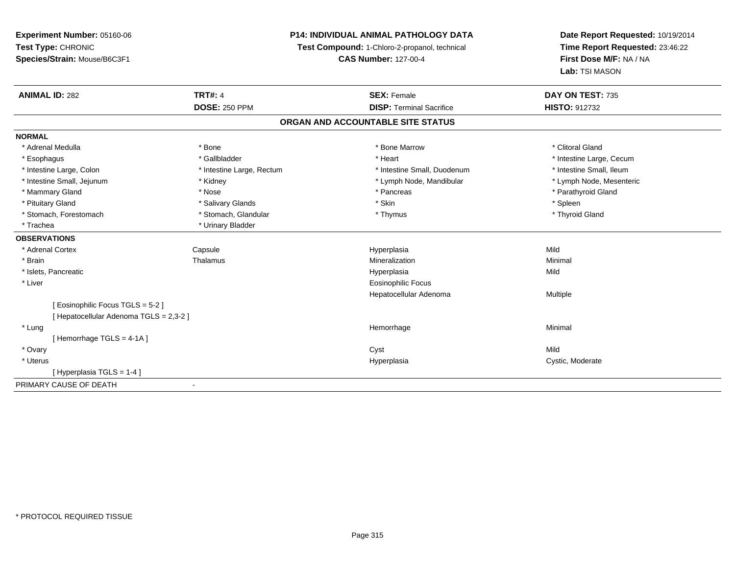# **P14: INDIVIDUAL ANIMAL PATHOLOGY DATA**

**Test Compound:** 1-Chloro-2-propanol, technical

**CAS Number:** 127-00-4

| <b>ANIMAL ID: 282</b>                   | <b>TRT#: 4</b>            | <b>SEX: Female</b>                | DAY ON TEST: 735         |
|-----------------------------------------|---------------------------|-----------------------------------|--------------------------|
|                                         | <b>DOSE: 250 PPM</b>      | <b>DISP: Terminal Sacrifice</b>   | <b>HISTO: 912732</b>     |
|                                         |                           | ORGAN AND ACCOUNTABLE SITE STATUS |                          |
| <b>NORMAL</b>                           |                           |                                   |                          |
| * Adrenal Medulla                       | * Bone                    | * Bone Marrow                     | * Clitoral Gland         |
| * Esophagus                             | * Gallbladder             | * Heart                           | * Intestine Large, Cecum |
| * Intestine Large, Colon                | * Intestine Large, Rectum | * Intestine Small, Duodenum       | * Intestine Small, Ileum |
| * Intestine Small, Jejunum              | * Kidney                  | * Lymph Node, Mandibular          | * Lymph Node, Mesenteric |
| * Mammary Gland                         | * Nose                    | * Pancreas                        | * Parathyroid Gland      |
| * Pituitary Gland                       | * Salivary Glands         | * Skin                            | * Spleen                 |
| * Stomach, Forestomach                  | * Stomach, Glandular      | * Thymus                          | * Thyroid Gland          |
| * Trachea                               | * Urinary Bladder         |                                   |                          |
| <b>OBSERVATIONS</b>                     |                           |                                   |                          |
| * Adrenal Cortex                        | Capsule                   | Hyperplasia                       | Mild                     |
| * Brain                                 | Thalamus                  | Mineralization                    | Minimal                  |
| * Islets, Pancreatic                    |                           | Hyperplasia                       | Mild                     |
| * Liver                                 |                           | <b>Eosinophilic Focus</b>         |                          |
|                                         |                           | Hepatocellular Adenoma            | Multiple                 |
| [ Eosinophilic Focus TGLS = 5-2 ]       |                           |                                   |                          |
| [ Hepatocellular Adenoma TGLS = 2,3-2 ] |                           |                                   |                          |
| * Lung                                  |                           | Hemorrhage                        | Minimal                  |
| [Hemorrhage TGLS = 4-1A]                |                           |                                   |                          |
| * Ovary                                 |                           | Cyst                              | Mild                     |
| * Uterus                                |                           | Hyperplasia                       | Cystic, Moderate         |
| [Hyperplasia TGLS = 1-4]                |                           |                                   |                          |
| PRIMARY CAUSE OF DEATH                  | $\blacksquare$            |                                   |                          |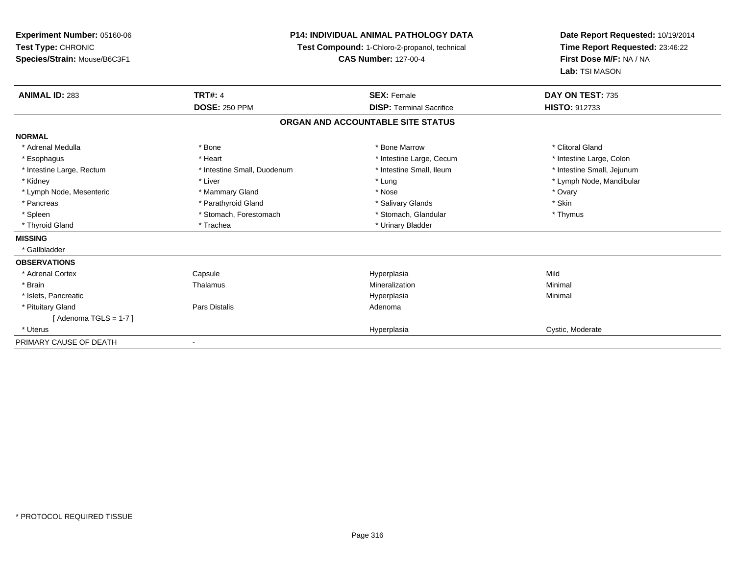**Experiment Number:** 05160-06**Test Type:** CHRONIC **Species/Strain:** Mouse/B6C3F1**P14: INDIVIDUAL ANIMAL PATHOLOGY DATATest Compound:** 1-Chloro-2-propanol, technical **CAS Number:** 127-00-4**Date Report Requested:** 10/19/2014**Time Report Requested:** 23:46:22**First Dose M/F:** NA / NA**Lab:** TSI MASON**ANIMAL ID:** 283**TRT#:** 4 **SEX:** Female **SEX: Female DAY ON TEST:** 735 **DOSE:** 250 PPM **DISP:** Terminal Sacrifice **HISTO:** <sup>912733</sup> **ORGAN AND ACCOUNTABLE SITE STATUSNORMAL**\* Adrenal Medulla \* The state of the state of the state of the state of the Marrow \* Bone Marrow \* Clitoral Gland \* Clitoral Gland \* Intestine Large, Colon \* Esophagus \* **Esophagus \* Intestine Large, Cecum \* Intestine Large, Cecum \* Intestine Large, Cecum \*** \* Intestine Large, Rectum \* Thestine Small, Duodenum \* Number of the small, Ileum \* Intestine Small, Jejunum \* Intestine Small, Jejunum \* Kidney \* Liver \* Lung \* Lymph Node, Mandibular \* Lymph Node, Mesenteric \* \* \* Mammary Gland \* \* Nose \* Nose \* \* Nose \* \* Nose \* Ovary \* Ovary \* Ovary \* Ovary \* Skin \* Pancreas \* Pancreas \* Parathyroid Gland \* The state of the set of the set of the set of the set of the set of the set of the set of the set of the set of the set of the set of the set of the set of the set of the set of \* Thymus \* Spleen \* Stomach, Forestomach \* Stomach \* Stomach, Glandular \* Stomach, Glandular \* Thyroid Gland \* Trachea \* Trachea \* Trachea \* Urinary Bladder **MISSING** \* Gallbladder**OBSERVATIONS** \* Adrenal CortexCapsule<br>Thalamus Hyperplasia Mild \* Brainn and the matter of the Thalamus and the Minimal of the Minimal of the Minimal of the Minimal of the Minimal o<br>Thalamus and the Minimal of the Minimal of the Minimal of the Minimal of the Minimal of the Minimal of the Min \* Islets, Pancreaticc and the control of the control of the control of the control of the control of the control of the control of the control of the control of the control of the control of the control of the control of the control of the co a **Minimal**  \* Pituitary Glandd and the set of Pars Distalis and the Second Adenomal Adenomal Second Second Pars Distallis  $[$  Adenoma TGLS = 1-7  $]$  \* Uteruss and the contract of the contract of the contract of the contract of the contract of the contract of the contract of the contract of the contract of the contract of the contract of the contract of the contract of the cont Hyperplasia extension of the Cystic, Moderate PRIMARY CAUSE OF DEATH-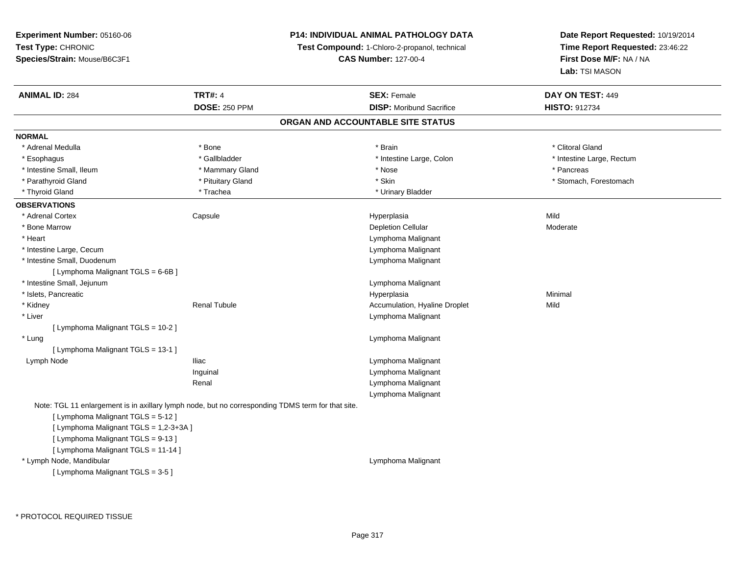# **P14: INDIVIDUAL ANIMAL PATHOLOGY DATA**

**Test Compound:** 1-Chloro-2-propanol, technical

**CAS Number:** 127-00-4

| <b>ANIMAL ID: 284</b>                  | <b>TRT#: 4</b>                                                                                    | <b>SEX: Female</b>                | DAY ON TEST: 449          |
|----------------------------------------|---------------------------------------------------------------------------------------------------|-----------------------------------|---------------------------|
|                                        | <b>DOSE: 250 PPM</b>                                                                              | <b>DISP:</b> Moribund Sacrifice   | HISTO: 912734             |
|                                        |                                                                                                   | ORGAN AND ACCOUNTABLE SITE STATUS |                           |
| <b>NORMAL</b>                          |                                                                                                   |                                   |                           |
| * Adrenal Medulla                      | * Bone                                                                                            | * Brain                           | * Clitoral Gland          |
| * Esophagus                            | * Gallbladder                                                                                     | * Intestine Large, Colon          | * Intestine Large, Rectum |
| * Intestine Small, Ileum               | * Mammary Gland                                                                                   | * Nose                            | * Pancreas                |
| * Parathyroid Gland                    | * Pituitary Gland                                                                                 | * Skin                            | * Stomach, Forestomach    |
| * Thyroid Gland                        | * Trachea                                                                                         | * Urinary Bladder                 |                           |
| <b>OBSERVATIONS</b>                    |                                                                                                   |                                   |                           |
| * Adrenal Cortex                       | Capsule                                                                                           | Hyperplasia                       | Mild                      |
| * Bone Marrow                          |                                                                                                   | <b>Depletion Cellular</b>         | Moderate                  |
| * Heart                                |                                                                                                   | Lymphoma Malignant                |                           |
| * Intestine Large, Cecum               |                                                                                                   | Lymphoma Malignant                |                           |
| * Intestine Small, Duodenum            |                                                                                                   | Lymphoma Malignant                |                           |
| [ Lymphoma Malignant TGLS = 6-6B ]     |                                                                                                   |                                   |                           |
| * Intestine Small, Jejunum             |                                                                                                   | Lymphoma Malignant                |                           |
| * Islets, Pancreatic                   |                                                                                                   | Hyperplasia                       | Minimal                   |
| * Kidney                               | <b>Renal Tubule</b>                                                                               | Accumulation, Hyaline Droplet     | Mild                      |
| * Liver                                |                                                                                                   | Lymphoma Malignant                |                           |
| [ Lymphoma Malignant TGLS = 10-2 ]     |                                                                                                   |                                   |                           |
| * Lung                                 |                                                                                                   | Lymphoma Malignant                |                           |
| [ Lymphoma Malignant TGLS = 13-1 ]     |                                                                                                   |                                   |                           |
| Lymph Node                             | <b>Iliac</b>                                                                                      | Lymphoma Malignant                |                           |
|                                        | Inguinal                                                                                          | Lymphoma Malignant                |                           |
|                                        | Renal                                                                                             | Lymphoma Malignant                |                           |
|                                        |                                                                                                   | Lymphoma Malignant                |                           |
|                                        | Note: TGL 11 enlargement is in axillary lymph node, but no corresponding TDMS term for that site. |                                   |                           |
| [ Lymphoma Malignant TGLS = 5-12 ]     |                                                                                                   |                                   |                           |
| [ Lymphoma Malignant TGLS = 1,2-3+3A ] |                                                                                                   |                                   |                           |
| [ Lymphoma Malignant TGLS = 9-13 ]     |                                                                                                   |                                   |                           |
| [ Lymphoma Malignant TGLS = 11-14 ]    |                                                                                                   |                                   |                           |
| * Lymph Node, Mandibular               |                                                                                                   | Lymphoma Malignant                |                           |
| [ Lymphoma Malignant TGLS = 3-5 ]      |                                                                                                   |                                   |                           |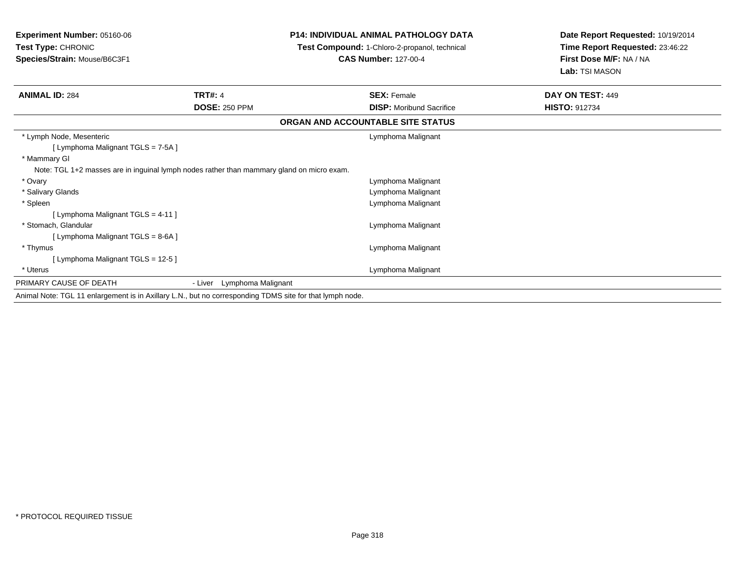| <b>Experiment Number: 05160-06</b><br>Test Type: CHRONIC<br>Species/Strain: Mouse/B6C3F1                 |                            | <b>P14: INDIVIDUAL ANIMAL PATHOLOGY DATA</b><br>Test Compound: 1-Chloro-2-propanol, technical<br><b>CAS Number: 127-00-4</b> | Date Report Requested: 10/19/2014<br>Time Report Requested: 23:46:22<br>First Dose M/F: NA / NA<br>Lab: TSI MASON |
|----------------------------------------------------------------------------------------------------------|----------------------------|------------------------------------------------------------------------------------------------------------------------------|-------------------------------------------------------------------------------------------------------------------|
| <b>ANIMAL ID: 284</b>                                                                                    | <b>TRT#: 4</b>             | <b>SEX: Female</b>                                                                                                           | DAY ON TEST: 449                                                                                                  |
|                                                                                                          | <b>DOSE: 250 PPM</b>       | <b>DISP:</b> Moribund Sacrifice                                                                                              | <b>HISTO: 912734</b>                                                                                              |
|                                                                                                          |                            | ORGAN AND ACCOUNTABLE SITE STATUS                                                                                            |                                                                                                                   |
| * Lymph Node, Mesenteric<br>[ Lymphoma Malignant TGLS = 7-5A ]<br>* Mammary GI                           |                            | Lymphoma Malignant                                                                                                           |                                                                                                                   |
| Note: TGL 1+2 masses are in inguinal lymph nodes rather than mammary gland on micro exam.                |                            |                                                                                                                              |                                                                                                                   |
| * Ovary                                                                                                  |                            | Lymphoma Malignant                                                                                                           |                                                                                                                   |
| * Salivary Glands                                                                                        |                            | Lymphoma Malignant                                                                                                           |                                                                                                                   |
| * Spleen                                                                                                 |                            | Lymphoma Malignant                                                                                                           |                                                                                                                   |
| [ Lymphoma Malignant TGLS = 4-11 ]<br>* Stomach, Glandular<br>[ Lymphoma Malignant TGLS = 8-6A ]         |                            | Lymphoma Malignant                                                                                                           |                                                                                                                   |
| * Thymus                                                                                                 |                            | Lymphoma Malignant                                                                                                           |                                                                                                                   |
| [Lymphoma Malignant TGLS = 12-5 ]                                                                        |                            |                                                                                                                              |                                                                                                                   |
| * Uterus                                                                                                 |                            | Lymphoma Malignant                                                                                                           |                                                                                                                   |
| PRIMARY CAUSE OF DEATH                                                                                   | - Liver Lymphoma Malignant |                                                                                                                              |                                                                                                                   |
| Animal Note: TGL 11 enlargement is in Axillary L.N., but no corresponding TDMS site for that lymph node. |                            |                                                                                                                              |                                                                                                                   |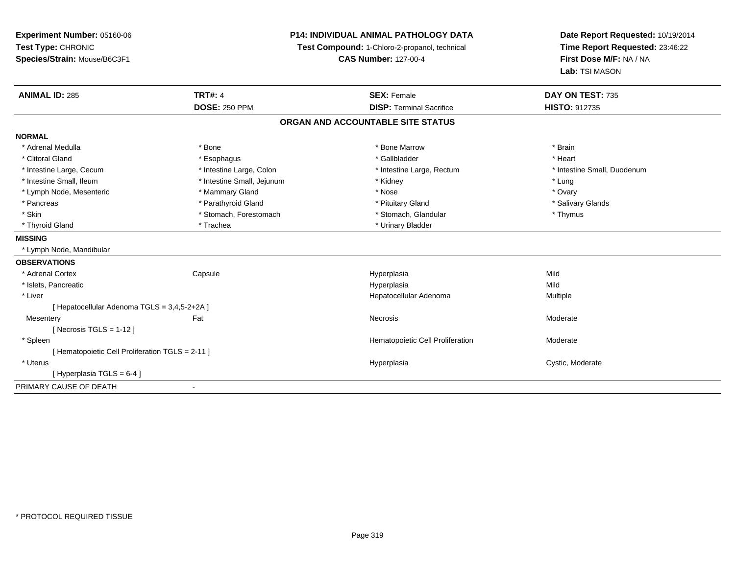| Experiment Number: 05160-06<br>Test Type: CHRONIC<br>Species/Strain: Mouse/B6C3F1 |                            | <b>P14: INDIVIDUAL ANIMAL PATHOLOGY DATA</b><br>Test Compound: 1-Chloro-2-propanol, technical<br><b>CAS Number: 127-00-4</b> | Date Report Requested: 10/19/2014<br>Time Report Requested: 23:46:22<br>First Dose M/F: NA / NA<br>Lab: TSI MASON |
|-----------------------------------------------------------------------------------|----------------------------|------------------------------------------------------------------------------------------------------------------------------|-------------------------------------------------------------------------------------------------------------------|
| <b>ANIMAL ID: 285</b>                                                             | <b>TRT#: 4</b>             | <b>SEX: Female</b>                                                                                                           | DAY ON TEST: 735                                                                                                  |
|                                                                                   | <b>DOSE: 250 PPM</b>       | <b>DISP: Terminal Sacrifice</b>                                                                                              | <b>HISTO: 912735</b>                                                                                              |
|                                                                                   |                            | ORGAN AND ACCOUNTABLE SITE STATUS                                                                                            |                                                                                                                   |
| <b>NORMAL</b>                                                                     |                            |                                                                                                                              |                                                                                                                   |
| * Adrenal Medulla                                                                 | * Bone                     | * Bone Marrow                                                                                                                | * Brain                                                                                                           |
| * Clitoral Gland                                                                  | * Esophagus                | * Gallbladder                                                                                                                | * Heart                                                                                                           |
| * Intestine Large, Cecum                                                          | * Intestine Large, Colon   | * Intestine Large, Rectum                                                                                                    | * Intestine Small, Duodenum                                                                                       |
| * Intestine Small, Ileum                                                          | * Intestine Small, Jejunum | * Kidney                                                                                                                     | * Lung                                                                                                            |
| * Lymph Node, Mesenteric                                                          | * Mammary Gland            | * Nose                                                                                                                       | * Ovary                                                                                                           |
| * Pancreas                                                                        | * Parathyroid Gland        | * Pituitary Gland                                                                                                            | * Salivary Glands                                                                                                 |
| * Skin                                                                            | * Stomach, Forestomach     | * Stomach, Glandular                                                                                                         | * Thymus                                                                                                          |
| * Thyroid Gland                                                                   | * Trachea                  | * Urinary Bladder                                                                                                            |                                                                                                                   |
| <b>MISSING</b>                                                                    |                            |                                                                                                                              |                                                                                                                   |
| * Lymph Node, Mandibular                                                          |                            |                                                                                                                              |                                                                                                                   |
| <b>OBSERVATIONS</b>                                                               |                            |                                                                                                                              |                                                                                                                   |
| * Adrenal Cortex                                                                  | Capsule                    | Hyperplasia                                                                                                                  | Mild                                                                                                              |
| * Islets, Pancreatic                                                              |                            | Hyperplasia                                                                                                                  | Mild                                                                                                              |
| * Liver                                                                           |                            | Hepatocellular Adenoma                                                                                                       | Multiple                                                                                                          |
| [ Hepatocellular Adenoma TGLS = 3,4,5-2+2A ]                                      |                            |                                                                                                                              |                                                                                                                   |
| Mesentery                                                                         | Fat                        | Necrosis                                                                                                                     | Moderate                                                                                                          |
| [ Necrosis TGLS = $1-12$ ]                                                        |                            |                                                                                                                              |                                                                                                                   |
| * Spleen                                                                          |                            | Hematopoietic Cell Proliferation                                                                                             | Moderate                                                                                                          |
| [ Hematopoietic Cell Proliferation TGLS = 2-11 ]                                  |                            |                                                                                                                              |                                                                                                                   |
| * Uterus                                                                          |                            | Hyperplasia                                                                                                                  | Cystic, Moderate                                                                                                  |
| [Hyperplasia TGLS = $6-4$ ]                                                       |                            |                                                                                                                              |                                                                                                                   |
| PRIMARY CAUSE OF DEATH                                                            | $\blacksquare$             |                                                                                                                              |                                                                                                                   |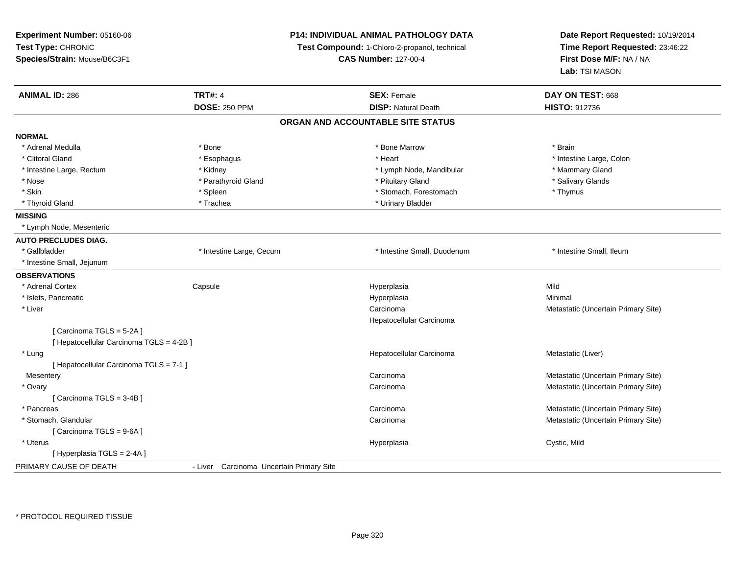| Experiment Number: 05160-06              | P14: INDIVIDUAL ANIMAL PATHOLOGY DATA<br>Test Compound: 1-Chloro-2-propanol, technical<br><b>CAS Number: 127-00-4</b> |                                   | Date Report Requested: 10/19/2014<br>Time Report Requested: 23:46:22<br>First Dose M/F: NA / NA |
|------------------------------------------|-----------------------------------------------------------------------------------------------------------------------|-----------------------------------|-------------------------------------------------------------------------------------------------|
| Test Type: CHRONIC                       |                                                                                                                       |                                   |                                                                                                 |
| Species/Strain: Mouse/B6C3F1             |                                                                                                                       |                                   |                                                                                                 |
|                                          |                                                                                                                       |                                   | Lab: TSI MASON                                                                                  |
| <b>ANIMAL ID: 286</b>                    | <b>TRT#: 4</b>                                                                                                        | <b>SEX: Female</b>                | DAY ON TEST: 668                                                                                |
|                                          | <b>DOSE: 250 PPM</b>                                                                                                  | <b>DISP: Natural Death</b>        | HISTO: 912736                                                                                   |
|                                          |                                                                                                                       | ORGAN AND ACCOUNTABLE SITE STATUS |                                                                                                 |
| <b>NORMAL</b>                            |                                                                                                                       |                                   |                                                                                                 |
| * Adrenal Medulla                        | * Bone                                                                                                                | * Bone Marrow                     | * Brain                                                                                         |
| * Clitoral Gland                         | * Esophagus                                                                                                           | * Heart                           | * Intestine Large, Colon                                                                        |
| * Intestine Large, Rectum                | * Kidney                                                                                                              | * Lymph Node, Mandibular          | * Mammary Gland                                                                                 |
| * Nose                                   | * Parathyroid Gland                                                                                                   | * Pituitary Gland                 | * Salivary Glands                                                                               |
| * Skin                                   | * Spleen                                                                                                              | * Stomach, Forestomach            | * Thymus                                                                                        |
| * Thyroid Gland                          | * Trachea                                                                                                             | * Urinary Bladder                 |                                                                                                 |
| <b>MISSING</b>                           |                                                                                                                       |                                   |                                                                                                 |
| * Lymph Node, Mesenteric                 |                                                                                                                       |                                   |                                                                                                 |
| <b>AUTO PRECLUDES DIAG.</b>              |                                                                                                                       |                                   |                                                                                                 |
| * Gallbladder                            | * Intestine Large, Cecum                                                                                              | * Intestine Small, Duodenum       | * Intestine Small, Ileum                                                                        |
| * Intestine Small, Jejunum               |                                                                                                                       |                                   |                                                                                                 |
| <b>OBSERVATIONS</b>                      |                                                                                                                       |                                   |                                                                                                 |
| * Adrenal Cortex                         | Capsule                                                                                                               | Hyperplasia                       | Mild                                                                                            |
| * Islets, Pancreatic                     |                                                                                                                       | Hyperplasia                       | Minimal                                                                                         |
| * Liver                                  |                                                                                                                       | Carcinoma                         | Metastatic (Uncertain Primary Site)                                                             |
|                                          |                                                                                                                       | Hepatocellular Carcinoma          |                                                                                                 |
| [Carcinoma TGLS = 5-2A]                  |                                                                                                                       |                                   |                                                                                                 |
| [ Hepatocellular Carcinoma TGLS = 4-2B ] |                                                                                                                       |                                   |                                                                                                 |
| * Lung                                   |                                                                                                                       | Hepatocellular Carcinoma          | Metastatic (Liver)                                                                              |
| [ Hepatocellular Carcinoma TGLS = 7-1 ]  |                                                                                                                       |                                   |                                                                                                 |
| Mesentery                                |                                                                                                                       | Carcinoma                         | Metastatic (Uncertain Primary Site)                                                             |
| * Ovary                                  |                                                                                                                       | Carcinoma                         | Metastatic (Uncertain Primary Site)                                                             |
| [Carcinoma TGLS = 3-4B]                  |                                                                                                                       |                                   |                                                                                                 |
| * Pancreas                               |                                                                                                                       | Carcinoma                         | Metastatic (Uncertain Primary Site)                                                             |
| * Stomach, Glandular                     |                                                                                                                       | Carcinoma                         | Metastatic (Uncertain Primary Site)                                                             |
| [Carcinoma TGLS = 9-6A]                  |                                                                                                                       |                                   |                                                                                                 |
| * Uterus                                 |                                                                                                                       | Hyperplasia                       | Cystic, Mild                                                                                    |
| [Hyperplasia TGLS = 2-4A]                |                                                                                                                       |                                   |                                                                                                 |
| PRIMARY CAUSE OF DEATH                   | - Liver Carcinoma Uncertain Primary Site                                                                              |                                   |                                                                                                 |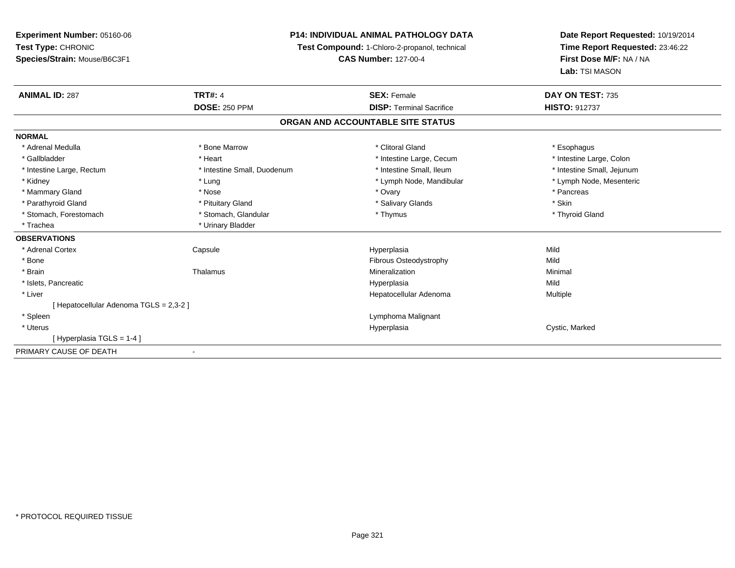# **P14: INDIVIDUAL ANIMAL PATHOLOGY DATA**

**Test Compound:** 1-Chloro-2-propanol, technical

**CAS Number:** 127-00-4

| <b>ANIMAL ID: 287</b>                   | <b>TRT#: 4</b>              | <b>SEX: Female</b>                | DAY ON TEST: 735           |
|-----------------------------------------|-----------------------------|-----------------------------------|----------------------------|
|                                         | <b>DOSE: 250 PPM</b>        | <b>DISP: Terminal Sacrifice</b>   | <b>HISTO: 912737</b>       |
|                                         |                             | ORGAN AND ACCOUNTABLE SITE STATUS |                            |
| <b>NORMAL</b>                           |                             |                                   |                            |
| * Adrenal Medulla                       | * Bone Marrow               | * Clitoral Gland                  | * Esophagus                |
| * Gallbladder                           | * Heart                     | * Intestine Large, Cecum          | * Intestine Large, Colon   |
| * Intestine Large, Rectum               | * Intestine Small, Duodenum | * Intestine Small, Ileum          | * Intestine Small, Jejunum |
| * Kidney                                | * Lung                      | * Lymph Node, Mandibular          | * Lymph Node, Mesenteric   |
| * Mammary Gland                         | * Nose                      | * Ovary                           | * Pancreas                 |
| * Parathyroid Gland                     | * Pituitary Gland           | * Salivary Glands                 | * Skin                     |
| * Stomach, Forestomach                  | * Stomach, Glandular        | * Thymus                          | * Thyroid Gland            |
| * Trachea                               | * Urinary Bladder           |                                   |                            |
| <b>OBSERVATIONS</b>                     |                             |                                   |                            |
| * Adrenal Cortex                        | Capsule                     | Hyperplasia                       | Mild                       |
| * Bone                                  |                             | Fibrous Osteodystrophy            | Mild                       |
| * Brain                                 | Thalamus                    | Mineralization                    | Minimal                    |
| * Islets, Pancreatic                    |                             | Hyperplasia                       | Mild                       |
| * Liver                                 |                             | Hepatocellular Adenoma            | Multiple                   |
| [ Hepatocellular Adenoma TGLS = 2,3-2 ] |                             |                                   |                            |
| * Spleen                                |                             | Lymphoma Malignant                |                            |
| * Uterus                                |                             | Hyperplasia                       | Cystic, Marked             |
| [Hyperplasia TGLS = 1-4]                |                             |                                   |                            |
| PRIMARY CAUSE OF DEATH                  | $\overline{\phantom{a}}$    |                                   |                            |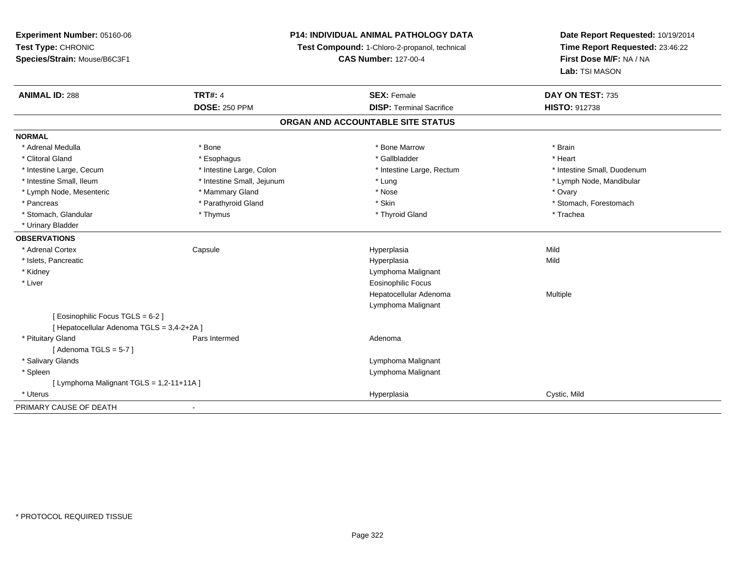**Experiment Number:** 05160-06**Test Type:** CHRONIC **Species/Strain:** Mouse/B6C3F1**P14: INDIVIDUAL ANIMAL PATHOLOGY DATATest Compound:** 1-Chloro-2-propanol, technical **CAS Number:** 127-00-4**Date Report Requested:** 10/19/2014**Time Report Requested:** 23:46:22**First Dose M/F:** NA / NA**Lab:** TSI MASON**ANIMAL ID:** 288**TRT#:** 4 **SEX:** Female **SEX: Female DAY ON TEST:** 735 **DOSE:** 250 PPM**DISP:** Terminal Sacrifice **HISTO:** 912738 **ORGAN AND ACCOUNTABLE SITE STATUSNORMAL**\* Adrenal Medulla \* \* Annual Medulla \* Brain \* Bone \* \* Bone Marrow \* Bone Marrow \* \* Brain \* Brain \* Brain \* Brain \* Brain \* Brain \* Brain \* Brain \* Brain \* Brain \* Brain \* Brain \* Brain \* Brain \* Brain \* Brain \* Brain \* \* Heart \* Clitoral Gland \* \* \* heart \* \* Esophagus \* \* \* \* \* \* \* \* \* \* \* Gallbladder \* \* \* \* \* \* \* \* \* \* \* \* Heart \* Intestine Large, Cecum \* Intestine Large, Colon \* Intestine Large, Thestine Large, Rectum \* Intestine Small, Duodenum \* Intestine Small, Ileum \* Intestine Small, Jejunum \* Lung \* Lymph Node, Mandibular\* Lymph Node, Mesenteric \* \* \* Mammary Gland \* \* Nose \* Nose \* Ovary \* Ovary \* Ovary \* Ovary \* Ovary \* Ovary \* Ovary \* Pancreas \* The state of the state of the state of the state of the state of the state of the state of the stomach, Forestomach \* Stomach, Forestomach \* Stomach, Glandular \* Thymus \* Thyroid Gland \* Trachea \* Urinary Bladder**OBSERVATIONS** \* Adrenal Cortex Capsule Hyperplasia Mild \* Islets, Pancreaticc description of the control of the control of the control of the control of the control of the control of the control of the control of the control of the control of the control of the control of the control of the contro a Mild \* Kidney Lymphoma Malignant \* Liver Eosinophilic Focus Hepatocellular Adenoma Multiple Lymphoma Malignant[ Eosinophilic Focus TGLS = 6-2 ][ Hepatocellular Adenoma TGLS = 3,4-2+2A ] \* Pituitary Glandd and the contract of Pars Intermed and the contract of Adenoma [ Adenoma  $TGLS = 5-7$  ] \* Salivary Glands Lymphoma Malignant \* Spleen Lymphoma Malignant  $[$  Lymphoma Malignant TGLS = 1,2-11+11A  $]$  \* Uteruss and the contract of the contract of the contract of the contract of the contract of the contract of the contract of the contract of the contract of the contract of the contract of the contract of the contract of the cont Hyperplasia Cystic, Mild PRIMARY CAUSE OF DEATH-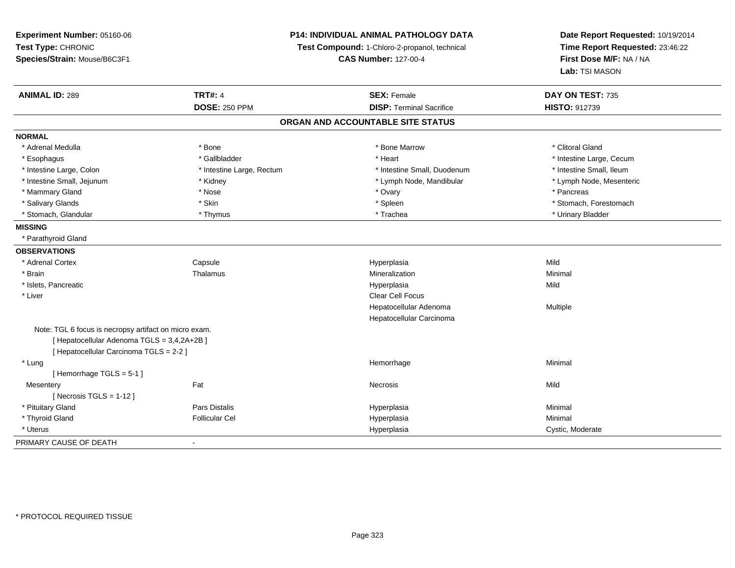**Experiment Number:** 05160-06**Test Type:** CHRONIC **Species/Strain:** Mouse/B6C3F1**P14: INDIVIDUAL ANIMAL PATHOLOGY DATATest Compound:** 1-Chloro-2-propanol, technical **CAS Number:** 127-00-4**Date Report Requested:** 10/19/2014**Time Report Requested:** 23:46:22**First Dose M/F:** NA / NA**Lab:** TSI MASON**ANIMAL ID:** 289**TRT#:** 4 **SEX:** Female **SEX: Female DAY ON TEST:** 735 **DOSE:** 250 PPM**DISP:** Terminal Sacrifice **HISTO:** 912739 **ORGAN AND ACCOUNTABLE SITE STATUSNORMAL**\* Adrenal Medulla \* The state of the state of the state of the state of the Marrow \* Bone Marrow \* Clitoral Gland \* Clitoral Gland \* Esophagus \* https://www.fragustage.com/web/2019/heart \* Heart \* Heart \* Heart \* Intestine Large, Cecum \* Intestine Large, Cecum \* Sallbladder \* The state of the state of the state of the state of the state of the state o \* Intestine Small. Ileum \* Intestine Large, Colon \* Intestine Large, Rectum \* Intestine Small, Duodenum \* Intestine Small, Duodenum \* Lymph Node, Mesenteric \* Intestine Small, Jejunum \* Michael \* Kidney \* Kidney \* Lymph Node, Mandibular \* Lymph Node, Mandibular \* Mammary Gland \* \* Andrew \* Nose \* \* Nose \* \* Ovary \* Ovary \* Ovary \* \* Ovary \* \* Pancreas \* \* Pancreas \* \* Pancreas \* \* Pancreas \* \* Pancreas \* \* Pancreas \* \* Pancreas \* \* Pancreas \* \* Pancreas \* \* Pancreas \* \* Pancreas \* Salivary Glands \* The stomach \* Skin \* Spleen \* Spleen \* Stomach, Forestomach \* Stomach, Forestomach \* Stomach, Forestomach \* Stomach, Glandular \* \* \* Thymus \* \* Thymus \* \* The \* \* Trachea \* \* Trachea \* \* Urinary Bladder \* \* Urinary Bladder \* **MISSING** \* Parathyroid Gland**OBSERVATIONS** \* Adrenal Cortex**Capsule**  Hyperplasia Mild \* Brainn and the matter of the Thalamus and the Minimal of the Minimal of the Minimal of the Minimal of the Minimal o<br>Thalamus and the Minimal of the Minimal of the Minimal of the Minimal of the Minimal of the Minimal of the Min \* Islets, Pancreaticc and the control of the control of the control of the control of the control of the control of the control of the control of the control of the control of the control of the control of the control of the control of the co a Mild \* Liverr and the contract of the contract of the contract of the contract of the contract of the contract of the contract of the contract of the contract of the contract of the contract of the contract of the contract of the cont Hepatocellular Adenoma Multiple Hepatocellular CarcinomaNote: TGL 6 focus is necropsy artifact on micro exam.[ Hepatocellular Adenoma TGLS = 3,4,2A+2B ][ Hepatocellular Carcinoma TGLS = 2-2 ] \* Lungg and the state of the state of the state of the state of the Minimal Section 1, and the state of the state of the state of the state of the state of the state of the state of the state of the state of the state of the sta [ Hemorrhage TGLS = 5-1 ]**Mesentery** y the contract of the contract of the contract of the contract of the contract of the contract of the contract of the contract of the contract of the contract of the contract of the contract of the contract of the contract  $[$  Necrosis TGLS = 1-12  $]$  \* Pituitary Gland Pars Distalis Hyperplasia Minimal \* Thyroid Gland Follicular Cel Hyperplasia Minimal \* Uteruss and the contract of the contract of the contract of the contract of the contract of the contract of the contract of the contract of the contract of the contract of the contract of the contract of the contract of the cont Hyperplasia extension of the Cystic, Moderate PRIMARY CAUSE OF DEATH-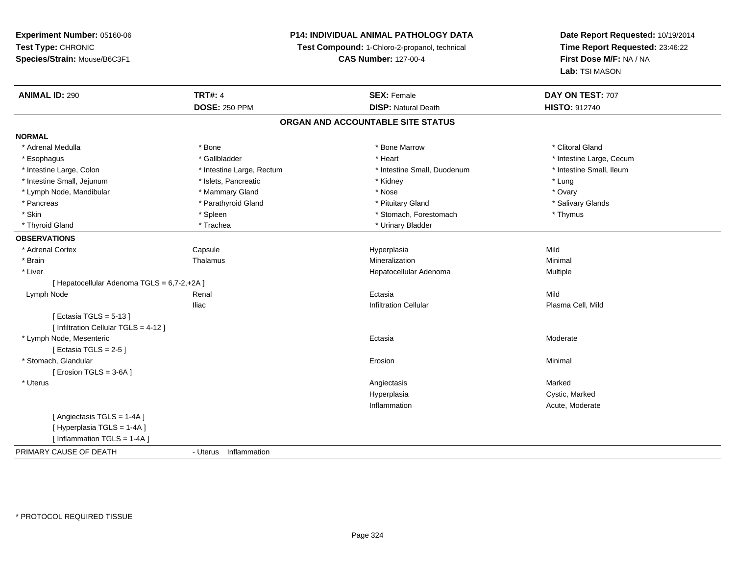# **P14: INDIVIDUAL ANIMAL PATHOLOGY DATA**

**Test Compound:** 1-Chloro-2-propanol, technical

**CAS Number:** 127-00-4

| <b>ANIMAL ID: 290</b>                       | <b>TRT#: 4</b>            | <b>SEX: Female</b>                | DAY ON TEST: 707         |  |
|---------------------------------------------|---------------------------|-----------------------------------|--------------------------|--|
|                                             | <b>DOSE: 250 PPM</b>      | <b>DISP: Natural Death</b>        | <b>HISTO: 912740</b>     |  |
|                                             |                           | ORGAN AND ACCOUNTABLE SITE STATUS |                          |  |
| <b>NORMAL</b>                               |                           |                                   |                          |  |
| * Adrenal Medulla                           | * Bone                    | * Bone Marrow                     | * Clitoral Gland         |  |
| * Esophagus                                 | * Gallbladder             | * Heart                           | * Intestine Large, Cecum |  |
| * Intestine Large, Colon                    | * Intestine Large, Rectum | * Intestine Small, Duodenum       | * Intestine Small, Ileum |  |
| * Intestine Small, Jejunum                  | * Islets, Pancreatic      | * Kidney                          | * Lung                   |  |
| * Lymph Node, Mandibular                    | * Mammary Gland           | * Nose                            | * Ovary                  |  |
| * Pancreas                                  | * Parathyroid Gland       | * Pituitary Gland                 | * Salivary Glands        |  |
| * Skin                                      | * Spleen                  | * Stomach, Forestomach            | * Thymus                 |  |
| * Thyroid Gland                             | * Trachea                 | * Urinary Bladder                 |                          |  |
| <b>OBSERVATIONS</b>                         |                           |                                   |                          |  |
| * Adrenal Cortex                            | Capsule                   | Hyperplasia                       | Mild                     |  |
| * Brain                                     | Thalamus                  | Mineralization                    | Minimal                  |  |
| * Liver                                     |                           | Hepatocellular Adenoma            | Multiple                 |  |
| [ Hepatocellular Adenoma TGLS = 6,7-2,+2A ] |                           |                                   |                          |  |
| Lymph Node                                  | Renal                     | Ectasia                           | Mild                     |  |
|                                             | <b>Iliac</b>              | <b>Infiltration Cellular</b>      | Plasma Cell, Mild        |  |
| [Ectasia TGLS = $5-13$ ]                    |                           |                                   |                          |  |
| [ Infiltration Cellular TGLS = 4-12 ]       |                           |                                   |                          |  |
| * Lymph Node, Mesenteric                    |                           | Ectasia                           | Moderate                 |  |
| [Ectasia TGLS = $2-5$ ]                     |                           |                                   |                          |  |
| * Stomach, Glandular                        |                           | Erosion                           | Minimal                  |  |
| [Erosion TGLS = $3-6A$ ]                    |                           |                                   |                          |  |
| * Uterus                                    |                           | Angiectasis                       | Marked                   |  |
|                                             |                           | Hyperplasia                       | Cystic, Marked           |  |
|                                             |                           | Inflammation                      | Acute, Moderate          |  |
| [Angiectasis TGLS = 1-4A]                   |                           |                                   |                          |  |
| [ Hyperplasia TGLS = 1-4A ]                 |                           |                                   |                          |  |
| [Inflammation TGLS = 1-4A]                  |                           |                                   |                          |  |
| PRIMARY CAUSE OF DEATH                      | - Uterus Inflammation     |                                   |                          |  |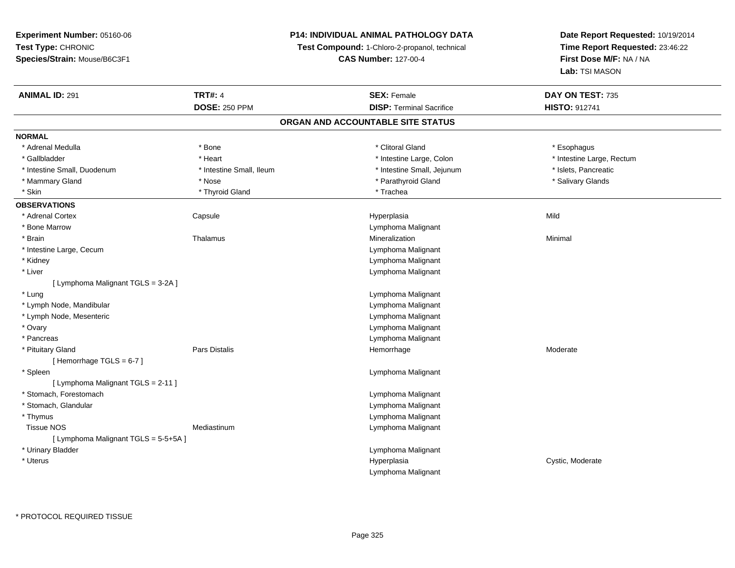# **P14: INDIVIDUAL ANIMAL PATHOLOGY DATA**

**Test Compound:** 1-Chloro-2-propanol, technical

**CAS Number:** 127-00-4

| <b>ANIMAL ID: 291</b>                | <b>TRT#: 4</b>           | <b>SEX: Female</b>                | DAY ON TEST: 735          |
|--------------------------------------|--------------------------|-----------------------------------|---------------------------|
|                                      | <b>DOSE: 250 PPM</b>     | <b>DISP: Terminal Sacrifice</b>   | <b>HISTO: 912741</b>      |
|                                      |                          | ORGAN AND ACCOUNTABLE SITE STATUS |                           |
| <b>NORMAL</b>                        |                          |                                   |                           |
| * Adrenal Medulla                    | * Bone                   | * Clitoral Gland                  | * Esophagus               |
| * Gallbladder                        | * Heart                  | * Intestine Large, Colon          | * Intestine Large, Rectum |
| * Intestine Small, Duodenum          | * Intestine Small, Ileum | * Intestine Small, Jejunum        | * Islets, Pancreatic      |
| * Mammary Gland                      | * Nose                   | * Parathyroid Gland               | * Salivary Glands         |
| * Skin                               | * Thyroid Gland          | * Trachea                         |                           |
| <b>OBSERVATIONS</b>                  |                          |                                   |                           |
| * Adrenal Cortex                     | Capsule                  | Hyperplasia                       | Mild                      |
| * Bone Marrow                        |                          | Lymphoma Malignant                |                           |
| * Brain                              | Thalamus                 | Mineralization                    | Minimal                   |
| * Intestine Large, Cecum             |                          | Lymphoma Malignant                |                           |
| * Kidney                             |                          | Lymphoma Malignant                |                           |
| * Liver                              |                          | Lymphoma Malignant                |                           |
| [ Lymphoma Malignant TGLS = 3-2A ]   |                          |                                   |                           |
| * Lung                               |                          | Lymphoma Malignant                |                           |
| * Lymph Node, Mandibular             |                          | Lymphoma Malignant                |                           |
| * Lymph Node, Mesenteric             |                          | Lymphoma Malignant                |                           |
| * Ovary                              |                          | Lymphoma Malignant                |                           |
| * Pancreas                           |                          | Lymphoma Malignant                |                           |
| * Pituitary Gland                    | <b>Pars Distalis</b>     | Hemorrhage                        | Moderate                  |
| [Hemorrhage TGLS = $6-7$ ]           |                          |                                   |                           |
| * Spleen                             |                          | Lymphoma Malignant                |                           |
| [ Lymphoma Malignant TGLS = 2-11 ]   |                          |                                   |                           |
| * Stomach, Forestomach               |                          | Lymphoma Malignant                |                           |
| * Stomach, Glandular                 |                          | Lymphoma Malignant                |                           |
| * Thymus                             |                          | Lymphoma Malignant                |                           |
| <b>Tissue NOS</b>                    | Mediastinum              | Lymphoma Malignant                |                           |
| [ Lymphoma Malignant TGLS = 5-5+5A ] |                          |                                   |                           |
| * Urinary Bladder                    |                          | Lymphoma Malignant                |                           |
| * Uterus                             |                          | Hyperplasia                       | Cystic, Moderate          |
|                                      |                          | Lymphoma Malignant                |                           |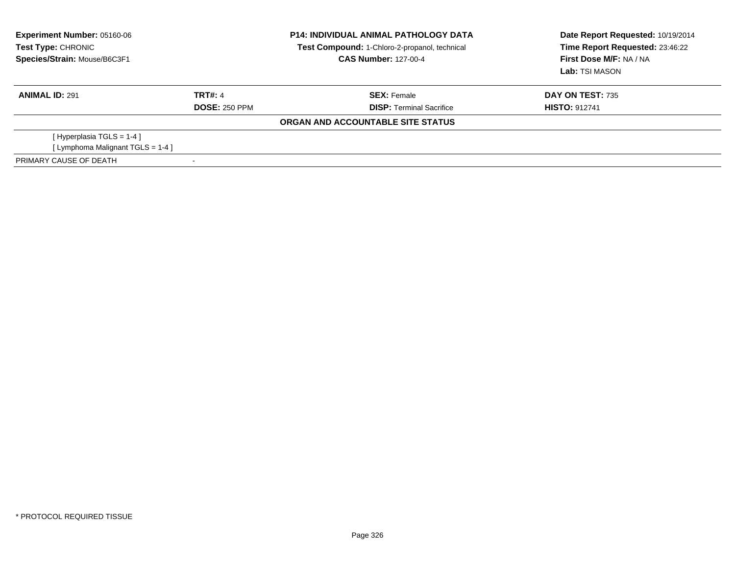| <b>Experiment Number: 05160-06</b><br>Test Type: CHRONIC<br>Species/Strain: Mouse/B6C3F1 |                      | <b>P14: INDIVIDUAL ANIMAL PATHOLOGY DATA</b><br>Test Compound: 1-Chloro-2-propanol, technical<br><b>CAS Number: 127-00-4</b> | Date Report Requested: 10/19/2014<br>Time Report Requested: 23:46:22<br>First Dose M/F: NA / NA<br>Lab: TSI MASON |
|------------------------------------------------------------------------------------------|----------------------|------------------------------------------------------------------------------------------------------------------------------|-------------------------------------------------------------------------------------------------------------------|
| <b>ANIMAL ID: 291</b>                                                                    | TRT#: 4              | <b>SEX: Female</b>                                                                                                           | DAY ON TEST: 735                                                                                                  |
|                                                                                          | <b>DOSE: 250 PPM</b> | <b>DISP:</b> Terminal Sacrifice                                                                                              | <b>HISTO: 912741</b>                                                                                              |
|                                                                                          |                      | ORGAN AND ACCOUNTABLE SITE STATUS                                                                                            |                                                                                                                   |
| [Hyperplasia TGLS = $1-4$ ]                                                              |                      |                                                                                                                              |                                                                                                                   |
| [Lymphoma Malignant TGLS = 1-4]                                                          |                      |                                                                                                                              |                                                                                                                   |
| PRIMARY CAUSE OF DEATH                                                                   |                      |                                                                                                                              |                                                                                                                   |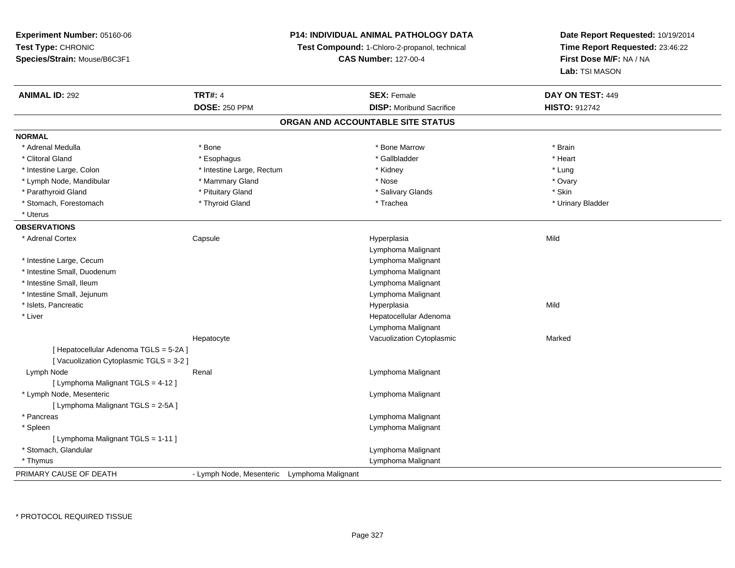| Experiment Number: 05160-06            | P14: INDIVIDUAL ANIMAL PATHOLOGY DATA<br>Test Compound: 1-Chloro-2-propanol, technical |  | Date Report Requested: 10/19/2014 |                         |
|----------------------------------------|----------------------------------------------------------------------------------------|--|-----------------------------------|-------------------------|
| Test Type: CHRONIC                     |                                                                                        |  | Time Report Requested: 23:46:22   |                         |
| Species/Strain: Mouse/B6C3F1           |                                                                                        |  | <b>CAS Number: 127-00-4</b>       | First Dose M/F: NA / NA |
|                                        |                                                                                        |  |                                   | Lab: TSI MASON          |
| <b>ANIMAL ID: 292</b>                  | <b>TRT#: 4</b>                                                                         |  | <b>SEX: Female</b>                | DAY ON TEST: 449        |
|                                        | <b>DOSE: 250 PPM</b>                                                                   |  | <b>DISP:</b> Moribund Sacrifice   | <b>HISTO: 912742</b>    |
|                                        |                                                                                        |  | ORGAN AND ACCOUNTABLE SITE STATUS |                         |
| <b>NORMAL</b>                          |                                                                                        |  |                                   |                         |
| * Adrenal Medulla                      | * Bone                                                                                 |  | * Bone Marrow                     | * Brain                 |
| * Clitoral Gland                       | * Esophagus                                                                            |  | * Gallbladder                     | * Heart                 |
| * Intestine Large, Colon               | * Intestine Large, Rectum                                                              |  | * Kidney                          | * Lung                  |
| * Lymph Node, Mandibular               | * Mammary Gland                                                                        |  | * Nose                            | * Ovary                 |
| * Parathyroid Gland                    | * Pituitary Gland                                                                      |  | * Salivary Glands                 | * Skin                  |
| * Stomach, Forestomach                 | * Thyroid Gland                                                                        |  | * Trachea                         | * Urinary Bladder       |
| * Uterus                               |                                                                                        |  |                                   |                         |
| <b>OBSERVATIONS</b>                    |                                                                                        |  |                                   |                         |
| * Adrenal Cortex                       | Capsule                                                                                |  | Hyperplasia<br>Lymphoma Malignant | Mild                    |
| * Intestine Large, Cecum               |                                                                                        |  | Lymphoma Malignant                |                         |
| * Intestine Small, Duodenum            |                                                                                        |  | Lymphoma Malignant                |                         |
| * Intestine Small, Ileum               |                                                                                        |  | Lymphoma Malignant                |                         |
| * Intestine Small, Jejunum             |                                                                                        |  | Lymphoma Malignant                |                         |
| * Islets, Pancreatic                   |                                                                                        |  | Hyperplasia                       | Mild                    |
| * Liver                                |                                                                                        |  | Hepatocellular Adenoma            |                         |
|                                        |                                                                                        |  | Lymphoma Malignant                |                         |
|                                        | Hepatocyte                                                                             |  | Vacuolization Cytoplasmic         | Marked                  |
| [ Hepatocellular Adenoma TGLS = 5-2A ] |                                                                                        |  |                                   |                         |
| [Vacuolization Cytoplasmic TGLS = 3-2] |                                                                                        |  |                                   |                         |
| Lymph Node                             | Renal                                                                                  |  | Lymphoma Malignant                |                         |
| [ Lymphoma Malignant TGLS = 4-12 ]     |                                                                                        |  |                                   |                         |
| * Lymph Node, Mesenteric               |                                                                                        |  | Lymphoma Malignant                |                         |
| [ Lymphoma Malignant TGLS = 2-5A ]     |                                                                                        |  |                                   |                         |
| * Pancreas                             |                                                                                        |  | Lymphoma Malignant                |                         |
| * Spleen                               |                                                                                        |  | Lymphoma Malignant                |                         |
| [ Lymphoma Malignant TGLS = 1-11 ]     |                                                                                        |  |                                   |                         |
| * Stomach, Glandular                   |                                                                                        |  | Lymphoma Malignant                |                         |
| * Thymus                               |                                                                                        |  | Lymphoma Malignant                |                         |
| PRIMARY CAUSE OF DEATH                 | - Lymph Node, Mesenteric Lymphoma Malignant                                            |  |                                   |                         |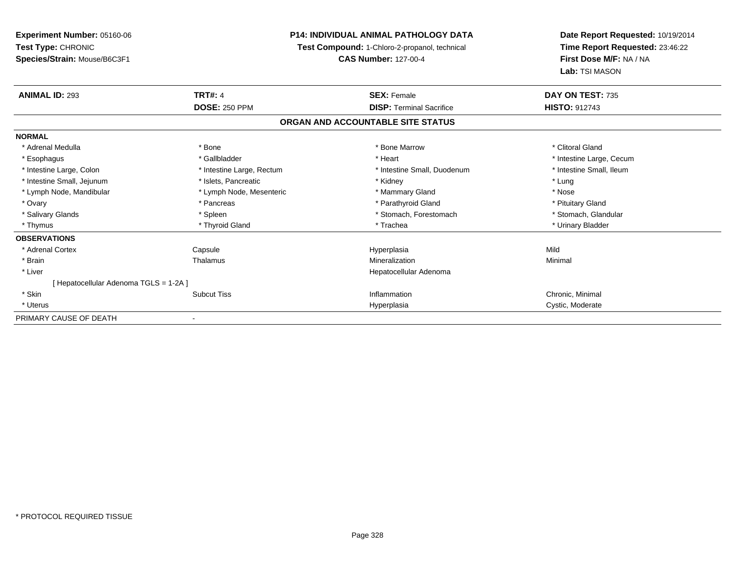**Experiment Number:** 05160-06**Test Type:** CHRONIC **Species/Strain:** Mouse/B6C3F1**P14: INDIVIDUAL ANIMAL PATHOLOGY DATATest Compound:** 1-Chloro-2-propanol, technical **CAS Number:** 127-00-4**Date Report Requested:** 10/19/2014**Time Report Requested:** 23:46:22**First Dose M/F:** NA / NA**Lab:** TSI MASON**ANIMAL ID:** 293**TRT#:** 4 **SEX:** Female **SEX: Female DAY ON TEST:** 735 **DOSE:** 250 PPM **DISP:** Terminal Sacrifice **HISTO:** <sup>912743</sup> **ORGAN AND ACCOUNTABLE SITE STATUSNORMAL**\* Adrenal Medulla \* The state of the state of the state of the state of the Marrow \* Bone Marrow \* Clitoral Gland \* Clitoral Gland \* Esophagus \* https://www.fragustage.com/web/2019/heart \* Heart \* Heart \* Heart \* Intestine Large, Cecum \* Intestine Large, Cecum \* Sallbladder \* The state of the state of the state of the state of the state of the state o \* Intestine Small, Ileum \* Intestine Large, Colon \* Intestine Large, Rectum \* Intestine Small, Duodenum \* Intestine Small, Duodenum \* Intestine Small, Jejunum \* The metal was a structure of the structure of the structure of the structure of the structure of the structure of the structure of the structure of the structure of the structure of the structu \* Nose \* Lymph Node, Mandibular \* Lymph Node, Mesenteric \* Mammary Gland \* Mammary Gland \* Pituitary Gland \* Ovary \* Pancreas \* Pancreas \* Pancreas \* Parathyroid Gland \* Parathyroid Gland \* Stomach, Glandular \* Salivary Glands \* Spleen \* Spleen \* Spleen \* Stomach, Forestomach \* Stomach, Forestomach \* Thymus \* Thyroid Gland \* Trachea \* Urinary Bladder \* **OBSERVATIONS** \* Adrenal Cortex Capsule Hyperplasia Mild \* Brainn and the Thalamus and the Minimal and Mineralization and Minimal Minimal and Minimal and Minimal and Minimal  $\mu$  \* Liver Hepatocellular Adenoma[ Hepatocellular Adenoma TGLS = 1-2A ] \* Skinn the contract the Subcut Tiss the Subcut Tiss of the Chronic, Minimal of the Subcut Tiss of the Chronic, Minimal of the Subcut Tiss of the Chronic, Minimal of the Subcut Tiss of the Chronic, Minimal of the Subcut Tiss of \* Uteruss and the contract of the contract of the contract of the contract of the contract of the contract of the contract of the contract of the contract of the contract of the contract of the contract of the contract of the cont Hyperplasia **Cystic, Moderate** PRIMARY CAUSE OF DEATH-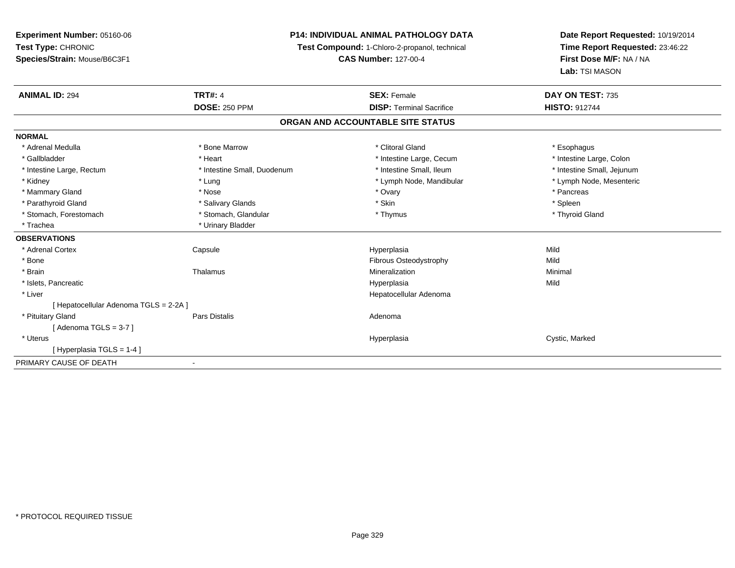# **P14: INDIVIDUAL ANIMAL PATHOLOGY DATA**

**Test Compound:** 1-Chloro-2-propanol, technical

**CAS Number:** 127-00-4

| <b>ANIMAL ID: 294</b>                | <b>TRT#: 4</b><br><b>DOSE: 250 PPM</b> | <b>SEX: Female</b><br><b>DISP: Terminal Sacrifice</b> | DAY ON TEST: 735<br><b>HISTO: 912744</b> |
|--------------------------------------|----------------------------------------|-------------------------------------------------------|------------------------------------------|
|                                      |                                        | ORGAN AND ACCOUNTABLE SITE STATUS                     |                                          |
| <b>NORMAL</b>                        |                                        |                                                       |                                          |
| * Adrenal Medulla                    | * Bone Marrow                          | * Clitoral Gland                                      | * Esophagus                              |
| * Gallbladder                        | * Heart                                | * Intestine Large, Cecum                              | * Intestine Large, Colon                 |
| * Intestine Large, Rectum            | * Intestine Small, Duodenum            | * Intestine Small. Ileum                              | * Intestine Small, Jejunum               |
| * Kidney                             | * Lung                                 | * Lymph Node, Mandibular                              | * Lymph Node, Mesenteric                 |
| * Mammary Gland                      | * Nose                                 | * Ovary                                               | * Pancreas                               |
| * Parathyroid Gland                  | * Salivary Glands                      | * Skin                                                | * Spleen                                 |
| * Stomach, Forestomach               | * Stomach, Glandular                   | * Thymus                                              | * Thyroid Gland                          |
| * Trachea                            | * Urinary Bladder                      |                                                       |                                          |
| <b>OBSERVATIONS</b>                  |                                        |                                                       |                                          |
| * Adrenal Cortex                     | Capsule                                | Hyperplasia                                           | Mild                                     |
| * Bone                               |                                        | <b>Fibrous Osteodystrophy</b>                         | Mild                                     |
| * Brain                              | Thalamus                               | Mineralization                                        | Minimal                                  |
| * Islets, Pancreatic                 |                                        | Hyperplasia                                           | Mild                                     |
| * Liver                              |                                        | Hepatocellular Adenoma                                |                                          |
| [Hepatocellular Adenoma TGLS = 2-2A] |                                        |                                                       |                                          |
| * Pituitary Gland                    | <b>Pars Distalis</b>                   | Adenoma                                               |                                          |
| [Adenoma TGLS = $3-7$ ]              |                                        |                                                       |                                          |
| * Uterus                             |                                        | Hyperplasia                                           | Cystic, Marked                           |
| [Hyperplasia TGLS = 1-4]             |                                        |                                                       |                                          |
| PRIMARY CAUSE OF DEATH               |                                        |                                                       |                                          |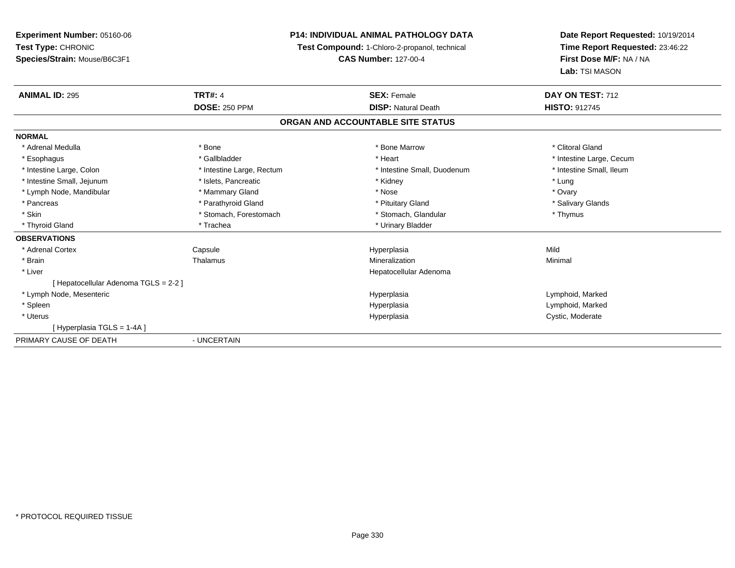# **P14: INDIVIDUAL ANIMAL PATHOLOGY DATA**

**Test Compound:** 1-Chloro-2-propanol, technical

**CAS Number:** 127-00-4

| <b>ANIMAL ID: 295</b>               | <b>TRT#: 4</b>            | <b>SEX: Female</b>                | DAY ON TEST: 712         |  |
|-------------------------------------|---------------------------|-----------------------------------|--------------------------|--|
|                                     | <b>DOSE: 250 PPM</b>      | <b>DISP: Natural Death</b>        | <b>HISTO: 912745</b>     |  |
|                                     |                           | ORGAN AND ACCOUNTABLE SITE STATUS |                          |  |
| <b>NORMAL</b>                       |                           |                                   |                          |  |
| * Adrenal Medulla                   | * Bone                    | * Bone Marrow                     | * Clitoral Gland         |  |
| * Esophagus                         | * Gallbladder             | * Heart                           | * Intestine Large, Cecum |  |
| * Intestine Large, Colon            | * Intestine Large, Rectum | * Intestine Small, Duodenum       | * Intestine Small, Ileum |  |
| * Intestine Small, Jejunum          | * Islets, Pancreatic      | * Kidney                          | * Lung                   |  |
| * Lymph Node, Mandibular            | * Mammary Gland           | * Nose                            | * Ovary                  |  |
| * Pancreas                          | * Parathyroid Gland       | * Pituitary Gland                 | * Salivary Glands        |  |
| * Skin                              | * Stomach, Forestomach    | * Stomach, Glandular              | * Thymus                 |  |
| * Thyroid Gland                     | * Trachea                 | * Urinary Bladder                 |                          |  |
| <b>OBSERVATIONS</b>                 |                           |                                   |                          |  |
| * Adrenal Cortex                    | Capsule                   | Hyperplasia                       | Mild                     |  |
| * Brain                             | Thalamus                  | Mineralization                    | Minimal                  |  |
| * Liver                             |                           | Hepatocellular Adenoma            |                          |  |
| [Hepatocellular Adenoma TGLS = 2-2] |                           |                                   |                          |  |
| * Lymph Node, Mesenteric            |                           | Hyperplasia                       | Lymphoid, Marked         |  |
| * Spleen                            |                           | Hyperplasia                       | Lymphoid, Marked         |  |
| * Uterus                            |                           | Hyperplasia                       | Cystic, Moderate         |  |
| [Hyperplasia TGLS = 1-4A]           |                           |                                   |                          |  |
| PRIMARY CAUSE OF DEATH              | - UNCERTAIN               |                                   |                          |  |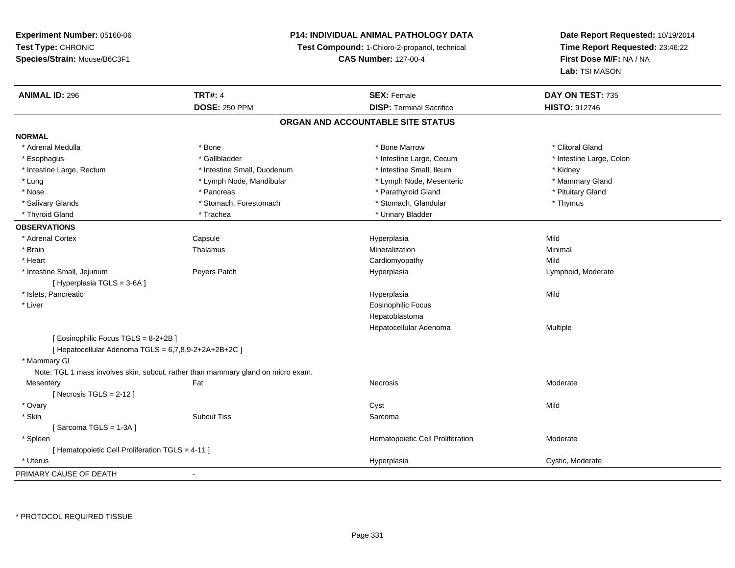# **P14: INDIVIDUAL ANIMAL PATHOLOGY DATA**

**Test Compound:** 1-Chloro-2-propanol, technical

**CAS Number:** 127-00-4

| <b>ANIMAL ID: 296</b>                                   | <b>TRT#: 4</b>                                                                   | <b>SEX: Female</b>                | DAY ON TEST: 735         |  |
|---------------------------------------------------------|----------------------------------------------------------------------------------|-----------------------------------|--------------------------|--|
|                                                         | <b>DOSE: 250 PPM</b>                                                             | <b>DISP: Terminal Sacrifice</b>   | <b>HISTO: 912746</b>     |  |
|                                                         |                                                                                  | ORGAN AND ACCOUNTABLE SITE STATUS |                          |  |
| <b>NORMAL</b>                                           |                                                                                  |                                   |                          |  |
| * Adrenal Medulla                                       | * Bone                                                                           | * Bone Marrow                     | * Clitoral Gland         |  |
| * Esophagus                                             | * Gallbladder                                                                    | * Intestine Large, Cecum          | * Intestine Large, Colon |  |
| * Intestine Large, Rectum                               | * Intestine Small, Duodenum                                                      | * Intestine Small, Ileum          | * Kidney                 |  |
| * Lung                                                  | * Lymph Node, Mandibular                                                         | * Lymph Node, Mesenteric          | * Mammary Gland          |  |
| * Nose                                                  | * Pancreas                                                                       | * Parathyroid Gland               | * Pituitary Gland        |  |
| * Salivary Glands                                       | * Stomach, Forestomach                                                           | * Stomach, Glandular              | * Thymus                 |  |
| * Thyroid Gland                                         | * Trachea                                                                        | * Urinary Bladder                 |                          |  |
| <b>OBSERVATIONS</b>                                     |                                                                                  |                                   |                          |  |
| * Adrenal Cortex                                        | Capsule                                                                          | Hyperplasia                       | Mild                     |  |
| * Brain                                                 | Thalamus                                                                         | Mineralization                    | Minimal                  |  |
| * Heart                                                 |                                                                                  | Cardiomyopathy                    | Mild                     |  |
| * Intestine Small, Jejunum<br>[Hyperplasia TGLS = 3-6A] | Peyers Patch                                                                     | Hyperplasia                       | Lymphoid, Moderate       |  |
| * Islets, Pancreatic                                    |                                                                                  | Hyperplasia                       | Mild                     |  |
| * Liver                                                 |                                                                                  | <b>Eosinophilic Focus</b>         |                          |  |
|                                                         |                                                                                  | Hepatoblastoma                    |                          |  |
|                                                         |                                                                                  | Hepatocellular Adenoma            | Multiple                 |  |
| [ Eosinophilic Focus TGLS = 8-2+2B ]                    |                                                                                  |                                   |                          |  |
| [ Hepatocellular Adenoma TGLS = 6,7,8,9-2+2A+2B+2C ]    |                                                                                  |                                   |                          |  |
| * Mammary GI                                            |                                                                                  |                                   |                          |  |
|                                                         | Note: TGL 1 mass involves skin, subcut. rather than mammary gland on micro exam. |                                   |                          |  |
| Mesentery                                               | Fat                                                                              | Necrosis                          | Moderate                 |  |
| [Necrosis TGLS = $2-12$ ]                               |                                                                                  |                                   |                          |  |
| * Ovary                                                 |                                                                                  | Cyst                              | Mild                     |  |
| * Skin                                                  | <b>Subcut Tiss</b>                                                               | Sarcoma                           |                          |  |
| [Sarcoma TGLS = $1-3A$ ]                                |                                                                                  |                                   |                          |  |
| * Spleen                                                |                                                                                  | Hematopoietic Cell Proliferation  | Moderate                 |  |
| [ Hematopoietic Cell Proliferation TGLS = 4-11 ]        |                                                                                  |                                   |                          |  |
| * Uterus                                                |                                                                                  | Hyperplasia                       | Cystic, Moderate         |  |
| PRIMARY CAUSE OF DEATH                                  |                                                                                  |                                   |                          |  |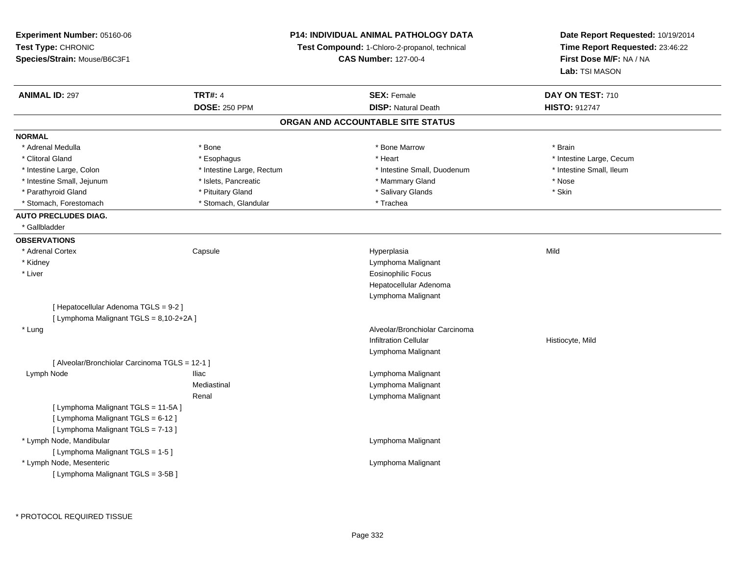| Experiment Number: 05160-06                    |                           | P14: INDIVIDUAL ANIMAL PATHOLOGY DATA         | Date Report Requested: 10/19/2014                          |  |
|------------------------------------------------|---------------------------|-----------------------------------------------|------------------------------------------------------------|--|
| Test Type: CHRONIC                             |                           | Test Compound: 1-Chloro-2-propanol, technical | Time Report Requested: 23:46:22<br>First Dose M/F: NA / NA |  |
| Species/Strain: Mouse/B6C3F1                   |                           | <b>CAS Number: 127-00-4</b>                   |                                                            |  |
|                                                |                           |                                               | Lab: TSI MASON                                             |  |
| <b>ANIMAL ID: 297</b>                          | <b>TRT#: 4</b>            | <b>SEX: Female</b>                            | DAY ON TEST: 710                                           |  |
|                                                | <b>DOSE: 250 PPM</b>      | <b>DISP: Natural Death</b>                    | <b>HISTO: 912747</b>                                       |  |
|                                                |                           | ORGAN AND ACCOUNTABLE SITE STATUS             |                                                            |  |
| <b>NORMAL</b>                                  |                           |                                               |                                                            |  |
| * Adrenal Medulla                              | $*$ Bone                  | * Bone Marrow                                 | * Brain                                                    |  |
| * Clitoral Gland                               | * Esophagus               | * Heart                                       | * Intestine Large, Cecum                                   |  |
| * Intestine Large, Colon                       | * Intestine Large, Rectum | * Intestine Small, Duodenum                   | * Intestine Small, Ileum                                   |  |
| * Intestine Small, Jejunum                     | * Islets, Pancreatic      | * Mammary Gland                               | * Nose                                                     |  |
| * Parathyroid Gland                            | * Pituitary Gland         | * Salivary Glands                             | * Skin                                                     |  |
| * Stomach, Forestomach                         | * Stomach, Glandular      | * Trachea                                     |                                                            |  |
| <b>AUTO PRECLUDES DIAG.</b>                    |                           |                                               |                                                            |  |
| * Gallbladder                                  |                           |                                               |                                                            |  |
| <b>OBSERVATIONS</b>                            |                           |                                               |                                                            |  |
| * Adrenal Cortex                               | Capsule                   | Hyperplasia                                   | Mild                                                       |  |
| * Kidney                                       |                           | Lymphoma Malignant                            |                                                            |  |
| * Liver                                        |                           | <b>Eosinophilic Focus</b>                     |                                                            |  |
|                                                |                           | Hepatocellular Adenoma                        |                                                            |  |
|                                                |                           | Lymphoma Malignant                            |                                                            |  |
| [ Hepatocellular Adenoma TGLS = 9-2 ]          |                           |                                               |                                                            |  |
| [ Lymphoma Malignant TGLS = 8,10-2+2A ]        |                           |                                               |                                                            |  |
| * Lung                                         |                           | Alveolar/Bronchiolar Carcinoma                |                                                            |  |
|                                                |                           | <b>Infiltration Cellular</b>                  | Histiocyte, Mild                                           |  |
|                                                |                           | Lymphoma Malignant                            |                                                            |  |
| [ Alveolar/Bronchiolar Carcinoma TGLS = 12-1 ] |                           |                                               |                                                            |  |
| Lymph Node                                     | <b>Iliac</b>              | Lymphoma Malignant                            |                                                            |  |
|                                                | Mediastinal               | Lymphoma Malignant                            |                                                            |  |
|                                                | Renal                     | Lymphoma Malignant                            |                                                            |  |
| [ Lymphoma Malignant TGLS = 11-5A]             |                           |                                               |                                                            |  |
| [ Lymphoma Malignant TGLS = 6-12 ]             |                           |                                               |                                                            |  |
| [ Lymphoma Malignant TGLS = 7-13 ]             |                           |                                               |                                                            |  |
| * Lymph Node, Mandibular                       |                           | Lymphoma Malignant                            |                                                            |  |
| [ Lymphoma Malignant TGLS = 1-5 ]              |                           |                                               |                                                            |  |
| * Lymph Node, Mesenteric                       |                           | Lymphoma Malignant                            |                                                            |  |
| [ Lymphoma Malignant TGLS = 3-5B]              |                           |                                               |                                                            |  |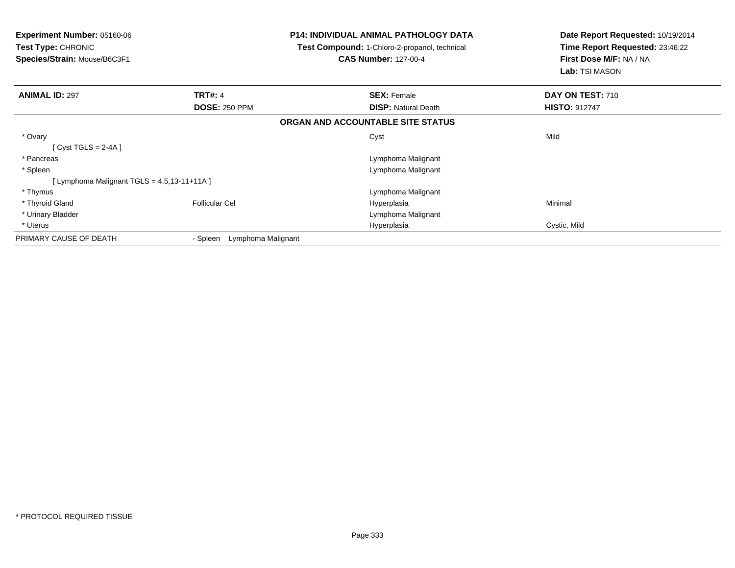| Experiment Number: 05160-06<br><b>Test Type: CHRONIC</b><br>Species/Strain: Mouse/B6C3F1 |                                | <b>P14: INDIVIDUAL ANIMAL PATHOLOGY DATA</b><br>Test Compound: 1-Chloro-2-propanol, technical<br><b>CAS Number: 127-00-4</b> | Date Report Requested: 10/19/2014<br>Time Report Requested: 23:46:22<br>First Dose M/F: NA / NA<br>Lab: TSI MASON |  |
|------------------------------------------------------------------------------------------|--------------------------------|------------------------------------------------------------------------------------------------------------------------------|-------------------------------------------------------------------------------------------------------------------|--|
| <b>ANIMAL ID: 297</b>                                                                    | <b>TRT#: 4</b>                 | <b>SEX: Female</b>                                                                                                           | DAY ON TEST: 710                                                                                                  |  |
|                                                                                          | <b>DOSE: 250 PPM</b>           | <b>DISP: Natural Death</b>                                                                                                   | <b>HISTO: 912747</b>                                                                                              |  |
|                                                                                          |                                | ORGAN AND ACCOUNTABLE SITE STATUS                                                                                            |                                                                                                                   |  |
| * Ovary                                                                                  |                                | Cyst                                                                                                                         | Mild                                                                                                              |  |
| [Cyst TGLS = $2-4A$ ]                                                                    |                                |                                                                                                                              |                                                                                                                   |  |
| * Pancreas                                                                               |                                | Lymphoma Malignant                                                                                                           |                                                                                                                   |  |
| * Spleen                                                                                 |                                | Lymphoma Malignant                                                                                                           |                                                                                                                   |  |
| [Lymphoma Malignant TGLS = $4,5,13-11+11A$ ]                                             |                                |                                                                                                                              |                                                                                                                   |  |
| * Thymus                                                                                 |                                | Lymphoma Malignant                                                                                                           |                                                                                                                   |  |
| * Thyroid Gland                                                                          | <b>Follicular Cel</b>          | Hyperplasia                                                                                                                  | Minimal                                                                                                           |  |
| * Urinary Bladder                                                                        |                                | Lymphoma Malignant                                                                                                           |                                                                                                                   |  |
| * Uterus                                                                                 |                                | Hyperplasia                                                                                                                  | Cystic, Mild                                                                                                      |  |
| PRIMARY CAUSE OF DEATH                                                                   | - Spleen<br>Lymphoma Malignant |                                                                                                                              |                                                                                                                   |  |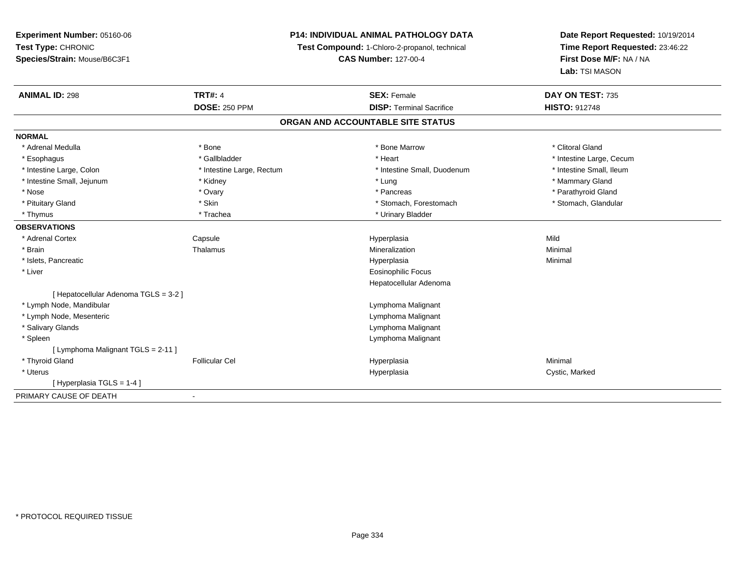# **P14: INDIVIDUAL ANIMAL PATHOLOGY DATA**

**Test Compound:** 1-Chloro-2-propanol, technical

**CAS Number:** 127-00-4

| <b>ANIMAL ID: 298</b>                 | <b>TRT#: 4</b>            | <b>SEX: Female</b>                | DAY ON TEST: 735         |
|---------------------------------------|---------------------------|-----------------------------------|--------------------------|
|                                       | <b>DOSE: 250 PPM</b>      | <b>DISP: Terminal Sacrifice</b>   | <b>HISTO: 912748</b>     |
|                                       |                           | ORGAN AND ACCOUNTABLE SITE STATUS |                          |
| <b>NORMAL</b>                         |                           |                                   |                          |
| * Adrenal Medulla                     | * Bone                    | * Bone Marrow                     | * Clitoral Gland         |
| * Esophagus                           | * Gallbladder             | * Heart                           | * Intestine Large, Cecum |
| * Intestine Large, Colon              | * Intestine Large, Rectum | * Intestine Small, Duodenum       | * Intestine Small, Ileum |
| * Intestine Small, Jejunum            | * Kidney                  | * Lung                            | * Mammary Gland          |
| * Nose                                | * Ovary                   | * Pancreas                        | * Parathyroid Gland      |
| * Pituitary Gland                     | * Skin                    | * Stomach, Forestomach            | * Stomach, Glandular     |
| * Thymus                              | * Trachea                 | * Urinary Bladder                 |                          |
| <b>OBSERVATIONS</b>                   |                           |                                   |                          |
| * Adrenal Cortex                      | Capsule                   | Hyperplasia                       | Mild                     |
| * Brain                               | Thalamus                  | Mineralization                    | Minimal                  |
| * Islets, Pancreatic                  |                           | Hyperplasia                       | Minimal                  |
| * Liver                               |                           | <b>Eosinophilic Focus</b>         |                          |
|                                       |                           | Hepatocellular Adenoma            |                          |
| [ Hepatocellular Adenoma TGLS = 3-2 ] |                           |                                   |                          |
| * Lymph Node, Mandibular              |                           | Lymphoma Malignant                |                          |
| * Lymph Node, Mesenteric              |                           | Lymphoma Malignant                |                          |
| * Salivary Glands                     |                           | Lymphoma Malignant                |                          |
| * Spleen                              |                           | Lymphoma Malignant                |                          |
| [ Lymphoma Malignant TGLS = 2-11 ]    |                           |                                   |                          |
| * Thyroid Gland                       | <b>Follicular Cel</b>     | Hyperplasia                       | Minimal                  |
| * Uterus                              |                           | Hyperplasia                       | Cystic, Marked           |
| [Hyperplasia TGLS = 1-4]              |                           |                                   |                          |
| PRIMARY CAUSE OF DEATH                | $\blacksquare$            |                                   |                          |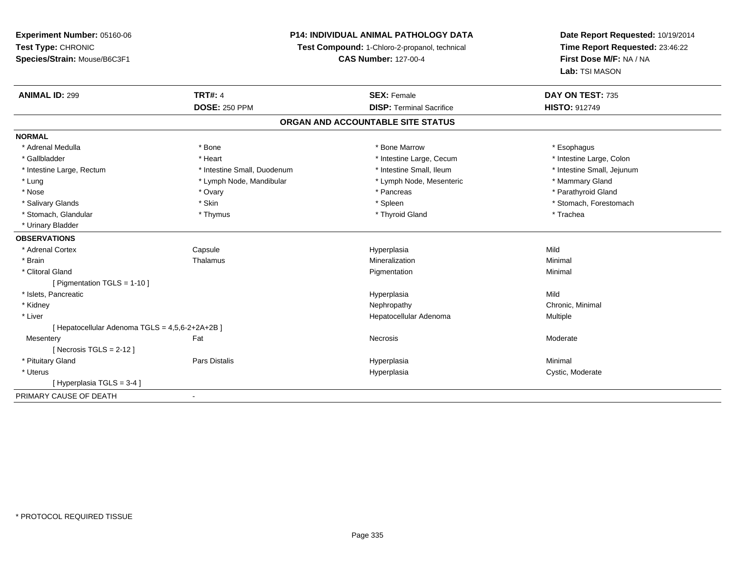# **P14: INDIVIDUAL ANIMAL PATHOLOGY DATA**

**Test Compound:** 1-Chloro-2-propanol, technical

**CAS Number:** 127-00-4

| <b>ANIMAL ID: 299</b>                           | <b>TRT#: 4</b>              | <b>SEX: Female</b>                | DAY ON TEST: 735           |
|-------------------------------------------------|-----------------------------|-----------------------------------|----------------------------|
|                                                 | <b>DOSE: 250 PPM</b>        | <b>DISP: Terminal Sacrifice</b>   | <b>HISTO: 912749</b>       |
|                                                 |                             | ORGAN AND ACCOUNTABLE SITE STATUS |                            |
| <b>NORMAL</b>                                   |                             |                                   |                            |
| * Adrenal Medulla                               | * Bone                      | * Bone Marrow                     | * Esophagus                |
| * Gallbladder                                   | * Heart                     | * Intestine Large, Cecum          | * Intestine Large, Colon   |
| * Intestine Large, Rectum                       | * Intestine Small, Duodenum | * Intestine Small, Ileum          | * Intestine Small, Jejunum |
| * Lung                                          | * Lymph Node, Mandibular    | * Lymph Node, Mesenteric          | * Mammary Gland            |
| * Nose                                          | * Ovary                     | * Pancreas                        | * Parathyroid Gland        |
| * Salivary Glands                               | * Skin                      | * Spleen                          | * Stomach, Forestomach     |
| * Stomach, Glandular                            | * Thymus                    | * Thyroid Gland                   | * Trachea                  |
| * Urinary Bladder                               |                             |                                   |                            |
| <b>OBSERVATIONS</b>                             |                             |                                   |                            |
| * Adrenal Cortex                                | Capsule                     | Hyperplasia                       | Mild                       |
| * Brain                                         | Thalamus                    | Mineralization                    | Minimal                    |
| * Clitoral Gland                                |                             | Pigmentation                      | Minimal                    |
| [ Pigmentation TGLS = $1-10$ ]                  |                             |                                   |                            |
| * Islets, Pancreatic                            |                             | Hyperplasia                       | Mild                       |
| * Kidney                                        |                             | Nephropathy                       | Chronic, Minimal           |
| * Liver                                         |                             | Hepatocellular Adenoma            | Multiple                   |
| [ Hepatocellular Adenoma TGLS = 4,5,6-2+2A+2B ] |                             |                                   |                            |
| Mesentery                                       | Fat                         | <b>Necrosis</b>                   | Moderate                   |
| [Necrosis TGLS = $2-12$ ]                       |                             |                                   |                            |
| * Pituitary Gland                               | Pars Distalis               | Hyperplasia                       | Minimal                    |
| * Uterus                                        |                             | Hyperplasia                       | Cystic, Moderate           |
| [Hyperplasia TGLS = 3-4]                        |                             |                                   |                            |
| PRIMARY CAUSE OF DEATH                          | ۰                           |                                   |                            |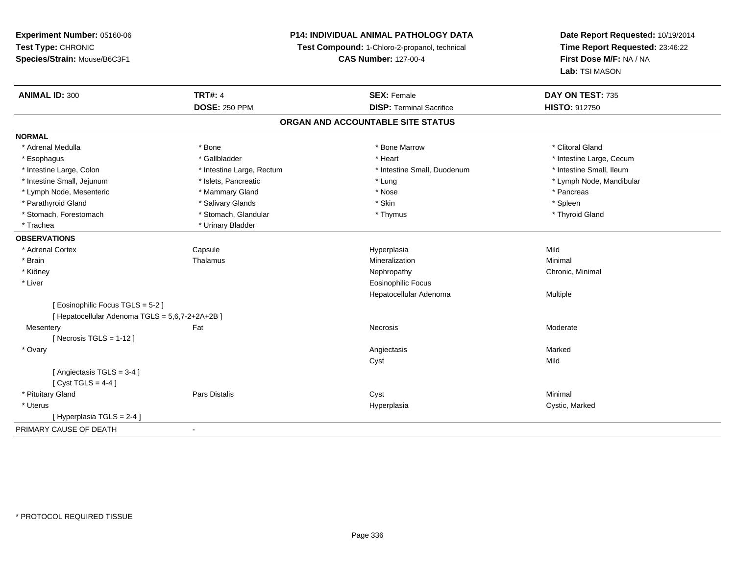# **P14: INDIVIDUAL ANIMAL PATHOLOGY DATA**

**Test Compound:** 1-Chloro-2-propanol, technical

**CAS Number:** 127-00-4

| <b>ANIMAL ID: 300</b>                         | <b>TRT#: 4</b>            | <b>SEX: Female</b>                | DAY ON TEST: 735         |
|-----------------------------------------------|---------------------------|-----------------------------------|--------------------------|
|                                               | <b>DOSE: 250 PPM</b>      | <b>DISP: Terminal Sacrifice</b>   | <b>HISTO: 912750</b>     |
|                                               |                           | ORGAN AND ACCOUNTABLE SITE STATUS |                          |
| <b>NORMAL</b>                                 |                           |                                   |                          |
| * Adrenal Medulla                             | * Bone                    | * Bone Marrow                     | * Clitoral Gland         |
| * Esophagus                                   | * Gallbladder             | * Heart                           | * Intestine Large, Cecum |
| * Intestine Large, Colon                      | * Intestine Large, Rectum | * Intestine Small, Duodenum       | * Intestine Small, Ileum |
| * Intestine Small, Jejunum                    | * Islets, Pancreatic      | * Lung                            | * Lymph Node, Mandibular |
| * Lymph Node, Mesenteric                      | * Mammary Gland           | * Nose                            | * Pancreas               |
| * Parathyroid Gland                           | * Salivary Glands         | * Skin                            | * Spleen                 |
| * Stomach, Forestomach                        | * Stomach, Glandular      | * Thymus                          | * Thyroid Gland          |
| * Trachea                                     | * Urinary Bladder         |                                   |                          |
| <b>OBSERVATIONS</b>                           |                           |                                   |                          |
| * Adrenal Cortex                              | Capsule                   | Hyperplasia                       | Mild                     |
| * Brain                                       | Thalamus                  | Mineralization                    | Minimal                  |
| * Kidney                                      |                           | Nephropathy                       | Chronic, Minimal         |
| * Liver                                       |                           | <b>Eosinophilic Focus</b>         |                          |
|                                               |                           | Hepatocellular Adenoma            | Multiple                 |
| [Eosinophilic Focus TGLS = 5-2]               |                           |                                   |                          |
| [Hepatocellular Adenoma TGLS = 5,6,7-2+2A+2B] |                           |                                   |                          |
| Mesentery                                     | Fat                       | Necrosis                          | Moderate                 |
| [Necrosis TGLS = $1-12$ ]                     |                           |                                   |                          |
| * Ovary                                       |                           | Angiectasis                       | Marked                   |
|                                               |                           | Cyst                              | Mild                     |
| [Angiectasis TGLS = 3-4 ]                     |                           |                                   |                          |
| [Cyst TGLS = $4-4$ ]                          |                           |                                   |                          |
| * Pituitary Gland                             | Pars Distalis             | Cyst                              | Minimal                  |
| * Uterus                                      |                           | Hyperplasia                       | Cystic, Marked           |
| [Hyperplasia TGLS = 2-4 ]                     |                           |                                   |                          |
| PRIMARY CAUSE OF DEATH                        | $\blacksquare$            |                                   |                          |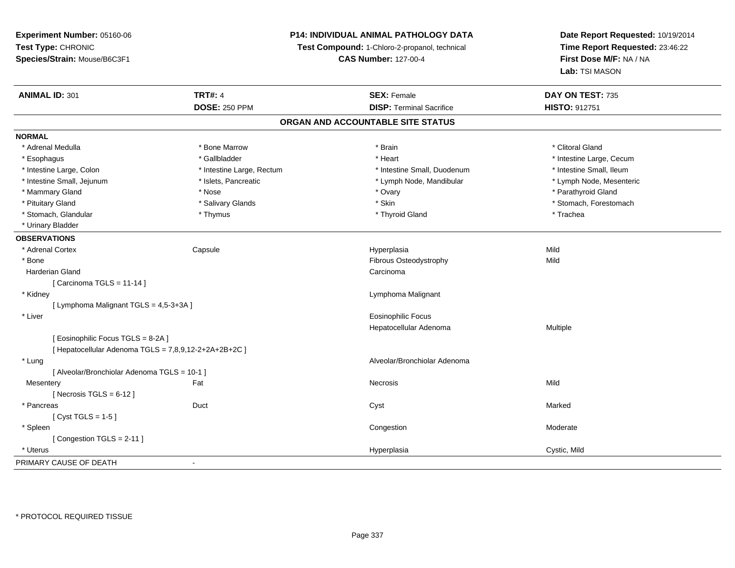# **P14: INDIVIDUAL ANIMAL PATHOLOGY DATA**

**Test Compound:** 1-Chloro-2-propanol, technical

**CAS Number:** 127-00-4

| <b>ANIMAL ID: 301</b>                                 | <b>TRT#: 4</b>            | <b>SEX: Female</b>                | DAY ON TEST: 735         |
|-------------------------------------------------------|---------------------------|-----------------------------------|--------------------------|
|                                                       | <b>DOSE: 250 PPM</b>      | <b>DISP: Terminal Sacrifice</b>   | HISTO: 912751            |
|                                                       |                           | ORGAN AND ACCOUNTABLE SITE STATUS |                          |
| <b>NORMAL</b>                                         |                           |                                   |                          |
| * Adrenal Medulla                                     | * Bone Marrow             | * Brain                           | * Clitoral Gland         |
| * Esophagus                                           | * Gallbladder             | * Heart                           | * Intestine Large, Cecum |
| * Intestine Large, Colon                              | * Intestine Large, Rectum | * Intestine Small, Duodenum       | * Intestine Small, Ileum |
| * Intestine Small, Jejunum                            | * Islets, Pancreatic      | * Lymph Node, Mandibular          | * Lymph Node, Mesenteric |
| * Mammary Gland                                       | * Nose                    | * Ovary                           | * Parathyroid Gland      |
| * Pituitary Gland                                     | * Salivary Glands         | * Skin                            | * Stomach, Forestomach   |
| * Stomach, Glandular                                  | * Thymus                  | * Thyroid Gland                   | * Trachea                |
| * Urinary Bladder                                     |                           |                                   |                          |
| <b>OBSERVATIONS</b>                                   |                           |                                   |                          |
| * Adrenal Cortex                                      | Capsule                   | Hyperplasia                       | Mild                     |
| * Bone                                                |                           | Fibrous Osteodystrophy            | Mild                     |
| <b>Harderian Gland</b>                                |                           | Carcinoma                         |                          |
| [Carcinoma TGLS = 11-14]                              |                           |                                   |                          |
| * Kidney                                              |                           | Lymphoma Malignant                |                          |
| [ Lymphoma Malignant TGLS = 4,5-3+3A ]                |                           |                                   |                          |
| * Liver                                               |                           | <b>Eosinophilic Focus</b>         |                          |
|                                                       |                           | Hepatocellular Adenoma            | Multiple                 |
| [Eosinophilic Focus TGLS = 8-2A]                      |                           |                                   |                          |
| [ Hepatocellular Adenoma TGLS = 7,8,9,12-2+2A+2B+2C ] |                           |                                   |                          |
| * Lung                                                |                           | Alveolar/Bronchiolar Adenoma      |                          |
| [ Alveolar/Bronchiolar Adenoma TGLS = 10-1 ]          |                           |                                   |                          |
| Mesentery                                             | Fat                       | Necrosis                          | Mild                     |
| [Necrosis TGLS = $6-12$ ]                             |                           |                                   |                          |
| * Pancreas                                            | Duct                      | Cyst                              | Marked                   |
| [Cyst TGLS = $1-5$ ]                                  |                           |                                   |                          |
| * Spleen                                              |                           | Congestion                        | Moderate                 |
| [Congestion TGLS = 2-11]                              |                           |                                   |                          |
| * Uterus                                              |                           | Hyperplasia                       | Cystic, Mild             |
| PRIMARY CAUSE OF DEATH                                |                           |                                   |                          |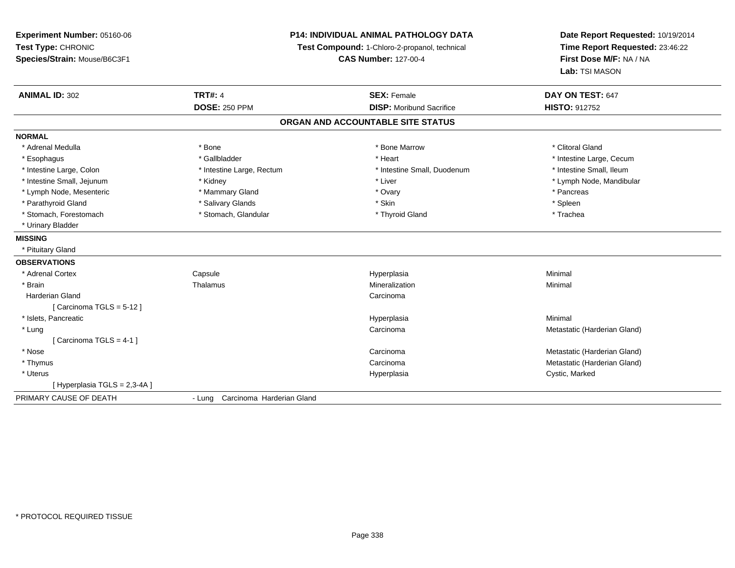**Experiment Number:** 05160-06**Test Type:** CHRONIC **Species/Strain:** Mouse/B6C3F1**P14: INDIVIDUAL ANIMAL PATHOLOGY DATATest Compound:** 1-Chloro-2-propanol, technical **CAS Number:** 127-00-4**Date Report Requested:** 10/19/2014**Time Report Requested:** 23:46:22**First Dose M/F:** NA / NA**Lab:** TSI MASON**ANIMAL ID:** 302**TRT#:** 4 **SEX:** Female **SEX: Female DAY ON TEST:** 647 **DOSE:** 250 PPM **DISP:** Moribund Sacrifice **HISTO:** <sup>912752</sup> **ORGAN AND ACCOUNTABLE SITE STATUSNORMAL**\* Adrenal Medulla \* The state of the state of the state of the state of the Marrow \* Bone Marrow \* Clitoral Gland \* Clitoral Gland \* Esophagus \* https://www.fragustage.com/web/2019/heart \* Heart \* Heart \* Heart \* Intestine Large, Cecum \* Intestine Large, Cecum \* Sallbladder \* The state of the state of the state of the state of the state of the state o \* Intestine Small. Ileum \* Intestine Large, Colon \* Intestine Large, Rectum \* Intestine Small, Duodenum \* Intestine Small, Duodenum \* Intestine Small, Jejunum \* \* Android \* \* Kidney \* Android \* Liver \* Liver \* Liver \* \* Liver \* \* Lymph Node, Mandibular \* Lymph Node, Mandibular \* Lymph Node, Mandibular \* Lymph Node, Mandibular \* Lymph Node, Mandibular \* \* Lymph Node, Mesenteric \* \* Mammary Gland \* \* Mammary Gland \* Ovary \* Ovary \* \* Pancreas \* Pancreas \* Parathyroid Gland \* \* Salivary Glands \* Salivary Glands \* Skin \* Skin \* State \* Spleen \* Spleen \* Spleen \* Spleen \* Trachea \* Stomach, Forestomach \* The stormach \* Stomach, Glandular \* Thyroid Gland \* Thyroid Gland \* Thyroid Gland \* \* Urinary Bladder**MISSING** \* Pituitary Gland**OBSERVATIONS** \* Adrenal Cortex**Capsule**  Hyperplasia Minimal \* Brainn and the matter of the Thalamus and the Minimal of the Minimal of the Minimal of the Minimal of the Minimal o<br>Thalamus and the Minimal of the Minimal of the Minimal of the Minimal of the Minimal of the Minimal of the Min Harderian Glandd<sub>d</sub> Carcinoma [ Carcinoma TGLS = 5-12 ] \* Islets, Pancreaticc and the control of the control of the control of the control of the control of the control of the control of the control of the control of the control of the control of the control of the control of the control of the co a **Minimal**  \* Lungg and the contract of the contract of the contract of the contract of the contract of the contract of the contract of the contract of the contract of the contract of the contract of the contract of the contract of the cont [ Carcinoma TGLS = 4-1 ] \* Nosee and the contract of the contract of the contract of the contract of the contract of the contract of the contract of the contract of the contract of the contract of the contract of the contract of the contract of the cont \* Thymuss and the contract of the contract of the contract of the contract of the contract of the contract of the contract of the contract of the contract of the contract of the contract of the contract of the contract of the cont Carcinoma<br>
Hyperplasia<br>
Hyperplasia<br>
Hyperplasia<br>
Metastatic (Harderian Gland)<br>
Cystic Marked \* Uteruss and the control of the control of the control of the control of the control of the control of the control of the control of the control of the control of the control of the control of the control of the control of the co Cystic, Marked [ Hyperplasia TGLS = 2,3-4A ]PRIMARY CAUSE OF DEATH- Lung Carcinoma Harderian Gland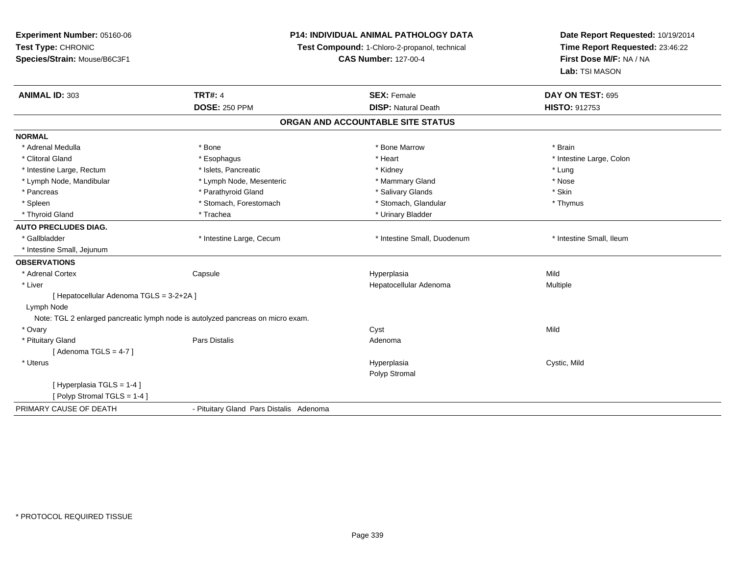| Experiment Number: 05160-06                                                     | <b>P14: INDIVIDUAL ANIMAL PATHOLOGY DATA</b> |                                               | Date Report Requested: 10/19/2014 |
|---------------------------------------------------------------------------------|----------------------------------------------|-----------------------------------------------|-----------------------------------|
| Test Type: CHRONIC                                                              |                                              | Test Compound: 1-Chloro-2-propanol, technical | Time Report Requested: 23:46:22   |
| Species/Strain: Mouse/B6C3F1                                                    |                                              | <b>CAS Number: 127-00-4</b>                   | First Dose M/F: NA / NA           |
|                                                                                 |                                              |                                               | Lab: TSI MASON                    |
| ANIMAL ID: 303                                                                  | <b>TRT#: 4</b>                               | <b>SEX: Female</b>                            | DAY ON TEST: 695                  |
|                                                                                 | <b>DOSE: 250 PPM</b>                         | <b>DISP: Natural Death</b>                    | HISTO: 912753                     |
|                                                                                 |                                              | ORGAN AND ACCOUNTABLE SITE STATUS             |                                   |
| <b>NORMAL</b>                                                                   |                                              |                                               |                                   |
| * Adrenal Medulla                                                               | * Bone                                       | * Bone Marrow                                 | * Brain                           |
| * Clitoral Gland                                                                | * Esophagus                                  | * Heart                                       | * Intestine Large, Colon          |
| * Intestine Large, Rectum                                                       | * Islets, Pancreatic                         | * Kidney                                      | * Lung                            |
| * Lymph Node, Mandibular                                                        | * Lymph Node, Mesenteric                     | * Mammary Gland                               | * Nose                            |
| * Pancreas                                                                      | * Parathyroid Gland                          | * Salivary Glands                             | * Skin                            |
| * Spleen                                                                        | * Stomach, Forestomach                       | * Stomach, Glandular                          | * Thymus                          |
| * Thyroid Gland                                                                 | * Trachea                                    | * Urinary Bladder                             |                                   |
| <b>AUTO PRECLUDES DIAG.</b>                                                     |                                              |                                               |                                   |
| * Gallbladder                                                                   | * Intestine Large, Cecum                     | * Intestine Small, Duodenum                   | * Intestine Small, Ileum          |
| * Intestine Small, Jejunum                                                      |                                              |                                               |                                   |
| <b>OBSERVATIONS</b>                                                             |                                              |                                               |                                   |
| * Adrenal Cortex<br>Capsule                                                     |                                              | Hyperplasia                                   | Mild                              |
| * Liver                                                                         |                                              | Hepatocellular Adenoma                        | Multiple                          |
| [ Hepatocellular Adenoma TGLS = 3-2+2A ]                                        |                                              |                                               |                                   |
| Lymph Node                                                                      |                                              |                                               |                                   |
| Note: TGL 2 enlarged pancreatic lymph node is autolyzed pancreas on micro exam. |                                              |                                               |                                   |
| * Ovary                                                                         |                                              | Cyst                                          | Mild                              |
| * Pituitary Gland                                                               | Pars Distalis                                | Adenoma                                       |                                   |
| [Adenoma TGLS = $4-7$ ]                                                         |                                              |                                               |                                   |
| * Uterus                                                                        |                                              | Hyperplasia                                   | Cystic, Mild                      |
|                                                                                 |                                              | Polyp Stromal                                 |                                   |
| [Hyperplasia TGLS = 1-4]                                                        |                                              |                                               |                                   |
| [Polyp Stromal TGLS = 1-4]                                                      |                                              |                                               |                                   |
| PRIMARY CAUSE OF DEATH                                                          | - Pituitary Gland Pars Distalis Adenoma      |                                               |                                   |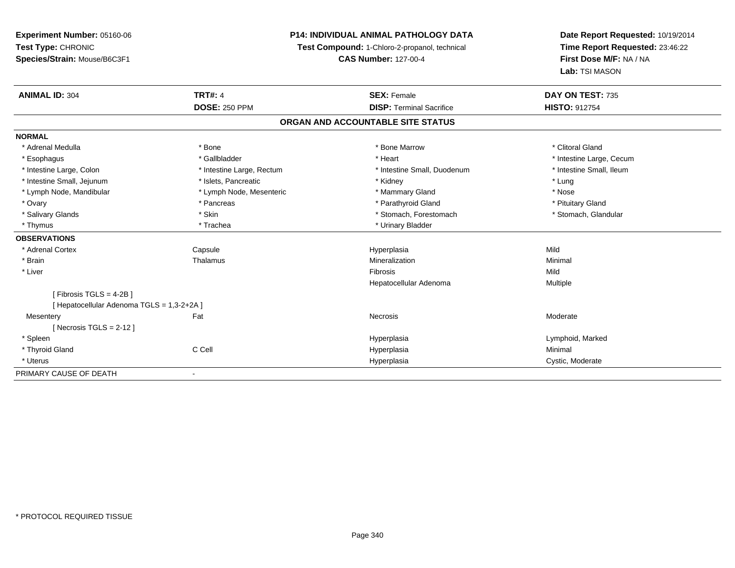# **P14: INDIVIDUAL ANIMAL PATHOLOGY DATA**

**Test Compound:** 1-Chloro-2-propanol, technical

**CAS Number:** 127-00-4

| <b>ANIMAL ID: 304</b>                    | <b>TRT#: 4</b>            | <b>SEX: Female</b>                | DAY ON TEST: 735         |  |
|------------------------------------------|---------------------------|-----------------------------------|--------------------------|--|
|                                          | <b>DOSE: 250 PPM</b>      | <b>DISP: Terminal Sacrifice</b>   | <b>HISTO: 912754</b>     |  |
|                                          |                           | ORGAN AND ACCOUNTABLE SITE STATUS |                          |  |
| <b>NORMAL</b>                            |                           |                                   |                          |  |
| * Adrenal Medulla                        | * Bone                    | * Bone Marrow                     | * Clitoral Gland         |  |
| * Esophagus                              | * Gallbladder             | * Heart                           | * Intestine Large, Cecum |  |
| * Intestine Large, Colon                 | * Intestine Large, Rectum | * Intestine Small, Duodenum       | * Intestine Small, Ileum |  |
| * Intestine Small, Jejunum               | * Islets, Pancreatic      | * Kidney                          | * Lung                   |  |
| * Lymph Node, Mandibular                 | * Lymph Node, Mesenteric  | * Mammary Gland                   | * Nose                   |  |
| * Ovary                                  | * Pancreas                | * Parathyroid Gland               | * Pituitary Gland        |  |
| * Salivary Glands                        | * Skin                    | * Stomach, Forestomach            | * Stomach, Glandular     |  |
| * Thymus                                 | * Trachea                 | * Urinary Bladder                 |                          |  |
| <b>OBSERVATIONS</b>                      |                           |                                   |                          |  |
| * Adrenal Cortex                         | Capsule                   | Hyperplasia                       | Mild                     |  |
| * Brain                                  | Thalamus                  | Mineralization                    | Minimal                  |  |
| * Liver                                  |                           | Fibrosis                          | Mild                     |  |
|                                          |                           | Hepatocellular Adenoma            | Multiple                 |  |
| Fibrosis TGLS = 4-2B ]                   |                           |                                   |                          |  |
| [Hepatocellular Adenoma TGLS = 1,3-2+2A] |                           |                                   |                          |  |
| Mesentery                                | Fat                       | Necrosis                          | Moderate                 |  |
| [Necrosis TGLS = $2-12$ ]                |                           |                                   |                          |  |
| * Spleen                                 |                           | Hyperplasia                       | Lymphoid, Marked         |  |
| * Thyroid Gland                          | C Cell                    | Hyperplasia                       | Minimal                  |  |
| * Uterus                                 |                           | Hyperplasia                       | Cystic, Moderate         |  |
| PRIMARY CAUSE OF DEATH                   |                           |                                   |                          |  |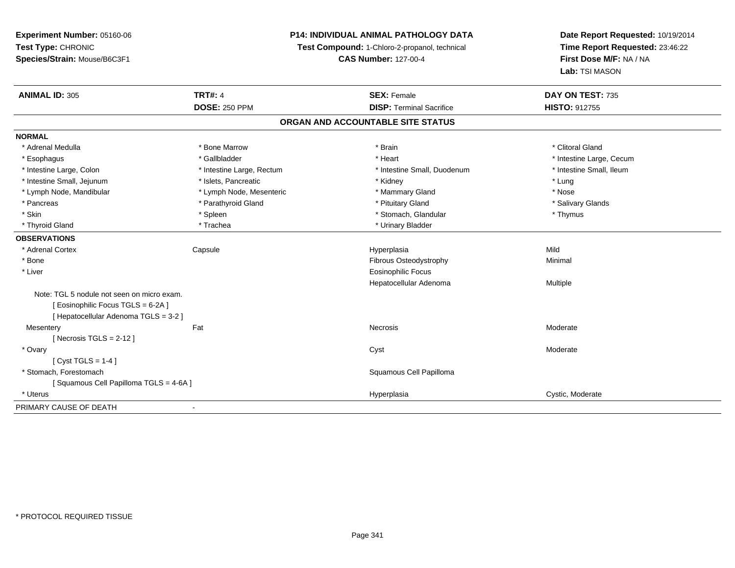**Experiment Number:** 05160-06**Test Type:** CHRONIC **Species/Strain:** Mouse/B6C3F1**P14: INDIVIDUAL ANIMAL PATHOLOGY DATATest Compound:** 1-Chloro-2-propanol, technical **CAS Number:** 127-00-4**Date Report Requested:** 10/19/2014**Time Report Requested:** 23:46:22**First Dose M/F:** NA / NA**Lab:** TSI MASON**ANIMAL ID:** 305**TRT#:** 4 **SEX:** Female **SEX: Female DAY ON TEST:** 735 **DOSE:** 250 PPM**DISP:** Terminal Sacrifice **HISTO:** 912755 **ORGAN AND ACCOUNTABLE SITE STATUSNORMAL**\* Adrenal Medulla \* The state of the state of the state of the state of the state of the state of the state of the state of the state of the state of the state of the state of the state of the state of the state of the sta \* Esophagus \* https://www.fragustage.com/web/2019/heart \* Heart \* Heart \* Heart \* Intestine Large, Cecum \* Intestine Large, Cecum \* Sallbladder \* The state of the state of the state of the state of the state of the state o \* Intestine Small. Ileum \* Intestine Large, Colon \* Intestine Large, Rectum \* Intestine Small, Duodenum \* Intestine Small, Duodenum \* Intestine Small, Jejunum \* The metal was a structure of the structure of the structure of the structure of the structure of the structure of the structure of the structure of the structure of the structure of the structu \* Nose \* Lymph Node, Mandibular \* Lymph Node, Mesenteric \* Mammary Gland \* Mammary Gland \* Salivary Glands \* Pancreas \* And the section of the section of the section of the section of the section of the section of the section of the section of the section of the section of the section of the section of the section of the sectio \* Skin \* Stomach, Glandular \* Stomach, Glandular \* Stomach, Glandular \* Stomach, Glandular \* Thymus \* Thymus \* Thyroid Gland \* Trachea \* Trachea \* Trachea \* Urinary Bladder **OBSERVATIONS** \* Adrenal Cortex Capsule Hyperplasia Mild \* BoneFibrous Osteodystrophy **Minimal**  \* Liver Eosinophilic Focus Hepatocellular Adenoma Multiple Note: TGL 5 nodule not seen on micro exam.[ Eosinophilic Focus TGLS = 6-2A ][ Hepatocellular Adenoma TGLS = 3-2 ]**Mesentery** y the control of the set of the control of the Moderate of the Moderate of the Moderate of the Moderate of the Moderate of the Moderate of the Moderate of the Moderate of the Moderate of the Moderate of the Moderate of the  $[$  Necrosis TGLS = 2-12  $]$  \* Ovaryy and the control of the control of the control of the control of the control of the control of the control of the control of the control of the control of the control of the control of the control of the control of the co  $[$  Cyst TGLS = 1-4  $]$  \* Stomach, Forestomach Squamous Cell Papilloma [ Squamous Cell Papilloma TGLS = 4-6A ] \* Uteruss and the contract of the contract of the contract of the contract of the contract of the contract of the contract of the contract of the contract of the contract of the contract of the contract of the contract of the cont Hyperplasia Cystic, Moderate PRIMARY CAUSE OF DEATH-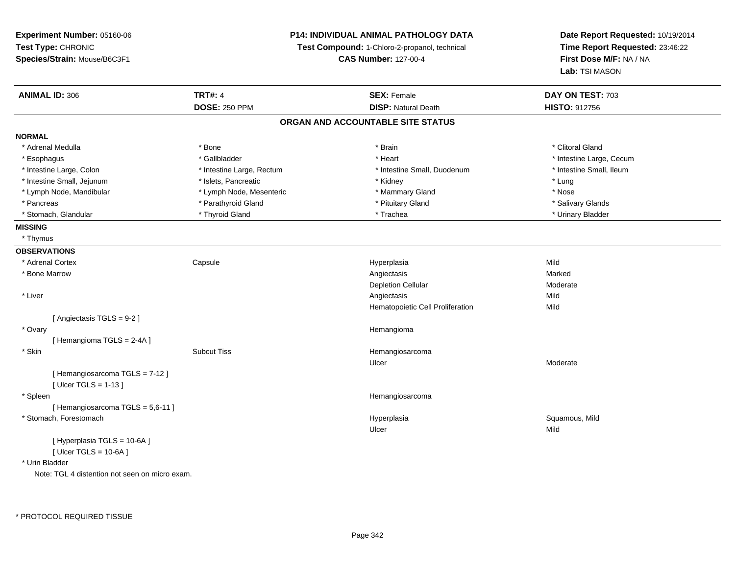**Experiment Number:** 05160-06**Test Type:** CHRONIC **Species/Strain:** Mouse/B6C3F1**P14: INDIVIDUAL ANIMAL PATHOLOGY DATATest Compound:** 1-Chloro-2-propanol, technical **CAS Number:** 127-00-4**Date Report Requested:** 10/19/2014**Time Report Requested:** 23:46:22**First Dose M/F:** NA / NA**Lab:** TSI MASON**ANIMAL ID:** 306**6 DAY ON TEST:** 703 **DOSE:** 250 PPM**DISP:** Natural Death **HISTO:** 912756 **ORGAN AND ACCOUNTABLE SITE STATUSNORMAL**\* Adrenal Medulla \* The state of the state of the state of the state of the state of the state of the state of the state of the state of the state of the state of the state of the state of the state of the state of the sta \* Esophagus \* https://www.fragustage.com/web/2019/heart \* Heart \* Heart \* Heart \* Intestine Large, Cecum \* Intestine Large, Cecum \* Sallbladder \* The state of the state of the state of the state of the state of the state o \* Intestine Small. Ileum \* Intestine Large, Colon \* Intestine Large, Rectum \* Intestine Small, Duodenum \* Intestine Small, Duodenum \* Intestine Small, Jejunum \* \* 19ets, Pancreatic \* \* Kidney \* Kidney \* Lung \* Lung \* Lung \* Lung \* Lung \* Lung \* Lung \* Lung \* Lung \* Lung \* Lung \* Lung \* Lung \* Lung \* Lung \* Lung \* Lung \* Lung \* Lung \* Lung \* Lung \* Lung \* Nose \* Lymph Node, Mandibular \* Lymph Node, Mesenteric \* Mammary Gland \* Mammary Gland \* Salivary Glands \* Pancreas \* And the section of the section of the section of the section of the section of the section of the section of the section of the section of the section of the section of the section of the section of the sectio \* Urinary Bladder \* Stomach, Glandular \* \* Thyroid Gland \* \* Thyroid Gland \* \* Trachea \* \* Trachea \* \* Urinary Bladder \* \* Urinary Bladder \* \* Urinary Bladder \* \* Urinary Bladder \* \* Urinary Bladder \* \* Urinary Bladder \* \* Urinary Bladder \* **MISSING** \* Thymus**OBSERVATIONS** \* Adrenal Cortex**Capsule**  Hyperplasia Mild \* Bone Marroww the contraction of the contraction of the contraction of the contraction of the contraction of the contraction of the contraction of the contraction of the contraction of the contraction of the contraction of the contrac Depletion Cellular Moderate \* Liverr and the contract of the contract of the contract of the contract of the contract of the contract of the contract of the contract of the contract of the contract of the contract of the contract of the contract of the cont s Mild **Mild** Hematopoietic Cell Proliferationn Mild [ Angiectasis TGLS = 9-2 ] \* Ovaryy the control of the control of the control of the control of the control of the control of the control of the control of the control of the control of the control of the control of the control of the control of the contro [ Hemangioma TGLS = 2-4A ] \* SkinSubcut Tiss **Hemangiosarcoma** Ulcer Moderate[ Hemangiosarcoma TGLS = 7-12 ] $[$  Ulcer TGLS = 1-13  $]$  \* Spleen Hemangiosarcoma [ Hemangiosarcoma TGLS = 5,6-11 ] \* Stomach, Forestomachh ann an t-ìre ann am San Amhaidh ann an t-ìre ann am Mhearpasia ann an San Aonaichte ann an Saluamous, Mild a Ulcerr **Mild** [ Hyperplasia TGLS = 10-6A ] $[$  Ulcer TGLS = 10-6A  $]$ \* Urin Bladder

Note: TGL 4 distention not seen on micro exam.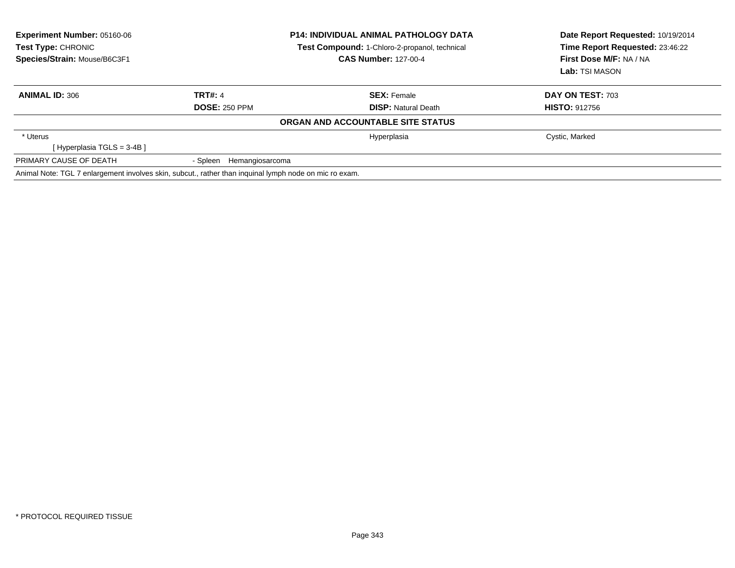| <b>Experiment Number: 05160-06</b><br>Test Type: CHRONIC<br>Species/Strain: Mouse/B6C3F1               | <b>P14: INDIVIDUAL ANIMAL PATHOLOGY DATA</b><br>Test Compound: 1-Chloro-2-propanol, technical<br><b>CAS Number: 127-00-4</b> |                                                  | Date Report Requested: 10/19/2014<br>Time Report Requested: 23:46:22<br>First Dose M/F: NA / NA<br>Lab: TSI MASON |
|--------------------------------------------------------------------------------------------------------|------------------------------------------------------------------------------------------------------------------------------|--------------------------------------------------|-------------------------------------------------------------------------------------------------------------------|
| <b>ANIMAL ID: 306</b>                                                                                  | <b>TRT#: 4</b><br><b>DOSE: 250 PPM</b>                                                                                       | <b>SEX:</b> Female<br><b>DISP:</b> Natural Death | DAY ON TEST: 703<br><b>HISTO: 912756</b>                                                                          |
|                                                                                                        |                                                                                                                              | ORGAN AND ACCOUNTABLE SITE STATUS                |                                                                                                                   |
| * Uterus<br>[Hyperplasia TGLS = 3-4B ]                                                                 |                                                                                                                              | Hyperplasia                                      | Cystic, Marked                                                                                                    |
| PRIMARY CAUSE OF DEATH                                                                                 | - Spleen Hemangiosarcoma                                                                                                     |                                                  |                                                                                                                   |
| Animal Note: TGL 7 enlargement involves skin, subcut., rather than inguinal lymph node on mic ro exam. |                                                                                                                              |                                                  |                                                                                                                   |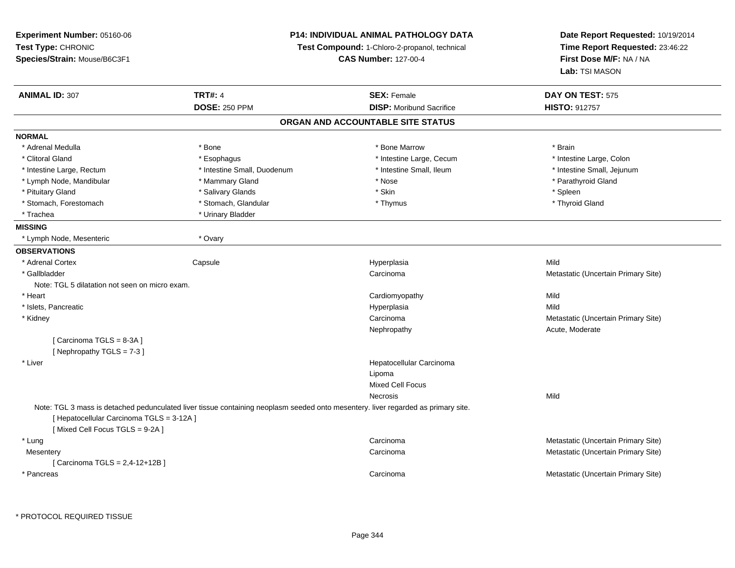| Experiment Number: 05160-06<br>Test Type: CHRONIC<br>Species/Strain: Mouse/B6C3F1 | <b>P14: INDIVIDUAL ANIMAL PATHOLOGY DATA</b><br>Test Compound: 1-Chloro-2-propanol, technical<br><b>CAS Number: 127-00-4</b>      |                                   | Date Report Requested: 10/19/2014<br>Time Report Requested: 23:46:22<br>First Dose M/F: NA / NA |  |
|-----------------------------------------------------------------------------------|-----------------------------------------------------------------------------------------------------------------------------------|-----------------------------------|-------------------------------------------------------------------------------------------------|--|
| <b>ANIMAL ID: 307</b>                                                             | <b>TRT#: 4</b>                                                                                                                    | <b>SEX: Female</b>                | Lab: TSI MASON<br>DAY ON TEST: 575                                                              |  |
|                                                                                   | <b>DOSE: 250 PPM</b>                                                                                                              | <b>DISP:</b> Moribund Sacrifice   | <b>HISTO: 912757</b>                                                                            |  |
|                                                                                   |                                                                                                                                   | ORGAN AND ACCOUNTABLE SITE STATUS |                                                                                                 |  |
| <b>NORMAL</b>                                                                     |                                                                                                                                   |                                   |                                                                                                 |  |
| * Adrenal Medulla                                                                 | * Bone                                                                                                                            | * Bone Marrow                     | * Brain                                                                                         |  |
| * Clitoral Gland                                                                  | * Esophagus                                                                                                                       | * Intestine Large, Cecum          | * Intestine Large, Colon                                                                        |  |
| * Intestine Large, Rectum                                                         | * Intestine Small, Duodenum                                                                                                       | * Intestine Small, Ileum          | * Intestine Small, Jejunum                                                                      |  |
| * Lymph Node, Mandibular                                                          | * Mammary Gland                                                                                                                   | * Nose                            | * Parathyroid Gland                                                                             |  |
| * Pituitary Gland                                                                 | * Salivary Glands                                                                                                                 | * Skin                            | * Spleen                                                                                        |  |
| * Stomach, Forestomach                                                            | * Stomach, Glandular                                                                                                              | * Thymus                          | * Thyroid Gland                                                                                 |  |
| * Trachea                                                                         | * Urinary Bladder                                                                                                                 |                                   |                                                                                                 |  |
| <b>MISSING</b>                                                                    |                                                                                                                                   |                                   |                                                                                                 |  |
| * Lymph Node, Mesenteric                                                          | * Ovary                                                                                                                           |                                   |                                                                                                 |  |
| <b>OBSERVATIONS</b>                                                               |                                                                                                                                   |                                   |                                                                                                 |  |
| * Adrenal Cortex                                                                  | Capsule                                                                                                                           | Hyperplasia                       | Mild                                                                                            |  |
| * Gallbladder                                                                     |                                                                                                                                   | Carcinoma                         | Metastatic (Uncertain Primary Site)                                                             |  |
| Note: TGL 5 dilatation not seen on micro exam.                                    |                                                                                                                                   |                                   |                                                                                                 |  |
| * Heart                                                                           |                                                                                                                                   | Cardiomyopathy                    | Mild                                                                                            |  |
| * Islets, Pancreatic                                                              |                                                                                                                                   | Hyperplasia                       | Mild                                                                                            |  |
| * Kidney                                                                          |                                                                                                                                   | Carcinoma                         | Metastatic (Uncertain Primary Site)                                                             |  |
|                                                                                   |                                                                                                                                   | Nephropathy                       | Acute, Moderate                                                                                 |  |
| [Carcinoma TGLS = 8-3A]<br>[Nephropathy TGLS = 7-3]                               |                                                                                                                                   |                                   |                                                                                                 |  |
| * Liver                                                                           |                                                                                                                                   | Hepatocellular Carcinoma          |                                                                                                 |  |
|                                                                                   |                                                                                                                                   | Lipoma                            |                                                                                                 |  |
|                                                                                   |                                                                                                                                   | <b>Mixed Cell Focus</b>           |                                                                                                 |  |
|                                                                                   |                                                                                                                                   | Necrosis                          | Mild                                                                                            |  |
| [ Hepatocellular Carcinoma TGLS = 3-12A ]<br>[Mixed Cell Focus TGLS = 9-2A]       | Note: TGL 3 mass is detached pedunculated liver tissue containing neoplasm seeded onto mesentery. liver regarded as primary site. |                                   |                                                                                                 |  |
| * Lung                                                                            |                                                                                                                                   | Carcinoma                         | Metastatic (Uncertain Primary Site)                                                             |  |
| Mesentery                                                                         |                                                                                                                                   | Carcinoma                         | Metastatic (Uncertain Primary Site)                                                             |  |
| [ Carcinoma TGLS = 2,4-12+12B]                                                    |                                                                                                                                   |                                   |                                                                                                 |  |
| * Pancreas                                                                        |                                                                                                                                   | Carcinoma                         | Metastatic (Uncertain Primary Site)                                                             |  |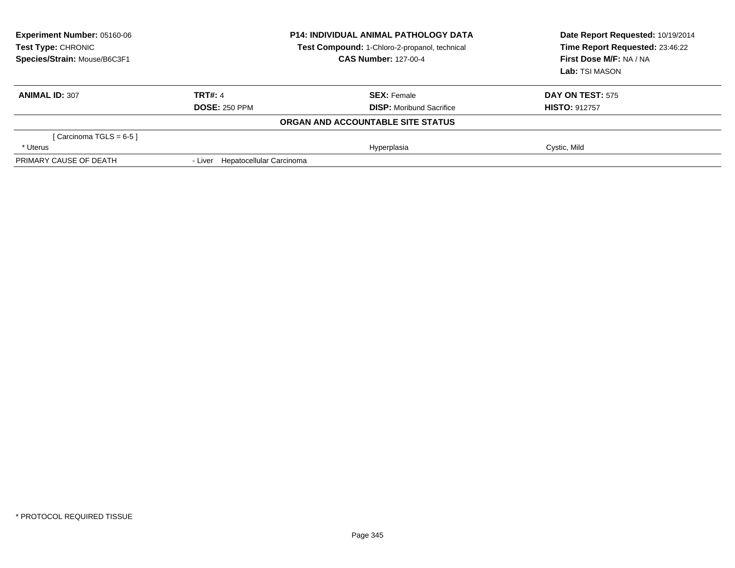| Experiment Number: 05160-06<br><b>Test Type: CHRONIC</b><br>Species/Strain: Mouse/B6C3F1 | <b>P14: INDIVIDUAL ANIMAL PATHOLOGY DATA</b><br>Test Compound: 1-Chloro-2-propanol, technical<br><b>CAS Number: 127-00-4</b> |                                   | Date Report Requested: 10/19/2014<br>Time Report Requested: 23:46:22<br>First Dose M/F: NA / NA<br>Lab: TSI MASON |  |
|------------------------------------------------------------------------------------------|------------------------------------------------------------------------------------------------------------------------------|-----------------------------------|-------------------------------------------------------------------------------------------------------------------|--|
| <b>ANIMAL ID: 307</b>                                                                    | <b>TRT#: 4</b>                                                                                                               | <b>SEX: Female</b>                | <b>DAY ON TEST: 575</b>                                                                                           |  |
|                                                                                          | <b>DOSE: 250 PPM</b>                                                                                                         | <b>DISP:</b> Moribund Sacrifice   | <b>HISTO: 912757</b>                                                                                              |  |
|                                                                                          |                                                                                                                              | ORGAN AND ACCOUNTABLE SITE STATUS |                                                                                                                   |  |
| [Carcinoma TGLS = $6-5$ ]                                                                |                                                                                                                              |                                   |                                                                                                                   |  |
| * Uterus                                                                                 |                                                                                                                              | Hyperplasia                       | Cystic, Mild                                                                                                      |  |
| PRIMARY CAUSE OF DEATH                                                                   | - Liver Hepatocellular Carcinoma                                                                                             |                                   |                                                                                                                   |  |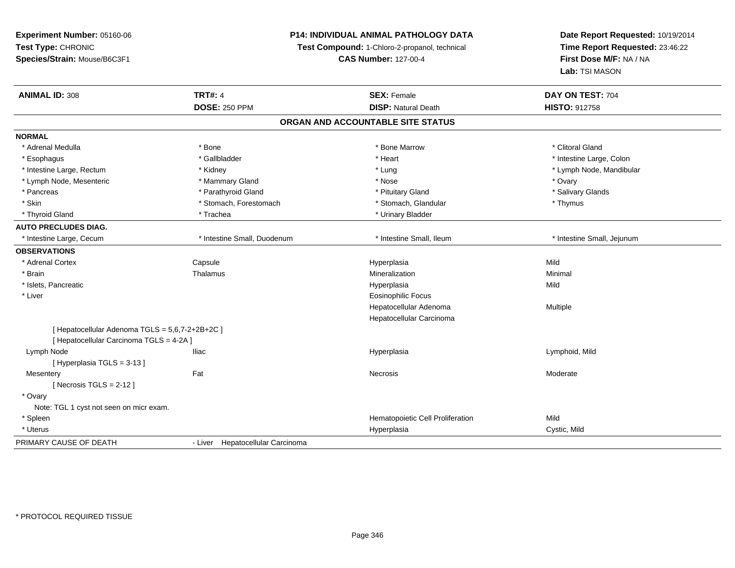**Experiment Number:** 05160-06**Test Type:** CHRONIC **Species/Strain:** Mouse/B6C3F1**P14: INDIVIDUAL ANIMAL PATHOLOGY DATATest Compound:** 1-Chloro-2-propanol, technical **CAS Number:** 127-00-4**Date Report Requested:** 10/19/2014**Time Report Requested:** 23:46:22**First Dose M/F:** NA / NA**Lab:** TSI MASON**ANIMAL ID:** 308**TRT#:** 4 **SEX:** Female **SEX: Female DAY ON TEST:** 704 **DOSE:** 250 PPM**DISP:** Natural Death **HISTO:** 912758 **ORGAN AND ACCOUNTABLE SITE STATUSNORMAL**\* Adrenal Medulla \* The state of the state of the state of the state of the Marrow \* Bone Marrow \* Clitoral Gland \* Clitoral Gland \* Esophagus \* The metallocom to the settlement of the settlement of the settlement of the settlement of the settlement of the settlement of the settlement of the settlement of the settlement of the settlement of the settle \* Intestine Large, Rectum \* \* Widney \* Kidney \* Kidney \* Lung \* Lung \* Lung \* Loung \* Loung \* Lymph Node, Mandibular \* Lymph Node, Mesenteric \* \* \* Mammary Gland \* \* Nose \* \* Nose \* \* Nose \* \* Nose \* Ovary \* Ovary \* Ovary \* Salivary Glands \* Pancreas \* And the section of the section of the section of the section of the section of the section of the section of the section of the section of the section of the section of the section of the section of the sectio \* Skin \* Stomach, Forestomach \* Stomach \* Stomach, Glandular \* Thymus \* Thymus \* Thyroid Gland \* Trachea \* Trachea \* Trachea \* Thyroid Gland \* Urinary Bladder **AUTO PRECLUDES DIAG.** \* Intestine Large, Cecum \* Intestine Small, Duodenum \* Intestine Small, Ileum \* Intestine Small, Jejunum**OBSERVATIONS** \* Adrenal Cortex**Capsule**  Hyperplasia Mild \* Brainn and the matter of the Thalamus and the Minimal of the Minimal of the Minimal of the Minimal of the Minimal o<br>Thalamus and the Minimal of the Minimal of the Minimal of the Minimal of the Minimal of the Minimal of the Min \* Islets, Pancreaticc and the control of the control of the control of the control of the control of the control of the control of the control of the control of the control of the control of the control of the control of the control of the co a Mild \* Liver Eosinophilic Focus Hepatocellular Adenoma Multiple Hepatocellular Carcinoma[ Hepatocellular Adenoma TGLS = 5,6,7-2+2B+2C ][ Hepatocellular Carcinoma TGLS = 4-2A ] Lymph Node Iliac Hyperplasia Lymphoid, Mild [ Hyperplasia TGLS = 3-13 ] Mesenteryy the control of the set of the control of the Moderate of the Moderate of the Moderate of the Moderate of the Moderate of the Moderate of the Moderate of the Moderate of the Moderate of the Moderate of the Moderate of the  $[$  Necrosis TGLS = 2-12  $]$  \* Ovary Note: TGL 1 cyst not seen on micr exam. \* SpleenHematopoietic Cell Proliferation<br>
Hyperplasia Cyst \* Uteruss and the contract of the contract of the contract of the contract of the contract of the contract of the contract of the contract of the contract of the contract of the contract of the contract of the contract of the cont Cystic, Mild PRIMARY CAUSE OF DEATH- Liver Hepatocellular Carcinoma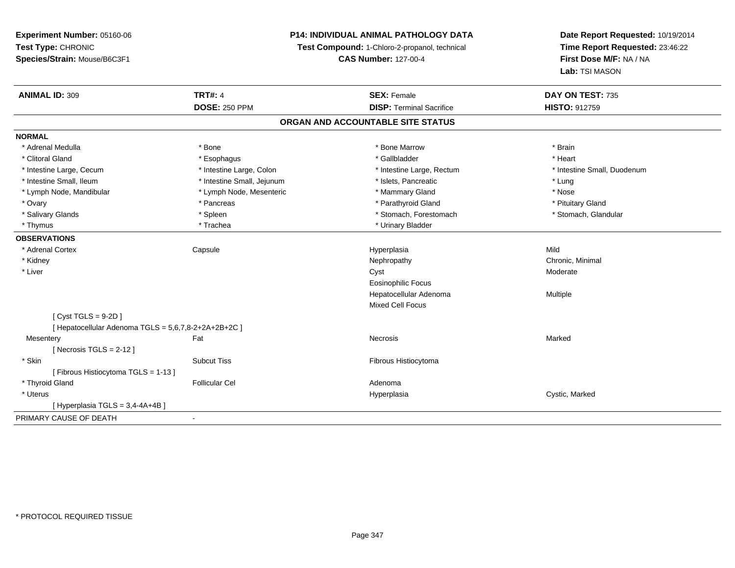**Experiment Number:** 05160-06**Test Type:** CHRONIC **Species/Strain:** Mouse/B6C3F1**P14: INDIVIDUAL ANIMAL PATHOLOGY DATATest Compound:** 1-Chloro-2-propanol, technical **CAS Number:** 127-00-4**Date Report Requested:** 10/19/2014**Time Report Requested:** 23:46:22**First Dose M/F:** NA / NA**Lab:** TSI MASON**ANIMAL ID:** 309**TRT#:** 4 **SEX:** Female **SEX: Female DAY ON TEST:** 735 **DOSE:** 250 PPM**DISP:** Terminal Sacrifice **HISTO:** 912759 **ORGAN AND ACCOUNTABLE SITE STATUSNORMAL**\* Adrenal Medulla \* \* Annual Medulla \* Brain \* Bone \* \* Bone Marrow \* Bone Marrow \* \* Brain \* Brain \* Brain \* Brain \* Brain \* Brain \* Brain \* Brain \* Brain \* Brain \* Brain \* Brain \* Brain \* Brain \* Brain \* Brain \* Brain \* \* Heart \* Clitoral Gland \* \* \* heart \* \* Esophagus \* \* \* \* \* \* \* \* \* \* \* Gallbladder \* \* \* \* \* \* \* \* \* \* \* \* Heart \* Intestine Large, Cecum \* Intestine Large, Colon \* Intestine Large, Thestine Large, Rectum \* Intestine Small, Duodenum \* Intestine Small, Ileum \* https://www.fatheratic \* Lung \* Intestine Small, Jejunum \* Islets, Pancreatic \* Lung \* Lung \* Nose \* Lymph Node, Mandibular \* Lymph Node, Mesenteric \* Mammary Gland \* Mammary Gland \* Pituitary Gland \* Ovary \* Pancreas \* Pancreas \* Pancreas \* Parathyroid Gland \* Parathyroid Gland \* Stomach, Glandular \* Salivary Glands \* Spleen \* Spleen \* Spleen \* Stomach, Forestomach \* Stomach, Forestomach \* Thymus \* Trachea \* Trachea \* Urinary Bladder **OBSERVATIONS** \* Adrenal Cortex Capsule Hyperplasia Mild \* Kidneyy the controller of the controller of the controller of the controller of the controller of the controller of the controller of the controller of the controller of the controller of the controller of the controller of the \* Liverr and the contract of the contract of the contract of the contract of the contract of the contract of the contract of the contract of the contract of the contract of the contract of the contract of the contract of the cont Eosinophilic Focus Hepatocellular Adenoma Multiple Mixed Cell Focus[ Cyst TGLS = 9-2D ] $[$  Hepatocellular Adenoma TGLS = 5,6,7,8-2+2A+2B+2C  $]$ **Mesentery** y the control of the Marked States of the Marked States of the Marked States of the Marked States of the Marked States of the Marked States of the Marked States of the Marked States of the Marked States of the Marked State  $[$  Necrosis TGLS = 2-12  $]$  \* SkinSubcut Tiss **Fibrous Histiocytoma** [ Fibrous Histiocytoma TGLS = 1-13 ] \* Thyroid Glandd and the set of the Follicular Cel the set of the Second Adenomal Adenomal Second Second Second Second Second Second Second Second Second Second Second Second Second Second Second Second Second Second Second Second Second \* Uteruss and the contract of the contract of the contract of the contract of the contract of the contract of the contract of the contract of the contract of the contract of the contract of the contract of the contract of the cont Hyperplasia **Cystic, Marked**  $[$  Hyperplasia TGLS = 3,4-4A+4B  $]$ PRIMARY CAUSE OF DEATH-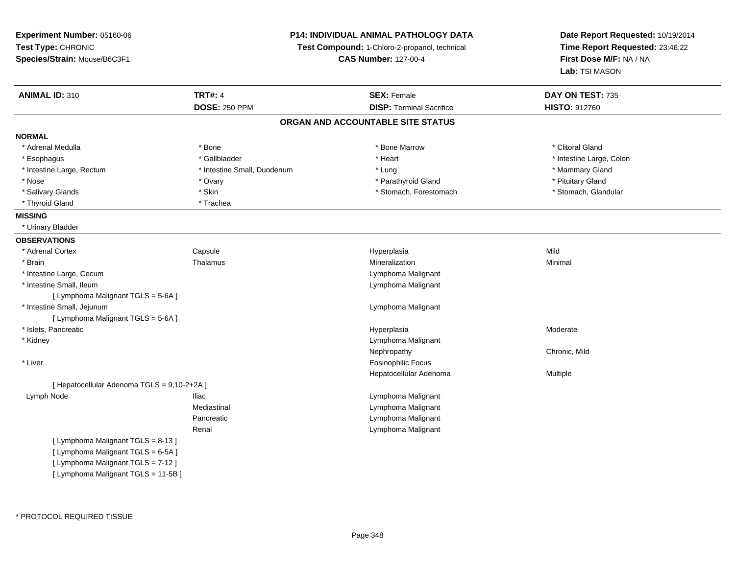| Experiment Number: 05160-06                 |                             | P14: INDIVIDUAL ANIMAL PATHOLOGY DATA         | Date Report Requested: 10/19/2014<br>Time Report Requested: 23:46:22<br>First Dose M/F: NA / NA |
|---------------------------------------------|-----------------------------|-----------------------------------------------|-------------------------------------------------------------------------------------------------|
| Test Type: CHRONIC                          |                             | Test Compound: 1-Chloro-2-propanol, technical |                                                                                                 |
| Species/Strain: Mouse/B6C3F1                |                             | <b>CAS Number: 127-00-4</b>                   |                                                                                                 |
|                                             |                             |                                               | Lab: TSI MASON                                                                                  |
| <b>ANIMAL ID: 310</b>                       | <b>TRT#: 4</b>              | <b>SEX: Female</b>                            | DAY ON TEST: 735                                                                                |
|                                             | <b>DOSE: 250 PPM</b>        | <b>DISP: Terminal Sacrifice</b>               | <b>HISTO: 912760</b>                                                                            |
|                                             |                             | ORGAN AND ACCOUNTABLE SITE STATUS             |                                                                                                 |
| <b>NORMAL</b>                               |                             |                                               |                                                                                                 |
| * Adrenal Medulla                           | * Bone                      | * Bone Marrow                                 | * Clitoral Gland                                                                                |
| * Esophagus                                 | * Gallbladder               | * Heart                                       | * Intestine Large, Colon                                                                        |
| * Intestine Large, Rectum                   | * Intestine Small, Duodenum | * Lung                                        | * Mammary Gland                                                                                 |
| * Nose                                      | * Ovary                     | * Parathyroid Gland                           | * Pituitary Gland                                                                               |
| * Salivary Glands                           | * Skin                      | * Stomach, Forestomach                        | * Stomach, Glandular                                                                            |
| * Thyroid Gland                             | * Trachea                   |                                               |                                                                                                 |
| <b>MISSING</b>                              |                             |                                               |                                                                                                 |
| * Urinary Bladder                           |                             |                                               |                                                                                                 |
| <b>OBSERVATIONS</b>                         |                             |                                               |                                                                                                 |
| * Adrenal Cortex                            | Capsule                     | Hyperplasia                                   | Mild                                                                                            |
| * Brain                                     | Thalamus                    | Mineralization                                | Minimal                                                                                         |
| * Intestine Large, Cecum                    |                             | Lymphoma Malignant                            |                                                                                                 |
| * Intestine Small, Ileum                    |                             | Lymphoma Malignant                            |                                                                                                 |
| [ Lymphoma Malignant TGLS = 5-6A ]          |                             |                                               |                                                                                                 |
| * Intestine Small, Jejunum                  |                             | Lymphoma Malignant                            |                                                                                                 |
| [ Lymphoma Malignant TGLS = 5-6A ]          |                             |                                               |                                                                                                 |
| * Islets, Pancreatic                        |                             | Hyperplasia                                   | Moderate                                                                                        |
| * Kidney                                    |                             | Lymphoma Malignant                            |                                                                                                 |
|                                             |                             | Nephropathy                                   | Chronic, Mild                                                                                   |
| * Liver                                     |                             | <b>Eosinophilic Focus</b>                     |                                                                                                 |
|                                             |                             | Hepatocellular Adenoma                        | Multiple                                                                                        |
| [ Hepatocellular Adenoma TGLS = 9,10-2+2A ] |                             |                                               |                                                                                                 |
| Lymph Node                                  | lliac                       | Lymphoma Malignant                            |                                                                                                 |
|                                             | Mediastinal                 | Lymphoma Malignant                            |                                                                                                 |
|                                             | Pancreatic                  | Lymphoma Malignant                            |                                                                                                 |
|                                             | Renal                       | Lymphoma Malignant                            |                                                                                                 |
| [ Lymphoma Malignant TGLS = 8-13 ]          |                             |                                               |                                                                                                 |
| [ Lymphoma Malignant TGLS = 6-5A ]          |                             |                                               |                                                                                                 |
| [ Lymphoma Malignant TGLS = 7-12 ]          |                             |                                               |                                                                                                 |
| [ Lymphoma Malignant TGLS = 11-5B]          |                             |                                               |                                                                                                 |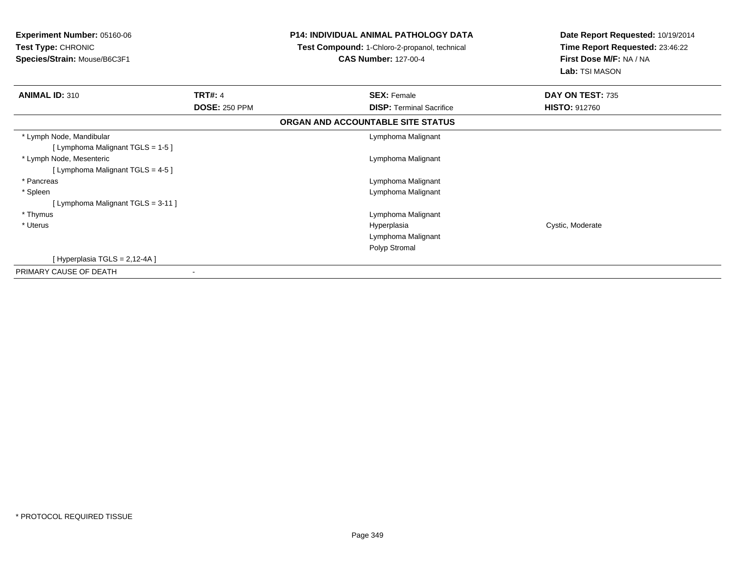| <b>Experiment Number: 05160-06</b><br>Test Type: CHRONIC<br>Species/Strain: Mouse/B6C3F1 |                      | <b>P14: INDIVIDUAL ANIMAL PATHOLOGY DATA</b><br>Test Compound: 1-Chloro-2-propanol, technical<br><b>CAS Number: 127-00-4</b> | Date Report Requested: 10/19/2014<br>Time Report Requested: 23:46:22<br>First Dose M/F: NA / NA<br>Lab: TSI MASON |  |
|------------------------------------------------------------------------------------------|----------------------|------------------------------------------------------------------------------------------------------------------------------|-------------------------------------------------------------------------------------------------------------------|--|
| <b>ANIMAL ID: 310</b>                                                                    | <b>TRT#: 4</b>       | <b>SEX: Female</b>                                                                                                           | DAY ON TEST: 735                                                                                                  |  |
|                                                                                          | <b>DOSE: 250 PPM</b> | <b>DISP:</b> Terminal Sacrifice                                                                                              | <b>HISTO: 912760</b>                                                                                              |  |
|                                                                                          |                      | ORGAN AND ACCOUNTABLE SITE STATUS                                                                                            |                                                                                                                   |  |
| * Lymph Node, Mandibular<br>[ Lymphoma Malignant TGLS = 1-5 ]                            |                      | Lymphoma Malignant                                                                                                           |                                                                                                                   |  |
| * Lymph Node, Mesenteric<br>[ Lymphoma Malignant TGLS = 4-5 ]                            |                      | Lymphoma Malignant                                                                                                           |                                                                                                                   |  |
| * Pancreas                                                                               |                      | Lymphoma Malignant                                                                                                           |                                                                                                                   |  |
| * Spleen                                                                                 |                      | Lymphoma Malignant                                                                                                           |                                                                                                                   |  |
| [ Lymphoma Malignant TGLS = 3-11 ]                                                       |                      |                                                                                                                              |                                                                                                                   |  |
| * Thymus                                                                                 |                      | Lymphoma Malignant                                                                                                           |                                                                                                                   |  |
| * Uterus                                                                                 |                      | Hyperplasia                                                                                                                  | Cystic, Moderate                                                                                                  |  |
|                                                                                          |                      | Lymphoma Malignant                                                                                                           |                                                                                                                   |  |
|                                                                                          |                      | Polyp Stromal                                                                                                                |                                                                                                                   |  |
| [Hyperplasia TGLS = 2,12-4A]                                                             |                      |                                                                                                                              |                                                                                                                   |  |
| PRIMARY CAUSE OF DEATH                                                                   |                      |                                                                                                                              |                                                                                                                   |  |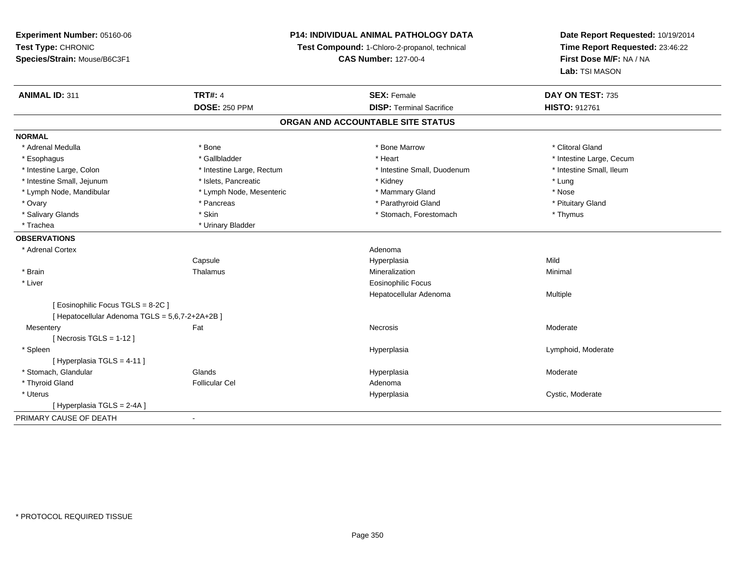**Experiment Number:** 05160-06**Test Type:** CHRONIC **Species/Strain:** Mouse/B6C3F1**ANIMAL ID:** 311**DOSE:** 250 PPM

**P14: INDIVIDUAL ANIMAL PATHOLOGY DATA**

**Test Compound:** 1-Chloro-2-propanol, technical

**CAS Number:** 127-00-4

| <b>ANIMAL ID: 311</b>                         | <b>TRT#: 4</b>                    | <b>SEX: Female</b>              | DAY ON TEST: 735         |  |  |  |  |
|-----------------------------------------------|-----------------------------------|---------------------------------|--------------------------|--|--|--|--|
|                                               | <b>DOSE: 250 PPM</b>              | <b>DISP: Terminal Sacrifice</b> | <b>HISTO: 912761</b>     |  |  |  |  |
|                                               | ORGAN AND ACCOUNTABLE SITE STATUS |                                 |                          |  |  |  |  |
| <b>NORMAL</b>                                 |                                   |                                 |                          |  |  |  |  |
| * Adrenal Medulla                             | * Bone                            | * Bone Marrow                   | * Clitoral Gland         |  |  |  |  |
| * Esophagus                                   | * Gallbladder                     | * Heart                         | * Intestine Large, Cecum |  |  |  |  |
| * Intestine Large, Colon                      | * Intestine Large, Rectum         | * Intestine Small, Duodenum     | * Intestine Small, Ileum |  |  |  |  |
| * Intestine Small, Jejunum                    | * Islets, Pancreatic              | * Kidney                        | * Lung                   |  |  |  |  |
| * Lymph Node, Mandibular                      | * Lymph Node, Mesenteric          | * Mammary Gland                 | * Nose                   |  |  |  |  |
| * Ovary                                       | * Pancreas                        | * Parathyroid Gland             | * Pituitary Gland        |  |  |  |  |
| * Salivary Glands                             | * Skin                            | * Stomach, Forestomach          | * Thymus                 |  |  |  |  |
| * Trachea                                     | * Urinary Bladder                 |                                 |                          |  |  |  |  |
| <b>OBSERVATIONS</b>                           |                                   |                                 |                          |  |  |  |  |
| * Adrenal Cortex                              |                                   | Adenoma                         |                          |  |  |  |  |
|                                               | Capsule                           | Hyperplasia                     | Mild                     |  |  |  |  |
| * Brain                                       | Thalamus                          | Mineralization                  | Minimal                  |  |  |  |  |
| * Liver                                       |                                   | <b>Eosinophilic Focus</b>       |                          |  |  |  |  |
|                                               |                                   | Hepatocellular Adenoma          | Multiple                 |  |  |  |  |
| [Eosinophilic Focus TGLS = 8-2C]              |                                   |                                 |                          |  |  |  |  |
| [Hepatocellular Adenoma TGLS = 5,6,7-2+2A+2B] |                                   |                                 |                          |  |  |  |  |
| Mesentery                                     | Fat                               | Necrosis                        | Moderate                 |  |  |  |  |
| [Necrosis TGLS = $1-12$ ]                     |                                   |                                 |                          |  |  |  |  |
| * Spleen                                      |                                   | Hyperplasia                     | Lymphoid, Moderate       |  |  |  |  |
| [Hyperplasia TGLS = 4-11]                     |                                   |                                 |                          |  |  |  |  |
| * Stomach, Glandular                          | Glands                            | Hyperplasia                     | Moderate                 |  |  |  |  |
| * Thyroid Gland                               | <b>Follicular Cel</b>             | Adenoma                         |                          |  |  |  |  |
| * Uterus                                      |                                   | Hyperplasia                     | Cystic, Moderate         |  |  |  |  |
| [Hyperplasia TGLS = 2-4A]                     |                                   |                                 |                          |  |  |  |  |
| PRIMARY CAUSE OF DEATH                        |                                   |                                 |                          |  |  |  |  |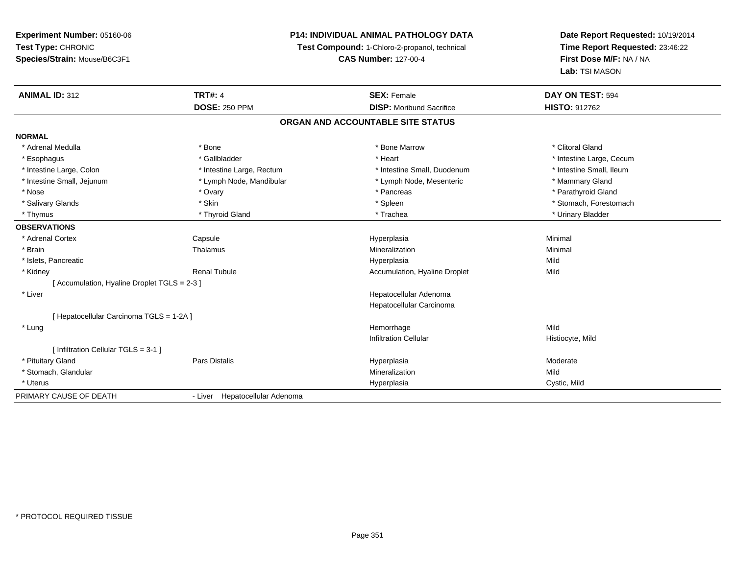# **P14: INDIVIDUAL ANIMAL PATHOLOGY DATA**

**Test Compound:** 1-Chloro-2-propanol, technical

**CAS Number:** 127-00-4

| <b>ANIMAL ID: 312</b>                      | <b>TRT#: 4</b>                 | <b>SEX: Female</b>                | DAY ON TEST: 594         |
|--------------------------------------------|--------------------------------|-----------------------------------|--------------------------|
|                                            | <b>DOSE: 250 PPM</b>           | <b>DISP:</b> Moribund Sacrifice   | <b>HISTO: 912762</b>     |
|                                            |                                | ORGAN AND ACCOUNTABLE SITE STATUS |                          |
| <b>NORMAL</b>                              |                                |                                   |                          |
| * Adrenal Medulla                          | * Bone                         | * Bone Marrow                     | * Clitoral Gland         |
| * Esophagus                                | * Gallbladder                  | * Heart                           | * Intestine Large, Cecum |
| * Intestine Large, Colon                   | * Intestine Large, Rectum      | * Intestine Small, Duodenum       | * Intestine Small, Ileum |
| * Intestine Small, Jejunum                 | * Lymph Node, Mandibular       | * Lymph Node, Mesenteric          | * Mammary Gland          |
| * Nose                                     | * Ovary                        | * Pancreas                        | * Parathyroid Gland      |
| * Salivary Glands                          | * Skin                         | * Spleen                          | * Stomach, Forestomach   |
| * Thymus                                   | * Thyroid Gland                | * Trachea                         | * Urinary Bladder        |
| <b>OBSERVATIONS</b>                        |                                |                                   |                          |
| * Adrenal Cortex                           | Capsule                        | Hyperplasia                       | Minimal                  |
| * Brain                                    | Thalamus                       | Mineralization                    | Minimal                  |
| * Islets, Pancreatic                       |                                | Hyperplasia                       | Mild                     |
| * Kidney                                   | <b>Renal Tubule</b>            | Accumulation, Hyaline Droplet     | Mild                     |
| [Accumulation, Hyaline Droplet TGLS = 2-3] |                                |                                   |                          |
| * Liver                                    |                                | Hepatocellular Adenoma            |                          |
|                                            |                                | Hepatocellular Carcinoma          |                          |
| [ Hepatocellular Carcinoma TGLS = 1-2A ]   |                                |                                   |                          |
| * Lung                                     |                                | Hemorrhage                        | Mild                     |
|                                            |                                | <b>Infiltration Cellular</b>      | Histiocyte, Mild         |
| [ Infiltration Cellular TGLS = 3-1 ]       |                                |                                   |                          |
| * Pituitary Gland                          | Pars Distalis                  | Hyperplasia                       | Moderate                 |
| * Stomach, Glandular                       |                                | Mineralization                    | Mild                     |
| * Uterus                                   |                                | Hyperplasia                       | Cystic, Mild             |
| PRIMARY CAUSE OF DEATH                     | - Liver Hepatocellular Adenoma |                                   |                          |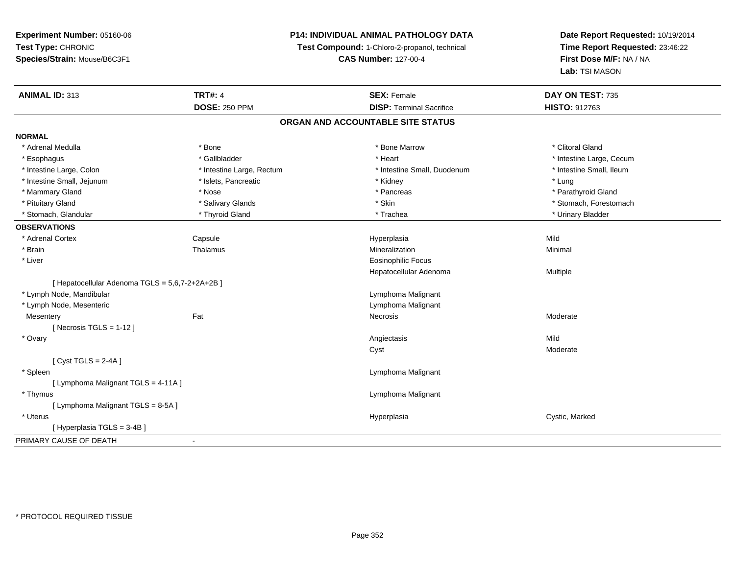# **P14: INDIVIDUAL ANIMAL PATHOLOGY DATA**

**Test Compound:** 1-Chloro-2-propanol, technical

**CAS Number:** 127-00-4

| <b>ANIMAL ID: 313</b>                           | <b>TRT#: 4</b>            | <b>SEX: Female</b>              | DAY ON TEST: 735         |  |  |  |
|-------------------------------------------------|---------------------------|---------------------------------|--------------------------|--|--|--|
|                                                 | <b>DOSE: 250 PPM</b>      | <b>DISP: Terminal Sacrifice</b> | <b>HISTO: 912763</b>     |  |  |  |
| ORGAN AND ACCOUNTABLE SITE STATUS               |                           |                                 |                          |  |  |  |
| <b>NORMAL</b>                                   |                           |                                 |                          |  |  |  |
| * Adrenal Medulla                               | * Bone                    | * Bone Marrow                   | * Clitoral Gland         |  |  |  |
| * Esophagus                                     | * Gallbladder             | * Heart                         | * Intestine Large, Cecum |  |  |  |
| * Intestine Large, Colon                        | * Intestine Large, Rectum | * Intestine Small, Duodenum     | * Intestine Small, Ileum |  |  |  |
| * Intestine Small, Jejunum                      | * Islets, Pancreatic      | * Kidney                        | * Lung                   |  |  |  |
| * Mammary Gland                                 | * Nose                    | * Pancreas                      | * Parathyroid Gland      |  |  |  |
| * Pituitary Gland                               | * Salivary Glands         | * Skin                          | * Stomach, Forestomach   |  |  |  |
| * Stomach, Glandular                            | * Thyroid Gland           | * Trachea                       | * Urinary Bladder        |  |  |  |
| <b>OBSERVATIONS</b>                             |                           |                                 |                          |  |  |  |
| * Adrenal Cortex                                | Capsule                   | Hyperplasia                     | Mild                     |  |  |  |
| * Brain                                         | Thalamus                  | Mineralization                  | Minimal                  |  |  |  |
| * Liver                                         |                           | <b>Eosinophilic Focus</b>       |                          |  |  |  |
|                                                 |                           | Hepatocellular Adenoma          | Multiple                 |  |  |  |
| [ Hepatocellular Adenoma TGLS = 5,6,7-2+2A+2B ] |                           |                                 |                          |  |  |  |
| * Lymph Node, Mandibular                        |                           | Lymphoma Malignant              |                          |  |  |  |
| * Lymph Node, Mesenteric                        |                           | Lymphoma Malignant              |                          |  |  |  |
| Mesentery                                       | Fat                       | <b>Necrosis</b>                 | Moderate                 |  |  |  |
| [Necrosis TGLS = $1-12$ ]                       |                           |                                 |                          |  |  |  |
| * Ovary                                         |                           | Angiectasis                     | Mild                     |  |  |  |
|                                                 |                           | Cyst                            | Moderate                 |  |  |  |
| [Cyst TGLS = $2-4A$ ]                           |                           |                                 |                          |  |  |  |
| * Spleen                                        |                           | Lymphoma Malignant              |                          |  |  |  |
| [ Lymphoma Malignant TGLS = 4-11A ]             |                           |                                 |                          |  |  |  |
| * Thymus                                        |                           | Lymphoma Malignant              |                          |  |  |  |
| [Lymphoma Malignant TGLS = 8-5A]                |                           |                                 |                          |  |  |  |
| * Uterus                                        |                           | Hyperplasia                     | Cystic, Marked           |  |  |  |
| [Hyperplasia TGLS = 3-4B]                       |                           |                                 |                          |  |  |  |
| PRIMARY CAUSE OF DEATH                          | $\blacksquare$            |                                 |                          |  |  |  |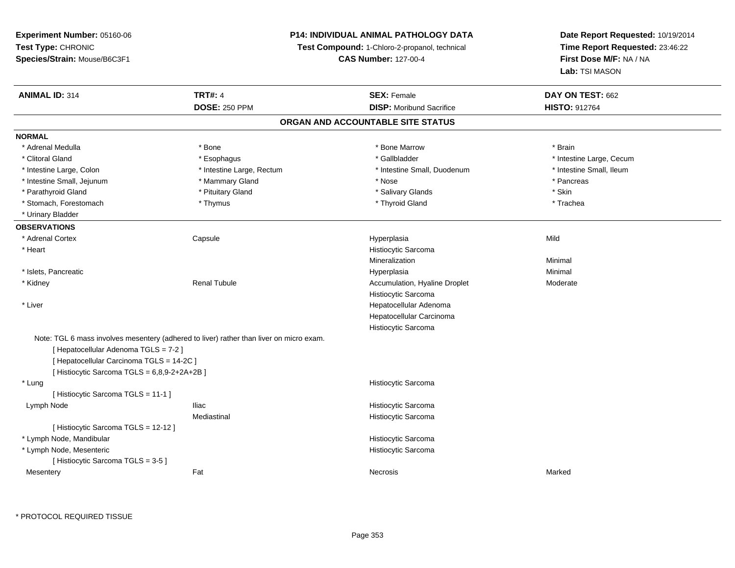**Experiment Number:** 05160-06**Test Type:** CHRONIC **Species/Strain:** Mouse/B6C3F1**P14: INDIVIDUAL ANIMAL PATHOLOGY DATATest Compound:** 1-Chloro-2-propanol, technical **CAS Number:** 127-00-4**Date Report Requested:** 10/19/2014**Time Report Requested:** 23:46:22**First Dose M/F:** NA / NA**Lab:** TSI MASON**ANIMAL ID:** 314**TRT#:** 4 **SEX:** Female **SEX: Female DAY ON TEST:** 662 **DOSE:** 250 PPM**DISP:** Moribund Sacrifice **HISTO:** 912764 **ORGAN AND ACCOUNTABLE SITE STATUSNORMAL**\* Adrenal Medulla \* \* Annual Medulla \* Brain \* Bone \* \* Bone Marrow \* Bone Marrow \* \* Brain \* Brain \* Brain \* Brain \* Brain \* Brain \* Brain \* Brain \* Brain \* Brain \* Brain \* Brain \* Brain \* Brain \* Brain \* Brain \* Brain \* \* Clitoral Gland \* \* Esophagus \* Esophagus \* The state and the state of the state of the state of the state of the state of the state of the state of the state of the state of the state of the state of the state of the sta \* Intestine Small, Ileum \* Intestine Large, Colon \* Intestine Large, Rectum \* Intestine Small, Duodenum \* 1 \* Intestine Small, Jejunum \* \* The matter of the Mammary Gland \* The matter of the Mose \* Pancreas \* Pancreas \* Pancreas \* Parathyroid Gland \* \* Pituitary Gland \* Thuitary Gland \* Salivary Glands \* Stin \* Skin \* Skin \* Skin \* Skin \* Skin \* Skin \* Skin \* Skin \* Skin \* Skin \* Skin \* Skin \* Skin \* Skin \* Skin \* Skin \* Skin \* Skin \* Skin \* Skin \* Trachea \* Stomach, Forestomach \* Thymus \* Thymus \* Thymus \* Thyroid Gland \* Thyroid Gland \* Urinary Bladder**OBSERVATIONS** \* Adrenal Cortex Capsule Hyperplasia Mild \* Heart Histiocytic SarcomaMineralizationn Minimal \* Islets, Pancreaticc description of the control of the control of the control of the control of the control of the control of the control of the control of the control of the control of the control of the control of the control of the contro a and a studies of the studies of the Minimal \* Kidney Renal TubuleAccumulation, Hyaline Droplet Moderate Histiocytic Sarcoma Hepatocellular Adenoma \* Liver Hepatocellular CarcinomaHistiocytic SarcomaNote: TGL 6 mass involves mesentery (adhered to liver) rather than liver on micro exam.[ Hepatocellular Adenoma TGLS = 7-2 ][ Hepatocellular Carcinoma TGLS = 14-2C ][ Histiocytic Sarcoma TGLS = 6,8,9-2+2A+2B ] \* Lung Histiocytic Sarcoma [ Histiocytic Sarcoma TGLS = 11-1 ] Lymph NodeIliac **Histiocytic Sarcoma** Mediastinal Histiocytic Sarcoma[ Histiocytic Sarcoma TGLS = 12-12 ] \* Lymph Node, Mandibular Histiocytic Sarcoma Histiocytic Sarcoma \* Lymph Node, Mesenteric[ Histiocytic Sarcoma TGLS = 3-5 ] Mesenteryy the control of the Marked States of the Marked States of the Marked States of the Marked States of the Marked States of the Marked States of the Marked States of the Marked States of the Marked States of the Marked State

\* PROTOCOL REQUIRED TISSUE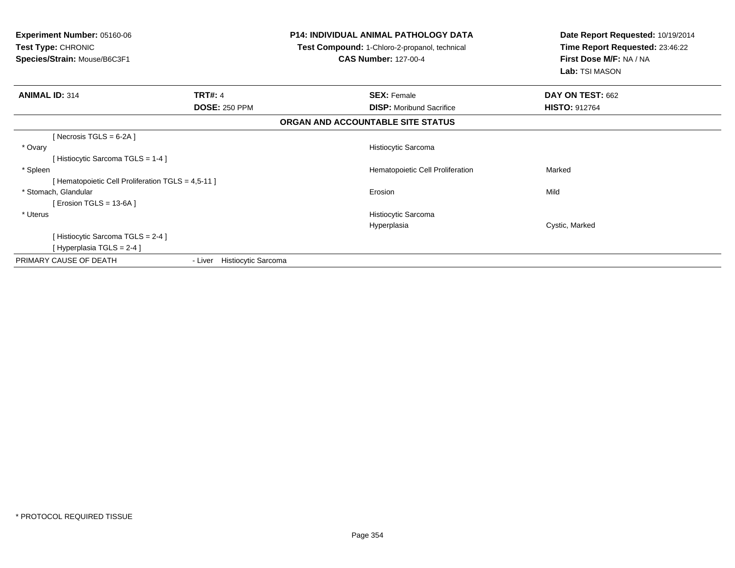| <b>Experiment Number: 05160-06</b><br>Test Type: CHRONIC<br>Species/Strain: Mouse/B6C3F1 |                             | <b>P14: INDIVIDUAL ANIMAL PATHOLOGY DATA</b><br>Test Compound: 1-Chloro-2-propanol, technical<br><b>CAS Number: 127-00-4</b> | Date Report Requested: 10/19/2014<br>Time Report Requested: 23:46:22<br>First Dose M/F: NA / NA<br>Lab: TSI MASON |
|------------------------------------------------------------------------------------------|-----------------------------|------------------------------------------------------------------------------------------------------------------------------|-------------------------------------------------------------------------------------------------------------------|
| <b>ANIMAL ID: 314</b>                                                                    | <b>TRT#: 4</b>              | <b>SEX: Female</b>                                                                                                           | DAY ON TEST: 662                                                                                                  |
|                                                                                          | <b>DOSE: 250 PPM</b>        | <b>DISP:</b> Moribund Sacrifice                                                                                              | <b>HISTO: 912764</b>                                                                                              |
|                                                                                          |                             | ORGAN AND ACCOUNTABLE SITE STATUS                                                                                            |                                                                                                                   |
| [ Necrosis TGLS = $6-2A$ ]                                                               |                             |                                                                                                                              |                                                                                                                   |
| * Ovary                                                                                  |                             | Histiocytic Sarcoma                                                                                                          |                                                                                                                   |
| [Histiocytic Sarcoma TGLS = 1-4]                                                         |                             |                                                                                                                              |                                                                                                                   |
| * Spleen                                                                                 |                             | Hematopoietic Cell Proliferation                                                                                             | Marked                                                                                                            |
| [ Hematopoietic Cell Proliferation TGLS = 4,5-11 ]                                       |                             |                                                                                                                              |                                                                                                                   |
| * Stomach, Glandular                                                                     |                             | Erosion                                                                                                                      | Mild                                                                                                              |
| [ Erosion TGLS = $13-6A$ ]                                                               |                             |                                                                                                                              |                                                                                                                   |
| * Uterus                                                                                 |                             | Histiocytic Sarcoma                                                                                                          |                                                                                                                   |
|                                                                                          |                             | Hyperplasia                                                                                                                  | Cystic, Marked                                                                                                    |
| [Histiocytic Sarcoma TGLS = 2-4]                                                         |                             |                                                                                                                              |                                                                                                                   |
| [ Hyperplasia TGLS = 2-4 ]                                                               |                             |                                                                                                                              |                                                                                                                   |
| PRIMARY CAUSE OF DEATH                                                                   | - Liver Histiocytic Sarcoma |                                                                                                                              |                                                                                                                   |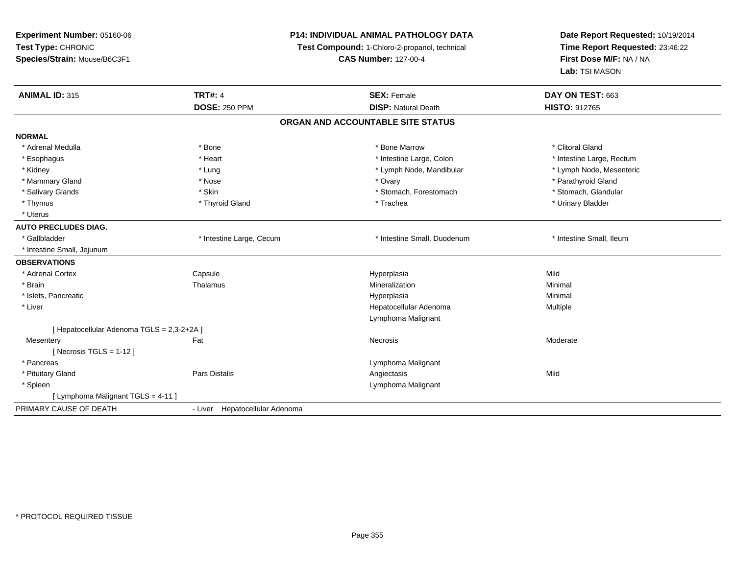| Time Report Requested: 23:46:22<br>Test Type: CHRONIC<br>Test Compound: 1-Chloro-2-propanol, technical<br>First Dose M/F: NA / NA<br>Species/Strain: Mouse/B6C3F1<br><b>CAS Number: 127-00-4</b><br>Lab: TSI MASON<br><b>ANIMAL ID: 315</b><br><b>TRT#: 4</b><br><b>SEX: Female</b><br>DAY ON TEST: 663<br><b>DOSE: 250 PPM</b><br><b>DISP: Natural Death</b><br><b>HISTO: 912765</b><br>ORGAN AND ACCOUNTABLE SITE STATUS<br>* Clitoral Gland<br>* Adrenal Medulla<br>* Bone<br>* Bone Marrow<br>* Heart<br>* Intestine Large, Colon<br>* Intestine Large, Rectum<br>* Esophagus<br>* Lymph Node, Mandibular<br>* Lymph Node, Mesenteric<br>* Kidney<br>* Lung<br>* Parathyroid Gland<br>* Mammary Gland<br>* Nose<br>* Ovary<br>* Salivary Glands<br>* Stomach, Glandular<br>* Skin<br>* Stomach, Forestomach<br>* Thymus<br>* Thyroid Gland<br>* Trachea<br>* Urinary Bladder<br>* Uterus<br><b>AUTO PRECLUDES DIAG.</b><br>* Gallbladder<br>* Intestine Small, Duodenum<br>* Intestine Small, Ileum<br>* Intestine Large, Cecum<br>* Intestine Small, Jejunum<br>* Adrenal Cortex<br>Mild<br>Capsule<br>Hyperplasia<br>* Brain<br>Mineralization<br>Thalamus<br>Minimal<br>* Islets, Pancreatic<br>Hyperplasia<br>Minimal<br>* Liver<br>Hepatocellular Adenoma<br>Multiple<br>Lymphoma Malignant<br>[ Hepatocellular Adenoma TGLS = 2,3-2+2A ]<br>Fat<br>Necrosis<br>Moderate<br>Mesentery<br>[ Necrosis TGLS = $1-12$ ]<br>* Pancreas<br>Lymphoma Malignant<br>* Pituitary Gland<br>Pars Distalis<br>Angiectasis<br>Mild<br>* Spleen<br>Lymphoma Malignant<br>[ Lymphoma Malignant TGLS = 4-11 ]<br>- Liver Hepatocellular Adenoma | Experiment Number: 05160-06 | <b>P14: INDIVIDUAL ANIMAL PATHOLOGY DATA</b> | Date Report Requested: 10/19/2014 |  |
|-----------------------------------------------------------------------------------------------------------------------------------------------------------------------------------------------------------------------------------------------------------------------------------------------------------------------------------------------------------------------------------------------------------------------------------------------------------------------------------------------------------------------------------------------------------------------------------------------------------------------------------------------------------------------------------------------------------------------------------------------------------------------------------------------------------------------------------------------------------------------------------------------------------------------------------------------------------------------------------------------------------------------------------------------------------------------------------------------------------------------------------------------------------------------------------------------------------------------------------------------------------------------------------------------------------------------------------------------------------------------------------------------------------------------------------------------------------------------------------------------------------------------------------------------------------------------------------------------------------------------------------------|-----------------------------|----------------------------------------------|-----------------------------------|--|
|                                                                                                                                                                                                                                                                                                                                                                                                                                                                                                                                                                                                                                                                                                                                                                                                                                                                                                                                                                                                                                                                                                                                                                                                                                                                                                                                                                                                                                                                                                                                                                                                                                         |                             |                                              |                                   |  |
|                                                                                                                                                                                                                                                                                                                                                                                                                                                                                                                                                                                                                                                                                                                                                                                                                                                                                                                                                                                                                                                                                                                                                                                                                                                                                                                                                                                                                                                                                                                                                                                                                                         |                             |                                              |                                   |  |
|                                                                                                                                                                                                                                                                                                                                                                                                                                                                                                                                                                                                                                                                                                                                                                                                                                                                                                                                                                                                                                                                                                                                                                                                                                                                                                                                                                                                                                                                                                                                                                                                                                         |                             |                                              |                                   |  |
|                                                                                                                                                                                                                                                                                                                                                                                                                                                                                                                                                                                                                                                                                                                                                                                                                                                                                                                                                                                                                                                                                                                                                                                                                                                                                                                                                                                                                                                                                                                                                                                                                                         |                             |                                              |                                   |  |
|                                                                                                                                                                                                                                                                                                                                                                                                                                                                                                                                                                                                                                                                                                                                                                                                                                                                                                                                                                                                                                                                                                                                                                                                                                                                                                                                                                                                                                                                                                                                                                                                                                         |                             |                                              |                                   |  |
|                                                                                                                                                                                                                                                                                                                                                                                                                                                                                                                                                                                                                                                                                                                                                                                                                                                                                                                                                                                                                                                                                                                                                                                                                                                                                                                                                                                                                                                                                                                                                                                                                                         |                             |                                              |                                   |  |
|                                                                                                                                                                                                                                                                                                                                                                                                                                                                                                                                                                                                                                                                                                                                                                                                                                                                                                                                                                                                                                                                                                                                                                                                                                                                                                                                                                                                                                                                                                                                                                                                                                         | <b>NORMAL</b>               |                                              |                                   |  |
|                                                                                                                                                                                                                                                                                                                                                                                                                                                                                                                                                                                                                                                                                                                                                                                                                                                                                                                                                                                                                                                                                                                                                                                                                                                                                                                                                                                                                                                                                                                                                                                                                                         |                             |                                              |                                   |  |
|                                                                                                                                                                                                                                                                                                                                                                                                                                                                                                                                                                                                                                                                                                                                                                                                                                                                                                                                                                                                                                                                                                                                                                                                                                                                                                                                                                                                                                                                                                                                                                                                                                         |                             |                                              |                                   |  |
|                                                                                                                                                                                                                                                                                                                                                                                                                                                                                                                                                                                                                                                                                                                                                                                                                                                                                                                                                                                                                                                                                                                                                                                                                                                                                                                                                                                                                                                                                                                                                                                                                                         |                             |                                              |                                   |  |
|                                                                                                                                                                                                                                                                                                                                                                                                                                                                                                                                                                                                                                                                                                                                                                                                                                                                                                                                                                                                                                                                                                                                                                                                                                                                                                                                                                                                                                                                                                                                                                                                                                         |                             |                                              |                                   |  |
|                                                                                                                                                                                                                                                                                                                                                                                                                                                                                                                                                                                                                                                                                                                                                                                                                                                                                                                                                                                                                                                                                                                                                                                                                                                                                                                                                                                                                                                                                                                                                                                                                                         |                             |                                              |                                   |  |
|                                                                                                                                                                                                                                                                                                                                                                                                                                                                                                                                                                                                                                                                                                                                                                                                                                                                                                                                                                                                                                                                                                                                                                                                                                                                                                                                                                                                                                                                                                                                                                                                                                         |                             |                                              |                                   |  |
|                                                                                                                                                                                                                                                                                                                                                                                                                                                                                                                                                                                                                                                                                                                                                                                                                                                                                                                                                                                                                                                                                                                                                                                                                                                                                                                                                                                                                                                                                                                                                                                                                                         |                             |                                              |                                   |  |
|                                                                                                                                                                                                                                                                                                                                                                                                                                                                                                                                                                                                                                                                                                                                                                                                                                                                                                                                                                                                                                                                                                                                                                                                                                                                                                                                                                                                                                                                                                                                                                                                                                         |                             |                                              |                                   |  |
|                                                                                                                                                                                                                                                                                                                                                                                                                                                                                                                                                                                                                                                                                                                                                                                                                                                                                                                                                                                                                                                                                                                                                                                                                                                                                                                                                                                                                                                                                                                                                                                                                                         |                             |                                              |                                   |  |
|                                                                                                                                                                                                                                                                                                                                                                                                                                                                                                                                                                                                                                                                                                                                                                                                                                                                                                                                                                                                                                                                                                                                                                                                                                                                                                                                                                                                                                                                                                                                                                                                                                         |                             |                                              |                                   |  |
|                                                                                                                                                                                                                                                                                                                                                                                                                                                                                                                                                                                                                                                                                                                                                                                                                                                                                                                                                                                                                                                                                                                                                                                                                                                                                                                                                                                                                                                                                                                                                                                                                                         | <b>OBSERVATIONS</b>         |                                              |                                   |  |
|                                                                                                                                                                                                                                                                                                                                                                                                                                                                                                                                                                                                                                                                                                                                                                                                                                                                                                                                                                                                                                                                                                                                                                                                                                                                                                                                                                                                                                                                                                                                                                                                                                         |                             |                                              |                                   |  |
|                                                                                                                                                                                                                                                                                                                                                                                                                                                                                                                                                                                                                                                                                                                                                                                                                                                                                                                                                                                                                                                                                                                                                                                                                                                                                                                                                                                                                                                                                                                                                                                                                                         |                             |                                              |                                   |  |
|                                                                                                                                                                                                                                                                                                                                                                                                                                                                                                                                                                                                                                                                                                                                                                                                                                                                                                                                                                                                                                                                                                                                                                                                                                                                                                                                                                                                                                                                                                                                                                                                                                         |                             |                                              |                                   |  |
|                                                                                                                                                                                                                                                                                                                                                                                                                                                                                                                                                                                                                                                                                                                                                                                                                                                                                                                                                                                                                                                                                                                                                                                                                                                                                                                                                                                                                                                                                                                                                                                                                                         |                             |                                              |                                   |  |
|                                                                                                                                                                                                                                                                                                                                                                                                                                                                                                                                                                                                                                                                                                                                                                                                                                                                                                                                                                                                                                                                                                                                                                                                                                                                                                                                                                                                                                                                                                                                                                                                                                         |                             |                                              |                                   |  |
|                                                                                                                                                                                                                                                                                                                                                                                                                                                                                                                                                                                                                                                                                                                                                                                                                                                                                                                                                                                                                                                                                                                                                                                                                                                                                                                                                                                                                                                                                                                                                                                                                                         |                             |                                              |                                   |  |
|                                                                                                                                                                                                                                                                                                                                                                                                                                                                                                                                                                                                                                                                                                                                                                                                                                                                                                                                                                                                                                                                                                                                                                                                                                                                                                                                                                                                                                                                                                                                                                                                                                         |                             |                                              |                                   |  |
|                                                                                                                                                                                                                                                                                                                                                                                                                                                                                                                                                                                                                                                                                                                                                                                                                                                                                                                                                                                                                                                                                                                                                                                                                                                                                                                                                                                                                                                                                                                                                                                                                                         |                             |                                              |                                   |  |
|                                                                                                                                                                                                                                                                                                                                                                                                                                                                                                                                                                                                                                                                                                                                                                                                                                                                                                                                                                                                                                                                                                                                                                                                                                                                                                                                                                                                                                                                                                                                                                                                                                         |                             |                                              |                                   |  |
|                                                                                                                                                                                                                                                                                                                                                                                                                                                                                                                                                                                                                                                                                                                                                                                                                                                                                                                                                                                                                                                                                                                                                                                                                                                                                                                                                                                                                                                                                                                                                                                                                                         |                             |                                              |                                   |  |
|                                                                                                                                                                                                                                                                                                                                                                                                                                                                                                                                                                                                                                                                                                                                                                                                                                                                                                                                                                                                                                                                                                                                                                                                                                                                                                                                                                                                                                                                                                                                                                                                                                         |                             |                                              |                                   |  |
|                                                                                                                                                                                                                                                                                                                                                                                                                                                                                                                                                                                                                                                                                                                                                                                                                                                                                                                                                                                                                                                                                                                                                                                                                                                                                                                                                                                                                                                                                                                                                                                                                                         |                             |                                              |                                   |  |
|                                                                                                                                                                                                                                                                                                                                                                                                                                                                                                                                                                                                                                                                                                                                                                                                                                                                                                                                                                                                                                                                                                                                                                                                                                                                                                                                                                                                                                                                                                                                                                                                                                         | PRIMARY CAUSE OF DEATH      |                                              |                                   |  |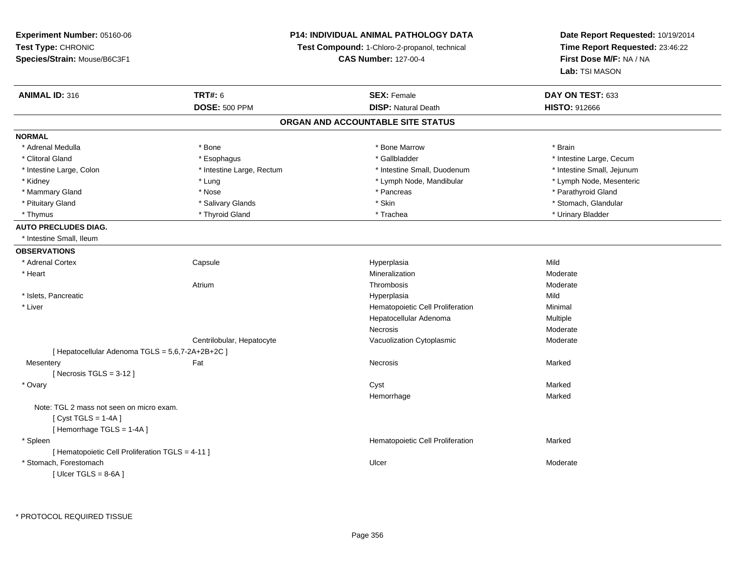**Experiment Number:** 05160-06**Test Type:** CHRONIC **Species/Strain:** Mouse/B6C3F1**P14: INDIVIDUAL ANIMAL PATHOLOGY DATATest Compound:** 1-Chloro-2-propanol, technical **CAS Number:** 127-00-4**ANIMAL ID:** 316**6 DAY ON TEST:** 633 **DOSE:** 500 PPM**ORGAN AND ACCOUNTABLE SITE STATUSNORMAL**\* Adrenal Medulla \* \* Annual Medulla \* Brain \* Bone \* \* Bone Marrow \* Bone Marrow \* \* Brain \* Brain \* Brain \* Brain \* Brain \* Brain \* Brain \* Brain \* Brain \* Brain \* Brain \* Brain \* Brain \* Brain \* Brain \* Brain \* Brain \* \* Clitoral Gland \* \* Esophagus \* Esophagus \* The state and the state of the state of the state of the state of the state of the state of the state of the state of the state of the state of the state of the state of the sta \* Intestine Large, Colon \* Intestine Large, Rectum \* Intestine Small, Duodenum \* Intestine Small, Jejunum\* Kidney \* Lung \* Lung \* Lung \* Lung \* Lower \* Lymph Node, Mandibular \* Lymph Node, Mandibular \* Mammary Gland \* \* Nose \* \* Nose \* \* Pancreas \* Pancreas \* \* Pancreas \* \* Pancreas \* \* Pancreas \* \* Parathyroid Gland \* Pituitary Gland \* \* Salivary Glands \* Salivary Glands \* Skin \* Skin \* Stomach, Glandular \* Stomach, Glandular \* Thymus \* Thyroid Gland \* Trachea \* Urinary Bladder \* **AUTO PRECLUDES DIAG.**\* Intestine Small, Ileum

**OBSERVATIONS** \* Adrenal Cortex**Capsule**  Hyperplasia Mild \* Heartt to the contract of the contract of the contract of the contract of the contract of the contract of the contract of the contract of the contract of the contract of the contract of the contract of the contract of the contr Mineralization Moderate<br>
Thrombosis Moderate<br>
Moderate Atriumm and the moderate of the Thrombosis and the Moderate Moderate of the Moderate of the Moderate of the Moderate \* Islets, Pancreaticc and the control of the control of the control of the control of the control of the control of the control of the control of the control of the control of the control of the control of the control of the control of the co a Mild \* Liver Hematopoietic Cell Proliferation Minimal Hepatocellular AdenomaMultiple<br>Moderate Necrosis ModerateModerate Centrilobular, HepatocyteVacuolization Cytoplasmic [ Hepatocellular Adenoma TGLS = 5,6,7-2A+2B+2C ]**Mesentery** y the controller of the state of the controller of the Marked State of the Marked State of the Marked State of  $[$  Necrosis TGLS = 3-12  $]$  \* Ovaryy and the control of the control of the control of the control of the control of the control of the control of the control of the control of the control of the control of the control of the control of the control of the co Marked Hemorrhagee Marked Note: TGL 2 mass not seen on micro exam. $[$  Cyst TGLS = 1-4A  $]$ [ Hemorrhage TGLS = 1-4A ] \* SpleenHematopoietic Cell Proliferation Marked [ Hematopoietic Cell Proliferation TGLS = 4-11 ] \* Stomach, Forestomachh and the control of the control of the control of the Ulcer Changes of the Changes of the Moderate of the Moderate  $\sim$  $[$  Ulcer TGLS = 8-6A  $]$ 

**Date Report Requested:** 10/19/2014**Time Report Requested:** 23:46:22

**First Dose M/F:** NA / NA

**Lab:** TSI MASON

\* Lymph Node, Mesenteric

**DISP:** Natural Death **HISTO:** 912666

\* PROTOCOL REQUIRED TISSUE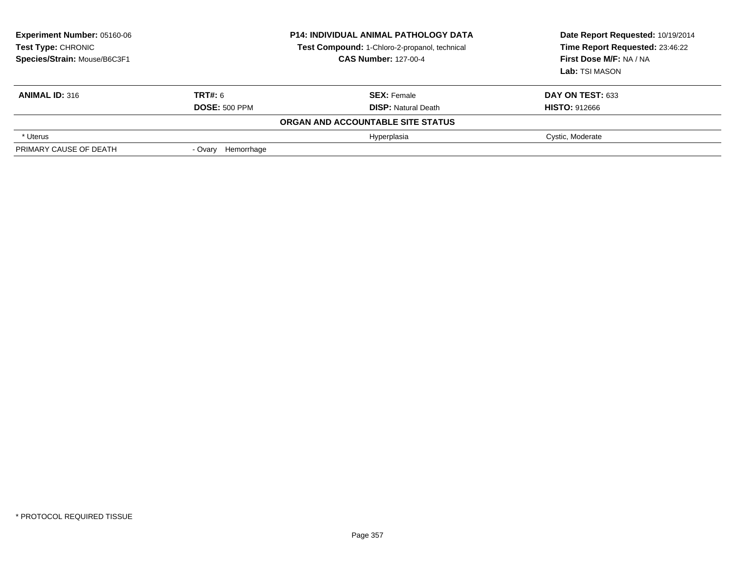| <b>Experiment Number: 05160-06</b><br>Test Type: CHRONIC<br>Species/Strain: Mouse/B6C3F1 |                      | <b>P14: INDIVIDUAL ANIMAL PATHOLOGY DATA</b><br>Test Compound: 1-Chloro-2-propanol, technical<br><b>CAS Number: 127-00-4</b> | Date Report Requested: 10/19/2014<br>Time Report Requested: 23:46:22<br>First Dose M/F: NA / NA<br>Lab: TSI MASON |
|------------------------------------------------------------------------------------------|----------------------|------------------------------------------------------------------------------------------------------------------------------|-------------------------------------------------------------------------------------------------------------------|
| <b>ANIMAL ID: 316</b>                                                                    | <b>TRT#: 6</b>       | <b>SEX: Female</b>                                                                                                           | DAY ON TEST: 633                                                                                                  |
|                                                                                          | <b>DOSE: 500 PPM</b> | <b>DISP:</b> Natural Death                                                                                                   | <b>HISTO: 912666</b>                                                                                              |
|                                                                                          |                      | ORGAN AND ACCOUNTABLE SITE STATUS                                                                                            |                                                                                                                   |
| * Uterus                                                                                 |                      | Hyperplasia                                                                                                                  | Cystic, Moderate                                                                                                  |
| PRIMARY CAUSE OF DEATH                                                                   | - Ovary Hemorrhage   |                                                                                                                              |                                                                                                                   |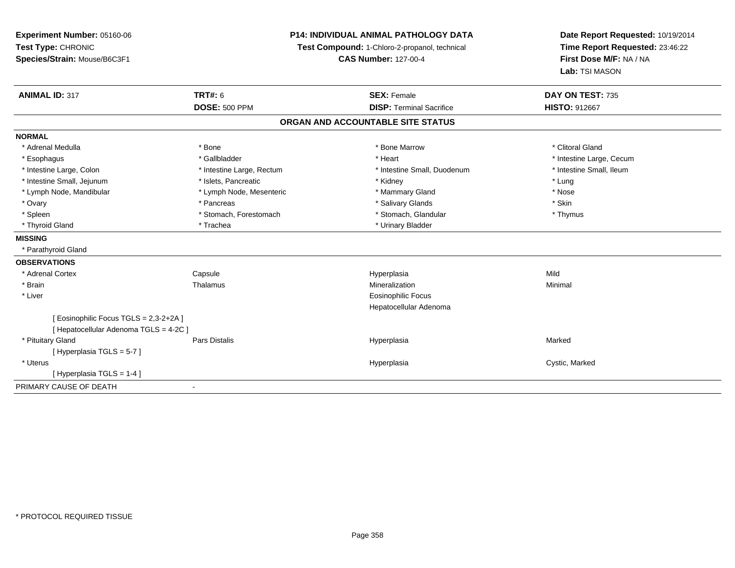| Experiment Number: 05160-06<br>Test Type: CHRONIC                                | <b>P14: INDIVIDUAL ANIMAL PATHOLOGY DATA</b><br>Test Compound: 1-Chloro-2-propanol, technical |                                   | Date Report Requested: 10/19/2014<br>Time Report Requested: 23:46:22 |  |
|----------------------------------------------------------------------------------|-----------------------------------------------------------------------------------------------|-----------------------------------|----------------------------------------------------------------------|--|
| Species/Strain: Mouse/B6C3F1                                                     |                                                                                               | <b>CAS Number: 127-00-4</b>       | First Dose M/F: NA / NA<br>Lab: TSI MASON                            |  |
| <b>ANIMAL ID: 317</b>                                                            | <b>TRT#: 6</b>                                                                                | <b>SEX: Female</b>                | DAY ON TEST: 735                                                     |  |
|                                                                                  | <b>DOSE: 500 PPM</b>                                                                          | <b>DISP: Terminal Sacrifice</b>   | <b>HISTO: 912667</b>                                                 |  |
|                                                                                  |                                                                                               | ORGAN AND ACCOUNTABLE SITE STATUS |                                                                      |  |
| <b>NORMAL</b>                                                                    |                                                                                               |                                   |                                                                      |  |
| * Adrenal Medulla                                                                | * Bone                                                                                        | * Bone Marrow                     | * Clitoral Gland                                                     |  |
| * Esophagus                                                                      | * Gallbladder                                                                                 | * Heart                           | * Intestine Large, Cecum                                             |  |
| * Intestine Large, Colon                                                         | * Intestine Large, Rectum                                                                     | * Intestine Small, Duodenum       | * Intestine Small, Ileum                                             |  |
| * Intestine Small, Jejunum                                                       | * Islets, Pancreatic                                                                          | * Kidney                          | * Lung                                                               |  |
| * Lymph Node, Mandibular                                                         | * Lymph Node, Mesenteric                                                                      | * Mammary Gland                   | * Nose                                                               |  |
| * Ovary                                                                          | * Pancreas                                                                                    | * Salivary Glands                 | * Skin                                                               |  |
| * Spleen                                                                         | * Stomach, Forestomach                                                                        | * Stomach, Glandular              | * Thymus                                                             |  |
| * Thyroid Gland                                                                  | * Trachea                                                                                     | * Urinary Bladder                 |                                                                      |  |
| <b>MISSING</b>                                                                   |                                                                                               |                                   |                                                                      |  |
| * Parathyroid Gland                                                              |                                                                                               |                                   |                                                                      |  |
| <b>OBSERVATIONS</b>                                                              |                                                                                               |                                   |                                                                      |  |
| * Adrenal Cortex                                                                 | Capsule                                                                                       | Hyperplasia                       | Mild                                                                 |  |
| * Brain                                                                          | Thalamus                                                                                      | Mineralization                    | Minimal                                                              |  |
| * Liver                                                                          |                                                                                               | <b>Eosinophilic Focus</b>         |                                                                      |  |
|                                                                                  |                                                                                               | Hepatocellular Adenoma            |                                                                      |  |
| [ Eosinophilic Focus TGLS = 2,3-2+2A ]<br>[ Hepatocellular Adenoma TGLS = 4-2C ] |                                                                                               |                                   |                                                                      |  |
| * Pituitary Gland                                                                | <b>Pars Distalis</b>                                                                          | Hyperplasia                       | Marked                                                               |  |
| [Hyperplasia TGLS = 5-7]                                                         |                                                                                               |                                   |                                                                      |  |
| * Uterus                                                                         |                                                                                               | Hyperplasia                       | Cystic, Marked                                                       |  |
| [Hyperplasia TGLS = 1-4]                                                         |                                                                                               |                                   |                                                                      |  |
| PRIMARY CAUSE OF DEATH                                                           | $\blacksquare$                                                                                |                                   |                                                                      |  |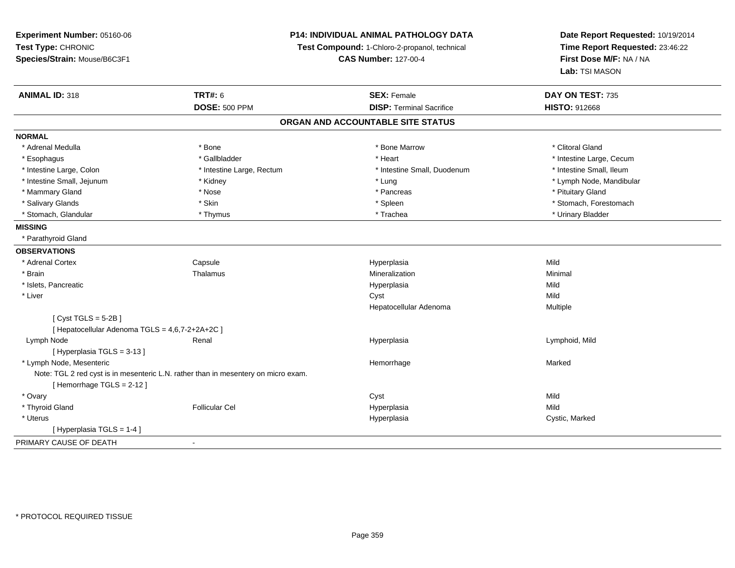**Experiment Number:** 05160-06**Test Type:** CHRONIC **Species/Strain:** Mouse/B6C3F1**P14: INDIVIDUAL ANIMAL PATHOLOGY DATATest Compound:** 1-Chloro-2-propanol, technical **CAS Number:** 127-00-4**Date Report Requested:** 10/19/2014**Time Report Requested:** 23:46:22**First Dose M/F:** NA / NA**Lab:** TSI MASON**ANIMAL ID:** 318**TRT#:** 6 **SEX:** Female **SEX: Female DAY ON TEST:** 735 **DOSE:** 500 PPM**DISP:** Terminal Sacrifice **HISTO:** 912668 **ORGAN AND ACCOUNTABLE SITE STATUSNORMAL**\* Adrenal Medulla \* The state of the state of the state of the state of the Marrow \* Bone Marrow \* Clitoral Gland \* Clitoral Gland \* Esophagus \* https://www.fragustage.com/web/2019/heart \* Heart \* Heart \* Heart \* Intestine Large, Cecum \* Intestine Large, Cecum \* Sallbladder \* The state of the state of the state of the state of the state of the state o \* Intestine Small. Ileum \* Intestine Large, Colon \* Intestine Large, Rectum \* Intestine Small, Duodenum \* Intestine Small, Duodenum \* Intestine Small, Jejunum \* Kidney \* Lung \* Lymph Node, Mandibular\* Mammary Gland \* \* Amery \* Nose \* \* Pancreas \* Pancreas \* Pancreas \* Pancreas \* Pituitary Gland \* Pituitary Gland \* Pancreas \* \* Pancreas \* \* Pancreas \* \* Pituitary Gland \* Pituitary Gland \* \* Pancreas \* \* Pancreas \* \* \* \* Salivary Glands \* The stomach \* Skin \* Spleen \* Spleen \* Stomach, Forestomach \* Stomach, Forestomach \* Stomach, Forestomach \* Stomach, Glandular \* \* \* Thymus \* \* Thymus \* \* The \* \* Trachea \* \* Trachea \* \* Urinary Bladder \* \* Urinary Bladder \* **MISSING** \* Parathyroid Gland**OBSERVATIONS** \* Adrenal Cortex**Capsule**  Hyperplasia Mild \* Brainn and the matter of the Thalamus and the Minimal of the Minimal of the Minimal of the Minimal of the Minimal o<br>Thalamus and the Minimal of the Minimal of the Minimal of the Minimal of the Minimal of the Minimal of the Min \* Islets, Pancreaticc and the control of the control of the control of the control of the control of the control of the control of the control of the control of the control of the control of the control of the control of the control of the co a Mild \* Liverr and the control of the control of the control of the control of the control of the control of the control of the control of the control of the control of the control of the control of the control of the control of the co a **Multiple** Hepatocellular Adenoma $[$  Cyst TGLS = 5-2B  $]$ [ Hepatocellular Adenoma TGLS = 4,6,7-2+2A+2C ] Lymph Node Renal Hyperplasia Lymphoid, Mild [ Hyperplasia TGLS = 3-13 ] \* Lymph Node, Mesentericc **Example 2018 Hemorrhage** e Marked Note: TGL 2 red cyst is in mesenteric L.N. rather than in mesentery on micro exam.[ Hemorrhage TGLS = 2-12 ] \* Ovaryy and the control of the control of the control of the control of the control of the control of the control of the control of the control of the control of the control of the control of the control of the control of the co **Mild**  \* Thyroid Gland Follicular Cel Hyperplasia Mild \* Uteruss and the control of the control of the control of the control of the control of the control of the control of the control of the control of the control of the control of the control of the control of the control of the co Hyperplasia **Cystic, Marked** [ Hyperplasia TGLS = 1-4 ]PRIMARY CAUSE OF DEATH-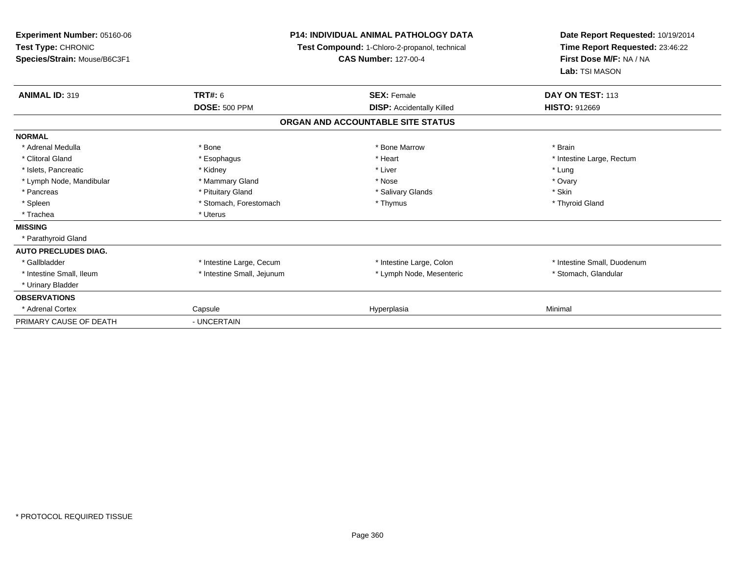| Experiment Number: 05160-06<br>Test Type: CHRONIC<br>Species/Strain: Mouse/B6C3F1 | <b>P14: INDIVIDUAL ANIMAL PATHOLOGY DATA</b><br>Test Compound: 1-Chloro-2-propanol, technical<br><b>CAS Number: 127-00-4</b> |                                   | Date Report Requested: 10/19/2014<br>Time Report Requested: 23:46:22<br>First Dose M/F: NA / NA<br>Lab: TSI MASON |
|-----------------------------------------------------------------------------------|------------------------------------------------------------------------------------------------------------------------------|-----------------------------------|-------------------------------------------------------------------------------------------------------------------|
| <b>ANIMAL ID: 319</b>                                                             | <b>TRT#: 6</b>                                                                                                               | <b>SEX: Female</b>                | DAY ON TEST: 113                                                                                                  |
|                                                                                   | <b>DOSE: 500 PPM</b>                                                                                                         | <b>DISP:</b> Accidentally Killed  | <b>HISTO: 912669</b>                                                                                              |
|                                                                                   |                                                                                                                              | ORGAN AND ACCOUNTABLE SITE STATUS |                                                                                                                   |
| <b>NORMAL</b>                                                                     |                                                                                                                              |                                   |                                                                                                                   |
| * Adrenal Medulla                                                                 | * Bone                                                                                                                       | * Bone Marrow                     | * Brain                                                                                                           |
| * Clitoral Gland                                                                  | * Esophagus                                                                                                                  | * Heart                           | * Intestine Large, Rectum                                                                                         |
| * Islets, Pancreatic                                                              | * Kidney                                                                                                                     | * Liver                           | * Lung                                                                                                            |
| * Lymph Node, Mandibular                                                          | * Mammary Gland                                                                                                              | * Nose                            | * Ovary                                                                                                           |
| * Pancreas                                                                        | * Pituitary Gland                                                                                                            | * Salivary Glands                 | * Skin                                                                                                            |
| * Spleen                                                                          | * Stomach, Forestomach                                                                                                       | * Thymus                          | * Thyroid Gland                                                                                                   |
| * Trachea                                                                         | * Uterus                                                                                                                     |                                   |                                                                                                                   |
| <b>MISSING</b>                                                                    |                                                                                                                              |                                   |                                                                                                                   |
| * Parathyroid Gland                                                               |                                                                                                                              |                                   |                                                                                                                   |
| <b>AUTO PRECLUDES DIAG.</b>                                                       |                                                                                                                              |                                   |                                                                                                                   |
| * Gallbladder                                                                     | * Intestine Large, Cecum                                                                                                     | * Intestine Large, Colon          | * Intestine Small, Duodenum                                                                                       |
| * Intestine Small, Ileum                                                          | * Intestine Small, Jejunum                                                                                                   | * Lymph Node, Mesenteric          | * Stomach, Glandular                                                                                              |
| * Urinary Bladder                                                                 |                                                                                                                              |                                   |                                                                                                                   |
| <b>OBSERVATIONS</b>                                                               |                                                                                                                              |                                   |                                                                                                                   |
| * Adrenal Cortex                                                                  | Capsule                                                                                                                      | Hyperplasia                       | Minimal                                                                                                           |
| PRIMARY CAUSE OF DEATH                                                            | - UNCERTAIN                                                                                                                  |                                   |                                                                                                                   |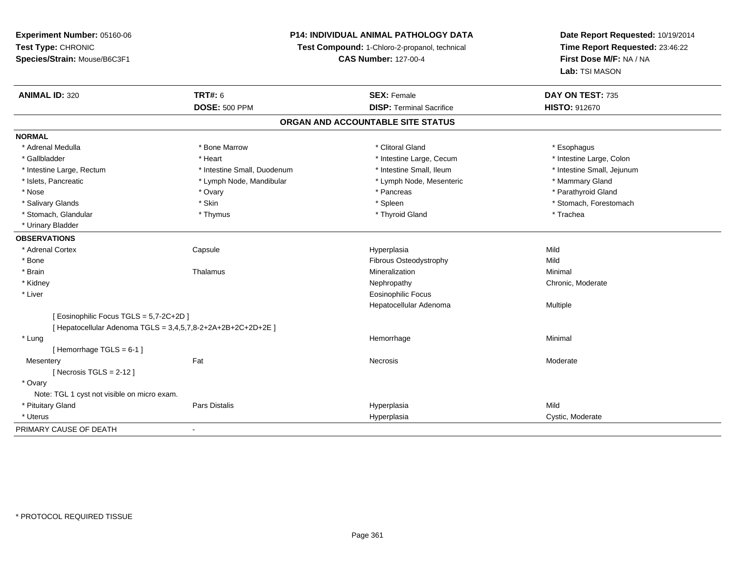# **P14: INDIVIDUAL ANIMAL PATHOLOGY DATA**

**Test Compound:** 1-Chloro-2-propanol, technical

**CAS Number:** 127-00-4

| <b>ANIMAL ID: 320</b>                                        | <b>TRT#: 6</b>              | <b>SEX: Female</b>              | DAY ON TEST: 735           |  |  |  |
|--------------------------------------------------------------|-----------------------------|---------------------------------|----------------------------|--|--|--|
|                                                              | <b>DOSE: 500 PPM</b>        | <b>DISP: Terminal Sacrifice</b> | <b>HISTO: 912670</b>       |  |  |  |
| ORGAN AND ACCOUNTABLE SITE STATUS                            |                             |                                 |                            |  |  |  |
| <b>NORMAL</b>                                                |                             |                                 |                            |  |  |  |
| * Adrenal Medulla                                            | * Bone Marrow               | * Clitoral Gland                | * Esophagus                |  |  |  |
| * Gallbladder                                                | * Heart                     | * Intestine Large, Cecum        | * Intestine Large, Colon   |  |  |  |
| * Intestine Large, Rectum                                    | * Intestine Small, Duodenum | * Intestine Small, Ileum        | * Intestine Small, Jejunum |  |  |  |
| * Islets, Pancreatic                                         | * Lymph Node, Mandibular    | * Lymph Node, Mesenteric        | * Mammary Gland            |  |  |  |
| * Nose                                                       | * Ovary                     | * Pancreas                      | * Parathyroid Gland        |  |  |  |
| * Salivary Glands                                            | * Skin                      | * Spleen                        | * Stomach, Forestomach     |  |  |  |
| * Stomach, Glandular                                         | * Thymus                    | * Thyroid Gland                 | * Trachea                  |  |  |  |
| * Urinary Bladder                                            |                             |                                 |                            |  |  |  |
| <b>OBSERVATIONS</b>                                          |                             |                                 |                            |  |  |  |
| * Adrenal Cortex                                             | Capsule                     | Hyperplasia                     | Mild                       |  |  |  |
| * Bone                                                       |                             | Fibrous Osteodystrophy          | Mild                       |  |  |  |
| * Brain                                                      | Thalamus                    | Mineralization                  | Minimal                    |  |  |  |
| * Kidney                                                     |                             | Nephropathy                     | Chronic, Moderate          |  |  |  |
| * Liver                                                      |                             | <b>Eosinophilic Focus</b>       |                            |  |  |  |
|                                                              |                             | Hepatocellular Adenoma          | Multiple                   |  |  |  |
| [ Eosinophilic Focus TGLS = 5,7-2C+2D ]                      |                             |                                 |                            |  |  |  |
| [ Hepatocellular Adenoma TGLS = 3,4,5,7,8-2+2A+2B+2C+2D+2E ] |                             |                                 |                            |  |  |  |
| * Lung                                                       |                             | Hemorrhage                      | Minimal                    |  |  |  |
| [Hemorrhage TGLS = 6-1]                                      |                             |                                 |                            |  |  |  |
| Mesentery                                                    | Fat                         | Necrosis                        | Moderate                   |  |  |  |
| [Necrosis TGLS = $2-12$ ]                                    |                             |                                 |                            |  |  |  |
| * Ovary                                                      |                             |                                 |                            |  |  |  |
| Note: TGL 1 cyst not visible on micro exam.                  |                             |                                 |                            |  |  |  |
| * Pituitary Gland                                            | <b>Pars Distalis</b>        | Hyperplasia                     | Mild                       |  |  |  |
| * Uterus                                                     |                             | Hyperplasia                     | Cystic, Moderate           |  |  |  |
| PRIMARY CAUSE OF DEATH                                       | $\blacksquare$              |                                 |                            |  |  |  |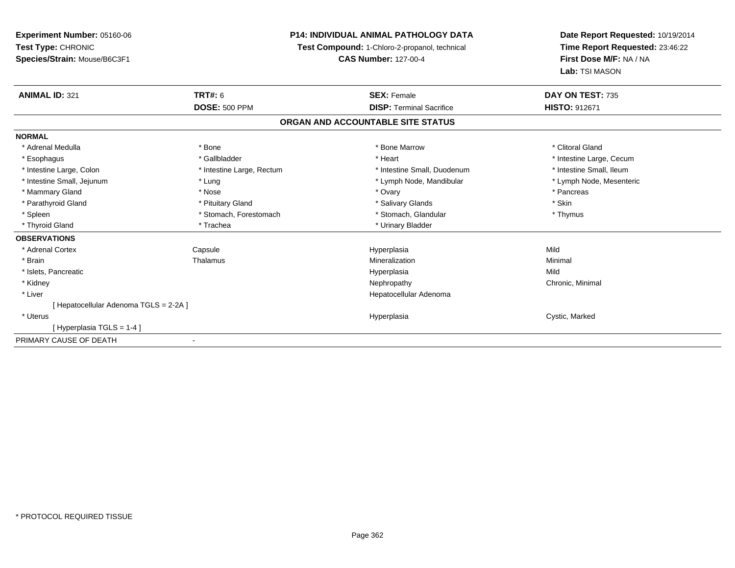**Experiment Number:** 05160-06**Test Type:** CHRONIC **Species/Strain:** Mouse/B6C3F1**P14: INDIVIDUAL ANIMAL PATHOLOGY DATATest Compound:** 1-Chloro-2-propanol, technical **CAS Number:** 127-00-4**Date Report Requested:** 10/19/2014**Time Report Requested:** 23:46:22**First Dose M/F:** NA / NA**Lab:** TSI MASON**ANIMAL ID:** 321**TRT#:** 6 **SEX:** Female **SEX: Female DAY ON TEST:** 735 **DOSE:** 500 PPM**DISP:** Terminal Sacrifice **HISTO:** 912671 **ORGAN AND ACCOUNTABLE SITE STATUSNORMAL**\* Adrenal Medulla \* The state of the state of the state of the state of the Marrow \* Bone Marrow \* Clitoral Gland \* Clitoral Gland \* Esophagus \* https://www.fragustage.com/web/2019/heart \* Heart \* Heart \* Heart \* Intestine Large, Cecum \* Intestine Large, Cecum \* Sallbladder \* The state of the state of the state of the state of the state of the state o \* Intestine Small, Ileum \* Intestine Large, Colon \* Intestine Large, Rectum \* Intestine Small, Duodenum \* Intestine Small, Duodenum \* Lymph Node, Mesenteric \* Intestine Small, Jejunum \* The material and the state of the state of the state of the state of the state of the state of the state of the state of the state of the state of the state of the state of the state of the sta \* Mammary Gland \* \* Andrew \* Nose \* \* Nose \* \* Ovary \* Ovary \* Ovary \* \* Ovary \* \* Pancreas \* \* Pancreas \* \* Pancreas \* \* Pancreas \* \* Pancreas \* \* Pancreas \* \* Pancreas \* \* Pancreas \* \* Pancreas \* \* Pancreas \* \* Pancreas \* Parathyroid Gland \* \* Pituitary Gland \* Thuitary Gland \* Salivary Glands \* Stin \* Skin \* Skin \* Skin \* Skin \* Skin \* Skin \* Skin \* Skin \* Skin \* Skin \* Skin \* Skin \* Skin \* Skin \* Skin \* Skin \* Skin \* Skin \* Skin \* Skin \* Thymus \* Spleen \* Stomach, Forestomach \* Stomach \* Stomach \* Stomach \* Stomach \* Thus \* Stomach, Glandular \* Thyroid Gland \* Trachea \* Trachea \* Trachea \* Urinary Bladder **OBSERVATIONS** \* Adrenal Cortex Capsule Hyperplasia Mild \* Brainn and the Thalamus and the Minimal and Mineralization and Minimal Minimal and Minimal and Minimal and Minimal  $\mu$  \* Islets, Pancreaticc description of the control of the control of the control of the control of the control of the control of the control of the control of the control of the control of the control of the control of the control of the contro a Mild \* Kidneyy the controller of the controller of the controller of the controller of the controller of the controller of the controller of the controller of the controller of the controller of the controller of the controller of the \* Liver Hepatocellular Adenoma[ Hepatocellular Adenoma TGLS = 2-2A ] \* Uteruss and the contract of the contract of the contract of the contract of the contract of the contract of the contract of the contract of the contract of the contract of the contract of the contract of the contract of the cont Hyperplasia **Cystic, Marked** [ Hyperplasia TGLS = 1-4 ]PRIMARY CAUSE OF DEATH-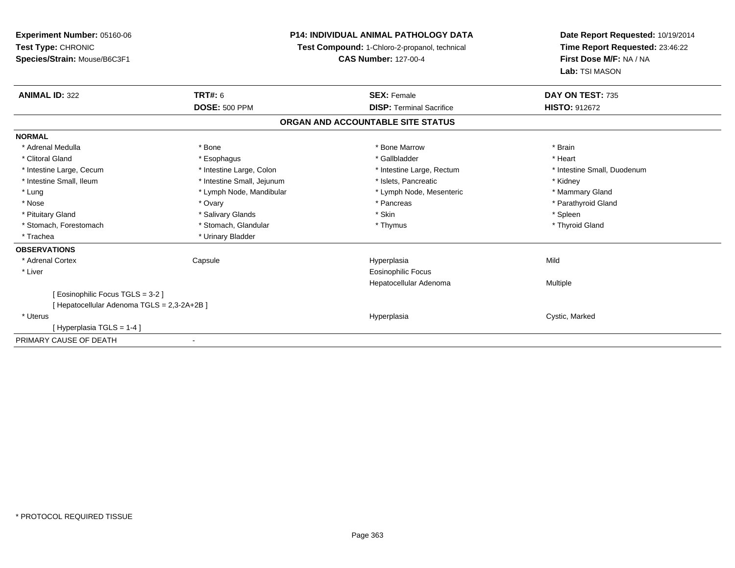| <b>Experiment Number: 05160-06</b>          | <b>P14: INDIVIDUAL ANIMAL PATHOLOGY DATA</b><br>Test Compound: 1-Chloro-2-propanol, technical |                                   | Date Report Requested: 10/19/2014 |  |
|---------------------------------------------|-----------------------------------------------------------------------------------------------|-----------------------------------|-----------------------------------|--|
| Test Type: CHRONIC                          |                                                                                               |                                   | Time Report Requested: 23:46:22   |  |
| Species/Strain: Mouse/B6C3F1                |                                                                                               | <b>CAS Number: 127-00-4</b>       | First Dose M/F: NA / NA           |  |
|                                             |                                                                                               |                                   | Lab: TSI MASON                    |  |
| <b>ANIMAL ID: 322</b>                       | TRT#: 6                                                                                       | <b>SEX: Female</b>                | DAY ON TEST: 735                  |  |
|                                             | <b>DOSE: 500 PPM</b>                                                                          | <b>DISP: Terminal Sacrifice</b>   | <b>HISTO: 912672</b>              |  |
|                                             |                                                                                               | ORGAN AND ACCOUNTABLE SITE STATUS |                                   |  |
| <b>NORMAL</b>                               |                                                                                               |                                   |                                   |  |
| * Adrenal Medulla                           | * Bone                                                                                        | * Bone Marrow                     | * Brain                           |  |
| * Clitoral Gland                            | * Esophagus                                                                                   | * Gallbladder                     | * Heart                           |  |
| * Intestine Large, Cecum                    | * Intestine Large, Colon                                                                      | * Intestine Large, Rectum         | * Intestine Small, Duodenum       |  |
| * Intestine Small. Ileum                    | * Intestine Small, Jejunum                                                                    | * Islets, Pancreatic              | * Kidney                          |  |
| * Lung                                      | * Lymph Node, Mandibular                                                                      | * Lymph Node, Mesenteric          | * Mammary Gland                   |  |
| * Nose                                      | * Ovary                                                                                       | * Pancreas                        | * Parathyroid Gland               |  |
| * Pituitary Gland                           | * Salivary Glands                                                                             | * Skin                            | * Spleen                          |  |
| * Stomach, Forestomach                      | * Stomach, Glandular                                                                          | * Thymus                          | * Thyroid Gland                   |  |
| * Trachea                                   | * Urinary Bladder                                                                             |                                   |                                   |  |
| <b>OBSERVATIONS</b>                         |                                                                                               |                                   |                                   |  |
| * Adrenal Cortex                            | Capsule                                                                                       | Hyperplasia                       | Mild                              |  |
| * Liver                                     |                                                                                               | Eosinophilic Focus                |                                   |  |
|                                             |                                                                                               | Hepatocellular Adenoma            | Multiple                          |  |
| [ Eosinophilic Focus TGLS = 3-2 ]           |                                                                                               |                                   |                                   |  |
| [ Hepatocellular Adenoma TGLS = 2,3-2A+2B ] |                                                                                               |                                   |                                   |  |
| * Uterus                                    |                                                                                               | Hyperplasia                       | Cystic, Marked                    |  |
| [Hyperplasia TGLS = 1-4]                    |                                                                                               |                                   |                                   |  |
| PRIMARY CAUSE OF DEATH                      |                                                                                               |                                   |                                   |  |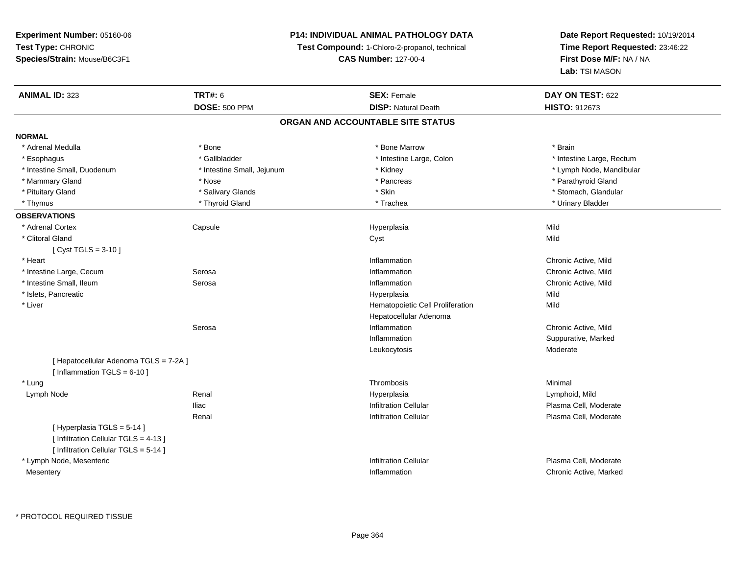# **P14: INDIVIDUAL ANIMAL PATHOLOGY DATA**

**Test Compound:** 1-Chloro-2-propanol, technical

**CAS Number:** 127-00-4

| <b>ANIMAL ID: 323</b>                  | <b>TRT#: 6</b>             | <b>SEX: Female</b>                | DAY ON TEST: 622          |
|----------------------------------------|----------------------------|-----------------------------------|---------------------------|
|                                        | <b>DOSE: 500 PPM</b>       | <b>DISP: Natural Death</b>        | HISTO: 912673             |
|                                        |                            | ORGAN AND ACCOUNTABLE SITE STATUS |                           |
| <b>NORMAL</b>                          |                            |                                   |                           |
| * Adrenal Medulla                      | * Bone                     | * Bone Marrow                     | * Brain                   |
| * Esophagus                            | * Gallbladder              | * Intestine Large, Colon          | * Intestine Large, Rectum |
| * Intestine Small, Duodenum            | * Intestine Small, Jejunum | * Kidney                          | * Lymph Node, Mandibular  |
| * Mammary Gland                        | * Nose                     | * Pancreas                        | * Parathyroid Gland       |
| * Pituitary Gland                      | * Salivary Glands          | * Skin                            | * Stomach, Glandular      |
| * Thymus                               | * Thyroid Gland            | * Trachea                         | * Urinary Bladder         |
| <b>OBSERVATIONS</b>                    |                            |                                   |                           |
| * Adrenal Cortex                       | Capsule                    | Hyperplasia                       | Mild                      |
| * Clitoral Gland                       |                            | Cyst                              | Mild                      |
| [ $Cyst TGLS = 3-10$ ]                 |                            |                                   |                           |
| * Heart                                |                            | Inflammation                      | Chronic Active, Mild      |
| * Intestine Large, Cecum               | Serosa                     | Inflammation                      | Chronic Active, Mild      |
| * Intestine Small, Ileum               | Serosa                     | Inflammation                      | Chronic Active, Mild      |
| * Islets, Pancreatic                   |                            | Hyperplasia                       | Mild                      |
| * Liver                                |                            | Hematopoietic Cell Proliferation  | Mild                      |
|                                        |                            | Hepatocellular Adenoma            |                           |
|                                        | Serosa                     | Inflammation                      | Chronic Active, Mild      |
|                                        |                            | Inflammation                      | Suppurative, Marked       |
|                                        |                            | Leukocytosis                      | Moderate                  |
| [ Hepatocellular Adenoma TGLS = 7-2A ] |                            |                                   |                           |
| [ Inflammation $TGLS = 6-10$ ]         |                            |                                   |                           |
| * Lung                                 |                            | Thrombosis                        | Minimal                   |
| Lymph Node                             | Renal                      | Hyperplasia                       | Lymphoid, Mild            |
|                                        | <b>Iliac</b>               | <b>Infiltration Cellular</b>      | Plasma Cell, Moderate     |
|                                        | Renal                      | <b>Infiltration Cellular</b>      | Plasma Cell, Moderate     |
| [Hyperplasia TGLS = 5-14]              |                            |                                   |                           |
| [ Infiltration Cellular TGLS = 4-13 ]  |                            |                                   |                           |
| [ Infiltration Cellular TGLS = 5-14 ]  |                            |                                   |                           |
| * Lymph Node, Mesenteric               |                            | <b>Infiltration Cellular</b>      | Plasma Cell, Moderate     |
| Mesentery                              |                            | Inflammation                      | Chronic Active, Marked    |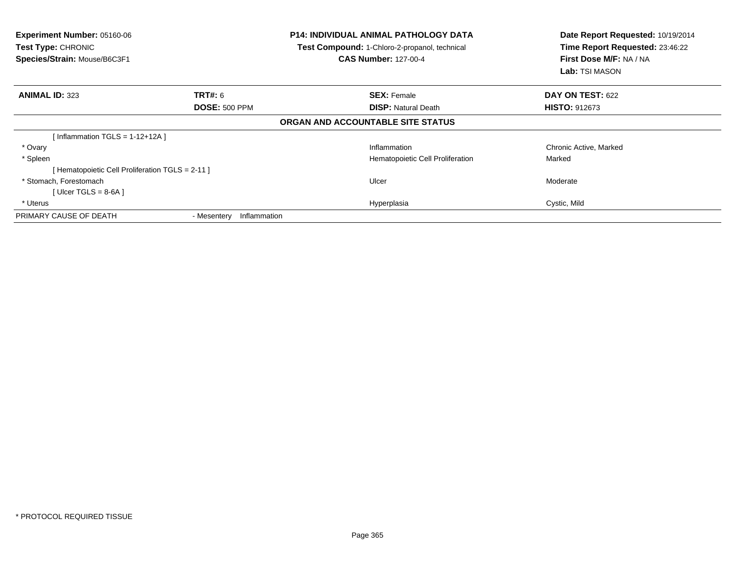| <b>Experiment Number: 05160-06</b><br>Test Type: CHRONIC<br>Species/Strain: Mouse/B6C3F1 |                             | <b>P14: INDIVIDUAL ANIMAL PATHOLOGY DATA</b><br>Test Compound: 1-Chloro-2-propanol, technical<br><b>CAS Number: 127-00-4</b> | Date Report Requested: 10/19/2014<br>Time Report Requested: 23:46:22<br>First Dose M/F: NA / NA<br>Lab: TSI MASON |
|------------------------------------------------------------------------------------------|-----------------------------|------------------------------------------------------------------------------------------------------------------------------|-------------------------------------------------------------------------------------------------------------------|
| <b>ANIMAL ID: 323</b>                                                                    | TRT#: 6                     | <b>SEX: Female</b>                                                                                                           | <b>DAY ON TEST: 622</b>                                                                                           |
|                                                                                          | <b>DOSE: 500 PPM</b>        | <b>DISP:</b> Natural Death                                                                                                   | <b>HISTO: 912673</b>                                                                                              |
|                                                                                          |                             | ORGAN AND ACCOUNTABLE SITE STATUS                                                                                            |                                                                                                                   |
| [Inflammation TGLS = $1-12+12A$ ]                                                        |                             |                                                                                                                              |                                                                                                                   |
| * Ovary                                                                                  |                             | Inflammation                                                                                                                 | Chronic Active, Marked                                                                                            |
| * Spleen                                                                                 |                             | Hematopoietic Cell Proliferation                                                                                             | Marked                                                                                                            |
| [Hematopoietic Cell Proliferation TGLS = 2-11]                                           |                             |                                                                                                                              |                                                                                                                   |
| * Stomach, Forestomach                                                                   |                             | Ulcer                                                                                                                        | Moderate                                                                                                          |
| [ Ulcer TGLS = $8-6A$ ]                                                                  |                             |                                                                                                                              |                                                                                                                   |
| * Uterus                                                                                 |                             | Hyperplasia                                                                                                                  | Cystic, Mild                                                                                                      |
| PRIMARY CAUSE OF DEATH                                                                   | Inflammation<br>- Mesentery |                                                                                                                              |                                                                                                                   |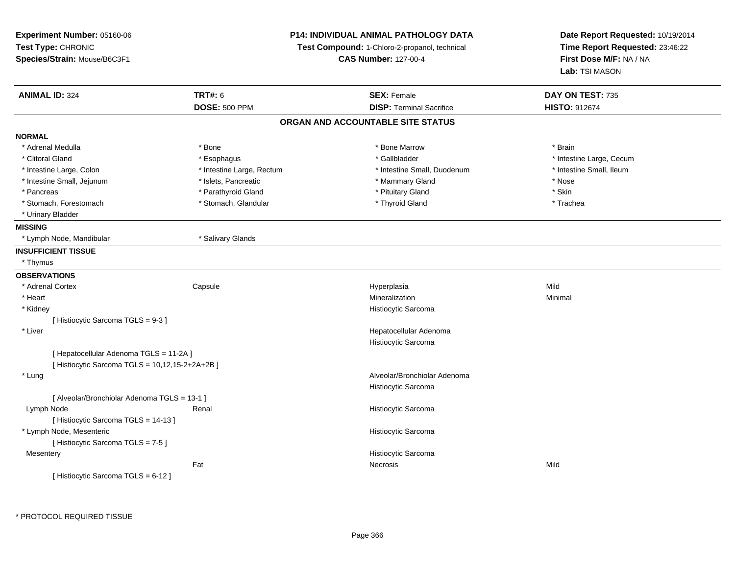| Experiment Number: 05160-06<br>Test Type: CHRONIC<br>Species/Strain: Mouse/B6C3F1 |                           | <b>P14: INDIVIDUAL ANIMAL PATHOLOGY DATA</b><br>Test Compound: 1-Chloro-2-propanol, technical<br><b>CAS Number: 127-00-4</b> | Date Report Requested: 10/19/2014<br>Time Report Requested: 23:46:22<br>First Dose M/F: NA / NA<br>Lab: TSI MASON |
|-----------------------------------------------------------------------------------|---------------------------|------------------------------------------------------------------------------------------------------------------------------|-------------------------------------------------------------------------------------------------------------------|
| <b>ANIMAL ID: 324</b>                                                             | <b>TRT#: 6</b>            | <b>SEX: Female</b>                                                                                                           | DAY ON TEST: 735                                                                                                  |
|                                                                                   | <b>DOSE: 500 PPM</b>      | <b>DISP: Terminal Sacrifice</b>                                                                                              | HISTO: 912674                                                                                                     |
|                                                                                   |                           | ORGAN AND ACCOUNTABLE SITE STATUS                                                                                            |                                                                                                                   |
| <b>NORMAL</b>                                                                     |                           |                                                                                                                              |                                                                                                                   |
| * Adrenal Medulla                                                                 | * Bone                    | * Bone Marrow                                                                                                                | * Brain                                                                                                           |
| * Clitoral Gland                                                                  | * Esophagus               | * Gallbladder                                                                                                                | * Intestine Large, Cecum                                                                                          |
| * Intestine Large, Colon                                                          | * Intestine Large, Rectum | * Intestine Small, Duodenum                                                                                                  | * Intestine Small, Ileum                                                                                          |
| * Intestine Small, Jejunum                                                        | * Islets, Pancreatic      | * Mammary Gland                                                                                                              | * Nose                                                                                                            |
| * Pancreas                                                                        | * Parathyroid Gland       | * Pituitary Gland                                                                                                            | * Skin                                                                                                            |
| * Stomach, Forestomach                                                            | * Stomach, Glandular      | * Thyroid Gland                                                                                                              | * Trachea                                                                                                         |
| * Urinary Bladder                                                                 |                           |                                                                                                                              |                                                                                                                   |
| <b>MISSING</b>                                                                    |                           |                                                                                                                              |                                                                                                                   |
| * Lymph Node, Mandibular                                                          | * Salivary Glands         |                                                                                                                              |                                                                                                                   |
| <b>INSUFFICIENT TISSUE</b>                                                        |                           |                                                                                                                              |                                                                                                                   |
| * Thymus                                                                          |                           |                                                                                                                              |                                                                                                                   |
| <b>OBSERVATIONS</b>                                                               |                           |                                                                                                                              |                                                                                                                   |
| * Adrenal Cortex                                                                  | Capsule                   | Hyperplasia                                                                                                                  | Mild                                                                                                              |
| * Heart                                                                           |                           | Mineralization                                                                                                               | Minimal                                                                                                           |
| * Kidney                                                                          |                           | Histiocytic Sarcoma                                                                                                          |                                                                                                                   |
| [Histiocytic Sarcoma TGLS = 9-3]                                                  |                           |                                                                                                                              |                                                                                                                   |
| * Liver                                                                           |                           | Hepatocellular Adenoma                                                                                                       |                                                                                                                   |
|                                                                                   |                           | Histiocytic Sarcoma                                                                                                          |                                                                                                                   |
| [ Hepatocellular Adenoma TGLS = 11-2A ]                                           |                           |                                                                                                                              |                                                                                                                   |
| [ Histiocytic Sarcoma TGLS = 10,12,15-2+2A+2B ]                                   |                           |                                                                                                                              |                                                                                                                   |
| * Lung                                                                            |                           | Alveolar/Bronchiolar Adenoma                                                                                                 |                                                                                                                   |
|                                                                                   |                           | Histiocytic Sarcoma                                                                                                          |                                                                                                                   |
| [ Alveolar/Bronchiolar Adenoma TGLS = 13-1 ]                                      |                           |                                                                                                                              |                                                                                                                   |
| Lymph Node                                                                        | Renal                     | Histiocytic Sarcoma                                                                                                          |                                                                                                                   |
| [ Histiocytic Sarcoma TGLS = 14-13 ]                                              |                           |                                                                                                                              |                                                                                                                   |
| * Lymph Node, Mesenteric                                                          |                           | Histiocytic Sarcoma                                                                                                          |                                                                                                                   |
| [Histiocytic Sarcoma TGLS = 7-5]                                                  |                           |                                                                                                                              |                                                                                                                   |
| Mesentery                                                                         |                           | Histiocytic Sarcoma                                                                                                          |                                                                                                                   |
|                                                                                   | Fat                       | Necrosis                                                                                                                     | Mild                                                                                                              |
| [Histiocytic Sarcoma TGLS = 6-12]                                                 |                           |                                                                                                                              |                                                                                                                   |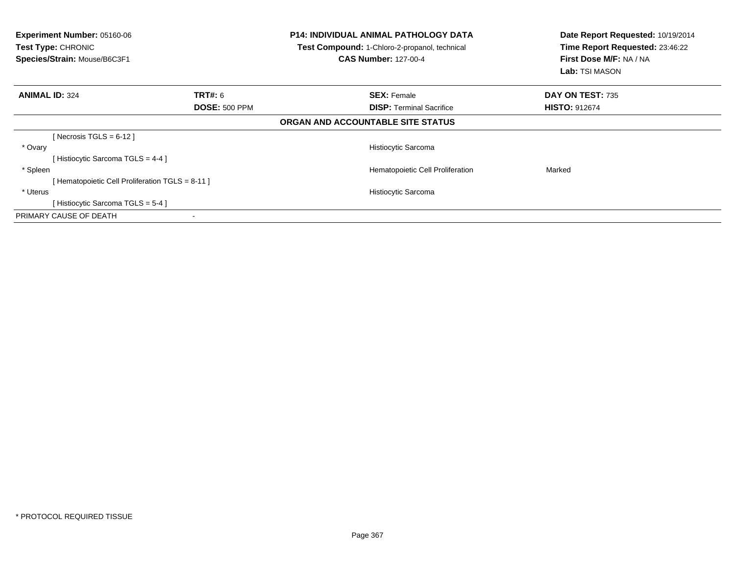| <b>Experiment Number: 05160-06</b><br>Test Type: CHRONIC<br>Species/Strain: Mouse/B6C3F1 |                      | <b>P14: INDIVIDUAL ANIMAL PATHOLOGY DATA</b><br>Test Compound: 1-Chloro-2-propanol, technical<br><b>CAS Number: 127-00-4</b> | Date Report Requested: 10/19/2014<br>Time Report Requested: 23:46:22<br>First Dose M/F: NA / NA<br><b>Lab:</b> TSI MASON |
|------------------------------------------------------------------------------------------|----------------------|------------------------------------------------------------------------------------------------------------------------------|--------------------------------------------------------------------------------------------------------------------------|
| <b>ANIMAL ID: 324</b>                                                                    | TRT#: 6              | <b>SEX: Female</b>                                                                                                           | DAY ON TEST: 735                                                                                                         |
|                                                                                          | <b>DOSE: 500 PPM</b> | <b>DISP:</b> Terminal Sacrifice                                                                                              | <b>HISTO: 912674</b>                                                                                                     |
|                                                                                          |                      | ORGAN AND ACCOUNTABLE SITE STATUS                                                                                            |                                                                                                                          |
| [Necrosis TGLS = $6-12$ ]                                                                |                      |                                                                                                                              |                                                                                                                          |
| * Ovary                                                                                  |                      | Histiocytic Sarcoma                                                                                                          |                                                                                                                          |
| [Histiocytic Sarcoma TGLS = 4-4]                                                         |                      |                                                                                                                              |                                                                                                                          |
| * Spleen                                                                                 |                      | Hematopoietic Cell Proliferation                                                                                             | Marked                                                                                                                   |
| [ Hematopoietic Cell Proliferation TGLS = 8-11 ]                                         |                      |                                                                                                                              |                                                                                                                          |
| * Uterus                                                                                 |                      | Histiocytic Sarcoma                                                                                                          |                                                                                                                          |
| [Histiocytic Sarcoma TGLS = 5-4]                                                         |                      |                                                                                                                              |                                                                                                                          |
| PRIMARY CAUSE OF DEATH                                                                   |                      |                                                                                                                              |                                                                                                                          |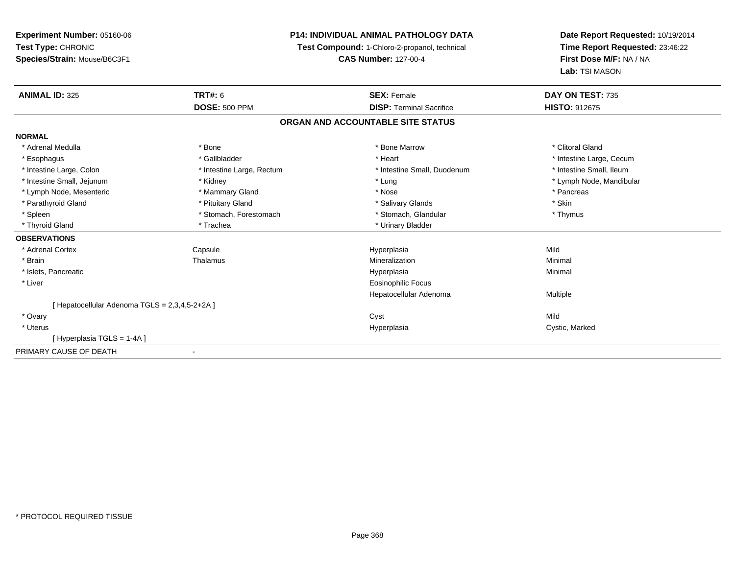# **P14: INDIVIDUAL ANIMAL PATHOLOGY DATA**

**Test Compound:** 1-Chloro-2-propanol, technical

**CAS Number:** 127-00-4

| <b>ANIMAL ID: 325</b>                           | <b>TRT#: 6</b>               | <b>SEX: Female</b>                | DAY ON TEST: 735         |
|-------------------------------------------------|------------------------------|-----------------------------------|--------------------------|
|                                                 | <b>DOSE: 500 PPM</b>         | <b>DISP: Terminal Sacrifice</b>   | <b>HISTO: 912675</b>     |
|                                                 |                              | ORGAN AND ACCOUNTABLE SITE STATUS |                          |
| <b>NORMAL</b>                                   |                              |                                   |                          |
| * Adrenal Medulla                               | * Bone                       | * Bone Marrow                     | * Clitoral Gland         |
| * Esophagus                                     | * Gallbladder                | * Heart                           | * Intestine Large, Cecum |
| * Intestine Large, Colon                        | * Intestine Large, Rectum    | * Intestine Small, Duodenum       | * Intestine Small, Ileum |
| * Intestine Small, Jejunum                      | * Kidney                     | * Lung                            | * Lymph Node, Mandibular |
| * Lymph Node, Mesenteric                        | * Mammary Gland              | * Nose                            | * Pancreas               |
| * Parathyroid Gland                             | * Pituitary Gland            | * Salivary Glands                 | * Skin                   |
| * Spleen                                        | * Stomach, Forestomach       | * Stomach, Glandular              | * Thymus                 |
| * Thyroid Gland                                 | * Trachea                    | * Urinary Bladder                 |                          |
| <b>OBSERVATIONS</b>                             |                              |                                   |                          |
| * Adrenal Cortex                                | Capsule                      | Hyperplasia                       | Mild                     |
| * Brain                                         | Thalamus                     | Mineralization                    | Minimal                  |
| * Islets, Pancreatic                            |                              | Hyperplasia                       | Minimal                  |
| * Liver                                         |                              | Eosinophilic Focus                |                          |
|                                                 |                              | Hepatocellular Adenoma            | Multiple                 |
| [Hepatocellular Adenoma $TGLS = 2,3,4,5-2+2A$ ] |                              |                                   |                          |
| * Ovary                                         |                              | Cyst                              | Mild                     |
| * Uterus                                        |                              | Hyperplasia                       | Cystic, Marked           |
| Hyperplasia TGLS = 1-4A ]                       |                              |                                   |                          |
| PRIMARY CAUSE OF DEATH                          | $\qquad \qquad \blacksquare$ |                                   |                          |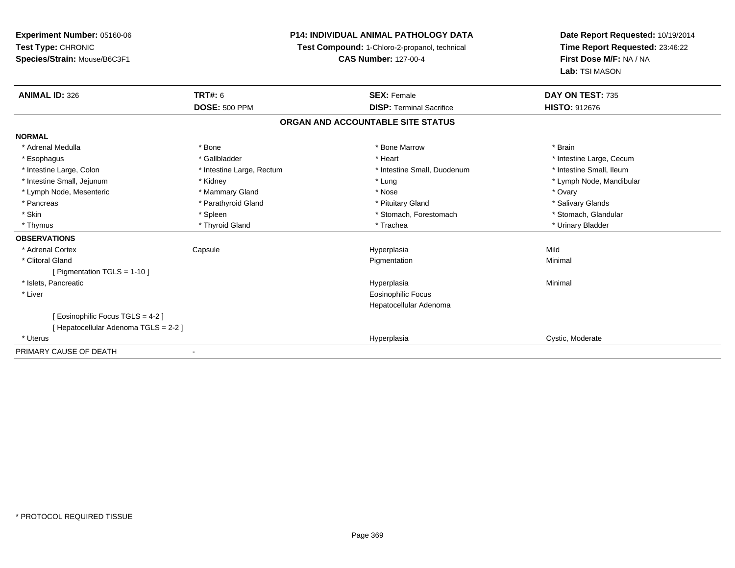**Experiment Number:** 05160-06**Test Type:** CHRONIC **Species/Strain:** Mouse/B6C3F1**P14: INDIVIDUAL ANIMAL PATHOLOGY DATATest Compound:** 1-Chloro-2-propanol, technical **CAS Number:** 127-00-4**Date Report Requested:** 10/19/2014**Time Report Requested:** 23:46:22**First Dose M/F:** NA / NA**Lab:** TSI MASON**ANIMAL ID:** 326**6 DAY ON TEST:** 735 **DOSE:** 500 PPM**DISP:** Terminal Sacrifice **HISTO:** 912676 **ORGAN AND ACCOUNTABLE SITE STATUSNORMAL**\* Adrenal Medulla \* \* Annual Medulla \* Brain \* Bone \* \* Bone Marrow \* Bone Marrow \* \* Brain \* Brain \* Brain \* Brain \* Brain \* Brain \* Brain \* Brain \* Brain \* Brain \* Brain \* Brain \* Brain \* Brain \* Brain \* Brain \* Brain \* \* Esophagus \* https://www.fragustage.com/web/2019/heart \* Heart \* Heart \* Heart \* Intestine Large, Cecum \* Intestine Large, Cecum \* Sallbladder \* The state of the state of the state of the state of the state of the state o \* Intestine Small, Ileum \* Intestine Large, Colon \* Intestine Large, Rectum \* Intestine Small, Duodenum \* Intestine Small, Duodenum \* Intestine Small, Jejunum \* Kidney \* Lung \* Lymph Node, Mandibular\* Lymph Node, Mesenteric \* \* \* Mammary Gland \* \* Nose \* Nose \* Ovary \* Ovary \* Ovary \* Ovary \* Ovary \* Ovary \* Ovary \* Salivary Glands \* Pancreas \* And the section of the section of the section of the section of the section of the section of the section of the section of the section of the section of the section of the section of the section of the sectio \* Stomach. Glandular \* Skin \* Spleen \* Spleen \* Spleen \* Stomach, Forestomach \* Stomach, Suite and the storage \* Stomach, Glandular \* Thymus \* Thyroid Gland \* Trachea \* Urinary Bladder \* **OBSERVATIONS** \* Adrenal Cortex Capsule Hyperplasia Mild \* Clitoral Glandd and the control of the control of the control of the Pigmentation and the control of the Minimal of the control of the control of the control of the control of the control of the control of the control of the control of [ Pigmentation TGLS = 1-10 ] \* Islets, Pancreaticc description of the control of the control of the control of the control of the control of the control of the control of the control of the control of the control of the control of the control of the control of the contro a and a studies of the studies of the Minimal \* Liver Eosinophilic Focus Hepatocellular Adenoma[ Eosinophilic Focus TGLS = 4-2 ][ Hepatocellular Adenoma TGLS = 2-2 ] \* Uteruss and the contract of the contract of the contract of the contract of the contract of the contract of the contract of the contract of the contract of the contract of the contract of the contract of the contract of the cont Hyperplasia Cystic, Moderate PRIMARY CAUSE OF DEATH-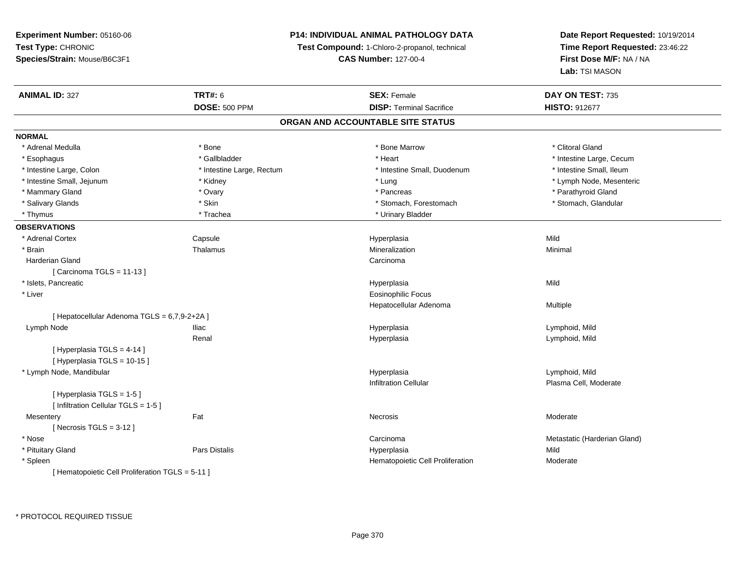# **P14: INDIVIDUAL ANIMAL PATHOLOGY DATA**

**Test Compound:** 1-Chloro-2-propanol, technical

**CAS Number:** 127-00-4

| <b>ANIMAL ID: 327</b>                            | <b>TRT#: 6</b>            | <b>SEX: Female</b>                | DAY ON TEST: 735             |
|--------------------------------------------------|---------------------------|-----------------------------------|------------------------------|
|                                                  | <b>DOSE: 500 PPM</b>      | <b>DISP: Terminal Sacrifice</b>   | HISTO: 912677                |
|                                                  |                           | ORGAN AND ACCOUNTABLE SITE STATUS |                              |
| <b>NORMAL</b>                                    |                           |                                   |                              |
| * Adrenal Medulla                                | * Bone                    | * Bone Marrow                     | * Clitoral Gland             |
| * Esophagus                                      | * Gallbladder             | * Heart                           | * Intestine Large, Cecum     |
| * Intestine Large, Colon                         | * Intestine Large, Rectum | * Intestine Small, Duodenum       | * Intestine Small, Ileum     |
| * Intestine Small, Jejunum                       | * Kidney                  | * Lung                            | * Lymph Node, Mesenteric     |
| * Mammary Gland                                  | * Ovary                   | * Pancreas                        | * Parathyroid Gland          |
| * Salivary Glands                                | * Skin                    | * Stomach, Forestomach            | * Stomach, Glandular         |
| * Thymus                                         | * Trachea                 | * Urinary Bladder                 |                              |
| <b>OBSERVATIONS</b>                              |                           |                                   |                              |
| * Adrenal Cortex                                 | Capsule                   | Hyperplasia                       | Mild                         |
| * Brain                                          | Thalamus                  | Mineralization                    | Minimal                      |
| <b>Harderian Gland</b>                           |                           | Carcinoma                         |                              |
| [ Carcinoma TGLS = 11-13 ]                       |                           |                                   |                              |
| * Islets, Pancreatic                             |                           | Hyperplasia                       | Mild                         |
| * Liver                                          |                           | <b>Eosinophilic Focus</b>         |                              |
|                                                  |                           | Hepatocellular Adenoma            | Multiple                     |
| [ Hepatocellular Adenoma TGLS = 6,7,9-2+2A ]     |                           |                                   |                              |
| Lymph Node                                       | Iliac                     | Hyperplasia                       | Lymphoid, Mild               |
|                                                  | Renal                     | Hyperplasia                       | Lymphoid, Mild               |
| [ Hyperplasia TGLS = 4-14 ]                      |                           |                                   |                              |
| [Hyperplasia TGLS = 10-15]                       |                           |                                   |                              |
| * Lymph Node, Mandibular                         |                           | Hyperplasia                       | Lymphoid, Mild               |
|                                                  |                           | <b>Infiltration Cellular</b>      | Plasma Cell, Moderate        |
| [Hyperplasia TGLS = 1-5]                         |                           |                                   |                              |
| [ Infiltration Cellular TGLS = 1-5 ]             |                           |                                   |                              |
| Mesentery                                        | Fat                       | Necrosis                          | Moderate                     |
| [Necrosis $TGLS = 3-12$ ]                        |                           |                                   |                              |
| * Nose                                           |                           | Carcinoma                         | Metastatic (Harderian Gland) |
| * Pituitary Gland                                | <b>Pars Distalis</b>      | Hyperplasia                       | Mild                         |
| * Spleen                                         |                           | Hematopoietic Cell Proliferation  | Moderate                     |
| [ Hematopoietic Cell Proliferation TGLS = 5-11 ] |                           |                                   |                              |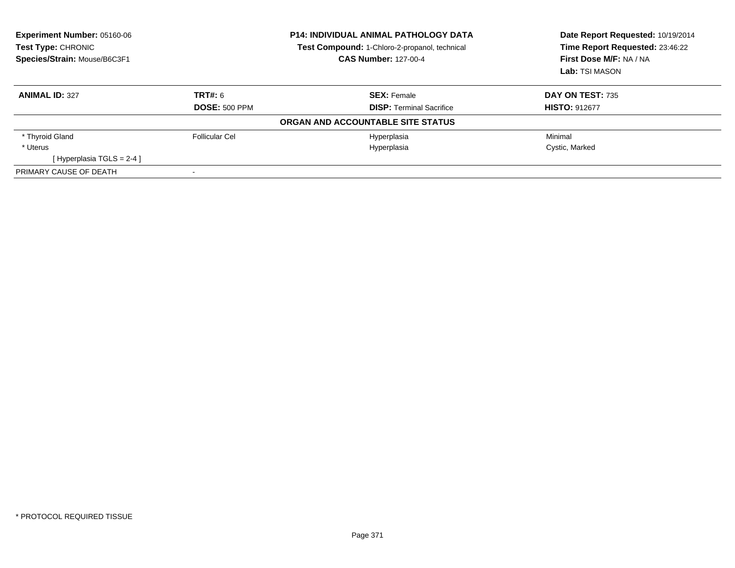| <b>Experiment Number: 05160-06</b><br>Test Type: CHRONIC<br>Species/Strain: Mouse/B6C3F1 | <b>P14: INDIVIDUAL ANIMAL PATHOLOGY DATA</b><br>Test Compound: 1-Chloro-2-propanol, technical<br><b>CAS Number: 127-00-4</b> |                                   | Date Report Requested: 10/19/2014<br>Time Report Requested: 23:46:22<br>First Dose M/F: NA / NA<br>Lab: TSI MASON |
|------------------------------------------------------------------------------------------|------------------------------------------------------------------------------------------------------------------------------|-----------------------------------|-------------------------------------------------------------------------------------------------------------------|
| <b>ANIMAL ID: 327</b>                                                                    | TRT#: 6                                                                                                                      | <b>SEX: Female</b>                | <b>DAY ON TEST: 735</b>                                                                                           |
|                                                                                          | <b>DOSE: 500 PPM</b>                                                                                                         | <b>DISP:</b> Terminal Sacrifice   | <b>HISTO: 912677</b>                                                                                              |
|                                                                                          |                                                                                                                              | ORGAN AND ACCOUNTABLE SITE STATUS |                                                                                                                   |
| * Thyroid Gland                                                                          | Follicular Cel                                                                                                               | Hyperplasia                       | Minimal                                                                                                           |
| * Uterus                                                                                 |                                                                                                                              | Hyperplasia                       | Cystic, Marked                                                                                                    |
| [Hyperplasia TGLS = $2-4$ ]                                                              |                                                                                                                              |                                   |                                                                                                                   |
| PRIMARY CAUSE OF DEATH                                                                   |                                                                                                                              |                                   |                                                                                                                   |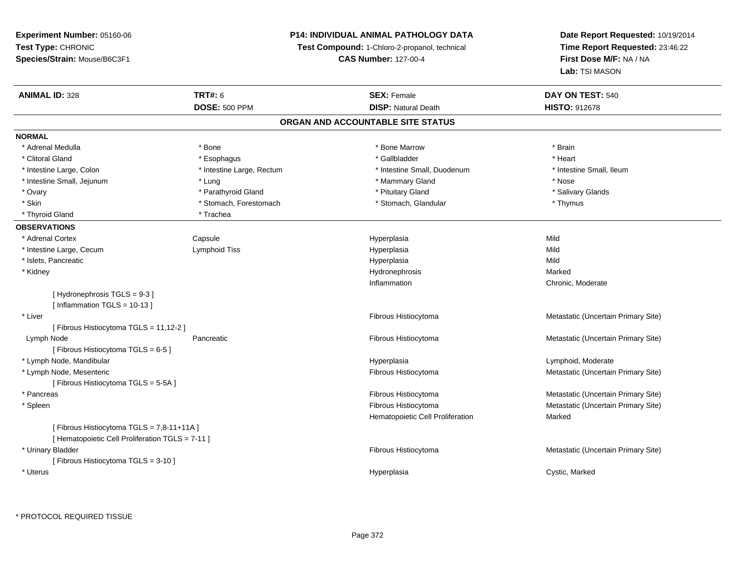# **P14: INDIVIDUAL ANIMAL PATHOLOGY DATA**

**Test Compound:** 1-Chloro-2-propanol, technical

**CAS Number:** 127-00-4

| <b>ANIMAL ID: 328</b>                                                                        | <b>TRT#: 6</b>            | <b>SEX: Female</b>                | DAY ON TEST: 540                    |
|----------------------------------------------------------------------------------------------|---------------------------|-----------------------------------|-------------------------------------|
|                                                                                              | <b>DOSE: 500 PPM</b>      | <b>DISP: Natural Death</b>        | <b>HISTO: 912678</b>                |
|                                                                                              |                           | ORGAN AND ACCOUNTABLE SITE STATUS |                                     |
| <b>NORMAL</b>                                                                                |                           |                                   |                                     |
| * Adrenal Medulla                                                                            | * Bone                    | * Bone Marrow                     | * Brain                             |
| * Clitoral Gland                                                                             | * Esophagus               | * Gallbladder                     | * Heart                             |
| * Intestine Large, Colon                                                                     | * Intestine Large, Rectum | * Intestine Small, Duodenum       | * Intestine Small, Ileum            |
| * Intestine Small, Jejunum                                                                   | * Lung                    | * Mammary Gland                   | * Nose                              |
| * Ovary                                                                                      | * Parathyroid Gland       | * Pituitary Gland                 | * Salivary Glands                   |
| * Skin                                                                                       | * Stomach, Forestomach    | * Stomach, Glandular              | * Thymus                            |
| * Thyroid Gland                                                                              | * Trachea                 |                                   |                                     |
| <b>OBSERVATIONS</b>                                                                          |                           |                                   |                                     |
| * Adrenal Cortex                                                                             | Capsule                   | Hyperplasia                       | Mild                                |
| * Intestine Large, Cecum                                                                     | Lymphoid Tiss             | Hyperplasia                       | Mild                                |
| * Islets, Pancreatic                                                                         |                           | Hyperplasia                       | Mild                                |
| * Kidney                                                                                     |                           | Hydronephrosis                    | Marked                              |
|                                                                                              |                           | Inflammation                      | Chronic, Moderate                   |
| [Hydronephrosis TGLS = 9-3]                                                                  |                           |                                   |                                     |
| [Inflammation TGLS = $10-13$ ]                                                               |                           |                                   |                                     |
| * Liver                                                                                      |                           | Fibrous Histiocytoma              | Metastatic (Uncertain Primary Site) |
| [ Fibrous Histiocytoma TGLS = 11,12-2 ]                                                      |                           |                                   |                                     |
| Lymph Node                                                                                   | Pancreatic                | Fibrous Histiocytoma              | Metastatic (Uncertain Primary Site) |
| [Fibrous Histiocytoma TGLS = 6-5]                                                            |                           |                                   |                                     |
| * Lymph Node, Mandibular                                                                     |                           | Hyperplasia                       | Lymphoid, Moderate                  |
| * Lymph Node, Mesenteric                                                                     |                           | Fibrous Histiocytoma              | Metastatic (Uncertain Primary Site) |
| [Fibrous Histiocytoma TGLS = 5-5A]                                                           |                           |                                   |                                     |
| * Pancreas                                                                                   |                           | Fibrous Histiocytoma              | Metastatic (Uncertain Primary Site) |
| * Spleen                                                                                     |                           | Fibrous Histiocytoma              | Metastatic (Uncertain Primary Site) |
|                                                                                              |                           | Hematopoietic Cell Proliferation  | Marked                              |
| [Fibrous Histiocytoma TGLS = 7,8-11+11A]<br>[ Hematopoietic Cell Proliferation TGLS = 7-11 ] |                           |                                   |                                     |
| * Urinary Bladder                                                                            |                           | Fibrous Histiocytoma              | Metastatic (Uncertain Primary Site) |
| [Fibrous Histiocytoma TGLS = 3-10]                                                           |                           |                                   |                                     |
| * Uterus                                                                                     |                           | Hyperplasia                       | Cystic, Marked                      |
|                                                                                              |                           |                                   |                                     |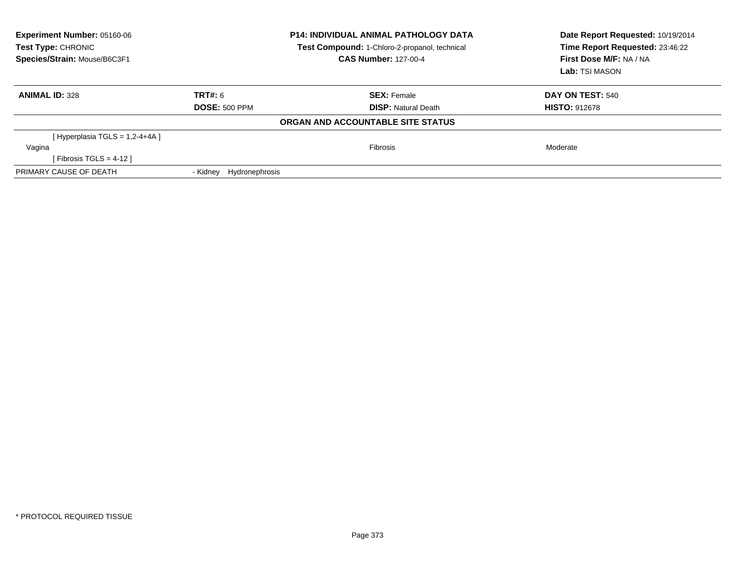| Experiment Number: 05160-06<br><b>Test Type: CHRONIC</b><br>Species/Strain: Mouse/B6C3F1 | <b>P14: INDIVIDUAL ANIMAL PATHOLOGY DATA</b><br>Test Compound: 1-Chloro-2-propanol, technical<br><b>CAS Number: 127-00-4</b> |                                   | Date Report Requested: 10/19/2014<br>Time Report Requested: 23:46:22<br>First Dose M/F: NA / NA<br>Lab: TSI MASON |
|------------------------------------------------------------------------------------------|------------------------------------------------------------------------------------------------------------------------------|-----------------------------------|-------------------------------------------------------------------------------------------------------------------|
| <b>ANIMAL ID: 328</b>                                                                    | <b>TRT#: 6</b>                                                                                                               | <b>SEX: Female</b>                | <b>DAY ON TEST: 540</b>                                                                                           |
|                                                                                          | <b>DOSE: 500 PPM</b>                                                                                                         | <b>DISP:</b> Natural Death        | <b>HISTO: 912678</b>                                                                                              |
|                                                                                          |                                                                                                                              | ORGAN AND ACCOUNTABLE SITE STATUS |                                                                                                                   |
| [Hyperplasia TGLS = $1,2-4+4A$ ]                                                         |                                                                                                                              |                                   |                                                                                                                   |
| Vagina                                                                                   |                                                                                                                              | Fibrosis                          | Moderate                                                                                                          |
| [Fibrosis TGLS = $4-12$ ]                                                                |                                                                                                                              |                                   |                                                                                                                   |
| PRIMARY CAUSE OF DEATH                                                                   | - Kidnev<br>Hydronephrosis                                                                                                   |                                   |                                                                                                                   |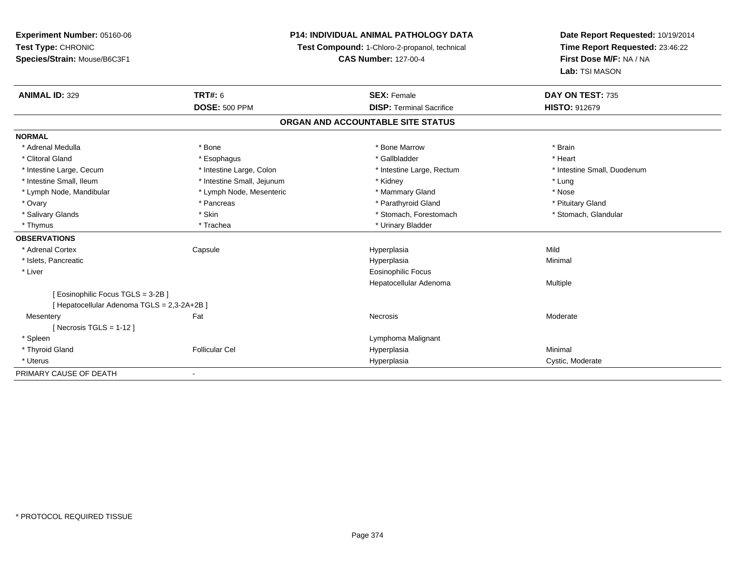**Experiment Number:** 05160-06**Test Type:** CHRONIC **Species/Strain:** Mouse/B6C3F1**P14: INDIVIDUAL ANIMAL PATHOLOGY DATATest Compound:** 1-Chloro-2-propanol, technical **CAS Number:** 127-00-4**Date Report Requested:** 10/19/2014**Time Report Requested:** 23:46:22**First Dose M/F:** NA / NA**Lab:** TSI MASON**ANIMAL ID:** 329**TRT#:** 6 **SEX:** Female **SEX: Female DAY ON TEST:** 735 **DOSE:** 500 PPM**DISP:** Terminal Sacrifice **HISTO:** 912679 **ORGAN AND ACCOUNTABLE SITE STATUSNORMAL**\* Adrenal Medulla \* \* Annual Medulla \* Brain \* Bone \* \* Bone Marrow \* Bone Marrow \* \* Brain \* Brain \* Brain \* Brain \* Brain \* Brain \* Brain \* Brain \* Brain \* Brain \* Brain \* Brain \* Brain \* Brain \* Brain \* Brain \* Brain \* \* Heart \* Clitoral Gland \* \* \* heart \* \* Esophagus \* \* \* \* \* \* \* \* \* \* \* Gallbladder \* \* \* \* \* \* \* \* \* \* \* \* Heart \* Intestine Large, Cecum \* Intestine Large, Colon \* Intestine Large, Thestine Large, Rectum \* Intestine Small, Duodenum \* Intestine Small, Ileum \* **All and All and All and All and All and All and All and All and All and All and All and All and All and All and All and All and All and All and All and All and All and All and All and All and Al** \* Nose \* Lymph Node, Mandibular \* Lymph Node, Mesenteric \* Mammary Gland \* Mammary Gland \* Pituitary Gland \* Ovary \* Pancreas \* Pancreas \* Pancreas \* Parathyroid Gland \* Parathyroid Gland \* Stomach, Glandular \* Salivary Glands \* Stomach, Forestomach \* Skin \* Skin \* Stomach, Forestomach \* Stomach, Forestomach \* Thymus \* Trachea \* Trachea \* Urinary Bladder **OBSERVATIONS** \* Adrenal Cortex Capsule Hyperplasia Mild \* Islets, Pancreaticc description of the control of the control of the control of the control of the control of the control of the control of the control of the control of the control of the control of the control of the control of the contro a and a studies of the studies of the Minimal \* Liver Eosinophilic Focus Hepatocellular Adenoma Multiple [ Eosinophilic Focus TGLS = 3-2B ][ Hepatocellular Adenoma TGLS = 2,3-2A+2B ]**Mesentery** y the control of the set of the control of the Moderate of the Moderate of the Moderate of the Moderate of the Moderate of the Moderate of the Moderate of the Moderate of the Moderate of the Moderate of the Moderate of the  $[$  Necrosis TGLS = 1-12  $]$  \* Spleen Lymphoma Malignant \* Thyroid Gland Follicular Cel Hyperplasia Minimal \* Uteruss and the contract of the contract of the contract of the contract of the contract of the contract of the contract of the contract of the contract of the contract of the contract of the contract of the contract of the cont Hyperplasia **Cystic, Moderate** PRIMARY CAUSE OF DEATH-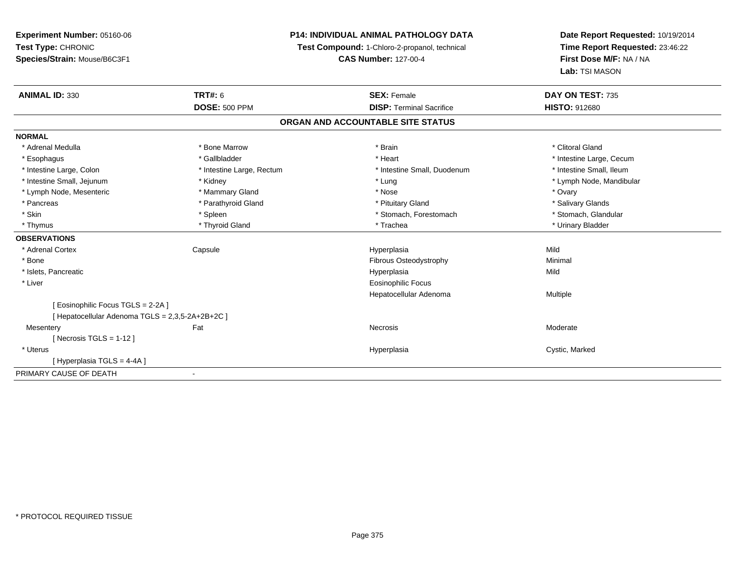# **P14: INDIVIDUAL ANIMAL PATHOLOGY DATA**

**Test Compound:** 1-Chloro-2-propanol, technical

**CAS Number:** 127-00-4

| <b>ANIMAL ID: 330</b>                            | <b>TRT#: 6</b><br><b>DOSE: 500 PPM</b> | <b>SEX: Female</b><br><b>DISP: Terminal Sacrifice</b> | DAY ON TEST: 735         |  |  |
|--------------------------------------------------|----------------------------------------|-------------------------------------------------------|--------------------------|--|--|
|                                                  |                                        |                                                       | <b>HISTO: 912680</b>     |  |  |
|                                                  |                                        | ORGAN AND ACCOUNTABLE SITE STATUS                     |                          |  |  |
| <b>NORMAL</b>                                    |                                        |                                                       |                          |  |  |
| * Adrenal Medulla                                | * Bone Marrow                          | * Brain                                               | * Clitoral Gland         |  |  |
| * Esophagus                                      | * Gallbladder                          | * Heart                                               | * Intestine Large, Cecum |  |  |
| * Intestine Large, Colon                         | * Intestine Large, Rectum              | * Intestine Small, Duodenum                           | * Intestine Small, Ileum |  |  |
| * Intestine Small, Jejunum                       | * Kidney                               | * Lung                                                | * Lymph Node, Mandibular |  |  |
| * Lymph Node, Mesenteric                         | * Mammary Gland                        | * Nose                                                | * Ovary                  |  |  |
| * Pancreas                                       | * Parathyroid Gland                    | * Pituitary Gland                                     | * Salivary Glands        |  |  |
| * Skin                                           | * Spleen                               | * Stomach, Forestomach                                | * Stomach, Glandular     |  |  |
| * Thymus                                         | * Thyroid Gland                        | * Trachea                                             | * Urinary Bladder        |  |  |
| <b>OBSERVATIONS</b>                              |                                        |                                                       |                          |  |  |
| * Adrenal Cortex                                 | Capsule                                | Hyperplasia                                           | Mild                     |  |  |
| * Bone                                           |                                        | <b>Fibrous Osteodystrophy</b>                         | Minimal                  |  |  |
| * Islets, Pancreatic                             |                                        | Hyperplasia                                           | Mild                     |  |  |
| * Liver                                          |                                        | Eosinophilic Focus                                    |                          |  |  |
|                                                  |                                        | Hepatocellular Adenoma                                | Multiple                 |  |  |
| [ Eosinophilic Focus TGLS = 2-2A ]               |                                        |                                                       |                          |  |  |
| [ Hepatocellular Adenoma TGLS = 2,3,5-2A+2B+2C ] |                                        |                                                       |                          |  |  |
| Mesentery                                        | Fat                                    | Necrosis                                              | Moderate                 |  |  |
| [ Necrosis TGLS = $1-12$ ]                       |                                        |                                                       |                          |  |  |
| * Uterus                                         |                                        | Hyperplasia                                           | Cystic, Marked           |  |  |
| [Hyperplasia TGLS = 4-4A]                        |                                        |                                                       |                          |  |  |
| PRIMARY CAUSE OF DEATH                           |                                        |                                                       |                          |  |  |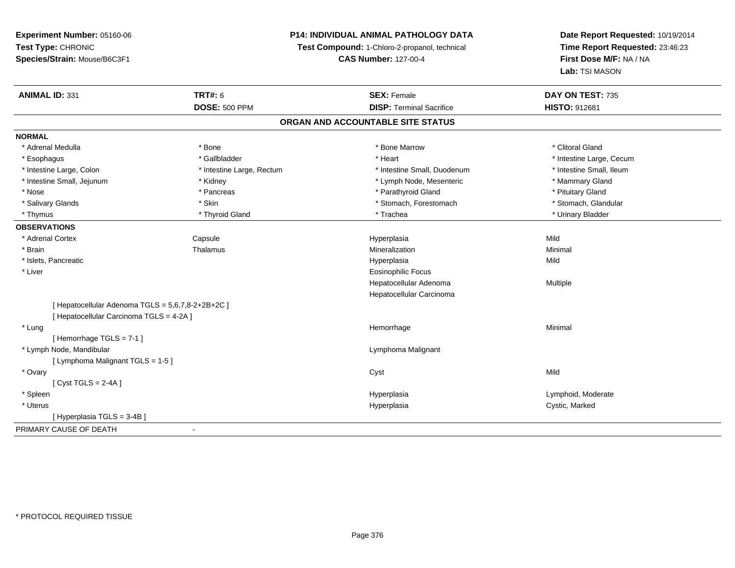# **P14: INDIVIDUAL ANIMAL PATHOLOGY DATA**

**Test Compound:** 1-Chloro-2-propanol, technical

**CAS Number:** 127-00-4

| <b>ANIMAL ID: 331</b>                             | <b>TRT#: 6</b><br><b>DOSE: 500 PPM</b> | <b>SEX: Female</b><br><b>DISP: Terminal Sacrifice</b> | DAY ON TEST: 735<br>HISTO: 912681 |  |  |  |  |
|---------------------------------------------------|----------------------------------------|-------------------------------------------------------|-----------------------------------|--|--|--|--|
|                                                   | ORGAN AND ACCOUNTABLE SITE STATUS      |                                                       |                                   |  |  |  |  |
| <b>NORMAL</b>                                     |                                        |                                                       |                                   |  |  |  |  |
| * Adrenal Medulla                                 | * Bone                                 | * Bone Marrow                                         | * Clitoral Gland                  |  |  |  |  |
| * Esophagus                                       | * Gallbladder                          | * Heart                                               | * Intestine Large, Cecum          |  |  |  |  |
| * Intestine Large, Colon                          | * Intestine Large, Rectum              | * Intestine Small, Duodenum                           | * Intestine Small, Ileum          |  |  |  |  |
| * Intestine Small, Jejunum                        | * Kidney                               | * Lymph Node, Mesenteric                              | * Mammary Gland                   |  |  |  |  |
| * Nose                                            | * Pancreas                             | * Parathyroid Gland                                   | * Pituitary Gland                 |  |  |  |  |
| * Salivary Glands                                 | * Skin                                 | * Stomach, Forestomach                                | * Stomach, Glandular              |  |  |  |  |
| * Thymus                                          | * Thyroid Gland                        | * Trachea                                             | * Urinary Bladder                 |  |  |  |  |
| <b>OBSERVATIONS</b>                               |                                        |                                                       |                                   |  |  |  |  |
| * Adrenal Cortex                                  | Capsule                                | Hyperplasia                                           | Mild                              |  |  |  |  |
| * Brain                                           | Thalamus                               | Mineralization                                        | Minimal                           |  |  |  |  |
| * Islets, Pancreatic                              |                                        | Hyperplasia                                           | Mild                              |  |  |  |  |
| * Liver                                           |                                        | <b>Eosinophilic Focus</b>                             |                                   |  |  |  |  |
|                                                   |                                        | Hepatocellular Adenoma                                | Multiple                          |  |  |  |  |
|                                                   |                                        | Hepatocellular Carcinoma                              |                                   |  |  |  |  |
| [ Hepatocellular Adenoma TGLS = 5,6,7,8-2+2B+2C ] |                                        |                                                       |                                   |  |  |  |  |
| [ Hepatocellular Carcinoma TGLS = 4-2A ]          |                                        |                                                       |                                   |  |  |  |  |
| * Lung                                            |                                        | Hemorrhage                                            | Minimal                           |  |  |  |  |
| [Hemorrhage TGLS = $7-1$ ]                        |                                        |                                                       |                                   |  |  |  |  |
| * Lymph Node, Mandibular                          |                                        | Lymphoma Malignant                                    |                                   |  |  |  |  |
| [ Lymphoma Malignant TGLS = 1-5 ]                 |                                        |                                                       |                                   |  |  |  |  |
| * Ovary                                           |                                        | Cyst                                                  | Mild                              |  |  |  |  |
| [Cyst TGLS = $2-4A$ ]                             |                                        |                                                       |                                   |  |  |  |  |
| * Spleen                                          |                                        | Hyperplasia                                           | Lymphoid, Moderate                |  |  |  |  |
| * Uterus                                          |                                        | Hyperplasia                                           | Cystic, Marked                    |  |  |  |  |
| [Hyperplasia TGLS = 3-4B]                         |                                        |                                                       |                                   |  |  |  |  |
| PRIMARY CAUSE OF DEATH                            | $\overline{\phantom{a}}$               |                                                       |                                   |  |  |  |  |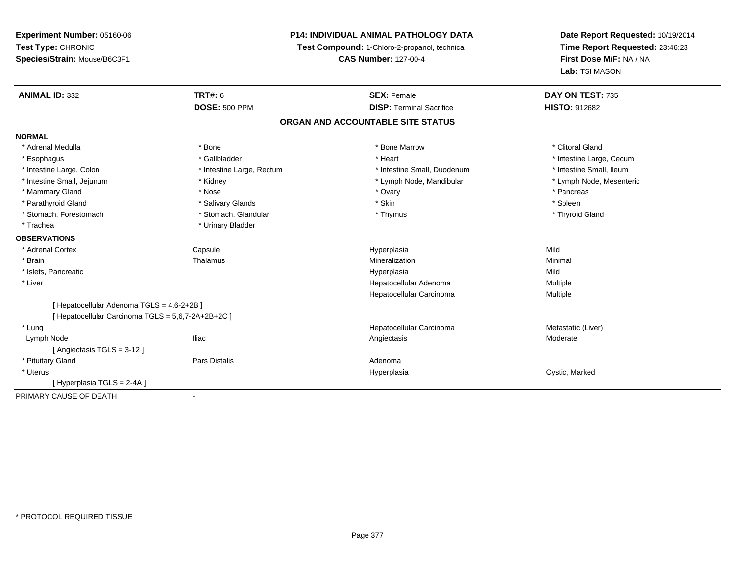# **P14: INDIVIDUAL ANIMAL PATHOLOGY DATA**

**Test Compound:** 1-Chloro-2-propanol, technical

**CAS Number:** 127-00-4

| <b>ANIMAL ID: 332</b>                              | TRT#: 6                           | <b>SEX: Female</b>              | DAY ON TEST: 735         |  |  |  |
|----------------------------------------------------|-----------------------------------|---------------------------------|--------------------------|--|--|--|
|                                                    | <b>DOSE: 500 PPM</b>              | <b>DISP: Terminal Sacrifice</b> | <b>HISTO: 912682</b>     |  |  |  |
|                                                    | ORGAN AND ACCOUNTABLE SITE STATUS |                                 |                          |  |  |  |
| <b>NORMAL</b>                                      |                                   |                                 |                          |  |  |  |
| * Adrenal Medulla                                  | * Bone                            | * Bone Marrow                   | * Clitoral Gland         |  |  |  |
| * Esophagus                                        | * Gallbladder                     | * Heart                         | * Intestine Large, Cecum |  |  |  |
| * Intestine Large, Colon                           | * Intestine Large, Rectum         | * Intestine Small, Duodenum     | * Intestine Small, Ileum |  |  |  |
| * Intestine Small, Jejunum                         | * Kidney                          | * Lymph Node, Mandibular        | * Lymph Node, Mesenteric |  |  |  |
| * Mammary Gland                                    | * Nose                            | * Ovary                         | * Pancreas               |  |  |  |
| * Parathyroid Gland                                | * Salivary Glands                 | * Skin                          | * Spleen                 |  |  |  |
| * Stomach, Forestomach                             | * Stomach, Glandular              | * Thymus                        | * Thyroid Gland          |  |  |  |
| * Trachea                                          | * Urinary Bladder                 |                                 |                          |  |  |  |
| <b>OBSERVATIONS</b>                                |                                   |                                 |                          |  |  |  |
| * Adrenal Cortex                                   | Capsule                           | Hyperplasia                     | Mild                     |  |  |  |
| * Brain                                            | Thalamus                          | Mineralization                  | Minimal                  |  |  |  |
| * Islets, Pancreatic                               |                                   | Hyperplasia                     | Mild                     |  |  |  |
| * Liver                                            |                                   | Hepatocellular Adenoma          | Multiple                 |  |  |  |
|                                                    |                                   | Hepatocellular Carcinoma        | <b>Multiple</b>          |  |  |  |
| [ Hepatocellular Adenoma TGLS = 4,6-2+2B ]         |                                   |                                 |                          |  |  |  |
| [ Hepatocellular Carcinoma TGLS = 5.6.7-2A+2B+2C ] |                                   |                                 |                          |  |  |  |
| * Lung                                             |                                   | Hepatocellular Carcinoma        | Metastatic (Liver)       |  |  |  |
| Lymph Node                                         | <b>Iliac</b>                      | Angiectasis                     | Moderate                 |  |  |  |
| [Angiectasis TGLS = 3-12]                          |                                   |                                 |                          |  |  |  |
| * Pituitary Gland                                  | Pars Distalis                     | Adenoma                         |                          |  |  |  |
| * Uterus                                           |                                   | Hyperplasia                     | Cystic, Marked           |  |  |  |
| [Hyperplasia TGLS = 2-4A]                          |                                   |                                 |                          |  |  |  |
| PRIMARY CAUSE OF DEATH                             | $\blacksquare$                    |                                 |                          |  |  |  |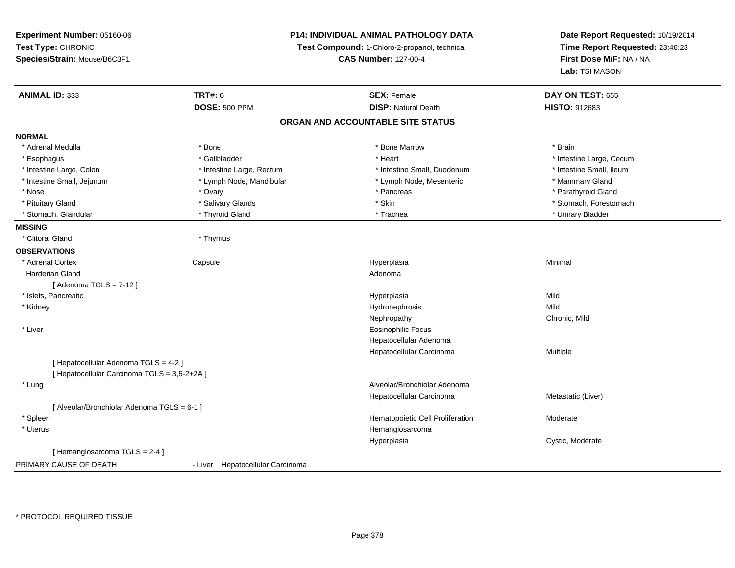**Experiment Number:** 05160-06**Test Type:** CHRONIC **Species/Strain:** Mouse/B6C3F1**P14: INDIVIDUAL ANIMAL PATHOLOGY DATATest Compound:** 1-Chloro-2-propanol, technical **CAS Number:** 127-00-4**Date Report Requested:** 10/19/2014**Time Report Requested:** 23:46:23**First Dose M/F:** NA / NA**Lab:** TSI MASON**ANIMAL ID:** 333**TRT#:** 6 **SEX:** Female **SEX: Female DAY ON TEST:** 655 **DOSE:** 500 PPM**DISP:** Natural Death **HISTO:** 912683 **ORGAN AND ACCOUNTABLE SITE STATUSNORMAL**\* Adrenal Medulla \* \* Annual Medulla \* Brain \* Bone \* \* Bone Marrow \* Bone Marrow \* \* Brain \* Brain \* Brain \* Brain \* Brain \* Brain \* Brain \* Brain \* Brain \* Brain \* Brain \* Brain \* Brain \* Brain \* Brain \* Brain \* Brain \* \* Esophagus \* https://www.fragustage.com/web/2019/heart \* Heart \* Heart \* Heart \* Intestine Large, Cecum \* Intestine Large, Cecum \* Sallbladder \* The state of the state of the state of the state of the state of the state o \* Intestine Small, Ileum \* Intestine Large, Colon \* Intestine Large, Rectum \* Intestine Small, Duodenum \* Intestine Small, Duodenum \* Intestine Small, Jejunum \* The mannery Gland \* Lymph Node, Mandibular \* The mannery Stand \* Mammary Gland \* Mammary Gland \* Parathyroid Gland \* Nose \* Ovary \* Pancreas \* Parathyroid Gland \* Pituitary Gland \* \* Salivary Glands \* Salivary Glands \* Skin \* \* Skin \* \* Stomach, Forestomach \* Stomach, Glandular \* \* Thyroid Gland \* \* Thyroid Gland \* \* Trachea \* \* Trachea \* \* Urinary Bladder \* \* Urinary Bladder \* \* Urinary Bladder \* \* Urinary Bladder \* \* Urinary Bladder \* \* Urinary Bladder \* \* Urinary Bladder \* **MISSING** \* Clitoral Gland \* Thymus**OBSERVATIONS** \* Adrenal Cortex**Capsule**  Hyperplasia Minimal Harderian Glandd and a state of the control of the control of the control of the control of the control of the control of the control of the control of the control of the control of the control of the control of the control of the contro  $[$  Adenoma TGLS = 7-12  $]$  \* Islets, Pancreaticc and the contract of the contract of the contract of the contract of the contract of the contract of the contract of the contract of the contract of the contract of the contract of the contract of the contract of the cont a Mild \* Kidneyy the control of the control of the control of the control of the control of the control of the control of the control of the control of the control of the control of the control of the control of the control of the contro y **Chronic, Mild** Nephropathy \* Liver Eosinophilic Focus Hepatocellular Adenoma Hepatocellular Carcinoma Multiple [ Hepatocellular Adenoma TGLS = 4-2 ][ Hepatocellular Carcinoma TGLS = 3,5-2+2A ] \* Lung Alveolar/Bronchiolar Adenoma Hepatocellular Carcinoma Metastatic (Liver) [ Alveolar/Bronchiolar Adenoma TGLS = 6-1 ] \* SpleenHematopoietic Cell Proliferation Moderate \* Uterus HemangiosarcomaHyperplasia Cystic, Moderate [ Hemangiosarcoma TGLS = 2-4 ]PRIMARY CAUSE OF DEATH- Liver Hepatocellular Carcinoma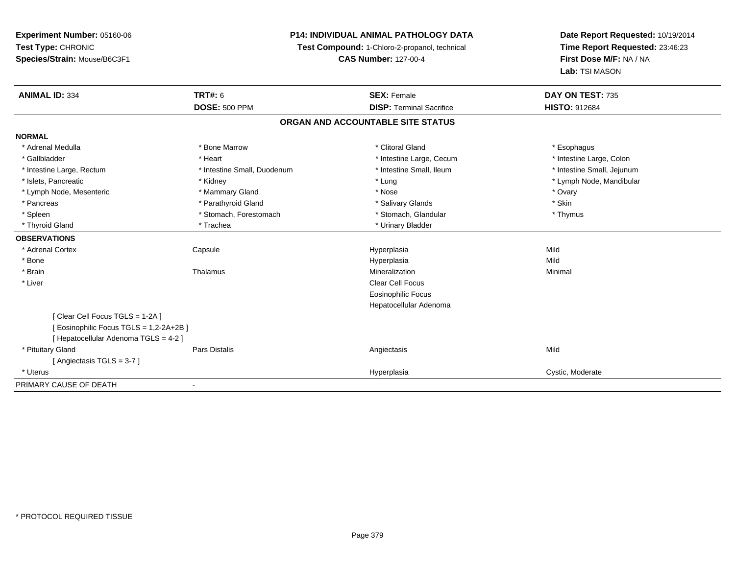# **P14: INDIVIDUAL ANIMAL PATHOLOGY DATA**

**Test Compound:** 1-Chloro-2-propanol, technical

**CAS Number:** 127-00-4

| <b>ANIMAL ID: 334</b>                 | <b>TRT#: 6</b>                    | <b>SEX: Female</b>              | DAY ON TEST: 735           |  |  |  |  |
|---------------------------------------|-----------------------------------|---------------------------------|----------------------------|--|--|--|--|
|                                       | <b>DOSE: 500 PPM</b>              | <b>DISP: Terminal Sacrifice</b> | <b>HISTO: 912684</b>       |  |  |  |  |
|                                       | ORGAN AND ACCOUNTABLE SITE STATUS |                                 |                            |  |  |  |  |
| <b>NORMAL</b>                         |                                   |                                 |                            |  |  |  |  |
| * Adrenal Medulla                     | * Bone Marrow                     | * Clitoral Gland                | * Esophagus                |  |  |  |  |
| * Gallbladder                         | * Heart                           | * Intestine Large, Cecum        | * Intestine Large, Colon   |  |  |  |  |
| * Intestine Large, Rectum             | * Intestine Small, Duodenum       | * Intestine Small, Ileum        | * Intestine Small, Jejunum |  |  |  |  |
| * Islets, Pancreatic                  | * Kidney                          | * Lung                          | * Lymph Node, Mandibular   |  |  |  |  |
| * Lymph Node, Mesenteric              | * Mammary Gland                   | * Nose                          | * Ovary                    |  |  |  |  |
| * Pancreas                            | * Parathyroid Gland               | * Salivary Glands               | * Skin                     |  |  |  |  |
| * Spleen                              | * Stomach, Forestomach            | * Stomach, Glandular            | * Thymus                   |  |  |  |  |
| * Thyroid Gland                       | * Trachea                         | * Urinary Bladder               |                            |  |  |  |  |
| <b>OBSERVATIONS</b>                   |                                   |                                 |                            |  |  |  |  |
| * Adrenal Cortex                      | Capsule                           | Hyperplasia                     | Mild                       |  |  |  |  |
| * Bone                                |                                   | Hyperplasia                     | Mild                       |  |  |  |  |
| * Brain                               | Thalamus                          | Mineralization                  | Minimal                    |  |  |  |  |
| * Liver                               |                                   | Clear Cell Focus                |                            |  |  |  |  |
|                                       |                                   | <b>Eosinophilic Focus</b>       |                            |  |  |  |  |
|                                       |                                   | Hepatocellular Adenoma          |                            |  |  |  |  |
| Clear Cell Focus TGLS = 1-2A ]        |                                   |                                 |                            |  |  |  |  |
| Eosinophilic Focus TGLS = 1,2-2A+2B ] |                                   |                                 |                            |  |  |  |  |
| [Hepatocellular Adenoma TGLS = 4-2]   |                                   |                                 |                            |  |  |  |  |
| * Pituitary Gland                     | Pars Distalis                     | Angiectasis                     | Mild                       |  |  |  |  |
| [Angiectasis TGLS = 3-7]              |                                   |                                 |                            |  |  |  |  |
| * Uterus                              |                                   | Hyperplasia                     | Cystic, Moderate           |  |  |  |  |
| PRIMARY CAUSE OF DEATH                |                                   |                                 |                            |  |  |  |  |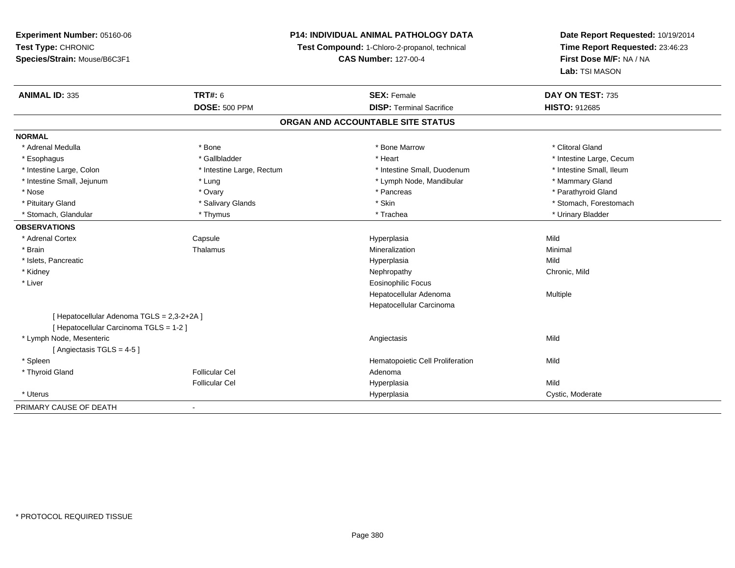# **P14: INDIVIDUAL ANIMAL PATHOLOGY DATA**

**Test Compound:** 1-Chloro-2-propanol, technical

**CAS Number:** 127-00-4

| <b>ANIMAL ID: 335</b>                      | <b>TRT#: 6</b>                    | <b>SEX: Female</b>               | DAY ON TEST: 735         |  |  |  |  |
|--------------------------------------------|-----------------------------------|----------------------------------|--------------------------|--|--|--|--|
|                                            | <b>DOSE: 500 PPM</b>              | <b>DISP: Terminal Sacrifice</b>  | <b>HISTO: 912685</b>     |  |  |  |  |
|                                            | ORGAN AND ACCOUNTABLE SITE STATUS |                                  |                          |  |  |  |  |
| <b>NORMAL</b>                              |                                   |                                  |                          |  |  |  |  |
| * Adrenal Medulla                          | * Bone                            | * Bone Marrow                    | * Clitoral Gland         |  |  |  |  |
| * Esophagus                                | * Gallbladder                     | * Heart                          | * Intestine Large, Cecum |  |  |  |  |
| * Intestine Large, Colon                   | * Intestine Large, Rectum         | * Intestine Small, Duodenum      | * Intestine Small, Ileum |  |  |  |  |
| * Intestine Small, Jejunum                 | * Lung                            | * Lymph Node, Mandibular         | * Mammary Gland          |  |  |  |  |
| * Nose                                     | * Ovary                           | * Pancreas                       | * Parathyroid Gland      |  |  |  |  |
| * Pituitary Gland                          | * Salivary Glands                 | * Skin                           | * Stomach, Forestomach   |  |  |  |  |
| * Stomach, Glandular                       | * Thymus                          | * Trachea                        | * Urinary Bladder        |  |  |  |  |
| <b>OBSERVATIONS</b>                        |                                   |                                  |                          |  |  |  |  |
| * Adrenal Cortex                           | Capsule                           | Hyperplasia                      | Mild                     |  |  |  |  |
| * Brain                                    | Thalamus                          | Mineralization                   | Minimal                  |  |  |  |  |
| * Islets, Pancreatic                       |                                   | Hyperplasia                      | Mild                     |  |  |  |  |
| * Kidney                                   |                                   | Nephropathy                      | Chronic, Mild            |  |  |  |  |
| * Liver                                    |                                   | <b>Eosinophilic Focus</b>        |                          |  |  |  |  |
|                                            |                                   | Hepatocellular Adenoma           | Multiple                 |  |  |  |  |
|                                            |                                   | Hepatocellular Carcinoma         |                          |  |  |  |  |
| [ Hepatocellular Adenoma TGLS = 2,3-2+2A ] |                                   |                                  |                          |  |  |  |  |
| [ Hepatocellular Carcinoma TGLS = 1-2 ]    |                                   |                                  |                          |  |  |  |  |
| * Lymph Node, Mesenteric                   |                                   | Angiectasis                      | Mild                     |  |  |  |  |
| [Angiectasis TGLS = $4-5$ ]                |                                   |                                  |                          |  |  |  |  |
| * Spleen                                   |                                   | Hematopoietic Cell Proliferation | Mild                     |  |  |  |  |
| * Thyroid Gland                            | <b>Follicular Cel</b>             | Adenoma                          |                          |  |  |  |  |
|                                            | <b>Follicular Cel</b>             | Hyperplasia                      | Mild                     |  |  |  |  |
| * Uterus                                   |                                   | Hyperplasia                      | Cystic, Moderate         |  |  |  |  |
| PRIMARY CAUSE OF DEATH                     |                                   |                                  |                          |  |  |  |  |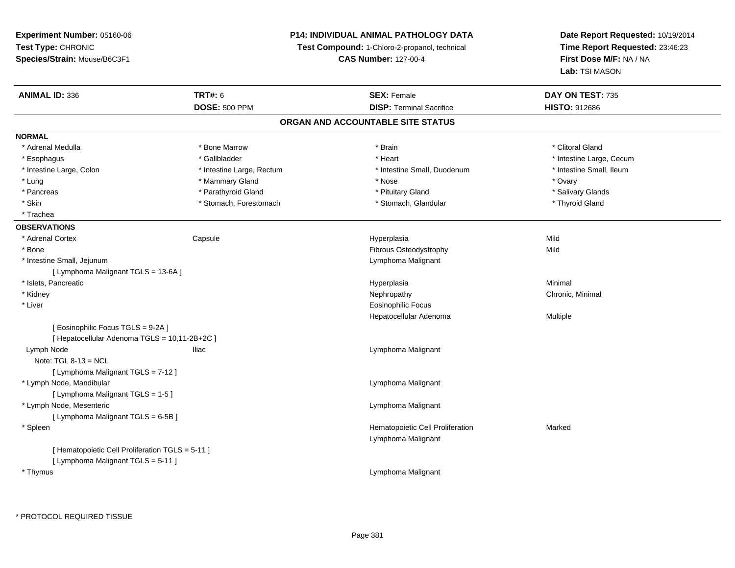**Experiment Number:** 05160-06**Test Type:** CHRONIC **Species/Strain:** Mouse/B6C3F1**P14: INDIVIDUAL ANIMAL PATHOLOGY DATATest Compound:** 1-Chloro-2-propanol, technical **CAS Number:** 127-00-4**Date Report Requested:** 10/19/2014**Time Report Requested:** 23:46:23**First Dose M/F:** NA / NA**Lab:** TSI MASON**ANIMAL ID:** 336**6 DAY ON TEST:** 735 **DOSE:** 500 PPM**DISP:** Terminal Sacrifice **HISTO:** 912686 **ORGAN AND ACCOUNTABLE SITE STATUSNORMAL**\* Adrenal Medulla \* The state of the state of the state of the state of the state of the state of the state of the state of the state of the state of the state of the state of the state of the state of the state of the sta \* Esophagus \* https://www.fragustage.com/web/2019/heart \* Heart \* Heart \* Heart \* Intestine Large, Cecum \* Intestine Large, Cecum \* Sallbladder \* The state of the state of the state of the state of the state of the state o \* Intestine Small. Ileum \* Intestine Large, Colon \* Intestine Large, Rectum \* Intestine Small, Duodenum \* 1 \* Lung \* Mammary Gland \* Nose \* Ovary\* Salivary Glands \* Pancreas \* And the section of the section of the section of the section of the section of the section of the section of the section of the section of the section of the section of the section of the section of the sectio \* Skin \* Stomach, Forestomach \* Stomach \* Stomach, Glandular \* Stomach, Glandular \* Thyroid Gland \* Trachea**OBSERVATIONS** \* Adrenal Cortex Capsule Hyperplasia Mild \* BoneFibrous Osteodystrophy **Mild**  \* Intestine Small, Jejunum Lymphoma Malignant [ Lymphoma Malignant TGLS = 13-6A ] \* Islets, Pancreaticc description of the control of the control of the control of the control of the control of the control of the control of the control of the control of the control of the control of the control of the control of the contro a and a studies of the studies of the Minimal \* Kidneyy the controller of the controller of the controller of the controller of the controller of the controller of the controller of the controller of the controller of the controller of the controller of the controller of the \* Liver Eosinophilic Focus Hepatocellular Adenoma Multiple [ Eosinophilic Focus TGLS = 9-2A ][ Hepatocellular Adenoma TGLS = 10,11-2B+2C ] Lymph NodeIliac **Lymphoma Malignant** Note:  $TGL_8-13 = NCL$  [ Lymphoma Malignant TGLS = 7-12 ] \* Lymph Node, Mandibular Lymphoma Malignant [ Lymphoma Malignant TGLS = 1-5 ] \* Lymph Node, Mesenteric Lymphoma Malignant [ Lymphoma Malignant TGLS = 6-5B ] \* SpleenHematopoietic Cell Proliferation Marked Lymphoma Malignant[ Hematopoietic Cell Proliferation TGLS = 5-11 ][ Lymphoma Malignant TGLS = 5-11 ] \* ThymusLymphoma Malignant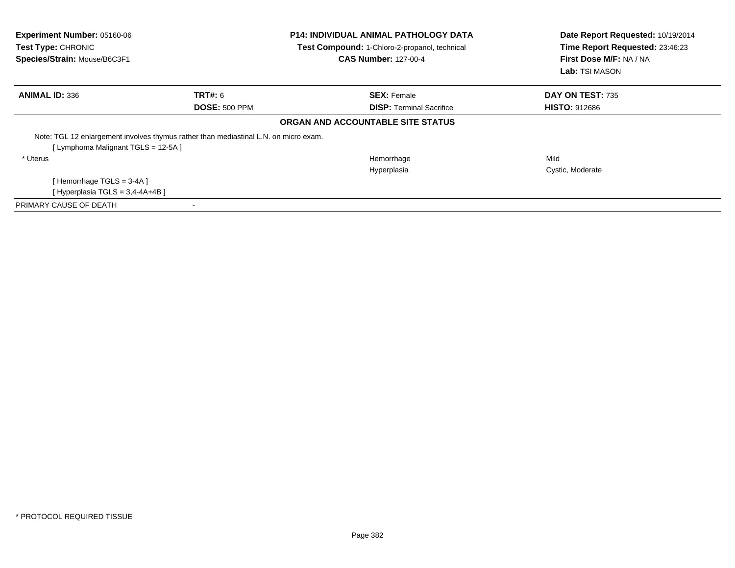| Experiment Number: 05160-06<br>Test Type: CHRONIC<br>Species/Strain: Mouse/B6C3F1 |                                                                                      | <b>P14: INDIVIDUAL ANIMAL PATHOLOGY DATA</b><br>Test Compound: 1-Chloro-2-propanol, technical<br><b>CAS Number: 127-00-4</b> | Date Report Requested: 10/19/2014<br>Time Report Requested: 23:46:23<br>First Dose M/F: NA / NA<br><b>Lab:</b> TSI MASON |
|-----------------------------------------------------------------------------------|--------------------------------------------------------------------------------------|------------------------------------------------------------------------------------------------------------------------------|--------------------------------------------------------------------------------------------------------------------------|
| <b>ANIMAL ID: 336</b>                                                             | <b>TRT#: 6</b>                                                                       | <b>SEX:</b> Female                                                                                                           | DAY ON TEST: 735                                                                                                         |
|                                                                                   | <b>DOSE: 500 PPM</b>                                                                 | <b>DISP: Terminal Sacrifice</b>                                                                                              | <b>HISTO: 912686</b>                                                                                                     |
|                                                                                   |                                                                                      | <b>ORGAN AND ACCOUNTABLE SITE STATUS</b>                                                                                     |                                                                                                                          |
|                                                                                   | Note: TGL 12 enlargement involves thymus rather than mediastinal L.N. on micro exam. |                                                                                                                              |                                                                                                                          |
| [Lymphoma Malignant TGLS = 12-5A]                                                 |                                                                                      |                                                                                                                              |                                                                                                                          |
| * Uterus                                                                          |                                                                                      | Hemorrhage                                                                                                                   | Mild                                                                                                                     |
|                                                                                   |                                                                                      | Hyperplasia                                                                                                                  | Cystic, Moderate                                                                                                         |
| [Hemorrhage TGLS = 3-4A]                                                          |                                                                                      |                                                                                                                              |                                                                                                                          |
| [Hyperplasia TGLS = 3,4-4A+4B ]                                                   |                                                                                      |                                                                                                                              |                                                                                                                          |
| PRIMARY CAUSE OF DEATH                                                            |                                                                                      |                                                                                                                              |                                                                                                                          |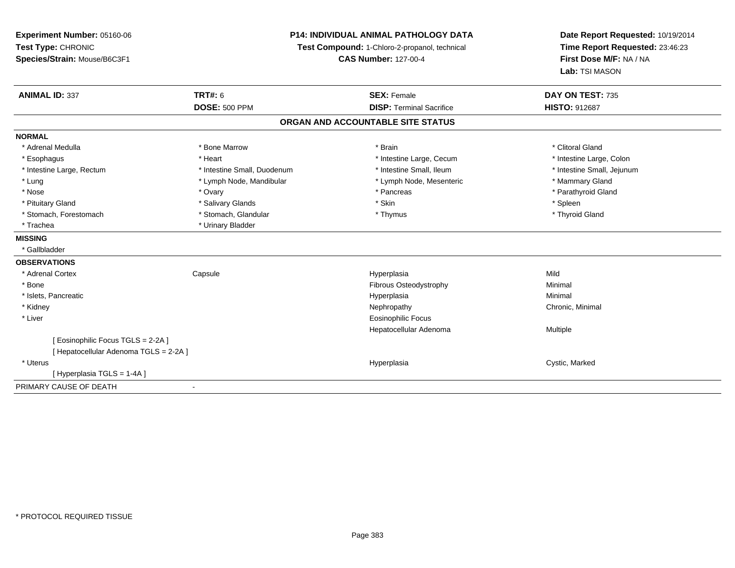**Experiment Number:** 05160-06**Test Type:** CHRONIC **Species/Strain:** Mouse/B6C3F1**P14: INDIVIDUAL ANIMAL PATHOLOGY DATATest Compound:** 1-Chloro-2-propanol, technical **CAS Number:** 127-00-4**Date Report Requested:** 10/19/2014**Time Report Requested:** 23:46:23**First Dose M/F:** NA / NA**Lab:** TSI MASON**ANIMAL ID:** 337**TRT#:** 6 **SEX:** Female **SEX: Female DAY ON TEST:** 735 **DOSE:** 500 PPM**DISP:** Terminal Sacrifice **HISTO:** 912687 **ORGAN AND ACCOUNTABLE SITE STATUSNORMAL**\* Adrenal Medulla \* The state of the state of the state of the state of the state of the state of the state of the state of the state of the state of the state of the state of the state of the state of the state of the sta \* Intestine Large, Colon \* Esophagus \* **Esophagus \* Intestine Large, Cecum \*** Heart \* **intestine Large, Cecum** \* Intestine Large, Cecum \* Intestine Large, Rectum \* Thestine Small, Duodenum \* Number of the small, Ileum \* Intestine Small, Jejunum \* Intestine Small, Jejunum \* Lung \* Lymph Node, Mandibular \* Mannipular \* Lymph Node, Mesenteric \* Mammary Gland \* Parathyroid Gland \* Nose \* Ovary \* Pancreas \* Parathyroid Gland \* Pituitary Gland \* \* \* Sheen \* Salivary Glands \* \* State \* \* Skin \* \* Skin \* \* Spleen \* \* Spleen \* \* Spleen \* \* Thyroid Gland \* Stomach, Forestomach \* Thymus \* Stomach, Glandular \* Thymus \* Thymus \* Thymus \* Thymus \* Thymus \* Thymus \* Thymus \* Thymus \* Thymus \* Thymus \* Thymus \* Thymus \* Thymus \* Thymus \* Thymus \* Thymus \* Thymus \* Thymus \* Thymu \* Trachea \* Urinary Bladder**MISSING** \* Gallbladder**OBSERVATIONS** \* Adrenal Cortex**Capsule**  Hyperplasia Mild \* Bonee the contract of the contract of the contract of the contract of the contract of the contract of the contract of the contract of the contract of the contract of the contract of the contract of the contract of the contract \* Islets, Pancreaticc and the contract of the contract of the contract of the contract of the contract of the contract of the contract of the contract of the contract of the contract of the contract of the contract of the contract of the cont a **Minimal**  \* Kidneyy the controller of the controller of the controller of the Nephropathy Chronic, Minimal (Chronic, Minimal  $\mu$  \* Liver Eosinophilic Focus Hepatocellular Adenoma Multiple [ Eosinophilic Focus TGLS = 2-2A ][ Hepatocellular Adenoma TGLS = 2-2A ] \* Uteruss and the control of the control of the control of the control of the control of the control of the control of the control of the control of the control of the control of the control of the control of the control of the co Hyperplasia **Cystic, Marked** [ Hyperplasia TGLS = 1-4A ]PRIMARY CAUSE OF DEATH-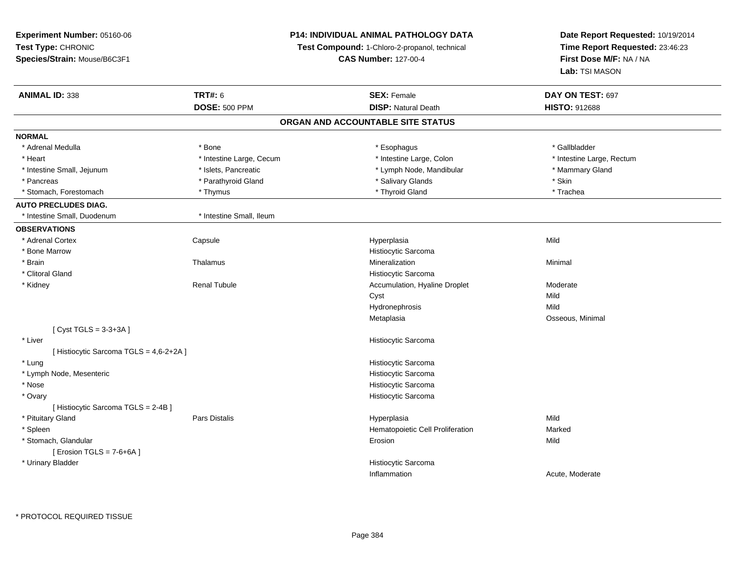# **P14: INDIVIDUAL ANIMAL PATHOLOGY DATA**

**Test Compound:** 1-Chloro-2-propanol, technical

**CAS Number:** 127-00-4

| <b>ANIMAL ID: 338</b>                   | <b>TRT#: 6</b>           | <b>SEX: Female</b>               | DAY ON TEST: 697          |  |  |  |
|-----------------------------------------|--------------------------|----------------------------------|---------------------------|--|--|--|
|                                         | <b>DOSE: 500 PPM</b>     | <b>DISP: Natural Death</b>       | <b>HISTO: 912688</b>      |  |  |  |
| ORGAN AND ACCOUNTABLE SITE STATUS       |                          |                                  |                           |  |  |  |
| <b>NORMAL</b>                           |                          |                                  |                           |  |  |  |
| * Adrenal Medulla                       | * Bone                   | * Esophagus                      | * Gallbladder             |  |  |  |
| * Heart                                 | * Intestine Large, Cecum | * Intestine Large, Colon         | * Intestine Large, Rectum |  |  |  |
| * Intestine Small, Jejunum              | * Islets, Pancreatic     | * Lymph Node, Mandibular         | * Mammary Gland           |  |  |  |
| * Pancreas                              | * Parathyroid Gland      | * Salivary Glands                | * Skin                    |  |  |  |
| * Stomach, Forestomach                  | * Thymus                 | * Thyroid Gland                  | * Trachea                 |  |  |  |
| <b>AUTO PRECLUDES DIAG.</b>             |                          |                                  |                           |  |  |  |
| * Intestine Small, Duodenum             | * Intestine Small, Ileum |                                  |                           |  |  |  |
| <b>OBSERVATIONS</b>                     |                          |                                  |                           |  |  |  |
| * Adrenal Cortex                        | Capsule                  | Hyperplasia                      | Mild                      |  |  |  |
| * Bone Marrow                           |                          | Histiocytic Sarcoma              |                           |  |  |  |
| * Brain                                 | Thalamus                 | Mineralization                   | Minimal                   |  |  |  |
| * Clitoral Gland                        |                          | Histiocytic Sarcoma              |                           |  |  |  |
| * Kidney                                | <b>Renal Tubule</b>      | Accumulation, Hyaline Droplet    | Moderate                  |  |  |  |
|                                         |                          | Cyst                             | Mild                      |  |  |  |
|                                         |                          | Hydronephrosis                   | Mild                      |  |  |  |
|                                         |                          | Metaplasia                       | Osseous, Minimal          |  |  |  |
| [Cyst TGLS = $3-3+3A$ ]                 |                          |                                  |                           |  |  |  |
| * Liver                                 |                          | Histiocytic Sarcoma              |                           |  |  |  |
| [ Histiocytic Sarcoma TGLS = 4,6-2+2A ] |                          |                                  |                           |  |  |  |
| * Lung                                  |                          | Histiocytic Sarcoma              |                           |  |  |  |
| * Lymph Node, Mesenteric                |                          | Histiocytic Sarcoma              |                           |  |  |  |
| * Nose                                  |                          | Histiocytic Sarcoma              |                           |  |  |  |
| * Ovary                                 |                          | Histiocytic Sarcoma              |                           |  |  |  |
| [ Histiocytic Sarcoma TGLS = 2-4B ]     |                          |                                  |                           |  |  |  |
| * Pituitary Gland                       | <b>Pars Distalis</b>     | Hyperplasia                      | Mild                      |  |  |  |
| * Spleen                                |                          | Hematopoietic Cell Proliferation | Marked                    |  |  |  |
| * Stomach, Glandular                    |                          | Erosion                          | Mild                      |  |  |  |
| [ Erosion TGLS = $7-6+6A$ ]             |                          |                                  |                           |  |  |  |
| * Urinary Bladder                       |                          | Histiocytic Sarcoma              |                           |  |  |  |
|                                         |                          | Inflammation                     | Acute, Moderate           |  |  |  |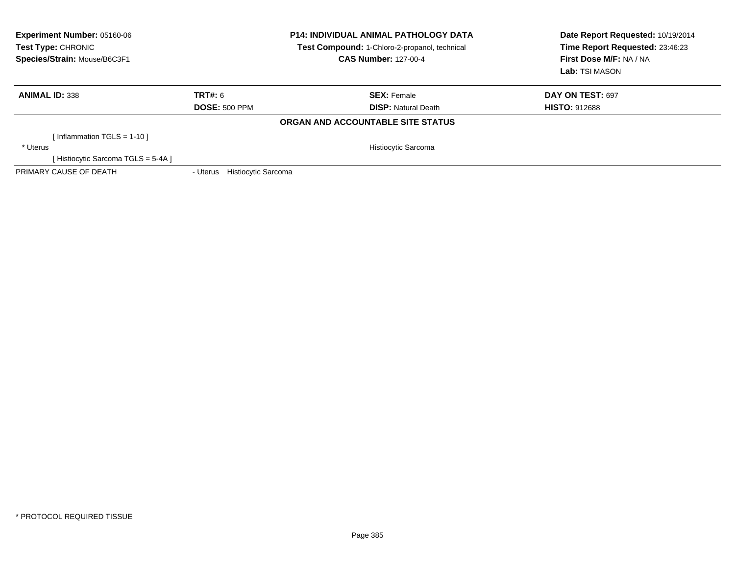| Experiment Number: 05160-06<br>Test Type: CHRONIC<br>Species/Strain: Mouse/B6C3F1 |                                        | <b>P14: INDIVIDUAL ANIMAL PATHOLOGY DATA</b><br>Test Compound: 1-Chloro-2-propanol, technical<br><b>CAS Number: 127-00-4</b> | Date Report Requested: 10/19/2014<br>Time Report Requested: 23:46:23<br>First Dose M/F: NA / NA<br>Lab: TSI MASON |
|-----------------------------------------------------------------------------------|----------------------------------------|------------------------------------------------------------------------------------------------------------------------------|-------------------------------------------------------------------------------------------------------------------|
| <b>ANIMAL ID: 338</b>                                                             | TRT#: 6                                | <b>SEX: Female</b>                                                                                                           | DAY ON TEST: 697                                                                                                  |
|                                                                                   | <b>DOSE: 500 PPM</b>                   | <b>DISP:</b> Natural Death                                                                                                   | <b>HISTO: 912688</b>                                                                                              |
|                                                                                   |                                        | ORGAN AND ACCOUNTABLE SITE STATUS                                                                                            |                                                                                                                   |
| Inflammation TGLS = 1-10 ]                                                        |                                        |                                                                                                                              |                                                                                                                   |
| * Uterus                                                                          |                                        | Histiocytic Sarcoma                                                                                                          |                                                                                                                   |
| [Histiocytic Sarcoma TGLS = 5-4A]                                                 |                                        |                                                                                                                              |                                                                                                                   |
| PRIMARY CAUSE OF DEATH                                                            | <b>Histiocytic Sarcoma</b><br>- Uterus |                                                                                                                              |                                                                                                                   |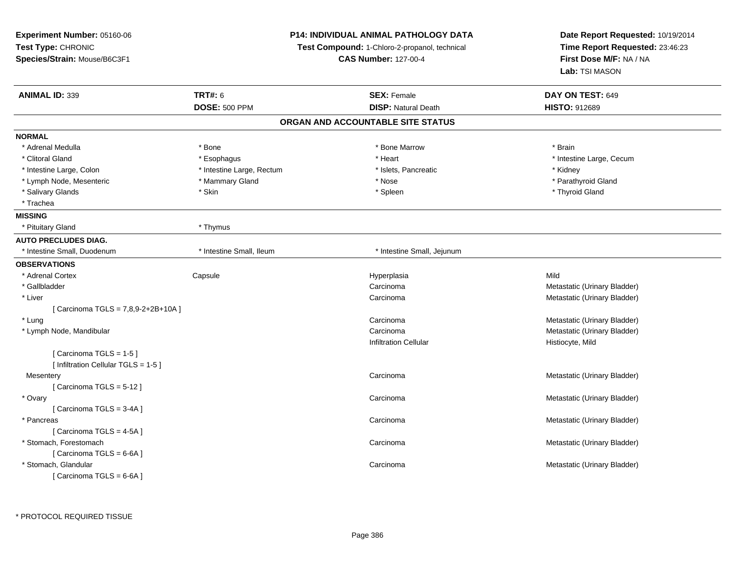| Experiment Number: 05160-06          |                             | <b>P14: INDIVIDUAL ANIMAL PATHOLOGY DATA</b>  | Date Report Requested: 10/19/2014 |  |
|--------------------------------------|-----------------------------|-----------------------------------------------|-----------------------------------|--|
| Test Type: CHRONIC                   |                             | Test Compound: 1-Chloro-2-propanol, technical | Time Report Requested: 23:46:23   |  |
| Species/Strain: Mouse/B6C3F1         | <b>CAS Number: 127-00-4</b> |                                               | First Dose M/F: NA / NA           |  |
|                                      |                             |                                               | Lab: TSI MASON                    |  |
| <b>ANIMAL ID: 339</b>                | <b>TRT#: 6</b>              | <b>SEX: Female</b>                            | DAY ON TEST: 649                  |  |
|                                      | <b>DOSE: 500 PPM</b>        | <b>DISP: Natural Death</b>                    | HISTO: 912689                     |  |
|                                      |                             | ORGAN AND ACCOUNTABLE SITE STATUS             |                                   |  |
| <b>NORMAL</b>                        |                             |                                               |                                   |  |
| * Adrenal Medulla                    | * Bone                      | * Bone Marrow                                 | * Brain                           |  |
| * Clitoral Gland                     | * Esophagus                 | * Heart                                       | * Intestine Large, Cecum          |  |
| * Intestine Large, Colon             | * Intestine Large, Rectum   | * Islets, Pancreatic                          | * Kidney                          |  |
| * Lymph Node, Mesenteric             | * Mammary Gland             | * Nose                                        | * Parathyroid Gland               |  |
| * Salivary Glands                    | * Skin                      | * Spleen                                      | * Thyroid Gland                   |  |
| * Trachea                            |                             |                                               |                                   |  |
| <b>MISSING</b>                       |                             |                                               |                                   |  |
| * Pituitary Gland                    | * Thymus                    |                                               |                                   |  |
| <b>AUTO PRECLUDES DIAG.</b>          |                             |                                               |                                   |  |
| * Intestine Small, Duodenum          | * Intestine Small, Ileum    | * Intestine Small, Jejunum                    |                                   |  |
| <b>OBSERVATIONS</b>                  |                             |                                               |                                   |  |
| * Adrenal Cortex                     | Capsule                     | Hyperplasia                                   | Mild                              |  |
| * Gallbladder                        |                             | Carcinoma                                     | Metastatic (Urinary Bladder)      |  |
| * Liver                              |                             | Carcinoma                                     | Metastatic (Urinary Bladder)      |  |
| [ Carcinoma TGLS = 7,8,9-2+2B+10A ]  |                             |                                               |                                   |  |
| * Lung                               |                             | Carcinoma                                     | Metastatic (Urinary Bladder)      |  |
| * Lymph Node, Mandibular             |                             | Carcinoma                                     | Metastatic (Urinary Bladder)      |  |
|                                      |                             | <b>Infiltration Cellular</b>                  | Histiocyte, Mild                  |  |
| [Carcinoma TGLS = $1-5$ ]            |                             |                                               |                                   |  |
| [ Infiltration Cellular TGLS = 1-5 ] |                             |                                               |                                   |  |
| Mesentery                            |                             | Carcinoma                                     | Metastatic (Urinary Bladder)      |  |
| [Carcinoma TGLS = 5-12]              |                             |                                               |                                   |  |
| * Ovary                              |                             | Carcinoma                                     | Metastatic (Urinary Bladder)      |  |
| [Carcinoma TGLS = 3-4A]              |                             |                                               |                                   |  |
| * Pancreas                           |                             | Carcinoma                                     | Metastatic (Urinary Bladder)      |  |
| [ Carcinoma TGLS = 4-5A ]            |                             |                                               |                                   |  |
| * Stomach, Forestomach               |                             | Carcinoma                                     | Metastatic (Urinary Bladder)      |  |
| [Carcinoma TGLS = 6-6A]              |                             |                                               |                                   |  |
| * Stomach, Glandular                 |                             | Carcinoma                                     | Metastatic (Urinary Bladder)      |  |
| [ Carcinoma TGLS = 6-6A ]            |                             |                                               |                                   |  |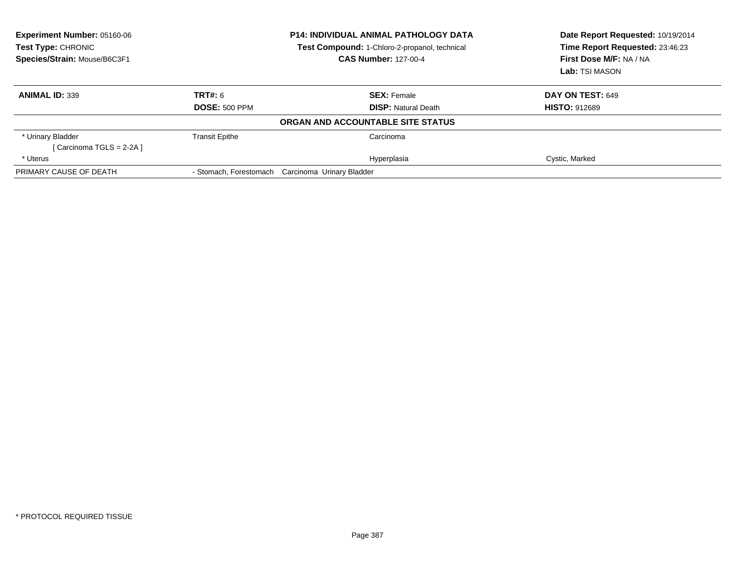| Experiment Number: 05160-06<br>Test Type: CHRONIC<br>Species/Strain: Mouse/B6C3F1 |                       | <b>P14: INDIVIDUAL ANIMAL PATHOLOGY DATA</b><br>Test Compound: 1-Chloro-2-propanol, technical<br><b>CAS Number: 127-00-4</b> | Date Report Requested: 10/19/2014<br>Time Report Requested: 23:46:23<br>First Dose M/F: NA / NA<br>Lab: TSI MASON |
|-----------------------------------------------------------------------------------|-----------------------|------------------------------------------------------------------------------------------------------------------------------|-------------------------------------------------------------------------------------------------------------------|
| <b>ANIMAL ID: 339</b>                                                             | TRT#: 6               | <b>SEX: Female</b>                                                                                                           | DAY ON TEST: 649                                                                                                  |
|                                                                                   | <b>DOSE: 500 PPM</b>  | <b>DISP:</b> Natural Death                                                                                                   | <b>HISTO: 912689</b>                                                                                              |
|                                                                                   |                       | ORGAN AND ACCOUNTABLE SITE STATUS                                                                                            |                                                                                                                   |
| * Urinary Bladder                                                                 | <b>Transit Epithe</b> | Carcinoma                                                                                                                    |                                                                                                                   |
| [ Carcinoma TGLS = 2-2A ]                                                         |                       |                                                                                                                              |                                                                                                                   |
| * Uterus                                                                          |                       | Hyperplasia                                                                                                                  | Cystic, Marked                                                                                                    |
| PRIMARY CAUSE OF DEATH                                                            |                       | - Stomach, Forestomach Carcinoma Urinary Bladder                                                                             |                                                                                                                   |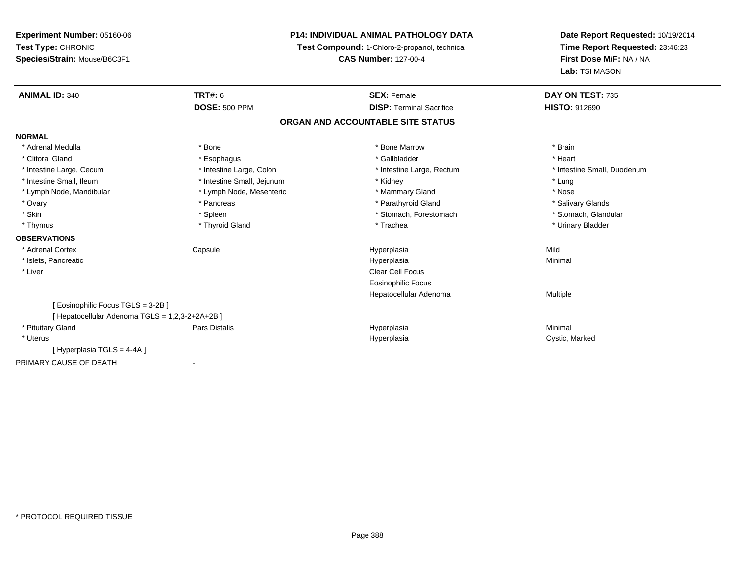**Experiment Number:** 05160-06**Test Type:** CHRONIC **Species/Strain:** Mouse/B6C3F1**P14: INDIVIDUAL ANIMAL PATHOLOGY DATATest Compound:** 1-Chloro-2-propanol, technical **CAS Number:** 127-00-4**Date Report Requested:** 10/19/2014**Time Report Requested:** 23:46:23**First Dose M/F:** NA / NA**Lab:** TSI MASON**ANIMAL ID:** 340**C TRT#:** 6 **SEX:** Female **SEX: Female DAY ON TEST:** 735 **DOSE:** 500 PPM**DISP:** Terminal Sacrifice **HISTO:** 912690 **ORGAN AND ACCOUNTABLE SITE STATUSNORMAL**\* Adrenal Medulla \* \* Annual Medulla \* Brain \* Bone \* \* Bone Marrow \* Bone Marrow \* \* Brain \* Brain \* Brain \* Brain \* Brain \* Brain \* Brain \* Brain \* Brain \* Brain \* Brain \* Brain \* Brain \* Brain \* Brain \* Brain \* Brain \* \* Heart \* Clitoral Gland \* \* \* heart \* \* Esophagus \* \* \* \* \* \* \* \* \* \* \* Gallbladder \* \* \* \* \* \* \* \* \* \* \* \* Heart \* Intestine Large, Cecum \* Intestine Large, Colon \* Intestine Large, Thestine Large, Rectum \* Intestine Small, Duodenum \* Intestine Small, Ileum \* **All and All and All and All and All and All and All and All and All and All and All and All and All and All and All and All and All and All and All and All and All and All and All and All and Al** \* Nose \* Lymph Node, Mandibular \* Lymph Node, Mesenteric \* Mammary Gland \* Mammary Gland \* Salivary Glands \* Ovary \* \* Pancreas \* \* Pancreas \* \* Pancreas \* \* Parathyroid Gland \* \* Salivary Glands \* Salivary Glands \* Salivary Glands \* Salivary Glands \* Salivary Glands \* Salivary Glands \* Salivary Glands \* \* Salivary Glands \* \* S \* Stomach. Glandular \* Skin \* Spleen \* Spleen \* Spleen \* Stomach, Forestomach \* Stomach, Forestomach \* Thymus \* Thyroid Gland \* Trachea \* Urinary Bladder \* **OBSERVATIONS** \* Adrenal Cortex Capsule Hyperplasia Mild \* Islets, Pancreaticc description of the control of the control of the control of the control of the control of the control of the control of the control of the control of the control of the control of the control of the control of the contro a and a studies of the studies of the Minimal \* Liver Clear Cell Focus Eosinophilic Focus Hepatocellular Adenoma Multiple [ Eosinophilic Focus TGLS = 3-2B ][ Hepatocellular Adenoma TGLS = 1,2,3-2+2A+2B ] \* Pituitary Gland Pars Distalis Hyperplasia Minimal \* Uteruss and the contract of the contract of the contract of the contract of the contract of the contract of the contract of the contract of the contract of the contract of the contract of the contract of the contract of the cont Hyperplasia **Cystic, Marked** [ Hyperplasia TGLS = 4-4A ]PRIMARY CAUSE OF DEATH

-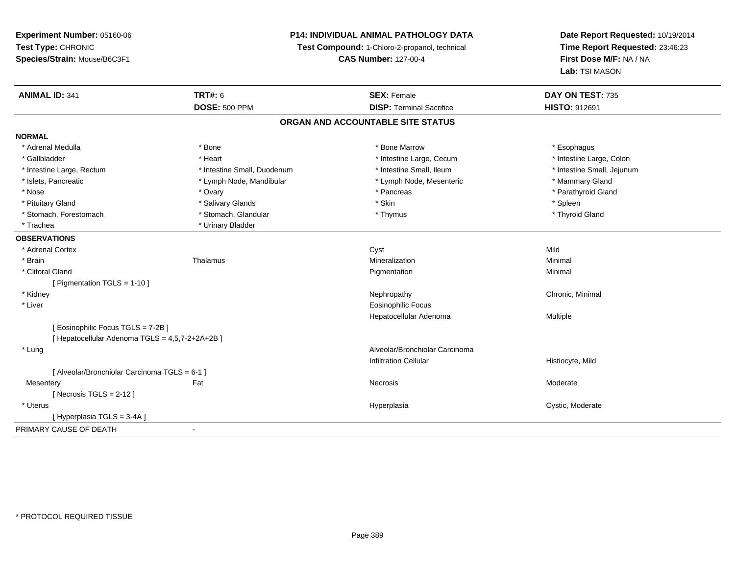# **P14: INDIVIDUAL ANIMAL PATHOLOGY DATA**

**Test Compound:** 1-Chloro-2-propanol, technical

**CAS Number:** 127-00-4

| <b>ANIMAL ID: 341</b>                         | <b>TRT#: 6</b><br><b>DOSE: 500 PPM</b> | <b>SEX: Female</b><br><b>DISP: Terminal Sacrifice</b> | DAY ON TEST: 735<br><b>HISTO: 912691</b> |  |  |  |
|-----------------------------------------------|----------------------------------------|-------------------------------------------------------|------------------------------------------|--|--|--|
| ORGAN AND ACCOUNTABLE SITE STATUS             |                                        |                                                       |                                          |  |  |  |
| <b>NORMAL</b>                                 |                                        |                                                       |                                          |  |  |  |
| * Adrenal Medulla                             | * Bone                                 | * Bone Marrow                                         | * Esophagus                              |  |  |  |
| * Gallbladder                                 | * Heart                                | * Intestine Large, Cecum                              | * Intestine Large, Colon                 |  |  |  |
| * Intestine Large, Rectum                     | * Intestine Small, Duodenum            | * Intestine Small, Ileum                              | * Intestine Small, Jejunum               |  |  |  |
| * Islets, Pancreatic                          | * Lymph Node, Mandibular               | * Lymph Node, Mesenteric                              | * Mammary Gland                          |  |  |  |
| * Nose                                        | * Ovary                                | * Pancreas                                            | * Parathyroid Gland                      |  |  |  |
| * Pituitary Gland                             | * Salivary Glands                      | * Skin                                                | * Spleen                                 |  |  |  |
| * Stomach, Forestomach                        | * Stomach, Glandular                   | * Thymus                                              | * Thyroid Gland                          |  |  |  |
| * Trachea                                     | * Urinary Bladder                      |                                                       |                                          |  |  |  |
| <b>OBSERVATIONS</b>                           |                                        |                                                       |                                          |  |  |  |
| * Adrenal Cortex                              |                                        | Cyst                                                  | Mild                                     |  |  |  |
| * Brain                                       | Thalamus                               | Mineralization                                        | Minimal                                  |  |  |  |
| * Clitoral Gland                              |                                        | Pigmentation                                          | Minimal                                  |  |  |  |
| [ Pigmentation TGLS = $1-10$ ]                |                                        |                                                       |                                          |  |  |  |
| * Kidney                                      |                                        | Nephropathy                                           | Chronic, Minimal                         |  |  |  |
| * Liver                                       |                                        | <b>Eosinophilic Focus</b>                             |                                          |  |  |  |
|                                               |                                        | Hepatocellular Adenoma                                | Multiple                                 |  |  |  |
| [ Eosinophilic Focus TGLS = 7-2B ]            |                                        |                                                       |                                          |  |  |  |
| [Hepatocellular Adenoma TGLS = 4,5,7-2+2A+2B] |                                        |                                                       |                                          |  |  |  |
| * Lung                                        |                                        | Alveolar/Bronchiolar Carcinoma                        |                                          |  |  |  |
|                                               |                                        | <b>Infiltration Cellular</b>                          | Histiocyte, Mild                         |  |  |  |
| [ Alveolar/Bronchiolar Carcinoma TGLS = 6-1 ] |                                        |                                                       |                                          |  |  |  |
| Mesentery                                     | Fat                                    | Necrosis                                              | Moderate                                 |  |  |  |
| [ Necrosis TGLS = $2-12$ ]                    |                                        |                                                       |                                          |  |  |  |
| * Uterus                                      |                                        | Hyperplasia                                           | Cystic, Moderate                         |  |  |  |
| [Hyperplasia TGLS = 3-4A]                     |                                        |                                                       |                                          |  |  |  |
| PRIMARY CAUSE OF DEATH                        |                                        |                                                       |                                          |  |  |  |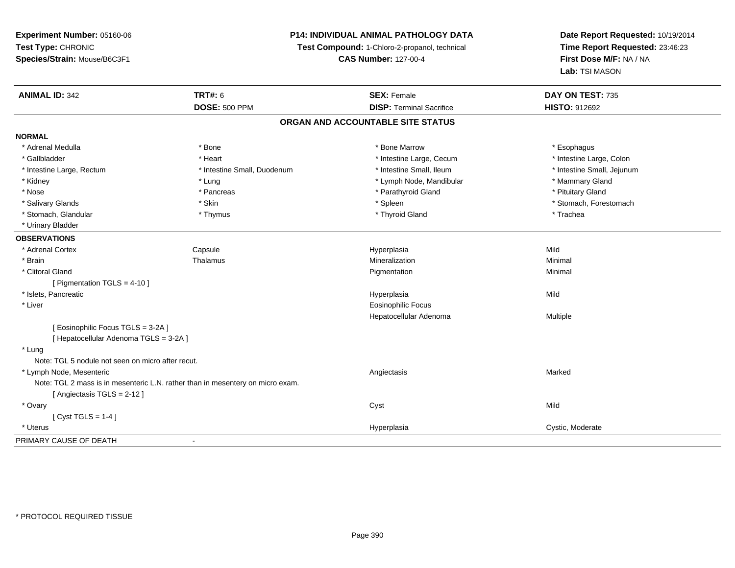# **P14: INDIVIDUAL ANIMAL PATHOLOGY DATA**

**Test Compound:** 1-Chloro-2-propanol, technical

**CAS Number:** 127-00-4

| <b>ANIMAL ID: 342</b>                                                          | <b>TRT#: 6</b>              | <b>SEX: Female</b>                | DAY ON TEST: 735           |  |
|--------------------------------------------------------------------------------|-----------------------------|-----------------------------------|----------------------------|--|
|                                                                                | <b>DOSE: 500 PPM</b>        | <b>DISP: Terminal Sacrifice</b>   | <b>HISTO: 912692</b>       |  |
|                                                                                |                             | ORGAN AND ACCOUNTABLE SITE STATUS |                            |  |
| <b>NORMAL</b>                                                                  |                             |                                   |                            |  |
| * Adrenal Medulla                                                              | * Bone                      | * Bone Marrow                     | * Esophagus                |  |
| * Gallbladder                                                                  | * Heart                     | * Intestine Large, Cecum          | * Intestine Large, Colon   |  |
| * Intestine Large, Rectum                                                      | * Intestine Small, Duodenum | * Intestine Small, Ileum          | * Intestine Small, Jejunum |  |
| * Kidney                                                                       | * Lung                      | * Lymph Node, Mandibular          | * Mammary Gland            |  |
| * Nose                                                                         | * Pancreas                  | * Parathyroid Gland               | * Pituitary Gland          |  |
| * Salivary Glands                                                              | * Skin                      | * Spleen                          | * Stomach, Forestomach     |  |
| * Stomach, Glandular                                                           | * Thymus                    | * Thyroid Gland                   | * Trachea                  |  |
| * Urinary Bladder                                                              |                             |                                   |                            |  |
| <b>OBSERVATIONS</b>                                                            |                             |                                   |                            |  |
| * Adrenal Cortex                                                               | Capsule                     | Hyperplasia                       | Mild                       |  |
| * Brain                                                                        | Thalamus                    | Mineralization                    | Minimal                    |  |
| * Clitoral Gland                                                               |                             | Pigmentation                      | Minimal                    |  |
| [ Pigmentation TGLS = 4-10 ]                                                   |                             |                                   |                            |  |
| * Islets, Pancreatic                                                           |                             | Hyperplasia                       | Mild                       |  |
| * Liver                                                                        |                             | <b>Eosinophilic Focus</b>         |                            |  |
|                                                                                |                             | Hepatocellular Adenoma            | Multiple                   |  |
| [Eosinophilic Focus TGLS = 3-2A]                                               |                             |                                   |                            |  |
| [ Hepatocellular Adenoma TGLS = 3-2A ]                                         |                             |                                   |                            |  |
| * Lung                                                                         |                             |                                   |                            |  |
| Note: TGL 5 nodule not seen on micro after recut.                              |                             |                                   |                            |  |
| * Lymph Node, Mesenteric                                                       |                             | Angiectasis                       | Marked                     |  |
| Note: TGL 2 mass is in mesenteric L.N. rather than in mesentery on micro exam. |                             |                                   |                            |  |
| [ Angiectasis TGLS = 2-12 ]                                                    |                             |                                   |                            |  |
| * Ovary                                                                        |                             | Cyst                              | Mild                       |  |
| [Cyst TGLS = 1-4]                                                              |                             |                                   |                            |  |
| * Uterus                                                                       |                             | Hyperplasia                       | Cystic, Moderate           |  |
| PRIMARY CAUSE OF DEATH                                                         |                             |                                   |                            |  |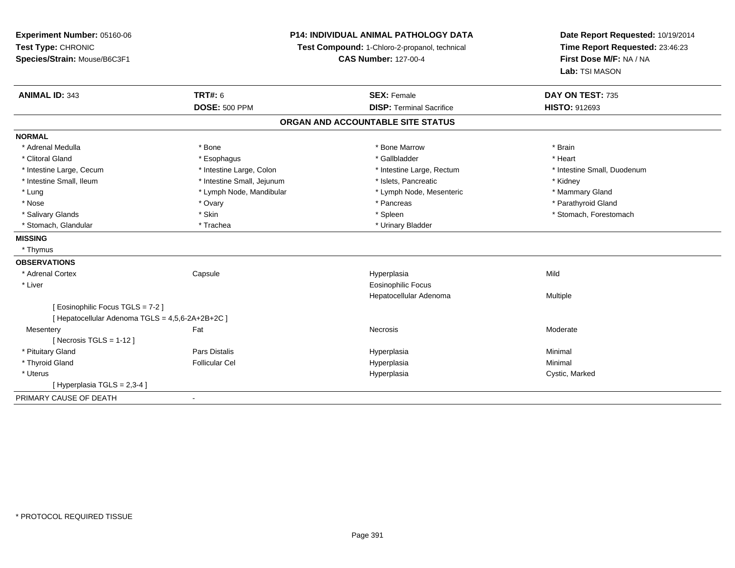| Experiment Number: 05160-06                      |                            | P14: INDIVIDUAL ANIMAL PATHOLOGY DATA         | Date Report Requested: 10/19/2014 |
|--------------------------------------------------|----------------------------|-----------------------------------------------|-----------------------------------|
| Test Type: CHRONIC                               |                            | Test Compound: 1-Chloro-2-propanol, technical | Time Report Requested: 23:46:23   |
| Species/Strain: Mouse/B6C3F1                     |                            | <b>CAS Number: 127-00-4</b>                   | First Dose M/F: NA / NA           |
|                                                  |                            |                                               | Lab: TSI MASON                    |
| <b>ANIMAL ID: 343</b><br><b>TRT#: 6</b>          |                            | <b>SEX: Female</b>                            | DAY ON TEST: 735                  |
|                                                  | <b>DOSE: 500 PPM</b>       | <b>DISP: Terminal Sacrifice</b>               | HISTO: 912693                     |
|                                                  |                            | ORGAN AND ACCOUNTABLE SITE STATUS             |                                   |
| <b>NORMAL</b>                                    |                            |                                               |                                   |
| * Adrenal Medulla<br>* Bone                      |                            | * Bone Marrow                                 | * Brain                           |
| * Clitoral Gland                                 | * Esophagus                | * Gallbladder                                 | * Heart                           |
| * Intestine Large, Cecum                         | * Intestine Large, Colon   | * Intestine Large, Rectum                     | * Intestine Small, Duodenum       |
| * Intestine Small, Ileum                         | * Intestine Small, Jejunum | * Islets, Pancreatic                          | * Kidney                          |
| * Lung                                           | * Lymph Node, Mandibular   | * Lymph Node, Mesenteric                      | * Mammary Gland                   |
| * Nose<br>* Ovary                                |                            | * Pancreas                                    | * Parathyroid Gland               |
| * Skin<br>* Salivary Glands                      |                            | * Spleen                                      | * Stomach, Forestomach            |
| * Stomach, Glandular<br>* Trachea                |                            | * Urinary Bladder                             |                                   |
| <b>MISSING</b>                                   |                            |                                               |                                   |
| * Thymus                                         |                            |                                               |                                   |
| <b>OBSERVATIONS</b>                              |                            |                                               |                                   |
| * Adrenal Cortex<br>Capsule                      |                            | Hyperplasia                                   | Mild                              |
| * Liver                                          |                            | Eosinophilic Focus                            |                                   |
|                                                  |                            | Hepatocellular Adenoma                        | Multiple                          |
| [ Eosinophilic Focus TGLS = 7-2 ]                |                            |                                               |                                   |
| [ Hepatocellular Adenoma TGLS = 4,5,6-2A+2B+2C ] |                            |                                               |                                   |
| Fat<br>Mesentery                                 |                            | <b>Necrosis</b>                               | Moderate                          |
| [ Necrosis $TGLS = 1-12$ ]                       |                            |                                               |                                   |
| Pars Distalis<br>* Pituitary Gland               |                            | Hyperplasia                                   | Minimal                           |
| * Thyroid Gland<br><b>Follicular Cel</b>         |                            | Hyperplasia                                   | Minimal                           |
| * Uterus                                         |                            | Hyperplasia                                   | Cystic, Marked                    |
| [ Hyperplasia TGLS = 2,3-4 ]                     |                            |                                               |                                   |
| PRIMARY CAUSE OF DEATH<br>$\blacksquare$         |                            |                                               |                                   |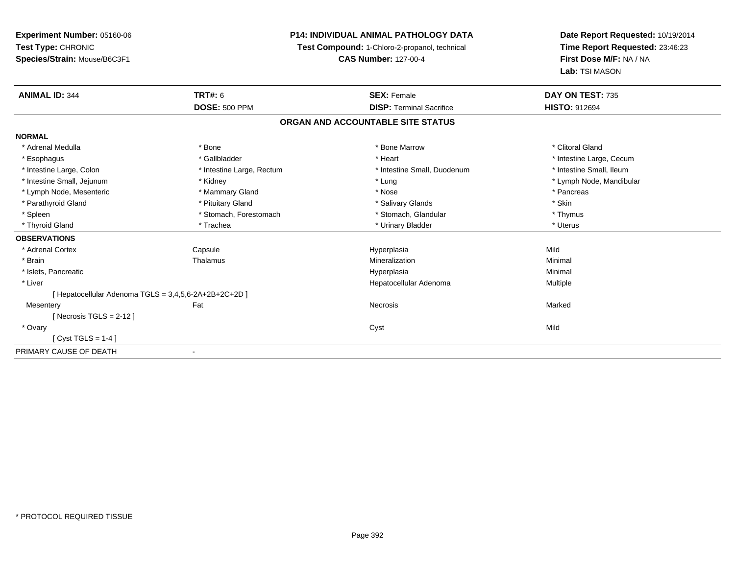# **P14: INDIVIDUAL ANIMAL PATHOLOGY DATA**

**Test Compound:** 1-Chloro-2-propanol, technical

**CAS Number:** 127-00-4

| <b>ANIMAL ID: 344</b>                                 | TRT#: 6                      | <b>SEX: Female</b>              | DAY ON TEST: 735         |  |  |  |  |
|-------------------------------------------------------|------------------------------|---------------------------------|--------------------------|--|--|--|--|
|                                                       | <b>DOSE: 500 PPM</b>         | <b>DISP: Terminal Sacrifice</b> | <b>HISTO: 912694</b>     |  |  |  |  |
| ORGAN AND ACCOUNTABLE SITE STATUS                     |                              |                                 |                          |  |  |  |  |
| <b>NORMAL</b>                                         |                              |                                 |                          |  |  |  |  |
| * Adrenal Medulla                                     | * Bone                       | * Bone Marrow                   | * Clitoral Gland         |  |  |  |  |
| * Esophagus                                           | * Gallbladder                | * Heart                         | * Intestine Large, Cecum |  |  |  |  |
| * Intestine Large, Colon                              | * Intestine Large, Rectum    | * Intestine Small, Duodenum     | * Intestine Small, Ileum |  |  |  |  |
| * Intestine Small, Jejunum                            | * Kidney                     | * Lung                          | * Lymph Node, Mandibular |  |  |  |  |
| * Lymph Node, Mesenteric                              | * Mammary Gland              | * Nose                          | * Pancreas               |  |  |  |  |
| * Parathyroid Gland                                   | * Pituitary Gland            | * Salivary Glands               | * Skin                   |  |  |  |  |
| * Spleen                                              | * Stomach, Forestomach       | * Stomach, Glandular            | * Thymus                 |  |  |  |  |
| * Thyroid Gland                                       | * Trachea                    | * Urinary Bladder               | * Uterus                 |  |  |  |  |
| <b>OBSERVATIONS</b>                                   |                              |                                 |                          |  |  |  |  |
| * Adrenal Cortex                                      | Capsule                      | Hyperplasia                     | Mild                     |  |  |  |  |
| * Brain                                               | Thalamus                     | Mineralization                  | Minimal                  |  |  |  |  |
| * Islets, Pancreatic                                  |                              | Hyperplasia                     | Minimal                  |  |  |  |  |
| * Liver                                               |                              | Hepatocellular Adenoma          | Multiple                 |  |  |  |  |
| [ Hepatocellular Adenoma TGLS = 3,4,5,6-2A+2B+2C+2D ] |                              |                                 |                          |  |  |  |  |
| Mesentery                                             | Fat                          | Necrosis                        | Marked                   |  |  |  |  |
| [ Necrosis TGLS = $2-12$ ]                            |                              |                                 |                          |  |  |  |  |
| * Ovary                                               |                              | Cyst                            | Mild                     |  |  |  |  |
| [Cyst TGLS = $1-4$ ]                                  |                              |                                 |                          |  |  |  |  |
| PRIMARY CAUSE OF DEATH                                | $\qquad \qquad \blacksquare$ |                                 |                          |  |  |  |  |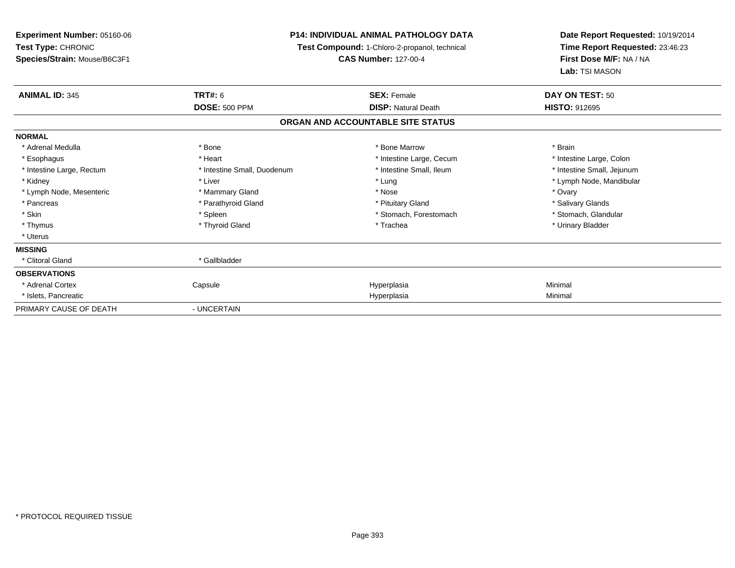**Experiment Number:** 05160-06**Test Type:** CHRONIC **Species/Strain:** Mouse/B6C3F1**P14: INDIVIDUAL ANIMAL PATHOLOGY DATA Test Compound:** 1-Chloro-2-propanol, technical **CAS Number:** 127-00-4**Date Report Requested:** 10/19/2014**Time Report Requested:** 23:46:23**First Dose M/F:** NA / NA**Lab:** TSI MASON**ANIMAL ID:** 345**TRT#:** 6 **SEX:** Female **DAY ON TEST:** 50 **DOSE:** 500 PPM**DISP:** Natural Death **HISTO:** 912695 **ORGAN AND ACCOUNTABLE SITE STATUSNORMAL**\* Adrenal Medulla \* \* Annual Medulla \* Brain \* Bone \* \* Bone Marrow \* Bone Marrow \* \* Brain \* Brain \* Brain \* Brain \* Brain \* Brain \* Brain \* Brain \* Brain \* Brain \* Brain \* Brain \* Brain \* Brain \* Brain \* Brain \* Brain \* \* Intestine Large, Colon \* Esophagus \* **Esophagus \* Intestine Large, Cecum \* Intestine Large, Cecum \* Intestine Large, Cecum \*** \* Intestine Large, Rectum \* Thestine Small, Duodenum \* Number of the small, Ileum \* Intestine Small, Jejunum \* Intestine Small, Jejunum \* Kidney \* Liver \* Lung \* Lymph Node, Mandibular \* Lymph Node, Mesenteric \* \* \* Mammary Gland \* \* Nose \* Nose \* \* Nose \* \* Nose \* Ovary \* Ovary \* Ovary \* Ovary \* Salivary Glands \* Pancreas \* And the section of the section of the section of the section of the section of the section of the section of the section of the section of the section of the section of the section of the section of the sectio \* Stomach, Glandular \* Skin \* Stomach, Forestomach \* Spleen \* Spleen \* Stomach, Forestomach \* Stomach, Forestomach \* Thymus \* Thyroid Gland \* Trachea \* Urinary Bladder \* \* Uterus**MISSING** \* Clitoral Gland \* Gallbladder**OBSERVATIONS** \* Adrenal Cortex Capsule Hyperplasia Minimal \* Islets, Pancreaticc description of the control of the control of the control of the control of the control of the control of the control of the control of the control of the control of the control of the control of the control of the contro a Minimal PRIMARY CAUSE OF DEATH- UNCERTAIN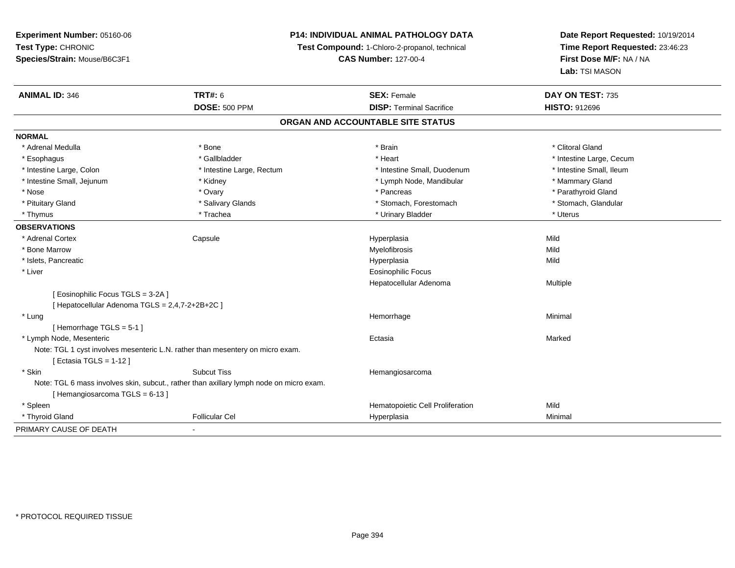# **P14: INDIVIDUAL ANIMAL PATHOLOGY DATA**

**Test Compound:** 1-Chloro-2-propanol, technical

**CAS Number:** 127-00-4

| <b>ANIMAL ID: 346</b>                                                          | <b>TRT#: 6</b>                                                                          | <b>SEX: Female</b>                | DAY ON TEST: 735         |
|--------------------------------------------------------------------------------|-----------------------------------------------------------------------------------------|-----------------------------------|--------------------------|
|                                                                                | <b>DOSE: 500 PPM</b>                                                                    | <b>DISP: Terminal Sacrifice</b>   | <b>HISTO: 912696</b>     |
|                                                                                |                                                                                         | ORGAN AND ACCOUNTABLE SITE STATUS |                          |
| <b>NORMAL</b>                                                                  |                                                                                         |                                   |                          |
| * Adrenal Medulla                                                              | * Bone                                                                                  | * Brain                           | * Clitoral Gland         |
| * Esophagus                                                                    | * Gallbladder                                                                           | * Heart                           | * Intestine Large, Cecum |
| * Intestine Large, Colon                                                       | * Intestine Large, Rectum                                                               | * Intestine Small, Duodenum       | * Intestine Small, Ileum |
| * Intestine Small, Jejunum                                                     | * Kidney                                                                                | * Lymph Node, Mandibular          | * Mammary Gland          |
| * Nose                                                                         | * Ovary                                                                                 | * Pancreas                        | * Parathyroid Gland      |
| * Pituitary Gland                                                              | * Salivary Glands                                                                       | * Stomach, Forestomach            | * Stomach, Glandular     |
| * Thymus                                                                       | * Trachea                                                                               | * Urinary Bladder                 | * Uterus                 |
| <b>OBSERVATIONS</b>                                                            |                                                                                         |                                   |                          |
| * Adrenal Cortex                                                               | Capsule                                                                                 | Hyperplasia                       | Mild                     |
| * Bone Marrow                                                                  |                                                                                         | Myelofibrosis                     | Mild                     |
| * Islets, Pancreatic                                                           |                                                                                         | Hyperplasia                       | Mild                     |
| * Liver                                                                        |                                                                                         | <b>Eosinophilic Focus</b>         |                          |
|                                                                                |                                                                                         | Hepatocellular Adenoma            | Multiple                 |
| [ Eosinophilic Focus TGLS = 3-2A ]                                             |                                                                                         |                                   |                          |
| [ Hepatocellular Adenoma TGLS = 2,4,7-2+2B+2C ]                                |                                                                                         |                                   |                          |
| * Lung                                                                         |                                                                                         | Hemorrhage                        | Minimal                  |
| [Hemorrhage TGLS = $5-1$ ]                                                     |                                                                                         |                                   |                          |
| * Lymph Node, Mesenteric                                                       |                                                                                         | Ectasia                           | Marked                   |
| Note: TGL 1 cyst involves mesenteric L.N. rather than mesentery on micro exam. |                                                                                         |                                   |                          |
| [ Ectasia TGLS = 1-12 ]                                                        |                                                                                         |                                   |                          |
| * Skin                                                                         | <b>Subcut Tiss</b>                                                                      | Hemangiosarcoma                   |                          |
|                                                                                | Note: TGL 6 mass involves skin, subcut., rather than axillary lymph node on micro exam. |                                   |                          |
| [Hemangiosarcoma TGLS = 6-13]                                                  |                                                                                         |                                   |                          |
| * Spleen                                                                       |                                                                                         | Hematopoietic Cell Proliferation  | Mild                     |
| * Thyroid Gland                                                                | <b>Follicular Cel</b>                                                                   | Hyperplasia                       | Minimal                  |
| PRIMARY CAUSE OF DEATH                                                         | $\blacksquare$                                                                          |                                   |                          |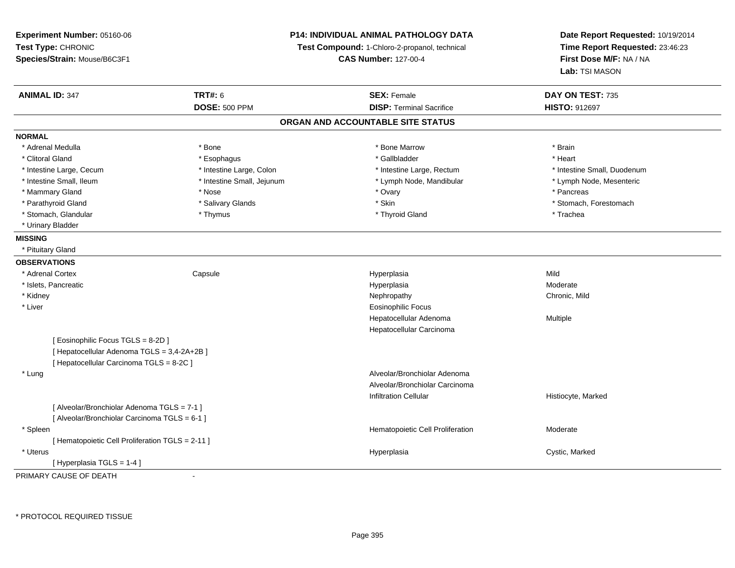| Experiment Number: 05160-06<br>Test Type: CHRONIC<br>Species/Strain: Mouse/B6C3F1 |                            | P14: INDIVIDUAL ANIMAL PATHOLOGY DATA<br>Test Compound: 1-Chloro-2-propanol, technical<br><b>CAS Number: 127-00-4</b> | Date Report Requested: 10/19/2014<br>Time Report Requested: 23:46:23<br>First Dose M/F: NA / NA<br>Lab: TSI MASON |
|-----------------------------------------------------------------------------------|----------------------------|-----------------------------------------------------------------------------------------------------------------------|-------------------------------------------------------------------------------------------------------------------|
| <b>ANIMAL ID: 347</b>                                                             | <b>TRT#: 6</b>             | <b>SEX: Female</b>                                                                                                    | DAY ON TEST: 735                                                                                                  |
|                                                                                   | <b>DOSE: 500 PPM</b>       | <b>DISP: Terminal Sacrifice</b>                                                                                       | <b>HISTO: 912697</b>                                                                                              |
|                                                                                   |                            | ORGAN AND ACCOUNTABLE SITE STATUS                                                                                     |                                                                                                                   |
| <b>NORMAL</b>                                                                     |                            |                                                                                                                       |                                                                                                                   |
| * Adrenal Medulla                                                                 | * Bone                     | * Bone Marrow                                                                                                         | * Brain                                                                                                           |
| * Clitoral Gland                                                                  | * Esophagus                | * Gallbladder                                                                                                         | * Heart                                                                                                           |
| * Intestine Large, Cecum                                                          | * Intestine Large, Colon   | * Intestine Large, Rectum                                                                                             | * Intestine Small, Duodenum                                                                                       |
| * Intestine Small, Ileum                                                          | * Intestine Small, Jejunum | * Lymph Node, Mandibular                                                                                              | * Lymph Node, Mesenteric                                                                                          |
| * Mammary Gland                                                                   | * Nose                     | * Ovary                                                                                                               | * Pancreas                                                                                                        |
| * Parathyroid Gland                                                               | * Salivary Glands          | * Skin                                                                                                                | * Stomach, Forestomach                                                                                            |
| * Stomach, Glandular                                                              | * Thymus                   | * Thyroid Gland                                                                                                       | * Trachea                                                                                                         |
| * Urinary Bladder                                                                 |                            |                                                                                                                       |                                                                                                                   |
| <b>MISSING</b>                                                                    |                            |                                                                                                                       |                                                                                                                   |
| * Pituitary Gland                                                                 |                            |                                                                                                                       |                                                                                                                   |
| <b>OBSERVATIONS</b>                                                               |                            |                                                                                                                       |                                                                                                                   |
| * Adrenal Cortex                                                                  | Capsule                    | Hyperplasia                                                                                                           | Mild                                                                                                              |
| * Islets, Pancreatic                                                              |                            | Hyperplasia                                                                                                           | Moderate                                                                                                          |
| * Kidney                                                                          |                            | Nephropathy                                                                                                           | Chronic, Mild                                                                                                     |
| * Liver                                                                           |                            | <b>Eosinophilic Focus</b>                                                                                             |                                                                                                                   |
|                                                                                   |                            | Hepatocellular Adenoma                                                                                                | Multiple                                                                                                          |
|                                                                                   |                            | Hepatocellular Carcinoma                                                                                              |                                                                                                                   |
| [ Eosinophilic Focus TGLS = 8-2D ]                                                |                            |                                                                                                                       |                                                                                                                   |
| [ Hepatocellular Adenoma TGLS = 3,4-2A+2B ]                                       |                            |                                                                                                                       |                                                                                                                   |
| [ Hepatocellular Carcinoma TGLS = 8-2C ]                                          |                            |                                                                                                                       |                                                                                                                   |
| * Lung                                                                            |                            | Alveolar/Bronchiolar Adenoma                                                                                          |                                                                                                                   |
|                                                                                   |                            | Alveolar/Bronchiolar Carcinoma                                                                                        |                                                                                                                   |
|                                                                                   |                            | <b>Infiltration Cellular</b>                                                                                          | Histiocyte, Marked                                                                                                |
| [ Alveolar/Bronchiolar Adenoma TGLS = 7-1 ]                                       |                            |                                                                                                                       |                                                                                                                   |
| [ Alveolar/Bronchiolar Carcinoma TGLS = 6-1 ]                                     |                            |                                                                                                                       |                                                                                                                   |
| * Spleen                                                                          |                            | Hematopoietic Cell Proliferation                                                                                      | Moderate                                                                                                          |
| [ Hematopoietic Cell Proliferation TGLS = 2-11 ]                                  |                            |                                                                                                                       |                                                                                                                   |
| * Uterus                                                                          |                            | Hyperplasia                                                                                                           | Cystic, Marked                                                                                                    |
| [Hyperplasia TGLS = 1-4]                                                          |                            |                                                                                                                       |                                                                                                                   |

PRIMARY CAUSE OF DEATH-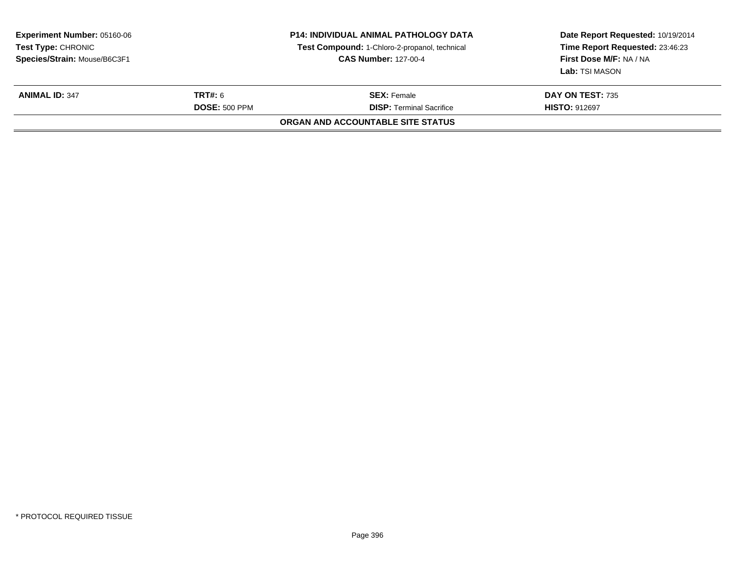| <b>Experiment Number: 05160-06</b><br>Test Type: CHRONIC<br>Species/Strain: Mouse/B6C3F1 |                                 | <b>P14: INDIVIDUAL ANIMAL PATHOLOGY DATA</b><br>Test Compound: 1-Chloro-2-propanol, technical<br><b>CAS Number: 127-00-4</b> | Date Report Requested: 10/19/2014<br>Time Report Requested: 23:46:23<br>First Dose M/F: NA / NA<br>Lab: TSI MASON |
|------------------------------------------------------------------------------------------|---------------------------------|------------------------------------------------------------------------------------------------------------------------------|-------------------------------------------------------------------------------------------------------------------|
| <b>ANIMAL ID: 347</b>                                                                    | TRT#: 6<br><b>DOSE: 500 PPM</b> | <b>SEX:</b> Female<br><b>DISP: Terminal Sacrifice</b>                                                                        | <b>DAY ON TEST: 735</b><br><b>HISTO: 912697</b>                                                                   |
|                                                                                          |                                 | ORGAN AND ACCOUNTABLE SITE STATUS                                                                                            |                                                                                                                   |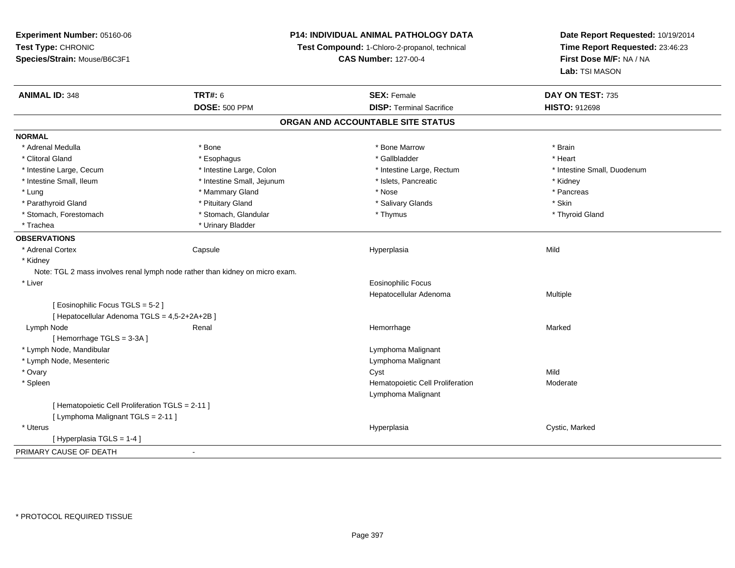**Experiment Number:** 05160-06**Test Type:** CHRONIC **Species/Strain:** Mouse/B6C3F1**P14: INDIVIDUAL ANIMAL PATHOLOGY DATATest Compound:** 1-Chloro-2-propanol, technical **CAS Number:** 127-00-4**Date Report Requested:** 10/19/2014**Time Report Requested:** 23:46:23**First Dose M/F:** NA / NA**Lab:** TSI MASON**ANIMAL ID:** 348**TRT#:** 6 **SEX:** Female **SEX: Female DAY ON TEST:** 735 **DOSE:** 500 PPM**DISP:** Terminal Sacrifice **HISTO:** 912698 **ORGAN AND ACCOUNTABLE SITE STATUSNORMAL**\* Adrenal Medulla \* \* Annual Medulla \* Brain \* Bone \* \* Bone Marrow \* Bone Marrow \* \* Brain \* Brain \* Brain \* Brain \* Brain \* Brain \* Brain \* Brain \* Brain \* Brain \* Brain \* Brain \* Brain \* Brain \* Brain \* Brain \* Brain \* \* Heart \* Clitoral Gland \* \* \* heart \* \* Esophagus \* \* \* \* \* \* \* \* \* \* \* Gallbladder \* \* \* \* \* \* \* \* \* \* \* \* Heart \* Intestine Large, Cecum \* Intestine Large, Colon \* Intestine Large, Rectum \* Intestine Small, Duodenum\* Intestine Small, Ileum \* Thestine Small, Jejunum \* 1998, Pancreatic \* Kidney \* Kidney \* Kidney \* Kidney \* Pancreas \* Lung \* Mammary Gland \* Nose \* Pancreas \* Parathyroid Gland \* \* Pituitary Gland \* Thuitary Gland \* Salivary Glands \* Stin \* Skin \* Skin \* Skin \* Skin \* Skin \* Skin \* Skin \* Skin \* Skin \* Skin \* Skin \* Skin \* Skin \* Skin \* Skin \* Skin \* Skin \* Skin \* Skin \* Skin \* Thyroid Gland \* Stomach, Forestomach \* Thymus \* Stomach, Glandular \* Thymus \* Thymus \* Thymus \* Thymus \* Thymus \* Thymus \* Thymus \* Thymus \* Thymus \* Thymus \* Thymus \* Thymus \* Thymus \* Thymus \* Thymus \* Thymus \* Thymus \* Thymus \* Thymu \* Trachea \* Urinary Bladder**OBSERVATIONS** \* Adrenal Cortex Capsule Hyperplasia Mild \* Kidney Note: TGL 2 mass involves renal lymph node rather than kidney on micro exam. \* Liver Eosinophilic Focus Hepatocellular Adenoma Multiple [ Eosinophilic Focus TGLS = 5-2 ][ Hepatocellular Adenoma TGLS = 4,5-2+2A+2B ] Lymph Nodee the second term of the Renal and the Marked Marked Marked (1990) and the Marked Marked Marked (1990) and the  $\mathbb{R}$ [ Hemorrhage TGLS = 3-3A ] \* Lymph Node, Mandibular Lymphoma Malignant \* Lymph Node, Mesenteric Lymphoma Malignant \* Ovaryy and the control of the control of the control of the control of the control of the control of the control of the control of the control of the control of the control of the control of the control of the control of the co Moderate \* SpleenHematopoietic Cell Proliferation Lymphoma Malignant[ Hematopoietic Cell Proliferation TGLS = 2-11 ][ Lymphoma Malignant TGLS = 2-11 ] \* Uteruss and the contract of the contract of the contract of the contract of the contract of the contract of the contract of the contract of the contract of the contract of the contract of the contract of the contract of the cont Hyperplasia **Cystic, Marked** [ Hyperplasia TGLS = 1-4 ]PRIMARY CAUSE OF DEATH-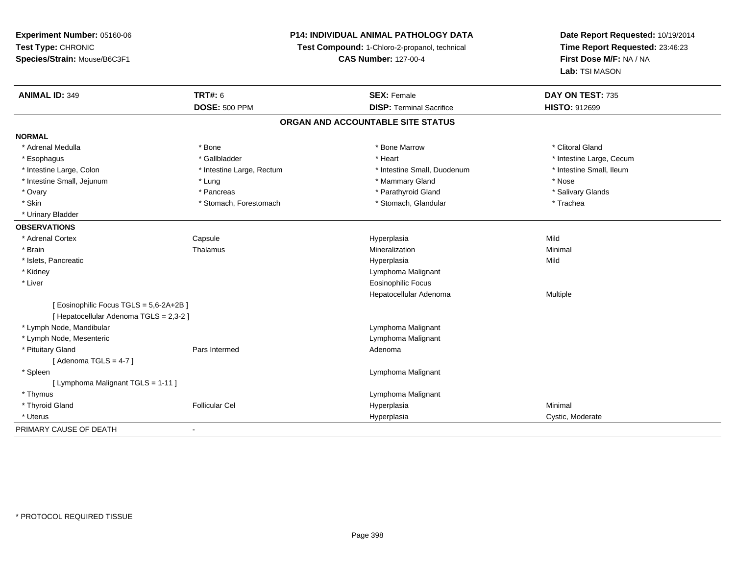# **P14: INDIVIDUAL ANIMAL PATHOLOGY DATA**

**Test Compound:** 1-Chloro-2-propanol, technical

**CAS Number:** 127-00-4

| <b>ANIMAL ID: 349</b>                   | <b>TRT#: 6</b>            | <b>SEX: Female</b>                | DAY ON TEST: 735         |
|-----------------------------------------|---------------------------|-----------------------------------|--------------------------|
|                                         | <b>DOSE: 500 PPM</b>      | <b>DISP: Terminal Sacrifice</b>   | <b>HISTO: 912699</b>     |
|                                         |                           | ORGAN AND ACCOUNTABLE SITE STATUS |                          |
| <b>NORMAL</b>                           |                           |                                   |                          |
| * Adrenal Medulla                       | * Bone                    | * Bone Marrow                     | * Clitoral Gland         |
| * Esophagus                             | * Gallbladder             | * Heart                           | * Intestine Large, Cecum |
| * Intestine Large, Colon                | * Intestine Large, Rectum | * Intestine Small, Duodenum       | * Intestine Small, Ileum |
| * Intestine Small, Jejunum              | * Lung                    | * Mammary Gland                   | * Nose                   |
| * Ovary                                 | * Pancreas                | * Parathyroid Gland               | * Salivary Glands        |
| * Skin                                  | * Stomach, Forestomach    | * Stomach, Glandular              | * Trachea                |
| * Urinary Bladder                       |                           |                                   |                          |
| <b>OBSERVATIONS</b>                     |                           |                                   |                          |
| * Adrenal Cortex                        | Capsule                   | Hyperplasia                       | Mild                     |
| * Brain                                 | Thalamus                  | Mineralization                    | Minimal                  |
| * Islets, Pancreatic                    |                           | Hyperplasia                       | Mild                     |
| * Kidney                                |                           | Lymphoma Malignant                |                          |
| * Liver                                 |                           | <b>Eosinophilic Focus</b>         |                          |
|                                         |                           | Hepatocellular Adenoma            | Multiple                 |
| [ Eosinophilic Focus TGLS = 5,6-2A+2B ] |                           |                                   |                          |
| [ Hepatocellular Adenoma TGLS = 2,3-2 ] |                           |                                   |                          |
| * Lymph Node, Mandibular                |                           | Lymphoma Malignant                |                          |
| * Lymph Node, Mesenteric                |                           | Lymphoma Malignant                |                          |
| * Pituitary Gland                       | Pars Intermed             | Adenoma                           |                          |
| [Adenoma TGLS = $4-7$ ]                 |                           |                                   |                          |
| * Spleen                                |                           | Lymphoma Malignant                |                          |
| [ Lymphoma Malignant TGLS = 1-11 ]      |                           |                                   |                          |
| * Thymus                                |                           | Lymphoma Malignant                |                          |
| * Thyroid Gland                         | <b>Follicular Cel</b>     | Hyperplasia                       | Minimal                  |
| * Uterus                                |                           | Hyperplasia                       | Cystic, Moderate         |
| PRIMARY CAUSE OF DEATH                  | $\overline{\phantom{a}}$  |                                   |                          |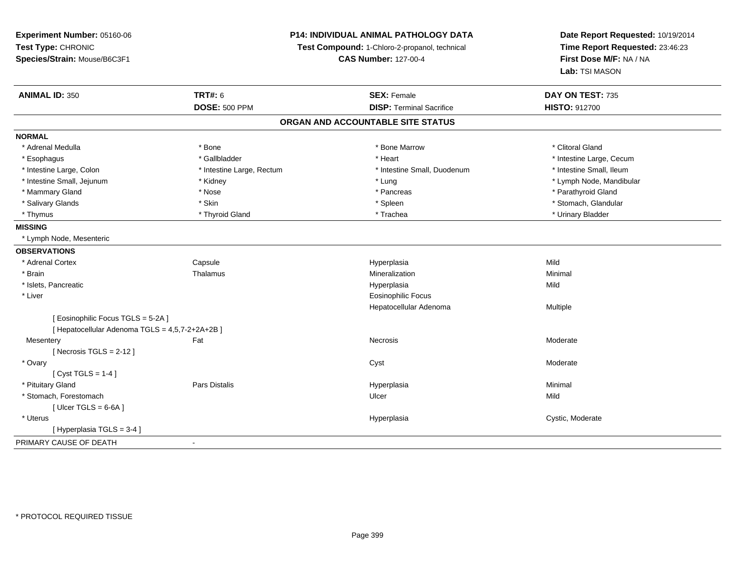**Experiment Number:** 05160-06**Test Type:** CHRONIC **Species/Strain:** Mouse/B6C3F1**P14: INDIVIDUAL ANIMAL PATHOLOGY DATATest Compound:** 1-Chloro-2-propanol, technical **CAS Number:** 127-00-4**Date Report Requested:** 10/19/2014**Time Report Requested:** 23:46:23**First Dose M/F:** NA / NA**Lab:** TSI MASON**ANIMAL ID:** 350**C TRT#:** 6 **SEX:** Female **SEX: Female DAY ON TEST:** 735 **DOSE:** 500 PPM**DISP:** Terminal Sacrifice **HISTO:** 912700 **ORGAN AND ACCOUNTABLE SITE STATUSNORMAL**\* Adrenal Medulla \* The state of the state of the state of the state of the Marrow \* Bone Marrow \* Clitoral Gland \* Clitoral Gland \* Esophagus \* https://www.fragustage.com/web/2019/heart \* Heart \* Heart \* Heart \* Intestine Large, Cecum \* Intestine Large, Cecum \* Sallbladder \* The state of the state of the state of the state of the state of the state o \* Intestine Small, Ileum \* Intestine Large, Colon \* Intestine Large, Rectum \* Intestine Small, Duodenum \* Intestine Small, Duodenum \* Intestine Small, Jejunum \* Kidney \* Lung \* Lymph Node, Mandibular\* Mammary Gland \* \* Nose \* \* Nose \* \* Pancreas \* Pancreas \* \* Pancreas \* \* Pancreas \* \* Pancreas \* \* Parathyroid Gland \* Salivary Glands \* The store of the state of the state of the state of the state of the store of the store of the store of the store of the store of the store of the store of the store of the store of the store of the sto \* Thymus \* Thyroid Gland \* Trachea \* Urinary Bladder \* **MISSING** \* Lymph Node, Mesenteric**OBSERVATIONS** \* Adrenal Cortex**Capsule**  Hyperplasia Mild \* Brainn and the matter of the Thalamus and the Minimal of the Minimal of the Minimal of the Minimal of the Minimal o<br>Thalamus and the Minimal of the Minimal of the Minimal of the Minimal of the Minimal of the Minimal of the Min \* Islets, Pancreaticc and the control of the control of the control of the control of the control of the control of the control of the control of the control of the control of the control of the control of the control of the control of the co a Mild \* Liver Eosinophilic Focus Hepatocellular Adenoma Multiple [ Eosinophilic Focus TGLS = 5-2A ][ Hepatocellular Adenoma TGLS = 4,5,7-2+2A+2B ] Mesenteryy the control of the set of the control of the Moderate of the Moderate of the Moderate of the Moderate of the Moderate of the Moderate of the Moderate of the Moderate of the Moderate of the Moderate of the Moderate of the  $[$  Necrosis TGLS = 2-12  $]$  \* Ovaryy the control of the control of the control of the control of the control of the control of the control of the control of the control of the control of the control of the control of the control of the control of the contro  $[$  Cyst TGLS = 1-4  $]$  \* Pituitary Gland Pars Distalis Hyperplasia Minimal \* Stomach, Forestomachh ann an t-Iomraid ann an t-Iomraid ann an t-Iomraid ann an t-Iomraid ann an t-Iomraid ann an t-Iomraid ann an<br>Iomraid an t-Iomraid ann an t-Iomraid ann an t-Iomraid ann an t-Iomraid ann an t-Iomraid ann an t-Iomraid ann  $[$  Ulcer TGLS = 6-6A  $]$  \* Uteruss and the contract of the contract of the contract of the contract of the contract of the contract of the contract of the contract of the contract of the contract of the contract of the contract of the contract of the cont Hyperplasia **Cystic, Moderate** [ Hyperplasia TGLS = 3-4 ]PRIMARY CAUSE OF DEATH-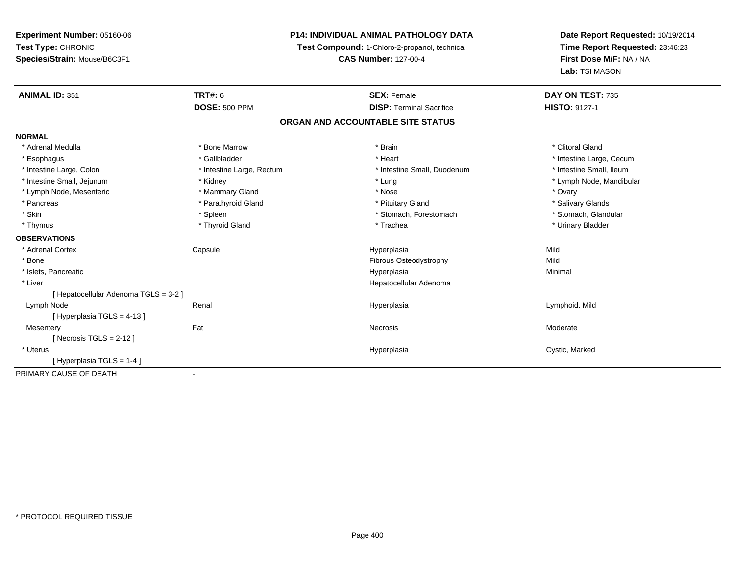# **P14: INDIVIDUAL ANIMAL PATHOLOGY DATA**

**Test Compound:** 1-Chloro-2-propanol, technical

**CAS Number:** 127-00-4

| <b>ANIMAL ID: 351</b>               | <b>TRT#: 6</b>            | <b>SEX: Female</b>                | DAY ON TEST: 735         |
|-------------------------------------|---------------------------|-----------------------------------|--------------------------|
|                                     | <b>DOSE: 500 PPM</b>      | <b>DISP: Terminal Sacrifice</b>   | <b>HISTO: 9127-1</b>     |
|                                     |                           | ORGAN AND ACCOUNTABLE SITE STATUS |                          |
| <b>NORMAL</b>                       |                           |                                   |                          |
| * Adrenal Medulla                   | * Bone Marrow             | * Brain                           | * Clitoral Gland         |
| * Esophagus                         | * Gallbladder             | * Heart                           | * Intestine Large, Cecum |
| * Intestine Large, Colon            | * Intestine Large, Rectum | * Intestine Small, Duodenum       | * Intestine Small, Ileum |
| * Intestine Small, Jejunum          | * Kidney                  | * Lung                            | * Lymph Node, Mandibular |
| * Lymph Node, Mesenteric            | * Mammary Gland           | * Nose                            | * Ovary                  |
| * Pancreas                          | * Parathyroid Gland       | * Pituitary Gland                 | * Salivary Glands        |
| * Skin                              | * Spleen                  | * Stomach, Forestomach            | * Stomach, Glandular     |
| * Thymus                            | * Thyroid Gland           | * Trachea                         | * Urinary Bladder        |
| <b>OBSERVATIONS</b>                 |                           |                                   |                          |
| * Adrenal Cortex                    | Capsule                   | Hyperplasia                       | Mild                     |
| * Bone                              |                           | <b>Fibrous Osteodystrophy</b>     | Mild                     |
| * Islets, Pancreatic                |                           | Hyperplasia                       | Minimal                  |
| * Liver                             |                           | Hepatocellular Adenoma            |                          |
| [Hepatocellular Adenoma TGLS = 3-2] |                           |                                   |                          |
| Lymph Node                          | Renal                     | Hyperplasia                       | Lymphoid, Mild           |
| [Hyperplasia TGLS = 4-13]           |                           |                                   |                          |
| Mesentery                           | Fat                       | Necrosis                          | Moderate                 |
| [Necrosis TGLS = $2-12$ ]           |                           |                                   |                          |
| * Uterus                            |                           | Hyperplasia                       | Cystic, Marked           |
| [Hyperplasia TGLS = 1-4]            |                           |                                   |                          |
| PRIMARY CAUSE OF DEATH              |                           |                                   |                          |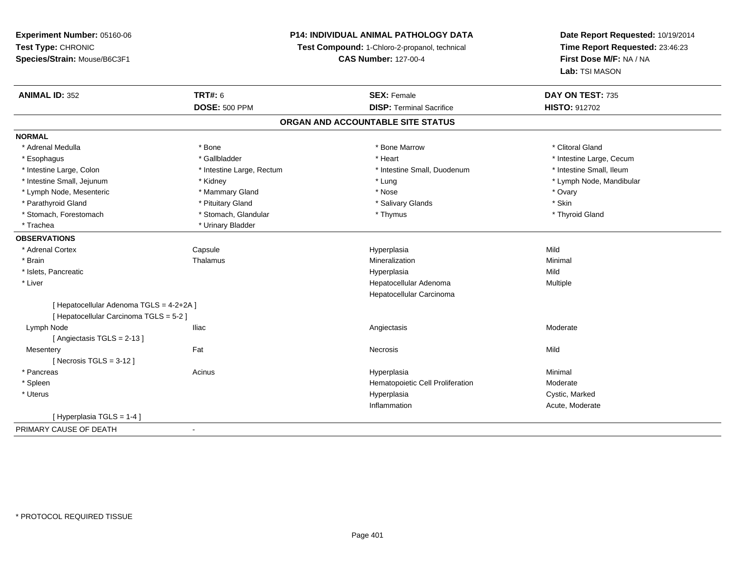# **P14: INDIVIDUAL ANIMAL PATHOLOGY DATA**

**Test Compound:** 1-Chloro-2-propanol, technical

**CAS Number:** 127-00-4

| <b>ANIMAL ID: 352</b>                    | <b>TRT#: 6</b>            | <b>SEX: Female</b>                | DAY ON TEST: 735         |
|------------------------------------------|---------------------------|-----------------------------------|--------------------------|
|                                          | <b>DOSE: 500 PPM</b>      | <b>DISP: Terminal Sacrifice</b>   | <b>HISTO: 912702</b>     |
|                                          |                           | ORGAN AND ACCOUNTABLE SITE STATUS |                          |
| <b>NORMAL</b>                            |                           |                                   |                          |
| * Adrenal Medulla                        | * Bone                    | * Bone Marrow                     | * Clitoral Gland         |
| * Esophagus                              | * Gallbladder             | * Heart                           | * Intestine Large, Cecum |
| * Intestine Large, Colon                 | * Intestine Large, Rectum | * Intestine Small, Duodenum       | * Intestine Small, Ileum |
| * Intestine Small, Jejunum               | * Kidney                  | * Lung                            | * Lymph Node, Mandibular |
| * Lymph Node, Mesenteric                 | * Mammary Gland           | * Nose                            | * Ovary                  |
| * Parathyroid Gland                      | * Pituitary Gland         | * Salivary Glands                 | * Skin                   |
| * Stomach, Forestomach                   | * Stomach, Glandular      | * Thymus                          | * Thyroid Gland          |
| * Trachea                                | * Urinary Bladder         |                                   |                          |
| <b>OBSERVATIONS</b>                      |                           |                                   |                          |
| * Adrenal Cortex                         | Capsule                   | Hyperplasia                       | Mild                     |
| * Brain                                  | Thalamus                  | Mineralization                    | Minimal                  |
| * Islets, Pancreatic                     |                           | Hyperplasia                       | Mild                     |
| * Liver                                  |                           | Hepatocellular Adenoma            | Multiple                 |
|                                          |                           | Hepatocellular Carcinoma          |                          |
| [ Hepatocellular Adenoma TGLS = 4-2+2A ] |                           |                                   |                          |
| [ Hepatocellular Carcinoma TGLS = 5-2 ]  |                           |                                   |                          |
| Lymph Node                               | <b>Iliac</b>              | Angiectasis                       | Moderate                 |
| [Angiectasis TGLS = 2-13]                |                           |                                   |                          |
| Mesentery                                | Fat                       | Necrosis                          | Mild                     |
| [ Necrosis $TGLS = 3-12$ ]               |                           |                                   |                          |
| * Pancreas                               | Acinus                    | Hyperplasia                       | Minimal                  |
| * Spleen                                 |                           | Hematopoietic Cell Proliferation  | Moderate                 |
| * Uterus                                 |                           | Hyperplasia                       | Cystic, Marked           |
|                                          |                           | Inflammation                      | Acute, Moderate          |
| [Hyperplasia TGLS = 1-4]                 |                           |                                   |                          |
| PRIMARY CAUSE OF DEATH                   | $\overline{\phantom{a}}$  |                                   |                          |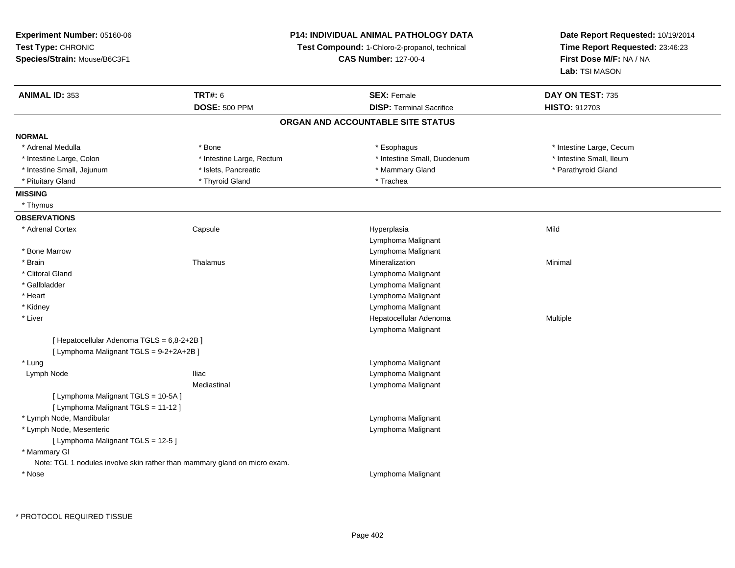| Experiment Number: 05160-06                |                                                                           | P14: INDIVIDUAL ANIMAL PATHOLOGY DATA         | Date Report Requested: 10/19/2014<br>Time Report Requested: 23:46:23 |  |
|--------------------------------------------|---------------------------------------------------------------------------|-----------------------------------------------|----------------------------------------------------------------------|--|
| Test Type: CHRONIC                         |                                                                           | Test Compound: 1-Chloro-2-propanol, technical |                                                                      |  |
| Species/Strain: Mouse/B6C3F1               |                                                                           | <b>CAS Number: 127-00-4</b>                   | First Dose M/F: NA / NA                                              |  |
|                                            |                                                                           |                                               | Lab: TSI MASON                                                       |  |
| <b>ANIMAL ID: 353</b>                      | <b>TRT#: 6</b>                                                            | <b>SEX: Female</b>                            | DAY ON TEST: 735                                                     |  |
|                                            | <b>DOSE: 500 PPM</b>                                                      | <b>DISP: Terminal Sacrifice</b>               | HISTO: 912703                                                        |  |
|                                            |                                                                           | ORGAN AND ACCOUNTABLE SITE STATUS             |                                                                      |  |
| <b>NORMAL</b>                              |                                                                           |                                               |                                                                      |  |
| * Adrenal Medulla                          | * Bone                                                                    | * Esophagus                                   | * Intestine Large, Cecum                                             |  |
| * Intestine Large, Colon                   | * Intestine Large, Rectum                                                 | * Intestine Small, Duodenum                   | * Intestine Small, Ileum                                             |  |
| * Intestine Small, Jejunum                 | * Islets, Pancreatic                                                      | * Mammary Gland                               | * Parathyroid Gland                                                  |  |
| * Pituitary Gland                          | * Thyroid Gland                                                           | * Trachea                                     |                                                                      |  |
| <b>MISSING</b>                             |                                                                           |                                               |                                                                      |  |
| * Thymus                                   |                                                                           |                                               |                                                                      |  |
| <b>OBSERVATIONS</b>                        |                                                                           |                                               |                                                                      |  |
| * Adrenal Cortex                           | Capsule                                                                   | Hyperplasia                                   | Mild                                                                 |  |
|                                            |                                                                           | Lymphoma Malignant                            |                                                                      |  |
| * Bone Marrow                              |                                                                           | Lymphoma Malignant                            |                                                                      |  |
| * Brain                                    | Thalamus                                                                  | Mineralization                                | Minimal                                                              |  |
| * Clitoral Gland                           |                                                                           | Lymphoma Malignant                            |                                                                      |  |
| * Gallbladder                              |                                                                           | Lymphoma Malignant                            |                                                                      |  |
| * Heart                                    |                                                                           | Lymphoma Malignant                            |                                                                      |  |
| * Kidney                                   |                                                                           | Lymphoma Malignant                            |                                                                      |  |
| $*$ Liver                                  |                                                                           | Hepatocellular Adenoma                        | Multiple                                                             |  |
|                                            |                                                                           | Lymphoma Malignant                            |                                                                      |  |
| [ Hepatocellular Adenoma TGLS = 6,8-2+2B ] |                                                                           |                                               |                                                                      |  |
| [ Lymphoma Malignant TGLS = 9-2+2A+2B ]    |                                                                           |                                               |                                                                      |  |
| * Lung                                     |                                                                           | Lymphoma Malignant                            |                                                                      |  |
| Lymph Node                                 | Iliac                                                                     | Lymphoma Malignant                            |                                                                      |  |
|                                            | Mediastinal                                                               | Lymphoma Malignant                            |                                                                      |  |
| [ Lymphoma Malignant TGLS = 10-5A]         |                                                                           |                                               |                                                                      |  |
| [ Lymphoma Malignant TGLS = 11-12 ]        |                                                                           |                                               |                                                                      |  |
| * Lymph Node, Mandibular                   |                                                                           | Lymphoma Malignant                            |                                                                      |  |
| * Lymph Node, Mesenteric                   |                                                                           | Lymphoma Malignant                            |                                                                      |  |
| [ Lymphoma Malignant TGLS = 12-5 ]         |                                                                           |                                               |                                                                      |  |
| * Mammary GI                               |                                                                           |                                               |                                                                      |  |
|                                            | Note: TGL 1 nodules involve skin rather than mammary gland on micro exam. |                                               |                                                                      |  |
| * Nose                                     |                                                                           | Lymphoma Malignant                            |                                                                      |  |
|                                            |                                                                           |                                               |                                                                      |  |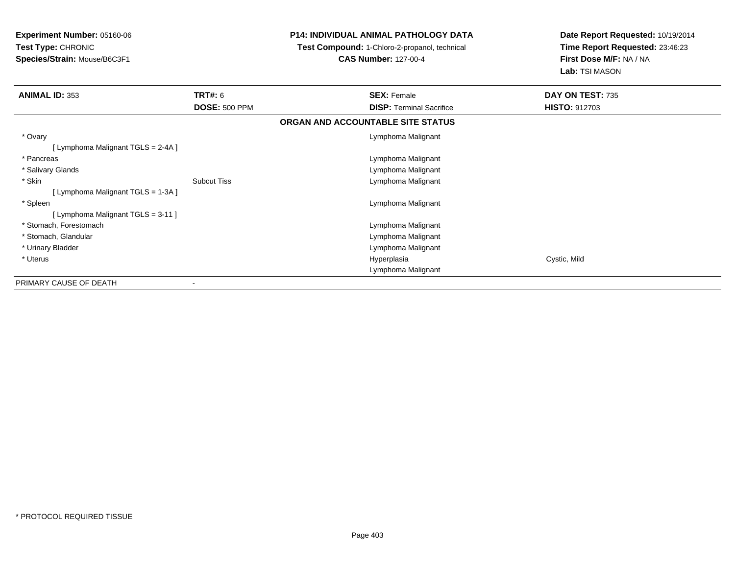| Experiment Number: 05160-06<br>Test Type: CHRONIC |                      | <b>P14: INDIVIDUAL ANIMAL PATHOLOGY DATA</b>  | Date Report Requested: 10/19/2014<br>Time Report Requested: 23:46:23 |
|---------------------------------------------------|----------------------|-----------------------------------------------|----------------------------------------------------------------------|
|                                                   |                      | Test Compound: 1-Chloro-2-propanol, technical |                                                                      |
| Species/Strain: Mouse/B6C3F1                      |                      | <b>CAS Number: 127-00-4</b>                   | First Dose M/F: NA / NA                                              |
|                                                   |                      |                                               | Lab: TSI MASON                                                       |
| <b>ANIMAL ID: 353</b>                             | <b>TRT#: 6</b>       | <b>SEX: Female</b>                            | DAY ON TEST: 735                                                     |
|                                                   | <b>DOSE: 500 PPM</b> | <b>DISP:</b> Terminal Sacrifice               | <b>HISTO: 912703</b>                                                 |
|                                                   |                      | ORGAN AND ACCOUNTABLE SITE STATUS             |                                                                      |
| * Ovary                                           |                      | Lymphoma Malignant                            |                                                                      |
| [ Lymphoma Malignant TGLS = 2-4A ]                |                      |                                               |                                                                      |
| * Pancreas                                        |                      | Lymphoma Malignant                            |                                                                      |
| * Salivary Glands                                 |                      | Lymphoma Malignant                            |                                                                      |
| * Skin                                            | <b>Subcut Tiss</b>   | Lymphoma Malignant                            |                                                                      |
| [ Lymphoma Malignant TGLS = 1-3A ]                |                      |                                               |                                                                      |
| * Spleen                                          |                      | Lymphoma Malignant                            |                                                                      |
| [ Lymphoma Malignant TGLS = 3-11 ]                |                      |                                               |                                                                      |
| * Stomach, Forestomach                            |                      | Lymphoma Malignant                            |                                                                      |
| * Stomach, Glandular                              |                      | Lymphoma Malignant                            |                                                                      |
| * Urinary Bladder                                 |                      | Lymphoma Malignant                            |                                                                      |
| * Uterus                                          |                      | Hyperplasia                                   | Cystic, Mild                                                         |
|                                                   |                      | Lymphoma Malignant                            |                                                                      |
| PRIMARY CAUSE OF DEATH                            |                      |                                               |                                                                      |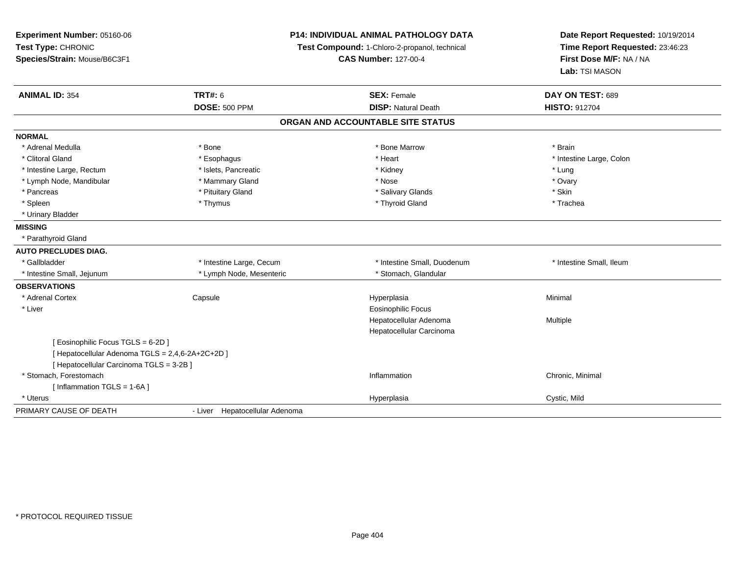| Experiment Number: 05160-06<br>Test Type: CHRONIC<br>Species/Strain: Mouse/B6C3F1 |                                | <b>P14: INDIVIDUAL ANIMAL PATHOLOGY DATA</b><br>Test Compound: 1-Chloro-2-propanol, technical<br><b>CAS Number: 127-00-4</b> | Date Report Requested: 10/19/2014<br>Time Report Requested: 23:46:23<br>First Dose M/F: NA / NA<br>Lab: TSI MASON |  |
|-----------------------------------------------------------------------------------|--------------------------------|------------------------------------------------------------------------------------------------------------------------------|-------------------------------------------------------------------------------------------------------------------|--|
| <b>ANIMAL ID: 354</b>                                                             | <b>TRT#: 6</b>                 | <b>SEX: Female</b>                                                                                                           | DAY ON TEST: 689                                                                                                  |  |
|                                                                                   | <b>DOSE: 500 PPM</b>           | <b>DISP: Natural Death</b>                                                                                                   | <b>HISTO: 912704</b>                                                                                              |  |
|                                                                                   |                                | ORGAN AND ACCOUNTABLE SITE STATUS                                                                                            |                                                                                                                   |  |
| <b>NORMAL</b>                                                                     |                                |                                                                                                                              |                                                                                                                   |  |
| * Adrenal Medulla                                                                 | * Bone                         | * Bone Marrow                                                                                                                | * Brain                                                                                                           |  |
| * Clitoral Gland                                                                  | * Esophagus                    | * Heart                                                                                                                      | * Intestine Large, Colon                                                                                          |  |
| * Intestine Large, Rectum                                                         | * Islets, Pancreatic           | * Kidney                                                                                                                     | * Lung                                                                                                            |  |
| * Lymph Node, Mandibular                                                          | * Mammary Gland                | * Nose                                                                                                                       | * Ovary                                                                                                           |  |
| * Pancreas                                                                        | * Pituitary Gland              | * Salivary Glands                                                                                                            | * Skin                                                                                                            |  |
| * Spleen                                                                          | * Thymus                       | * Thyroid Gland                                                                                                              | * Trachea                                                                                                         |  |
| * Urinary Bladder                                                                 |                                |                                                                                                                              |                                                                                                                   |  |
| <b>MISSING</b>                                                                    |                                |                                                                                                                              |                                                                                                                   |  |
| * Parathyroid Gland                                                               |                                |                                                                                                                              |                                                                                                                   |  |
| <b>AUTO PRECLUDES DIAG.</b>                                                       |                                |                                                                                                                              |                                                                                                                   |  |
| * Gallbladder                                                                     | * Intestine Large, Cecum       | * Intestine Small, Duodenum                                                                                                  | * Intestine Small, Ileum                                                                                          |  |
| * Intestine Small, Jejunum                                                        | * Lymph Node, Mesenteric       | * Stomach, Glandular                                                                                                         |                                                                                                                   |  |
| <b>OBSERVATIONS</b>                                                               |                                |                                                                                                                              |                                                                                                                   |  |
| * Adrenal Cortex                                                                  | Capsule                        | Hyperplasia                                                                                                                  | Minimal                                                                                                           |  |
| * Liver                                                                           |                                | <b>Eosinophilic Focus</b>                                                                                                    |                                                                                                                   |  |
|                                                                                   |                                | Hepatocellular Adenoma                                                                                                       | Multiple                                                                                                          |  |
|                                                                                   |                                | Hepatocellular Carcinoma                                                                                                     |                                                                                                                   |  |
| [ Eosinophilic Focus TGLS = 6-2D ]                                                |                                |                                                                                                                              |                                                                                                                   |  |
| [ Hepatocellular Adenoma TGLS = 2,4,6-2A+2C+2D ]                                  |                                |                                                                                                                              |                                                                                                                   |  |
| [ Hepatocellular Carcinoma TGLS = 3-2B ]                                          |                                |                                                                                                                              |                                                                                                                   |  |
| * Stomach, Forestomach                                                            |                                | Inflammation                                                                                                                 | Chronic, Minimal                                                                                                  |  |
| [ Inflammation TGLS = 1-6A ]                                                      |                                |                                                                                                                              |                                                                                                                   |  |
| * Uterus                                                                          |                                | Hyperplasia                                                                                                                  | Cystic, Mild                                                                                                      |  |
| PRIMARY CAUSE OF DEATH                                                            | - Liver Hepatocellular Adenoma |                                                                                                                              |                                                                                                                   |  |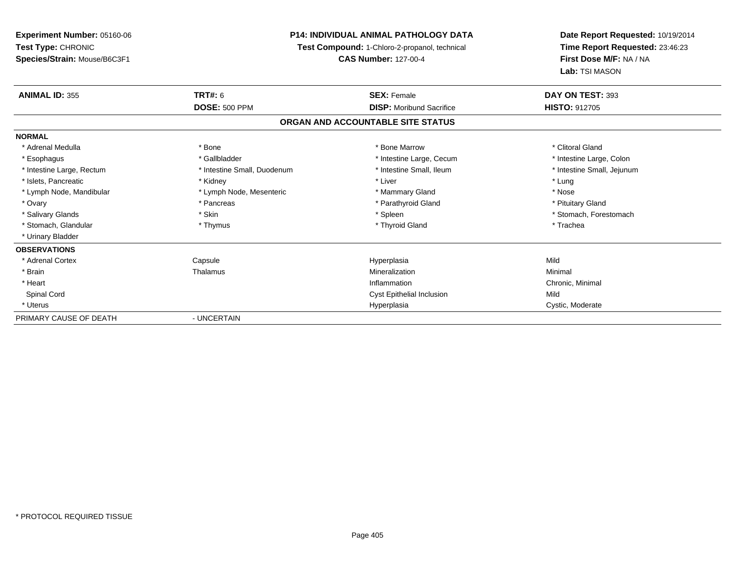**Experiment Number:** 05160-06**Test Type:** CHRONIC **Species/Strain:** Mouse/B6C3F1**P14: INDIVIDUAL ANIMAL PATHOLOGY DATA Test Compound:** 1-Chloro-2-propanol, technical **CAS Number:** 127-00-4**Date Report Requested:** 10/19/2014**Time Report Requested:** 23:46:23**First Dose M/F:** NA / NA**Lab:** TSI MASON**ANIMAL ID:** 355**TRT#:** 6 **SEX:** Female **SEX: Female DAY ON TEST:** 393 **DOSE:** 500 PPM **DISP:** Moribund Sacrifice **HISTO:** <sup>912705</sup> **ORGAN AND ACCOUNTABLE SITE STATUSNORMAL**\* Adrenal Medulla \* The state of the state of the state of the state of the Marrow \* Bone Marrow \* Clitoral Gland \* Clitoral Gland \* Intestine Large, Colon \* Esophagus \* Intestine Large, Cecum \* Callbladder \* 10 \* Intestine Large, Cecum \* Intestine Large, Cecum \* \* Intestine Small, Jejunum \* Intestine Large, Rectum \* Intestine Small, Duodenum \* Intestine Small, Ileum \* Intestine Small, Ileum \* Islets, Pancreatic \* The method of the "Kidney" \* Kidney \* Liver \* Liver \* Liver \* Liver \* Lung \* Lung \* Nose \* Lymph Node, Mandibular \* Lymph Node, Mesenteric \* Mammary Gland \* Mammary Gland \* Pituitary Gland \* Ovary \* Pancreas \* Pancreas \* Pancreas \* Parathyroid Gland \* Parathyroid Gland \* Salivary Glands \* The stomach \* Skin \* Spleen \* Spleen \* Stomach, Forestomach \* Stomach, Forestomach \* Stomach, Forestomach \* Stomach, Glandular \* Thymus \* Thymus \* Thymus \* Thyroid Gland \* Thyroid Gland \* Thachea \* Urinary Bladder**OBSERVATIONS** \* Adrenal Cortex Capsule Hyperplasia Mild \* Brainn and the Thalamus and the Minimal and Mineralization and Minimal Minimal and Minimal and Minimal and Minimal  $\mu$  \* Heartt the contract of the contract of the contract of the contract of the contract of the contract of the contract of the contract of the contract of the contract of the contract of the contract of the contract of the contract Inflammation Chronic, Minimal Spinal CordCyst Epithelial Inclusion Mild \* Uteruss and the contract of the contract of the contract of the contract of the contract of the contract of the contract of the contract of the contract of the contract of the contract of the contract of the contract of the cont Hyperplasia **Cystic, Moderate** PRIMARY CAUSE OF DEATH- UNCERTAIN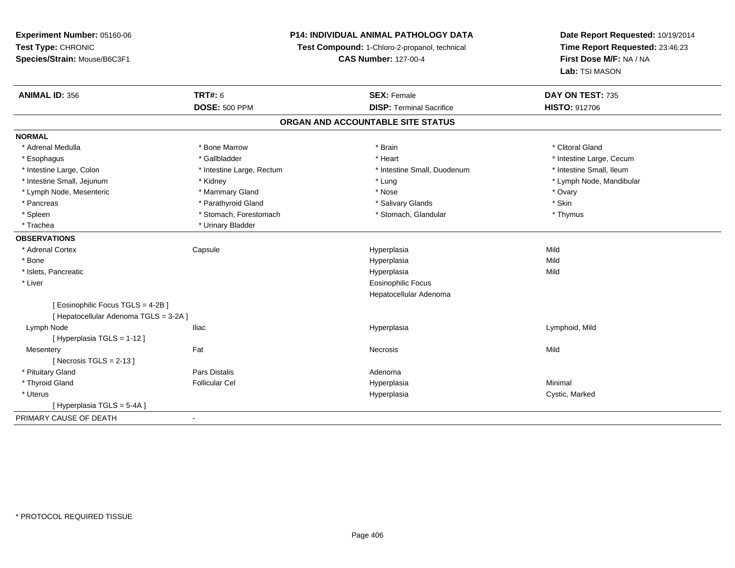# **P14: INDIVIDUAL ANIMAL PATHOLOGY DATA**

**Test Compound:** 1-Chloro-2-propanol, technical

**CAS Number:** 127-00-4

| <b>ANIMAL ID: 356</b>                  | TRT#: 6                   | <b>SEX: Female</b>                | DAY ON TEST: 735         |
|----------------------------------------|---------------------------|-----------------------------------|--------------------------|
|                                        | <b>DOSE: 500 PPM</b>      | <b>DISP: Terminal Sacrifice</b>   | <b>HISTO: 912706</b>     |
|                                        |                           | ORGAN AND ACCOUNTABLE SITE STATUS |                          |
| <b>NORMAL</b>                          |                           |                                   |                          |
| * Adrenal Medulla                      | * Bone Marrow             | * Brain                           | * Clitoral Gland         |
| * Esophagus                            | * Gallbladder             | * Heart                           | * Intestine Large, Cecum |
| * Intestine Large, Colon               | * Intestine Large, Rectum | * Intestine Small. Duodenum       | * Intestine Small, Ileum |
| * Intestine Small, Jejunum             | * Kidney                  | * Lung                            | * Lymph Node, Mandibular |
| * Lymph Node, Mesenteric               | * Mammary Gland           | * Nose                            | * Ovary                  |
| * Pancreas                             | * Parathyroid Gland       | * Salivary Glands                 | * Skin                   |
| * Spleen                               | * Stomach, Forestomach    | * Stomach, Glandular              | * Thymus                 |
| * Trachea                              | * Urinary Bladder         |                                   |                          |
| <b>OBSERVATIONS</b>                    |                           |                                   |                          |
| * Adrenal Cortex                       | Capsule                   | Hyperplasia                       | Mild                     |
| * Bone                                 |                           | Hyperplasia                       | Mild                     |
| * Islets, Pancreatic                   |                           | Hyperplasia                       | Mild                     |
| * Liver                                |                           | <b>Eosinophilic Focus</b>         |                          |
|                                        |                           | Hepatocellular Adenoma            |                          |
| [ Eosinophilic Focus TGLS = 4-2B ]     |                           |                                   |                          |
| [ Hepatocellular Adenoma TGLS = 3-2A ] |                           |                                   |                          |
| Lymph Node                             | <b>Iliac</b>              | Hyperplasia                       | Lymphoid, Mild           |
| [Hyperplasia TGLS = 1-12]              |                           |                                   |                          |
| Mesentery                              | Fat                       | Necrosis                          | Mild                     |
| [Necrosis TGLS = $2-13$ ]              |                           |                                   |                          |
| * Pituitary Gland                      | Pars Distalis             | Adenoma                           |                          |
| * Thyroid Gland                        | <b>Follicular Cel</b>     | Hyperplasia                       | Minimal                  |
| * Uterus                               |                           | Hyperplasia                       | Cystic, Marked           |
| [Hyperplasia TGLS = 5-4A]              |                           |                                   |                          |
| PRIMARY CAUSE OF DEATH                 | $\blacksquare$            |                                   |                          |
|                                        |                           |                                   |                          |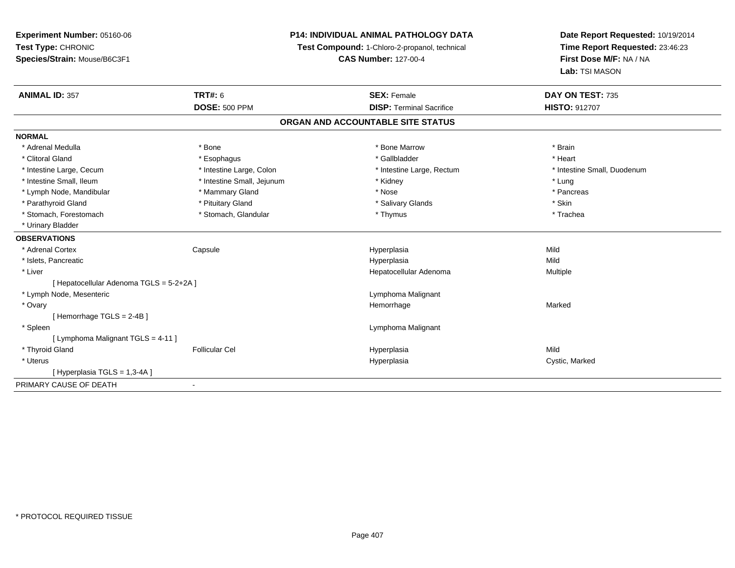**Experiment Number:** 05160-06**Test Type:** CHRONIC **Species/Strain:** Mouse/B6C3F1**P14: INDIVIDUAL ANIMAL PATHOLOGY DATATest Compound:** 1-Chloro-2-propanol, technical **CAS Number:** 127-00-4**Date Report Requested:** 10/19/2014**Time Report Requested:** 23:46:23**First Dose M/F:** NA / NA**Lab:** TSI MASON**ANIMAL ID:** 357**TRT#:** 6 **SEX:** Female **SEX: Female DAY ON TEST:** 735 **DOSE:** 500 PPM **DISP:** Terminal Sacrifice **HISTO:** <sup>912707</sup> **ORGAN AND ACCOUNTABLE SITE STATUSNORMAL**\* Adrenal Medulla \* \* Annual Medulla \* Brain \* Bone \* \* Bone Marrow \* Bone Marrow \* \* Brain \* Brain \* Brain \* Brain \* Brain \* Brain \* Brain \* Brain \* Brain \* Brain \* Brain \* Brain \* Brain \* Brain \* Brain \* Brain \* Brain \* \* Heart \* Clitoral Gland \* \* \* heart \* \* Esophagus \* \* \* \* \* \* \* \* \* \* \* Gallbladder \* \* \* \* \* \* \* \* \* \* \* \* Heart \* Intestine Large, Cecum \* Intestine Large, Colon \* Intestine Large, Thestine Large, Rectum \* Intestine Small, Duodenum \* Intestine Small, Ileum \* Intestine Small, Jejunum \* Kidney \* Lung\* Pancreas \* Lymph Node, Mandibular \* Mammary Gland \* Mammary Gland \* Nose \* Nose \* Parathyroid Gland \* \* Pituitary Gland \* Thuitary Gland \* Salivary Glands \* Stin \* Skin \* Skin \* Skin \* Skin \* Skin \* Skin \* Skin \* Skin \* Skin \* Skin \* Skin \* Skin \* Skin \* Skin \* Skin \* Skin \* Skin \* Skin \* Skin \* Skin \* Trachea \* Stomach, Forestomach \* Thymus \* Stomach, Glandular \* Thymus \* Thymus \* Thymus \* Thymus \* Thymus \* Thymus \* Thymus \* Thymus \* Thymus \* Thymus \* Thymus \* Thymus \* Thymus \* Thymus \* Thymus \* Thymus \* Thymus \* Thymus \* Thymu \* Urinary Bladder**OBSERVATIONS** \* Adrenal Cortex Capsule Hyperplasia Mild \* Islets, Pancreaticc description of the control of the control of the control of the control of the control of the control of the control of the control of the control of the control of the control of the control of the control of the contro a Mild \* Liver Hepatocellular Adenoma Multiple [ Hepatocellular Adenoma TGLS = 5-2+2A ] \* Lymph Node, Mesenteric Lymphoma Malignant \* Ovaryy the control of the control of the control of the control of the control of the control of the control of the control of the control of the control of the control of the control of the control of the control of the contro e Marked [ Hemorrhage TGLS = 2-4B ] \* Spleen Lymphoma Malignant [ Lymphoma Malignant TGLS = 4-11 ] \* Thyroid Gland Follicular Cel Hyperplasia Mild \* Uteruss and the contract of the contract of the contract of the contract of the contract of the contract of the contract of the contract of the contract of the contract of the contract of the contract of the contract of the cont Hyperplasia **Cystic, Marked** [ Hyperplasia TGLS = 1,3-4A ]PRIMARY CAUSE OF DEATH-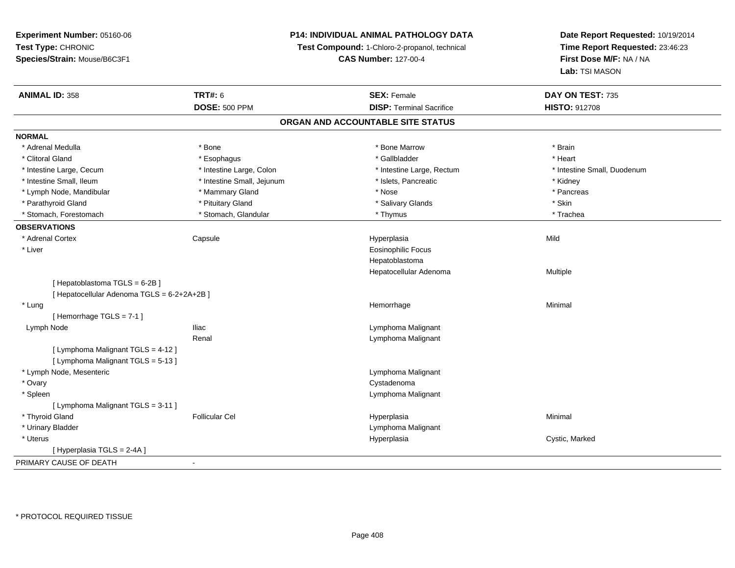**Experiment Number:** 05160-06**Test Type:** CHRONIC **Species/Strain:** Mouse/B6C3F1**P14: INDIVIDUAL ANIMAL PATHOLOGY DATATest Compound:** 1-Chloro-2-propanol, technical **CAS Number:** 127-00-4**Date Report Requested:** 10/19/2014**Time Report Requested:** 23:46:23**First Dose M/F:** NA / NA**Lab:** TSI MASON**ANIMAL ID:** 358**TRT#:** 6 **SEX:** Female **SEX: Female DAY ON TEST:** 735 **DOSE:** 500 PPM**DISP:** Terminal Sacrifice **HISTO:** 912708 **ORGAN AND ACCOUNTABLE SITE STATUSNORMAL**\* Adrenal Medulla \* \* Annual Medulla \* Brain \* Bone \* \* Bone Marrow \* Bone Marrow \* \* Brain \* Brain \* Brain \* Brain \* Brain \* Brain \* Brain \* Brain \* Brain \* Brain \* Brain \* Brain \* Brain \* Brain \* Brain \* Brain \* Brain \* \* Heart \* Clitoral Gland \* \* \* heart \* \* Esophagus \* \* \* \* \* \* \* \* \* \* \* Gallbladder \* \* \* \* \* \* \* \* \* \* \* \* Heart \* Intestine Large, Cecum \* Intestine Large, Colon \* Intestine Large, Rectum \* Intestine Small, Duodenum\* Intestine Small, Ileum \* Thestine Small, Jejunum \* 1998, Pancreatic \* Kidney \* Kidney \* Kidney \* Kidney \* Pancreas \* Lymph Node, Mandibular \* Manus \* Mammary Gland \* Pancrease \* Pancrease \* Pancrease \* Pancrease \* Pancrease \* Pancrease \* Pancrease \* Pancrease \* Pancrease \* Pancrease \* Pancrease \* Pancrease \* Pancrease \* Pancrease \* Pan \* Parathyroid Gland \* \* Pituitary Gland \* Thuitary Gland \* Salivary Glands \* Stin \* Skin \* Skin \* Skin \* Skin \* Skin \* Skin \* Skin \* Skin \* Skin \* Skin \* Skin \* Skin \* Skin \* Skin \* Skin \* Skin \* Skin \* Skin \* Skin \* Skin \* Trachea \* Stomach, Forestomach \* Thymus \* Stomach, Glandular \* Thymus \* Thymus \* Thymus \* Thymus \* Thymus \* Thymus \* Thymus \* Thymus \* Thymus \* Thymus \* Thymus \* Thymus \* Thymus \* Thymus \* Thymus \* Thymus \* Thymus \* Thymus \* Thymu **OBSERVATIONS** \* Adrenal Cortex Capsule Hyperplasia Mild \* Liver Eosinophilic FocusHepatoblastoma Hepatocellular Adenoma Multiple [ Hepatoblastoma TGLS = 6-2B ][ Hepatocellular Adenoma TGLS = 6-2+2A+2B ] \* Lungg and the state of the state of the state of the state of the Minimal Section 1, the state of the state of the Minimal Section 1, the state of the state of the state of the state of the state of the state of the state of t [ Hemorrhage TGLS = 7-1 ] Lymph NodeIliac **Lymphoma Malignant** Renal Lymphoma Malignant[ Lymphoma Malignant TGLS = 4-12 ][ Lymphoma Malignant TGLS = 5-13 ] \* Lymph Node, Mesenteric Lymphoma Malignant \* Ovaryy the control of the control of the control of the control of the control of the control of the control of the control of the control of the control of the control of the control of the control of the control of the contro Lymphoma Malignant \* Spleen[ Lymphoma Malignant TGLS = 3-11 ] \* Thyroid Gland Follicular Cel Hyperplasia Minimal \* Urinary Bladder Lymphoma Malignant \* Uteruss and the contract of the contract of the contract of the contract of the contract of the contract of the contract of the contract of the contract of the contract of the contract of the contract of the contract of the cont Hyperplasia **Cystic, Marked** [ Hyperplasia TGLS = 2-4A ]PRIMARY CAUSE OF DEATH-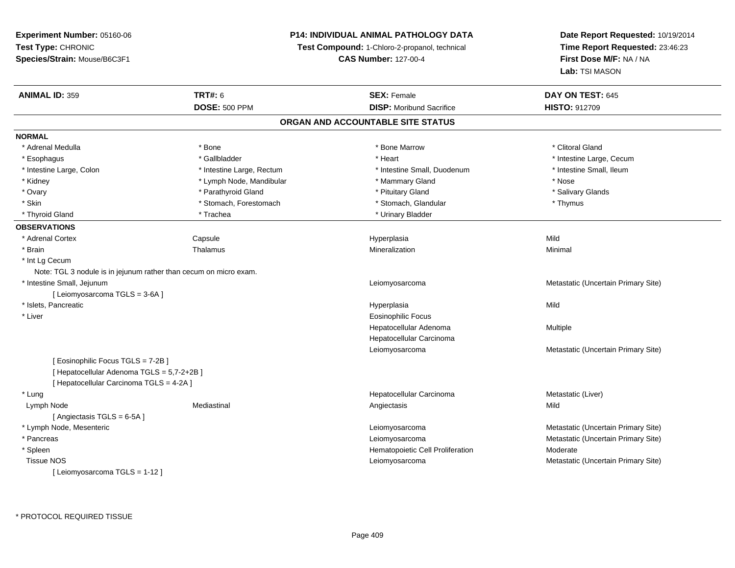# **P14: INDIVIDUAL ANIMAL PATHOLOGY DATA**

**Test Compound:** 1-Chloro-2-propanol, technical

**CAS Number:** 127-00-4

| <b>ANIMAL ID: 359</b>                      | <b>TRT#: 6</b>                                                    | <b>SEX: Female</b>                | DAY ON TEST: 645                    |
|--------------------------------------------|-------------------------------------------------------------------|-----------------------------------|-------------------------------------|
|                                            | <b>DOSE: 500 PPM</b>                                              | <b>DISP:</b> Moribund Sacrifice   | <b>HISTO: 912709</b>                |
|                                            |                                                                   | ORGAN AND ACCOUNTABLE SITE STATUS |                                     |
| <b>NORMAL</b>                              |                                                                   |                                   |                                     |
| * Adrenal Medulla                          | * Bone                                                            | * Bone Marrow                     | * Clitoral Gland                    |
| * Esophagus                                | * Gallbladder                                                     | * Heart                           | * Intestine Large, Cecum            |
| * Intestine Large, Colon                   | * Intestine Large, Rectum                                         | * Intestine Small, Duodenum       | * Intestine Small, Ileum            |
| * Kidney                                   | * Lymph Node, Mandibular                                          | * Mammary Gland                   | * Nose                              |
| * Ovary                                    | * Parathyroid Gland                                               | * Pituitary Gland                 | * Salivary Glands                   |
| * Skin                                     | * Stomach, Forestomach                                            | * Stomach, Glandular              | * Thymus                            |
| * Thyroid Gland                            | * Trachea                                                         | * Urinary Bladder                 |                                     |
| <b>OBSERVATIONS</b>                        |                                                                   |                                   |                                     |
| * Adrenal Cortex                           | Capsule                                                           | Hyperplasia                       | Mild                                |
| * Brain                                    | Thalamus                                                          | Mineralization                    | Minimal                             |
| * Int Lg Cecum                             |                                                                   |                                   |                                     |
|                                            | Note: TGL 3 nodule is in jejunum rather than cecum on micro exam. |                                   |                                     |
| * Intestine Small, Jejunum                 |                                                                   | Leiomyosarcoma                    | Metastatic (Uncertain Primary Site) |
| [ Leiomyosarcoma TGLS = 3-6A ]             |                                                                   |                                   |                                     |
| * Islets, Pancreatic                       |                                                                   | Hyperplasia                       | Mild                                |
| * Liver                                    |                                                                   | Eosinophilic Focus                |                                     |
|                                            |                                                                   | Hepatocellular Adenoma            | Multiple                            |
|                                            |                                                                   | Hepatocellular Carcinoma          |                                     |
|                                            |                                                                   | Leiomyosarcoma                    | Metastatic (Uncertain Primary Site) |
| [ Eosinophilic Focus TGLS = 7-2B]          |                                                                   |                                   |                                     |
| [ Hepatocellular Adenoma TGLS = 5,7-2+2B ] |                                                                   |                                   |                                     |
| [ Hepatocellular Carcinoma TGLS = 4-2A ]   |                                                                   |                                   |                                     |
| * Lung                                     |                                                                   | Hepatocellular Carcinoma          | Metastatic (Liver)                  |
| Lymph Node                                 | Mediastinal                                                       | Angiectasis                       | Mild                                |
| [Angiectasis TGLS = 6-5A]                  |                                                                   |                                   |                                     |
| * Lymph Node, Mesenteric                   |                                                                   | Leiomyosarcoma                    | Metastatic (Uncertain Primary Site) |
| * Pancreas                                 |                                                                   | Leiomyosarcoma                    | Metastatic (Uncertain Primary Site) |
| * Spleen                                   |                                                                   | Hematopoietic Cell Proliferation  | Moderate                            |
| <b>Tissue NOS</b>                          |                                                                   | Leiomyosarcoma                    | Metastatic (Uncertain Primary Site) |
| [Leiomyosarcoma TGLS = 1-12]               |                                                                   |                                   |                                     |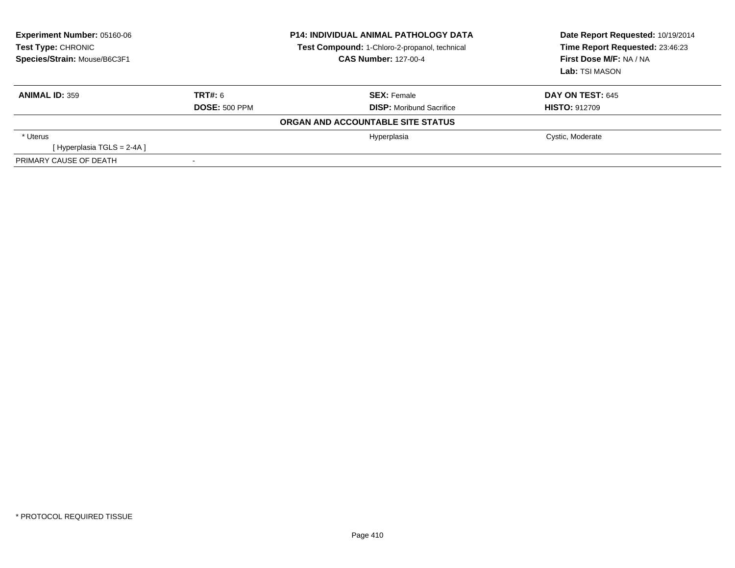| <b>Experiment Number: 05160-06</b><br>Test Type: CHRONIC<br>Species/Strain: Mouse/B6C3F1 | <b>P14: INDIVIDUAL ANIMAL PATHOLOGY DATA</b><br>Test Compound: 1-Chloro-2-propanol, technical<br><b>CAS Number: 127-00-4</b> |                                   | Date Report Requested: 10/19/2014<br>Time Report Requested: 23:46:23<br>First Dose M/F: NA / NA<br><b>Lab: TSI MASON</b> |  |
|------------------------------------------------------------------------------------------|------------------------------------------------------------------------------------------------------------------------------|-----------------------------------|--------------------------------------------------------------------------------------------------------------------------|--|
| <b>ANIMAL ID: 359</b>                                                                    | <b>TRT#: 6</b>                                                                                                               | <b>SEX:</b> Female                | <b>DAY ON TEST: 645</b>                                                                                                  |  |
|                                                                                          | <b>DOSE: 500 PPM</b>                                                                                                         | <b>DISP:</b> Moribund Sacrifice   | <b>HISTO: 912709</b>                                                                                                     |  |
|                                                                                          |                                                                                                                              | ORGAN AND ACCOUNTABLE SITE STATUS |                                                                                                                          |  |
| * Uterus                                                                                 |                                                                                                                              | Hyperplasia                       | Cystic, Moderate                                                                                                         |  |
| [Hyperplasia TGLS = 2-4A]                                                                |                                                                                                                              |                                   |                                                                                                                          |  |
| PRIMARY CAUSE OF DEATH                                                                   |                                                                                                                              |                                   |                                                                                                                          |  |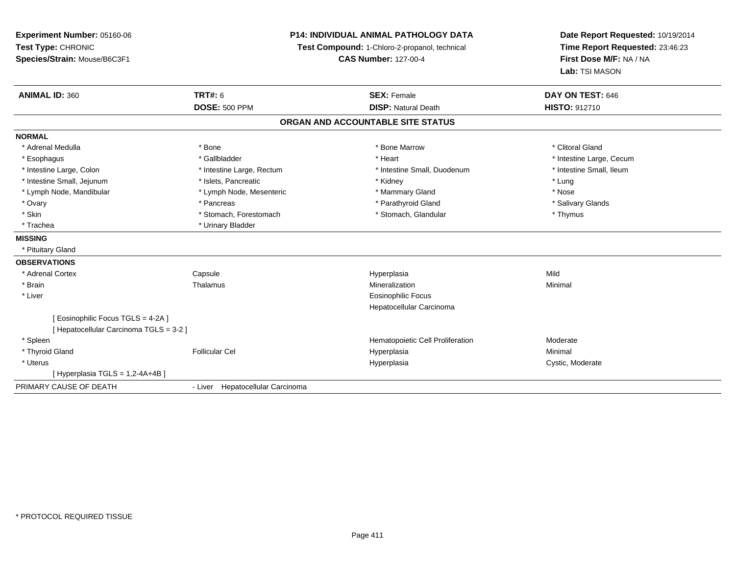**Experiment Number:** 05160-06**Test Type:** CHRONIC **Species/Strain:** Mouse/B6C3F1**P14: INDIVIDUAL ANIMAL PATHOLOGY DATATest Compound:** 1-Chloro-2-propanol, technical **CAS Number:** 127-00-4**Date Report Requested:** 10/19/2014**Time Report Requested:** 23:46:23**First Dose M/F:** NA / NA**Lab:** TSI MASON**ANIMAL ID:** 360**C TRT#:** 6 **SEX:** Female **DAY ON TEST:** 646 **DOSE:** 500 PPM**DISP:** Natural Death **HISTO:** 912710 **ORGAN AND ACCOUNTABLE SITE STATUSNORMAL**\* Adrenal Medulla \* The state of the state of the state of the state of the Marrow \* Bone Marrow \* Clitoral Gland \* Clitoral Gland \* Esophagus \* https://www.fragustage.com/web/2019/heart \* Heart \* Heart \* Heart \* Intestine Large, Cecum \* Intestine Large, Cecum \* Sallbladder \* The state of the state of the state of the state of the state of the state o \* Intestine Small. Ileum \* Intestine Large, Colon \* Intestine Large, Rectum \* Intestine Small, Duodenum \* Intestine Small, Duodenum \* Intestine Small, Jejunum \* The matches of the state of the state of the state of the state of the state of the state of the state of the state of the state of the state of the state of the state of the state of the state \* Nose \* Lymph Node, Mandibular \* Lymph Node, Mesenteric \* Mammary Gland \* Mammary Gland \* Salivary Glands \* Ovary \* \* Pancreas \* \* Pancreas \* \* Pancreas \* \* Parathyroid Gland \* \* Salivary Glands \* Salivary Glands \* Salivary Glands \* Salivary Glands \* Salivary Glands \* Salivary Glands \* Salivary Glands \* \* Salivary Glands \* \* S \* Skin \* Stomach, Forestomach \* Stomach \* Stomach, Glandular \* Thymus \* Thymus \* Trachea \* Urinary Bladder**MISSING** \* Pituitary Gland**OBSERVATIONS** \* Adrenal Cortex**Capsule**  Hyperplasia Mild \* Brainn and the matter of the Thalamus and the Minimal of the Minimal of the Minimal of the Minimal of the Minimal o<br>Thalamus and the Minimal of the Minimal of the Minimal of the Minimal of the Minimal of the Minimal of the Min \* Liver Eosinophilic Focus Hepatocellular Carcinoma[ Eosinophilic Focus TGLS = 4-2A ][ Hepatocellular Carcinoma TGLS = 3-2 ] \* Spleen Hematopoietic Cell Proliferation Moderate \* Thyroid Gland Follicular Cel Hyperplasia Minimal \* Uteruss and the contract of the contract of the contract of the contract of the contract of the contract of the contract of the contract of the contract of the contract of the contract of the contract of the contract of the cont Hyperplasia Cystic, Moderate [ Hyperplasia TGLS = 1,2-4A+4B ]PRIMARY CAUSE OF DEATH- Liver Hepatocellular Carcinoma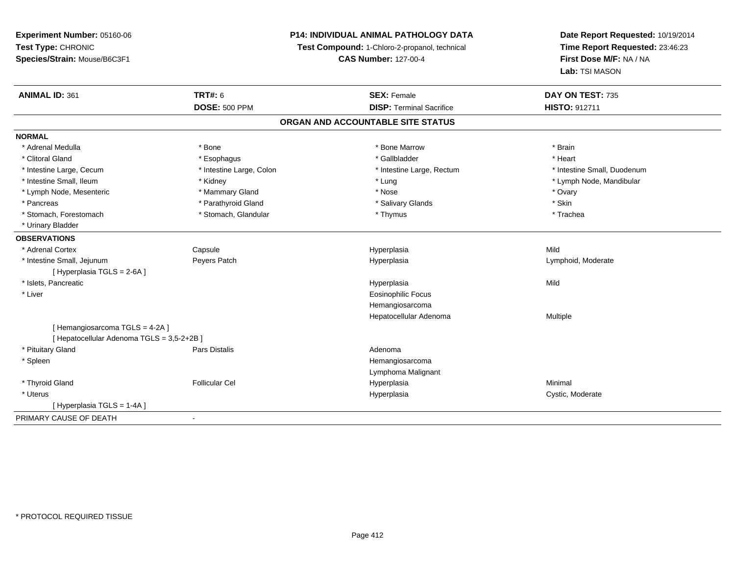**Experiment Number:** 05160-06**Test Type:** CHRONIC **Species/Strain:** Mouse/B6C3F1**P14: INDIVIDUAL ANIMAL PATHOLOGY DATATest Compound:** 1-Chloro-2-propanol, technical **CAS Number:** 127-00-4**Date Report Requested:** 10/19/2014**Time Report Requested:** 23:46:23**First Dose M/F:** NA / NA**Lab:** TSI MASON**ANIMAL ID:** 361**TRT#:** 6 **SEX:** Female **SEX: Female DAY ON TEST:** 735 **DOSE:** 500 PPM**DISP:** Terminal Sacrifice **HISTO:** 912711 **ORGAN AND ACCOUNTABLE SITE STATUSNORMAL**\* Adrenal Medulla \* \* Annual Medulla \* Brain \* Bone \* \* Bone Marrow \* Bone Marrow \* \* Brain \* Brain \* Brain \* Brain \* Brain \* Brain \* Brain \* Brain \* Brain \* Brain \* Brain \* Brain \* Brain \* Brain \* Brain \* Brain \* Brain \* \* Heart \* Clitoral Gland \* \* \* heart \* \* Esophagus \* \* \* \* \* \* \* \* \* \* \* Gallbladder \* \* \* \* \* \* \* \* \* \* \* \* Heart \* Intestine Large, Cecum \* Intestine Large, Colon \* Intestine Large, Rectum \* Intestine Small, Duodenum\* Intestine Small, Ileum \* \* Andrew \* Kidney \* Kidney \* Andrew \* Lung \* Lung \* Lung \* Notestine Small, Ileum \* Lymph Node, Mandibular \* Lymph Node, Mesenteric \* \* \* Mammary Gland \* \* Nose \* Nose \* Ovary \* Ovary \* Ovary \* Ovary \* Ovary \* Ovary \* Ovary \* Skin \* Pancreas \* Pancreas \* Parathyroid Gland \* The state of the set of the set of the set of the set of the set of the set of the set of the set of the set of the set of the set of the set of the set of the set of the set of \* Trachea \* Stomach, Forestomach \* Thymus \* Stomach, Glandular \* Thymus \* Thymus \* Thymus \* Thymus \* Thymus \* Thymus \* Thymus \* Thymus \* Thymus \* Thymus \* Thymus \* Thymus \* Thymus \* Thymus \* Thymus \* Thymus \* Thymus \* Thymus \* Thymu \* Urinary Bladder**OBSERVATIONS** \* Adrenal Cortex Capsule Hyperplasia Mild \* Intestine Small, Jejunum Peyers Patch Hyperplasia Lymphoid, Moderate [ Hyperplasia TGLS = 2-6A ] \* Islets, Pancreaticc description of the control of the control of the control of the control of the control of the control of the control of the control of the control of the control of the control of the control of the control of the contro a Mild \* Liver Eosinophilic Focus Hemangiosarcoma Hepatocellular Adenoma Multiple [ Hemangiosarcoma TGLS = 4-2A ][ Hepatocellular Adenoma TGLS = 3,5-2+2B ] \* Pituitary Glandd and the contract of Pars Distalis and the contract of Adenoma and Adenoma and the Adenoma and the Adenoma and  $\lambda$  \* Spleen Hemangiosarcoma Lymphoma Malignant \* Thyroid Gland Follicular Cel Hyperplasia Minimal \* Uteruss and the contract of the contract of the contract of the contract of the contract of the contract of the contract of the contract of the contract of the contract of the contract of the contract of the contract of the cont Hyperplasia **Cystic, Moderate** [ Hyperplasia TGLS = 1-4A ]PRIMARY CAUSE OF DEATH-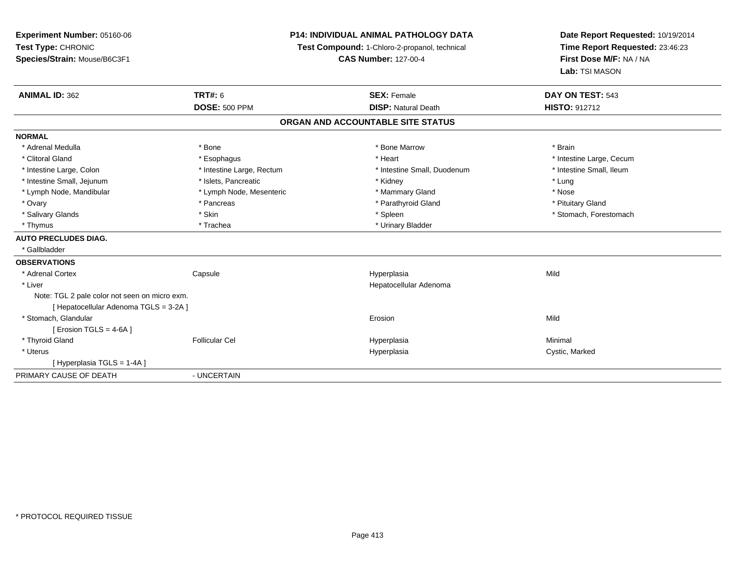**Experiment Number:** 05160-06**Test Type:** CHRONIC **Species/Strain:** Mouse/B6C3F1**P14: INDIVIDUAL ANIMAL PATHOLOGY DATATest Compound:** 1-Chloro-2-propanol, technical **CAS Number:** 127-00-4**Date Report Requested:** 10/19/2014**Time Report Requested:** 23:46:23**First Dose M/F:** NA / NA**Lab:** TSI MASON**ANIMAL ID:** 362**TRT#:** 6 **SEX:** Female **SEX: Female DAY ON TEST:** 543 **DOSE:** 500 PPM**DISP:** Natural Death **HISTO:** 912712 **ORGAN AND ACCOUNTABLE SITE STATUSNORMAL**\* Adrenal Medulla \* \* Annual Medulla \* Brain \* Bone \* \* Bone Marrow \* Bone Marrow \* \* Brain \* Brain \* Brain \* Brain \* Brain \* Brain \* Brain \* Brain \* Brain \* Brain \* Brain \* Brain \* Brain \* Brain \* Brain \* Brain \* Brain \* \* Clitoral Gland \* \* exphagus \* Esophagus \* \* Heart \* Heart \* Intestine Large, Cecum \* Intestine Small, Ileum \* Intestine Large, Colon \* Intestine Large, Rectum \* Intestine Small, Duodenum \* Intestine Small, Duodenum \* Intestine Small, Jejunum \* The matches of the state of the state of the state of the state of the state of the state of the state of the state of the state of the state of the state of the state of the state of the state \* Nose \* Lymph Node, Mandibular \* Lymph Node, Mesenteric \* Mammary Gland \* Mammary Gland \* Pituitary Gland \* Ovary \* Pancreas \* Pancreas \* Pancreas \* Parathyroid Gland \* Parathyroid Gland \* Salivary Glands \* The stomach \* Skin \* Spleen \* Spleen \* Stomach, Forestomach \* Stomach, Forestomach \* Stomach, Forestomach \* Thymus \* Trachea \* Trachea \* Urinary Bladder **AUTO PRECLUDES DIAG.** \* Gallbladder**OBSERVATIONS** \* Adrenal Cortex**Capsule**  Hyperplasia Mild \* Liver Hepatocellular AdenomaNote: TGL 2 pale color not seen on micro exm.[ Hepatocellular Adenoma TGLS = 3-2A ] \* Stomach, Glandularr and the contract of the contract of the contract of the contract of the contract of the contract of the contract of the contract of the contract of the contract of the contract of the contract of the contract of the cont n Mild  $[$  Erosion TGLS = 4-6A  $]$  \* Thyroid Gland Follicular Cel Hyperplasia Minimal \* Uteruss and the control of the control of the control of the control of the control of the control of the control of the control of the control of the control of the control of the control of the control of the control of the co Hyperplasia **Cystic, Marked** [ Hyperplasia TGLS = 1-4A ] PRIMARY CAUSE OF DEATH- UNCERTAIN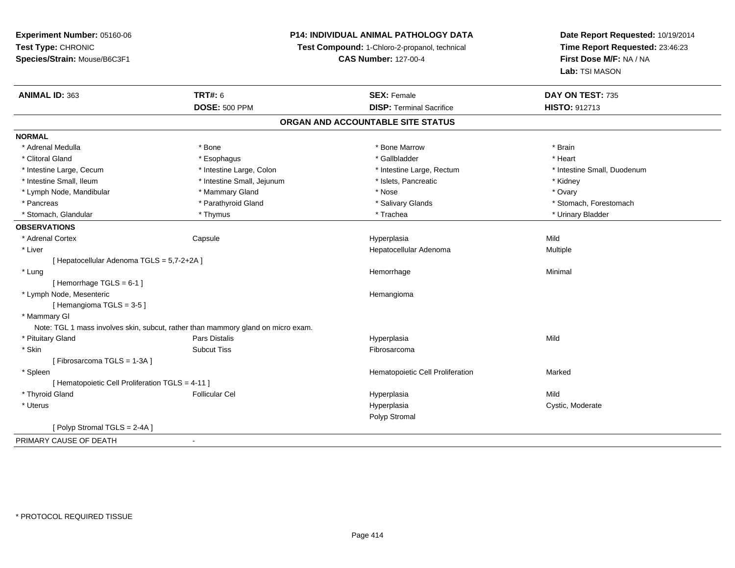**Experiment Number:** 05160-06**Test Type:** CHRONIC **Species/Strain:** Mouse/B6C3F1**P14: INDIVIDUAL ANIMAL PATHOLOGY DATATest Compound:** 1-Chloro-2-propanol, technical **CAS Number:** 127-00-4**Date Report Requested:** 10/19/2014**Time Report Requested:** 23:46:23**First Dose M/F:** NA / NA**Lab:** TSI MASON**ANIMAL ID:** 363**TRT#:** 6 **SEX:** Female **SEX: Female DAY ON TEST:** 735 **DOSE:** 500 PPM**DISP:** Terminal Sacrifice **HISTO:** 912713 **ORGAN AND ACCOUNTABLE SITE STATUSNORMAL**\* Adrenal Medulla \* \* Annual Medulla \* Brain \* Bone \* \* Bone Marrow \* Bone Marrow \* \* Brain \* Brain \* Brain \* Brain \* Brain \* Brain \* Brain \* Brain \* Brain \* Brain \* Brain \* Brain \* Brain \* Brain \* Brain \* Brain \* Brain \* \* Heart \* Clitoral Gland \* \* \* heart \* \* Esophagus \* \* \* \* \* \* \* \* \* \* \* Gallbladder \* \* \* \* \* \* \* \* \* \* \* \* Heart \* Intestine Large, Cecum \* Intestine Large, Colon \* Intestine Large, Rectum \* Intestine Small, Duodenum\* Intestine Small, Ileum \* Thestine Small, Jejunum \* 1998, Pancreatic \* Kidney \* Kidney \* Kidney \* Kidney \* Ovary \* Lymph Node, Mandibular \* Mammary Gland \* Mammary Gland \* Nose \* Nose \* Nose \* Nose \* Nose \* Nose \* Nose \* Ovary \* Nose \* Ovary \* Nose \* Ovary \* Nose \* Ovary \* Nose \* Nose \* Nose \* Nose \* Nose \* Nose \* Nose \* Nose \* Nose \* Pancreas \* The stomach \* Parathyroid Gland \* \* Salivary Glands \* Salivary Glands \* Stomach, Forestomach \* Stomach, Forestomach \* Parathyroid Gland \* Stomach, Glandular \* \* \* Thymus \* \* Thymus \* \* The \* \* Trachea \* \* Trachea \* \* Urinary Bladder \* \* Urinary Bladder \* **OBSERVATIONS** \* Adrenal Cortex Capsule Hyperplasia Mild \* Liver Hepatocellular Adenoma Multiple [ Hepatocellular Adenoma TGLS = 5,7-2+2A ] \* Lungg and the state of the state of the state of the state of the Minimal Section 1, the state of the state of the Minimal Section 1, the state of the state of the state of the state of the state of the state of the state of t [ Hemorrhage TGLS = 6-1 ] \* Lymph Node, Mesenteric Hemangioma[ Hemangioma TGLS = 3-5 ] \* Mammary GlNote: TGL 1 mass involves skin, subcut, rather than mammory gland on micro exam. \* Pituitary Gland Pars Distalis Hyperplasia Mild \* Skinn and the subcut Tiss the subset of the set of the set of the set of the set of the set of the set of the set o [ Fibrosarcoma TGLS = 1-3A ] \* SpleenHematopoietic Cell Proliferation Marked [ Hematopoietic Cell Proliferation TGLS = 4-11 ] \* Thyroid Gland Follicular Cel Hyperplasia Mild \* Uteruss and the contract of the contract of the contract of the contract of the contract of the contract of the contract of the contract of the contract of the contract of the contract of the contract of the contract of the cont Hyperplasia **Cystic, Moderate** Polyp Stromal[ Polyp Stromal TGLS = 2-4A ]PRIMARY CAUSE OF DEATH-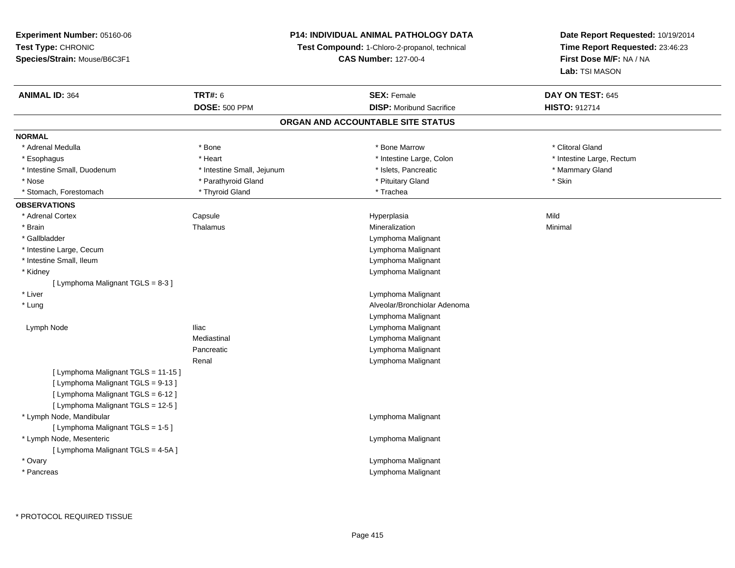# **P14: INDIVIDUAL ANIMAL PATHOLOGY DATA**

**Test Compound:** 1-Chloro-2-propanol, technical

**CAS Number:** 127-00-4

| <b>ANIMAL ID: 364</b>               | <b>TRT#: 6</b>             | <b>SEX: Female</b>                | DAY ON TEST: 645          |
|-------------------------------------|----------------------------|-----------------------------------|---------------------------|
|                                     | <b>DOSE: 500 PPM</b>       | <b>DISP:</b> Moribund Sacrifice   | <b>HISTO: 912714</b>      |
|                                     |                            | ORGAN AND ACCOUNTABLE SITE STATUS |                           |
| <b>NORMAL</b>                       |                            |                                   |                           |
| * Adrenal Medulla                   | * Bone                     | * Bone Marrow                     | * Clitoral Gland          |
| * Esophagus                         | * Heart                    | * Intestine Large, Colon          | * Intestine Large, Rectum |
| * Intestine Small, Duodenum         | * Intestine Small, Jejunum | * Islets, Pancreatic              | * Mammary Gland           |
| * Nose                              | * Parathyroid Gland        | * Pituitary Gland                 | * Skin                    |
| * Stomach, Forestomach              | * Thyroid Gland            | * Trachea                         |                           |
| <b>OBSERVATIONS</b>                 |                            |                                   |                           |
| * Adrenal Cortex                    | Capsule                    | Hyperplasia                       | Mild                      |
| * Brain                             | Thalamus                   | Mineralization                    | Minimal                   |
| * Gallbladder                       |                            | Lymphoma Malignant                |                           |
| * Intestine Large, Cecum            |                            | Lymphoma Malignant                |                           |
| * Intestine Small, Ileum            |                            | Lymphoma Malignant                |                           |
| * Kidney                            |                            | Lymphoma Malignant                |                           |
| [ Lymphoma Malignant TGLS = 8-3 ]   |                            |                                   |                           |
| * Liver                             |                            | Lymphoma Malignant                |                           |
| * Lung                              |                            | Alveolar/Bronchiolar Adenoma      |                           |
|                                     |                            | Lymphoma Malignant                |                           |
| Lymph Node                          | lliac                      | Lymphoma Malignant                |                           |
|                                     | Mediastinal                | Lymphoma Malignant                |                           |
|                                     | Pancreatic                 | Lymphoma Malignant                |                           |
|                                     | Renal                      | Lymphoma Malignant                |                           |
| [ Lymphoma Malignant TGLS = 11-15 ] |                            |                                   |                           |
| [ Lymphoma Malignant TGLS = 9-13 ]  |                            |                                   |                           |
| [ Lymphoma Malignant TGLS = 6-12 ]  |                            |                                   |                           |
| [ Lymphoma Malignant TGLS = 12-5 ]  |                            |                                   |                           |
| * Lymph Node, Mandibular            |                            | Lymphoma Malignant                |                           |
| [ Lymphoma Malignant TGLS = 1-5 ]   |                            |                                   |                           |
| * Lymph Node, Mesenteric            |                            | Lymphoma Malignant                |                           |
| [ Lymphoma Malignant TGLS = 4-5A ]  |                            |                                   |                           |
| * Ovary                             |                            | Lymphoma Malignant                |                           |
| * Pancreas                          |                            | Lymphoma Malignant                |                           |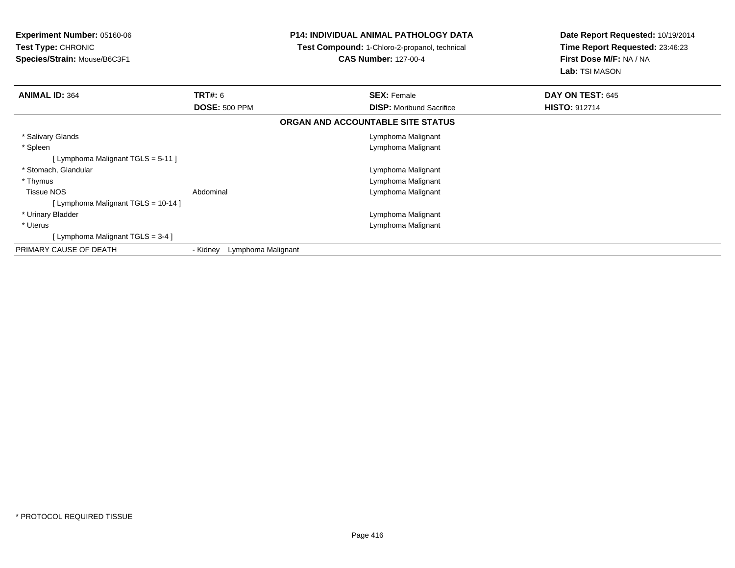| <b>Experiment Number: 05160-06</b><br>Test Type: CHRONIC<br>Species/Strain: Mouse/B6C3F1 |                                | <b>P14: INDIVIDUAL ANIMAL PATHOLOGY DATA</b><br>Test Compound: 1-Chloro-2-propanol, technical<br><b>CAS Number: 127-00-4</b> | Date Report Requested: 10/19/2014<br>Time Report Requested: 23:46:23<br>First Dose M/F: NA / NA |
|------------------------------------------------------------------------------------------|--------------------------------|------------------------------------------------------------------------------------------------------------------------------|-------------------------------------------------------------------------------------------------|
|                                                                                          |                                |                                                                                                                              | Lab: TSI MASON                                                                                  |
| <b>ANIMAL ID: 364</b>                                                                    | <b>TRT#: 6</b>                 | <b>SEX: Female</b>                                                                                                           | DAY ON TEST: 645                                                                                |
|                                                                                          | <b>DOSE: 500 PPM</b>           | <b>DISP:</b> Moribund Sacrifice                                                                                              | <b>HISTO: 912714</b>                                                                            |
|                                                                                          |                                | ORGAN AND ACCOUNTABLE SITE STATUS                                                                                            |                                                                                                 |
| * Salivary Glands                                                                        |                                | Lymphoma Malignant                                                                                                           |                                                                                                 |
| * Spleen                                                                                 |                                | Lymphoma Malignant                                                                                                           |                                                                                                 |
| [Lymphoma Malignant TGLS = 5-11]                                                         |                                |                                                                                                                              |                                                                                                 |
| * Stomach, Glandular                                                                     |                                | Lymphoma Malignant                                                                                                           |                                                                                                 |
| * Thymus                                                                                 |                                | Lymphoma Malignant                                                                                                           |                                                                                                 |
| <b>Tissue NOS</b>                                                                        | Abdominal                      | Lymphoma Malignant                                                                                                           |                                                                                                 |
| [ Lymphoma Malignant TGLS = 10-14 ]                                                      |                                |                                                                                                                              |                                                                                                 |
| * Urinary Bladder                                                                        |                                | Lymphoma Malignant                                                                                                           |                                                                                                 |
| * Uterus                                                                                 |                                | Lymphoma Malignant                                                                                                           |                                                                                                 |
| [ Lymphoma Malignant TGLS = 3-4 ]                                                        |                                |                                                                                                                              |                                                                                                 |
| PRIMARY CAUSE OF DEATH                                                                   | Lymphoma Malignant<br>- Kidney |                                                                                                                              |                                                                                                 |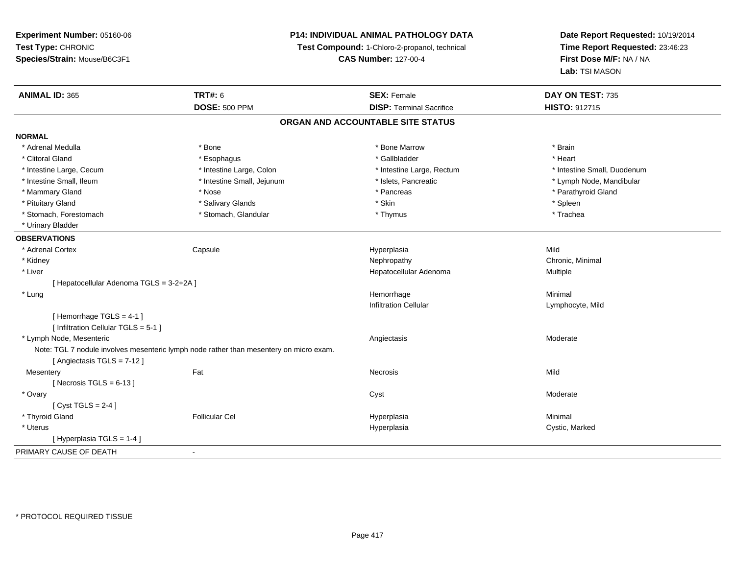**Experiment Number:** 05160-06**Test Type:** CHRONIC **Species/Strain:** Mouse/B6C3F1**P14: INDIVIDUAL ANIMAL PATHOLOGY DATATest Compound:** 1-Chloro-2-propanol, technical **CAS Number:** 127-00-4**Date Report Requested:** 10/19/2014**Time Report Requested:** 23:46:23**First Dose M/F:** NA / NA**Lab:** TSI MASON**ANIMAL ID:** 365**TRT#:** 6 **SEX:** Female **SEX: Female DAY ON TEST:** 735 **DOSE:** 500 PPM**DISP:** Terminal Sacrifice **HISTO:** 912715 **ORGAN AND ACCOUNTABLE SITE STATUSNORMAL**\* Adrenal Medulla \* \* Annual Medulla \* Brain \* Bone \* \* Bone Marrow \* Bone Marrow \* \* Brain \* Brain \* Brain \* Brain \* Brain \* Brain \* Brain \* Brain \* Brain \* Brain \* Brain \* Brain \* Brain \* Brain \* Brain \* Brain \* Brain \* \* Heart \* Clitoral Gland \* \* \* heart \* \* Esophagus \* \* \* \* \* \* \* \* \* \* \* Gallbladder \* \* \* \* \* \* \* \* \* \* \* \* Heart \* Intestine Large, Cecum \* Intestine Large, Colon \* Intestine Large, Rectum \* Intestine Small, Duodenum\* Intestine Small, Ileum \* \* Thestine Small, Jejunum \* \* Sets, Pancreatic \* \* Thestine Small, Nejunum \* Lymph Node, Mandibular \* Mammary Gland \* \* Nose \* \* Nose \* \* Pancreas \* Pancreas \* \* Pancreas \* \* Pancreas \* \* Pancreas \* \* Parathyroid Gland \* Pituitary Gland \* \* \* Sheen \* Salivary Glands \* \* State \* \* Skin \* \* Skin \* \* Spleen \* \* Spleen \* \* Spleen \* \* Trachea \* Stomach, Forestomach \* Thymus \* Stomach, Glandular \* Thymus \* Thymus \* Thymus \* Thymus \* Thymus \* Thymus \* Thymus \* Thymus \* Thymus \* Thymus \* Thymus \* Thymus \* Thymus \* Thymus \* Thymus \* Thymus \* Thymus \* Thymus \* Thymu \* Urinary Bladder**OBSERVATIONS** \* Adrenal Cortex**Capsule**  Hyperplasia Mild \* Kidneyy the controller of the controller of the controller of the controller of the controller of the controller of the controller of the controller of the controller of the controller of the controller of the controller of the \* Liver Hepatocellular Adenoma Multiple [ Hepatocellular Adenoma TGLS = 3-2+2A ] \* Lungg and the state of the state of the state of the state of the Minimal Section 1, the state of the state of the Minimal Section 1, the state of the state of the state of the state of the state of the state of the state of t Infiltration Cellular Lymphocyte, Mild[ Hemorrhage TGLS = 4-1 ][ Infiltration Cellular TGLS = 5-1 ] \* Lymph Node, Mesentericc contract the contract of the contract of the contract of the contract of the contract of the contract of the contract of the contract of the contract of the contract of the contract of the contract of the contract of the Note: TGL 7 nodule involves mesenteric lymph node rather than mesentery on micro exam.[ Angiectasis TGLS = 7-12 ]**Mesentery** y the contract of the contract of the contract of the contract of the contract of the contract of the contract of the contract of the contract of the contract of the contract of the contract of the contract of the contract  $[$  Necrosis TGLS = 6-13  $]$  \* Ovaryy and the control of the control of the control of the control of the control of the control of the control of the control of the control of the control of the control of the control of the control of the control of the co  $[$  Cyst TGLS = 2-4  $]$  \* Thyroid Gland Follicular Cel Hyperplasia Minimal \* Uteruss and the contract of the contract of the contract of the contract of the contract of the contract of the contract of the contract of the contract of the contract of the contract of the contract of the contract of the cont Hyperplasia **Cystic, Marked** [ Hyperplasia TGLS = 1-4 ]PRIMARY CAUSE OF DEATH-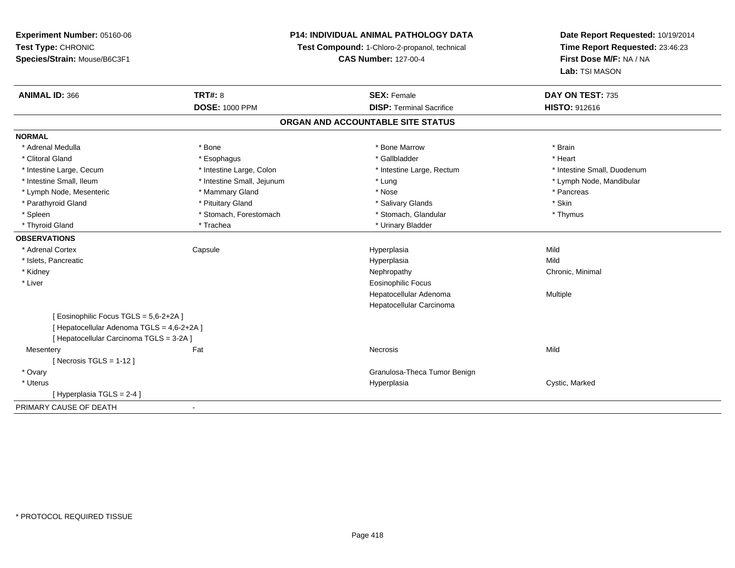**Experiment Number:** 05160-06**Test Type:** CHRONIC **Species/Strain:** Mouse/B6C3F1**P14: INDIVIDUAL ANIMAL PATHOLOGY DATATest Compound:** 1-Chloro-2-propanol, technical **CAS Number:** 127-00-4**Date Report Requested:** 10/19/2014**Time Report Requested:** 23:46:23**First Dose M/F:** NA / NA**Lab:** TSI MASON**ANIMAL ID:** 366**6 DAY ON TEST:** 735 **DOSE:** 1000 PPM**DISP:** Terminal Sacrifice **HISTO:** 912616 **ORGAN AND ACCOUNTABLE SITE STATUSNORMAL**\* Adrenal Medulla \* \* Annual Medulla \* Brain \* Bone \* \* Bone Marrow \* Bone Marrow \* \* Brain \* Brain \* Brain \* Brain \* Brain \* Brain \* Brain \* Brain \* Brain \* Brain \* Brain \* Brain \* Brain \* Brain \* Brain \* Brain \* Brain \* \* Heart \* Clitoral Gland \* \* \* heart \* \* Esophagus \* \* \* \* \* \* \* \* \* \* \* Gallbladder \* \* \* \* \* \* \* \* \* \* \* \* Heart \* Intestine Large, Cecum \* Intestine Large, Colon \* Intestine Large, Thestine Large, Rectum \* Intestine Small, Duodenum \* Intestine Small, Ileum \* Intestine Small, Jejunum \* Lung \* Lymph Node, Mandibular\* Lymph Node, Mesenteric \* \* The matter of the Mammary Gland \* The matter \* Nose \* The matter \* Pancreas \* Pancreas \* Parathyroid Gland \* \* Pituitary Gland \* Thuitary Gland \* Salivary Glands \* Stin \* Skin \* Skin \* Skin \* Skin \* Skin \* Skin \* Skin \* Skin \* Skin \* Skin \* Skin \* Skin \* Skin \* Skin \* Skin \* Skin \* Skin \* Skin \* Skin \* Skin \* Thymus \* Spleen \* Stomach, Forestomach \* Stomach \* Stomach, Glandular \* Stomach, Glandular \* Thyroid Gland \* Trachea \* Trachea \* Trachea \* Urinary Bladder **OBSERVATIONS** \* Adrenal Cortex Capsule Hyperplasia Mild \* Islets, Pancreaticc description of the control of the control of the control of the control of the control of the control of the control of the control of the control of the control of the control of the control of the control of the contro a Mild \* Kidneyy the controller of the controller of the controller of the controller of the controller of the controller of the controller of the controller of the controller of the controller of the controller of the controller of the \* Liver Eosinophilic Focus Hepatocellular Adenoma Multiple Hepatocellular Carcinoma[ Eosinophilic Focus TGLS = 5,6-2+2A ][ Hepatocellular Adenoma TGLS = 4,6-2+2A ][ Hepatocellular Carcinoma TGLS = 3-2A ]**Mesentery** y the contract of the contract of the contract of the contract of the contract of the contract of the contract of the contract of the contract of the contract of the contract of the contract of the contract of the contract  $[$  Necrosis TGLS = 1-12  $]$  \* Ovary Granulosa-Theca Tumor Benign \* Uteruss and the contract of the contract of the contract of the contract of the contract of the contract of the contract of the contract of the contract of the contract of the contract of the contract of the contract of the cont Hyperplasia **Cystic, Marked** [ Hyperplasia TGLS = 2-4 ]PRIMARY CAUSE OF DEATH-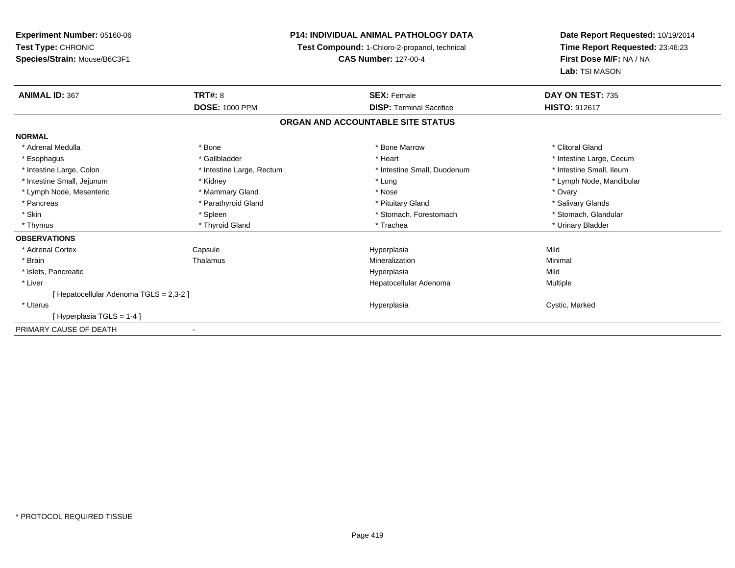**Experiment Number:** 05160-06**Test Type:** CHRONIC **Species/Strain:** Mouse/B6C3F1**P14: INDIVIDUAL ANIMAL PATHOLOGY DATATest Compound:** 1-Chloro-2-propanol, technical **CAS Number:** 127-00-4**Date Report Requested:** 10/19/2014**Time Report Requested:** 23:46:23**First Dose M/F:** NA / NA**Lab:** TSI MASON**ANIMAL ID:** 367**TRT#:** 8 **SEX:** Female **SEX: Female DAY ON TEST:** 735 **DOSE:** 1000 PPM**DISP:** Terminal Sacrifice **HISTO:** 912617 **ORGAN AND ACCOUNTABLE SITE STATUSNORMAL**\* Adrenal Medulla \* The state of the state of the state of the state of the Marrow \* Bone Marrow \* Clitoral Gland \* Clitoral Gland \* Esophagus \* https://www.fragustage.com/web/2019/heart \* Heart \* Heart \* Heart \* Intestine Large, Cecum \* Intestine Large, Cecum \* Sallbladder \* The state of the state of the state of the state of the state of the state o \* Intestine Small, Ileum \* Intestine Large, Colon \* Intestine Large, Rectum \* Intestine Small, Duodenum \* Intestine Small, Duodenum \* Intestine Small, Jejunum \* Kidney \* Lung \* Lymph Node, Mandibular\* Lymph Node, Mesenteric \* \* \* Mammary Gland \* \* Nose \* Nose \* Ovary \* Ovary \* Ovary \* Ovary \* Ovary \* Ovary \* Ovary \* Salivary Glands \* Pancreas \* And the section of the section of the section of the section of the section of the section of the section of the section of the section of the section of the section of the section of the section of the sectio \* Stomach. Glandular \* Skin \* Spleen \* Spleen \* Spleen \* Stomach, Forestomach \* Stomach, Suite and the storage \* Stomach, Glandular \* Thymus \* Thyroid Gland \* Trachea \* Urinary Bladder \* **OBSERVATIONS** \* Adrenal Cortex Capsule Hyperplasia Mild \* Brainn and the Thalamus and the Minimal and Mineralization and Minimal Minimal and Minimal and Minimal and Minimal  $\mu$  \* Islets, Pancreaticc description of the control of the control of the control of the control of the control of the control of the control of the control of the control of the control of the control of the control of the control of the contro a Mild \* Liver Hepatocellular Adenoma Multiple [ Hepatocellular Adenoma TGLS = 2,3-2 ] \* Uteruss and the contract of the contract of the contract of the contract of the contract of the contract of the contract of the contract of the contract of the contract of the contract of the contract of the contract of the cont Hyperplasia **Cystic, Marked** [ Hyperplasia TGLS = 1-4 ]PRIMARY CAUSE OF DEATH-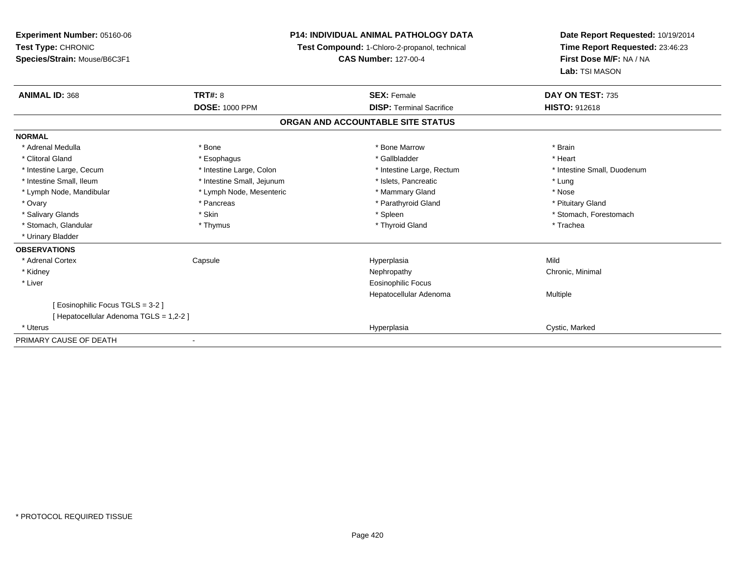| <b>Experiment Number: 05160-06</b><br>Test Type: CHRONIC |                            | <b>P14: INDIVIDUAL ANIMAL PATHOLOGY DATA</b><br>Test Compound: 1-Chloro-2-propanol, technical | Date Report Requested: 10/19/2014<br>Time Report Requested: 23:46:23<br>First Dose M/F: NA / NA<br>Lab: TSI MASON |
|----------------------------------------------------------|----------------------------|-----------------------------------------------------------------------------------------------|-------------------------------------------------------------------------------------------------------------------|
| Species/Strain: Mouse/B6C3F1                             |                            | <b>CAS Number: 127-00-4</b>                                                                   |                                                                                                                   |
| <b>ANIMAL ID: 368</b>                                    | <b>TRT#: 8</b>             | <b>SEX: Female</b>                                                                            | DAY ON TEST: 735                                                                                                  |
|                                                          | <b>DOSE: 1000 PPM</b>      | <b>DISP: Terminal Sacrifice</b>                                                               | <b>HISTO: 912618</b>                                                                                              |
|                                                          |                            | ORGAN AND ACCOUNTABLE SITE STATUS                                                             |                                                                                                                   |
| <b>NORMAL</b>                                            |                            |                                                                                               |                                                                                                                   |
| * Adrenal Medulla                                        | * Bone                     | * Bone Marrow                                                                                 | * Brain                                                                                                           |
| * Clitoral Gland                                         | * Esophagus                | * Gallbladder                                                                                 | * Heart                                                                                                           |
| * Intestine Large, Cecum                                 | * Intestine Large, Colon   | * Intestine Large, Rectum                                                                     | * Intestine Small, Duodenum                                                                                       |
| * Intestine Small, Ileum                                 | * Intestine Small, Jejunum | * Islets, Pancreatic                                                                          | * Lung                                                                                                            |
| * Lymph Node, Mandibular                                 | * Lymph Node, Mesenteric   | * Mammary Gland                                                                               | * Nose                                                                                                            |
| * Ovary                                                  | * Pancreas                 | * Parathyroid Gland                                                                           | * Pituitary Gland                                                                                                 |
| * Salivary Glands                                        | * Skin                     | * Spleen                                                                                      | * Stomach, Forestomach                                                                                            |
| * Stomach, Glandular                                     | * Thymus                   | * Thyroid Gland                                                                               | * Trachea                                                                                                         |
| * Urinary Bladder                                        |                            |                                                                                               |                                                                                                                   |
| <b>OBSERVATIONS</b>                                      |                            |                                                                                               |                                                                                                                   |
| * Adrenal Cortex                                         | Capsule                    | Hyperplasia                                                                                   | Mild                                                                                                              |
| * Kidney                                                 |                            | Nephropathy                                                                                   | Chronic, Minimal                                                                                                  |
| * Liver                                                  |                            | Eosinophilic Focus                                                                            |                                                                                                                   |
|                                                          |                            | Hepatocellular Adenoma                                                                        | Multiple                                                                                                          |
| [ Eosinophilic Focus TGLS = 3-2 ]                        |                            |                                                                                               |                                                                                                                   |
| [ Hepatocellular Adenoma TGLS = 1,2-2 ]                  |                            |                                                                                               |                                                                                                                   |
| * Uterus                                                 |                            | Hyperplasia                                                                                   | Cystic, Marked                                                                                                    |
| PRIMARY CAUSE OF DEATH                                   |                            |                                                                                               |                                                                                                                   |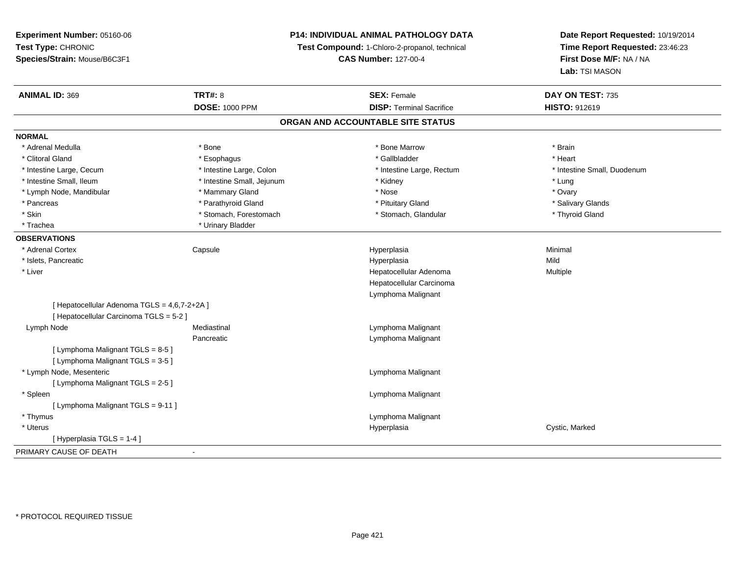**Experiment Number:** 05160-06**Test Type:** CHRONIC **Species/Strain:** Mouse/B6C3F1**P14: INDIVIDUAL ANIMAL PATHOLOGY DATATest Compound:** 1-Chloro-2-propanol, technical **CAS Number:** 127-00-4**Date Report Requested:** 10/19/2014**Time Report Requested:** 23:46:23**First Dose M/F:** NA / NA**Lab:** TSI MASON**ANIMAL ID:** 369**TRT#:** 8 **SEX:** Female **SEX: Female DAY ON TEST:** 735 **DOSE:** 1000 PPM**DISP:** Terminal Sacrifice **HISTO:** 912619 **ORGAN AND ACCOUNTABLE SITE STATUSNORMAL**\* Adrenal Medulla \* \* Annual Medulla \* Brain \* Bone \* \* Bone Marrow \* Bone Marrow \* \* Brain \* Brain \* Brain \* Brain \* Brain \* Brain \* Brain \* Brain \* Brain \* Brain \* Brain \* Brain \* Brain \* Brain \* Brain \* Brain \* Brain \* \* Heart \* Clitoral Gland \* \* \* heart \* \* Esophagus \* \* \* \* \* \* \* \* \* \* \* Gallbladder \* \* \* \* \* \* \* \* \* \* \* \* Heart \* Intestine Large, Cecum \* Intestine Large, Colon \* Intestine Large, Rectum \* Intestine Small, Duodenum \* Intestine Small, Ileum \* Intestine Small, Jejunum \* Kidney \* Lung\* Ovary \* Lymph Node, Mandibular \* Mammary Gland \* Mammary Gland \* Nose \* Nose \* Nose \* Nose \* Nose \* Nose \* Nose \* Ovary \* Nose \* Ovary \* Nose \* Ovary \* Nose \* Ovary \* Nose \* Nose \* Nose \* Nose \* Nose \* Nose \* Nose \* Nose \* Nose \* Salivary Glands \* Pancreas \* And the section of the section of the section of the section of the section of the section of the section of the section of the section of the section of the section of the section of the section of the sectio \* Skin \* Stomach, Forestomach \* Stomach \* Stomach, Glandular \* Stomach, Glandular \* Thyroid Gland \* Trachea \* Urinary Bladder**OBSERVATIONS** \* Adrenal Cortex Capsule Hyperplasia Minimal \* Islets, Pancreaticc description of the control of the control of the control of the control of the control of the control of the control of the control of the control of the control of the control of the control of the control of the contro a Mild \* Liver Hepatocellular Adenoma Multiple Hepatocellular CarcinomaLymphoma Malignant[ Hepatocellular Adenoma TGLS = 4,6,7-2+2A ][ Hepatocellular Carcinoma TGLS = 5-2 ] Lymph NodeMediastinal Mediastinal Channel Communist Lymphoma Malignant Pancreatic Lymphoma Malignant [ Lymphoma Malignant TGLS = 8-5 ][ Lymphoma Malignant TGLS = 3-5 ] \* Lymph Node, Mesenteric Lymphoma Malignant [ Lymphoma Malignant TGLS = 2-5 ] \* Spleen Lymphoma Malignant [ Lymphoma Malignant TGLS = 9-11 ] \* Thymus Lymphoma Malignant \* Uteruss and the contract of the contract of the contract of the contract of the contract of the contract of the contract of the contract of the contract of the contract of the contract of the contract of the contract of the cont Hyperplasia **Cystic, Marked** [ Hyperplasia TGLS = 1-4 ]PRIMARY CAUSE OF DEATH-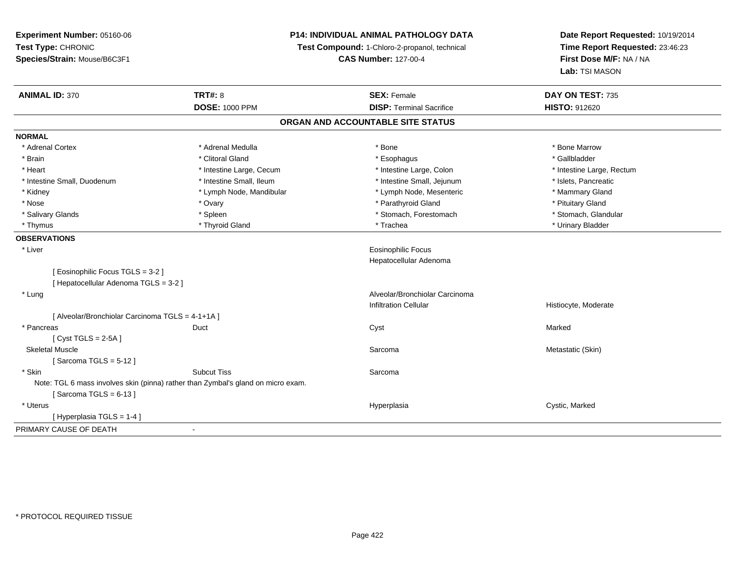**Experiment Number:** 05160-06**Test Type:** CHRONIC **Species/Strain:** Mouse/B6C3F1**P14: INDIVIDUAL ANIMAL PATHOLOGY DATATest Compound:** 1-Chloro-2-propanol, technical **CAS Number:** 127-00-4**Date Report Requested:** 10/19/2014**Time Report Requested:** 23:46:23**First Dose M/F:** NA / NA**Lab:** TSI MASON**ANIMAL ID:** 370**C TRT#:** 8 **SEX:** Female **DAY ON TEST:** 735 **DOSE:** 1000 PPM**DISP:** Terminal Sacrifice **HISTO:** 912620 **ORGAN AND ACCOUNTABLE SITE STATUSNORMAL**\* Adrenal Cortex \* Adrenal Medulla \* Adrenal Medulla \* Bone \* Bone \* Bone \* Bone \* Bone Marrow \* Gallbladder \* Brain \* Allen the second of the second of the second of the second of the second of the second of the second terms of the second of the second of the second of the second of the second of the second of the second of the \* Heart **\*** Intestine Large, Cecum **\* Intestine Large, Cecum** \* Intestine Large, Colon \* Intestine Large, Rectum \* Intestine Large, Rectum \* Intestine Small, Duodenum \* Intestine Small, Ileum \* Intestine Small, Intestine Small, Jejunum \* Islets, Pancreatic \* Mammary Gland \* Kidney **\* Lymph Node, Mandibular \*** Lymph Node, Mesenteric \* Lymph Node, Mesenteric \* Nose \* Ovary \* Ovary \* The state of the state of the state of the state of the state of the state of the state of the state of the state of the state of the state of the state of the state of the state of the state of th \* Stomach. Glandular \* Salivary Glands \* Spleen \* Spleen \* Spleen \* Stomach, Forestomach \* Stomach, Forestomach \* Thymus \* Thyroid Gland \* Trachea \* Urinary Bladder \* **OBSERVATIONS** \* Liver Eosinophilic Focus Hepatocellular Adenoma[ Eosinophilic Focus TGLS = 3-2 ][ Hepatocellular Adenoma TGLS = 3-2 ] \* Lung Alveolar/Bronchiolar Carcinoma Infiltration Cellular Histiocyte, Moderate[ Alveolar/Bronchiolar Carcinoma TGLS = 4-1+1A ] \* Pancreass the contract of the contract of the contract of the contract of the contract of the contract of the contract of the contract of the contract of the contract of the contract of the contract of the contract of the contract [ Cyst TGLS = 2-5A ] Skeletal Musclee and the state of the state of the state of the Sarcoma Sarcoma and the Sarcoma of the Metastatic (Skin)  $[$  Sarcoma TGLS = 5-12  $]$  \* Skinn and the subcut Tiss of the Subcut Tiss and the Sarcoma state of the Sarcoma state of the Sarcoma state of the Sarcoma state of the Sarcoma state of the Sarcoma state of the Sarcoma state of the Sarcoma state of the Sarco Note: TGL 6 mass involves skin (pinna) rather than Zymbal's gland on micro exam. $[$  Sarcoma TGLS = 6-13  $]$  \* Uteruss and the contract of the contract of the contract of the contract of the contract of the contract of the contract of the contract of the contract of the contract of the contract of the contract of the contract of the cont Hyperplasia **Cystic, Marked** [ Hyperplasia TGLS = 1-4 ]PRIMARY CAUSE OF DEATH-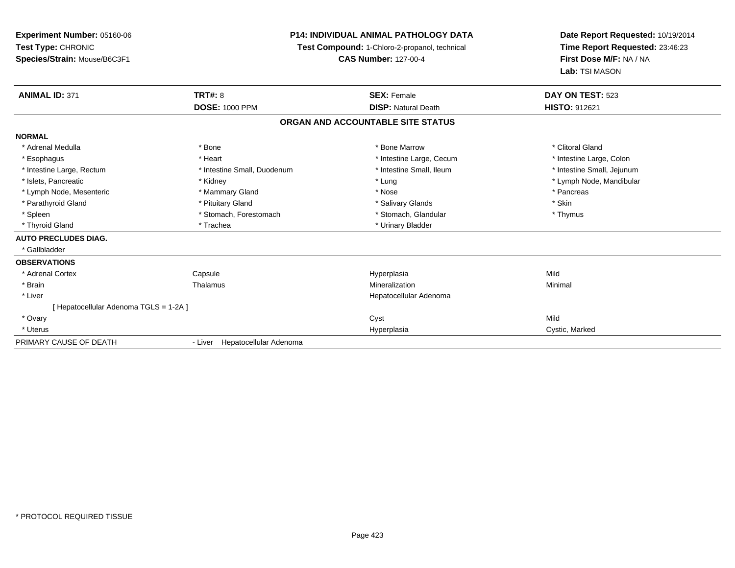**Experiment Number:** 05160-06**Test Type:** CHRONIC **Species/Strain:** Mouse/B6C3F1**P14: INDIVIDUAL ANIMAL PATHOLOGY DATATest Compound:** 1-Chloro-2-propanol, technical **CAS Number:** 127-00-4**Date Report Requested:** 10/19/2014**Time Report Requested:** 23:46:23**First Dose M/F:** NA / NA**Lab:** TSI MASON**ANIMAL ID:** 371**TRT#:** 8 **SEX:** Female **DAY ON TEST:** 523 **DOSE:** 1000 PPM**DISP:** Natural Death **HISTO:** 912621 **ORGAN AND ACCOUNTABLE SITE STATUSNORMAL**\* Adrenal Medulla \* The state of the state of the state of the state of the Marrow \* Bone Marrow \* Clitoral Gland \* Clitoral Gland \* Esophagus \* Thestine Large, Colon \* Intestine Large, Cecum \* Intestine Large, Cecum \* Intestine Large, Colon \* Intestine Large, Colon \* Intestine Large, Rectum \* Thestine Small, Duodenum \* Number of the small, Ileum \* Intestine Small, Jejunum \* Intestine Small, Jejunum \* Islets, Pancreatic \* Kidney \* Lung \* Lymph Node, Mandibular \* Lymph Node, Mesenteric \* \* The mannery Gland \* Mammary Gland \* Nose \* Nose \* \* Pancreas \* Pancreas \* Pancreas \* Parathyroid Gland \* \* Pituitary Gland \* Thuitary Gland \* Salivary Glands \* Stin \* Skin \* Skin \* Skin \* Skin \* Skin \* Skin \* Skin \* Skin \* Skin \* Skin \* Skin \* Skin \* Skin \* Skin \* Skin \* Skin \* Skin \* Skin \* Skin \* Skin \* Thymus \* Spleen \* Stomach, Forestomach \* Stomach, Glandular \* Stomach, Glandular \* Stomach, Glandular \* Thyroid Gland \* Trachea \* Trachea \* Trachea \* Urinary Bladder **AUTO PRECLUDES DIAG.** \* Gallbladder**OBSERVATIONS** \* Adrenal CortexCapsule<br>Thalamus Hyperplasia Mild \* Brainn and the matter of the Thalamus and the Minimal of the Minimal of the Minimal of the Minimal of the Minimal o<br>Thalamus and the Minimal of the Minimal of the Minimal of the Minimal of the Minimal of the Minimal of the Min \* Liver Hepatocellular Adenoma[ Hepatocellular Adenoma TGLS = 1-2A ] \* Ovaryy and the control of the control of the control of the control of the control of the control of the control of the control of the control of the control of the control of the control of the control of the control of the co a Cystic, Marked \* Uteruss and the contract of the contract of the contract of the contract of the contract of the contract of the contract of the contract of the contract of the contract of the contract of the contract of the contract of the cont PRIMARY CAUSE OF DEATH- Liver Hepatocellular Adenoma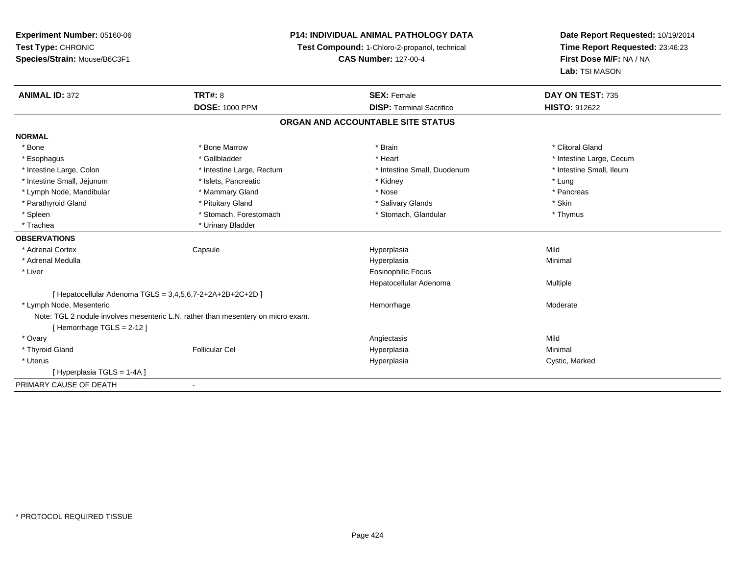**Experiment Number:** 05160-06**Test Type:** CHRONIC **Species/Strain:** Mouse/B6C3F1**P14: INDIVIDUAL ANIMAL PATHOLOGY DATATest Compound:** 1-Chloro-2-propanol, technical **CAS Number:** 127-00-4**Date Report Requested:** 10/19/2014**Time Report Requested:** 23:46:23**First Dose M/F:** NA / NA**Lab:** TSI MASON**ANIMAL ID:** 372**TRT#:** 8 **SEX:** Female **SEX: Female DAY ON TEST:** 735 **DOSE:** 1000 PPM**DISP:** Terminal Sacrifice **HISTO:** 912622 **ORGAN AND ACCOUNTABLE SITE STATUSNORMAL**\* Bone \* Bone \* And \* Bone Marrow \* And \* Bone Marrow \* And \* Brain \* Clitoral Gland \* Clitoral Gland \* Clitoral Gland \* Esophagus \* https://www.fragustage.com/web/2019/heart \* Heart \* Heart \* Heart \* Intestine Large, Cecum \* Intestine Large, Cecum \* Sallbladder \* The state of the state of the state of the state of the state of the state o \* Intestine Small, Ileum \* Intestine Large, Colon \* Intestine Large, Rectum \* Intestine Small, Duodenum \* Intestine Small, Duodenum \* Intestine Small, Jejunum \* 1992 \* The state of the state of the state of the state of the state of the state of the state of the state of the state of the state of the state of the state of the state of the state of the \* Pancreas \* Lymph Node, Mandibular \* Nose \* Mammary Gland \* Nose \* Nose \* Nose \* Pancrease \* Pancrease \* Pancrease \* Pancrease \* Pancrease \* Pancrease \* Pancrease \* Pancrease \* Pancrease \* Pancrease \* Pancrease \* Pancrease \* Pancrea \* Parathyroid Gland \* \* Pituitary Gland \* Thuitary Gland \* Salivary Glands \* Stin \* Skin \* Skin \* Skin \* Skin \* Skin \* Skin \* Skin \* Skin \* Skin \* Skin \* Skin \* Skin \* Skin \* Skin \* Skin \* Skin \* Skin \* Skin \* Skin \* Skin \* Thymus \* Spleen \* Stomach, Forestomach \* Stomach \* Stomach \* Stomach \* Stomach \* Thus \* Stomach, Glandular \* Trachea \* Urinary Bladder**OBSERVATIONS** \* Adrenal Cortex Capsule Hyperplasia Mild \* Adrenal Medullaa and the control of the control of the control of the Hyperplasia and the control of the Minimal of the control of the control of the control of the control of the control of the control of the control of the control of t \* Liver Eosinophilic Focus Hepatocellular Adenoma Multiple [ Hepatocellular Adenoma TGLS = 3,4,5,6,7-2+2A+2B+2C+2D ] \* Lymph Node, Mesentericc and the contract of the contract of the contract of the contract of the contract of the contract of the contract of the contract of the contract of the contract of the contract of the contract of the contract of the cont e Moderate Note: TGL 2 nodule involves mesenteric L.N. rather than mesentery on micro exam.[ Hemorrhage TGLS = 2-12 ] \* Ovaryy and the control of the control of the control of the control of the control of the control of the control of the control of the control of the control of the control of the control of the control of the control of the co Minimal \* Thyroid Gland Follicular Cel Hyperplasia Minimal \* Uteruss and the contract of the contract of the contract of the contract of the contract of the contract of the contract of the contract of the contract of the contract of the contract of the contract of the contract of the cont Hyperplasia **Cystic, Marked** [ Hyperplasia TGLS = 1-4A ]PRIMARY CAUSE OF DEATH-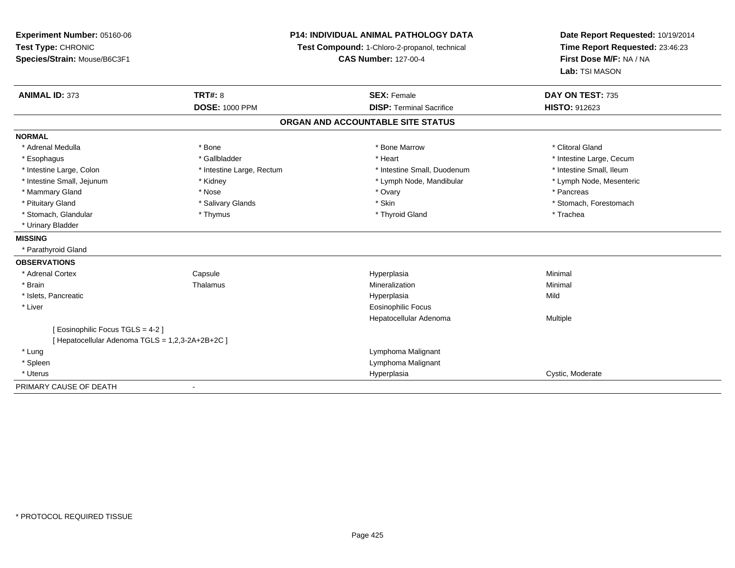| Experiment Number: 05160-06<br>Test Type: CHRONIC<br>Species/Strain: Mouse/B6C3F1 | <b>P14: INDIVIDUAL ANIMAL PATHOLOGY DATA</b><br>Test Compound: 1-Chloro-2-propanol, technical<br><b>CAS Number: 127-00-4</b> |                                   | Date Report Requested: 10/19/2014<br>Time Report Requested: 23:46:23<br>First Dose M/F: NA / NA<br>Lab: TSI MASON |
|-----------------------------------------------------------------------------------|------------------------------------------------------------------------------------------------------------------------------|-----------------------------------|-------------------------------------------------------------------------------------------------------------------|
| <b>ANIMAL ID: 373</b>                                                             | TRT#: 8                                                                                                                      | <b>SEX: Female</b>                | DAY ON TEST: 735                                                                                                  |
|                                                                                   | <b>DOSE: 1000 PPM</b>                                                                                                        | <b>DISP: Terminal Sacrifice</b>   | <b>HISTO: 912623</b>                                                                                              |
|                                                                                   |                                                                                                                              | ORGAN AND ACCOUNTABLE SITE STATUS |                                                                                                                   |
| <b>NORMAL</b>                                                                     |                                                                                                                              |                                   |                                                                                                                   |
| * Adrenal Medulla                                                                 | * Bone                                                                                                                       | * Bone Marrow                     | * Clitoral Gland                                                                                                  |
| * Esophagus                                                                       | * Gallbladder                                                                                                                | * Heart                           | * Intestine Large, Cecum                                                                                          |
| * Intestine Large, Colon                                                          | * Intestine Large, Rectum                                                                                                    | * Intestine Small, Duodenum       | * Intestine Small, Ileum                                                                                          |
| * Intestine Small, Jejunum                                                        | * Kidney                                                                                                                     | * Lymph Node, Mandibular          | * Lymph Node, Mesenteric                                                                                          |
| * Mammary Gland                                                                   | * Nose                                                                                                                       | * Ovary                           | * Pancreas                                                                                                        |
| * Pituitary Gland                                                                 | * Salivary Glands                                                                                                            | * Skin                            | * Stomach, Forestomach                                                                                            |
| * Stomach, Glandular                                                              | * Thymus                                                                                                                     | * Thyroid Gland                   | * Trachea                                                                                                         |
| * Urinary Bladder                                                                 |                                                                                                                              |                                   |                                                                                                                   |
| <b>MISSING</b>                                                                    |                                                                                                                              |                                   |                                                                                                                   |
| * Parathyroid Gland                                                               |                                                                                                                              |                                   |                                                                                                                   |
| <b>OBSERVATIONS</b>                                                               |                                                                                                                              |                                   |                                                                                                                   |
| * Adrenal Cortex                                                                  | Capsule                                                                                                                      | Hyperplasia                       | Minimal                                                                                                           |
| * Brain                                                                           | Thalamus                                                                                                                     | Mineralization                    | Minimal                                                                                                           |
| * Islets, Pancreatic                                                              |                                                                                                                              | Hyperplasia                       | Mild                                                                                                              |
| * Liver                                                                           |                                                                                                                              | <b>Eosinophilic Focus</b>         |                                                                                                                   |
|                                                                                   |                                                                                                                              | Hepatocellular Adenoma            | Multiple                                                                                                          |
| [ Eosinophilic Focus TGLS = 4-2 ]                                                 |                                                                                                                              |                                   |                                                                                                                   |
| [ Hepatocellular Adenoma TGLS = 1,2,3-2A+2B+2C ]                                  |                                                                                                                              |                                   |                                                                                                                   |
| * Lung                                                                            |                                                                                                                              | Lymphoma Malignant                |                                                                                                                   |
| * Spleen                                                                          |                                                                                                                              | Lymphoma Malignant                |                                                                                                                   |
| * Uterus                                                                          |                                                                                                                              | Hyperplasia                       | Cystic, Moderate                                                                                                  |

-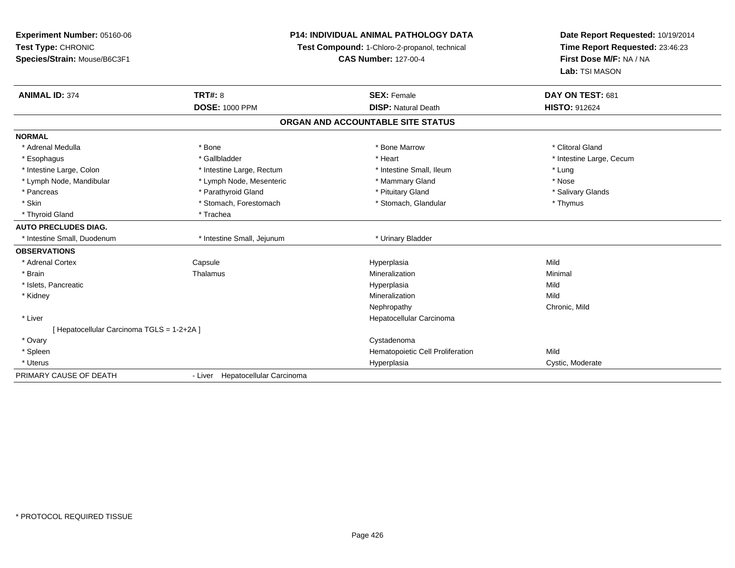| <b>Experiment Number: 05160-06</b>         | P14: INDIVIDUAL ANIMAL PATHOLOGY DATA<br>Test Compound: 1-Chloro-2-propanol, technical |                                   | Date Report Requested: 10/19/2014 |  |
|--------------------------------------------|----------------------------------------------------------------------------------------|-----------------------------------|-----------------------------------|--|
| Test Type: CHRONIC                         |                                                                                        |                                   | Time Report Requested: 23:46:23   |  |
| Species/Strain: Mouse/B6C3F1               |                                                                                        | <b>CAS Number: 127-00-4</b>       | First Dose M/F: NA / NA           |  |
|                                            |                                                                                        |                                   | Lab: TSI MASON                    |  |
| <b>ANIMAL ID: 374</b>                      | <b>TRT#: 8</b>                                                                         | <b>SEX: Female</b>                | DAY ON TEST: 681                  |  |
|                                            | <b>DOSE: 1000 PPM</b>                                                                  | <b>DISP: Natural Death</b>        | <b>HISTO: 912624</b>              |  |
|                                            |                                                                                        | ORGAN AND ACCOUNTABLE SITE STATUS |                                   |  |
| <b>NORMAL</b>                              |                                                                                        |                                   |                                   |  |
| * Adrenal Medulla                          | * Bone                                                                                 | * Bone Marrow                     | * Clitoral Gland                  |  |
| * Esophagus                                | * Gallbladder                                                                          | * Heart                           | * Intestine Large, Cecum          |  |
| * Intestine Large, Colon                   | * Intestine Large, Rectum                                                              | * Intestine Small, Ileum          | * Lung                            |  |
| * Lymph Node, Mandibular                   | * Lymph Node, Mesenteric                                                               | * Mammary Gland                   | * Nose                            |  |
| * Pancreas                                 | * Parathyroid Gland                                                                    | * Pituitary Gland                 | * Salivary Glands                 |  |
| * Skin                                     | * Stomach, Forestomach                                                                 | * Stomach, Glandular              | * Thymus                          |  |
| * Thyroid Gland                            | * Trachea                                                                              |                                   |                                   |  |
| <b>AUTO PRECLUDES DIAG.</b>                |                                                                                        |                                   |                                   |  |
| * Intestine Small, Duodenum                | * Intestine Small, Jejunum                                                             | * Urinary Bladder                 |                                   |  |
| <b>OBSERVATIONS</b>                        |                                                                                        |                                   |                                   |  |
| * Adrenal Cortex                           | Capsule                                                                                | Hyperplasia                       | Mild                              |  |
| * Brain                                    | Thalamus                                                                               | Mineralization                    | Minimal                           |  |
| * Islets, Pancreatic                       |                                                                                        | Hyperplasia                       | Mild                              |  |
| * Kidney                                   |                                                                                        | Mineralization                    | Mild                              |  |
|                                            |                                                                                        | Nephropathy                       | Chronic, Mild                     |  |
| * Liver                                    |                                                                                        | Hepatocellular Carcinoma          |                                   |  |
| [ Hepatocellular Carcinoma TGLS = 1-2+2A ] |                                                                                        |                                   |                                   |  |
| * Ovary                                    |                                                                                        | Cystadenoma                       |                                   |  |
| * Spleen                                   |                                                                                        | Hematopoietic Cell Proliferation  | Mild                              |  |
| * Uterus                                   |                                                                                        | Hyperplasia                       | Cystic, Moderate                  |  |
| PRIMARY CAUSE OF DEATH                     | - Liver Hepatocellular Carcinoma                                                       |                                   |                                   |  |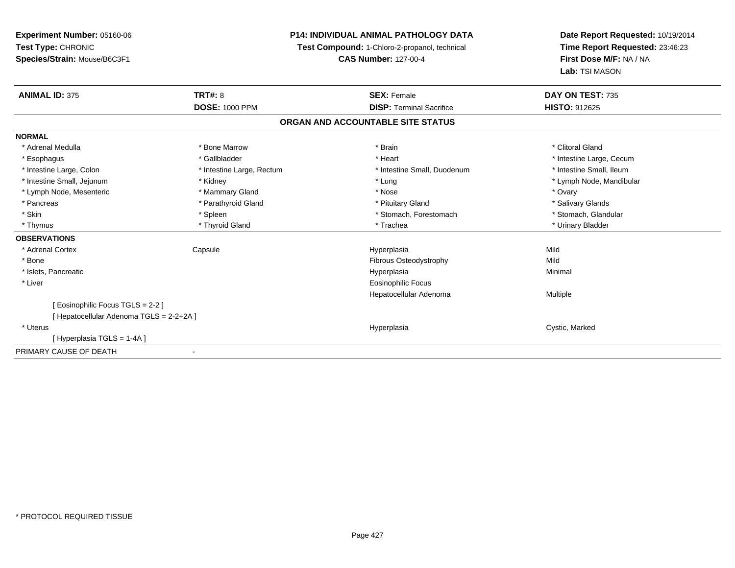**Experiment Number:** 05160-06**Test Type:** CHRONIC **Species/Strain:** Mouse/B6C3F1**P14: INDIVIDUAL ANIMAL PATHOLOGY DATATest Compound:** 1-Chloro-2-propanol, technical **CAS Number:** 127-00-4**Date Report Requested:** 10/19/2014**Time Report Requested:** 23:46:23**First Dose M/F:** NA / NA**Lab:** TSI MASON**ANIMAL ID:** 375**TRT#:** 8 **SEX:** Female **DAY ON TEST:** 735 **DOSE:** 1000 PPM**DISP:** Terminal Sacrifice **HISTO:** 912625 **ORGAN AND ACCOUNTABLE SITE STATUSNORMAL**\* Adrenal Medulla \* The state of the state of the state of the state of the state of the state of the state of the state of the state of the state of the state of the state of the state of the state of the state of the sta \* Esophagus \* https://www.fragustage.com/web/2019/heart \* Heart \* Heart \* Heart \* Intestine Large, Cecum \* Intestine Large, Cecum \* Sallbladder \* The state of the state of the state of the state of the state of the state o \* Intestine Small, Ileum \* Intestine Large, Colon \* Intestine Large, Rectum \* Intestine Small, Duodenum \* Intestine Small, Duodenum \* Intestine Small, Jejunum \* Kidney \* Lung \* Lymph Node, Mandibular\* Lymph Node, Mesenteric \* \* \* Mammary Gland \* \* Nose \* Nose \* Ovary \* Ovary \* Ovary \* Ovary \* Ovary \* Ovary \* Ovary \* Salivary Glands \* Pancreas \* And the section of the section of the section of the section of the section of the section of the section of the section of the section of the section of the section of the section of the section of the sectio \* Stomach. Glandular \* Skin \* Spleen \* Spleen \* Spleen \* Stomach, Forestomach \* Stomach, Suite and the storage \* Stomach, Glandular \* Thymus \* Thyroid Gland \* Trachea \* Urinary Bladder \* **OBSERVATIONS** \* Adrenal Cortex Capsule Hyperplasia Mild \* BoneFibrous Osteodystrophy Mild \* Islets, Pancreaticc description of the control of the control of the control of the control of the control of the control of the control of the control of the control of the control of the control of the control of the control of the contro a and a studies of the studies of the Minimal \* Liver Eosinophilic Focus Hepatocellular Adenoma Multiple [ Eosinophilic Focus TGLS = 2-2 ][ Hepatocellular Adenoma TGLS = 2-2+2A ] \* Uteruss and the contract of the contract of the contract of the contract of the contract of the contract of the contract of the contract of the contract of the contract of the contract of the contract of the contract of the cont Hyperplasia **Cystic, Marked** [ Hyperplasia TGLS = 1-4A ]PRIMARY CAUSE OF DEATH-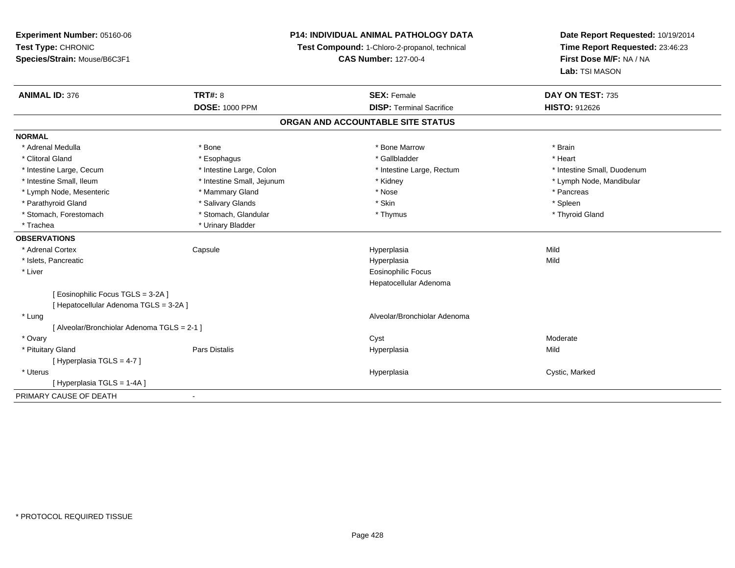| Experiment Number: 05160-06                 | <b>P14: INDIVIDUAL ANIMAL PATHOLOGY DATA</b><br>Test Compound: 1-Chloro-2-propanol, technical |                                                       | Date Report Requested: 10/19/2014<br>Time Report Requested: 23:46:23 |
|---------------------------------------------|-----------------------------------------------------------------------------------------------|-------------------------------------------------------|----------------------------------------------------------------------|
| Test Type: CHRONIC                          |                                                                                               |                                                       |                                                                      |
| Species/Strain: Mouse/B6C3F1                |                                                                                               | <b>CAS Number: 127-00-4</b>                           | First Dose M/F: NA / NA                                              |
|                                             |                                                                                               |                                                       | Lab: TSI MASON                                                       |
| <b>ANIMAL ID: 376</b>                       | <b>TRT#: 8</b>                                                                                | <b>SEX: Female</b><br><b>DISP: Terminal Sacrifice</b> | DAY ON TEST: 735<br><b>HISTO: 912626</b>                             |
|                                             | <b>DOSE: 1000 PPM</b>                                                                         |                                                       |                                                                      |
|                                             |                                                                                               | ORGAN AND ACCOUNTABLE SITE STATUS                     |                                                                      |
| <b>NORMAL</b>                               |                                                                                               |                                                       |                                                                      |
| * Adrenal Medulla                           | * Bone                                                                                        | * Bone Marrow                                         | * Brain                                                              |
| * Clitoral Gland                            | * Esophagus                                                                                   | * Gallbladder                                         | * Heart                                                              |
| * Intestine Large, Cecum                    | * Intestine Large, Colon                                                                      | * Intestine Large, Rectum                             | * Intestine Small, Duodenum                                          |
| * Intestine Small, Ileum                    | * Intestine Small, Jejunum                                                                    | * Kidney                                              | * Lymph Node, Mandibular                                             |
| * Lymph Node, Mesenteric                    | * Mammary Gland                                                                               | * Nose                                                | * Pancreas                                                           |
| * Parathyroid Gland                         | * Salivary Glands                                                                             | * Skin                                                | * Spleen                                                             |
| * Stomach, Forestomach                      | * Stomach, Glandular                                                                          | * Thymus                                              | * Thyroid Gland                                                      |
| * Trachea                                   | * Urinary Bladder                                                                             |                                                       |                                                                      |
| <b>OBSERVATIONS</b>                         |                                                                                               |                                                       |                                                                      |
| * Adrenal Cortex                            | Capsule                                                                                       | Hyperplasia                                           | Mild                                                                 |
| * Islets, Pancreatic                        |                                                                                               | Hyperplasia                                           | Mild                                                                 |
| * Liver                                     |                                                                                               | <b>Eosinophilic Focus</b>                             |                                                                      |
|                                             |                                                                                               | Hepatocellular Adenoma                                |                                                                      |
| [Eosinophilic Focus TGLS = 3-2A]            |                                                                                               |                                                       |                                                                      |
| [ Hepatocellular Adenoma TGLS = 3-2A ]      |                                                                                               |                                                       |                                                                      |
| * Lung                                      |                                                                                               | Alveolar/Bronchiolar Adenoma                          |                                                                      |
| [ Alveolar/Bronchiolar Adenoma TGLS = 2-1 ] |                                                                                               |                                                       |                                                                      |
| * Ovary                                     |                                                                                               | Cyst                                                  | Moderate                                                             |
| * Pituitary Gland                           | Pars Distalis                                                                                 | Hyperplasia                                           | Mild                                                                 |
| [Hyperplasia TGLS = 4-7]                    |                                                                                               |                                                       |                                                                      |
| * Uterus                                    |                                                                                               | Hyperplasia                                           | Cystic, Marked                                                       |
| [ Hyperplasia TGLS = 1-4A ]                 |                                                                                               |                                                       |                                                                      |
| PRIMARY CAUSE OF DEATH                      | $\blacksquare$                                                                                |                                                       |                                                                      |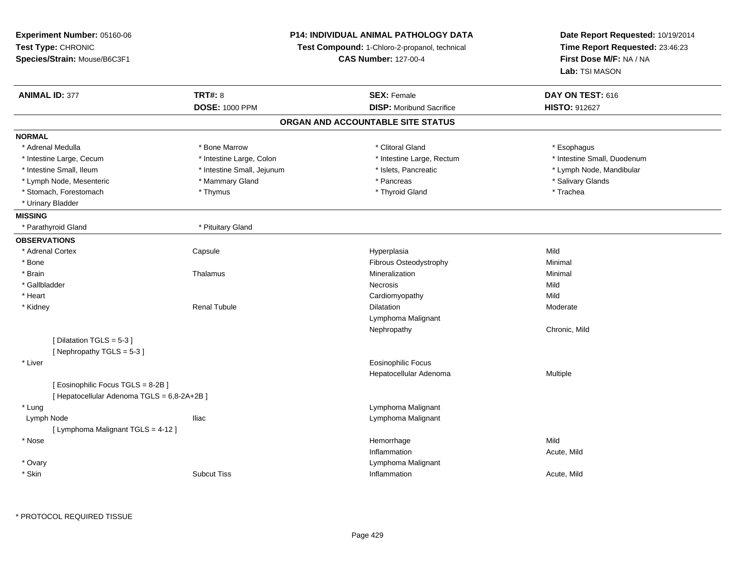| Experiment Number: 05160-06                                                     |                                               | <b>P14: INDIVIDUAL ANIMAL PATHOLOGY DATA</b> | Date Report Requested: 10/19/2014 |
|---------------------------------------------------------------------------------|-----------------------------------------------|----------------------------------------------|-----------------------------------|
| Test Type: CHRONIC                                                              | Test Compound: 1-Chloro-2-propanol, technical |                                              | Time Report Requested: 23:46:23   |
| Species/Strain: Mouse/B6C3F1                                                    |                                               | <b>CAS Number: 127-00-4</b>                  | First Dose M/F: NA / NA           |
|                                                                                 |                                               |                                              | Lab: TSI MASON                    |
| <b>ANIMAL ID: 377</b>                                                           | <b>TRT#: 8</b>                                | <b>SEX: Female</b>                           | DAY ON TEST: 616                  |
|                                                                                 | <b>DOSE: 1000 PPM</b>                         | <b>DISP:</b> Moribund Sacrifice              | HISTO: 912627                     |
|                                                                                 |                                               | ORGAN AND ACCOUNTABLE SITE STATUS            |                                   |
| <b>NORMAL</b>                                                                   |                                               |                                              |                                   |
| * Adrenal Medulla                                                               | * Bone Marrow                                 | * Clitoral Gland                             | * Esophagus                       |
| * Intestine Large, Cecum                                                        | * Intestine Large, Colon                      | * Intestine Large, Rectum                    | * Intestine Small, Duodenum       |
| * Intestine Small, Ileum                                                        | * Intestine Small, Jejunum                    | * Islets, Pancreatic                         | * Lymph Node, Mandibular          |
| * Lymph Node, Mesenteric                                                        | * Mammary Gland                               | * Pancreas                                   | * Salivary Glands                 |
| * Stomach, Forestomach                                                          | * Thymus                                      | * Thyroid Gland                              | * Trachea                         |
| * Urinary Bladder                                                               |                                               |                                              |                                   |
| <b>MISSING</b>                                                                  |                                               |                                              |                                   |
| * Parathyroid Gland                                                             | * Pituitary Gland                             |                                              |                                   |
| <b>OBSERVATIONS</b>                                                             |                                               |                                              |                                   |
| * Adrenal Cortex                                                                | Capsule                                       | Hyperplasia                                  | Mild                              |
| * Bone                                                                          |                                               | Fibrous Osteodystrophy                       | Minimal                           |
| * Brain                                                                         | Thalamus                                      | Mineralization                               | Minimal                           |
| * Gallbladder                                                                   |                                               | <b>Necrosis</b>                              | Mild                              |
| * Heart                                                                         |                                               | Cardiomyopathy                               | Mild                              |
| * Kidney                                                                        | Renal Tubule                                  | Dilatation                                   | Moderate                          |
|                                                                                 |                                               | Lymphoma Malignant                           |                                   |
|                                                                                 |                                               | Nephropathy                                  | Chronic, Mild                     |
| [Dilatation TGLS = 5-3]<br>[Nephropathy TGLS = 5-3]                             |                                               |                                              |                                   |
| * Liver                                                                         |                                               | <b>Eosinophilic Focus</b>                    |                                   |
|                                                                                 |                                               | Hepatocellular Adenoma                       | Multiple                          |
| [Eosinophilic Focus TGLS = 8-2B]<br>[ Hepatocellular Adenoma TGLS = 6,8-2A+2B ] |                                               |                                              |                                   |
| * Lung                                                                          |                                               | Lymphoma Malignant                           |                                   |
| Lymph Node                                                                      | lliac                                         | Lymphoma Malignant                           |                                   |
| [ Lymphoma Malignant TGLS = 4-12 ]                                              |                                               |                                              |                                   |
| * Nose                                                                          |                                               | Hemorrhage                                   | Mild                              |
|                                                                                 |                                               | Inflammation                                 | Acute, Mild                       |
| * Ovary                                                                         |                                               | Lymphoma Malignant                           |                                   |
| * Skin                                                                          | <b>Subcut Tiss</b>                            | Inflammation                                 | Acute, Mild                       |
|                                                                                 |                                               |                                              |                                   |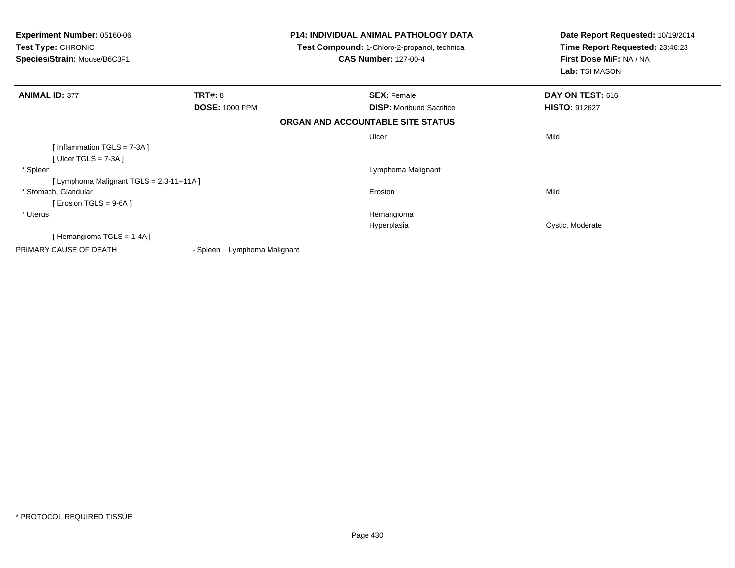| <b>Experiment Number: 05160-06</b><br>Test Type: CHRONIC<br>Species/Strain: Mouse/B6C3F1 |                             | <b>P14: INDIVIDUAL ANIMAL PATHOLOGY DATA</b><br><b>Test Compound: 1-Chloro-2-propanol, technical</b><br><b>CAS Number: 127-00-4</b> | Date Report Requested: 10/19/2014<br>Time Report Requested: 23:46:23<br>First Dose M/F: NA / NA<br>Lab: TSI MASON |
|------------------------------------------------------------------------------------------|-----------------------------|-------------------------------------------------------------------------------------------------------------------------------------|-------------------------------------------------------------------------------------------------------------------|
| <b>ANIMAL ID: 377</b>                                                                    | <b>TRT#: 8</b>              | <b>SEX: Female</b>                                                                                                                  | DAY ON TEST: 616                                                                                                  |
|                                                                                          | <b>DOSE: 1000 PPM</b>       | <b>DISP:</b> Moribund Sacrifice                                                                                                     | <b>HISTO: 912627</b>                                                                                              |
|                                                                                          |                             | ORGAN AND ACCOUNTABLE SITE STATUS                                                                                                   |                                                                                                                   |
|                                                                                          |                             | Ulcer                                                                                                                               | Mild                                                                                                              |
| [Inflammation TGLS = $7-3A$ ]                                                            |                             |                                                                                                                                     |                                                                                                                   |
| [Ulcer TGLS = $7-3A$ ]                                                                   |                             |                                                                                                                                     |                                                                                                                   |
| * Spleen                                                                                 |                             | Lymphoma Malignant                                                                                                                  |                                                                                                                   |
| [ Lymphoma Malignant TGLS = 2,3-11+11A ]                                                 |                             |                                                                                                                                     |                                                                                                                   |
| * Stomach, Glandular                                                                     |                             | Erosion                                                                                                                             | Mild                                                                                                              |
| [ Erosion TGLS = $9-6A$ ]                                                                |                             |                                                                                                                                     |                                                                                                                   |
| * Uterus                                                                                 |                             | Hemangioma                                                                                                                          |                                                                                                                   |
|                                                                                          |                             | Hyperplasia                                                                                                                         | Cystic, Moderate                                                                                                  |
| [Hemangioma TGLS = 1-4A]                                                                 |                             |                                                                                                                                     |                                                                                                                   |
| PRIMARY CAUSE OF DEATH                                                                   | - Spleen Lymphoma Malignant |                                                                                                                                     |                                                                                                                   |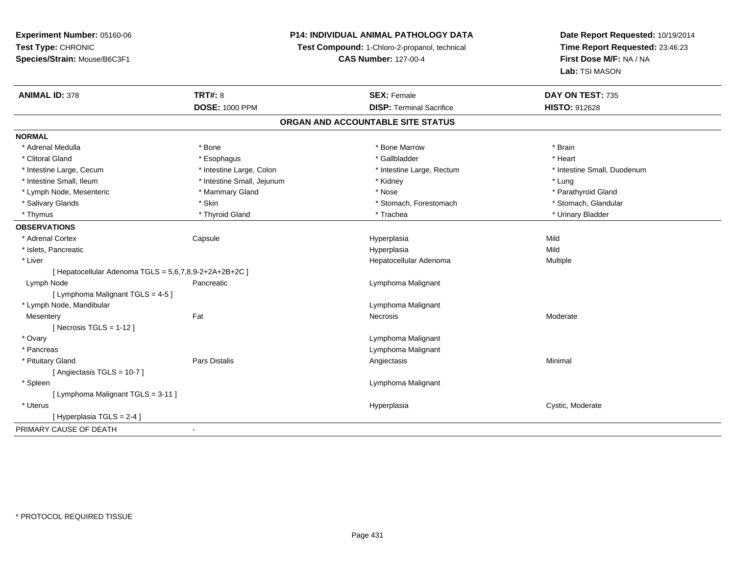# **P14: INDIVIDUAL ANIMAL PATHOLOGY DATA**

**Test Compound:** 1-Chloro-2-propanol, technical

**CAS Number:** 127-00-4

| <b>ANIMAL ID: 378</b>                                  | <b>TRT#: 8</b>             | <b>SEX: Female</b>              | DAY ON TEST: 735            |  |
|--------------------------------------------------------|----------------------------|---------------------------------|-----------------------------|--|
|                                                        | <b>DOSE: 1000 PPM</b>      | <b>DISP: Terminal Sacrifice</b> | HISTO: 912628               |  |
| ORGAN AND ACCOUNTABLE SITE STATUS                      |                            |                                 |                             |  |
| <b>NORMAL</b>                                          |                            |                                 |                             |  |
| * Adrenal Medulla                                      | * Bone                     | * Bone Marrow                   | * Brain                     |  |
| * Clitoral Gland                                       | * Esophagus                | * Gallbladder                   | * Heart                     |  |
| * Intestine Large, Cecum                               | * Intestine Large, Colon   | * Intestine Large, Rectum       | * Intestine Small, Duodenum |  |
| * Intestine Small, Ileum                               | * Intestine Small, Jejunum | * Kidney                        | * Lung                      |  |
| * Lymph Node, Mesenteric                               | * Mammary Gland            | * Nose                          | * Parathyroid Gland         |  |
| * Salivary Glands                                      | * Skin                     | * Stomach, Forestomach          | * Stomach, Glandular        |  |
| * Thymus                                               | * Thyroid Gland            | * Trachea                       | * Urinary Bladder           |  |
| <b>OBSERVATIONS</b>                                    |                            |                                 |                             |  |
| * Adrenal Cortex                                       | Capsule                    | Hyperplasia                     | Mild                        |  |
| * Islets, Pancreatic                                   |                            | Hyperplasia                     | Mild                        |  |
| * Liver                                                |                            | Hepatocellular Adenoma          | Multiple                    |  |
| [ Hepatocellular Adenoma TGLS = 5,6,7,8,9-2+2A+2B+2C ] |                            |                                 |                             |  |
| Lymph Node                                             | Pancreatic                 | Lymphoma Malignant              |                             |  |
| [ Lymphoma Malignant TGLS = 4-5 ]                      |                            |                                 |                             |  |
| * Lymph Node, Mandibular                               |                            | Lymphoma Malignant              |                             |  |
| Mesentery                                              | Fat                        | Necrosis                        | Moderate                    |  |
| [ Necrosis $TGLS = 1-12$ ]                             |                            |                                 |                             |  |
| * Ovary                                                |                            | Lymphoma Malignant              |                             |  |
| * Pancreas                                             |                            | Lymphoma Malignant              |                             |  |
| * Pituitary Gland                                      | Pars Distalis              | Angiectasis                     | Minimal                     |  |
| [Angiectasis TGLS = 10-7]                              |                            |                                 |                             |  |
| * Spleen                                               |                            | Lymphoma Malignant              |                             |  |
| [ Lymphoma Malignant TGLS = 3-11 ]                     |                            |                                 |                             |  |
| * Uterus                                               |                            | Hyperplasia                     | Cystic, Moderate            |  |
| [Hyperplasia TGLS = $2-4$ ]                            |                            |                                 |                             |  |
| PRIMARY CAUSE OF DEATH                                 | $\blacksquare$             |                                 |                             |  |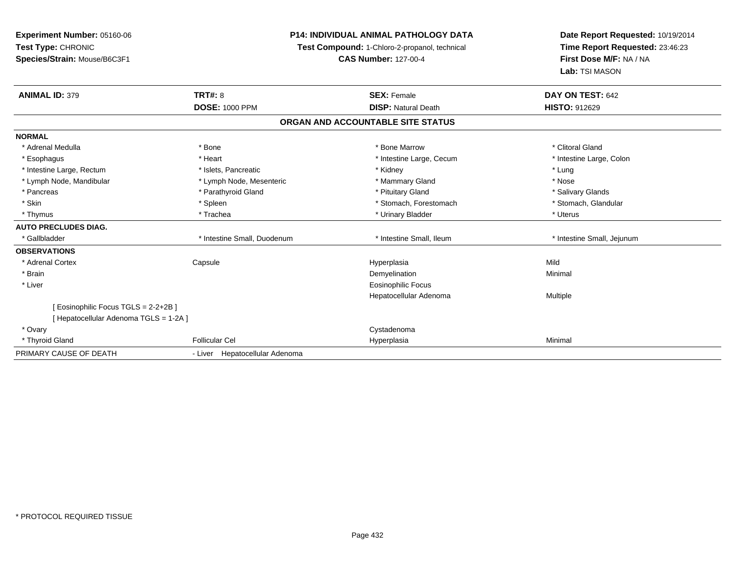**Experiment Number:** 05160-06**Test Type:** CHRONIC **Species/Strain:** Mouse/B6C3F1**P14: INDIVIDUAL ANIMAL PATHOLOGY DATATest Compound:** 1-Chloro-2-propanol, technical **CAS Number:** 127-00-4**Date Report Requested:** 10/19/2014**Time Report Requested:** 23:46:23**First Dose M/F:** NA / NA**Lab:** TSI MASON**ANIMAL ID:** 379**TRT#:** 8 **SEX:** Female **SEX: Female DAY ON TEST:** 642 **DOSE:** 1000 PPM**DISP:** Natural Death **HISTO:** 912629 **ORGAN AND ACCOUNTABLE SITE STATUSNORMAL**\* Adrenal Medulla \* The state of the state of the state of the state of the Marrow \* Bone Marrow \* Clitoral Gland \* Clitoral Gland \* Intestine Large, Colon \* Esophagus \* **Heart \* Intestine Large, Cecum \* Intestine Large, Cecum \*** Intestine Large, Cecum \* Intestine Large, Rectum \* \* 19ets, Pancreatic \* \* Kidney \* Kidney \* Lung \* Lung \* Lung \* Lung \* Lung \* Lung \* Lung \* Lung \* Lung \* Lung \* Lung \* Lung \* Lung \* Lung \* Lung \* Lung \* Lung \* Lung \* Lung \* Lung \* Lung \* Lung \* Nose \* Lymph Node, Mandibular \* Lymph Node, Mesenteric \* Mammary Gland \* Mammary Gland \* Salivary Glands \* Pancreas \* And the section of the section of the section of the section of the section of the section of the section of the section of the section of the section of the section of the section of the section of the sectio \* Stomach, Glandular \* Skin \* Spleen \* Spleen \* Stomach, Forestomach \* Stomach, Forestomach \* Stomach, Forestomach \* Thymus \* Trachea \* Trachea \* Trachea \* Urinary Bladder \* \* Urinary Bladder \* \* Uterus \* Uterus \* Uterus \* Uterus **AUTO PRECLUDES DIAG.**\* Gallbladder **\* Intestine Small, Duodenum** \* Intestine Small, Ileum \* Intestine Small, Ileum \* Intestine Small, Jejunum **OBSERVATIONS** \* Adrenal Cortex**Capsule**  Hyperplasia Mild \* Brainn and the control of the control of the control of the control of the control of the control of the control of the control of the control of the control of the control of the control of the control of the control of the co \* Liver Eosinophilic Focus Hepatocellular Adenoma Multiple [ Eosinophilic Focus TGLS = 2-2+2B ][ Hepatocellular Adenoma TGLS = 1-2A ] \* Ovaryy the control of the control of the control of the control of the control of the control of the control of the control of the control of the control of the control of the control of the control of the control of the contro \* Thyroid Gland Follicular Cel Hyperplasia Minimal PRIMARY CAUSE OF DEATH- Liver Hepatocellular Adenoma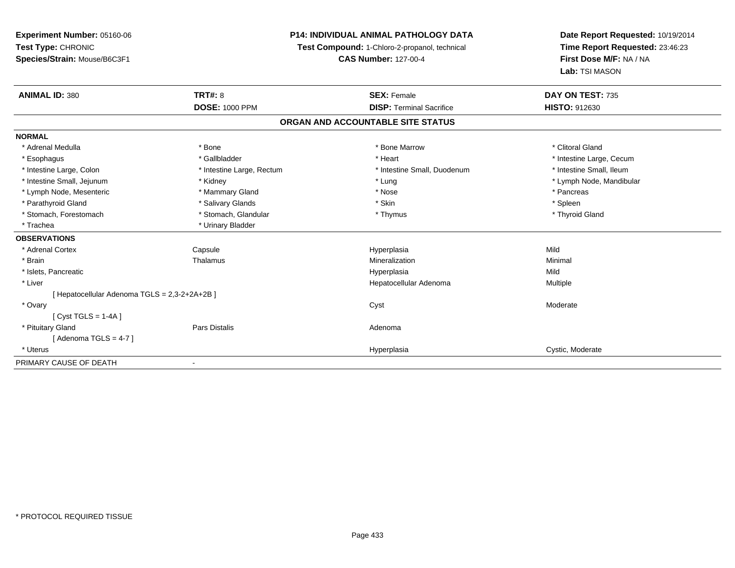**Experiment Number:** 05160-06**Test Type:** CHRONIC **Species/Strain:** Mouse/B6C3F1**P14: INDIVIDUAL ANIMAL PATHOLOGY DATATest Compound:** 1-Chloro-2-propanol, technical **CAS Number:** 127-00-4**Date Report Requested:** 10/19/2014**Time Report Requested:** 23:46:23**First Dose M/F:** NA / NA**Lab:** TSI MASON**ANIMAL ID:** 380**C TRT#:** 8 **SEX:** Female **DAY ON TEST:** 735 **DOSE:** 1000 PPM**DISP:** Terminal Sacrifice **HISTO:** 912630 **ORGAN AND ACCOUNTABLE SITE STATUSNORMAL**\* Adrenal Medulla \* The state of the state of the state of the state of the Marrow \* Bone Marrow \* Clitoral Gland \* Clitoral Gland \* Esophagus \* https://www.fragustage.com/web/2019/heart \* Heart \* Heart \* Heart \* Intestine Large, Cecum \* Intestine Large, Cecum \* Sallbladder \* The state of the state of the state of the state of the state of the state o \* Intestine Small, Ileum \* Intestine Large, Colon \* Intestine Large, Rectum \* Intestine Small, Duodenum \* Intestine Small, Duodenum \* Intestine Small, Jejunum \* Kidney \* Lung \* Lymph Node, Mandibular\* Lymph Node, Mesenteric \* \* The mannery Gland \* Mammary Gland \* Nose \* Nose \* \* Pancreas \* Pancreas \* Pancreas \* Parathyroid Gland \* \* Salivary Glands \* Salivary Glands \* Skin \* Skin \* State \* Spleen \* Spleen \* Spleen \* Spleen \* Thyroid Gland \* Stomach, Forestomach \* Thymus \* Stomach, Glandular \* Thymus \* Thymus \* Thymus \* Thymus \* Thymus \* Thymus \* Thymus \* Thymus \* Thymus \* Thymus \* Thymus \* Thymus \* Thymus \* Thymus \* Thymus \* Thymus \* Thymus \* Thymus \* Thymu \* Trachea \* Urinary Bladder**OBSERVATIONS** \* Adrenal Cortex Capsule Hyperplasia Mild \* Brainn and the Thalamus and the Minimal and Mineralization and Minimal Minimal and Minimal and Minimal and Minimal  $\mu$  \* Islets, Pancreaticc description of the control of the control of the control of the control of the control of the control of the control of the control of the control of the control of the control of the control of the control of the contro a Mild \* Liver Hepatocellular Adenoma Multiple [ Hepatocellular Adenoma TGLS = 2,3-2+2A+2B ] \* Ovaryy and the control of the control of the control of the control of the control of the control of the control of the control of the control of the control of the control of the control of the control of the control of the co [ Cyst TGLS = 1-4A ] \* Pituitary Glandd and the contract of Pars Distalis and the contract of Adenoma and Adenoma and the Adenoma and the Adenoma and  $\lambda$  $[$  Adenoma TGLS = 4-7  $]$  \* Uteruss and the contract of the contract of the contract of the contract of the contract of the contract of the contract of the contract of the contract of the contract of the contract of the contract of the contract of the cont Hyperplasia Cystic, Moderate PRIMARY CAUSE OF DEATH-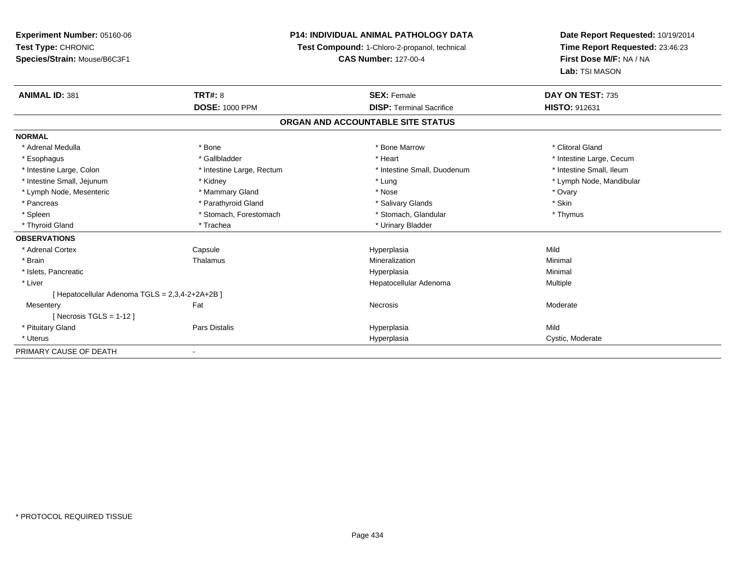# **P14: INDIVIDUAL ANIMAL PATHOLOGY DATA**

**Test Compound:** 1-Chloro-2-propanol, technical

**CAS Number:** 127-00-4

| <b>ANIMAL ID: 381</b>                           | <b>TRT#: 8</b>            | <b>SEX: Female</b>                | DAY ON TEST: 735         |  |
|-------------------------------------------------|---------------------------|-----------------------------------|--------------------------|--|
|                                                 | <b>DOSE: 1000 PPM</b>     | <b>DISP: Terminal Sacrifice</b>   | <b>HISTO: 912631</b>     |  |
|                                                 |                           | ORGAN AND ACCOUNTABLE SITE STATUS |                          |  |
| <b>NORMAL</b>                                   |                           |                                   |                          |  |
| * Adrenal Medulla                               | * Bone                    | * Bone Marrow                     | * Clitoral Gland         |  |
| * Esophagus                                     | * Gallbladder             | * Heart                           | * Intestine Large, Cecum |  |
| * Intestine Large, Colon                        | * Intestine Large, Rectum | * Intestine Small, Duodenum       | * Intestine Small, Ileum |  |
| * Intestine Small, Jejunum                      | * Kidney                  | * Lung                            | * Lymph Node, Mandibular |  |
| * Lymph Node, Mesenteric                        | * Mammary Gland           | * Nose                            | * Ovary                  |  |
| * Pancreas                                      | * Parathyroid Gland       | * Salivary Glands                 | * Skin                   |  |
| * Spleen                                        | * Stomach, Forestomach    | * Stomach, Glandular              | * Thymus                 |  |
| * Thyroid Gland                                 | * Trachea                 | * Urinary Bladder                 |                          |  |
| <b>OBSERVATIONS</b>                             |                           |                                   |                          |  |
| * Adrenal Cortex                                | Capsule                   | Hyperplasia                       | Mild                     |  |
| * Brain                                         | Thalamus                  | Mineralization                    | Minimal                  |  |
| * Islets, Pancreatic                            |                           | Hyperplasia                       | Minimal                  |  |
| * Liver                                         |                           | Hepatocellular Adenoma            | Multiple                 |  |
| [ Hepatocellular Adenoma TGLS = 2,3,4-2+2A+2B ] |                           |                                   |                          |  |
| Mesentery                                       | Fat                       | Necrosis                          | Moderate                 |  |
| [ Necrosis TGLS = $1-12$ ]                      |                           |                                   |                          |  |
| * Pituitary Gland                               | Pars Distalis             | Hyperplasia                       | Mild                     |  |
| * Uterus                                        |                           | Hyperplasia                       | Cystic, Moderate         |  |
| PRIMARY CAUSE OF DEATH                          |                           |                                   |                          |  |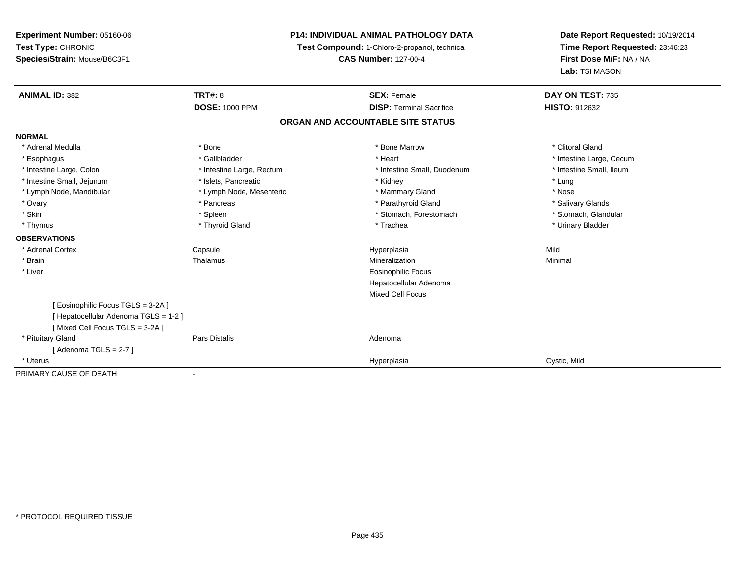**Experiment Number:** 05160-06**Test Type:** CHRONIC **Species/Strain:** Mouse/B6C3F1**P14: INDIVIDUAL ANIMAL PATHOLOGY DATATest Compound:** 1-Chloro-2-propanol, technical **CAS Number:** 127-00-4**Date Report Requested:** 10/19/2014**Time Report Requested:** 23:46:23**First Dose M/F:** NA / NA**Lab:** TSI MASON**ANIMAL ID:** 382**TRT#:** 8 **SEX:** Female **SEX: Female DAY ON TEST:** 735 **DOSE:** 1000 PPM**DISP:** Terminal Sacrifice **HISTO:** 912632 **ORGAN AND ACCOUNTABLE SITE STATUSNORMAL**\* Adrenal Medulla \* The state of the state of the state of the state of the Marrow \* Bone Marrow \* Clitoral Gland \* Clitoral Gland \* Esophagus \* https://www.fragustage.com/web/2019/heart \* Heart \* Heart \* Heart \* Intestine Large, Cecum \* Intestine Large, Cecum \* Sallbladder \* The state of the state of the state of the state of the state of the state o \* Intestine Small, Ileum \* Intestine Large, Colon \* Intestine Large, Rectum \* Intestine Small, Duodenum \* Intestine Small, Duodenum \* Intestine Small, Jejunum \* The matches of the state of the state of the state of the state of the state of the state of the state of the state of the state of the state of the state of the state of the state of the state \* Nose \* Lymph Node, Mandibular \* Lymph Node, Mesenteric \* Mammary Gland \* Mammary Gland \* Salivary Glands \* Ovary \* \* Pancreas \* \* Pancreas \* \* Pancreas \* \* Parathyroid Gland \* \* Salivary Glands \* Salivary Glands \* Salivary Glands \* Salivary Glands \* Salivary Glands \* Salivary Glands \* Salivary Glands \* \* Salivary Glands \* \* S \* Stomach. Glandular \* Skin \* Stomach, Forestomach \* Spleen \* Stomach, Forestomach \* Stomach, Forestomach \* Thymus \* Thyroid Gland \* Trachea \* Urinary Bladder \* **OBSERVATIONS** \* Adrenal Cortex Capsule Hyperplasia Mild \* Brainn and the Thalamus and the Minimal and Mineralization and Minimal Minimal and Minimal and Minimal and Minimal  $\mu$  \* Liver Eosinophilic Focus Hepatocellular AdenomaMixed Cell Focus[ Eosinophilic Focus TGLS = 3-2A ][ Hepatocellular Adenoma TGLS = 1-2 ][ Mixed Cell Focus TGLS = 3-2A ] \* Pituitary Glandd and the contract of Pars Distalis and the contract of Adenoma and Adenoma and the Adenoma and the Adenoma and  $\lambda$  $[$  Adenoma TGLS = 2-7  $]$  \* Uteruss and the contract of the contract of the contract of the contract of the contract of the contract of the contract of the contract of the contract of the contract of the contract of the contract of the contract of the cont Hyperplasia Cystic, Mild PRIMARY CAUSE OF DEATH-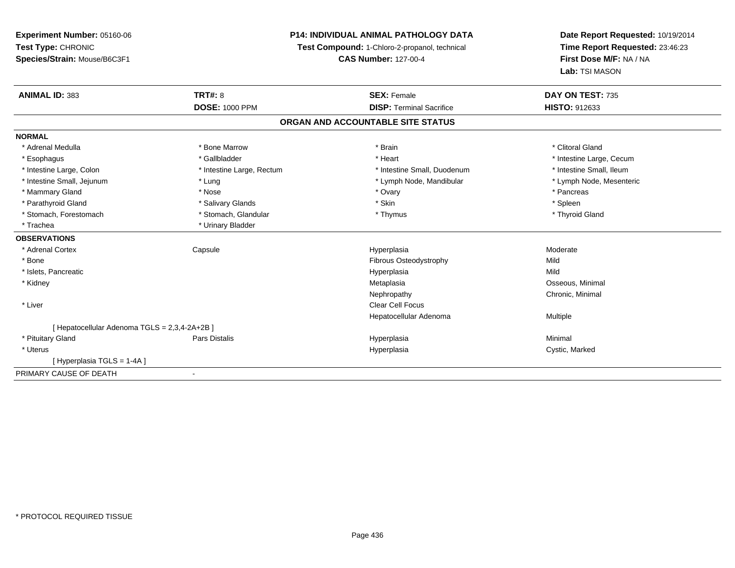**Experiment Number:** 05160-06**Test Type:** CHRONIC **Species/Strain:** Mouse/B6C3F1**P14: INDIVIDUAL ANIMAL PATHOLOGY DATATest Compound:** 1-Chloro-2-propanol, technical **CAS Number:** 127-00-4**Date Report Requested:** 10/19/2014**Time Report Requested:** 23:46:23**First Dose M/F:** NA / NA**Lab:** TSI MASON**ANIMAL ID:** 383**TRT#:** 8 **SEX:** Female **SEX: Female DAY ON TEST:** 735 **DOSE:** 1000 PPM**DISP:** Terminal Sacrifice **HISTO:** 912633 **ORGAN AND ACCOUNTABLE SITE STATUSNORMAL**\* Adrenal Medulla \* The state of the state of the state of the state of the state of the state of the state of the state of the state of the state of the state of the state of the state of the state of the state of the sta \* Esophagus \* https://www.fragustage.com/web/2019/heart \* Heart \* Heart \* Heart \* Intestine Large, Cecum \* Intestine Large, Cecum \* Sallbladder \* The state of the state of the state of the state of the state of the state o \* Intestine Small, Ileum \* Intestine Large, Colon \* Intestine Large, Rectum \* Intestine Small, Duodenum \* Intestine Small, Duodenum \* Lymph Node, Mesenteric \* Intestine Small, Jejunum \* The material and the state of the state of the state of the state of the state of the state of the state of the state of the state of the state of the state of the state of the state of the sta \* Mammary Gland \* \* Andrew \* Nose \* \* Nose \* \* Ovary \* Ovary \* Ovary \* \* Ovary \* \* Pancreas \* \* Pancreas \* \* Pancreas \* \* Pancreas \* \* Pancreas \* \* Pancreas \* \* Pancreas \* \* Pancreas \* \* Pancreas \* \* Pancreas \* \* Pancreas \* Parathyroid Gland \* \* Salivary Glands \* Salivary Glands \* Skin \* Skin \* State \* Spleen \* Spleen \* Spleen \* Spleen \* Thyroid Gland \* Stomach, Forestomach \* Thymus \* Stomach, Glandular \* Thymus \* Thymus \* Thymus \* Thymus \* Thymus \* Thymus \* Thymus \* Thymus \* Thymus \* Thymus \* Thymus \* Thymus \* Thymus \* Thymus \* Thymus \* Thymus \* Thymus \* Thymus \* Thymu \* Trachea \* Urinary Bladder**OBSERVATIONS** \* Adrenal Cortex Capsulee and the Hyperplasia measurement of the Moderate of the Moderate of the Moderate of the Moderate of the Moderate of the Moderate of the Moderate of the Moderate of the Moderate of the Moderate of the Moderate of the Moder \* BoneFibrous Osteodystrophy and a memory of Mild<br>Hyperplasia Mild \* Islets, Pancreaticc description of the control of the control of the control of the control of the control of the control of the control of the control of the control of the control of the control of the control of the control of the contro a Mild \* Kidneyy and the control of the control of the control of the control of the control of the control of the control of the control of the control of the control of the control of the control of the control of the control of the co Metaplasia **Matagoria and Matagoria and Matagoria and Osseous**, Minimal Nephropathy Chronic, Minimal \* Liver Clear Cell Focus Hepatocellular Adenoma Multiple [ Hepatocellular Adenoma TGLS = 2,3,4-2A+2B ] \* Pituitary Gland Pars Distalis Hyperplasia Minimal \* Uteruss and the contract of the contract of the contract of the contract of the contract of the contract of the contract of the contract of the contract of the contract of the contract of the contract of the contract of the cont Hyperplasia **Cystic, Marked** [ Hyperplasia TGLS = 1-4A ]PRIMARY CAUSE OF DEATH-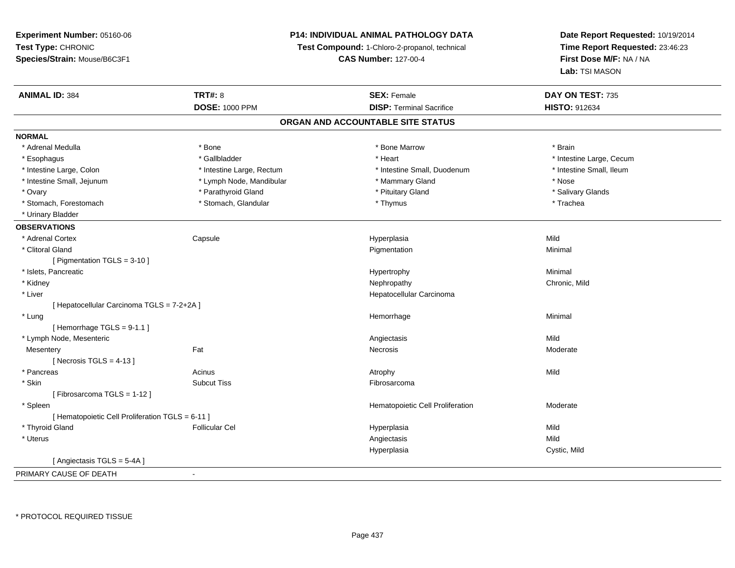**Experiment Number:** 05160-06**Test Type:** CHRONIC **Species/Strain:** Mouse/B6C3F1**P14: INDIVIDUAL ANIMAL PATHOLOGY DATATest Compound:** 1-Chloro-2-propanol, technical **CAS Number:** 127-00-4**Date Report Requested:** 10/19/2014**Time Report Requested:** 23:46:23**First Dose M/F:** NA / NA**Lab:** TSI MASON**ANIMAL ID:** 384**TRT#:** 8 **SEX:** Female **DAY ON TEST:** 735 **DOSE:** 1000 PPM**DISP:** Terminal Sacrifice **HISTO:** 912634 **ORGAN AND ACCOUNTABLE SITE STATUSNORMAL**\* Adrenal Medulla \* \* Annual Medulla \* Brain \* Bone \* \* Bone Marrow \* Bone Marrow \* \* Brain \* Brain \* Brain \* Brain \* Brain \* Brain \* Brain \* Brain \* Brain \* Brain \* Brain \* Brain \* Brain \* Brain \* Brain \* Brain \* Brain \* \* Esophagus \* https://www.fragustage.com/web/2019/heart \* Heart \* Heart \* Heart \* Intestine Large, Cecum \* Intestine Large, Cecum \* Sallbladder \* The state of the state of the state of the state of the state of the state o \* Intestine Small. Ileum \* Intestine Large, Colon \* Intestine Large, Rectum \* Intestine Small, Duodenum \* Intestine Small, Duodenum \* Intestine Small, Jejunum \* The mand \* Lymph Node, Mandibular \* Mammary Gland \* Mose \* Nose \* Nose \* Salivary Glands \* Ovary \* \* Parathyroid Gland \* \* Parathyroid Gland \* \* Parathyroid Gland \* \* Parathyroid Gland \* \* Salivary Glands \* Salivary Glands \* \* Salivary Glands \* \* Salivary Glands \* \* Salivary Glands \* \* Salivary Glands \* \* Sali \* Stomach, Forestomach \* Trachea \* Stomach, Glandular \* Thymus \* Thymus \* The metal \* Trachea \* Urinary Bladder**OBSERVATIONS** \* Adrenal Cortex Capsule Hyperplasia Mild \* Clitoral Glandd and the control of the control of the control of the Pigmentation and the control of the Minimal of the control of the control of the control of the control of the control of the control of the control of the control of [ Pigmentation TGLS = 3-10 ] \* Islets, Pancreaticc contract the contract of the contract of the contract of the Hypertrophy  $\sim$  Minimal Minimal  $\sim$  Minimal  $\sim$  \* Kidneyy the controller of the controller of the controller of the controller of the controller of the chronic, Mild \* Liver Hepatocellular Carcinoma[ Hepatocellular Carcinoma TGLS = 7-2+2A ] \* Lungg and the state of the state of the state of the state of the Minimal Section 1, the state of the state of the Minimal Section 1, the state of the state of the state of the state of the state of the state of the state of t  $[$  Hemorrhage TGLS = 9-1.1  $]$  \* Lymph Node, Mesenteric Angiectasis MildModerate **Mesentery** y the control of the set of the control of the Moderate of the Moderate of the Moderate of the Moderate of the Moderate of the Moderate of the Moderate of the Moderate of the Moderate of the Moderate of the Moderate of the  $[$  Necrosis TGLS = 4-13  $]$  \* Pancreass and the contract of the Acinus and Acinus and Acinus and Acinus Atrophy and Acinus and Mild \* Skinn and the subcut Tiss the subset of the set of the set of the set of the set of the set of the set of the set o [ Fibrosarcoma TGLS = 1-12 ] \* SpleenHematopoietic Cell Proliferation Moderate [ Hematopoietic Cell Proliferation TGLS = 6-11 ] \* Thyroid Gland Follicular Cel Hyperplasia Mild \* Uteruss and the control of the control of the control of the control of the control of the control of the control of the control of the control of the control of the control of the control of the control of the control of the co a Cystic, Mild Hyperplasia[ Angiectasis TGLS = 5-4A ]PRIMARY CAUSE OF DEATH-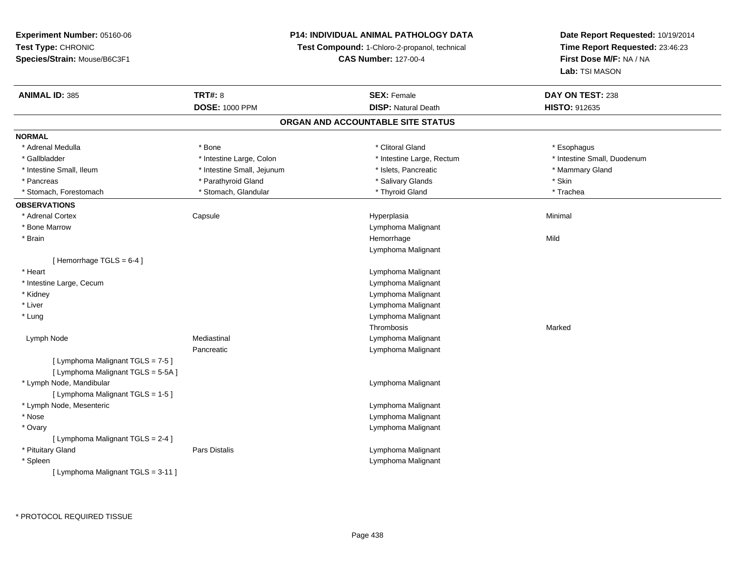### **P14: INDIVIDUAL ANIMAL PATHOLOGY DATA**

**Test Compound:** 1-Chloro-2-propanol, technical

**CAS Number:** 127-00-4

| ORGAN AND ACCOUNTABLE SITE STATUS<br><b>NORMAL</b><br>* Adrenal Medulla<br>* Bone<br>* Clitoral Gland<br>* Esophagus<br>* Intestine Large, Colon<br>* Intestine Small, Duodenum<br>* Gallbladder<br>* Intestine Large, Rectum<br>* Intestine Small, Ileum<br>* Intestine Small, Jejunum<br>* Mammary Gland<br>* Islets, Pancreatic<br>* Skin<br>* Parathyroid Gland<br>* Salivary Glands<br>* Pancreas<br>* Stomach, Glandular<br>* Thyroid Gland<br>* Trachea<br>* Stomach, Forestomach<br><b>OBSERVATIONS</b><br>* Adrenal Cortex<br>Minimal<br>Capsule<br>Hyperplasia<br>* Bone Marrow<br>Lymphoma Malignant<br>Mild<br>* Brain<br>Hemorrhage<br>Lymphoma Malignant<br>[Hemorrhage $TGLS = 6-4$ ]<br>* Heart<br>Lymphoma Malignant<br>* Intestine Large, Cecum<br>Lymphoma Malignant<br>* Kidney<br>Lymphoma Malignant<br>* Liver<br>Lymphoma Malignant<br>Lymphoma Malignant<br>* Lung<br>Thrombosis<br>Marked<br>Mediastinal<br>Lymph Node<br>Lymphoma Malignant<br>Pancreatic<br>Lymphoma Malignant<br>[ Lymphoma Malignant TGLS = 7-5 ]<br>[ Lymphoma Malignant TGLS = 5-5A ]<br>* Lymph Node, Mandibular<br>Lymphoma Malignant<br>[ Lymphoma Malignant TGLS = 1-5 ]<br>* Lymph Node, Mesenteric<br>Lymphoma Malignant<br>* Nose<br>Lymphoma Malignant<br>* Ovary<br>Lymphoma Malignant<br>[ Lymphoma Malignant TGLS = 2-4 ]<br>* Pituitary Gland<br>Lymphoma Malignant<br>Pars Distalis<br>Lymphoma Malignant<br>* Spleen<br>[ Lymphoma Malignant TGLS = 3-11 ] | <b>ANIMAL ID: 385</b> | <b>TRT#: 8</b>        | <b>SEX: Female</b>         | DAY ON TEST: 238     |
|-------------------------------------------------------------------------------------------------------------------------------------------------------------------------------------------------------------------------------------------------------------------------------------------------------------------------------------------------------------------------------------------------------------------------------------------------------------------------------------------------------------------------------------------------------------------------------------------------------------------------------------------------------------------------------------------------------------------------------------------------------------------------------------------------------------------------------------------------------------------------------------------------------------------------------------------------------------------------------------------------------------------------------------------------------------------------------------------------------------------------------------------------------------------------------------------------------------------------------------------------------------------------------------------------------------------------------------------------------------------------------------------------------------------------------------------------------------------------|-----------------------|-----------------------|----------------------------|----------------------|
|                                                                                                                                                                                                                                                                                                                                                                                                                                                                                                                                                                                                                                                                                                                                                                                                                                                                                                                                                                                                                                                                                                                                                                                                                                                                                                                                                                                                                                                                         |                       | <b>DOSE: 1000 PPM</b> | <b>DISP: Natural Death</b> | <b>HISTO: 912635</b> |
|                                                                                                                                                                                                                                                                                                                                                                                                                                                                                                                                                                                                                                                                                                                                                                                                                                                                                                                                                                                                                                                                                                                                                                                                                                                                                                                                                                                                                                                                         |                       |                       |                            |                      |
|                                                                                                                                                                                                                                                                                                                                                                                                                                                                                                                                                                                                                                                                                                                                                                                                                                                                                                                                                                                                                                                                                                                                                                                                                                                                                                                                                                                                                                                                         |                       |                       |                            |                      |
|                                                                                                                                                                                                                                                                                                                                                                                                                                                                                                                                                                                                                                                                                                                                                                                                                                                                                                                                                                                                                                                                                                                                                                                                                                                                                                                                                                                                                                                                         |                       |                       |                            |                      |
|                                                                                                                                                                                                                                                                                                                                                                                                                                                                                                                                                                                                                                                                                                                                                                                                                                                                                                                                                                                                                                                                                                                                                                                                                                                                                                                                                                                                                                                                         |                       |                       |                            |                      |
|                                                                                                                                                                                                                                                                                                                                                                                                                                                                                                                                                                                                                                                                                                                                                                                                                                                                                                                                                                                                                                                                                                                                                                                                                                                                                                                                                                                                                                                                         |                       |                       |                            |                      |
|                                                                                                                                                                                                                                                                                                                                                                                                                                                                                                                                                                                                                                                                                                                                                                                                                                                                                                                                                                                                                                                                                                                                                                                                                                                                                                                                                                                                                                                                         |                       |                       |                            |                      |
|                                                                                                                                                                                                                                                                                                                                                                                                                                                                                                                                                                                                                                                                                                                                                                                                                                                                                                                                                                                                                                                                                                                                                                                                                                                                                                                                                                                                                                                                         |                       |                       |                            |                      |
|                                                                                                                                                                                                                                                                                                                                                                                                                                                                                                                                                                                                                                                                                                                                                                                                                                                                                                                                                                                                                                                                                                                                                                                                                                                                                                                                                                                                                                                                         |                       |                       |                            |                      |
|                                                                                                                                                                                                                                                                                                                                                                                                                                                                                                                                                                                                                                                                                                                                                                                                                                                                                                                                                                                                                                                                                                                                                                                                                                                                                                                                                                                                                                                                         |                       |                       |                            |                      |
|                                                                                                                                                                                                                                                                                                                                                                                                                                                                                                                                                                                                                                                                                                                                                                                                                                                                                                                                                                                                                                                                                                                                                                                                                                                                                                                                                                                                                                                                         |                       |                       |                            |                      |
|                                                                                                                                                                                                                                                                                                                                                                                                                                                                                                                                                                                                                                                                                                                                                                                                                                                                                                                                                                                                                                                                                                                                                                                                                                                                                                                                                                                                                                                                         |                       |                       |                            |                      |
|                                                                                                                                                                                                                                                                                                                                                                                                                                                                                                                                                                                                                                                                                                                                                                                                                                                                                                                                                                                                                                                                                                                                                                                                                                                                                                                                                                                                                                                                         |                       |                       |                            |                      |
|                                                                                                                                                                                                                                                                                                                                                                                                                                                                                                                                                                                                                                                                                                                                                                                                                                                                                                                                                                                                                                                                                                                                                                                                                                                                                                                                                                                                                                                                         |                       |                       |                            |                      |
|                                                                                                                                                                                                                                                                                                                                                                                                                                                                                                                                                                                                                                                                                                                                                                                                                                                                                                                                                                                                                                                                                                                                                                                                                                                                                                                                                                                                                                                                         |                       |                       |                            |                      |
|                                                                                                                                                                                                                                                                                                                                                                                                                                                                                                                                                                                                                                                                                                                                                                                                                                                                                                                                                                                                                                                                                                                                                                                                                                                                                                                                                                                                                                                                         |                       |                       |                            |                      |
|                                                                                                                                                                                                                                                                                                                                                                                                                                                                                                                                                                                                                                                                                                                                                                                                                                                                                                                                                                                                                                                                                                                                                                                                                                                                                                                                                                                                                                                                         |                       |                       |                            |                      |
|                                                                                                                                                                                                                                                                                                                                                                                                                                                                                                                                                                                                                                                                                                                                                                                                                                                                                                                                                                                                                                                                                                                                                                                                                                                                                                                                                                                                                                                                         |                       |                       |                            |                      |
|                                                                                                                                                                                                                                                                                                                                                                                                                                                                                                                                                                                                                                                                                                                                                                                                                                                                                                                                                                                                                                                                                                                                                                                                                                                                                                                                                                                                                                                                         |                       |                       |                            |                      |
|                                                                                                                                                                                                                                                                                                                                                                                                                                                                                                                                                                                                                                                                                                                                                                                                                                                                                                                                                                                                                                                                                                                                                                                                                                                                                                                                                                                                                                                                         |                       |                       |                            |                      |
|                                                                                                                                                                                                                                                                                                                                                                                                                                                                                                                                                                                                                                                                                                                                                                                                                                                                                                                                                                                                                                                                                                                                                                                                                                                                                                                                                                                                                                                                         |                       |                       |                            |                      |
|                                                                                                                                                                                                                                                                                                                                                                                                                                                                                                                                                                                                                                                                                                                                                                                                                                                                                                                                                                                                                                                                                                                                                                                                                                                                                                                                                                                                                                                                         |                       |                       |                            |                      |
|                                                                                                                                                                                                                                                                                                                                                                                                                                                                                                                                                                                                                                                                                                                                                                                                                                                                                                                                                                                                                                                                                                                                                                                                                                                                                                                                                                                                                                                                         |                       |                       |                            |                      |
|                                                                                                                                                                                                                                                                                                                                                                                                                                                                                                                                                                                                                                                                                                                                                                                                                                                                                                                                                                                                                                                                                                                                                                                                                                                                                                                                                                                                                                                                         |                       |                       |                            |                      |
|                                                                                                                                                                                                                                                                                                                                                                                                                                                                                                                                                                                                                                                                                                                                                                                                                                                                                                                                                                                                                                                                                                                                                                                                                                                                                                                                                                                                                                                                         |                       |                       |                            |                      |
|                                                                                                                                                                                                                                                                                                                                                                                                                                                                                                                                                                                                                                                                                                                                                                                                                                                                                                                                                                                                                                                                                                                                                                                                                                                                                                                                                                                                                                                                         |                       |                       |                            |                      |
|                                                                                                                                                                                                                                                                                                                                                                                                                                                                                                                                                                                                                                                                                                                                                                                                                                                                                                                                                                                                                                                                                                                                                                                                                                                                                                                                                                                                                                                                         |                       |                       |                            |                      |
|                                                                                                                                                                                                                                                                                                                                                                                                                                                                                                                                                                                                                                                                                                                                                                                                                                                                                                                                                                                                                                                                                                                                                                                                                                                                                                                                                                                                                                                                         |                       |                       |                            |                      |
|                                                                                                                                                                                                                                                                                                                                                                                                                                                                                                                                                                                                                                                                                                                                                                                                                                                                                                                                                                                                                                                                                                                                                                                                                                                                                                                                                                                                                                                                         |                       |                       |                            |                      |
|                                                                                                                                                                                                                                                                                                                                                                                                                                                                                                                                                                                                                                                                                                                                                                                                                                                                                                                                                                                                                                                                                                                                                                                                                                                                                                                                                                                                                                                                         |                       |                       |                            |                      |
|                                                                                                                                                                                                                                                                                                                                                                                                                                                                                                                                                                                                                                                                                                                                                                                                                                                                                                                                                                                                                                                                                                                                                                                                                                                                                                                                                                                                                                                                         |                       |                       |                            |                      |
|                                                                                                                                                                                                                                                                                                                                                                                                                                                                                                                                                                                                                                                                                                                                                                                                                                                                                                                                                                                                                                                                                                                                                                                                                                                                                                                                                                                                                                                                         |                       |                       |                            |                      |
|                                                                                                                                                                                                                                                                                                                                                                                                                                                                                                                                                                                                                                                                                                                                                                                                                                                                                                                                                                                                                                                                                                                                                                                                                                                                                                                                                                                                                                                                         |                       |                       |                            |                      |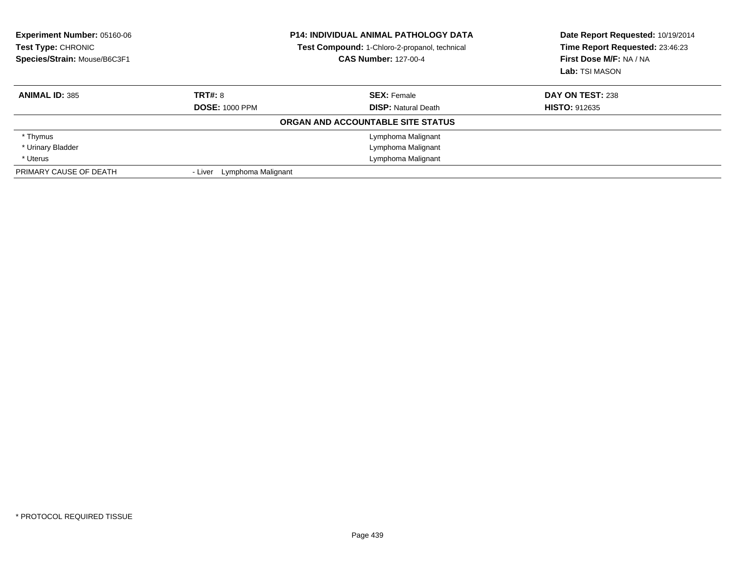| <b>Experiment Number: 05160-06</b><br>Test Type: CHRONIC<br>Species/Strain: Mouse/B6C3F1 |                               | <b>P14: INDIVIDUAL ANIMAL PATHOLOGY DATA</b><br>Test Compound: 1-Chloro-2-propanol, technical<br><b>CAS Number: 127-00-4</b> | Date Report Requested: 10/19/2014<br>Time Report Requested: 23:46:23<br>First Dose M/F: NA / NA<br>Lab: TSI MASON |
|------------------------------------------------------------------------------------------|-------------------------------|------------------------------------------------------------------------------------------------------------------------------|-------------------------------------------------------------------------------------------------------------------|
| <b>ANIMAL ID: 385</b>                                                                    | TRT#: 8                       | <b>SEX: Female</b>                                                                                                           | DAY ON TEST: 238                                                                                                  |
|                                                                                          | <b>DOSE: 1000 PPM</b>         | <b>DISP:</b> Natural Death                                                                                                   | <b>HISTO: 912635</b>                                                                                              |
|                                                                                          |                               | <b>ORGAN AND ACCOUNTABLE SITE STATUS</b>                                                                                     |                                                                                                                   |
| * Thymus                                                                                 |                               | Lymphoma Malignant                                                                                                           |                                                                                                                   |
| * Urinary Bladder                                                                        |                               | Lymphoma Malignant                                                                                                           |                                                                                                                   |
| * Uterus                                                                                 |                               | Lymphoma Malignant                                                                                                           |                                                                                                                   |
| PRIMARY CAUSE OF DEATH                                                                   | Lymphoma Malignant<br>- Liver |                                                                                                                              |                                                                                                                   |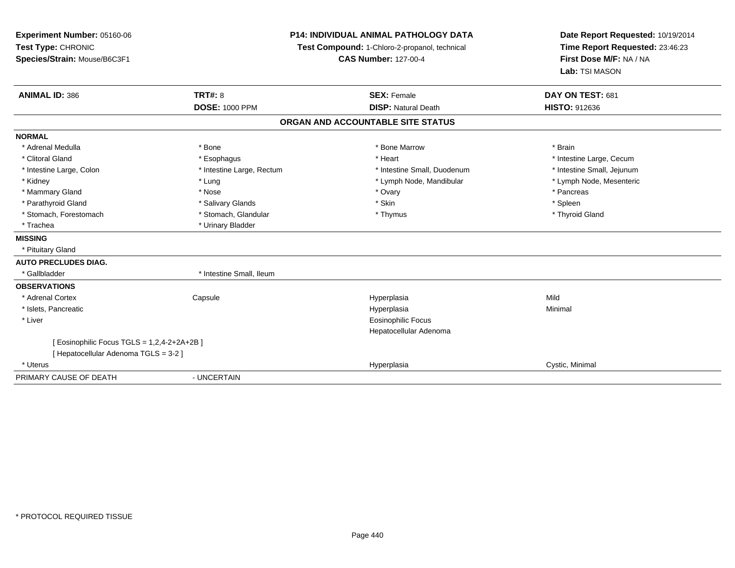**Experiment Number:** 05160-06**Test Type:** CHRONIC **Species/Strain:** Mouse/B6C3F1**P14: INDIVIDUAL ANIMAL PATHOLOGY DATATest Compound:** 1-Chloro-2-propanol, technical **CAS Number:** 127-00-4**Date Report Requested:** 10/19/2014**Time Report Requested:** 23:46:23**First Dose M/F:** NA / NA**Lab:** TSI MASON**ANIMAL ID:** 386 **TRT#:** <sup>8</sup> **SEX:** Female **DAY ON TEST:** <sup>681</sup> **DOSE:** 1000 PPM**DISP:** Natural Death **HISTO:** 912636 **ORGAN AND ACCOUNTABLE SITE STATUSNORMAL**\* Adrenal Medulla \* \* Annual Medulla \* Brain \* Bone \* \* Bone Marrow \* Bone Marrow \* \* Brain \* Brain \* Brain \* Brain \* Brain \* Brain \* Brain \* Brain \* Brain \* Brain \* Brain \* Brain \* Brain \* Brain \* Brain \* Brain \* Brain \* \* Clitoral Gland \* \* exphagus \* Esophagus \* \* Heart \* Heart \* Intestine Large, Cecum \* Intestine Small, Jejunum \* Intestine Large, Colon \* Intestine Large, Rectum \* Intestine Small, Duodenum \* Intestine Small, Duodenum \* Lymph Node, Mesenteric \* Kidney \* Lung \* Lung \* Lung \* Lung \* Lower \* Lymph Node, Mandibular \* Lymph Node, Mandibular \* Mammary Gland \* \* Andrew \* Nose \* \* Nose \* \* Ovary \* Ovary \* Ovary \* \* Ovary \* \* Pancreas \* \* Pancreas \* \* Pancreas \* \* Pancreas \* \* Pancreas \* \* Pancreas \* \* Pancreas \* \* Pancreas \* \* Pancreas \* \* Pancreas \* \* Pancreas \* Parathyroid Gland \* \* Salivary Glands \* Salivary Glands \* Skin \* Skin \* State \* Spleen \* Spleen \* Spleen \* Spleen \* Thyroid Gland \* Stomach, Forestomach \* Thymus \* Stomach, Glandular \* Thymus \* Thymus \* Thymus \* Thymus \* Thymus \* Thymus \* Thymus \* Thymus \* Thymus \* Thymus \* Thymus \* Thymus \* Thymus \* Thymus \* Thymus \* Thymus \* Thymus \* Thymus \* Thymu \* Trachea \* Urinary Bladder**MISSING** \* Pituitary Gland**AUTO PRECLUDES DIAG.**\* Gallbladder \* 10. block \* Intestine Small, Ileum **OBSERVATIONS** \* Adrenal Cortex**Capsule**  Hyperplasia Mild \* Islets, Pancreaticc and the contract of the contract of the contract of the contract of the contract of the contract of the contract of the contract of the contract of the contract of the contract of the contract of the contract of the cont a **Minimal**  \* Liver Eosinophilic Focus Hepatocellular Adenoma[ Eosinophilic Focus TGLS = 1,2,4-2+2A+2B ][ Hepatocellular Adenoma TGLS = 3-2 ] \* Uteruss and the control of the control of the control of the control of the control of the control of the control of the control of the control of the control of the control of the control of the control of the control of the co Hyperplasia **Cystic, Minimal** PRIMARY CAUSE OF DEATH- UNCERTAIN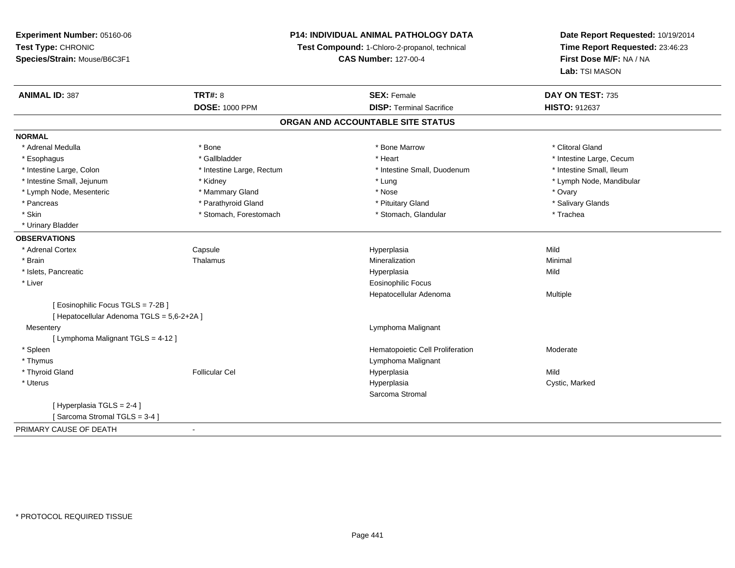### **P14: INDIVIDUAL ANIMAL PATHOLOGY DATA**

**Test Compound:** 1-Chloro-2-propanol, technical

**CAS Number:** 127-00-4

| <b>ANIMAL ID: 387</b>                      | <b>TRT#: 8</b>            | <b>SEX: Female</b>                | DAY ON TEST: 735         |
|--------------------------------------------|---------------------------|-----------------------------------|--------------------------|
|                                            | <b>DOSE: 1000 PPM</b>     | <b>DISP: Terminal Sacrifice</b>   | <b>HISTO: 912637</b>     |
|                                            |                           | ORGAN AND ACCOUNTABLE SITE STATUS |                          |
| <b>NORMAL</b>                              |                           |                                   |                          |
| * Adrenal Medulla                          | * Bone                    | * Bone Marrow                     | * Clitoral Gland         |
| * Esophagus                                | * Gallbladder             | * Heart                           | * Intestine Large, Cecum |
| * Intestine Large, Colon                   | * Intestine Large, Rectum | * Intestine Small, Duodenum       | * Intestine Small, Ileum |
| * Intestine Small, Jejunum                 | * Kidney                  | * Lung                            | * Lymph Node, Mandibular |
| * Lymph Node, Mesenteric                   | * Mammary Gland           | * Nose                            | * Ovary                  |
| * Pancreas                                 | * Parathyroid Gland       | * Pituitary Gland                 | * Salivary Glands        |
| * Skin                                     | * Stomach, Forestomach    | * Stomach, Glandular              | * Trachea                |
| * Urinary Bladder                          |                           |                                   |                          |
| <b>OBSERVATIONS</b>                        |                           |                                   |                          |
| * Adrenal Cortex                           | Capsule                   | Hyperplasia                       | Mild                     |
| * Brain                                    | Thalamus                  | Mineralization                    | Minimal                  |
| * Islets, Pancreatic                       |                           | Hyperplasia                       | Mild                     |
| * Liver                                    |                           | <b>Eosinophilic Focus</b>         |                          |
|                                            |                           | Hepatocellular Adenoma            | Multiple                 |
| [Eosinophilic Focus TGLS = 7-2B]           |                           |                                   |                          |
| [ Hepatocellular Adenoma TGLS = 5,6-2+2A ] |                           |                                   |                          |
| Mesentery                                  |                           | Lymphoma Malignant                |                          |
| [ Lymphoma Malignant TGLS = 4-12 ]         |                           |                                   |                          |
| * Spleen                                   |                           | Hematopoietic Cell Proliferation  | Moderate                 |
| * Thymus                                   |                           | Lymphoma Malignant                |                          |
| * Thyroid Gland                            | <b>Follicular Cel</b>     | Hyperplasia                       | Mild                     |
| * Uterus                                   |                           | Hyperplasia                       | Cystic, Marked           |
|                                            |                           | Sarcoma Stromal                   |                          |
| [ Hyperplasia TGLS = 2-4 ]                 |                           |                                   |                          |
| [Sarcoma Stromal TGLS = 3-4]               |                           |                                   |                          |
| PRIMARY CAUSE OF DEATH                     |                           |                                   |                          |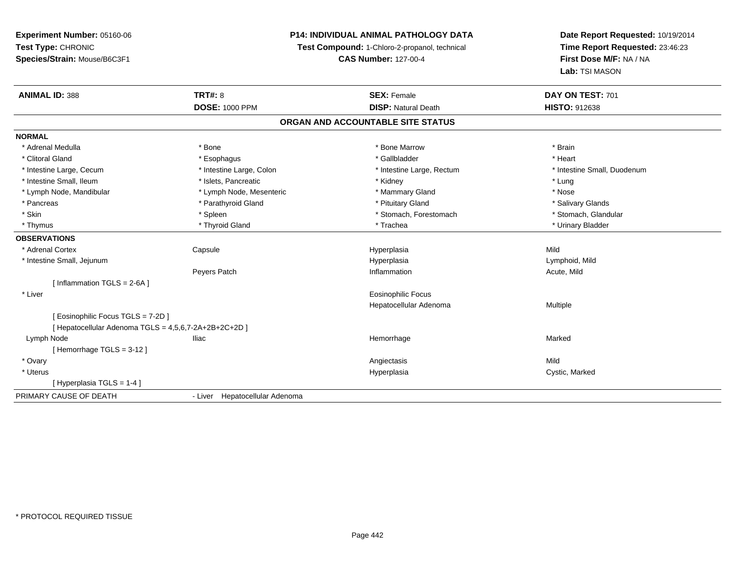### **P14: INDIVIDUAL ANIMAL PATHOLOGY DATA**

**Test Compound:** 1-Chloro-2-propanol, technical

**CAS Number:** 127-00-4

| <b>ANIMAL ID: 388</b>                                 | <b>TRT#: 8</b>                 | <b>SEX: Female</b>                | DAY ON TEST: 701            |
|-------------------------------------------------------|--------------------------------|-----------------------------------|-----------------------------|
|                                                       | <b>DOSE: 1000 PPM</b>          | <b>DISP: Natural Death</b>        | <b>HISTO: 912638</b>        |
|                                                       |                                | ORGAN AND ACCOUNTABLE SITE STATUS |                             |
| <b>NORMAL</b>                                         |                                |                                   |                             |
| * Adrenal Medulla                                     | * Bone                         | * Bone Marrow                     | * Brain                     |
| * Clitoral Gland                                      | * Esophagus                    | * Gallbladder                     | * Heart                     |
| * Intestine Large, Cecum                              | * Intestine Large, Colon       | * Intestine Large, Rectum         | * Intestine Small, Duodenum |
| * Intestine Small, Ileum                              | * Islets, Pancreatic           | * Kidney                          | * Lung                      |
| * Lymph Node, Mandibular                              | * Lymph Node, Mesenteric       | * Mammary Gland                   | * Nose                      |
| * Pancreas                                            | * Parathyroid Gland            | * Pituitary Gland                 | * Salivary Glands           |
| * Skin                                                | * Spleen                       | * Stomach, Forestomach            | * Stomach, Glandular        |
| * Thymus                                              | * Thyroid Gland                | * Trachea                         | * Urinary Bladder           |
| <b>OBSERVATIONS</b>                                   |                                |                                   |                             |
| * Adrenal Cortex                                      | Capsule                        | Hyperplasia                       | Mild                        |
| * Intestine Small, Jejunum                            |                                | Hyperplasia                       | Lymphoid, Mild              |
|                                                       | Peyers Patch                   | Inflammation                      | Acute, Mild                 |
| [Inflammation TGLS = $2-6A$ ]                         |                                |                                   |                             |
| * Liver                                               |                                | <b>Eosinophilic Focus</b>         |                             |
|                                                       |                                | Hepatocellular Adenoma            | Multiple                    |
| [ Eosinophilic Focus TGLS = 7-2D ]                    |                                |                                   |                             |
| [ Hepatocellular Adenoma TGLS = 4,5,6,7-2A+2B+2C+2D ] |                                |                                   |                             |
| Lymph Node                                            | Iliac                          | Hemorrhage                        | Marked                      |
| [Hemorrhage TGLS = $3-12$ ]                           |                                |                                   |                             |
| * Ovary                                               |                                | Angiectasis                       | Mild                        |
| * Uterus                                              |                                | Hyperplasia                       | Cystic, Marked              |
| [Hyperplasia TGLS = 1-4]                              |                                |                                   |                             |
| PRIMARY CAUSE OF DEATH                                | - Liver Hepatocellular Adenoma |                                   |                             |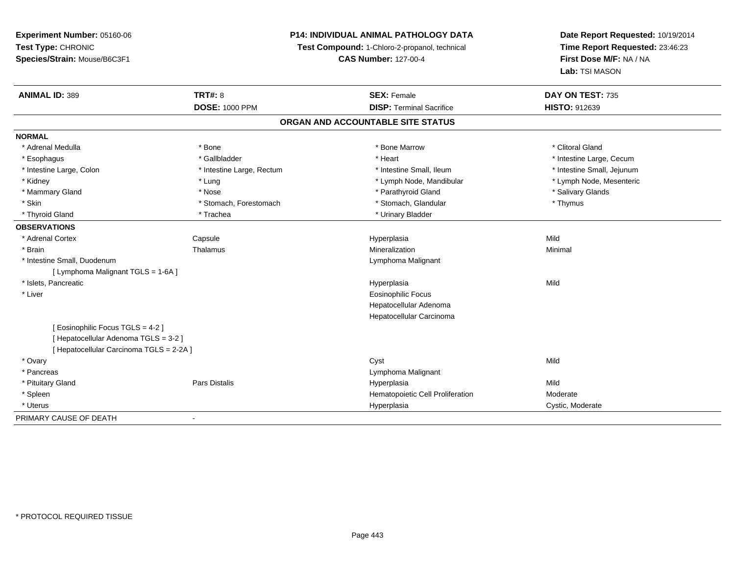### **P14: INDIVIDUAL ANIMAL PATHOLOGY DATA**

**Test Compound:** 1-Chloro-2-propanol, technical

**CAS Number:** 127-00-4

| <b>ANIMAL ID: 389</b>                    | <b>TRT#: 8</b>            | <b>SEX: Female</b>                | DAY ON TEST: 735           |
|------------------------------------------|---------------------------|-----------------------------------|----------------------------|
|                                          | <b>DOSE: 1000 PPM</b>     | <b>DISP: Terminal Sacrifice</b>   | <b>HISTO: 912639</b>       |
|                                          |                           | ORGAN AND ACCOUNTABLE SITE STATUS |                            |
| <b>NORMAL</b>                            |                           |                                   |                            |
| * Adrenal Medulla                        | * Bone                    | * Bone Marrow                     | * Clitoral Gland           |
| * Esophagus                              | * Gallbladder             | * Heart                           | * Intestine Large, Cecum   |
| * Intestine Large, Colon                 | * Intestine Large, Rectum | * Intestine Small. Ileum          | * Intestine Small, Jejunum |
| * Kidney                                 | * Lung                    | * Lymph Node, Mandibular          | * Lymph Node, Mesenteric   |
| * Mammary Gland                          | * Nose                    | * Parathyroid Gland               | * Salivary Glands          |
| * Skin                                   | * Stomach, Forestomach    | * Stomach, Glandular              | * Thymus                   |
| * Thyroid Gland                          | * Trachea                 | * Urinary Bladder                 |                            |
| <b>OBSERVATIONS</b>                      |                           |                                   |                            |
| * Adrenal Cortex                         | Capsule                   | Hyperplasia                       | Mild                       |
| * Brain                                  | Thalamus                  | Mineralization                    | Minimal                    |
| * Intestine Small, Duodenum              |                           | Lymphoma Malignant                |                            |
| [ Lymphoma Malignant TGLS = 1-6A ]       |                           |                                   |                            |
| * Islets, Pancreatic                     |                           | Hyperplasia                       | Mild                       |
| * Liver                                  |                           | <b>Eosinophilic Focus</b>         |                            |
|                                          |                           | Hepatocellular Adenoma            |                            |
|                                          |                           | Hepatocellular Carcinoma          |                            |
| [ Eosinophilic Focus TGLS = 4-2 ]        |                           |                                   |                            |
| [ Hepatocellular Adenoma TGLS = 3-2 ]    |                           |                                   |                            |
| [ Hepatocellular Carcinoma TGLS = 2-2A ] |                           |                                   |                            |
| * Ovary                                  |                           | Cyst                              | Mild                       |
| * Pancreas                               |                           | Lymphoma Malignant                |                            |
| * Pituitary Gland                        | Pars Distalis             | Hyperplasia                       | Mild                       |
| * Spleen                                 |                           | Hematopoietic Cell Proliferation  | Moderate                   |
| * Uterus                                 |                           | Hyperplasia                       | Cystic, Moderate           |
| PRIMARY CAUSE OF DEATH                   |                           |                                   |                            |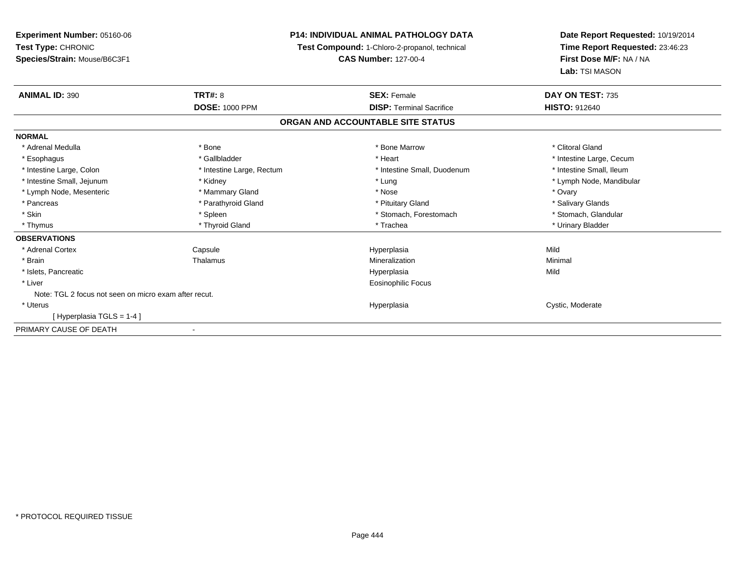**Experiment Number:** 05160-06**Test Type:** CHRONIC **Species/Strain:** Mouse/B6C3F1**P14: INDIVIDUAL ANIMAL PATHOLOGY DATATest Compound:** 1-Chloro-2-propanol, technical **CAS Number:** 127-00-4**Date Report Requested:** 10/19/2014**Time Report Requested:** 23:46:23**First Dose M/F:** NA / NA**Lab:** TSI MASON**ANIMAL ID:** 390**C TRT#:** 8 **SEX:** Female **DAY ON TEST:** 735 **DOSE:** 1000 PPM**DISP:** Terminal Sacrifice **HISTO:** 912640 **ORGAN AND ACCOUNTABLE SITE STATUSNORMAL**\* Adrenal Medulla \* The state of the state of the state of the state of the Marrow \* Bone Marrow \* Clitoral Gland \* Clitoral Gland \* Esophagus \* https://www.fragustage.com/web/2019/heart \* Heart \* Heart \* Heart \* Intestine Large, Cecum \* Intestine Large, Cecum \* Sallbladder \* The state of the state of the state of the state of the state of the state o \* Intestine Small, Ileum \* Intestine Large, Colon \* Intestine Large, Rectum \* Intestine Small, Duodenum \* Intestine Small, Duodenum \* Intestine Small, Jejunum \* Kidney \* Lung \* Lymph Node, Mandibular\* Lymph Node, Mesenteric \* \* \* Mammary Gland \* \* Nose \* \* Nose \* \* Nose \* \* Nose \* Ovary \* Ovary \* Salivary Glands \* Pancreas \* And the section of the section of the section of the section of the section of the section of the section of the section of the section of the section of the section of the section of the section of the sectio \* Stomach. Glandular \* Skin \* Spleen \* Spleen \* Spleen \* Stomach, Forestomach \* Stomach, Suite and the storage \* Stomach, Glandular \* Thymus \* Thyroid Gland \* Trachea \* Urinary Bladder \* **OBSERVATIONS** \* Adrenal Cortex Capsule Hyperplasia Mild \* Brainn and the Thalamus and the Minimal and Mineralization and Minimal Minimal and Minimal and Minimal and Minimal  $\mu$  \* Islets, Pancreaticc description of the control of the control of the control of the control of the control of the control of the control of the control of the control of the control of the control of the control of the control of the contro a Mild \* Liver Eosinophilic FocusNote: TGL 2 focus not seen on micro exam after recut. \* Uteruss and the contract of the contract of the contract of the contract of the contract of the contract of the contract of the contract of the contract of the contract of the contract of the contract of the contract of the cont Hyperplasia **Cystic, Moderate** [ Hyperplasia TGLS = 1-4 ]PRIMARY CAUSE OF DEATH-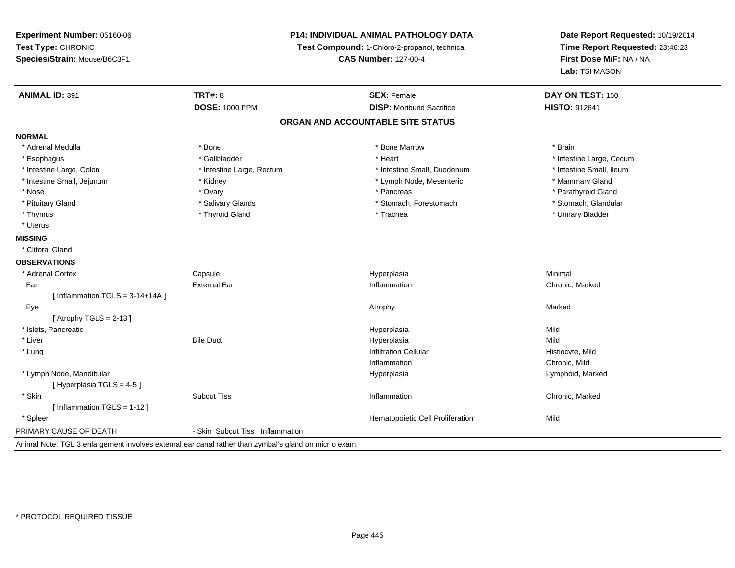**Experiment Number:** 05160-06**Test Type:** CHRONIC **Species/Strain:** Mouse/B6C3F1**P14: INDIVIDUAL ANIMAL PATHOLOGY DATATest Compound:** 1-Chloro-2-propanol, technical **CAS Number:** 127-00-4**Date Report Requested:** 10/19/2014**Time Report Requested:** 23:46:23**First Dose M/F:** NA / NA**Lab:** TSI MASON**ANIMAL ID:** 391**TRT#:** 8 **SEX:** Female **SEX: Female DAY ON TEST:** 150 **DOSE:** 1000 PPM**DISP:** Moribund Sacrifice **HISTO:** 912641 **ORGAN AND ACCOUNTABLE SITE STATUSNORMAL**\* Adrenal Medulla \* \* Annual Medulla \* Brain \* Bone \* \* Bone Marrow \* Bone Marrow \* \* Brain \* Brain \* Brain \* Brain \* Brain \* Brain \* Brain \* Brain \* Brain \* Brain \* Brain \* Brain \* Brain \* Brain \* Brain \* Brain \* Brain \* \* Esophagus \* https://www.fragustage.com/web/2019/heart \* Heart \* Heart \* Heart \* Intestine Large, Cecum \* Intestine Large, Cecum \* Sallbladder \* The state of the state of the state of the state of the state of the state o \* Intestine Small, Ileum \* Intestine Large, Colon \* Intestine Large, Rectum \* Intestine Small, Duodenum \* Intestine Small, Duodenum \* Intestine Small, Jejunum \* The manner of the state of the state of the state of the state of the state of the state of the state of the state of the state of the state of the state of the state of the state of the state \* Parathyroid Gland \* Nose \* Ovary \* Pancreas \* Parathyroid Gland \* Stomach, Glandular \* Pituitary Gland \* Salivary Glands \* Salivary Glands \* Stomach, Forestomach \* Stomach, Forestomach \* Thymus \* Thyroid Gland \* Trachea \* Urinary Bladder \* \* Uterus**MISSING** \* Clitoral Gland**OBSERVATIONS** \* Adrenal CortexCapsule<br>External Far Hyperplasia Minimal Ear External Ear InflammationInflammation **Chronic**, Marked  $[$  Inflammation TGLS = 3-14+14A  $]$  Eyee the controller of the controller of the controller of the controller of the controller of the controller of the controller of the controller of the controller of the controller of the controller of the controller of the  $[$  Atrophy TGLS = 2-13  $]$  \* Islets, Pancreaticc and the contract of the contract of the contract of the contract of the contract of the contract of the contract of the contract of the contract of the contract of the contract of the contract of the contract of the cont a Mild \* Liver Bile Duct Hyperplasiaa Mild \* Lungg is a contract of the contract of the contract of the contract of the contract of the contract of the contract of the contract of the contract of the contract of the contract of the contract of the contract of the contrac Inflammation Chronic, Mild \* Lymph Node, Mandibular Hyperplasia Lymphoid, Marked  $[$  Hyperplasia TGLS = 4-5  $]$  \* Skinn and the Subcut Tiss and the Subcut Tiss and the Chronic, Marked Chronic, Marked Subcut Tiss and the Chronic, Marked Subcut Tiss and the Subcut Tiss and the Subcut Tiss and the Subcut Tiss and the Subcut Tiss and the Subc [ Inflammation TGLS = 1-12 ] \* SpleenHematopoietic Cell Proliferation Mild PRIMARY CAUSE OF DEATH- Skin Subcut Tiss Inflammation

Animal Note: TGL 3 enlargement involves external ear canal rather than zymbal's gland on micr o exam.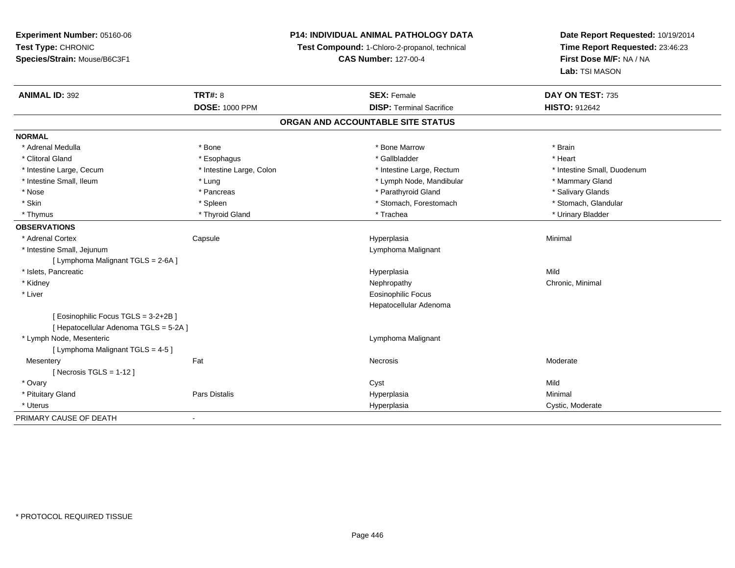**Experiment Number:** 05160-06**Test Type:** CHRONIC **Species/Strain:** Mouse/B6C3F1**P14: INDIVIDUAL ANIMAL PATHOLOGY DATATest Compound:** 1-Chloro-2-propanol, technical **CAS Number:** 127-00-4**Date Report Requested:** 10/19/2014**Time Report Requested:** 23:46:23**First Dose M/F:** NA / NA**Lab:** TSI MASON**ANIMAL ID:** 392**TRT#:** 8 **SEX:** Female **SEX: Female DAY ON TEST:** 735 **DOSE:** 1000 PPM**DISP:** Terminal Sacrifice **HISTO:** 912642 **ORGAN AND ACCOUNTABLE SITE STATUSNORMAL**\* Adrenal Medulla \* \* Annual Medulla \* Brain \* Bone \* \* Bone Marrow \* Bone Marrow \* \* Brain \* Brain \* Brain \* Brain \* Brain \* Brain \* Brain \* Brain \* Brain \* Brain \* Brain \* Brain \* Brain \* Brain \* Brain \* Brain \* Brain \* \* Heart \* Clitoral Gland \* \* \* heart \* \* Esophagus \* \* \* \* \* \* \* \* \* \* \* Gallbladder \* \* \* \* \* \* \* \* \* \* \* \* Heart \* Intestine Large, Cecum \* Intestine Large, Colon \* Intestine Large, Thestine Large, Rectum \* Intestine Small, Duodenum \* Intestine Small, Ileum \* The manner of the state of the state of the state of the state of the state of the state of the state of the state of the state of the state of the state of the state of the state of the state of \* Salivary Glands \* Nose \* Pancreas \* Parathyroid Gland \* Salivary Glands \* Stomach, Glandular \* Skin \* Spleen \* Spleen \* Spleen \* Stomach, Forestomach \* Stomach, Forestomach \* Thymus \* Thyroid Gland \* Trachea \* Urinary Bladder \* **OBSERVATIONS** \* Adrenal Cortex Capsule Hyperplasia Minimal \* Intestine Small, Jejunum Lymphoma Malignant [ Lymphoma Malignant TGLS = 2-6A ] \* Islets, Pancreaticc description of the control of the control of the control of the control of the control of the control of the control of the control of the control of the control of the control of the control of the control of the contro a Mild \* Kidneyy the controller of the controller of the controller of the controller of the controller of the controller of the controller of the controller of the controller of the controller of the controller of the controller of the \* Liver Eosinophilic Focus Hepatocellular Adenoma[ Eosinophilic Focus TGLS = 3-2+2B ][ Hepatocellular Adenoma TGLS = 5-2A ] \* Lymph Node, Mesenteric Lymphoma Malignant [ Lymphoma Malignant TGLS = 4-5 ]**Mesentery** y the control of the set of the control of the Moderate of the Moderate of the Moderate of the Moderate of the Moderate of the Moderate of the Moderate of the Moderate of the Moderate of the Moderate of the Moderate of the  $[$  Necrosis TGLS = 1-12  $]$  \* Ovaryy and the control of the control of the control of the control of the control of the control of the control of the control of the control of the control of the control of the control of the control of the control of the co Minimal \* Pituitary Gland Pars Distalis Hyperplasia Minimal \* Uteruss and the contract of the contract of the contract of the contract of the contract of the contract of the contract of the contract of the contract of the contract of the contract of the contract of the contract of the cont Hyperplasia **Cystic, Moderate** PRIMARY CAUSE OF DEATH-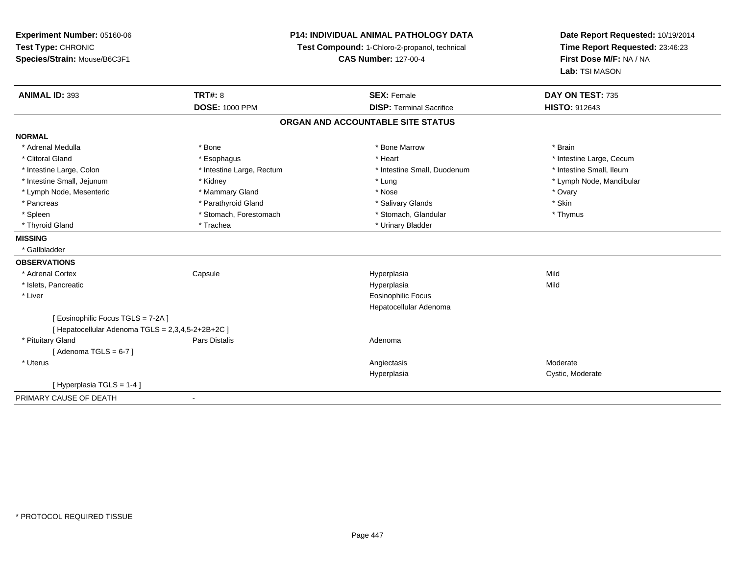| Experiment Number: 05160-06<br>Test Type: CHRONIC<br>Species/Strain: Mouse/B6C3F1 |                           | P14: INDIVIDUAL ANIMAL PATHOLOGY DATA<br>Test Compound: 1-Chloro-2-propanol, technical<br><b>CAS Number: 127-00-4</b> | Date Report Requested: 10/19/2014<br>Time Report Requested: 23:46:23<br>First Dose M/F: NA / NA |  |
|-----------------------------------------------------------------------------------|---------------------------|-----------------------------------------------------------------------------------------------------------------------|-------------------------------------------------------------------------------------------------|--|
|                                                                                   |                           |                                                                                                                       | Lab: TSI MASON                                                                                  |  |
| <b>ANIMAL ID: 393</b>                                                             | <b>TRT#: 8</b>            | <b>SEX: Female</b>                                                                                                    | DAY ON TEST: 735                                                                                |  |
|                                                                                   | <b>DOSE: 1000 PPM</b>     | <b>DISP: Terminal Sacrifice</b>                                                                                       | <b>HISTO: 912643</b>                                                                            |  |
|                                                                                   |                           | ORGAN AND ACCOUNTABLE SITE STATUS                                                                                     |                                                                                                 |  |
| <b>NORMAL</b>                                                                     |                           |                                                                                                                       |                                                                                                 |  |
| * Adrenal Medulla                                                                 | * Bone                    | * Bone Marrow                                                                                                         | * Brain                                                                                         |  |
| * Clitoral Gland                                                                  | * Esophagus               | * Heart                                                                                                               | * Intestine Large, Cecum                                                                        |  |
| * Intestine Large, Colon                                                          | * Intestine Large, Rectum | * Intestine Small, Duodenum                                                                                           | * Intestine Small, Ileum                                                                        |  |
| * Intestine Small, Jejunum                                                        | * Kidney                  | * Lung                                                                                                                | * Lymph Node, Mandibular                                                                        |  |
| * Lymph Node, Mesenteric                                                          | * Mammary Gland           | * Nose                                                                                                                | * Ovary                                                                                         |  |
| * Pancreas                                                                        | * Parathyroid Gland       | * Salivary Glands                                                                                                     | * Skin                                                                                          |  |
| * Spleen                                                                          | * Stomach, Forestomach    | * Stomach, Glandular                                                                                                  | * Thymus                                                                                        |  |
| * Thyroid Gland                                                                   | * Trachea                 | * Urinary Bladder                                                                                                     |                                                                                                 |  |
| <b>MISSING</b>                                                                    |                           |                                                                                                                       |                                                                                                 |  |
| * Gallbladder                                                                     |                           |                                                                                                                       |                                                                                                 |  |
| <b>OBSERVATIONS</b>                                                               |                           |                                                                                                                       |                                                                                                 |  |
| * Adrenal Cortex                                                                  | Capsule                   | Hyperplasia                                                                                                           | Mild                                                                                            |  |
| * Islets, Pancreatic                                                              |                           | Hyperplasia                                                                                                           | Mild                                                                                            |  |
| * Liver                                                                           |                           | Eosinophilic Focus                                                                                                    |                                                                                                 |  |
|                                                                                   |                           | Hepatocellular Adenoma                                                                                                |                                                                                                 |  |
| [Eosinophilic Focus TGLS = 7-2A]                                                  |                           |                                                                                                                       |                                                                                                 |  |
| [ Hepatocellular Adenoma TGLS = 2,3,4,5-2+2B+2C ]                                 |                           |                                                                                                                       |                                                                                                 |  |
| * Pituitary Gland                                                                 | <b>Pars Distalis</b>      | Adenoma                                                                                                               |                                                                                                 |  |
| [Adenoma TGLS = $6-7$ ]                                                           |                           |                                                                                                                       |                                                                                                 |  |
| * Uterus                                                                          |                           | Angiectasis                                                                                                           | Moderate                                                                                        |  |
|                                                                                   |                           | Hyperplasia                                                                                                           | Cystic, Moderate                                                                                |  |
| [Hyperplasia TGLS = 1-4]                                                          |                           |                                                                                                                       |                                                                                                 |  |
| PRIMARY CAUSE OF DEATH                                                            |                           |                                                                                                                       |                                                                                                 |  |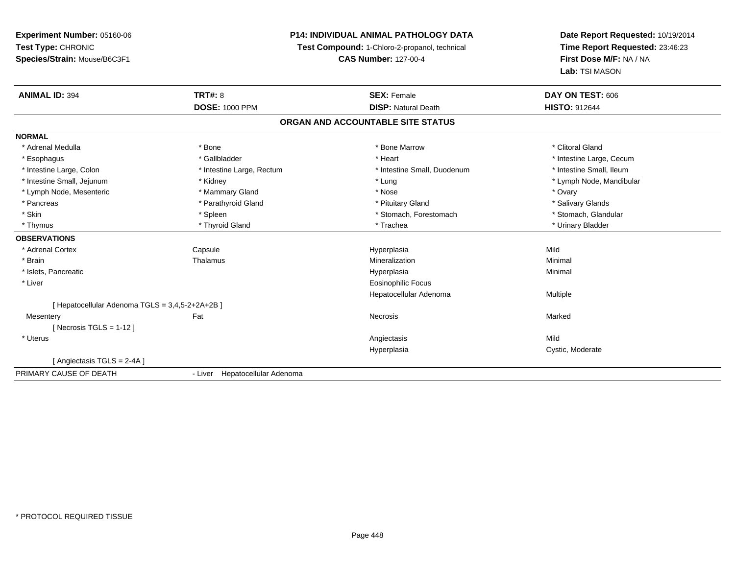### **P14: INDIVIDUAL ANIMAL PATHOLOGY DATA**

**Test Compound:** 1-Chloro-2-propanol, technical

**CAS Number:** 127-00-4

| <b>ANIMAL ID: 394</b>                           | <b>TRT#: 8</b>                 | <b>SEX: Female</b>                | DAY ON TEST: 606         |
|-------------------------------------------------|--------------------------------|-----------------------------------|--------------------------|
|                                                 | <b>DOSE: 1000 PPM</b>          | <b>DISP: Natural Death</b>        | <b>HISTO: 912644</b>     |
|                                                 |                                | ORGAN AND ACCOUNTABLE SITE STATUS |                          |
| <b>NORMAL</b>                                   |                                |                                   |                          |
| * Adrenal Medulla                               | * Bone                         | * Bone Marrow                     | * Clitoral Gland         |
| * Esophagus                                     | * Gallbladder                  | * Heart                           | * Intestine Large, Cecum |
| * Intestine Large, Colon                        | * Intestine Large, Rectum      | * Intestine Small, Duodenum       | * Intestine Small, Ileum |
| * Intestine Small, Jejunum                      | * Kidney                       | * Lung                            | * Lymph Node, Mandibular |
| * Lymph Node, Mesenteric                        | * Mammary Gland                | * Nose                            | * Ovary                  |
| * Pancreas                                      | * Parathyroid Gland            | * Pituitary Gland                 | * Salivary Glands        |
| * Skin                                          | * Spleen                       | * Stomach, Forestomach            | * Stomach, Glandular     |
| * Thymus                                        | * Thyroid Gland                | * Trachea                         | * Urinary Bladder        |
| <b>OBSERVATIONS</b>                             |                                |                                   |                          |
| * Adrenal Cortex                                | Capsule                        | Hyperplasia                       | Mild                     |
| * Brain                                         | Thalamus                       | Mineralization                    | Minimal                  |
| * Islets, Pancreatic                            |                                | Hyperplasia                       | Minimal                  |
| * Liver                                         |                                | <b>Eosinophilic Focus</b>         |                          |
|                                                 |                                | Hepatocellular Adenoma            | Multiple                 |
| [ Hepatocellular Adenoma TGLS = 3,4,5-2+2A+2B ] |                                |                                   |                          |
| Mesentery                                       | Fat                            | Necrosis                          | Marked                   |
| [Necrosis TGLS = $1-12$ ]                       |                                |                                   |                          |
| * Uterus                                        |                                | Angiectasis                       | Mild                     |
|                                                 |                                | Hyperplasia                       | Cystic, Moderate         |
| [ Angiectasis TGLS = 2-4A ]                     |                                |                                   |                          |
| PRIMARY CAUSE OF DEATH                          | - Liver Hepatocellular Adenoma |                                   |                          |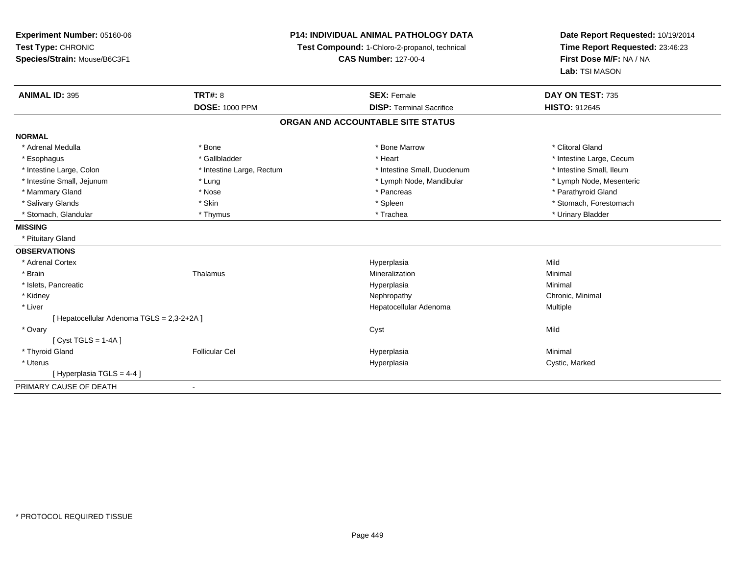| Experiment Number: 05160-06                | P14: INDIVIDUAL ANIMAL PATHOLOGY DATA |                                               | Date Report Requested: 10/19/2014 |  |
|--------------------------------------------|---------------------------------------|-----------------------------------------------|-----------------------------------|--|
| Test Type: CHRONIC                         |                                       | Test Compound: 1-Chloro-2-propanol, technical | Time Report Requested: 23:46:23   |  |
| Species/Strain: Mouse/B6C3F1               | <b>CAS Number: 127-00-4</b>           |                                               | First Dose M/F: NA / NA           |  |
|                                            |                                       |                                               | Lab: TSI MASON                    |  |
| <b>ANIMAL ID: 395</b>                      | <b>TRT#: 8</b>                        | <b>SEX: Female</b>                            | DAY ON TEST: 735                  |  |
|                                            | <b>DOSE: 1000 PPM</b>                 | <b>DISP: Terminal Sacrifice</b>               | <b>HISTO: 912645</b>              |  |
|                                            |                                       | ORGAN AND ACCOUNTABLE SITE STATUS             |                                   |  |
| <b>NORMAL</b>                              |                                       |                                               |                                   |  |
| * Adrenal Medulla                          | * Bone                                | * Bone Marrow                                 | * Clitoral Gland                  |  |
| * Esophagus                                | * Gallbladder                         | * Heart                                       | * Intestine Large, Cecum          |  |
| * Intestine Large, Colon                   | * Intestine Large, Rectum             | * Intestine Small, Duodenum                   | * Intestine Small, Ileum          |  |
| * Intestine Small, Jejunum                 | * Lung                                | * Lymph Node, Mandibular                      | * Lymph Node, Mesenteric          |  |
| * Mammary Gland                            | * Nose                                | * Pancreas                                    | * Parathyroid Gland               |  |
| * Salivary Glands                          | * Skin                                | * Spleen                                      | * Stomach, Forestomach            |  |
| * Stomach, Glandular                       | * Thymus                              | * Trachea                                     | * Urinary Bladder                 |  |
| <b>MISSING</b>                             |                                       |                                               |                                   |  |
| * Pituitary Gland                          |                                       |                                               |                                   |  |
| <b>OBSERVATIONS</b>                        |                                       |                                               |                                   |  |
| * Adrenal Cortex                           |                                       | Hyperplasia                                   | Mild                              |  |
| * Brain                                    | Thalamus                              | Mineralization                                | Minimal                           |  |
| * Islets, Pancreatic                       |                                       | Hyperplasia                                   | Minimal                           |  |
| * Kidney                                   |                                       | Nephropathy                                   | Chronic, Minimal                  |  |
| * Liver                                    |                                       | Hepatocellular Adenoma                        | Multiple                          |  |
| [ Hepatocellular Adenoma TGLS = 2,3-2+2A ] |                                       |                                               |                                   |  |
| * Ovary                                    |                                       | Cyst                                          | Mild                              |  |
| [Cyst TGLS = $1-4A$ ]                      |                                       |                                               |                                   |  |
| * Thyroid Gland                            | <b>Follicular Cel</b>                 | Hyperplasia                                   | Minimal                           |  |
| * Uterus                                   |                                       | Hyperplasia                                   | Cystic, Marked                    |  |
| [Hyperplasia TGLS = 4-4]                   |                                       |                                               |                                   |  |
| PRIMARY CAUSE OF DEATH                     |                                       |                                               |                                   |  |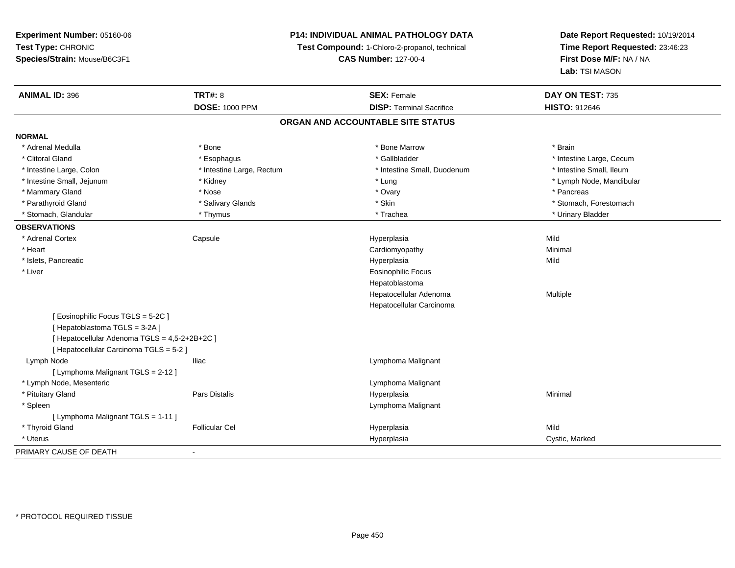### **P14: INDIVIDUAL ANIMAL PATHOLOGY DATA**

**Test Compound:** 1-Chloro-2-propanol, technical

**CAS Number:** 127-00-4

| <b>ANIMAL ID: 396</b>                         | <b>TRT#: 8</b>            | <b>SEX: Female</b>                | DAY ON TEST: 735         |  |
|-----------------------------------------------|---------------------------|-----------------------------------|--------------------------|--|
|                                               | <b>DOSE: 1000 PPM</b>     | <b>DISP: Terminal Sacrifice</b>   | <b>HISTO: 912646</b>     |  |
|                                               |                           | ORGAN AND ACCOUNTABLE SITE STATUS |                          |  |
| <b>NORMAL</b>                                 |                           |                                   |                          |  |
| * Adrenal Medulla                             | * Bone                    | * Bone Marrow                     | * Brain                  |  |
| * Clitoral Gland                              | * Esophagus               | * Gallbladder                     | * Intestine Large, Cecum |  |
| * Intestine Large, Colon                      | * Intestine Large, Rectum | * Intestine Small, Duodenum       | * Intestine Small, Ileum |  |
| * Intestine Small, Jejunum                    | * Kidney                  | * Lung                            | * Lymph Node, Mandibular |  |
| * Mammary Gland                               | * Nose                    | * Ovary                           | * Pancreas               |  |
| * Parathyroid Gland                           | * Salivary Glands         | * Skin                            | * Stomach, Forestomach   |  |
| * Stomach, Glandular                          | * Thymus                  | * Trachea                         | * Urinary Bladder        |  |
| <b>OBSERVATIONS</b>                           |                           |                                   |                          |  |
| * Adrenal Cortex                              | Capsule                   | Hyperplasia                       | Mild                     |  |
| * Heart                                       |                           | Cardiomyopathy                    | Minimal                  |  |
| * Islets, Pancreatic                          |                           | Hyperplasia                       | Mild                     |  |
| * Liver                                       |                           | <b>Eosinophilic Focus</b>         |                          |  |
|                                               |                           | Hepatoblastoma                    |                          |  |
|                                               |                           | Hepatocellular Adenoma            | Multiple                 |  |
|                                               |                           | Hepatocellular Carcinoma          |                          |  |
| [Eosinophilic Focus TGLS = 5-2C]              |                           |                                   |                          |  |
| [Hepatoblastoma TGLS = 3-2A]                  |                           |                                   |                          |  |
| [ Hepatocellular Adenoma TGLS = 4,5-2+2B+2C ] |                           |                                   |                          |  |
| [ Hepatocellular Carcinoma TGLS = 5-2 ]       |                           |                                   |                          |  |
| Lymph Node                                    | <b>Iliac</b>              | Lymphoma Malignant                |                          |  |
| [ Lymphoma Malignant TGLS = 2-12 ]            |                           |                                   |                          |  |
| * Lymph Node, Mesenteric                      |                           | Lymphoma Malignant                |                          |  |
| * Pituitary Gland                             | Pars Distalis             | Hyperplasia                       | Minimal                  |  |
| * Spleen                                      |                           | Lymphoma Malignant                |                          |  |
| [ Lymphoma Malignant TGLS = 1-11 ]            |                           |                                   |                          |  |
| * Thyroid Gland                               | <b>Follicular Cel</b>     | Hyperplasia                       | Mild                     |  |
| * Uterus                                      |                           | Hyperplasia                       | Cystic, Marked           |  |
| PRIMARY CAUSE OF DEATH                        | $\blacksquare$            |                                   |                          |  |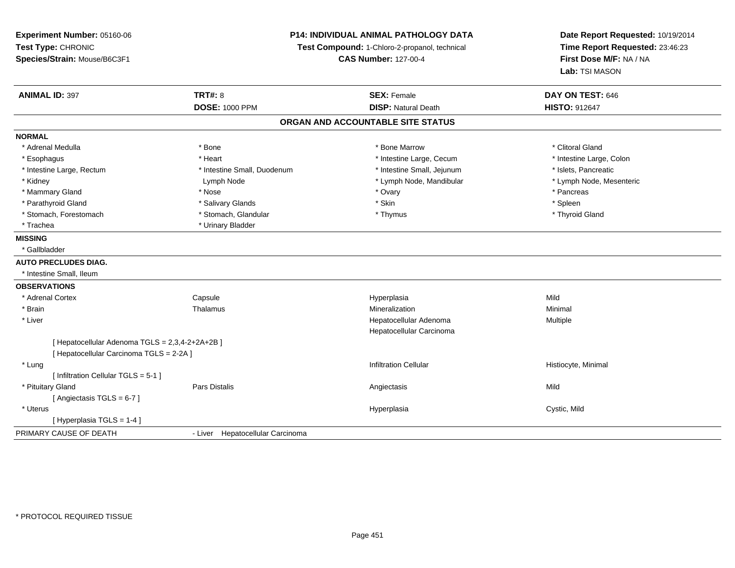**Experiment Number:** 05160-06**Test Type:** CHRONIC **Species/Strain:** Mouse/B6C3F1**P14: INDIVIDUAL ANIMAL PATHOLOGY DATATest Compound:** 1-Chloro-2-propanol, technical **CAS Number:** 127-00-4**Date Report Requested:** 10/19/2014**Time Report Requested:** 23:46:23**First Dose M/F:** NA / NA**Lab:** TSI MASON**ANIMAL ID:** 397**TRT#:** 8 **SEX:** Female **SEX: Female DAY ON TEST:** 646 **DOSE:** 1000 PPM**DISP:** Natural Death **HISTO:** 912647 **ORGAN AND ACCOUNTABLE SITE STATUSNORMAL**\* Adrenal Medulla \* The state of the state of the state of the state of the Marrow \* Bone Marrow \* Clitoral Gland \* Clitoral Gland \* Intestine Large, Colon \* Esophagus \* **Heart \* Intestine Large, Cecum \* Intestine Large, Cecum \*** Intestine Large, Cecum \* Intestine Large, Rectum \* Intestine Small, Duodenum \* Intestine Small, Jejunum \* Islets, Pancreatic\* Lymph Node, Mesenteric \* Kidney The Communication of Lymph Node the Lymph Node, Mandibular \* Lymph Node, Mandibular \* Lymph Node, Mesenteric \* Mammary Gland \* \* Andrew \* Nose \* \* Nose \* \* Ovary \* Ovary \* Ovary \* \* Ovary \* \* Pancreas \* \* Pancreas \* \* Pancreas \* \* Pancreas \* \* Pancreas \* \* Pancreas \* \* Pancreas \* \* Pancreas \* \* Pancreas \* \* Pancreas \* \* Pancreas \* Parathyroid Gland \* \* Salivary Glands \* Salivary Glands \* Skin \* Skin \* State \* Spleen \* Spleen \* Spleen \* Spleen \* Thyroid Gland \* Stomach, Forestomach \* Thymus \* Stomach, Glandular \* Thymus \* Thymus \* Thymus \* Thymus \* Thymus \* Thymus \* Thymus \* Thymus \* Thymus \* Thymus \* Thymus \* Thymus \* Thymus \* Thymus \* Thymus \* Thymus \* Thymus \* Thymus \* Thymu \* Trachea \* Urinary Bladder**MISSING** \* Gallbladder**AUTO PRECLUDES DIAG.** \* Intestine Small, Ileum**OBSERVATIONS** \* Adrenal Cortex**Capsule**  Hyperplasia Mild \* Brainn and the matter of the Thalamus and the Minimal of the Minimal of the Minimal of the Minimal of the Minimal o<br>Thalamus and the Minimal of the Minimal of the Minimal of the Minimal of the Minimal of the Minimal of the Min \* Liver Hepatocellular Adenoma Multiple Hepatocellular Carcinoma[ Hepatocellular Adenoma TGLS = 2,3,4-2+2A+2B ][ Hepatocellular Carcinoma TGLS = 2-2A ] \* Lungg is a construction control of the filtration Cellular and the construction Cellular construction Cellular distribution Cellular distribution Cellular distribution of the Histiocyte, Minimal distribution of the constructio [ Infiltration Cellular TGLS = 5-1 ] \* Pituitary Gland Pars Distalis Angiectasis Mild [ Angiectasis TGLS = 6-7 ] \* Uteruss and the control of the control of the control of the control of the control of the control of the control of the control of the control of the control of the control of the control of the control of the control of the co Hyperplasia Cystic, Mild [ Hyperplasia TGLS = 1-4 ]PRIMARY CAUSE OF DEATH- Liver Hepatocellular Carcinoma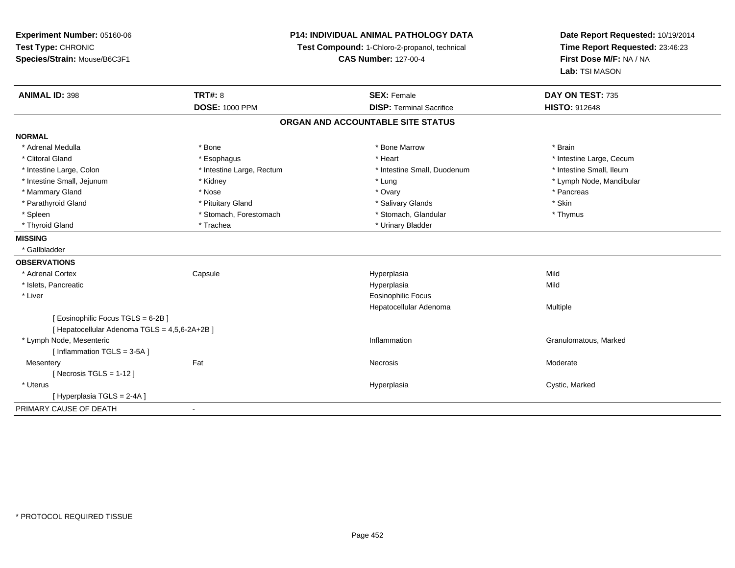**Experiment Number:** 05160-06**Test Type:** CHRONIC **Species/Strain:** Mouse/B6C3F1**P14: INDIVIDUAL ANIMAL PATHOLOGY DATATest Compound:** 1-Chloro-2-propanol, technical **CAS Number:** 127-00-4**Date Report Requested:** 10/19/2014**Time Report Requested:** 23:46:23**First Dose M/F:** NA / NA**Lab:** TSI MASON**ANIMAL ID:** 398**TRT#:** 8 **SEX:** Female **DAY ON TEST:** 735 **DOSE:** 1000 PPM**DISP:** Terminal Sacrifice **HISTO:** 912648 **ORGAN AND ACCOUNTABLE SITE STATUSNORMAL**\* Adrenal Medulla \* \* Annual Medulla \* Brain \* Bone \* \* Bone Marrow \* Bone Marrow \* \* Brain \* Brain \* Brain \* Brain \* Brain \* Brain \* Brain \* Brain \* Brain \* Brain \* Brain \* Brain \* Brain \* Brain \* Brain \* Brain \* Brain \* \* Clitoral Gland \* \* exphagus \* Esophagus \* \* Heart \* Heart \* Intestine Large, Cecum \* Intestine Small, Ileum \* Intestine Large, Colon \* Intestine Large, Rectum \* Intestine Small, Duodenum \* Intestine Small, Duodenum \* Intestine Small, Jejunum \* Kidney \* Lung \* Lymph Node, Mandibular\* Mammary Gland \* \* Andrew \* Nose \* \* Nose \* \* Ovary \* Ovary \* Ovary \* \* Ovary \* \* Pancreas \* \* Pancreas \* \* Pancreas \* \* Pancreas \* \* Pancreas \* \* Pancreas \* \* Pancreas \* \* Pancreas \* \* Pancreas \* \* Pancreas \* \* Pancreas \* Parathyroid Gland \* \* Pituitary Gland \* Thuitary Gland \* Salivary Glands \* Stin \* Skin \* Skin \* Skin \* Skin \* Skin \* Skin \* Skin \* Skin \* Skin \* Skin \* Skin \* Skin \* Skin \* Skin \* Skin \* Skin \* Skin \* Skin \* Skin \* Skin \* Thymus \* Spleen \* Stomach, Forestomach \* Stomach \* Stomach, Glandular \* Stomach, Glandular \* Thyroid Gland \* Trachea \* Trachea \* Trachea \* Urinary Bladder **MISSING** \* Gallbladder**OBSERVATIONS** \* Adrenal Cortex**Capsule**  Hyperplasia Mild \* Islets, Pancreaticc and the contract of the contract of the contract of the contract of the contract of the contract of the contract of the contract of the contract of the contract of the contract of the contract of the contract of the cont a Mild \* Liver Eosinophilic Focus Hepatocellular Adenoma Multiple [ Eosinophilic Focus TGLS = 6-2B ][ Hepatocellular Adenoma TGLS = 4,5,6-2A+2B ] \* Lymph Node, Mesentericc and the contract of the contract of the contract of the contract of the contract of the contract of the contract of the contract of the contract of the contract of the contract of the contract of the contract of the cont Inflammation **Granulomatous**, Marked  $[$  Inflammation TGLS = 3-5A  $]$ **Mesentery** y the control of the set of the control of the Moderate of the Moderate of the Moderate of the Moderate of the Moderate of the Moderate of the Moderate of the Moderate of the Moderate of the Moderate of the Moderate of the  $[$  Necrosis TGLS = 1-12  $]$  \* Uteruss and the control of the control of the control of the control of the control of the control of the control of the control of the control of the control of the control of the control of the control of the control of the co Cystic, Marked [ Hyperplasia TGLS = 2-4A ]PRIMARY CAUSE OF DEATH-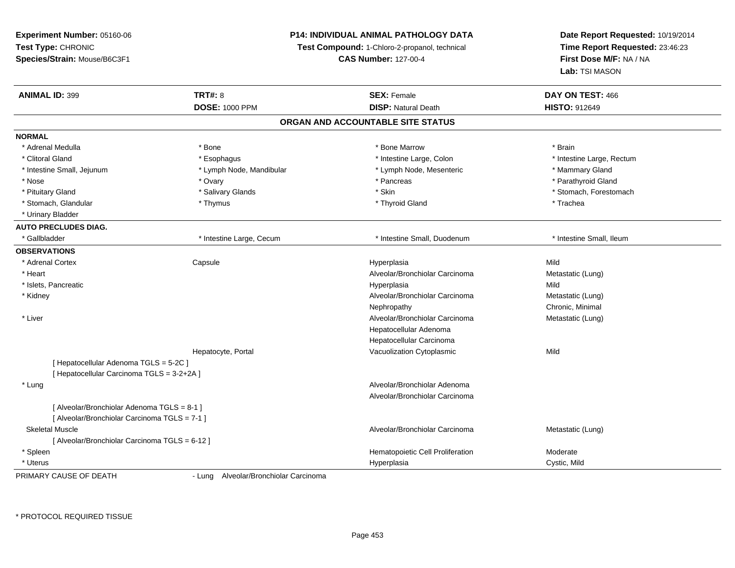**Experiment Number:** 05160-06**Test Type:** CHRONIC **Species/Strain:** Mouse/B6C3F1**P14: INDIVIDUAL ANIMAL PATHOLOGY DATATest Compound:** 1-Chloro-2-propanol, technical **CAS Number:** 127-00-4**Date Report Requested:** 10/19/2014**Time Report Requested:** 23:46:23**First Dose M/F:** NA / NA**Lab:** TSI MASON**ANIMAL ID:** 399**TRT#:** 8 **SEX:** Female **SEX: Female DAY ON TEST:** 466 **DOSE:** 1000 PPM**DISP:** Natural Death **HISTO:** 912649 **ORGAN AND ACCOUNTABLE SITE STATUSNORMAL**\* Adrenal Medulla \* \* Annual Medulla \* Brain \* Bone \* \* Bone Marrow \* Bone Marrow \* \* Brain \* Brain \* Brain \* Brain \* Brain \* Brain \* Brain \* Brain \* Brain \* Brain \* Brain \* Brain \* Brain \* Brain \* Brain \* Brain \* Brain \* \* Clitoral Gland \* \* Muslim to the subset of the subset of the subset of the subset of the subset of the subset of the subset of the subset of the subset of the subset of the subset of the subset of the subset of the subse \* Intestine Small, Jejunum \* The mannery Gland \* Lymph Node, Mandibular \* The mannery The mannery Gland \* Mammary Gland \* Parathyroid Gland \* Nose \* Ovary \* Pancreas \* Parathyroid Gland \* Pituitary Gland \* \* Salivary Glands \* Salivary Glands \* Skin \* \* Skin \* \* Stomach, Forestomach \* Stomach, Glandular \* Thymus \* Thymus \* Thymus \* Thyroid Gland \* Thyroid Gland \* Thachea \* Urinary Bladder**AUTO PRECLUDES DIAG.**\* Gallbladder **\* Intestine Large, Cecum \* Intestine Small**, Duodenum \* 1. Thestine Small, Ileum \* Intestine Small, Ileum **OBSERVATIONS** \* Adrenal Cortex**Capsule**  Hyperplasia Mild \* Heart Alveolar/Bronchiolar CarcinomaMetastatic (Lung)<br>Mild \* Islets, Pancreaticc and the contract of the contract of the contract of the contract of the contract of the contract of the contract of the contract of the contract of the contract of the contract of the contract of the contract of the cont a Mild \* Kidney Alveolar/Bronchiolar Carcinoma Metastatic (Lung) Nephropathy Chronic, Minimal \* Liver Alveolar/Bronchiolar Carcinoma Metastatic (Lung) Hepatocellular Adenoma Hepatocellular CarcinomaI vacuolization Cytoplasmic Hepatocyte, Portalc Mild [ Hepatocellular Adenoma TGLS = 5-2C ][ Hepatocellular Carcinoma TGLS = 3-2+2A ] \* Lung Alveolar/Bronchiolar Adenoma Alveolar/Bronchiolar Carcinoma[ Alveolar/Bronchiolar Adenoma TGLS = 8-1 ][ Alveolar/Bronchiolar Carcinoma TGLS = 7-1 ] Skeletal MuscleAlveolar/Bronchiolar Carcinoma Metastatic (Lung) [ Alveolar/Bronchiolar Carcinoma TGLS = 6-12 ] \* SpleenHematopoietic Cell Proliferation<br>
Hyperplasia Cystic, Mi \* Uteruss and the contract of the contract of the contract of the contract of the contract of the contract of the contract of the contract of the contract of the contract of the contract of the contract of the contract of the cont Cystic, Mild PRIMARY CAUSE OF DEATH- Lung Alveolar/Bronchiolar Carcinoma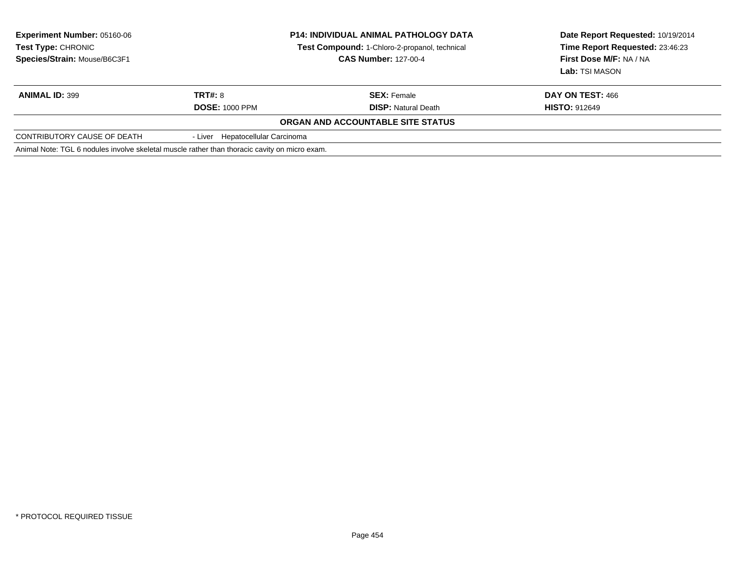| <b>Experiment Number: 05160-06</b><br>Test Type: CHRONIC<br>Species/Strain: Mouse/B6C3F1      | <b>P14: INDIVIDUAL ANIMAL PATHOLOGY DATA</b><br>Test Compound: 1-Chloro-2-propanol, technical<br><b>CAS Number: 127-00-4</b> |                                   | Date Report Requested: 10/19/2014<br>Time Report Requested: 23:46:23<br>First Dose M/F: NA / NA<br>Lab: TSI MASON |
|-----------------------------------------------------------------------------------------------|------------------------------------------------------------------------------------------------------------------------------|-----------------------------------|-------------------------------------------------------------------------------------------------------------------|
| <b>ANIMAL ID: 399</b>                                                                         | TRT#: 8                                                                                                                      | <b>SEX: Female</b>                | DAY ON TEST: 466                                                                                                  |
|                                                                                               | <b>DOSE: 1000 PPM</b>                                                                                                        | <b>DISP:</b> Natural Death        | <b>HISTO: 912649</b>                                                                                              |
|                                                                                               |                                                                                                                              | ORGAN AND ACCOUNTABLE SITE STATUS |                                                                                                                   |
| CONTRIBUTORY CAUSE OF DEATH                                                                   | - Liver Hepatocellular Carcinoma                                                                                             |                                   |                                                                                                                   |
| Animal Note: TGL 6 nodules involve skeletal muscle rather than thoracic cavity on micro exam. |                                                                                                                              |                                   |                                                                                                                   |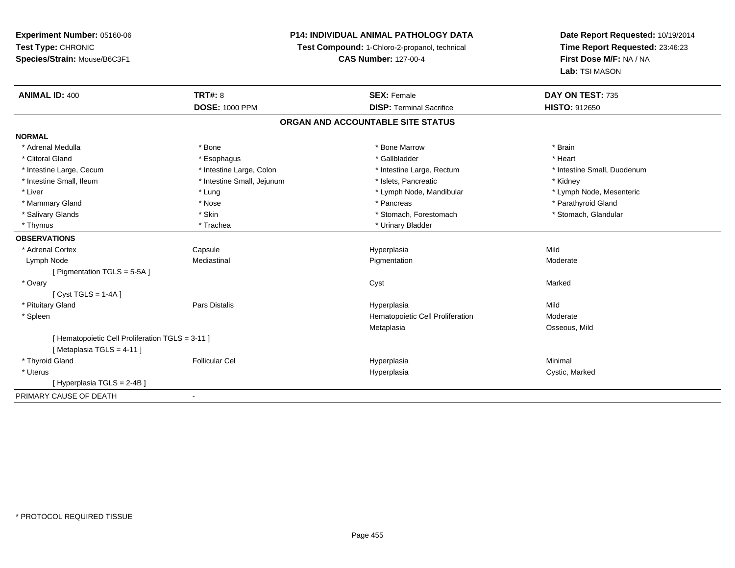# **P14: INDIVIDUAL ANIMAL PATHOLOGY DATA**

**Test Compound:** 1-Chloro-2-propanol, technical

**CAS Number:** 127-00-4

| <b>ANIMAL ID: 400</b>                            | TRT#: 8                    | <b>SEX: Female</b>                | DAY ON TEST: 735            |
|--------------------------------------------------|----------------------------|-----------------------------------|-----------------------------|
|                                                  | <b>DOSE: 1000 PPM</b>      | <b>DISP: Terminal Sacrifice</b>   | <b>HISTO: 912650</b>        |
|                                                  |                            | ORGAN AND ACCOUNTABLE SITE STATUS |                             |
| <b>NORMAL</b>                                    |                            |                                   |                             |
| * Adrenal Medulla                                | * Bone                     | * Bone Marrow                     | * Brain                     |
| * Clitoral Gland                                 | * Esophagus                | * Gallbladder                     | * Heart                     |
| * Intestine Large, Cecum                         | * Intestine Large, Colon   | * Intestine Large, Rectum         | * Intestine Small, Duodenum |
| * Intestine Small, Ileum                         | * Intestine Small, Jejunum | * Islets, Pancreatic              | * Kidney                    |
| * Liver                                          | * Lung                     | * Lymph Node, Mandibular          | * Lymph Node, Mesenteric    |
| * Mammary Gland                                  | * Nose                     | * Pancreas                        | * Parathyroid Gland         |
| * Salivary Glands                                | * Skin                     | * Stomach, Forestomach            | * Stomach, Glandular        |
| * Thymus                                         | * Trachea                  | * Urinary Bladder                 |                             |
| <b>OBSERVATIONS</b>                              |                            |                                   |                             |
| * Adrenal Cortex                                 | Capsule                    | Hyperplasia                       | Mild                        |
| Lymph Node                                       | Mediastinal                | Pigmentation                      | Moderate                    |
| [ Pigmentation TGLS = 5-5A ]                     |                            |                                   |                             |
| * Ovary                                          |                            | Cyst                              | Marked                      |
| $[Cyst TGLS = 1-4A]$                             |                            |                                   |                             |
| * Pituitary Gland                                | Pars Distalis              | Hyperplasia                       | Mild                        |
| * Spleen                                         |                            | Hematopoietic Cell Proliferation  | Moderate                    |
|                                                  |                            | Metaplasia                        | Osseous, Mild               |
| [ Hematopoietic Cell Proliferation TGLS = 3-11 ] |                            |                                   |                             |
| [Metaplasia TGLS = 4-11]                         |                            |                                   |                             |
| * Thyroid Gland                                  | <b>Follicular Cel</b>      | Hyperplasia                       | Minimal                     |
| * Uterus                                         |                            | Hyperplasia                       | Cystic, Marked              |
| [Hyperplasia TGLS = 2-4B]                        |                            |                                   |                             |
| PRIMARY CAUSE OF DEATH                           |                            |                                   |                             |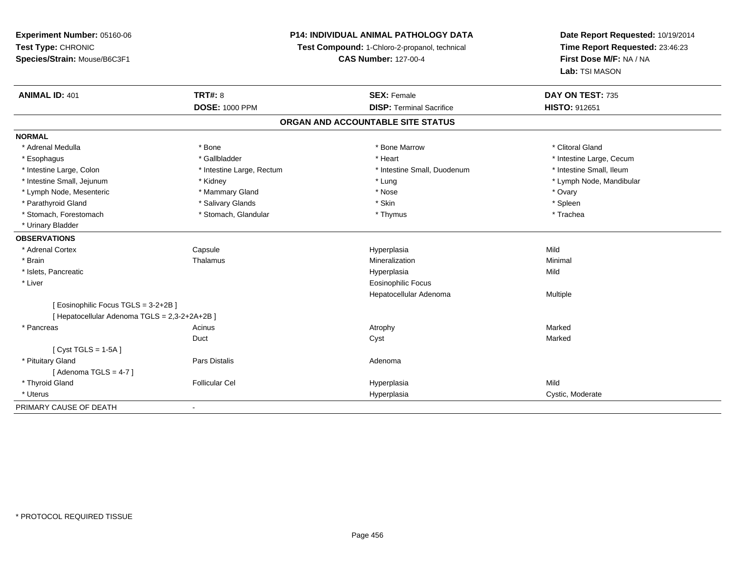**Experiment Number:** 05160-06**Test Type:** CHRONIC **Species/Strain:** Mouse/B6C3F1**P14: INDIVIDUAL ANIMAL PATHOLOGY DATATest Compound:** 1-Chloro-2-propanol, technical **CAS Number:** 127-00-4**Date Report Requested:** 10/19/2014**Time Report Requested:** 23:46:23**First Dose M/F:** NA / NA**Lab:** TSI MASON**ANIMAL ID:** 401**TRT#:** 8 **SEX:** Female **DAY ON TEST:** 735 **DOSE:** 1000 PPM**DISP:** Terminal Sacrifice **HISTO:** 912651 **ORGAN AND ACCOUNTABLE SITE STATUSNORMAL**\* Adrenal Medulla \* The state of the state of the state of the state of the Marrow \* Bone Marrow \* Clitoral Gland \* Clitoral Gland \* Esophagus \* https://www.fragustage.com/web/2019/heart \* Heart \* Heart \* Heart \* Intestine Large, Cecum \* Intestine Large, Cecum \* Sallbladder \* The state of the state of the state of the state of the state of the state o \* Intestine Small, Ileum \* Intestine Large, Colon \* Intestine Large, Rectum \* Intestine Small, Duodenum \* Intestine Small, Duodenum \* Intestine Small, Jejunum \* Kidney \* Lung \* Lymph Node, Mandibular\* Lymph Node, Mesenteric \* \* \* Mammary Gland \* \* Nose \* Nose \* \* Nose \* \* Nose \* Ovary \* Ovary \* Ovary \* Ovary \* Spleen \* Parathyroid Gland \* The state of the second term in the second state of the second state of the second \* Skin \* Skin \* Skin \* Skin \* Skin \* Skin \* Skin \* Skin \* Skin \* Skin \* Skin \* Skin \* Skin \* Skin \* Skin \* Skin \* Ski \* Trachea \* Stomach, Forestomach \* Thymus \* Stomach, Glandular \* Thymus \* Thymus \* Thymus \* Thymus \* Thymus \* Thymus \* Thymus \* Thymus \* Thymus \* Thymus \* Thymus \* Thymus \* Thymus \* Thymus \* Thymus \* Thymus \* Thymus \* Thymus \* Thymu \* Urinary Bladder**OBSERVATIONS** \* Adrenal Cortex Capsule Hyperplasia Mild \* Brainn and the Thalamus and the Minimal and Mineralization and Minimal Minimal and Minimal and Minimal and Minimal  $\mu$  \* Islets, Pancreaticc description of the control of the control of the control of the control of the control of the control of the control of the control of the control of the control of the control of the control of the control of the contro a Mild \* Liver Eosinophilic Focus Hepatocellular Adenoma Multiple [ Eosinophilic Focus TGLS = 3-2+2B ][ Hepatocellular Adenoma TGLS = 2,3-2+2A+2B ] \* Pancreass the control of the control of the control of the control of the control of the control of the control of the control of the control of the control of the control of the control of the control of the control of the contro Marked Ductt the contract of the contract of the contract of the contract of the contract of the contract of the contract of the contract of the contract of the contract of the contract of the contract of the contract of the contract [ Cyst TGLS = 1-5A ] \* Pituitary Glandd and the contract of Pars Distalis and the contract of Adenoma and Adenoma and the Adenoma and the Adenoma and  $\lambda$  $[$  Adenoma TGLS = 4-7  $]$  \* Thyroid Gland Follicular Cel Hyperplasia Mild \* Uteruss and the contract of the contract of the contract of the contract of the contract of the contract of the contract of the contract of the contract of the contract of the contract of the contract of the contract of the cont Hyperplasia Cystic, Moderate PRIMARY CAUSE OF DEATH-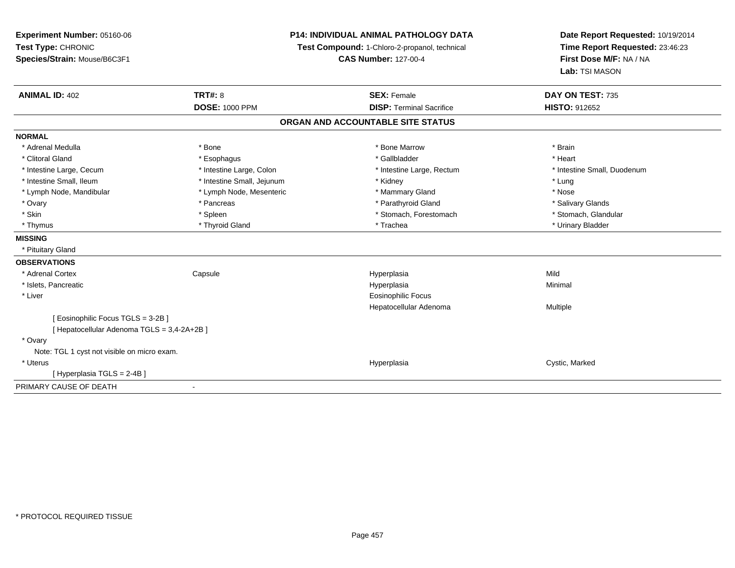| Experiment Number: 05160-06<br>Test Type: CHRONIC<br>Species/Strain: Mouse/B6C3F1 | P14: INDIVIDUAL ANIMAL PATHOLOGY DATA<br>Test Compound: 1-Chloro-2-propanol, technical<br><b>CAS Number: 127-00-4</b> |                                                       | Date Report Requested: 10/19/2014<br>Time Report Requested: 23:46:23<br>First Dose M/F: NA / NA<br>Lab: TSI MASON |  |
|-----------------------------------------------------------------------------------|-----------------------------------------------------------------------------------------------------------------------|-------------------------------------------------------|-------------------------------------------------------------------------------------------------------------------|--|
| <b>ANIMAL ID: 402</b>                                                             | <b>TRT#: 8</b><br><b>DOSE: 1000 PPM</b>                                                                               | <b>SEX: Female</b><br><b>DISP: Terminal Sacrifice</b> | DAY ON TEST: 735<br><b>HISTO: 912652</b>                                                                          |  |
|                                                                                   |                                                                                                                       | ORGAN AND ACCOUNTABLE SITE STATUS                     |                                                                                                                   |  |
| <b>NORMAL</b>                                                                     |                                                                                                                       |                                                       |                                                                                                                   |  |
| * Adrenal Medulla                                                                 | * Bone                                                                                                                | * Bone Marrow                                         | * Brain                                                                                                           |  |
| * Clitoral Gland                                                                  | * Esophagus                                                                                                           | * Gallbladder                                         | * Heart                                                                                                           |  |
| * Intestine Large, Cecum                                                          | * Intestine Large, Colon                                                                                              | * Intestine Large, Rectum                             | * Intestine Small, Duodenum                                                                                       |  |
| * Intestine Small, Ileum                                                          | * Intestine Small, Jejunum                                                                                            | * Kidney                                              | * Lung                                                                                                            |  |
| * Lymph Node, Mandibular                                                          | * Lymph Node, Mesenteric                                                                                              | * Mammary Gland                                       | * Nose                                                                                                            |  |
| * Ovary                                                                           | * Pancreas                                                                                                            | * Parathyroid Gland                                   | * Salivary Glands                                                                                                 |  |
| * Skin                                                                            | * Spleen                                                                                                              | * Stomach, Forestomach                                | * Stomach, Glandular                                                                                              |  |
| * Thymus                                                                          | * Thyroid Gland                                                                                                       | * Trachea                                             | * Urinary Bladder                                                                                                 |  |
| <b>MISSING</b>                                                                    |                                                                                                                       |                                                       |                                                                                                                   |  |
| * Pituitary Gland                                                                 |                                                                                                                       |                                                       |                                                                                                                   |  |
| <b>OBSERVATIONS</b>                                                               |                                                                                                                       |                                                       |                                                                                                                   |  |
| * Adrenal Cortex                                                                  | Capsule                                                                                                               | Hyperplasia                                           | Mild                                                                                                              |  |
| * Islets, Pancreatic                                                              |                                                                                                                       | Hyperplasia                                           | Minimal                                                                                                           |  |
| * Liver                                                                           |                                                                                                                       | <b>Eosinophilic Focus</b>                             |                                                                                                                   |  |
|                                                                                   |                                                                                                                       | Hepatocellular Adenoma                                | Multiple                                                                                                          |  |
| [ Eosinophilic Focus TGLS = 3-2B ]<br>[ Hepatocellular Adenoma TGLS = 3,4-2A+2B ] |                                                                                                                       |                                                       |                                                                                                                   |  |
| * Ovary                                                                           |                                                                                                                       |                                                       |                                                                                                                   |  |
| Note: TGL 1 cyst not visible on micro exam.                                       |                                                                                                                       |                                                       |                                                                                                                   |  |
| * Uterus                                                                          |                                                                                                                       | Hyperplasia                                           | Cystic, Marked                                                                                                    |  |
| [Hyperplasia TGLS = 2-4B]                                                         |                                                                                                                       |                                                       |                                                                                                                   |  |
| PRIMARY CAUSE OF DEATH                                                            | $\blacksquare$                                                                                                        |                                                       |                                                                                                                   |  |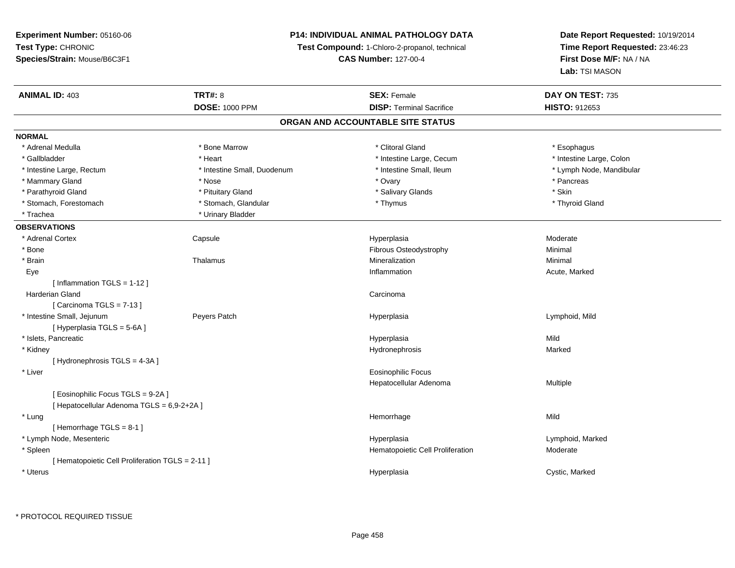### **P14: INDIVIDUAL ANIMAL PATHOLOGY DATA**

**Test Compound:** 1-Chloro-2-propanol, technical

**CAS Number:** 127-00-4

| <b>ANIMAL ID: 403</b>                            | <b>TRT#: 8</b>              | <b>SEX: Female</b>                | DAY ON TEST: 735         |  |
|--------------------------------------------------|-----------------------------|-----------------------------------|--------------------------|--|
|                                                  | <b>DOSE: 1000 PPM</b>       | <b>DISP: Terminal Sacrifice</b>   | <b>HISTO: 912653</b>     |  |
|                                                  |                             | ORGAN AND ACCOUNTABLE SITE STATUS |                          |  |
| <b>NORMAL</b>                                    |                             |                                   |                          |  |
| * Adrenal Medulla                                | * Bone Marrow               | * Clitoral Gland                  | * Esophagus              |  |
| * Gallbladder                                    | * Heart                     | * Intestine Large, Cecum          | * Intestine Large, Colon |  |
| * Intestine Large, Rectum                        | * Intestine Small, Duodenum | * Intestine Small, Ileum          | * Lymph Node, Mandibular |  |
| * Mammary Gland                                  | * Nose                      | * Ovary                           | * Pancreas               |  |
| * Parathyroid Gland                              | * Pituitary Gland           | * Salivary Glands                 | * Skin                   |  |
| * Stomach, Forestomach                           | * Stomach, Glandular        | * Thymus                          | * Thyroid Gland          |  |
| * Trachea                                        | * Urinary Bladder           |                                   |                          |  |
| <b>OBSERVATIONS</b>                              |                             |                                   |                          |  |
| * Adrenal Cortex                                 | Capsule                     | Hyperplasia                       | Moderate                 |  |
| * Bone                                           |                             | Fibrous Osteodystrophy            | Minimal                  |  |
| * Brain                                          | Thalamus                    | Mineralization                    | Minimal                  |  |
| Eye                                              |                             | Inflammation                      | Acute, Marked            |  |
| [Inflammation TGLS = 1-12]                       |                             |                                   |                          |  |
| <b>Harderian Gland</b>                           |                             | Carcinoma                         |                          |  |
| [Carcinoma TGLS = 7-13]                          |                             |                                   |                          |  |
| * Intestine Small, Jejunum                       | Peyers Patch                | Hyperplasia                       | Lymphoid, Mild           |  |
| [ Hyperplasia TGLS = 5-6A ]                      |                             |                                   |                          |  |
| * Islets, Pancreatic                             |                             | Hyperplasia                       | Mild                     |  |
| * Kidney                                         |                             | Hydronephrosis                    | Marked                   |  |
| [Hydronephrosis TGLS = 4-3A]                     |                             |                                   |                          |  |
| * Liver                                          |                             | <b>Eosinophilic Focus</b>         |                          |  |
|                                                  |                             | Hepatocellular Adenoma            | Multiple                 |  |
| [Eosinophilic Focus TGLS = 9-2A]                 |                             |                                   |                          |  |
| [ Hepatocellular Adenoma TGLS = 6,9-2+2A ]       |                             |                                   |                          |  |
| * Lung                                           |                             | Hemorrhage                        | Mild                     |  |
| [Hemorrhage TGLS = 8-1]                          |                             |                                   |                          |  |
| * Lymph Node, Mesenteric                         |                             | Hyperplasia                       | Lymphoid, Marked         |  |
| * Spleen                                         |                             | Hematopoietic Cell Proliferation  | Moderate                 |  |
| [ Hematopoietic Cell Proliferation TGLS = 2-11 ] |                             |                                   |                          |  |
| * Uterus                                         |                             | Hyperplasia                       | Cystic, Marked           |  |
|                                                  |                             |                                   |                          |  |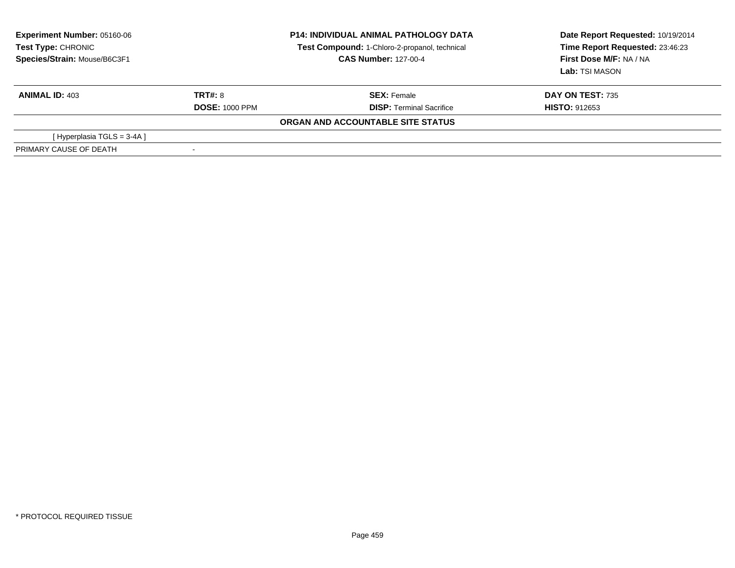| <b>Experiment Number: 05160-06</b><br>Test Type: CHRONIC<br>Species/Strain: Mouse/B6C3F1 |                       | <b>P14: INDIVIDUAL ANIMAL PATHOLOGY DATA</b><br>Test Compound: 1-Chloro-2-propanol, technical<br><b>CAS Number: 127-00-4</b> | Date Report Requested: 10/19/2014<br>Time Report Requested: 23:46:23<br>First Dose M/F: NA / NA<br>Lab: TSI MASON |  |
|------------------------------------------------------------------------------------------|-----------------------|------------------------------------------------------------------------------------------------------------------------------|-------------------------------------------------------------------------------------------------------------------|--|
| <b>ANIMAL ID: 403</b>                                                                    | TRT#: 8               | <b>SEX: Female</b>                                                                                                           | <b>DAY ON TEST: 735</b>                                                                                           |  |
|                                                                                          | <b>DOSE: 1000 PPM</b> | <b>DISP:</b> Terminal Sacrifice                                                                                              | <b>HISTO: 912653</b>                                                                                              |  |
|                                                                                          |                       | ORGAN AND ACCOUNTABLE SITE STATUS                                                                                            |                                                                                                                   |  |
| [Hyperplasia TGLS = 3-4A]                                                                |                       |                                                                                                                              |                                                                                                                   |  |
| PRIMARY CAUSE OF DEATH                                                                   |                       |                                                                                                                              |                                                                                                                   |  |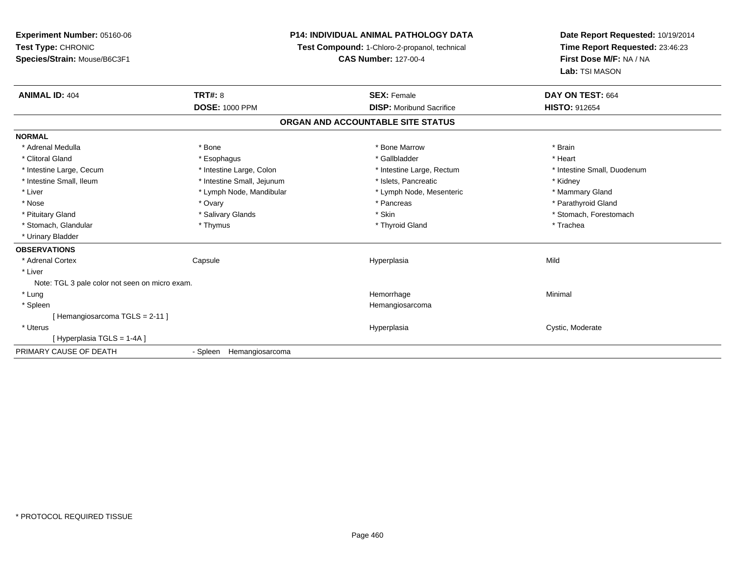| Experiment Number: 05160-06                    | <b>P14: INDIVIDUAL ANIMAL PATHOLOGY DATA</b> |                                               | Date Report Requested: 10/19/2014 |  |
|------------------------------------------------|----------------------------------------------|-----------------------------------------------|-----------------------------------|--|
| Test Type: CHRONIC                             |                                              | Test Compound: 1-Chloro-2-propanol, technical | Time Report Requested: 23:46:23   |  |
| Species/Strain: Mouse/B6C3F1                   |                                              | <b>CAS Number: 127-00-4</b>                   | First Dose M/F: NA / NA           |  |
|                                                |                                              |                                               | Lab: TSI MASON                    |  |
| <b>ANIMAL ID: 404</b>                          | <b>TRT#: 8</b>                               | <b>SEX: Female</b>                            | DAY ON TEST: 664                  |  |
|                                                | <b>DOSE: 1000 PPM</b>                        | <b>DISP:</b> Moribund Sacrifice               | <b>HISTO: 912654</b>              |  |
|                                                |                                              | ORGAN AND ACCOUNTABLE SITE STATUS             |                                   |  |
| <b>NORMAL</b>                                  |                                              |                                               |                                   |  |
| * Adrenal Medulla                              | * Bone                                       | * Bone Marrow                                 | * Brain                           |  |
| * Clitoral Gland                               | * Esophagus                                  | * Gallbladder                                 | * Heart                           |  |
| * Intestine Large, Cecum                       | * Intestine Large, Colon                     | * Intestine Large, Rectum                     | * Intestine Small, Duodenum       |  |
| * Intestine Small, Ileum                       | * Intestine Small, Jejunum                   | * Islets, Pancreatic                          | * Kidney                          |  |
| * Liver                                        | * Lymph Node, Mandibular                     | * Lymph Node, Mesenteric                      | * Mammary Gland                   |  |
| * Nose                                         | * Ovary                                      | * Pancreas                                    | * Parathyroid Gland               |  |
| * Pituitary Gland                              | * Salivary Glands                            | * Skin                                        | * Stomach, Forestomach            |  |
| * Stomach, Glandular                           | * Thymus                                     | * Thyroid Gland                               | * Trachea                         |  |
| * Urinary Bladder                              |                                              |                                               |                                   |  |
| <b>OBSERVATIONS</b>                            |                                              |                                               |                                   |  |
| * Adrenal Cortex                               | Capsule                                      | Hyperplasia                                   | Mild                              |  |
| * Liver                                        |                                              |                                               |                                   |  |
| Note: TGL 3 pale color not seen on micro exam. |                                              |                                               |                                   |  |
| * Lung                                         |                                              | Hemorrhage                                    | Minimal                           |  |
| * Spleen                                       |                                              | Hemangiosarcoma                               |                                   |  |
| [Hemangiosarcoma TGLS = 2-11]                  |                                              |                                               |                                   |  |
| * Uterus                                       |                                              | Hyperplasia                                   | Cystic, Moderate                  |  |
| [Hyperplasia TGLS = 1-4A]                      |                                              |                                               |                                   |  |
| PRIMARY CAUSE OF DEATH                         | - Spleen Hemangiosarcoma                     |                                               |                                   |  |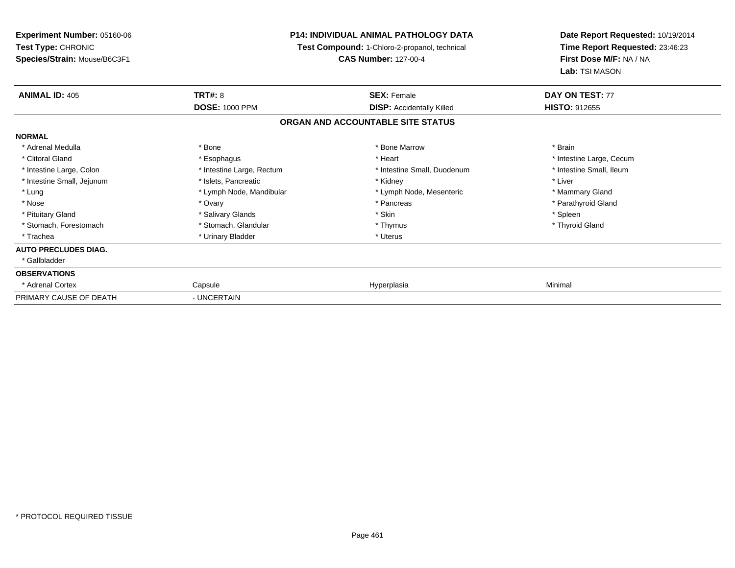| <b>Experiment Number: 05160-06</b><br>Test Type: CHRONIC<br>Species/Strain: Mouse/B6C3F1 | <b>P14: INDIVIDUAL ANIMAL PATHOLOGY DATA</b><br>Test Compound: 1-Chloro-2-propanol, technical<br><b>CAS Number: 127-00-4</b> |                                                        | Date Report Requested: 10/19/2014<br>Time Report Requested: 23:46:23<br>First Dose M/F: NA / NA |  |
|------------------------------------------------------------------------------------------|------------------------------------------------------------------------------------------------------------------------------|--------------------------------------------------------|-------------------------------------------------------------------------------------------------|--|
| <b>ANIMAL ID: 405</b>                                                                    | <b>TRT#: 8</b><br><b>DOSE: 1000 PPM</b>                                                                                      | <b>SEX: Female</b><br><b>DISP:</b> Accidentally Killed | Lab: TSI MASON<br>DAY ON TEST: 77<br><b>HISTO: 912655</b>                                       |  |
|                                                                                          |                                                                                                                              | ORGAN AND ACCOUNTABLE SITE STATUS                      |                                                                                                 |  |
| <b>NORMAL</b>                                                                            |                                                                                                                              |                                                        |                                                                                                 |  |
| * Adrenal Medulla                                                                        | * Bone                                                                                                                       | * Bone Marrow                                          | * Brain                                                                                         |  |
| * Clitoral Gland                                                                         | * Esophagus                                                                                                                  | * Heart                                                | * Intestine Large, Cecum                                                                        |  |
| * Intestine Large, Colon                                                                 | * Intestine Large, Rectum                                                                                                    | * Intestine Small, Duodenum                            | * Intestine Small, Ileum                                                                        |  |
| * Intestine Small, Jejunum                                                               | * Islets, Pancreatic                                                                                                         | * Kidney                                               | * Liver                                                                                         |  |
| * Lung                                                                                   | * Lymph Node, Mandibular                                                                                                     | * Lymph Node, Mesenteric                               | * Mammary Gland                                                                                 |  |
| * Nose                                                                                   | * Ovary                                                                                                                      | * Pancreas                                             | * Parathyroid Gland                                                                             |  |
| * Pituitary Gland                                                                        | * Salivary Glands                                                                                                            | * Skin                                                 | * Spleen                                                                                        |  |
| * Stomach, Forestomach                                                                   | * Stomach, Glandular                                                                                                         | * Thymus                                               | * Thyroid Gland                                                                                 |  |
| * Trachea                                                                                | * Urinary Bladder                                                                                                            | * Uterus                                               |                                                                                                 |  |
| <b>AUTO PRECLUDES DIAG.</b>                                                              |                                                                                                                              |                                                        |                                                                                                 |  |
| * Gallbladder                                                                            |                                                                                                                              |                                                        |                                                                                                 |  |
| <b>OBSERVATIONS</b>                                                                      |                                                                                                                              |                                                        |                                                                                                 |  |
| * Adrenal Cortex                                                                         | Capsule                                                                                                                      | Hyperplasia                                            | Minimal                                                                                         |  |
| PRIMARY CAUSE OF DEATH                                                                   | - UNCERTAIN                                                                                                                  |                                                        |                                                                                                 |  |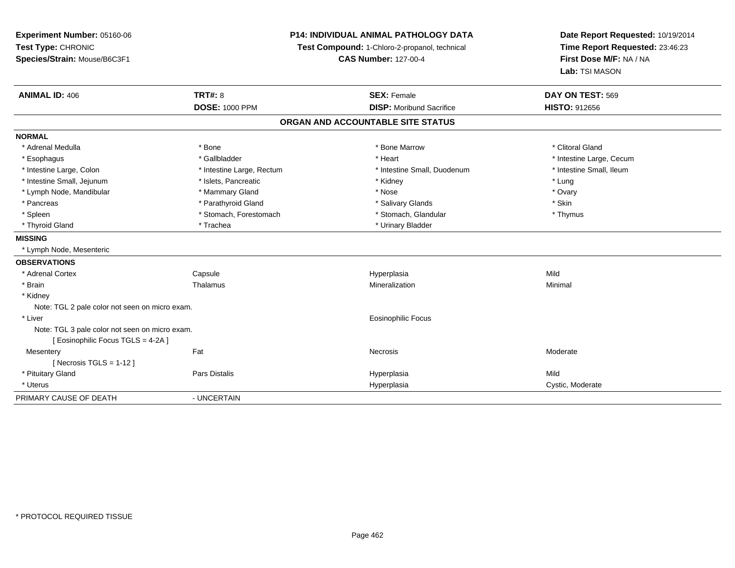| Experiment Number: 05160-06<br>Test Type: CHRONIC<br>Species/Strain: Mouse/B6C3F1 | P14: INDIVIDUAL ANIMAL PATHOLOGY DATA<br>Test Compound: 1-Chloro-2-propanol, technical<br><b>CAS Number: 127-00-4</b> |  | Date Report Requested: 10/19/2014<br>Time Report Requested: 23:46:23<br>First Dose M/F: NA / NA<br>Lab: TSI MASON |                          |
|-----------------------------------------------------------------------------------|-----------------------------------------------------------------------------------------------------------------------|--|-------------------------------------------------------------------------------------------------------------------|--------------------------|
| <b>ANIMAL ID: 406</b>                                                             | <b>TRT#: 8</b>                                                                                                        |  | <b>SEX: Female</b>                                                                                                | DAY ON TEST: 569         |
|                                                                                   | <b>DOSE: 1000 PPM</b>                                                                                                 |  | <b>DISP:</b> Moribund Sacrifice                                                                                   | <b>HISTO: 912656</b>     |
|                                                                                   |                                                                                                                       |  | ORGAN AND ACCOUNTABLE SITE STATUS                                                                                 |                          |
| <b>NORMAL</b>                                                                     |                                                                                                                       |  |                                                                                                                   |                          |
| * Adrenal Medulla                                                                 | * Bone                                                                                                                |  | * Bone Marrow                                                                                                     | * Clitoral Gland         |
| * Esophagus                                                                       | * Gallbladder                                                                                                         |  | * Heart                                                                                                           | * Intestine Large, Cecum |
| * Intestine Large, Colon                                                          | * Intestine Large, Rectum                                                                                             |  | * Intestine Small, Duodenum                                                                                       | * Intestine Small, Ileum |
| * Intestine Small, Jejunum                                                        | * Islets, Pancreatic                                                                                                  |  | * Kidney                                                                                                          | * Lung                   |
| * Lymph Node, Mandibular                                                          | * Mammary Gland                                                                                                       |  | * Nose                                                                                                            | * Ovary                  |
| * Pancreas                                                                        | * Parathyroid Gland                                                                                                   |  | * Salivary Glands                                                                                                 | * Skin                   |
| * Spleen                                                                          | * Stomach, Forestomach                                                                                                |  | * Stomach, Glandular                                                                                              | * Thymus                 |
| * Thyroid Gland                                                                   | * Trachea                                                                                                             |  | * Urinary Bladder                                                                                                 |                          |
| <b>MISSING</b>                                                                    |                                                                                                                       |  |                                                                                                                   |                          |
| * Lymph Node, Mesenteric                                                          |                                                                                                                       |  |                                                                                                                   |                          |
| <b>OBSERVATIONS</b>                                                               |                                                                                                                       |  |                                                                                                                   |                          |
| * Adrenal Cortex                                                                  | Capsule                                                                                                               |  | Hyperplasia                                                                                                       | Mild                     |
| * Brain                                                                           | Thalamus                                                                                                              |  | Mineralization                                                                                                    | Minimal                  |
| * Kidney                                                                          |                                                                                                                       |  |                                                                                                                   |                          |
| Note: TGL 2 pale color not seen on micro exam.                                    |                                                                                                                       |  |                                                                                                                   |                          |
| * Liver                                                                           |                                                                                                                       |  | Eosinophilic Focus                                                                                                |                          |
| Note: TGL 3 pale color not seen on micro exam.                                    |                                                                                                                       |  |                                                                                                                   |                          |
| [Eosinophilic Focus TGLS = 4-2A]                                                  |                                                                                                                       |  |                                                                                                                   |                          |
| Mesentery                                                                         | Fat                                                                                                                   |  | Necrosis                                                                                                          | Moderate                 |
| [ Necrosis TGLS = $1-12$ ]                                                        |                                                                                                                       |  |                                                                                                                   |                          |
| * Pituitary Gland                                                                 | Pars Distalis                                                                                                         |  | Hyperplasia                                                                                                       | Mild                     |
| * Uterus                                                                          |                                                                                                                       |  | Hyperplasia                                                                                                       | Cystic, Moderate         |
| PRIMARY CAUSE OF DEATH                                                            | - UNCERTAIN                                                                                                           |  |                                                                                                                   |                          |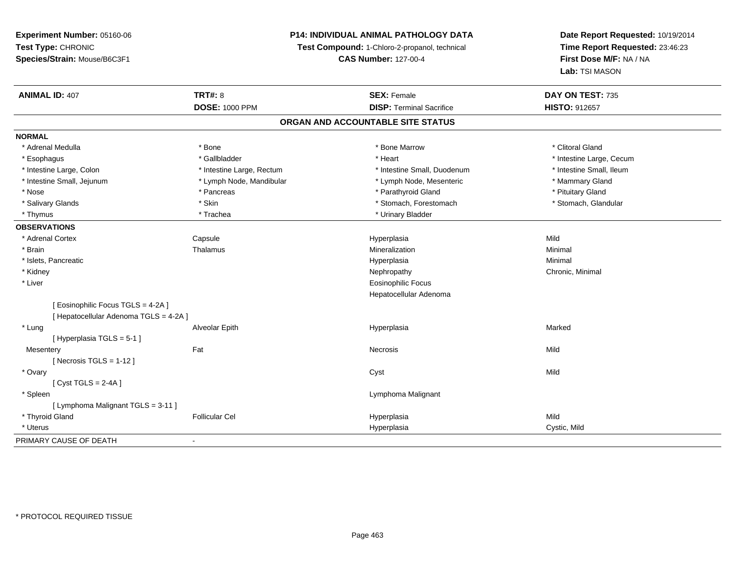# **P14: INDIVIDUAL ANIMAL PATHOLOGY DATA**

**Test Compound:** 1-Chloro-2-propanol, technical

**CAS Number:** 127-00-4

| <b>ANIMAL ID: 407</b>                  | <b>TRT#: 8</b>            | <b>SEX: Female</b>                | DAY ON TEST: 735         |
|----------------------------------------|---------------------------|-----------------------------------|--------------------------|
|                                        | <b>DOSE: 1000 PPM</b>     | <b>DISP: Terminal Sacrifice</b>   | HISTO: 912657            |
|                                        |                           | ORGAN AND ACCOUNTABLE SITE STATUS |                          |
| <b>NORMAL</b>                          |                           |                                   |                          |
| * Adrenal Medulla                      | * Bone                    | * Bone Marrow                     | * Clitoral Gland         |
| * Esophagus                            | * Gallbladder             | * Heart                           | * Intestine Large, Cecum |
| * Intestine Large, Colon               | * Intestine Large, Rectum | * Intestine Small, Duodenum       | * Intestine Small, Ileum |
| * Intestine Small, Jejunum             | * Lymph Node, Mandibular  | * Lymph Node, Mesenteric          | * Mammary Gland          |
| * Nose                                 | * Pancreas                | * Parathyroid Gland               | * Pituitary Gland        |
| * Salivary Glands                      | * Skin                    | * Stomach, Forestomach            | * Stomach, Glandular     |
| * Thymus                               | * Trachea                 | * Urinary Bladder                 |                          |
| <b>OBSERVATIONS</b>                    |                           |                                   |                          |
| * Adrenal Cortex                       | Capsule                   | Hyperplasia                       | Mild                     |
| * Brain                                | Thalamus                  | Mineralization                    | Minimal                  |
| * Islets, Pancreatic                   |                           | Hyperplasia                       | Minimal                  |
| * Kidney                               |                           | Nephropathy                       | Chronic, Minimal         |
| * Liver                                |                           | <b>Eosinophilic Focus</b>         |                          |
|                                        |                           | Hepatocellular Adenoma            |                          |
| [ Eosinophilic Focus TGLS = 4-2A ]     |                           |                                   |                          |
| [ Hepatocellular Adenoma TGLS = 4-2A ] |                           |                                   |                          |
| * Lung                                 | Alveolar Epith            | Hyperplasia                       | Marked                   |
| [Hyperplasia TGLS = 5-1]               |                           |                                   |                          |
| Mesentery                              | Fat                       | Necrosis                          | Mild                     |
| [Necrosis TGLS = $1-12$ ]              |                           |                                   |                          |
| * Ovary                                |                           | Cyst                              | Mild                     |
| [Cyst TGLS = $2-4A$ ]                  |                           |                                   |                          |
| * Spleen                               |                           | Lymphoma Malignant                |                          |
| [ Lymphoma Malignant TGLS = 3-11 ]     |                           |                                   |                          |
| * Thyroid Gland                        | <b>Follicular Cel</b>     | Hyperplasia                       | Mild                     |
| * Uterus                               |                           | Hyperplasia                       | Cystic, Mild             |
| PRIMARY CAUSE OF DEATH                 | ٠                         |                                   |                          |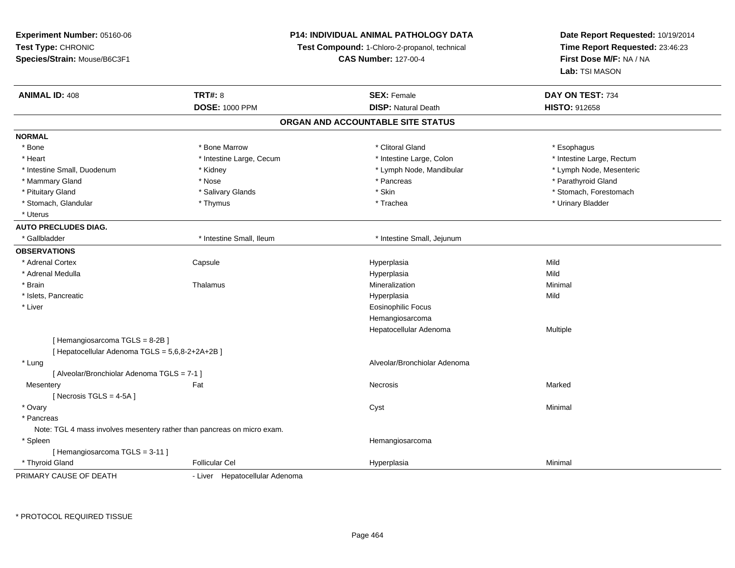| Experiment Number: 05160-06                                             |                                | P14: INDIVIDUAL ANIMAL PATHOLOGY DATA         | Date Report Requested: 10/19/2014<br>Time Report Requested: 23:46:23<br>First Dose M/F: NA / NA |
|-------------------------------------------------------------------------|--------------------------------|-----------------------------------------------|-------------------------------------------------------------------------------------------------|
| Test Type: CHRONIC                                                      |                                | Test Compound: 1-Chloro-2-propanol, technical |                                                                                                 |
| Species/Strain: Mouse/B6C3F1                                            |                                | <b>CAS Number: 127-00-4</b>                   |                                                                                                 |
|                                                                         |                                |                                               | Lab: TSI MASON                                                                                  |
| <b>ANIMAL ID: 408</b>                                                   | <b>TRT#: 8</b>                 | <b>SEX: Female</b>                            | DAY ON TEST: 734                                                                                |
|                                                                         | <b>DOSE: 1000 PPM</b>          | <b>DISP: Natural Death</b>                    | HISTO: 912658                                                                                   |
|                                                                         |                                | ORGAN AND ACCOUNTABLE SITE STATUS             |                                                                                                 |
| <b>NORMAL</b>                                                           |                                |                                               |                                                                                                 |
| * Bone                                                                  | * Bone Marrow                  | * Clitoral Gland                              | * Esophagus                                                                                     |
| * Heart                                                                 | * Intestine Large, Cecum       | * Intestine Large, Colon                      | * Intestine Large, Rectum                                                                       |
| * Intestine Small, Duodenum                                             | * Kidney                       | * Lymph Node, Mandibular                      | * Lymph Node, Mesenteric                                                                        |
| * Mammary Gland                                                         | * Nose                         | * Pancreas                                    | * Parathyroid Gland                                                                             |
| * Pituitary Gland                                                       | * Salivary Glands              | * Skin                                        | * Stomach, Forestomach                                                                          |
| * Stomach, Glandular                                                    | * Thymus                       | * Trachea                                     | * Urinary Bladder                                                                               |
| * Uterus                                                                |                                |                                               |                                                                                                 |
| <b>AUTO PRECLUDES DIAG.</b>                                             |                                |                                               |                                                                                                 |
| * Gallbladder                                                           | * Intestine Small, Ileum       | * Intestine Small, Jejunum                    |                                                                                                 |
| <b>OBSERVATIONS</b>                                                     |                                |                                               |                                                                                                 |
| * Adrenal Cortex                                                        | Capsule                        | Hyperplasia                                   | Mild                                                                                            |
| * Adrenal Medulla                                                       |                                | Hyperplasia                                   | Mild                                                                                            |
| * Brain                                                                 | Thalamus                       | Mineralization                                | Minimal                                                                                         |
| * Islets, Pancreatic                                                    |                                | Hyperplasia                                   | Mild                                                                                            |
| * Liver                                                                 |                                | <b>Eosinophilic Focus</b>                     |                                                                                                 |
|                                                                         |                                | Hemangiosarcoma                               |                                                                                                 |
|                                                                         |                                | Hepatocellular Adenoma                        | Multiple                                                                                        |
| [Hemangiosarcoma TGLS = 8-2B]                                           |                                |                                               |                                                                                                 |
| [ Hepatocellular Adenoma TGLS = 5,6,8-2+2A+2B ]                         |                                |                                               |                                                                                                 |
| * Lung                                                                  |                                | Alveolar/Bronchiolar Adenoma                  |                                                                                                 |
| [ Alveolar/Bronchiolar Adenoma TGLS = 7-1 ]                             |                                |                                               |                                                                                                 |
| Mesentery                                                               | Fat                            | Necrosis                                      | Marked                                                                                          |
| [Necrosis $TGLS = 4-5A$ ]                                               |                                |                                               |                                                                                                 |
| * Ovary                                                                 |                                | Cyst                                          | Minimal                                                                                         |
| * Pancreas                                                              |                                |                                               |                                                                                                 |
| Note: TGL 4 mass involves mesentery rather than pancreas on micro exam. |                                |                                               |                                                                                                 |
| * Spleen                                                                |                                | Hemangiosarcoma                               |                                                                                                 |
| [Hemangiosarcoma TGLS = 3-11]                                           |                                |                                               |                                                                                                 |
| * Thyroid Gland                                                         | <b>Follicular Cel</b>          | Hyperplasia                                   | Minimal                                                                                         |
| PRIMARY CAUSE OF DEATH                                                  | - Liver Hepatocellular Adenoma |                                               |                                                                                                 |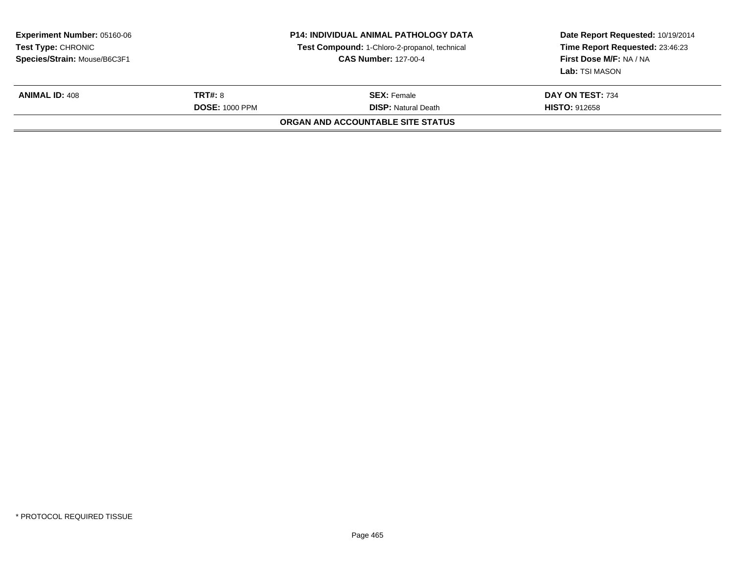| Date Report Requested: 10/19/2014<br>Time Report Requested: 23:46:23<br>First Dose M/F: NA / NA<br><b>Lab:</b> TSI MASON |
|--------------------------------------------------------------------------------------------------------------------------|
| DAY ON TEST: 734                                                                                                         |
|                                                                                                                          |
|                                                                                                                          |
| <b>HISTO: 912658</b>                                                                                                     |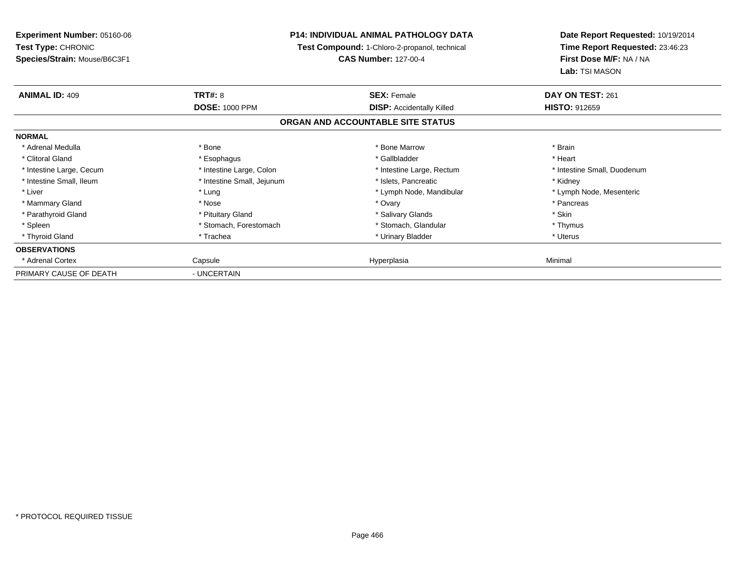| <b>Experiment Number: 05160-06</b><br>Test Type: CHRONIC<br>Species/Strain: Mouse/B6C3F1 |                            | <b>P14: INDIVIDUAL ANIMAL PATHOLOGY DATA</b><br>Test Compound: 1-Chloro-2-propanol, technical<br><b>CAS Number: 127-00-4</b> | Date Report Requested: 10/19/2014<br>Time Report Requested: 23:46:23<br>First Dose M/F: NA / NA |
|------------------------------------------------------------------------------------------|----------------------------|------------------------------------------------------------------------------------------------------------------------------|-------------------------------------------------------------------------------------------------|
|                                                                                          |                            |                                                                                                                              | Lab: TSI MASON                                                                                  |
| <b>ANIMAL ID: 409</b>                                                                    | <b>TRT#: 8</b>             | <b>SEX: Female</b>                                                                                                           | DAY ON TEST: 261                                                                                |
|                                                                                          | <b>DOSE: 1000 PPM</b>      | <b>DISP:</b> Accidentally Killed                                                                                             | <b>HISTO: 912659</b>                                                                            |
|                                                                                          |                            | ORGAN AND ACCOUNTABLE SITE STATUS                                                                                            |                                                                                                 |
| <b>NORMAL</b>                                                                            |                            |                                                                                                                              |                                                                                                 |
| * Adrenal Medulla                                                                        | * Bone                     | * Bone Marrow                                                                                                                | * Brain                                                                                         |
| * Clitoral Gland                                                                         | * Esophagus                | * Gallbladder                                                                                                                | * Heart                                                                                         |
| * Intestine Large, Cecum                                                                 | * Intestine Large, Colon   | * Intestine Large, Rectum                                                                                                    | * Intestine Small, Duodenum                                                                     |
| * Intestine Small, Ileum                                                                 | * Intestine Small, Jejunum | * Islets, Pancreatic                                                                                                         | * Kidney                                                                                        |
| * Liver                                                                                  | * Lung                     | * Lymph Node, Mandibular                                                                                                     | * Lymph Node, Mesenteric                                                                        |
| * Mammary Gland                                                                          | * Nose                     | * Ovary                                                                                                                      | * Pancreas                                                                                      |
| * Parathyroid Gland                                                                      | * Pituitary Gland          | * Salivary Glands                                                                                                            | * Skin                                                                                          |
| * Spleen                                                                                 | * Stomach, Forestomach     | * Stomach, Glandular                                                                                                         | * Thymus                                                                                        |
| * Thyroid Gland                                                                          | * Trachea                  | * Urinary Bladder                                                                                                            | * Uterus                                                                                        |
| <b>OBSERVATIONS</b>                                                                      |                            |                                                                                                                              |                                                                                                 |
| * Adrenal Cortex                                                                         | Capsule                    | Hyperplasia                                                                                                                  | Minimal                                                                                         |
| PRIMARY CAUSE OF DEATH                                                                   | - UNCERTAIN                |                                                                                                                              |                                                                                                 |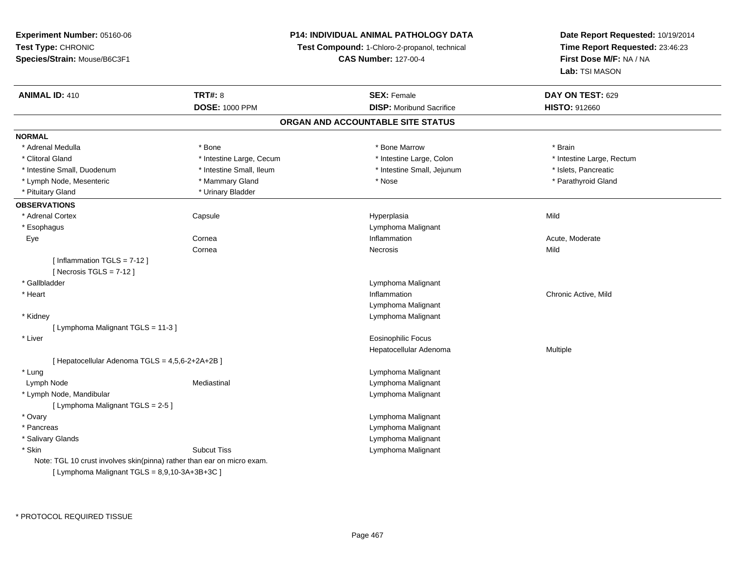### **P14: INDIVIDUAL ANIMAL PATHOLOGY DATA**

**Test Compound:** 1-Chloro-2-propanol, technical

**CAS Number:** 127-00-4

| <b>ANIMAL ID: 410</b>                                                  | <b>TRT#: 8</b>           | <b>SEX: Female</b>                | DAY ON TEST: 629          |
|------------------------------------------------------------------------|--------------------------|-----------------------------------|---------------------------|
|                                                                        | <b>DOSE: 1000 PPM</b>    | <b>DISP: Moribund Sacrifice</b>   | <b>HISTO: 912660</b>      |
|                                                                        |                          | ORGAN AND ACCOUNTABLE SITE STATUS |                           |
| <b>NORMAL</b>                                                          |                          |                                   |                           |
| * Adrenal Medulla                                                      | * Bone                   | * Bone Marrow                     | * Brain                   |
| * Clitoral Gland                                                       | * Intestine Large, Cecum | * Intestine Large, Colon          | * Intestine Large, Rectum |
| * Intestine Small, Duodenum                                            | * Intestine Small, Ileum | * Intestine Small, Jejunum        | * Islets, Pancreatic      |
| * Lymph Node, Mesenteric                                               | * Mammary Gland          | * Nose                            | * Parathyroid Gland       |
| * Pituitary Gland                                                      | * Urinary Bladder        |                                   |                           |
| <b>OBSERVATIONS</b>                                                    |                          |                                   |                           |
| * Adrenal Cortex                                                       | Capsule                  | Hyperplasia                       | Mild                      |
| * Esophagus                                                            |                          | Lymphoma Malignant                |                           |
| Eye                                                                    | Cornea                   | Inflammation                      | Acute, Moderate           |
|                                                                        | Cornea                   | Necrosis                          | Mild                      |
| [Inflammation TGLS = $7-12$ ]                                          |                          |                                   |                           |
| [Necrosis $TGLS = 7-12$ ]                                              |                          |                                   |                           |
| * Gallbladder                                                          |                          | Lymphoma Malignant                |                           |
| * Heart                                                                |                          | Inflammation                      | Chronic Active, Mild      |
|                                                                        |                          | Lymphoma Malignant                |                           |
| * Kidney                                                               |                          | Lymphoma Malignant                |                           |
| [ Lymphoma Malignant TGLS = 11-3 ]                                     |                          |                                   |                           |
| * Liver                                                                |                          | <b>Eosinophilic Focus</b>         |                           |
|                                                                        |                          | Hepatocellular Adenoma            | Multiple                  |
| [ Hepatocellular Adenoma TGLS = 4,5,6-2+2A+2B ]                        |                          |                                   |                           |
| * Lung                                                                 |                          | Lymphoma Malignant                |                           |
| Lymph Node                                                             | Mediastinal              | Lymphoma Malignant                |                           |
| * Lymph Node, Mandibular                                               |                          | Lymphoma Malignant                |                           |
| [ Lymphoma Malignant TGLS = 2-5 ]                                      |                          |                                   |                           |
| * Ovary                                                                |                          | Lymphoma Malignant                |                           |
| * Pancreas                                                             |                          | Lymphoma Malignant                |                           |
| * Salivary Glands                                                      |                          | Lymphoma Malignant                |                           |
| * Skin                                                                 | <b>Subcut Tiss</b>       | Lymphoma Malignant                |                           |
| Note: TGL 10 crust involves skin(pinna) rather than ear on micro exam. |                          |                                   |                           |
| [ Lymphoma Malignant TGLS = $8,9,10-3A+3B+3C$ ]                        |                          |                                   |                           |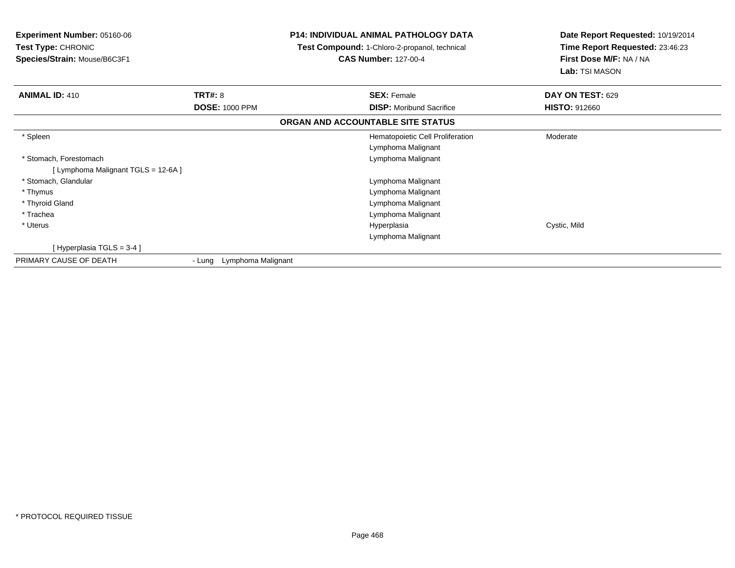| <b>Experiment Number: 05160-06</b><br><b>Test Type: CHRONIC</b><br>Species/Strain: Mouse/B6C3F1 |                           | <b>P14: INDIVIDUAL ANIMAL PATHOLOGY DATA</b><br>Test Compound: 1-Chloro-2-propanol, technical<br><b>CAS Number: 127-00-4</b> | Date Report Requested: 10/19/2014<br>Time Report Requested: 23:46:23<br>First Dose M/F: NA / NA<br>Lab: TSI MASON |
|-------------------------------------------------------------------------------------------------|---------------------------|------------------------------------------------------------------------------------------------------------------------------|-------------------------------------------------------------------------------------------------------------------|
| <b>ANIMAL ID: 410</b>                                                                           | <b>TRT#: 8</b>            | <b>SEX: Female</b>                                                                                                           | DAY ON TEST: 629                                                                                                  |
|                                                                                                 | <b>DOSE: 1000 PPM</b>     | <b>DISP:</b> Moribund Sacrifice                                                                                              | <b>HISTO: 912660</b>                                                                                              |
|                                                                                                 |                           | ORGAN AND ACCOUNTABLE SITE STATUS                                                                                            |                                                                                                                   |
| * Spleen                                                                                        |                           | Hematopoietic Cell Proliferation                                                                                             | Moderate                                                                                                          |
|                                                                                                 |                           | Lymphoma Malignant                                                                                                           |                                                                                                                   |
| * Stomach, Forestomach                                                                          |                           | Lymphoma Malignant                                                                                                           |                                                                                                                   |
| [ Lymphoma Malignant TGLS = 12-6A ]                                                             |                           |                                                                                                                              |                                                                                                                   |
| * Stomach, Glandular                                                                            |                           | Lymphoma Malignant                                                                                                           |                                                                                                                   |
| * Thymus                                                                                        |                           | Lymphoma Malignant                                                                                                           |                                                                                                                   |
| * Thyroid Gland                                                                                 |                           | Lymphoma Malignant                                                                                                           |                                                                                                                   |
| * Trachea                                                                                       |                           | Lymphoma Malignant                                                                                                           |                                                                                                                   |
| * Uterus                                                                                        |                           | Hyperplasia                                                                                                                  | Cystic, Mild                                                                                                      |
|                                                                                                 |                           | Lymphoma Malignant                                                                                                           |                                                                                                                   |
| [Hyperplasia TGLS = $3-4$ ]                                                                     |                           |                                                                                                                              |                                                                                                                   |
| PRIMARY CAUSE OF DEATH                                                                          | - Lung Lymphoma Malignant |                                                                                                                              |                                                                                                                   |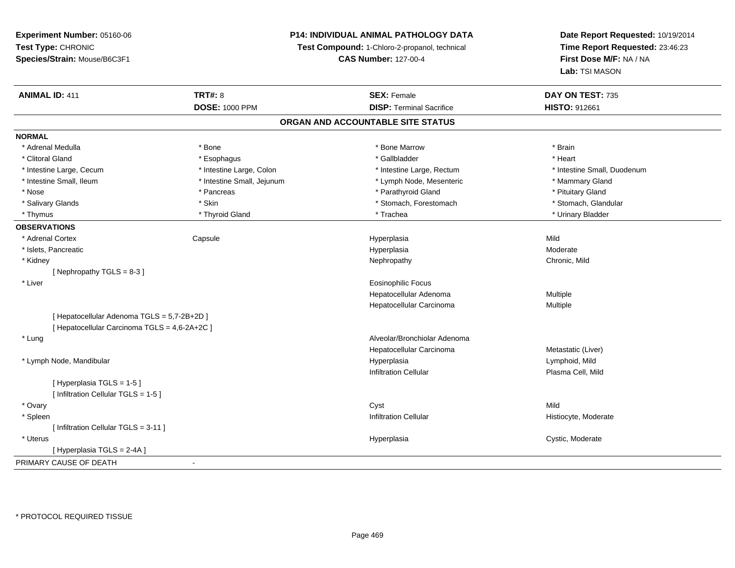**Experiment Number:** 05160-06**Test Type:** CHRONIC **Species/Strain:** Mouse/B6C3F1**P14: INDIVIDUAL ANIMAL PATHOLOGY DATATest Compound:** 1-Chloro-2-propanol, technical **CAS Number:** 127-00-4**Date Report Requested:** 10/19/2014**Time Report Requested:** 23:46:23**First Dose M/F:** NA / NA**Lab:** TSI MASON**ANIMAL ID:** 411**TRT#:** 8 **SEX:** Female **DAY ON TEST:** 735 **DOSE:** 1000 PPM**DISP:** Terminal Sacrifice **HISTO:** 912661 **ORGAN AND ACCOUNTABLE SITE STATUSNORMAL**\* Adrenal Medulla \* \* Annual Medulla \* Brain \* Bone \* \* Bone Marrow \* Bone Marrow \* \* Brain \* Brain \* Brain \* Brain \* Brain \* Brain \* Brain \* Brain \* Brain \* Brain \* Brain \* Brain \* Brain \* Brain \* Brain \* Brain \* Brain \* \* Heart \* Clitoral Gland \* \* \* heart \* \* Esophagus \* \* \* \* \* \* \* \* \* \* \* Gallbladder \* \* \* \* \* \* \* \* \* \* \* \* Heart \* Intestine Large, Cecum \* Intestine Large, Colon \* Intestine Large, Rectum \* Intestine Small, Duodenum\* Intestine Small, Ileum \* Thestine Small, Jejunum \* Lymph Node, Mesenteric \* The \* Mammary Gland \* Nose \* Pancreas \* Pancreas \* Parathyroid Gland \* Parathyroid Gland \* Pituitary Gland \* Pituitary Gland \* Pituitary Computer \* Parathyroid Gland \* Pituitary Gland \* Pituitary Gland \* Pituitary Gland \* Pituitary Gland \* Pi \* Stomach, Glandular \* Salivary Glands \* Stomach, Forestomach \* Skin \* Skin \* Stomach, Forestomach \* Stomach, Forestomach \* Thymus \* Thyroid Gland \* Trachea \* Urinary Bladder \* **OBSERVATIONS** \* Adrenal Cortex Capsule Hyperplasia Mild \* Islets, Pancreaticc description of the control of the control of the control of the control of the control of the control of the control of the control of the control of the control of the control of the control of the control of the contro Hyperplasia Moderate \* Kidneyy the controller of the controller of the controller of the controller of the controller of the chronic, Mild [ Nephropathy TGLS = 8-3 ] \* Liver Eosinophilic Focus Hepatocellular Adenoma Multiple Hepatocellular Carcinoma Multiple [ Hepatocellular Adenoma TGLS = 5,7-2B+2D ][ Hepatocellular Carcinoma TGLS = 4,6-2A+2C ] \* Lung Alveolar/Bronchiolar Adenoma Hepatocellular Carcinoma Metastatic (Liver) \* Lymph Node, Mandibular Hyperplasia Lymphoid, Mild Infiltration Cellular Plasma Cell, Mild[ Hyperplasia TGLS = 1-5 ][ Infiltration Cellular TGLS = 1-5 ] \* Ovaryy and the control of the control of the control of the control of the control of the control of the control of the control of the control of the control of the control of the control of the control of the control of the co Histiocyte, Moderate \* Spleenn Altan Cellular (Infiltration Cellular Altan Cellular Histiocyte, Moderate Altan Altan Cellular Altan Altan A [ Infiltration Cellular TGLS = 3-11 ] \* Uteruss and the contract of the contract of the contract of the contract of the contract of the contract of the contract of the contract of the contract of the contract of the contract of the contract of the contract of the cont Hyperplasia Cystic, Moderate [ Hyperplasia TGLS = 2-4A ]PRIMARY CAUSE OF DEATH-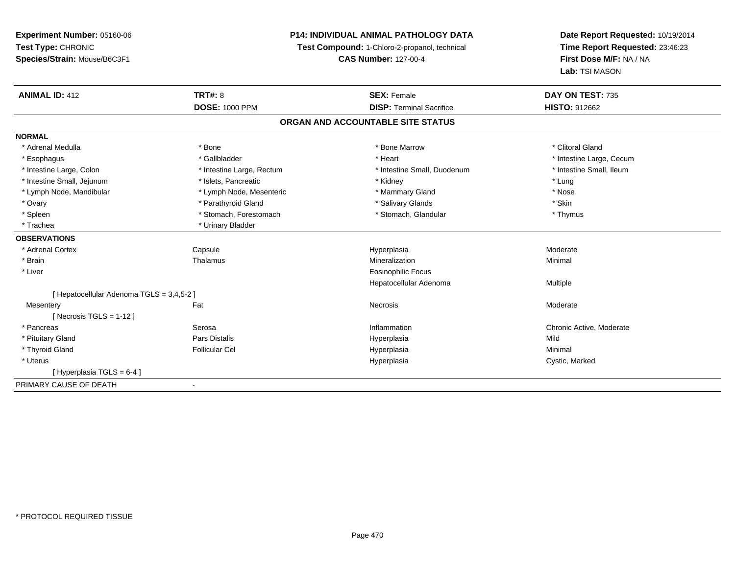**Experiment Number:** 05160-06**Test Type:** CHRONIC**Species/Strain:** Mouse/B6C3F1

## **P14: INDIVIDUAL ANIMAL PATHOLOGY DATA**

**Test Compound:** 1-Chloro-2-propanol, technical

**CAS Number:** 127-00-4

**Date Report Requested:** 10/19/2014**Time Report Requested:** 23:46:23**First Dose M/F:** NA / NA**Lab:** TSI MASON

| <b>ANIMAL ID: 412</b>                     | TRT#: 8                   | <b>SEX: Female</b>              | DAY ON TEST: 735         |  |  |  |  |
|-------------------------------------------|---------------------------|---------------------------------|--------------------------|--|--|--|--|
|                                           | <b>DOSE: 1000 PPM</b>     | <b>DISP: Terminal Sacrifice</b> | <b>HISTO: 912662</b>     |  |  |  |  |
| ORGAN AND ACCOUNTABLE SITE STATUS         |                           |                                 |                          |  |  |  |  |
| <b>NORMAL</b>                             |                           |                                 |                          |  |  |  |  |
| * Adrenal Medulla                         | * Bone                    | * Bone Marrow                   | * Clitoral Gland         |  |  |  |  |
| * Esophagus                               | * Gallbladder             | * Heart                         | * Intestine Large, Cecum |  |  |  |  |
| * Intestine Large, Colon                  | * Intestine Large, Rectum | * Intestine Small, Duodenum     | * Intestine Small, Ileum |  |  |  |  |
| * Intestine Small, Jejunum                | * Islets, Pancreatic      | * Kidney                        | * Lung                   |  |  |  |  |
| * Lymph Node, Mandibular                  | * Lymph Node, Mesenteric  | * Mammary Gland                 | * Nose                   |  |  |  |  |
| * Ovary                                   | * Parathyroid Gland       | * Salivary Glands               | * Skin                   |  |  |  |  |
| * Spleen                                  | * Stomach, Forestomach    | * Stomach, Glandular            | * Thymus                 |  |  |  |  |
| * Trachea                                 | * Urinary Bladder         |                                 |                          |  |  |  |  |
| <b>OBSERVATIONS</b>                       |                           |                                 |                          |  |  |  |  |
| * Adrenal Cortex                          | Capsule                   | Hyperplasia                     | Moderate                 |  |  |  |  |
| * Brain                                   | Thalamus                  | Mineralization                  | Minimal                  |  |  |  |  |
| * Liver                                   |                           | <b>Eosinophilic Focus</b>       |                          |  |  |  |  |
|                                           |                           | Hepatocellular Adenoma          | Multiple                 |  |  |  |  |
| [ Hepatocellular Adenoma TGLS = 3,4,5-2 ] |                           |                                 |                          |  |  |  |  |
| Mesentery                                 | Fat                       | <b>Necrosis</b>                 | Moderate                 |  |  |  |  |
| [ Necrosis $TGLS = 1-12$ ]                |                           |                                 |                          |  |  |  |  |
| * Pancreas                                | Serosa                    | Inflammation                    | Chronic Active, Moderate |  |  |  |  |
| * Pituitary Gland                         | Pars Distalis             | Hyperplasia                     | Mild                     |  |  |  |  |
| * Thyroid Gland                           | <b>Follicular Cel</b>     | Hyperplasia                     | Minimal                  |  |  |  |  |
| * Uterus                                  |                           | Hyperplasia                     | Cystic, Marked           |  |  |  |  |
| [Hyperplasia TGLS = 6-4]                  |                           |                                 |                          |  |  |  |  |
| PRIMARY CAUSE OF DEATH                    |                           |                                 |                          |  |  |  |  |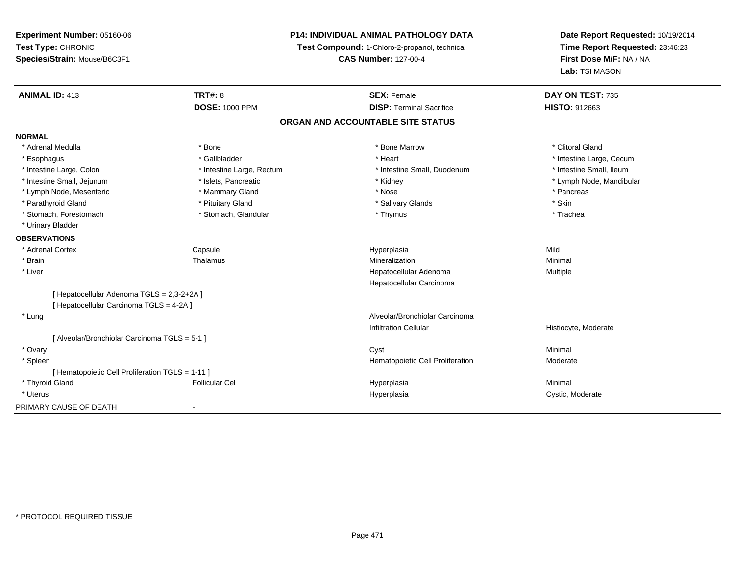**Experiment Number:** 05160-06**Test Type:** CHRONIC **Species/Strain:** Mouse/B6C3F1**P14: INDIVIDUAL ANIMAL PATHOLOGY DATATest Compound:** 1-Chloro-2-propanol, technical **CAS Number:** 127-00-4**Date Report Requested:** 10/19/2014**Time Report Requested:** 23:46:23**First Dose M/F:** NA / NA**Lab:** TSI MASON**ANIMAL ID:** 413**TRT#:** 8 **SEX:** Female **SEX: Female DAY ON TEST:** 735 **DOSE:** 1000 PPM**DISP:** Terminal Sacrifice **HISTO:** 912663 **ORGAN AND ACCOUNTABLE SITE STATUSNORMAL**\* Adrenal Medulla \* The state of the state of the state of the state of the Marrow \* Bone Marrow \* Clitoral Gland \* Clitoral Gland \* Esophagus \* https://www.fragustage.com/web/2019/heart \* Heart \* Heart \* Heart \* Intestine Large, Cecum \* Intestine Large, Cecum \* Sallbladder \* The state of the state of the state of the state of the state of the state o \* Intestine Small. Ileum \* Intestine Large, Colon \* Intestine Large, Rectum \* Intestine Small, Duodenum \* Intestine Small, Duodenum \* Intestine Small, Jejunum \* \* \* https://www.fat.com/setter/educitions/mandibular \* Kidney \* Mandibular \* Lymph Node, Mandibular \* Lymph Node, Mandibular \* Lymph Node, Mandibular \* Lymph Node, Mesenteric \* Mammary Gland \* Nose \* Pancreas\* Parathyroid Gland \* \* Pituitary Gland \* Thuitary Gland \* Salivary Glands \* Stin \* Skin \* Skin \* Skin \* Skin \* Skin \* Skin \* Skin \* Skin \* Skin \* Skin \* Skin \* Skin \* Skin \* Skin \* Skin \* Skin \* Skin \* Skin \* Skin \* Skin \* Trachea \* Stomach, Forestomach \* Thymus \* Stomach, Glandular \* Thymus \* Thymus \* Thymus \* Thymus \* Thymus \* Thymus \* Thymus \* Thymus \* Thymus \* Thymus \* Thymus \* Thymus \* Thymus \* Thymus \* Thymus \* Thymus \* Thymus \* Thymus \* Thymu \* Urinary Bladder**OBSERVATIONS** \* Adrenal Cortex Capsule Hyperplasia Mild \* Brainn and the Thalamus and the Minimal and Mineralization and Minimal Minimal and Minimal and Minimal and Minimal  $\mu$  \* Liver Hepatocellular Adenoma Multiple Hepatocellular Carcinoma[ Hepatocellular Adenoma TGLS = 2,3-2+2A ][ Hepatocellular Carcinoma TGLS = 4-2A ] \* Lung Alveolar/Bronchiolar Carcinoma Infiltration Cellular Histiocyte, Moderate[ Alveolar/Bronchiolar Carcinoma TGLS = 5-1 ] \* Ovaryy the control of the control of the control of the control of the control of the control of the control of the control of the control of the control of the control of the control of the control of the control of the contro \* SpleenHematopoietic Cell Proliferation Moderate [ Hematopoietic Cell Proliferation TGLS = 1-11 ] \* Thyroid Gland Follicular Cel Hyperplasia Minimal \* Uteruss and the contract of the contract of the contract of the contract of the contract of the contract of the contract of the contract of the contract of the contract of the contract of the contract of the contract of the cont Hyperplasia Cystic, Moderate PRIMARY CAUSE OF DEATH-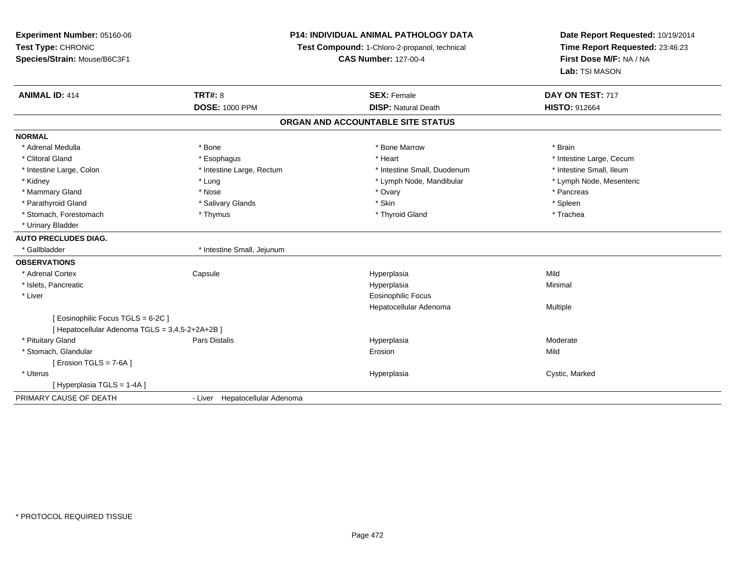**Experiment Number:** 05160-06**Test Type:** CHRONIC **Species/Strain:** Mouse/B6C3F1**P14: INDIVIDUAL ANIMAL PATHOLOGY DATATest Compound:** 1-Chloro-2-propanol, technical **CAS Number:** 127-00-4**Date Report Requested:** 10/19/2014**Time Report Requested:** 23:46:23**First Dose M/F:** NA / NA**Lab:** TSI MASON**ANIMAL ID:** 414**TRT#:** 8 **SEX:** Female **DAY ON TEST:** 717 **DOSE:** 1000 PPM**DISP:** Natural Death **HISTO:** 912664 **ORGAN AND ACCOUNTABLE SITE STATUSNORMAL**\* Adrenal Medulla \* \* Annual Medulla \* Brain \* Bone \* \* Bone Marrow \* Bone Marrow \* \* Brain \* Brain \* Brain \* Brain \* Brain \* Brain \* Brain \* Brain \* Brain \* Brain \* Brain \* Brain \* Brain \* Brain \* Brain \* Brain \* Brain \* \* Clitoral Gland \* \* exphagus \* Esophagus \* \* Heart \* Heart \* Intestine Large, Cecum \* Intestine Small, Ileum \* Intestine Large, Colon \* Intestine Large, Rectum \* Intestine Small, Duodenum \* Intestine Small, Duodenum \* Lymph Node, Mesenteric \* Kidney \* Lung \* Lung \* Lung \* Lung \* Lung \* Lymph Node, Mandibular \* Lymph Node, Mandibular \* Mammary Gland \* \* Andrew \* Nose \* \* Nose \* \* Ovary \* Ovary \* Ovary \* \* Ovary \* \* Pancreas \* \* Pancreas \* \* Pancreas \* \* Pancreas \* \* Pancreas \* \* Pancreas \* \* Pancreas \* \* Pancreas \* \* Pancreas \* \* Pancreas \* \* Pancreas \* Parathyroid Gland \* \* Salivary Glands \* Salivary Glands \* Skin \* Skin \* State \* Spleen \* Spleen \* Spleen \* Spleen \* Trachea \* Stomach, Forestomach \* Thymus \* Thymus \* Thymus \* Thymus \* Thyroid Gland \* Thyroid Gland \* Urinary Bladder**AUTO PRECLUDES DIAG.** \* Gallbladder \* Intestine Small, Jejunum**OBSERVATIONS** \* Adrenal Cortex**Capsule**  Hyperplasia Mild \* Islets, Pancreaticc and the contract of the contract of the contract of the contract of the contract of the contract of the contract of the contract of the contract of the contract of the contract of the contract of the contract of the cont a **Minimal**  \* Liver Eosinophilic Focus Hepatocellular Adenoma Multiple [ Eosinophilic Focus TGLS = 6-2C ][ Hepatocellular Adenoma TGLS = 3,4,5-2+2A+2B ] \* Pituitary Gland Pars Distalis Hyperplasia Moderate \* Stomach, Glandularr and the contract of the contract of the contract of the contract of the contract of the contract of the contract of the contract of the contract of the contract of the contract of the contract of the contract of the cont n Mild [ Erosion TGLS = 7-6A ] \* Uteruss and the control of the control of the control of the control of the control of the control of the control of the control of the control of the control of the control of the control of the control of the control of the co Cystic, Marked [ Hyperplasia TGLS = 1-4A ]PRIMARY CAUSE OF DEATH- Liver Hepatocellular Adenoma